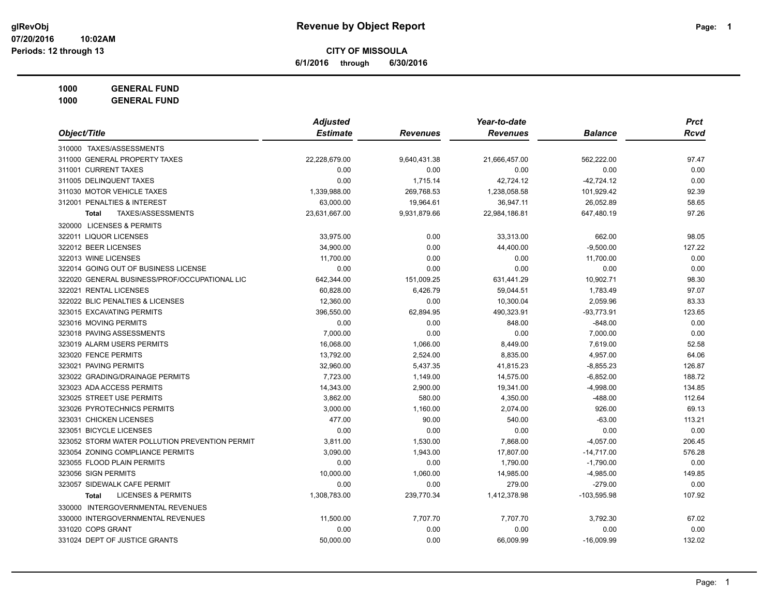**6/1/2016 through 6/30/2016**

**1000 GENERAL FUND**

| Object/Title                                   | <b>Adjusted</b> |                 | Year-to-date    |                | <b>Prct</b> |
|------------------------------------------------|-----------------|-----------------|-----------------|----------------|-------------|
|                                                | <b>Estimate</b> | <b>Revenues</b> | <b>Revenues</b> | <b>Balance</b> | <b>Rcvd</b> |
| 310000 TAXES/ASSESSMENTS                       |                 |                 |                 |                |             |
| 311000 GENERAL PROPERTY TAXES                  | 22,228,679.00   | 9,640,431.38    | 21,666,457.00   | 562,222.00     | 97.47       |
| 311001 CURRENT TAXES                           | 0.00            | 0.00            | 0.00            | 0.00           | 0.00        |
| 311005 DELINQUENT TAXES                        | 0.00            | 1,715.14        | 42,724.12       | $-42,724.12$   | 0.00        |
| 311030 MOTOR VEHICLE TAXES                     | 1,339,988.00    | 269,768.53      | 1,238,058.58    | 101,929.42     | 92.39       |
| 312001 PENALTIES & INTEREST                    | 63,000.00       | 19,964.61       | 36,947.11       | 26,052.89      | 58.65       |
| TAXES/ASSESSMENTS<br>Total                     | 23,631,667.00   | 9,931,879.66    | 22,984,186.81   | 647,480.19     | 97.26       |
| 320000 LICENSES & PERMITS                      |                 |                 |                 |                |             |
| 322011 LIQUOR LICENSES                         | 33,975.00       | 0.00            | 33,313.00       | 662.00         | 98.05       |
| 322012 BEER LICENSES                           | 34,900.00       | 0.00            | 44,400.00       | $-9,500.00$    | 127.22      |
| 322013 WINE LICENSES                           | 11,700.00       | 0.00            | 0.00            | 11,700.00      | 0.00        |
| 322014 GOING OUT OF BUSINESS LICENSE           | 0.00            | 0.00            | 0.00            | 0.00           | 0.00        |
| 322020 GENERAL BUSINESS/PROF/OCCUPATIONAL LIC  | 642,344.00      | 151,009.25      | 631,441.29      | 10,902.71      | 98.30       |
| 322021 RENTAL LICENSES                         | 60,828.00       | 6,426.79        | 59,044.51       | 1,783.49       | 97.07       |
| 322022 BLIC PENALTIES & LICENSES               | 12,360.00       | 0.00            | 10,300.04       | 2,059.96       | 83.33       |
| 323015 EXCAVATING PERMITS                      | 396,550.00      | 62,894.95       | 490,323.91      | $-93,773.91$   | 123.65      |
| 323016 MOVING PERMITS                          | 0.00            | 0.00            | 848.00          | $-848.00$      | 0.00        |
| 323018 PAVING ASSESSMENTS                      | 7,000.00        | 0.00            | 0.00            | 7,000.00       | 0.00        |
| 323019 ALARM USERS PERMITS                     | 16,068.00       | 1,066.00        | 8,449.00        | 7,619.00       | 52.58       |
| 323020 FENCE PERMITS                           | 13,792.00       | 2,524.00        | 8,835.00        | 4,957.00       | 64.06       |
| 323021 PAVING PERMITS                          | 32,960.00       | 5,437.35        | 41,815.23       | $-8,855.23$    | 126.87      |
| 323022 GRADING/DRAINAGE PERMITS                | 7,723.00        | 1,149.00        | 14,575.00       | $-6,852.00$    | 188.72      |
| 323023 ADA ACCESS PERMITS                      | 14,343.00       | 2,900.00        | 19,341.00       | $-4,998.00$    | 134.85      |
| 323025 STREET USE PERMITS                      | 3,862.00        | 580.00          | 4,350.00        | $-488.00$      | 112.64      |
| 323026 PYROTECHNICS PERMITS                    | 3,000.00        | 1,160.00        | 2,074.00        | 926.00         | 69.13       |
| 323031 CHICKEN LICENSES                        | 477.00          | 90.00           | 540.00          | $-63.00$       | 113.21      |
| 323051 BICYCLE LICENSES                        | 0.00            | 0.00            | 0.00            | 0.00           | 0.00        |
| 323052 STORM WATER POLLUTION PREVENTION PERMIT | 3,811.00        | 1,530.00        | 7,868.00        | $-4,057.00$    | 206.45      |
| 323054 ZONING COMPLIANCE PERMITS               | 3,090.00        | 1,943.00        | 17,807.00       | $-14,717.00$   | 576.28      |
| 323055 FLOOD PLAIN PERMITS                     | 0.00            | 0.00            | 1,790.00        | $-1,790.00$    | 0.00        |
| 323056 SIGN PERMITS                            | 10,000.00       | 1,060.00        | 14,985.00       | $-4,985.00$    | 149.85      |
| 323057 SIDEWALK CAFE PERMIT                    | 0.00            | 0.00            | 279.00          | $-279.00$      | 0.00        |
| <b>LICENSES &amp; PERMITS</b><br>Total         | 1,308,783.00    | 239,770.34      | 1,412,378.98    | $-103,595.98$  | 107.92      |
| 330000 INTERGOVERNMENTAL REVENUES              |                 |                 |                 |                |             |
| 330000 INTERGOVERNMENTAL REVENUES              | 11,500.00       | 7,707.70        | 7,707.70        | 3,792.30       | 67.02       |
| 331020 COPS GRANT                              | 0.00            | 0.00            | 0.00            | 0.00           | 0.00        |
| 331024 DEPT OF JUSTICE GRANTS                  | 50,000.00       | 0.00            | 66,009.99       | $-16,009.99$   | 132.02      |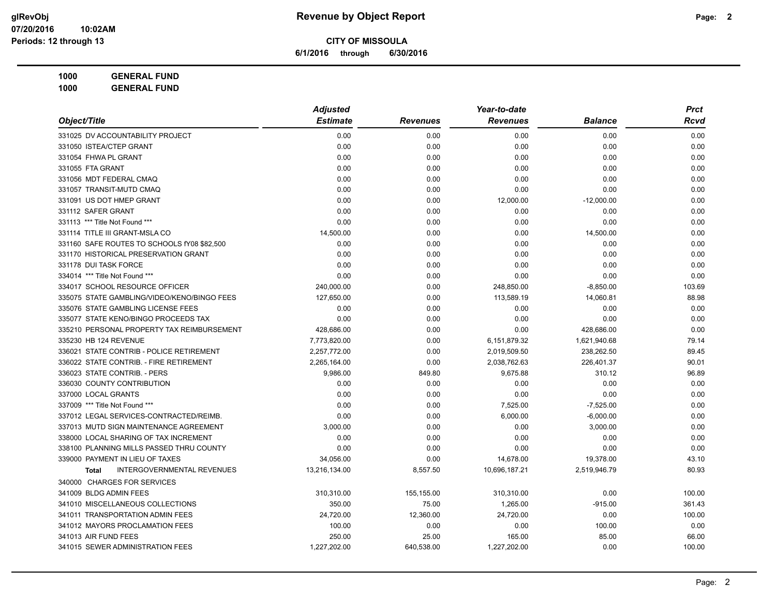**6/1/2016 through 6/30/2016**

| Object/Title                                      | <b>Adjusted</b> |                 | Year-to-date    |                | <b>Prct</b> |
|---------------------------------------------------|-----------------|-----------------|-----------------|----------------|-------------|
|                                                   | <b>Estimate</b> | <b>Revenues</b> | <b>Revenues</b> | <b>Balance</b> | Rcvd        |
| 331025 DV ACCOUNTABILITY PROJECT                  | 0.00            | 0.00            | 0.00            | 0.00           | 0.00        |
| 331050 ISTEA/CTEP GRANT                           | 0.00            | 0.00            | 0.00            | 0.00           | 0.00        |
| 331054 FHWA PL GRANT                              | 0.00            | 0.00            | 0.00            | 0.00           | 0.00        |
| 331055 FTA GRANT                                  | 0.00            | 0.00            | 0.00            | 0.00           | 0.00        |
| 331056 MDT FEDERAL CMAQ                           | 0.00            | 0.00            | 0.00            | 0.00           | 0.00        |
| 331057 TRANSIT-MUTD CMAQ                          | 0.00            | 0.00            | 0.00            | 0.00           | 0.00        |
| 331091 US DOT HMEP GRANT                          | 0.00            | 0.00            | 12,000.00       | $-12,000.00$   | 0.00        |
| 331112 SAFER GRANT                                | 0.00            | 0.00            | 0.00            | 0.00           | 0.00        |
| 331113 *** Title Not Found ***                    | 0.00            | 0.00            | 0.00            | 0.00           | 0.00        |
| 331114 TITLE III GRANT-MSLA CO                    | 14,500.00       | 0.00            | 0.00            | 14,500.00      | 0.00        |
| 331160 SAFE ROUTES TO SCHOOLS fY08 \$82,500       | 0.00            | 0.00            | 0.00            | 0.00           | 0.00        |
| 331170 HISTORICAL PRESERVATION GRANT              | 0.00            | 0.00            | 0.00            | 0.00           | 0.00        |
| 331178 DUI TASK FORCE                             | 0.00            | 0.00            | 0.00            | 0.00           | 0.00        |
| 334014 *** Title Not Found ***                    | 0.00            | 0.00            | 0.00            | 0.00           | 0.00        |
| 334017 SCHOOL RESOURCE OFFICER                    | 240,000.00      | 0.00            | 248,850.00      | $-8,850.00$    | 103.69      |
| 335075 STATE GAMBLING/VIDEO/KENO/BINGO FEES       | 127,650.00      | 0.00            | 113,589.19      | 14,060.81      | 88.98       |
| 335076 STATE GAMBLING LICENSE FEES                | 0.00            | 0.00            | 0.00            | 0.00           | 0.00        |
| 335077 STATE KENO/BINGO PROCEEDS TAX              | 0.00            | 0.00            | 0.00            | 0.00           | 0.00        |
| 335210 PERSONAL PROPERTY TAX REIMBURSEMENT        | 428,686.00      | 0.00            | 0.00            | 428,686.00     | 0.00        |
| 335230 HB 124 REVENUE                             | 7,773,820.00    | 0.00            | 6,151,879.32    | 1,621,940.68   | 79.14       |
| 336021 STATE CONTRIB - POLICE RETIREMENT          | 2,257,772.00    | 0.00            | 2,019,509.50    | 238,262.50     | 89.45       |
| 336022 STATE CONTRIB. - FIRE RETIREMENT           | 2,265,164.00    | 0.00            | 2,038,762.63    | 226,401.37     | 90.01       |
| 336023 STATE CONTRIB. - PERS                      | 9,986.00        | 849.80          | 9,675.88        | 310.12         | 96.89       |
| 336030 COUNTY CONTRIBUTION                        | 0.00            | 0.00            | 0.00            | 0.00           | 0.00        |
| 337000 LOCAL GRANTS                               | 0.00            | 0.00            | 0.00            | 0.00           | 0.00        |
| 337009 *** Title Not Found ***                    | 0.00            | 0.00            | 7,525.00        | $-7,525.00$    | 0.00        |
| 337012 LEGAL SERVICES-CONTRACTED/REIMB.           | 0.00            | 0.00            | 6,000.00        | $-6,000.00$    | 0.00        |
| 337013 MUTD SIGN MAINTENANCE AGREEMENT            | 3,000.00        | 0.00            | 0.00            | 3,000.00       | 0.00        |
| 338000 LOCAL SHARING OF TAX INCREMENT             | 0.00            | 0.00            | 0.00            | 0.00           | 0.00        |
| 338100 PLANNING MILLS PASSED THRU COUNTY          | 0.00            | 0.00            | 0.00            | 0.00           | 0.00        |
| 339000 PAYMENT IN LIEU OF TAXES                   | 34,056.00       | 0.00            | 14,678.00       | 19,378.00      | 43.10       |
| <b>INTERGOVERNMENTAL REVENUES</b><br><b>Total</b> | 13,216,134.00   | 8,557.50        | 10,696,187.21   | 2,519,946.79   | 80.93       |
| 340000 CHARGES FOR SERVICES                       |                 |                 |                 |                |             |
| 341009 BLDG ADMIN FEES                            | 310,310.00      | 155,155.00      | 310,310.00      | 0.00           | 100.00      |
| 341010 MISCELLANEOUS COLLECTIONS                  | 350.00          | 75.00           | 1,265.00        | $-915.00$      | 361.43      |
| 341011 TRANSPORTATION ADMIN FEES                  | 24,720.00       | 12,360.00       | 24,720.00       | 0.00           | 100.00      |
| 341012 MAYORS PROCLAMATION FEES                   | 100.00          | 0.00            | 0.00            | 100.00         | 0.00        |
| 341013 AIR FUND FEES                              | 250.00          | 25.00           | 165.00          | 85.00          | 66.00       |
| 341015 SEWER ADMINISTRATION FEES                  | 1,227,202.00    | 640.538.00      | 1,227,202.00    | 0.00           | 100.00      |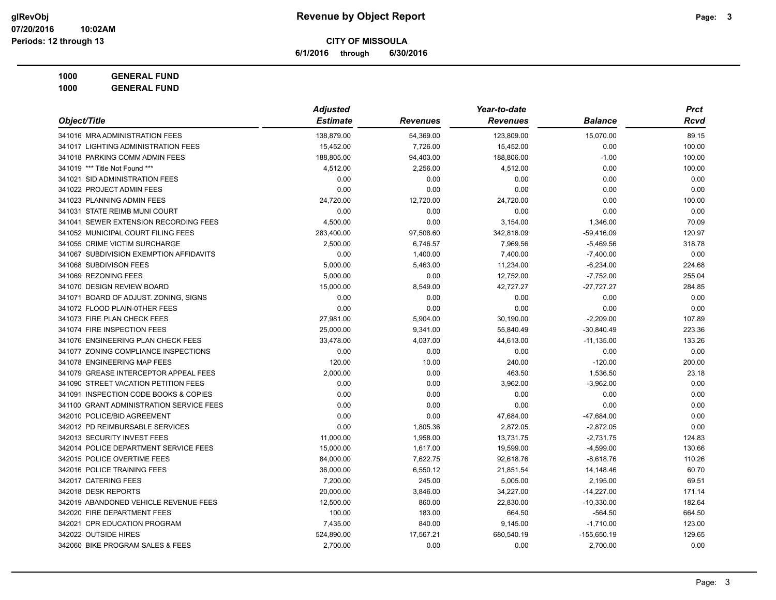**6/1/2016 through 6/30/2016**

| Object/Title                             | <b>Adjusted</b> |                 | Year-to-date    |                | <b>Prct</b> |
|------------------------------------------|-----------------|-----------------|-----------------|----------------|-------------|
|                                          | <b>Estimate</b> | <b>Revenues</b> | <b>Revenues</b> | <b>Balance</b> | Rcvd        |
| 341016 MRA ADMINISTRATION FEES           | 138,879.00      | 54,369.00       | 123,809.00      | 15,070.00      | 89.15       |
| 341017 LIGHTING ADMINISTRATION FEES      | 15,452.00       | 7,726.00        | 15,452.00       | 0.00           | 100.00      |
| 341018 PARKING COMM ADMIN FEES           | 188,805.00      | 94,403.00       | 188,806.00      | $-1.00$        | 100.00      |
| 341019 *** Title Not Found ***           | 4,512.00        | 2,256.00        | 4,512.00        | 0.00           | 100.00      |
| 341021 SID ADMINISTRATION FEES           | 0.00            | 0.00            | 0.00            | 0.00           | 0.00        |
| 341022 PROJECT ADMIN FEES                | 0.00            | 0.00            | 0.00            | 0.00           | 0.00        |
| 341023 PLANNING ADMIN FEES               | 24,720.00       | 12,720.00       | 24,720.00       | 0.00           | 100.00      |
| 341031 STATE REIMB MUNI COURT            | 0.00            | 0.00            | 0.00            | 0.00           | 0.00        |
| 341041 SEWER EXTENSION RECORDING FEES    | 4,500.00        | 0.00            | 3,154.00        | 1,346.00       | 70.09       |
| 341052 MUNICIPAL COURT FILING FEES       | 283,400.00      | 97,508.60       | 342,816.09      | $-59,416.09$   | 120.97      |
| 341055 CRIME VICTIM SURCHARGE            | 2,500.00        | 6,746.57        | 7,969.56        | $-5,469.56$    | 318.78      |
| 341067 SUBDIVISION EXEMPTION AFFIDAVITS  | 0.00            | 1,400.00        | 7,400.00        | $-7,400.00$    | 0.00        |
| 341068 SUBDIVISON FEES                   | 5,000.00        | 5,463.00        | 11,234.00       | $-6,234.00$    | 224.68      |
| 341069 REZONING FEES                     | 5,000.00        | 0.00            | 12,752.00       | $-7,752.00$    | 255.04      |
| 341070 DESIGN REVIEW BOARD               | 15,000.00       | 8,549.00        | 42,727.27       | $-27,727.27$   | 284.85      |
| 341071 BOARD OF ADJUST. ZONING, SIGNS    | 0.00            | 0.00            | 0.00            | 0.00           | 0.00        |
| 341072 FLOOD PLAIN-0THER FEES            | 0.00            | 0.00            | 0.00            | 0.00           | 0.00        |
| 341073 FIRE PLAN CHECK FEES              | 27,981.00       | 5,904.00        | 30,190.00       | $-2,209.00$    | 107.89      |
| 341074 FIRE INSPECTION FEES              | 25,000.00       | 9,341.00        | 55,840.49       | $-30,840.49$   | 223.36      |
| 341076 ENGINEERING PLAN CHECK FEES       | 33,478.00       | 4,037.00        | 44,613.00       | $-11,135.00$   | 133.26      |
| 341077 ZONING COMPLIANCE INSPECTIONS     | 0.00            | 0.00            | 0.00            | 0.00           | 0.00        |
| 341078 ENGINEERING MAP FEES              | 120.00          | 10.00           | 240.00          | $-120.00$      | 200.00      |
| 341079 GREASE INTERCEPTOR APPEAL FEES    | 2,000.00        | 0.00            | 463.50          | 1,536.50       | 23.18       |
| 341090 STREET VACATION PETITION FEES     | 0.00            | 0.00            | 3,962.00        | $-3,962.00$    | 0.00        |
| 341091 INSPECTION CODE BOOKS & COPIES    | 0.00            | 0.00            | 0.00            | 0.00           | 0.00        |
| 341100 GRANT ADMINISTRATION SERVICE FEES | 0.00            | 0.00            | 0.00            | 0.00           | 0.00        |
| 342010 POLICE/BID AGREEMENT              | 0.00            | 0.00            | 47,684.00       | $-47,684.00$   | 0.00        |
| 342012 PD REIMBURSABLE SERVICES          | 0.00            | 1,805.36        | 2,872.05        | $-2,872.05$    | 0.00        |
| 342013 SECURITY INVEST FEES              | 11,000.00       | 1,958.00        | 13,731.75       | $-2,731.75$    | 124.83      |
| 342014 POLICE DEPARTMENT SERVICE FEES    | 15,000.00       | 1,617.00        | 19,599.00       | $-4,599.00$    | 130.66      |
| 342015 POLICE OVERTIME FEES              | 84,000.00       | 7,622.75        | 92,618.76       | $-8,618.76$    | 110.26      |
| 342016 POLICE TRAINING FEES              | 36,000.00       | 6,550.12        | 21,851.54       | 14,148.46      | 60.70       |
| 342017 CATERING FEES                     | 7,200.00        | 245.00          | 5,005.00        | 2,195.00       | 69.51       |
| 342018 DESK REPORTS                      | 20,000.00       | 3,846.00        | 34,227.00       | $-14,227.00$   | 171.14      |
| 342019 ABANDONED VEHICLE REVENUE FEES    | 12,500.00       | 860.00          | 22,830.00       | $-10,330.00$   | 182.64      |
| 342020 FIRE DEPARTMENT FEES              | 100.00          | 183.00          | 664.50          | $-564.50$      | 664.50      |
| 342021 CPR EDUCATION PROGRAM             | 7,435.00        | 840.00          | 9,145.00        | $-1,710.00$    | 123.00      |
| 342022 OUTSIDE HIRES                     | 524,890.00      | 17,567.21       | 680,540.19      | $-155,650.19$  | 129.65      |
| 342060 BIKE PROGRAM SALES & FEES         | 2.700.00        | 0.00            | 0.00            | 2,700.00       | 0.00        |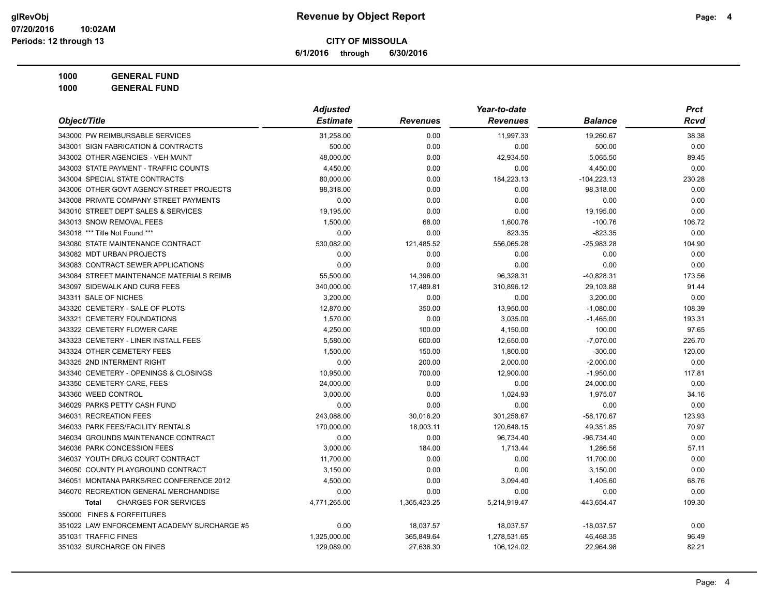**6/1/2016 through 6/30/2016**

| Object/Title                                | <b>Adjusted</b> |                 | Year-to-date    |                | Prct   |
|---------------------------------------------|-----------------|-----------------|-----------------|----------------|--------|
|                                             | <b>Estimate</b> | <b>Revenues</b> | <b>Revenues</b> | <b>Balance</b> | Rcvd   |
| 343000 PW REIMBURSABLE SERVICES             | 31,258.00       | 0.00            | 11,997.33       | 19,260.67      | 38.38  |
| 343001 SIGN FABRICATION & CONTRACTS         | 500.00          | 0.00            | 0.00            | 500.00         | 0.00   |
| 343002 OTHER AGENCIES - VEH MAINT           | 48,000.00       | 0.00            | 42,934.50       | 5,065.50       | 89.45  |
| 343003 STATE PAYMENT - TRAFFIC COUNTS       | 4,450.00        | 0.00            | 0.00            | 4,450.00       | 0.00   |
| 343004 SPECIAL STATE CONTRACTS              | 80,000.00       | 0.00            | 184,223.13      | $-104,223.13$  | 230.28 |
| 343006 OTHER GOVT AGENCY-STREET PROJECTS    | 98,318.00       | 0.00            | 0.00            | 98,318.00      | 0.00   |
| 343008 PRIVATE COMPANY STREET PAYMENTS      | 0.00            | 0.00            | 0.00            | 0.00           | 0.00   |
| 343010 STREET DEPT SALES & SERVICES         | 19,195.00       | 0.00            | 0.00            | 19,195.00      | 0.00   |
| 343013 SNOW REMOVAL FEES                    | 1,500.00        | 68.00           | 1,600.76        | $-100.76$      | 106.72 |
| 343018 *** Title Not Found ***              | 0.00            | 0.00            | 823.35          | $-823.35$      | 0.00   |
| 343080 STATE MAINTENANCE CONTRACT           | 530,082.00      | 121,485.52      | 556,065.28      | $-25,983.28$   | 104.90 |
| 343082 MDT URBAN PROJECTS                   | 0.00            | 0.00            | 0.00            | 0.00           | 0.00   |
| 343083 CONTRACT SEWER APPLICATIONS          | 0.00            | 0.00            | 0.00            | 0.00           | 0.00   |
| 343084 STREET MAINTENANCE MATERIALS REIMB   | 55,500.00       | 14,396.00       | 96,328.31       | $-40,828.31$   | 173.56 |
| 343097 SIDEWALK AND CURB FEES               | 340,000.00      | 17,489.81       | 310,896.12      | 29,103.88      | 91.44  |
| 343311 SALE OF NICHES                       | 3,200.00        | 0.00            | 0.00            | 3,200.00       | 0.00   |
| 343320 CEMETERY - SALE OF PLOTS             | 12,870.00       | 350.00          | 13,950.00       | $-1,080.00$    | 108.39 |
| 343321 CEMETERY FOUNDATIONS                 | 1,570.00        | 0.00            | 3,035.00        | $-1,465.00$    | 193.31 |
| 343322 CEMETERY FLOWER CARE                 | 4,250.00        | 100.00          | 4,150.00        | 100.00         | 97.65  |
| 343323 CEMETERY - LINER INSTALL FEES        | 5,580.00        | 600.00          | 12,650.00       | $-7,070.00$    | 226.70 |
| 343324 OTHER CEMETERY FEES                  | 1,500.00        | 150.00          | 1,800.00        | $-300.00$      | 120.00 |
| 343325 2ND INTERMENT RIGHT                  | 0.00            | 200.00          | 2,000.00        | $-2,000.00$    | 0.00   |
| 343340 CEMETERY - OPENINGS & CLOSINGS       | 10,950.00       | 700.00          | 12,900.00       | $-1,950.00$    | 117.81 |
| 343350 CEMETERY CARE, FEES                  | 24,000.00       | 0.00            | 0.00            | 24,000.00      | 0.00   |
| 343360 WEED CONTROL                         | 3,000.00        | 0.00            | 1,024.93        | 1,975.07       | 34.16  |
| 346029 PARKS PETTY CASH FUND                | 0.00            | 0.00            | 0.00            | 0.00           | 0.00   |
| 346031 RECREATION FEES                      | 243,088.00      | 30,016.20       | 301,258.67      | $-58,170.67$   | 123.93 |
| 346033 PARK FEES/FACILITY RENTALS           | 170,000.00      | 18,003.11       | 120,648.15      | 49,351.85      | 70.97  |
| 346034 GROUNDS MAINTENANCE CONTRACT         | 0.00            | 0.00            | 96,734.40       | $-96,734.40$   | 0.00   |
| 346036 PARK CONCESSION FEES                 | 3,000.00        | 184.00          | 1,713.44        | 1,286.56       | 57.11  |
| 346037 YOUTH DRUG COURT CONTRACT            | 11,700.00       | 0.00            | 0.00            | 11,700.00      | 0.00   |
| 346050 COUNTY PLAYGROUND CONTRACT           | 3,150.00        | 0.00            | 0.00            | 3,150.00       | 0.00   |
| 346051 MONTANA PARKS/REC CONFERENCE 2012    | 4,500.00        | 0.00            | 3,094.40        | 1,405.60       | 68.76  |
| 346070 RECREATION GENERAL MERCHANDISE       | 0.00            | 0.00            | 0.00            | 0.00           | 0.00   |
| <b>CHARGES FOR SERVICES</b><br><b>Total</b> | 4,771,265.00    | 1,365,423.25    | 5,214,919.47    | -443,654.47    | 109.30 |
| 350000 FINES & FORFEITURES                  |                 |                 |                 |                |        |
| 351022 LAW ENFORCEMENT ACADEMY SURCHARGE #5 | 0.00            | 18,037.57       | 18,037.57       | $-18,037.57$   | 0.00   |
| 351031 TRAFFIC FINES                        | 1,325,000.00    | 365,849.64      | 1,278,531.65    | 46,468.35      | 96.49  |
| 351032 SURCHARGE ON FINES                   | 129,089.00      | 27,636.30       | 106,124.02      | 22,964.98      | 82.21  |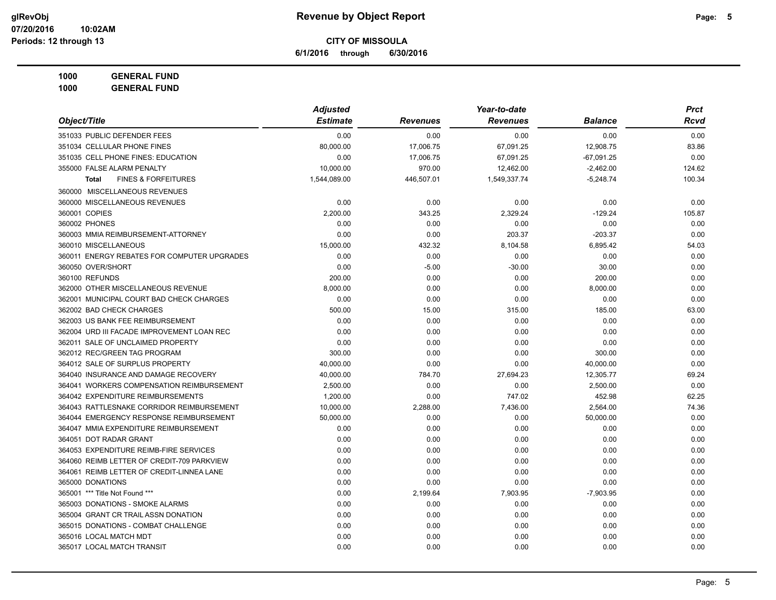**6/1/2016 through 6/30/2016**

|                                                | <b>Adjusted</b> |                 | Year-to-date    |                | <b>Prct</b> |
|------------------------------------------------|-----------------|-----------------|-----------------|----------------|-------------|
| Object/Title                                   | <b>Estimate</b> | <b>Revenues</b> | <b>Revenues</b> | <b>Balance</b> | Rcvd        |
| 351033 PUBLIC DEFENDER FEES                    | 0.00            | 0.00            | 0.00            | 0.00           | 0.00        |
| 351034 CELLULAR PHONE FINES                    | 80,000.00       | 17,006.75       | 67,091.25       | 12,908.75      | 83.86       |
| 351035 CELL PHONE FINES: EDUCATION             | 0.00            | 17,006.75       | 67,091.25       | $-67,091.25$   | 0.00        |
| 355000 FALSE ALARM PENALTY                     | 10,000.00       | 970.00          | 12,462.00       | $-2,462.00$    | 124.62      |
| <b>FINES &amp; FORFEITURES</b><br><b>Total</b> | 1,544,089.00    | 446,507.01      | 1,549,337.74    | $-5,248.74$    | 100.34      |
| 360000 MISCELLANEOUS REVENUES                  |                 |                 |                 |                |             |
| 360000 MISCELLANEOUS REVENUES                  | 0.00            | 0.00            | 0.00            | 0.00           | 0.00        |
| 360001 COPIES                                  | 2,200.00        | 343.25          | 2,329.24        | $-129.24$      | 105.87      |
| 360002 PHONES                                  | 0.00            | 0.00            | 0.00            | 0.00           | 0.00        |
| 360003 MMIA REIMBURSEMENT-ATTORNEY             | 0.00            | 0.00            | 203.37          | $-203.37$      | 0.00        |
| 360010 MISCELLANEOUS                           | 15,000.00       | 432.32          | 8,104.58        | 6,895.42       | 54.03       |
| 360011 ENERGY REBATES FOR COMPUTER UPGRADES    | 0.00            | 0.00            | 0.00            | 0.00           | 0.00        |
| 360050 OVER/SHORT                              | 0.00            | $-5.00$         | $-30.00$        | 30.00          | 0.00        |
| 360100 REFUNDS                                 | 200.00          | 0.00            | 0.00            | 200.00         | 0.00        |
| 362000 OTHER MISCELLANEOUS REVENUE             | 8,000.00        | 0.00            | 0.00            | 8,000.00       | 0.00        |
| 362001 MUNICIPAL COURT BAD CHECK CHARGES       | 0.00            | 0.00            | 0.00            | 0.00           | 0.00        |
| 362002 BAD CHECK CHARGES                       | 500.00          | 15.00           | 315.00          | 185.00         | 63.00       |
| 362003 US BANK FEE REIMBURSEMENT               | 0.00            | 0.00            | 0.00            | 0.00           | 0.00        |
| 362004 URD III FACADE IMPROVEMENT LOAN REC     | 0.00            | 0.00            | 0.00            | 0.00           | 0.00        |
| 362011 SALE OF UNCLAIMED PROPERTY              | 0.00            | 0.00            | 0.00            | 0.00           | 0.00        |
| 362012 REC/GREEN TAG PROGRAM                   | 300.00          | 0.00            | 0.00            | 300.00         | 0.00        |
| 364012 SALE OF SURPLUS PROPERTY                | 40,000.00       | 0.00            | 0.00            | 40,000.00      | 0.00        |
| 364040 INSURANCE AND DAMAGE RECOVERY           | 40,000.00       | 784.70          | 27,694.23       | 12,305.77      | 69.24       |
| 364041 WORKERS COMPENSATION REIMBURSEMENT      | 2,500.00        | 0.00            | 0.00            | 2,500.00       | 0.00        |
| 364042 EXPENDITURE REIMBURSEMENTS              | 1,200.00        | 0.00            | 747.02          | 452.98         | 62.25       |
| 364043 RATTLESNAKE CORRIDOR REIMBURSEMENT      | 10,000.00       | 2,288.00        | 7,436.00        | 2,564.00       | 74.36       |
| 364044 EMERGENCY RESPONSE REIMBURSEMENT        | 50,000.00       | 0.00            | 0.00            | 50,000.00      | 0.00        |
| 364047 MMIA EXPENDITURE REIMBURSEMENT          | 0.00            | 0.00            | 0.00            | 0.00           | 0.00        |
| 364051 DOT RADAR GRANT                         | 0.00            | 0.00            | 0.00            | 0.00           | 0.00        |
| 364053 EXPENDITURE REIMB-FIRE SERVICES         | 0.00            | 0.00            | 0.00            | 0.00           | 0.00        |
| 364060 REIMB LETTER OF CREDIT-709 PARKVIEW     | 0.00            | 0.00            | 0.00            | 0.00           | 0.00        |
| 364061 REIMB LETTER OF CREDIT-LINNEA LANE      | 0.00            | 0.00            | 0.00            | 0.00           | 0.00        |
| 365000 DONATIONS                               | 0.00            | 0.00            | 0.00            | 0.00           | 0.00        |
| 365001 *** Title Not Found ***                 | 0.00            | 2,199.64        | 7,903.95        | $-7,903.95$    | 0.00        |
| 365003 DONATIONS - SMOKE ALARMS                | 0.00            | 0.00            | 0.00            | 0.00           | 0.00        |
| 365004 GRANT CR TRAIL ASSN DONATION            | 0.00            | 0.00            | 0.00            | 0.00           | 0.00        |
| 365015 DONATIONS - COMBAT CHALLENGE            | 0.00            | 0.00            | 0.00            | 0.00           | 0.00        |
| 365016 LOCAL MATCH MDT                         | 0.00            | 0.00            | 0.00            | 0.00           | 0.00        |
| 365017 LOCAL MATCH TRANSIT                     | 0.00            | 0.00            | 0.00            | 0.00           | 0.00        |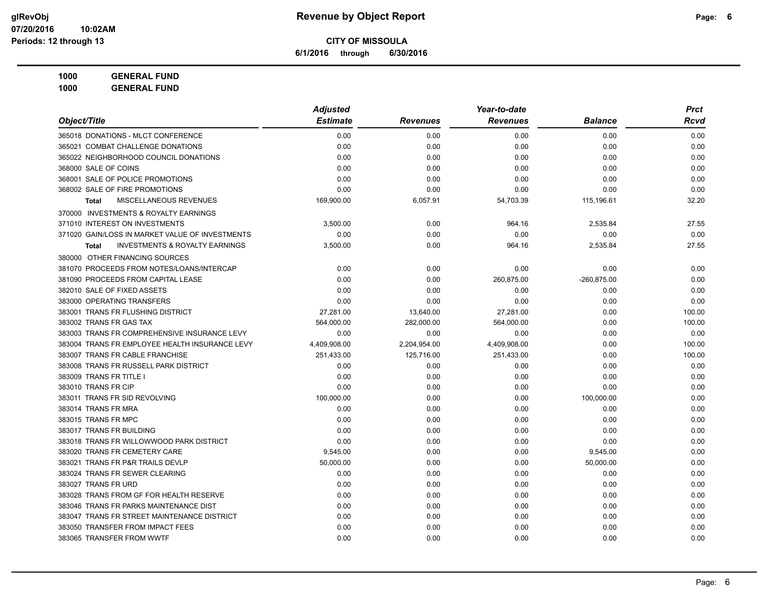**6/1/2016 through 6/30/2016**

| <b>GENERAL FUND</b><br>1000 |
|-----------------------------|
|-----------------------------|

|                                                           | <b>Adjusted</b> |                 | Year-to-date    |                | <b>Prct</b> |
|-----------------------------------------------------------|-----------------|-----------------|-----------------|----------------|-------------|
| Object/Title                                              | <b>Estimate</b> | <b>Revenues</b> | <b>Revenues</b> | <b>Balance</b> | Rcvd        |
| 365018 DONATIONS - MLCT CONFERENCE                        | 0.00            | 0.00            | 0.00            | 0.00           | 0.00        |
| 365021 COMBAT CHALLENGE DONATIONS                         | 0.00            | 0.00            | 0.00            | 0.00           | 0.00        |
| 365022 NEIGHBORHOOD COUNCIL DONATIONS                     | 0.00            | 0.00            | 0.00            | 0.00           | 0.00        |
| 368000 SALE OF COINS                                      | 0.00            | 0.00            | 0.00            | 0.00           | 0.00        |
| 368001 SALE OF POLICE PROMOTIONS                          | 0.00            | 0.00            | 0.00            | 0.00           | 0.00        |
| 368002 SALE OF FIRE PROMOTIONS                            | 0.00            | 0.00            | 0.00            | 0.00           | 0.00        |
| MISCELLANEOUS REVENUES<br><b>Total</b>                    | 169,900.00      | 6,057.91        | 54,703.39       | 115,196.61     | 32.20       |
| 370000 INVESTMENTS & ROYALTY EARNINGS                     |                 |                 |                 |                |             |
| 371010 INTEREST ON INVESTMENTS                            | 3,500.00        | 0.00            | 964.16          | 2,535.84       | 27.55       |
| 371020 GAIN/LOSS IN MARKET VALUE OF INVESTMENTS           | 0.00            | 0.00            | 0.00            | 0.00           | 0.00        |
| <b>INVESTMENTS &amp; ROYALTY EARNINGS</b><br><b>Total</b> | 3,500.00        | 0.00            | 964.16          | 2,535.84       | 27.55       |
| 380000 OTHER FINANCING SOURCES                            |                 |                 |                 |                |             |
| 381070 PROCEEDS FROM NOTES/LOANS/INTERCAP                 | 0.00            | 0.00            | 0.00            | 0.00           | 0.00        |
| 381090 PROCEEDS FROM CAPITAL LEASE                        | 0.00            | 0.00            | 260,875.00      | $-260,875.00$  | 0.00        |
| 382010 SALE OF FIXED ASSETS                               | 0.00            | 0.00            | 0.00            | 0.00           | 0.00        |
| 383000 OPERATING TRANSFERS                                | 0.00            | 0.00            | 0.00            | 0.00           | 0.00        |
| 383001 TRANS FR FLUSHING DISTRICT                         | 27,281.00       | 13,640.00       | 27,281.00       | 0.00           | 100.00      |
| 383002 TRANS FR GAS TAX                                   | 564,000.00      | 282,000.00      | 564,000.00      | 0.00           | 100.00      |
| 383003 TRANS FR COMPREHENSIVE INSURANCE LEVY              | 0.00            | 0.00            | 0.00            | 0.00           | 0.00        |
| 383004 TRANS FR EMPLOYEE HEALTH INSURANCE LEVY            | 4,409,908.00    | 2,204,954.00    | 4,409,908.00    | 0.00           | 100.00      |
| 383007 TRANS FR CABLE FRANCHISE                           | 251,433.00      | 125,716.00      | 251,433.00      | 0.00           | 100.00      |
| 383008 TRANS FR RUSSELL PARK DISTRICT                     | 0.00            | 0.00            | 0.00            | 0.00           | 0.00        |
| 383009 TRANS FR TITLE I                                   | 0.00            | 0.00            | 0.00            | 0.00           | 0.00        |
| 383010 TRANS FR CIP                                       | 0.00            | 0.00            | 0.00            | 0.00           | 0.00        |
| 383011 TRANS FR SID REVOLVING                             | 100,000.00      | 0.00            | 0.00            | 100,000.00     | 0.00        |
| 383014 TRANS FR MRA                                       | 0.00            | 0.00            | 0.00            | 0.00           | 0.00        |
| 383015 TRANS FR MPC                                       | 0.00            | 0.00            | 0.00            | 0.00           | 0.00        |
| 383017 TRANS FR BUILDING                                  | 0.00            | 0.00            | 0.00            | 0.00           | 0.00        |
| 383018 TRANS FR WILLOWWOOD PARK DISTRICT                  | 0.00            | 0.00            | 0.00            | 0.00           | 0.00        |
| 383020 TRANS FR CEMETERY CARE                             | 9,545.00        | 0.00            | 0.00            | 9,545.00       | 0.00        |
| 383021 TRANS FR P&R TRAILS DEVLP                          | 50,000.00       | 0.00            | 0.00            | 50,000.00      | 0.00        |
| 383024 TRANS FR SEWER CLEARING                            | 0.00            | 0.00            | 0.00            | 0.00           | 0.00        |
| 383027 TRANS FR URD                                       | 0.00            | 0.00            | 0.00            | 0.00           | 0.00        |
| 383028 TRANS FROM GF FOR HEALTH RESERVE                   | 0.00            | 0.00            | 0.00            | 0.00           | 0.00        |
| 383046 TRANS FR PARKS MAINTENANCE DIST                    | 0.00            | 0.00            | 0.00            | 0.00           | 0.00        |
| 383047 TRANS FR STREET MAINTENANCE DISTRICT               | 0.00            | 0.00            | 0.00            | 0.00           | 0.00        |
| 383050 TRANSFER FROM IMPACT FEES                          | 0.00            | 0.00            | 0.00            | 0.00           | 0.00        |
| 383065 TRANSFER FROM WWTF                                 | 0.00            | 0.00            | 0.00            | 0.00           | 0.00        |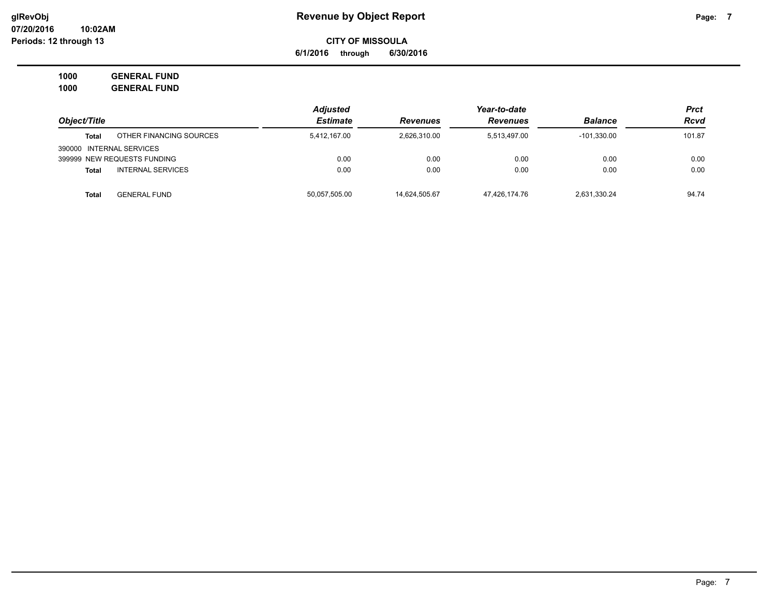**6/1/2016 through 6/30/2016**

| Object/Title                             | <b>Adjusted</b> |                 | Year-to-date    |                | <b>Prct</b> |
|------------------------------------------|-----------------|-----------------|-----------------|----------------|-------------|
|                                          | <b>Estimate</b> | <b>Revenues</b> | <b>Revenues</b> | <b>Balance</b> | <b>Rcvd</b> |
| OTHER FINANCING SOURCES<br><b>Total</b>  | 5.412.167.00    | 2.626.310.00    | 5.513.497.00    | $-101.330.00$  | 101.87      |
| 390000 INTERNAL SERVICES                 |                 |                 |                 |                |             |
| 399999 NEW REQUESTS FUNDING              | 0.00            | 0.00            | 0.00            | 0.00           | 0.00        |
| <b>INTERNAL SERVICES</b><br><b>Total</b> | 0.00            | 0.00            | 0.00            | 0.00           | 0.00        |
| <b>GENERAL FUND</b><br>Total             | 50,057,505.00   | 14.624.505.67   | 47.426.174.76   | 2,631,330.24   | 94.74       |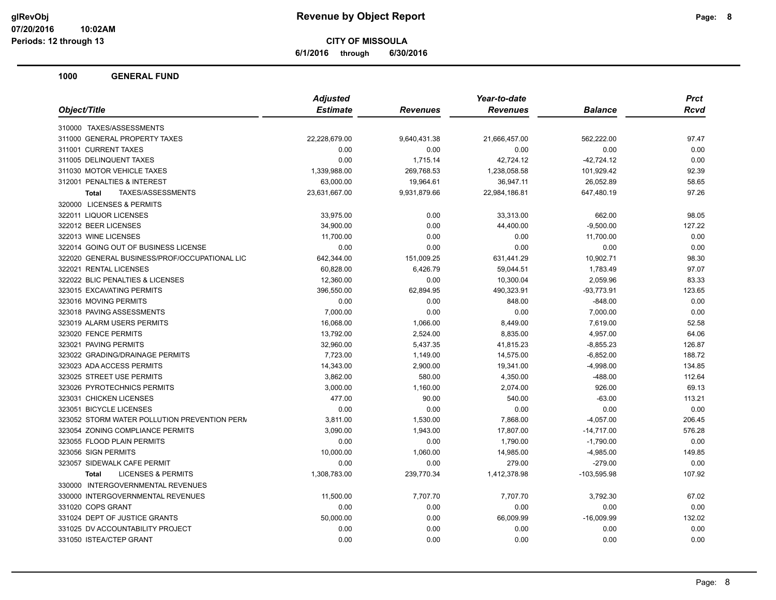**6/1/2016 through 6/30/2016**

| <b>Estimate</b><br><b>Revenues</b><br><b>Balance</b><br>Rcvd<br><b>Revenues</b><br>22,228,679.00<br>97.47<br>9,640,431.38<br>21,666,457.00<br>562,222.00<br>0.00<br>0.00<br>0.00<br>0.00<br>0.00<br>0.00<br>1,715.14<br>42,724.12<br>$-42,724.12$<br>0.00<br>269,768.53<br>1,238,058.58<br>101,929.42<br>92.39<br>1,339,988.00<br>63,000.00<br>19,964.61<br>36,947.11<br>26,052.89<br>58.65<br>TAXES/ASSESSMENTS<br>23,631,667.00<br>9,931,879.66<br>22,984,186.81<br>647,480.19<br>97.26<br><b>Total</b><br>33,975.00<br>0.00<br>33,313.00<br>662.00<br>98.05<br>0.00<br>44,400.00<br>$-9,500.00$<br>127.22<br>34,900.00<br>0.00<br>0.00<br>11,700.00<br>0.00<br>11,700.00<br>0.00<br>0.00<br>0.00<br>0.00<br>0.00<br>642,344.00<br>151,009.25<br>631,441.29<br>10,902.71<br>98.30<br>60,828.00<br>6,426.79<br>59,044.51<br>1,783.49<br>97.07<br>0.00<br>12,360.00<br>10,300.04<br>2,059.96<br>83.33<br>396,550.00<br>62,894.95<br>490,323.91<br>$-93,773.91$<br>123.65<br>0.00<br>0.00<br>848.00<br>$-848.00$<br>0.00<br>7,000.00<br>0.00<br>0.00<br>7,000.00<br>0.00<br>52.58<br>16,068.00<br>1,066.00<br>8,449.00<br>7,619.00<br>13,792.00<br>2,524.00<br>8,835.00<br>4,957.00<br>64.06<br>32,960.00<br>5,437.35<br>41,815.23<br>$-8,855.23$<br>126.87<br>7,723.00<br>1,149.00<br>14,575.00<br>$-6,852.00$<br>188.72<br>14,343.00<br>2,900.00<br>19,341.00<br>-4,998.00<br>134.85<br>3,862.00<br>580.00<br>4,350.00<br>$-488.00$<br>112.64<br>3,000.00<br>1,160.00<br>2,074.00<br>926.00<br>69.13<br>477.00<br>90.00<br>540.00<br>$-63.00$<br>113.21<br>0.00<br>0.00<br>0.00<br>0.00<br>0.00<br>3,811.00<br>1,530.00<br>7,868.00<br>$-4,057.00$<br>206.45<br>3,090.00<br>1,943.00<br>17,807.00<br>$-14,717.00$<br>576.28<br>0.00<br>0.00<br>1,790.00<br>$-1,790.00$<br>0.00<br>10,000.00<br>1,060.00<br>14,985.00<br>149.85<br>$-4,985.00$<br>0.00<br>0.00<br>279.00<br>$-279.00$<br>0.00<br><b>LICENSES &amp; PERMITS</b><br>1,308,783.00<br>239,770.34<br>1,412,378.98<br>$-103,595.98$<br>107.92<br><b>Total</b><br>11,500.00<br>7,707.70<br>7,707.70<br>3,792.30<br>67.02<br>0.00<br>0.00<br>0.00<br>0.00<br>0.00<br>0.00<br>66,009.99<br>$-16,009.99$<br>132.02<br>50,000.00<br>0.00<br>0.00<br>0.00<br>0.00<br>0.00 |                                               | <b>Adjusted</b> | Year-to-date | <b>Prct</b> |
|-------------------------------------------------------------------------------------------------------------------------------------------------------------------------------------------------------------------------------------------------------------------------------------------------------------------------------------------------------------------------------------------------------------------------------------------------------------------------------------------------------------------------------------------------------------------------------------------------------------------------------------------------------------------------------------------------------------------------------------------------------------------------------------------------------------------------------------------------------------------------------------------------------------------------------------------------------------------------------------------------------------------------------------------------------------------------------------------------------------------------------------------------------------------------------------------------------------------------------------------------------------------------------------------------------------------------------------------------------------------------------------------------------------------------------------------------------------------------------------------------------------------------------------------------------------------------------------------------------------------------------------------------------------------------------------------------------------------------------------------------------------------------------------------------------------------------------------------------------------------------------------------------------------------------------------------------------------------------------------------------------------------------------------------------------------------------------------------------------------------------------------------------------------------------------------------------------------------------------|-----------------------------------------------|-----------------|--------------|-------------|
|                                                                                                                                                                                                                                                                                                                                                                                                                                                                                                                                                                                                                                                                                                                                                                                                                                                                                                                                                                                                                                                                                                                                                                                                                                                                                                                                                                                                                                                                                                                                                                                                                                                                                                                                                                                                                                                                                                                                                                                                                                                                                                                                                                                                                               | Object/Title                                  |                 |              |             |
|                                                                                                                                                                                                                                                                                                                                                                                                                                                                                                                                                                                                                                                                                                                                                                                                                                                                                                                                                                                                                                                                                                                                                                                                                                                                                                                                                                                                                                                                                                                                                                                                                                                                                                                                                                                                                                                                                                                                                                                                                                                                                                                                                                                                                               | 310000 TAXES/ASSESSMENTS                      |                 |              |             |
|                                                                                                                                                                                                                                                                                                                                                                                                                                                                                                                                                                                                                                                                                                                                                                                                                                                                                                                                                                                                                                                                                                                                                                                                                                                                                                                                                                                                                                                                                                                                                                                                                                                                                                                                                                                                                                                                                                                                                                                                                                                                                                                                                                                                                               | 311000 GENERAL PROPERTY TAXES                 |                 |              |             |
|                                                                                                                                                                                                                                                                                                                                                                                                                                                                                                                                                                                                                                                                                                                                                                                                                                                                                                                                                                                                                                                                                                                                                                                                                                                                                                                                                                                                                                                                                                                                                                                                                                                                                                                                                                                                                                                                                                                                                                                                                                                                                                                                                                                                                               | 311001 CURRENT TAXES                          |                 |              |             |
|                                                                                                                                                                                                                                                                                                                                                                                                                                                                                                                                                                                                                                                                                                                                                                                                                                                                                                                                                                                                                                                                                                                                                                                                                                                                                                                                                                                                                                                                                                                                                                                                                                                                                                                                                                                                                                                                                                                                                                                                                                                                                                                                                                                                                               | 311005 DELINQUENT TAXES                       |                 |              |             |
|                                                                                                                                                                                                                                                                                                                                                                                                                                                                                                                                                                                                                                                                                                                                                                                                                                                                                                                                                                                                                                                                                                                                                                                                                                                                                                                                                                                                                                                                                                                                                                                                                                                                                                                                                                                                                                                                                                                                                                                                                                                                                                                                                                                                                               | 311030 MOTOR VEHICLE TAXES                    |                 |              |             |
|                                                                                                                                                                                                                                                                                                                                                                                                                                                                                                                                                                                                                                                                                                                                                                                                                                                                                                                                                                                                                                                                                                                                                                                                                                                                                                                                                                                                                                                                                                                                                                                                                                                                                                                                                                                                                                                                                                                                                                                                                                                                                                                                                                                                                               | 312001 PENALTIES & INTEREST                   |                 |              |             |
|                                                                                                                                                                                                                                                                                                                                                                                                                                                                                                                                                                                                                                                                                                                                                                                                                                                                                                                                                                                                                                                                                                                                                                                                                                                                                                                                                                                                                                                                                                                                                                                                                                                                                                                                                                                                                                                                                                                                                                                                                                                                                                                                                                                                                               |                                               |                 |              |             |
|                                                                                                                                                                                                                                                                                                                                                                                                                                                                                                                                                                                                                                                                                                                                                                                                                                                                                                                                                                                                                                                                                                                                                                                                                                                                                                                                                                                                                                                                                                                                                                                                                                                                                                                                                                                                                                                                                                                                                                                                                                                                                                                                                                                                                               | 320000 LICENSES & PERMITS                     |                 |              |             |
|                                                                                                                                                                                                                                                                                                                                                                                                                                                                                                                                                                                                                                                                                                                                                                                                                                                                                                                                                                                                                                                                                                                                                                                                                                                                                                                                                                                                                                                                                                                                                                                                                                                                                                                                                                                                                                                                                                                                                                                                                                                                                                                                                                                                                               | 322011 LIQUOR LICENSES                        |                 |              |             |
|                                                                                                                                                                                                                                                                                                                                                                                                                                                                                                                                                                                                                                                                                                                                                                                                                                                                                                                                                                                                                                                                                                                                                                                                                                                                                                                                                                                                                                                                                                                                                                                                                                                                                                                                                                                                                                                                                                                                                                                                                                                                                                                                                                                                                               | 322012 BEER LICENSES                          |                 |              |             |
|                                                                                                                                                                                                                                                                                                                                                                                                                                                                                                                                                                                                                                                                                                                                                                                                                                                                                                                                                                                                                                                                                                                                                                                                                                                                                                                                                                                                                                                                                                                                                                                                                                                                                                                                                                                                                                                                                                                                                                                                                                                                                                                                                                                                                               | 322013 WINE LICENSES                          |                 |              |             |
|                                                                                                                                                                                                                                                                                                                                                                                                                                                                                                                                                                                                                                                                                                                                                                                                                                                                                                                                                                                                                                                                                                                                                                                                                                                                                                                                                                                                                                                                                                                                                                                                                                                                                                                                                                                                                                                                                                                                                                                                                                                                                                                                                                                                                               | 322014 GOING OUT OF BUSINESS LICENSE          |                 |              |             |
|                                                                                                                                                                                                                                                                                                                                                                                                                                                                                                                                                                                                                                                                                                                                                                                                                                                                                                                                                                                                                                                                                                                                                                                                                                                                                                                                                                                                                                                                                                                                                                                                                                                                                                                                                                                                                                                                                                                                                                                                                                                                                                                                                                                                                               | 322020 GENERAL BUSINESS/PROF/OCCUPATIONAL LIC |                 |              |             |
|                                                                                                                                                                                                                                                                                                                                                                                                                                                                                                                                                                                                                                                                                                                                                                                                                                                                                                                                                                                                                                                                                                                                                                                                                                                                                                                                                                                                                                                                                                                                                                                                                                                                                                                                                                                                                                                                                                                                                                                                                                                                                                                                                                                                                               | 322021 RENTAL LICENSES                        |                 |              |             |
|                                                                                                                                                                                                                                                                                                                                                                                                                                                                                                                                                                                                                                                                                                                                                                                                                                                                                                                                                                                                                                                                                                                                                                                                                                                                                                                                                                                                                                                                                                                                                                                                                                                                                                                                                                                                                                                                                                                                                                                                                                                                                                                                                                                                                               | 322022 BLIC PENALTIES & LICENSES              |                 |              |             |
|                                                                                                                                                                                                                                                                                                                                                                                                                                                                                                                                                                                                                                                                                                                                                                                                                                                                                                                                                                                                                                                                                                                                                                                                                                                                                                                                                                                                                                                                                                                                                                                                                                                                                                                                                                                                                                                                                                                                                                                                                                                                                                                                                                                                                               | 323015 EXCAVATING PERMITS                     |                 |              |             |
|                                                                                                                                                                                                                                                                                                                                                                                                                                                                                                                                                                                                                                                                                                                                                                                                                                                                                                                                                                                                                                                                                                                                                                                                                                                                                                                                                                                                                                                                                                                                                                                                                                                                                                                                                                                                                                                                                                                                                                                                                                                                                                                                                                                                                               | 323016 MOVING PERMITS                         |                 |              |             |
|                                                                                                                                                                                                                                                                                                                                                                                                                                                                                                                                                                                                                                                                                                                                                                                                                                                                                                                                                                                                                                                                                                                                                                                                                                                                                                                                                                                                                                                                                                                                                                                                                                                                                                                                                                                                                                                                                                                                                                                                                                                                                                                                                                                                                               | 323018 PAVING ASSESSMENTS                     |                 |              |             |
|                                                                                                                                                                                                                                                                                                                                                                                                                                                                                                                                                                                                                                                                                                                                                                                                                                                                                                                                                                                                                                                                                                                                                                                                                                                                                                                                                                                                                                                                                                                                                                                                                                                                                                                                                                                                                                                                                                                                                                                                                                                                                                                                                                                                                               | 323019 ALARM USERS PERMITS                    |                 |              |             |
|                                                                                                                                                                                                                                                                                                                                                                                                                                                                                                                                                                                                                                                                                                                                                                                                                                                                                                                                                                                                                                                                                                                                                                                                                                                                                                                                                                                                                                                                                                                                                                                                                                                                                                                                                                                                                                                                                                                                                                                                                                                                                                                                                                                                                               | 323020 FENCE PERMITS                          |                 |              |             |
|                                                                                                                                                                                                                                                                                                                                                                                                                                                                                                                                                                                                                                                                                                                                                                                                                                                                                                                                                                                                                                                                                                                                                                                                                                                                                                                                                                                                                                                                                                                                                                                                                                                                                                                                                                                                                                                                                                                                                                                                                                                                                                                                                                                                                               | 323021 PAVING PERMITS                         |                 |              |             |
|                                                                                                                                                                                                                                                                                                                                                                                                                                                                                                                                                                                                                                                                                                                                                                                                                                                                                                                                                                                                                                                                                                                                                                                                                                                                                                                                                                                                                                                                                                                                                                                                                                                                                                                                                                                                                                                                                                                                                                                                                                                                                                                                                                                                                               | 323022 GRADING/DRAINAGE PERMITS               |                 |              |             |
|                                                                                                                                                                                                                                                                                                                                                                                                                                                                                                                                                                                                                                                                                                                                                                                                                                                                                                                                                                                                                                                                                                                                                                                                                                                                                                                                                                                                                                                                                                                                                                                                                                                                                                                                                                                                                                                                                                                                                                                                                                                                                                                                                                                                                               | 323023 ADA ACCESS PERMITS                     |                 |              |             |
|                                                                                                                                                                                                                                                                                                                                                                                                                                                                                                                                                                                                                                                                                                                                                                                                                                                                                                                                                                                                                                                                                                                                                                                                                                                                                                                                                                                                                                                                                                                                                                                                                                                                                                                                                                                                                                                                                                                                                                                                                                                                                                                                                                                                                               | 323025 STREET USE PERMITS                     |                 |              |             |
|                                                                                                                                                                                                                                                                                                                                                                                                                                                                                                                                                                                                                                                                                                                                                                                                                                                                                                                                                                                                                                                                                                                                                                                                                                                                                                                                                                                                                                                                                                                                                                                                                                                                                                                                                                                                                                                                                                                                                                                                                                                                                                                                                                                                                               | 323026 PYROTECHNICS PERMITS                   |                 |              |             |
|                                                                                                                                                                                                                                                                                                                                                                                                                                                                                                                                                                                                                                                                                                                                                                                                                                                                                                                                                                                                                                                                                                                                                                                                                                                                                                                                                                                                                                                                                                                                                                                                                                                                                                                                                                                                                                                                                                                                                                                                                                                                                                                                                                                                                               | 323031 CHICKEN LICENSES                       |                 |              |             |
|                                                                                                                                                                                                                                                                                                                                                                                                                                                                                                                                                                                                                                                                                                                                                                                                                                                                                                                                                                                                                                                                                                                                                                                                                                                                                                                                                                                                                                                                                                                                                                                                                                                                                                                                                                                                                                                                                                                                                                                                                                                                                                                                                                                                                               | 323051 BICYCLE LICENSES                       |                 |              |             |
|                                                                                                                                                                                                                                                                                                                                                                                                                                                                                                                                                                                                                                                                                                                                                                                                                                                                                                                                                                                                                                                                                                                                                                                                                                                                                                                                                                                                                                                                                                                                                                                                                                                                                                                                                                                                                                                                                                                                                                                                                                                                                                                                                                                                                               | 323052 STORM WATER POLLUTION PREVENTION PERM  |                 |              |             |
|                                                                                                                                                                                                                                                                                                                                                                                                                                                                                                                                                                                                                                                                                                                                                                                                                                                                                                                                                                                                                                                                                                                                                                                                                                                                                                                                                                                                                                                                                                                                                                                                                                                                                                                                                                                                                                                                                                                                                                                                                                                                                                                                                                                                                               | 323054 ZONING COMPLIANCE PERMITS              |                 |              |             |
|                                                                                                                                                                                                                                                                                                                                                                                                                                                                                                                                                                                                                                                                                                                                                                                                                                                                                                                                                                                                                                                                                                                                                                                                                                                                                                                                                                                                                                                                                                                                                                                                                                                                                                                                                                                                                                                                                                                                                                                                                                                                                                                                                                                                                               | 323055 FLOOD PLAIN PERMITS                    |                 |              |             |
|                                                                                                                                                                                                                                                                                                                                                                                                                                                                                                                                                                                                                                                                                                                                                                                                                                                                                                                                                                                                                                                                                                                                                                                                                                                                                                                                                                                                                                                                                                                                                                                                                                                                                                                                                                                                                                                                                                                                                                                                                                                                                                                                                                                                                               | 323056 SIGN PERMITS                           |                 |              |             |
|                                                                                                                                                                                                                                                                                                                                                                                                                                                                                                                                                                                                                                                                                                                                                                                                                                                                                                                                                                                                                                                                                                                                                                                                                                                                                                                                                                                                                                                                                                                                                                                                                                                                                                                                                                                                                                                                                                                                                                                                                                                                                                                                                                                                                               | 323057 SIDEWALK CAFE PERMIT                   |                 |              |             |
|                                                                                                                                                                                                                                                                                                                                                                                                                                                                                                                                                                                                                                                                                                                                                                                                                                                                                                                                                                                                                                                                                                                                                                                                                                                                                                                                                                                                                                                                                                                                                                                                                                                                                                                                                                                                                                                                                                                                                                                                                                                                                                                                                                                                                               |                                               |                 |              |             |
|                                                                                                                                                                                                                                                                                                                                                                                                                                                                                                                                                                                                                                                                                                                                                                                                                                                                                                                                                                                                                                                                                                                                                                                                                                                                                                                                                                                                                                                                                                                                                                                                                                                                                                                                                                                                                                                                                                                                                                                                                                                                                                                                                                                                                               | 330000 INTERGOVERNMENTAL REVENUES             |                 |              |             |
|                                                                                                                                                                                                                                                                                                                                                                                                                                                                                                                                                                                                                                                                                                                                                                                                                                                                                                                                                                                                                                                                                                                                                                                                                                                                                                                                                                                                                                                                                                                                                                                                                                                                                                                                                                                                                                                                                                                                                                                                                                                                                                                                                                                                                               | 330000 INTERGOVERNMENTAL REVENUES             |                 |              |             |
|                                                                                                                                                                                                                                                                                                                                                                                                                                                                                                                                                                                                                                                                                                                                                                                                                                                                                                                                                                                                                                                                                                                                                                                                                                                                                                                                                                                                                                                                                                                                                                                                                                                                                                                                                                                                                                                                                                                                                                                                                                                                                                                                                                                                                               | 331020 COPS GRANT                             |                 |              |             |
|                                                                                                                                                                                                                                                                                                                                                                                                                                                                                                                                                                                                                                                                                                                                                                                                                                                                                                                                                                                                                                                                                                                                                                                                                                                                                                                                                                                                                                                                                                                                                                                                                                                                                                                                                                                                                                                                                                                                                                                                                                                                                                                                                                                                                               | 331024 DEPT OF JUSTICE GRANTS                 |                 |              |             |
|                                                                                                                                                                                                                                                                                                                                                                                                                                                                                                                                                                                                                                                                                                                                                                                                                                                                                                                                                                                                                                                                                                                                                                                                                                                                                                                                                                                                                                                                                                                                                                                                                                                                                                                                                                                                                                                                                                                                                                                                                                                                                                                                                                                                                               | 331025 DV ACCOUNTABILITY PROJECT              |                 |              |             |
| 0.00<br>0.00<br>0.00<br>0.00<br>0.00                                                                                                                                                                                                                                                                                                                                                                                                                                                                                                                                                                                                                                                                                                                                                                                                                                                                                                                                                                                                                                                                                                                                                                                                                                                                                                                                                                                                                                                                                                                                                                                                                                                                                                                                                                                                                                                                                                                                                                                                                                                                                                                                                                                          | 331050 ISTEA/CTEP GRANT                       |                 |              |             |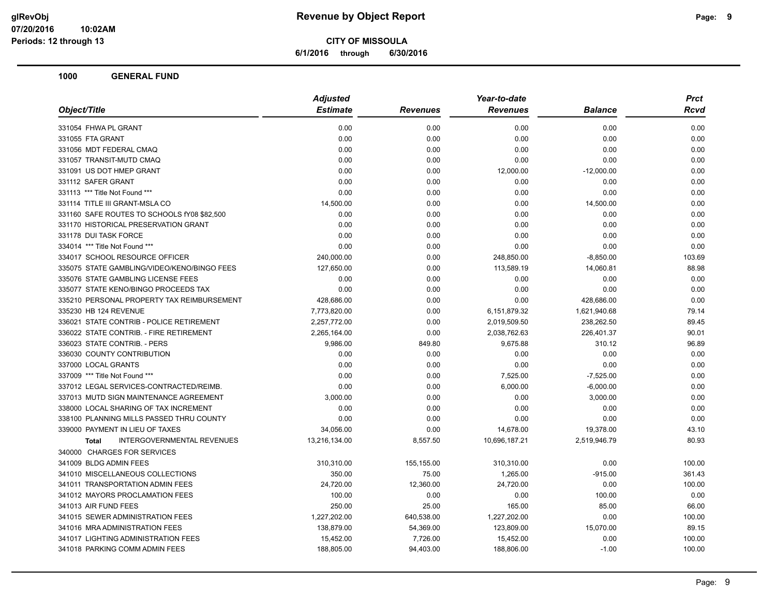**6/1/2016 through 6/30/2016**

| Object/Title                                      | <b>Adjusted</b> |                 | Year-to-date    |                | <b>Prct</b> |
|---------------------------------------------------|-----------------|-----------------|-----------------|----------------|-------------|
|                                                   | <b>Estimate</b> | <b>Revenues</b> | <b>Revenues</b> | <b>Balance</b> | Rcvd        |
| 331054 FHWA PL GRANT                              | 0.00            | 0.00            | 0.00            | 0.00           | 0.00        |
| 331055 FTA GRANT                                  | 0.00            | 0.00            | 0.00            | 0.00           | 0.00        |
| 331056 MDT FEDERAL CMAQ                           | 0.00            | 0.00            | 0.00            | 0.00           | 0.00        |
| 331057 TRANSIT-MUTD CMAQ                          | 0.00            | 0.00            | 0.00            | 0.00           | 0.00        |
| 331091 US DOT HMEP GRANT                          | 0.00            | 0.00            | 12,000.00       | $-12,000.00$   | 0.00        |
| 331112 SAFER GRANT                                | 0.00            | 0.00            | 0.00            | 0.00           | 0.00        |
| 331113 *** Title Not Found ***                    | 0.00            | 0.00            | 0.00            | 0.00           | 0.00        |
| 331114 TITLE III GRANT-MSLA CO                    | 14,500.00       | 0.00            | 0.00            | 14,500.00      | 0.00        |
| 331160 SAFE ROUTES TO SCHOOLS fY08 \$82,500       | 0.00            | 0.00            | 0.00            | 0.00           | 0.00        |
| 331170 HISTORICAL PRESERVATION GRANT              | 0.00            | 0.00            | 0.00            | 0.00           | 0.00        |
| 331178 DUI TASK FORCE                             | 0.00            | 0.00            | 0.00            | 0.00           | 0.00        |
| 334014 *** Title Not Found ***                    | 0.00            | 0.00            | 0.00            | 0.00           | 0.00        |
| 334017 SCHOOL RESOURCE OFFICER                    | 240,000.00      | 0.00            | 248,850.00      | $-8,850.00$    | 103.69      |
| 335075 STATE GAMBLING/VIDEO/KENO/BINGO FEES       | 127,650.00      | 0.00            | 113,589.19      | 14,060.81      | 88.98       |
| 335076 STATE GAMBLING LICENSE FEES                | 0.00            | 0.00            | 0.00            | 0.00           | 0.00        |
| 335077 STATE KENO/BINGO PROCEEDS TAX              | 0.00            | 0.00            | 0.00            | 0.00           | 0.00        |
| 335210 PERSONAL PROPERTY TAX REIMBURSEMENT        | 428,686.00      | 0.00            | 0.00            | 428,686.00     | 0.00        |
| 335230 HB 124 REVENUE                             | 7,773,820.00    | 0.00            | 6,151,879.32    | 1,621,940.68   | 79.14       |
| 336021 STATE CONTRIB - POLICE RETIREMENT          | 2,257,772.00    | 0.00            | 2,019,509.50    | 238,262.50     | 89.45       |
| 336022 STATE CONTRIB. - FIRE RETIREMENT           | 2,265,164.00    | 0.00            | 2,038,762.63    | 226,401.37     | 90.01       |
| 336023 STATE CONTRIB. - PERS                      | 9,986.00        | 849.80          | 9,675.88        | 310.12         | 96.89       |
| 336030 COUNTY CONTRIBUTION                        | 0.00            | 0.00            | 0.00            | 0.00           | 0.00        |
| 337000 LOCAL GRANTS                               | 0.00            | 0.00            | 0.00            | 0.00           | 0.00        |
| 337009 *** Title Not Found ***                    | 0.00            | 0.00            | 7,525.00        | $-7,525.00$    | 0.00        |
| 337012 LEGAL SERVICES-CONTRACTED/REIMB.           | 0.00            | 0.00            | 6,000.00        | $-6,000.00$    | 0.00        |
| 337013 MUTD SIGN MAINTENANCE AGREEMENT            | 3,000.00        | 0.00            | 0.00            | 3,000.00       | 0.00        |
| 338000 LOCAL SHARING OF TAX INCREMENT             | 0.00            | 0.00            | 0.00            | 0.00           | 0.00        |
| 338100 PLANNING MILLS PASSED THRU COUNTY          | 0.00            | 0.00            | 0.00            | 0.00           | 0.00        |
| 339000 PAYMENT IN LIEU OF TAXES                   | 34,056.00       | 0.00            | 14,678.00       | 19,378.00      | 43.10       |
| <b>INTERGOVERNMENTAL REVENUES</b><br><b>Total</b> | 13,216,134.00   | 8,557.50        | 10,696,187.21   | 2,519,946.79   | 80.93       |
| 340000 CHARGES FOR SERVICES                       |                 |                 |                 |                |             |
| 341009 BLDG ADMIN FEES                            | 310,310.00      | 155,155.00      | 310,310.00      | 0.00           | 100.00      |
| 341010 MISCELLANEOUS COLLECTIONS                  | 350.00          | 75.00           | 1,265.00        | $-915.00$      | 361.43      |
| 341011 TRANSPORTATION ADMIN FEES                  | 24,720.00       | 12,360.00       | 24,720.00       | 0.00           | 100.00      |
| 341012 MAYORS PROCLAMATION FEES                   | 100.00          | 0.00            | 0.00            | 100.00         | 0.00        |
| 341013 AIR FUND FEES                              | 250.00          | 25.00           | 165.00          | 85.00          | 66.00       |
| 341015 SEWER ADMINISTRATION FEES                  | 1,227,202.00    | 640,538.00      | 1,227,202.00    | 0.00           | 100.00      |
| 341016 MRA ADMINISTRATION FEES                    | 138,879.00      | 54,369.00       | 123,809.00      | 15,070.00      | 89.15       |
| 341017 LIGHTING ADMINISTRATION FEES               | 15,452.00       | 7,726.00        | 15,452.00       | 0.00           | 100.00      |
| 341018 PARKING COMM ADMIN FEES                    | 188,805.00      | 94,403.00       | 188,806.00      | $-1.00$        | 100.00      |
|                                                   |                 |                 |                 |                |             |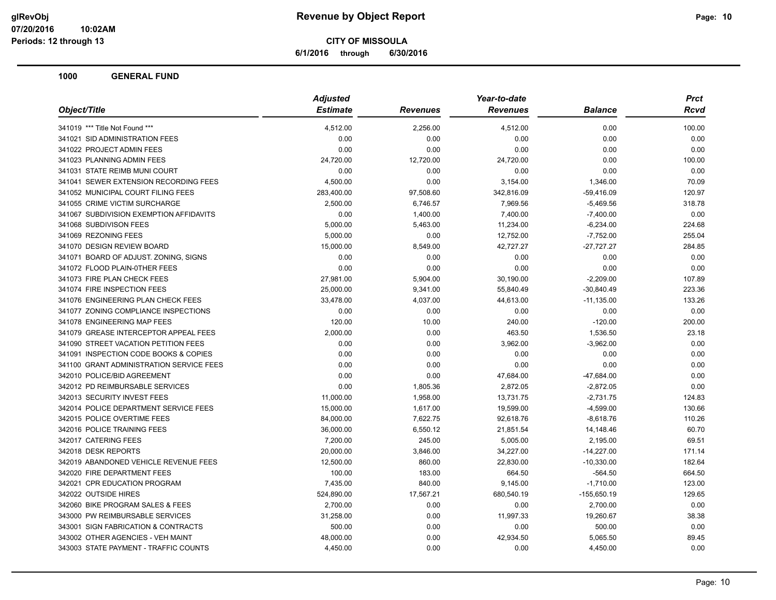**6/1/2016 through 6/30/2016**

| Object/Title                             | <b>Adjusted</b> |                 | Year-to-date    |                | <b>Prct</b> |
|------------------------------------------|-----------------|-----------------|-----------------|----------------|-------------|
|                                          | <b>Estimate</b> | <b>Revenues</b> | <b>Revenues</b> | <b>Balance</b> | Rcvd        |
| 341019 *** Title Not Found ***           | 4,512.00        | 2,256.00        | 4,512.00        | 0.00           | 100.00      |
| 341021 SID ADMINISTRATION FEES           | 0.00            | 0.00            | 0.00            | 0.00           | 0.00        |
| 341022 PROJECT ADMIN FEES                | 0.00            | 0.00            | 0.00            | 0.00           | 0.00        |
| 341023 PLANNING ADMIN FEES               | 24,720.00       | 12,720.00       | 24,720.00       | 0.00           | 100.00      |
| 341031 STATE REIMB MUNI COURT            | 0.00            | 0.00            | 0.00            | 0.00           | 0.00        |
| 341041 SEWER EXTENSION RECORDING FEES    | 4,500.00        | 0.00            | 3,154.00        | 1,346.00       | 70.09       |
| 341052 MUNICIPAL COURT FILING FEES       | 283,400.00      | 97,508.60       | 342,816.09      | $-59,416.09$   | 120.97      |
| 341055 CRIME VICTIM SURCHARGE            | 2,500.00        | 6,746.57        | 7,969.56        | $-5,469.56$    | 318.78      |
| 341067 SUBDIVISION EXEMPTION AFFIDAVITS  | 0.00            | 1,400.00        | 7,400.00        | $-7,400.00$    | 0.00        |
| 341068 SUBDIVISON FEES                   | 5,000.00        | 5,463.00        | 11,234.00       | $-6,234.00$    | 224.68      |
| 341069 REZONING FEES                     | 5,000.00        | 0.00            | 12,752.00       | $-7,752.00$    | 255.04      |
| 341070 DESIGN REVIEW BOARD               | 15,000.00       | 8,549.00        | 42,727.27       | $-27,727.27$   | 284.85      |
| 341071 BOARD OF ADJUST. ZONING, SIGNS    | 0.00            | 0.00            | 0.00            | 0.00           | 0.00        |
| 341072 FLOOD PLAIN-0THER FEES            | 0.00            | 0.00            | 0.00            | 0.00           | 0.00        |
| 341073 FIRE PLAN CHECK FEES              | 27,981.00       | 5,904.00        | 30,190.00       | $-2,209.00$    | 107.89      |
| 341074 FIRE INSPECTION FEES              | 25,000.00       | 9,341.00        | 55,840.49       | $-30,840.49$   | 223.36      |
| 341076 ENGINEERING PLAN CHECK FEES       | 33,478.00       | 4,037.00        | 44,613.00       | $-11,135.00$   | 133.26      |
| 341077 ZONING COMPLIANCE INSPECTIONS     | 0.00            | 0.00            | 0.00            | 0.00           | 0.00        |
| 341078 ENGINEERING MAP FEES              | 120.00          | 10.00           | 240.00          | $-120.00$      | 200.00      |
| 341079 GREASE INTERCEPTOR APPEAL FEES    | 2,000.00        | 0.00            | 463.50          | 1,536.50       | 23.18       |
| 341090 STREET VACATION PETITION FEES     | 0.00            | 0.00            | 3,962.00        | $-3,962.00$    | 0.00        |
| 341091 INSPECTION CODE BOOKS & COPIES    | 0.00            | 0.00            | 0.00            | 0.00           | 0.00        |
| 341100 GRANT ADMINISTRATION SERVICE FEES | 0.00            | 0.00            | 0.00            | 0.00           | 0.00        |
| 342010 POLICE/BID AGREEMENT              | 0.00            | 0.00            | 47,684.00       | $-47,684.00$   | 0.00        |
| 342012 PD REIMBURSABLE SERVICES          | 0.00            | 1,805.36        | 2,872.05        | $-2,872.05$    | 0.00        |
| 342013 SECURITY INVEST FEES              | 11,000.00       | 1,958.00        | 13,731.75       | $-2,731.75$    | 124.83      |
| 342014 POLICE DEPARTMENT SERVICE FEES    | 15,000.00       | 1,617.00        | 19,599.00       | $-4,599.00$    | 130.66      |
| 342015 POLICE OVERTIME FEES              | 84,000.00       | 7,622.75        | 92,618.76       | $-8,618.76$    | 110.26      |
| 342016 POLICE TRAINING FEES              | 36,000.00       | 6,550.12        | 21,851.54       | 14,148.46      | 60.70       |
| 342017 CATERING FEES                     | 7,200.00        | 245.00          | 5,005.00        | 2,195.00       | 69.51       |
| 342018 DESK REPORTS                      | 20,000.00       | 3,846.00        | 34,227.00       | $-14,227.00$   | 171.14      |
| 342019 ABANDONED VEHICLE REVENUE FEES    | 12,500.00       | 860.00          | 22,830.00       | $-10,330.00$   | 182.64      |
| 342020 FIRE DEPARTMENT FEES              | 100.00          | 183.00          | 664.50          | $-564.50$      | 664.50      |
| 342021 CPR EDUCATION PROGRAM             | 7,435.00        | 840.00          | 9,145.00        | $-1,710.00$    | 123.00      |
| 342022 OUTSIDE HIRES                     | 524,890.00      | 17,567.21       | 680,540.19      | $-155,650.19$  | 129.65      |
| 342060 BIKE PROGRAM SALES & FEES         | 2,700.00        | 0.00            | 0.00            | 2,700.00       | 0.00        |
| 343000 PW REIMBURSABLE SERVICES          | 31,258.00       | 0.00            | 11,997.33       | 19,260.67      | 38.38       |
| 343001 SIGN FABRICATION & CONTRACTS      | 500.00          | 0.00            | 0.00            | 500.00         | 0.00        |
| 343002 OTHER AGENCIES - VEH MAINT        | 48,000.00       | 0.00            | 42,934.50       | 5,065.50       | 89.45       |
| 343003 STATE PAYMENT - TRAFFIC COUNTS    | 4,450.00        | 0.00            | 0.00            | 4,450.00       | 0.00        |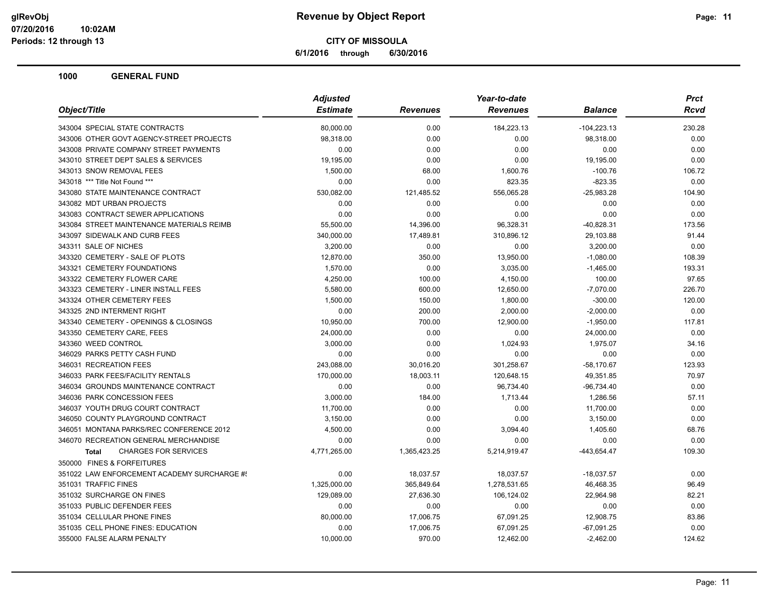**6/1/2016 through 6/30/2016**

| Object/Title                                | <b>Adjusted</b> |                 | Year-to-date    |                | <b>Prct</b> |
|---------------------------------------------|-----------------|-----------------|-----------------|----------------|-------------|
|                                             | <b>Estimate</b> | <b>Revenues</b> | <b>Revenues</b> | <b>Balance</b> | Rcvd        |
| 343004 SPECIAL STATE CONTRACTS              | 80,000.00       | 0.00            | 184,223.13      | $-104,223.13$  | 230.28      |
| 343006 OTHER GOVT AGENCY-STREET PROJECTS    | 98,318.00       | 0.00            | 0.00            | 98,318.00      | 0.00        |
| 343008 PRIVATE COMPANY STREET PAYMENTS      | 0.00            | 0.00            | 0.00            | 0.00           | 0.00        |
| 343010 STREET DEPT SALES & SERVICES         | 19,195.00       | 0.00            | 0.00            | 19,195.00      | 0.00        |
| 343013 SNOW REMOVAL FEES                    | 1,500.00        | 68.00           | 1,600.76        | $-100.76$      | 106.72      |
| 343018 *** Title Not Found ***              | 0.00            | 0.00            | 823.35          | $-823.35$      | 0.00        |
| 343080 STATE MAINTENANCE CONTRACT           | 530,082.00      | 121,485.52      | 556,065.28      | $-25,983.28$   | 104.90      |
| 343082 MDT URBAN PROJECTS                   | 0.00            | 0.00            | 0.00            | 0.00           | 0.00        |
| 343083 CONTRACT SEWER APPLICATIONS          | 0.00            | 0.00            | 0.00            | 0.00           | 0.00        |
| 343084 STREET MAINTENANCE MATERIALS REIMB   | 55,500.00       | 14,396.00       | 96,328.31       | $-40,828.31$   | 173.56      |
| 343097 SIDEWALK AND CURB FEES               | 340,000.00      | 17,489.81       | 310,896.12      | 29,103.88      | 91.44       |
| 343311 SALE OF NICHES                       | 3,200.00        | 0.00            | 0.00            | 3,200.00       | 0.00        |
| 343320 CEMETERY - SALE OF PLOTS             | 12,870.00       | 350.00          | 13,950.00       | $-1,080.00$    | 108.39      |
| 343321 CEMETERY FOUNDATIONS                 | 1,570.00        | 0.00            | 3,035.00        | $-1,465.00$    | 193.31      |
| 343322 CEMETERY FLOWER CARE                 | 4,250.00        | 100.00          | 4,150.00        | 100.00         | 97.65       |
| 343323 CEMETERY - LINER INSTALL FEES        | 5,580.00        | 600.00          | 12,650.00       | $-7,070.00$    | 226.70      |
| 343324 OTHER CEMETERY FEES                  | 1,500.00        | 150.00          | 1,800.00        | $-300.00$      | 120.00      |
| 343325 2ND INTERMENT RIGHT                  | 0.00            | 200.00          | 2,000.00        | $-2,000.00$    | 0.00        |
| 343340 CEMETERY - OPENINGS & CLOSINGS       | 10,950.00       | 700.00          | 12,900.00       | $-1,950.00$    | 117.81      |
| 343350 CEMETERY CARE, FEES                  | 24,000.00       | 0.00            | 0.00            | 24,000.00      | 0.00        |
| 343360 WEED CONTROL                         | 3,000.00        | 0.00            | 1,024.93        | 1,975.07       | 34.16       |
| 346029 PARKS PETTY CASH FUND                | 0.00            | 0.00            | 0.00            | 0.00           | 0.00        |
| 346031 RECREATION FEES                      | 243,088.00      | 30,016.20       | 301,258.67      | $-58,170.67$   | 123.93      |
| 346033 PARK FEES/FACILITY RENTALS           | 170,000.00      | 18,003.11       | 120,648.15      | 49,351.85      | 70.97       |
| 346034 GROUNDS MAINTENANCE CONTRACT         | 0.00            | 0.00            | 96,734.40       | $-96,734.40$   | 0.00        |
| 346036 PARK CONCESSION FEES                 | 3,000.00        | 184.00          | 1,713.44        | 1,286.56       | 57.11       |
| 346037 YOUTH DRUG COURT CONTRACT            | 11,700.00       | 0.00            | 0.00            | 11,700.00      | 0.00        |
| 346050 COUNTY PLAYGROUND CONTRACT           | 3,150.00        | 0.00            | 0.00            | 3,150.00       | 0.00        |
| 346051 MONTANA PARKS/REC CONFERENCE 2012    | 4,500.00        | 0.00            | 3,094.40        | 1.405.60       | 68.76       |
| 346070 RECREATION GENERAL MERCHANDISE       | 0.00            | 0.00            | 0.00            | 0.00           | 0.00        |
| <b>CHARGES FOR SERVICES</b><br><b>Total</b> | 4,771,265.00    | 1,365,423.25    | 5,214,919.47    | -443,654.47    | 109.30      |
| 350000 FINES & FORFEITURES                  |                 |                 |                 |                |             |
| 351022 LAW ENFORCEMENT ACADEMY SURCHARGE #  | 0.00            | 18,037.57       | 18,037.57       | $-18,037.57$   | 0.00        |
| 351031 TRAFFIC FINES                        | 1,325,000.00    | 365,849.64      | 1,278,531.65    | 46,468.35      | 96.49       |
| 351032 SURCHARGE ON FINES                   | 129,089.00      | 27,636.30       | 106,124.02      | 22,964.98      | 82.21       |
| 351033 PUBLIC DEFENDER FEES                 | 0.00            | 0.00            | 0.00            | 0.00           | 0.00        |
| 351034 CELLULAR PHONE FINES                 | 80,000.00       | 17,006.75       | 67,091.25       | 12,908.75      | 83.86       |
| 351035 CELL PHONE FINES: EDUCATION          | 0.00            | 17,006.75       | 67,091.25       | $-67,091.25$   | 0.00        |
| 355000 FALSE ALARM PENALTY                  | 10.000.00       | 970.00          | 12.462.00       | $-2.462.00$    | 124.62      |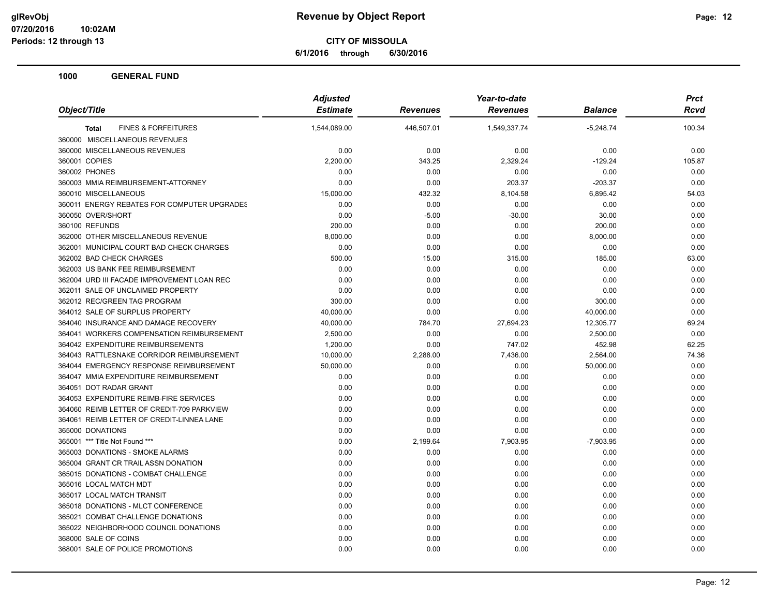**6/1/2016 through 6/30/2016**

| Object/Title                                   | <b>Adjusted</b><br><b>Estimate</b> | Revenues   | Year-to-date<br><b>Revenues</b> | <b>Balance</b> | <b>Prct</b><br>Rcvd |
|------------------------------------------------|------------------------------------|------------|---------------------------------|----------------|---------------------|
|                                                |                                    |            |                                 |                |                     |
| <b>FINES &amp; FORFEITURES</b><br><b>Total</b> | 1,544,089.00                       | 446,507.01 | 1,549,337.74                    | $-5,248.74$    | 100.34              |
| 360000 MISCELLANEOUS REVENUES                  |                                    |            |                                 |                |                     |
| 360000 MISCELLANEOUS REVENUES                  | 0.00                               | 0.00       | 0.00                            | 0.00           | 0.00                |
| 360001 COPIES                                  | 2,200.00                           | 343.25     | 2,329.24                        | $-129.24$      | 105.87              |
| 360002 PHONES                                  | 0.00                               | 0.00       | 0.00                            | 0.00           | 0.00                |
| 360003 MMIA REIMBURSEMENT-ATTORNEY             | 0.00                               | 0.00       | 203.37                          | $-203.37$      | 0.00                |
| 360010 MISCELLANEOUS                           | 15,000.00                          | 432.32     | 8,104.58                        | 6,895.42       | 54.03               |
| 360011 ENERGY REBATES FOR COMPUTER UPGRADES    | 0.00                               | 0.00       | 0.00                            | 0.00           | 0.00                |
| 360050 OVER/SHORT                              | 0.00                               | $-5.00$    | $-30.00$                        | 30.00          | 0.00                |
| 360100 REFUNDS                                 | 200.00                             | 0.00       | 0.00                            | 200.00         | 0.00                |
| 362000 OTHER MISCELLANEOUS REVENUE             | 8,000.00                           | 0.00       | 0.00                            | 8,000.00       | 0.00                |
| 362001 MUNICIPAL COURT BAD CHECK CHARGES       | 0.00                               | 0.00       | 0.00                            | 0.00           | 0.00                |
| 362002 BAD CHECK CHARGES                       | 500.00                             | 15.00      | 315.00                          | 185.00         | 63.00               |
| 362003 US BANK FEE REIMBURSEMENT               | 0.00                               | 0.00       | 0.00                            | 0.00           | 0.00                |
| 362004 URD III FACADE IMPROVEMENT LOAN REC     | 0.00                               | 0.00       | 0.00                            | 0.00           | 0.00                |
| 362011 SALE OF UNCLAIMED PROPERTY              | 0.00                               | 0.00       | 0.00                            | 0.00           | 0.00                |
| 362012 REC/GREEN TAG PROGRAM                   | 300.00                             | 0.00       | 0.00                            | 300.00         | 0.00                |
| 364012 SALE OF SURPLUS PROPERTY                | 40,000.00                          | 0.00       | 0.00                            | 40,000.00      | 0.00                |
| 364040 INSURANCE AND DAMAGE RECOVERY           | 40,000.00                          | 784.70     | 27,694.23                       | 12,305.77      | 69.24               |
| 364041 WORKERS COMPENSATION REIMBURSEMENT      | 2,500.00                           | 0.00       | 0.00                            | 2,500.00       | 0.00                |
| 364042 EXPENDITURE REIMBURSEMENTS              | 1,200.00                           | 0.00       | 747.02                          | 452.98         | 62.25               |
| 364043 RATTLESNAKE CORRIDOR REIMBURSEMENT      | 10,000.00                          | 2,288.00   | 7,436.00                        | 2,564.00       | 74.36               |
| 364044 EMERGENCY RESPONSE REIMBURSEMENT        | 50,000.00                          | 0.00       | 0.00                            | 50,000.00      | 0.00                |
| 364047 MMIA EXPENDITURE REIMBURSEMENT          | 0.00                               | 0.00       | 0.00                            | 0.00           | 0.00                |
| 364051 DOT RADAR GRANT                         | 0.00                               | 0.00       | 0.00                            | 0.00           | 0.00                |
| 364053 EXPENDITURE REIMB-FIRE SERVICES         | 0.00                               | 0.00       | 0.00                            | 0.00           | 0.00                |
| 364060 REIMB LETTER OF CREDIT-709 PARKVIEW     | 0.00                               | 0.00       | 0.00                            | 0.00           | 0.00                |
| 364061 REIMB LETTER OF CREDIT-LINNEA LANE      | 0.00                               | 0.00       | 0.00                            | 0.00           | 0.00                |
| 365000 DONATIONS                               | 0.00                               | 0.00       | 0.00                            | 0.00           | 0.00                |
| 365001 *** Title Not Found ***                 | 0.00                               | 2,199.64   | 7,903.95                        | $-7,903.95$    | 0.00                |
| 365003 DONATIONS - SMOKE ALARMS                | 0.00                               | 0.00       | 0.00                            | 0.00           | 0.00                |
| 365004 GRANT CR TRAIL ASSN DONATION            | 0.00                               | 0.00       | 0.00                            | 0.00           | 0.00                |
| 365015 DONATIONS - COMBAT CHALLENGE            | 0.00                               | 0.00       | 0.00                            | 0.00           | 0.00                |
| 365016 LOCAL MATCH MDT                         | 0.00                               | 0.00       | 0.00                            | 0.00           | 0.00                |
| 365017 LOCAL MATCH TRANSIT                     | 0.00                               | 0.00       | 0.00                            | 0.00           | 0.00                |
| 365018 DONATIONS - MLCT CONFERENCE             | 0.00                               | 0.00       | 0.00                            | 0.00           | 0.00                |
| 365021 COMBAT CHALLENGE DONATIONS              | 0.00                               | 0.00       | 0.00                            | 0.00           | 0.00                |
| 365022 NEIGHBORHOOD COUNCIL DONATIONS          | 0.00                               | 0.00       | 0.00                            | 0.00           | 0.00                |
| 368000 SALE OF COINS                           |                                    |            |                                 |                |                     |
|                                                | 0.00                               | 0.00       | 0.00                            | 0.00           | 0.00                |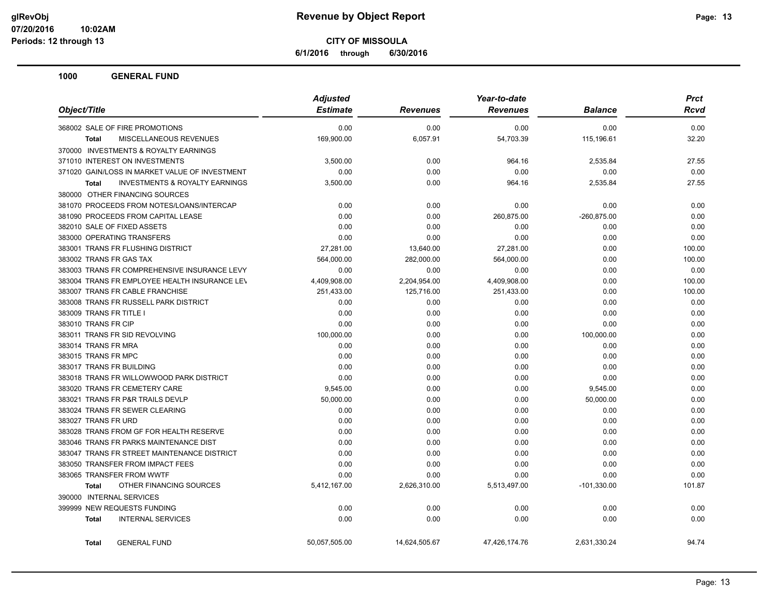**6/1/2016 through 6/30/2016**

| Object/Title                                              | <b>Adjusted</b><br><b>Estimate</b> | <b>Revenues</b> | Year-to-date<br><b>Revenues</b> | <b>Balance</b> | <b>Prct</b><br>Rcvd |
|-----------------------------------------------------------|------------------------------------|-----------------|---------------------------------|----------------|---------------------|
| 368002 SALE OF FIRE PROMOTIONS                            | 0.00                               | 0.00            | 0.00                            | 0.00           | 0.00                |
| MISCELLANEOUS REVENUES                                    | 169.900.00                         |                 | 54,703.39                       |                | 32.20               |
| Total                                                     |                                    | 6,057.91        |                                 | 115,196.61     |                     |
| 370000 INVESTMENTS & ROYALTY EARNINGS                     |                                    |                 |                                 |                |                     |
| 371010 INTEREST ON INVESTMENTS                            | 3,500.00                           | 0.00            | 964.16                          | 2,535.84       | 27.55               |
| 371020 GAIN/LOSS IN MARKET VALUE OF INVESTMENT            | 0.00                               | 0.00            | 0.00                            | 0.00           | 0.00                |
| <b>INVESTMENTS &amp; ROYALTY EARNINGS</b><br><b>Total</b> | 3,500.00                           | 0.00            | 964.16                          | 2,535.84       | 27.55               |
| 380000 OTHER FINANCING SOURCES                            |                                    |                 |                                 |                |                     |
| 381070 PROCEEDS FROM NOTES/LOANS/INTERCAP                 | 0.00                               | 0.00            | 0.00                            | 0.00           | 0.00                |
| 381090 PROCEEDS FROM CAPITAL LEASE                        | 0.00                               | 0.00            | 260,875.00                      | $-260,875.00$  | 0.00                |
| 382010 SALE OF FIXED ASSETS                               | 0.00                               | 0.00            | 0.00                            | 0.00           | 0.00                |
| 383000 OPERATING TRANSFERS                                | 0.00                               | 0.00            | 0.00                            | 0.00           | 0.00                |
| 383001 TRANS FR FLUSHING DISTRICT                         | 27,281.00                          | 13,640.00       | 27,281.00                       | 0.00           | 100.00              |
| 383002 TRANS FR GAS TAX                                   | 564,000.00                         | 282,000.00      | 564,000.00                      | 0.00           | 100.00              |
| 383003 TRANS FR COMPREHENSIVE INSURANCE LEVY              | 0.00                               | 0.00            | 0.00                            | 0.00           | 0.00                |
| 383004 TRANS FR EMPLOYEE HEALTH INSURANCE LEV             | 4,409,908.00                       | 2,204,954.00    | 4,409,908.00                    | 0.00           | 100.00              |
| 383007 TRANS FR CABLE FRANCHISE                           | 251,433.00                         | 125,716.00      | 251,433.00                      | 0.00           | 100.00              |
| 383008 TRANS FR RUSSELL PARK DISTRICT                     | 0.00                               | 0.00            | 0.00                            | 0.00           | 0.00                |
| 383009 TRANS FR TITLE I                                   | 0.00                               | 0.00            | 0.00                            | 0.00           | 0.00                |
| 383010 TRANS FR CIP                                       | 0.00                               | 0.00            | 0.00                            | 0.00           | 0.00                |
| 383011 TRANS FR SID REVOLVING                             | 100,000.00                         | 0.00            | 0.00                            | 100,000.00     | 0.00                |
| 383014 TRANS FR MRA                                       | 0.00                               | 0.00            | 0.00                            | 0.00           | 0.00                |
| 383015 TRANS FR MPC                                       | 0.00                               | 0.00            | 0.00                            | 0.00           | 0.00                |
| 383017 TRANS FR BUILDING                                  | 0.00                               | 0.00            | 0.00                            | 0.00           | 0.00                |
| 383018 TRANS FR WILLOWWOOD PARK DISTRICT                  | 0.00                               | 0.00            | 0.00                            | 0.00           | 0.00                |
| 383020 TRANS FR CEMETERY CARE                             | 9,545.00                           | 0.00            | 0.00                            | 9,545.00       | 0.00                |
| 383021 TRANS FR P&R TRAILS DEVLP                          | 50,000.00                          | 0.00            | 0.00                            | 50,000.00      | 0.00                |
| 383024 TRANS FR SEWER CLEARING                            | 0.00                               | 0.00            | 0.00                            | 0.00           | 0.00                |
| 383027 TRANS FR URD                                       | 0.00                               | 0.00            | 0.00                            | 0.00           | 0.00                |
| 383028 TRANS FROM GF FOR HEALTH RESERVE                   | 0.00                               | 0.00            | 0.00                            | 0.00           | 0.00                |
| 383046 TRANS FR PARKS MAINTENANCE DIST                    | 0.00                               | 0.00            | 0.00                            | 0.00           | 0.00                |
| 383047 TRANS FR STREET MAINTENANCE DISTRICT               | 0.00                               | 0.00            | 0.00                            | 0.00           | 0.00                |
| 383050 TRANSFER FROM IMPACT FEES                          | 0.00                               | 0.00            | 0.00                            | 0.00           | 0.00                |
| 383065 TRANSFER FROM WWTF                                 | 0.00                               | 0.00            | 0.00                            | 0.00           | 0.00                |
| OTHER FINANCING SOURCES<br><b>Total</b>                   | 5,412,167.00                       | 2,626,310.00    | 5,513,497.00                    | $-101,330.00$  | 101.87              |
| 390000 INTERNAL SERVICES                                  |                                    |                 |                                 |                |                     |
| 399999 NEW REQUESTS FUNDING                               | 0.00                               | 0.00            | 0.00                            | 0.00           | 0.00                |
| <b>INTERNAL SERVICES</b><br><b>Total</b>                  | 0.00                               | 0.00            | 0.00                            | 0.00           | 0.00                |
| <b>GENERAL FUND</b><br><b>Total</b>                       | 50.057.505.00                      | 14,624,505.67   | 47.426.174.76                   | 2.631.330.24   | 94.74               |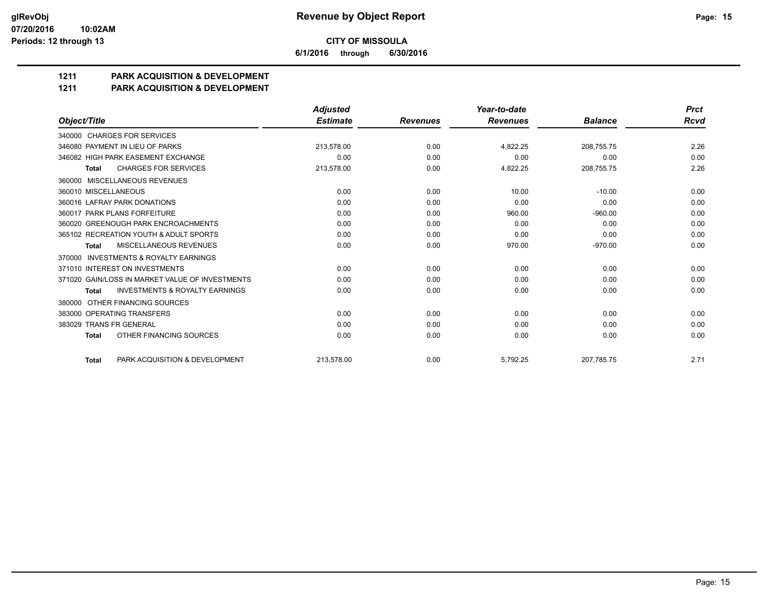**6/1/2016 through 6/30/2016**

# **1211 PARK ACQUISITION & DEVELOPMENT**

#### **1211 PARK ACQUISITION & DEVELOPMENT**

|                                                           | <b>Adjusted</b> |                 | Year-to-date    |                | <b>Prct</b> |
|-----------------------------------------------------------|-----------------|-----------------|-----------------|----------------|-------------|
| Object/Title                                              | <b>Estimate</b> | <b>Revenues</b> | <b>Revenues</b> | <b>Balance</b> | <b>Rcvd</b> |
| 340000 CHARGES FOR SERVICES                               |                 |                 |                 |                |             |
| 346080 PAYMENT IN LIEU OF PARKS                           | 213,578.00      | 0.00            | 4,822.25        | 208,755.75     | 2.26        |
| 346082 HIGH PARK EASEMENT EXCHANGE                        | 0.00            | 0.00            | 0.00            | 0.00           | 0.00        |
| <b>CHARGES FOR SERVICES</b><br><b>Total</b>               | 213,578.00      | 0.00            | 4,822.25        | 208,755.75     | 2.26        |
| MISCELLANEOUS REVENUES<br>360000                          |                 |                 |                 |                |             |
| 360010 MISCELLANEOUS                                      | 0.00            | 0.00            | 10.00           | $-10.00$       | 0.00        |
| 360016 LAFRAY PARK DONATIONS                              | 0.00            | 0.00            | 0.00            | 0.00           | 0.00        |
| 360017 PARK PLANS FORFEITURE                              | 0.00            | 0.00            | 960.00          | $-960.00$      | 0.00        |
| 360020 GREENOUGH PARK ENCROACHMENTS                       | 0.00            | 0.00            | 0.00            | 0.00           | 0.00        |
| 365102 RECREATION YOUTH & ADULT SPORTS                    | 0.00            | 0.00            | 0.00            | 0.00           | 0.00        |
| MISCELLANEOUS REVENUES<br><b>Total</b>                    | 0.00            | 0.00            | 970.00          | $-970.00$      | 0.00        |
| <b>INVESTMENTS &amp; ROYALTY EARNINGS</b><br>370000       |                 |                 |                 |                |             |
| 371010 INTEREST ON INVESTMENTS                            | 0.00            | 0.00            | 0.00            | 0.00           | 0.00        |
| 371020 GAIN/LOSS IN MARKET VALUE OF INVESTMENTS           | 0.00            | 0.00            | 0.00            | 0.00           | 0.00        |
| <b>INVESTMENTS &amp; ROYALTY EARNINGS</b><br><b>Total</b> | 0.00            | 0.00            | 0.00            | 0.00           | 0.00        |
| OTHER FINANCING SOURCES<br>380000                         |                 |                 |                 |                |             |
| 383000 OPERATING TRANSFERS                                | 0.00            | 0.00            | 0.00            | 0.00           | 0.00        |
| 383029 TRANS FR GENERAL                                   | 0.00            | 0.00            | 0.00            | 0.00           | 0.00        |
| OTHER FINANCING SOURCES<br><b>Total</b>                   | 0.00            | 0.00            | 0.00            | 0.00           | 0.00        |
| PARK ACQUISITION & DEVELOPMENT<br><b>Total</b>            | 213.578.00      | 0.00            | 5.792.25        | 207.785.75     | 2.71        |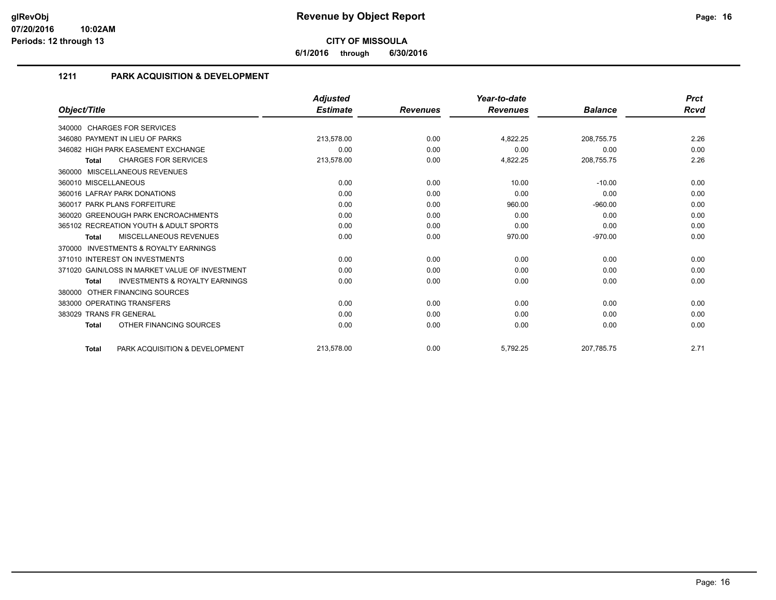**6/1/2016 through 6/30/2016**

## **1211 PARK ACQUISITION & DEVELOPMENT**

|                                                           | <b>Adjusted</b> |                 | Year-to-date    |                | <b>Prct</b> |
|-----------------------------------------------------------|-----------------|-----------------|-----------------|----------------|-------------|
| Object/Title                                              | <b>Estimate</b> | <b>Revenues</b> | <b>Revenues</b> | <b>Balance</b> | Rcvd        |
| 340000 CHARGES FOR SERVICES                               |                 |                 |                 |                |             |
| 346080 PAYMENT IN LIEU OF PARKS                           | 213,578.00      | 0.00            | 4,822.25        | 208,755.75     | 2.26        |
| 346082 HIGH PARK EASEMENT EXCHANGE                        | 0.00            | 0.00            | 0.00            | 0.00           | 0.00        |
| <b>CHARGES FOR SERVICES</b><br><b>Total</b>               | 213,578.00      | 0.00            | 4,822.25        | 208,755.75     | 2.26        |
| MISCELLANEOUS REVENUES<br>360000                          |                 |                 |                 |                |             |
| 360010 MISCELLANEOUS                                      | 0.00            | 0.00            | 10.00           | $-10.00$       | 0.00        |
| 360016 LAFRAY PARK DONATIONS                              | 0.00            | 0.00            | 0.00            | 0.00           | 0.00        |
| 360017 PARK PLANS FORFEITURE                              | 0.00            | 0.00            | 960.00          | $-960.00$      | 0.00        |
| 360020 GREENOUGH PARK ENCROACHMENTS                       | 0.00            | 0.00            | 0.00            | 0.00           | 0.00        |
| 365102 RECREATION YOUTH & ADULT SPORTS                    | 0.00            | 0.00            | 0.00            | 0.00           | 0.00        |
| <b>MISCELLANEOUS REVENUES</b><br><b>Total</b>             | 0.00            | 0.00            | 970.00          | $-970.00$      | 0.00        |
| <b>INVESTMENTS &amp; ROYALTY EARNINGS</b><br>370000       |                 |                 |                 |                |             |
| 371010 INTEREST ON INVESTMENTS                            | 0.00            | 0.00            | 0.00            | 0.00           | 0.00        |
| 371020 GAIN/LOSS IN MARKET VALUE OF INVESTMENT            | 0.00            | 0.00            | 0.00            | 0.00           | 0.00        |
| <b>INVESTMENTS &amp; ROYALTY EARNINGS</b><br><b>Total</b> | 0.00            | 0.00            | 0.00            | 0.00           | 0.00        |
| OTHER FINANCING SOURCES<br>380000                         |                 |                 |                 |                |             |
| 383000 OPERATING TRANSFERS                                | 0.00            | 0.00            | 0.00            | 0.00           | 0.00        |
| 383029 TRANS FR GENERAL                                   | 0.00            | 0.00            | 0.00            | 0.00           | 0.00        |
| OTHER FINANCING SOURCES<br><b>Total</b>                   | 0.00            | 0.00            | 0.00            | 0.00           | 0.00        |
| PARK ACQUISITION & DEVELOPMENT<br><b>Total</b>            | 213,578.00      | 0.00            | 5,792.25        | 207,785.75     | 2.71        |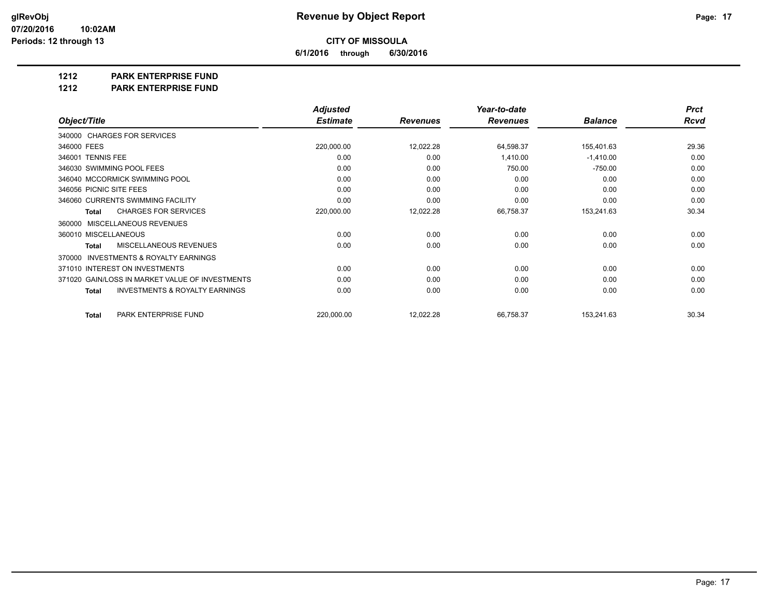**6/1/2016 through 6/30/2016**

**1212 PARK ENTERPRISE FUND**

**1212 PARK ENTERPRISE FUND**

|                                                     | <b>Adjusted</b> |                 | Year-to-date    |                | <b>Prct</b> |
|-----------------------------------------------------|-----------------|-----------------|-----------------|----------------|-------------|
| Object/Title                                        | <b>Estimate</b> | <b>Revenues</b> | <b>Revenues</b> | <b>Balance</b> | <b>Rcvd</b> |
| 340000 CHARGES FOR SERVICES                         |                 |                 |                 |                |             |
| 346000 FEES                                         | 220,000.00      | 12,022.28       | 64,598.37       | 155,401.63     | 29.36       |
| 346001 TENNIS FEE                                   | 0.00            | 0.00            | 1,410.00        | $-1,410.00$    | 0.00        |
| 346030 SWIMMING POOL FEES                           | 0.00            | 0.00            | 750.00          | $-750.00$      | 0.00        |
| 346040 MCCORMICK SWIMMING POOL                      | 0.00            | 0.00            | 0.00            | 0.00           | 0.00        |
| 346056 PICNIC SITE FEES                             | 0.00            | 0.00            | 0.00            | 0.00           | 0.00        |
| 346060 CURRENTS SWIMMING FACILITY                   | 0.00            | 0.00            | 0.00            | 0.00           | 0.00        |
| <b>CHARGES FOR SERVICES</b><br><b>Total</b>         | 220,000.00      | 12,022.28       | 66,758.37       | 153,241.63     | 30.34       |
| MISCELLANEOUS REVENUES<br>360000                    |                 |                 |                 |                |             |
| 360010 MISCELLANEOUS                                | 0.00            | 0.00            | 0.00            | 0.00           | 0.00        |
| MISCELLANEOUS REVENUES<br>Total                     | 0.00            | 0.00            | 0.00            | 0.00           | 0.00        |
| <b>INVESTMENTS &amp; ROYALTY EARNINGS</b><br>370000 |                 |                 |                 |                |             |
| 371010 INTEREST ON INVESTMENTS                      | 0.00            | 0.00            | 0.00            | 0.00           | 0.00        |
| 371020 GAIN/LOSS IN MARKET VALUE OF INVESTMENTS     | 0.00            | 0.00            | 0.00            | 0.00           | 0.00        |
| <b>INVESTMENTS &amp; ROYALTY EARNINGS</b><br>Total  | 0.00            | 0.00            | 0.00            | 0.00           | 0.00        |
| PARK ENTERPRISE FUND<br><b>Total</b>                | 220,000.00      | 12,022.28       | 66,758.37       | 153,241.63     | 30.34       |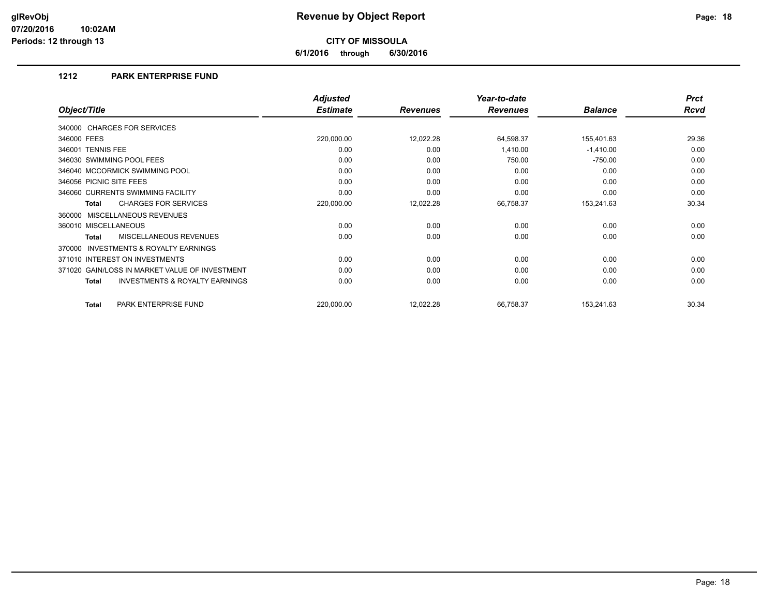**6/1/2016 through 6/30/2016**

#### **1212 PARK ENTERPRISE FUND**

|                                                           | <b>Adjusted</b> |                 | Year-to-date    |                | <b>Prct</b> |
|-----------------------------------------------------------|-----------------|-----------------|-----------------|----------------|-------------|
| Object/Title                                              | <b>Estimate</b> | <b>Revenues</b> | <b>Revenues</b> | <b>Balance</b> | <b>Rcvd</b> |
| 340000 CHARGES FOR SERVICES                               |                 |                 |                 |                |             |
| 346000 FEES                                               | 220,000.00      | 12,022.28       | 64,598.37       | 155,401.63     | 29.36       |
| 346001 TENNIS FEE                                         | 0.00            | 0.00            | 1,410.00        | $-1,410.00$    | 0.00        |
| 346030 SWIMMING POOL FEES                                 | 0.00            | 0.00            | 750.00          | $-750.00$      | 0.00        |
| 346040 MCCORMICK SWIMMING POOL                            | 0.00            | 0.00            | 0.00            | 0.00           | 0.00        |
| 346056 PICNIC SITE FEES                                   | 0.00            | 0.00            | 0.00            | 0.00           | 0.00        |
| 346060 CURRENTS SWIMMING FACILITY                         | 0.00            | 0.00            | 0.00            | 0.00           | 0.00        |
| <b>CHARGES FOR SERVICES</b><br><b>Total</b>               | 220,000.00      | 12,022.28       | 66,758.37       | 153,241.63     | 30.34       |
| 360000 MISCELLANEOUS REVENUES                             |                 |                 |                 |                |             |
| 360010 MISCELLANEOUS                                      | 0.00            | 0.00            | 0.00            | 0.00           | 0.00        |
| MISCELLANEOUS REVENUES<br>Total                           | 0.00            | 0.00            | 0.00            | 0.00           | 0.00        |
| <b>INVESTMENTS &amp; ROYALTY EARNINGS</b><br>370000       |                 |                 |                 |                |             |
| 371010 INTEREST ON INVESTMENTS                            | 0.00            | 0.00            | 0.00            | 0.00           | 0.00        |
| 371020 GAIN/LOSS IN MARKET VALUE OF INVESTMENT            | 0.00            | 0.00            | 0.00            | 0.00           | 0.00        |
| <b>INVESTMENTS &amp; ROYALTY EARNINGS</b><br><b>Total</b> | 0.00            | 0.00            | 0.00            | 0.00           | 0.00        |
| PARK ENTERPRISE FUND<br>Total                             | 220,000.00      | 12,022.28       | 66,758.37       | 153,241.63     | 30.34       |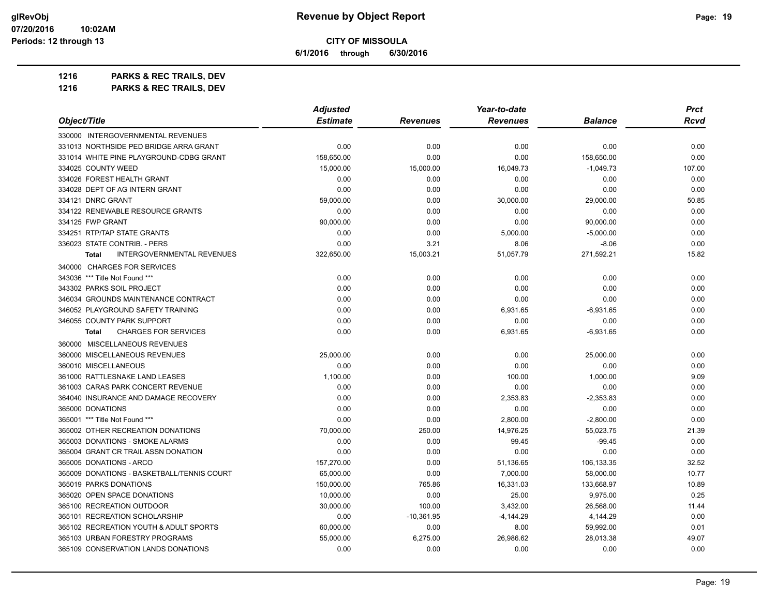**6/1/2016 through 6/30/2016**

**1216 PARKS & REC TRAILS, DEV**

|                                                   | <b>Adjusted</b> |                 | Year-to-date    |                | <b>Prct</b> |
|---------------------------------------------------|-----------------|-----------------|-----------------|----------------|-------------|
| Object/Title                                      | <b>Estimate</b> | <b>Revenues</b> | <b>Revenues</b> | <b>Balance</b> | <b>Rcvd</b> |
| 330000 INTERGOVERNMENTAL REVENUES                 |                 |                 |                 |                |             |
| 331013 NORTHSIDE PED BRIDGE ARRA GRANT            | 0.00            | 0.00            | 0.00            | 0.00           | 0.00        |
| 331014 WHITE PINE PLAYGROUND-CDBG GRANT           | 158.650.00      | 0.00            | 0.00            | 158,650.00     | 0.00        |
| 334025 COUNTY WEED                                | 15,000.00       | 15,000.00       | 16,049.73       | $-1,049.73$    | 107.00      |
| 334026 FOREST HEALTH GRANT                        | 0.00            | 0.00            | 0.00            | 0.00           | 0.00        |
| 334028 DEPT OF AG INTERN GRANT                    | 0.00            | 0.00            | 0.00            | 0.00           | 0.00        |
| 334121 DNRC GRANT                                 | 59,000.00       | 0.00            | 30,000.00       | 29.000.00      | 50.85       |
| 334122 RENEWABLE RESOURCE GRANTS                  | 0.00            | 0.00            | 0.00            | 0.00           | 0.00        |
| 334125 FWP GRANT                                  | 90,000.00       | 0.00            | 0.00            | 90,000.00      | 0.00        |
| 334251 RTP/TAP STATE GRANTS                       | 0.00            | 0.00            | 5,000.00        | $-5,000.00$    | 0.00        |
| 336023 STATE CONTRIB. - PERS                      | 0.00            | 3.21            | 8.06            | $-8.06$        | 0.00        |
| <b>INTERGOVERNMENTAL REVENUES</b><br><b>Total</b> | 322,650.00      | 15,003.21       | 51,057.79       | 271,592.21     | 15.82       |
| 340000 CHARGES FOR SERVICES                       |                 |                 |                 |                |             |
| 343036 *** Title Not Found ***                    | 0.00            | 0.00            | 0.00            | 0.00           | 0.00        |
| 343302 PARKS SOIL PROJECT                         | 0.00            | 0.00            | 0.00            | 0.00           | 0.00        |
| 346034 GROUNDS MAINTENANCE CONTRACT               | 0.00            | 0.00            | 0.00            | 0.00           | 0.00        |
| 346052 PLAYGROUND SAFETY TRAINING                 | 0.00            | 0.00            | 6,931.65        | $-6,931.65$    | 0.00        |
| 346055 COUNTY PARK SUPPORT                        | 0.00            | 0.00            | 0.00            | 0.00           | 0.00        |
| <b>CHARGES FOR SERVICES</b><br><b>Total</b>       | 0.00            | 0.00            | 6,931.65        | $-6,931.65$    | 0.00        |
| 360000 MISCELLANEOUS REVENUES                     |                 |                 |                 |                |             |
| 360000 MISCELLANEOUS REVENUES                     | 25.000.00       | 0.00            | 0.00            | 25,000.00      | 0.00        |
| 360010 MISCELLANEOUS                              | 0.00            | 0.00            | 0.00            | 0.00           | 0.00        |
| 361000 RATTLESNAKE LAND LEASES                    | 1,100.00        | 0.00            | 100.00          | 1,000.00       | 9.09        |
| 361003 CARAS PARK CONCERT REVENUE                 | 0.00            | 0.00            | 0.00            | 0.00           | 0.00        |
| 364040 INSURANCE AND DAMAGE RECOVERY              | 0.00            | 0.00            | 2.353.83        | $-2.353.83$    | 0.00        |
| 365000 DONATIONS                                  | 0.00            | 0.00            | 0.00            | 0.00           | 0.00        |
| 365001 *** Title Not Found ***                    | 0.00            | 0.00            | 2,800.00        | $-2,800.00$    | 0.00        |
| 365002 OTHER RECREATION DONATIONS                 | 70,000.00       | 250.00          | 14,976.25       | 55,023.75      | 21.39       |
| 365003 DONATIONS - SMOKE ALARMS                   | 0.00            | 0.00            | 99.45           | $-99.45$       | 0.00        |
| 365004 GRANT CR TRAIL ASSN DONATION               | 0.00            | 0.00            | 0.00            | 0.00           | 0.00        |
| 365005 DONATIONS - ARCO                           | 157,270.00      | 0.00            | 51,136.65       | 106,133.35     | 32.52       |
| 365009 DONATIONS - BASKETBALL/TENNIS COURT        | 65,000.00       | 0.00            | 7,000.00        | 58,000.00      | 10.77       |
| 365019 PARKS DONATIONS                            | 150,000.00      | 765.86          | 16,331.03       | 133,668.97     | 10.89       |
| 365020 OPEN SPACE DONATIONS                       | 10,000.00       | 0.00            | 25.00           | 9,975.00       | 0.25        |
| 365100 RECREATION OUTDOOR                         | 30,000.00       | 100.00          | 3,432.00        | 26,568.00      | 11.44       |
| 365101 RECREATION SCHOLARSHIP                     | 0.00            | $-10,361.95$    | $-4,144.29$     | 4,144.29       | 0.00        |
| 365102 RECREATION YOUTH & ADULT SPORTS            | 60,000.00       | 0.00            | 8.00            | 59,992.00      | 0.01        |
| 365103 URBAN FORESTRY PROGRAMS                    | 55,000.00       | 6,275.00        | 26,986.62       | 28,013.38      | 49.07       |
| 365109 CONSERVATION LANDS DONATIONS               | 0.00            | 0.00            | 0.00            | 0.00           | 0.00        |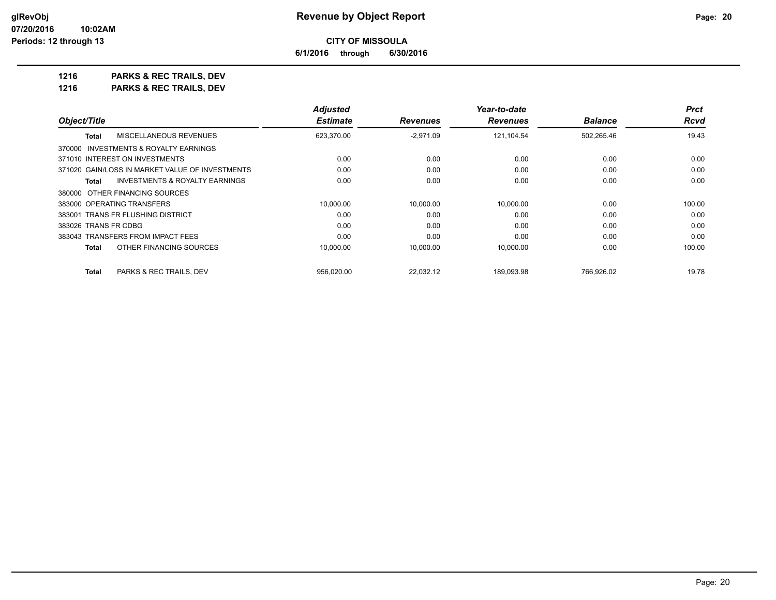**6/1/2016 through 6/30/2016**

| 1216 | <b>PARKS &amp; REC TRAILS, DEV</b> |  |
|------|------------------------------------|--|
|      |                                    |  |

|                                                 | <b>Adjusted</b> |                 | Year-to-date    |                | <b>Prct</b> |
|-------------------------------------------------|-----------------|-----------------|-----------------|----------------|-------------|
| Object/Title                                    | <b>Estimate</b> | <b>Revenues</b> | <b>Revenues</b> | <b>Balance</b> | <b>Rcvd</b> |
| MISCELLANEOUS REVENUES<br><b>Total</b>          | 623,370.00      | $-2.971.09$     | 121,104.54      | 502,265.46     | 19.43       |
| INVESTMENTS & ROYALTY EARNINGS<br>370000        |                 |                 |                 |                |             |
| 371010 INTEREST ON INVESTMENTS                  | 0.00            | 0.00            | 0.00            | 0.00           | 0.00        |
| 371020 GAIN/LOSS IN MARKET VALUE OF INVESTMENTS | 0.00            | 0.00            | 0.00            | 0.00           | 0.00        |
| INVESTMENTS & ROYALTY EARNINGS<br>Total         | 0.00            | 0.00            | 0.00            | 0.00           | 0.00        |
| 380000 OTHER FINANCING SOURCES                  |                 |                 |                 |                |             |
| 383000 OPERATING TRANSFERS                      | 10.000.00       | 10,000.00       | 10,000.00       | 0.00           | 100.00      |
| 383001 TRANS FR FLUSHING DISTRICT               | 0.00            | 0.00            | 0.00            | 0.00           | 0.00        |
| 383026 TRANS FR CDBG                            | 0.00            | 0.00            | 0.00            | 0.00           | 0.00        |
| 383043 TRANSFERS FROM IMPACT FEES               | 0.00            | 0.00            | 0.00            | 0.00           | 0.00        |
| OTHER FINANCING SOURCES<br><b>Total</b>         | 10,000.00       | 10,000.00       | 10,000.00       | 0.00           | 100.00      |
| <b>Total</b><br>PARKS & REC TRAILS. DEV         | 956.020.00      | 22.032.12       | 189,093.98      | 766.926.02     | 19.78       |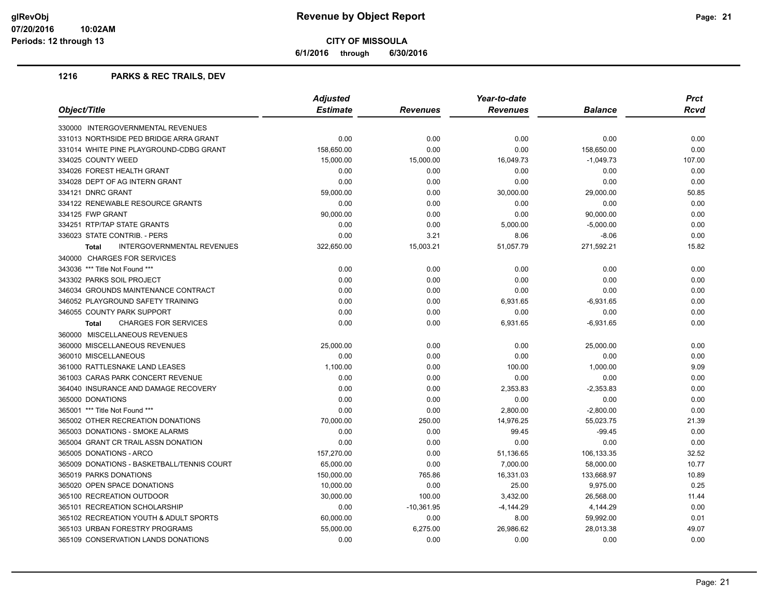**6/1/2016 through 6/30/2016**

|                                                   | <b>Adjusted</b> |                 | Year-to-date    |                | <b>Prct</b> |
|---------------------------------------------------|-----------------|-----------------|-----------------|----------------|-------------|
| Object/Title                                      | <b>Estimate</b> | <b>Revenues</b> | <b>Revenues</b> | <b>Balance</b> | <b>Rcvd</b> |
| 330000 INTERGOVERNMENTAL REVENUES                 |                 |                 |                 |                |             |
| 331013 NORTHSIDE PED BRIDGE ARRA GRANT            | 0.00            | 0.00            | 0.00            | 0.00           | 0.00        |
| 331014 WHITE PINE PLAYGROUND-CDBG GRANT           | 158,650.00      | 0.00            | 0.00            | 158,650.00     | 0.00        |
| 334025 COUNTY WEED                                | 15,000.00       | 15,000.00       | 16,049.73       | $-1,049.73$    | 107.00      |
| 334026 FOREST HEALTH GRANT                        | 0.00            | 0.00            | 0.00            | 0.00           | 0.00        |
| 334028 DEPT OF AG INTERN GRANT                    | 0.00            | 0.00            | 0.00            | 0.00           | 0.00        |
| 334121 DNRC GRANT                                 | 59,000.00       | 0.00            | 30,000.00       | 29,000.00      | 50.85       |
| 334122 RENEWABLE RESOURCE GRANTS                  | 0.00            | 0.00            | 0.00            | 0.00           | 0.00        |
| 334125 FWP GRANT                                  | 90,000.00       | 0.00            | 0.00            | 90,000.00      | 0.00        |
| 334251 RTP/TAP STATE GRANTS                       | 0.00            | 0.00            | 5,000.00        | $-5,000.00$    | 0.00        |
| 336023 STATE CONTRIB. - PERS                      | 0.00            | 3.21            | 8.06            | $-8.06$        | 0.00        |
| <b>INTERGOVERNMENTAL REVENUES</b><br><b>Total</b> | 322,650.00      | 15,003.21       | 51,057.79       | 271,592.21     | 15.82       |
| 340000 CHARGES FOR SERVICES                       |                 |                 |                 |                |             |
| 343036 *** Title Not Found ***                    | 0.00            | 0.00            | 0.00            | 0.00           | 0.00        |
| 343302 PARKS SOIL PROJECT                         | 0.00            | 0.00            | 0.00            | 0.00           | 0.00        |
| 346034 GROUNDS MAINTENANCE CONTRACT               | 0.00            | 0.00            | 0.00            | 0.00           | 0.00        |
| 346052 PLAYGROUND SAFETY TRAINING                 | 0.00            | 0.00            | 6,931.65        | $-6,931.65$    | 0.00        |
| 346055 COUNTY PARK SUPPORT                        | 0.00            | 0.00            | 0.00            | 0.00           | 0.00        |
| <b>CHARGES FOR SERVICES</b><br><b>Total</b>       | 0.00            | 0.00            | 6,931.65        | $-6,931.65$    | 0.00        |
| 360000 MISCELLANEOUS REVENUES                     |                 |                 |                 |                |             |
| 360000 MISCELLANEOUS REVENUES                     | 25,000.00       | 0.00            | 0.00            | 25,000.00      | 0.00        |
| 360010 MISCELLANEOUS                              | 0.00            | 0.00            | 0.00            | 0.00           | 0.00        |
| 361000 RATTLESNAKE LAND LEASES                    | 1,100.00        | 0.00            | 100.00          | 1,000.00       | 9.09        |
| 361003 CARAS PARK CONCERT REVENUE                 | 0.00            | 0.00            | 0.00            | 0.00           | 0.00        |
| 364040 INSURANCE AND DAMAGE RECOVERY              | 0.00            | 0.00            | 2,353.83        | $-2,353.83$    | 0.00        |
| 365000 DONATIONS                                  | 0.00            | 0.00            | 0.00            | 0.00           | 0.00        |
| 365001 *** Title Not Found ***                    | 0.00            | 0.00            | 2,800.00        | $-2,800.00$    | 0.00        |
| 365002 OTHER RECREATION DONATIONS                 | 70,000.00       | 250.00          | 14,976.25       | 55,023.75      | 21.39       |
| 365003 DONATIONS - SMOKE ALARMS                   | 0.00            | 0.00            | 99.45           | $-99.45$       | 0.00        |
| 365004 GRANT CR TRAIL ASSN DONATION               | 0.00            | 0.00            | 0.00            | 0.00           | 0.00        |
| 365005 DONATIONS - ARCO                           | 157,270.00      | 0.00            | 51,136.65       | 106,133.35     | 32.52       |
| 365009 DONATIONS - BASKETBALL/TENNIS COURT        | 65,000.00       | 0.00            | 7,000.00        | 58,000.00      | 10.77       |
| 365019 PARKS DONATIONS                            | 150,000.00      | 765.86          | 16,331.03       | 133,668.97     | 10.89       |
| 365020 OPEN SPACE DONATIONS                       | 10,000.00       | 0.00            | 25.00           | 9,975.00       | 0.25        |
| 365100 RECREATION OUTDOOR                         | 30,000.00       | 100.00          | 3,432.00        | 26,568.00      | 11.44       |
| 365101 RECREATION SCHOLARSHIP                     | 0.00            | $-10,361.95$    | $-4,144.29$     | 4,144.29       | 0.00        |
| 365102 RECREATION YOUTH & ADULT SPORTS            | 60,000.00       | 0.00            | 8.00            | 59,992.00      | 0.01        |
| 365103 URBAN FORESTRY PROGRAMS                    | 55,000.00       | 6,275.00        | 26,986.62       | 28,013.38      | 49.07       |
| 365109 CONSERVATION LANDS DONATIONS               | 0.00            | 0.00            | 0.00            | 0.00           | 0.00        |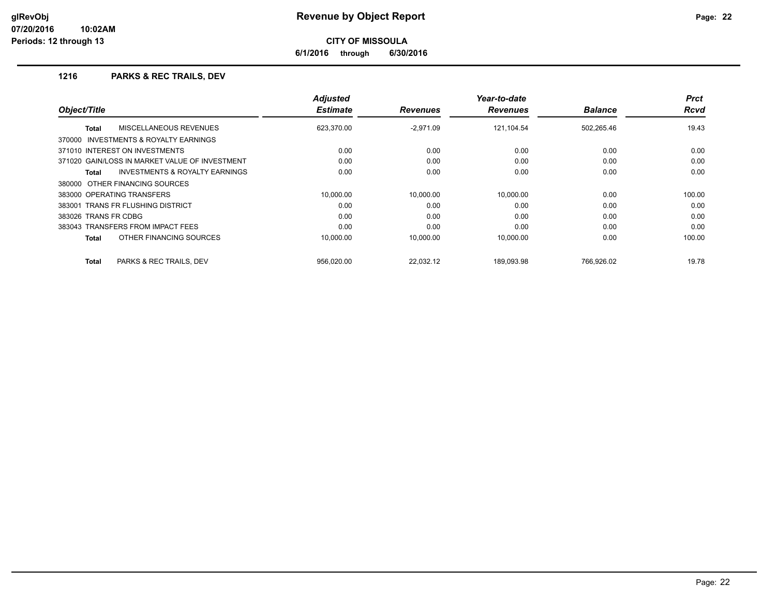**6/1/2016 through 6/30/2016**

| Object/Title                                              | <b>Adjusted</b><br><b>Estimate</b> | <b>Revenues</b> | Year-to-date<br><b>Revenues</b> | <b>Balance</b> | <b>Prct</b><br><b>Rcvd</b> |
|-----------------------------------------------------------|------------------------------------|-----------------|---------------------------------|----------------|----------------------------|
| MISCELLANEOUS REVENUES<br><b>Total</b>                    | 623,370.00                         | $-2.971.09$     | 121.104.54                      | 502,265.46     | 19.43                      |
| INVESTMENTS & ROYALTY EARNINGS<br>370000                  |                                    |                 |                                 |                |                            |
| 371010 INTEREST ON INVESTMENTS                            | 0.00                               | 0.00            | 0.00                            | 0.00           | 0.00                       |
| 371020 GAIN/LOSS IN MARKET VALUE OF INVESTMENT            | 0.00                               | 0.00            | 0.00                            | 0.00           | 0.00                       |
| <b>INVESTMENTS &amp; ROYALTY EARNINGS</b><br><b>Total</b> | 0.00                               | 0.00            | 0.00                            | 0.00           | 0.00                       |
| 380000 OTHER FINANCING SOURCES                            |                                    |                 |                                 |                |                            |
| 383000 OPERATING TRANSFERS                                | 10.000.00                          | 10.000.00       | 10.000.00                       | 0.00           | 100.00                     |
| 383001 TRANS FR FLUSHING DISTRICT                         | 0.00                               | 0.00            | 0.00                            | 0.00           | 0.00                       |
| 383026 TRANS FR CDBG                                      | 0.00                               | 0.00            | 0.00                            | 0.00           | 0.00                       |
| 383043 TRANSFERS FROM IMPACT FEES                         | 0.00                               | 0.00            | 0.00                            | 0.00           | 0.00                       |
| OTHER FINANCING SOURCES<br><b>Total</b>                   | 10.000.00                          | 10.000.00       | 10.000.00                       | 0.00           | 100.00                     |
| <b>Total</b><br>PARKS & REC TRAILS, DEV                   | 956,020.00                         | 22,032.12       | 189,093.98                      | 766,926.02     | 19.78                      |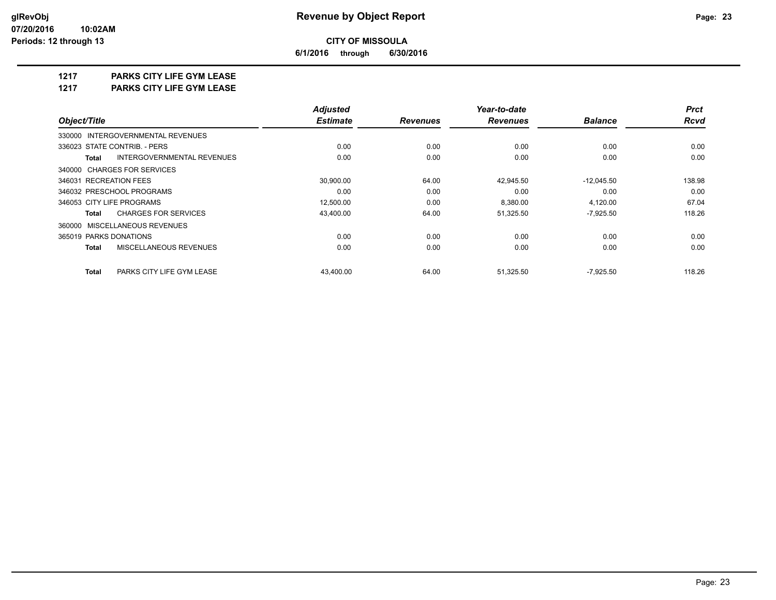**6/1/2016 through 6/30/2016**

## **1217 PARKS CITY LIFE GYM LEASE**

**1217 PARKS CITY LIFE GYM LEASE**

|                                            | <b>Adjusted</b> |                 | Year-to-date    |                | <b>Prct</b> |
|--------------------------------------------|-----------------|-----------------|-----------------|----------------|-------------|
| Object/Title                               | <b>Estimate</b> | <b>Revenues</b> | <b>Revenues</b> | <b>Balance</b> | <b>Rcvd</b> |
| 330000 INTERGOVERNMENTAL REVENUES          |                 |                 |                 |                |             |
| 336023 STATE CONTRIB. - PERS               | 0.00            | 0.00            | 0.00            | 0.00           | 0.00        |
| INTERGOVERNMENTAL REVENUES<br><b>Total</b> | 0.00            | 0.00            | 0.00            | 0.00           | 0.00        |
| 340000 CHARGES FOR SERVICES                |                 |                 |                 |                |             |
| 346031 RECREATION FEES                     | 30,900.00       | 64.00           | 42,945.50       | $-12,045.50$   | 138.98      |
| 346032 PRESCHOOL PROGRAMS                  | 0.00            | 0.00            | 0.00            | 0.00           | 0.00        |
| 346053 CITY LIFE PROGRAMS                  | 12,500.00       | 0.00            | 8,380.00        | 4,120.00       | 67.04       |
| <b>CHARGES FOR SERVICES</b><br>Total       | 43,400.00       | 64.00           | 51,325.50       | $-7,925.50$    | 118.26      |
| 360000 MISCELLANEOUS REVENUES              |                 |                 |                 |                |             |
| 365019 PARKS DONATIONS                     | 0.00            | 0.00            | 0.00            | 0.00           | 0.00        |
| MISCELLANEOUS REVENUES<br><b>Total</b>     | 0.00            | 0.00            | 0.00            | 0.00           | 0.00        |
| <b>Total</b><br>PARKS CITY LIFE GYM LEASE  | 43.400.00       | 64.00           | 51,325.50       | $-7,925.50$    | 118.26      |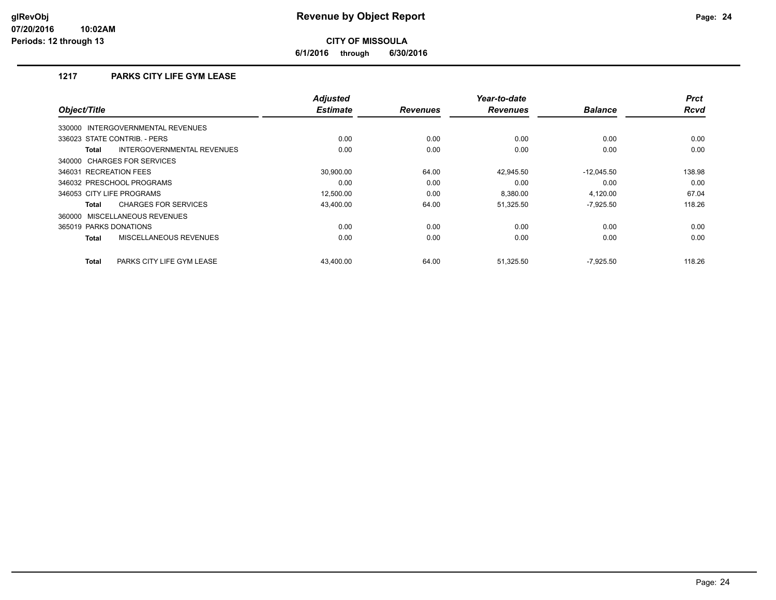**6/1/2016 through 6/30/2016**

## **1217 PARKS CITY LIFE GYM LEASE**

| Object/Title                              | <b>Adjusted</b><br><b>Estimate</b> | <b>Revenues</b> | Year-to-date<br><b>Revenues</b> | <b>Balance</b> | <b>Prct</b><br><b>Rcvd</b> |
|-------------------------------------------|------------------------------------|-----------------|---------------------------------|----------------|----------------------------|
| 330000 INTERGOVERNMENTAL REVENUES         |                                    |                 |                                 |                |                            |
| 336023 STATE CONTRIB. - PERS              | 0.00                               | 0.00            | 0.00                            | 0.00           | 0.00                       |
| INTERGOVERNMENTAL REVENUES<br>Total       | 0.00                               | 0.00            | 0.00                            | 0.00           | 0.00                       |
| 340000 CHARGES FOR SERVICES               |                                    |                 |                                 |                |                            |
| 346031 RECREATION FEES                    | 30,900.00                          | 64.00           | 42.945.50                       | $-12.045.50$   | 138.98                     |
| 346032 PRESCHOOL PROGRAMS                 | 0.00                               | 0.00            | 0.00                            | 0.00           | 0.00                       |
| 346053 CITY LIFE PROGRAMS                 | 12,500.00                          | 0.00            | 8.380.00                        | 4.120.00       | 67.04                      |
| <b>CHARGES FOR SERVICES</b><br>Total      | 43,400.00                          | 64.00           | 51,325.50                       | $-7,925.50$    | 118.26                     |
| 360000 MISCELLANEOUS REVENUES             |                                    |                 |                                 |                |                            |
| 365019 PARKS DONATIONS                    | 0.00                               | 0.00            | 0.00                            | 0.00           | 0.00                       |
| MISCELLANEOUS REVENUES<br><b>Total</b>    | 0.00                               | 0.00            | 0.00                            | 0.00           | 0.00                       |
| PARKS CITY LIFE GYM LEASE<br><b>Total</b> | 43.400.00                          | 64.00           | 51.325.50                       | $-7.925.50$    | 118.26                     |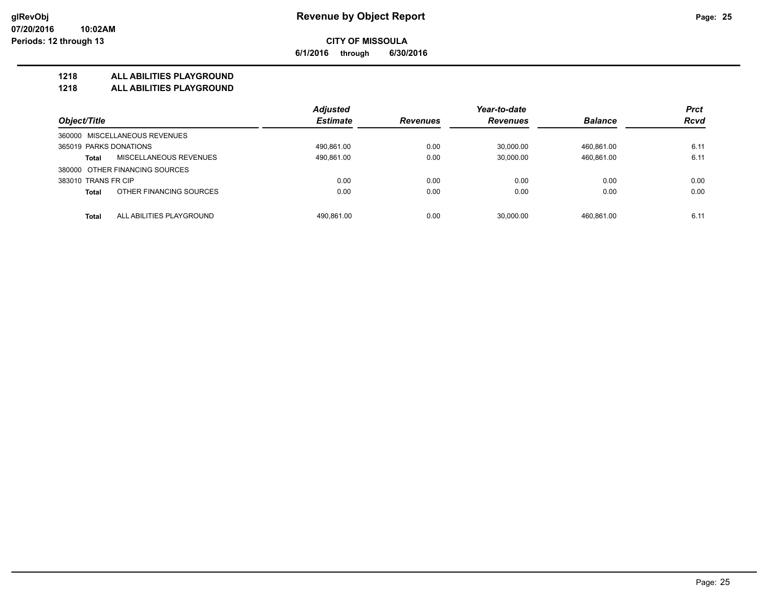**6/1/2016 through 6/30/2016**

#### **1218 ALL ABILITIES PLAYGROUND**

**1218 ALL ABILITIES PLAYGROUND**

|                                |                               | <b>Adjusted</b> |                 | Year-to-date    |                | <b>Prct</b> |
|--------------------------------|-------------------------------|-----------------|-----------------|-----------------|----------------|-------------|
| Object/Title                   |                               | <b>Estimate</b> | <b>Revenues</b> | <b>Revenues</b> | <b>Balance</b> | <b>Rcvd</b> |
| 360000 MISCELLANEOUS REVENUES  |                               |                 |                 |                 |                |             |
| 365019 PARKS DONATIONS         |                               | 490.861.00      | 0.00            | 30.000.00       | 460.861.00     | 6.11        |
| <b>Total</b>                   | <b>MISCELLANEOUS REVENUES</b> | 490,861.00      | 0.00            | 30,000.00       | 460,861.00     | 6.11        |
| 380000 OTHER FINANCING SOURCES |                               |                 |                 |                 |                |             |
| 383010 TRANS FR CIP            |                               | 0.00            | 0.00            | 0.00            | 0.00           | 0.00        |
| <b>Total</b>                   | OTHER FINANCING SOURCES       | 0.00            | 0.00            | 0.00            | 0.00           | 0.00        |
| <b>Total</b>                   | ALL ABILITIES PLAYGROUND      | 490.861.00      | 0.00            | 30.000.00       | 460.861.00     | 6.11        |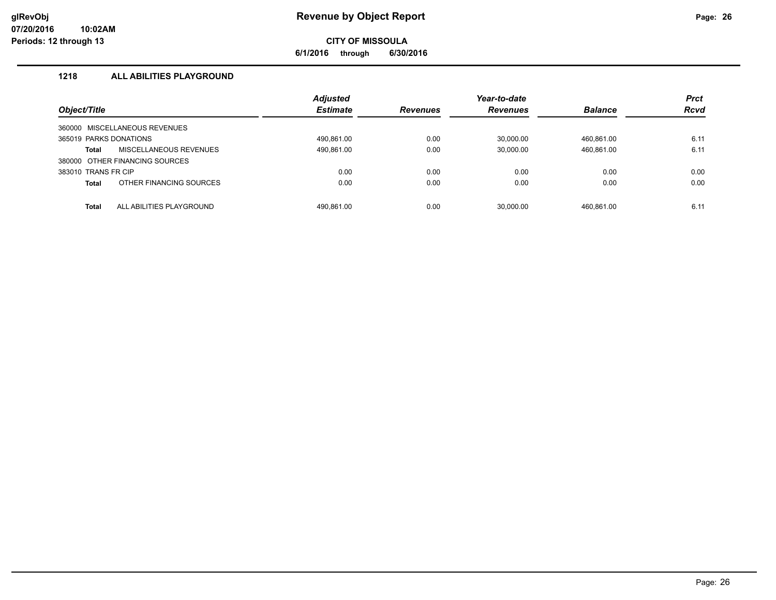**6/1/2016 through 6/30/2016**

## **1218 ALL ABILITIES PLAYGROUND**

| Object/Title           |                                | <b>Adjusted</b><br><b>Estimate</b> | <b>Revenues</b> | Year-to-date<br><b>Revenues</b> | <b>Balance</b> | <b>Prct</b><br><b>Rcvd</b> |
|------------------------|--------------------------------|------------------------------------|-----------------|---------------------------------|----------------|----------------------------|
|                        | 360000 MISCELLANEOUS REVENUES  |                                    |                 |                                 |                |                            |
| 365019 PARKS DONATIONS |                                | 490.861.00                         | 0.00            | 30.000.00                       | 460.861.00     | 6.11                       |
| <b>Total</b>           | <b>MISCELLANEOUS REVENUES</b>  | 490,861.00                         | 0.00            | 30,000.00                       | 460,861.00     | 6.11                       |
|                        | 380000 OTHER FINANCING SOURCES |                                    |                 |                                 |                |                            |
| 383010 TRANS FR CIP    |                                | 0.00                               | 0.00            | 0.00                            | 0.00           | 0.00                       |
| <b>Total</b>           | OTHER FINANCING SOURCES        | 0.00                               | 0.00            | 0.00                            | 0.00           | 0.00                       |
| <b>Total</b>           | ALL ABILITIES PLAYGROUND       | 490.861.00                         | 0.00            | 30.000.00                       | 460.861.00     | 6.11                       |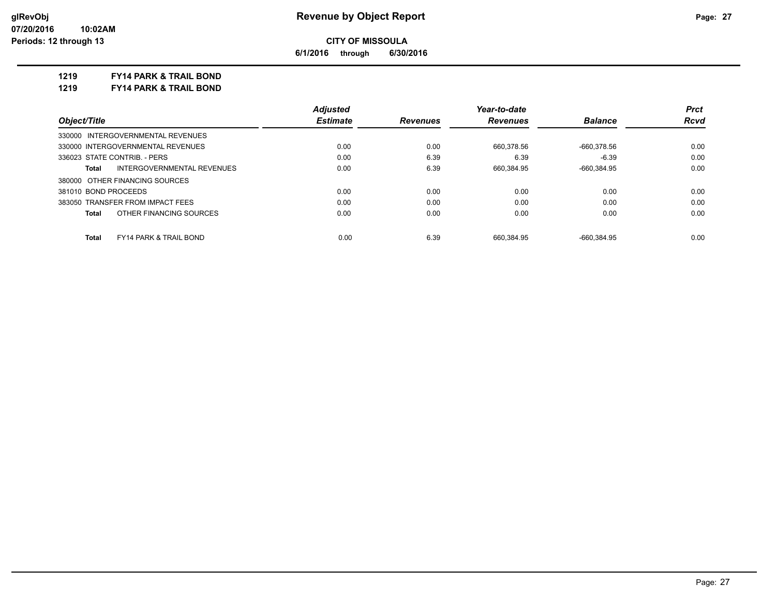**6/1/2016 through 6/30/2016**

**1219 FY14 PARK & TRAIL BOND**

**1219 FY14 PARK & TRAIL BOND**

|                                                   | <b>Adjusted</b> |                 | Year-to-date    |                | <b>Prct</b> |
|---------------------------------------------------|-----------------|-----------------|-----------------|----------------|-------------|
| Object/Title                                      | <b>Estimate</b> | <b>Revenues</b> | <b>Revenues</b> | <b>Balance</b> | Rcvd        |
| 330000 INTERGOVERNMENTAL REVENUES                 |                 |                 |                 |                |             |
| 330000 INTERGOVERNMENTAL REVENUES                 | 0.00            | 0.00            | 660,378.56      | $-660,378.56$  | 0.00        |
| 336023 STATE CONTRIB. - PERS                      | 0.00            | 6.39            | 6.39            | $-6.39$        | 0.00        |
| <b>INTERGOVERNMENTAL REVENUES</b><br><b>Total</b> | 0.00            | 6.39            | 660,384.95      | $-660.384.95$  | 0.00        |
| 380000 OTHER FINANCING SOURCES                    |                 |                 |                 |                |             |
| 381010 BOND PROCEEDS                              | 0.00            | 0.00            | 0.00            | 0.00           | 0.00        |
| 383050 TRANSFER FROM IMPACT FEES                  | 0.00            | 0.00            | 0.00            | 0.00           | 0.00        |
| OTHER FINANCING SOURCES<br><b>Total</b>           | 0.00            | 0.00            | 0.00            | 0.00           | 0.00        |
|                                                   |                 |                 |                 |                |             |
| <b>FY14 PARK &amp; TRAIL BOND</b><br><b>Total</b> | 0.00            | 6.39            | 660.384.95      | $-660.384.95$  | 0.00        |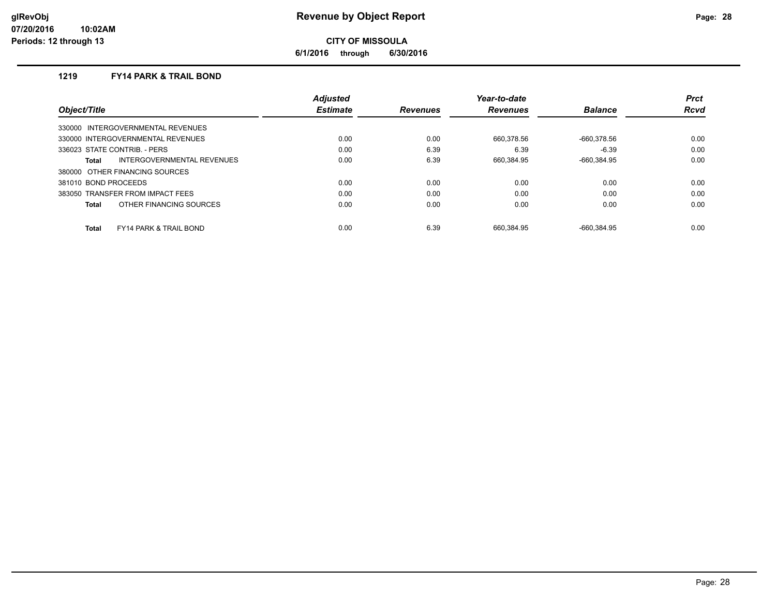**6/1/2016 through 6/30/2016**

## **1219 FY14 PARK & TRAIL BOND**

|                              |                                   | <b>Adjusted</b> |                 | Year-to-date    |                | <b>Prct</b> |
|------------------------------|-----------------------------------|-----------------|-----------------|-----------------|----------------|-------------|
| <b>Object/Title</b>          |                                   | <b>Estimate</b> | <b>Revenues</b> | <b>Revenues</b> | <b>Balance</b> | <b>Rcvd</b> |
|                              | 330000 INTERGOVERNMENTAL REVENUES |                 |                 |                 |                |             |
|                              | 330000 INTERGOVERNMENTAL REVENUES | 0.00            | 0.00            | 660.378.56      | -660.378.56    | 0.00        |
| 336023 STATE CONTRIB. - PERS |                                   | 0.00            | 6.39            | 6.39            | $-6.39$        | 0.00        |
| Total                        | INTERGOVERNMENTAL REVENUES        | 0.00            | 6.39            | 660.384.95      | -660.384.95    | 0.00        |
|                              | 380000 OTHER FINANCING SOURCES    |                 |                 |                 |                |             |
| 381010 BOND PROCEEDS         |                                   | 0.00            | 0.00            | 0.00            | 0.00           | 0.00        |
|                              | 383050 TRANSFER FROM IMPACT FEES  | 0.00            | 0.00            | 0.00            | 0.00           | 0.00        |
| Total                        | OTHER FINANCING SOURCES           | 0.00            | 0.00            | 0.00            | 0.00           | 0.00        |
| Total                        | <b>FY14 PARK &amp; TRAIL BOND</b> | 0.00            | 6.39            | 660.384.95      | -660.384.95    | 0.00        |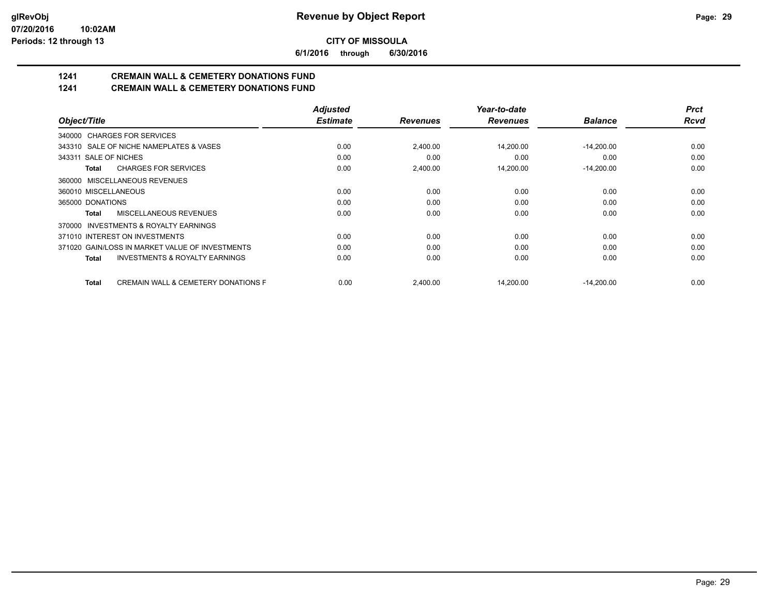**6/1/2016 through 6/30/2016**

# **1241 CREMAIN WALL & CEMETERY DONATIONS FUND**

## **1241 CREMAIN WALL & CEMETERY DONATIONS FUND**

|                                                                | <b>Adjusted</b> |                 | Year-to-date    |                | <b>Prct</b> |
|----------------------------------------------------------------|-----------------|-----------------|-----------------|----------------|-------------|
| Object/Title                                                   | <b>Estimate</b> | <b>Revenues</b> | <b>Revenues</b> | <b>Balance</b> | <b>Rcvd</b> |
| 340000 CHARGES FOR SERVICES                                    |                 |                 |                 |                |             |
| 343310 SALE OF NICHE NAMEPLATES & VASES                        | 0.00            | 2,400.00        | 14,200.00       | $-14,200.00$   | 0.00        |
| 343311 SALE OF NICHES                                          | 0.00            | 0.00            | 0.00            | 0.00           | 0.00        |
| <b>CHARGES FOR SERVICES</b><br>Total                           | 0.00            | 2,400.00        | 14,200.00       | $-14,200.00$   | 0.00        |
| MISCELLANEOUS REVENUES<br>360000                               |                 |                 |                 |                |             |
| 360010 MISCELLANEOUS                                           | 0.00            | 0.00            | 0.00            | 0.00           | 0.00        |
| 365000 DONATIONS                                               | 0.00            | 0.00            | 0.00            | 0.00           | 0.00        |
| MISCELLANEOUS REVENUES<br>Total                                | 0.00            | 0.00            | 0.00            | 0.00           | 0.00        |
| INVESTMENTS & ROYALTY EARNINGS<br>370000                       |                 |                 |                 |                |             |
| 371010 INTEREST ON INVESTMENTS                                 | 0.00            | 0.00            | 0.00            | 0.00           | 0.00        |
| 371020 GAIN/LOSS IN MARKET VALUE OF INVESTMENTS                | 0.00            | 0.00            | 0.00            | 0.00           | 0.00        |
| <b>INVESTMENTS &amp; ROYALTY EARNINGS</b><br>Total             | 0.00            | 0.00            | 0.00            | 0.00           | 0.00        |
| <b>CREMAIN WALL &amp; CEMETERY DONATIONS F</b><br><b>Total</b> | 0.00            | 2,400.00        | 14,200.00       | $-14,200.00$   | 0.00        |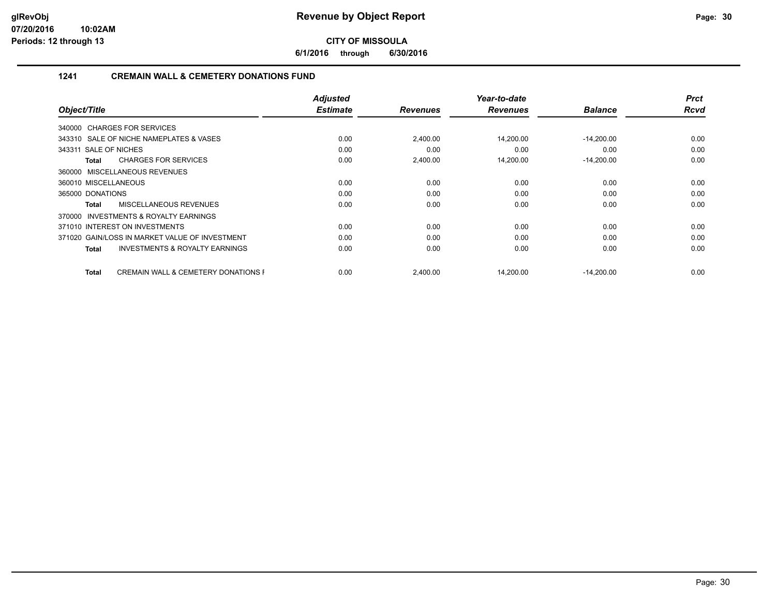**6/1/2016 through 6/30/2016**

## **1241 CREMAIN WALL & CEMETERY DONATIONS FUND**

| Object/Title                                                   | <b>Adjusted</b><br><b>Estimate</b> | <b>Revenues</b> | Year-to-date<br><b>Revenues</b> | <b>Balance</b> | <b>Prct</b><br><b>Rcvd</b> |
|----------------------------------------------------------------|------------------------------------|-----------------|---------------------------------|----------------|----------------------------|
|                                                                |                                    |                 |                                 |                |                            |
| 340000 CHARGES FOR SERVICES                                    |                                    |                 |                                 |                |                            |
| 343310 SALE OF NICHE NAMEPLATES & VASES                        | 0.00                               | 2,400.00        | 14,200.00                       | $-14,200.00$   | 0.00                       |
| 343311 SALE OF NICHES                                          | 0.00                               | 0.00            | 0.00                            | 0.00           | 0.00                       |
| <b>CHARGES FOR SERVICES</b><br>Total                           | 0.00                               | 2,400.00        | 14,200.00                       | $-14,200.00$   | 0.00                       |
| 360000 MISCELLANEOUS REVENUES                                  |                                    |                 |                                 |                |                            |
| 360010 MISCELLANEOUS                                           | 0.00                               | 0.00            | 0.00                            | 0.00           | 0.00                       |
| 365000 DONATIONS                                               | 0.00                               | 0.00            | 0.00                            | 0.00           | 0.00                       |
| MISCELLANEOUS REVENUES<br>Total                                | 0.00                               | 0.00            | 0.00                            | 0.00           | 0.00                       |
| <b>INVESTMENTS &amp; ROYALTY EARNINGS</b><br>370000            |                                    |                 |                                 |                |                            |
| 371010 INTEREST ON INVESTMENTS                                 | 0.00                               | 0.00            | 0.00                            | 0.00           | 0.00                       |
| 371020 GAIN/LOSS IN MARKET VALUE OF INVESTMENT                 | 0.00                               | 0.00            | 0.00                            | 0.00           | 0.00                       |
| <b>INVESTMENTS &amp; ROYALTY EARNINGS</b><br>Total             | 0.00                               | 0.00            | 0.00                            | 0.00           | 0.00                       |
|                                                                |                                    |                 |                                 |                |                            |
| <b>CREMAIN WALL &amp; CEMETERY DONATIONS F</b><br><b>Total</b> | 0.00                               | 2,400.00        | 14,200.00                       | $-14,200.00$   | 0.00                       |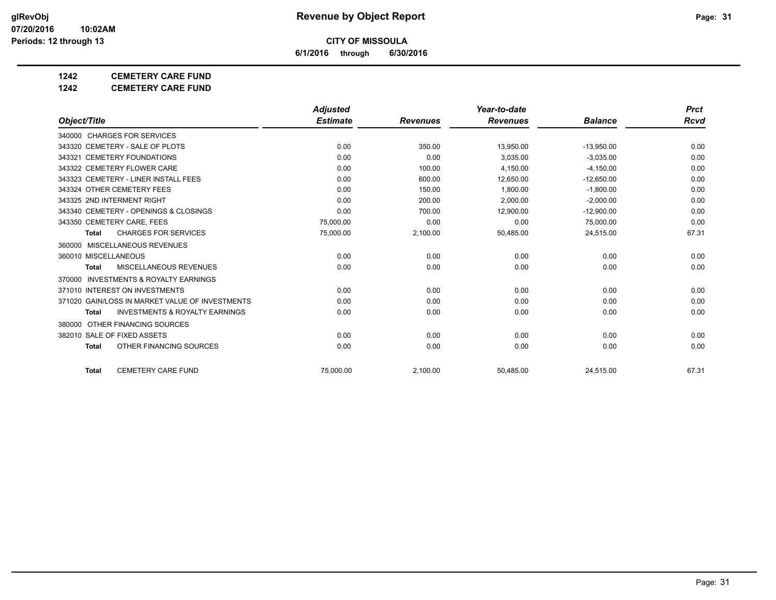**6/1/2016 through 6/30/2016**

## **1242 CEMETERY CARE FUND**

**1242 CEMETERY CARE FUND**

|                                                           | <b>Adjusted</b> |                 | Year-to-date    |                | <b>Prct</b> |
|-----------------------------------------------------------|-----------------|-----------------|-----------------|----------------|-------------|
| Object/Title                                              | <b>Estimate</b> | <b>Revenues</b> | <b>Revenues</b> | <b>Balance</b> | Rcvd        |
| 340000 CHARGES FOR SERVICES                               |                 |                 |                 |                |             |
| 343320 CEMETERY - SALE OF PLOTS                           | 0.00            | 350.00          | 13,950.00       | $-13,950.00$   | 0.00        |
| 343321 CEMETERY FOUNDATIONS                               | 0.00            | 0.00            | 3.035.00        | $-3.035.00$    | 0.00        |
| 343322 CEMETERY FLOWER CARE                               | 0.00            | 100.00          | 4,150.00        | $-4,150.00$    | 0.00        |
| 343323 CEMETERY - LINER INSTALL FEES                      | 0.00            | 600.00          | 12,650.00       | $-12,650.00$   | 0.00        |
| 343324 OTHER CEMETERY FEES                                | 0.00            | 150.00          | 1.800.00        | $-1.800.00$    | 0.00        |
| 343325 2ND INTERMENT RIGHT                                | 0.00            | 200.00          | 2,000.00        | $-2,000.00$    | 0.00        |
| 343340 CEMETERY - OPENINGS & CLOSINGS                     | 0.00            | 700.00          | 12,900.00       | $-12,900.00$   | 0.00        |
| 343350 CEMETERY CARE, FEES                                | 75.000.00       | 0.00            | 0.00            | 75,000.00      | 0.00        |
| <b>CHARGES FOR SERVICES</b><br><b>Total</b>               | 75,000.00       | 2,100.00        | 50,485.00       | 24,515.00      | 67.31       |
| 360000 MISCELLANEOUS REVENUES                             |                 |                 |                 |                |             |
| 360010 MISCELLANEOUS                                      | 0.00            | 0.00            | 0.00            | 0.00           | 0.00        |
| <b>MISCELLANEOUS REVENUES</b><br><b>Total</b>             | 0.00            | 0.00            | 0.00            | 0.00           | 0.00        |
| <b>INVESTMENTS &amp; ROYALTY EARNINGS</b><br>370000       |                 |                 |                 |                |             |
| 371010 INTEREST ON INVESTMENTS                            | 0.00            | 0.00            | 0.00            | 0.00           | 0.00        |
| 371020 GAIN/LOSS IN MARKET VALUE OF INVESTMENTS           | 0.00            | 0.00            | 0.00            | 0.00           | 0.00        |
| <b>INVESTMENTS &amp; ROYALTY EARNINGS</b><br><b>Total</b> | 0.00            | 0.00            | 0.00            | 0.00           | 0.00        |
| 380000 OTHER FINANCING SOURCES                            |                 |                 |                 |                |             |
| 382010 SALE OF FIXED ASSETS                               | 0.00            | 0.00            | 0.00            | 0.00           | 0.00        |
| OTHER FINANCING SOURCES<br><b>Total</b>                   | 0.00            | 0.00            | 0.00            | 0.00           | 0.00        |
| <b>CEMETERY CARE FUND</b><br><b>Total</b>                 | 75.000.00       | 2,100.00        | 50,485.00       | 24,515.00      | 67.31       |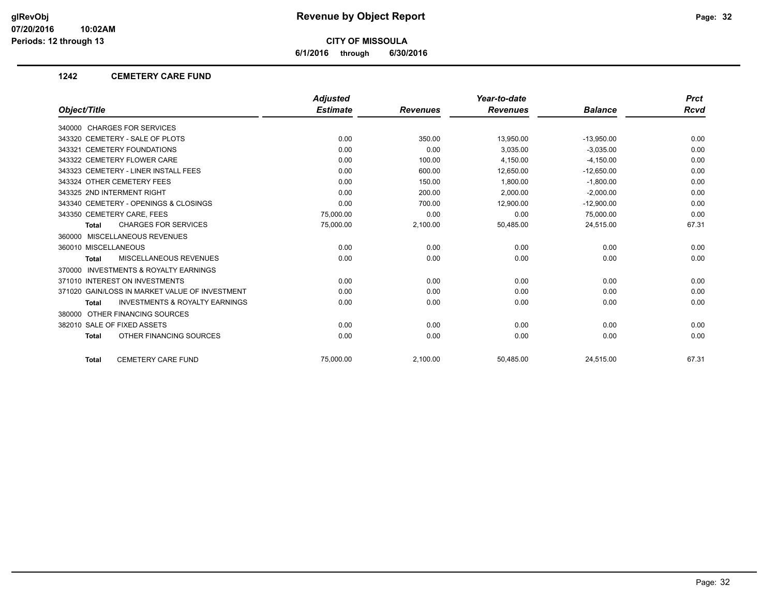**6/1/2016 through 6/30/2016**

#### **1242 CEMETERY CARE FUND**

|                                                           | <b>Adjusted</b> |                 | Year-to-date    |                | <b>Prct</b> |
|-----------------------------------------------------------|-----------------|-----------------|-----------------|----------------|-------------|
| Object/Title                                              | <b>Estimate</b> | <b>Revenues</b> | <b>Revenues</b> | <b>Balance</b> | Rcvd        |
| 340000 CHARGES FOR SERVICES                               |                 |                 |                 |                |             |
| 343320 CEMETERY - SALE OF PLOTS                           | 0.00            | 350.00          | 13,950.00       | $-13,950.00$   | 0.00        |
| 343321 CEMETERY FOUNDATIONS                               | 0.00            | 0.00            | 3,035.00        | $-3,035.00$    | 0.00        |
| 343322 CEMETERY FLOWER CARE                               | 0.00            | 100.00          | 4,150.00        | $-4,150.00$    | 0.00        |
| 343323 CEMETERY - LINER INSTALL FEES                      | 0.00            | 600.00          | 12,650.00       | $-12,650.00$   | 0.00        |
| 343324 OTHER CEMETERY FEES                                | 0.00            | 150.00          | 1.800.00        | $-1,800.00$    | 0.00        |
| 343325 2ND INTERMENT RIGHT                                | 0.00            | 200.00          | 2,000.00        | $-2,000.00$    | 0.00        |
| 343340 CEMETERY - OPENINGS & CLOSINGS                     | 0.00            | 700.00          | 12,900.00       | $-12,900.00$   | 0.00        |
| 343350 CEMETERY CARE, FEES                                | 75,000.00       | 0.00            | 0.00            | 75,000.00      | 0.00        |
| <b>CHARGES FOR SERVICES</b><br><b>Total</b>               | 75,000.00       | 2,100.00        | 50,485.00       | 24,515.00      | 67.31       |
| MISCELLANEOUS REVENUES<br>360000                          |                 |                 |                 |                |             |
| 360010 MISCELLANEOUS                                      | 0.00            | 0.00            | 0.00            | 0.00           | 0.00        |
| <b>MISCELLANEOUS REVENUES</b><br><b>Total</b>             | 0.00            | 0.00            | 0.00            | 0.00           | 0.00        |
| <b>INVESTMENTS &amp; ROYALTY EARNINGS</b><br>370000       |                 |                 |                 |                |             |
| 371010 INTEREST ON INVESTMENTS                            | 0.00            | 0.00            | 0.00            | 0.00           | 0.00        |
| 371020 GAIN/LOSS IN MARKET VALUE OF INVESTMENT            | 0.00            | 0.00            | 0.00            | 0.00           | 0.00        |
| <b>INVESTMENTS &amp; ROYALTY EARNINGS</b><br><b>Total</b> | 0.00            | 0.00            | 0.00            | 0.00           | 0.00        |
| 380000 OTHER FINANCING SOURCES                            |                 |                 |                 |                |             |
| 382010 SALE OF FIXED ASSETS                               | 0.00            | 0.00            | 0.00            | 0.00           | 0.00        |
| OTHER FINANCING SOURCES<br><b>Total</b>                   | 0.00            | 0.00            | 0.00            | 0.00           | 0.00        |
| <b>CEMETERY CARE FUND</b><br><b>Total</b>                 | 75.000.00       | 2,100.00        | 50,485.00       | 24,515.00      | 67.31       |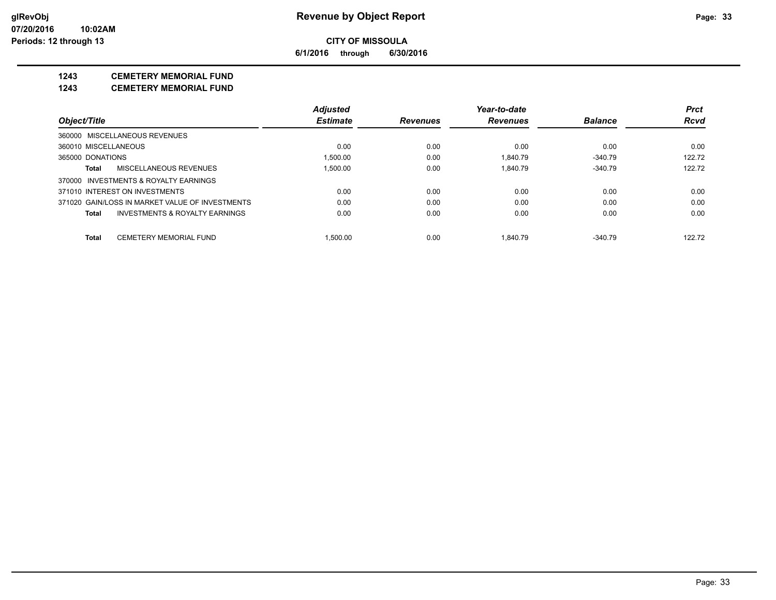**6/1/2016 through 6/30/2016**

## **1243 CEMETERY MEMORIAL FUND**

**1243 CEMETERY MEMORIAL FUND**

|                                |                                                 | <b>Adjusted</b> |                 | Year-to-date    |                | <b>Prct</b> |
|--------------------------------|-------------------------------------------------|-----------------|-----------------|-----------------|----------------|-------------|
| Object/Title                   |                                                 | <b>Estimate</b> | <b>Revenues</b> | <b>Revenues</b> | <b>Balance</b> | <b>Rcvd</b> |
| 360000 MISCELLANEOUS REVENUES  |                                                 |                 |                 |                 |                |             |
| 360010 MISCELLANEOUS           |                                                 | 0.00            | 0.00            | 0.00            | 0.00           | 0.00        |
| 365000 DONATIONS               |                                                 | 1.500.00        | 0.00            | 1.840.79        | $-340.79$      | 122.72      |
| Total                          | MISCELLANEOUS REVENUES                          | 1.500.00        | 0.00            | 1.840.79        | $-340.79$      | 122.72      |
|                                | 370000 INVESTMENTS & ROYALTY EARNINGS           |                 |                 |                 |                |             |
| 371010 INTEREST ON INVESTMENTS |                                                 | 0.00            | 0.00            | 0.00            | 0.00           | 0.00        |
|                                | 371020 GAIN/LOSS IN MARKET VALUE OF INVESTMENTS | 0.00            | 0.00            | 0.00            | 0.00           | 0.00        |
| Total                          | INVESTMENTS & ROYALTY EARNINGS                  | 0.00            | 0.00            | 0.00            | 0.00           | 0.00        |
| Total                          | <b>CEMETERY MEMORIAL FUND</b>                   | 1.500.00        | 0.00            | 1.840.79        | $-340.79$      | 122.72      |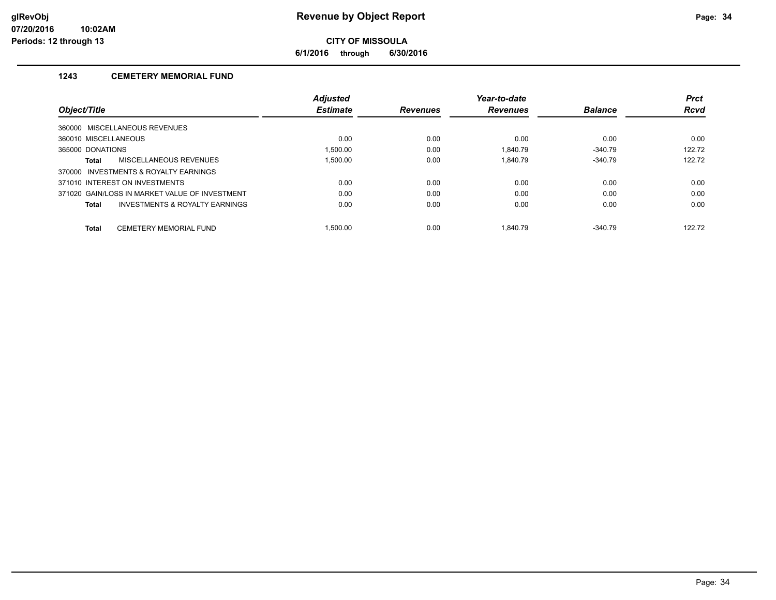**6/1/2016 through 6/30/2016**

## **1243 CEMETERY MEMORIAL FUND**

|                                                    | <b>Adjusted</b> |                 | Year-to-date    |                | <b>Prct</b> |
|----------------------------------------------------|-----------------|-----------------|-----------------|----------------|-------------|
| <b>Object/Title</b>                                | <b>Estimate</b> | <b>Revenues</b> | <b>Revenues</b> | <b>Balance</b> | <b>Rcvd</b> |
| 360000 MISCELLANEOUS REVENUES                      |                 |                 |                 |                |             |
| 360010 MISCELLANEOUS                               | 0.00            | 0.00            | 0.00            | 0.00           | 0.00        |
| 365000 DONATIONS                                   | 1.500.00        | 0.00            | 1.840.79        | $-340.79$      | 122.72      |
| MISCELLANEOUS REVENUES<br>Total                    | 1.500.00        | 0.00            | 1.840.79        | $-340.79$      | 122.72      |
| 370000 INVESTMENTS & ROYALTY EARNINGS              |                 |                 |                 |                |             |
| 371010 INTEREST ON INVESTMENTS                     | 0.00            | 0.00            | 0.00            | 0.00           | 0.00        |
| 371020 GAIN/LOSS IN MARKET VALUE OF INVESTMENT     | 0.00            | 0.00            | 0.00            | 0.00           | 0.00        |
| <b>INVESTMENTS &amp; ROYALTY EARNINGS</b><br>Total | 0.00            | 0.00            | 0.00            | 0.00           | 0.00        |
| <b>CEMETERY MEMORIAL FUND</b><br><b>Total</b>      | 1.500.00        | 0.00            | 1.840.79        | $-340.79$      | 122.72      |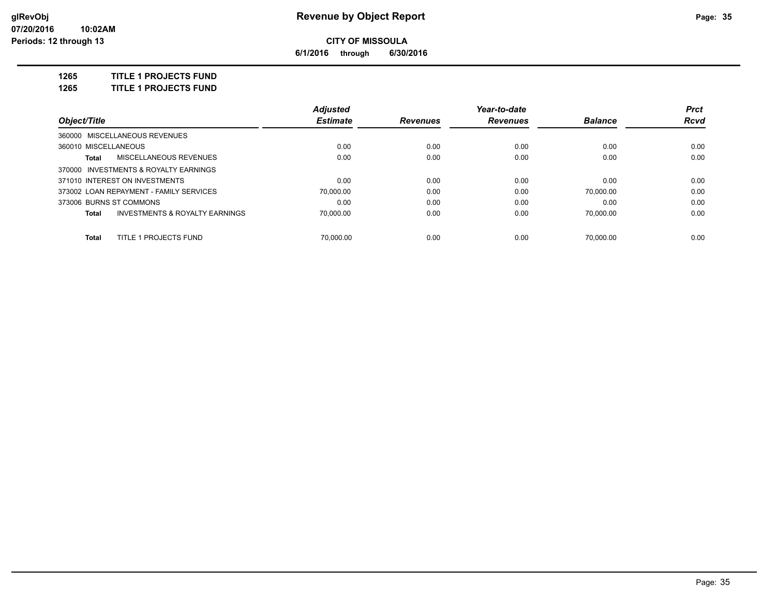**6/1/2016 through 6/30/2016**

**1265 TITLE 1 PROJECTS FUND**

**1265 TITLE 1 PROJECTS FUND**

|                                                           | <b>Adjusted</b> |                 | Year-to-date    |                | <b>Prct</b> |
|-----------------------------------------------------------|-----------------|-----------------|-----------------|----------------|-------------|
| Object/Title                                              | <b>Estimate</b> | <b>Revenues</b> | <b>Revenues</b> | <b>Balance</b> | Rcvd        |
| 360000 MISCELLANEOUS REVENUES                             |                 |                 |                 |                |             |
| 360010 MISCELLANEOUS                                      | 0.00            | 0.00            | 0.00            | 0.00           | 0.00        |
| MISCELLANEOUS REVENUES<br><b>Total</b>                    | 0.00            | 0.00            | 0.00            | 0.00           | 0.00        |
| 370000 INVESTMENTS & ROYALTY EARNINGS                     |                 |                 |                 |                |             |
| 371010 INTEREST ON INVESTMENTS                            | 0.00            | 0.00            | 0.00            | 0.00           | 0.00        |
| 373002 LOAN REPAYMENT - FAMILY SERVICES                   | 70.000.00       | 0.00            | 0.00            | 70.000.00      | 0.00        |
| 373006 BURNS ST COMMONS                                   | 0.00            | 0.00            | 0.00            | 0.00           | 0.00        |
| <b>INVESTMENTS &amp; ROYALTY EARNINGS</b><br><b>Total</b> | 70.000.00       | 0.00            | 0.00            | 70.000.00      | 0.00        |
|                                                           |                 |                 |                 |                |             |
| TITLE 1 PROJECTS FUND<br><b>Total</b>                     | 70.000.00       | 0.00            | 0.00            | 70.000.00      | 0.00        |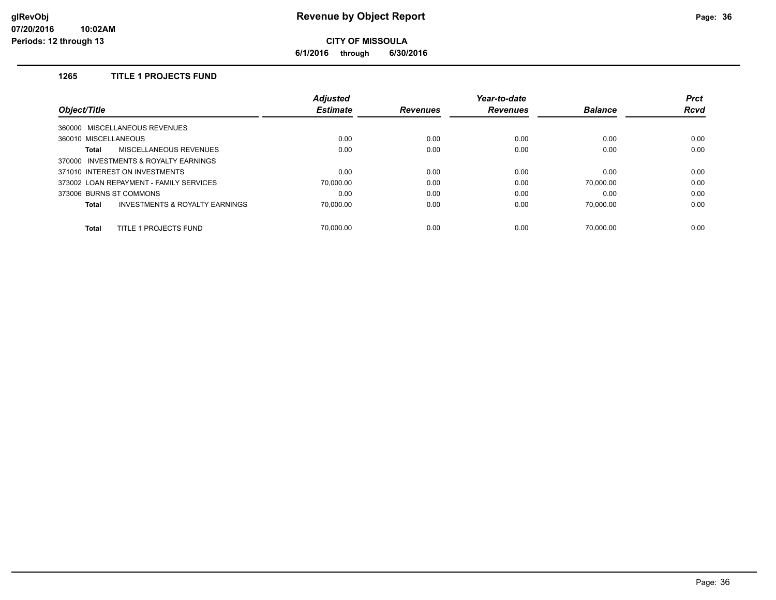**6/1/2016 through 6/30/2016**

## **1265 TITLE 1 PROJECTS FUND**

|                                                    | <b>Adjusted</b> |                 | Year-to-date    |                | <b>Prct</b> |
|----------------------------------------------------|-----------------|-----------------|-----------------|----------------|-------------|
| Object/Title                                       | <b>Estimate</b> | <b>Revenues</b> | <b>Revenues</b> | <b>Balance</b> | <b>Rcvd</b> |
| 360000 MISCELLANEOUS REVENUES                      |                 |                 |                 |                |             |
| 360010 MISCELLANEOUS                               | 0.00            | 0.00            | 0.00            | 0.00           | 0.00        |
| <b>MISCELLANEOUS REVENUES</b><br>Total             | 0.00            | 0.00            | 0.00            | 0.00           | 0.00        |
| 370000 INVESTMENTS & ROYALTY EARNINGS              |                 |                 |                 |                |             |
| 371010 INTEREST ON INVESTMENTS                     | 0.00            | 0.00            | 0.00            | 0.00           | 0.00        |
| 373002 LOAN REPAYMENT - FAMILY SERVICES            | 70.000.00       | 0.00            | 0.00            | 70.000.00      | 0.00        |
| 373006 BURNS ST COMMONS                            | 0.00            | 0.00            | 0.00            | 0.00           | 0.00        |
| <b>INVESTMENTS &amp; ROYALTY EARNINGS</b><br>Total | 70.000.00       | 0.00            | 0.00            | 70.000.00      | 0.00        |
| TITLE 1 PROJECTS FUND<br><b>Total</b>              | 70.000.00       | 0.00            | 0.00            | 70.000.00      | 0.00        |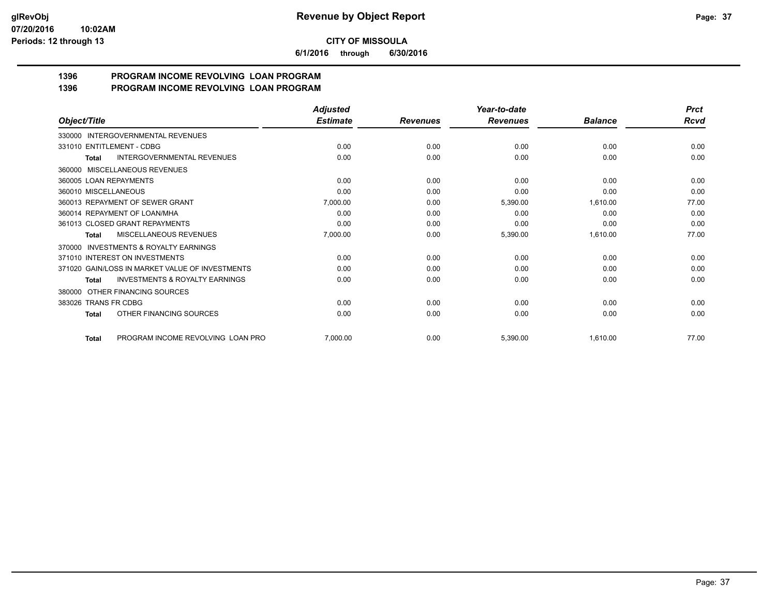**6/1/2016 through 6/30/2016**

#### **1396 PROGRAM INCOME REVOLVING LOAN PROGRAM 1396 PROGRAM INCOME REVOLVING LOAN PROGRAM**

|                                                    | <b>Adjusted</b> |                 | Year-to-date    |                | <b>Prct</b> |
|----------------------------------------------------|-----------------|-----------------|-----------------|----------------|-------------|
| Object/Title                                       | <b>Estimate</b> | <b>Revenues</b> | <b>Revenues</b> | <b>Balance</b> | Rcvd        |
| 330000 INTERGOVERNMENTAL REVENUES                  |                 |                 |                 |                |             |
| 331010 ENTITLEMENT - CDBG                          | 0.00            | 0.00            | 0.00            | 0.00           | 0.00        |
| <b>INTERGOVERNMENTAL REVENUES</b><br>Total         | 0.00            | 0.00            | 0.00            | 0.00           | 0.00        |
| 360000 MISCELLANEOUS REVENUES                      |                 |                 |                 |                |             |
| 360005 LOAN REPAYMENTS                             | 0.00            | 0.00            | 0.00            | 0.00           | 0.00        |
| 360010 MISCELLANEOUS                               | 0.00            | 0.00            | 0.00            | 0.00           | 0.00        |
| 360013 REPAYMENT OF SEWER GRANT                    | 7.000.00        | 0.00            | 5,390.00        | 1,610.00       | 77.00       |
| 360014 REPAYMENT OF LOAN/MHA                       | 0.00            | 0.00            | 0.00            | 0.00           | 0.00        |
| 361013 CLOSED GRANT REPAYMENTS                     | 0.00            | 0.00            | 0.00            | 0.00           | 0.00        |
| MISCELLANEOUS REVENUES<br>Total                    | 7,000.00        | 0.00            | 5,390.00        | 1,610.00       | 77.00       |
| INVESTMENTS & ROYALTY EARNINGS<br>370000           |                 |                 |                 |                |             |
| 371010 INTEREST ON INVESTMENTS                     | 0.00            | 0.00            | 0.00            | 0.00           | 0.00        |
| 371020 GAIN/LOSS IN MARKET VALUE OF INVESTMENTS    | 0.00            | 0.00            | 0.00            | 0.00           | 0.00        |
| <b>INVESTMENTS &amp; ROYALTY EARNINGS</b><br>Total | 0.00            | 0.00            | 0.00            | 0.00           | 0.00        |
| OTHER FINANCING SOURCES<br>380000                  |                 |                 |                 |                |             |
| 383026 TRANS FR CDBG                               | 0.00            | 0.00            | 0.00            | 0.00           | 0.00        |
| OTHER FINANCING SOURCES<br><b>Total</b>            | 0.00            | 0.00            | 0.00            | 0.00           | 0.00        |
| PROGRAM INCOME REVOLVING LOAN PRO<br><b>Total</b>  | 7,000.00        | 0.00            | 5,390.00        | 1,610.00       | 77.00       |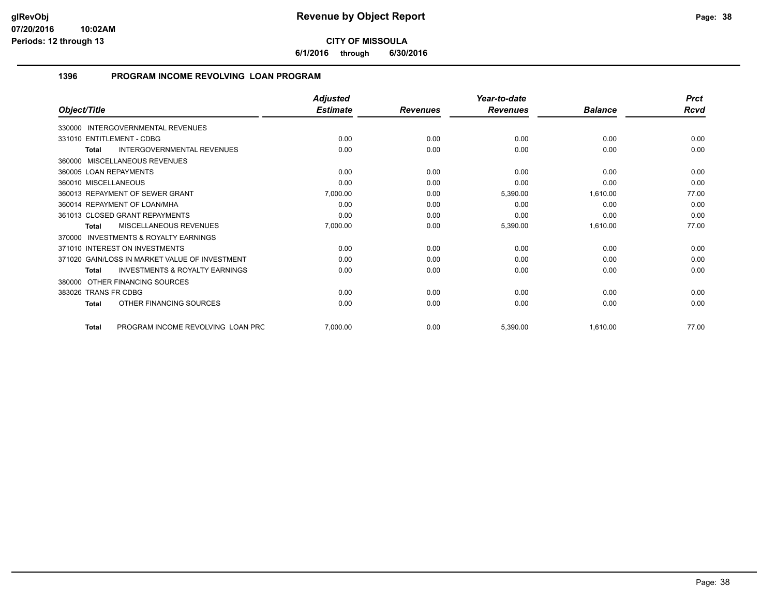**6/1/2016 through 6/30/2016**

#### **1396 PROGRAM INCOME REVOLVING LOAN PROGRAM**

|                                                     | <b>Adjusted</b> |                 | Year-to-date    |                | <b>Prct</b> |
|-----------------------------------------------------|-----------------|-----------------|-----------------|----------------|-------------|
| Object/Title                                        | <b>Estimate</b> | <b>Revenues</b> | <b>Revenues</b> | <b>Balance</b> | <b>Rcvd</b> |
| 330000 INTERGOVERNMENTAL REVENUES                   |                 |                 |                 |                |             |
| 331010 ENTITLEMENT - CDBG                           | 0.00            | 0.00            | 0.00            | 0.00           | 0.00        |
| <b>INTERGOVERNMENTAL REVENUES</b><br><b>Total</b>   | 0.00            | 0.00            | 0.00            | 0.00           | 0.00        |
| 360000 MISCELLANEOUS REVENUES                       |                 |                 |                 |                |             |
| 360005 LOAN REPAYMENTS                              | 0.00            | 0.00            | 0.00            | 0.00           | 0.00        |
| 360010 MISCELLANEOUS                                | 0.00            | 0.00            | 0.00            | 0.00           | 0.00        |
| 360013 REPAYMENT OF SEWER GRANT                     | 7,000.00        | 0.00            | 5,390.00        | 1,610.00       | 77.00       |
| 360014 REPAYMENT OF LOAN/MHA                        | 0.00            | 0.00            | 0.00            | 0.00           | 0.00        |
| 361013 CLOSED GRANT REPAYMENTS                      | 0.00            | 0.00            | 0.00            | 0.00           | 0.00        |
| MISCELLANEOUS REVENUES<br><b>Total</b>              | 7,000.00        | 0.00            | 5,390.00        | 1,610.00       | 77.00       |
| <b>INVESTMENTS &amp; ROYALTY EARNINGS</b><br>370000 |                 |                 |                 |                |             |
| 371010 INTEREST ON INVESTMENTS                      | 0.00            | 0.00            | 0.00            | 0.00           | 0.00        |
| 371020 GAIN/LOSS IN MARKET VALUE OF INVESTMENT      | 0.00            | 0.00            | 0.00            | 0.00           | 0.00        |
| <b>INVESTMENTS &amp; ROYALTY EARNINGS</b><br>Total  | 0.00            | 0.00            | 0.00            | 0.00           | 0.00        |
| 380000 OTHER FINANCING SOURCES                      |                 |                 |                 |                |             |
| 383026 TRANS FR CDBG                                | 0.00            | 0.00            | 0.00            | 0.00           | 0.00        |
| OTHER FINANCING SOURCES<br>Total                    | 0.00            | 0.00            | 0.00            | 0.00           | 0.00        |
| PROGRAM INCOME REVOLVING LOAN PRC<br><b>Total</b>   | 7,000.00        | 0.00            | 5,390.00        | 1,610.00       | 77.00       |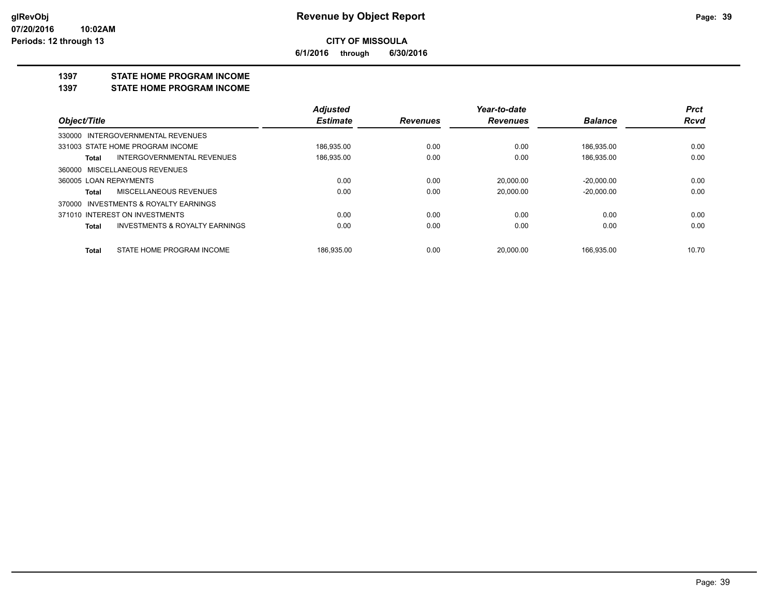**6/1/2016 through 6/30/2016**

#### **1397 STATE HOME PROGRAM INCOME**

**1397 STATE HOME PROGRAM INCOME**

|                                                    | <b>Adjusted</b> |                 | Year-to-date    |                | <b>Prct</b> |
|----------------------------------------------------|-----------------|-----------------|-----------------|----------------|-------------|
| Object/Title                                       | <b>Estimate</b> | <b>Revenues</b> | <b>Revenues</b> | <b>Balance</b> | <b>Rcvd</b> |
| 330000 INTERGOVERNMENTAL REVENUES                  |                 |                 |                 |                |             |
| 331003 STATE HOME PROGRAM INCOME                   | 186,935.00      | 0.00            | 0.00            | 186,935.00     | 0.00        |
| INTERGOVERNMENTAL REVENUES<br>Total                | 186,935.00      | 0.00            | 0.00            | 186,935.00     | 0.00        |
| 360000 MISCELLANEOUS REVENUES                      |                 |                 |                 |                |             |
| 360005 LOAN REPAYMENTS                             | 0.00            | 0.00            | 20.000.00       | $-20.000.00$   | 0.00        |
| MISCELLANEOUS REVENUES<br>Total                    | 0.00            | 0.00            | 20.000.00       | $-20.000.00$   | 0.00        |
| 370000 INVESTMENTS & ROYALTY EARNINGS              |                 |                 |                 |                |             |
| 371010 INTEREST ON INVESTMENTS                     | 0.00            | 0.00            | 0.00            | 0.00           | 0.00        |
| <b>INVESTMENTS &amp; ROYALTY EARNINGS</b><br>Total | 0.00            | 0.00            | 0.00            | 0.00           | 0.00        |
| STATE HOME PROGRAM INCOME<br>Total                 | 186.935.00      | 0.00            | 20.000.00       | 166.935.00     | 10.70       |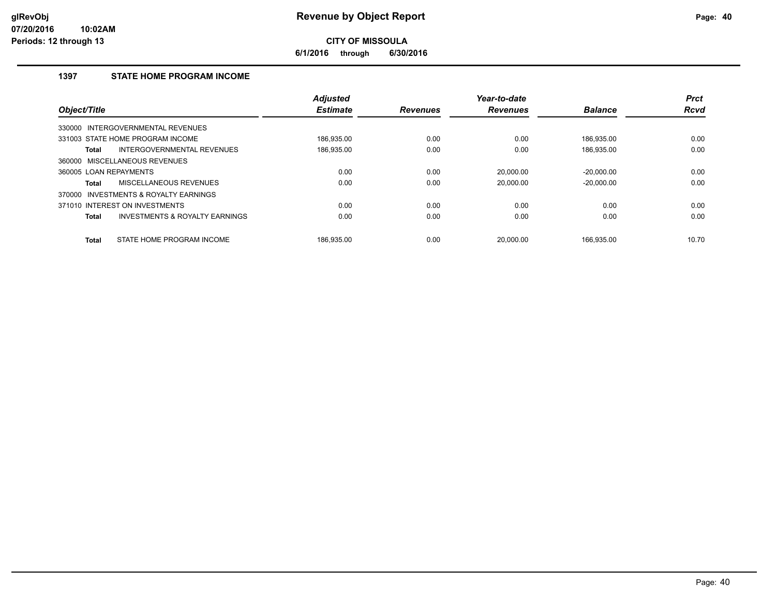**6/1/2016 through 6/30/2016**

## **1397 STATE HOME PROGRAM INCOME**

| Object/Title           |                                           | <b>Adjusted</b><br><b>Estimate</b> | <b>Revenues</b> | Year-to-date<br><b>Revenues</b> | <b>Balance</b> | <b>Prct</b><br><b>Rcvd</b> |
|------------------------|-------------------------------------------|------------------------------------|-----------------|---------------------------------|----------------|----------------------------|
|                        |                                           |                                    |                 |                                 |                |                            |
|                        | 330000 INTERGOVERNMENTAL REVENUES         |                                    |                 |                                 |                |                            |
|                        | 331003 STATE HOME PROGRAM INCOME          | 186.935.00                         | 0.00            | 0.00                            | 186.935.00     | 0.00                       |
| Total                  | INTERGOVERNMENTAL REVENUES                | 186,935.00                         | 0.00            | 0.00                            | 186,935.00     | 0.00                       |
| 360000                 | MISCELLANEOUS REVENUES                    |                                    |                 |                                 |                |                            |
| 360005 LOAN REPAYMENTS |                                           | 0.00                               | 0.00            | 20,000.00                       | $-20,000.00$   | 0.00                       |
| <b>Total</b>           | MISCELLANEOUS REVENUES                    | 0.00                               | 0.00            | 20.000.00                       | $-20.000.00$   | 0.00                       |
| 370000                 | INVESTMENTS & ROYALTY EARNINGS            |                                    |                 |                                 |                |                            |
|                        | 371010 INTEREST ON INVESTMENTS            | 0.00                               | 0.00            | 0.00                            | 0.00           | 0.00                       |
| <b>Total</b>           | <b>INVESTMENTS &amp; ROYALTY EARNINGS</b> | 0.00                               | 0.00            | 0.00                            | 0.00           | 0.00                       |
| <b>Total</b>           | STATE HOME PROGRAM INCOME                 | 186.935.00                         | 0.00            | 20.000.00                       | 166.935.00     | 10.70                      |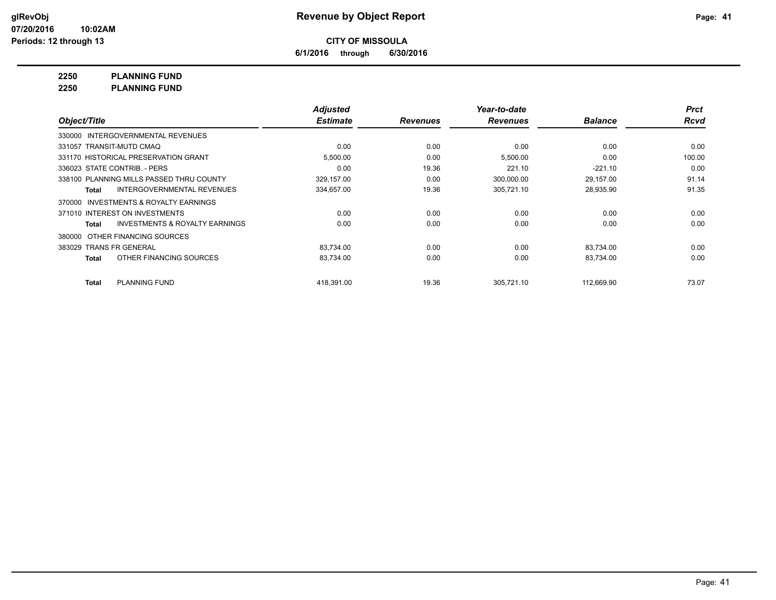**6/1/2016 through 6/30/2016**

**2250 PLANNING FUND**

**2250 PLANNING FUND**

|                                                    | <b>Adjusted</b> |                 | Year-to-date    |                | <b>Prct</b> |
|----------------------------------------------------|-----------------|-----------------|-----------------|----------------|-------------|
| Object/Title                                       | <b>Estimate</b> | <b>Revenues</b> | <b>Revenues</b> | <b>Balance</b> | <b>Rcvd</b> |
| INTERGOVERNMENTAL REVENUES<br>330000               |                 |                 |                 |                |             |
| 331057 TRANSIT-MUTD CMAQ                           | 0.00            | 0.00            | 0.00            | 0.00           | 0.00        |
| 331170 HISTORICAL PRESERVATION GRANT               | 5,500.00        | 0.00            | 5,500.00        | 0.00           | 100.00      |
| 336023 STATE CONTRIB. - PERS                       | 0.00            | 19.36           | 221.10          | $-221.10$      | 0.00        |
| 338100 PLANNING MILLS PASSED THRU COUNTY           | 329,157.00      | 0.00            | 300,000.00      | 29,157.00      | 91.14       |
| INTERGOVERNMENTAL REVENUES<br>Total                | 334,657.00      | 19.36           | 305,721.10      | 28,935.90      | 91.35       |
| INVESTMENTS & ROYALTY EARNINGS<br>370000           |                 |                 |                 |                |             |
| 371010 INTEREST ON INVESTMENTS                     | 0.00            | 0.00            | 0.00            | 0.00           | 0.00        |
| <b>INVESTMENTS &amp; ROYALTY EARNINGS</b><br>Total | 0.00            | 0.00            | 0.00            | 0.00           | 0.00        |
| OTHER FINANCING SOURCES<br>380000                  |                 |                 |                 |                |             |
| 383029 TRANS FR GENERAL                            | 83,734.00       | 0.00            | 0.00            | 83,734.00      | 0.00        |
| OTHER FINANCING SOURCES<br>Total                   | 83,734.00       | 0.00            | 0.00            | 83,734.00      | 0.00        |
| <b>PLANNING FUND</b><br>Total                      | 418,391.00      | 19.36           | 305.721.10      | 112,669.90     | 73.07       |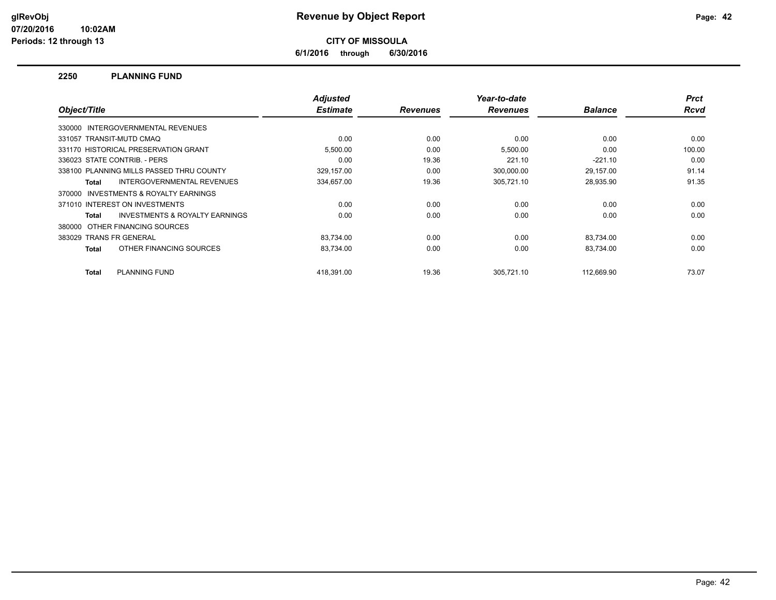**6/1/2016 through 6/30/2016**

#### **2250 PLANNING FUND**

| Object/Title                                        | <b>Adjusted</b><br><b>Estimate</b> | <b>Revenues</b> | Year-to-date<br><b>Revenues</b> | <b>Balance</b> | <b>Prct</b><br>Rcvd |
|-----------------------------------------------------|------------------------------------|-----------------|---------------------------------|----------------|---------------------|
| 330000 INTERGOVERNMENTAL REVENUES                   |                                    |                 |                                 |                |                     |
| 331057 TRANSIT-MUTD CMAQ                            | 0.00                               | 0.00            | 0.00                            | 0.00           | 0.00                |
| 331170 HISTORICAL PRESERVATION GRANT                | 5,500.00                           | 0.00            | 5,500.00                        | 0.00           | 100.00              |
| 336023 STATE CONTRIB. - PERS                        | 0.00                               | 19.36           | 221.10                          | $-221.10$      | 0.00                |
| 338100 PLANNING MILLS PASSED THRU COUNTY            | 329,157.00                         | 0.00            | 300,000.00                      | 29.157.00      | 91.14               |
| <b>INTERGOVERNMENTAL REVENUES</b><br>Total          | 334,657.00                         | 19.36           | 305,721.10                      | 28,935.90      | 91.35               |
| <b>INVESTMENTS &amp; ROYALTY EARNINGS</b><br>370000 |                                    |                 |                                 |                |                     |
| 371010 INTEREST ON INVESTMENTS                      | 0.00                               | 0.00            | 0.00                            | 0.00           | 0.00                |
| <b>INVESTMENTS &amp; ROYALTY EARNINGS</b><br>Total  | 0.00                               | 0.00            | 0.00                            | 0.00           | 0.00                |
| 380000 OTHER FINANCING SOURCES                      |                                    |                 |                                 |                |                     |
| 383029 TRANS FR GENERAL                             | 83,734.00                          | 0.00            | 0.00                            | 83,734.00      | 0.00                |
| OTHER FINANCING SOURCES<br>Total                    | 83,734.00                          | 0.00            | 0.00                            | 83,734.00      | 0.00                |
| <b>PLANNING FUND</b><br>Total                       | 418.391.00                         | 19.36           | 305.721.10                      | 112,669.90     | 73.07               |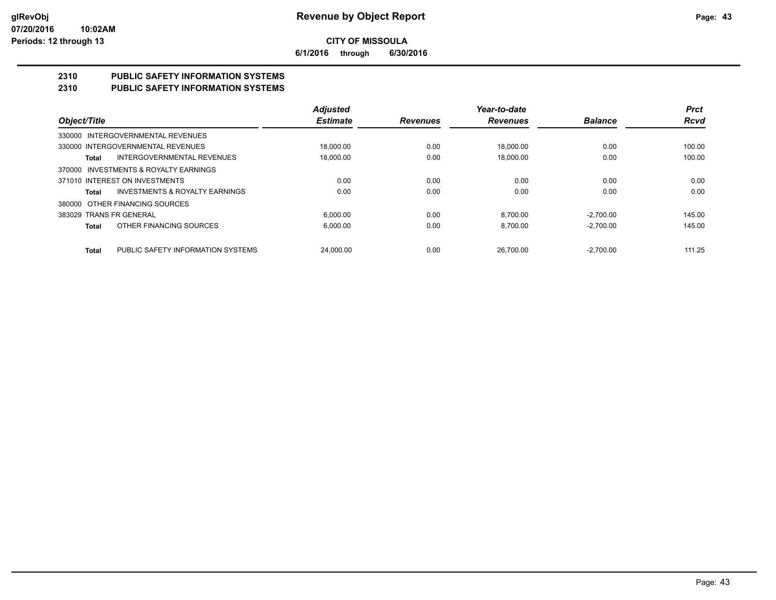**6/1/2016 through 6/30/2016**

# **2310 PUBLIC SAFETY INFORMATION SYSTEMS**

## **2310 PUBLIC SAFETY INFORMATION SYSTEMS**

|                                                    | <b>Adjusted</b> |                 | Year-to-date    |                | <b>Prct</b> |
|----------------------------------------------------|-----------------|-----------------|-----------------|----------------|-------------|
| Object/Title                                       | <b>Estimate</b> | <b>Revenues</b> | <b>Revenues</b> | <b>Balance</b> | <b>Rcvd</b> |
| 330000 INTERGOVERNMENTAL REVENUES                  |                 |                 |                 |                |             |
| 330000 INTERGOVERNMENTAL REVENUES                  | 18,000.00       | 0.00            | 18,000.00       | 0.00           | 100.00      |
| <b>INTERGOVERNMENTAL REVENUES</b><br>Total         | 18,000.00       | 0.00            | 18.000.00       | 0.00           | 100.00      |
| 370000 INVESTMENTS & ROYALTY EARNINGS              |                 |                 |                 |                |             |
| 371010 INTEREST ON INVESTMENTS                     | 0.00            | 0.00            | 0.00            | 0.00           | 0.00        |
| <b>INVESTMENTS &amp; ROYALTY EARNINGS</b><br>Total | 0.00            | 0.00            | 0.00            | 0.00           | 0.00        |
| 380000 OTHER FINANCING SOURCES                     |                 |                 |                 |                |             |
| 383029 TRANS FR GENERAL                            | 6.000.00        | 0.00            | 8.700.00        | $-2.700.00$    | 145.00      |
| OTHER FINANCING SOURCES<br>Total                   | 6.000.00        | 0.00            | 8.700.00        | $-2.700.00$    | 145.00      |
| PUBLIC SAFETY INFORMATION SYSTEMS<br>Total         | 24.000.00       | 0.00            | 26.700.00       | $-2.700.00$    | 111.25      |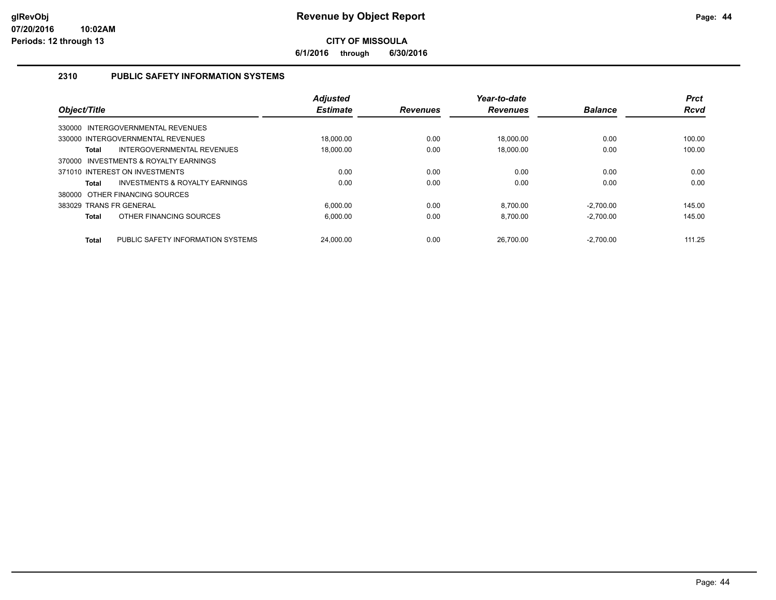**6/1/2016 through 6/30/2016**

### **2310 PUBLIC SAFETY INFORMATION SYSTEMS**

| Object/Title                                      | <b>Adjusted</b><br><b>Estimate</b> | <b>Revenues</b> | Year-to-date<br><b>Revenues</b> | <b>Balance</b> | <b>Prct</b><br><b>Rcvd</b> |
|---------------------------------------------------|------------------------------------|-----------------|---------------------------------|----------------|----------------------------|
| 330000 INTERGOVERNMENTAL REVENUES                 |                                    |                 |                                 |                |                            |
| 330000 INTERGOVERNMENTAL REVENUES                 | 18.000.00                          | 0.00            | 18.000.00                       | 0.00           | 100.00                     |
| INTERGOVERNMENTAL REVENUES<br><b>Total</b>        | 18.000.00                          | 0.00            | 18.000.00                       | 0.00           | 100.00                     |
| INVESTMENTS & ROYALTY EARNINGS<br>370000          |                                    |                 |                                 |                |                            |
| 371010 INTEREST ON INVESTMENTS                    | 0.00                               | 0.00            | 0.00                            | 0.00           | 0.00                       |
| INVESTMENTS & ROYALTY EARNINGS<br><b>Total</b>    | 0.00                               | 0.00            | 0.00                            | 0.00           | 0.00                       |
| 380000 OTHER FINANCING SOURCES                    |                                    |                 |                                 |                |                            |
| 383029 TRANS FR GENERAL                           | 6.000.00                           | 0.00            | 8.700.00                        | $-2.700.00$    | 145.00                     |
| OTHER FINANCING SOURCES<br><b>Total</b>           | 6.000.00                           | 0.00            | 8.700.00                        | $-2,700.00$    | 145.00                     |
| PUBLIC SAFETY INFORMATION SYSTEMS<br><b>Total</b> | 24.000.00                          | 0.00            | 26.700.00                       | $-2.700.00$    | 111.25                     |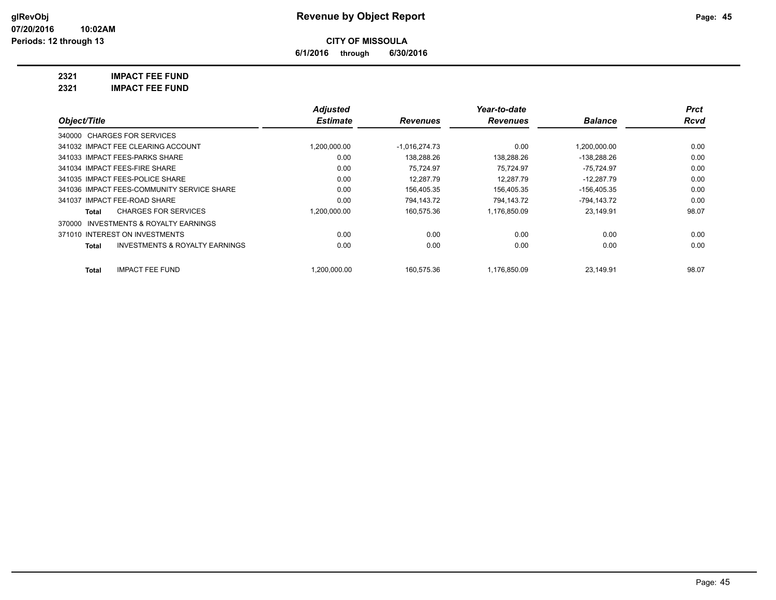**6/1/2016 through 6/30/2016**

**2321 IMPACT FEE FUND**

**2321 IMPACT FEE FUND**

|                                                    | <b>Adjusted</b> |                 | Year-to-date    |                | <b>Prct</b> |
|----------------------------------------------------|-----------------|-----------------|-----------------|----------------|-------------|
| Object/Title                                       | <b>Estimate</b> | <b>Revenues</b> | <b>Revenues</b> | <b>Balance</b> | Rcvd        |
| 340000 CHARGES FOR SERVICES                        |                 |                 |                 |                |             |
| 341032 IMPACT FEE CLEARING ACCOUNT                 | 1,200,000.00    | $-1,016,274.73$ | 0.00            | 1,200,000.00   | 0.00        |
| 341033 IMPACT FEES-PARKS SHARE                     | 0.00            | 138,288.26      | 138,288.26      | $-138,288.26$  | 0.00        |
| 341034 IMPACT FEES-FIRE SHARE                      | 0.00            | 75.724.97       | 75,724.97       | $-75.724.97$   | 0.00        |
| 341035 IMPACT FEES-POLICE SHARE                    | 0.00            | 12,287.79       | 12,287.79       | $-12,287.79$   | 0.00        |
| 341036 IMPACT FEES-COMMUNITY SERVICE SHARE         | 0.00            | 156,405.35      | 156.405.35      | $-156,405.35$  | 0.00        |
| 341037 IMPACT FEE-ROAD SHARE                       | 0.00            | 794.143.72      | 794.143.72      | -794.143.72    | 0.00        |
| <b>CHARGES FOR SERVICES</b><br>Total               | 1,200,000.00    | 160,575.36      | 1,176,850.09    | 23,149.91      | 98.07       |
| INVESTMENTS & ROYALTY EARNINGS<br>370000           |                 |                 |                 |                |             |
| 371010 INTEREST ON INVESTMENTS                     | 0.00            | 0.00            | 0.00            | 0.00           | 0.00        |
| <b>INVESTMENTS &amp; ROYALTY EARNINGS</b><br>Total | 0.00            | 0.00            | 0.00            | 0.00           | 0.00        |
| <b>IMPACT FEE FUND</b><br>Total                    | .200.000.00     | 160.575.36      | 1.176.850.09    | 23.149.91      | 98.07       |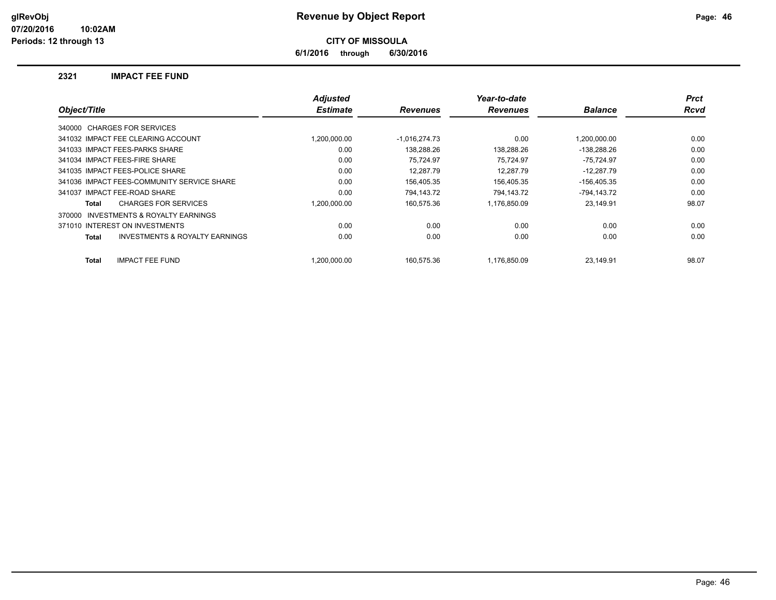**6/1/2016 through 6/30/2016**

#### **2321 IMPACT FEE FUND**

|                                                           | <b>Adjusted</b><br><b>Estimate</b> |                 | Year-to-date    | <b>Balance</b> | <b>Prct</b><br><b>Rcvd</b> |
|-----------------------------------------------------------|------------------------------------|-----------------|-----------------|----------------|----------------------------|
| Object/Title                                              |                                    | <b>Revenues</b> | <b>Revenues</b> |                |                            |
| 340000 CHARGES FOR SERVICES                               |                                    |                 |                 |                |                            |
| 341032 IMPACT FEE CLEARING ACCOUNT                        | 1.200.000.00                       | $-1,016,274.73$ | 0.00            | 1,200,000.00   | 0.00                       |
| 341033 IMPACT FEES-PARKS SHARE                            | 0.00                               | 138,288.26      | 138,288.26      | $-138,288.26$  | 0.00                       |
| 341034 IMPACT FEES-FIRE SHARE                             | 0.00                               | 75,724.97       | 75.724.97       | $-75.724.97$   | 0.00                       |
| 341035 IMPACT FEES-POLICE SHARE                           | 0.00                               | 12.287.79       | 12.287.79       | $-12.287.79$   | 0.00                       |
| 341036 IMPACT FEES-COMMUNITY SERVICE SHARE                | 0.00                               | 156.405.35      | 156.405.35      | $-156.405.35$  | 0.00                       |
| 341037 IMPACT FEE-ROAD SHARE                              | 0.00                               | 794,143.72      | 794,143.72      | -794,143.72    | 0.00                       |
| <b>CHARGES FOR SERVICES</b><br>Total                      | 1.200.000.00                       | 160,575.36      | 1.176.850.09    | 23.149.91      | 98.07                      |
| <b>INVESTMENTS &amp; ROYALTY EARNINGS</b><br>370000       |                                    |                 |                 |                |                            |
| 371010 INTEREST ON INVESTMENTS                            | 0.00                               | 0.00            | 0.00            | 0.00           | 0.00                       |
| <b>INVESTMENTS &amp; ROYALTY EARNINGS</b><br><b>Total</b> | 0.00                               | 0.00            | 0.00            | 0.00           | 0.00                       |
| <b>IMPACT FEE FUND</b><br><b>Total</b>                    | 1.200.000.00                       | 160.575.36      | 1.176.850.09    | 23.149.91      | 98.07                      |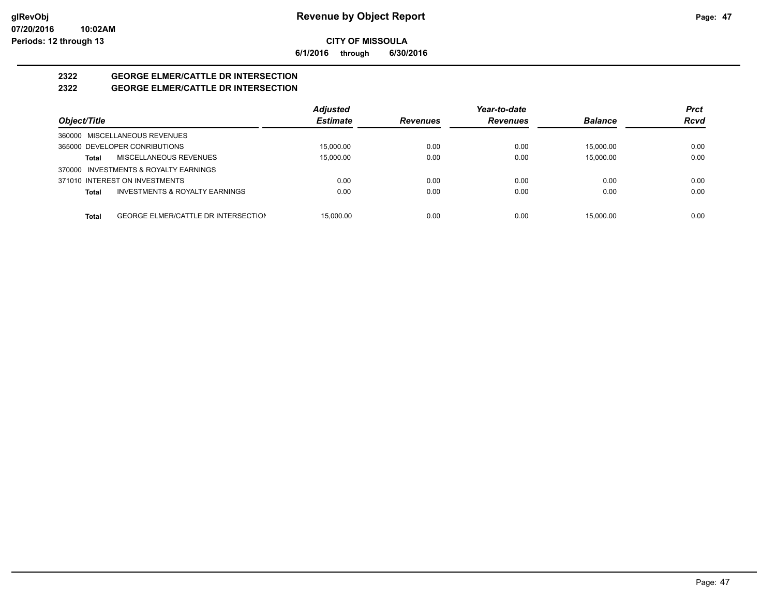**6/1/2016 through 6/30/2016**

# **2322 GEORGE ELMER/CATTLE DR INTERSECTION**

## **2322 GEORGE ELMER/CATTLE DR INTERSECTION**

|                                                     | <b>Adjusted</b> |                 | Year-to-date    |                | <b>Prct</b> |
|-----------------------------------------------------|-----------------|-----------------|-----------------|----------------|-------------|
| Object/Title                                        | <b>Estimate</b> | <b>Revenues</b> | <b>Revenues</b> | <b>Balance</b> | <b>Rcvd</b> |
| 360000 MISCELLANEOUS REVENUES                       |                 |                 |                 |                |             |
| 365000 DEVELOPER CONRIBUTIONS                       | 15.000.00       | 0.00            | 0.00            | 15,000.00      | 0.00        |
| MISCELLANEOUS REVENUES<br>Total                     | 15.000.00       | 0.00            | 0.00            | 15,000.00      | 0.00        |
| 370000 INVESTMENTS & ROYALTY EARNINGS               |                 |                 |                 |                |             |
| 371010 INTEREST ON INVESTMENTS                      | 0.00            | 0.00            | 0.00            | 0.00           | 0.00        |
| <b>INVESTMENTS &amp; ROYALTY EARNINGS</b><br>Total  | 0.00            | 0.00            | 0.00            | 0.00           | 0.00        |
|                                                     |                 |                 |                 |                |             |
| <b>GEORGE ELMER/CATTLE DR INTERSECTION</b><br>Total | 15.000.00       | 0.00            | 0.00            | 15.000.00      | 0.00        |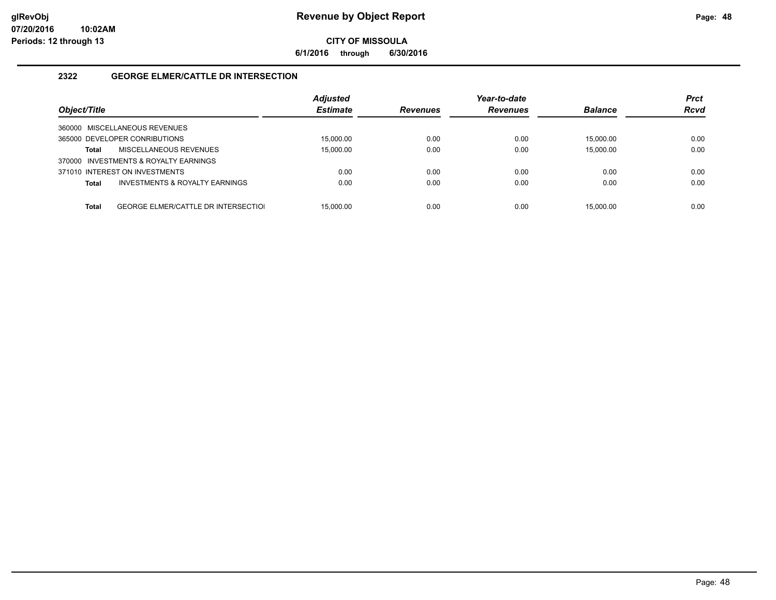**6/1/2016 through 6/30/2016**

## **2322 GEORGE ELMER/CATTLE DR INTERSECTION**

| Object/Title                                              | <b>Adjusted</b><br><b>Estimate</b> | <b>Revenues</b> | Year-to-date<br><b>Revenues</b> | <b>Balance</b> | <b>Prct</b><br><b>Rcvd</b> |
|-----------------------------------------------------------|------------------------------------|-----------------|---------------------------------|----------------|----------------------------|
| 360000 MISCELLANEOUS REVENUES                             |                                    |                 |                                 |                |                            |
| 365000 DEVELOPER CONRIBUTIONS                             | 15.000.00                          | 0.00            | 0.00                            | 15.000.00      | 0.00                       |
| <b>MISCELLANEOUS REVENUES</b><br><b>Total</b>             | 15,000.00                          | 0.00            | 0.00                            | 15.000.00      | 0.00                       |
| 370000 INVESTMENTS & ROYALTY EARNINGS                     |                                    |                 |                                 |                |                            |
| 371010 INTEREST ON INVESTMENTS                            | 0.00                               | 0.00            | 0.00                            | 0.00           | 0.00                       |
| <b>INVESTMENTS &amp; ROYALTY EARNINGS</b><br><b>Total</b> | 0.00                               | 0.00            | 0.00                            | 0.00           | 0.00                       |
|                                                           |                                    |                 |                                 |                |                            |
| <b>GEORGE ELMER/CATTLE DR INTERSECTIOL</b><br>Total       | 15.000.00                          | 0.00            | 0.00                            | 15.000.00      | 0.00                       |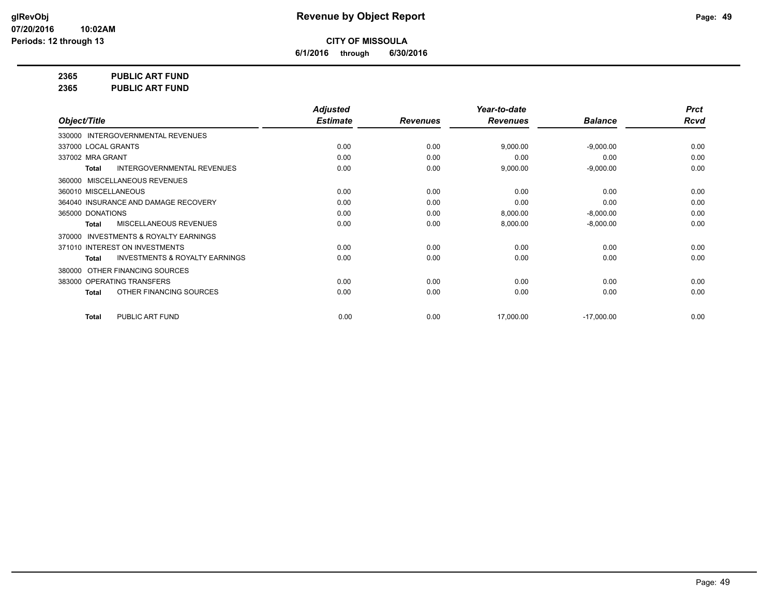**6/1/2016 through 6/30/2016**

**2365 PUBLIC ART FUND**

**2365 PUBLIC ART FUND**

|                                                    | <b>Adjusted</b> |                 | Year-to-date    |                | <b>Prct</b> |
|----------------------------------------------------|-----------------|-----------------|-----------------|----------------|-------------|
| Object/Title                                       | <b>Estimate</b> | <b>Revenues</b> | <b>Revenues</b> | <b>Balance</b> | <b>Rcvd</b> |
| 330000 INTERGOVERNMENTAL REVENUES                  |                 |                 |                 |                |             |
| 337000 LOCAL GRANTS                                | 0.00            | 0.00            | 9,000.00        | $-9,000.00$    | 0.00        |
| 337002 MRA GRANT                                   | 0.00            | 0.00            | 0.00            | 0.00           | 0.00        |
| <b>INTERGOVERNMENTAL REVENUES</b><br>Total         | 0.00            | 0.00            | 9,000.00        | $-9,000.00$    | 0.00        |
| 360000 MISCELLANEOUS REVENUES                      |                 |                 |                 |                |             |
| 360010 MISCELLANEOUS                               | 0.00            | 0.00            | 0.00            | 0.00           | 0.00        |
| 364040 INSURANCE AND DAMAGE RECOVERY               | 0.00            | 0.00            | 0.00            | 0.00           | 0.00        |
| 365000 DONATIONS                                   | 0.00            | 0.00            | 8,000.00        | $-8,000.00$    | 0.00        |
| MISCELLANEOUS REVENUES<br><b>Total</b>             | 0.00            | 0.00            | 8,000.00        | $-8,000.00$    | 0.00        |
| INVESTMENTS & ROYALTY EARNINGS<br>370000           |                 |                 |                 |                |             |
| 371010 INTEREST ON INVESTMENTS                     | 0.00            | 0.00            | 0.00            | 0.00           | 0.00        |
| <b>INVESTMENTS &amp; ROYALTY EARNINGS</b><br>Total | 0.00            | 0.00            | 0.00            | 0.00           | 0.00        |
| OTHER FINANCING SOURCES<br>380000                  |                 |                 |                 |                |             |
| 383000 OPERATING TRANSFERS                         | 0.00            | 0.00            | 0.00            | 0.00           | 0.00        |
| OTHER FINANCING SOURCES<br><b>Total</b>            | 0.00            | 0.00            | 0.00            | 0.00           | 0.00        |
| PUBLIC ART FUND<br>Total                           | 0.00            | 0.00            | 17,000.00       | $-17,000.00$   | 0.00        |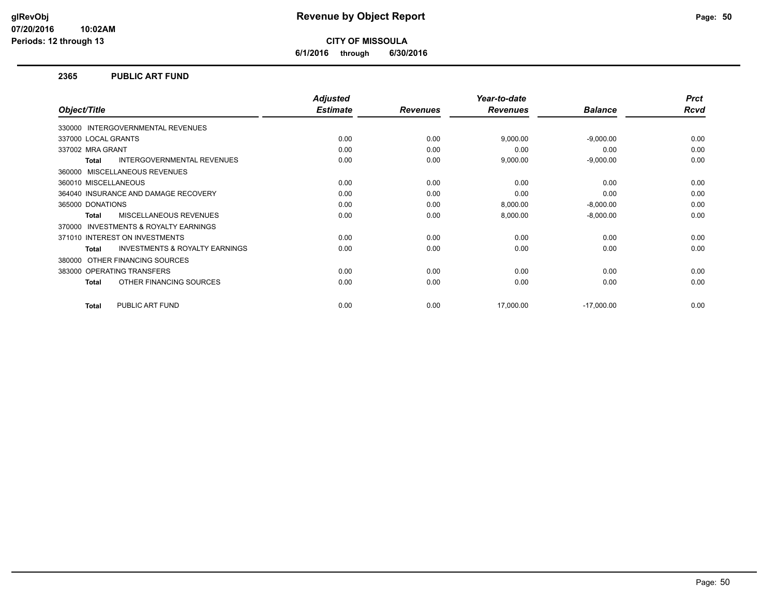**6/1/2016 through 6/30/2016**

#### **2365 PUBLIC ART FUND**

|                                                     | <b>Adjusted</b> |                 | Year-to-date    |                | <b>Prct</b> |
|-----------------------------------------------------|-----------------|-----------------|-----------------|----------------|-------------|
| Object/Title                                        | <b>Estimate</b> | <b>Revenues</b> | <b>Revenues</b> | <b>Balance</b> | <b>Rcvd</b> |
| 330000 INTERGOVERNMENTAL REVENUES                   |                 |                 |                 |                |             |
| 337000 LOCAL GRANTS                                 | 0.00            | 0.00            | 9,000.00        | $-9,000.00$    | 0.00        |
| 337002 MRA GRANT                                    | 0.00            | 0.00            | 0.00            | 0.00           | 0.00        |
| INTERGOVERNMENTAL REVENUES<br><b>Total</b>          | 0.00            | 0.00            | 9,000.00        | $-9,000.00$    | 0.00        |
| MISCELLANEOUS REVENUES<br>360000                    |                 |                 |                 |                |             |
| 360010 MISCELLANEOUS                                | 0.00            | 0.00            | 0.00            | 0.00           | 0.00        |
| 364040 INSURANCE AND DAMAGE RECOVERY                | 0.00            | 0.00            | 0.00            | 0.00           | 0.00        |
| 365000 DONATIONS                                    | 0.00            | 0.00            | 8,000.00        | $-8,000.00$    | 0.00        |
| <b>MISCELLANEOUS REVENUES</b><br><b>Total</b>       | 0.00            | 0.00            | 8,000.00        | $-8,000.00$    | 0.00        |
| <b>INVESTMENTS &amp; ROYALTY EARNINGS</b><br>370000 |                 |                 |                 |                |             |
| 371010 INTEREST ON INVESTMENTS                      | 0.00            | 0.00            | 0.00            | 0.00           | 0.00        |
| <b>INVESTMENTS &amp; ROYALTY EARNINGS</b><br>Total  | 0.00            | 0.00            | 0.00            | 0.00           | 0.00        |
| OTHER FINANCING SOURCES<br>380000                   |                 |                 |                 |                |             |
| 383000 OPERATING TRANSFERS                          | 0.00            | 0.00            | 0.00            | 0.00           | 0.00        |
| OTHER FINANCING SOURCES<br><b>Total</b>             | 0.00            | 0.00            | 0.00            | 0.00           | 0.00        |
| PUBLIC ART FUND<br>Total                            | 0.00            | 0.00            | 17,000.00       | $-17,000.00$   | 0.00        |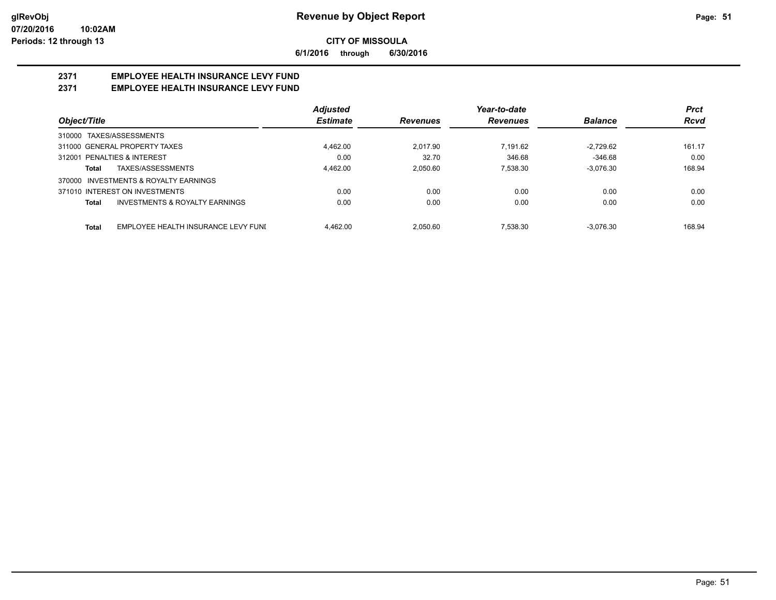**6/1/2016 through 6/30/2016**

## **2371 EMPLOYEE HEALTH INSURANCE LEVY FUND**

## **2371 EMPLOYEE HEALTH INSURANCE LEVY FUND**

|                                                    | <b>Adjusted</b> |                 | Year-to-date    |                | <b>Prct</b> |
|----------------------------------------------------|-----------------|-----------------|-----------------|----------------|-------------|
| Object/Title                                       | <b>Estimate</b> | <b>Revenues</b> | <b>Revenues</b> | <b>Balance</b> | Rcvd        |
| 310000 TAXES/ASSESSMENTS                           |                 |                 |                 |                |             |
| 311000 GENERAL PROPERTY TAXES                      | 4,462.00        | 2.017.90        | 7.191.62        | $-2.729.62$    | 161.17      |
| 312001 PENALTIES & INTEREST                        | 0.00            | 32.70           | 346.68          | $-346.68$      | 0.00        |
| TAXES/ASSESSMENTS<br>Total                         | 4.462.00        | 2.050.60        | 7.538.30        | $-3.076.30$    | 168.94      |
| 370000 INVESTMENTS & ROYALTY EARNINGS              |                 |                 |                 |                |             |
| 371010 INTEREST ON INVESTMENTS                     | 0.00            | 0.00            | 0.00            | 0.00           | 0.00        |
| <b>INVESTMENTS &amp; ROYALTY EARNINGS</b><br>Total | 0.00            | 0.00            | 0.00            | 0.00           | 0.00        |
| EMPLOYEE HEALTH INSURANCE LEVY FUNI<br>Total       | 4.462.00        | 2.050.60        | 7.538.30        | $-3.076.30$    | 168.94      |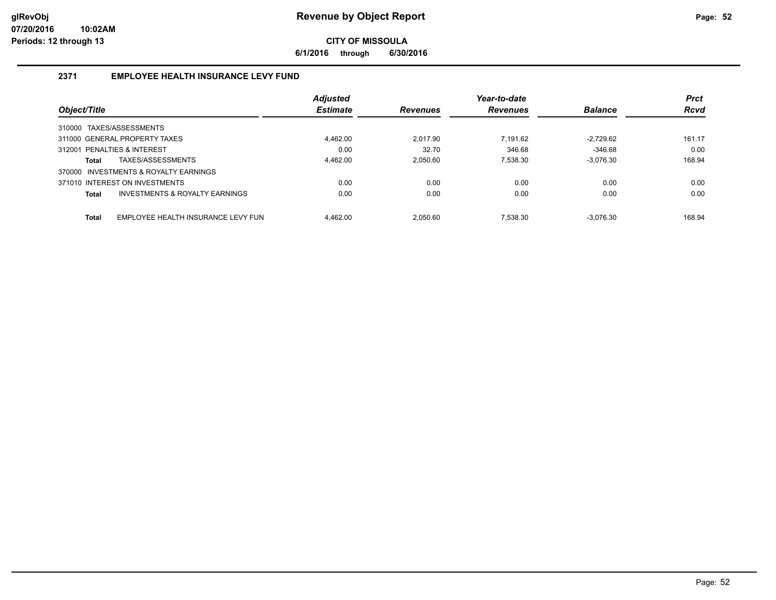**6/1/2016 through 6/30/2016**

## **2371 EMPLOYEE HEALTH INSURANCE LEVY FUND**

|                                       |                                    | <b>Adjusted</b> |                 | Year-to-date    |                | <b>Prct</b> |
|---------------------------------------|------------------------------------|-----------------|-----------------|-----------------|----------------|-------------|
| Object/Title                          |                                    | <b>Estimate</b> | <b>Revenues</b> | <b>Revenues</b> | <b>Balance</b> | <b>Rcvd</b> |
| 310000 TAXES/ASSESSMENTS              |                                    |                 |                 |                 |                |             |
| 311000 GENERAL PROPERTY TAXES         |                                    | 4.462.00        | 2,017.90        | 7.191.62        | $-2.729.62$    | 161.17      |
| 312001 PENALTIES & INTEREST           |                                    | 0.00            | 32.70           | 346.68          | $-346.68$      | 0.00        |
| <b>Total</b>                          | TAXES/ASSESSMENTS                  | 4.462.00        | 2,050.60        | 7,538.30        | $-3.076.30$    | 168.94      |
| 370000 INVESTMENTS & ROYALTY EARNINGS |                                    |                 |                 |                 |                |             |
| 371010 INTEREST ON INVESTMENTS        |                                    | 0.00            | 0.00            | 0.00            | 0.00           | 0.00        |
| Total                                 | INVESTMENTS & ROYALTY EARNINGS     | 0.00            | 0.00            | 0.00            | 0.00           | 0.00        |
| Total                                 | EMPLOYEE HEALTH INSURANCE LEVY FUN | 4.462.00        | 2.050.60        | 7.538.30        | $-3.076.30$    | 168.94      |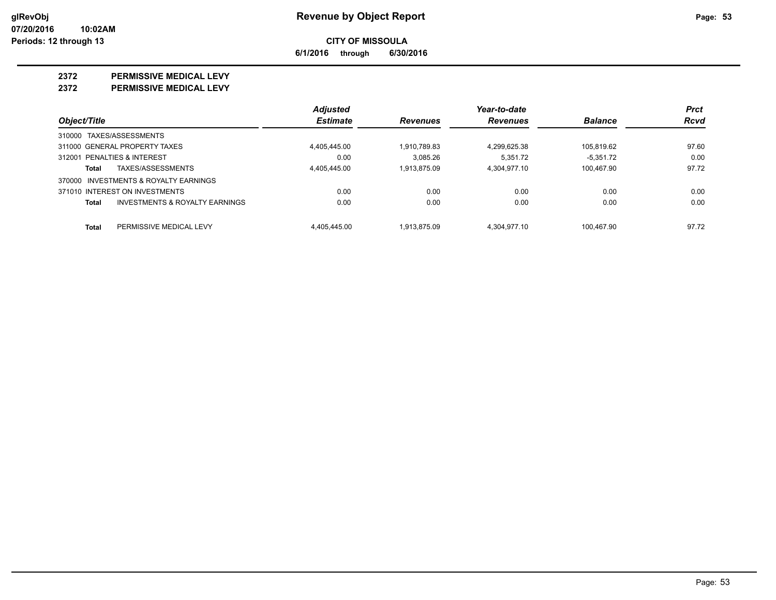**6/1/2016 through 6/30/2016**

#### **2372 PERMISSIVE MEDICAL LEVY**

**2372 PERMISSIVE MEDICAL LEVY**

|                                                    | <b>Adjusted</b> |                 | Year-to-date    |                | <b>Prct</b> |
|----------------------------------------------------|-----------------|-----------------|-----------------|----------------|-------------|
| Object/Title                                       | <b>Estimate</b> | <b>Revenues</b> | <b>Revenues</b> | <b>Balance</b> | Rcvd        |
| 310000 TAXES/ASSESSMENTS                           |                 |                 |                 |                |             |
| 311000 GENERAL PROPERTY TAXES                      | 4.405.445.00    | 1,910,789.83    | 4,299,625.38    | 105.819.62     | 97.60       |
| 312001 PENALTIES & INTEREST                        | 0.00            | 3.085.26        | 5.351.72        | $-5.351.72$    | 0.00        |
| TAXES/ASSESSMENTS<br>Total                         | 4.405.445.00    | 1.913.875.09    | 4.304.977.10    | 100.467.90     | 97.72       |
| 370000 INVESTMENTS & ROYALTY EARNINGS              |                 |                 |                 |                |             |
| 371010 INTEREST ON INVESTMENTS                     | 0.00            | 0.00            | 0.00            | 0.00           | 0.00        |
| <b>INVESTMENTS &amp; ROYALTY EARNINGS</b><br>Total | 0.00            | 0.00            | 0.00            | 0.00           | 0.00        |
| Total<br>PERMISSIVE MEDICAL LEVY                   | 4.405.445.00    | 1.913.875.09    | 4.304.977.10    | 100.467.90     | 97.72       |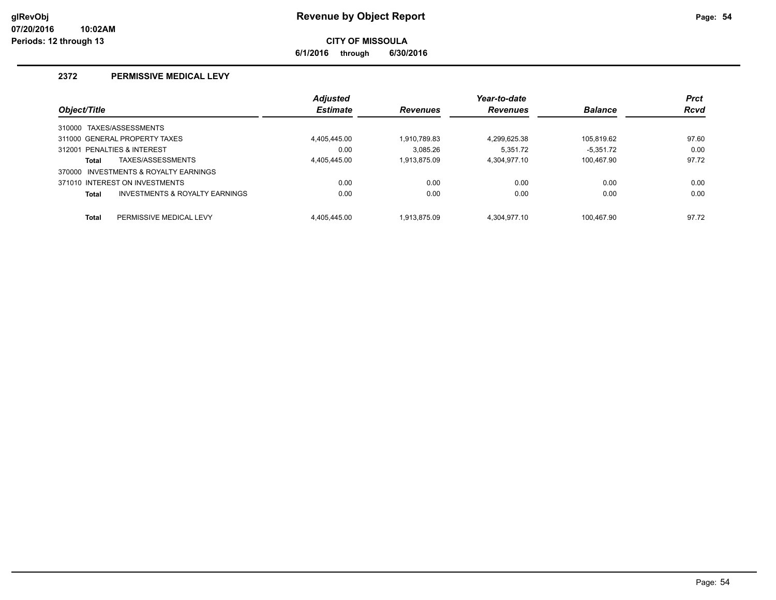**6/1/2016 through 6/30/2016**

#### **2372 PERMISSIVE MEDICAL LEVY**

|              |                                       | <b>Adjusted</b> |                 | Year-to-date    |                | <b>Prct</b> |
|--------------|---------------------------------------|-----------------|-----------------|-----------------|----------------|-------------|
| Object/Title |                                       | <b>Estimate</b> | <b>Revenues</b> | <b>Revenues</b> | <b>Balance</b> | <b>Rcvd</b> |
| 310000       | TAXES/ASSESSMENTS                     |                 |                 |                 |                |             |
|              | 311000 GENERAL PROPERTY TAXES         | 4.405.445.00    | 1.910.789.83    | 4.299.625.38    | 105.819.62     | 97.60       |
|              | 312001 PENALTIES & INTEREST           | 0.00            | 3.085.26        | 5.351.72        | $-5.351.72$    | 0.00        |
| <b>Total</b> | TAXES/ASSESSMENTS                     | 4.405.445.00    | 1,913,875.09    | 4,304,977.10    | 100,467.90     | 97.72       |
|              | 370000 INVESTMENTS & ROYALTY EARNINGS |                 |                 |                 |                |             |
|              | 371010 INTEREST ON INVESTMENTS        | 0.00            | 0.00            | 0.00            | 0.00           | 0.00        |
| <b>Total</b> | INVESTMENTS & ROYALTY EARNINGS        | 0.00            | 0.00            | 0.00            | 0.00           | 0.00        |
| <b>Total</b> | PERMISSIVE MEDICAL LEVY               | 4.405.445.00    | 1.913.875.09    | 4,304,977.10    | 100.467.90     | 97.72       |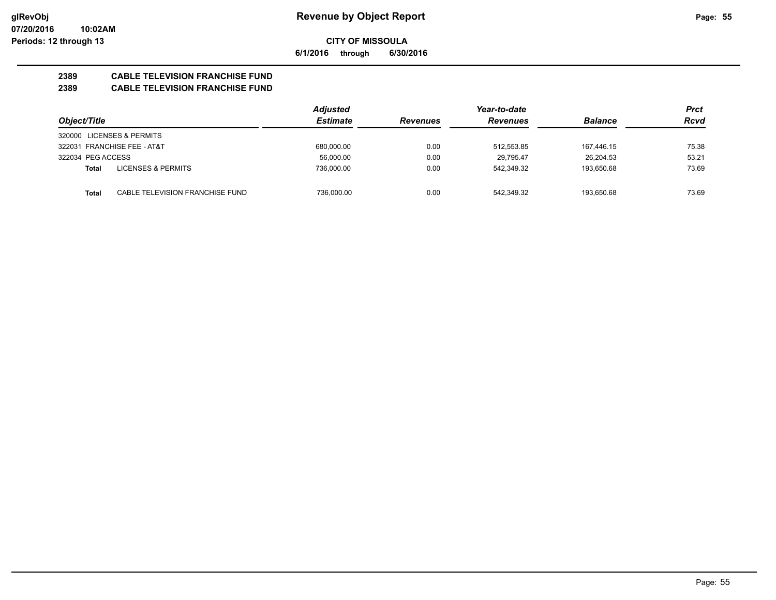**6/1/2016 through 6/30/2016**

## **2389 CABLE TELEVISION FRANCHISE FUND**

## **2389 CABLE TELEVISION FRANCHISE FUND**

|                   |                                 | <b>Adjusted</b> |                 | Year-to-date    |                | Prct        |
|-------------------|---------------------------------|-----------------|-----------------|-----------------|----------------|-------------|
| Object/Title      |                                 | <b>Estimate</b> | <b>Revenues</b> | <b>Revenues</b> | <b>Balance</b> | <b>Rcvd</b> |
|                   | 320000 LICENSES & PERMITS       |                 |                 |                 |                |             |
|                   | 322031 FRANCHISE FEE - AT&T     | 680,000.00      | 0.00            | 512,553.85      | 167,446.15     | 75.38       |
| 322034 PEG ACCESS |                                 | 56,000.00       | 0.00            | 29.795.47       | 26.204.53      | 53.21       |
| Total             | LICENSES & PERMITS              | 736,000.00      | 0.00            | 542,349.32      | 193.650.68     | 73.69       |
| Total             | CABLE TELEVISION FRANCHISE FUND | 736,000.00      | 0.00            | 542,349.32      | 193.650.68     | 73.69       |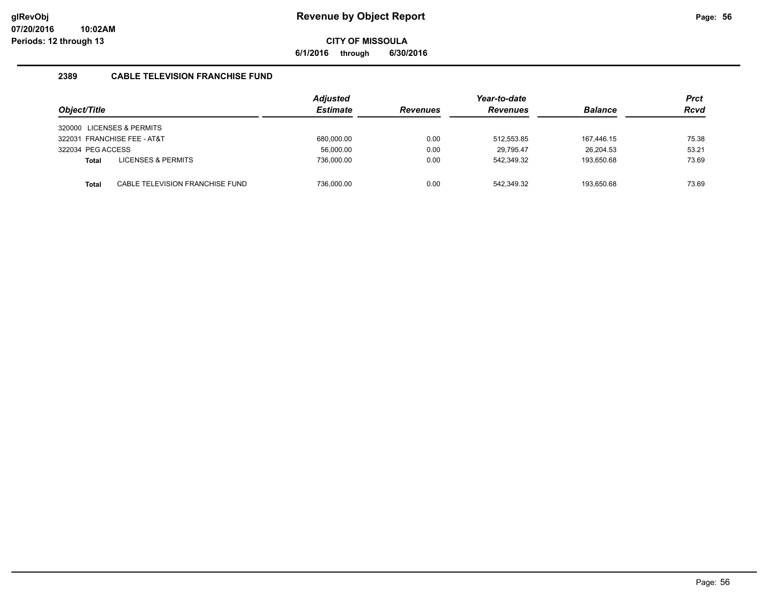**6/1/2016 through 6/30/2016**

#### **2389 CABLE TELEVISION FRANCHISE FUND**

| Object/Title      |                                 | <b>Adjusted</b><br><b>Estimate</b> | <b>Revenues</b> | Year-to-date<br><b>Revenues</b> | <b>Balance</b> | <b>Prct</b><br><b>Rcvd</b> |
|-------------------|---------------------------------|------------------------------------|-----------------|---------------------------------|----------------|----------------------------|
|                   | 320000 LICENSES & PERMITS       |                                    |                 |                                 |                |                            |
|                   | 322031 FRANCHISE FEE - AT&T     | 680,000.00                         | 0.00            | 512.553.85                      | 167.446.15     | 75.38                      |
| 322034 PEG ACCESS |                                 | 56,000.00                          | 0.00            | 29.795.47                       | 26,204.53      | 53.21                      |
| Total             | LICENSES & PERMITS              | 736.000.00                         | 0.00            | 542.349.32                      | 193.650.68     | 73.69                      |
|                   |                                 |                                    |                 |                                 |                |                            |
| Total             | CABLE TELEVISION FRANCHISE FUND | 736.000.00                         | 0.00            | 542.349.32                      | 193.650.68     | 73.69                      |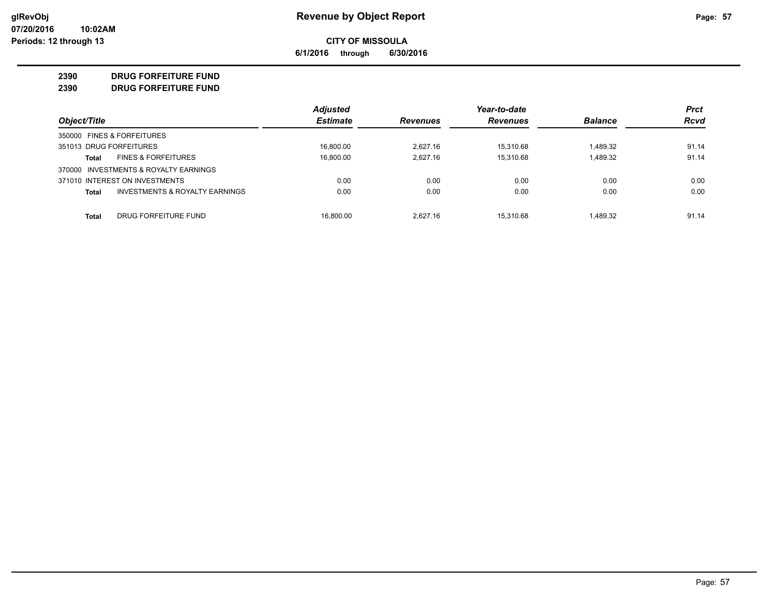**6/1/2016 through 6/30/2016**

#### **2390 DRUG FORFEITURE FUND**

**2390 DRUG FORFEITURE FUND**

|                                                | <b>Adjusted</b> |                 | Year-to-date    |                | <b>Prct</b> |
|------------------------------------------------|-----------------|-----------------|-----------------|----------------|-------------|
| Object/Title                                   | <b>Estimate</b> | <b>Revenues</b> | <b>Revenues</b> | <b>Balance</b> | <b>Rcvd</b> |
| 350000 FINES & FORFEITURES                     |                 |                 |                 |                |             |
| 351013 DRUG FORFEITURES                        | 16.800.00       | 2.627.16        | 15.310.68       | 1,489.32       | 91.14       |
| <b>FINES &amp; FORFEITURES</b><br>Total        | 16,800.00       | 2,627.16        | 15,310.68       | 1,489.32       | 91.14       |
| 370000 INVESTMENTS & ROYALTY EARNINGS          |                 |                 |                 |                |             |
| 371010 INTEREST ON INVESTMENTS                 | 0.00            | 0.00            | 0.00            | 0.00           | 0.00        |
| INVESTMENTS & ROYALTY EARNINGS<br><b>Total</b> | 0.00            | 0.00            | 0.00            | 0.00           | 0.00        |
| DRUG FORFEITURE FUND<br>Total                  | 16.800.00       | 2.627.16        | 15.310.68       | 1.489.32       | 91.14       |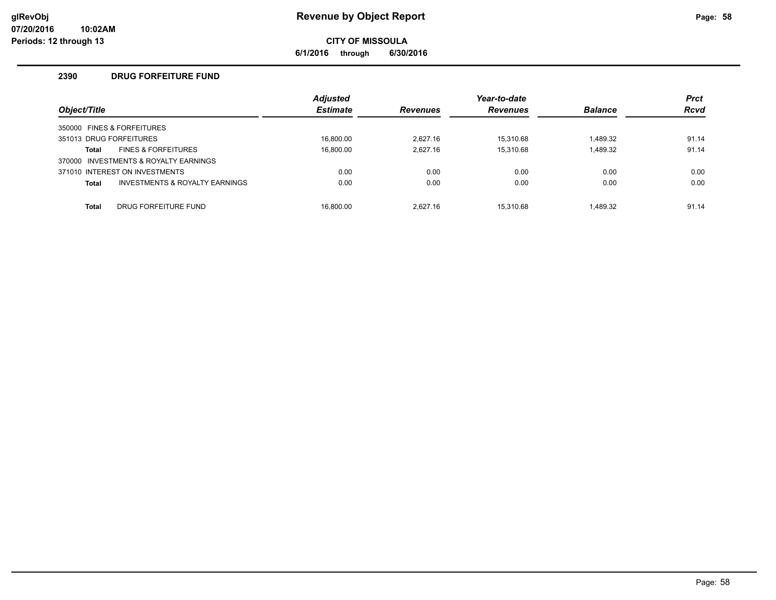**6/1/2016 through 6/30/2016**

#### **2390 DRUG FORFEITURE FUND**

|                            |                                           | <b>Adjusted</b> |                 | Year-to-date    |                | <b>Prct</b> |
|----------------------------|-------------------------------------------|-----------------|-----------------|-----------------|----------------|-------------|
| Object/Title               |                                           | <b>Estimate</b> | <b>Revenues</b> | <b>Revenues</b> | <b>Balance</b> | <b>Rcvd</b> |
| 350000 FINES & FORFEITURES |                                           |                 |                 |                 |                |             |
| 351013 DRUG FORFEITURES    |                                           | 16.800.00       | 2.627.16        | 15.310.68       | 1.489.32       | 91.14       |
| <b>Total</b>               | <b>FINES &amp; FORFEITURES</b>            | 16.800.00       | 2.627.16        | 15.310.68       | 1,489.32       | 91.14       |
| 370000                     | INVESTMENTS & ROYALTY EARNINGS            |                 |                 |                 |                |             |
|                            | 371010 INTEREST ON INVESTMENTS            | 0.00            | 0.00            | 0.00            | 0.00           | 0.00        |
| <b>Total</b>               | <b>INVESTMENTS &amp; ROYALTY EARNINGS</b> | 0.00            | 0.00            | 0.00            | 0.00           | 0.00        |
| Total                      | DRUG FORFEITURE FUND                      | 16.800.00       | 2.627.16        | 15.310.68       | 1.489.32       | 91.14       |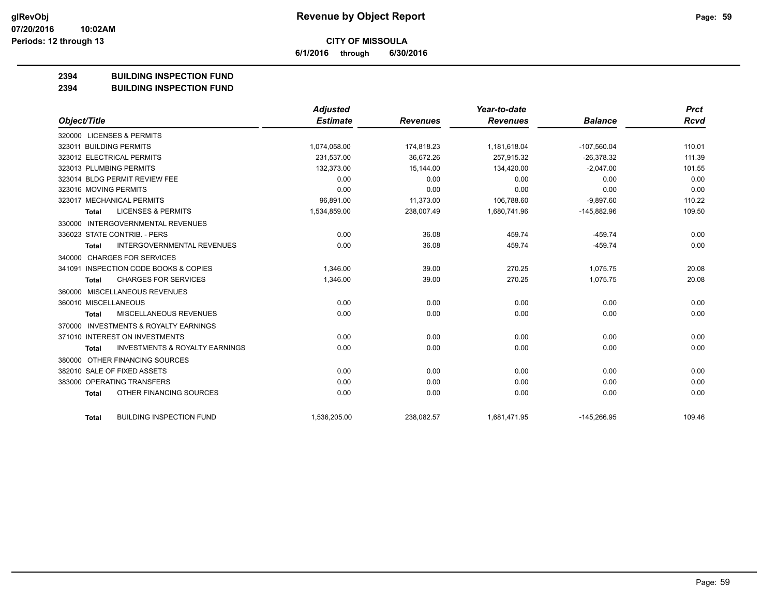**6/1/2016 through 6/30/2016**

#### **2394 BUILDING INSPECTION FUND**

**2394 BUILDING INSPECTION FUND**

|                                |                                           | <b>Adjusted</b> |                 | Year-to-date    |                | <b>Prct</b> |
|--------------------------------|-------------------------------------------|-----------------|-----------------|-----------------|----------------|-------------|
| Object/Title                   |                                           | <b>Estimate</b> | <b>Revenues</b> | <b>Revenues</b> | <b>Balance</b> | <b>Rcvd</b> |
| 320000 LICENSES & PERMITS      |                                           |                 |                 |                 |                |             |
| 323011 BUILDING PERMITS        |                                           | 1,074,058.00    | 174,818.23      | 1,181,618.04    | $-107,560.04$  | 110.01      |
| 323012 ELECTRICAL PERMITS      |                                           | 231.537.00      | 36.672.26       | 257.915.32      | $-26.378.32$   | 111.39      |
| 323013 PLUMBING PERMITS        |                                           | 132,373.00      | 15,144.00       | 134,420.00      | $-2,047.00$    | 101.55      |
| 323014 BLDG PERMIT REVIEW FEE  |                                           | 0.00            | 0.00            | 0.00            | 0.00           | 0.00        |
| 323016 MOVING PERMITS          |                                           | 0.00            | 0.00            | 0.00            | 0.00           | 0.00        |
| 323017 MECHANICAL PERMITS      |                                           | 96,891.00       | 11,373.00       | 106,788.60      | $-9,897.60$    | 110.22      |
| <b>Total</b>                   | <b>LICENSES &amp; PERMITS</b>             | 1,534,859.00    | 238,007.49      | 1,680,741.96    | $-145,882.96$  | 109.50      |
| 330000                         | <b>INTERGOVERNMENTAL REVENUES</b>         |                 |                 |                 |                |             |
| 336023 STATE CONTRIB. - PERS   |                                           | 0.00            | 36.08           | 459.74          | $-459.74$      | 0.00        |
| <b>Total</b>                   | <b>INTERGOVERNMENTAL REVENUES</b>         | 0.00            | 36.08           | 459.74          | $-459.74$      | 0.00        |
| 340000 CHARGES FOR SERVICES    |                                           |                 |                 |                 |                |             |
|                                | 341091 INSPECTION CODE BOOKS & COPIES     | 1.346.00        | 39.00           | 270.25          | 1,075.75       | 20.08       |
| Total                          | <b>CHARGES FOR SERVICES</b>               | 1,346.00        | 39.00           | 270.25          | 1,075.75       | 20.08       |
| 360000                         | MISCELLANEOUS REVENUES                    |                 |                 |                 |                |             |
| 360010 MISCELLANEOUS           |                                           | 0.00            | 0.00            | 0.00            | 0.00           | 0.00        |
| <b>Total</b>                   | MISCELLANEOUS REVENUES                    | 0.00            | 0.00            | 0.00            | 0.00           | 0.00        |
| 370000                         | <b>INVESTMENTS &amp; ROYALTY EARNINGS</b> |                 |                 |                 |                |             |
| 371010 INTEREST ON INVESTMENTS |                                           | 0.00            | 0.00            | 0.00            | 0.00           | 0.00        |
| <b>Total</b>                   | <b>INVESTMENTS &amp; ROYALTY EARNINGS</b> | 0.00            | 0.00            | 0.00            | 0.00           | 0.00        |
| 380000                         | OTHER FINANCING SOURCES                   |                 |                 |                 |                |             |
| 382010 SALE OF FIXED ASSETS    |                                           | 0.00            | 0.00            | 0.00            | 0.00           | 0.00        |
| 383000 OPERATING TRANSFERS     |                                           | 0.00            | 0.00            | 0.00            | 0.00           | 0.00        |
| <b>Total</b>                   | OTHER FINANCING SOURCES                   | 0.00            | 0.00            | 0.00            | 0.00           | 0.00        |
| <b>Total</b>                   | <b>BUILDING INSPECTION FUND</b>           | 1,536,205.00    | 238.082.57      | 1,681,471.95    | $-145.266.95$  | 109.46      |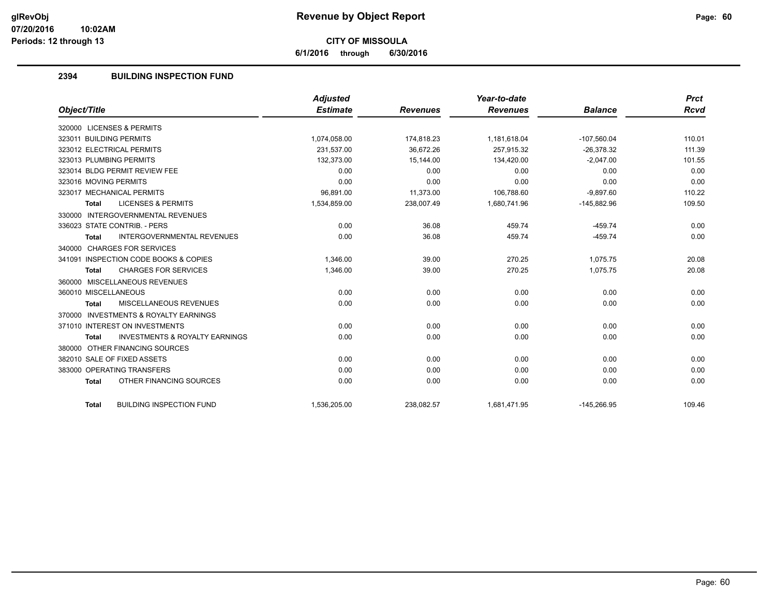**6/1/2016 through 6/30/2016**

## **2394 BUILDING INSPECTION FUND**

|                                                           | <b>Adjusted</b> |                 | Year-to-date    |                | <b>Prct</b> |
|-----------------------------------------------------------|-----------------|-----------------|-----------------|----------------|-------------|
| Object/Title                                              | <b>Estimate</b> | <b>Revenues</b> | <b>Revenues</b> | <b>Balance</b> | <b>Rcvd</b> |
| 320000 LICENSES & PERMITS                                 |                 |                 |                 |                |             |
| 323011 BUILDING PERMITS                                   | 1,074,058.00    | 174,818.23      | 1,181,618.04    | $-107,560.04$  | 110.01      |
| 323012 ELECTRICAL PERMITS                                 | 231.537.00      | 36.672.26       | 257.915.32      | $-26.378.32$   | 111.39      |
| 323013 PLUMBING PERMITS                                   | 132,373.00      | 15,144.00       | 134,420.00      | $-2,047.00$    | 101.55      |
| 323014 BLDG PERMIT REVIEW FEE                             | 0.00            | 0.00            | 0.00            | 0.00           | 0.00        |
| 323016 MOVING PERMITS                                     | 0.00            | 0.00            | 0.00            | 0.00           | 0.00        |
| 323017 MECHANICAL PERMITS                                 | 96,891.00       | 11,373.00       | 106,788.60      | $-9,897.60$    | 110.22      |
| <b>LICENSES &amp; PERMITS</b><br><b>Total</b>             | 1,534,859.00    | 238,007.49      | 1,680,741.96    | $-145,882.96$  | 109.50      |
| 330000 INTERGOVERNMENTAL REVENUES                         |                 |                 |                 |                |             |
| 336023 STATE CONTRIB. - PERS                              | 0.00            | 36.08           | 459.74          | $-459.74$      | 0.00        |
| <b>INTERGOVERNMENTAL REVENUES</b><br><b>Total</b>         | 0.00            | 36.08           | 459.74          | $-459.74$      | 0.00        |
| 340000 CHARGES FOR SERVICES                               |                 |                 |                 |                |             |
| 341091 INSPECTION CODE BOOKS & COPIES                     | 1,346.00        | 39.00           | 270.25          | 1,075.75       | 20.08       |
| <b>CHARGES FOR SERVICES</b><br><b>Total</b>               | 1,346.00        | 39.00           | 270.25          | 1,075.75       | 20.08       |
| 360000 MISCELLANEOUS REVENUES                             |                 |                 |                 |                |             |
| 360010 MISCELLANEOUS                                      | 0.00            | 0.00            | 0.00            | 0.00           | 0.00        |
| MISCELLANEOUS REVENUES<br><b>Total</b>                    | 0.00            | 0.00            | 0.00            | 0.00           | 0.00        |
| 370000 INVESTMENTS & ROYALTY EARNINGS                     |                 |                 |                 |                |             |
| 371010 INTEREST ON INVESTMENTS                            | 0.00            | 0.00            | 0.00            | 0.00           | 0.00        |
| <b>INVESTMENTS &amp; ROYALTY EARNINGS</b><br><b>Total</b> | 0.00            | 0.00            | 0.00            | 0.00           | 0.00        |
| 380000 OTHER FINANCING SOURCES                            |                 |                 |                 |                |             |
| 382010 SALE OF FIXED ASSETS                               | 0.00            | 0.00            | 0.00            | 0.00           | 0.00        |
| 383000 OPERATING TRANSFERS                                | 0.00            | 0.00            | 0.00            | 0.00           | 0.00        |
| OTHER FINANCING SOURCES<br><b>Total</b>                   | 0.00            | 0.00            | 0.00            | 0.00           | 0.00        |
| <b>BUILDING INSPECTION FUND</b><br><b>Total</b>           | 1,536,205.00    | 238,082.57      | 1,681,471.95    | $-145,266.95$  | 109.46      |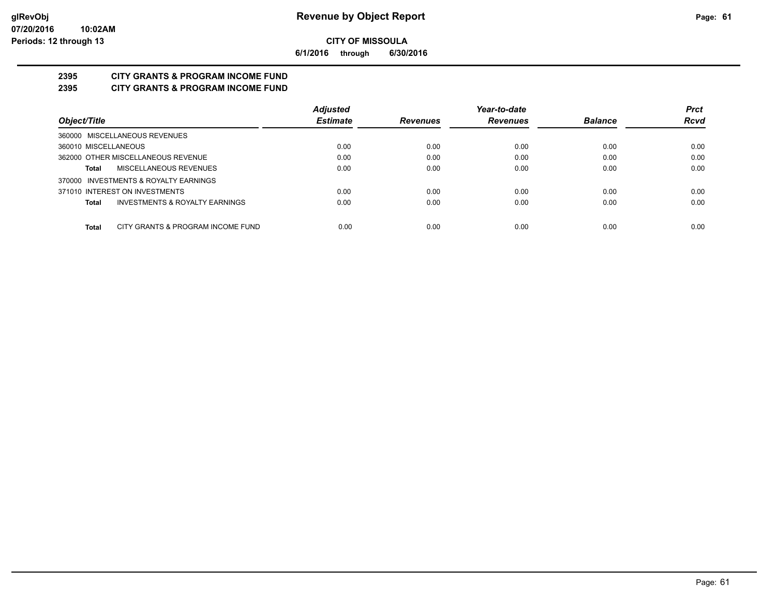**6/1/2016 through 6/30/2016**

## **2395 CITY GRANTS & PROGRAM INCOME FUND**

**2395 CITY GRANTS & PROGRAM INCOME FUND**

|                                                    | <b>Adjusted</b> |                 | Year-to-date    |                | <b>Prct</b> |
|----------------------------------------------------|-----------------|-----------------|-----------------|----------------|-------------|
| Object/Title                                       | <b>Estimate</b> | <b>Revenues</b> | <b>Revenues</b> | <b>Balance</b> | Rcvd        |
| 360000 MISCELLANEOUS REVENUES                      |                 |                 |                 |                |             |
| 360010 MISCELLANEOUS                               | 0.00            | 0.00            | 0.00            | 0.00           | 0.00        |
| 362000 OTHER MISCELLANEOUS REVENUE                 | 0.00            | 0.00            | 0.00            | 0.00           | 0.00        |
| <b>MISCELLANEOUS REVENUES</b><br>Total             | 0.00            | 0.00            | 0.00            | 0.00           | 0.00        |
| 370000 INVESTMENTS & ROYALTY EARNINGS              |                 |                 |                 |                |             |
| 371010 INTEREST ON INVESTMENTS                     | 0.00            | 0.00            | 0.00            | 0.00           | 0.00        |
| <b>INVESTMENTS &amp; ROYALTY EARNINGS</b><br>Total | 0.00            | 0.00            | 0.00            | 0.00           | 0.00        |
|                                                    |                 |                 |                 |                |             |
| Total<br>CITY GRANTS & PROGRAM INCOME FUND         | 0.00            | 0.00            | 0.00            | 0.00           | 0.00        |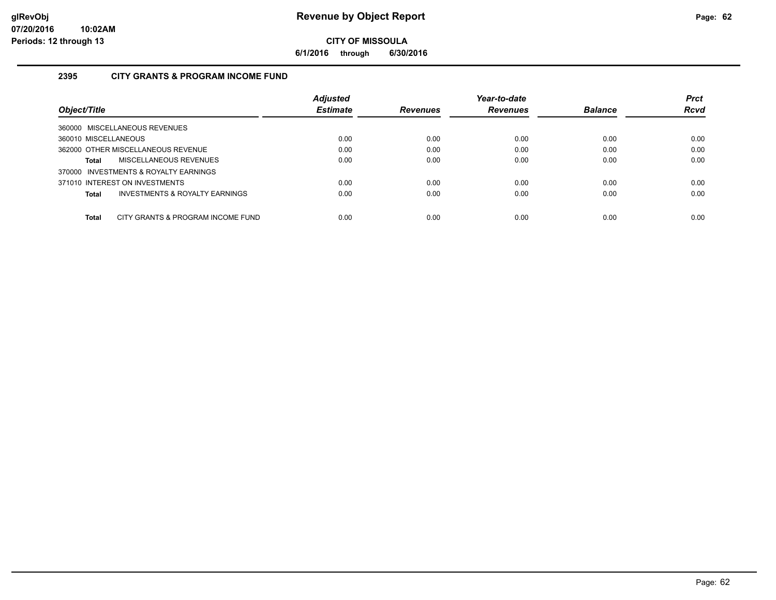**6/1/2016 through 6/30/2016**

#### **2395 CITY GRANTS & PROGRAM INCOME FUND**

|                                            | <b>Adjusted</b> |                 | Year-to-date    |                | <b>Prct</b> |
|--------------------------------------------|-----------------|-----------------|-----------------|----------------|-------------|
| Object/Title                               | <b>Estimate</b> | <b>Revenues</b> | <b>Revenues</b> | <b>Balance</b> | <b>Rcvd</b> |
| 360000 MISCELLANEOUS REVENUES              |                 |                 |                 |                |             |
| 360010 MISCELLANEOUS                       | 0.00            | 0.00            | 0.00            | 0.00           | 0.00        |
| 362000 OTHER MISCELLANEOUS REVENUE         | 0.00            | 0.00            | 0.00            | 0.00           | 0.00        |
| MISCELLANEOUS REVENUES<br>Total            | 0.00            | 0.00            | 0.00            | 0.00           | 0.00        |
| 370000 INVESTMENTS & ROYALTY EARNINGS      |                 |                 |                 |                |             |
| 371010 INTEREST ON INVESTMENTS             | 0.00            | 0.00            | 0.00            | 0.00           | 0.00        |
| INVESTMENTS & ROYALTY EARNINGS<br>Total    | 0.00            | 0.00            | 0.00            | 0.00           | 0.00        |
|                                            |                 |                 |                 |                |             |
| Total<br>CITY GRANTS & PROGRAM INCOME FUND | 0.00            | 0.00            | 0.00            | 0.00           | 0.00        |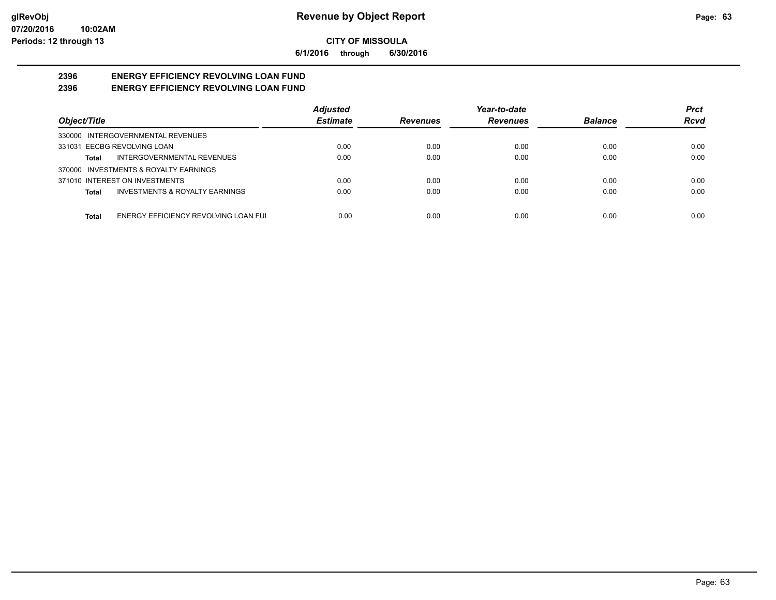**6/1/2016 through 6/30/2016**

#### **2396 ENERGY EFFICIENCY REVOLVING LOAN FUND 2396 ENERGY EFFICIENCY REVOLVING LOAN FUND**

|                                                    | <b>Adjusted</b> |                 | Year-to-date    |                | <b>Prct</b> |
|----------------------------------------------------|-----------------|-----------------|-----------------|----------------|-------------|
| Object/Title                                       | <b>Estimate</b> | <b>Revenues</b> | <b>Revenues</b> | <b>Balance</b> | Rcvd        |
| 330000 INTERGOVERNMENTAL REVENUES                  |                 |                 |                 |                |             |
| 331031 EECBG REVOLVING LOAN                        | 0.00            | 0.00            | 0.00            | 0.00           | 0.00        |
| INTERGOVERNMENTAL REVENUES<br>Total                | 0.00            | 0.00            | 0.00            | 0.00           | 0.00        |
| 370000 INVESTMENTS & ROYALTY EARNINGS              |                 |                 |                 |                |             |
| 371010 INTEREST ON INVESTMENTS                     | 0.00            | 0.00            | 0.00            | 0.00           | 0.00        |
| <b>INVESTMENTS &amp; ROYALTY EARNINGS</b><br>Total | 0.00            | 0.00            | 0.00            | 0.00           | 0.00        |
|                                                    |                 |                 |                 |                |             |
| ENERGY EFFICIENCY REVOLVING LOAN FUI<br>Total      | 0.00            | 0.00            | 0.00            | 0.00           | 0.00        |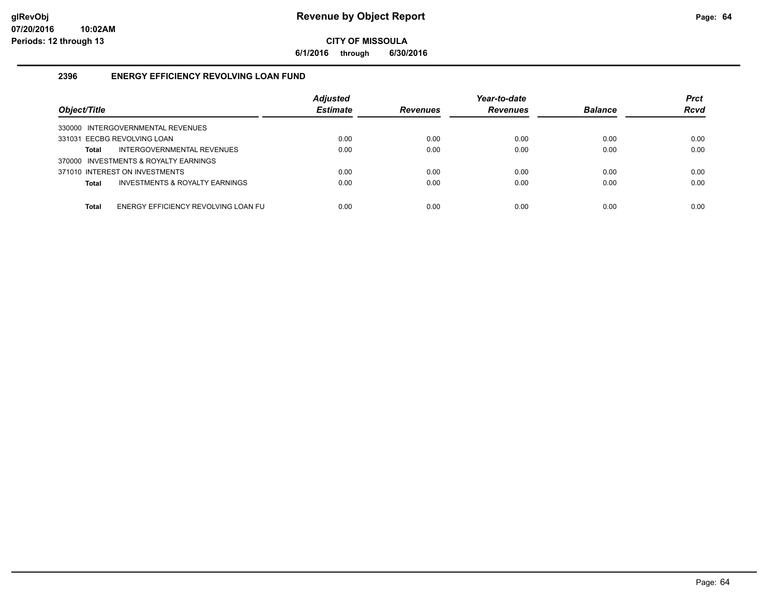**6/1/2016 through 6/30/2016**

#### **2396 ENERGY EFFICIENCY REVOLVING LOAN FUND**

| Object/Title                                              | <b>Adjusted</b><br><b>Estimate</b> | <b>Revenues</b> | Year-to-date<br><b>Revenues</b> | <b>Balance</b> | <b>Prct</b><br><b>Rcvd</b> |
|-----------------------------------------------------------|------------------------------------|-----------------|---------------------------------|----------------|----------------------------|
| 330000 INTERGOVERNMENTAL REVENUES                         |                                    |                 |                                 |                |                            |
| 331031 EECBG REVOLVING LOAN                               | 0.00                               | 0.00            | 0.00                            | 0.00           | 0.00                       |
| INTERGOVERNMENTAL REVENUES<br>Total                       | 0.00                               | 0.00            | 0.00                            | 0.00           | 0.00                       |
| 370000 INVESTMENTS & ROYALTY EARNINGS                     |                                    |                 |                                 |                |                            |
| 371010 INTEREST ON INVESTMENTS                            | 0.00                               | 0.00            | 0.00                            | 0.00           | 0.00                       |
| <b>INVESTMENTS &amp; ROYALTY EARNINGS</b><br><b>Total</b> | 0.00                               | 0.00            | 0.00                            | 0.00           | 0.00                       |
|                                                           |                                    |                 |                                 |                |                            |
| ENERGY EFFICIENCY REVOLVING LOAN FU<br>Total              | 0.00                               | 0.00            | 0.00                            | 0.00           | 0.00                       |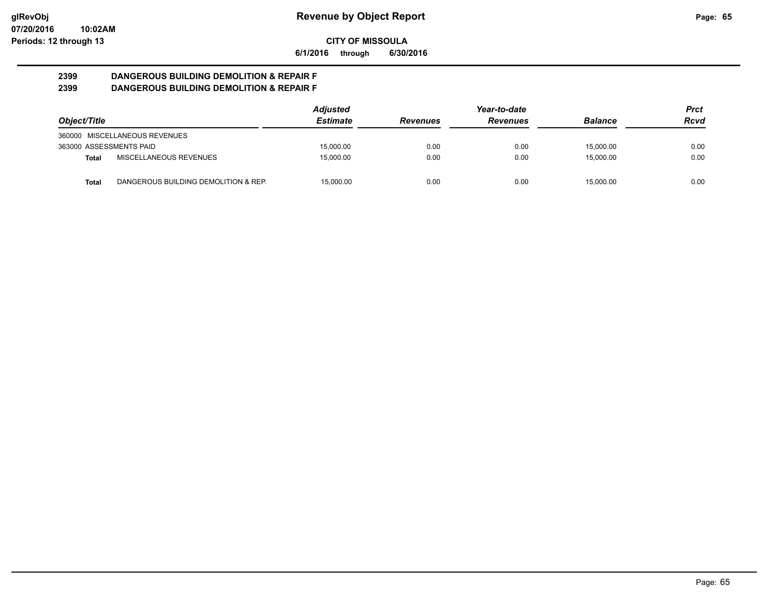**6/1/2016 through 6/30/2016**

#### **2399 DANGEROUS BUILDING DEMOLITION & REPAIR F 2399 DANGEROUS BUILDING DEMOLITION & REPAIR F**

|                                                      | <b>Adjusted</b> |                 | Year-to-date    |                | Prct |
|------------------------------------------------------|-----------------|-----------------|-----------------|----------------|------|
| Object/Title                                         | <b>Estimate</b> | <b>Revenues</b> | <b>Revenues</b> | <b>Balance</b> | Rcvd |
| 360000 MISCELLANEOUS REVENUES                        |                 |                 |                 |                |      |
| 363000 ASSESSMENTS PAID                              | 15.000.00       | 0.00            | 0.00            | 15,000.00      | 0.00 |
| MISCELLANEOUS REVENUES<br>Total                      | 15.000.00       | 0.00            | 0.00            | 15,000.00      | 0.00 |
| DANGEROUS BUILDING DEMOLITION & REP.<br><b>Total</b> | 15.000.00       | 0.00            | 0.00            | 15,000.00      | 0.00 |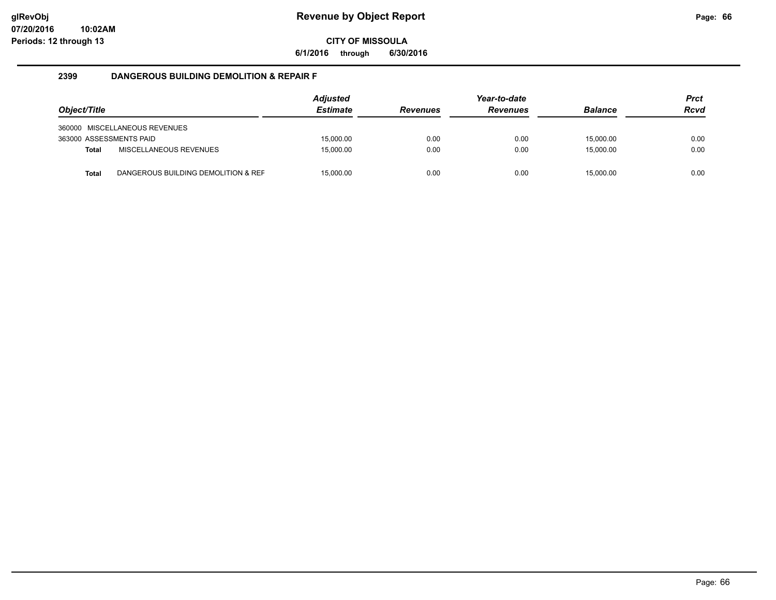**6/1/2016 through 6/30/2016**

#### **2399 DANGEROUS BUILDING DEMOLITION & REPAIR F**

| Object/Title            |                                     | Adjusted<br><b>Estimate</b> | <b>Revenues</b> | Year-to-date<br><b>Revenues</b> | <b>Balance</b> | <b>Prct</b><br><b>Rcvd</b> |
|-------------------------|-------------------------------------|-----------------------------|-----------------|---------------------------------|----------------|----------------------------|
|                         | 360000 MISCELLANEOUS REVENUES       |                             |                 |                                 |                |                            |
| 363000 ASSESSMENTS PAID |                                     | 15,000.00                   | 0.00            | 0.00                            | 15.000.00      | 0.00                       |
| <b>Total</b>            | MISCELLANEOUS REVENUES              | 15,000.00                   | 0.00            | 0.00                            | 15.000.00      | 0.00                       |
| <b>Total</b>            | DANGEROUS BUILDING DEMOLITION & REF | 15,000.00                   | 0.00            | 0.00                            | 15.000.00      | 0.00                       |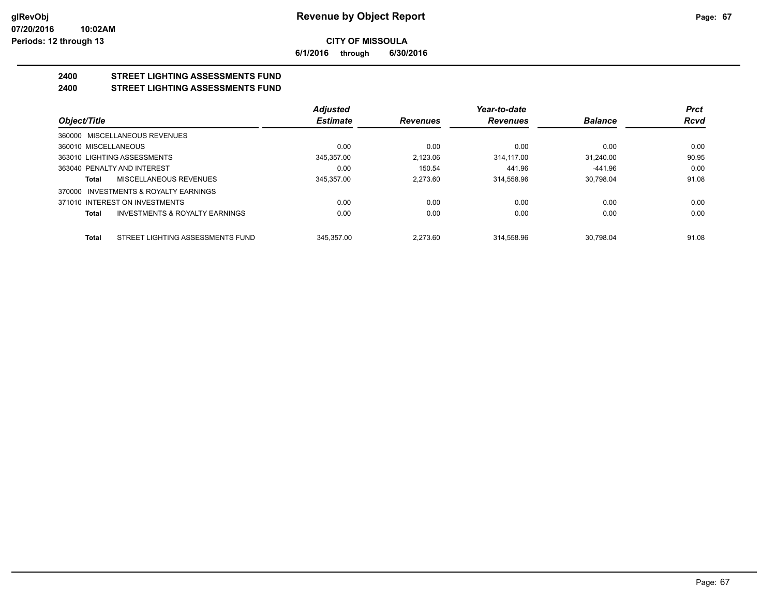**6/1/2016 through 6/30/2016**

# **2400 STREET LIGHTING ASSESSMENTS FUND**

## **2400 STREET LIGHTING ASSESSMENTS FUND**

|                      |                                           | <b>Adjusted</b> |                 | Year-to-date    |                | <b>Prct</b> |
|----------------------|-------------------------------------------|-----------------|-----------------|-----------------|----------------|-------------|
| Object/Title         |                                           | <b>Estimate</b> | <b>Revenues</b> | <b>Revenues</b> | <b>Balance</b> | <b>Rcvd</b> |
|                      | 360000 MISCELLANEOUS REVENUES             |                 |                 |                 |                |             |
| 360010 MISCELLANEOUS |                                           | 0.00            | 0.00            | 0.00            | 0.00           | 0.00        |
|                      | 363010 LIGHTING ASSESSMENTS               | 345.357.00      | 2.123.06        | 314.117.00      | 31.240.00      | 90.95       |
|                      | 363040 PENALTY AND INTEREST               | 0.00            | 150.54          | 441.96          | $-441.96$      | 0.00        |
| Total                | <b>MISCELLANEOUS REVENUES</b>             | 345.357.00      | 2.273.60        | 314.558.96      | 30.798.04      | 91.08       |
|                      | 370000 INVESTMENTS & ROYALTY EARNINGS     |                 |                 |                 |                |             |
|                      | 371010 INTEREST ON INVESTMENTS            | 0.00            | 0.00            | 0.00            | 0.00           | 0.00        |
| Total                | <b>INVESTMENTS &amp; ROYALTY EARNINGS</b> | 0.00            | 0.00            | 0.00            | 0.00           | 0.00        |
| <b>Total</b>         | STREET LIGHTING ASSESSMENTS FUND          | 345.357.00      | 2.273.60        | 314.558.96      | 30.798.04      | 91.08       |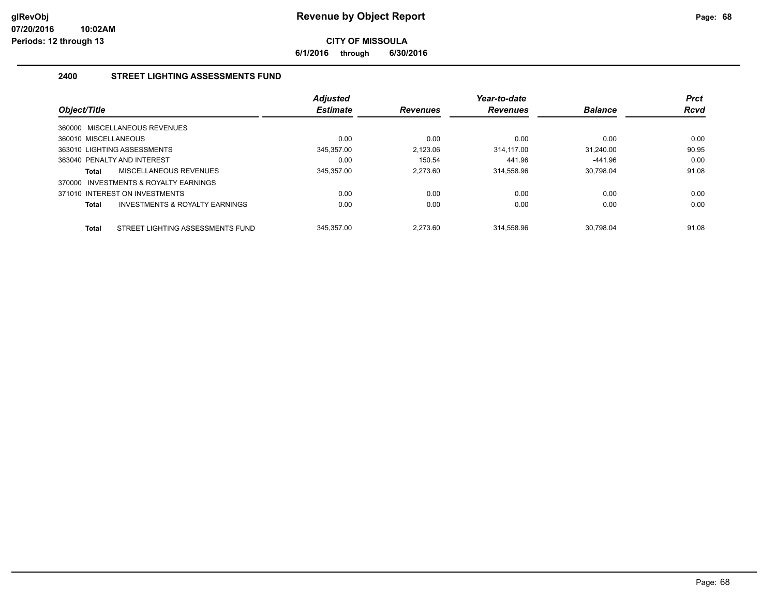**6/1/2016 through 6/30/2016**

#### **2400 STREET LIGHTING ASSESSMENTS FUND**

|                      |                                  | <b>Adjusted</b> |                 | Year-to-date    |                | <b>Prct</b> |
|----------------------|----------------------------------|-----------------|-----------------|-----------------|----------------|-------------|
| Object/Title         |                                  | <b>Estimate</b> | <b>Revenues</b> | <b>Revenues</b> | <b>Balance</b> | <b>Rcvd</b> |
|                      | 360000 MISCELLANEOUS REVENUES    |                 |                 |                 |                |             |
| 360010 MISCELLANEOUS |                                  | 0.00            | 0.00            | 0.00            | 0.00           | 0.00        |
|                      | 363010 LIGHTING ASSESSMENTS      | 345.357.00      | 2.123.06        | 314.117.00      | 31.240.00      | 90.95       |
|                      | 363040 PENALTY AND INTEREST      | 0.00            | 150.54          | 441.96          | $-441.96$      | 0.00        |
| Total                | MISCELLANEOUS REVENUES           | 345.357.00      | 2.273.60        | 314.558.96      | 30.798.04      | 91.08       |
| 370000               | INVESTMENTS & ROYALTY EARNINGS   |                 |                 |                 |                |             |
|                      | 371010 INTEREST ON INVESTMENTS   | 0.00            | 0.00            | 0.00            | 0.00           | 0.00        |
| Total                | INVESTMENTS & ROYALTY EARNINGS   | 0.00            | 0.00            | 0.00            | 0.00           | 0.00        |
| <b>Total</b>         | STREET LIGHTING ASSESSMENTS FUND | 345.357.00      | 2.273.60        | 314.558.96      | 30.798.04      | 91.08       |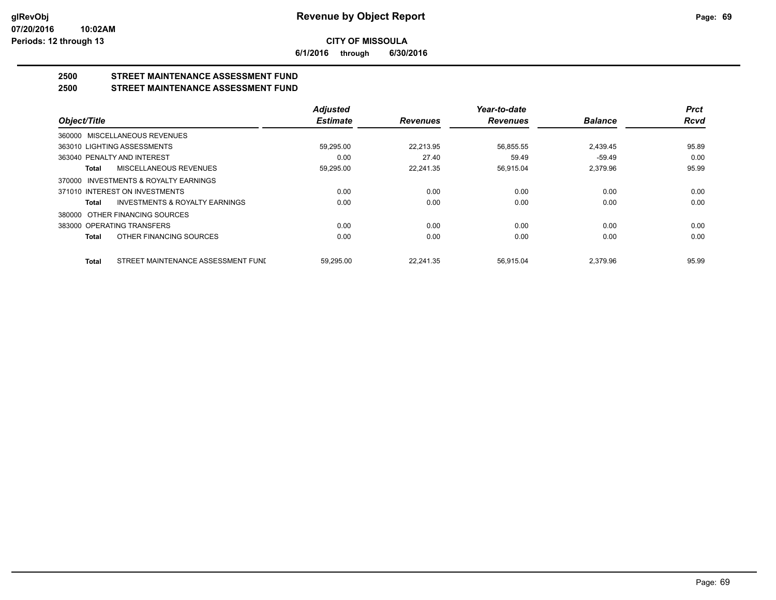**6/1/2016 through 6/30/2016**

## **2500 STREET MAINTENANCE ASSESSMENT FUND**

**2500 STREET MAINTENANCE ASSESSMENT FUND**

|                                                    | <b>Adjusted</b> |                 | Year-to-date    |                | <b>Prct</b> |
|----------------------------------------------------|-----------------|-----------------|-----------------|----------------|-------------|
| Object/Title                                       | <b>Estimate</b> | <b>Revenues</b> | <b>Revenues</b> | <b>Balance</b> | <b>Rcvd</b> |
| 360000 MISCELLANEOUS REVENUES                      |                 |                 |                 |                |             |
| 363010 LIGHTING ASSESSMENTS                        | 59.295.00       | 22.213.95       | 56.855.55       | 2.439.45       | 95.89       |
| 363040 PENALTY AND INTEREST                        | 0.00            | 27.40           | 59.49           | $-59.49$       | 0.00        |
| MISCELLANEOUS REVENUES<br>Total                    | 59,295.00       | 22,241.35       | 56,915.04       | 2,379.96       | 95.99       |
| 370000 INVESTMENTS & ROYALTY EARNINGS              |                 |                 |                 |                |             |
| 371010 INTEREST ON INVESTMENTS                     | 0.00            | 0.00            | 0.00            | 0.00           | 0.00        |
| INVESTMENTS & ROYALTY EARNINGS<br>Total            | 0.00            | 0.00            | 0.00            | 0.00           | 0.00        |
| 380000 OTHER FINANCING SOURCES                     |                 |                 |                 |                |             |
| 383000 OPERATING TRANSFERS                         | 0.00            | 0.00            | 0.00            | 0.00           | 0.00        |
| OTHER FINANCING SOURCES<br>Total                   | 0.00            | 0.00            | 0.00            | 0.00           | 0.00        |
| STREET MAINTENANCE ASSESSMENT FUND<br><b>Total</b> | 59.295.00       | 22.241.35       | 56.915.04       | 2.379.96       | 95.99       |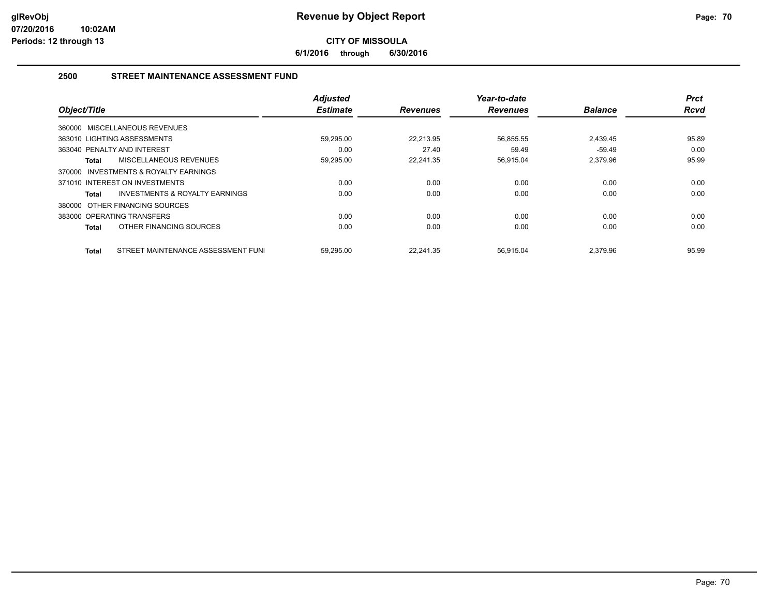**6/1/2016 through 6/30/2016**

### **2500 STREET MAINTENANCE ASSESSMENT FUND**

|                                                    | <b>Adjusted</b> |                 | Year-to-date    |                | <b>Prct</b> |
|----------------------------------------------------|-----------------|-----------------|-----------------|----------------|-------------|
| Object/Title                                       | <b>Estimate</b> | <b>Revenues</b> | <b>Revenues</b> | <b>Balance</b> | <b>Rcvd</b> |
| 360000 MISCELLANEOUS REVENUES                      |                 |                 |                 |                |             |
| 363010 LIGHTING ASSESSMENTS                        | 59.295.00       | 22.213.95       | 56,855.55       | 2.439.45       | 95.89       |
| 363040 PENALTY AND INTEREST                        | 0.00            | 27.40           | 59.49           | $-59.49$       | 0.00        |
| MISCELLANEOUS REVENUES<br><b>Total</b>             | 59,295.00       | 22.241.35       | 56,915.04       | 2,379.96       | 95.99       |
| INVESTMENTS & ROYALTY EARNINGS<br>370000           |                 |                 |                 |                |             |
| 371010 INTEREST ON INVESTMENTS                     | 0.00            | 0.00            | 0.00            | 0.00           | 0.00        |
| INVESTMENTS & ROYALTY EARNINGS<br><b>Total</b>     | 0.00            | 0.00            | 0.00            | 0.00           | 0.00        |
| 380000 OTHER FINANCING SOURCES                     |                 |                 |                 |                |             |
| 383000 OPERATING TRANSFERS                         | 0.00            | 0.00            | 0.00            | 0.00           | 0.00        |
| OTHER FINANCING SOURCES<br><b>Total</b>            | 0.00            | 0.00            | 0.00            | 0.00           | 0.00        |
| STREET MAINTENANCE ASSESSMENT FUNI<br><b>Total</b> | 59.295.00       | 22.241.35       | 56.915.04       | 2.379.96       | 95.99       |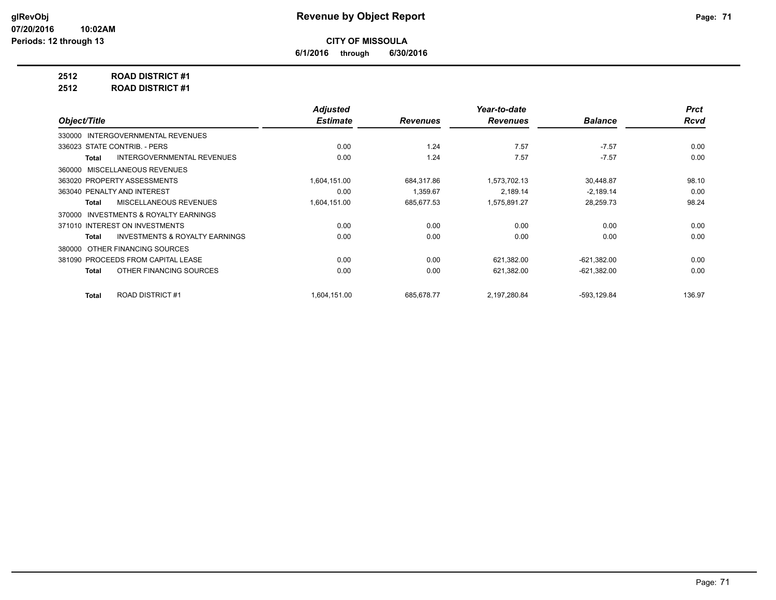**6/1/2016 through 6/30/2016**

**2512 ROAD DISTRICT #1**

**2512 ROAD DISTRICT #1**

|                                                           | <b>Adjusted</b> |                 | Year-to-date    |                | <b>Prct</b> |
|-----------------------------------------------------------|-----------------|-----------------|-----------------|----------------|-------------|
| Object/Title                                              | <b>Estimate</b> | <b>Revenues</b> | <b>Revenues</b> | <b>Balance</b> | <b>Rcvd</b> |
| 330000 INTERGOVERNMENTAL REVENUES                         |                 |                 |                 |                |             |
| 336023 STATE CONTRIB. - PERS                              | 0.00            | 1.24            | 7.57            | $-7.57$        | 0.00        |
| <b>INTERGOVERNMENTAL REVENUES</b><br><b>Total</b>         | 0.00            | 1.24            | 7.57            | $-7.57$        | 0.00        |
| 360000 MISCELLANEOUS REVENUES                             |                 |                 |                 |                |             |
| 363020 PROPERTY ASSESSMENTS                               | 1,604,151.00    | 684,317.86      | 1,573,702.13    | 30,448.87      | 98.10       |
| 363040 PENALTY AND INTEREST                               | 0.00            | 1,359.67        | 2,189.14        | $-2,189.14$    | 0.00        |
| MISCELLANEOUS REVENUES<br>Total                           | 1,604,151.00    | 685,677.53      | 1,575,891.27    | 28,259.73      | 98.24       |
| INVESTMENTS & ROYALTY EARNINGS<br>370000                  |                 |                 |                 |                |             |
| 371010 INTEREST ON INVESTMENTS                            | 0.00            | 0.00            | 0.00            | 0.00           | 0.00        |
| <b>INVESTMENTS &amp; ROYALTY EARNINGS</b><br><b>Total</b> | 0.00            | 0.00            | 0.00            | 0.00           | 0.00        |
| OTHER FINANCING SOURCES<br>380000                         |                 |                 |                 |                |             |
| 381090 PROCEEDS FROM CAPITAL LEASE                        | 0.00            | 0.00            | 621,382.00      | $-621,382.00$  | 0.00        |
| OTHER FINANCING SOURCES<br><b>Total</b>                   | 0.00            | 0.00            | 621,382.00      | $-621,382.00$  | 0.00        |
| ROAD DISTRICT #1<br><b>Total</b>                          | 1,604,151.00    | 685,678.77      | 2,197,280.84    | $-593, 129.84$ | 136.97      |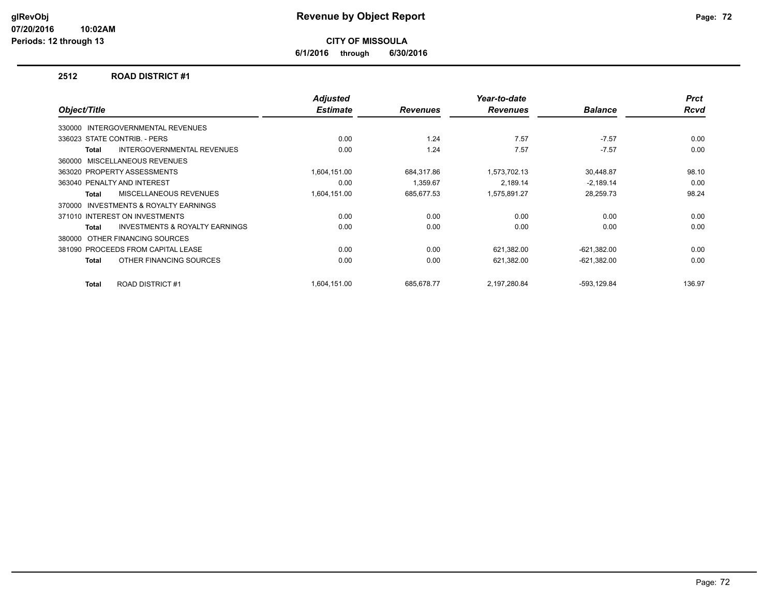**6/1/2016 through 6/30/2016**

#### **2512 ROAD DISTRICT #1**

| Object/Title                                   | <b>Adjusted</b><br><b>Estimate</b> | <b>Revenues</b> | Year-to-date<br><b>Revenues</b> | <b>Balance</b> | <b>Prct</b><br><b>Rcvd</b> |
|------------------------------------------------|------------------------------------|-----------------|---------------------------------|----------------|----------------------------|
| INTERGOVERNMENTAL REVENUES<br>330000           |                                    |                 |                                 |                |                            |
|                                                |                                    |                 |                                 |                |                            |
| 336023 STATE CONTRIB. - PERS                   | 0.00                               | 1.24            | 7.57                            | $-7.57$        | 0.00                       |
| <b>INTERGOVERNMENTAL REVENUES</b><br>Total     | 0.00                               | 1.24            | 7.57                            | $-7.57$        | 0.00                       |
| MISCELLANEOUS REVENUES<br>360000               |                                    |                 |                                 |                |                            |
| 363020 PROPERTY ASSESSMENTS                    | 1,604,151.00                       | 684,317.86      | 1,573,702.13                    | 30,448.87      | 98.10                      |
| 363040 PENALTY AND INTEREST                    | 0.00                               | 1.359.67        | 2,189.14                        | $-2,189.14$    | 0.00                       |
| MISCELLANEOUS REVENUES<br><b>Total</b>         | 1,604,151.00                       | 685,677.53      | 1,575,891.27                    | 28,259.73      | 98.24                      |
| INVESTMENTS & ROYALTY EARNINGS<br>370000       |                                    |                 |                                 |                |                            |
| 371010 INTEREST ON INVESTMENTS                 | 0.00                               | 0.00            | 0.00                            | 0.00           | 0.00                       |
| INVESTMENTS & ROYALTY EARNINGS<br><b>Total</b> | 0.00                               | 0.00            | 0.00                            | 0.00           | 0.00                       |
| OTHER FINANCING SOURCES<br>380000              |                                    |                 |                                 |                |                            |
| 381090 PROCEEDS FROM CAPITAL LEASE             | 0.00                               | 0.00            | 621,382.00                      | $-621,382.00$  | 0.00                       |
| OTHER FINANCING SOURCES<br><b>Total</b>        | 0.00                               | 0.00            | 621,382.00                      | $-621,382.00$  | 0.00                       |
| <b>ROAD DISTRICT #1</b><br>Total               | 1.604.151.00                       | 685.678.77      | 2,197,280.84                    | $-593,129.84$  | 136.97                     |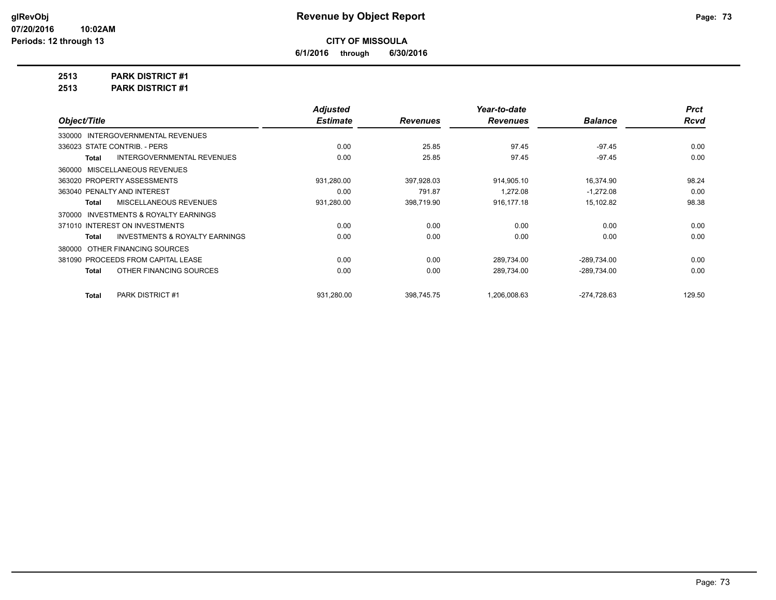**6/1/2016 through 6/30/2016**

**2513 PARK DISTRICT #1**

**2513 PARK DISTRICT #1**

|                                                     | <b>Adjusted</b> |                 | Year-to-date    |                | <b>Prct</b> |
|-----------------------------------------------------|-----------------|-----------------|-----------------|----------------|-------------|
| Object/Title                                        | <b>Estimate</b> | <b>Revenues</b> | <b>Revenues</b> | <b>Balance</b> | <b>Rcvd</b> |
| 330000 INTERGOVERNMENTAL REVENUES                   |                 |                 |                 |                |             |
| 336023 STATE CONTRIB. - PERS                        | 0.00            | 25.85           | 97.45           | $-97.45$       | 0.00        |
| <b>INTERGOVERNMENTAL REVENUES</b><br>Total          | 0.00            | 25.85           | 97.45           | $-97.45$       | 0.00        |
| 360000 MISCELLANEOUS REVENUES                       |                 |                 |                 |                |             |
| 363020 PROPERTY ASSESSMENTS                         | 931,280.00      | 397,928.03      | 914,905.10      | 16,374.90      | 98.24       |
| 363040 PENALTY AND INTEREST                         | 0.00            | 791.87          | 1.272.08        | $-1.272.08$    | 0.00        |
| MISCELLANEOUS REVENUES<br>Total                     | 931,280.00      | 398,719.90      | 916,177.18      | 15,102.82      | 98.38       |
| <b>INVESTMENTS &amp; ROYALTY EARNINGS</b><br>370000 |                 |                 |                 |                |             |
| 371010 INTEREST ON INVESTMENTS                      | 0.00            | 0.00            | 0.00            | 0.00           | 0.00        |
| <b>INVESTMENTS &amp; ROYALTY EARNINGS</b><br>Total  | 0.00            | 0.00            | 0.00            | 0.00           | 0.00        |
| 380000 OTHER FINANCING SOURCES                      |                 |                 |                 |                |             |
| 381090 PROCEEDS FROM CAPITAL LEASE                  | 0.00            | 0.00            | 289,734.00      | -289,734.00    | 0.00        |
| OTHER FINANCING SOURCES<br>Total                    | 0.00            | 0.00            | 289,734.00      | $-289,734.00$  | 0.00        |
| <b>PARK DISTRICT #1</b><br><b>Total</b>             | 931,280.00      | 398,745.75      | 1,206,008.63    | $-274,728.63$  | 129.50      |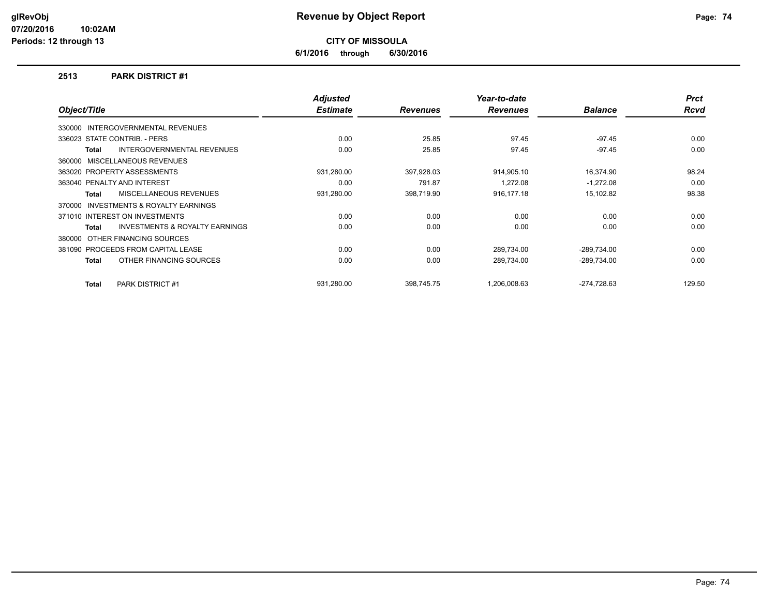**6/1/2016 through 6/30/2016**

### **2513 PARK DISTRICT #1**

|                                                     | <b>Adjusted</b> |                 | Year-to-date    |                | <b>Prct</b> |
|-----------------------------------------------------|-----------------|-----------------|-----------------|----------------|-------------|
| Object/Title                                        | <b>Estimate</b> | <b>Revenues</b> | <b>Revenues</b> | <b>Balance</b> | <b>Rcvd</b> |
| 330000 INTERGOVERNMENTAL REVENUES                   |                 |                 |                 |                |             |
| 336023 STATE CONTRIB. - PERS                        | 0.00            | 25.85           | 97.45           | $-97.45$       | 0.00        |
| <b>INTERGOVERNMENTAL REVENUES</b><br>Total          | 0.00            | 25.85           | 97.45           | $-97.45$       | 0.00        |
| MISCELLANEOUS REVENUES<br>360000                    |                 |                 |                 |                |             |
| 363020 PROPERTY ASSESSMENTS                         | 931,280.00      | 397,928.03      | 914,905.10      | 16,374.90      | 98.24       |
| 363040 PENALTY AND INTEREST                         | 0.00            | 791.87          | 1.272.08        | $-1,272.08$    | 0.00        |
| MISCELLANEOUS REVENUES<br><b>Total</b>              | 931,280.00      | 398,719.90      | 916,177.18      | 15,102.82      | 98.38       |
| <b>INVESTMENTS &amp; ROYALTY EARNINGS</b><br>370000 |                 |                 |                 |                |             |
| 371010 INTEREST ON INVESTMENTS                      | 0.00            | 0.00            | 0.00            | 0.00           | 0.00        |
| <b>INVESTMENTS &amp; ROYALTY EARNINGS</b><br>Total  | 0.00            | 0.00            | 0.00            | 0.00           | 0.00        |
| OTHER FINANCING SOURCES<br>380000                   |                 |                 |                 |                |             |
| 381090 PROCEEDS FROM CAPITAL LEASE                  | 0.00            | 0.00            | 289,734.00      | $-289,734.00$  | 0.00        |
| OTHER FINANCING SOURCES<br>Total                    | 0.00            | 0.00            | 289.734.00      | -289.734.00    | 0.00        |
| PARK DISTRICT #1<br>Total                           | 931,280.00      | 398.745.75      | 1.206.008.63    | $-274.728.63$  | 129.50      |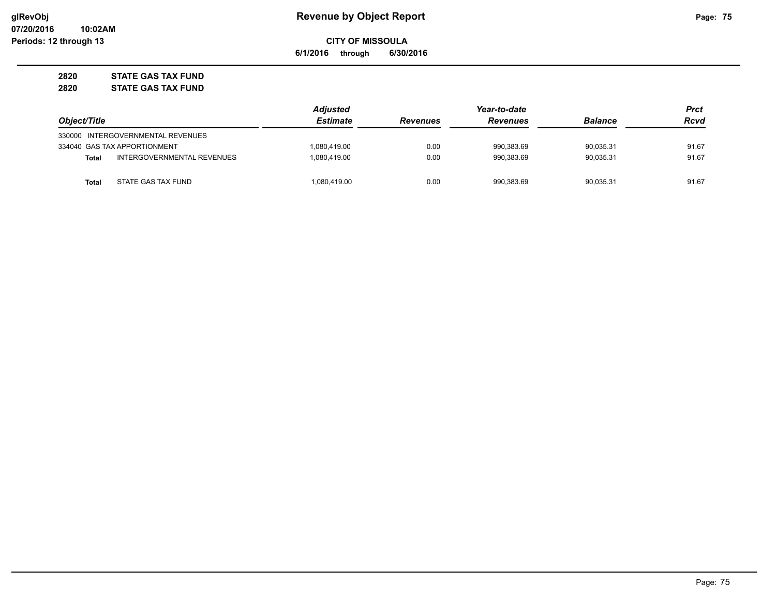**6/1/2016 through 6/30/2016**

**2820 STATE GAS TAX FUND**

**2820 STATE GAS TAX FUND**

| Object/Title |                                   | <b>Adjusted</b> |                                    | Year-to-date |                | Prct  |
|--------------|-----------------------------------|-----------------|------------------------------------|--------------|----------------|-------|
|              |                                   | <b>Estimate</b> | <b>Revenues</b><br><b>Revenues</b> |              | <b>Balance</b> | Rcvd  |
|              | 330000 INTERGOVERNMENTAL REVENUES |                 |                                    |              |                |       |
|              | 334040 GAS TAX APPORTIONMENT      | 1,080,419.00    | 0.00                               | 990.383.69   | 90.035.31      | 91.67 |
| Total        | INTERGOVERNMENTAL REVENUES        | 1,080,419.00    | 0.00                               | 990,383.69   | 90.035.31      | 91.67 |
| Total        | <b>STATE GAS TAX FUND</b>         | 1.080.419.00    | 0.00                               | 990.383.69   | 90.035.31      | 91.67 |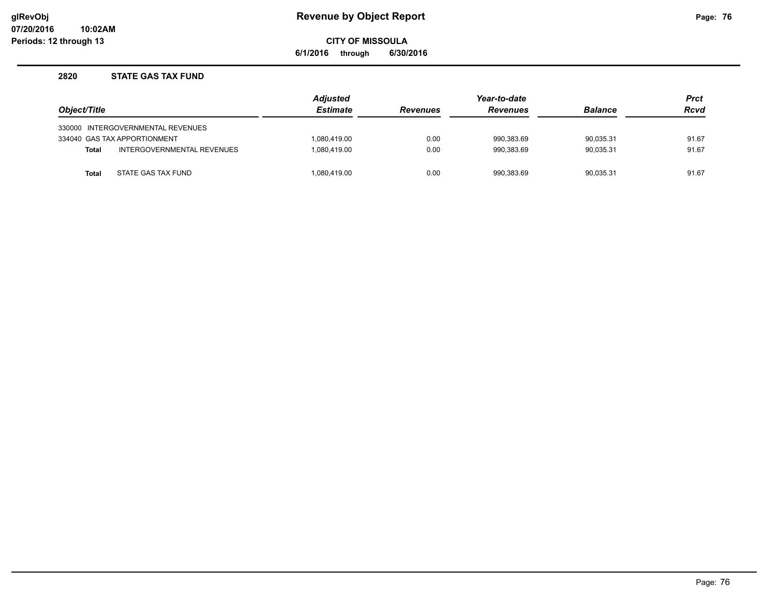**6/1/2016 through 6/30/2016**

### **2820 STATE GAS TAX FUND**

|              |                                   | <b>Adjusted</b> |                 | <b>Prct</b>     |                |             |
|--------------|-----------------------------------|-----------------|-----------------|-----------------|----------------|-------------|
| Object/Title |                                   | <b>Estimate</b> | <b>Revenues</b> | <b>Revenues</b> | <b>Balance</b> | <b>Rcvd</b> |
|              | 330000 INTERGOVERNMENTAL REVENUES |                 |                 |                 |                |             |
|              | 334040 GAS TAX APPORTIONMENT      | 1,080,419.00    | 0.00            | 990.383.69      | 90.035.31      | 91.67       |
| <b>Total</b> | INTERGOVERNMENTAL REVENUES        | 1.080.419.00    | 0.00            | 990.383.69      | 90.035.31      | 91.67       |
| <b>Total</b> | STATE GAS TAX FUND                | 1,080,419.00    | 0.00            | 990,383.69      | 90.035.31      | 91.67       |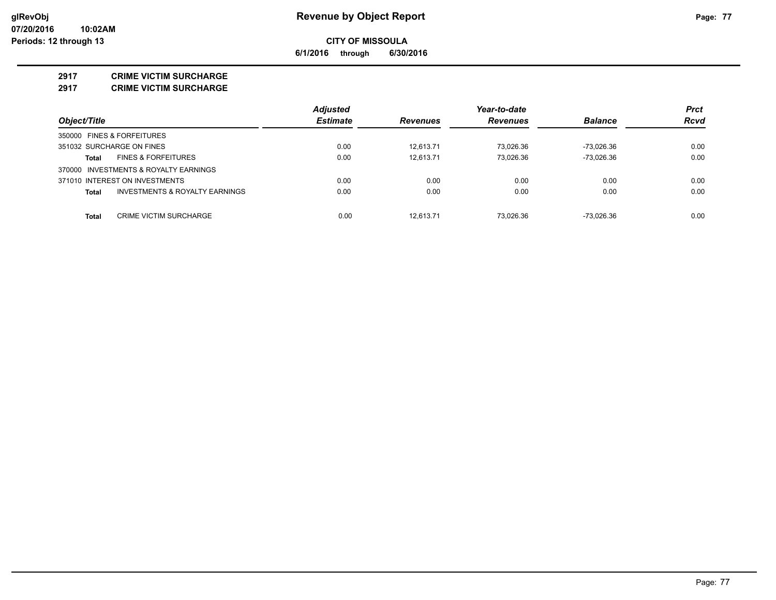**6/1/2016 through 6/30/2016**

#### **2917 CRIME VICTIM SURCHARGE**

**2917 CRIME VICTIM SURCHARGE**

|                                                           | <b>Adjusted</b> |                 | Year-to-date    |                | <b>Prct</b> |
|-----------------------------------------------------------|-----------------|-----------------|-----------------|----------------|-------------|
| Object/Title                                              | <b>Estimate</b> | <b>Revenues</b> | <b>Revenues</b> | <b>Balance</b> | <b>Rcvd</b> |
| 350000 FINES & FORFEITURES                                |                 |                 |                 |                |             |
| 351032 SURCHARGE ON FINES                                 | 0.00            | 12.613.71       | 73.026.36       | -73.026.36     | 0.00        |
| <b>FINES &amp; FORFEITURES</b><br><b>Total</b>            | 0.00            | 12.613.71       | 73.026.36       | -73,026.36     | 0.00        |
| 370000 INVESTMENTS & ROYALTY EARNINGS                     |                 |                 |                 |                |             |
| 371010 INTEREST ON INVESTMENTS                            | 0.00            | 0.00            | 0.00            | 0.00           | 0.00        |
| <b>INVESTMENTS &amp; ROYALTY EARNINGS</b><br><b>Total</b> | 0.00            | 0.00            | 0.00            | 0.00           | 0.00        |
|                                                           |                 |                 |                 |                |             |
| CRIME VICTIM SURCHARGE<br><b>Total</b>                    | 0.00            | 12.613.71       | 73.026.36       | -73.026.36     | 0.00        |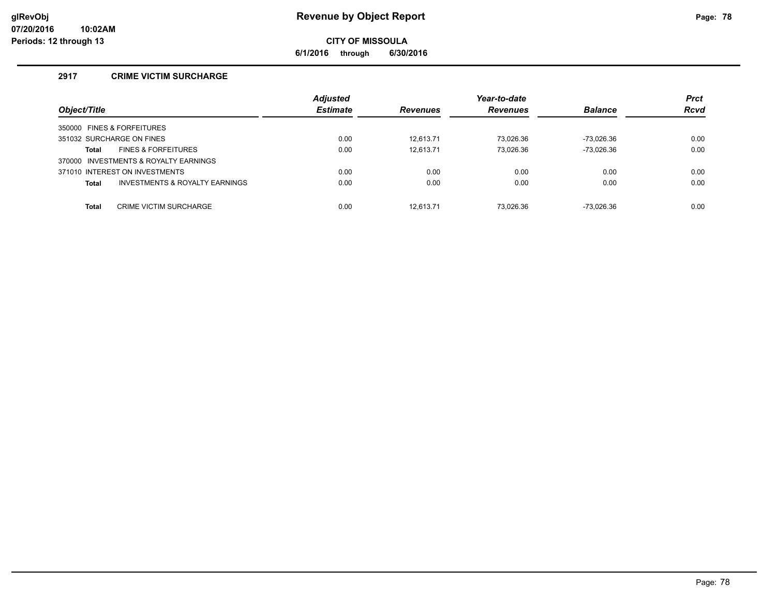**6/1/2016 through 6/30/2016**

### **2917 CRIME VICTIM SURCHARGE**

| Object/Title                                              | <b>Adjusted</b><br><b>Estimate</b> | <b>Revenues</b> | Year-to-date<br><b>Revenues</b> | <b>Balance</b> | <b>Prct</b><br><b>Rcvd</b> |
|-----------------------------------------------------------|------------------------------------|-----------------|---------------------------------|----------------|----------------------------|
| 350000 FINES & FORFEITURES                                |                                    |                 |                                 |                |                            |
| 351032 SURCHARGE ON FINES                                 | 0.00                               | 12.613.71       | 73.026.36                       | $-73.026.36$   | 0.00                       |
| <b>FINES &amp; FORFEITURES</b><br>Total                   | 0.00                               | 12.613.71       | 73.026.36                       | $-73,026.36$   | 0.00                       |
| 370000 INVESTMENTS & ROYALTY EARNINGS                     |                                    |                 |                                 |                |                            |
| 371010 INTEREST ON INVESTMENTS                            | 0.00                               | 0.00            | 0.00                            | 0.00           | 0.00                       |
| <b>INVESTMENTS &amp; ROYALTY EARNINGS</b><br><b>Total</b> | 0.00                               | 0.00            | 0.00                            | 0.00           | 0.00                       |
|                                                           |                                    |                 |                                 |                |                            |
| <b>CRIME VICTIM SURCHARGE</b><br><b>Total</b>             | 0.00                               | 12.613.71       | 73.026.36                       | $-73.026.36$   | 0.00                       |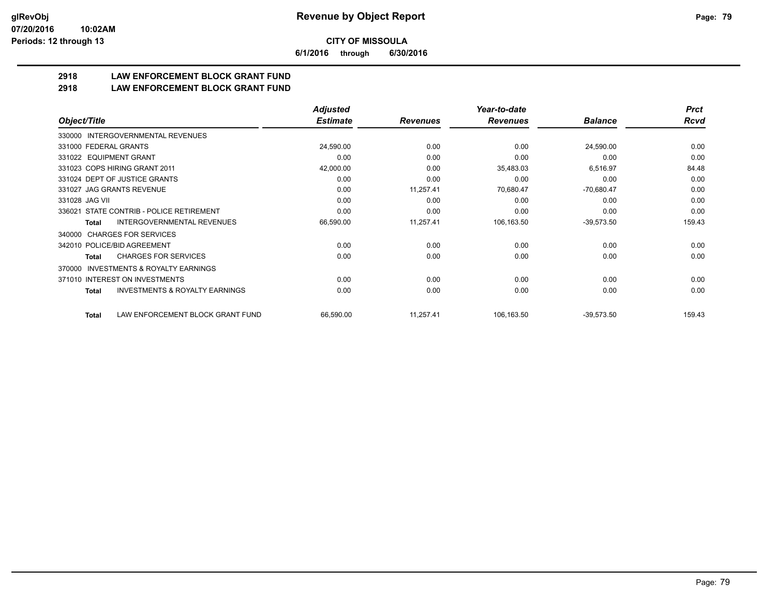**6/1/2016 through 6/30/2016**

# **2918 LAW ENFORCEMENT BLOCK GRANT FUND**

## **2918 LAW ENFORCEMENT BLOCK GRANT FUND**

|                                                           | <b>Adjusted</b> |                 | Year-to-date    |                | <b>Prct</b> |
|-----------------------------------------------------------|-----------------|-----------------|-----------------|----------------|-------------|
| Object/Title                                              | <b>Estimate</b> | <b>Revenues</b> | <b>Revenues</b> | <b>Balance</b> | <b>Rcvd</b> |
| <b>INTERGOVERNMENTAL REVENUES</b><br>330000               |                 |                 |                 |                |             |
| 331000 FEDERAL GRANTS                                     | 24,590.00       | 0.00            | 0.00            | 24,590.00      | 0.00        |
| 331022 EQUIPMENT GRANT                                    | 0.00            | 0.00            | 0.00            | 0.00           | 0.00        |
| 331023 COPS HIRING GRANT 2011                             | 42,000.00       | 0.00            | 35,483.03       | 6,516.97       | 84.48       |
| 331024 DEPT OF JUSTICE GRANTS                             | 0.00            | 0.00            | 0.00            | 0.00           | 0.00        |
| 331027 JAG GRANTS REVENUE                                 | 0.00            | 11,257.41       | 70,680.47       | $-70,680.47$   | 0.00        |
| 331028 JAG VII                                            | 0.00            | 0.00            | 0.00            | 0.00           | 0.00        |
| 336021 STATE CONTRIB - POLICE RETIREMENT                  | 0.00            | 0.00            | 0.00            | 0.00           | 0.00        |
| INTERGOVERNMENTAL REVENUES<br><b>Total</b>                | 66,590.00       | 11,257.41       | 106,163.50      | $-39,573.50$   | 159.43      |
| <b>CHARGES FOR SERVICES</b><br>340000                     |                 |                 |                 |                |             |
| 342010 POLICE/BID AGREEMENT                               | 0.00            | 0.00            | 0.00            | 0.00           | 0.00        |
| <b>CHARGES FOR SERVICES</b><br>Total                      | 0.00            | 0.00            | 0.00            | 0.00           | 0.00        |
| <b>INVESTMENTS &amp; ROYALTY EARNINGS</b><br>370000       |                 |                 |                 |                |             |
| 371010 INTEREST ON INVESTMENTS                            | 0.00            | 0.00            | 0.00            | 0.00           | 0.00        |
| <b>INVESTMENTS &amp; ROYALTY EARNINGS</b><br><b>Total</b> | 0.00            | 0.00            | 0.00            | 0.00           | 0.00        |
| LAW ENFORCEMENT BLOCK GRANT FUND<br><b>Total</b>          | 66,590.00       | 11,257.41       | 106,163.50      | $-39,573.50$   | 159.43      |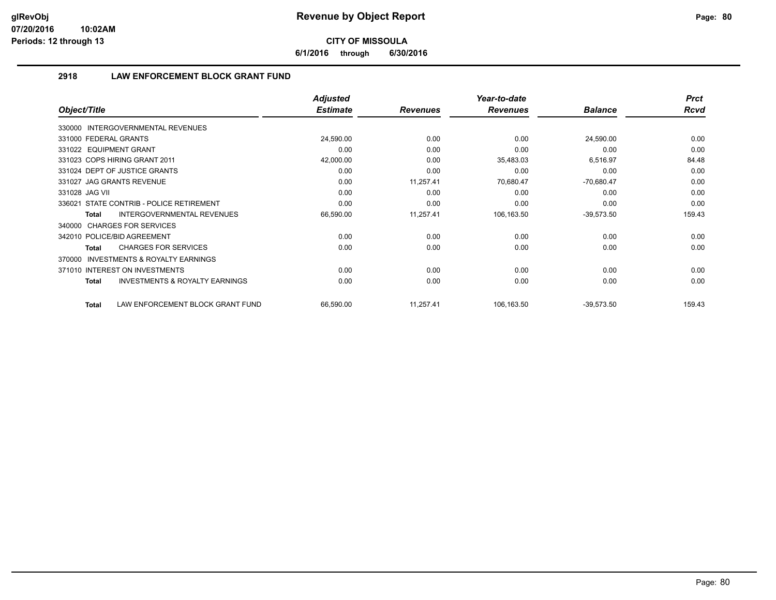**6/1/2016 through 6/30/2016**

### **2918 LAW ENFORCEMENT BLOCK GRANT FUND**

|                                                     | <b>Adjusted</b> |                 | Year-to-date    |                | <b>Prct</b> |
|-----------------------------------------------------|-----------------|-----------------|-----------------|----------------|-------------|
| Object/Title                                        | <b>Estimate</b> | <b>Revenues</b> | <b>Revenues</b> | <b>Balance</b> | <b>Rcvd</b> |
| <b>INTERGOVERNMENTAL REVENUES</b><br>330000         |                 |                 |                 |                |             |
| 331000 FEDERAL GRANTS                               | 24,590.00       | 0.00            | 0.00            | 24,590.00      | 0.00        |
| 331022 EQUIPMENT GRANT                              | 0.00            | 0.00            | 0.00            | 0.00           | 0.00        |
| 331023 COPS HIRING GRANT 2011                       | 42,000.00       | 0.00            | 35,483.03       | 6,516.97       | 84.48       |
| 331024 DEPT OF JUSTICE GRANTS                       | 0.00            | 0.00            | 0.00            | 0.00           | 0.00        |
| 331027 JAG GRANTS REVENUE                           | 0.00            | 11,257.41       | 70,680.47       | $-70,680.47$   | 0.00        |
| 331028 JAG VII                                      | 0.00            | 0.00            | 0.00            | 0.00           | 0.00        |
| STATE CONTRIB - POLICE RETIREMENT<br>336021         | 0.00            | 0.00            | 0.00            | 0.00           | 0.00        |
| <b>INTERGOVERNMENTAL REVENUES</b><br>Total          | 66,590.00       | 11,257.41       | 106,163.50      | $-39,573.50$   | 159.43      |
| <b>CHARGES FOR SERVICES</b><br>340000               |                 |                 |                 |                |             |
| 342010 POLICE/BID AGREEMENT                         | 0.00            | 0.00            | 0.00            | 0.00           | 0.00        |
| <b>CHARGES FOR SERVICES</b><br>Total                | 0.00            | 0.00            | 0.00            | 0.00           | 0.00        |
| <b>INVESTMENTS &amp; ROYALTY EARNINGS</b><br>370000 |                 |                 |                 |                |             |
| 371010 INTEREST ON INVESTMENTS                      | 0.00            | 0.00            | 0.00            | 0.00           | 0.00        |
| <b>INVESTMENTS &amp; ROYALTY EARNINGS</b><br>Total  | 0.00            | 0.00            | 0.00            | 0.00           | 0.00        |
| LAW ENFORCEMENT BLOCK GRANT FUND<br>Total           | 66,590.00       | 11,257.41       | 106,163.50      | $-39,573.50$   | 159.43      |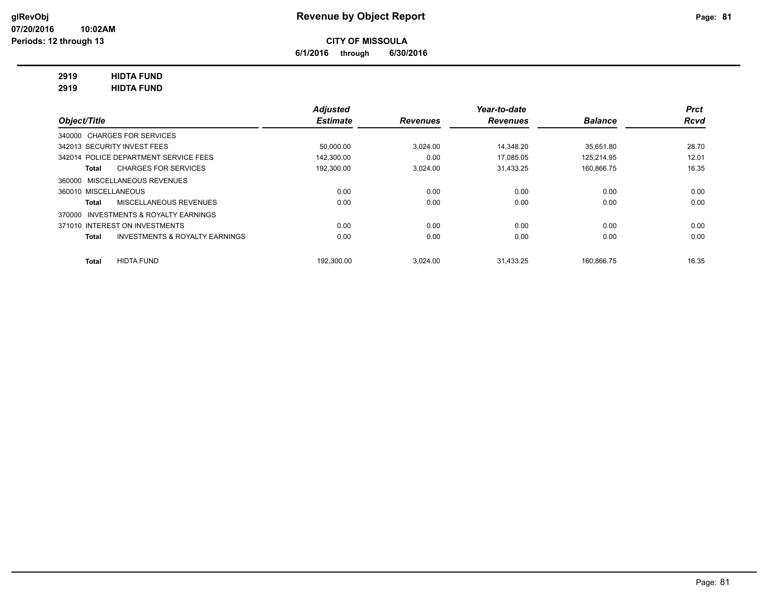**6/1/2016 through 6/30/2016**

### **2919 HIDTA FUND**

**2919 HIDTA FUND**

|                                                    | <b>Adjusted</b> |                 | Year-to-date    |                | <b>Prct</b> |
|----------------------------------------------------|-----------------|-----------------|-----------------|----------------|-------------|
| Object/Title                                       | <b>Estimate</b> | <b>Revenues</b> | <b>Revenues</b> | <b>Balance</b> | Rcvd        |
| 340000 CHARGES FOR SERVICES                        |                 |                 |                 |                |             |
| 342013 SECURITY INVEST FEES                        | 50,000.00       | 3.024.00        | 14.348.20       | 35.651.80      | 28.70       |
| 342014 POLICE DEPARTMENT SERVICE FEES              | 142.300.00      | 0.00            | 17.085.05       | 125.214.95     | 12.01       |
| <b>CHARGES FOR SERVICES</b><br>Total               | 192,300.00      | 3.024.00        | 31,433.25       | 160,866.75     | 16.35       |
| 360000 MISCELLANEOUS REVENUES                      |                 |                 |                 |                |             |
| 360010 MISCELLANEOUS                               | 0.00            | 0.00            | 0.00            | 0.00           | 0.00        |
| <b>MISCELLANEOUS REVENUES</b><br>Total             | 0.00            | 0.00            | 0.00            | 0.00           | 0.00        |
| INVESTMENTS & ROYALTY EARNINGS<br>370000           |                 |                 |                 |                |             |
| 371010 INTEREST ON INVESTMENTS                     | 0.00            | 0.00            | 0.00            | 0.00           | 0.00        |
| <b>INVESTMENTS &amp; ROYALTY EARNINGS</b><br>Total | 0.00            | 0.00            | 0.00            | 0.00           | 0.00        |
| <b>HIDTA FUND</b><br><b>Total</b>                  | 192.300.00      | 3.024.00        | 31.433.25       | 160.866.75     | 16.35       |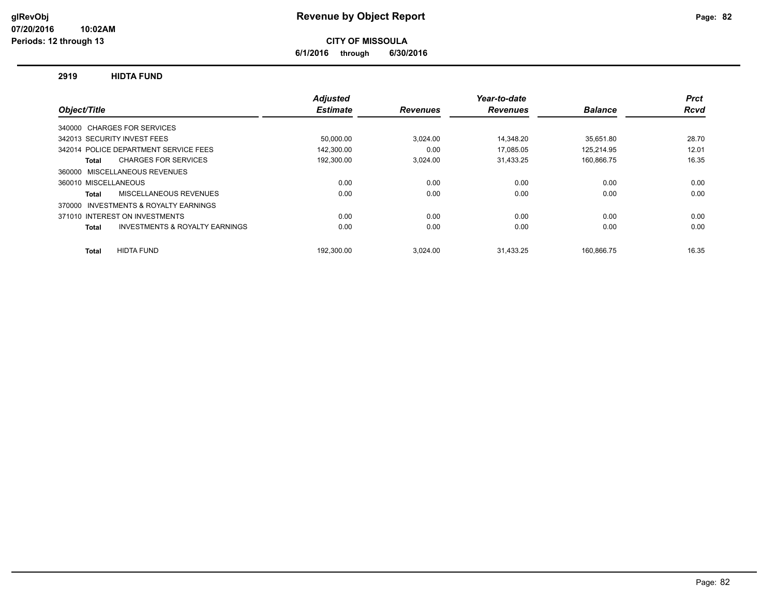**6/1/2016 through 6/30/2016**

### **2919 HIDTA FUND**

|                                                    | <b>Adjusted</b> |                 | Year-to-date    |                | <b>Prct</b> |
|----------------------------------------------------|-----------------|-----------------|-----------------|----------------|-------------|
| Object/Title                                       | <b>Estimate</b> | <b>Revenues</b> | <b>Revenues</b> | <b>Balance</b> | Rcvd        |
| 340000 CHARGES FOR SERVICES                        |                 |                 |                 |                |             |
| 342013 SECURITY INVEST FEES                        | 50,000.00       | 3,024.00        | 14,348.20       | 35,651.80      | 28.70       |
| 342014 POLICE DEPARTMENT SERVICE FEES              | 142.300.00      | 0.00            | 17.085.05       | 125.214.95     | 12.01       |
| <b>CHARGES FOR SERVICES</b><br>Total               | 192,300.00      | 3,024.00        | 31,433.25       | 160,866.75     | 16.35       |
| 360000 MISCELLANEOUS REVENUES                      |                 |                 |                 |                |             |
| 360010 MISCELLANEOUS                               | 0.00            | 0.00            | 0.00            | 0.00           | 0.00        |
| <b>MISCELLANEOUS REVENUES</b><br>Total             | 0.00            | 0.00            | 0.00            | 0.00           | 0.00        |
| 370000 INVESTMENTS & ROYALTY EARNINGS              |                 |                 |                 |                |             |
| 371010 INTEREST ON INVESTMENTS                     | 0.00            | 0.00            | 0.00            | 0.00           | 0.00        |
| <b>INVESTMENTS &amp; ROYALTY EARNINGS</b><br>Total | 0.00            | 0.00            | 0.00            | 0.00           | 0.00        |
| <b>HIDTA FUND</b><br><b>Total</b>                  | 192.300.00      | 3.024.00        | 31.433.25       | 160.866.75     | 16.35       |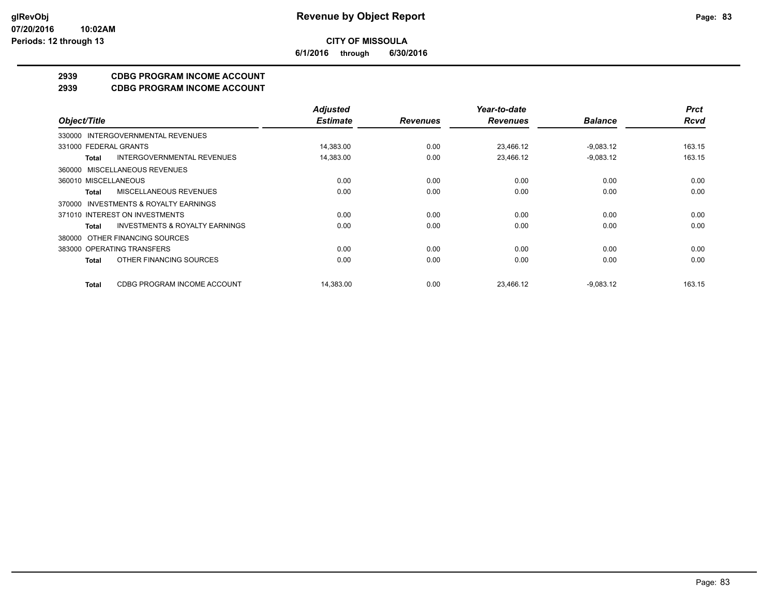**6/1/2016 through 6/30/2016**

# **2939 CDBG PROGRAM INCOME ACCOUNT**

**2939 CDBG PROGRAM INCOME ACCOUNT**

|                                                     | <b>Adjusted</b> |                 | Year-to-date    |                | <b>Prct</b> |
|-----------------------------------------------------|-----------------|-----------------|-----------------|----------------|-------------|
| Object/Title                                        | <b>Estimate</b> | <b>Revenues</b> | <b>Revenues</b> | <b>Balance</b> | <b>Rcvd</b> |
| 330000 INTERGOVERNMENTAL REVENUES                   |                 |                 |                 |                |             |
| 331000 FEDERAL GRANTS                               | 14,383.00       | 0.00            | 23,466.12       | $-9,083.12$    | 163.15      |
| INTERGOVERNMENTAL REVENUES<br>Total                 | 14,383.00       | 0.00            | 23,466.12       | $-9,083.12$    | 163.15      |
| 360000 MISCELLANEOUS REVENUES                       |                 |                 |                 |                |             |
| 360010 MISCELLANEOUS                                | 0.00            | 0.00            | 0.00            | 0.00           | 0.00        |
| <b>MISCELLANEOUS REVENUES</b><br>Total              | 0.00            | 0.00            | 0.00            | 0.00           | 0.00        |
| <b>INVESTMENTS &amp; ROYALTY EARNINGS</b><br>370000 |                 |                 |                 |                |             |
| 371010 INTEREST ON INVESTMENTS                      | 0.00            | 0.00            | 0.00            | 0.00           | 0.00        |
| <b>INVESTMENTS &amp; ROYALTY EARNINGS</b><br>Total  | 0.00            | 0.00            | 0.00            | 0.00           | 0.00        |
| 380000 OTHER FINANCING SOURCES                      |                 |                 |                 |                |             |
| 383000 OPERATING TRANSFERS                          | 0.00            | 0.00            | 0.00            | 0.00           | 0.00        |
| OTHER FINANCING SOURCES<br>Total                    | 0.00            | 0.00            | 0.00            | 0.00           | 0.00        |
| CDBG PROGRAM INCOME ACCOUNT<br>Total                | 14,383.00       | 0.00            | 23.466.12       | $-9,083.12$    | 163.15      |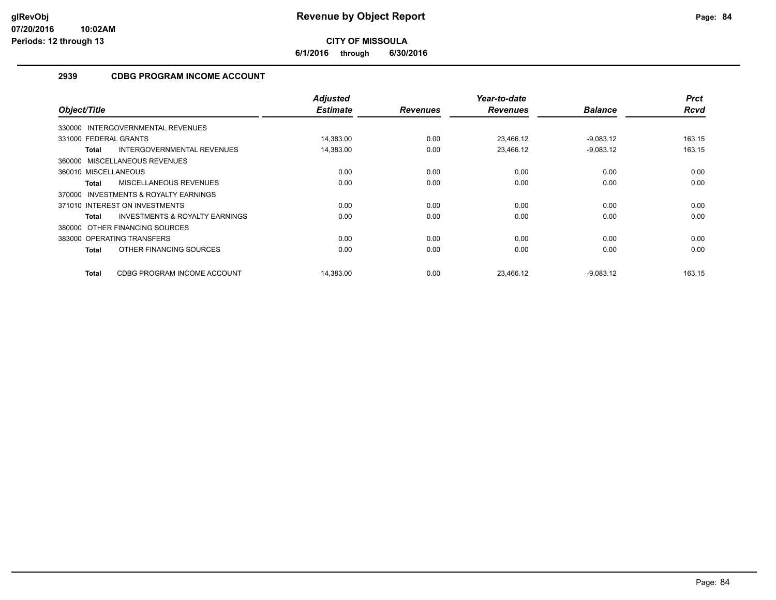**6/1/2016 through 6/30/2016**

## **2939 CDBG PROGRAM INCOME ACCOUNT**

| Object/Title                                       | <b>Adjusted</b><br><b>Estimate</b> | <b>Revenues</b> | Year-to-date<br><b>Revenues</b> | <b>Balance</b> | <b>Prct</b><br>Rcvd |
|----------------------------------------------------|------------------------------------|-----------------|---------------------------------|----------------|---------------------|
| INTERGOVERNMENTAL REVENUES<br>330000               |                                    |                 |                                 |                |                     |
| 331000 FEDERAL GRANTS                              | 14,383.00                          | 0.00            | 23,466.12                       | $-9,083.12$    | 163.15              |
| INTERGOVERNMENTAL REVENUES<br>Total                | 14,383.00                          | 0.00            | 23,466.12                       | $-9,083.12$    | 163.15              |
| 360000 MISCELLANEOUS REVENUES                      |                                    |                 |                                 |                |                     |
| 360010 MISCELLANEOUS                               | 0.00                               | 0.00            | 0.00                            | 0.00           | 0.00                |
| MISCELLANEOUS REVENUES<br><b>Total</b>             | 0.00                               | 0.00            | 0.00                            | 0.00           | 0.00                |
| 370000 INVESTMENTS & ROYALTY EARNINGS              |                                    |                 |                                 |                |                     |
| 371010 INTEREST ON INVESTMENTS                     | 0.00                               | 0.00            | 0.00                            | 0.00           | 0.00                |
| <b>INVESTMENTS &amp; ROYALTY EARNINGS</b><br>Total | 0.00                               | 0.00            | 0.00                            | 0.00           | 0.00                |
| 380000 OTHER FINANCING SOURCES                     |                                    |                 |                                 |                |                     |
| 383000 OPERATING TRANSFERS                         | 0.00                               | 0.00            | 0.00                            | 0.00           | 0.00                |
| OTHER FINANCING SOURCES<br><b>Total</b>            | 0.00                               | 0.00            | 0.00                            | 0.00           | 0.00                |
| CDBG PROGRAM INCOME ACCOUNT<br><b>Total</b>        | 14,383.00                          | 0.00            | 23.466.12                       | $-9,083.12$    | 163.15              |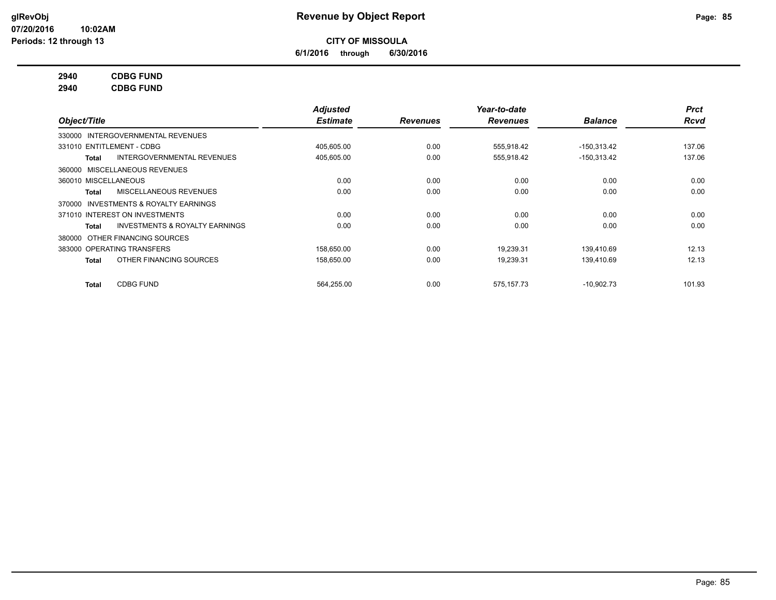**6/1/2016 through 6/30/2016**

### **2940 CDBG FUND**

**2940 CDBG FUND**

|                                                    | <b>Adjusted</b> |                 | Year-to-date    |                | <b>Prct</b> |
|----------------------------------------------------|-----------------|-----------------|-----------------|----------------|-------------|
| Object/Title                                       | <b>Estimate</b> | <b>Revenues</b> | <b>Revenues</b> | <b>Balance</b> | Rcvd        |
| 330000 INTERGOVERNMENTAL REVENUES                  |                 |                 |                 |                |             |
| 331010 ENTITLEMENT - CDBG                          | 405,605.00      | 0.00            | 555,918.42      | $-150,313.42$  | 137.06      |
| <b>INTERGOVERNMENTAL REVENUES</b><br>Total         | 405,605.00      | 0.00            | 555,918.42      | $-150,313.42$  | 137.06      |
| 360000 MISCELLANEOUS REVENUES                      |                 |                 |                 |                |             |
| 360010 MISCELLANEOUS                               | 0.00            | 0.00            | 0.00            | 0.00           | 0.00        |
| MISCELLANEOUS REVENUES<br>Total                    | 0.00            | 0.00            | 0.00            | 0.00           | 0.00        |
| 370000 INVESTMENTS & ROYALTY EARNINGS              |                 |                 |                 |                |             |
| 371010 INTEREST ON INVESTMENTS                     | 0.00            | 0.00            | 0.00            | 0.00           | 0.00        |
| <b>INVESTMENTS &amp; ROYALTY EARNINGS</b><br>Total | 0.00            | 0.00            | 0.00            | 0.00           | 0.00        |
| 380000 OTHER FINANCING SOURCES                     |                 |                 |                 |                |             |
| 383000 OPERATING TRANSFERS                         | 158,650.00      | 0.00            | 19,239.31       | 139,410.69     | 12.13       |
| OTHER FINANCING SOURCES<br>Total                   | 158,650.00      | 0.00            | 19,239.31       | 139,410.69     | 12.13       |
| <b>CDBG FUND</b><br>Total                          | 564,255.00      | 0.00            | 575, 157. 73    | $-10,902.73$   | 101.93      |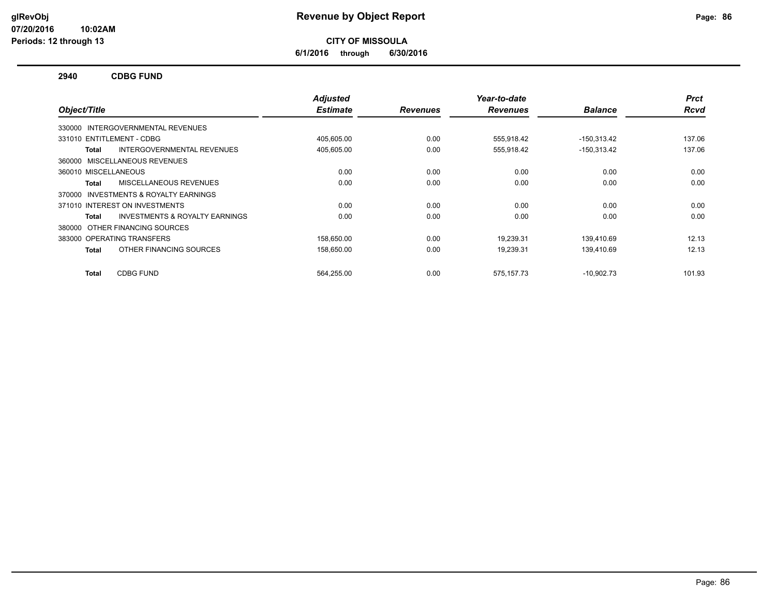## **glRevObj Revenue by Object Report Page: 86**

**CITY OF MISSOULA**

**6/1/2016 through 6/30/2016**

### **2940 CDBG FUND**

| Object/Title                                       | <b>Adjusted</b><br><b>Estimate</b> | <b>Revenues</b> | Year-to-date<br><b>Revenues</b> | <b>Balance</b> | <b>Prct</b><br>Rcvd |
|----------------------------------------------------|------------------------------------|-----------------|---------------------------------|----------------|---------------------|
|                                                    |                                    |                 |                                 |                |                     |
| 330000 INTERGOVERNMENTAL REVENUES                  |                                    |                 |                                 |                |                     |
| 331010 ENTITLEMENT - CDBG                          | 405,605.00                         | 0.00            | 555,918.42                      | $-150,313.42$  | 137.06              |
| INTERGOVERNMENTAL REVENUES<br><b>Total</b>         | 405,605.00                         | 0.00            | 555,918.42                      | $-150,313.42$  | 137.06              |
| 360000 MISCELLANEOUS REVENUES                      |                                    |                 |                                 |                |                     |
| 360010 MISCELLANEOUS                               | 0.00                               | 0.00            | 0.00                            | 0.00           | 0.00                |
| MISCELLANEOUS REVENUES<br><b>Total</b>             | 0.00                               | 0.00            | 0.00                            | 0.00           | 0.00                |
| INVESTMENTS & ROYALTY EARNINGS<br>370000           |                                    |                 |                                 |                |                     |
| 371010 INTEREST ON INVESTMENTS                     | 0.00                               | 0.00            | 0.00                            | 0.00           | 0.00                |
| <b>INVESTMENTS &amp; ROYALTY EARNINGS</b><br>Total | 0.00                               | 0.00            | 0.00                            | 0.00           | 0.00                |
| 380000 OTHER FINANCING SOURCES                     |                                    |                 |                                 |                |                     |
| 383000 OPERATING TRANSFERS                         | 158,650.00                         | 0.00            | 19,239.31                       | 139,410.69     | 12.13               |
| OTHER FINANCING SOURCES<br>Total                   | 158,650.00                         | 0.00            | 19,239.31                       | 139.410.69     | 12.13               |
|                                                    |                                    |                 |                                 |                |                     |
| <b>CDBG FUND</b><br><b>Total</b>                   | 564.255.00                         | 0.00            | 575,157.73                      | $-10,902.73$   | 101.93              |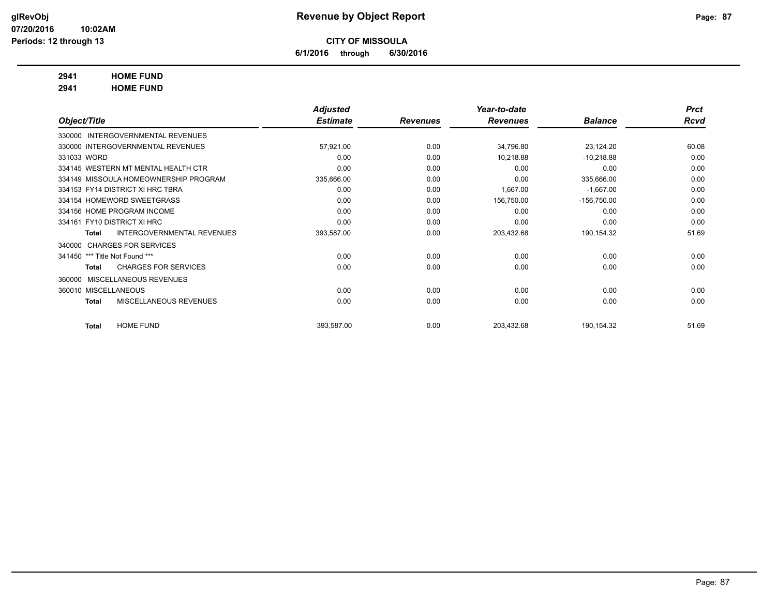**6/1/2016 through 6/30/2016**

### **2941 HOME FUND**

**2941 HOME FUND**

|                                             |                                   | <b>Adjusted</b> |                 | Year-to-date    |                | <b>Prct</b> |
|---------------------------------------------|-----------------------------------|-----------------|-----------------|-----------------|----------------|-------------|
| Object/Title                                |                                   | <b>Estimate</b> | <b>Revenues</b> | <b>Revenues</b> | <b>Balance</b> | <b>Rcvd</b> |
| <b>INTERGOVERNMENTAL REVENUES</b><br>330000 |                                   |                 |                 |                 |                |             |
| 330000 INTERGOVERNMENTAL REVENUES           |                                   | 57,921.00       | 0.00            | 34,796.80       | 23,124.20      | 60.08       |
| 331033 WORD                                 |                                   | 0.00            | 0.00            | 10,218.88       | $-10,218.88$   | 0.00        |
| 334145 WESTERN MT MENTAL HEALTH CTR         |                                   | 0.00            | 0.00            | 0.00            | 0.00           | 0.00        |
| 334149 MISSOULA HOMEOWNERSHIP PROGRAM       |                                   | 335,666.00      | 0.00            | 0.00            | 335,666.00     | 0.00        |
| 334153 FY14 DISTRICT XI HRC TBRA            |                                   | 0.00            | 0.00            | 1,667.00        | $-1,667.00$    | 0.00        |
| 334154 HOMEWORD SWEETGRASS                  |                                   | 0.00            | 0.00            | 156,750.00      | $-156,750.00$  | 0.00        |
| 334156 HOME PROGRAM INCOME                  |                                   | 0.00            | 0.00            | 0.00            | 0.00           | 0.00        |
| 334161 FY10 DISTRICT XI HRC                 |                                   | 0.00            | 0.00            | 0.00            | 0.00           | 0.00        |
| <b>Total</b>                                | <b>INTERGOVERNMENTAL REVENUES</b> | 393,587.00      | 0.00            | 203,432.68      | 190,154.32     | 51.69       |
| <b>CHARGES FOR SERVICES</b><br>340000       |                                   |                 |                 |                 |                |             |
| 341450 *** Title Not Found ***              |                                   | 0.00            | 0.00            | 0.00            | 0.00           | 0.00        |
| <b>CHARGES FOR SERVICES</b><br>Total        |                                   | 0.00            | 0.00            | 0.00            | 0.00           | 0.00        |
| MISCELLANEOUS REVENUES<br>360000            |                                   |                 |                 |                 |                |             |
| 360010 MISCELLANEOUS                        |                                   | 0.00            | 0.00            | 0.00            | 0.00           | 0.00        |
| <b>Total</b>                                | <b>MISCELLANEOUS REVENUES</b>     | 0.00            | 0.00            | 0.00            | 0.00           | 0.00        |
| <b>HOME FUND</b><br><b>Total</b>            |                                   | 393,587.00      | 0.00            | 203,432.68      | 190,154.32     | 51.69       |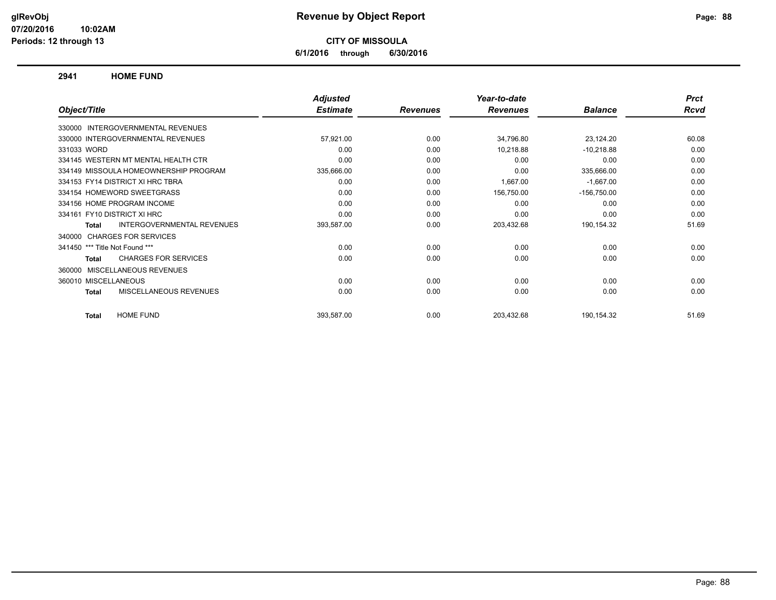**6/1/2016 through 6/30/2016**

### **2941 HOME FUND**

|                                        | <b>Adjusted</b> |                 | Year-to-date    |                | <b>Prct</b> |
|----------------------------------------|-----------------|-----------------|-----------------|----------------|-------------|
| Object/Title                           | <b>Estimate</b> | <b>Revenues</b> | <b>Revenues</b> | <b>Balance</b> | <b>Rcvd</b> |
| 330000 INTERGOVERNMENTAL REVENUES      |                 |                 |                 |                |             |
| 330000 INTERGOVERNMENTAL REVENUES      | 57,921.00       | 0.00            | 34,796.80       | 23,124.20      | 60.08       |
| 331033 WORD                            | 0.00            | 0.00            | 10,218.88       | $-10,218.88$   | 0.00        |
| 334145 WESTERN MT MENTAL HEALTH CTR    | 0.00            | 0.00            | 0.00            | 0.00           | 0.00        |
| 334149 MISSOULA HOMEOWNERSHIP PROGRAM  | 335,666.00      | 0.00            | 0.00            | 335,666.00     | 0.00        |
| 334153 FY14 DISTRICT XI HRC TBRA       | 0.00            | 0.00            | 1,667.00        | $-1,667.00$    | 0.00        |
| 334154 HOMEWORD SWEETGRASS             | 0.00            | 0.00            | 156,750.00      | $-156,750.00$  | 0.00        |
| 334156 HOME PROGRAM INCOME             | 0.00            | 0.00            | 0.00            | 0.00           | 0.00        |
| 334161 FY10 DISTRICT XI HRC            | 0.00            | 0.00            | 0.00            | 0.00           | 0.00        |
| INTERGOVERNMENTAL REVENUES<br>Total    | 393,587.00      | 0.00            | 203,432.68      | 190,154.32     | 51.69       |
| 340000 CHARGES FOR SERVICES            |                 |                 |                 |                |             |
| 341450 *** Title Not Found ***         | 0.00            | 0.00            | 0.00            | 0.00           | 0.00        |
| <b>CHARGES FOR SERVICES</b><br>Total   | 0.00            | 0.00            | 0.00            | 0.00           | 0.00        |
| 360000 MISCELLANEOUS REVENUES          |                 |                 |                 |                |             |
| 360010 MISCELLANEOUS                   | 0.00            | 0.00            | 0.00            | 0.00           | 0.00        |
| MISCELLANEOUS REVENUES<br><b>Total</b> | 0.00            | 0.00            | 0.00            | 0.00           | 0.00        |
| <b>HOME FUND</b><br><b>Total</b>       | 393,587.00      | 0.00            | 203,432.68      | 190,154.32     | 51.69       |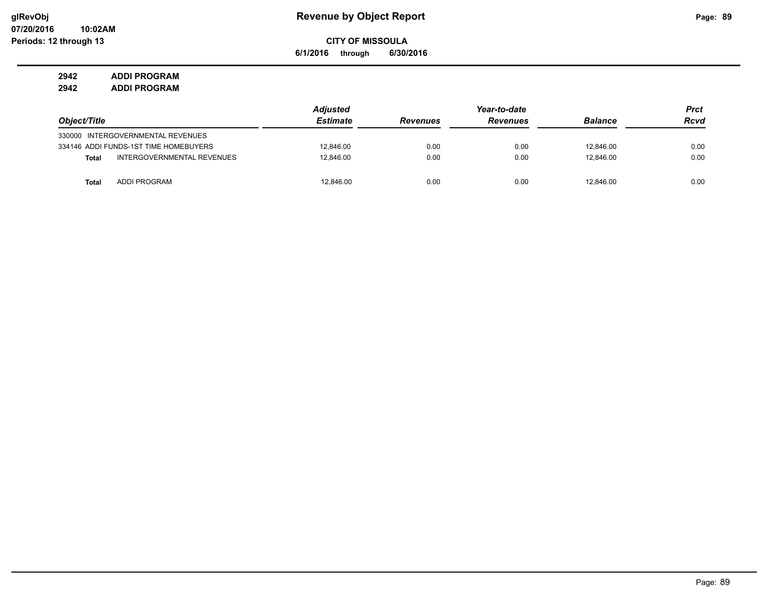**6/1/2016 through 6/30/2016**

**2942 ADDI PROGRAM 2942 ADDI PROGRAM**

|                                            | <b>Adjusted</b> |                 | <b>Prct</b>     |                |             |
|--------------------------------------------|-----------------|-----------------|-----------------|----------------|-------------|
| Object/Title                               | <b>Estimate</b> | <b>Revenues</b> | <b>Revenues</b> | <b>Balance</b> | <b>Rcvd</b> |
| 330000 INTERGOVERNMENTAL REVENUES          |                 |                 |                 |                |             |
| 334146 ADDI FUNDS-1ST TIME HOMEBUYERS      | 12,846.00       | 0.00            | 0.00            | 12.846.00      | 0.00        |
| INTERGOVERNMENTAL REVENUES<br><b>Total</b> | 12.846.00       | 0.00            | 0.00            | 12.846.00      | 0.00        |
| ADDI PROGRAM<br><b>Total</b>               | 12.846.00       | 0.00            | 0.00            | 12.846.00      | 0.00        |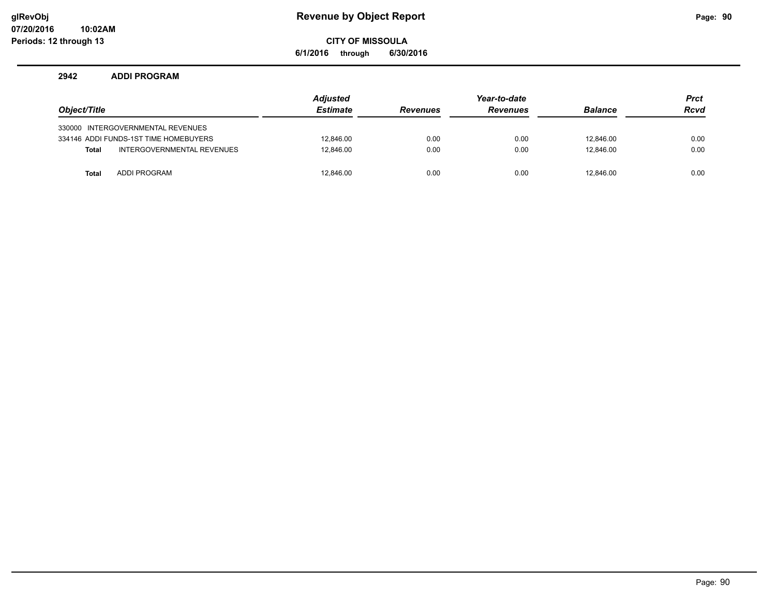## **glRevObj Revenue by Object Report Page: 90**

**CITY OF MISSOULA**

**6/1/2016 through 6/30/2016**

### **2942 ADDI PROGRAM**

|              |                                       | <b>Adjusted</b> |                 |                | <b>Prct</b> |      |
|--------------|---------------------------------------|-----------------|-----------------|----------------|-------------|------|
| Object/Title | <b>Estimate</b>                       | <b>Revenues</b> | <b>Revenues</b> | <b>Balance</b> | <b>Rcvd</b> |      |
|              | 330000 INTERGOVERNMENTAL REVENUES     |                 |                 |                |             |      |
|              | 334146 ADDI FUNDS-1ST TIME HOMEBUYERS | 12.846.00       | 0.00            | 0.00           | 12.846.00   | 0.00 |
| <b>Total</b> | INTERGOVERNMENTAL REVENUES            | 12.846.00       | 0.00            | 0.00           | 12.846.00   | 0.00 |
| <b>Total</b> | <b>ADDI PROGRAM</b>                   | 12,846.00       | 0.00            | 0.00           | 12.846.00   | 0.00 |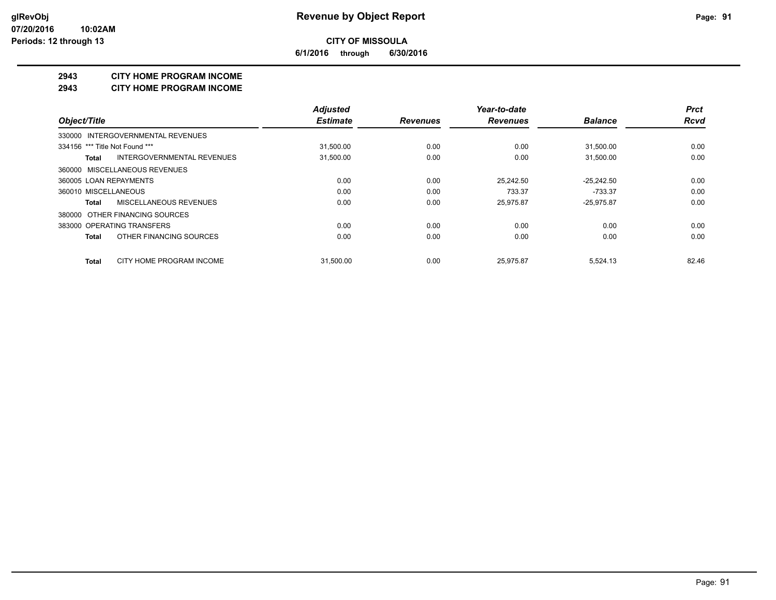**6/1/2016 through 6/30/2016**

#### **2943 CITY HOME PROGRAM INCOME**

#### **2943 CITY HOME PROGRAM INCOME**

|                                          | <b>Adjusted</b> |                 | Year-to-date    |                | <b>Prct</b> |
|------------------------------------------|-----------------|-----------------|-----------------|----------------|-------------|
| Object/Title                             | <b>Estimate</b> | <b>Revenues</b> | <b>Revenues</b> | <b>Balance</b> | <b>Rcvd</b> |
| 330000 INTERGOVERNMENTAL REVENUES        |                 |                 |                 |                |             |
| 334156 *** Title Not Found ***           | 31,500.00       | 0.00            | 0.00            | 31,500.00      | 0.00        |
| INTERGOVERNMENTAL REVENUES<br>Total      | 31,500.00       | 0.00            | 0.00            | 31.500.00      | 0.00        |
| 360000 MISCELLANEOUS REVENUES            |                 |                 |                 |                |             |
| 360005 LOAN REPAYMENTS                   | 0.00            | 0.00            | 25.242.50       | $-25.242.50$   | 0.00        |
| 360010 MISCELLANEOUS                     | 0.00            | 0.00            | 733.37          | -733.37        | 0.00        |
| MISCELLANEOUS REVENUES<br>Total          | 0.00            | 0.00            | 25,975.87       | $-25,975.87$   | 0.00        |
| 380000 OTHER FINANCING SOURCES           |                 |                 |                 |                |             |
| 383000 OPERATING TRANSFERS               | 0.00            | 0.00            | 0.00            | 0.00           | 0.00        |
| OTHER FINANCING SOURCES<br>Total         | 0.00            | 0.00            | 0.00            | 0.00           | 0.00        |
| CITY HOME PROGRAM INCOME<br><b>Total</b> | 31.500.00       | 0.00            | 25.975.87       | 5.524.13       | 82.46       |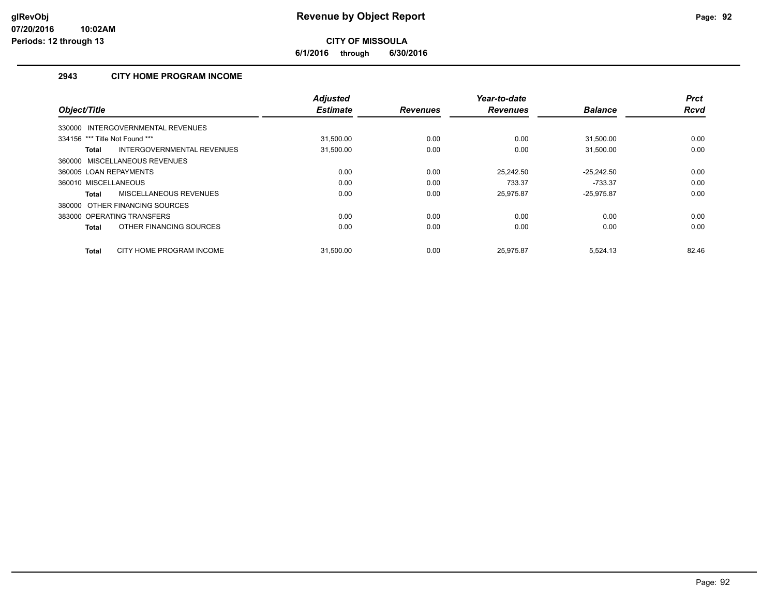**6/1/2016 through 6/30/2016**

## **2943 CITY HOME PROGRAM INCOME**

|                                         | <b>Adjusted</b> |                 | Year-to-date    |                | <b>Prct</b> |
|-----------------------------------------|-----------------|-----------------|-----------------|----------------|-------------|
| Object/Title                            | <b>Estimate</b> | <b>Revenues</b> | <b>Revenues</b> | <b>Balance</b> | <b>Rcvd</b> |
| INTERGOVERNMENTAL REVENUES<br>330000    |                 |                 |                 |                |             |
| 334156 *** Title Not Found ***          | 31.500.00       | 0.00            | 0.00            | 31.500.00      | 0.00        |
| INTERGOVERNMENTAL REVENUES<br>Total     | 31,500.00       | 0.00            | 0.00            | 31.500.00      | 0.00        |
| 360000 MISCELLANEOUS REVENUES           |                 |                 |                 |                |             |
| 360005 LOAN REPAYMENTS                  | 0.00            | 0.00            | 25,242.50       | $-25,242.50$   | 0.00        |
| 360010 MISCELLANEOUS                    | 0.00            | 0.00            | 733.37          | -733.37        | 0.00        |
| MISCELLANEOUS REVENUES<br><b>Total</b>  | 0.00            | 0.00            | 25.975.87       | $-25.975.87$   | 0.00        |
| 380000 OTHER FINANCING SOURCES          |                 |                 |                 |                |             |
| 383000 OPERATING TRANSFERS              | 0.00            | 0.00            | 0.00            | 0.00           | 0.00        |
| OTHER FINANCING SOURCES<br><b>Total</b> | 0.00            | 0.00            | 0.00            | 0.00           | 0.00        |
| CITY HOME PROGRAM INCOME<br>Total       | 31.500.00       | 0.00            | 25.975.87       | 5.524.13       | 82.46       |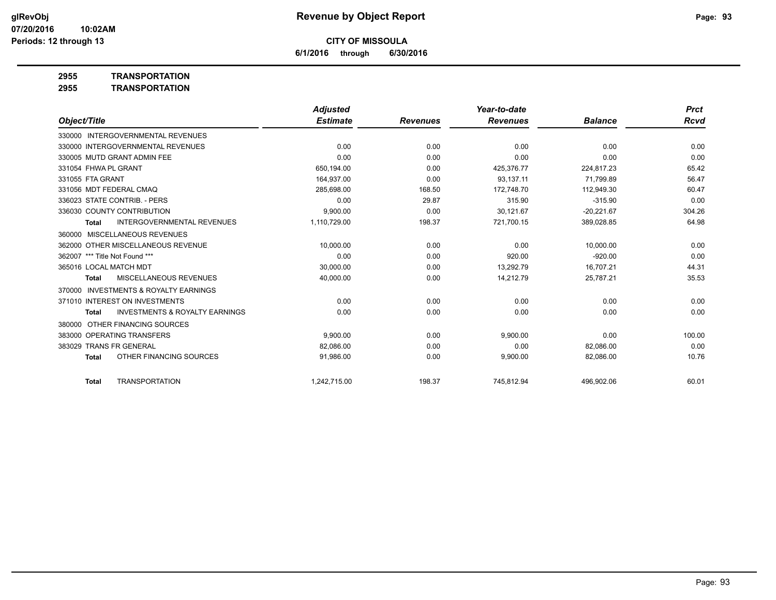**6/1/2016 through 6/30/2016**

**2955 TRANSPORTATION**

|                                                           | Adjusted        |                 | Year-to-date    |                | <b>Prct</b> |
|-----------------------------------------------------------|-----------------|-----------------|-----------------|----------------|-------------|
| Object/Title                                              | <b>Estimate</b> | <b>Revenues</b> | <b>Revenues</b> | <b>Balance</b> | Rcvd        |
| 330000 INTERGOVERNMENTAL REVENUES                         |                 |                 |                 |                |             |
| 330000 INTERGOVERNMENTAL REVENUES                         | 0.00            | 0.00            | 0.00            | 0.00           | 0.00        |
| 330005 MUTD GRANT ADMIN FEE                               | 0.00            | 0.00            | 0.00            | 0.00           | 0.00        |
| 331054 FHWA PL GRANT                                      | 650.194.00      | 0.00            | 425.376.77      | 224.817.23     | 65.42       |
| 331055 FTA GRANT                                          | 164,937.00      | 0.00            | 93.137.11       | 71.799.89      | 56.47       |
| 331056 MDT FEDERAL CMAO                                   | 285,698.00      | 168.50          | 172,748.70      | 112,949.30     | 60.47       |
| 336023 STATE CONTRIB. - PERS                              | 0.00            | 29.87           | 315.90          | $-315.90$      | 0.00        |
| 336030 COUNTY CONTRIBUTION                                | 9,900.00        | 0.00            | 30,121.67       | $-20,221.67$   | 304.26      |
| INTERGOVERNMENTAL REVENUES<br><b>Total</b>                | 1,110,729.00    | 198.37          | 721,700.15      | 389,028.85     | 64.98       |
| MISCELLANEOUS REVENUES<br>360000                          |                 |                 |                 |                |             |
| 362000 OTHER MISCELLANEOUS REVENUE                        | 10,000.00       | 0.00            | 0.00            | 10,000.00      | 0.00        |
| 362007 *** Title Not Found ***                            | 0.00            | 0.00            | 920.00          | $-920.00$      | 0.00        |
| 365016 LOCAL MATCH MDT                                    | 30,000.00       | 0.00            | 13,292.79       | 16.707.21      | 44.31       |
| <b>MISCELLANEOUS REVENUES</b><br><b>Total</b>             | 40,000.00       | 0.00            | 14,212.79       | 25,787.21      | 35.53       |
| <b>INVESTMENTS &amp; ROYALTY EARNINGS</b><br>370000       |                 |                 |                 |                |             |
| 371010 INTEREST ON INVESTMENTS                            | 0.00            | 0.00            | 0.00            | 0.00           | 0.00        |
| <b>INVESTMENTS &amp; ROYALTY EARNINGS</b><br><b>Total</b> | 0.00            | 0.00            | 0.00            | 0.00           | 0.00        |
| OTHER FINANCING SOURCES<br>380000                         |                 |                 |                 |                |             |
| 383000 OPERATING TRANSFERS                                | 9.900.00        | 0.00            | 9,900.00        | 0.00           | 100.00      |
| 383029 TRANS FR GENERAL                                   | 82,086.00       | 0.00            | 0.00            | 82,086.00      | 0.00        |
| OTHER FINANCING SOURCES<br><b>Total</b>                   | 91,986.00       | 0.00            | 9,900.00        | 82,086.00      | 10.76       |
| <b>TRANSPORTATION</b><br><b>Total</b>                     | 1,242,715.00    | 198.37          | 745,812.94      | 496,902.06     | 60.01       |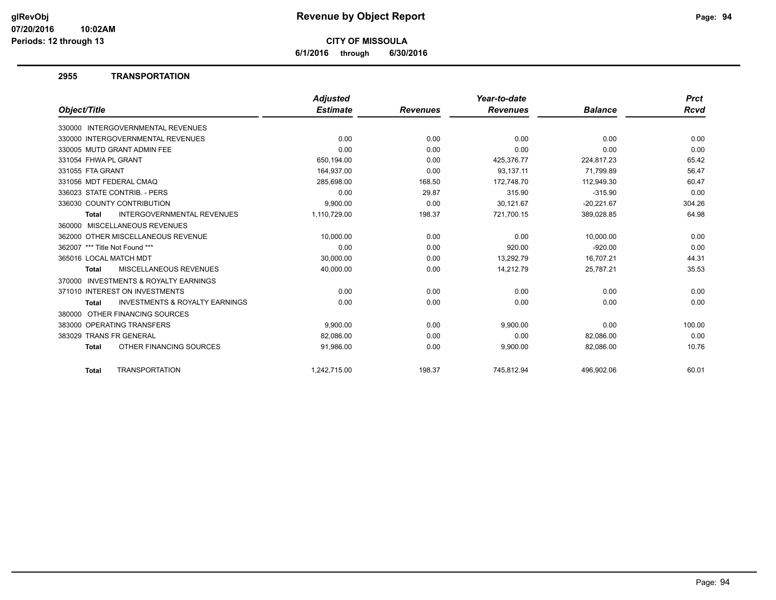**6/1/2016 through 6/30/2016**

### **2955 TRANSPORTATION**

|                                                           | <b>Adjusted</b> |                 | Year-to-date    |                | <b>Prct</b> |
|-----------------------------------------------------------|-----------------|-----------------|-----------------|----------------|-------------|
| Object/Title                                              | <b>Estimate</b> | <b>Revenues</b> | <b>Revenues</b> | <b>Balance</b> | Rcvd        |
| 330000 INTERGOVERNMENTAL REVENUES                         |                 |                 |                 |                |             |
| 330000 INTERGOVERNMENTAL REVENUES                         | 0.00            | 0.00            | 0.00            | 0.00           | 0.00        |
| 330005 MUTD GRANT ADMIN FEE                               | 0.00            | 0.00            | 0.00            | 0.00           | 0.00        |
| 331054 FHWA PL GRANT                                      | 650,194.00      | 0.00            | 425,376.77      | 224,817.23     | 65.42       |
| 331055 FTA GRANT                                          | 164,937.00      | 0.00            | 93.137.11       | 71,799.89      | 56.47       |
| 331056 MDT FEDERAL CMAQ                                   | 285,698.00      | 168.50          | 172,748.70      | 112,949.30     | 60.47       |
| 336023 STATE CONTRIB. - PERS                              | 0.00            | 29.87           | 315.90          | $-315.90$      | 0.00        |
| 336030 COUNTY CONTRIBUTION                                | 9,900.00        | 0.00            | 30,121.67       | $-20,221.67$   | 304.26      |
| <b>INTERGOVERNMENTAL REVENUES</b><br><b>Total</b>         | 1,110,729.00    | 198.37          | 721,700.15      | 389,028.85     | 64.98       |
| MISCELLANEOUS REVENUES<br>360000                          |                 |                 |                 |                |             |
| 362000 OTHER MISCELLANEOUS REVENUE                        | 10,000.00       | 0.00            | 0.00            | 10,000.00      | 0.00        |
| 362007 *** Title Not Found ***                            | 0.00            | 0.00            | 920.00          | $-920.00$      | 0.00        |
| 365016 LOCAL MATCH MDT                                    | 30,000.00       | 0.00            | 13,292.79       | 16,707.21      | 44.31       |
| <b>MISCELLANEOUS REVENUES</b><br><b>Total</b>             | 40,000.00       | 0.00            | 14,212.79       | 25,787.21      | 35.53       |
| <b>INVESTMENTS &amp; ROYALTY EARNINGS</b><br>370000       |                 |                 |                 |                |             |
| 371010 INTEREST ON INVESTMENTS                            | 0.00            | 0.00            | 0.00            | 0.00           | 0.00        |
| <b>INVESTMENTS &amp; ROYALTY EARNINGS</b><br><b>Total</b> | 0.00            | 0.00            | 0.00            | 0.00           | 0.00        |
| OTHER FINANCING SOURCES<br>380000                         |                 |                 |                 |                |             |
| 383000 OPERATING TRANSFERS                                | 9,900.00        | 0.00            | 9,900.00        | 0.00           | 100.00      |
| 383029 TRANS FR GENERAL                                   | 82,086.00       | 0.00            | 0.00            | 82,086.00      | 0.00        |
| OTHER FINANCING SOURCES<br><b>Total</b>                   | 91,986.00       | 0.00            | 9,900.00        | 82,086.00      | 10.76       |
| <b>TRANSPORTATION</b><br>Total                            | 1.242.715.00    | 198.37          | 745.812.94      | 496.902.06     | 60.01       |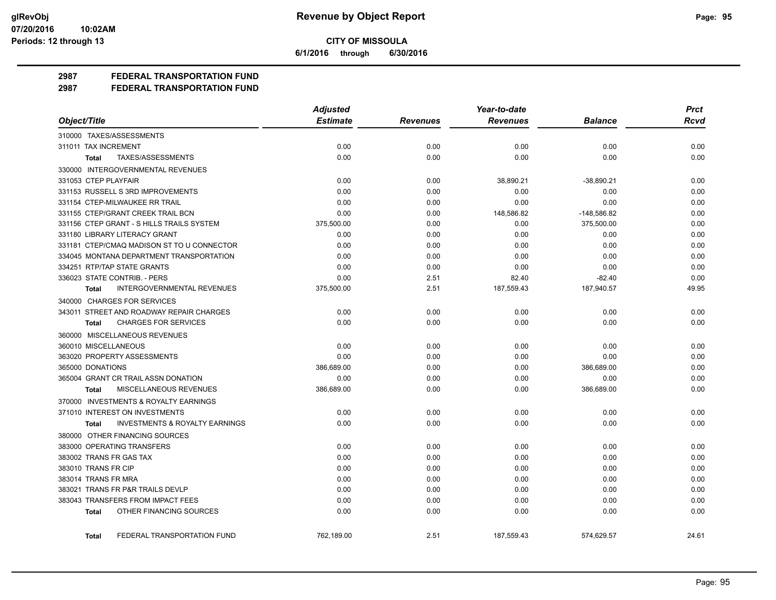**6/1/2016 through 6/30/2016**

**2987 FEDERAL TRANSPORTATION FUND**

**2987 FEDERAL TRANSPORTATION FUND**

|                                                           | <b>Adjusted</b> |                 | Year-to-date    |                | <b>Prct</b> |
|-----------------------------------------------------------|-----------------|-----------------|-----------------|----------------|-------------|
| Object/Title                                              | <b>Estimate</b> | <b>Revenues</b> | <b>Revenues</b> | <b>Balance</b> | <b>Rcvd</b> |
| 310000 TAXES/ASSESSMENTS                                  |                 |                 |                 |                |             |
| 311011 TAX INCREMENT                                      | 0.00            | 0.00            | 0.00            | 0.00           | 0.00        |
| TAXES/ASSESSMENTS<br><b>Total</b>                         | 0.00            | 0.00            | 0.00            | 0.00           | 0.00        |
| 330000 INTERGOVERNMENTAL REVENUES                         |                 |                 |                 |                |             |
| 331053 CTEP PLAYFAIR                                      | 0.00            | 0.00            | 38,890.21       | $-38,890.21$   | 0.00        |
| 331153 RUSSELL S 3RD IMPROVEMENTS                         | 0.00            | 0.00            | 0.00            | 0.00           | 0.00        |
| 331154 CTEP-MILWAUKEE RR TRAIL                            | 0.00            | 0.00            | 0.00            | 0.00           | 0.00        |
| 331155 CTEP/GRANT CREEK TRAIL BCN                         | 0.00            | 0.00            | 148,586.82      | $-148,586.82$  | 0.00        |
| 331156 CTEP GRANT - S HILLS TRAILS SYSTEM                 | 375,500.00      | 0.00            | 0.00            | 375,500.00     | 0.00        |
| 331180 LIBRARY LITERACY GRANT                             | 0.00            | 0.00            | 0.00            | 0.00           | 0.00        |
| 331181 CTEP/CMAQ MADISON ST TO U CONNECTOR                | 0.00            | 0.00            | 0.00            | 0.00           | 0.00        |
| 334045 MONTANA DEPARTMENT TRANSPORTATION                  | 0.00            | 0.00            | 0.00            | 0.00           | 0.00        |
| 334251 RTP/TAP STATE GRANTS                               | 0.00            | 0.00            | 0.00            | 0.00           | 0.00        |
| 336023 STATE CONTRIB. - PERS                              | 0.00            | 2.51            | 82.40           | $-82.40$       | 0.00        |
| <b>INTERGOVERNMENTAL REVENUES</b><br><b>Total</b>         | 375,500.00      | 2.51            | 187,559.43      | 187,940.57     | 49.95       |
| 340000 CHARGES FOR SERVICES                               |                 |                 |                 |                |             |
| 343011 STREET AND ROADWAY REPAIR CHARGES                  | 0.00            | 0.00            | 0.00            | 0.00           | 0.00        |
| <b>CHARGES FOR SERVICES</b><br><b>Total</b>               | 0.00            | 0.00            | 0.00            | 0.00           | 0.00        |
| 360000 MISCELLANEOUS REVENUES                             |                 |                 |                 |                |             |
| 360010 MISCELLANEOUS                                      | 0.00            | 0.00            | 0.00            | 0.00           | 0.00        |
| 363020 PROPERTY ASSESSMENTS                               | 0.00            | 0.00            | 0.00            | 0.00           | 0.00        |
| 365000 DONATIONS                                          | 386,689.00      | 0.00            | 0.00            | 386,689.00     | 0.00        |
| 365004 GRANT CR TRAIL ASSN DONATION                       | 0.00            | 0.00            | 0.00            | 0.00           | 0.00        |
| MISCELLANEOUS REVENUES<br><b>Total</b>                    | 386,689.00      | 0.00            | 0.00            | 386,689.00     | 0.00        |
| 370000 INVESTMENTS & ROYALTY EARNINGS                     |                 |                 |                 |                |             |
| 371010 INTEREST ON INVESTMENTS                            | 0.00            | 0.00            | 0.00            | 0.00           | 0.00        |
| <b>INVESTMENTS &amp; ROYALTY EARNINGS</b><br><b>Total</b> | 0.00            | 0.00            | 0.00            | 0.00           | 0.00        |
| 380000 OTHER FINANCING SOURCES                            |                 |                 |                 |                |             |
| 383000 OPERATING TRANSFERS                                | 0.00            | 0.00            | 0.00            | 0.00           | 0.00        |
| 383002 TRANS FR GAS TAX                                   | 0.00            | 0.00            | 0.00            | 0.00           | 0.00        |
| 383010 TRANS FR CIP                                       | 0.00            | 0.00            | 0.00            | 0.00           | 0.00        |
| 383014 TRANS FR MRA                                       | 0.00            | 0.00            | 0.00            | 0.00           | 0.00        |
| 383021 TRANS FR P&R TRAILS DEVLP                          | 0.00            | 0.00            | 0.00            | 0.00           | 0.00        |
| 383043 TRANSFERS FROM IMPACT FEES                         | 0.00            | 0.00            | 0.00            | 0.00           | 0.00        |
| OTHER FINANCING SOURCES<br><b>Total</b>                   | 0.00            | 0.00            | 0.00            | 0.00           | 0.00        |
|                                                           |                 |                 |                 |                |             |
| FEDERAL TRANSPORTATION FUND<br>Total                      | 762,189.00      | 2.51            | 187,559.43      | 574,629.57     | 24.61       |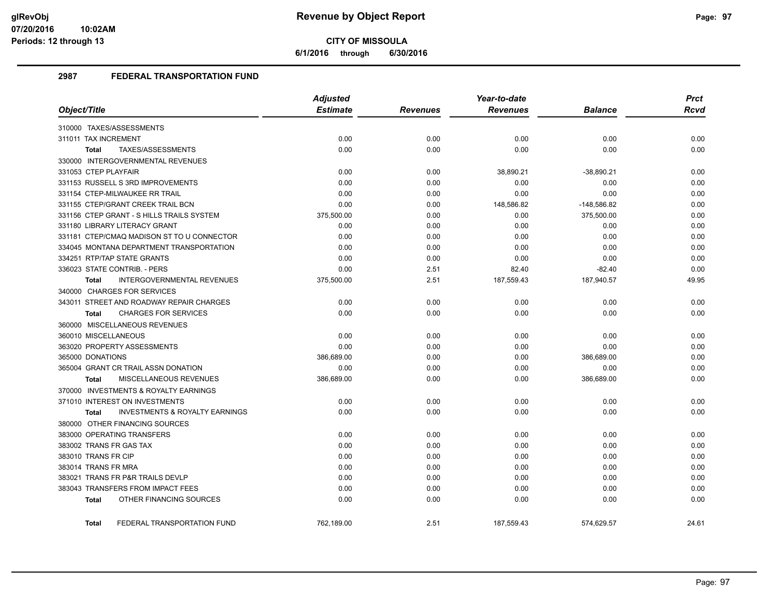**6/1/2016 through 6/30/2016**

### **2987 FEDERAL TRANSPORTATION FUND**

|                                                           | <b>Adjusted</b> |                 | Year-to-date    |                | <b>Prct</b> |
|-----------------------------------------------------------|-----------------|-----------------|-----------------|----------------|-------------|
| Object/Title                                              | <b>Estimate</b> | <b>Revenues</b> | <b>Revenues</b> | <b>Balance</b> | <b>Rcvd</b> |
| 310000 TAXES/ASSESSMENTS                                  |                 |                 |                 |                |             |
| 311011 TAX INCREMENT                                      | 0.00            | 0.00            | 0.00            | 0.00           | 0.00        |
| TAXES/ASSESSMENTS<br><b>Total</b>                         | 0.00            | 0.00            | 0.00            | 0.00           | 0.00        |
| 330000 INTERGOVERNMENTAL REVENUES                         |                 |                 |                 |                |             |
| 331053 CTEP PLAYFAIR                                      | 0.00            | 0.00            | 38,890.21       | $-38,890.21$   | 0.00        |
| 331153 RUSSELL S 3RD IMPROVEMENTS                         | 0.00            | 0.00            | 0.00            | 0.00           | 0.00        |
| 331154 CTEP-MILWAUKEE RR TRAIL                            | 0.00            | 0.00            | 0.00            | 0.00           | 0.00        |
| 331155 CTEP/GRANT CREEK TRAIL BCN                         | 0.00            | 0.00            | 148,586.82      | -148,586.82    | 0.00        |
| 331156 CTEP GRANT - S HILLS TRAILS SYSTEM                 | 375,500.00      | 0.00            | 0.00            | 375,500.00     | 0.00        |
| 331180 LIBRARY LITERACY GRANT                             | 0.00            | 0.00            | 0.00            | 0.00           | 0.00        |
| 331181 CTEP/CMAQ MADISON ST TO U CONNECTOR                | 0.00            | 0.00            | 0.00            | 0.00           | 0.00        |
| 334045 MONTANA DEPARTMENT TRANSPORTATION                  | 0.00            | 0.00            | 0.00            | 0.00           | 0.00        |
| 334251 RTP/TAP STATE GRANTS                               | 0.00            | 0.00            | 0.00            | 0.00           | 0.00        |
| 336023 STATE CONTRIB. - PERS                              | 0.00            | 2.51            | 82.40           | $-82.40$       | 0.00        |
| <b>INTERGOVERNMENTAL REVENUES</b><br><b>Total</b>         | 375,500.00      | 2.51            | 187,559.43      | 187,940.57     | 49.95       |
| 340000 CHARGES FOR SERVICES                               |                 |                 |                 |                |             |
| 343011 STREET AND ROADWAY REPAIR CHARGES                  | 0.00            | 0.00            | 0.00            | 0.00           | 0.00        |
| <b>CHARGES FOR SERVICES</b><br><b>Total</b>               | 0.00            | 0.00            | 0.00            | 0.00           | 0.00        |
| 360000 MISCELLANEOUS REVENUES                             |                 |                 |                 |                |             |
| 360010 MISCELLANEOUS                                      | 0.00            | 0.00            | 0.00            | 0.00           | 0.00        |
| 363020 PROPERTY ASSESSMENTS                               | 0.00            | 0.00            | 0.00            | 0.00           | 0.00        |
| 365000 DONATIONS                                          | 386,689.00      | 0.00            | 0.00            | 386,689.00     | 0.00        |
| 365004 GRANT CR TRAIL ASSN DONATION                       | 0.00            | 0.00            | 0.00            | 0.00           | 0.00        |
| MISCELLANEOUS REVENUES<br><b>Total</b>                    | 386,689.00      | 0.00            | 0.00            | 386,689.00     | 0.00        |
| 370000 INVESTMENTS & ROYALTY EARNINGS                     |                 |                 |                 |                |             |
| 371010 INTEREST ON INVESTMENTS                            | 0.00            | 0.00            | 0.00            | 0.00           | 0.00        |
| <b>INVESTMENTS &amp; ROYALTY EARNINGS</b><br><b>Total</b> | 0.00            | 0.00            | 0.00            | 0.00           | 0.00        |
| 380000 OTHER FINANCING SOURCES                            |                 |                 |                 |                |             |
| 383000 OPERATING TRANSFERS                                | 0.00            | 0.00            | 0.00            | 0.00           | 0.00        |
| 383002 TRANS FR GAS TAX                                   | 0.00            | 0.00            | 0.00            | 0.00           | 0.00        |
| 383010 TRANS FR CIP                                       | 0.00            | 0.00            | 0.00            | 0.00           | 0.00        |
| 383014 TRANS FR MRA                                       | 0.00            | 0.00            | 0.00            | 0.00           | 0.00        |
| 383021 TRANS FR P&R TRAILS DEVLP                          | 0.00            | 0.00            | 0.00            | 0.00           | 0.00        |
| 383043 TRANSFERS FROM IMPACT FEES                         | 0.00            | 0.00            | 0.00            | 0.00           | 0.00        |
| OTHER FINANCING SOURCES<br><b>Total</b>                   | 0.00            | 0.00            | 0.00            | 0.00           | 0.00        |
| FEDERAL TRANSPORTATION FUND<br><b>Total</b>               | 762,189.00      | 2.51            | 187,559.43      | 574,629.57     | 24.61       |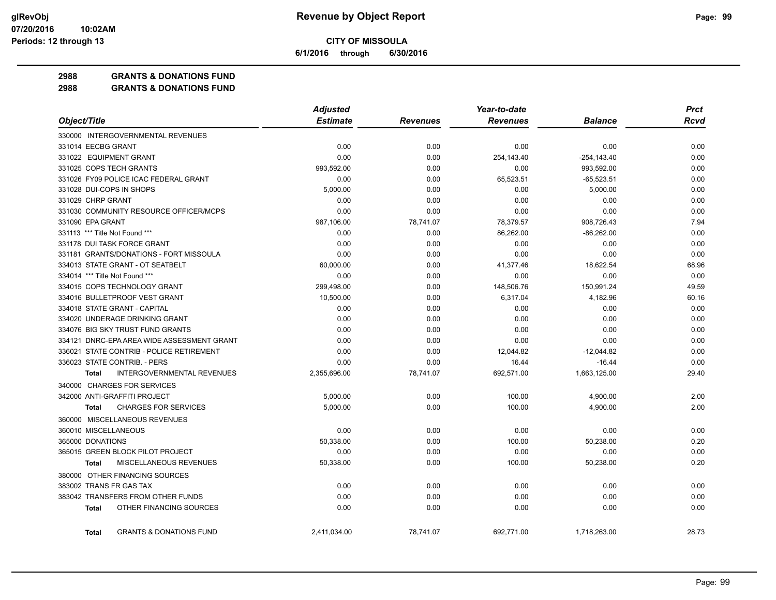**6/1/2016 through 6/30/2016**

**2988 GRANTS & DONATIONS FUND**

**2988 GRANTS & DONATIONS FUND**

|                                                    | <b>Adjusted</b><br>Year-to-date |                 |                 |                | <b>Prct</b> |  |
|----------------------------------------------------|---------------------------------|-----------------|-----------------|----------------|-------------|--|
| Object/Title                                       | <b>Estimate</b>                 | <b>Revenues</b> | <b>Revenues</b> | <b>Balance</b> | <b>Rcvd</b> |  |
| 330000 INTERGOVERNMENTAL REVENUES                  |                                 |                 |                 |                |             |  |
| 331014 EECBG GRANT                                 | 0.00                            | 0.00            | 0.00            | 0.00           | 0.00        |  |
| 331022 EQUIPMENT GRANT                             | 0.00                            | 0.00            | 254,143.40      | $-254, 143.40$ | 0.00        |  |
| 331025 COPS TECH GRANTS                            | 993,592.00                      | 0.00            | 0.00            | 993,592.00     | 0.00        |  |
| 331026 FY09 POLICE ICAC FEDERAL GRANT              | 0.00                            | 0.00            | 65,523.51       | $-65,523.51$   | 0.00        |  |
| 331028 DUI-COPS IN SHOPS                           | 5,000.00                        | 0.00            | 0.00            | 5,000.00       | 0.00        |  |
| 331029 CHRP GRANT                                  | 0.00                            | 0.00            | 0.00            | 0.00           | 0.00        |  |
| 331030 COMMUNITY RESOURCE OFFICER/MCPS             | 0.00                            | 0.00            | 0.00            | 0.00           | 0.00        |  |
| 331090 EPA GRANT                                   | 987,106.00                      | 78,741.07       | 78,379.57       | 908,726.43     | 7.94        |  |
| 331113 *** Title Not Found ***                     | 0.00                            | 0.00            | 86,262.00       | $-86,262.00$   | 0.00        |  |
| 331178 DUI TASK FORCE GRANT                        | 0.00                            | 0.00            | 0.00            | 0.00           | 0.00        |  |
| 331181 GRANTS/DONATIONS - FORT MISSOULA            | 0.00                            | 0.00            | 0.00            | 0.00           | 0.00        |  |
| 334013 STATE GRANT - OT SEATBELT                   | 60,000.00                       | 0.00            | 41,377.46       | 18,622.54      | 68.96       |  |
| 334014 *** Title Not Found ***                     | 0.00                            | 0.00            | 0.00            | 0.00           | 0.00        |  |
| 334015 COPS TECHNOLOGY GRANT                       | 299,498.00                      | 0.00            | 148,506.76      | 150,991.24     | 49.59       |  |
| 334016 BULLETPROOF VEST GRANT                      | 10,500.00                       | 0.00            | 6,317.04        | 4,182.96       | 60.16       |  |
| 334018 STATE GRANT - CAPITAL                       | 0.00                            | 0.00            | 0.00            | 0.00           | 0.00        |  |
| 334020 UNDERAGE DRINKING GRANT                     | 0.00                            | 0.00            | 0.00            | 0.00           | 0.00        |  |
| 334076 BIG SKY TRUST FUND GRANTS                   | 0.00                            | 0.00            | 0.00            | 0.00           | 0.00        |  |
| 334121 DNRC-EPA AREA WIDE ASSESSMENT GRANT         | 0.00                            | 0.00            | 0.00            | 0.00           | 0.00        |  |
| 336021 STATE CONTRIB - POLICE RETIREMENT           | 0.00                            | 0.00            | 12,044.82       | $-12,044.82$   | 0.00        |  |
| 336023 STATE CONTRIB. - PERS                       | 0.00                            | 0.00            | 16.44           | $-16.44$       | 0.00        |  |
| <b>INTERGOVERNMENTAL REVENUES</b><br>Total         | 2,355,696.00                    | 78,741.07       | 692,571.00      | 1,663,125.00   | 29.40       |  |
| 340000 CHARGES FOR SERVICES                        |                                 |                 |                 |                |             |  |
| 342000 ANTI-GRAFFITI PROJECT                       | 5,000.00                        | 0.00            | 100.00          | 4,900.00       | 2.00        |  |
| <b>CHARGES FOR SERVICES</b><br><b>Total</b>        | 5,000.00                        | 0.00            | 100.00          | 4,900.00       | 2.00        |  |
| 360000 MISCELLANEOUS REVENUES                      |                                 |                 |                 |                |             |  |
| 360010 MISCELLANEOUS                               | 0.00                            | 0.00            | 0.00            | 0.00           | 0.00        |  |
| 365000 DONATIONS                                   | 50,338.00                       | 0.00            | 100.00          | 50,238.00      | 0.20        |  |
| 365015 GREEN BLOCK PILOT PROJECT                   | 0.00                            | 0.00            | 0.00            | 0.00           | 0.00        |  |
| MISCELLANEOUS REVENUES<br><b>Total</b>             | 50,338.00                       | 0.00            | 100.00          | 50,238.00      | 0.20        |  |
| 380000 OTHER FINANCING SOURCES                     |                                 |                 |                 |                |             |  |
| 383002 TRANS FR GAS TAX                            | 0.00                            | 0.00            | 0.00            | 0.00           | 0.00        |  |
| 383042 TRANSFERS FROM OTHER FUNDS                  | 0.00                            | 0.00            | 0.00            | 0.00           | 0.00        |  |
| OTHER FINANCING SOURCES<br><b>Total</b>            | 0.00                            | 0.00            | 0.00            | 0.00           | 0.00        |  |
| <b>GRANTS &amp; DONATIONS FUND</b><br><b>Total</b> | 2,411,034.00                    | 78,741.07       | 692,771.00      | 1,718,263.00   | 28.73       |  |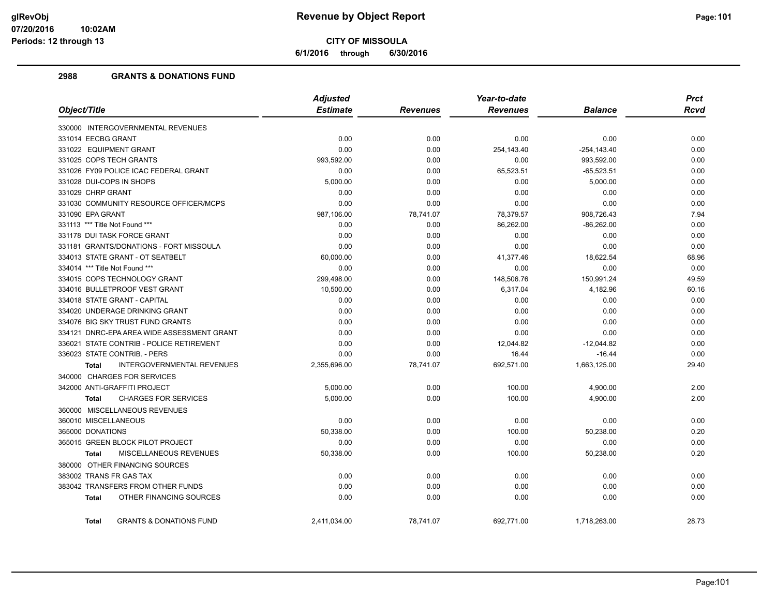**6/1/2016 through 6/30/2016**

### **2988 GRANTS & DONATIONS FUND**

|                                                   | <b>Adjusted</b> |                 | Year-to-date    | <b>Prct</b>    |             |  |
|---------------------------------------------------|-----------------|-----------------|-----------------|----------------|-------------|--|
| Object/Title                                      | <b>Estimate</b> | <b>Revenues</b> | <b>Revenues</b> | <b>Balance</b> | <b>Rcvd</b> |  |
| 330000 INTERGOVERNMENTAL REVENUES                 |                 |                 |                 |                |             |  |
| 331014 EECBG GRANT                                | 0.00            | 0.00            | 0.00            | 0.00           | 0.00        |  |
| 331022 EQUIPMENT GRANT                            | 0.00            | 0.00            | 254,143.40      | $-254, 143.40$ | 0.00        |  |
| 331025 COPS TECH GRANTS                           | 993,592.00      | 0.00            | 0.00            | 993,592.00     | 0.00        |  |
| 331026 FY09 POLICE ICAC FEDERAL GRANT             | 0.00            | 0.00            | 65,523.51       | $-65,523.51$   | 0.00        |  |
| 331028 DUI-COPS IN SHOPS                          | 5,000.00        | 0.00            | 0.00            | 5,000.00       | 0.00        |  |
| 331029 CHRP GRANT                                 | 0.00            | 0.00            | 0.00            | 0.00           | 0.00        |  |
| 331030 COMMUNITY RESOURCE OFFICER/MCPS            | 0.00            | 0.00            | 0.00            | 0.00           | 0.00        |  |
| 331090 EPA GRANT                                  | 987,106.00      | 78,741.07       | 78,379.57       | 908,726.43     | 7.94        |  |
| 331113 *** Title Not Found ***                    | 0.00            | 0.00            | 86,262.00       | $-86,262.00$   | 0.00        |  |
| 331178 DUI TASK FORCE GRANT                       | 0.00            | 0.00            | 0.00            | 0.00           | 0.00        |  |
| 331181 GRANTS/DONATIONS - FORT MISSOULA           | 0.00            | 0.00            | 0.00            | 0.00           | 0.00        |  |
| 334013 STATE GRANT - OT SEATBELT                  | 60,000.00       | 0.00            | 41,377.46       | 18,622.54      | 68.96       |  |
| 334014 *** Title Not Found ***                    | 0.00            | 0.00            | 0.00            | 0.00           | 0.00        |  |
| 334015 COPS TECHNOLOGY GRANT                      | 299,498.00      | 0.00            | 148,506.76      | 150,991.24     | 49.59       |  |
| 334016 BULLETPROOF VEST GRANT                     | 10,500.00       | 0.00            | 6,317.04        | 4,182.96       | 60.16       |  |
| 334018 STATE GRANT - CAPITAL                      | 0.00            | 0.00            | 0.00            | 0.00           | 0.00        |  |
| 334020 UNDERAGE DRINKING GRANT                    | 0.00            | 0.00            | 0.00            | 0.00           | 0.00        |  |
| 334076 BIG SKY TRUST FUND GRANTS                  | 0.00            | 0.00            | 0.00            | 0.00           | 0.00        |  |
| 334121 DNRC-EPA AREA WIDE ASSESSMENT GRANT        | 0.00            | 0.00            | 0.00            | 0.00           | 0.00        |  |
| 336021 STATE CONTRIB - POLICE RETIREMENT          | 0.00            | 0.00            | 12,044.82       | $-12,044.82$   | 0.00        |  |
| 336023 STATE CONTRIB. - PERS                      | 0.00            | 0.00            | 16.44           | $-16.44$       | 0.00        |  |
| <b>INTERGOVERNMENTAL REVENUES</b><br><b>Total</b> | 2,355,696.00    | 78,741.07       | 692,571.00      | 1,663,125.00   | 29.40       |  |
| 340000 CHARGES FOR SERVICES                       |                 |                 |                 |                |             |  |
| 342000 ANTI-GRAFFITI PROJECT                      | 5,000.00        | 0.00            | 100.00          | 4,900.00       | 2.00        |  |
| <b>CHARGES FOR SERVICES</b><br>Total              | 5,000.00        | 0.00            | 100.00          | 4,900.00       | 2.00        |  |
| 360000 MISCELLANEOUS REVENUES                     |                 |                 |                 |                |             |  |
| 360010 MISCELLANEOUS                              | 0.00            | 0.00            | 0.00            | 0.00           | 0.00        |  |
| 365000 DONATIONS                                  | 50,338.00       | 0.00            | 100.00          | 50,238.00      | 0.20        |  |
| 365015 GREEN BLOCK PILOT PROJECT                  | 0.00            | 0.00            | 0.00            | 0.00           | 0.00        |  |
| <b>MISCELLANEOUS REVENUES</b><br><b>Total</b>     | 50,338.00       | 0.00            | 100.00          | 50,238.00      | 0.20        |  |
| 380000 OTHER FINANCING SOURCES                    |                 |                 |                 |                |             |  |
| 383002 TRANS FR GAS TAX                           | 0.00            | 0.00            | 0.00            | 0.00           | 0.00        |  |
| 383042 TRANSFERS FROM OTHER FUNDS                 | 0.00            | 0.00            | 0.00            | 0.00           | 0.00        |  |
| OTHER FINANCING SOURCES<br>Total                  | 0.00            | 0.00            | 0.00            | 0.00           | 0.00        |  |
| <b>GRANTS &amp; DONATIONS FUND</b><br>Total       | 2,411,034.00    | 78,741.07       | 692,771.00      | 1,718,263.00   | 28.73       |  |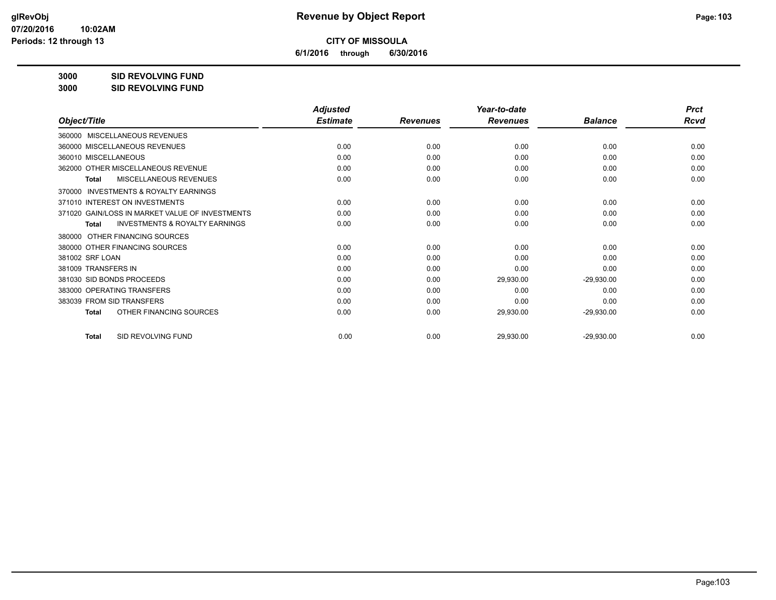**6/1/2016 through 6/30/2016**

**3000 SID REVOLVING FUND**

**3000 SID REVOLVING FUND**

|                                                           | <b>Adjusted</b> |                 | Year-to-date    |                |             |  |
|-----------------------------------------------------------|-----------------|-----------------|-----------------|----------------|-------------|--|
| Object/Title                                              | <b>Estimate</b> | <b>Revenues</b> | <b>Revenues</b> | <b>Balance</b> | <b>Rcvd</b> |  |
| 360000 MISCELLANEOUS REVENUES                             |                 |                 |                 |                |             |  |
| 360000 MISCELLANEOUS REVENUES                             | 0.00            | 0.00            | 0.00            | 0.00           | 0.00        |  |
| 360010 MISCELLANEOUS                                      | 0.00            | 0.00            | 0.00            | 0.00           | 0.00        |  |
| 362000 OTHER MISCELLANEOUS REVENUE                        | 0.00            | 0.00            | 0.00            | 0.00           | 0.00        |  |
| MISCELLANEOUS REVENUES<br><b>Total</b>                    | 0.00            | 0.00            | 0.00            | 0.00           | 0.00        |  |
| INVESTMENTS & ROYALTY EARNINGS<br>370000                  |                 |                 |                 |                |             |  |
| 371010 INTEREST ON INVESTMENTS                            | 0.00            | 0.00            | 0.00            | 0.00           | 0.00        |  |
| 371020 GAIN/LOSS IN MARKET VALUE OF INVESTMENTS           | 0.00            | 0.00            | 0.00            | 0.00           | 0.00        |  |
| <b>INVESTMENTS &amp; ROYALTY EARNINGS</b><br><b>Total</b> | 0.00            | 0.00            | 0.00            | 0.00           | 0.00        |  |
| OTHER FINANCING SOURCES<br>380000                         |                 |                 |                 |                |             |  |
| 380000 OTHER FINANCING SOURCES                            | 0.00            | 0.00            | 0.00            | 0.00           | 0.00        |  |
| 381002 SRF LOAN                                           | 0.00            | 0.00            | 0.00            | 0.00           | 0.00        |  |
| 381009 TRANSFERS IN                                       | 0.00            | 0.00            | 0.00            | 0.00           | 0.00        |  |
| 381030 SID BONDS PROCEEDS                                 | 0.00            | 0.00            | 29,930.00       | $-29,930.00$   | 0.00        |  |
| 383000 OPERATING TRANSFERS                                | 0.00            | 0.00            | 0.00            | 0.00           | 0.00        |  |
| 383039 FROM SID TRANSFERS                                 | 0.00            | 0.00            | 0.00            | 0.00           | 0.00        |  |
| OTHER FINANCING SOURCES<br>Total                          | 0.00            | 0.00            | 29,930.00       | $-29,930.00$   | 0.00        |  |
| SID REVOLVING FUND<br><b>Total</b>                        | 0.00            | 0.00            | 29,930.00       | $-29,930.00$   | 0.00        |  |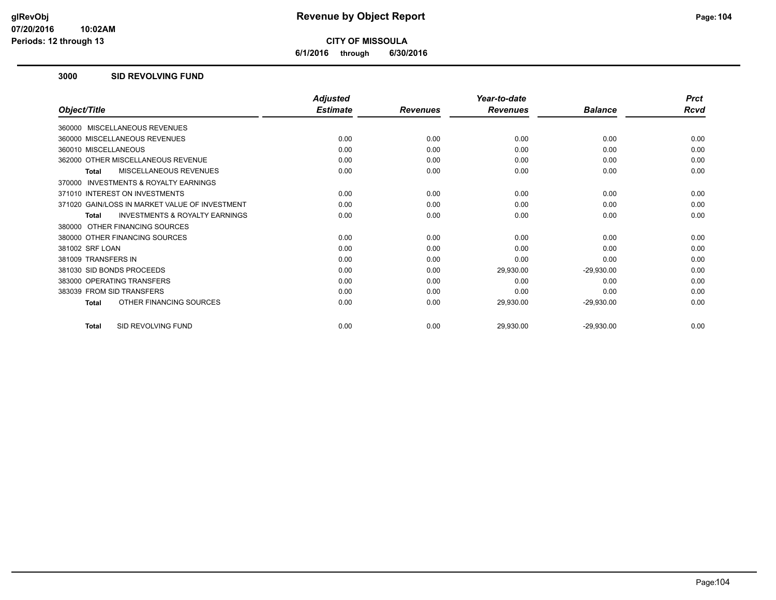**6/1/2016 through 6/30/2016**

### **3000 SID REVOLVING FUND**

|                                                           | <b>Adjusted</b> |                 | Year-to-date    |                | <b>Prct</b> |
|-----------------------------------------------------------|-----------------|-----------------|-----------------|----------------|-------------|
| Object/Title                                              | <b>Estimate</b> | <b>Revenues</b> | <b>Revenues</b> | <b>Balance</b> | <b>Rcvd</b> |
| 360000 MISCELLANEOUS REVENUES                             |                 |                 |                 |                |             |
| 360000 MISCELLANEOUS REVENUES                             | 0.00            | 0.00            | 0.00            | 0.00           | 0.00        |
| 360010 MISCELLANEOUS                                      | 0.00            | 0.00            | 0.00            | 0.00           | 0.00        |
| 362000 OTHER MISCELLANEOUS REVENUE                        | 0.00            | 0.00            | 0.00            | 0.00           | 0.00        |
| MISCELLANEOUS REVENUES<br><b>Total</b>                    | 0.00            | 0.00            | 0.00            | 0.00           | 0.00        |
| <b>INVESTMENTS &amp; ROYALTY EARNINGS</b><br>370000       |                 |                 |                 |                |             |
| 371010 INTEREST ON INVESTMENTS                            | 0.00            | 0.00            | 0.00            | 0.00           | 0.00        |
| 371020 GAIN/LOSS IN MARKET VALUE OF INVESTMENT            | 0.00            | 0.00            | 0.00            | 0.00           | 0.00        |
| <b>INVESTMENTS &amp; ROYALTY EARNINGS</b><br><b>Total</b> | 0.00            | 0.00            | 0.00            | 0.00           | 0.00        |
| OTHER FINANCING SOURCES<br>380000                         |                 |                 |                 |                |             |
| 380000 OTHER FINANCING SOURCES                            | 0.00            | 0.00            | 0.00            | 0.00           | 0.00        |
| 381002 SRF LOAN                                           | 0.00            | 0.00            | 0.00            | 0.00           | 0.00        |
| 381009 TRANSFERS IN                                       | 0.00            | 0.00            | 0.00            | 0.00           | 0.00        |
| 381030 SID BONDS PROCEEDS                                 | 0.00            | 0.00            | 29,930.00       | $-29,930.00$   | 0.00        |
| 383000 OPERATING TRANSFERS                                | 0.00            | 0.00            | 0.00            | 0.00           | 0.00        |
| 383039 FROM SID TRANSFERS                                 | 0.00            | 0.00            | 0.00            | 0.00           | 0.00        |
| OTHER FINANCING SOURCES<br><b>Total</b>                   | 0.00            | 0.00            | 29,930.00       | $-29,930.00$   | 0.00        |
| SID REVOLVING FUND<br><b>Total</b>                        | 0.00            | 0.00            | 29,930.00       | $-29,930.00$   | 0.00        |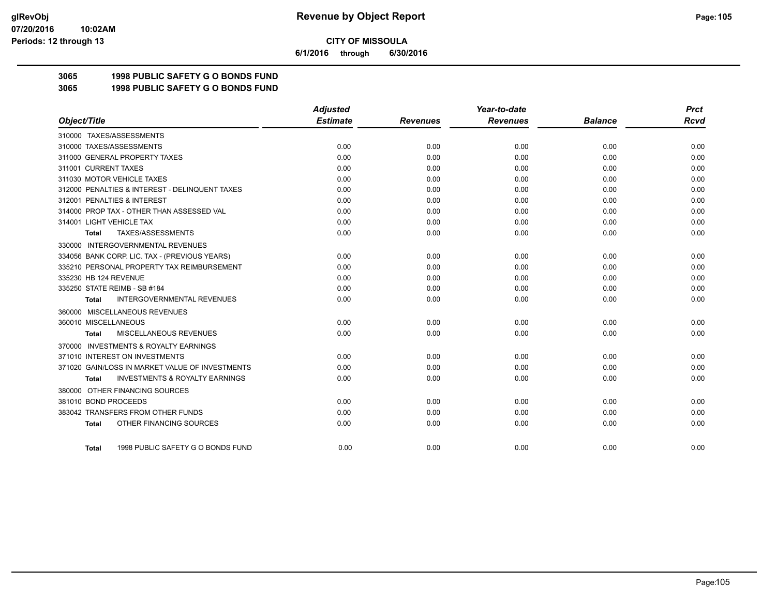**6/1/2016 through 6/30/2016**

# **3065 1998 PUBLIC SAFETY G O BONDS FUND**

**3065 1998 PUBLIC SAFETY G O BONDS FUND**

|                                                     | <b>Adjusted</b> |                 | Year-to-date    |                | <b>Prct</b> |
|-----------------------------------------------------|-----------------|-----------------|-----------------|----------------|-------------|
| Object/Title                                        | <b>Estimate</b> | <b>Revenues</b> | <b>Revenues</b> | <b>Balance</b> | <b>Rcvd</b> |
| 310000 TAXES/ASSESSMENTS                            |                 |                 |                 |                |             |
| 310000 TAXES/ASSESSMENTS                            | 0.00            | 0.00            | 0.00            | 0.00           | 0.00        |
| 311000 GENERAL PROPERTY TAXES                       | 0.00            | 0.00            | 0.00            | 0.00           | 0.00        |
| 311001 CURRENT TAXES                                | 0.00            | 0.00            | 0.00            | 0.00           | 0.00        |
| 311030 MOTOR VEHICLE TAXES                          | 0.00            | 0.00            | 0.00            | 0.00           | 0.00        |
| 312000 PENALTIES & INTEREST - DELINQUENT TAXES      | 0.00            | 0.00            | 0.00            | 0.00           | 0.00        |
| 312001 PENALTIES & INTEREST                         | 0.00            | 0.00            | 0.00            | 0.00           | 0.00        |
| 314000 PROP TAX - OTHER THAN ASSESSED VAL           | 0.00            | 0.00            | 0.00            | 0.00           | 0.00        |
| 314001 LIGHT VEHICLE TAX                            | 0.00            | 0.00            | 0.00            | 0.00           | 0.00        |
| TAXES/ASSESSMENTS<br>Total                          | 0.00            | 0.00            | 0.00            | 0.00           | 0.00        |
| 330000 INTERGOVERNMENTAL REVENUES                   |                 |                 |                 |                |             |
| 334056 BANK CORP. LIC. TAX - (PREVIOUS YEARS)       | 0.00            | 0.00            | 0.00            | 0.00           | 0.00        |
| 335210 PERSONAL PROPERTY TAX REIMBURSEMENT          | 0.00            | 0.00            | 0.00            | 0.00           | 0.00        |
| 335230 HB 124 REVENUE                               | 0.00            | 0.00            | 0.00            | 0.00           | 0.00        |
| 335250 STATE REIMB - SB #184                        | 0.00            | 0.00            | 0.00            | 0.00           | 0.00        |
| <b>INTERGOVERNMENTAL REVENUES</b><br><b>Total</b>   | 0.00            | 0.00            | 0.00            | 0.00           | 0.00        |
| 360000 MISCELLANEOUS REVENUES                       |                 |                 |                 |                |             |
| 360010 MISCELLANEOUS                                | 0.00            | 0.00            | 0.00            | 0.00           | 0.00        |
| <b>MISCELLANEOUS REVENUES</b><br>Total              | 0.00            | 0.00            | 0.00            | 0.00           | 0.00        |
| <b>INVESTMENTS &amp; ROYALTY EARNINGS</b><br>370000 |                 |                 |                 |                |             |
| 371010 INTEREST ON INVESTMENTS                      | 0.00            | 0.00            | 0.00            | 0.00           | 0.00        |
| 371020 GAIN/LOSS IN MARKET VALUE OF INVESTMENTS     | 0.00            | 0.00            | 0.00            | 0.00           | 0.00        |
| <b>INVESTMENTS &amp; ROYALTY EARNINGS</b><br>Total  | 0.00            | 0.00            | 0.00            | 0.00           | 0.00        |
| 380000 OTHER FINANCING SOURCES                      |                 |                 |                 |                |             |
| 381010 BOND PROCEEDS                                | 0.00            | 0.00            | 0.00            | 0.00           | 0.00        |
| 383042 TRANSFERS FROM OTHER FUNDS                   | 0.00            | 0.00            | 0.00            | 0.00           | 0.00        |
| OTHER FINANCING SOURCES<br><b>Total</b>             | 0.00            | 0.00            | 0.00            | 0.00           | 0.00        |
|                                                     |                 |                 |                 |                |             |
| 1998 PUBLIC SAFETY G O BONDS FUND<br>Total          | 0.00            | 0.00            | 0.00            | 0.00           | 0.00        |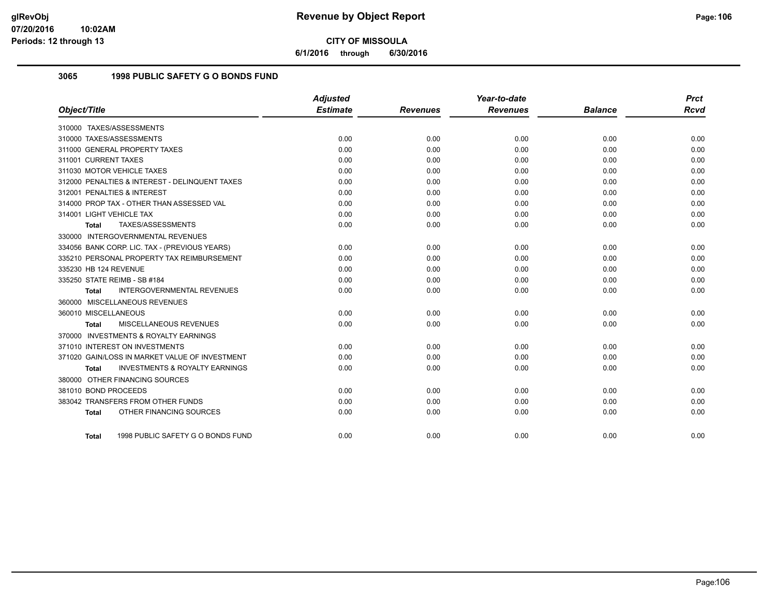**6/1/2016 through 6/30/2016**

### **3065 1998 PUBLIC SAFETY G O BONDS FUND**

|                                                    | <b>Adjusted</b> |                 | Year-to-date    |                | <b>Prct</b> |
|----------------------------------------------------|-----------------|-----------------|-----------------|----------------|-------------|
| Object/Title                                       | <b>Estimate</b> | <b>Revenues</b> | <b>Revenues</b> | <b>Balance</b> | Rcvd        |
| 310000 TAXES/ASSESSMENTS                           |                 |                 |                 |                |             |
| 310000 TAXES/ASSESSMENTS                           | 0.00            | 0.00            | 0.00            | 0.00           | 0.00        |
| 311000 GENERAL PROPERTY TAXES                      | 0.00            | 0.00            | 0.00            | 0.00           | 0.00        |
| 311001 CURRENT TAXES                               | 0.00            | 0.00            | 0.00            | 0.00           | 0.00        |
| 311030 MOTOR VEHICLE TAXES                         | 0.00            | 0.00            | 0.00            | 0.00           | 0.00        |
| 312000 PENALTIES & INTEREST - DELINQUENT TAXES     | 0.00            | 0.00            | 0.00            | 0.00           | 0.00        |
| 312001 PENALTIES & INTEREST                        | 0.00            | 0.00            | 0.00            | 0.00           | 0.00        |
| 314000 PROP TAX - OTHER THAN ASSESSED VAL          | 0.00            | 0.00            | 0.00            | 0.00           | 0.00        |
| 314001 LIGHT VEHICLE TAX                           | 0.00            | 0.00            | 0.00            | 0.00           | 0.00        |
| TAXES/ASSESSMENTS<br><b>Total</b>                  | 0.00            | 0.00            | 0.00            | 0.00           | 0.00        |
| 330000 INTERGOVERNMENTAL REVENUES                  |                 |                 |                 |                |             |
| 334056 BANK CORP. LIC. TAX - (PREVIOUS YEARS)      | 0.00            | 0.00            | 0.00            | 0.00           | 0.00        |
| 335210 PERSONAL PROPERTY TAX REIMBURSEMENT         | 0.00            | 0.00            | 0.00            | 0.00           | 0.00        |
| 335230 HB 124 REVENUE                              | 0.00            | 0.00            | 0.00            | 0.00           | 0.00        |
| 335250 STATE REIMB - SB #184                       | 0.00            | 0.00            | 0.00            | 0.00           | 0.00        |
| <b>INTERGOVERNMENTAL REVENUES</b><br><b>Total</b>  | 0.00            | 0.00            | 0.00            | 0.00           | 0.00        |
| 360000 MISCELLANEOUS REVENUES                      |                 |                 |                 |                |             |
| 360010 MISCELLANEOUS                               | 0.00            | 0.00            | 0.00            | 0.00           | 0.00        |
| MISCELLANEOUS REVENUES<br>Total                    | 0.00            | 0.00            | 0.00            | 0.00           | 0.00        |
| 370000 INVESTMENTS & ROYALTY EARNINGS              |                 |                 |                 |                |             |
| 371010 INTEREST ON INVESTMENTS                     | 0.00            | 0.00            | 0.00            | 0.00           | 0.00        |
| 371020 GAIN/LOSS IN MARKET VALUE OF INVESTMENT     | 0.00            | 0.00            | 0.00            | 0.00           | 0.00        |
| <b>INVESTMENTS &amp; ROYALTY EARNINGS</b><br>Total | 0.00            | 0.00            | 0.00            | 0.00           | 0.00        |
| 380000 OTHER FINANCING SOURCES                     |                 |                 |                 |                |             |
| 381010 BOND PROCEEDS                               | 0.00            | 0.00            | 0.00            | 0.00           | 0.00        |
| 383042 TRANSFERS FROM OTHER FUNDS                  | 0.00            | 0.00            | 0.00            | 0.00           | 0.00        |
| OTHER FINANCING SOURCES<br><b>Total</b>            | 0.00            | 0.00            | 0.00            | 0.00           | 0.00        |
|                                                    |                 |                 |                 |                |             |
| 1998 PUBLIC SAFETY G O BONDS FUND<br><b>Total</b>  | 0.00            | 0.00            | 0.00            | 0.00           | 0.00        |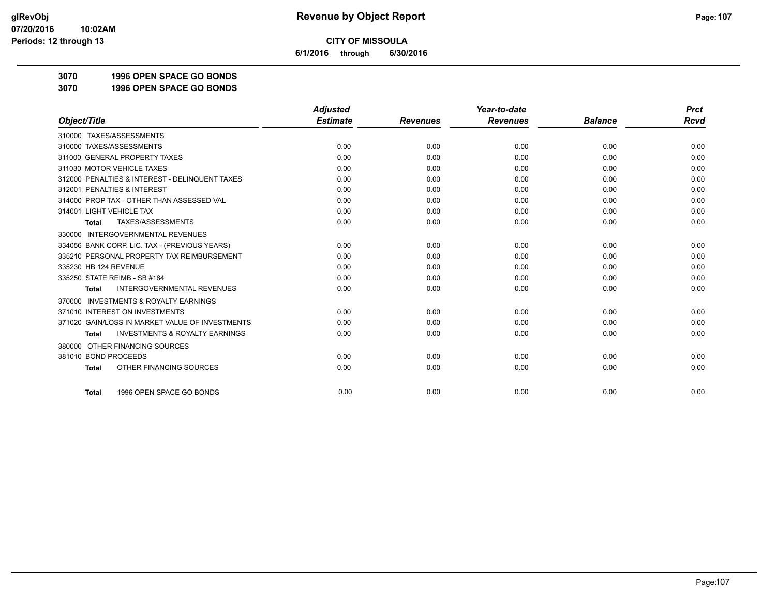**6/1/2016 through 6/30/2016**

**3070 1996 OPEN SPACE GO BONDS**

**3070 1996 OPEN SPACE GO BONDS**

|                                                           | <b>Adjusted</b> |                 | Year-to-date    |                | <b>Prct</b> |
|-----------------------------------------------------------|-----------------|-----------------|-----------------|----------------|-------------|
| Object/Title                                              | <b>Estimate</b> | <b>Revenues</b> | <b>Revenues</b> | <b>Balance</b> | <b>Rcvd</b> |
| 310000 TAXES/ASSESSMENTS                                  |                 |                 |                 |                |             |
| 310000 TAXES/ASSESSMENTS                                  | 0.00            | 0.00            | 0.00            | 0.00           | 0.00        |
| 311000 GENERAL PROPERTY TAXES                             | 0.00            | 0.00            | 0.00            | 0.00           | 0.00        |
| 311030 MOTOR VEHICLE TAXES                                | 0.00            | 0.00            | 0.00            | 0.00           | 0.00        |
| 312000 PENALTIES & INTEREST - DELINQUENT TAXES            | 0.00            | 0.00            | 0.00            | 0.00           | 0.00        |
| 312001 PENALTIES & INTEREST                               | 0.00            | 0.00            | 0.00            | 0.00           | 0.00        |
| 314000 PROP TAX - OTHER THAN ASSESSED VAL                 | 0.00            | 0.00            | 0.00            | 0.00           | 0.00        |
| 314001 LIGHT VEHICLE TAX                                  | 0.00            | 0.00            | 0.00            | 0.00           | 0.00        |
| TAXES/ASSESSMENTS<br><b>Total</b>                         | 0.00            | 0.00            | 0.00            | 0.00           | 0.00        |
| 330000 INTERGOVERNMENTAL REVENUES                         |                 |                 |                 |                |             |
| 334056 BANK CORP. LIC. TAX - (PREVIOUS YEARS)             | 0.00            | 0.00            | 0.00            | 0.00           | 0.00        |
| 335210 PERSONAL PROPERTY TAX REIMBURSEMENT                | 0.00            | 0.00            | 0.00            | 0.00           | 0.00        |
| 335230 HB 124 REVENUE                                     | 0.00            | 0.00            | 0.00            | 0.00           | 0.00        |
| 335250 STATE REIMB - SB #184                              | 0.00            | 0.00            | 0.00            | 0.00           | 0.00        |
| <b>INTERGOVERNMENTAL REVENUES</b><br><b>Total</b>         | 0.00            | 0.00            | 0.00            | 0.00           | 0.00        |
| <b>INVESTMENTS &amp; ROYALTY EARNINGS</b><br>370000       |                 |                 |                 |                |             |
| 371010 INTEREST ON INVESTMENTS                            | 0.00            | 0.00            | 0.00            | 0.00           | 0.00        |
| 371020 GAIN/LOSS IN MARKET VALUE OF INVESTMENTS           | 0.00            | 0.00            | 0.00            | 0.00           | 0.00        |
| <b>INVESTMENTS &amp; ROYALTY EARNINGS</b><br><b>Total</b> | 0.00            | 0.00            | 0.00            | 0.00           | 0.00        |
| OTHER FINANCING SOURCES<br>380000                         |                 |                 |                 |                |             |
| 381010 BOND PROCEEDS                                      | 0.00            | 0.00            | 0.00            | 0.00           | 0.00        |
| OTHER FINANCING SOURCES<br><b>Total</b>                   | 0.00            | 0.00            | 0.00            | 0.00           | 0.00        |
| 1996 OPEN SPACE GO BONDS<br><b>Total</b>                  | 0.00            | 0.00            | 0.00            | 0.00           | 0.00        |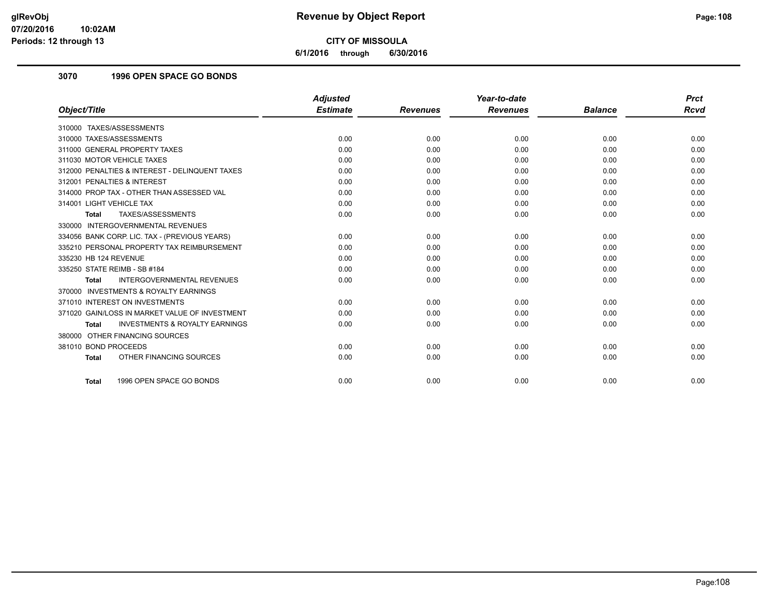**6/1/2016 through 6/30/2016**

### **3070 1996 OPEN SPACE GO BONDS**

|                                                    | <b>Adjusted</b> |                 | Year-to-date    |                | <b>Prct</b> |
|----------------------------------------------------|-----------------|-----------------|-----------------|----------------|-------------|
| Object/Title                                       | <b>Estimate</b> | <b>Revenues</b> | <b>Revenues</b> | <b>Balance</b> | Rcvd        |
| 310000 TAXES/ASSESSMENTS                           |                 |                 |                 |                |             |
| 310000 TAXES/ASSESSMENTS                           | 0.00            | 0.00            | 0.00            | 0.00           | 0.00        |
| 311000 GENERAL PROPERTY TAXES                      | 0.00            | 0.00            | 0.00            | 0.00           | 0.00        |
| 311030 MOTOR VEHICLE TAXES                         | 0.00            | 0.00            | 0.00            | 0.00           | 0.00        |
| 312000 PENALTIES & INTEREST - DELINQUENT TAXES     | 0.00            | 0.00            | 0.00            | 0.00           | 0.00        |
| 312001 PENALTIES & INTEREST                        | 0.00            | 0.00            | 0.00            | 0.00           | 0.00        |
| 314000 PROP TAX - OTHER THAN ASSESSED VAL          | 0.00            | 0.00            | 0.00            | 0.00           | 0.00        |
| 314001 LIGHT VEHICLE TAX                           | 0.00            | 0.00            | 0.00            | 0.00           | 0.00        |
| TAXES/ASSESSMENTS<br><b>Total</b>                  | 0.00            | 0.00            | 0.00            | 0.00           | 0.00        |
| 330000 INTERGOVERNMENTAL REVENUES                  |                 |                 |                 |                |             |
| 334056 BANK CORP. LIC. TAX - (PREVIOUS YEARS)      | 0.00            | 0.00            | 0.00            | 0.00           | 0.00        |
| 335210 PERSONAL PROPERTY TAX REIMBURSEMENT         | 0.00            | 0.00            | 0.00            | 0.00           | 0.00        |
| 335230 HB 124 REVENUE                              | 0.00            | 0.00            | 0.00            | 0.00           | 0.00        |
| 335250 STATE REIMB - SB #184                       | 0.00            | 0.00            | 0.00            | 0.00           | 0.00        |
| <b>INTERGOVERNMENTAL REVENUES</b><br><b>Total</b>  | 0.00            | 0.00            | 0.00            | 0.00           | 0.00        |
| 370000 INVESTMENTS & ROYALTY EARNINGS              |                 |                 |                 |                |             |
| 371010 INTEREST ON INVESTMENTS                     | 0.00            | 0.00            | 0.00            | 0.00           | 0.00        |
| 371020 GAIN/LOSS IN MARKET VALUE OF INVESTMENT     | 0.00            | 0.00            | 0.00            | 0.00           | 0.00        |
| <b>INVESTMENTS &amp; ROYALTY EARNINGS</b><br>Total | 0.00            | 0.00            | 0.00            | 0.00           | 0.00        |
| 380000 OTHER FINANCING SOURCES                     |                 |                 |                 |                |             |
| 381010 BOND PROCEEDS                               | 0.00            | 0.00            | 0.00            | 0.00           | 0.00        |
| OTHER FINANCING SOURCES<br><b>Total</b>            | 0.00            | 0.00            | 0.00            | 0.00           | 0.00        |
|                                                    |                 |                 |                 |                |             |
| 1996 OPEN SPACE GO BONDS<br><b>Total</b>           | 0.00            | 0.00            | 0.00            | 0.00           | 0.00        |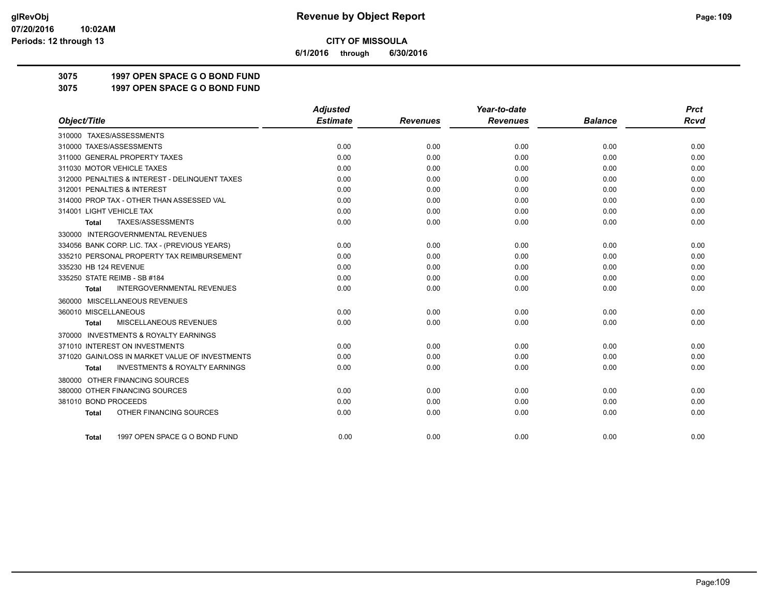**6/1/2016 through 6/30/2016**

**3075 1997 OPEN SPACE G O BOND FUND**

**3075 1997 OPEN SPACE G O BOND FUND**

|                                                           | <b>Adjusted</b> |                 | Year-to-date    |                | <b>Prct</b> |
|-----------------------------------------------------------|-----------------|-----------------|-----------------|----------------|-------------|
| Object/Title                                              | <b>Estimate</b> | <b>Revenues</b> | <b>Revenues</b> | <b>Balance</b> | <b>Rcvd</b> |
| 310000 TAXES/ASSESSMENTS                                  |                 |                 |                 |                |             |
| 310000 TAXES/ASSESSMENTS                                  | 0.00            | 0.00            | 0.00            | 0.00           | 0.00        |
| 311000 GENERAL PROPERTY TAXES                             | 0.00            | 0.00            | 0.00            | 0.00           | 0.00        |
| 311030 MOTOR VEHICLE TAXES                                | 0.00            | 0.00            | 0.00            | 0.00           | 0.00        |
| 312000 PENALTIES & INTEREST - DELINQUENT TAXES            | 0.00            | 0.00            | 0.00            | 0.00           | 0.00        |
| 312001 PENALTIES & INTEREST                               | 0.00            | 0.00            | 0.00            | 0.00           | 0.00        |
| 314000 PROP TAX - OTHER THAN ASSESSED VAL                 | 0.00            | 0.00            | 0.00            | 0.00           | 0.00        |
| 314001 LIGHT VEHICLE TAX                                  | 0.00            | 0.00            | 0.00            | 0.00           | 0.00        |
| TAXES/ASSESSMENTS<br>Total                                | 0.00            | 0.00            | 0.00            | 0.00           | 0.00        |
| 330000 INTERGOVERNMENTAL REVENUES                         |                 |                 |                 |                |             |
| 334056 BANK CORP. LIC. TAX - (PREVIOUS YEARS)             | 0.00            | 0.00            | 0.00            | 0.00           | 0.00        |
| 335210 PERSONAL PROPERTY TAX REIMBURSEMENT                | 0.00            | 0.00            | 0.00            | 0.00           | 0.00        |
| 335230 HB 124 REVENUE                                     | 0.00            | 0.00            | 0.00            | 0.00           | 0.00        |
| 335250 STATE REIMB - SB #184                              | 0.00            | 0.00            | 0.00            | 0.00           | 0.00        |
| <b>INTERGOVERNMENTAL REVENUES</b><br><b>Total</b>         | 0.00            | 0.00            | 0.00            | 0.00           | 0.00        |
| 360000 MISCELLANEOUS REVENUES                             |                 |                 |                 |                |             |
| 360010 MISCELLANEOUS                                      | 0.00            | 0.00            | 0.00            | 0.00           | 0.00        |
| MISCELLANEOUS REVENUES<br><b>Total</b>                    | 0.00            | 0.00            | 0.00            | 0.00           | 0.00        |
| 370000 INVESTMENTS & ROYALTY EARNINGS                     |                 |                 |                 |                |             |
| 371010 INTEREST ON INVESTMENTS                            | 0.00            | 0.00            | 0.00            | 0.00           | 0.00        |
| 371020 GAIN/LOSS IN MARKET VALUE OF INVESTMENTS           | 0.00            | 0.00            | 0.00            | 0.00           | 0.00        |
| <b>INVESTMENTS &amp; ROYALTY EARNINGS</b><br><b>Total</b> | 0.00            | 0.00            | 0.00            | 0.00           | 0.00        |
| 380000 OTHER FINANCING SOURCES                            |                 |                 |                 |                |             |
| 380000 OTHER FINANCING SOURCES                            | 0.00            | 0.00            | 0.00            | 0.00           | 0.00        |
| 381010 BOND PROCEEDS                                      | 0.00            | 0.00            | 0.00            | 0.00           | 0.00        |
| OTHER FINANCING SOURCES<br>Total                          | 0.00            | 0.00            | 0.00            | 0.00           | 0.00        |
|                                                           |                 |                 |                 |                |             |
| 1997 OPEN SPACE G O BOND FUND<br>Total                    | 0.00            | 0.00            | 0.00            | 0.00           | 0.00        |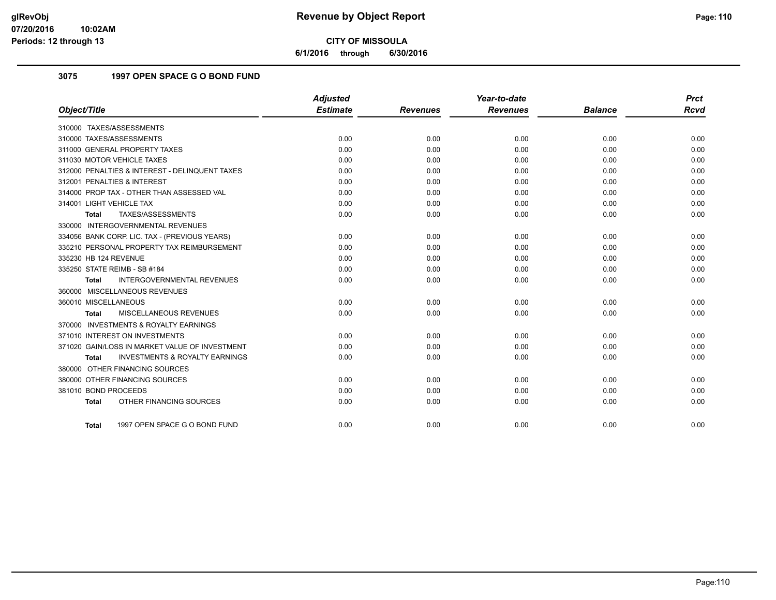**6/1/2016 through 6/30/2016**

## **3075 1997 OPEN SPACE G O BOND FUND**

|                                                           | <b>Adjusted</b> |                 | Year-to-date    |                | <b>Prct</b> |
|-----------------------------------------------------------|-----------------|-----------------|-----------------|----------------|-------------|
| Object/Title                                              | <b>Estimate</b> | <b>Revenues</b> | <b>Revenues</b> | <b>Balance</b> | <b>Rcvd</b> |
| 310000 TAXES/ASSESSMENTS                                  |                 |                 |                 |                |             |
| 310000 TAXES/ASSESSMENTS                                  | 0.00            | 0.00            | 0.00            | 0.00           | 0.00        |
| 311000 GENERAL PROPERTY TAXES                             | 0.00            | 0.00            | 0.00            | 0.00           | 0.00        |
| 311030 MOTOR VEHICLE TAXES                                | 0.00            | 0.00            | 0.00            | 0.00           | 0.00        |
| 312000 PENALTIES & INTEREST - DELINQUENT TAXES            | 0.00            | 0.00            | 0.00            | 0.00           | 0.00        |
| 312001 PENALTIES & INTEREST                               | 0.00            | 0.00            | 0.00            | 0.00           | 0.00        |
| 314000 PROP TAX - OTHER THAN ASSESSED VAL                 | 0.00            | 0.00            | 0.00            | 0.00           | 0.00        |
| 314001 LIGHT VEHICLE TAX                                  | 0.00            | 0.00            | 0.00            | 0.00           | 0.00        |
| TAXES/ASSESSMENTS<br><b>Total</b>                         | 0.00            | 0.00            | 0.00            | 0.00           | 0.00        |
| 330000 INTERGOVERNMENTAL REVENUES                         |                 |                 |                 |                |             |
| 334056 BANK CORP. LIC. TAX - (PREVIOUS YEARS)             | 0.00            | 0.00            | 0.00            | 0.00           | 0.00        |
| 335210 PERSONAL PROPERTY TAX REIMBURSEMENT                | 0.00            | 0.00            | 0.00            | 0.00           | 0.00        |
| 335230 HB 124 REVENUE                                     | 0.00            | 0.00            | 0.00            | 0.00           | 0.00        |
| 335250 STATE REIMB - SB #184                              | 0.00            | 0.00            | 0.00            | 0.00           | 0.00        |
| INTERGOVERNMENTAL REVENUES<br><b>Total</b>                | 0.00            | 0.00            | 0.00            | 0.00           | 0.00        |
| 360000 MISCELLANEOUS REVENUES                             |                 |                 |                 |                |             |
| 360010 MISCELLANEOUS                                      | 0.00            | 0.00            | 0.00            | 0.00           | 0.00        |
| MISCELLANEOUS REVENUES<br>Total                           | 0.00            | 0.00            | 0.00            | 0.00           | 0.00        |
| 370000 INVESTMENTS & ROYALTY EARNINGS                     |                 |                 |                 |                |             |
| 371010 INTEREST ON INVESTMENTS                            | 0.00            | 0.00            | 0.00            | 0.00           | 0.00        |
| 371020 GAIN/LOSS IN MARKET VALUE OF INVESTMENT            | 0.00            | 0.00            | 0.00            | 0.00           | 0.00        |
| <b>INVESTMENTS &amp; ROYALTY EARNINGS</b><br><b>Total</b> | 0.00            | 0.00            | 0.00            | 0.00           | 0.00        |
| 380000 OTHER FINANCING SOURCES                            |                 |                 |                 |                |             |
| 380000 OTHER FINANCING SOURCES                            | 0.00            | 0.00            | 0.00            | 0.00           | 0.00        |
| 381010 BOND PROCEEDS                                      | 0.00            | 0.00            | 0.00            | 0.00           | 0.00        |
| OTHER FINANCING SOURCES<br><b>Total</b>                   | 0.00            | 0.00            | 0.00            | 0.00           | 0.00        |
| 1997 OPEN SPACE G O BOND FUND<br>Total                    | 0.00            | 0.00            | 0.00            | 0.00           | 0.00        |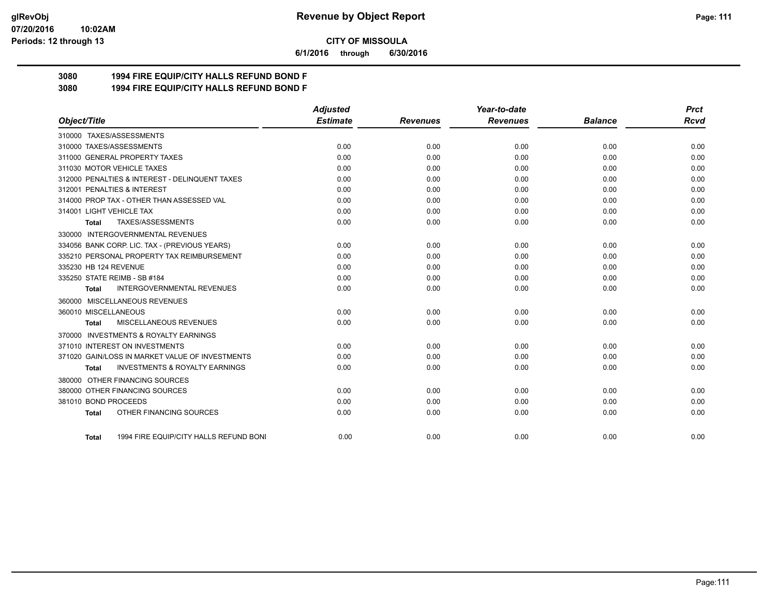#### **07/20/2016 10:02AM Periods: 12 through 13**

**CITY OF MISSOULA**

**6/1/2016 through 6/30/2016**

## **3080 1994 FIRE EQUIP/CITY HALLS REFUND BOND F**

**3080 1994 FIRE EQUIP/CITY HALLS REFUND BOND F**

|                                                           | <b>Adjusted</b> |                 | Year-to-date    |                | <b>Prct</b> |
|-----------------------------------------------------------|-----------------|-----------------|-----------------|----------------|-------------|
| Object/Title                                              | <b>Estimate</b> | <b>Revenues</b> | <b>Revenues</b> | <b>Balance</b> | <b>Rcvd</b> |
| 310000 TAXES/ASSESSMENTS                                  |                 |                 |                 |                |             |
| 310000 TAXES/ASSESSMENTS                                  | 0.00            | 0.00            | 0.00            | 0.00           | 0.00        |
| 311000 GENERAL PROPERTY TAXES                             | 0.00            | 0.00            | 0.00            | 0.00           | 0.00        |
| 311030 MOTOR VEHICLE TAXES                                | 0.00            | 0.00            | 0.00            | 0.00           | 0.00        |
| 312000 PENALTIES & INTEREST - DELINQUENT TAXES            | 0.00            | 0.00            | 0.00            | 0.00           | 0.00        |
| 312001 PENALTIES & INTEREST                               | 0.00            | 0.00            | 0.00            | 0.00           | 0.00        |
| 314000 PROP TAX - OTHER THAN ASSESSED VAL                 | 0.00            | 0.00            | 0.00            | 0.00           | 0.00        |
| 314001 LIGHT VEHICLE TAX                                  | 0.00            | 0.00            | 0.00            | 0.00           | 0.00        |
| TAXES/ASSESSMENTS<br>Total                                | 0.00            | 0.00            | 0.00            | 0.00           | 0.00        |
| 330000 INTERGOVERNMENTAL REVENUES                         |                 |                 |                 |                |             |
| 334056 BANK CORP. LIC. TAX - (PREVIOUS YEARS)             | 0.00            | 0.00            | 0.00            | 0.00           | 0.00        |
| 335210 PERSONAL PROPERTY TAX REIMBURSEMENT                | 0.00            | 0.00            | 0.00            | 0.00           | 0.00        |
| 335230 HB 124 REVENUE                                     | 0.00            | 0.00            | 0.00            | 0.00           | 0.00        |
| 335250 STATE REIMB - SB #184                              | 0.00            | 0.00            | 0.00            | 0.00           | 0.00        |
| <b>INTERGOVERNMENTAL REVENUES</b><br><b>Total</b>         | 0.00            | 0.00            | 0.00            | 0.00           | 0.00        |
| 360000 MISCELLANEOUS REVENUES                             |                 |                 |                 |                |             |
| 360010 MISCELLANEOUS                                      | 0.00            | 0.00            | 0.00            | 0.00           | 0.00        |
| MISCELLANEOUS REVENUES<br>Total                           | 0.00            | 0.00            | 0.00            | 0.00           | 0.00        |
| 370000 INVESTMENTS & ROYALTY EARNINGS                     |                 |                 |                 |                |             |
| 371010 INTEREST ON INVESTMENTS                            | 0.00            | 0.00            | 0.00            | 0.00           | 0.00        |
| 371020 GAIN/LOSS IN MARKET VALUE OF INVESTMENTS           | 0.00            | 0.00            | 0.00            | 0.00           | 0.00        |
| <b>INVESTMENTS &amp; ROYALTY EARNINGS</b><br><b>Total</b> | 0.00            | 0.00            | 0.00            | 0.00           | 0.00        |
| 380000 OTHER FINANCING SOURCES                            |                 |                 |                 |                |             |
| 380000 OTHER FINANCING SOURCES                            | 0.00            | 0.00            | 0.00            | 0.00           | 0.00        |
| 381010 BOND PROCEEDS                                      | 0.00            | 0.00            | 0.00            | 0.00           | 0.00        |
| OTHER FINANCING SOURCES<br><b>Total</b>                   | 0.00            | 0.00            | 0.00            | 0.00           | 0.00        |
| 1994 FIRE EQUIP/CITY HALLS REFUND BONI<br>Total           | 0.00            | 0.00            | 0.00            | 0.00           | 0.00        |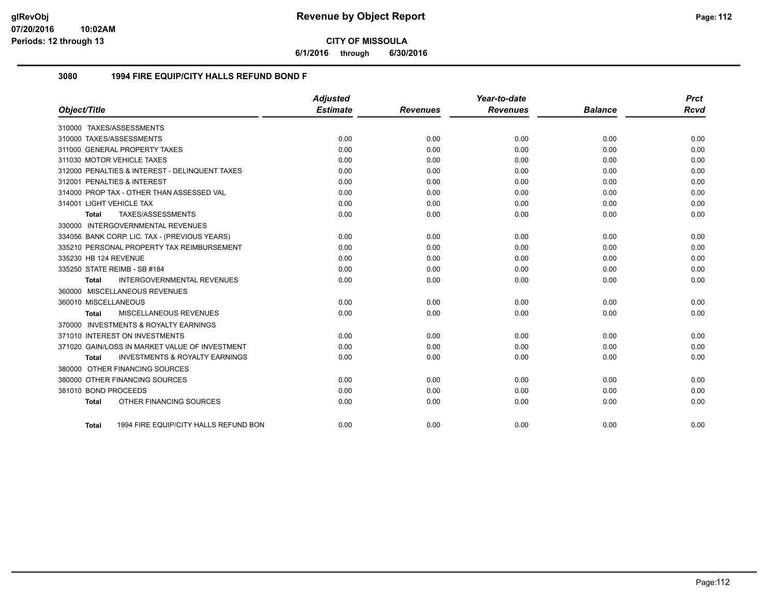**6/1/2016 through 6/30/2016**

### **3080 1994 FIRE EQUIP/CITY HALLS REFUND BOND F**

|                                                           | <b>Adjusted</b> |                 | Year-to-date    |                | <b>Prct</b> |
|-----------------------------------------------------------|-----------------|-----------------|-----------------|----------------|-------------|
| Object/Title                                              | <b>Estimate</b> | <b>Revenues</b> | <b>Revenues</b> | <b>Balance</b> | <b>Rcvd</b> |
| 310000 TAXES/ASSESSMENTS                                  |                 |                 |                 |                |             |
| 310000 TAXES/ASSESSMENTS                                  | 0.00            | 0.00            | 0.00            | 0.00           | 0.00        |
| 311000 GENERAL PROPERTY TAXES                             | 0.00            | 0.00            | 0.00            | 0.00           | 0.00        |
| 311030 MOTOR VEHICLE TAXES                                | 0.00            | 0.00            | 0.00            | 0.00           | 0.00        |
| 312000 PENALTIES & INTEREST - DELINQUENT TAXES            | 0.00            | 0.00            | 0.00            | 0.00           | 0.00        |
| 312001 PENALTIES & INTEREST                               | 0.00            | 0.00            | 0.00            | 0.00           | 0.00        |
| 314000 PROP TAX - OTHER THAN ASSESSED VAL                 | 0.00            | 0.00            | 0.00            | 0.00           | 0.00        |
| 314001 LIGHT VEHICLE TAX                                  | 0.00            | 0.00            | 0.00            | 0.00           | 0.00        |
| TAXES/ASSESSMENTS<br><b>Total</b>                         | 0.00            | 0.00            | 0.00            | 0.00           | 0.00        |
| 330000 INTERGOVERNMENTAL REVENUES                         |                 |                 |                 |                |             |
| 334056 BANK CORP. LIC. TAX - (PREVIOUS YEARS)             | 0.00            | 0.00            | 0.00            | 0.00           | 0.00        |
| 335210 PERSONAL PROPERTY TAX REIMBURSEMENT                | 0.00            | 0.00            | 0.00            | 0.00           | 0.00        |
| 335230 HB 124 REVENUE                                     | 0.00            | 0.00            | 0.00            | 0.00           | 0.00        |
| 335250 STATE REIMB - SB #184                              | 0.00            | 0.00            | 0.00            | 0.00           | 0.00        |
| <b>INTERGOVERNMENTAL REVENUES</b><br><b>Total</b>         | 0.00            | 0.00            | 0.00            | 0.00           | 0.00        |
| 360000 MISCELLANEOUS REVENUES                             |                 |                 |                 |                |             |
| 360010 MISCELLANEOUS                                      | 0.00            | 0.00            | 0.00            | 0.00           | 0.00        |
| <b>MISCELLANEOUS REVENUES</b><br><b>Total</b>             | 0.00            | 0.00            | 0.00            | 0.00           | 0.00        |
| 370000 INVESTMENTS & ROYALTY EARNINGS                     |                 |                 |                 |                |             |
| 371010 INTEREST ON INVESTMENTS                            | 0.00            | 0.00            | 0.00            | 0.00           | 0.00        |
| 371020 GAIN/LOSS IN MARKET VALUE OF INVESTMENT            | 0.00            | 0.00            | 0.00            | 0.00           | 0.00        |
| <b>INVESTMENTS &amp; ROYALTY EARNINGS</b><br><b>Total</b> | 0.00            | 0.00            | 0.00            | 0.00           | 0.00        |
| 380000 OTHER FINANCING SOURCES                            |                 |                 |                 |                |             |
| 380000 OTHER FINANCING SOURCES                            | 0.00            | 0.00            | 0.00            | 0.00           | 0.00        |
| 381010 BOND PROCEEDS                                      | 0.00            | 0.00            | 0.00            | 0.00           | 0.00        |
| OTHER FINANCING SOURCES<br><b>Total</b>                   | 0.00            | 0.00            | 0.00            | 0.00           | 0.00        |
| 1994 FIRE EQUIP/CITY HALLS REFUND BON<br>Total            | 0.00            | 0.00            | 0.00            | 0.00           | 0.00        |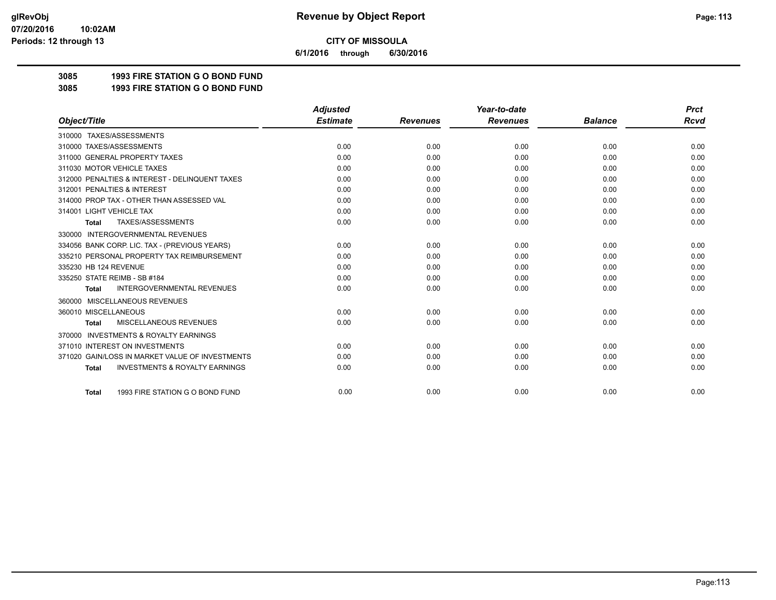**6/1/2016 through 6/30/2016**

## **3085 1993 FIRE STATION G O BOND FUND**

**3085 1993 FIRE STATION G O BOND FUND**

|                                                           | <b>Adjusted</b> |                 | Year-to-date    |                | <b>Prct</b> |
|-----------------------------------------------------------|-----------------|-----------------|-----------------|----------------|-------------|
| Object/Title                                              | <b>Estimate</b> | <b>Revenues</b> | <b>Revenues</b> | <b>Balance</b> | <b>Rcvd</b> |
| 310000 TAXES/ASSESSMENTS                                  |                 |                 |                 |                |             |
| 310000 TAXES/ASSESSMENTS                                  | 0.00            | 0.00            | 0.00            | 0.00           | 0.00        |
| 311000 GENERAL PROPERTY TAXES                             | 0.00            | 0.00            | 0.00            | 0.00           | 0.00        |
| 311030 MOTOR VEHICLE TAXES                                | 0.00            | 0.00            | 0.00            | 0.00           | 0.00        |
| 312000 PENALTIES & INTEREST - DELINQUENT TAXES            | 0.00            | 0.00            | 0.00            | 0.00           | 0.00        |
| 312001 PENALTIES & INTEREST                               | 0.00            | 0.00            | 0.00            | 0.00           | 0.00        |
| 314000 PROP TAX - OTHER THAN ASSESSED VAL                 | 0.00            | 0.00            | 0.00            | 0.00           | 0.00        |
| 314001 LIGHT VEHICLE TAX                                  | 0.00            | 0.00            | 0.00            | 0.00           | 0.00        |
| TAXES/ASSESSMENTS<br><b>Total</b>                         | 0.00            | 0.00            | 0.00            | 0.00           | 0.00        |
| 330000 INTERGOVERNMENTAL REVENUES                         |                 |                 |                 |                |             |
| 334056 BANK CORP. LIC. TAX - (PREVIOUS YEARS)             | 0.00            | 0.00            | 0.00            | 0.00           | 0.00        |
| 335210 PERSONAL PROPERTY TAX REIMBURSEMENT                | 0.00            | 0.00            | 0.00            | 0.00           | 0.00        |
| 335230 HB 124 REVENUE                                     | 0.00            | 0.00            | 0.00            | 0.00           | 0.00        |
| 335250 STATE REIMB - SB #184                              | 0.00            | 0.00            | 0.00            | 0.00           | 0.00        |
| <b>INTERGOVERNMENTAL REVENUES</b><br><b>Total</b>         | 0.00            | 0.00            | 0.00            | 0.00           | 0.00        |
| 360000 MISCELLANEOUS REVENUES                             |                 |                 |                 |                |             |
| 360010 MISCELLANEOUS                                      | 0.00            | 0.00            | 0.00            | 0.00           | 0.00        |
| <b>MISCELLANEOUS REVENUES</b><br><b>Total</b>             | 0.00            | 0.00            | 0.00            | 0.00           | 0.00        |
| <b>INVESTMENTS &amp; ROYALTY EARNINGS</b><br>370000       |                 |                 |                 |                |             |
| 371010 INTEREST ON INVESTMENTS                            | 0.00            | 0.00            | 0.00            | 0.00           | 0.00        |
| 371020 GAIN/LOSS IN MARKET VALUE OF INVESTMENTS           | 0.00            | 0.00            | 0.00            | 0.00           | 0.00        |
| <b>INVESTMENTS &amp; ROYALTY EARNINGS</b><br><b>Total</b> | 0.00            | 0.00            | 0.00            | 0.00           | 0.00        |
| 1993 FIRE STATION G O BOND FUND<br><b>Total</b>           | 0.00            | 0.00            | 0.00            | 0.00           | 0.00        |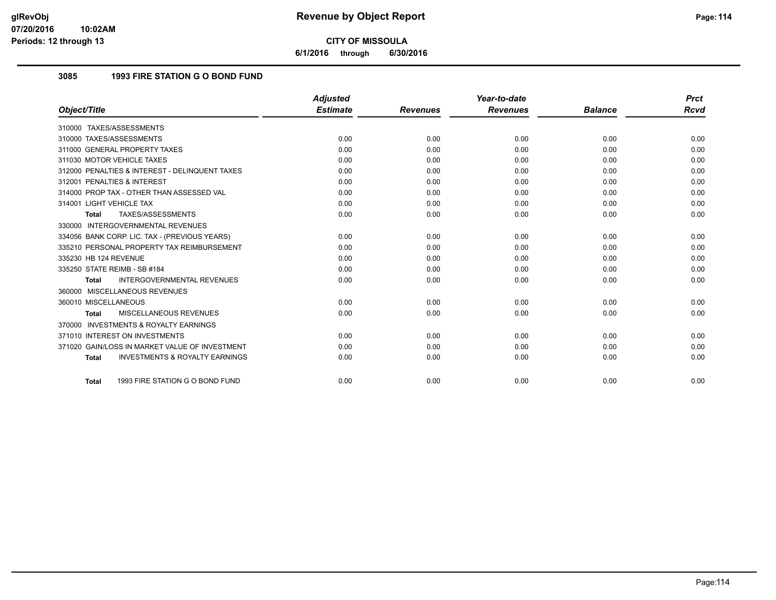**6/1/2016 through 6/30/2016**

## **3085 1993 FIRE STATION G O BOND FUND**

|                                                    | <b>Adjusted</b> |                 | Year-to-date    |                | <b>Prct</b> |
|----------------------------------------------------|-----------------|-----------------|-----------------|----------------|-------------|
| Object/Title                                       | <b>Estimate</b> | <b>Revenues</b> | <b>Revenues</b> | <b>Balance</b> | Rcvd        |
| 310000 TAXES/ASSESSMENTS                           |                 |                 |                 |                |             |
| 310000 TAXES/ASSESSMENTS                           | 0.00            | 0.00            | 0.00            | 0.00           | 0.00        |
| 311000 GENERAL PROPERTY TAXES                      | 0.00            | 0.00            | 0.00            | 0.00           | 0.00        |
| 311030 MOTOR VEHICLE TAXES                         | 0.00            | 0.00            | 0.00            | 0.00           | 0.00        |
| 312000 PENALTIES & INTEREST - DELINQUENT TAXES     | 0.00            | 0.00            | 0.00            | 0.00           | 0.00        |
| 312001 PENALTIES & INTEREST                        | 0.00            | 0.00            | 0.00            | 0.00           | 0.00        |
| 314000 PROP TAX - OTHER THAN ASSESSED VAL          | 0.00            | 0.00            | 0.00            | 0.00           | 0.00        |
| 314001 LIGHT VEHICLE TAX                           | 0.00            | 0.00            | 0.00            | 0.00           | 0.00        |
| TAXES/ASSESSMENTS<br>Total                         | 0.00            | 0.00            | 0.00            | 0.00           | 0.00        |
| 330000 INTERGOVERNMENTAL REVENUES                  |                 |                 |                 |                |             |
| 334056 BANK CORP. LIC. TAX - (PREVIOUS YEARS)      | 0.00            | 0.00            | 0.00            | 0.00           | 0.00        |
| 335210 PERSONAL PROPERTY TAX REIMBURSEMENT         | 0.00            | 0.00            | 0.00            | 0.00           | 0.00        |
| 335230 HB 124 REVENUE                              | 0.00            | 0.00            | 0.00            | 0.00           | 0.00        |
| 335250 STATE REIMB - SB #184                       | 0.00            | 0.00            | 0.00            | 0.00           | 0.00        |
| <b>INTERGOVERNMENTAL REVENUES</b><br><b>Total</b>  | 0.00            | 0.00            | 0.00            | 0.00           | 0.00        |
| 360000 MISCELLANEOUS REVENUES                      |                 |                 |                 |                |             |
| 360010 MISCELLANEOUS                               | 0.00            | 0.00            | 0.00            | 0.00           | 0.00        |
| MISCELLANEOUS REVENUES<br><b>Total</b>             | 0.00            | 0.00            | 0.00            | 0.00           | 0.00        |
| 370000 INVESTMENTS & ROYALTY EARNINGS              |                 |                 |                 |                |             |
| 371010 INTEREST ON INVESTMENTS                     | 0.00            | 0.00            | 0.00            | 0.00           | 0.00        |
| 371020 GAIN/LOSS IN MARKET VALUE OF INVESTMENT     | 0.00            | 0.00            | 0.00            | 0.00           | 0.00        |
| <b>INVESTMENTS &amp; ROYALTY EARNINGS</b><br>Total | 0.00            | 0.00            | 0.00            | 0.00           | 0.00        |
| 1993 FIRE STATION G O BOND FUND<br><b>Total</b>    | 0.00            | 0.00            | 0.00            | 0.00           | 0.00        |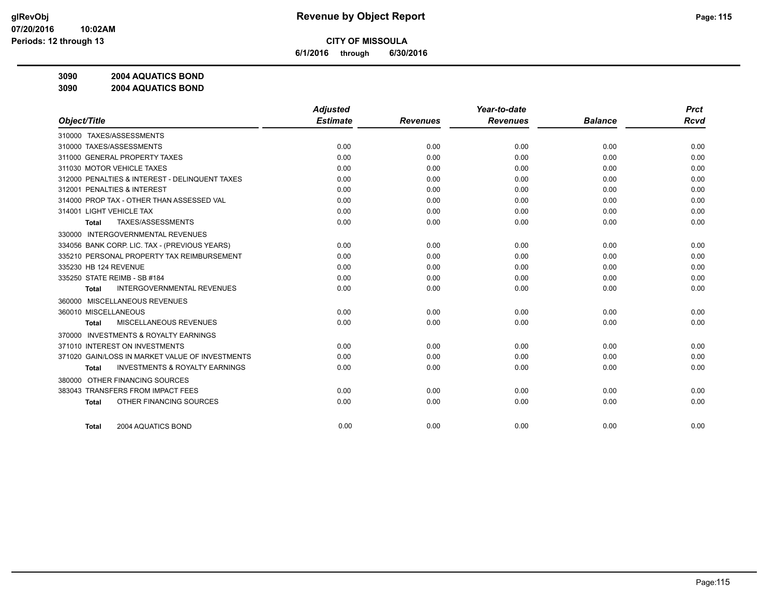**6/1/2016 through 6/30/2016**

**3090 2004 AQUATICS BOND**

**3090 2004 AQUATICS BOND**

|                                                     | <b>Adjusted</b> |                 | Year-to-date    |                | <b>Prct</b> |
|-----------------------------------------------------|-----------------|-----------------|-----------------|----------------|-------------|
| Object/Title                                        | <b>Estimate</b> | <b>Revenues</b> | <b>Revenues</b> | <b>Balance</b> | <b>Rcvd</b> |
| 310000 TAXES/ASSESSMENTS                            |                 |                 |                 |                |             |
| 310000 TAXES/ASSESSMENTS                            | 0.00            | 0.00            | 0.00            | 0.00           | 0.00        |
| 311000 GENERAL PROPERTY TAXES                       | 0.00            | 0.00            | 0.00            | 0.00           | 0.00        |
| 311030 MOTOR VEHICLE TAXES                          | 0.00            | 0.00            | 0.00            | 0.00           | 0.00        |
| 312000 PENALTIES & INTEREST - DELINQUENT TAXES      | 0.00            | 0.00            | 0.00            | 0.00           | 0.00        |
| 312001 PENALTIES & INTEREST                         | 0.00            | 0.00            | 0.00            | 0.00           | 0.00        |
| 314000 PROP TAX - OTHER THAN ASSESSED VAL           | 0.00            | 0.00            | 0.00            | 0.00           | 0.00        |
| 314001 LIGHT VEHICLE TAX                            | 0.00            | 0.00            | 0.00            | 0.00           | 0.00        |
| TAXES/ASSESSMENTS<br>Total                          | 0.00            | 0.00            | 0.00            | 0.00           | 0.00        |
| <b>INTERGOVERNMENTAL REVENUES</b><br>330000         |                 |                 |                 |                |             |
| 334056 BANK CORP. LIC. TAX - (PREVIOUS YEARS)       | 0.00            | 0.00            | 0.00            | 0.00           | 0.00        |
| 335210 PERSONAL PROPERTY TAX REIMBURSEMENT          | 0.00            | 0.00            | 0.00            | 0.00           | 0.00        |
| 335230 HB 124 REVENUE                               | 0.00            | 0.00            | 0.00            | 0.00           | 0.00        |
| 335250 STATE REIMB - SB #184                        | 0.00            | 0.00            | 0.00            | 0.00           | 0.00        |
| <b>INTERGOVERNMENTAL REVENUES</b><br><b>Total</b>   | 0.00            | 0.00            | 0.00            | 0.00           | 0.00        |
| 360000 MISCELLANEOUS REVENUES                       |                 |                 |                 |                |             |
| 360010 MISCELLANEOUS                                | 0.00            | 0.00            | 0.00            | 0.00           | 0.00        |
| <b>MISCELLANEOUS REVENUES</b><br><b>Total</b>       | 0.00            | 0.00            | 0.00            | 0.00           | 0.00        |
| <b>INVESTMENTS &amp; ROYALTY EARNINGS</b><br>370000 |                 |                 |                 |                |             |
| 371010 INTEREST ON INVESTMENTS                      | 0.00            | 0.00            | 0.00            | 0.00           | 0.00        |
| 371020 GAIN/LOSS IN MARKET VALUE OF INVESTMENTS     | 0.00            | 0.00            | 0.00            | 0.00           | 0.00        |
| <b>INVESTMENTS &amp; ROYALTY EARNINGS</b><br>Total  | 0.00            | 0.00            | 0.00            | 0.00           | 0.00        |
| OTHER FINANCING SOURCES<br>380000                   |                 |                 |                 |                |             |
| 383043 TRANSFERS FROM IMPACT FEES                   | 0.00            | 0.00            | 0.00            | 0.00           | 0.00        |
| OTHER FINANCING SOURCES<br><b>Total</b>             | 0.00            | 0.00            | 0.00            | 0.00           | 0.00        |
|                                                     |                 |                 |                 |                |             |
| 2004 AQUATICS BOND<br><b>Total</b>                  | 0.00            | 0.00            | 0.00            | 0.00           | 0.00        |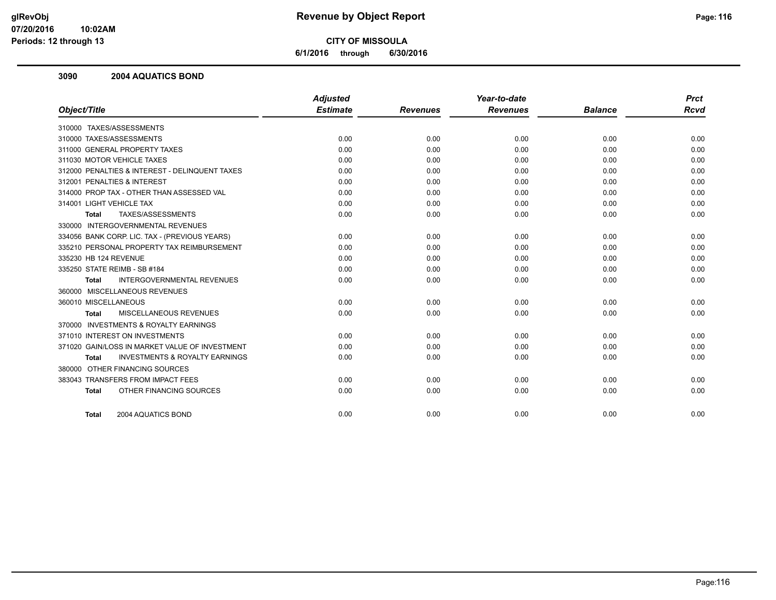**6/1/2016 through 6/30/2016**

#### **3090 2004 AQUATICS BOND**

|                                                           | <b>Adjusted</b> |                 | Year-to-date    |                | <b>Prct</b> |
|-----------------------------------------------------------|-----------------|-----------------|-----------------|----------------|-------------|
| Object/Title                                              | <b>Estimate</b> | <b>Revenues</b> | <b>Revenues</b> | <b>Balance</b> | <b>Rcvd</b> |
| 310000 TAXES/ASSESSMENTS                                  |                 |                 |                 |                |             |
| 310000 TAXES/ASSESSMENTS                                  | 0.00            | 0.00            | 0.00            | 0.00           | 0.00        |
| 311000 GENERAL PROPERTY TAXES                             | 0.00            | 0.00            | 0.00            | 0.00           | 0.00        |
| 311030 MOTOR VEHICLE TAXES                                | 0.00            | 0.00            | 0.00            | 0.00           | 0.00        |
| 312000 PENALTIES & INTEREST - DELINQUENT TAXES            | 0.00            | 0.00            | 0.00            | 0.00           | 0.00        |
| 312001 PENALTIES & INTEREST                               | 0.00            | 0.00            | 0.00            | 0.00           | 0.00        |
| 314000 PROP TAX - OTHER THAN ASSESSED VAL                 | 0.00            | 0.00            | 0.00            | 0.00           | 0.00        |
| 314001 LIGHT VEHICLE TAX                                  | 0.00            | 0.00            | 0.00            | 0.00           | 0.00        |
| TAXES/ASSESSMENTS<br><b>Total</b>                         | 0.00            | 0.00            | 0.00            | 0.00           | 0.00        |
| 330000 INTERGOVERNMENTAL REVENUES                         |                 |                 |                 |                |             |
| 334056 BANK CORP. LIC. TAX - (PREVIOUS YEARS)             | 0.00            | 0.00            | 0.00            | 0.00           | 0.00        |
| 335210 PERSONAL PROPERTY TAX REIMBURSEMENT                | 0.00            | 0.00            | 0.00            | 0.00           | 0.00        |
| 335230 HB 124 REVENUE                                     | 0.00            | 0.00            | 0.00            | 0.00           | 0.00        |
| 335250 STATE REIMB - SB #184                              | 0.00            | 0.00            | 0.00            | 0.00           | 0.00        |
| <b>INTERGOVERNMENTAL REVENUES</b><br><b>Total</b>         | 0.00            | 0.00            | 0.00            | 0.00           | 0.00        |
| 360000 MISCELLANEOUS REVENUES                             |                 |                 |                 |                |             |
| 360010 MISCELLANEOUS                                      | 0.00            | 0.00            | 0.00            | 0.00           | 0.00        |
| <b>MISCELLANEOUS REVENUES</b><br>Total                    | 0.00            | 0.00            | 0.00            | 0.00           | 0.00        |
| 370000 INVESTMENTS & ROYALTY EARNINGS                     |                 |                 |                 |                |             |
| 371010 INTEREST ON INVESTMENTS                            | 0.00            | 0.00            | 0.00            | 0.00           | 0.00        |
| 371020 GAIN/LOSS IN MARKET VALUE OF INVESTMENT            | 0.00            | 0.00            | 0.00            | 0.00           | 0.00        |
| <b>INVESTMENTS &amp; ROYALTY EARNINGS</b><br><b>Total</b> | 0.00            | 0.00            | 0.00            | 0.00           | 0.00        |
| 380000 OTHER FINANCING SOURCES                            |                 |                 |                 |                |             |
| 383043 TRANSFERS FROM IMPACT FEES                         | 0.00            | 0.00            | 0.00            | 0.00           | 0.00        |
| OTHER FINANCING SOURCES<br><b>Total</b>                   | 0.00            | 0.00            | 0.00            | 0.00           | 0.00        |
| 2004 AQUATICS BOND<br><b>Total</b>                        | 0.00            | 0.00            | 0.00            | 0.00           | 0.00        |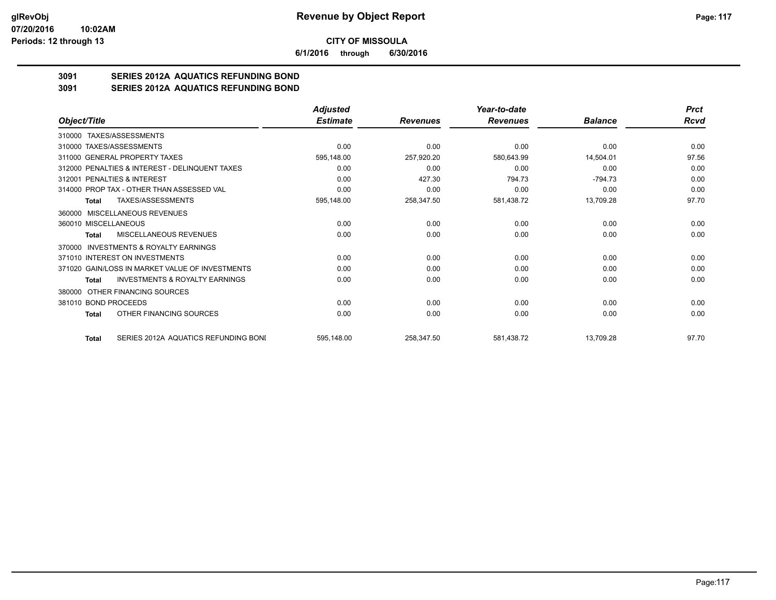**6/1/2016 through 6/30/2016**

# **3091 SERIES 2012A AQUATICS REFUNDING BOND**

**3091 SERIES 2012A AQUATICS REFUNDING BOND**

|                                                     | <b>Adjusted</b> |                 | Year-to-date    |                | <b>Prct</b> |
|-----------------------------------------------------|-----------------|-----------------|-----------------|----------------|-------------|
| Object/Title                                        | <b>Estimate</b> | <b>Revenues</b> | <b>Revenues</b> | <b>Balance</b> | Rcvd        |
| 310000 TAXES/ASSESSMENTS                            |                 |                 |                 |                |             |
| 310000 TAXES/ASSESSMENTS                            | 0.00            | 0.00            | 0.00            | 0.00           | 0.00        |
| 311000 GENERAL PROPERTY TAXES                       | 595,148.00      | 257,920.20      | 580,643.99      | 14,504.01      | 97.56       |
| 312000 PENALTIES & INTEREST - DELINQUENT TAXES      | 0.00            | 0.00            | 0.00            | 0.00           | 0.00        |
| 312001 PENALTIES & INTEREST                         | 0.00            | 427.30          | 794.73          | $-794.73$      | 0.00        |
| 314000 PROP TAX - OTHER THAN ASSESSED VAL           | 0.00            | 0.00            | 0.00            | 0.00           | 0.00        |
| TAXES/ASSESSMENTS<br>Total                          | 595,148.00      | 258,347.50      | 581,438.72      | 13,709.28      | 97.70       |
| 360000 MISCELLANEOUS REVENUES                       |                 |                 |                 |                |             |
| 360010 MISCELLANEOUS                                | 0.00            | 0.00            | 0.00            | 0.00           | 0.00        |
| MISCELLANEOUS REVENUES<br>Total                     | 0.00            | 0.00            | 0.00            | 0.00           | 0.00        |
| <b>INVESTMENTS &amp; ROYALTY EARNINGS</b><br>370000 |                 |                 |                 |                |             |
| 371010 INTEREST ON INVESTMENTS                      | 0.00            | 0.00            | 0.00            | 0.00           | 0.00        |
| 371020 GAIN/LOSS IN MARKET VALUE OF INVESTMENTS     | 0.00            | 0.00            | 0.00            | 0.00           | 0.00        |
| <b>INVESTMENTS &amp; ROYALTY EARNINGS</b><br>Total  | 0.00            | 0.00            | 0.00            | 0.00           | 0.00        |
| OTHER FINANCING SOURCES<br>380000                   |                 |                 |                 |                |             |
| 381010 BOND PROCEEDS                                | 0.00            | 0.00            | 0.00            | 0.00           | 0.00        |
| OTHER FINANCING SOURCES<br>Total                    | 0.00            | 0.00            | 0.00            | 0.00           | 0.00        |
| SERIES 2012A AQUATICS REFUNDING BONI<br>Total       | 595,148.00      | 258,347.50      | 581,438.72      | 13,709.28      | 97.70       |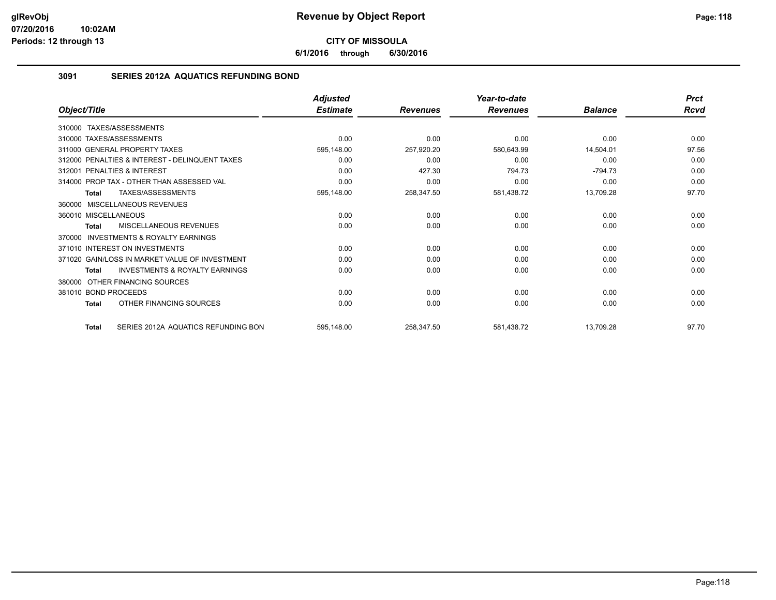**6/1/2016 through 6/30/2016**

## **3091 SERIES 2012A AQUATICS REFUNDING BOND**

|                                                           | <b>Adjusted</b> |                 | Year-to-date    |                | <b>Prct</b> |
|-----------------------------------------------------------|-----------------|-----------------|-----------------|----------------|-------------|
| Object/Title                                              | <b>Estimate</b> | <b>Revenues</b> | <b>Revenues</b> | <b>Balance</b> | <b>Rcvd</b> |
| 310000 TAXES/ASSESSMENTS                                  |                 |                 |                 |                |             |
| 310000 TAXES/ASSESSMENTS                                  | 0.00            | 0.00            | 0.00            | 0.00           | 0.00        |
| 311000 GENERAL PROPERTY TAXES                             | 595,148.00      | 257,920.20      | 580,643.99      | 14,504.01      | 97.56       |
| 312000 PENALTIES & INTEREST - DELINQUENT TAXES            | 0.00            | 0.00            | 0.00            | 0.00           | 0.00        |
| PENALTIES & INTEREST<br>312001                            | 0.00            | 427.30          | 794.73          | $-794.73$      | 0.00        |
| 314000 PROP TAX - OTHER THAN ASSESSED VAL                 | 0.00            | 0.00            | 0.00            | 0.00           | 0.00        |
| TAXES/ASSESSMENTS<br>Total                                | 595,148.00      | 258,347.50      | 581,438.72      | 13,709.28      | 97.70       |
| 360000 MISCELLANEOUS REVENUES                             |                 |                 |                 |                |             |
| 360010 MISCELLANEOUS                                      | 0.00            | 0.00            | 0.00            | 0.00           | 0.00        |
| MISCELLANEOUS REVENUES<br>Total                           | 0.00            | 0.00            | 0.00            | 0.00           | 0.00        |
| <b>INVESTMENTS &amp; ROYALTY EARNINGS</b><br>370000       |                 |                 |                 |                |             |
| 371010 INTEREST ON INVESTMENTS                            | 0.00            | 0.00            | 0.00            | 0.00           | 0.00        |
| 371020 GAIN/LOSS IN MARKET VALUE OF INVESTMENT            | 0.00            | 0.00            | 0.00            | 0.00           | 0.00        |
| <b>INVESTMENTS &amp; ROYALTY EARNINGS</b><br><b>Total</b> | 0.00            | 0.00            | 0.00            | 0.00           | 0.00        |
| OTHER FINANCING SOURCES<br>380000                         |                 |                 |                 |                |             |
| 381010 BOND PROCEEDS                                      | 0.00            | 0.00            | 0.00            | 0.00           | 0.00        |
| OTHER FINANCING SOURCES<br><b>Total</b>                   | 0.00            | 0.00            | 0.00            | 0.00           | 0.00        |
| SERIES 2012A AQUATICS REFUNDING BON<br><b>Total</b>       | 595,148.00      | 258,347.50      | 581,438.72      | 13,709.28      | 97.70       |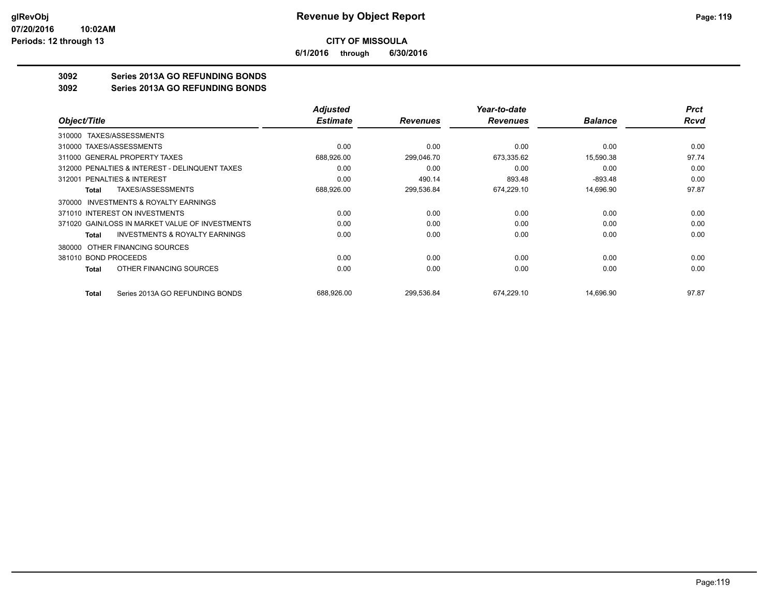**6/1/2016 through 6/30/2016**

## **3092 Series 2013A GO REFUNDING BONDS**

**3092 Series 2013A GO REFUNDING BONDS**

|                                                     | <b>Adjusted</b> |                 | Year-to-date    |                | <b>Prct</b> |
|-----------------------------------------------------|-----------------|-----------------|-----------------|----------------|-------------|
| Object/Title                                        | <b>Estimate</b> | <b>Revenues</b> | <b>Revenues</b> | <b>Balance</b> | <b>Rcvd</b> |
| 310000 TAXES/ASSESSMENTS                            |                 |                 |                 |                |             |
| 310000 TAXES/ASSESSMENTS                            | 0.00            | 0.00            | 0.00            | 0.00           | 0.00        |
| 311000 GENERAL PROPERTY TAXES                       | 688,926.00      | 299,046.70      | 673,335.62      | 15,590.38      | 97.74       |
| 312000 PENALTIES & INTEREST - DELINQUENT TAXES      | 0.00            | 0.00            | 0.00            | 0.00           | 0.00        |
| 312001 PENALTIES & INTEREST                         | 0.00            | 490.14          | 893.48          | $-893.48$      | 0.00        |
| TAXES/ASSESSMENTS<br><b>Total</b>                   | 688,926.00      | 299,536.84      | 674,229.10      | 14,696.90      | 97.87       |
| <b>INVESTMENTS &amp; ROYALTY EARNINGS</b><br>370000 |                 |                 |                 |                |             |
| 371010 INTEREST ON INVESTMENTS                      | 0.00            | 0.00            | 0.00            | 0.00           | 0.00        |
| 371020 GAIN/LOSS IN MARKET VALUE OF INVESTMENTS     | 0.00            | 0.00            | 0.00            | 0.00           | 0.00        |
| <b>INVESTMENTS &amp; ROYALTY EARNINGS</b><br>Total  | 0.00            | 0.00            | 0.00            | 0.00           | 0.00        |
| OTHER FINANCING SOURCES<br>380000                   |                 |                 |                 |                |             |
| 381010 BOND PROCEEDS                                | 0.00            | 0.00            | 0.00            | 0.00           | 0.00        |
| OTHER FINANCING SOURCES<br><b>Total</b>             | 0.00            | 0.00            | 0.00            | 0.00           | 0.00        |
| Series 2013A GO REFUNDING BONDS<br><b>Total</b>     | 688,926.00      | 299,536.84      | 674,229.10      | 14,696.90      | 97.87       |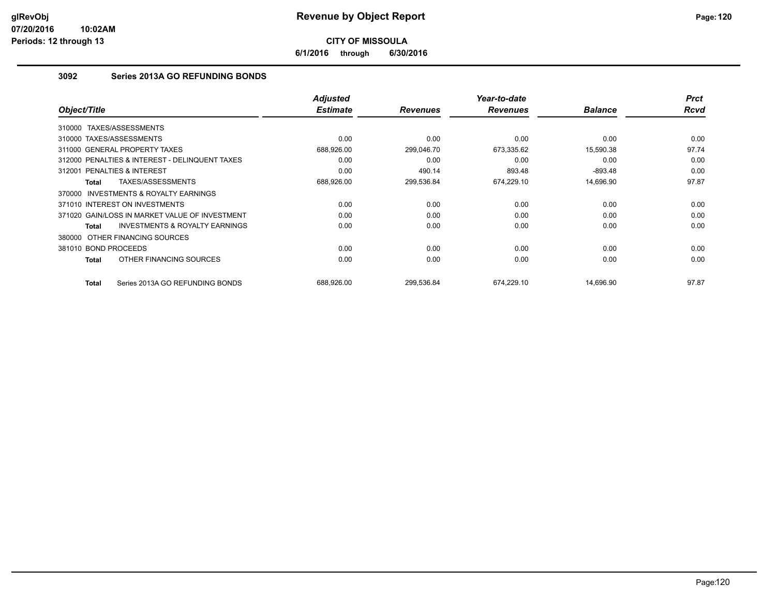**6/1/2016 through 6/30/2016**

## **3092 Series 2013A GO REFUNDING BONDS**

| Object/Title                                              | <b>Adjusted</b><br><b>Estimate</b> | <b>Revenues</b> | Year-to-date<br><b>Revenues</b> | <b>Balance</b> | <b>Prct</b><br><b>Rcvd</b> |
|-----------------------------------------------------------|------------------------------------|-----------------|---------------------------------|----------------|----------------------------|
| TAXES/ASSESSMENTS<br>310000                               |                                    |                 |                                 |                |                            |
| 310000 TAXES/ASSESSMENTS                                  | 0.00                               | 0.00            | 0.00                            | 0.00           | 0.00                       |
| 311000 GENERAL PROPERTY TAXES                             | 688,926.00                         | 299,046.70      | 673,335.62                      | 15,590.38      | 97.74                      |
| 312000 PENALTIES & INTEREST - DELINQUENT TAXES            | 0.00                               | 0.00            | 0.00                            | 0.00           | 0.00                       |
| 312001 PENALTIES & INTEREST                               | 0.00                               | 490.14          | 893.48                          | $-893.48$      | 0.00                       |
| <b>TAXES/ASSESSMENTS</b><br><b>Total</b>                  | 688,926.00                         | 299,536.84      | 674,229.10                      | 14,696.90      | 97.87                      |
| <b>INVESTMENTS &amp; ROYALTY EARNINGS</b><br>370000       |                                    |                 |                                 |                |                            |
| 371010 INTEREST ON INVESTMENTS                            | 0.00                               | 0.00            | 0.00                            | 0.00           | 0.00                       |
| 371020 GAIN/LOSS IN MARKET VALUE OF INVESTMENT            | 0.00                               | 0.00            | 0.00                            | 0.00           | 0.00                       |
| <b>INVESTMENTS &amp; ROYALTY EARNINGS</b><br><b>Total</b> | 0.00                               | 0.00            | 0.00                            | 0.00           | 0.00                       |
| 380000 OTHER FINANCING SOURCES                            |                                    |                 |                                 |                |                            |
| 381010 BOND PROCEEDS                                      | 0.00                               | 0.00            | 0.00                            | 0.00           | 0.00                       |
| OTHER FINANCING SOURCES<br><b>Total</b>                   | 0.00                               | 0.00            | 0.00                            | 0.00           | 0.00                       |
| Series 2013A GO REFUNDING BONDS<br><b>Total</b>           | 688.926.00                         | 299.536.84      | 674.229.10                      | 14,696.90      | 97.87                      |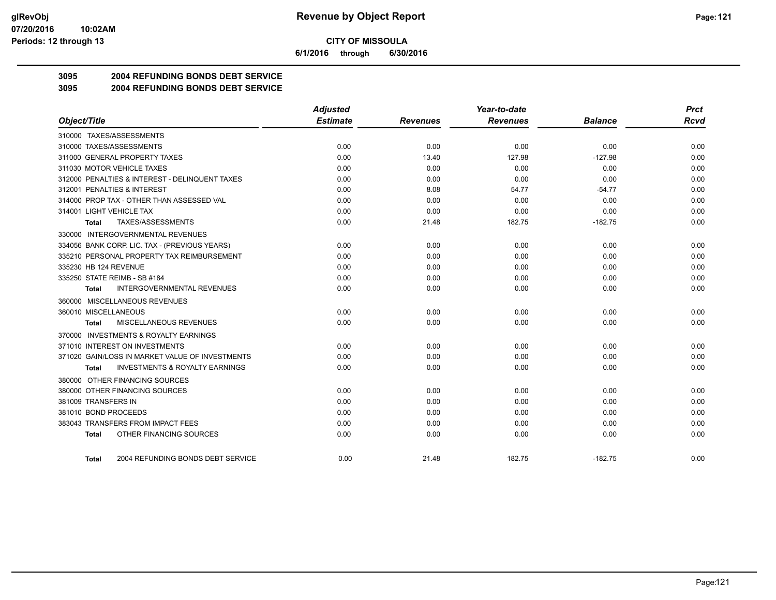**6/1/2016 through 6/30/2016**

# **3095 2004 REFUNDING BONDS DEBT SERVICE**

**3095 2004 REFUNDING BONDS DEBT SERVICE**

|                                                    | <b>Adjusted</b> |                 | Year-to-date    |                |             |  |
|----------------------------------------------------|-----------------|-----------------|-----------------|----------------|-------------|--|
| Object/Title                                       | <b>Estimate</b> | <b>Revenues</b> | <b>Revenues</b> | <b>Balance</b> | <b>Rcvd</b> |  |
| 310000 TAXES/ASSESSMENTS                           |                 |                 |                 |                |             |  |
| 310000 TAXES/ASSESSMENTS                           | 0.00            | 0.00            | 0.00            | 0.00           | 0.00        |  |
| 311000 GENERAL PROPERTY TAXES                      | 0.00            | 13.40           | 127.98          | $-127.98$      | 0.00        |  |
| 311030 MOTOR VEHICLE TAXES                         | 0.00            | 0.00            | 0.00            | 0.00           | 0.00        |  |
| 312000 PENALTIES & INTEREST - DELINQUENT TAXES     | 0.00            | 0.00            | 0.00            | 0.00           | 0.00        |  |
| 312001 PENALTIES & INTEREST                        | 0.00            | 8.08            | 54.77           | $-54.77$       | 0.00        |  |
| 314000 PROP TAX - OTHER THAN ASSESSED VAL          | 0.00            | 0.00            | 0.00            | 0.00           | 0.00        |  |
| 314001 LIGHT VEHICLE TAX                           | 0.00            | 0.00            | 0.00            | 0.00           | 0.00        |  |
| TAXES/ASSESSMENTS<br>Total                         | 0.00            | 21.48           | 182.75          | $-182.75$      | 0.00        |  |
| 330000 INTERGOVERNMENTAL REVENUES                  |                 |                 |                 |                |             |  |
| 334056 BANK CORP. LIC. TAX - (PREVIOUS YEARS)      | 0.00            | 0.00            | 0.00            | 0.00           | 0.00        |  |
| 335210 PERSONAL PROPERTY TAX REIMBURSEMENT         | 0.00            | 0.00            | 0.00            | 0.00           | 0.00        |  |
| 335230 HB 124 REVENUE                              | 0.00            | 0.00            | 0.00            | 0.00           | 0.00        |  |
| 335250 STATE REIMB - SB #184                       | 0.00            | 0.00            | 0.00            | 0.00           | 0.00        |  |
| <b>INTERGOVERNMENTAL REVENUES</b><br>Total         | 0.00            | 0.00            | 0.00            | 0.00           | 0.00        |  |
| 360000 MISCELLANEOUS REVENUES                      |                 |                 |                 |                |             |  |
| 360010 MISCELLANEOUS                               | 0.00            | 0.00            | 0.00            | 0.00           | 0.00        |  |
| MISCELLANEOUS REVENUES<br><b>Total</b>             | 0.00            | 0.00            | 0.00            | 0.00           | 0.00        |  |
| 370000 INVESTMENTS & ROYALTY EARNINGS              |                 |                 |                 |                |             |  |
| 371010 INTEREST ON INVESTMENTS                     | 0.00            | 0.00            | 0.00            | 0.00           | 0.00        |  |
| 371020 GAIN/LOSS IN MARKET VALUE OF INVESTMENTS    | 0.00            | 0.00            | 0.00            | 0.00           | 0.00        |  |
| <b>INVESTMENTS &amp; ROYALTY EARNINGS</b><br>Total | 0.00            | 0.00            | 0.00            | 0.00           | 0.00        |  |
| 380000 OTHER FINANCING SOURCES                     |                 |                 |                 |                |             |  |
| 380000 OTHER FINANCING SOURCES                     | 0.00            | 0.00            | 0.00            | 0.00           | 0.00        |  |
| 381009 TRANSFERS IN                                | 0.00            | 0.00            | 0.00            | 0.00           | 0.00        |  |
| 381010 BOND PROCEEDS                               | 0.00            | 0.00            | 0.00            | 0.00           | 0.00        |  |
| 383043 TRANSFERS FROM IMPACT FEES                  | 0.00            | 0.00            | 0.00            | 0.00           | 0.00        |  |
| OTHER FINANCING SOURCES<br>Total                   | 0.00            | 0.00            | 0.00            | 0.00           | 0.00        |  |
| 2004 REFUNDING BONDS DEBT SERVICE<br><b>Total</b>  | 0.00            | 21.48           | 182.75          | $-182.75$      | 0.00        |  |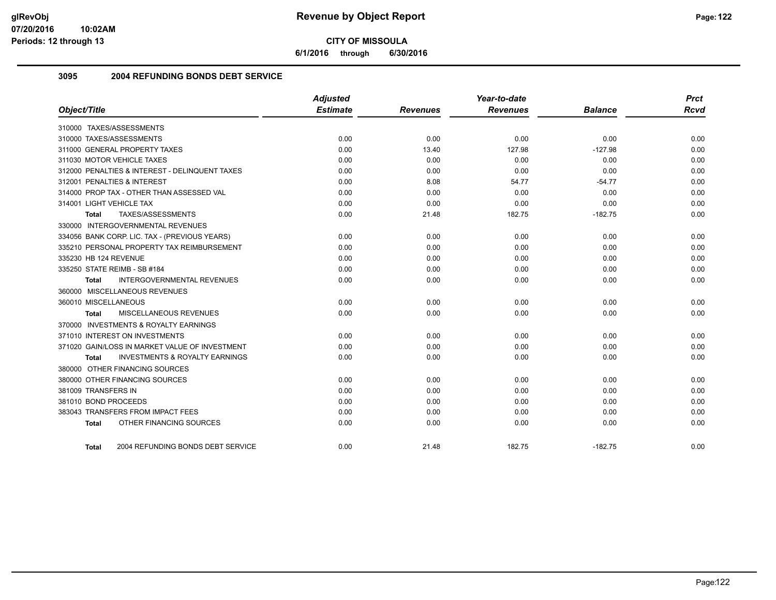**6/1/2016 through 6/30/2016**

## **3095 2004 REFUNDING BONDS DEBT SERVICE**

| Object/Title                                              | <b>Adjusted</b><br><b>Estimate</b> | <b>Revenues</b> | Year-to-date<br><b>Revenues</b> | <b>Balance</b> | <b>Prct</b><br><b>Rcvd</b> |
|-----------------------------------------------------------|------------------------------------|-----------------|---------------------------------|----------------|----------------------------|
|                                                           |                                    |                 |                                 |                |                            |
| 310000 TAXES/ASSESSMENTS                                  |                                    |                 |                                 |                |                            |
| 310000 TAXES/ASSESSMENTS                                  | 0.00                               | 0.00            | 0.00                            | 0.00           | 0.00                       |
| 311000 GENERAL PROPERTY TAXES                             | 0.00                               | 13.40           | 127.98                          | $-127.98$      | 0.00                       |
| 311030 MOTOR VEHICLE TAXES                                | 0.00                               | 0.00            | 0.00                            | 0.00           | 0.00                       |
| 312000 PENALTIES & INTEREST - DELINQUENT TAXES            | 0.00                               | 0.00            | 0.00                            | 0.00           | 0.00                       |
| 312001 PENALTIES & INTEREST                               | 0.00                               | 8.08            | 54.77                           | $-54.77$       | 0.00                       |
| 314000 PROP TAX - OTHER THAN ASSESSED VAL                 | 0.00                               | 0.00            | 0.00                            | 0.00           | 0.00                       |
| 314001 LIGHT VEHICLE TAX                                  | 0.00                               | 0.00            | 0.00                            | 0.00           | 0.00                       |
| TAXES/ASSESSMENTS<br><b>Total</b>                         | 0.00                               | 21.48           | 182.75                          | $-182.75$      | 0.00                       |
| 330000 INTERGOVERNMENTAL REVENUES                         |                                    |                 |                                 |                |                            |
| 334056 BANK CORP. LIC. TAX - (PREVIOUS YEARS)             | 0.00                               | 0.00            | 0.00                            | 0.00           | 0.00                       |
| 335210 PERSONAL PROPERTY TAX REIMBURSEMENT                | 0.00                               | 0.00            | 0.00                            | 0.00           | 0.00                       |
| 335230 HB 124 REVENUE                                     | 0.00                               | 0.00            | 0.00                            | 0.00           | 0.00                       |
| 335250 STATE REIMB - SB #184                              | 0.00                               | 0.00            | 0.00                            | 0.00           | 0.00                       |
| <b>INTERGOVERNMENTAL REVENUES</b><br><b>Total</b>         | 0.00                               | 0.00            | 0.00                            | 0.00           | 0.00                       |
| 360000 MISCELLANEOUS REVENUES                             |                                    |                 |                                 |                |                            |
| 360010 MISCELLANEOUS                                      | 0.00                               | 0.00            | 0.00                            | 0.00           | 0.00                       |
| <b>MISCELLANEOUS REVENUES</b><br><b>Total</b>             | 0.00                               | 0.00            | 0.00                            | 0.00           | 0.00                       |
| 370000 INVESTMENTS & ROYALTY EARNINGS                     |                                    |                 |                                 |                |                            |
| 371010 INTEREST ON INVESTMENTS                            | 0.00                               | 0.00            | 0.00                            | 0.00           | 0.00                       |
| 371020 GAIN/LOSS IN MARKET VALUE OF INVESTMENT            | 0.00                               | 0.00            | 0.00                            | 0.00           | 0.00                       |
| <b>INVESTMENTS &amp; ROYALTY EARNINGS</b><br><b>Total</b> | 0.00                               | 0.00            | 0.00                            | 0.00           | 0.00                       |
| 380000 OTHER FINANCING SOURCES                            |                                    |                 |                                 |                |                            |
| 380000 OTHER FINANCING SOURCES                            | 0.00                               | 0.00            | 0.00                            | 0.00           | 0.00                       |
| 381009 TRANSFERS IN                                       | 0.00                               | 0.00            | 0.00                            | 0.00           | 0.00                       |
| 381010 BOND PROCEEDS                                      | 0.00                               | 0.00            | 0.00                            | 0.00           | 0.00                       |
| 383043 TRANSFERS FROM IMPACT FEES                         | 0.00                               | 0.00            | 0.00                            | 0.00           | 0.00                       |
| OTHER FINANCING SOURCES<br><b>Total</b>                   | 0.00                               | 0.00            | 0.00                            | 0.00           | 0.00                       |
|                                                           |                                    |                 |                                 |                |                            |
| 2004 REFUNDING BONDS DEBT SERVICE<br><b>Total</b>         | 0.00                               | 21.48           | 182.75                          | $-182.75$      | 0.00                       |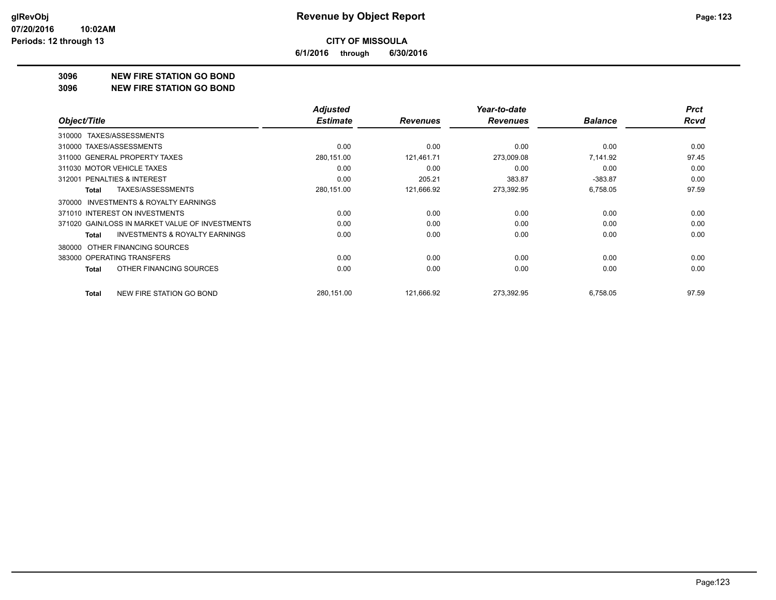**6/1/2016 through 6/30/2016**

#### **3096 NEW FIRE STATION GO BOND**

#### **3096 NEW FIRE STATION GO BOND**

|                                                     | <b>Adjusted</b> |                 | Year-to-date    |                | <b>Prct</b> |
|-----------------------------------------------------|-----------------|-----------------|-----------------|----------------|-------------|
| Object/Title                                        | <b>Estimate</b> | <b>Revenues</b> | <b>Revenues</b> | <b>Balance</b> | <b>Rcvd</b> |
| TAXES/ASSESSMENTS<br>310000                         |                 |                 |                 |                |             |
| 310000 TAXES/ASSESSMENTS                            | 0.00            | 0.00            | 0.00            | 0.00           | 0.00        |
| 311000 GENERAL PROPERTY TAXES                       | 280,151.00      | 121,461.71      | 273,009.08      | 7.141.92       | 97.45       |
| 311030 MOTOR VEHICLE TAXES                          | 0.00            | 0.00            | 0.00            | 0.00           | 0.00        |
| 312001 PENALTIES & INTEREST                         | 0.00            | 205.21          | 383.87          | $-383.87$      | 0.00        |
| TAXES/ASSESSMENTS<br>Total                          | 280,151.00      | 121,666.92      | 273,392.95      | 6,758.05       | 97.59       |
| <b>INVESTMENTS &amp; ROYALTY EARNINGS</b><br>370000 |                 |                 |                 |                |             |
| 371010 INTEREST ON INVESTMENTS                      | 0.00            | 0.00            | 0.00            | 0.00           | 0.00        |
| 371020 GAIN/LOSS IN MARKET VALUE OF INVESTMENTS     | 0.00            | 0.00            | 0.00            | 0.00           | 0.00        |
| <b>INVESTMENTS &amp; ROYALTY EARNINGS</b><br>Total  | 0.00            | 0.00            | 0.00            | 0.00           | 0.00        |
| OTHER FINANCING SOURCES<br>380000                   |                 |                 |                 |                |             |
| 383000 OPERATING TRANSFERS                          | 0.00            | 0.00            | 0.00            | 0.00           | 0.00        |
| OTHER FINANCING SOURCES<br>Total                    | 0.00            | 0.00            | 0.00            | 0.00           | 0.00        |
| NEW FIRE STATION GO BOND<br>Total                   | 280,151.00      | 121,666.92      | 273,392.95      | 6,758.05       | 97.59       |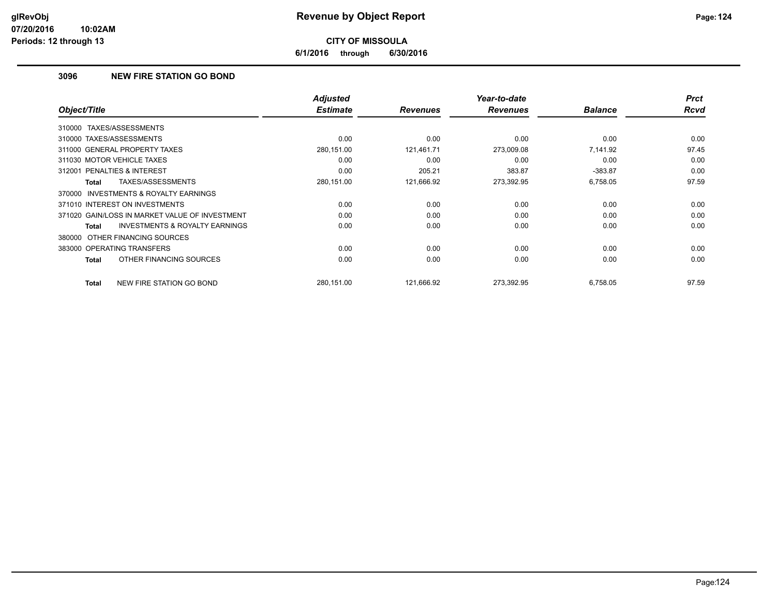**6/1/2016 through 6/30/2016**

## **3096 NEW FIRE STATION GO BOND**

| Object/Title                                              | <b>Adjusted</b><br><b>Estimate</b> | <b>Revenues</b> | Year-to-date<br><b>Revenues</b> | <b>Balance</b> | <b>Prct</b><br><b>Rcvd</b> |
|-----------------------------------------------------------|------------------------------------|-----------------|---------------------------------|----------------|----------------------------|
|                                                           |                                    |                 |                                 |                |                            |
| TAXES/ASSESSMENTS<br>310000                               |                                    |                 |                                 |                |                            |
| 310000 TAXES/ASSESSMENTS                                  | 0.00                               | 0.00            | 0.00                            | 0.00           | 0.00                       |
| 311000 GENERAL PROPERTY TAXES                             | 280,151.00                         | 121,461.71      | 273,009.08                      | 7,141.92       | 97.45                      |
| 311030 MOTOR VEHICLE TAXES                                | 0.00                               | 0.00            | 0.00                            | 0.00           | 0.00                       |
| 312001 PENALTIES & INTEREST                               | 0.00                               | 205.21          | 383.87                          | $-383.87$      | 0.00                       |
| <b>TAXES/ASSESSMENTS</b><br><b>Total</b>                  | 280,151.00                         | 121,666.92      | 273,392.95                      | 6,758.05       | 97.59                      |
| <b>INVESTMENTS &amp; ROYALTY EARNINGS</b><br>370000       |                                    |                 |                                 |                |                            |
| 371010 INTEREST ON INVESTMENTS                            | 0.00                               | 0.00            | 0.00                            | 0.00           | 0.00                       |
| 371020 GAIN/LOSS IN MARKET VALUE OF INVESTMENT            | 0.00                               | 0.00            | 0.00                            | 0.00           | 0.00                       |
| <b>INVESTMENTS &amp; ROYALTY EARNINGS</b><br><b>Total</b> | 0.00                               | 0.00            | 0.00                            | 0.00           | 0.00                       |
| 380000 OTHER FINANCING SOURCES                            |                                    |                 |                                 |                |                            |
| 383000 OPERATING TRANSFERS                                | 0.00                               | 0.00            | 0.00                            | 0.00           | 0.00                       |
| OTHER FINANCING SOURCES<br><b>Total</b>                   | 0.00                               | 0.00            | 0.00                            | 0.00           | 0.00                       |
| <b>NEW FIRE STATION GO BOND</b><br><b>Total</b>           | 280.151.00                         | 121,666.92      | 273.392.95                      | 6,758.05       | 97.59                      |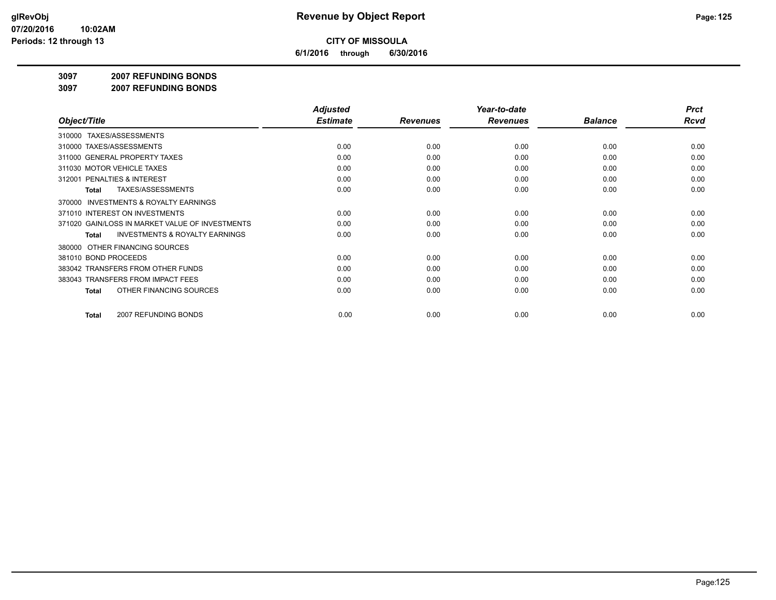**6/1/2016 through 6/30/2016**

#### **3097 2007 REFUNDING BONDS**

**3097 2007 REFUNDING BONDS**

|                                                           | <b>Adjusted</b> |                 | Year-to-date    |                | <b>Prct</b> |
|-----------------------------------------------------------|-----------------|-----------------|-----------------|----------------|-------------|
| Object/Title                                              | <b>Estimate</b> | <b>Revenues</b> | <b>Revenues</b> | <b>Balance</b> | <b>Rcvd</b> |
| 310000 TAXES/ASSESSMENTS                                  |                 |                 |                 |                |             |
| 310000 TAXES/ASSESSMENTS                                  | 0.00            | 0.00            | 0.00            | 0.00           | 0.00        |
| 311000 GENERAL PROPERTY TAXES                             | 0.00            | 0.00            | 0.00            | 0.00           | 0.00        |
| 311030 MOTOR VEHICLE TAXES                                | 0.00            | 0.00            | 0.00            | 0.00           | 0.00        |
| 312001 PENALTIES & INTEREST                               | 0.00            | 0.00            | 0.00            | 0.00           | 0.00        |
| <b>TAXES/ASSESSMENTS</b><br><b>Total</b>                  | 0.00            | 0.00            | 0.00            | 0.00           | 0.00        |
| <b>INVESTMENTS &amp; ROYALTY EARNINGS</b><br>370000       |                 |                 |                 |                |             |
| 371010 INTEREST ON INVESTMENTS                            | 0.00            | 0.00            | 0.00            | 0.00           | 0.00        |
| 371020 GAIN/LOSS IN MARKET VALUE OF INVESTMENTS           | 0.00            | 0.00            | 0.00            | 0.00           | 0.00        |
| <b>INVESTMENTS &amp; ROYALTY EARNINGS</b><br><b>Total</b> | 0.00            | 0.00            | 0.00            | 0.00           | 0.00        |
| OTHER FINANCING SOURCES<br>380000                         |                 |                 |                 |                |             |
| 381010 BOND PROCEEDS                                      | 0.00            | 0.00            | 0.00            | 0.00           | 0.00        |
| 383042 TRANSFERS FROM OTHER FUNDS                         | 0.00            | 0.00            | 0.00            | 0.00           | 0.00        |
| 383043 TRANSFERS FROM IMPACT FEES                         | 0.00            | 0.00            | 0.00            | 0.00           | 0.00        |
| OTHER FINANCING SOURCES<br>Total                          | 0.00            | 0.00            | 0.00            | 0.00           | 0.00        |
|                                                           |                 |                 |                 |                | 0.00        |
| 2007 REFUNDING BONDS<br><b>Total</b>                      | 0.00            | 0.00            | 0.00            | 0.00           |             |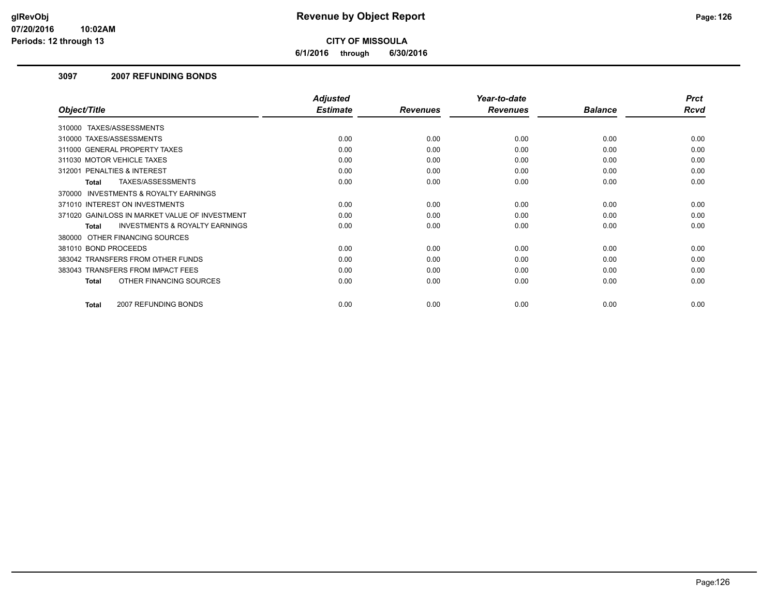**6/1/2016 through 6/30/2016**

#### **3097 2007 REFUNDING BONDS**

|                                                    | <b>Adjusted</b> |                 | Year-to-date    |                | <b>Prct</b> |
|----------------------------------------------------|-----------------|-----------------|-----------------|----------------|-------------|
| Object/Title                                       | <b>Estimate</b> | <b>Revenues</b> | <b>Revenues</b> | <b>Balance</b> | <b>Rcvd</b> |
| 310000 TAXES/ASSESSMENTS                           |                 |                 |                 |                |             |
| 310000 TAXES/ASSESSMENTS                           | 0.00            | 0.00            | 0.00            | 0.00           | 0.00        |
| 311000 GENERAL PROPERTY TAXES                      | 0.00            | 0.00            | 0.00            | 0.00           | 0.00        |
| 311030 MOTOR VEHICLE TAXES                         | 0.00            | 0.00            | 0.00            | 0.00           | 0.00        |
| 312001 PENALTIES & INTEREST                        | 0.00            | 0.00            | 0.00            | 0.00           | 0.00        |
| TAXES/ASSESSMENTS<br><b>Total</b>                  | 0.00            | 0.00            | 0.00            | 0.00           | 0.00        |
| 370000 INVESTMENTS & ROYALTY EARNINGS              |                 |                 |                 |                |             |
| 371010 INTEREST ON INVESTMENTS                     | 0.00            | 0.00            | 0.00            | 0.00           | 0.00        |
| 371020 GAIN/LOSS IN MARKET VALUE OF INVESTMENT     | 0.00            | 0.00            | 0.00            | 0.00           | 0.00        |
| <b>INVESTMENTS &amp; ROYALTY EARNINGS</b><br>Total | 0.00            | 0.00            | 0.00            | 0.00           | 0.00        |
| 380000 OTHER FINANCING SOURCES                     |                 |                 |                 |                |             |
| 381010 BOND PROCEEDS                               | 0.00            | 0.00            | 0.00            | 0.00           | 0.00        |
| 383042 TRANSFERS FROM OTHER FUNDS                  | 0.00            | 0.00            | 0.00            | 0.00           | 0.00        |
| 383043 TRANSFERS FROM IMPACT FEES                  | 0.00            | 0.00            | 0.00            | 0.00           | 0.00        |
| OTHER FINANCING SOURCES<br><b>Total</b>            | 0.00            | 0.00            | 0.00            | 0.00           | 0.00        |
| 2007 REFUNDING BONDS<br>Total                      | 0.00            | 0.00            | 0.00            | 0.00           | 0.00        |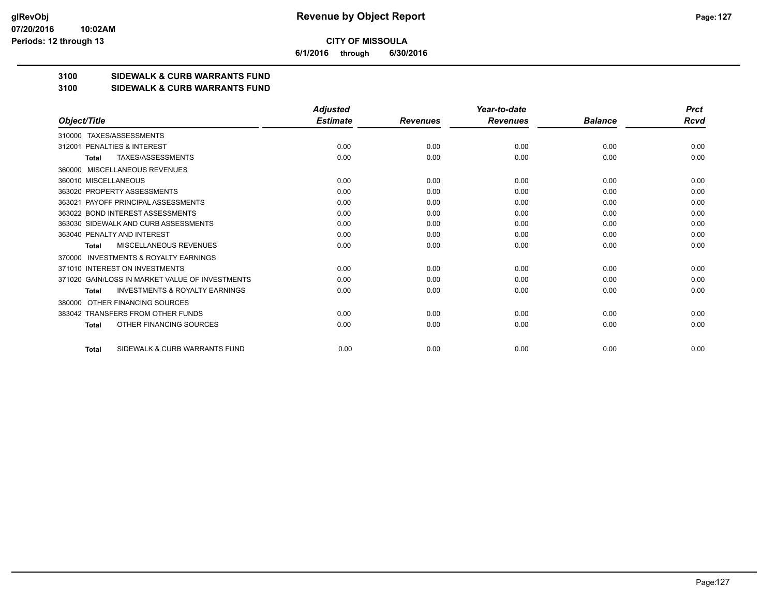**6/1/2016 through 6/30/2016**

## **3100 SIDEWALK & CURB WARRANTS FUND**

#### **3100 SIDEWALK & CURB WARRANTS FUND**

|                                                           | <b>Adjusted</b> |                 | Year-to-date    |                | <b>Prct</b> |
|-----------------------------------------------------------|-----------------|-----------------|-----------------|----------------|-------------|
| Object/Title                                              | <b>Estimate</b> | <b>Revenues</b> | <b>Revenues</b> | <b>Balance</b> | <b>Rcvd</b> |
| TAXES/ASSESSMENTS<br>310000                               |                 |                 |                 |                |             |
| PENALTIES & INTEREST<br>312001                            | 0.00            | 0.00            | 0.00            | 0.00           | 0.00        |
| <b>TAXES/ASSESSMENTS</b><br><b>Total</b>                  | 0.00            | 0.00            | 0.00            | 0.00           | 0.00        |
| MISCELLANEOUS REVENUES<br>360000                          |                 |                 |                 |                |             |
| 360010 MISCELLANEOUS                                      | 0.00            | 0.00            | 0.00            | 0.00           | 0.00        |
| 363020 PROPERTY ASSESSMENTS                               | 0.00            | 0.00            | 0.00            | 0.00           | 0.00        |
| 363021 PAYOFF PRINCIPAL ASSESSMENTS                       | 0.00            | 0.00            | 0.00            | 0.00           | 0.00        |
| 363022 BOND INTEREST ASSESSMENTS                          | 0.00            | 0.00            | 0.00            | 0.00           | 0.00        |
| 363030 SIDEWALK AND CURB ASSESSMENTS                      | 0.00            | 0.00            | 0.00            | 0.00           | 0.00        |
| 363040 PENALTY AND INTEREST                               | 0.00            | 0.00            | 0.00            | 0.00           | 0.00        |
| MISCELLANEOUS REVENUES<br><b>Total</b>                    | 0.00            | 0.00            | 0.00            | 0.00           | 0.00        |
| <b>INVESTMENTS &amp; ROYALTY EARNINGS</b><br>370000       |                 |                 |                 |                |             |
| 371010 INTEREST ON INVESTMENTS                            | 0.00            | 0.00            | 0.00            | 0.00           | 0.00        |
| 371020 GAIN/LOSS IN MARKET VALUE OF INVESTMENTS           | 0.00            | 0.00            | 0.00            | 0.00           | 0.00        |
| <b>INVESTMENTS &amp; ROYALTY EARNINGS</b><br><b>Total</b> | 0.00            | 0.00            | 0.00            | 0.00           | 0.00        |
| OTHER FINANCING SOURCES<br>380000                         |                 |                 |                 |                |             |
| 383042 TRANSFERS FROM OTHER FUNDS                         | 0.00            | 0.00            | 0.00            | 0.00           | 0.00        |
| OTHER FINANCING SOURCES<br><b>Total</b>                   | 0.00            | 0.00            | 0.00            | 0.00           | 0.00        |
| SIDEWALK & CURB WARRANTS FUND<br><b>Total</b>             | 0.00            | 0.00            | 0.00            | 0.00           | 0.00        |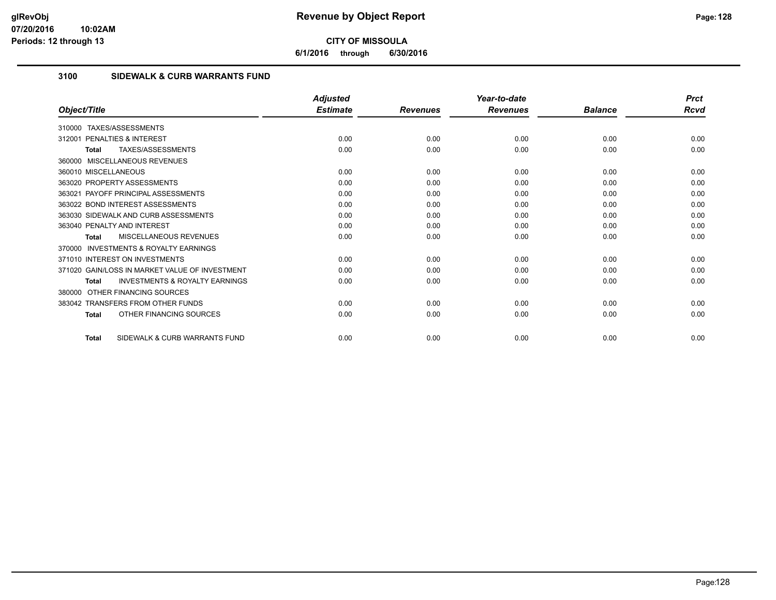**6/1/2016 through 6/30/2016**

## **3100 SIDEWALK & CURB WARRANTS FUND**

|                                                           | <b>Adjusted</b> |                 | Year-to-date    |                | <b>Prct</b> |
|-----------------------------------------------------------|-----------------|-----------------|-----------------|----------------|-------------|
| Object/Title                                              | <b>Estimate</b> | <b>Revenues</b> | <b>Revenues</b> | <b>Balance</b> | Rcvd        |
| TAXES/ASSESSMENTS<br>310000                               |                 |                 |                 |                |             |
| <b>PENALTIES &amp; INTEREST</b><br>312001                 | 0.00            | 0.00            | 0.00            | 0.00           | 0.00        |
| TAXES/ASSESSMENTS<br>Total                                | 0.00            | 0.00            | 0.00            | 0.00           | 0.00        |
| 360000 MISCELLANEOUS REVENUES                             |                 |                 |                 |                |             |
| 360010 MISCELLANEOUS                                      | 0.00            | 0.00            | 0.00            | 0.00           | 0.00        |
| 363020 PROPERTY ASSESSMENTS                               | 0.00            | 0.00            | 0.00            | 0.00           | 0.00        |
| 363021 PAYOFF PRINCIPAL ASSESSMENTS                       | 0.00            | 0.00            | 0.00            | 0.00           | 0.00        |
| 363022 BOND INTEREST ASSESSMENTS                          | 0.00            | 0.00            | 0.00            | 0.00           | 0.00        |
| 363030 SIDEWALK AND CURB ASSESSMENTS                      | 0.00            | 0.00            | 0.00            | 0.00           | 0.00        |
| 363040 PENALTY AND INTEREST                               | 0.00            | 0.00            | 0.00            | 0.00           | 0.00        |
| MISCELLANEOUS REVENUES<br><b>Total</b>                    | 0.00            | 0.00            | 0.00            | 0.00           | 0.00        |
| <b>INVESTMENTS &amp; ROYALTY EARNINGS</b><br>370000       |                 |                 |                 |                |             |
| 371010 INTEREST ON INVESTMENTS                            | 0.00            | 0.00            | 0.00            | 0.00           | 0.00        |
| 371020 GAIN/LOSS IN MARKET VALUE OF INVESTMENT            | 0.00            | 0.00            | 0.00            | 0.00           | 0.00        |
| <b>INVESTMENTS &amp; ROYALTY EARNINGS</b><br><b>Total</b> | 0.00            | 0.00            | 0.00            | 0.00           | 0.00        |
| OTHER FINANCING SOURCES<br>380000                         |                 |                 |                 |                |             |
| 383042 TRANSFERS FROM OTHER FUNDS                         | 0.00            | 0.00            | 0.00            | 0.00           | 0.00        |
| OTHER FINANCING SOURCES<br>Total                          | 0.00            | 0.00            | 0.00            | 0.00           | 0.00        |
| SIDEWALK & CURB WARRANTS FUND<br><b>Total</b>             | 0.00            | 0.00            | 0.00            | 0.00           | 0.00        |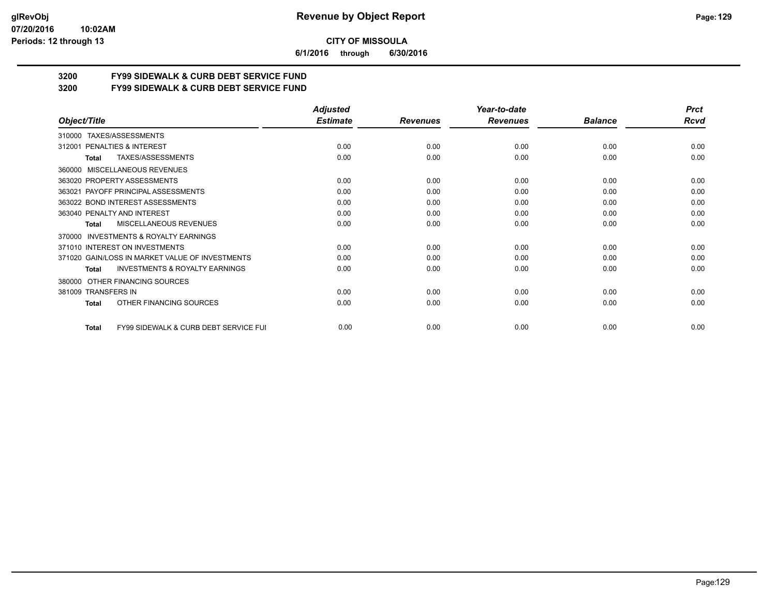#### **07/20/2016 10:02AM Periods: 12 through 13**

**CITY OF MISSOULA**

**6/1/2016 through 6/30/2016**

# **3200 FY99 SIDEWALK & CURB DEBT SERVICE FUND**

**3200 FY99 SIDEWALK & CURB DEBT SERVICE FUND**

|                                                                  | <b>Adjusted</b> |                 | Year-to-date    |                | <b>Prct</b> |
|------------------------------------------------------------------|-----------------|-----------------|-----------------|----------------|-------------|
| Object/Title                                                     | <b>Estimate</b> | <b>Revenues</b> | <b>Revenues</b> | <b>Balance</b> | <b>Rcvd</b> |
| TAXES/ASSESSMENTS<br>310000                                      |                 |                 |                 |                |             |
| PENALTIES & INTEREST<br>312001                                   | 0.00            | 0.00            | 0.00            | 0.00           | 0.00        |
| TAXES/ASSESSMENTS<br>Total                                       | 0.00            | 0.00            | 0.00            | 0.00           | 0.00        |
| <b>MISCELLANEOUS REVENUES</b><br>360000                          |                 |                 |                 |                |             |
| 363020 PROPERTY ASSESSMENTS                                      | 0.00            | 0.00            | 0.00            | 0.00           | 0.00        |
| 363021 PAYOFF PRINCIPAL ASSESSMENTS                              | 0.00            | 0.00            | 0.00            | 0.00           | 0.00        |
| 363022 BOND INTEREST ASSESSMENTS                                 | 0.00            | 0.00            | 0.00            | 0.00           | 0.00        |
| 363040 PENALTY AND INTEREST                                      | 0.00            | 0.00            | 0.00            | 0.00           | 0.00        |
| MISCELLANEOUS REVENUES<br>Total                                  | 0.00            | 0.00            | 0.00            | 0.00           | 0.00        |
| <b>INVESTMENTS &amp; ROYALTY EARNINGS</b><br>370000              |                 |                 |                 |                |             |
| 371010 INTEREST ON INVESTMENTS                                   | 0.00            | 0.00            | 0.00            | 0.00           | 0.00        |
| 371020 GAIN/LOSS IN MARKET VALUE OF INVESTMENTS                  | 0.00            | 0.00            | 0.00            | 0.00           | 0.00        |
| <b>INVESTMENTS &amp; ROYALTY EARNINGS</b><br><b>Total</b>        | 0.00            | 0.00            | 0.00            | 0.00           | 0.00        |
| OTHER FINANCING SOURCES<br>380000                                |                 |                 |                 |                |             |
| 381009 TRANSFERS IN                                              | 0.00            | 0.00            | 0.00            | 0.00           | 0.00        |
| OTHER FINANCING SOURCES<br><b>Total</b>                          | 0.00            | 0.00            | 0.00            | 0.00           | 0.00        |
| <b>FY99 SIDEWALK &amp; CURB DEBT SERVICE FUI</b><br><b>Total</b> | 0.00            | 0.00            | 0.00            | 0.00           | 0.00        |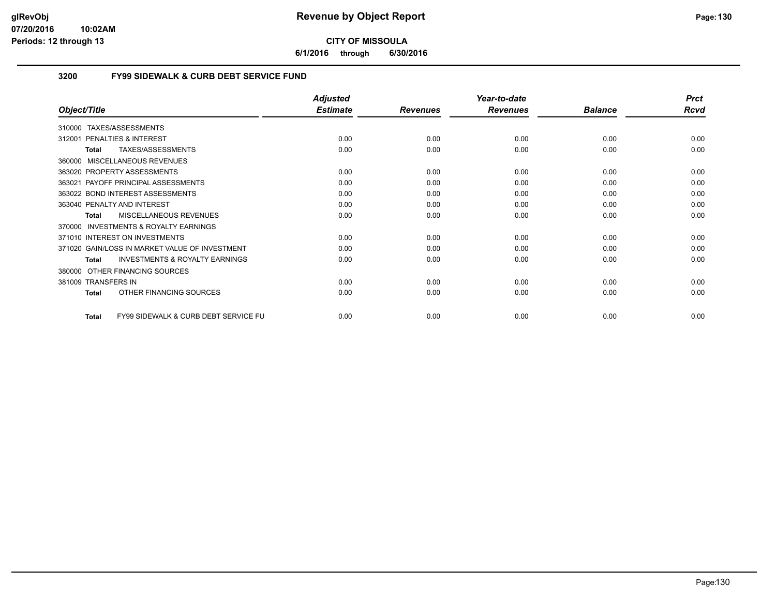**6/1/2016 through 6/30/2016**

## **3200 FY99 SIDEWALK & CURB DEBT SERVICE FUND**

|                                                          | <b>Adjusted</b> |                 | Year-to-date    |                | <b>Prct</b> |
|----------------------------------------------------------|-----------------|-----------------|-----------------|----------------|-------------|
| Object/Title                                             | <b>Estimate</b> | <b>Revenues</b> | <b>Revenues</b> | <b>Balance</b> | <b>Rcvd</b> |
| TAXES/ASSESSMENTS<br>310000                              |                 |                 |                 |                |             |
| PENALTIES & INTEREST<br>312001                           | 0.00            | 0.00            | 0.00            | 0.00           | 0.00        |
| TAXES/ASSESSMENTS<br><b>Total</b>                        | 0.00            | 0.00            | 0.00            | 0.00           | 0.00        |
| 360000 MISCELLANEOUS REVENUES                            |                 |                 |                 |                |             |
| 363020 PROPERTY ASSESSMENTS                              | 0.00            | 0.00            | 0.00            | 0.00           | 0.00        |
| PAYOFF PRINCIPAL ASSESSMENTS<br>363021                   | 0.00            | 0.00            | 0.00            | 0.00           | 0.00        |
| 363022 BOND INTEREST ASSESSMENTS                         | 0.00            | 0.00            | 0.00            | 0.00           | 0.00        |
| 363040 PENALTY AND INTEREST                              | 0.00            | 0.00            | 0.00            | 0.00           | 0.00        |
| MISCELLANEOUS REVENUES<br>Total                          | 0.00            | 0.00            | 0.00            | 0.00           | 0.00        |
| INVESTMENTS & ROYALTY EARNINGS<br>370000                 |                 |                 |                 |                |             |
| 371010 INTEREST ON INVESTMENTS                           | 0.00            | 0.00            | 0.00            | 0.00           | 0.00        |
| 371020 GAIN/LOSS IN MARKET VALUE OF INVESTMENT           | 0.00            | 0.00            | 0.00            | 0.00           | 0.00        |
| <b>INVESTMENTS &amp; ROYALTY EARNINGS</b><br>Total       | 0.00            | 0.00            | 0.00            | 0.00           | 0.00        |
| OTHER FINANCING SOURCES<br>380000                        |                 |                 |                 |                |             |
| 381009 TRANSFERS IN                                      | 0.00            | 0.00            | 0.00            | 0.00           | 0.00        |
| OTHER FINANCING SOURCES<br><b>Total</b>                  | 0.00            | 0.00            | 0.00            | 0.00           | 0.00        |
| <b>FY99 SIDEWALK &amp; CURB DEBT SERVICE FU</b><br>Total | 0.00            | 0.00            | 0.00            | 0.00           | 0.00        |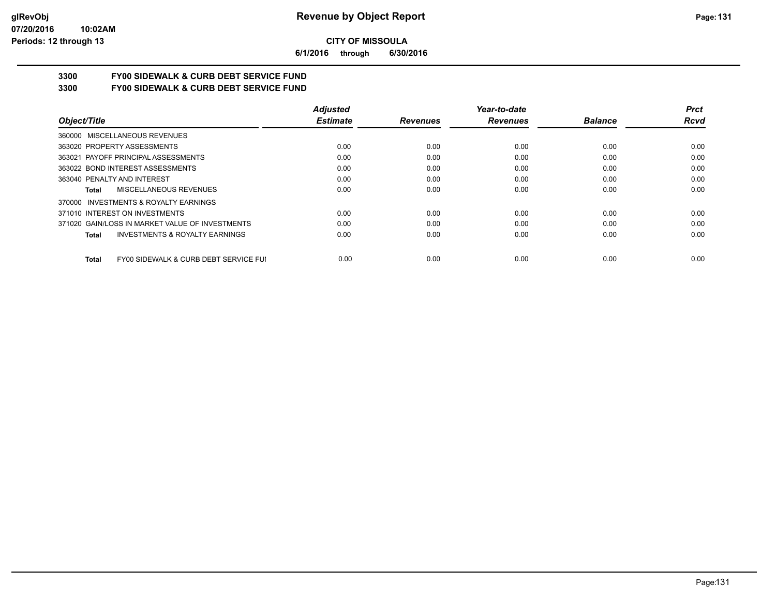**6/1/2016 through 6/30/2016**

# **3300 FY00 SIDEWALK & CURB DEBT SERVICE FUND**

**3300 FY00 SIDEWALK & CURB DEBT SERVICE FUND**

|                                                           | <b>Adjusted</b> |                 | Year-to-date    |                | <b>Prct</b> |
|-----------------------------------------------------------|-----------------|-----------------|-----------------|----------------|-------------|
| Object/Title                                              | <b>Estimate</b> | <b>Revenues</b> | <b>Revenues</b> | <b>Balance</b> | Rcvd        |
| 360000 MISCELLANEOUS REVENUES                             |                 |                 |                 |                |             |
| 363020 PROPERTY ASSESSMENTS                               | 0.00            | 0.00            | 0.00            | 0.00           | 0.00        |
| 363021 PAYOFF PRINCIPAL ASSESSMENTS                       | 0.00            | 0.00            | 0.00            | 0.00           | 0.00        |
| 363022 BOND INTEREST ASSESSMENTS                          | 0.00            | 0.00            | 0.00            | 0.00           | 0.00        |
| 363040 PENALTY AND INTEREST                               | 0.00            | 0.00            | 0.00            | 0.00           | 0.00        |
| MISCELLANEOUS REVENUES<br>Total                           | 0.00            | 0.00            | 0.00            | 0.00           | 0.00        |
| INVESTMENTS & ROYALTY EARNINGS<br>370000                  |                 |                 |                 |                |             |
| 371010 INTEREST ON INVESTMENTS                            | 0.00            | 0.00            | 0.00            | 0.00           | 0.00        |
| 371020 GAIN/LOSS IN MARKET VALUE OF INVESTMENTS           | 0.00            | 0.00            | 0.00            | 0.00           | 0.00        |
| <b>INVESTMENTS &amp; ROYALTY EARNINGS</b><br><b>Total</b> | 0.00            | 0.00            | 0.00            | 0.00           | 0.00        |
| FY00 SIDEWALK & CURB DEBT SERVICE FUI<br><b>Total</b>     | 0.00            | 0.00            | 0.00            | 0.00           | 0.00        |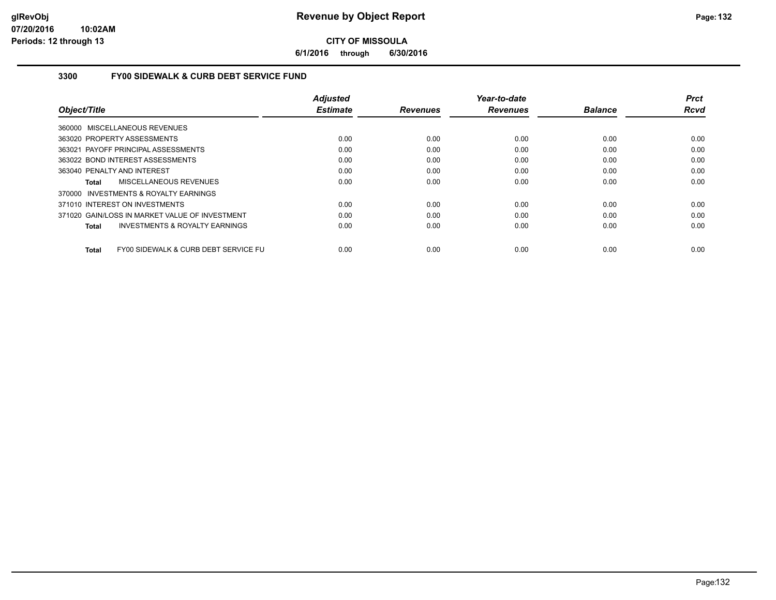**6/1/2016 through 6/30/2016**

## **3300 FY00 SIDEWALK & CURB DEBT SERVICE FUND**

|                                                    | <b>Adjusted</b> |                 | Year-to-date    |                | <b>Prct</b> |
|----------------------------------------------------|-----------------|-----------------|-----------------|----------------|-------------|
| Object/Title                                       | <b>Estimate</b> | <b>Revenues</b> | <b>Revenues</b> | <b>Balance</b> | <b>Rcvd</b> |
| 360000 MISCELLANEOUS REVENUES                      |                 |                 |                 |                |             |
| 363020 PROPERTY ASSESSMENTS                        | 0.00            | 0.00            | 0.00            | 0.00           | 0.00        |
| 363021 PAYOFF PRINCIPAL ASSESSMENTS                | 0.00            | 0.00            | 0.00            | 0.00           | 0.00        |
| 363022 BOND INTEREST ASSESSMENTS                   | 0.00            | 0.00            | 0.00            | 0.00           | 0.00        |
| 363040 PENALTY AND INTEREST                        | 0.00            | 0.00            | 0.00            | 0.00           | 0.00        |
| MISCELLANEOUS REVENUES<br>Total                    | 0.00            | 0.00            | 0.00            | 0.00           | 0.00        |
| 370000 INVESTMENTS & ROYALTY EARNINGS              |                 |                 |                 |                |             |
| 371010 INTEREST ON INVESTMENTS                     | 0.00            | 0.00            | 0.00            | 0.00           | 0.00        |
| 371020 GAIN/LOSS IN MARKET VALUE OF INVESTMENT     | 0.00            | 0.00            | 0.00            | 0.00           | 0.00        |
| <b>INVESTMENTS &amp; ROYALTY EARNINGS</b><br>Total | 0.00            | 0.00            | 0.00            | 0.00           | 0.00        |
| FY00 SIDEWALK & CURB DEBT SERVICE FU<br>Total      | 0.00            | 0.00            | 0.00            | 0.00           | 0.00        |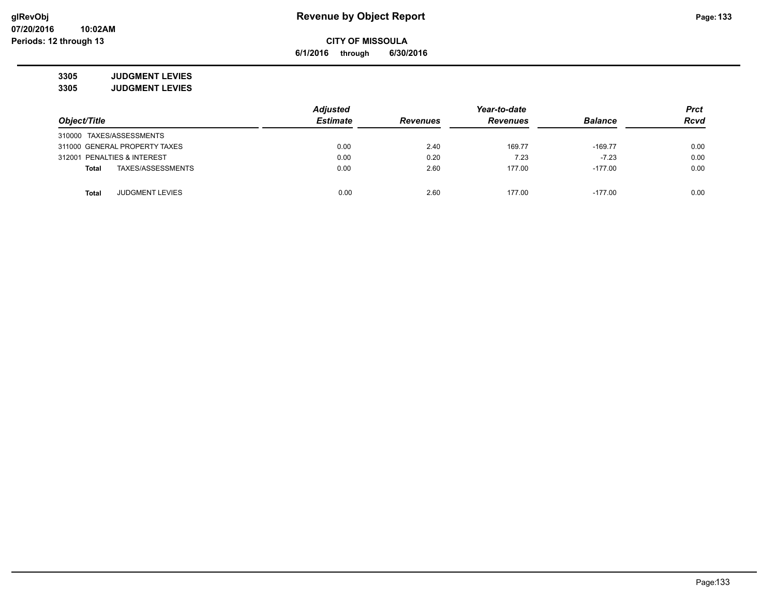**6/1/2016 through 6/30/2016**

**3305 JUDGMENT LEVIES 3305 JUDGMENT LEVIES**

|                                        | <b>Adjusted</b> |                 |                 | <b>Prct</b>    |             |
|----------------------------------------|-----------------|-----------------|-----------------|----------------|-------------|
| Object/Title                           | <b>Estimate</b> | <b>Revenues</b> | <b>Revenues</b> | <b>Balance</b> | <b>Rcvd</b> |
| 310000 TAXES/ASSESSMENTS               |                 |                 |                 |                |             |
| 311000 GENERAL PROPERTY TAXES          | 0.00            | 2.40            | 169.77          | $-169.77$      | 0.00        |
| 312001 PENALTIES & INTEREST            | 0.00            | 0.20            | 7.23            | $-7.23$        | 0.00        |
| TAXES/ASSESSMENTS<br><b>Total</b>      | 0.00            | 2.60            | 177.00          | $-177.00$      | 0.00        |
| <b>JUDGMENT LEVIES</b><br><b>Total</b> | 0.00            | 2.60            | 177.00          | $-177.00$      | 0.00        |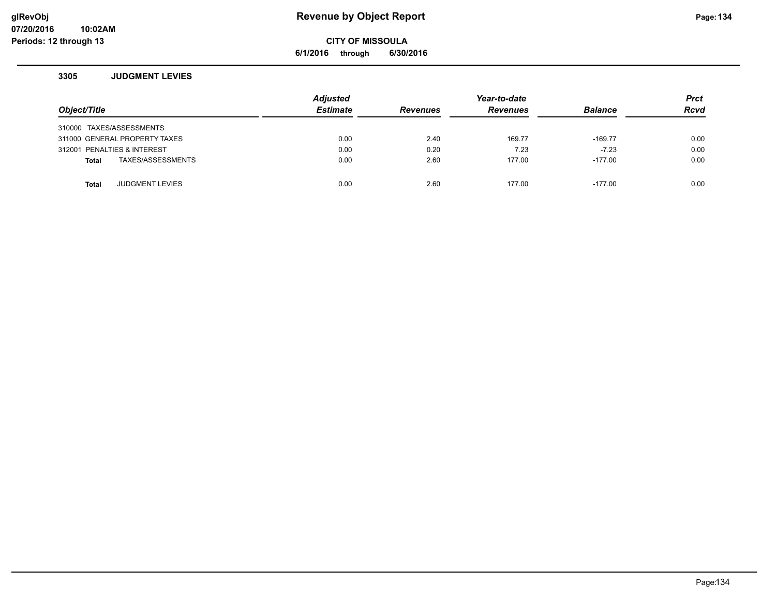## **glRevObj Revenue by Object Report Page:134**

**6/1/2016 through 6/30/2016**

#### **3305 JUDGMENT LEVIES**

| Object/Title                           |                   | <b>Adjusted</b><br><b>Estimate</b> | <b>Revenues</b> | Year-to-date<br><b>Revenues</b> | <b>Balance</b> | <b>Prct</b><br><b>Rcvd</b> |
|----------------------------------------|-------------------|------------------------------------|-----------------|---------------------------------|----------------|----------------------------|
| 310000 TAXES/ASSESSMENTS               |                   |                                    |                 |                                 |                |                            |
| 311000 GENERAL PROPERTY TAXES          |                   | 0.00                               | 2.40            | 169.77                          | $-169.77$      | 0.00                       |
| 312001 PENALTIES & INTEREST            |                   | 0.00                               | 0.20            | 7.23                            | $-7.23$        | 0.00                       |
| Total                                  | TAXES/ASSESSMENTS | 0.00                               | 2.60            | 177.00                          | $-177.00$      | 0.00                       |
|                                        |                   |                                    |                 |                                 |                |                            |
| <b>JUDGMENT LEVIES</b><br><b>Total</b> |                   | 0.00                               | 2.60            | 177.00                          | $-177.00$      | 0.00                       |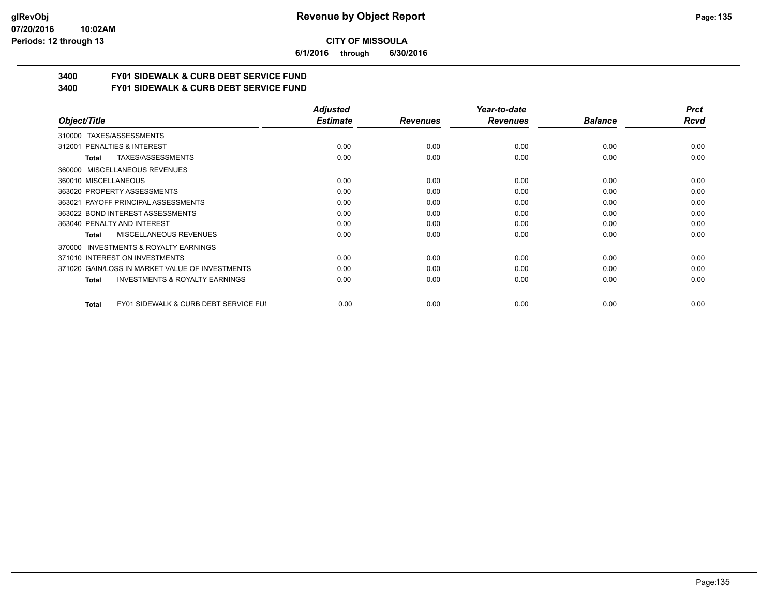#### **07/20/2016 10:02AM Periods: 12 through 13**

**CITY OF MISSOULA**

**6/1/2016 through 6/30/2016**

# **3400 FY01 SIDEWALK & CURB DEBT SERVICE FUND**

**3400 FY01 SIDEWALK & CURB DEBT SERVICE FUND**

|                                                           | <b>Adjusted</b> |                 | Year-to-date    |                | <b>Prct</b> |
|-----------------------------------------------------------|-----------------|-----------------|-----------------|----------------|-------------|
| Object/Title                                              | <b>Estimate</b> | <b>Revenues</b> | <b>Revenues</b> | <b>Balance</b> | <b>Rcvd</b> |
| TAXES/ASSESSMENTS<br>310000                               |                 |                 |                 |                |             |
| 312001 PENALTIES & INTEREST                               | 0.00            | 0.00            | 0.00            | 0.00           | 0.00        |
| TAXES/ASSESSMENTS<br>Total                                | 0.00            | 0.00            | 0.00            | 0.00           | 0.00        |
| 360000 MISCELLANEOUS REVENUES                             |                 |                 |                 |                |             |
| 360010 MISCELLANEOUS                                      | 0.00            | 0.00            | 0.00            | 0.00           | 0.00        |
| 363020 PROPERTY ASSESSMENTS                               | 0.00            | 0.00            | 0.00            | 0.00           | 0.00        |
| 363021 PAYOFF PRINCIPAL ASSESSMENTS                       | 0.00            | 0.00            | 0.00            | 0.00           | 0.00        |
| 363022 BOND INTEREST ASSESSMENTS                          | 0.00            | 0.00            | 0.00            | 0.00           | 0.00        |
| 363040 PENALTY AND INTEREST                               | 0.00            | 0.00            | 0.00            | 0.00           | 0.00        |
| <b>MISCELLANEOUS REVENUES</b><br>Total                    | 0.00            | 0.00            | 0.00            | 0.00           | 0.00        |
| <b>INVESTMENTS &amp; ROYALTY EARNINGS</b><br>370000       |                 |                 |                 |                |             |
| 371010 INTEREST ON INVESTMENTS                            | 0.00            | 0.00            | 0.00            | 0.00           | 0.00        |
| 371020 GAIN/LOSS IN MARKET VALUE OF INVESTMENTS           | 0.00            | 0.00            | 0.00            | 0.00           | 0.00        |
| <b>INVESTMENTS &amp; ROYALTY EARNINGS</b><br>Total        | 0.00            | 0.00            | 0.00            | 0.00           | 0.00        |
| <b>FY01 SIDEWALK &amp; CURB DEBT SERVICE FUI</b><br>Total | 0.00            | 0.00            | 0.00            | 0.00           | 0.00        |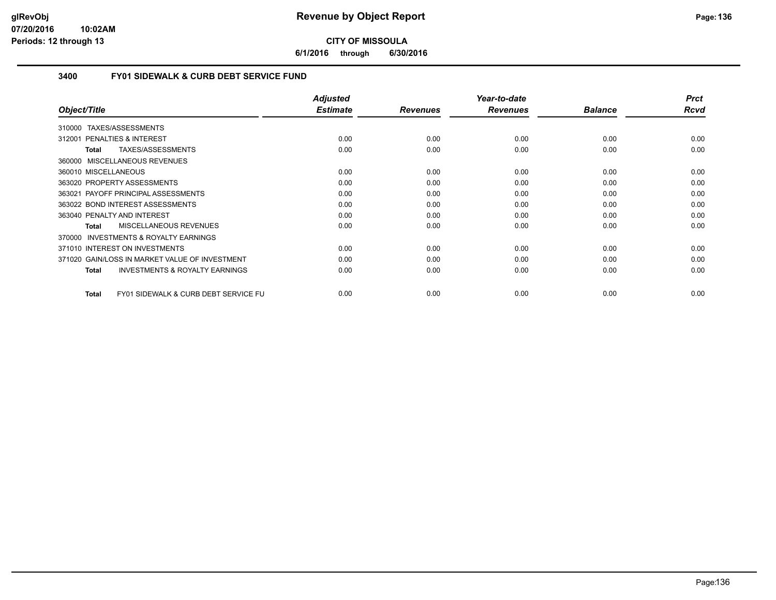**6/1/2016 through 6/30/2016**

## **3400 FY01 SIDEWALK & CURB DEBT SERVICE FUND**

|                                                           | <b>Adjusted</b> |                 | Year-to-date    |                | <b>Prct</b> |
|-----------------------------------------------------------|-----------------|-----------------|-----------------|----------------|-------------|
| Object/Title                                              | <b>Estimate</b> | <b>Revenues</b> | <b>Revenues</b> | <b>Balance</b> | Rcvd        |
| 310000 TAXES/ASSESSMENTS                                  |                 |                 |                 |                |             |
| PENALTIES & INTEREST<br>312001                            | 0.00            | 0.00            | 0.00            | 0.00           | 0.00        |
| TAXES/ASSESSMENTS<br><b>Total</b>                         | 0.00            | 0.00            | 0.00            | 0.00           | 0.00        |
| 360000 MISCELLANEOUS REVENUES                             |                 |                 |                 |                |             |
| 360010 MISCELLANEOUS                                      | 0.00            | 0.00            | 0.00            | 0.00           | 0.00        |
| 363020 PROPERTY ASSESSMENTS                               | 0.00            | 0.00            | 0.00            | 0.00           | 0.00        |
| PAYOFF PRINCIPAL ASSESSMENTS<br>363021                    | 0.00            | 0.00            | 0.00            | 0.00           | 0.00        |
| 363022 BOND INTEREST ASSESSMENTS                          | 0.00            | 0.00            | 0.00            | 0.00           | 0.00        |
| 363040 PENALTY AND INTEREST                               | 0.00            | 0.00            | 0.00            | 0.00           | 0.00        |
| <b>MISCELLANEOUS REVENUES</b><br><b>Total</b>             | 0.00            | 0.00            | 0.00            | 0.00           | 0.00        |
| INVESTMENTS & ROYALTY EARNINGS<br>370000                  |                 |                 |                 |                |             |
| 371010 INTEREST ON INVESTMENTS                            | 0.00            | 0.00            | 0.00            | 0.00           | 0.00        |
| 371020 GAIN/LOSS IN MARKET VALUE OF INVESTMENT            | 0.00            | 0.00            | 0.00            | 0.00           | 0.00        |
| <b>INVESTMENTS &amp; ROYALTY EARNINGS</b><br><b>Total</b> | 0.00            | 0.00            | 0.00            | 0.00           | 0.00        |
| FY01 SIDEWALK & CURB DEBT SERVICE FU<br><b>Total</b>      | 0.00            | 0.00            | 0.00            | 0.00           | 0.00        |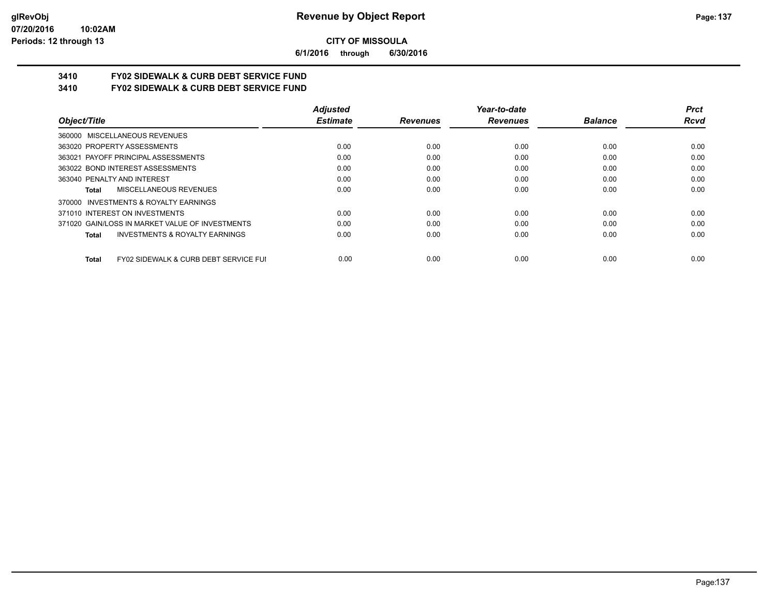**6/1/2016 through 6/30/2016**

# **3410 FY02 SIDEWALK & CURB DEBT SERVICE FUND**

**3410 FY02 SIDEWALK & CURB DEBT SERVICE FUND**

|                                                    | <b>Adjusted</b> |                 | Year-to-date    |                | <b>Prct</b> |
|----------------------------------------------------|-----------------|-----------------|-----------------|----------------|-------------|
| Object/Title                                       | <b>Estimate</b> | <b>Revenues</b> | <b>Revenues</b> | <b>Balance</b> | Rcvd        |
| 360000 MISCELLANEOUS REVENUES                      |                 |                 |                 |                |             |
| 363020 PROPERTY ASSESSMENTS                        | 0.00            | 0.00            | 0.00            | 0.00           | 0.00        |
| 363021 PAYOFF PRINCIPAL ASSESSMENTS                | 0.00            | 0.00            | 0.00            | 0.00           | 0.00        |
| 363022 BOND INTEREST ASSESSMENTS                   | 0.00            | 0.00            | 0.00            | 0.00           | 0.00        |
| 363040 PENALTY AND INTEREST                        | 0.00            | 0.00            | 0.00            | 0.00           | 0.00        |
| MISCELLANEOUS REVENUES<br>Total                    | 0.00            | 0.00            | 0.00            | 0.00           | 0.00        |
| 370000 INVESTMENTS & ROYALTY EARNINGS              |                 |                 |                 |                |             |
| 371010 INTEREST ON INVESTMENTS                     | 0.00            | 0.00            | 0.00            | 0.00           | 0.00        |
| 371020 GAIN/LOSS IN MARKET VALUE OF INVESTMENTS    | 0.00            | 0.00            | 0.00            | 0.00           | 0.00        |
| <b>INVESTMENTS &amp; ROYALTY EARNINGS</b><br>Total | 0.00            | 0.00            | 0.00            | 0.00           | 0.00        |
| FY02 SIDEWALK & CURB DEBT SERVICE FUI<br>Total     | 0.00            | 0.00            | 0.00            | 0.00           | 0.00        |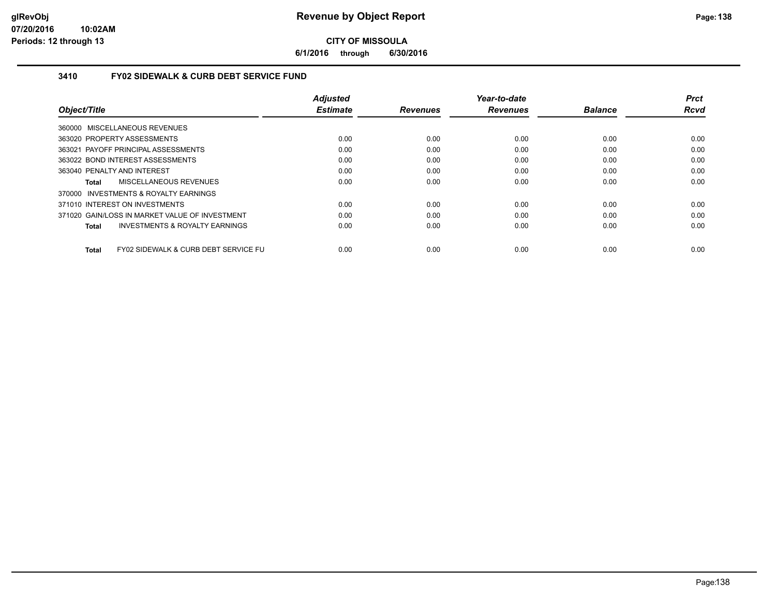**6/1/2016 through 6/30/2016**

## **3410 FY02 SIDEWALK & CURB DEBT SERVICE FUND**

|                                                      | <b>Adjusted</b> |                 | Year-to-date    |                | <b>Prct</b> |
|------------------------------------------------------|-----------------|-----------------|-----------------|----------------|-------------|
| Object/Title                                         | <b>Estimate</b> | <b>Revenues</b> | <b>Revenues</b> | <b>Balance</b> | <b>Rcvd</b> |
| 360000 MISCELLANEOUS REVENUES                        |                 |                 |                 |                |             |
| 363020 PROPERTY ASSESSMENTS                          | 0.00            | 0.00            | 0.00            | 0.00           | 0.00        |
| 363021 PAYOFF PRINCIPAL ASSESSMENTS                  | 0.00            | 0.00            | 0.00            | 0.00           | 0.00        |
| 363022 BOND INTEREST ASSESSMENTS                     | 0.00            | 0.00            | 0.00            | 0.00           | 0.00        |
| 363040 PENALTY AND INTEREST                          | 0.00            | 0.00            | 0.00            | 0.00           | 0.00        |
| MISCELLANEOUS REVENUES<br>Total                      | 0.00            | 0.00            | 0.00            | 0.00           | 0.00        |
| 370000 INVESTMENTS & ROYALTY EARNINGS                |                 |                 |                 |                |             |
| 371010 INTEREST ON INVESTMENTS                       | 0.00            | 0.00            | 0.00            | 0.00           | 0.00        |
| 371020 GAIN/LOSS IN MARKET VALUE OF INVESTMENT       | 0.00            | 0.00            | 0.00            | 0.00           | 0.00        |
| <b>INVESTMENTS &amp; ROYALTY EARNINGS</b><br>Total   | 0.00            | 0.00            | 0.00            | 0.00           | 0.00        |
| FY02 SIDEWALK & CURB DEBT SERVICE FU<br><b>Total</b> | 0.00            | 0.00            | 0.00            | 0.00           | 0.00        |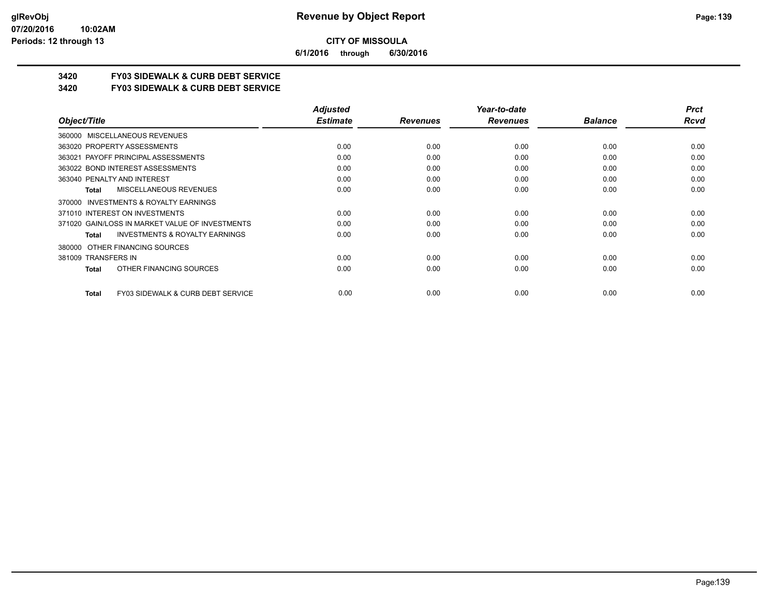**6/1/2016 through 6/30/2016**

# **3420 FY03 SIDEWALK & CURB DEBT SERVICE**

**3420 FY03 SIDEWALK & CURB DEBT SERVICE**

|                                                           | <b>Adjusted</b> |                 | Year-to-date    |                | <b>Prct</b> |
|-----------------------------------------------------------|-----------------|-----------------|-----------------|----------------|-------------|
| Object/Title                                              | <b>Estimate</b> | <b>Revenues</b> | <b>Revenues</b> | <b>Balance</b> | Rcvd        |
| 360000 MISCELLANEOUS REVENUES                             |                 |                 |                 |                |             |
| 363020 PROPERTY ASSESSMENTS                               | 0.00            | 0.00            | 0.00            | 0.00           | 0.00        |
| 363021 PAYOFF PRINCIPAL ASSESSMENTS                       | 0.00            | 0.00            | 0.00            | 0.00           | 0.00        |
| 363022 BOND INTEREST ASSESSMENTS                          | 0.00            | 0.00            | 0.00            | 0.00           | 0.00        |
| 363040 PENALTY AND INTEREST                               | 0.00            | 0.00            | 0.00            | 0.00           | 0.00        |
| <b>MISCELLANEOUS REVENUES</b><br><b>Total</b>             | 0.00            | 0.00            | 0.00            | 0.00           | 0.00        |
| 370000 INVESTMENTS & ROYALTY EARNINGS                     |                 |                 |                 |                |             |
| 371010 INTEREST ON INVESTMENTS                            | 0.00            | 0.00            | 0.00            | 0.00           | 0.00        |
| 371020 GAIN/LOSS IN MARKET VALUE OF INVESTMENTS           | 0.00            | 0.00            | 0.00            | 0.00           | 0.00        |
| <b>INVESTMENTS &amp; ROYALTY EARNINGS</b><br><b>Total</b> | 0.00            | 0.00            | 0.00            | 0.00           | 0.00        |
| OTHER FINANCING SOURCES<br>380000                         |                 |                 |                 |                |             |
| 381009 TRANSFERS IN                                       | 0.00            | 0.00            | 0.00            | 0.00           | 0.00        |
| OTHER FINANCING SOURCES<br><b>Total</b>                   | 0.00            | 0.00            | 0.00            | 0.00           | 0.00        |
| FY03 SIDEWALK & CURB DEBT SERVICE<br><b>Total</b>         | 0.00            | 0.00            | 0.00            | 0.00           | 0.00        |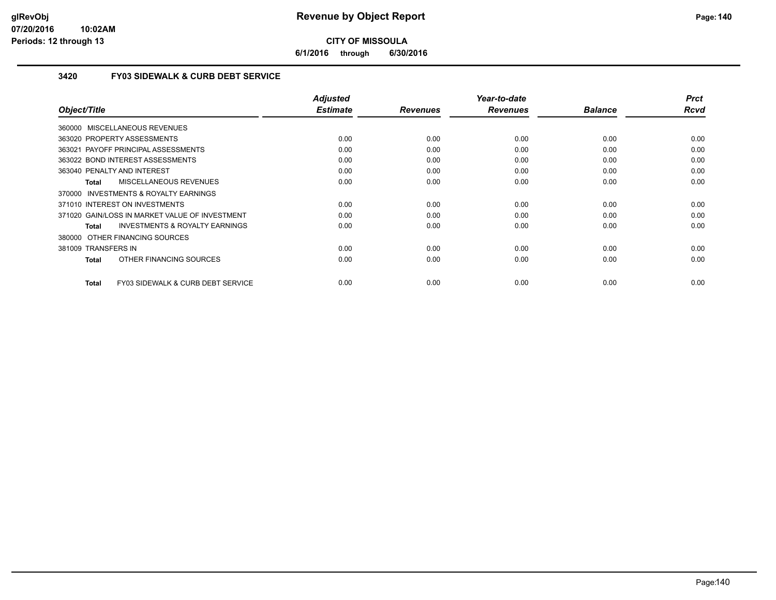**6/1/2016 through 6/30/2016**

## **3420 FY03 SIDEWALK & CURB DEBT SERVICE**

| Object/Title                                        | <b>Adjusted</b><br><b>Estimate</b> | <b>Revenues</b> | Year-to-date<br><b>Revenues</b> | <b>Balance</b> | <b>Prct</b><br>Rcvd |
|-----------------------------------------------------|------------------------------------|-----------------|---------------------------------|----------------|---------------------|
| 360000 MISCELLANEOUS REVENUES                       |                                    |                 |                                 |                |                     |
|                                                     |                                    |                 |                                 |                |                     |
| 363020 PROPERTY ASSESSMENTS                         | 0.00                               | 0.00            | 0.00                            | 0.00           | 0.00                |
| 363021 PAYOFF PRINCIPAL ASSESSMENTS                 | 0.00                               | 0.00            | 0.00                            | 0.00           | 0.00                |
| 363022 BOND INTEREST ASSESSMENTS                    | 0.00                               | 0.00            | 0.00                            | 0.00           | 0.00                |
| 363040 PENALTY AND INTEREST                         | 0.00                               | 0.00            | 0.00                            | 0.00           | 0.00                |
| <b>MISCELLANEOUS REVENUES</b><br>Total              | 0.00                               | 0.00            | 0.00                            | 0.00           | 0.00                |
| <b>INVESTMENTS &amp; ROYALTY EARNINGS</b><br>370000 |                                    |                 |                                 |                |                     |
| 371010 INTEREST ON INVESTMENTS                      | 0.00                               | 0.00            | 0.00                            | 0.00           | 0.00                |
| 371020 GAIN/LOSS IN MARKET VALUE OF INVESTMENT      | 0.00                               | 0.00            | 0.00                            | 0.00           | 0.00                |
| <b>INVESTMENTS &amp; ROYALTY EARNINGS</b><br>Total  | 0.00                               | 0.00            | 0.00                            | 0.00           | 0.00                |
| 380000 OTHER FINANCING SOURCES                      |                                    |                 |                                 |                |                     |
| 381009 TRANSFERS IN                                 | 0.00                               | 0.00            | 0.00                            | 0.00           | 0.00                |
| OTHER FINANCING SOURCES<br><b>Total</b>             | 0.00                               | 0.00            | 0.00                            | 0.00           | 0.00                |
| FY03 SIDEWALK & CURB DEBT SERVICE<br><b>Total</b>   | 0.00                               | 0.00            | 0.00                            | 0.00           | 0.00                |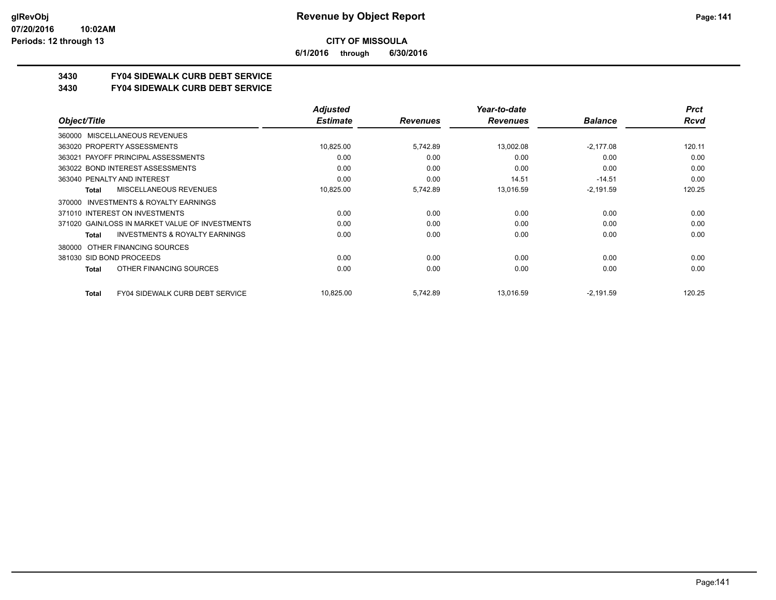**6/1/2016 through 6/30/2016**

# **3430 FY04 SIDEWALK CURB DEBT SERVICE**

#### **3430 FY04 SIDEWALK CURB DEBT SERVICE**

|                                                        | <b>Adjusted</b> |                 | Year-to-date    |                | <b>Prct</b> |
|--------------------------------------------------------|-----------------|-----------------|-----------------|----------------|-------------|
| Object/Title                                           | <b>Estimate</b> | <b>Revenues</b> | <b>Revenues</b> | <b>Balance</b> | <b>Rcvd</b> |
| 360000 MISCELLANEOUS REVENUES                          |                 |                 |                 |                |             |
| 363020 PROPERTY ASSESSMENTS                            | 10,825.00       | 5,742.89        | 13,002.08       | $-2,177.08$    | 120.11      |
| 363021 PAYOFF PRINCIPAL ASSESSMENTS                    | 0.00            | 0.00            | 0.00            | 0.00           | 0.00        |
| 363022 BOND INTEREST ASSESSMENTS                       | 0.00            | 0.00            | 0.00            | 0.00           | 0.00        |
| 363040 PENALTY AND INTEREST                            | 0.00            | 0.00            | 14.51           | $-14.51$       | 0.00        |
| MISCELLANEOUS REVENUES<br><b>Total</b>                 | 10,825.00       | 5,742.89        | 13,016.59       | $-2,191.59$    | 120.25      |
| 370000 INVESTMENTS & ROYALTY EARNINGS                  |                 |                 |                 |                |             |
| 371010 INTEREST ON INVESTMENTS                         | 0.00            | 0.00            | 0.00            | 0.00           | 0.00        |
| 371020 GAIN/LOSS IN MARKET VALUE OF INVESTMENTS        | 0.00            | 0.00            | 0.00            | 0.00           | 0.00        |
| <b>INVESTMENTS &amp; ROYALTY EARNINGS</b><br>Total     | 0.00            | 0.00            | 0.00            | 0.00           | 0.00        |
| OTHER FINANCING SOURCES<br>380000                      |                 |                 |                 |                |             |
| 381030 SID BOND PROCEEDS                               | 0.00            | 0.00            | 0.00            | 0.00           | 0.00        |
| OTHER FINANCING SOURCES<br>Total                       | 0.00            | 0.00            | 0.00            | 0.00           | 0.00        |
| <b>FY04 SIDEWALK CURB DEBT SERVICE</b><br><b>Total</b> | 10,825.00       | 5,742.89        | 13,016.59       | $-2,191.59$    | 120.25      |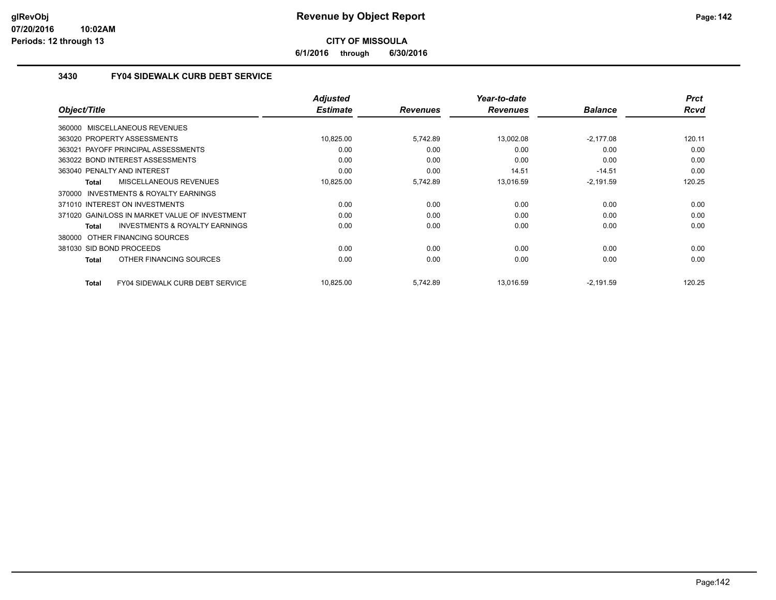**6/1/2016 through 6/30/2016**

## **3430 FY04 SIDEWALK CURB DEBT SERVICE**

|                                                    | <b>Adjusted</b> |                 | Year-to-date    |                | <b>Prct</b> |
|----------------------------------------------------|-----------------|-----------------|-----------------|----------------|-------------|
| Object/Title                                       | <b>Estimate</b> | <b>Revenues</b> | <b>Revenues</b> | <b>Balance</b> | <b>Rcvd</b> |
| 360000 MISCELLANEOUS REVENUES                      |                 |                 |                 |                |             |
| 363020 PROPERTY ASSESSMENTS                        | 10,825.00       | 5.742.89        | 13,002.08       | $-2.177.08$    | 120.11      |
| 363021 PAYOFF PRINCIPAL ASSESSMENTS                | 0.00            | 0.00            | 0.00            | 0.00           | 0.00        |
| 363022 BOND INTEREST ASSESSMENTS                   | 0.00            | 0.00            | 0.00            | 0.00           | 0.00        |
| 363040 PENALTY AND INTEREST                        | 0.00            | 0.00            | 14.51           | $-14.51$       | 0.00        |
| <b>MISCELLANEOUS REVENUES</b><br>Total             | 10,825.00       | 5,742.89        | 13,016.59       | $-2,191.59$    | 120.25      |
| 370000 INVESTMENTS & ROYALTY EARNINGS              |                 |                 |                 |                |             |
| 371010 INTEREST ON INVESTMENTS                     | 0.00            | 0.00            | 0.00            | 0.00           | 0.00        |
| 371020 GAIN/LOSS IN MARKET VALUE OF INVESTMENT     | 0.00            | 0.00            | 0.00            | 0.00           | 0.00        |
| <b>INVESTMENTS &amp; ROYALTY EARNINGS</b><br>Total | 0.00            | 0.00            | 0.00            | 0.00           | 0.00        |
| 380000 OTHER FINANCING SOURCES                     |                 |                 |                 |                |             |
| 381030 SID BOND PROCEEDS                           | 0.00            | 0.00            | 0.00            | 0.00           | 0.00        |
| OTHER FINANCING SOURCES<br>Total                   | 0.00            | 0.00            | 0.00            | 0.00           | 0.00        |
| FY04 SIDEWALK CURB DEBT SERVICE<br>Total           | 10.825.00       | 5.742.89        | 13.016.59       | $-2,191.59$    | 120.25      |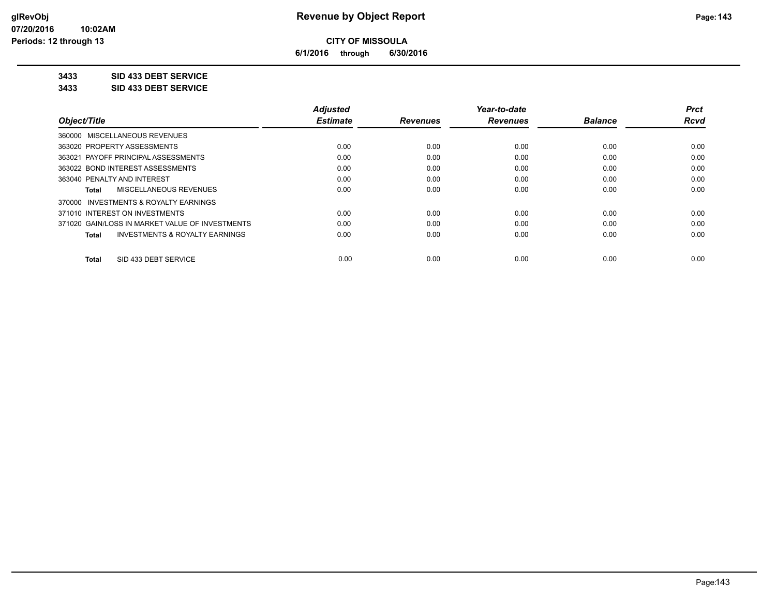**6/1/2016 through 6/30/2016**

## **3433 SID 433 DEBT SERVICE**

**3433 SID 433 DEBT SERVICE**

|                                                 | <b>Adjusted</b> |                 | Year-to-date    |                | Prct |
|-------------------------------------------------|-----------------|-----------------|-----------------|----------------|------|
| Object/Title                                    | <b>Estimate</b> | <b>Revenues</b> | <b>Revenues</b> | <b>Balance</b> | Rcvd |
| 360000 MISCELLANEOUS REVENUES                   |                 |                 |                 |                |      |
| 363020 PROPERTY ASSESSMENTS                     | 0.00            | 0.00            | 0.00            | 0.00           | 0.00 |
| 363021 PAYOFF PRINCIPAL ASSESSMENTS             | 0.00            | 0.00            | 0.00            | 0.00           | 0.00 |
| 363022 BOND INTEREST ASSESSMENTS                | 0.00            | 0.00            | 0.00            | 0.00           | 0.00 |
| 363040 PENALTY AND INTEREST                     | 0.00            | 0.00            | 0.00            | 0.00           | 0.00 |
| MISCELLANEOUS REVENUES<br>Total                 | 0.00            | 0.00            | 0.00            | 0.00           | 0.00 |
| 370000 INVESTMENTS & ROYALTY EARNINGS           |                 |                 |                 |                |      |
| 371010 INTEREST ON INVESTMENTS                  | 0.00            | 0.00            | 0.00            | 0.00           | 0.00 |
| 371020 GAIN/LOSS IN MARKET VALUE OF INVESTMENTS | 0.00            | 0.00            | 0.00            | 0.00           | 0.00 |
| INVESTMENTS & ROYALTY EARNINGS<br>Total         | 0.00            | 0.00            | 0.00            | 0.00           | 0.00 |
| SID 433 DEBT SERVICE<br>Total                   | 0.00            | 0.00            | 0.00            | 0.00           | 0.00 |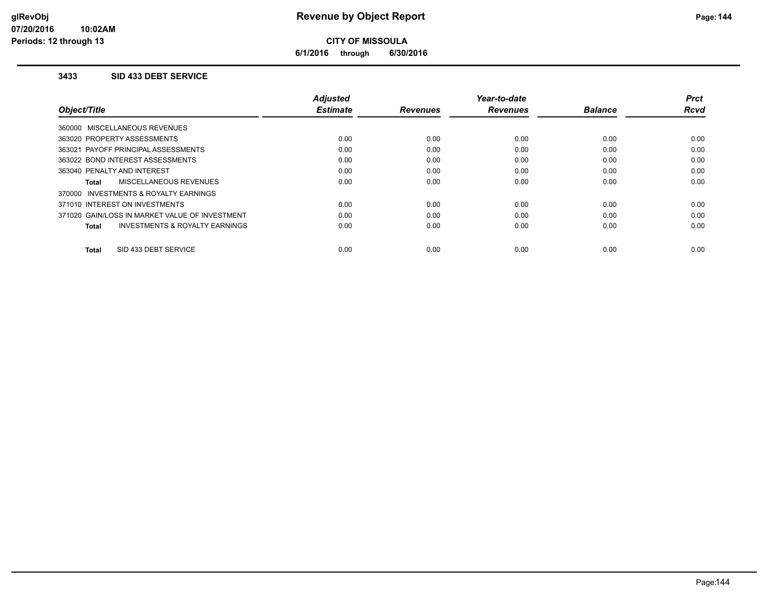**6/1/2016 through 6/30/2016**

#### **3433 SID 433 DEBT SERVICE**

|                                                    | <b>Adjusted</b> |                 | Year-to-date    |                | <b>Prct</b> |
|----------------------------------------------------|-----------------|-----------------|-----------------|----------------|-------------|
| Object/Title                                       | <b>Estimate</b> | <b>Revenues</b> | <b>Revenues</b> | <b>Balance</b> | <b>Rcvd</b> |
| 360000 MISCELLANEOUS REVENUES                      |                 |                 |                 |                |             |
| 363020 PROPERTY ASSESSMENTS                        | 0.00            | 0.00            | 0.00            | 0.00           | 0.00        |
| 363021 PAYOFF PRINCIPAL ASSESSMENTS                | 0.00            | 0.00            | 0.00            | 0.00           | 0.00        |
| 363022 BOND INTEREST ASSESSMENTS                   | 0.00            | 0.00            | 0.00            | 0.00           | 0.00        |
| 363040 PENALTY AND INTEREST                        | 0.00            | 0.00            | 0.00            | 0.00           | 0.00        |
| MISCELLANEOUS REVENUES<br>Total                    | 0.00            | 0.00            | 0.00            | 0.00           | 0.00        |
| 370000 INVESTMENTS & ROYALTY EARNINGS              |                 |                 |                 |                |             |
| 371010 INTEREST ON INVESTMENTS                     | 0.00            | 0.00            | 0.00            | 0.00           | 0.00        |
| 371020 GAIN/LOSS IN MARKET VALUE OF INVESTMENT     | 0.00            | 0.00            | 0.00            | 0.00           | 0.00        |
| <b>INVESTMENTS &amp; ROYALTY EARNINGS</b><br>Total | 0.00            | 0.00            | 0.00            | 0.00           | 0.00        |
| SID 433 DEBT SERVICE<br><b>Total</b>               | 0.00            | 0.00            | 0.00            | 0.00           | 0.00        |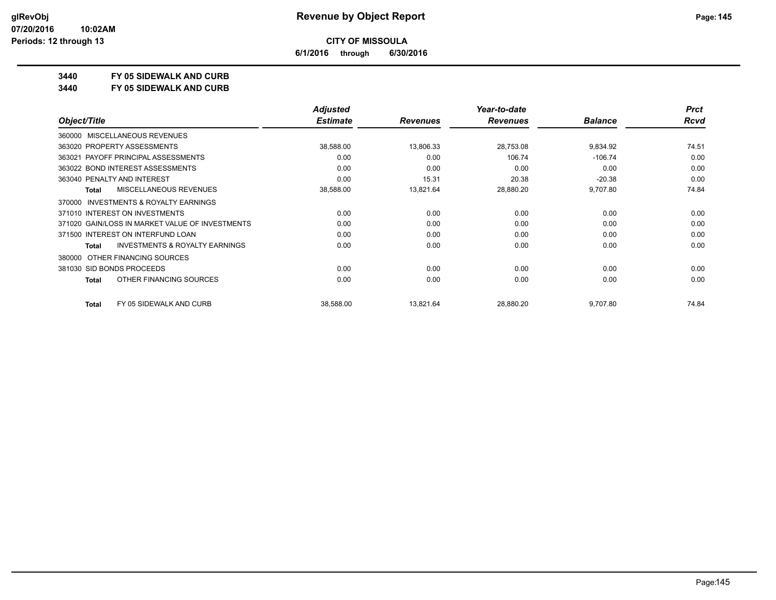**6/1/2016 through 6/30/2016**

## **3440 FY 05 SIDEWALK AND CURB**

**3440 FY 05 SIDEWALK AND CURB**

|                                                           | <b>Adjusted</b> |                 | Year-to-date    |                | <b>Prct</b> |
|-----------------------------------------------------------|-----------------|-----------------|-----------------|----------------|-------------|
| Object/Title                                              | <b>Estimate</b> | <b>Revenues</b> | <b>Revenues</b> | <b>Balance</b> | Rcvd        |
| MISCELLANEOUS REVENUES<br>360000                          |                 |                 |                 |                |             |
| 363020 PROPERTY ASSESSMENTS                               | 38,588.00       | 13,806.33       | 28,753.08       | 9,834.92       | 74.51       |
| 363021 PAYOFF PRINCIPAL ASSESSMENTS                       | 0.00            | 0.00            | 106.74          | $-106.74$      | 0.00        |
| 363022 BOND INTEREST ASSESSMENTS                          | 0.00            | 0.00            | 0.00            | 0.00           | 0.00        |
| 363040 PENALTY AND INTEREST                               | 0.00            | 15.31           | 20.38           | $-20.38$       | 0.00        |
| MISCELLANEOUS REVENUES<br><b>Total</b>                    | 38,588.00       | 13,821.64       | 28,880.20       | 9,707.80       | 74.84       |
| INVESTMENTS & ROYALTY EARNINGS<br>370000                  |                 |                 |                 |                |             |
| 371010 INTEREST ON INVESTMENTS                            | 0.00            | 0.00            | 0.00            | 0.00           | 0.00        |
| 371020 GAIN/LOSS IN MARKET VALUE OF INVESTMENTS           | 0.00            | 0.00            | 0.00            | 0.00           | 0.00        |
| 371500 INTEREST ON INTERFUND LOAN                         | 0.00            | 0.00            | 0.00            | 0.00           | 0.00        |
| <b>INVESTMENTS &amp; ROYALTY EARNINGS</b><br><b>Total</b> | 0.00            | 0.00            | 0.00            | 0.00           | 0.00        |
| OTHER FINANCING SOURCES<br>380000                         |                 |                 |                 |                |             |
| 381030 SID BONDS PROCEEDS                                 | 0.00            | 0.00            | 0.00            | 0.00           | 0.00        |
| OTHER FINANCING SOURCES<br><b>Total</b>                   | 0.00            | 0.00            | 0.00            | 0.00           | 0.00        |
| FY 05 SIDEWALK AND CURB<br><b>Total</b>                   | 38,588.00       | 13,821.64       | 28,880.20       | 9,707.80       | 74.84       |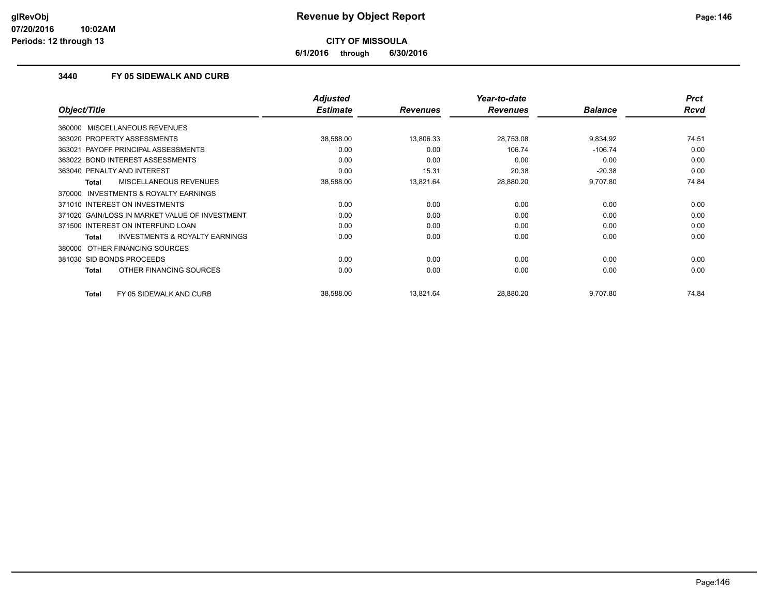**6/1/2016 through 6/30/2016**

### **3440 FY 05 SIDEWALK AND CURB**

|                                                     | <b>Adjusted</b><br><b>Estimate</b> | <b>Revenues</b> | Year-to-date<br><b>Revenues</b> | <b>Balance</b> | <b>Prct</b><br><b>Rcvd</b> |
|-----------------------------------------------------|------------------------------------|-----------------|---------------------------------|----------------|----------------------------|
| Object/Title                                        |                                    |                 |                                 |                |                            |
| 360000 MISCELLANEOUS REVENUES                       |                                    |                 |                                 |                |                            |
| 363020 PROPERTY ASSESSMENTS                         | 38,588.00                          | 13,806.33       | 28,753.08                       | 9,834.92       | 74.51                      |
| 363021 PAYOFF PRINCIPAL ASSESSMENTS                 | 0.00                               | 0.00            | 106.74                          | $-106.74$      | 0.00                       |
| 363022 BOND INTEREST ASSESSMENTS                    | 0.00                               | 0.00            | 0.00                            | 0.00           | 0.00                       |
| 363040 PENALTY AND INTEREST                         | 0.00                               | 15.31           | 20.38                           | $-20.38$       | 0.00                       |
| <b>MISCELLANEOUS REVENUES</b><br><b>Total</b>       | 38,588.00                          | 13,821.64       | 28,880.20                       | 9,707.80       | 74.84                      |
| <b>INVESTMENTS &amp; ROYALTY EARNINGS</b><br>370000 |                                    |                 |                                 |                |                            |
| 371010 INTEREST ON INVESTMENTS                      | 0.00                               | 0.00            | 0.00                            | 0.00           | 0.00                       |
| 371020 GAIN/LOSS IN MARKET VALUE OF INVESTMENT      | 0.00                               | 0.00            | 0.00                            | 0.00           | 0.00                       |
| 371500 INTEREST ON INTERFUND LOAN                   | 0.00                               | 0.00            | 0.00                            | 0.00           | 0.00                       |
| <b>INVESTMENTS &amp; ROYALTY EARNINGS</b><br>Total  | 0.00                               | 0.00            | 0.00                            | 0.00           | 0.00                       |
| OTHER FINANCING SOURCES<br>380000                   |                                    |                 |                                 |                |                            |
| 381030 SID BONDS PROCEEDS                           | 0.00                               | 0.00            | 0.00                            | 0.00           | 0.00                       |
| OTHER FINANCING SOURCES<br><b>Total</b>             | 0.00                               | 0.00            | 0.00                            | 0.00           | 0.00                       |
| <b>Total</b><br>FY 05 SIDEWALK AND CURB             | 38,588.00                          | 13,821.64       | 28,880.20                       | 9,707.80       | 74.84                      |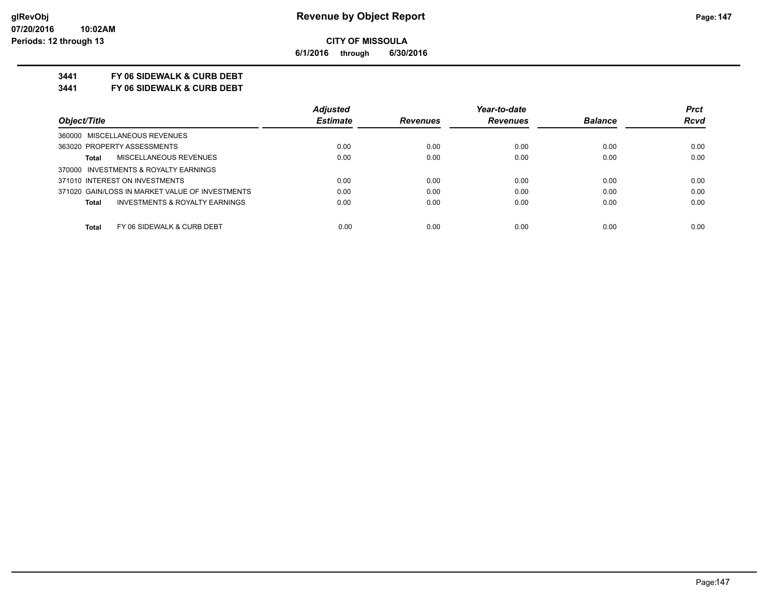**6/1/2016 through 6/30/2016**

## **3441 FY 06 SIDEWALK & CURB DEBT**

**3441 FY 06 SIDEWALK & CURB DEBT**

|                                                    | <b>Adjusted</b> |                 | Year-to-date    |                | <b>Prct</b> |
|----------------------------------------------------|-----------------|-----------------|-----------------|----------------|-------------|
| Object/Title                                       | <b>Estimate</b> | <b>Revenues</b> | <b>Revenues</b> | <b>Balance</b> | <b>Rcvd</b> |
| 360000 MISCELLANEOUS REVENUES                      |                 |                 |                 |                |             |
| 363020 PROPERTY ASSESSMENTS                        | 0.00            | 0.00            | 0.00            | 0.00           | 0.00        |
| MISCELLANEOUS REVENUES<br><b>Total</b>             | 0.00            | 0.00            | 0.00            | 0.00           | 0.00        |
| 370000 INVESTMENTS & ROYALTY EARNINGS              |                 |                 |                 |                |             |
| 371010 INTEREST ON INVESTMENTS                     | 0.00            | 0.00            | 0.00            | 0.00           | 0.00        |
| 371020 GAIN/LOSS IN MARKET VALUE OF INVESTMENTS    | 0.00            | 0.00            | 0.00            | 0.00           | 0.00        |
| <b>INVESTMENTS &amp; ROYALTY EARNINGS</b><br>Total | 0.00            | 0.00            | 0.00            | 0.00           | 0.00        |
| FY 06 SIDEWALK & CURB DEBT<br><b>Total</b>         | 0.00            | 0.00            | 0.00            | 0.00           | 0.00        |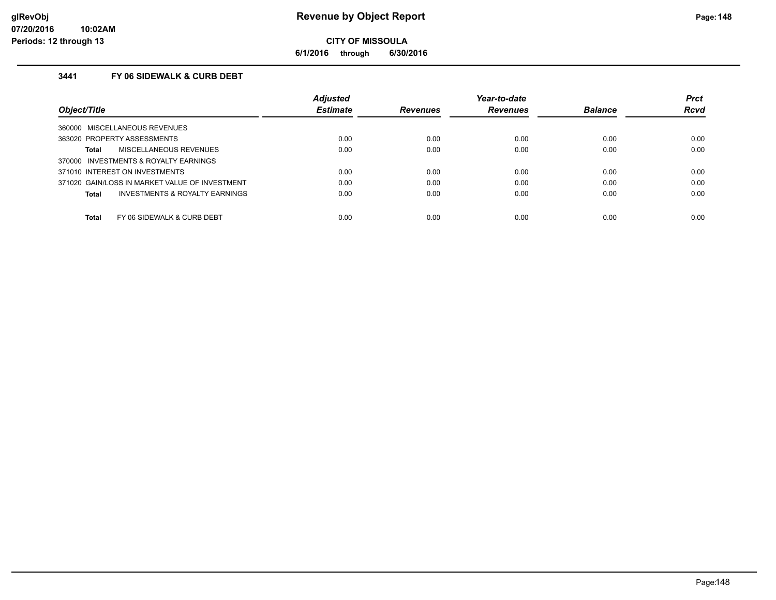**6/1/2016 through 6/30/2016**

## **3441 FY 06 SIDEWALK & CURB DEBT**

|                                                | <b>Adjusted</b> |                 | Year-to-date    |                | <b>Prct</b> |
|------------------------------------------------|-----------------|-----------------|-----------------|----------------|-------------|
| Object/Title                                   | <b>Estimate</b> | <b>Revenues</b> | <b>Revenues</b> | <b>Balance</b> | <b>Rcvd</b> |
| 360000 MISCELLANEOUS REVENUES                  |                 |                 |                 |                |             |
| 363020 PROPERTY ASSESSMENTS                    | 0.00            | 0.00            | 0.00            | 0.00           | 0.00        |
| <b>MISCELLANEOUS REVENUES</b><br>Total         | 0.00            | 0.00            | 0.00            | 0.00           | 0.00        |
| 370000 INVESTMENTS & ROYALTY EARNINGS          |                 |                 |                 |                |             |
| 371010 INTEREST ON INVESTMENTS                 | 0.00            | 0.00            | 0.00            | 0.00           | 0.00        |
| 371020 GAIN/LOSS IN MARKET VALUE OF INVESTMENT | 0.00            | 0.00            | 0.00            | 0.00           | 0.00        |
| INVESTMENTS & ROYALTY EARNINGS<br>Total        | 0.00            | 0.00            | 0.00            | 0.00           | 0.00        |
| <b>Total</b><br>FY 06 SIDEWALK & CURB DEBT     | 0.00            | 0.00            | 0.00            | 0.00           | 0.00        |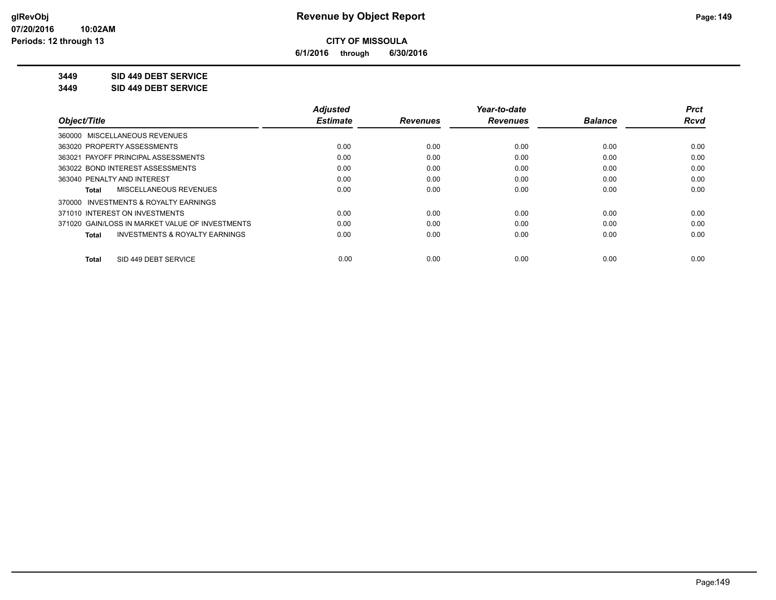**6/1/2016 through 6/30/2016**

## **3449 SID 449 DEBT SERVICE**

**3449 SID 449 DEBT SERVICE**

|                                                 | <b>Adjusted</b> |                 | Year-to-date    |                | Prct |
|-------------------------------------------------|-----------------|-----------------|-----------------|----------------|------|
| Object/Title                                    | <b>Estimate</b> | <b>Revenues</b> | <b>Revenues</b> | <b>Balance</b> | Rcvd |
| 360000 MISCELLANEOUS REVENUES                   |                 |                 |                 |                |      |
| 363020 PROPERTY ASSESSMENTS                     | 0.00            | 0.00            | 0.00            | 0.00           | 0.00 |
| 363021 PAYOFF PRINCIPAL ASSESSMENTS             | 0.00            | 0.00            | 0.00            | 0.00           | 0.00 |
| 363022 BOND INTEREST ASSESSMENTS                | 0.00            | 0.00            | 0.00            | 0.00           | 0.00 |
| 363040 PENALTY AND INTEREST                     | 0.00            | 0.00            | 0.00            | 0.00           | 0.00 |
| MISCELLANEOUS REVENUES<br>Total                 | 0.00            | 0.00            | 0.00            | 0.00           | 0.00 |
| 370000 INVESTMENTS & ROYALTY EARNINGS           |                 |                 |                 |                |      |
| 371010 INTEREST ON INVESTMENTS                  | 0.00            | 0.00            | 0.00            | 0.00           | 0.00 |
| 371020 GAIN/LOSS IN MARKET VALUE OF INVESTMENTS | 0.00            | 0.00            | 0.00            | 0.00           | 0.00 |
| INVESTMENTS & ROYALTY EARNINGS<br>Total         | 0.00            | 0.00            | 0.00            | 0.00           | 0.00 |
| SID 449 DEBT SERVICE<br>Total                   | 0.00            | 0.00            | 0.00            | 0.00           | 0.00 |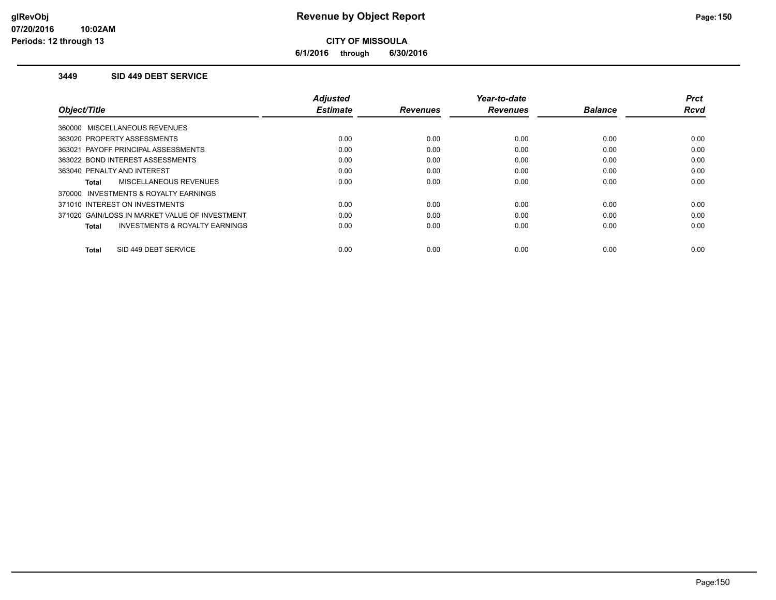**6/1/2016 through 6/30/2016**

#### **3449 SID 449 DEBT SERVICE**

|                                                | <b>Adjusted</b> |                 | Year-to-date    |                | <b>Prct</b> |
|------------------------------------------------|-----------------|-----------------|-----------------|----------------|-------------|
| Object/Title                                   | <b>Estimate</b> | <b>Revenues</b> | <b>Revenues</b> | <b>Balance</b> | Rcvd        |
| 360000 MISCELLANEOUS REVENUES                  |                 |                 |                 |                |             |
| 363020 PROPERTY ASSESSMENTS                    | 0.00            | 0.00            | 0.00            | 0.00           | 0.00        |
| 363021 PAYOFF PRINCIPAL ASSESSMENTS            | 0.00            | 0.00            | 0.00            | 0.00           | 0.00        |
| 363022 BOND INTEREST ASSESSMENTS               | 0.00            | 0.00            | 0.00            | 0.00           | 0.00        |
| 363040 PENALTY AND INTEREST                    | 0.00            | 0.00            | 0.00            | 0.00           | 0.00        |
| MISCELLANEOUS REVENUES<br><b>Total</b>         | 0.00            | 0.00            | 0.00            | 0.00           | 0.00        |
| INVESTMENTS & ROYALTY EARNINGS<br>370000       |                 |                 |                 |                |             |
| 371010 INTEREST ON INVESTMENTS                 | 0.00            | 0.00            | 0.00            | 0.00           | 0.00        |
| 371020 GAIN/LOSS IN MARKET VALUE OF INVESTMENT | 0.00            | 0.00            | 0.00            | 0.00           | 0.00        |
| INVESTMENTS & ROYALTY EARNINGS<br><b>Total</b> | 0.00            | 0.00            | 0.00            | 0.00           | 0.00        |
|                                                |                 |                 |                 |                |             |
| SID 449 DEBT SERVICE<br><b>Total</b>           | 0.00            | 0.00            | 0.00            | 0.00           | 0.00        |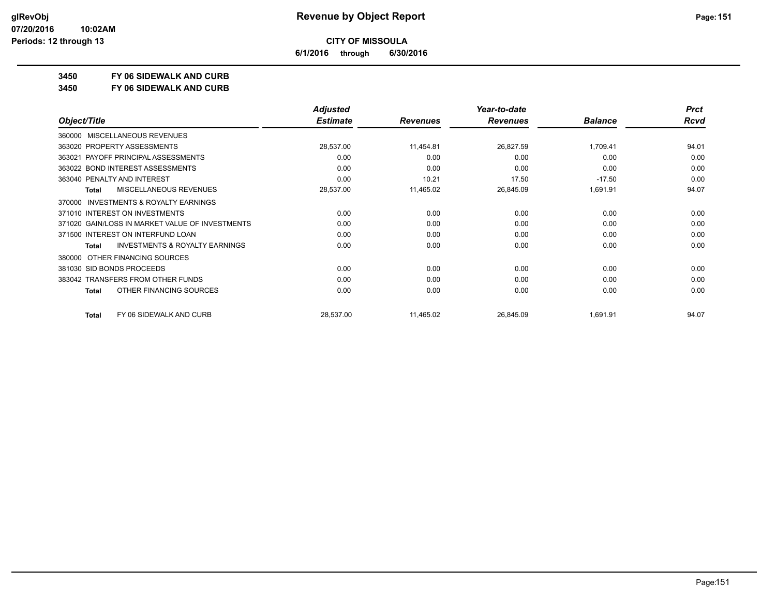**6/1/2016 through 6/30/2016**

**3450 FY 06 SIDEWALK AND CURB**

**3450 FY 06 SIDEWALK AND CURB**

|                                                     | <b>Adjusted</b> |                 | Year-to-date    |                | <b>Prct</b> |
|-----------------------------------------------------|-----------------|-----------------|-----------------|----------------|-------------|
| Object/Title                                        | <b>Estimate</b> | <b>Revenues</b> | <b>Revenues</b> | <b>Balance</b> | <b>Rcvd</b> |
| MISCELLANEOUS REVENUES<br>360000                    |                 |                 |                 |                |             |
| 363020 PROPERTY ASSESSMENTS                         | 28,537.00       | 11,454.81       | 26,827.59       | 1,709.41       | 94.01       |
| 363021 PAYOFF PRINCIPAL ASSESSMENTS                 | 0.00            | 0.00            | 0.00            | 0.00           | 0.00        |
| 363022 BOND INTEREST ASSESSMENTS                    | 0.00            | 0.00            | 0.00            | 0.00           | 0.00        |
| 363040 PENALTY AND INTEREST                         | 0.00            | 10.21           | 17.50           | $-17.50$       | 0.00        |
| MISCELLANEOUS REVENUES<br>Total                     | 28,537.00       | 11,465.02       | 26,845.09       | 1,691.91       | 94.07       |
| <b>INVESTMENTS &amp; ROYALTY EARNINGS</b><br>370000 |                 |                 |                 |                |             |
| 371010 INTEREST ON INVESTMENTS                      | 0.00            | 0.00            | 0.00            | 0.00           | 0.00        |
| 371020 GAIN/LOSS IN MARKET VALUE OF INVESTMENTS     | 0.00            | 0.00            | 0.00            | 0.00           | 0.00        |
| 371500 INTEREST ON INTERFUND LOAN                   | 0.00            | 0.00            | 0.00            | 0.00           | 0.00        |
| <b>INVESTMENTS &amp; ROYALTY EARNINGS</b><br>Total  | 0.00            | 0.00            | 0.00            | 0.00           | 0.00        |
| OTHER FINANCING SOURCES<br>380000                   |                 |                 |                 |                |             |
| 381030 SID BONDS PROCEEDS                           | 0.00            | 0.00            | 0.00            | 0.00           | 0.00        |
| 383042 TRANSFERS FROM OTHER FUNDS                   | 0.00            | 0.00            | 0.00            | 0.00           | 0.00        |
| OTHER FINANCING SOURCES<br>Total                    | 0.00            | 0.00            | 0.00            | 0.00           | 0.00        |
| FY 06 SIDEWALK AND CURB<br>Total                    | 28,537.00       | 11,465.02       | 26,845.09       | 1,691.91       | 94.07       |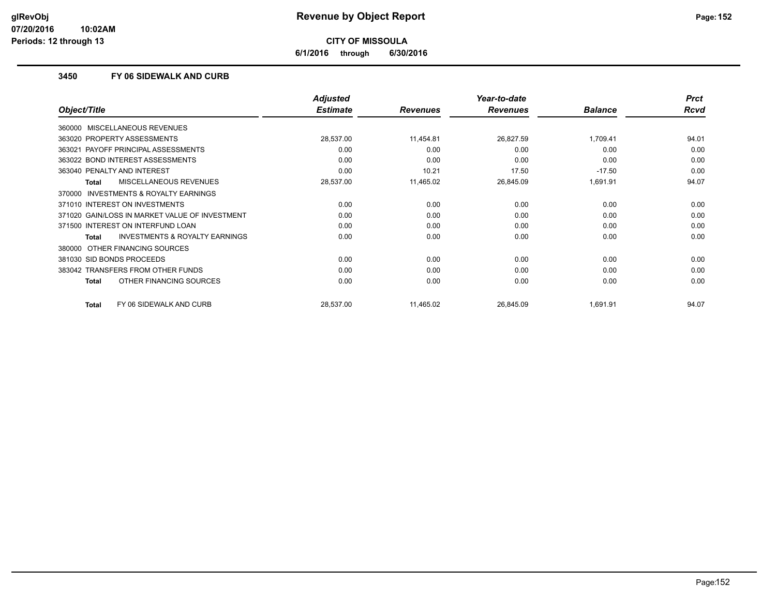**6/1/2016 through 6/30/2016**

### **3450 FY 06 SIDEWALK AND CURB**

|                                                     | <b>Adjusted</b> |                 | Year-to-date    |                | <b>Prct</b> |
|-----------------------------------------------------|-----------------|-----------------|-----------------|----------------|-------------|
| Object/Title                                        | <b>Estimate</b> | <b>Revenues</b> | <b>Revenues</b> | <b>Balance</b> | <b>Rcvd</b> |
| 360000 MISCELLANEOUS REVENUES                       |                 |                 |                 |                |             |
| 363020 PROPERTY ASSESSMENTS                         | 28,537.00       | 11,454.81       | 26,827.59       | 1,709.41       | 94.01       |
| 363021 PAYOFF PRINCIPAL ASSESSMENTS                 | 0.00            | 0.00            | 0.00            | 0.00           | 0.00        |
| 363022 BOND INTEREST ASSESSMENTS                    | 0.00            | 0.00            | 0.00            | 0.00           | 0.00        |
| 363040 PENALTY AND INTEREST                         | 0.00            | 10.21           | 17.50           | $-17.50$       | 0.00        |
| MISCELLANEOUS REVENUES<br><b>Total</b>              | 28,537.00       | 11,465.02       | 26,845.09       | 1,691.91       | 94.07       |
| <b>INVESTMENTS &amp; ROYALTY EARNINGS</b><br>370000 |                 |                 |                 |                |             |
| 371010 INTEREST ON INVESTMENTS                      | 0.00            | 0.00            | 0.00            | 0.00           | 0.00        |
| 371020 GAIN/LOSS IN MARKET VALUE OF INVESTMENT      | 0.00            | 0.00            | 0.00            | 0.00           | 0.00        |
| 371500 INTEREST ON INTERFUND LOAN                   | 0.00            | 0.00            | 0.00            | 0.00           | 0.00        |
| <b>INVESTMENTS &amp; ROYALTY EARNINGS</b><br>Total  | 0.00            | 0.00            | 0.00            | 0.00           | 0.00        |
| 380000 OTHER FINANCING SOURCES                      |                 |                 |                 |                |             |
| 381030 SID BONDS PROCEEDS                           | 0.00            | 0.00            | 0.00            | 0.00           | 0.00        |
| 383042 TRANSFERS FROM OTHER FUNDS                   | 0.00            | 0.00            | 0.00            | 0.00           | 0.00        |
| OTHER FINANCING SOURCES<br><b>Total</b>             | 0.00            | 0.00            | 0.00            | 0.00           | 0.00        |
| FY 06 SIDEWALK AND CURB<br><b>Total</b>             | 28,537.00       | 11,465.02       | 26,845.09       | 1,691.91       | 94.07       |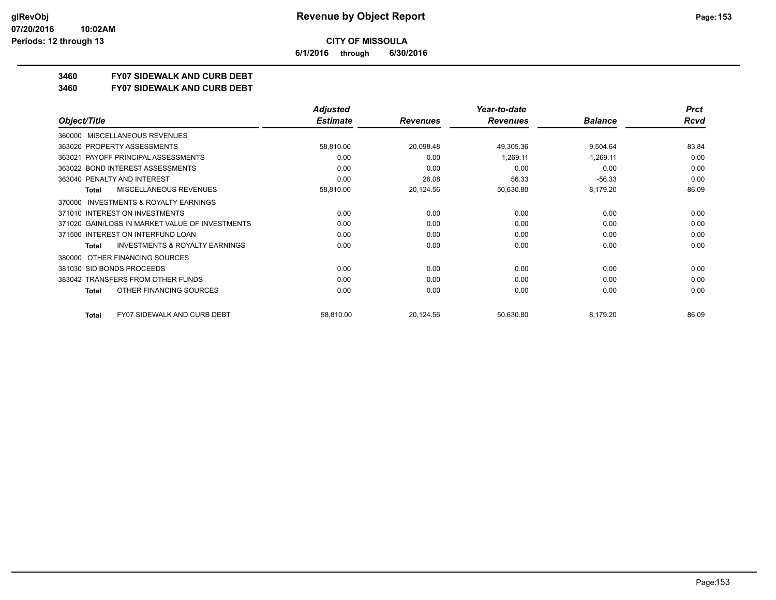**6/1/2016 through 6/30/2016**

## **3460 FY07 SIDEWALK AND CURB DEBT**

#### **3460 FY07 SIDEWALK AND CURB DEBT**

|                                                     | <b>Adjusted</b> |                 | Year-to-date    |                | <b>Prct</b> |
|-----------------------------------------------------|-----------------|-----------------|-----------------|----------------|-------------|
| Object/Title                                        | <b>Estimate</b> | <b>Revenues</b> | <b>Revenues</b> | <b>Balance</b> | <b>Rcvd</b> |
| <b>MISCELLANEOUS REVENUES</b><br>360000             |                 |                 |                 |                |             |
| 363020 PROPERTY ASSESSMENTS                         | 58,810.00       | 20,098.48       | 49,305.36       | 9,504.64       | 83.84       |
| PAYOFF PRINCIPAL ASSESSMENTS<br>363021              | 0.00            | 0.00            | 1,269.11        | $-1,269.11$    | 0.00        |
| 363022 BOND INTEREST ASSESSMENTS                    | 0.00            | 0.00            | 0.00            | 0.00           | 0.00        |
| 363040 PENALTY AND INTEREST                         | 0.00            | 26.08           | 56.33           | $-56.33$       | 0.00        |
| <b>MISCELLANEOUS REVENUES</b><br>Total              | 58,810.00       | 20,124.56       | 50,630.80       | 8,179.20       | 86.09       |
| <b>INVESTMENTS &amp; ROYALTY EARNINGS</b><br>370000 |                 |                 |                 |                |             |
| 371010 INTEREST ON INVESTMENTS                      | 0.00            | 0.00            | 0.00            | 0.00           | 0.00        |
| 371020 GAIN/LOSS IN MARKET VALUE OF INVESTMENTS     | 0.00            | 0.00            | 0.00            | 0.00           | 0.00        |
| 371500 INTEREST ON INTERFUND LOAN                   | 0.00            | 0.00            | 0.00            | 0.00           | 0.00        |
| <b>INVESTMENTS &amp; ROYALTY EARNINGS</b><br>Total  | 0.00            | 0.00            | 0.00            | 0.00           | 0.00        |
| OTHER FINANCING SOURCES<br>380000                   |                 |                 |                 |                |             |
| 381030 SID BONDS PROCEEDS                           | 0.00            | 0.00            | 0.00            | 0.00           | 0.00        |
| 383042 TRANSFERS FROM OTHER FUNDS                   | 0.00            | 0.00            | 0.00            | 0.00           | 0.00        |
| OTHER FINANCING SOURCES<br>Total                    | 0.00            | 0.00            | 0.00            | 0.00           | 0.00        |
| <b>FY07 SIDEWALK AND CURB DEBT</b><br>Total         | 58,810.00       | 20,124.56       | 50,630.80       | 8,179.20       | 86.09       |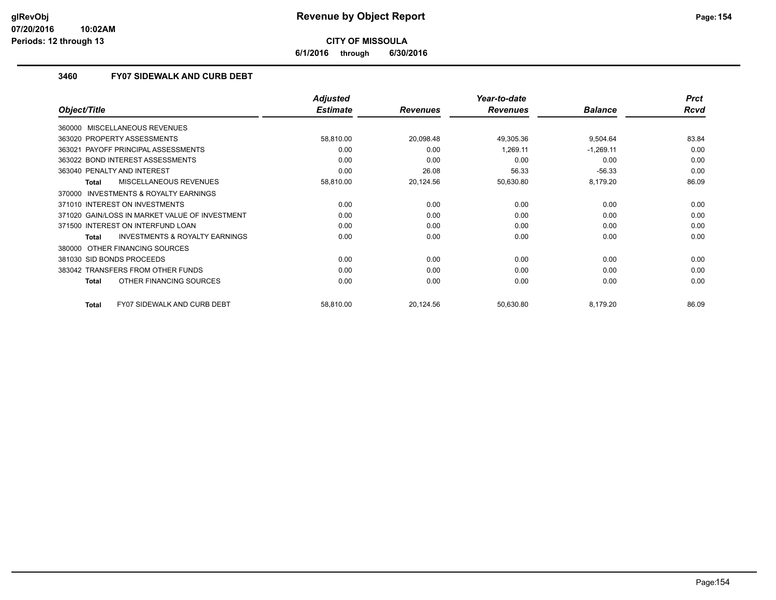**6/1/2016 through 6/30/2016**

## **3460 FY07 SIDEWALK AND CURB DEBT**

|                                                     | <b>Adjusted</b> |                 | Year-to-date    |                | <b>Prct</b> |
|-----------------------------------------------------|-----------------|-----------------|-----------------|----------------|-------------|
| Object/Title                                        | <b>Estimate</b> | <b>Revenues</b> | <b>Revenues</b> | <b>Balance</b> | <b>Rcvd</b> |
| 360000 MISCELLANEOUS REVENUES                       |                 |                 |                 |                |             |
| 363020 PROPERTY ASSESSMENTS                         | 58,810.00       | 20,098.48       | 49,305.36       | 9,504.64       | 83.84       |
| 363021 PAYOFF PRINCIPAL ASSESSMENTS                 | 0.00            | 0.00            | 1,269.11        | $-1,269.11$    | 0.00        |
| 363022 BOND INTEREST ASSESSMENTS                    | 0.00            | 0.00            | 0.00            | 0.00           | 0.00        |
| 363040 PENALTY AND INTEREST                         | 0.00            | 26.08           | 56.33           | $-56.33$       | 0.00        |
| <b>MISCELLANEOUS REVENUES</b><br>Total              | 58,810.00       | 20,124.56       | 50,630.80       | 8,179.20       | 86.09       |
| <b>INVESTMENTS &amp; ROYALTY EARNINGS</b><br>370000 |                 |                 |                 |                |             |
| 371010 INTEREST ON INVESTMENTS                      | 0.00            | 0.00            | 0.00            | 0.00           | 0.00        |
| 371020 GAIN/LOSS IN MARKET VALUE OF INVESTMENT      | 0.00            | 0.00            | 0.00            | 0.00           | 0.00        |
| 371500 INTEREST ON INTERFUND LOAN                   | 0.00            | 0.00            | 0.00            | 0.00           | 0.00        |
| <b>INVESTMENTS &amp; ROYALTY EARNINGS</b><br>Total  | 0.00            | 0.00            | 0.00            | 0.00           | 0.00        |
| 380000 OTHER FINANCING SOURCES                      |                 |                 |                 |                |             |
| 381030 SID BONDS PROCEEDS                           | 0.00            | 0.00            | 0.00            | 0.00           | 0.00        |
| 383042 TRANSFERS FROM OTHER FUNDS                   | 0.00            | 0.00            | 0.00            | 0.00           | 0.00        |
| OTHER FINANCING SOURCES<br>Total                    | 0.00            | 0.00            | 0.00            | 0.00           | 0.00        |
| <b>FY07 SIDEWALK AND CURB DEBT</b><br>Total         | 58,810.00       | 20,124.56       | 50,630.80       | 8,179.20       | 86.09       |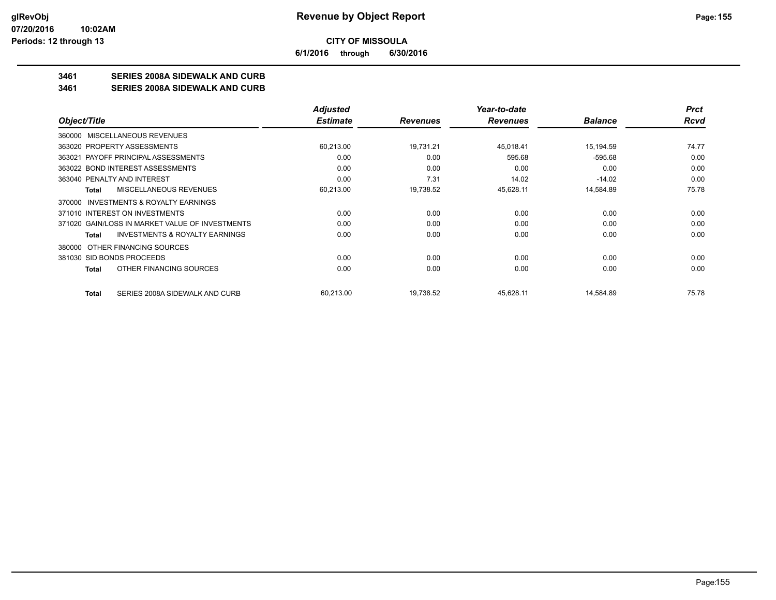**6/1/2016 through 6/30/2016**

## **3461 SERIES 2008A SIDEWALK AND CURB**

#### **3461 SERIES 2008A SIDEWALK AND CURB**

|                                                    | <b>Adjusted</b> |                 | Year-to-date    |                | <b>Prct</b> |
|----------------------------------------------------|-----------------|-----------------|-----------------|----------------|-------------|
| Object/Title                                       | <b>Estimate</b> | <b>Revenues</b> | <b>Revenues</b> | <b>Balance</b> | <b>Rcvd</b> |
| 360000 MISCELLANEOUS REVENUES                      |                 |                 |                 |                |             |
| 363020 PROPERTY ASSESSMENTS                        | 60,213.00       | 19,731.21       | 45.018.41       | 15,194.59      | 74.77       |
| 363021 PAYOFF PRINCIPAL ASSESSMENTS                | 0.00            | 0.00            | 595.68          | $-595.68$      | 0.00        |
| 363022 BOND INTEREST ASSESSMENTS                   | 0.00            | 0.00            | 0.00            | 0.00           | 0.00        |
| 363040 PENALTY AND INTEREST                        | 0.00            | 7.31            | 14.02           | $-14.02$       | 0.00        |
| MISCELLANEOUS REVENUES<br><b>Total</b>             | 60,213.00       | 19,738.52       | 45,628.11       | 14,584.89      | 75.78       |
| INVESTMENTS & ROYALTY EARNINGS<br>370000           |                 |                 |                 |                |             |
| 371010 INTEREST ON INVESTMENTS                     | 0.00            | 0.00            | 0.00            | 0.00           | 0.00        |
| 371020 GAIN/LOSS IN MARKET VALUE OF INVESTMENTS    | 0.00            | 0.00            | 0.00            | 0.00           | 0.00        |
| <b>INVESTMENTS &amp; ROYALTY EARNINGS</b><br>Total | 0.00            | 0.00            | 0.00            | 0.00           | 0.00        |
| OTHER FINANCING SOURCES<br>380000                  |                 |                 |                 |                |             |
| 381030 SID BONDS PROCEEDS                          | 0.00            | 0.00            | 0.00            | 0.00           | 0.00        |
| OTHER FINANCING SOURCES<br>Total                   | 0.00            | 0.00            | 0.00            | 0.00           | 0.00        |
| SERIES 2008A SIDEWALK AND CURB<br><b>Total</b>     | 60,213.00       | 19,738.52       | 45,628.11       | 14,584.89      | 75.78       |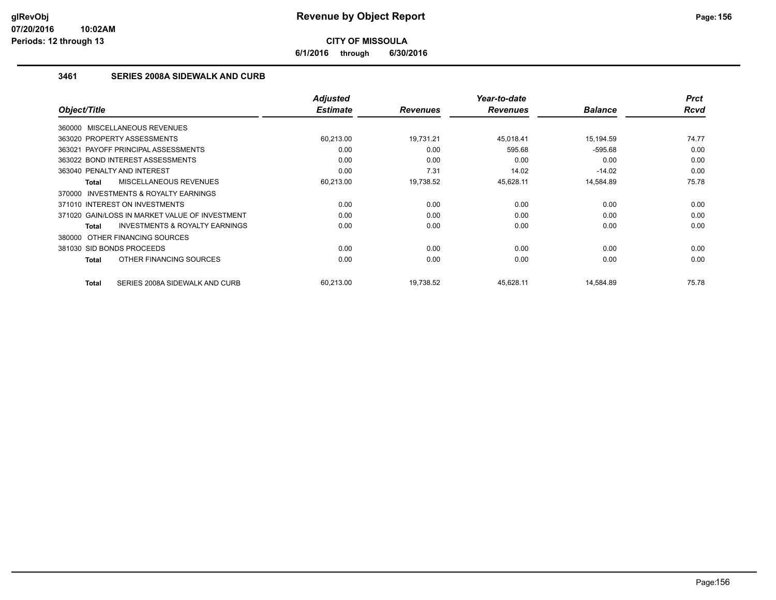**6/1/2016 through 6/30/2016**

## **3461 SERIES 2008A SIDEWALK AND CURB**

|                                                     | <b>Adjusted</b> |                 | Year-to-date    |                | <b>Prct</b> |
|-----------------------------------------------------|-----------------|-----------------|-----------------|----------------|-------------|
| Object/Title                                        | <b>Estimate</b> | <b>Revenues</b> | <b>Revenues</b> | <b>Balance</b> | Rcvd        |
| 360000 MISCELLANEOUS REVENUES                       |                 |                 |                 |                |             |
| 363020 PROPERTY ASSESSMENTS                         | 60,213.00       | 19.731.21       | 45,018.41       | 15,194.59      | 74.77       |
| 363021 PAYOFF PRINCIPAL ASSESSMENTS                 | 0.00            | 0.00            | 595.68          | $-595.68$      | 0.00        |
| 363022 BOND INTEREST ASSESSMENTS                    | 0.00            | 0.00            | 0.00            | 0.00           | 0.00        |
| 363040 PENALTY AND INTEREST                         | 0.00            | 7.31            | 14.02           | $-14.02$       | 0.00        |
| <b>MISCELLANEOUS REVENUES</b><br>Total              | 60,213.00       | 19,738.52       | 45,628.11       | 14,584.89      | 75.78       |
| <b>INVESTMENTS &amp; ROYALTY EARNINGS</b><br>370000 |                 |                 |                 |                |             |
| 371010 INTEREST ON INVESTMENTS                      | 0.00            | 0.00            | 0.00            | 0.00           | 0.00        |
| 371020 GAIN/LOSS IN MARKET VALUE OF INVESTMENT      | 0.00            | 0.00            | 0.00            | 0.00           | 0.00        |
| <b>INVESTMENTS &amp; ROYALTY EARNINGS</b><br>Total  | 0.00            | 0.00            | 0.00            | 0.00           | 0.00        |
| 380000 OTHER FINANCING SOURCES                      |                 |                 |                 |                |             |
| 381030 SID BONDS PROCEEDS                           | 0.00            | 0.00            | 0.00            | 0.00           | 0.00        |
| OTHER FINANCING SOURCES<br>Total                    | 0.00            | 0.00            | 0.00            | 0.00           | 0.00        |
| SERIES 2008A SIDEWALK AND CURB<br>Total             | 60,213.00       | 19,738.52       | 45,628.11       | 14,584.89      | 75.78       |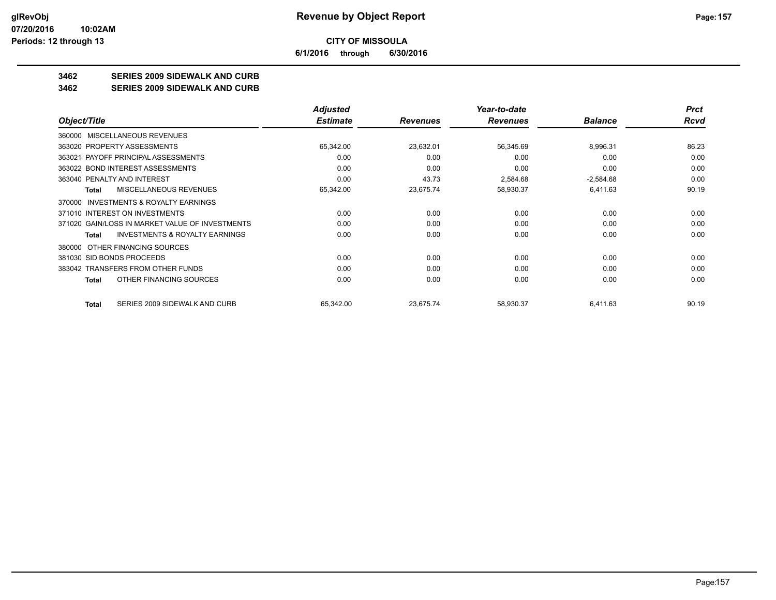**6/1/2016 through 6/30/2016**

## **3462 SERIES 2009 SIDEWALK AND CURB**

#### **3462 SERIES 2009 SIDEWALK AND CURB**

|                                                           | <b>Adjusted</b> |                 | Year-to-date    |                | <b>Prct</b> |
|-----------------------------------------------------------|-----------------|-----------------|-----------------|----------------|-------------|
| Object/Title                                              | <b>Estimate</b> | <b>Revenues</b> | <b>Revenues</b> | <b>Balance</b> | Rcvd        |
| <b>MISCELLANEOUS REVENUES</b><br>360000                   |                 |                 |                 |                |             |
| 363020 PROPERTY ASSESSMENTS                               | 65,342.00       | 23,632.01       | 56,345.69       | 8,996.31       | 86.23       |
| 363021 PAYOFF PRINCIPAL ASSESSMENTS                       | 0.00            | 0.00            | 0.00            | 0.00           | 0.00        |
| 363022 BOND INTEREST ASSESSMENTS                          | 0.00            | 0.00            | 0.00            | 0.00           | 0.00        |
| 363040 PENALTY AND INTEREST                               | 0.00            | 43.73           | 2,584.68        | $-2,584.68$    | 0.00        |
| MISCELLANEOUS REVENUES<br><b>Total</b>                    | 65,342.00       | 23,675.74       | 58,930.37       | 6,411.63       | 90.19       |
| INVESTMENTS & ROYALTY EARNINGS<br>370000                  |                 |                 |                 |                |             |
| 371010 INTEREST ON INVESTMENTS                            | 0.00            | 0.00            | 0.00            | 0.00           | 0.00        |
| 371020 GAIN/LOSS IN MARKET VALUE OF INVESTMENTS           | 0.00            | 0.00            | 0.00            | 0.00           | 0.00        |
| <b>INVESTMENTS &amp; ROYALTY EARNINGS</b><br><b>Total</b> | 0.00            | 0.00            | 0.00            | 0.00           | 0.00        |
| OTHER FINANCING SOURCES<br>380000                         |                 |                 |                 |                |             |
| 381030 SID BONDS PROCEEDS                                 | 0.00            | 0.00            | 0.00            | 0.00           | 0.00        |
| 383042 TRANSFERS FROM OTHER FUNDS                         | 0.00            | 0.00            | 0.00            | 0.00           | 0.00        |
| OTHER FINANCING SOURCES<br><b>Total</b>                   | 0.00            | 0.00            | 0.00            | 0.00           | 0.00        |
| SERIES 2009 SIDEWALK AND CURB<br><b>Total</b>             | 65,342.00       | 23,675.74       | 58,930.37       | 6,411.63       | 90.19       |
|                                                           |                 |                 |                 |                |             |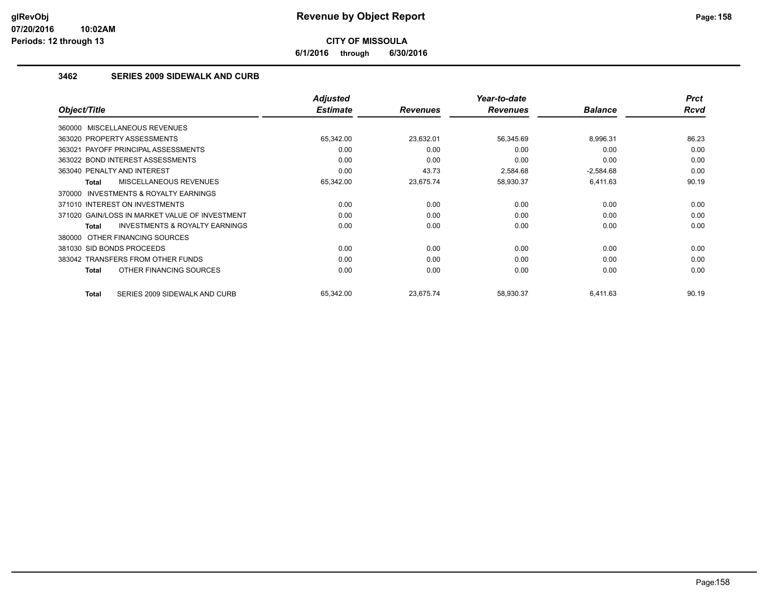**6/1/2016 through 6/30/2016**

## **3462 SERIES 2009 SIDEWALK AND CURB**

|                                                           | <b>Adjusted</b> |                 | Year-to-date    |                | <b>Prct</b> |
|-----------------------------------------------------------|-----------------|-----------------|-----------------|----------------|-------------|
| Object/Title                                              | <b>Estimate</b> | <b>Revenues</b> | <b>Revenues</b> | <b>Balance</b> | <b>Rcvd</b> |
| 360000 MISCELLANEOUS REVENUES                             |                 |                 |                 |                |             |
| 363020 PROPERTY ASSESSMENTS                               | 65,342.00       | 23,632.01       | 56,345.69       | 8,996.31       | 86.23       |
| 363021 PAYOFF PRINCIPAL ASSESSMENTS                       | 0.00            | 0.00            | 0.00            | 0.00           | 0.00        |
| 363022 BOND INTEREST ASSESSMENTS                          | 0.00            | 0.00            | 0.00            | 0.00           | 0.00        |
| 363040 PENALTY AND INTEREST                               | 0.00            | 43.73           | 2,584.68        | $-2,584.68$    | 0.00        |
| MISCELLANEOUS REVENUES<br><b>Total</b>                    | 65,342.00       | 23,675.74       | 58,930.37       | 6,411.63       | 90.19       |
| INVESTMENTS & ROYALTY EARNINGS<br>370000                  |                 |                 |                 |                |             |
| 371010 INTEREST ON INVESTMENTS                            | 0.00            | 0.00            | 0.00            | 0.00           | 0.00        |
| 371020 GAIN/LOSS IN MARKET VALUE OF INVESTMENT            | 0.00            | 0.00            | 0.00            | 0.00           | 0.00        |
| <b>INVESTMENTS &amp; ROYALTY EARNINGS</b><br><b>Total</b> | 0.00            | 0.00            | 0.00            | 0.00           | 0.00        |
| 380000 OTHER FINANCING SOURCES                            |                 |                 |                 |                |             |
| 381030 SID BONDS PROCEEDS                                 | 0.00            | 0.00            | 0.00            | 0.00           | 0.00        |
| 383042 TRANSFERS FROM OTHER FUNDS                         | 0.00            | 0.00            | 0.00            | 0.00           | 0.00        |
| OTHER FINANCING SOURCES<br><b>Total</b>                   | 0.00            | 0.00            | 0.00            | 0.00           | 0.00        |
| SERIES 2009 SIDEWALK AND CURB<br><b>Total</b>             | 65,342.00       | 23.675.74       | 58,930.37       | 6,411.63       | 90.19       |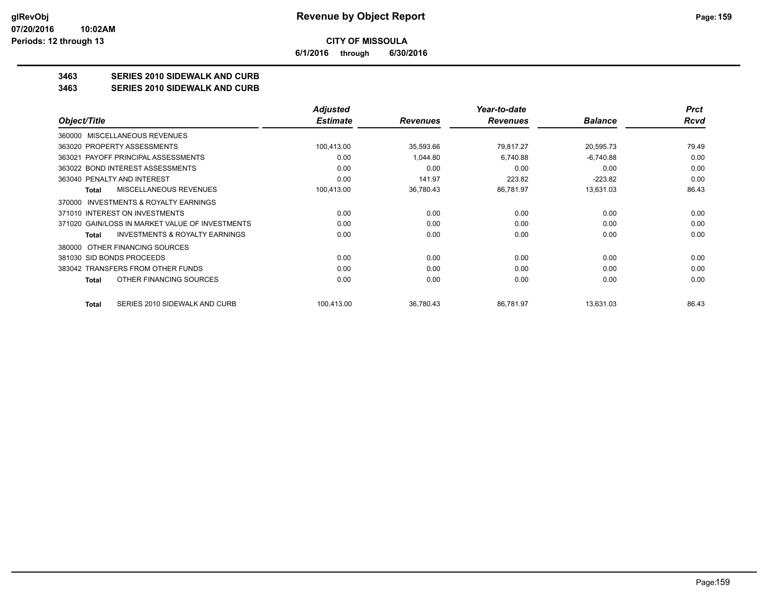**6/1/2016 through 6/30/2016**

## **3463 SERIES 2010 SIDEWALK AND CURB**

**3463 SERIES 2010 SIDEWALK AND CURB**

|                                                           | <b>Adjusted</b> |                 | Year-to-date    |                | <b>Prct</b> |
|-----------------------------------------------------------|-----------------|-----------------|-----------------|----------------|-------------|
| Object/Title                                              | <b>Estimate</b> | <b>Revenues</b> | <b>Revenues</b> | <b>Balance</b> | Rcvd        |
| <b>MISCELLANEOUS REVENUES</b><br>360000                   |                 |                 |                 |                |             |
| 363020 PROPERTY ASSESSMENTS                               | 100,413.00      | 35,593.66       | 79,817.27       | 20,595.73      | 79.49       |
| 363021 PAYOFF PRINCIPAL ASSESSMENTS                       | 0.00            | 1,044.80        | 6,740.88        | $-6,740.88$    | 0.00        |
| 363022 BOND INTEREST ASSESSMENTS                          | 0.00            | 0.00            | 0.00            | 0.00           | 0.00        |
| 363040 PENALTY AND INTEREST                               | 0.00            | 141.97          | 223.82          | $-223.82$      | 0.00        |
| MISCELLANEOUS REVENUES<br><b>Total</b>                    | 100,413.00      | 36,780.43       | 86,781.97       | 13,631.03      | 86.43       |
| <b>INVESTMENTS &amp; ROYALTY EARNINGS</b><br>370000       |                 |                 |                 |                |             |
| 371010 INTEREST ON INVESTMENTS                            | 0.00            | 0.00            | 0.00            | 0.00           | 0.00        |
| 371020 GAIN/LOSS IN MARKET VALUE OF INVESTMENTS           | 0.00            | 0.00            | 0.00            | 0.00           | 0.00        |
| <b>INVESTMENTS &amp; ROYALTY EARNINGS</b><br><b>Total</b> | 0.00            | 0.00            | 0.00            | 0.00           | 0.00        |
| OTHER FINANCING SOURCES<br>380000                         |                 |                 |                 |                |             |
| 381030 SID BONDS PROCEEDS                                 | 0.00            | 0.00            | 0.00            | 0.00           | 0.00        |
| 383042 TRANSFERS FROM OTHER FUNDS                         | 0.00            | 0.00            | 0.00            | 0.00           | 0.00        |
| OTHER FINANCING SOURCES<br>Total                          | 0.00            | 0.00            | 0.00            | 0.00           | 0.00        |
| SERIES 2010 SIDEWALK AND CURB<br>Total                    | 100,413.00      | 36,780.43       | 86,781.97       | 13,631.03      | 86.43       |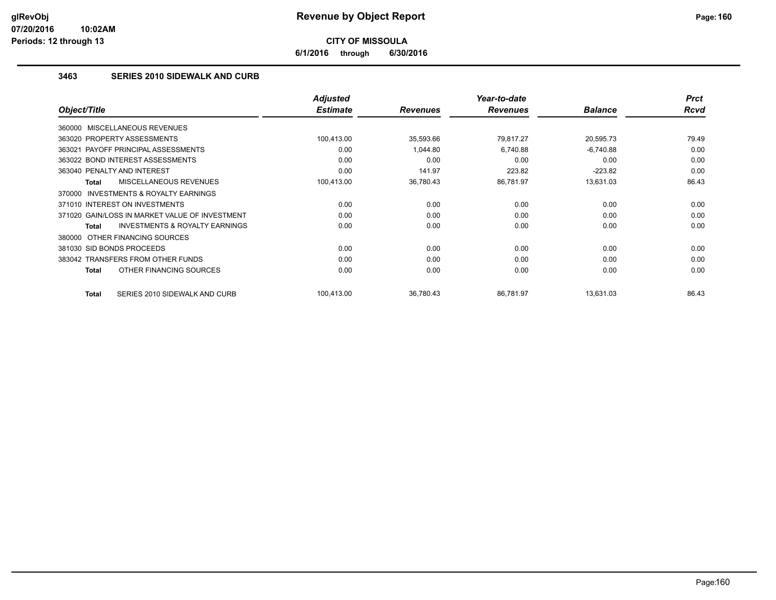**6/1/2016 through 6/30/2016**

## **3463 SERIES 2010 SIDEWALK AND CURB**

|                                                           | <b>Adjusted</b> |                 | Year-to-date    |                | <b>Prct</b> |
|-----------------------------------------------------------|-----------------|-----------------|-----------------|----------------|-------------|
| Object/Title                                              | <b>Estimate</b> | <b>Revenues</b> | <b>Revenues</b> | <b>Balance</b> | <b>Rcvd</b> |
| 360000 MISCELLANEOUS REVENUES                             |                 |                 |                 |                |             |
| 363020 PROPERTY ASSESSMENTS                               | 100,413.00      | 35,593.66       | 79,817.27       | 20,595.73      | 79.49       |
| PAYOFF PRINCIPAL ASSESSMENTS<br>363021                    | 0.00            | 1,044.80        | 6,740.88        | $-6,740.88$    | 0.00        |
| 363022 BOND INTEREST ASSESSMENTS                          | 0.00            | 0.00            | 0.00            | 0.00           | 0.00        |
| 363040 PENALTY AND INTEREST                               | 0.00            | 141.97          | 223.82          | $-223.82$      | 0.00        |
| <b>MISCELLANEOUS REVENUES</b><br><b>Total</b>             | 100,413.00      | 36,780.43       | 86,781.97       | 13,631.03      | 86.43       |
| 370000 INVESTMENTS & ROYALTY EARNINGS                     |                 |                 |                 |                |             |
| 371010 INTEREST ON INVESTMENTS                            | 0.00            | 0.00            | 0.00            | 0.00           | 0.00        |
| 371020 GAIN/LOSS IN MARKET VALUE OF INVESTMENT            | 0.00            | 0.00            | 0.00            | 0.00           | 0.00        |
| <b>INVESTMENTS &amp; ROYALTY EARNINGS</b><br><b>Total</b> | 0.00            | 0.00            | 0.00            | 0.00           | 0.00        |
| OTHER FINANCING SOURCES<br>380000                         |                 |                 |                 |                |             |
| 381030 SID BONDS PROCEEDS                                 | 0.00            | 0.00            | 0.00            | 0.00           | 0.00        |
| 383042 TRANSFERS FROM OTHER FUNDS                         | 0.00            | 0.00            | 0.00            | 0.00           | 0.00        |
| OTHER FINANCING SOURCES<br><b>Total</b>                   | 0.00            | 0.00            | 0.00            | 0.00           | 0.00        |
| SERIES 2010 SIDEWALK AND CURB<br><b>Total</b>             | 100,413.00      | 36,780.43       | 86,781.97       | 13,631.03      | 86.43       |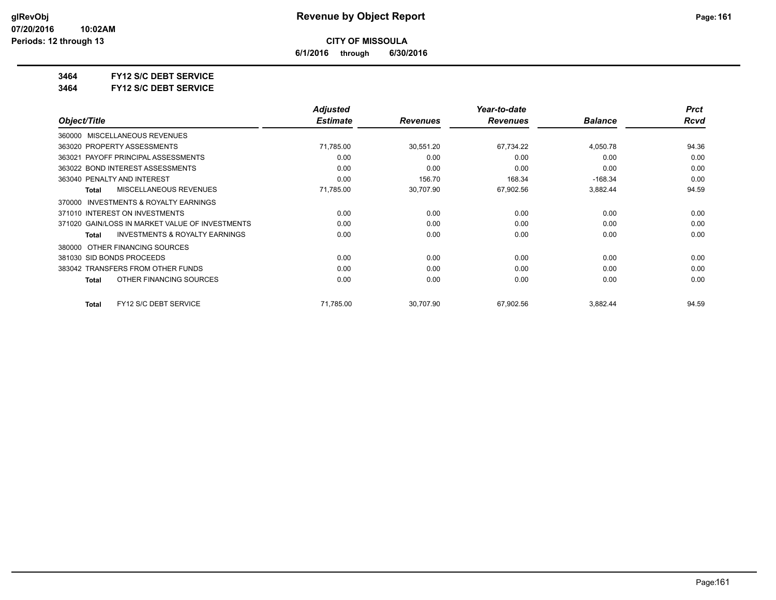**6/1/2016 through 6/30/2016**

**3464 FY12 S/C DEBT SERVICE**

**3464 FY12 S/C DEBT SERVICE**

|                                                    | <b>Adjusted</b> |                 | Year-to-date    |                | <b>Prct</b> |
|----------------------------------------------------|-----------------|-----------------|-----------------|----------------|-------------|
| Object/Title                                       | <b>Estimate</b> | <b>Revenues</b> | <b>Revenues</b> | <b>Balance</b> | Rcvd        |
| MISCELLANEOUS REVENUES<br>360000                   |                 |                 |                 |                |             |
| 363020 PROPERTY ASSESSMENTS                        | 71,785.00       | 30,551.20       | 67,734.22       | 4,050.78       | 94.36       |
| 363021 PAYOFF PRINCIPAL ASSESSMENTS                | 0.00            | 0.00            | 0.00            | 0.00           | 0.00        |
| 363022 BOND INTEREST ASSESSMENTS                   | 0.00            | 0.00            | 0.00            | 0.00           | 0.00        |
| 363040 PENALTY AND INTEREST                        | 0.00            | 156.70          | 168.34          | $-168.34$      | 0.00        |
| <b>MISCELLANEOUS REVENUES</b><br><b>Total</b>      | 71,785.00       | 30,707.90       | 67,902.56       | 3,882.44       | 94.59       |
| INVESTMENTS & ROYALTY EARNINGS<br>370000           |                 |                 |                 |                |             |
| 371010 INTEREST ON INVESTMENTS                     | 0.00            | 0.00            | 0.00            | 0.00           | 0.00        |
| 371020 GAIN/LOSS IN MARKET VALUE OF INVESTMENTS    | 0.00            | 0.00            | 0.00            | 0.00           | 0.00        |
| <b>INVESTMENTS &amp; ROYALTY EARNINGS</b><br>Total | 0.00            | 0.00            | 0.00            | 0.00           | 0.00        |
| OTHER FINANCING SOURCES<br>380000                  |                 |                 |                 |                |             |
| 381030 SID BONDS PROCEEDS                          | 0.00            | 0.00            | 0.00            | 0.00           | 0.00        |
| 383042 TRANSFERS FROM OTHER FUNDS                  | 0.00            | 0.00            | 0.00            | 0.00           | 0.00        |
| OTHER FINANCING SOURCES<br>Total                   | 0.00            | 0.00            | 0.00            | 0.00           | 0.00        |
| FY12 S/C DEBT SERVICE<br><b>Total</b>              | 71,785.00       | 30,707.90       | 67,902.56       | 3,882.44       | 94.59       |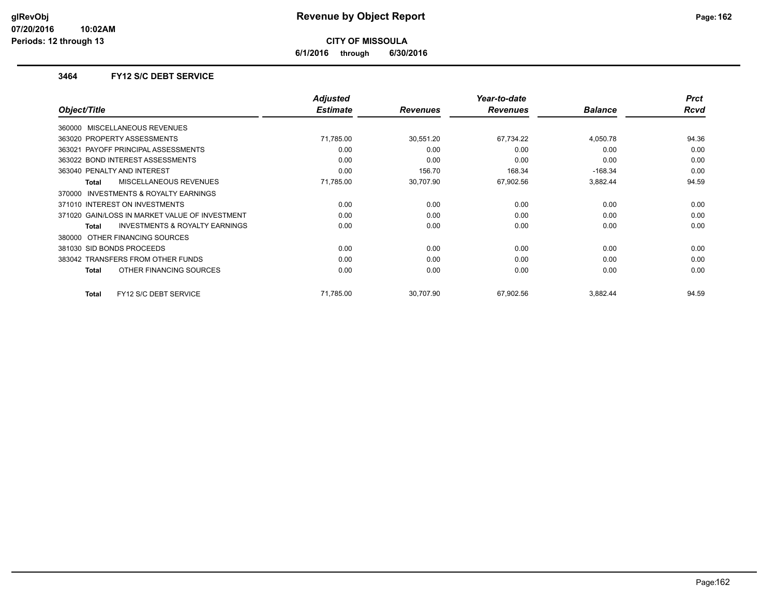**6/1/2016 through 6/30/2016**

### **3464 FY12 S/C DEBT SERVICE**

|                                                           | <b>Adjusted</b> |                 | Year-to-date    |                | <b>Prct</b> |
|-----------------------------------------------------------|-----------------|-----------------|-----------------|----------------|-------------|
| Object/Title                                              | <b>Estimate</b> | <b>Revenues</b> | <b>Revenues</b> | <b>Balance</b> | <b>Rcvd</b> |
| 360000 MISCELLANEOUS REVENUES                             |                 |                 |                 |                |             |
| 363020 PROPERTY ASSESSMENTS                               | 71,785.00       | 30,551.20       | 67,734.22       | 4,050.78       | 94.36       |
| 363021 PAYOFF PRINCIPAL ASSESSMENTS                       | 0.00            | 0.00            | 0.00            | 0.00           | 0.00        |
| 363022 BOND INTEREST ASSESSMENTS                          | 0.00            | 0.00            | 0.00            | 0.00           | 0.00        |
| 363040 PENALTY AND INTEREST                               | 0.00            | 156.70          | 168.34          | $-168.34$      | 0.00        |
| MISCELLANEOUS REVENUES<br><b>Total</b>                    | 71,785.00       | 30,707.90       | 67,902.56       | 3,882.44       | 94.59       |
| <b>INVESTMENTS &amp; ROYALTY EARNINGS</b><br>370000       |                 |                 |                 |                |             |
| 371010 INTEREST ON INVESTMENTS                            | 0.00            | 0.00            | 0.00            | 0.00           | 0.00        |
| 371020 GAIN/LOSS IN MARKET VALUE OF INVESTMENT            | 0.00            | 0.00            | 0.00            | 0.00           | 0.00        |
| <b>INVESTMENTS &amp; ROYALTY EARNINGS</b><br><b>Total</b> | 0.00            | 0.00            | 0.00            | 0.00           | 0.00        |
| 380000 OTHER FINANCING SOURCES                            |                 |                 |                 |                |             |
| 381030 SID BONDS PROCEEDS                                 | 0.00            | 0.00            | 0.00            | 0.00           | 0.00        |
| 383042 TRANSFERS FROM OTHER FUNDS                         | 0.00            | 0.00            | 0.00            | 0.00           | 0.00        |
| OTHER FINANCING SOURCES<br><b>Total</b>                   | 0.00            | 0.00            | 0.00            | 0.00           | 0.00        |
| FY12 S/C DEBT SERVICE<br><b>Total</b>                     | 71,785.00       | 30,707.90       | 67,902.56       | 3,882.44       | 94.59       |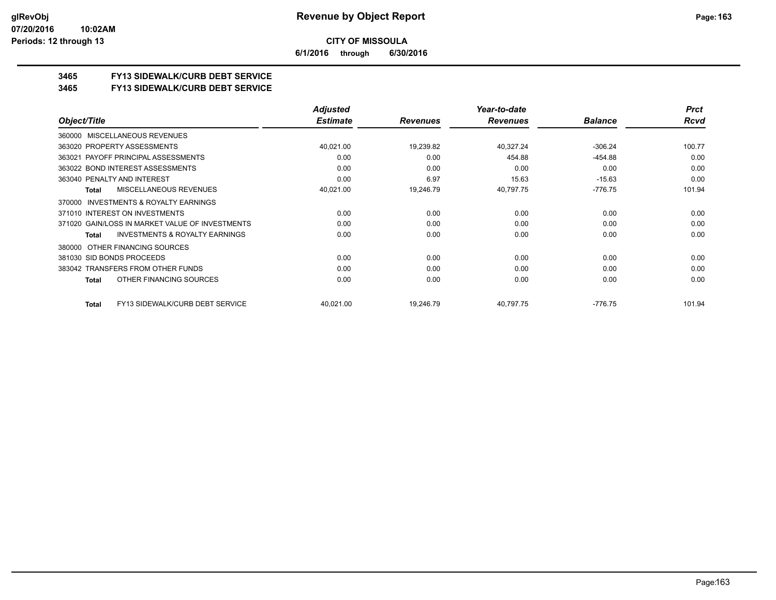**6/1/2016 through 6/30/2016**

## **3465 FY13 SIDEWALK/CURB DEBT SERVICE**

#### **3465 FY13 SIDEWALK/CURB DEBT SERVICE**

|                                                           | <b>Adjusted</b> |                 | Year-to-date    |                | <b>Prct</b> |
|-----------------------------------------------------------|-----------------|-----------------|-----------------|----------------|-------------|
| Object/Title                                              | <b>Estimate</b> | <b>Revenues</b> | <b>Revenues</b> | <b>Balance</b> | <b>Rcvd</b> |
| MISCELLANEOUS REVENUES<br>360000                          |                 |                 |                 |                |             |
| 363020 PROPERTY ASSESSMENTS                               | 40,021.00       | 19,239.82       | 40,327.24       | $-306.24$      | 100.77      |
| 363021 PAYOFF PRINCIPAL ASSESSMENTS                       | 0.00            | 0.00            | 454.88          | $-454.88$      | 0.00        |
| 363022 BOND INTEREST ASSESSMENTS                          | 0.00            | 0.00            | 0.00            | 0.00           | 0.00        |
| 363040 PENALTY AND INTEREST                               | 0.00            | 6.97            | 15.63           | $-15.63$       | 0.00        |
| MISCELLANEOUS REVENUES<br><b>Total</b>                    | 40,021.00       | 19,246.79       | 40,797.75       | $-776.75$      | 101.94      |
| INVESTMENTS & ROYALTY EARNINGS<br>370000                  |                 |                 |                 |                |             |
| 371010 INTEREST ON INVESTMENTS                            | 0.00            | 0.00            | 0.00            | 0.00           | 0.00        |
| 371020 GAIN/LOSS IN MARKET VALUE OF INVESTMENTS           | 0.00            | 0.00            | 0.00            | 0.00           | 0.00        |
| <b>INVESTMENTS &amp; ROYALTY EARNINGS</b><br><b>Total</b> | 0.00            | 0.00            | 0.00            | 0.00           | 0.00        |
| OTHER FINANCING SOURCES<br>380000                         |                 |                 |                 |                |             |
| 381030 SID BONDS PROCEEDS                                 | 0.00            | 0.00            | 0.00            | 0.00           | 0.00        |
| 383042 TRANSFERS FROM OTHER FUNDS                         | 0.00            | 0.00            | 0.00            | 0.00           | 0.00        |
| OTHER FINANCING SOURCES<br><b>Total</b>                   | 0.00            | 0.00            | 0.00            | 0.00           | 0.00        |
| <b>FY13 SIDEWALK/CURB DEBT SERVICE</b><br><b>Total</b>    | 40,021.00       | 19,246.79       | 40,797.75       | $-776.75$      | 101.94      |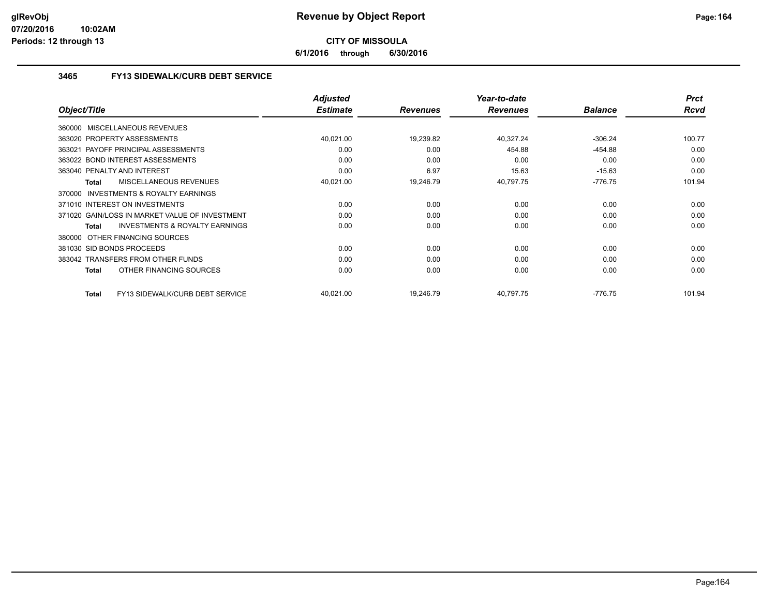**6/1/2016 through 6/30/2016**

## **3465 FY13 SIDEWALK/CURB DEBT SERVICE**

|                                                           | <b>Adjusted</b> |                 | Year-to-date    |                | <b>Prct</b> |
|-----------------------------------------------------------|-----------------|-----------------|-----------------|----------------|-------------|
| Object/Title                                              | <b>Estimate</b> | <b>Revenues</b> | <b>Revenues</b> | <b>Balance</b> | <b>Rcvd</b> |
| 360000 MISCELLANEOUS REVENUES                             |                 |                 |                 |                |             |
| 363020 PROPERTY ASSESSMENTS                               | 40,021.00       | 19,239.82       | 40,327.24       | $-306.24$      | 100.77      |
| PAYOFF PRINCIPAL ASSESSMENTS<br>363021                    | 0.00            | 0.00            | 454.88          | $-454.88$      | 0.00        |
| 363022 BOND INTEREST ASSESSMENTS                          | 0.00            | 0.00            | 0.00            | 0.00           | 0.00        |
| 363040 PENALTY AND INTEREST                               | 0.00            | 6.97            | 15.63           | $-15.63$       | 0.00        |
| <b>MISCELLANEOUS REVENUES</b><br><b>Total</b>             | 40,021.00       | 19,246.79       | 40,797.75       | $-776.75$      | 101.94      |
| INVESTMENTS & ROYALTY EARNINGS<br>370000                  |                 |                 |                 |                |             |
| 371010 INTEREST ON INVESTMENTS                            | 0.00            | 0.00            | 0.00            | 0.00           | 0.00        |
| 371020 GAIN/LOSS IN MARKET VALUE OF INVESTMENT            | 0.00            | 0.00            | 0.00            | 0.00           | 0.00        |
| <b>INVESTMENTS &amp; ROYALTY EARNINGS</b><br><b>Total</b> | 0.00            | 0.00            | 0.00            | 0.00           | 0.00        |
| OTHER FINANCING SOURCES<br>380000                         |                 |                 |                 |                |             |
| 381030 SID BONDS PROCEEDS                                 | 0.00            | 0.00            | 0.00            | 0.00           | 0.00        |
| 383042 TRANSFERS FROM OTHER FUNDS                         | 0.00            | 0.00            | 0.00            | 0.00           | 0.00        |
| OTHER FINANCING SOURCES<br><b>Total</b>                   | 0.00            | 0.00            | 0.00            | 0.00           | 0.00        |
| FY13 SIDEWALK/CURB DEBT SERVICE<br><b>Total</b>           | 40,021.00       | 19.246.79       | 40,797.75       | $-776.75$      | 101.94      |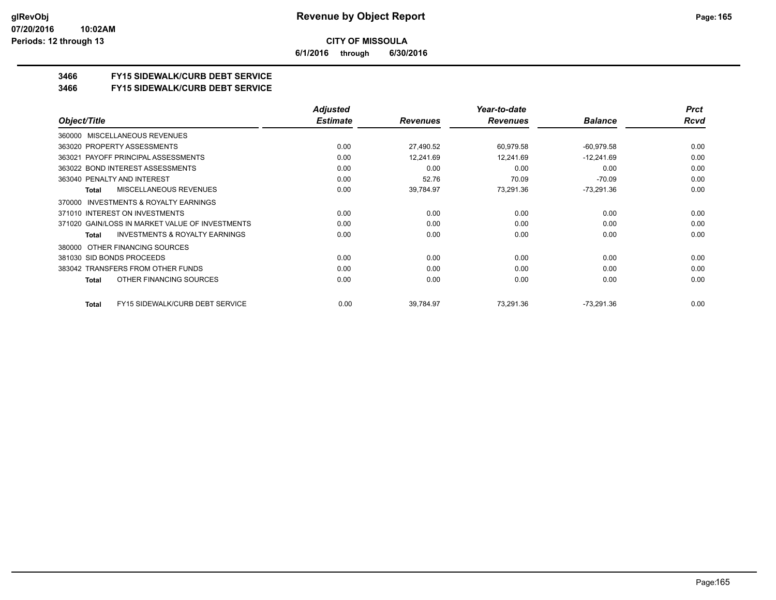**6/1/2016 through 6/30/2016**

## **3466 FY15 SIDEWALK/CURB DEBT SERVICE**

#### **3466 FY15 SIDEWALK/CURB DEBT SERVICE**

|                                                           | <b>Adjusted</b> |                 | Year-to-date    |                | <b>Prct</b> |
|-----------------------------------------------------------|-----------------|-----------------|-----------------|----------------|-------------|
| Object/Title                                              | <b>Estimate</b> | <b>Revenues</b> | <b>Revenues</b> | <b>Balance</b> | <b>Rcvd</b> |
| MISCELLANEOUS REVENUES<br>360000                          |                 |                 |                 |                |             |
| 363020 PROPERTY ASSESSMENTS                               | 0.00            | 27,490.52       | 60,979.58       | $-60,979.58$   | 0.00        |
| 363021 PAYOFF PRINCIPAL ASSESSMENTS                       | 0.00            | 12,241.69       | 12,241.69       | $-12,241.69$   | 0.00        |
| 363022 BOND INTEREST ASSESSMENTS                          | 0.00            | 0.00            | 0.00            | 0.00           | 0.00        |
| 363040 PENALTY AND INTEREST                               | 0.00            | 52.76           | 70.09           | $-70.09$       | 0.00        |
| MISCELLANEOUS REVENUES<br><b>Total</b>                    | 0.00            | 39,784.97       | 73,291.36       | $-73,291.36$   | 0.00        |
| <b>INVESTMENTS &amp; ROYALTY EARNINGS</b><br>370000       |                 |                 |                 |                |             |
| 371010 INTEREST ON INVESTMENTS                            | 0.00            | 0.00            | 0.00            | 0.00           | 0.00        |
| 371020 GAIN/LOSS IN MARKET VALUE OF INVESTMENTS           | 0.00            | 0.00            | 0.00            | 0.00           | 0.00        |
| <b>INVESTMENTS &amp; ROYALTY EARNINGS</b><br><b>Total</b> | 0.00            | 0.00            | 0.00            | 0.00           | 0.00        |
| OTHER FINANCING SOURCES<br>380000                         |                 |                 |                 |                |             |
| 381030 SID BONDS PROCEEDS                                 | 0.00            | 0.00            | 0.00            | 0.00           | 0.00        |
| 383042 TRANSFERS FROM OTHER FUNDS                         | 0.00            | 0.00            | 0.00            | 0.00           | 0.00        |
| OTHER FINANCING SOURCES<br>Total                          | 0.00            | 0.00            | 0.00            | 0.00           | 0.00        |
| FY15 SIDEWALK/CURB DEBT SERVICE<br><b>Total</b>           | 0.00            | 39,784.97       | 73,291.36       | $-73,291.36$   | 0.00        |
|                                                           |                 |                 |                 |                |             |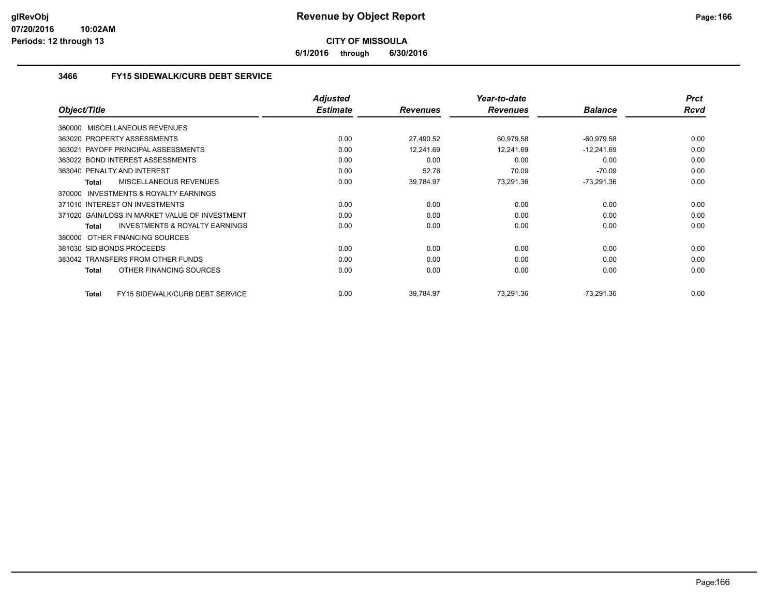**6/1/2016 through 6/30/2016**

## **3466 FY15 SIDEWALK/CURB DEBT SERVICE**

|                                                 | <b>Adjusted</b> |                 | Year-to-date    |                | <b>Prct</b> |
|-------------------------------------------------|-----------------|-----------------|-----------------|----------------|-------------|
| Object/Title                                    | <b>Estimate</b> | <b>Revenues</b> | <b>Revenues</b> | <b>Balance</b> | Rcvd        |
| 360000 MISCELLANEOUS REVENUES                   |                 |                 |                 |                |             |
| 363020 PROPERTY ASSESSMENTS                     | 0.00            | 27,490.52       | 60,979.58       | $-60,979.58$   | 0.00        |
| PAYOFF PRINCIPAL ASSESSMENTS<br>363021          | 0.00            | 12,241.69       | 12.241.69       | $-12,241.69$   | 0.00        |
| 363022 BOND INTEREST ASSESSMENTS                | 0.00            | 0.00            | 0.00            | 0.00           | 0.00        |
| 363040 PENALTY AND INTEREST                     | 0.00            | 52.76           | 70.09           | $-70.09$       | 0.00        |
| <b>MISCELLANEOUS REVENUES</b><br><b>Total</b>   | 0.00            | 39,784.97       | 73,291.36       | $-73,291.36$   | 0.00        |
| INVESTMENTS & ROYALTY EARNINGS<br>370000        |                 |                 |                 |                |             |
| 371010 INTEREST ON INVESTMENTS                  | 0.00            | 0.00            | 0.00            | 0.00           | 0.00        |
| 371020 GAIN/LOSS IN MARKET VALUE OF INVESTMENT  | 0.00            | 0.00            | 0.00            | 0.00           | 0.00        |
| INVESTMENTS & ROYALTY EARNINGS<br><b>Total</b>  | 0.00            | 0.00            | 0.00            | 0.00           | 0.00        |
| OTHER FINANCING SOURCES<br>380000               |                 |                 |                 |                |             |
| 381030 SID BONDS PROCEEDS                       | 0.00            | 0.00            | 0.00            | 0.00           | 0.00        |
| 383042 TRANSFERS FROM OTHER FUNDS               | 0.00            | 0.00            | 0.00            | 0.00           | 0.00        |
| OTHER FINANCING SOURCES<br><b>Total</b>         | 0.00            | 0.00            | 0.00            | 0.00           | 0.00        |
| FY15 SIDEWALK/CURB DEBT SERVICE<br><b>Total</b> | 0.00            | 39.784.97       | 73,291.36       | $-73,291.36$   | 0.00        |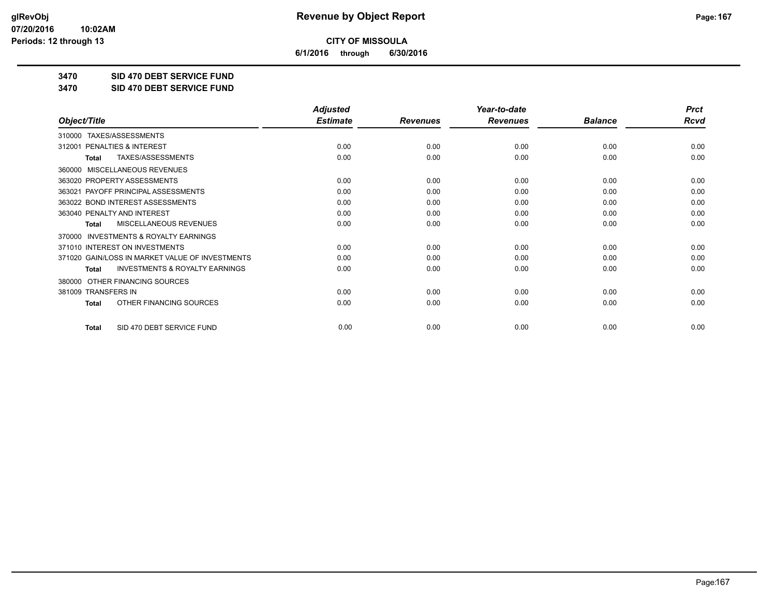**6/1/2016 through 6/30/2016**

**3470 SID 470 DEBT SERVICE FUND**

**3470 SID 470 DEBT SERVICE FUND**

|                                                           | <b>Adjusted</b> |                 | Year-to-date    |                | <b>Prct</b> |
|-----------------------------------------------------------|-----------------|-----------------|-----------------|----------------|-------------|
| Object/Title                                              | <b>Estimate</b> | <b>Revenues</b> | <b>Revenues</b> | <b>Balance</b> | <b>Rcvd</b> |
| TAXES/ASSESSMENTS<br>310000                               |                 |                 |                 |                |             |
| PENALTIES & INTEREST<br>312001                            | 0.00            | 0.00            | 0.00            | 0.00           | 0.00        |
| TAXES/ASSESSMENTS<br><b>Total</b>                         | 0.00            | 0.00            | 0.00            | 0.00           | 0.00        |
| MISCELLANEOUS REVENUES<br>360000                          |                 |                 |                 |                |             |
| 363020 PROPERTY ASSESSMENTS                               | 0.00            | 0.00            | 0.00            | 0.00           | 0.00        |
| PAYOFF PRINCIPAL ASSESSMENTS<br>363021                    | 0.00            | 0.00            | 0.00            | 0.00           | 0.00        |
| 363022 BOND INTEREST ASSESSMENTS                          | 0.00            | 0.00            | 0.00            | 0.00           | 0.00        |
| 363040 PENALTY AND INTEREST                               | 0.00            | 0.00            | 0.00            | 0.00           | 0.00        |
| MISCELLANEOUS REVENUES<br><b>Total</b>                    | 0.00            | 0.00            | 0.00            | 0.00           | 0.00        |
| <b>INVESTMENTS &amp; ROYALTY EARNINGS</b><br>370000       |                 |                 |                 |                |             |
| 371010 INTEREST ON INVESTMENTS                            | 0.00            | 0.00            | 0.00            | 0.00           | 0.00        |
| 371020 GAIN/LOSS IN MARKET VALUE OF INVESTMENTS           | 0.00            | 0.00            | 0.00            | 0.00           | 0.00        |
| <b>INVESTMENTS &amp; ROYALTY EARNINGS</b><br><b>Total</b> | 0.00            | 0.00            | 0.00            | 0.00           | 0.00        |
| OTHER FINANCING SOURCES<br>380000                         |                 |                 |                 |                |             |
| 381009 TRANSFERS IN                                       | 0.00            | 0.00            | 0.00            | 0.00           | 0.00        |
| OTHER FINANCING SOURCES<br><b>Total</b>                   | 0.00            | 0.00            | 0.00            | 0.00           | 0.00        |
| SID 470 DEBT SERVICE FUND<br><b>Total</b>                 | 0.00            | 0.00            | 0.00            | 0.00           | 0.00        |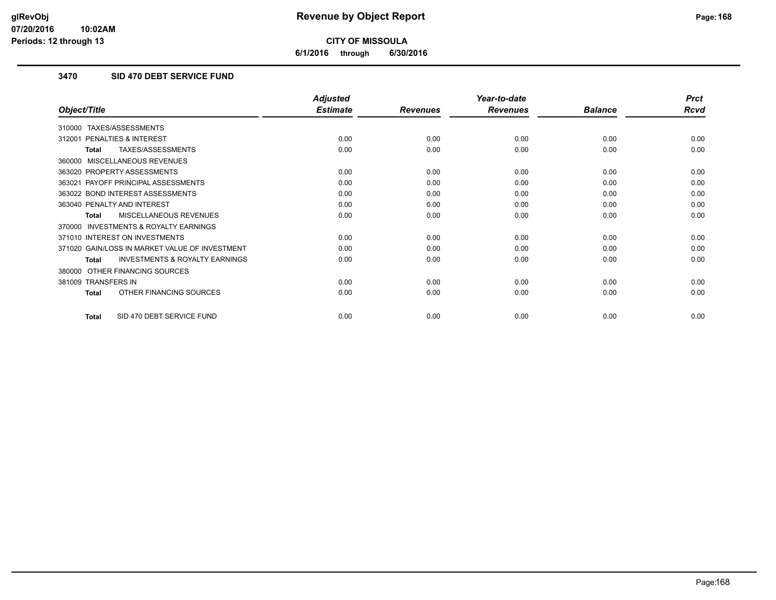**6/1/2016 through 6/30/2016**

## **3470 SID 470 DEBT SERVICE FUND**

|                                                           | <b>Adjusted</b> |                 | Year-to-date    |                | <b>Prct</b> |
|-----------------------------------------------------------|-----------------|-----------------|-----------------|----------------|-------------|
| Object/Title                                              | <b>Estimate</b> | <b>Revenues</b> | <b>Revenues</b> | <b>Balance</b> | <b>Rcvd</b> |
| TAXES/ASSESSMENTS<br>310000                               |                 |                 |                 |                |             |
| 312001 PENALTIES & INTEREST                               | 0.00            | 0.00            | 0.00            | 0.00           | 0.00        |
| TAXES/ASSESSMENTS<br><b>Total</b>                         | 0.00            | 0.00            | 0.00            | 0.00           | 0.00        |
| MISCELLANEOUS REVENUES<br>360000                          |                 |                 |                 |                |             |
| 363020 PROPERTY ASSESSMENTS                               | 0.00            | 0.00            | 0.00            | 0.00           | 0.00        |
| 363021 PAYOFF PRINCIPAL ASSESSMENTS                       | 0.00            | 0.00            | 0.00            | 0.00           | 0.00        |
| 363022 BOND INTEREST ASSESSMENTS                          | 0.00            | 0.00            | 0.00            | 0.00           | 0.00        |
| 363040 PENALTY AND INTEREST                               | 0.00            | 0.00            | 0.00            | 0.00           | 0.00        |
| MISCELLANEOUS REVENUES<br><b>Total</b>                    | 0.00            | 0.00            | 0.00            | 0.00           | 0.00        |
| <b>INVESTMENTS &amp; ROYALTY EARNINGS</b><br>370000       |                 |                 |                 |                |             |
| 371010 INTEREST ON INVESTMENTS                            | 0.00            | 0.00            | 0.00            | 0.00           | 0.00        |
| 371020 GAIN/LOSS IN MARKET VALUE OF INVESTMENT            | 0.00            | 0.00            | 0.00            | 0.00           | 0.00        |
| <b>INVESTMENTS &amp; ROYALTY EARNINGS</b><br><b>Total</b> | 0.00            | 0.00            | 0.00            | 0.00           | 0.00        |
| OTHER FINANCING SOURCES<br>380000                         |                 |                 |                 |                |             |
| 381009 TRANSFERS IN                                       | 0.00            | 0.00            | 0.00            | 0.00           | 0.00        |
| OTHER FINANCING SOURCES<br><b>Total</b>                   | 0.00            | 0.00            | 0.00            | 0.00           | 0.00        |
| SID 470 DEBT SERVICE FUND<br>Total                        | 0.00            | 0.00            | 0.00            | 0.00           | 0.00        |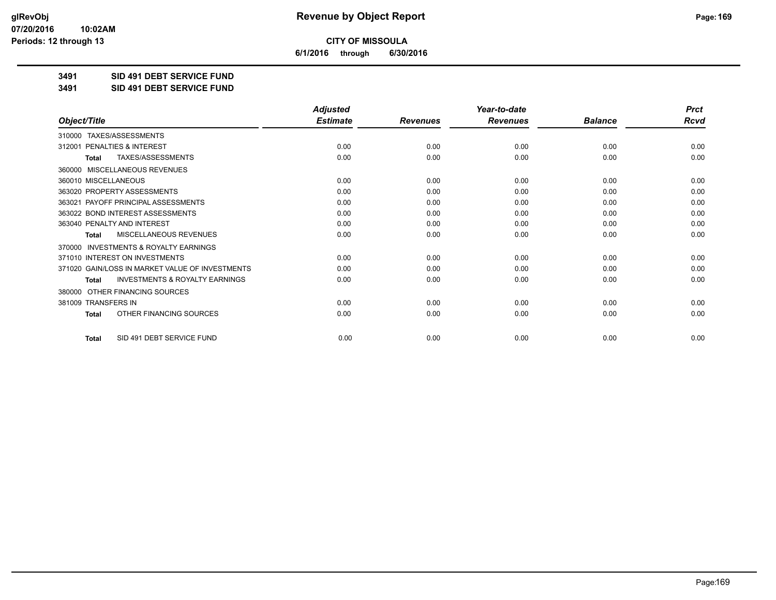**6/1/2016 through 6/30/2016**

**3491 SID 491 DEBT SERVICE FUND**

**3491 SID 491 DEBT SERVICE FUND**

|                                                           | <b>Adjusted</b> |                 | Year-to-date    |                | <b>Prct</b> |
|-----------------------------------------------------------|-----------------|-----------------|-----------------|----------------|-------------|
| Object/Title                                              | <b>Estimate</b> | <b>Revenues</b> | <b>Revenues</b> | <b>Balance</b> | <b>Rcvd</b> |
| TAXES/ASSESSMENTS<br>310000                               |                 |                 |                 |                |             |
| 312001 PENALTIES & INTEREST                               | 0.00            | 0.00            | 0.00            | 0.00           | 0.00        |
| TAXES/ASSESSMENTS<br><b>Total</b>                         | 0.00            | 0.00            | 0.00            | 0.00           | 0.00        |
| <b>MISCELLANEOUS REVENUES</b><br>360000                   |                 |                 |                 |                |             |
| 360010 MISCELLANEOUS                                      | 0.00            | 0.00            | 0.00            | 0.00           | 0.00        |
| 363020 PROPERTY ASSESSMENTS                               | 0.00            | 0.00            | 0.00            | 0.00           | 0.00        |
| 363021 PAYOFF PRINCIPAL ASSESSMENTS                       | 0.00            | 0.00            | 0.00            | 0.00           | 0.00        |
| 363022 BOND INTEREST ASSESSMENTS                          | 0.00            | 0.00            | 0.00            | 0.00           | 0.00        |
| 363040 PENALTY AND INTEREST                               | 0.00            | 0.00            | 0.00            | 0.00           | 0.00        |
| <b>MISCELLANEOUS REVENUES</b><br><b>Total</b>             | 0.00            | 0.00            | 0.00            | 0.00           | 0.00        |
| <b>INVESTMENTS &amp; ROYALTY EARNINGS</b><br>370000       |                 |                 |                 |                |             |
| 371010 INTEREST ON INVESTMENTS                            | 0.00            | 0.00            | 0.00            | 0.00           | 0.00        |
| 371020 GAIN/LOSS IN MARKET VALUE OF INVESTMENTS           | 0.00            | 0.00            | 0.00            | 0.00           | 0.00        |
| <b>INVESTMENTS &amp; ROYALTY EARNINGS</b><br><b>Total</b> | 0.00            | 0.00            | 0.00            | 0.00           | 0.00        |
| OTHER FINANCING SOURCES<br>380000                         |                 |                 |                 |                |             |
| 381009 TRANSFERS IN                                       | 0.00            | 0.00            | 0.00            | 0.00           | 0.00        |
| OTHER FINANCING SOURCES<br>Total                          | 0.00            | 0.00            | 0.00            | 0.00           | 0.00        |
| SID 491 DEBT SERVICE FUND<br><b>Total</b>                 | 0.00            | 0.00            | 0.00            | 0.00           | 0.00        |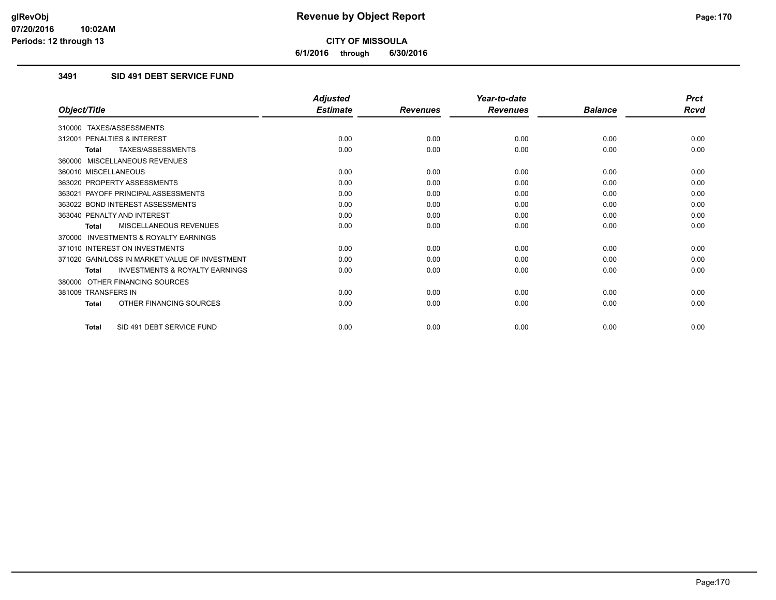**6/1/2016 through 6/30/2016**

## **3491 SID 491 DEBT SERVICE FUND**

|                                                           | <b>Adjusted</b> |                 | Year-to-date    |                | <b>Prct</b> |
|-----------------------------------------------------------|-----------------|-----------------|-----------------|----------------|-------------|
| Object/Title                                              | <b>Estimate</b> | <b>Revenues</b> | <b>Revenues</b> | <b>Balance</b> | <b>Rcvd</b> |
| 310000 TAXES/ASSESSMENTS                                  |                 |                 |                 |                |             |
| 312001 PENALTIES & INTEREST                               | 0.00            | 0.00            | 0.00            | 0.00           | 0.00        |
| TAXES/ASSESSMENTS<br><b>Total</b>                         | 0.00            | 0.00            | 0.00            | 0.00           | 0.00        |
| 360000 MISCELLANEOUS REVENUES                             |                 |                 |                 |                |             |
| 360010 MISCELLANEOUS                                      | 0.00            | 0.00            | 0.00            | 0.00           | 0.00        |
| 363020 PROPERTY ASSESSMENTS                               | 0.00            | 0.00            | 0.00            | 0.00           | 0.00        |
| 363021 PAYOFF PRINCIPAL ASSESSMENTS                       | 0.00            | 0.00            | 0.00            | 0.00           | 0.00        |
| 363022 BOND INTEREST ASSESSMENTS                          | 0.00            | 0.00            | 0.00            | 0.00           | 0.00        |
| 363040 PENALTY AND INTEREST                               | 0.00            | 0.00            | 0.00            | 0.00           | 0.00        |
| MISCELLANEOUS REVENUES<br><b>Total</b>                    | 0.00            | 0.00            | 0.00            | 0.00           | 0.00        |
| <b>INVESTMENTS &amp; ROYALTY EARNINGS</b><br>370000       |                 |                 |                 |                |             |
| 371010 INTEREST ON INVESTMENTS                            | 0.00            | 0.00            | 0.00            | 0.00           | 0.00        |
| 371020 GAIN/LOSS IN MARKET VALUE OF INVESTMENT            | 0.00            | 0.00            | 0.00            | 0.00           | 0.00        |
| <b>INVESTMENTS &amp; ROYALTY EARNINGS</b><br><b>Total</b> | 0.00            | 0.00            | 0.00            | 0.00           | 0.00        |
| OTHER FINANCING SOURCES<br>380000                         |                 |                 |                 |                |             |
| 381009 TRANSFERS IN                                       | 0.00            | 0.00            | 0.00            | 0.00           | 0.00        |
| OTHER FINANCING SOURCES<br><b>Total</b>                   | 0.00            | 0.00            | 0.00            | 0.00           | 0.00        |
| SID 491 DEBT SERVICE FUND<br><b>Total</b>                 | 0.00            | 0.00            | 0.00            | 0.00           | 0.00        |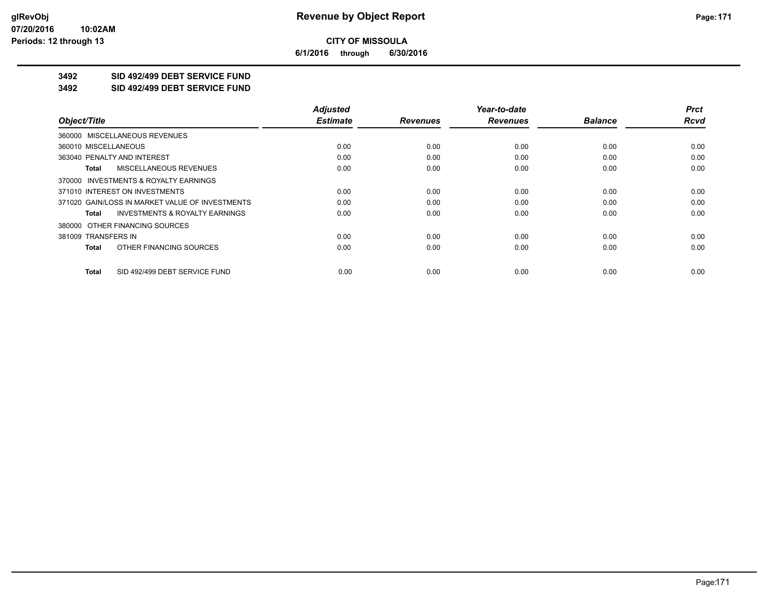**6/1/2016 through 6/30/2016**

## **3492 SID 492/499 DEBT SERVICE FUND**

**3492 SID 492/499 DEBT SERVICE FUND**

|                                                    | <b>Adjusted</b> |                 | Year-to-date    |                | <b>Prct</b> |
|----------------------------------------------------|-----------------|-----------------|-----------------|----------------|-------------|
| Object/Title                                       | <b>Estimate</b> | <b>Revenues</b> | <b>Revenues</b> | <b>Balance</b> | <b>Rcvd</b> |
| 360000 MISCELLANEOUS REVENUES                      |                 |                 |                 |                |             |
| 360010 MISCELLANEOUS                               | 0.00            | 0.00            | 0.00            | 0.00           | 0.00        |
| 363040 PENALTY AND INTEREST                        | 0.00            | 0.00            | 0.00            | 0.00           | 0.00        |
| <b>MISCELLANEOUS REVENUES</b><br>Total             | 0.00            | 0.00            | 0.00            | 0.00           | 0.00        |
| 370000 INVESTMENTS & ROYALTY EARNINGS              |                 |                 |                 |                |             |
| 371010 INTEREST ON INVESTMENTS                     | 0.00            | 0.00            | 0.00            | 0.00           | 0.00        |
| 371020 GAIN/LOSS IN MARKET VALUE OF INVESTMENTS    | 0.00            | 0.00            | 0.00            | 0.00           | 0.00        |
| <b>INVESTMENTS &amp; ROYALTY EARNINGS</b><br>Total | 0.00            | 0.00            | 0.00            | 0.00           | 0.00        |
| 380000 OTHER FINANCING SOURCES                     |                 |                 |                 |                |             |
| 381009 TRANSFERS IN                                | 0.00            | 0.00            | 0.00            | 0.00           | 0.00        |
| OTHER FINANCING SOURCES<br>Total                   | 0.00            | 0.00            | 0.00            | 0.00           | 0.00        |
| SID 492/499 DEBT SERVICE FUND<br>Total             | 0.00            | 0.00            | 0.00            | 0.00           | 0.00        |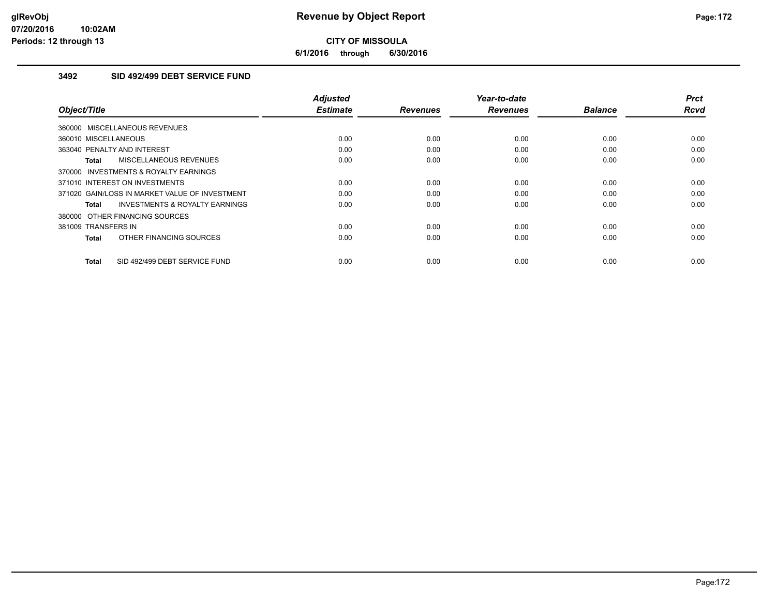**6/1/2016 through 6/30/2016**

## **3492 SID 492/499 DEBT SERVICE FUND**

| Object/Title                                              | <b>Adjusted</b><br><b>Estimate</b> | <b>Revenues</b> | Year-to-date<br><b>Revenues</b> | <b>Balance</b> | <b>Prct</b><br>Rcvd |
|-----------------------------------------------------------|------------------------------------|-----------------|---------------------------------|----------------|---------------------|
| 360000 MISCELLANEOUS REVENUES                             |                                    |                 |                                 |                |                     |
| 360010 MISCELLANEOUS                                      | 0.00                               | 0.00            | 0.00                            | 0.00           | 0.00                |
| 363040 PENALTY AND INTEREST                               | 0.00                               | 0.00            | 0.00                            | 0.00           | 0.00                |
| MISCELLANEOUS REVENUES<br>Total                           | 0.00                               | 0.00            | 0.00                            | 0.00           | 0.00                |
| 370000 INVESTMENTS & ROYALTY EARNINGS                     |                                    |                 |                                 |                |                     |
| 371010 INTEREST ON INVESTMENTS                            | 0.00                               | 0.00            | 0.00                            | 0.00           | 0.00                |
| 371020 GAIN/LOSS IN MARKET VALUE OF INVESTMENT            | 0.00                               | 0.00            | 0.00                            | 0.00           | 0.00                |
| <b>INVESTMENTS &amp; ROYALTY EARNINGS</b><br><b>Total</b> | 0.00                               | 0.00            | 0.00                            | 0.00           | 0.00                |
| 380000 OTHER FINANCING SOURCES                            |                                    |                 |                                 |                |                     |
| 381009 TRANSFERS IN                                       | 0.00                               | 0.00            | 0.00                            | 0.00           | 0.00                |
| OTHER FINANCING SOURCES<br><b>Total</b>                   | 0.00                               | 0.00            | 0.00                            | 0.00           | 0.00                |
| SID 492/499 DEBT SERVICE FUND<br><b>Total</b>             | 0.00                               | 0.00            | 0.00                            | 0.00           | 0.00                |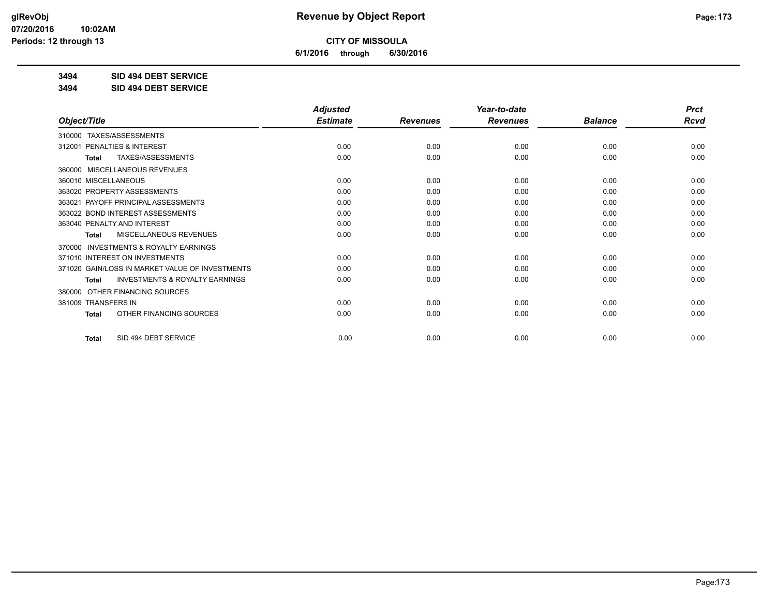**6/1/2016 through 6/30/2016**

**3494 SID 494 DEBT SERVICE**

**3494 SID 494 DEBT SERVICE**

|                                                     | <b>Adjusted</b> |                 | Year-to-date    |                | <b>Prct</b> |
|-----------------------------------------------------|-----------------|-----------------|-----------------|----------------|-------------|
| Object/Title                                        | <b>Estimate</b> | <b>Revenues</b> | <b>Revenues</b> | <b>Balance</b> | <b>Rcvd</b> |
| TAXES/ASSESSMENTS<br>310000                         |                 |                 |                 |                |             |
| PENALTIES & INTEREST<br>312001                      | 0.00            | 0.00            | 0.00            | 0.00           | 0.00        |
| TAXES/ASSESSMENTS<br><b>Total</b>                   | 0.00            | 0.00            | 0.00            | 0.00           | 0.00        |
| MISCELLANEOUS REVENUES<br>360000                    |                 |                 |                 |                |             |
| 360010 MISCELLANEOUS                                | 0.00            | 0.00            | 0.00            | 0.00           | 0.00        |
| 363020 PROPERTY ASSESSMENTS                         | 0.00            | 0.00            | 0.00            | 0.00           | 0.00        |
| 363021 PAYOFF PRINCIPAL ASSESSMENTS                 | 0.00            | 0.00            | 0.00            | 0.00           | 0.00        |
| 363022 BOND INTEREST ASSESSMENTS                    | 0.00            | 0.00            | 0.00            | 0.00           | 0.00        |
| 363040 PENALTY AND INTEREST                         | 0.00            | 0.00            | 0.00            | 0.00           | 0.00        |
| MISCELLANEOUS REVENUES<br>Total                     | 0.00            | 0.00            | 0.00            | 0.00           | 0.00        |
| <b>INVESTMENTS &amp; ROYALTY EARNINGS</b><br>370000 |                 |                 |                 |                |             |
| 371010 INTEREST ON INVESTMENTS                      | 0.00            | 0.00            | 0.00            | 0.00           | 0.00        |
| 371020 GAIN/LOSS IN MARKET VALUE OF INVESTMENTS     | 0.00            | 0.00            | 0.00            | 0.00           | 0.00        |
| <b>INVESTMENTS &amp; ROYALTY EARNINGS</b><br>Total  | 0.00            | 0.00            | 0.00            | 0.00           | 0.00        |
| OTHER FINANCING SOURCES<br>380000                   |                 |                 |                 |                |             |
| 381009 TRANSFERS IN                                 | 0.00            | 0.00            | 0.00            | 0.00           | 0.00        |
| OTHER FINANCING SOURCES<br><b>Total</b>             | 0.00            | 0.00            | 0.00            | 0.00           | 0.00        |
| SID 494 DEBT SERVICE<br><b>Total</b>                | 0.00            | 0.00            | 0.00            | 0.00           | 0.00        |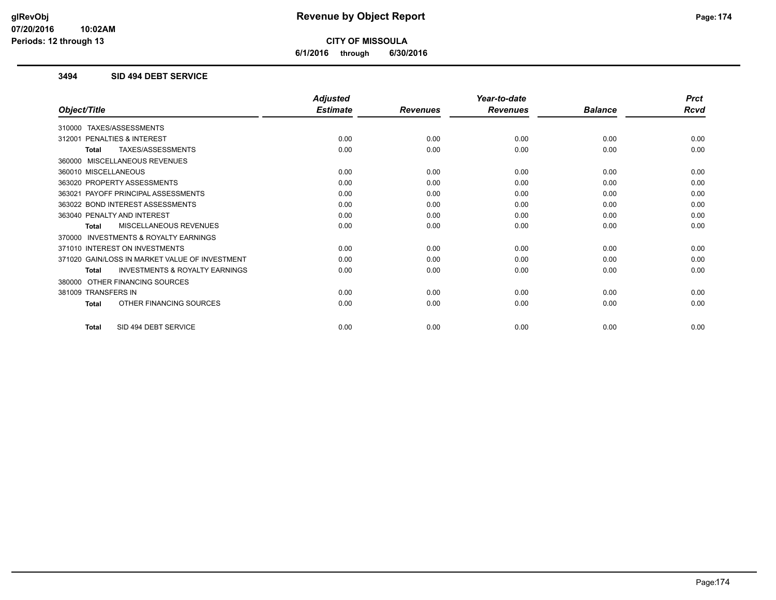**6/1/2016 through 6/30/2016**

### **3494 SID 494 DEBT SERVICE**

|                                                           | <b>Adjusted</b> |                 | Year-to-date    |                | <b>Prct</b> |
|-----------------------------------------------------------|-----------------|-----------------|-----------------|----------------|-------------|
| Object/Title                                              | <b>Estimate</b> | <b>Revenues</b> | <b>Revenues</b> | <b>Balance</b> | <b>Rcvd</b> |
| 310000 TAXES/ASSESSMENTS                                  |                 |                 |                 |                |             |
| 312001 PENALTIES & INTEREST                               | 0.00            | 0.00            | 0.00            | 0.00           | 0.00        |
| TAXES/ASSESSMENTS<br><b>Total</b>                         | 0.00            | 0.00            | 0.00            | 0.00           | 0.00        |
| 360000 MISCELLANEOUS REVENUES                             |                 |                 |                 |                |             |
| 360010 MISCELLANEOUS                                      | 0.00            | 0.00            | 0.00            | 0.00           | 0.00        |
| 363020 PROPERTY ASSESSMENTS                               | 0.00            | 0.00            | 0.00            | 0.00           | 0.00        |
| 363021 PAYOFF PRINCIPAL ASSESSMENTS                       | 0.00            | 0.00            | 0.00            | 0.00           | 0.00        |
| 363022 BOND INTEREST ASSESSMENTS                          | 0.00            | 0.00            | 0.00            | 0.00           | 0.00        |
| 363040 PENALTY AND INTEREST                               | 0.00            | 0.00            | 0.00            | 0.00           | 0.00        |
| MISCELLANEOUS REVENUES<br><b>Total</b>                    | 0.00            | 0.00            | 0.00            | 0.00           | 0.00        |
| <b>INVESTMENTS &amp; ROYALTY EARNINGS</b><br>370000       |                 |                 |                 |                |             |
| 371010 INTEREST ON INVESTMENTS                            | 0.00            | 0.00            | 0.00            | 0.00           | 0.00        |
| 371020 GAIN/LOSS IN MARKET VALUE OF INVESTMENT            | 0.00            | 0.00            | 0.00            | 0.00           | 0.00        |
| <b>INVESTMENTS &amp; ROYALTY EARNINGS</b><br><b>Total</b> | 0.00            | 0.00            | 0.00            | 0.00           | 0.00        |
| 380000 OTHER FINANCING SOURCES                            |                 |                 |                 |                |             |
| 381009 TRANSFERS IN                                       | 0.00            | 0.00            | 0.00            | 0.00           | 0.00        |
| OTHER FINANCING SOURCES<br><b>Total</b>                   | 0.00            | 0.00            | 0.00            | 0.00           | 0.00        |
| SID 494 DEBT SERVICE<br><b>Total</b>                      | 0.00            | 0.00            | 0.00            | 0.00           | 0.00        |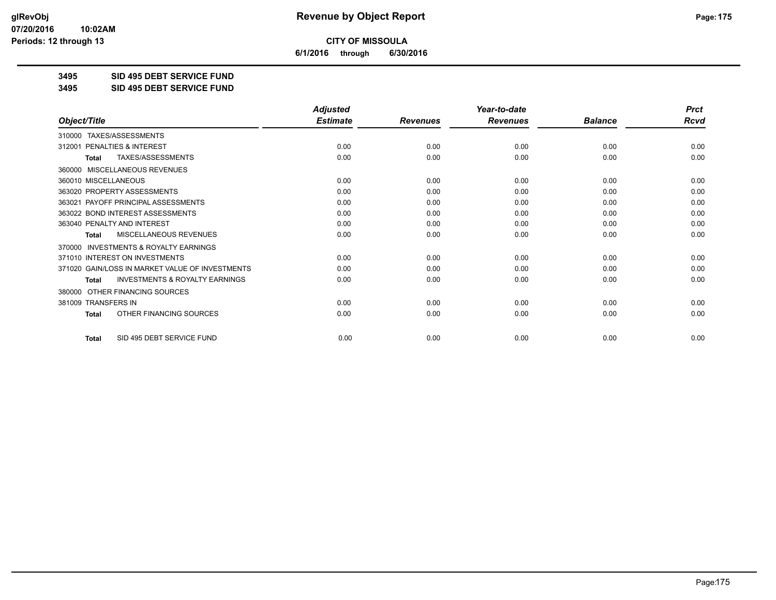**6/1/2016 through 6/30/2016**

**3495 SID 495 DEBT SERVICE FUND**

**3495 SID 495 DEBT SERVICE FUND**

|                                                           | <b>Adjusted</b> |                 | Year-to-date    |                | <b>Prct</b> |
|-----------------------------------------------------------|-----------------|-----------------|-----------------|----------------|-------------|
| Object/Title                                              | <b>Estimate</b> | <b>Revenues</b> | <b>Revenues</b> | <b>Balance</b> | <b>Rcvd</b> |
| TAXES/ASSESSMENTS<br>310000                               |                 |                 |                 |                |             |
| 312001 PENALTIES & INTEREST                               | 0.00            | 0.00            | 0.00            | 0.00           | 0.00        |
| TAXES/ASSESSMENTS<br><b>Total</b>                         | 0.00            | 0.00            | 0.00            | 0.00           | 0.00        |
| <b>MISCELLANEOUS REVENUES</b><br>360000                   |                 |                 |                 |                |             |
| 360010 MISCELLANEOUS                                      | 0.00            | 0.00            | 0.00            | 0.00           | 0.00        |
| 363020 PROPERTY ASSESSMENTS                               | 0.00            | 0.00            | 0.00            | 0.00           | 0.00        |
| 363021 PAYOFF PRINCIPAL ASSESSMENTS                       | 0.00            | 0.00            | 0.00            | 0.00           | 0.00        |
| 363022 BOND INTEREST ASSESSMENTS                          | 0.00            | 0.00            | 0.00            | 0.00           | 0.00        |
| 363040 PENALTY AND INTEREST                               | 0.00            | 0.00            | 0.00            | 0.00           | 0.00        |
| MISCELLANEOUS REVENUES<br><b>Total</b>                    | 0.00            | 0.00            | 0.00            | 0.00           | 0.00        |
| <b>INVESTMENTS &amp; ROYALTY EARNINGS</b><br>370000       |                 |                 |                 |                |             |
| 371010 INTEREST ON INVESTMENTS                            | 0.00            | 0.00            | 0.00            | 0.00           | 0.00        |
| 371020 GAIN/LOSS IN MARKET VALUE OF INVESTMENTS           | 0.00            | 0.00            | 0.00            | 0.00           | 0.00        |
| <b>INVESTMENTS &amp; ROYALTY EARNINGS</b><br><b>Total</b> | 0.00            | 0.00            | 0.00            | 0.00           | 0.00        |
| OTHER FINANCING SOURCES<br>380000                         |                 |                 |                 |                |             |
| 381009 TRANSFERS IN                                       | 0.00            | 0.00            | 0.00            | 0.00           | 0.00        |
| OTHER FINANCING SOURCES<br><b>Total</b>                   | 0.00            | 0.00            | 0.00            | 0.00           | 0.00        |
| SID 495 DEBT SERVICE FUND<br><b>Total</b>                 | 0.00            | 0.00            | 0.00            | 0.00           | 0.00        |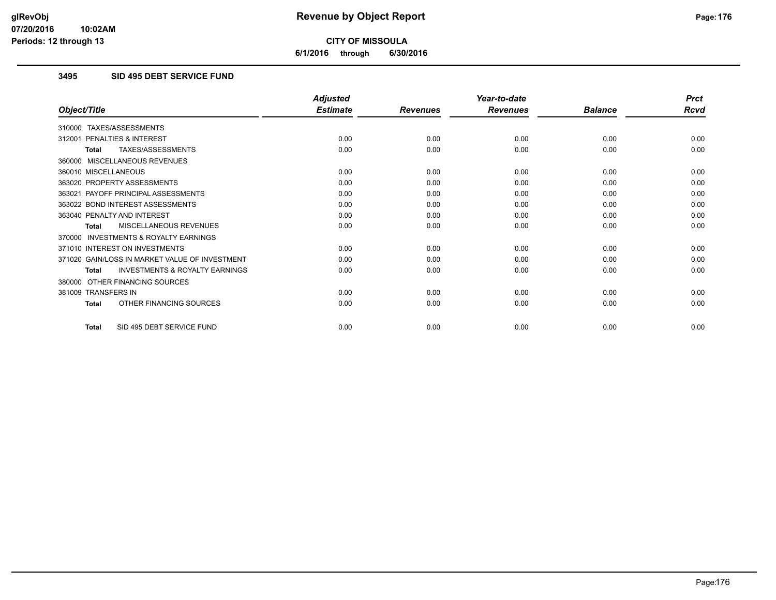**6/1/2016 through 6/30/2016**

## **3495 SID 495 DEBT SERVICE FUND**

|                                                           | <b>Adjusted</b> |                 | Year-to-date    |                | <b>Prct</b> |
|-----------------------------------------------------------|-----------------|-----------------|-----------------|----------------|-------------|
| Object/Title                                              | <b>Estimate</b> | <b>Revenues</b> | <b>Revenues</b> | <b>Balance</b> | <b>Rcvd</b> |
| 310000 TAXES/ASSESSMENTS                                  |                 |                 |                 |                |             |
| 312001 PENALTIES & INTEREST                               | 0.00            | 0.00            | 0.00            | 0.00           | 0.00        |
| TAXES/ASSESSMENTS<br><b>Total</b>                         | 0.00            | 0.00            | 0.00            | 0.00           | 0.00        |
| 360000 MISCELLANEOUS REVENUES                             |                 |                 |                 |                |             |
| 360010 MISCELLANEOUS                                      | 0.00            | 0.00            | 0.00            | 0.00           | 0.00        |
| 363020 PROPERTY ASSESSMENTS                               | 0.00            | 0.00            | 0.00            | 0.00           | 0.00        |
| 363021 PAYOFF PRINCIPAL ASSESSMENTS                       | 0.00            | 0.00            | 0.00            | 0.00           | 0.00        |
| 363022 BOND INTEREST ASSESSMENTS                          | 0.00            | 0.00            | 0.00            | 0.00           | 0.00        |
| 363040 PENALTY AND INTEREST                               | 0.00            | 0.00            | 0.00            | 0.00           | 0.00        |
| MISCELLANEOUS REVENUES<br><b>Total</b>                    | 0.00            | 0.00            | 0.00            | 0.00           | 0.00        |
| <b>INVESTMENTS &amp; ROYALTY EARNINGS</b><br>370000       |                 |                 |                 |                |             |
| 371010 INTEREST ON INVESTMENTS                            | 0.00            | 0.00            | 0.00            | 0.00           | 0.00        |
| 371020 GAIN/LOSS IN MARKET VALUE OF INVESTMENT            | 0.00            | 0.00            | 0.00            | 0.00           | 0.00        |
| <b>INVESTMENTS &amp; ROYALTY EARNINGS</b><br><b>Total</b> | 0.00            | 0.00            | 0.00            | 0.00           | 0.00        |
| 380000 OTHER FINANCING SOURCES                            |                 |                 |                 |                |             |
| 381009 TRANSFERS IN                                       | 0.00            | 0.00            | 0.00            | 0.00           | 0.00        |
| OTHER FINANCING SOURCES<br>Total                          | 0.00            | 0.00            | 0.00            | 0.00           | 0.00        |
| SID 495 DEBT SERVICE FUND<br><b>Total</b>                 | 0.00            | 0.00            | 0.00            | 0.00           | 0.00        |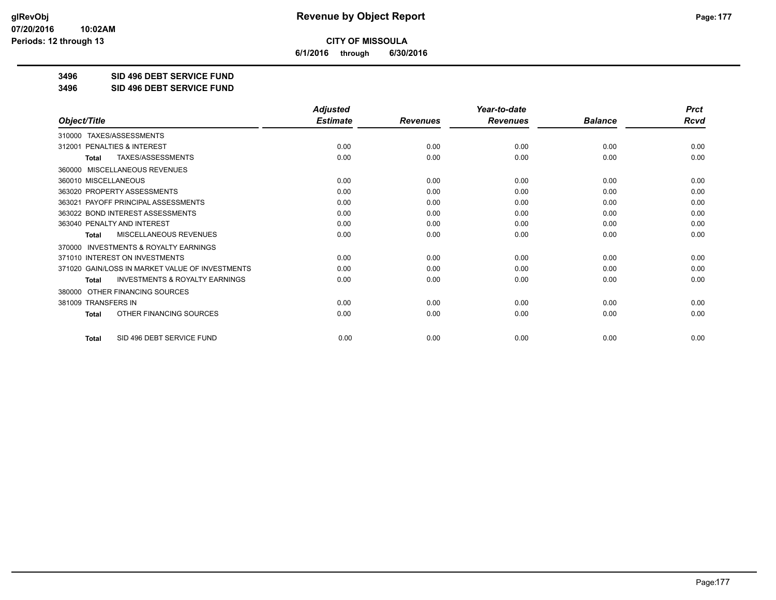**6/1/2016 through 6/30/2016**

**3496 SID 496 DEBT SERVICE FUND**

**3496 SID 496 DEBT SERVICE FUND**

|                                                           | <b>Adjusted</b> |                 | Year-to-date    |                | <b>Prct</b> |
|-----------------------------------------------------------|-----------------|-----------------|-----------------|----------------|-------------|
| Object/Title                                              | <b>Estimate</b> | <b>Revenues</b> | <b>Revenues</b> | <b>Balance</b> | <b>Rcvd</b> |
| TAXES/ASSESSMENTS<br>310000                               |                 |                 |                 |                |             |
| 312001 PENALTIES & INTEREST                               | 0.00            | 0.00            | 0.00            | 0.00           | 0.00        |
| TAXES/ASSESSMENTS<br><b>Total</b>                         | 0.00            | 0.00            | 0.00            | 0.00           | 0.00        |
| <b>MISCELLANEOUS REVENUES</b><br>360000                   |                 |                 |                 |                |             |
| 360010 MISCELLANEOUS                                      | 0.00            | 0.00            | 0.00            | 0.00           | 0.00        |
| 363020 PROPERTY ASSESSMENTS                               | 0.00            | 0.00            | 0.00            | 0.00           | 0.00        |
| 363021 PAYOFF PRINCIPAL ASSESSMENTS                       | 0.00            | 0.00            | 0.00            | 0.00           | 0.00        |
| 363022 BOND INTEREST ASSESSMENTS                          | 0.00            | 0.00            | 0.00            | 0.00           | 0.00        |
| 363040 PENALTY AND INTEREST                               | 0.00            | 0.00            | 0.00            | 0.00           | 0.00        |
| <b>MISCELLANEOUS REVENUES</b><br><b>Total</b>             | 0.00            | 0.00            | 0.00            | 0.00           | 0.00        |
| <b>INVESTMENTS &amp; ROYALTY EARNINGS</b><br>370000       |                 |                 |                 |                |             |
| 371010 INTEREST ON INVESTMENTS                            | 0.00            | 0.00            | 0.00            | 0.00           | 0.00        |
| 371020 GAIN/LOSS IN MARKET VALUE OF INVESTMENTS           | 0.00            | 0.00            | 0.00            | 0.00           | 0.00        |
| <b>INVESTMENTS &amp; ROYALTY EARNINGS</b><br><b>Total</b> | 0.00            | 0.00            | 0.00            | 0.00           | 0.00        |
| OTHER FINANCING SOURCES<br>380000                         |                 |                 |                 |                |             |
| 381009 TRANSFERS IN                                       | 0.00            | 0.00            | 0.00            | 0.00           | 0.00        |
| OTHER FINANCING SOURCES<br>Total                          | 0.00            | 0.00            | 0.00            | 0.00           | 0.00        |
| SID 496 DEBT SERVICE FUND<br><b>Total</b>                 | 0.00            | 0.00            | 0.00            | 0.00           | 0.00        |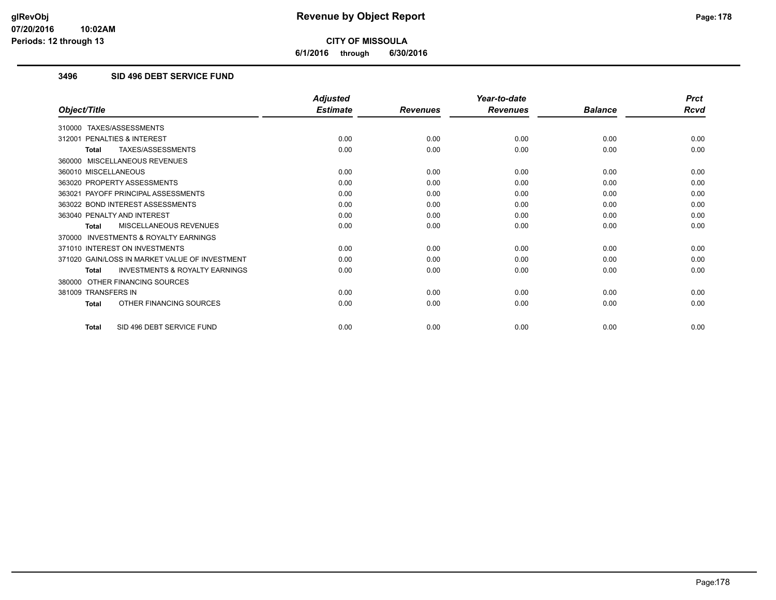**6/1/2016 through 6/30/2016**

## **3496 SID 496 DEBT SERVICE FUND**

|                                                           | <b>Adjusted</b> |                 | Year-to-date    |                | <b>Prct</b> |
|-----------------------------------------------------------|-----------------|-----------------|-----------------|----------------|-------------|
| Object/Title                                              | <b>Estimate</b> | <b>Revenues</b> | <b>Revenues</b> | <b>Balance</b> | <b>Rcvd</b> |
| 310000 TAXES/ASSESSMENTS                                  |                 |                 |                 |                |             |
| 312001 PENALTIES & INTEREST                               | 0.00            | 0.00            | 0.00            | 0.00           | 0.00        |
| TAXES/ASSESSMENTS<br><b>Total</b>                         | 0.00            | 0.00            | 0.00            | 0.00           | 0.00        |
| 360000 MISCELLANEOUS REVENUES                             |                 |                 |                 |                |             |
| 360010 MISCELLANEOUS                                      | 0.00            | 0.00            | 0.00            | 0.00           | 0.00        |
| 363020 PROPERTY ASSESSMENTS                               | 0.00            | 0.00            | 0.00            | 0.00           | 0.00        |
| 363021 PAYOFF PRINCIPAL ASSESSMENTS                       | 0.00            | 0.00            | 0.00            | 0.00           | 0.00        |
| 363022 BOND INTEREST ASSESSMENTS                          | 0.00            | 0.00            | 0.00            | 0.00           | 0.00        |
| 363040 PENALTY AND INTEREST                               | 0.00            | 0.00            | 0.00            | 0.00           | 0.00        |
| MISCELLANEOUS REVENUES<br><b>Total</b>                    | 0.00            | 0.00            | 0.00            | 0.00           | 0.00        |
| <b>INVESTMENTS &amp; ROYALTY EARNINGS</b><br>370000       |                 |                 |                 |                |             |
| 371010 INTEREST ON INVESTMENTS                            | 0.00            | 0.00            | 0.00            | 0.00           | 0.00        |
| 371020 GAIN/LOSS IN MARKET VALUE OF INVESTMENT            | 0.00            | 0.00            | 0.00            | 0.00           | 0.00        |
| <b>INVESTMENTS &amp; ROYALTY EARNINGS</b><br><b>Total</b> | 0.00            | 0.00            | 0.00            | 0.00           | 0.00        |
| 380000 OTHER FINANCING SOURCES                            |                 |                 |                 |                |             |
| 381009 TRANSFERS IN                                       | 0.00            | 0.00            | 0.00            | 0.00           | 0.00        |
| OTHER FINANCING SOURCES<br><b>Total</b>                   | 0.00            | 0.00            | 0.00            | 0.00           | 0.00        |
| SID 496 DEBT SERVICE FUND<br><b>Total</b>                 | 0.00            | 0.00            | 0.00            | 0.00           | 0.00        |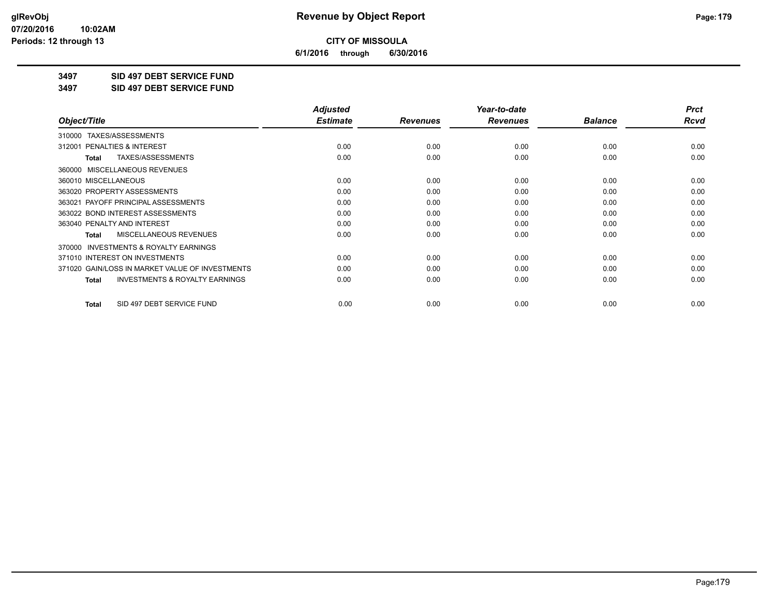**6/1/2016 through 6/30/2016**

**3497 SID 497 DEBT SERVICE FUND**

**3497 SID 497 DEBT SERVICE FUND**

|                                                           | <b>Adjusted</b> |                 | Year-to-date    |                | <b>Prct</b> |
|-----------------------------------------------------------|-----------------|-----------------|-----------------|----------------|-------------|
| Object/Title                                              | <b>Estimate</b> | <b>Revenues</b> | <b>Revenues</b> | <b>Balance</b> | Rcvd        |
| TAXES/ASSESSMENTS<br>310000                               |                 |                 |                 |                |             |
| 312001 PENALTIES & INTEREST                               | 0.00            | 0.00            | 0.00            | 0.00           | 0.00        |
| TAXES/ASSESSMENTS<br><b>Total</b>                         | 0.00            | 0.00            | 0.00            | 0.00           | 0.00        |
| MISCELLANEOUS REVENUES<br>360000                          |                 |                 |                 |                |             |
| 360010 MISCELLANEOUS                                      | 0.00            | 0.00            | 0.00            | 0.00           | 0.00        |
| 363020 PROPERTY ASSESSMENTS                               | 0.00            | 0.00            | 0.00            | 0.00           | 0.00        |
| 363021 PAYOFF PRINCIPAL ASSESSMENTS                       | 0.00            | 0.00            | 0.00            | 0.00           | 0.00        |
| 363022 BOND INTEREST ASSESSMENTS                          | 0.00            | 0.00            | 0.00            | 0.00           | 0.00        |
| 363040 PENALTY AND INTEREST                               | 0.00            | 0.00            | 0.00            | 0.00           | 0.00        |
| MISCELLANEOUS REVENUES<br><b>Total</b>                    | 0.00            | 0.00            | 0.00            | 0.00           | 0.00        |
| INVESTMENTS & ROYALTY EARNINGS<br>370000                  |                 |                 |                 |                |             |
| 371010 INTEREST ON INVESTMENTS                            | 0.00            | 0.00            | 0.00            | 0.00           | 0.00        |
| 371020 GAIN/LOSS IN MARKET VALUE OF INVESTMENTS           | 0.00            | 0.00            | 0.00            | 0.00           | 0.00        |
| <b>INVESTMENTS &amp; ROYALTY EARNINGS</b><br><b>Total</b> | 0.00            | 0.00            | 0.00            | 0.00           | 0.00        |
| SID 497 DEBT SERVICE FUND<br><b>Total</b>                 | 0.00            | 0.00            | 0.00            | 0.00           | 0.00        |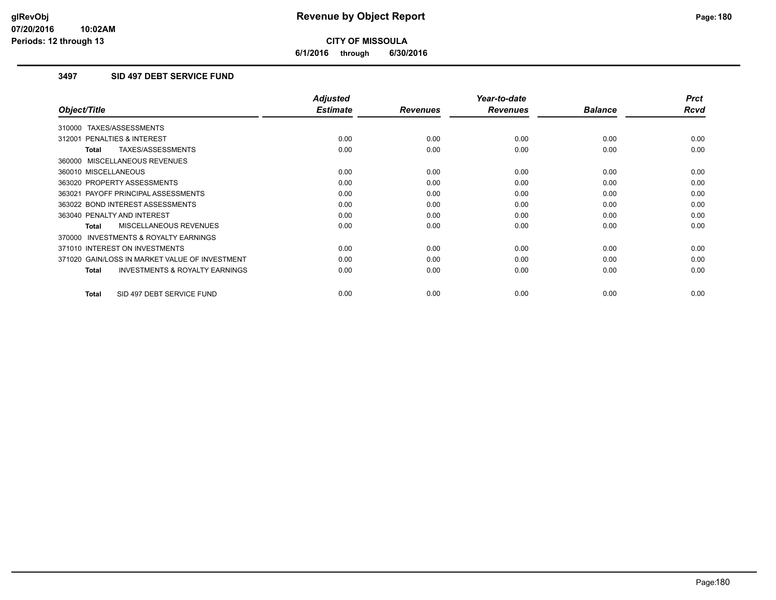**6/1/2016 through 6/30/2016**

## **3497 SID 497 DEBT SERVICE FUND**

|                                                           | <b>Adjusted</b> |                 | Year-to-date    |                | <b>Prct</b> |
|-----------------------------------------------------------|-----------------|-----------------|-----------------|----------------|-------------|
| Object/Title                                              | <b>Estimate</b> | <b>Revenues</b> | <b>Revenues</b> | <b>Balance</b> | <b>Rcvd</b> |
| 310000 TAXES/ASSESSMENTS                                  |                 |                 |                 |                |             |
| 312001 PENALTIES & INTEREST                               | 0.00            | 0.00            | 0.00            | 0.00           | 0.00        |
| TAXES/ASSESSMENTS<br><b>Total</b>                         | 0.00            | 0.00            | 0.00            | 0.00           | 0.00        |
| 360000 MISCELLANEOUS REVENUES                             |                 |                 |                 |                |             |
| 360010 MISCELLANEOUS                                      | 0.00            | 0.00            | 0.00            | 0.00           | 0.00        |
| 363020 PROPERTY ASSESSMENTS                               | 0.00            | 0.00            | 0.00            | 0.00           | 0.00        |
| 363021 PAYOFF PRINCIPAL ASSESSMENTS                       | 0.00            | 0.00            | 0.00            | 0.00           | 0.00        |
| 363022 BOND INTEREST ASSESSMENTS                          | 0.00            | 0.00            | 0.00            | 0.00           | 0.00        |
| 363040 PENALTY AND INTEREST                               | 0.00            | 0.00            | 0.00            | 0.00           | 0.00        |
| MISCELLANEOUS REVENUES<br>Total                           | 0.00            | 0.00            | 0.00            | 0.00           | 0.00        |
| <b>INVESTMENTS &amp; ROYALTY EARNINGS</b><br>370000       |                 |                 |                 |                |             |
| 371010 INTEREST ON INVESTMENTS                            | 0.00            | 0.00            | 0.00            | 0.00           | 0.00        |
| 371020 GAIN/LOSS IN MARKET VALUE OF INVESTMENT            | 0.00            | 0.00            | 0.00            | 0.00           | 0.00        |
| <b>INVESTMENTS &amp; ROYALTY EARNINGS</b><br><b>Total</b> | 0.00            | 0.00            | 0.00            | 0.00           | 0.00        |
| SID 497 DEBT SERVICE FUND<br><b>Total</b>                 | 0.00            | 0.00            | 0.00            | 0.00           | 0.00        |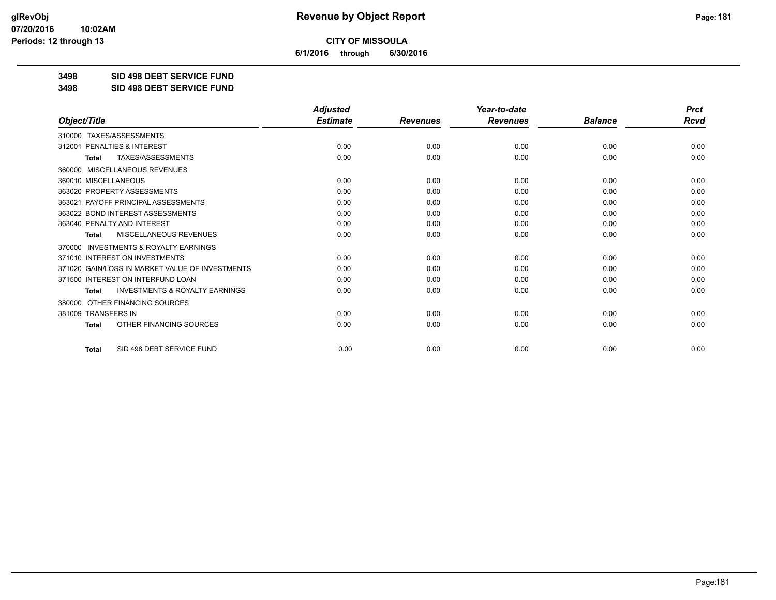**6/1/2016 through 6/30/2016**

**3498 SID 498 DEBT SERVICE FUND**

**3498 SID 498 DEBT SERVICE FUND**

|                                                           | <b>Adjusted</b> |                 | Year-to-date    |                | <b>Prct</b> |
|-----------------------------------------------------------|-----------------|-----------------|-----------------|----------------|-------------|
| Object/Title                                              | <b>Estimate</b> | <b>Revenues</b> | <b>Revenues</b> | <b>Balance</b> | Rcvd        |
| TAXES/ASSESSMENTS<br>310000                               |                 |                 |                 |                |             |
| PENALTIES & INTEREST<br>312001                            | 0.00            | 0.00            | 0.00            | 0.00           | 0.00        |
| TAXES/ASSESSMENTS<br><b>Total</b>                         | 0.00            | 0.00            | 0.00            | 0.00           | 0.00        |
| 360000 MISCELLANEOUS REVENUES                             |                 |                 |                 |                |             |
| 360010 MISCELLANEOUS                                      | 0.00            | 0.00            | 0.00            | 0.00           | 0.00        |
| 363020 PROPERTY ASSESSMENTS                               | 0.00            | 0.00            | 0.00            | 0.00           | 0.00        |
| PAYOFF PRINCIPAL ASSESSMENTS<br>363021                    | 0.00            | 0.00            | 0.00            | 0.00           | 0.00        |
| 363022 BOND INTEREST ASSESSMENTS                          | 0.00            | 0.00            | 0.00            | 0.00           | 0.00        |
| 363040 PENALTY AND INTEREST                               | 0.00            | 0.00            | 0.00            | 0.00           | 0.00        |
| <b>MISCELLANEOUS REVENUES</b><br><b>Total</b>             | 0.00            | 0.00            | 0.00            | 0.00           | 0.00        |
| 370000 INVESTMENTS & ROYALTY EARNINGS                     |                 |                 |                 |                |             |
| 371010 INTEREST ON INVESTMENTS                            | 0.00            | 0.00            | 0.00            | 0.00           | 0.00        |
| 371020 GAIN/LOSS IN MARKET VALUE OF INVESTMENTS           | 0.00            | 0.00            | 0.00            | 0.00           | 0.00        |
| 371500 INTEREST ON INTERFUND LOAN                         | 0.00            | 0.00            | 0.00            | 0.00           | 0.00        |
| <b>INVESTMENTS &amp; ROYALTY EARNINGS</b><br><b>Total</b> | 0.00            | 0.00            | 0.00            | 0.00           | 0.00        |
| OTHER FINANCING SOURCES<br>380000                         |                 |                 |                 |                |             |
| 381009 TRANSFERS IN                                       | 0.00            | 0.00            | 0.00            | 0.00           | 0.00        |
| OTHER FINANCING SOURCES<br><b>Total</b>                   | 0.00            | 0.00            | 0.00            | 0.00           | 0.00        |
| SID 498 DEBT SERVICE FUND<br>Total                        | 0.00            | 0.00            | 0.00            | 0.00           | 0.00        |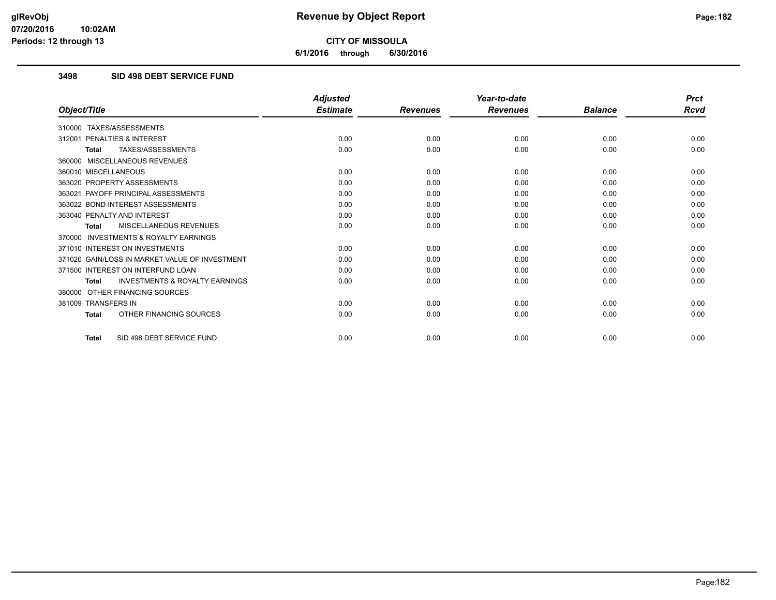**6/1/2016 through 6/30/2016**

# **3498 SID 498 DEBT SERVICE FUND**

|                                                           | <b>Adjusted</b> |                 | Year-to-date    |                | <b>Prct</b> |
|-----------------------------------------------------------|-----------------|-----------------|-----------------|----------------|-------------|
| Object/Title                                              | <b>Estimate</b> | <b>Revenues</b> | <b>Revenues</b> | <b>Balance</b> | Rcvd        |
| TAXES/ASSESSMENTS<br>310000                               |                 |                 |                 |                |             |
| 312001 PENALTIES & INTEREST                               | 0.00            | 0.00            | 0.00            | 0.00           | 0.00        |
| <b>TAXES/ASSESSMENTS</b><br><b>Total</b>                  | 0.00            | 0.00            | 0.00            | 0.00           | 0.00        |
| 360000 MISCELLANEOUS REVENUES                             |                 |                 |                 |                |             |
| 360010 MISCELLANEOUS                                      | 0.00            | 0.00            | 0.00            | 0.00           | 0.00        |
| 363020 PROPERTY ASSESSMENTS                               | 0.00            | 0.00            | 0.00            | 0.00           | 0.00        |
| 363021 PAYOFF PRINCIPAL ASSESSMENTS                       | 0.00            | 0.00            | 0.00            | 0.00           | 0.00        |
| 363022 BOND INTEREST ASSESSMENTS                          | 0.00            | 0.00            | 0.00            | 0.00           | 0.00        |
| 363040 PENALTY AND INTEREST                               | 0.00            | 0.00            | 0.00            | 0.00           | 0.00        |
| MISCELLANEOUS REVENUES<br><b>Total</b>                    | 0.00            | 0.00            | 0.00            | 0.00           | 0.00        |
| <b>INVESTMENTS &amp; ROYALTY EARNINGS</b><br>370000       |                 |                 |                 |                |             |
| 371010 INTEREST ON INVESTMENTS                            | 0.00            | 0.00            | 0.00            | 0.00           | 0.00        |
| 371020 GAIN/LOSS IN MARKET VALUE OF INVESTMENT            | 0.00            | 0.00            | 0.00            | 0.00           | 0.00        |
| 371500 INTEREST ON INTERFUND LOAN                         | 0.00            | 0.00            | 0.00            | 0.00           | 0.00        |
| <b>INVESTMENTS &amp; ROYALTY EARNINGS</b><br><b>Total</b> | 0.00            | 0.00            | 0.00            | 0.00           | 0.00        |
| OTHER FINANCING SOURCES<br>380000                         |                 |                 |                 |                |             |
| 381009 TRANSFERS IN                                       | 0.00            | 0.00            | 0.00            | 0.00           | 0.00        |
| OTHER FINANCING SOURCES<br>Total                          | 0.00            | 0.00            | 0.00            | 0.00           | 0.00        |
| SID 498 DEBT SERVICE FUND<br>Total                        | 0.00            | 0.00            | 0.00            | 0.00           | 0.00        |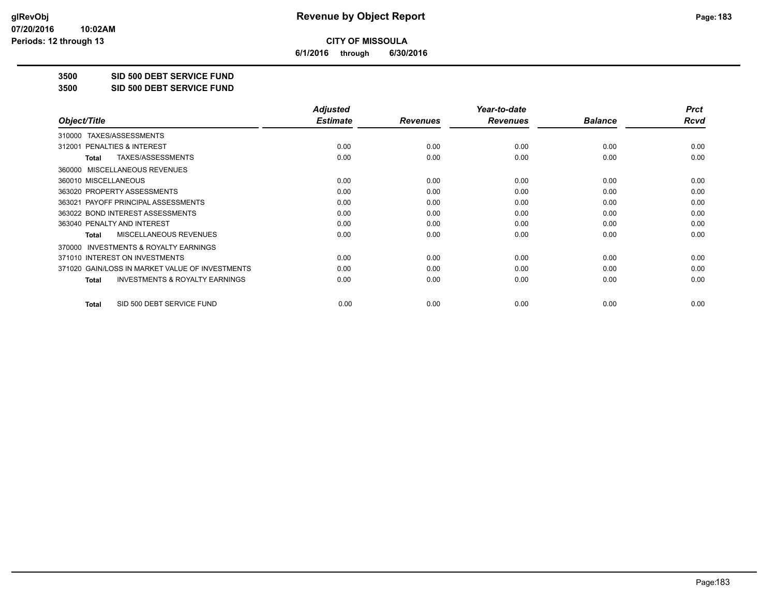**6/1/2016 through 6/30/2016**

**3500 SID 500 DEBT SERVICE FUND**

**3500 SID 500 DEBT SERVICE FUND**

|                                                    | <b>Adjusted</b> |                 | Year-to-date    |                | <b>Prct</b> |
|----------------------------------------------------|-----------------|-----------------|-----------------|----------------|-------------|
| Object/Title                                       | <b>Estimate</b> | <b>Revenues</b> | <b>Revenues</b> | <b>Balance</b> | Rcvd        |
| TAXES/ASSESSMENTS<br>310000                        |                 |                 |                 |                |             |
| <b>PENALTIES &amp; INTEREST</b><br>312001          | 0.00            | 0.00            | 0.00            | 0.00           | 0.00        |
| TAXES/ASSESSMENTS<br>Total                         | 0.00            | 0.00            | 0.00            | 0.00           | 0.00        |
| 360000 MISCELLANEOUS REVENUES                      |                 |                 |                 |                |             |
| 360010 MISCELLANEOUS                               | 0.00            | 0.00            | 0.00            | 0.00           | 0.00        |
| 363020 PROPERTY ASSESSMENTS                        | 0.00            | 0.00            | 0.00            | 0.00           | 0.00        |
| 363021 PAYOFF PRINCIPAL ASSESSMENTS                | 0.00            | 0.00            | 0.00            | 0.00           | 0.00        |
| 363022 BOND INTEREST ASSESSMENTS                   | 0.00            | 0.00            | 0.00            | 0.00           | 0.00        |
| 363040 PENALTY AND INTEREST                        | 0.00            | 0.00            | 0.00            | 0.00           | 0.00        |
| MISCELLANEOUS REVENUES<br>Total                    | 0.00            | 0.00            | 0.00            | 0.00           | 0.00        |
| 370000 INVESTMENTS & ROYALTY EARNINGS              |                 |                 |                 |                |             |
| 371010 INTEREST ON INVESTMENTS                     | 0.00            | 0.00            | 0.00            | 0.00           | 0.00        |
| 371020 GAIN/LOSS IN MARKET VALUE OF INVESTMENTS    | 0.00            | 0.00            | 0.00            | 0.00           | 0.00        |
| <b>INVESTMENTS &amp; ROYALTY EARNINGS</b><br>Total | 0.00            | 0.00            | 0.00            | 0.00           | 0.00        |
| SID 500 DEBT SERVICE FUND<br>Total                 | 0.00            | 0.00            | 0.00            | 0.00           | 0.00        |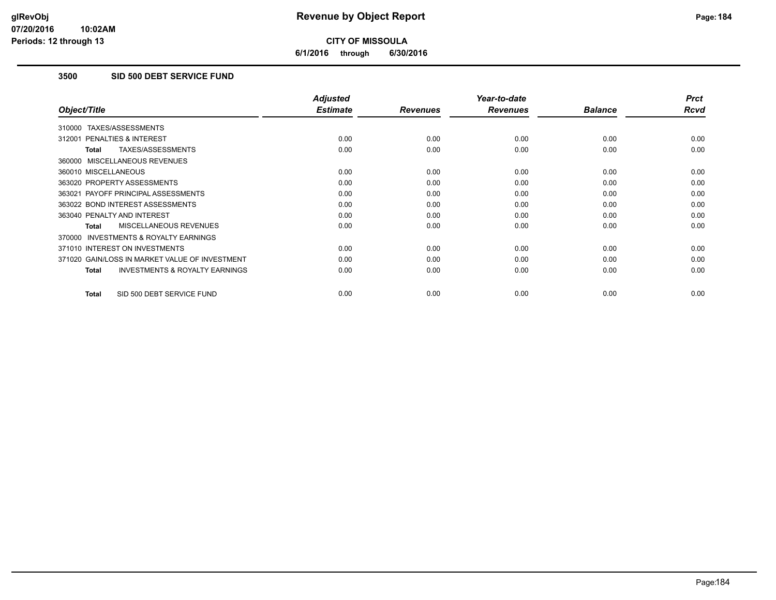**6/1/2016 through 6/30/2016**

# **3500 SID 500 DEBT SERVICE FUND**

|                                                           | <b>Adjusted</b> |                 | Year-to-date    |                | <b>Prct</b> |
|-----------------------------------------------------------|-----------------|-----------------|-----------------|----------------|-------------|
| Object/Title                                              | <b>Estimate</b> | <b>Revenues</b> | <b>Revenues</b> | <b>Balance</b> | <b>Rcvd</b> |
| 310000 TAXES/ASSESSMENTS                                  |                 |                 |                 |                |             |
| 312001 PENALTIES & INTEREST                               | 0.00            | 0.00            | 0.00            | 0.00           | 0.00        |
| TAXES/ASSESSMENTS<br><b>Total</b>                         | 0.00            | 0.00            | 0.00            | 0.00           | 0.00        |
| 360000 MISCELLANEOUS REVENUES                             |                 |                 |                 |                |             |
| 360010 MISCELLANEOUS                                      | 0.00            | 0.00            | 0.00            | 0.00           | 0.00        |
| 363020 PROPERTY ASSESSMENTS                               | 0.00            | 0.00            | 0.00            | 0.00           | 0.00        |
| 363021 PAYOFF PRINCIPAL ASSESSMENTS                       | 0.00            | 0.00            | 0.00            | 0.00           | 0.00        |
| 363022 BOND INTEREST ASSESSMENTS                          | 0.00            | 0.00            | 0.00            | 0.00           | 0.00        |
| 363040 PENALTY AND INTEREST                               | 0.00            | 0.00            | 0.00            | 0.00           | 0.00        |
| MISCELLANEOUS REVENUES<br>Total                           | 0.00            | 0.00            | 0.00            | 0.00           | 0.00        |
| INVESTMENTS & ROYALTY EARNINGS<br>370000                  |                 |                 |                 |                |             |
| 371010 INTEREST ON INVESTMENTS                            | 0.00            | 0.00            | 0.00            | 0.00           | 0.00        |
| 371020 GAIN/LOSS IN MARKET VALUE OF INVESTMENT            | 0.00            | 0.00            | 0.00            | 0.00           | 0.00        |
| <b>INVESTMENTS &amp; ROYALTY EARNINGS</b><br><b>Total</b> | 0.00            | 0.00            | 0.00            | 0.00           | 0.00        |
| SID 500 DEBT SERVICE FUND<br><b>Total</b>                 | 0.00            | 0.00            | 0.00            | 0.00           | 0.00        |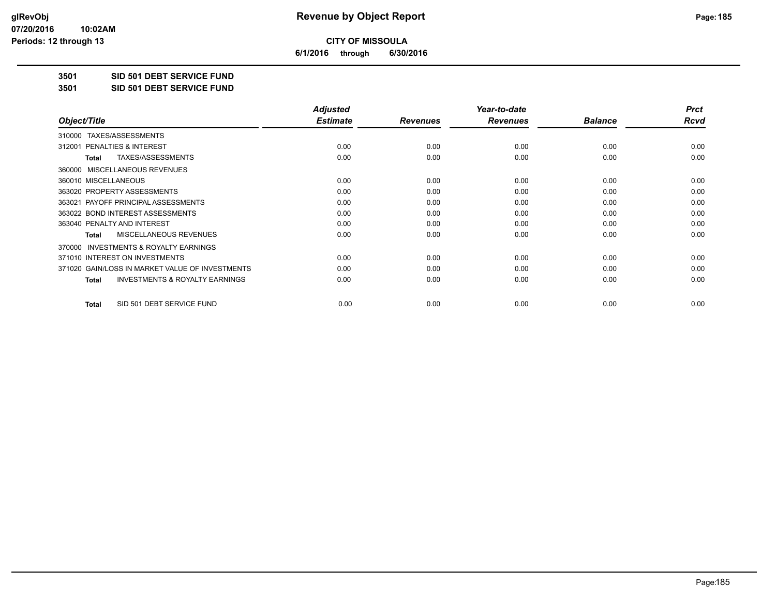**6/1/2016 through 6/30/2016**

**3501 SID 501 DEBT SERVICE FUND**

**3501 SID 501 DEBT SERVICE FUND**

|                                                    | <b>Adjusted</b> |                 | Year-to-date    |                | <b>Prct</b> |
|----------------------------------------------------|-----------------|-----------------|-----------------|----------------|-------------|
| Object/Title                                       | <b>Estimate</b> | <b>Revenues</b> | <b>Revenues</b> | <b>Balance</b> | Rcvd        |
| TAXES/ASSESSMENTS<br>310000                        |                 |                 |                 |                |             |
| <b>PENALTIES &amp; INTEREST</b><br>312001          | 0.00            | 0.00            | 0.00            | 0.00           | 0.00        |
| TAXES/ASSESSMENTS<br>Total                         | 0.00            | 0.00            | 0.00            | 0.00           | 0.00        |
| 360000 MISCELLANEOUS REVENUES                      |                 |                 |                 |                |             |
| 360010 MISCELLANEOUS                               | 0.00            | 0.00            | 0.00            | 0.00           | 0.00        |
| 363020 PROPERTY ASSESSMENTS                        | 0.00            | 0.00            | 0.00            | 0.00           | 0.00        |
| 363021 PAYOFF PRINCIPAL ASSESSMENTS                | 0.00            | 0.00            | 0.00            | 0.00           | 0.00        |
| 363022 BOND INTEREST ASSESSMENTS                   | 0.00            | 0.00            | 0.00            | 0.00           | 0.00        |
| 363040 PENALTY AND INTEREST                        | 0.00            | 0.00            | 0.00            | 0.00           | 0.00        |
| MISCELLANEOUS REVENUES<br>Total                    | 0.00            | 0.00            | 0.00            | 0.00           | 0.00        |
| 370000 INVESTMENTS & ROYALTY EARNINGS              |                 |                 |                 |                |             |
| 371010 INTEREST ON INVESTMENTS                     | 0.00            | 0.00            | 0.00            | 0.00           | 0.00        |
| 371020 GAIN/LOSS IN MARKET VALUE OF INVESTMENTS    | 0.00            | 0.00            | 0.00            | 0.00           | 0.00        |
| <b>INVESTMENTS &amp; ROYALTY EARNINGS</b><br>Total | 0.00            | 0.00            | 0.00            | 0.00           | 0.00        |
| SID 501 DEBT SERVICE FUND<br><b>Total</b>          | 0.00            | 0.00            | 0.00            | 0.00           | 0.00        |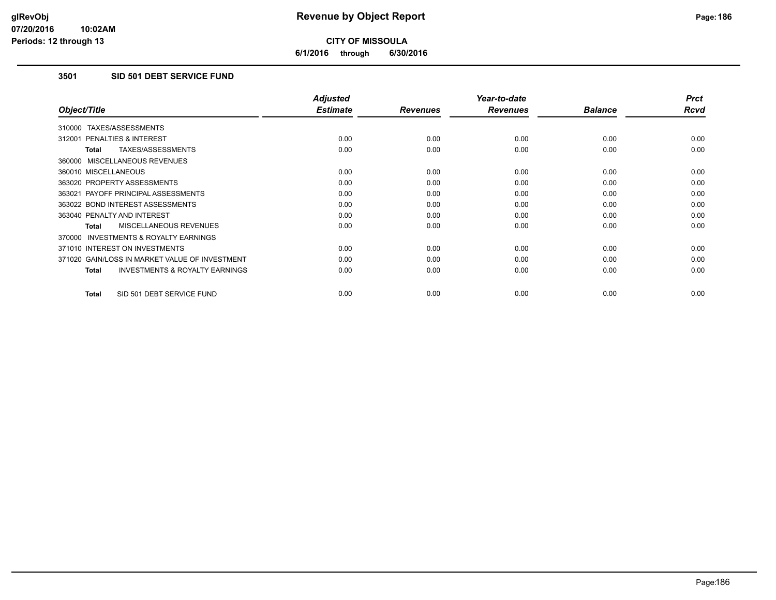**6/1/2016 through 6/30/2016**

# **3501 SID 501 DEBT SERVICE FUND**

|                                                     | <b>Adjusted</b> |                 | Year-to-date    |                | <b>Prct</b> |
|-----------------------------------------------------|-----------------|-----------------|-----------------|----------------|-------------|
| Object/Title                                        | <b>Estimate</b> | <b>Revenues</b> | <b>Revenues</b> | <b>Balance</b> | <b>Rcvd</b> |
| 310000 TAXES/ASSESSMENTS                            |                 |                 |                 |                |             |
| 312001 PENALTIES & INTEREST                         | 0.00            | 0.00            | 0.00            | 0.00           | 0.00        |
| TAXES/ASSESSMENTS<br><b>Total</b>                   | 0.00            | 0.00            | 0.00            | 0.00           | 0.00        |
| 360000 MISCELLANEOUS REVENUES                       |                 |                 |                 |                |             |
| 360010 MISCELLANEOUS                                | 0.00            | 0.00            | 0.00            | 0.00           | 0.00        |
| 363020 PROPERTY ASSESSMENTS                         | 0.00            | 0.00            | 0.00            | 0.00           | 0.00        |
| 363021 PAYOFF PRINCIPAL ASSESSMENTS                 | 0.00            | 0.00            | 0.00            | 0.00           | 0.00        |
| 363022 BOND INTEREST ASSESSMENTS                    | 0.00            | 0.00            | 0.00            | 0.00           | 0.00        |
| 363040 PENALTY AND INTEREST                         | 0.00            | 0.00            | 0.00            | 0.00           | 0.00        |
| <b>MISCELLANEOUS REVENUES</b><br>Total              | 0.00            | 0.00            | 0.00            | 0.00           | 0.00        |
| <b>INVESTMENTS &amp; ROYALTY EARNINGS</b><br>370000 |                 |                 |                 |                |             |
| 371010 INTEREST ON INVESTMENTS                      | 0.00            | 0.00            | 0.00            | 0.00           | 0.00        |
| 371020 GAIN/LOSS IN MARKET VALUE OF INVESTMENT      | 0.00            | 0.00            | 0.00            | 0.00           | 0.00        |
| <b>INVESTMENTS &amp; ROYALTY EARNINGS</b><br>Total  | 0.00            | 0.00            | 0.00            | 0.00           | 0.00        |
| SID 501 DEBT SERVICE FUND<br><b>Total</b>           | 0.00            | 0.00            | 0.00            | 0.00           | 0.00        |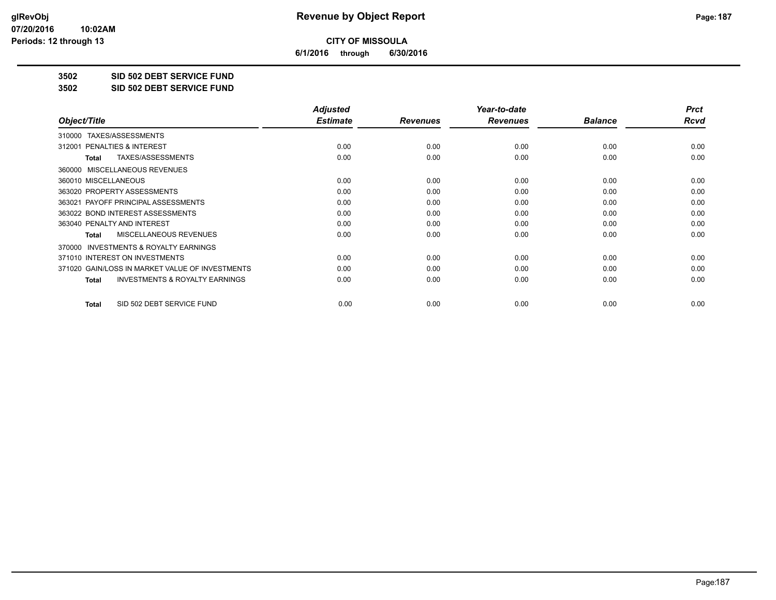**6/1/2016 through 6/30/2016**

**3502 SID 502 DEBT SERVICE FUND**

**3502 SID 502 DEBT SERVICE FUND**

|                                                    | <b>Adjusted</b> |                 | Year-to-date    |                | <b>Prct</b> |
|----------------------------------------------------|-----------------|-----------------|-----------------|----------------|-------------|
| Object/Title                                       | <b>Estimate</b> | <b>Revenues</b> | <b>Revenues</b> | <b>Balance</b> | Rcvd        |
| TAXES/ASSESSMENTS<br>310000                        |                 |                 |                 |                |             |
| <b>PENALTIES &amp; INTEREST</b><br>312001          | 0.00            | 0.00            | 0.00            | 0.00           | 0.00        |
| TAXES/ASSESSMENTS<br>Total                         | 0.00            | 0.00            | 0.00            | 0.00           | 0.00        |
| 360000 MISCELLANEOUS REVENUES                      |                 |                 |                 |                |             |
| 360010 MISCELLANEOUS                               | 0.00            | 0.00            | 0.00            | 0.00           | 0.00        |
| 363020 PROPERTY ASSESSMENTS                        | 0.00            | 0.00            | 0.00            | 0.00           | 0.00        |
| 363021 PAYOFF PRINCIPAL ASSESSMENTS                | 0.00            | 0.00            | 0.00            | 0.00           | 0.00        |
| 363022 BOND INTEREST ASSESSMENTS                   | 0.00            | 0.00            | 0.00            | 0.00           | 0.00        |
| 363040 PENALTY AND INTEREST                        | 0.00            | 0.00            | 0.00            | 0.00           | 0.00        |
| MISCELLANEOUS REVENUES<br>Total                    | 0.00            | 0.00            | 0.00            | 0.00           | 0.00        |
| 370000 INVESTMENTS & ROYALTY EARNINGS              |                 |                 |                 |                |             |
| 371010 INTEREST ON INVESTMENTS                     | 0.00            | 0.00            | 0.00            | 0.00           | 0.00        |
| 371020 GAIN/LOSS IN MARKET VALUE OF INVESTMENTS    | 0.00            | 0.00            | 0.00            | 0.00           | 0.00        |
| <b>INVESTMENTS &amp; ROYALTY EARNINGS</b><br>Total | 0.00            | 0.00            | 0.00            | 0.00           | 0.00        |
|                                                    |                 |                 |                 |                |             |
| SID 502 DEBT SERVICE FUND<br><b>Total</b>          | 0.00            | 0.00            | 0.00            | 0.00           | 0.00        |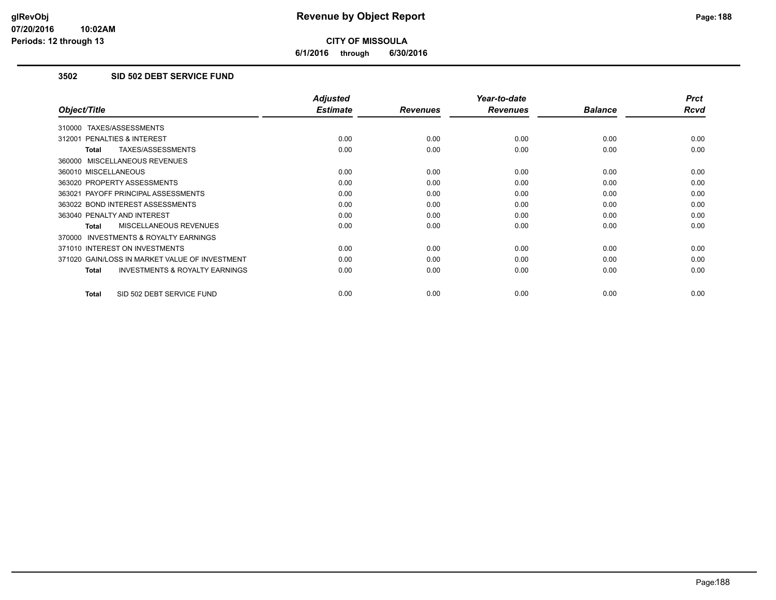**6/1/2016 through 6/30/2016**

#### **3502 SID 502 DEBT SERVICE FUND**

|                                                     | <b>Adjusted</b> |                 | Year-to-date    |                | <b>Prct</b> |
|-----------------------------------------------------|-----------------|-----------------|-----------------|----------------|-------------|
| Object/Title                                        | <b>Estimate</b> | <b>Revenues</b> | <b>Revenues</b> | <b>Balance</b> | <b>Rcvd</b> |
| 310000 TAXES/ASSESSMENTS                            |                 |                 |                 |                |             |
| 312001 PENALTIES & INTEREST                         | 0.00            | 0.00            | 0.00            | 0.00           | 0.00        |
| TAXES/ASSESSMENTS<br><b>Total</b>                   | 0.00            | 0.00            | 0.00            | 0.00           | 0.00        |
| 360000 MISCELLANEOUS REVENUES                       |                 |                 |                 |                |             |
| 360010 MISCELLANEOUS                                | 0.00            | 0.00            | 0.00            | 0.00           | 0.00        |
| 363020 PROPERTY ASSESSMENTS                         | 0.00            | 0.00            | 0.00            | 0.00           | 0.00        |
| 363021 PAYOFF PRINCIPAL ASSESSMENTS                 | 0.00            | 0.00            | 0.00            | 0.00           | 0.00        |
| 363022 BOND INTEREST ASSESSMENTS                    | 0.00            | 0.00            | 0.00            | 0.00           | 0.00        |
| 363040 PENALTY AND INTEREST                         | 0.00            | 0.00            | 0.00            | 0.00           | 0.00        |
| <b>MISCELLANEOUS REVENUES</b><br>Total              | 0.00            | 0.00            | 0.00            | 0.00           | 0.00        |
| <b>INVESTMENTS &amp; ROYALTY EARNINGS</b><br>370000 |                 |                 |                 |                |             |
| 371010 INTEREST ON INVESTMENTS                      | 0.00            | 0.00            | 0.00            | 0.00           | 0.00        |
| 371020 GAIN/LOSS IN MARKET VALUE OF INVESTMENT      | 0.00            | 0.00            | 0.00            | 0.00           | 0.00        |
| <b>INVESTMENTS &amp; ROYALTY EARNINGS</b><br>Total  | 0.00            | 0.00            | 0.00            | 0.00           | 0.00        |
| SID 502 DEBT SERVICE FUND<br><b>Total</b>           | 0.00            | 0.00            | 0.00            | 0.00           | 0.00        |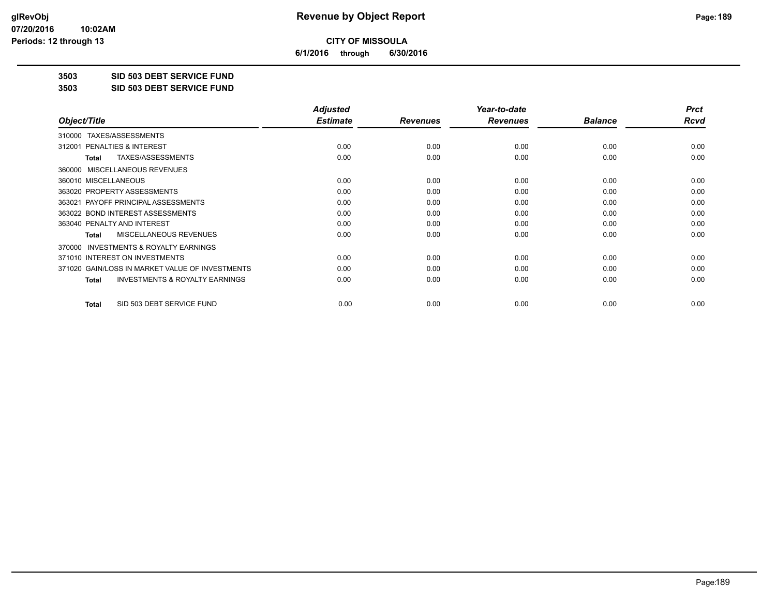**6/1/2016 through 6/30/2016**

**3503 SID 503 DEBT SERVICE FUND**

**3503 SID 503 DEBT SERVICE FUND**

|                                                    | <b>Adjusted</b> |                 | Year-to-date    |                | <b>Prct</b> |
|----------------------------------------------------|-----------------|-----------------|-----------------|----------------|-------------|
| Object/Title                                       | <b>Estimate</b> | <b>Revenues</b> | <b>Revenues</b> | <b>Balance</b> | Rcvd        |
| TAXES/ASSESSMENTS<br>310000                        |                 |                 |                 |                |             |
| <b>PENALTIES &amp; INTEREST</b><br>312001          | 0.00            | 0.00            | 0.00            | 0.00           | 0.00        |
| TAXES/ASSESSMENTS<br>Total                         | 0.00            | 0.00            | 0.00            | 0.00           | 0.00        |
| 360000 MISCELLANEOUS REVENUES                      |                 |                 |                 |                |             |
| 360010 MISCELLANEOUS                               | 0.00            | 0.00            | 0.00            | 0.00           | 0.00        |
| 363020 PROPERTY ASSESSMENTS                        | 0.00            | 0.00            | 0.00            | 0.00           | 0.00        |
| 363021 PAYOFF PRINCIPAL ASSESSMENTS                | 0.00            | 0.00            | 0.00            | 0.00           | 0.00        |
| 363022 BOND INTEREST ASSESSMENTS                   | 0.00            | 0.00            | 0.00            | 0.00           | 0.00        |
| 363040 PENALTY AND INTEREST                        | 0.00            | 0.00            | 0.00            | 0.00           | 0.00        |
| MISCELLANEOUS REVENUES<br>Total                    | 0.00            | 0.00            | 0.00            | 0.00           | 0.00        |
| 370000 INVESTMENTS & ROYALTY EARNINGS              |                 |                 |                 |                |             |
| 371010 INTEREST ON INVESTMENTS                     | 0.00            | 0.00            | 0.00            | 0.00           | 0.00        |
| 371020 GAIN/LOSS IN MARKET VALUE OF INVESTMENTS    | 0.00            | 0.00            | 0.00            | 0.00           | 0.00        |
| <b>INVESTMENTS &amp; ROYALTY EARNINGS</b><br>Total | 0.00            | 0.00            | 0.00            | 0.00           | 0.00        |
| SID 503 DEBT SERVICE FUND<br><b>Total</b>          | 0.00            | 0.00            | 0.00            | 0.00           | 0.00        |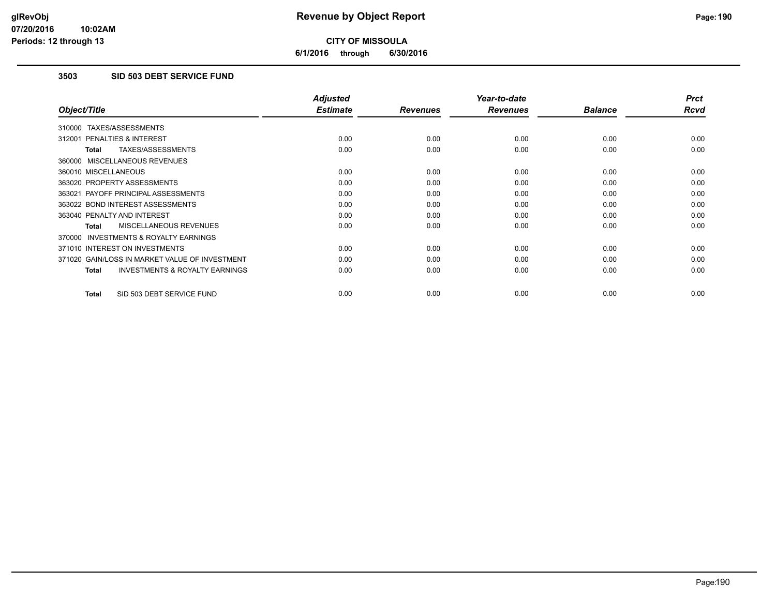**6/1/2016 through 6/30/2016**

#### **3503 SID 503 DEBT SERVICE FUND**

|                                                           | <b>Adjusted</b> |                 | Year-to-date    |                | <b>Prct</b> |
|-----------------------------------------------------------|-----------------|-----------------|-----------------|----------------|-------------|
| Object/Title                                              | <b>Estimate</b> | <b>Revenues</b> | <b>Revenues</b> | <b>Balance</b> | <b>Rcvd</b> |
| 310000 TAXES/ASSESSMENTS                                  |                 |                 |                 |                |             |
| 312001 PENALTIES & INTEREST                               | 0.00            | 0.00            | 0.00            | 0.00           | 0.00        |
| TAXES/ASSESSMENTS<br><b>Total</b>                         | 0.00            | 0.00            | 0.00            | 0.00           | 0.00        |
| 360000 MISCELLANEOUS REVENUES                             |                 |                 |                 |                |             |
| 360010 MISCELLANEOUS                                      | 0.00            | 0.00            | 0.00            | 0.00           | 0.00        |
| 363020 PROPERTY ASSESSMENTS                               | 0.00            | 0.00            | 0.00            | 0.00           | 0.00        |
| 363021 PAYOFF PRINCIPAL ASSESSMENTS                       | 0.00            | 0.00            | 0.00            | 0.00           | 0.00        |
| 363022 BOND INTEREST ASSESSMENTS                          | 0.00            | 0.00            | 0.00            | 0.00           | 0.00        |
| 363040 PENALTY AND INTEREST                               | 0.00            | 0.00            | 0.00            | 0.00           | 0.00        |
| MISCELLANEOUS REVENUES<br><b>Total</b>                    | 0.00            | 0.00            | 0.00            | 0.00           | 0.00        |
| <b>INVESTMENTS &amp; ROYALTY EARNINGS</b><br>370000       |                 |                 |                 |                |             |
| 371010 INTEREST ON INVESTMENTS                            | 0.00            | 0.00            | 0.00            | 0.00           | 0.00        |
| 371020 GAIN/LOSS IN MARKET VALUE OF INVESTMENT            | 0.00            | 0.00            | 0.00            | 0.00           | 0.00        |
| <b>INVESTMENTS &amp; ROYALTY EARNINGS</b><br><b>Total</b> | 0.00            | 0.00            | 0.00            | 0.00           | 0.00        |
| SID 503 DEBT SERVICE FUND<br><b>Total</b>                 | 0.00            | 0.00            | 0.00            | 0.00           | 0.00        |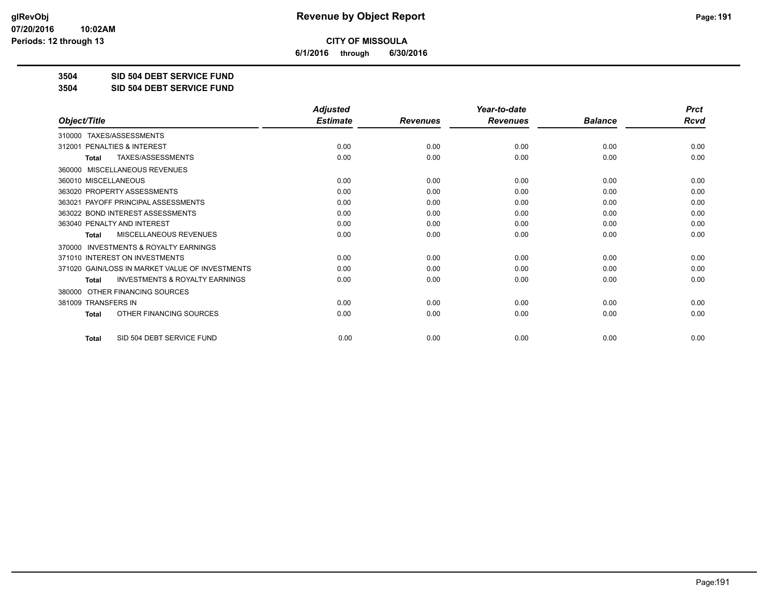**6/1/2016 through 6/30/2016**

**3504 SID 504 DEBT SERVICE FUND**

**3504 SID 504 DEBT SERVICE FUND**

|                                                           | <b>Adjusted</b> |                 | Year-to-date    |                | <b>Prct</b> |
|-----------------------------------------------------------|-----------------|-----------------|-----------------|----------------|-------------|
| Object/Title                                              | <b>Estimate</b> | <b>Revenues</b> | <b>Revenues</b> | <b>Balance</b> | Rcvd        |
| TAXES/ASSESSMENTS<br>310000                               |                 |                 |                 |                |             |
| PENALTIES & INTEREST<br>312001                            | 0.00            | 0.00            | 0.00            | 0.00           | 0.00        |
| TAXES/ASSESSMENTS<br>Total                                | 0.00            | 0.00            | 0.00            | 0.00           | 0.00        |
| MISCELLANEOUS REVENUES<br>360000                          |                 |                 |                 |                |             |
| 360010 MISCELLANEOUS                                      | 0.00            | 0.00            | 0.00            | 0.00           | 0.00        |
| 363020 PROPERTY ASSESSMENTS                               | 0.00            | 0.00            | 0.00            | 0.00           | 0.00        |
| 363021 PAYOFF PRINCIPAL ASSESSMENTS                       | 0.00            | 0.00            | 0.00            | 0.00           | 0.00        |
| 363022 BOND INTEREST ASSESSMENTS                          | 0.00            | 0.00            | 0.00            | 0.00           | 0.00        |
| 363040 PENALTY AND INTEREST                               | 0.00            | 0.00            | 0.00            | 0.00           | 0.00        |
| <b>MISCELLANEOUS REVENUES</b><br><b>Total</b>             | 0.00            | 0.00            | 0.00            | 0.00           | 0.00        |
| <b>INVESTMENTS &amp; ROYALTY EARNINGS</b><br>370000       |                 |                 |                 |                |             |
| 371010 INTEREST ON INVESTMENTS                            | 0.00            | 0.00            | 0.00            | 0.00           | 0.00        |
| 371020 GAIN/LOSS IN MARKET VALUE OF INVESTMENTS           | 0.00            | 0.00            | 0.00            | 0.00           | 0.00        |
| <b>INVESTMENTS &amp; ROYALTY EARNINGS</b><br><b>Total</b> | 0.00            | 0.00            | 0.00            | 0.00           | 0.00        |
| OTHER FINANCING SOURCES<br>380000                         |                 |                 |                 |                |             |
| 381009 TRANSFERS IN                                       | 0.00            | 0.00            | 0.00            | 0.00           | 0.00        |
| OTHER FINANCING SOURCES<br><b>Total</b>                   | 0.00            | 0.00            | 0.00            | 0.00           | 0.00        |
| SID 504 DEBT SERVICE FUND<br><b>Total</b>                 | 0.00            | 0.00            | 0.00            | 0.00           | 0.00        |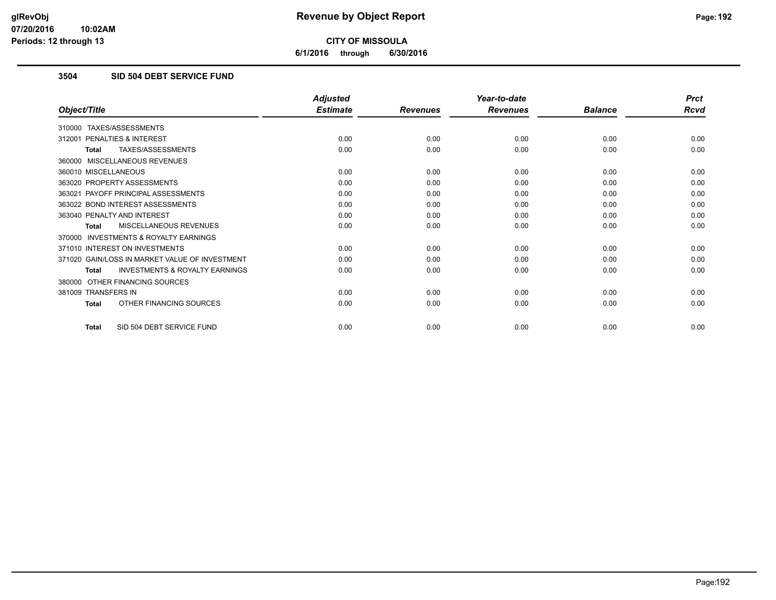**6/1/2016 through 6/30/2016**

#### **3504 SID 504 DEBT SERVICE FUND**

|                                                           | <b>Adjusted</b> |                 | Year-to-date    |                | <b>Prct</b> |
|-----------------------------------------------------------|-----------------|-----------------|-----------------|----------------|-------------|
| Object/Title                                              | <b>Estimate</b> | <b>Revenues</b> | <b>Revenues</b> | <b>Balance</b> | <b>Rcvd</b> |
| 310000 TAXES/ASSESSMENTS                                  |                 |                 |                 |                |             |
| 312001 PENALTIES & INTEREST                               | 0.00            | 0.00            | 0.00            | 0.00           | 0.00        |
| TAXES/ASSESSMENTS<br><b>Total</b>                         | 0.00            | 0.00            | 0.00            | 0.00           | 0.00        |
| 360000 MISCELLANEOUS REVENUES                             |                 |                 |                 |                |             |
| 360010 MISCELLANEOUS                                      | 0.00            | 0.00            | 0.00            | 0.00           | 0.00        |
| 363020 PROPERTY ASSESSMENTS                               | 0.00            | 0.00            | 0.00            | 0.00           | 0.00        |
| 363021 PAYOFF PRINCIPAL ASSESSMENTS                       | 0.00            | 0.00            | 0.00            | 0.00           | 0.00        |
| 363022 BOND INTEREST ASSESSMENTS                          | 0.00            | 0.00            | 0.00            | 0.00           | 0.00        |
| 363040 PENALTY AND INTEREST                               | 0.00            | 0.00            | 0.00            | 0.00           | 0.00        |
| MISCELLANEOUS REVENUES<br><b>Total</b>                    | 0.00            | 0.00            | 0.00            | 0.00           | 0.00        |
| <b>INVESTMENTS &amp; ROYALTY EARNINGS</b><br>370000       |                 |                 |                 |                |             |
| 371010 INTEREST ON INVESTMENTS                            | 0.00            | 0.00            | 0.00            | 0.00           | 0.00        |
| 371020 GAIN/LOSS IN MARKET VALUE OF INVESTMENT            | 0.00            | 0.00            | 0.00            | 0.00           | 0.00        |
| <b>INVESTMENTS &amp; ROYALTY EARNINGS</b><br><b>Total</b> | 0.00            | 0.00            | 0.00            | 0.00           | 0.00        |
| 380000 OTHER FINANCING SOURCES                            |                 |                 |                 |                |             |
| 381009 TRANSFERS IN                                       | 0.00            | 0.00            | 0.00            | 0.00           | 0.00        |
| OTHER FINANCING SOURCES<br><b>Total</b>                   | 0.00            | 0.00            | 0.00            | 0.00           | 0.00        |
| SID 504 DEBT SERVICE FUND<br>Total                        | 0.00            | 0.00            | 0.00            | 0.00           | 0.00        |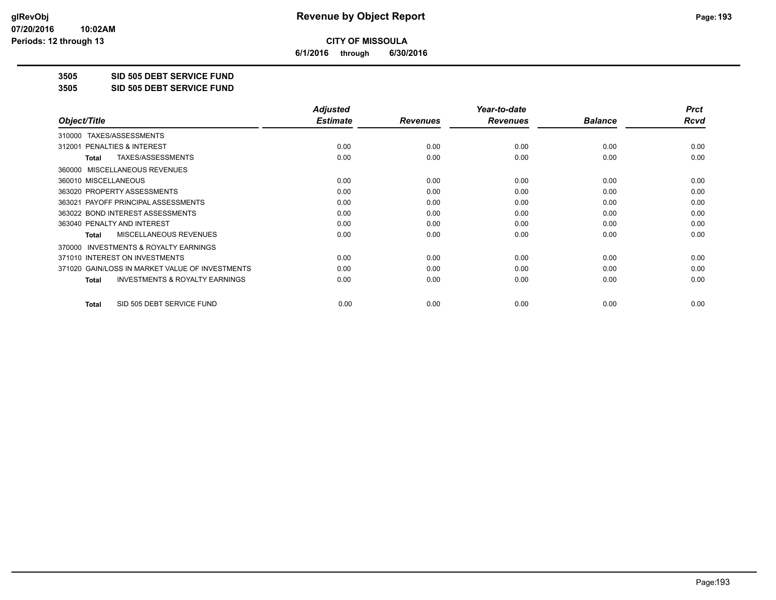**6/1/2016 through 6/30/2016**

**3505 SID 505 DEBT SERVICE FUND**

**3505 SID 505 DEBT SERVICE FUND**

|                                                           | <b>Adjusted</b> |                 | Year-to-date    |                | <b>Prct</b> |
|-----------------------------------------------------------|-----------------|-----------------|-----------------|----------------|-------------|
| Object/Title                                              | <b>Estimate</b> | <b>Revenues</b> | <b>Revenues</b> | <b>Balance</b> | Rcvd        |
| TAXES/ASSESSMENTS<br>310000                               |                 |                 |                 |                |             |
| 312001 PENALTIES & INTEREST                               | 0.00            | 0.00            | 0.00            | 0.00           | 0.00        |
| TAXES/ASSESSMENTS<br><b>Total</b>                         | 0.00            | 0.00            | 0.00            | 0.00           | 0.00        |
| MISCELLANEOUS REVENUES<br>360000                          |                 |                 |                 |                |             |
| 360010 MISCELLANEOUS                                      | 0.00            | 0.00            | 0.00            | 0.00           | 0.00        |
| 363020 PROPERTY ASSESSMENTS                               | 0.00            | 0.00            | 0.00            | 0.00           | 0.00        |
| 363021 PAYOFF PRINCIPAL ASSESSMENTS                       | 0.00            | 0.00            | 0.00            | 0.00           | 0.00        |
| 363022 BOND INTEREST ASSESSMENTS                          | 0.00            | 0.00            | 0.00            | 0.00           | 0.00        |
| 363040 PENALTY AND INTEREST                               | 0.00            | 0.00            | 0.00            | 0.00           | 0.00        |
| MISCELLANEOUS REVENUES<br><b>Total</b>                    | 0.00            | 0.00            | 0.00            | 0.00           | 0.00        |
| <b>INVESTMENTS &amp; ROYALTY EARNINGS</b><br>370000       |                 |                 |                 |                |             |
| 371010 INTEREST ON INVESTMENTS                            | 0.00            | 0.00            | 0.00            | 0.00           | 0.00        |
| 371020 GAIN/LOSS IN MARKET VALUE OF INVESTMENTS           | 0.00            | 0.00            | 0.00            | 0.00           | 0.00        |
| <b>INVESTMENTS &amp; ROYALTY EARNINGS</b><br><b>Total</b> | 0.00            | 0.00            | 0.00            | 0.00           | 0.00        |
| SID 505 DEBT SERVICE FUND<br><b>Total</b>                 | 0.00            | 0.00            | 0.00            | 0.00           | 0.00        |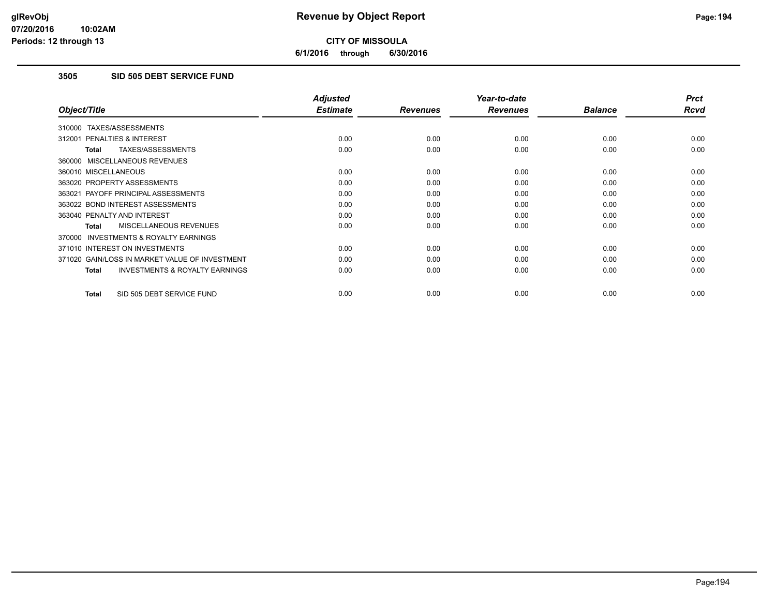**6/1/2016 through 6/30/2016**

### **3505 SID 505 DEBT SERVICE FUND**

|                                                           | <b>Adjusted</b> |                 | Year-to-date    |                | <b>Prct</b> |
|-----------------------------------------------------------|-----------------|-----------------|-----------------|----------------|-------------|
| Object/Title                                              | <b>Estimate</b> | <b>Revenues</b> | <b>Revenues</b> | <b>Balance</b> | Rcvd        |
| 310000 TAXES/ASSESSMENTS                                  |                 |                 |                 |                |             |
| 312001 PENALTIES & INTEREST                               | 0.00            | 0.00            | 0.00            | 0.00           | 0.00        |
| TAXES/ASSESSMENTS<br>Total                                | 0.00            | 0.00            | 0.00            | 0.00           | 0.00        |
| 360000 MISCELLANEOUS REVENUES                             |                 |                 |                 |                |             |
| 360010 MISCELLANEOUS                                      | 0.00            | 0.00            | 0.00            | 0.00           | 0.00        |
| 363020 PROPERTY ASSESSMENTS                               | 0.00            | 0.00            | 0.00            | 0.00           | 0.00        |
| 363021 PAYOFF PRINCIPAL ASSESSMENTS                       | 0.00            | 0.00            | 0.00            | 0.00           | 0.00        |
| 363022 BOND INTEREST ASSESSMENTS                          | 0.00            | 0.00            | 0.00            | 0.00           | 0.00        |
| 363040 PENALTY AND INTEREST                               | 0.00            | 0.00            | 0.00            | 0.00           | 0.00        |
| MISCELLANEOUS REVENUES<br><b>Total</b>                    | 0.00            | 0.00            | 0.00            | 0.00           | 0.00        |
| <b>INVESTMENTS &amp; ROYALTY EARNINGS</b><br>370000       |                 |                 |                 |                |             |
| 371010 INTEREST ON INVESTMENTS                            | 0.00            | 0.00            | 0.00            | 0.00           | 0.00        |
| 371020 GAIN/LOSS IN MARKET VALUE OF INVESTMENT            | 0.00            | 0.00            | 0.00            | 0.00           | 0.00        |
| <b>INVESTMENTS &amp; ROYALTY EARNINGS</b><br><b>Total</b> | 0.00            | 0.00            | 0.00            | 0.00           | 0.00        |
| SID 505 DEBT SERVICE FUND<br><b>Total</b>                 | 0.00            | 0.00            | 0.00            | 0.00           | 0.00        |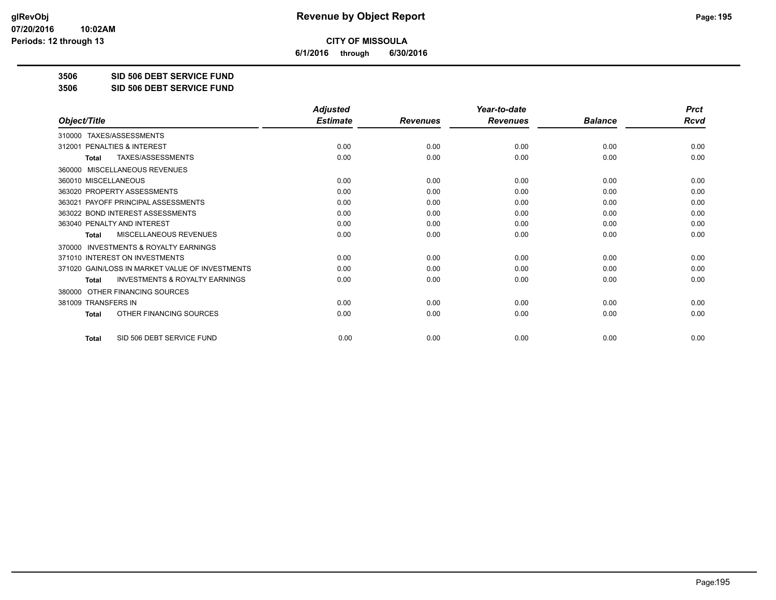**6/1/2016 through 6/30/2016**

**3506 SID 506 DEBT SERVICE FUND**

**3506 SID 506 DEBT SERVICE FUND**

|                                                           | <b>Adjusted</b> |                 | Year-to-date    |                | <b>Prct</b> |
|-----------------------------------------------------------|-----------------|-----------------|-----------------|----------------|-------------|
| Object/Title                                              | <b>Estimate</b> | <b>Revenues</b> | <b>Revenues</b> | <b>Balance</b> | <b>Rcvd</b> |
| TAXES/ASSESSMENTS<br>310000                               |                 |                 |                 |                |             |
| 312001 PENALTIES & INTEREST                               | 0.00            | 0.00            | 0.00            | 0.00           | 0.00        |
| TAXES/ASSESSMENTS<br><b>Total</b>                         | 0.00            | 0.00            | 0.00            | 0.00           | 0.00        |
| <b>MISCELLANEOUS REVENUES</b><br>360000                   |                 |                 |                 |                |             |
| 360010 MISCELLANEOUS                                      | 0.00            | 0.00            | 0.00            | 0.00           | 0.00        |
| 363020 PROPERTY ASSESSMENTS                               | 0.00            | 0.00            | 0.00            | 0.00           | 0.00        |
| 363021 PAYOFF PRINCIPAL ASSESSMENTS                       | 0.00            | 0.00            | 0.00            | 0.00           | 0.00        |
| 363022 BOND INTEREST ASSESSMENTS                          | 0.00            | 0.00            | 0.00            | 0.00           | 0.00        |
| 363040 PENALTY AND INTEREST                               | 0.00            | 0.00            | 0.00            | 0.00           | 0.00        |
| MISCELLANEOUS REVENUES<br><b>Total</b>                    | 0.00            | 0.00            | 0.00            | 0.00           | 0.00        |
| <b>INVESTMENTS &amp; ROYALTY EARNINGS</b><br>370000       |                 |                 |                 |                |             |
| 371010 INTEREST ON INVESTMENTS                            | 0.00            | 0.00            | 0.00            | 0.00           | 0.00        |
| 371020 GAIN/LOSS IN MARKET VALUE OF INVESTMENTS           | 0.00            | 0.00            | 0.00            | 0.00           | 0.00        |
| <b>INVESTMENTS &amp; ROYALTY EARNINGS</b><br><b>Total</b> | 0.00            | 0.00            | 0.00            | 0.00           | 0.00        |
| OTHER FINANCING SOURCES<br>380000                         |                 |                 |                 |                |             |
| 381009 TRANSFERS IN                                       | 0.00            | 0.00            | 0.00            | 0.00           | 0.00        |
| OTHER FINANCING SOURCES<br><b>Total</b>                   | 0.00            | 0.00            | 0.00            | 0.00           | 0.00        |
| SID 506 DEBT SERVICE FUND<br><b>Total</b>                 | 0.00            | 0.00            | 0.00            | 0.00           | 0.00        |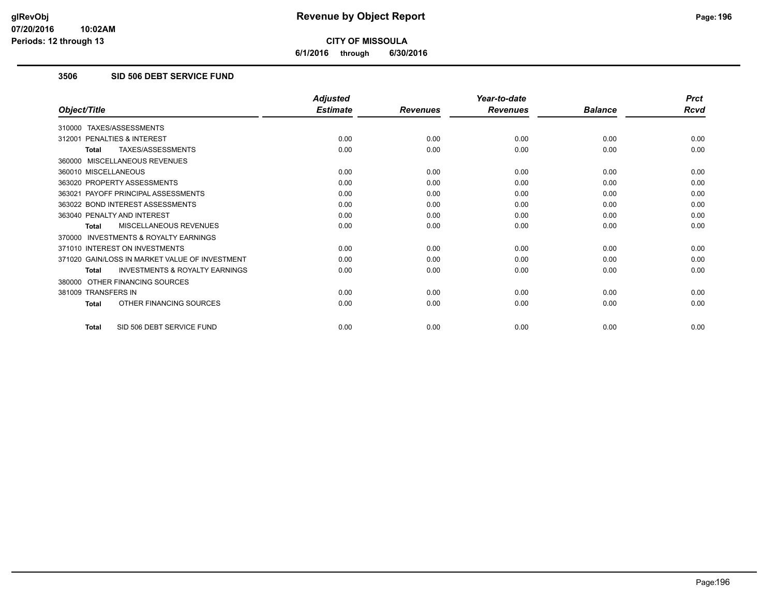**6/1/2016 through 6/30/2016**

### **3506 SID 506 DEBT SERVICE FUND**

|                                                           | <b>Adjusted</b> |                 | Year-to-date    |                | <b>Prct</b> |
|-----------------------------------------------------------|-----------------|-----------------|-----------------|----------------|-------------|
| Object/Title                                              | <b>Estimate</b> | <b>Revenues</b> | <b>Revenues</b> | <b>Balance</b> | <b>Rcvd</b> |
| 310000 TAXES/ASSESSMENTS                                  |                 |                 |                 |                |             |
| PENALTIES & INTEREST<br>312001                            | 0.00            | 0.00            | 0.00            | 0.00           | 0.00        |
| TAXES/ASSESSMENTS<br><b>Total</b>                         | 0.00            | 0.00            | 0.00            | 0.00           | 0.00        |
| 360000 MISCELLANEOUS REVENUES                             |                 |                 |                 |                |             |
| 360010 MISCELLANEOUS                                      | 0.00            | 0.00            | 0.00            | 0.00           | 0.00        |
| 363020 PROPERTY ASSESSMENTS                               | 0.00            | 0.00            | 0.00            | 0.00           | 0.00        |
| 363021 PAYOFF PRINCIPAL ASSESSMENTS                       | 0.00            | 0.00            | 0.00            | 0.00           | 0.00        |
| 363022 BOND INTEREST ASSESSMENTS                          | 0.00            | 0.00            | 0.00            | 0.00           | 0.00        |
| 363040 PENALTY AND INTEREST                               | 0.00            | 0.00            | 0.00            | 0.00           | 0.00        |
| MISCELLANEOUS REVENUES<br><b>Total</b>                    | 0.00            | 0.00            | 0.00            | 0.00           | 0.00        |
| <b>INVESTMENTS &amp; ROYALTY EARNINGS</b><br>370000       |                 |                 |                 |                |             |
| 371010 INTEREST ON INVESTMENTS                            | 0.00            | 0.00            | 0.00            | 0.00           | 0.00        |
| 371020 GAIN/LOSS IN MARKET VALUE OF INVESTMENT            | 0.00            | 0.00            | 0.00            | 0.00           | 0.00        |
| <b>INVESTMENTS &amp; ROYALTY EARNINGS</b><br><b>Total</b> | 0.00            | 0.00            | 0.00            | 0.00           | 0.00        |
| OTHER FINANCING SOURCES<br>380000                         |                 |                 |                 |                |             |
| 381009 TRANSFERS IN                                       | 0.00            | 0.00            | 0.00            | 0.00           | 0.00        |
| OTHER FINANCING SOURCES<br><b>Total</b>                   | 0.00            | 0.00            | 0.00            | 0.00           | 0.00        |
| SID 506 DEBT SERVICE FUND<br><b>Total</b>                 | 0.00            | 0.00            | 0.00            | 0.00           | 0.00        |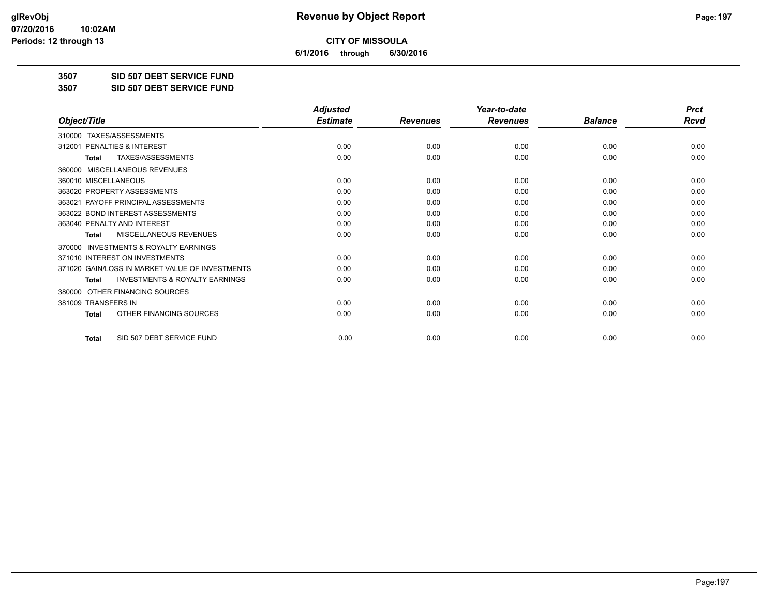**6/1/2016 through 6/30/2016**

**3507 SID 507 DEBT SERVICE FUND**

**3507 SID 507 DEBT SERVICE FUND**

|                                                           | <b>Adjusted</b> |                 | Year-to-date    |                | <b>Prct</b> |
|-----------------------------------------------------------|-----------------|-----------------|-----------------|----------------|-------------|
| Object/Title                                              | <b>Estimate</b> | <b>Revenues</b> | <b>Revenues</b> | <b>Balance</b> | <b>Rcvd</b> |
| TAXES/ASSESSMENTS<br>310000                               |                 |                 |                 |                |             |
| 312001 PENALTIES & INTEREST                               | 0.00            | 0.00            | 0.00            | 0.00           | 0.00        |
| TAXES/ASSESSMENTS<br><b>Total</b>                         | 0.00            | 0.00            | 0.00            | 0.00           | 0.00        |
| <b>MISCELLANEOUS REVENUES</b><br>360000                   |                 |                 |                 |                |             |
| 360010 MISCELLANEOUS                                      | 0.00            | 0.00            | 0.00            | 0.00           | 0.00        |
| 363020 PROPERTY ASSESSMENTS                               | 0.00            | 0.00            | 0.00            | 0.00           | 0.00        |
| 363021 PAYOFF PRINCIPAL ASSESSMENTS                       | 0.00            | 0.00            | 0.00            | 0.00           | 0.00        |
| 363022 BOND INTEREST ASSESSMENTS                          | 0.00            | 0.00            | 0.00            | 0.00           | 0.00        |
| 363040 PENALTY AND INTEREST                               | 0.00            | 0.00            | 0.00            | 0.00           | 0.00        |
| <b>MISCELLANEOUS REVENUES</b><br><b>Total</b>             | 0.00            | 0.00            | 0.00            | 0.00           | 0.00        |
| <b>INVESTMENTS &amp; ROYALTY EARNINGS</b><br>370000       |                 |                 |                 |                |             |
| 371010 INTEREST ON INVESTMENTS                            | 0.00            | 0.00            | 0.00            | 0.00           | 0.00        |
| 371020 GAIN/LOSS IN MARKET VALUE OF INVESTMENTS           | 0.00            | 0.00            | 0.00            | 0.00           | 0.00        |
| <b>INVESTMENTS &amp; ROYALTY EARNINGS</b><br><b>Total</b> | 0.00            | 0.00            | 0.00            | 0.00           | 0.00        |
| OTHER FINANCING SOURCES<br>380000                         |                 |                 |                 |                |             |
| 381009 TRANSFERS IN                                       | 0.00            | 0.00            | 0.00            | 0.00           | 0.00        |
| OTHER FINANCING SOURCES<br>Total                          | 0.00            | 0.00            | 0.00            | 0.00           | 0.00        |
| SID 507 DEBT SERVICE FUND<br><b>Total</b>                 | 0.00            | 0.00            | 0.00            | 0.00           | 0.00        |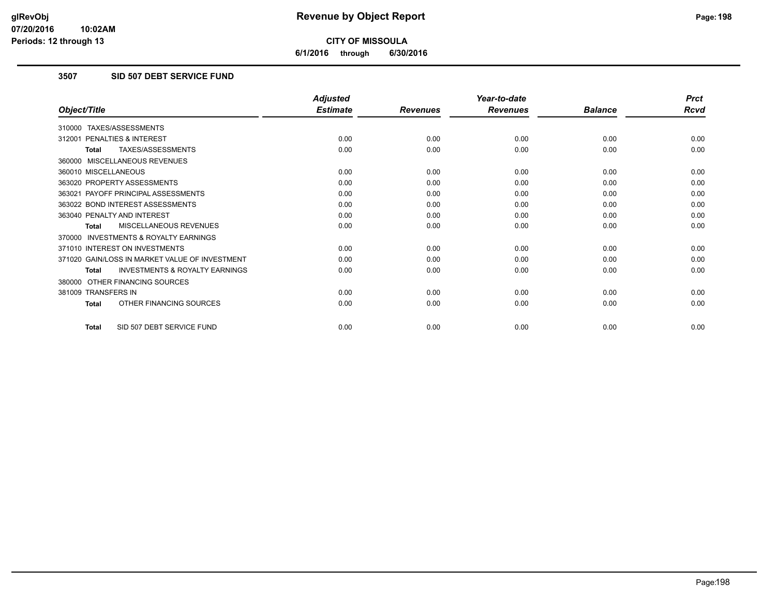**6/1/2016 through 6/30/2016**

# **3507 SID 507 DEBT SERVICE FUND**

|                                                           | <b>Adjusted</b> |                 | Year-to-date    |                | <b>Prct</b> |
|-----------------------------------------------------------|-----------------|-----------------|-----------------|----------------|-------------|
| Object/Title                                              | <b>Estimate</b> | <b>Revenues</b> | <b>Revenues</b> | <b>Balance</b> | <b>Rcvd</b> |
| 310000 TAXES/ASSESSMENTS                                  |                 |                 |                 |                |             |
| PENALTIES & INTEREST<br>312001                            | 0.00            | 0.00            | 0.00            | 0.00           | 0.00        |
| TAXES/ASSESSMENTS<br><b>Total</b>                         | 0.00            | 0.00            | 0.00            | 0.00           | 0.00        |
| 360000 MISCELLANEOUS REVENUES                             |                 |                 |                 |                |             |
| 360010 MISCELLANEOUS                                      | 0.00            | 0.00            | 0.00            | 0.00           | 0.00        |
| 363020 PROPERTY ASSESSMENTS                               | 0.00            | 0.00            | 0.00            | 0.00           | 0.00        |
| 363021 PAYOFF PRINCIPAL ASSESSMENTS                       | 0.00            | 0.00            | 0.00            | 0.00           | 0.00        |
| 363022 BOND INTEREST ASSESSMENTS                          | 0.00            | 0.00            | 0.00            | 0.00           | 0.00        |
| 363040 PENALTY AND INTEREST                               | 0.00            | 0.00            | 0.00            | 0.00           | 0.00        |
| <b>MISCELLANEOUS REVENUES</b><br><b>Total</b>             | 0.00            | 0.00            | 0.00            | 0.00           | 0.00        |
| 370000 INVESTMENTS & ROYALTY EARNINGS                     |                 |                 |                 |                |             |
| 371010 INTEREST ON INVESTMENTS                            | 0.00            | 0.00            | 0.00            | 0.00           | 0.00        |
| 371020 GAIN/LOSS IN MARKET VALUE OF INVESTMENT            | 0.00            | 0.00            | 0.00            | 0.00           | 0.00        |
| <b>INVESTMENTS &amp; ROYALTY EARNINGS</b><br><b>Total</b> | 0.00            | 0.00            | 0.00            | 0.00           | 0.00        |
| 380000 OTHER FINANCING SOURCES                            |                 |                 |                 |                |             |
| 381009 TRANSFERS IN                                       | 0.00            | 0.00            | 0.00            | 0.00           | 0.00        |
| OTHER FINANCING SOURCES<br><b>Total</b>                   | 0.00            | 0.00            | 0.00            | 0.00           | 0.00        |
| SID 507 DEBT SERVICE FUND<br><b>Total</b>                 | 0.00            | 0.00            | 0.00            | 0.00           | 0.00        |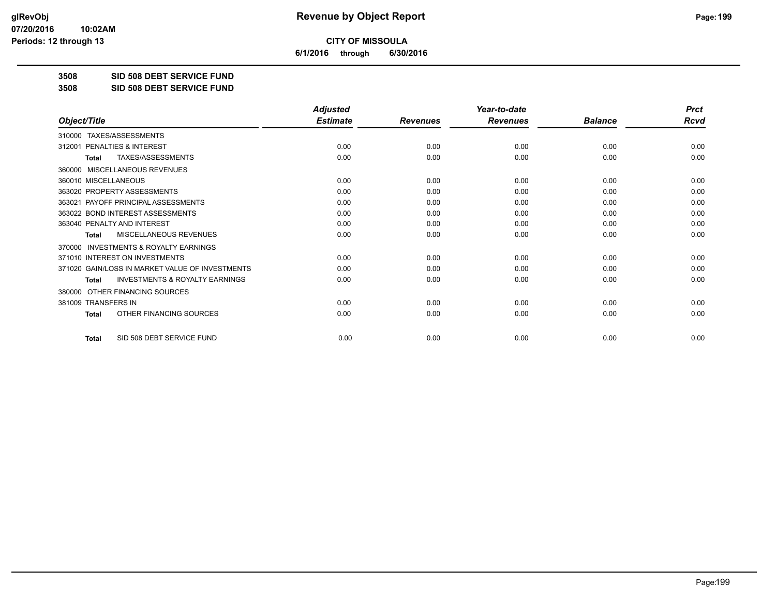**6/1/2016 through 6/30/2016**

**3508 SID 508 DEBT SERVICE FUND**

**3508 SID 508 DEBT SERVICE FUND**

|                                                           | <b>Adjusted</b> |                 | Year-to-date    |                | <b>Prct</b> |
|-----------------------------------------------------------|-----------------|-----------------|-----------------|----------------|-------------|
| Object/Title                                              | <b>Estimate</b> | <b>Revenues</b> | <b>Revenues</b> | <b>Balance</b> | <b>Rcvd</b> |
| TAXES/ASSESSMENTS<br>310000                               |                 |                 |                 |                |             |
| 312001 PENALTIES & INTEREST                               | 0.00            | 0.00            | 0.00            | 0.00           | 0.00        |
| TAXES/ASSESSMENTS<br><b>Total</b>                         | 0.00            | 0.00            | 0.00            | 0.00           | 0.00        |
| <b>MISCELLANEOUS REVENUES</b><br>360000                   |                 |                 |                 |                |             |
| 360010 MISCELLANEOUS                                      | 0.00            | 0.00            | 0.00            | 0.00           | 0.00        |
| 363020 PROPERTY ASSESSMENTS                               | 0.00            | 0.00            | 0.00            | 0.00           | 0.00        |
| 363021 PAYOFF PRINCIPAL ASSESSMENTS                       | 0.00            | 0.00            | 0.00            | 0.00           | 0.00        |
| 363022 BOND INTEREST ASSESSMENTS                          | 0.00            | 0.00            | 0.00            | 0.00           | 0.00        |
| 363040 PENALTY AND INTEREST                               | 0.00            | 0.00            | 0.00            | 0.00           | 0.00        |
| MISCELLANEOUS REVENUES<br><b>Total</b>                    | 0.00            | 0.00            | 0.00            | 0.00           | 0.00        |
| <b>INVESTMENTS &amp; ROYALTY EARNINGS</b><br>370000       |                 |                 |                 |                |             |
| 371010 INTEREST ON INVESTMENTS                            | 0.00            | 0.00            | 0.00            | 0.00           | 0.00        |
| 371020 GAIN/LOSS IN MARKET VALUE OF INVESTMENTS           | 0.00            | 0.00            | 0.00            | 0.00           | 0.00        |
| <b>INVESTMENTS &amp; ROYALTY EARNINGS</b><br><b>Total</b> | 0.00            | 0.00            | 0.00            | 0.00           | 0.00        |
| OTHER FINANCING SOURCES<br>380000                         |                 |                 |                 |                |             |
| 381009 TRANSFERS IN                                       | 0.00            | 0.00            | 0.00            | 0.00           | 0.00        |
| OTHER FINANCING SOURCES<br><b>Total</b>                   | 0.00            | 0.00            | 0.00            | 0.00           | 0.00        |
| SID 508 DEBT SERVICE FUND<br><b>Total</b>                 | 0.00            | 0.00            | 0.00            | 0.00           | 0.00        |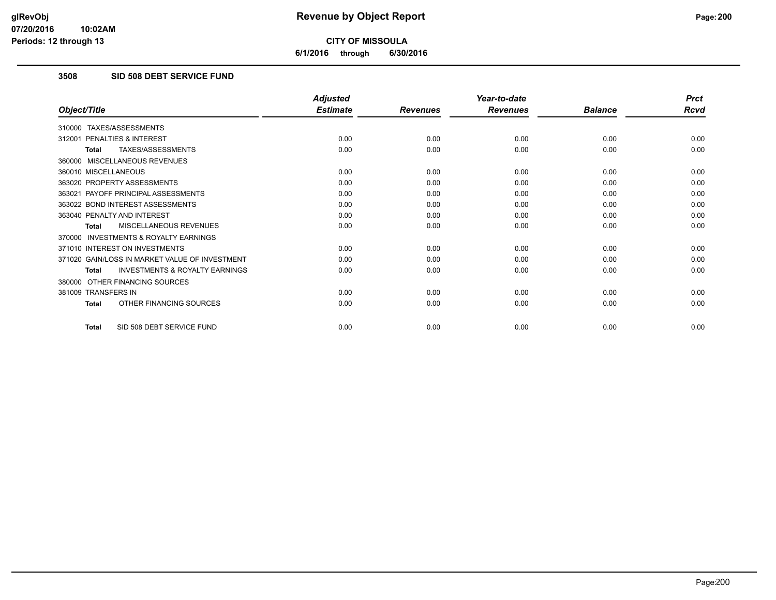**6/1/2016 through 6/30/2016**

#### **3508 SID 508 DEBT SERVICE FUND**

|                                                           | <b>Adjusted</b> |                 | Year-to-date    |                | <b>Prct</b> |
|-----------------------------------------------------------|-----------------|-----------------|-----------------|----------------|-------------|
| Object/Title                                              | <b>Estimate</b> | <b>Revenues</b> | <b>Revenues</b> | <b>Balance</b> | <b>Rcvd</b> |
| TAXES/ASSESSMENTS<br>310000                               |                 |                 |                 |                |             |
| PENALTIES & INTEREST<br>312001                            | 0.00            | 0.00            | 0.00            | 0.00           | 0.00        |
| TAXES/ASSESSMENTS<br><b>Total</b>                         | 0.00            | 0.00            | 0.00            | 0.00           | 0.00        |
| MISCELLANEOUS REVENUES<br>360000                          |                 |                 |                 |                |             |
| 360010 MISCELLANEOUS                                      | 0.00            | 0.00            | 0.00            | 0.00           | 0.00        |
| 363020 PROPERTY ASSESSMENTS                               | 0.00            | 0.00            | 0.00            | 0.00           | 0.00        |
| 363021 PAYOFF PRINCIPAL ASSESSMENTS                       | 0.00            | 0.00            | 0.00            | 0.00           | 0.00        |
| 363022 BOND INTEREST ASSESSMENTS                          | 0.00            | 0.00            | 0.00            | 0.00           | 0.00        |
| 363040 PENALTY AND INTEREST                               | 0.00            | 0.00            | 0.00            | 0.00           | 0.00        |
| MISCELLANEOUS REVENUES<br><b>Total</b>                    | 0.00            | 0.00            | 0.00            | 0.00           | 0.00        |
| <b>INVESTMENTS &amp; ROYALTY EARNINGS</b><br>370000       |                 |                 |                 |                |             |
| 371010 INTEREST ON INVESTMENTS                            | 0.00            | 0.00            | 0.00            | 0.00           | 0.00        |
| 371020 GAIN/LOSS IN MARKET VALUE OF INVESTMENT            | 0.00            | 0.00            | 0.00            | 0.00           | 0.00        |
| <b>INVESTMENTS &amp; ROYALTY EARNINGS</b><br><b>Total</b> | 0.00            | 0.00            | 0.00            | 0.00           | 0.00        |
| OTHER FINANCING SOURCES<br>380000                         |                 |                 |                 |                |             |
| 381009 TRANSFERS IN                                       | 0.00            | 0.00            | 0.00            | 0.00           | 0.00        |
| OTHER FINANCING SOURCES<br><b>Total</b>                   | 0.00            | 0.00            | 0.00            | 0.00           | 0.00        |
| SID 508 DEBT SERVICE FUND<br><b>Total</b>                 | 0.00            | 0.00            | 0.00            | 0.00           | 0.00        |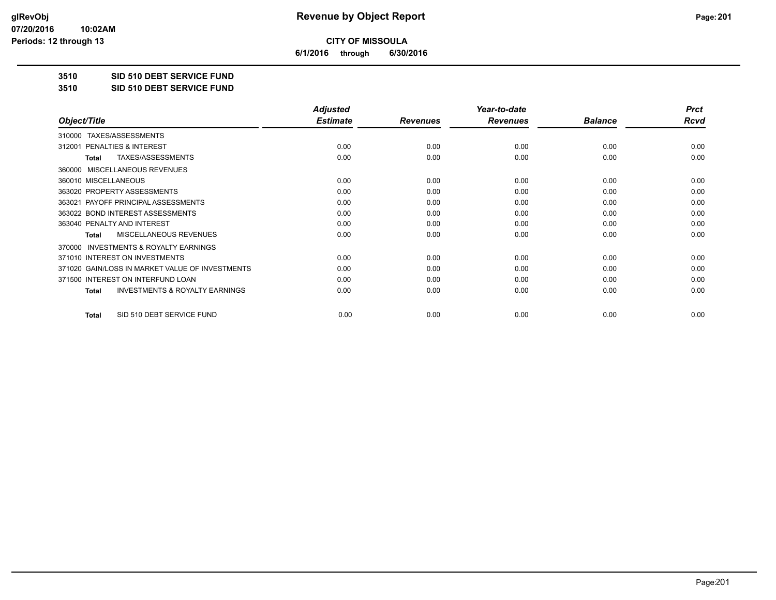**6/1/2016 through 6/30/2016**

**3510 SID 510 DEBT SERVICE FUND**

**3510 SID 510 DEBT SERVICE FUND**

|                                                           | <b>Adjusted</b> |                 | Year-to-date    |                | <b>Prct</b> |
|-----------------------------------------------------------|-----------------|-----------------|-----------------|----------------|-------------|
| Object/Title                                              | <b>Estimate</b> | <b>Revenues</b> | <b>Revenues</b> | <b>Balance</b> | <b>Rcvd</b> |
| TAXES/ASSESSMENTS<br>310000                               |                 |                 |                 |                |             |
| 312001 PENALTIES & INTEREST                               | 0.00            | 0.00            | 0.00            | 0.00           | 0.00        |
| TAXES/ASSESSMENTS<br><b>Total</b>                         | 0.00            | 0.00            | 0.00            | 0.00           | 0.00        |
| MISCELLANEOUS REVENUES<br>360000                          |                 |                 |                 |                |             |
| 360010 MISCELLANEOUS                                      | 0.00            | 0.00            | 0.00            | 0.00           | 0.00        |
| 363020 PROPERTY ASSESSMENTS                               | 0.00            | 0.00            | 0.00            | 0.00           | 0.00        |
| 363021 PAYOFF PRINCIPAL ASSESSMENTS                       | 0.00            | 0.00            | 0.00            | 0.00           | 0.00        |
| 363022 BOND INTEREST ASSESSMENTS                          | 0.00            | 0.00            | 0.00            | 0.00           | 0.00        |
| 363040 PENALTY AND INTEREST                               | 0.00            | 0.00            | 0.00            | 0.00           | 0.00        |
| <b>MISCELLANEOUS REVENUES</b><br><b>Total</b>             | 0.00            | 0.00            | 0.00            | 0.00           | 0.00        |
| <b>INVESTMENTS &amp; ROYALTY EARNINGS</b><br>370000       |                 |                 |                 |                |             |
| 371010 INTEREST ON INVESTMENTS                            | 0.00            | 0.00            | 0.00            | 0.00           | 0.00        |
| 371020 GAIN/LOSS IN MARKET VALUE OF INVESTMENTS           | 0.00            | 0.00            | 0.00            | 0.00           | 0.00        |
| 371500 INTEREST ON INTERFUND LOAN                         | 0.00            | 0.00            | 0.00            | 0.00           | 0.00        |
| <b>INVESTMENTS &amp; ROYALTY EARNINGS</b><br><b>Total</b> | 0.00            | 0.00            | 0.00            | 0.00           | 0.00        |
| SID 510 DEBT SERVICE FUND<br>Total                        | 0.00            | 0.00            | 0.00            | 0.00           | 0.00        |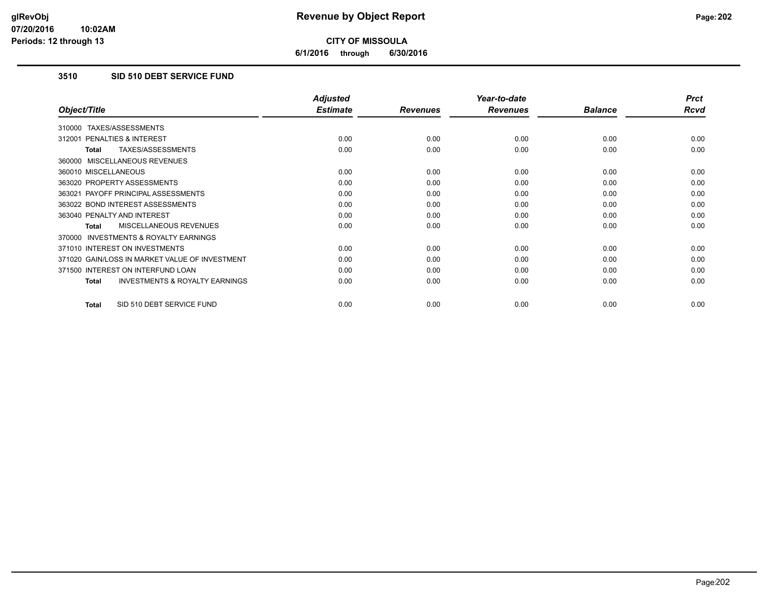**6/1/2016 through 6/30/2016**

# **3510 SID 510 DEBT SERVICE FUND**

|                                                           | <b>Adjusted</b> |                 | Year-to-date    |                | <b>Prct</b> |
|-----------------------------------------------------------|-----------------|-----------------|-----------------|----------------|-------------|
| Object/Title                                              | <b>Estimate</b> | <b>Revenues</b> | <b>Revenues</b> | <b>Balance</b> | Rcvd        |
| TAXES/ASSESSMENTS<br>310000                               |                 |                 |                 |                |             |
| 312001 PENALTIES & INTEREST                               | 0.00            | 0.00            | 0.00            | 0.00           | 0.00        |
| TAXES/ASSESSMENTS<br>Total                                | 0.00            | 0.00            | 0.00            | 0.00           | 0.00        |
| 360000 MISCELLANEOUS REVENUES                             |                 |                 |                 |                |             |
| 360010 MISCELLANEOUS                                      | 0.00            | 0.00            | 0.00            | 0.00           | 0.00        |
| 363020 PROPERTY ASSESSMENTS                               | 0.00            | 0.00            | 0.00            | 0.00           | 0.00        |
| 363021 PAYOFF PRINCIPAL ASSESSMENTS                       | 0.00            | 0.00            | 0.00            | 0.00           | 0.00        |
| 363022 BOND INTEREST ASSESSMENTS                          | 0.00            | 0.00            | 0.00            | 0.00           | 0.00        |
| 363040 PENALTY AND INTEREST                               | 0.00            | 0.00            | 0.00            | 0.00           | 0.00        |
| MISCELLANEOUS REVENUES<br>Total                           | 0.00            | 0.00            | 0.00            | 0.00           | 0.00        |
| <b>INVESTMENTS &amp; ROYALTY EARNINGS</b><br>370000       |                 |                 |                 |                |             |
| 371010 INTEREST ON INVESTMENTS                            | 0.00            | 0.00            | 0.00            | 0.00           | 0.00        |
| 371020 GAIN/LOSS IN MARKET VALUE OF INVESTMENT            | 0.00            | 0.00            | 0.00            | 0.00           | 0.00        |
| 371500 INTEREST ON INTERFUND LOAN                         | 0.00            | 0.00            | 0.00            | 0.00           | 0.00        |
| <b>INVESTMENTS &amp; ROYALTY EARNINGS</b><br><b>Total</b> | 0.00            | 0.00            | 0.00            | 0.00           | 0.00        |
| SID 510 DEBT SERVICE FUND<br><b>Total</b>                 | 0.00            | 0.00            | 0.00            | 0.00           | 0.00        |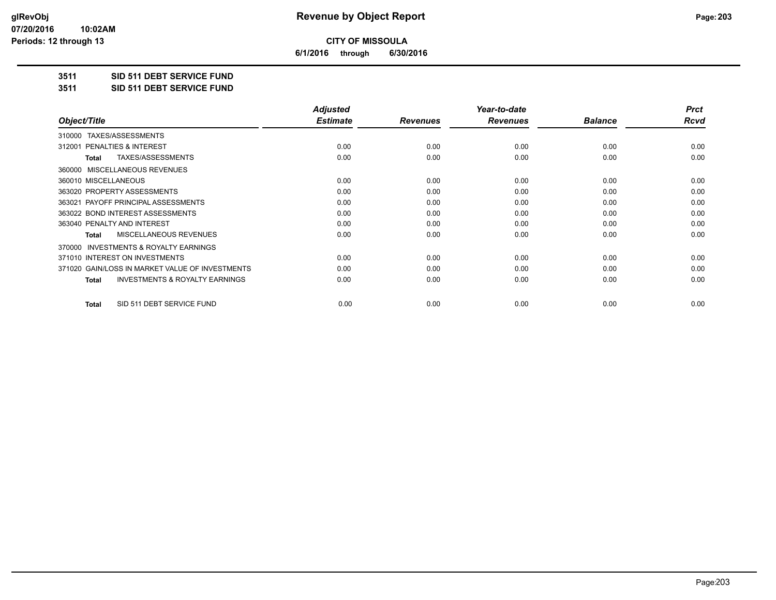**6/1/2016 through 6/30/2016**

**3511 SID 511 DEBT SERVICE FUND**

**3511 SID 511 DEBT SERVICE FUND**

|                                                           | <b>Adjusted</b> |                 | Year-to-date    |                | <b>Prct</b> |
|-----------------------------------------------------------|-----------------|-----------------|-----------------|----------------|-------------|
| Object/Title                                              | <b>Estimate</b> | <b>Revenues</b> | <b>Revenues</b> | <b>Balance</b> | Rcvd        |
| TAXES/ASSESSMENTS<br>310000                               |                 |                 |                 |                |             |
| <b>PENALTIES &amp; INTEREST</b><br>312001                 | 0.00            | 0.00            | 0.00            | 0.00           | 0.00        |
| TAXES/ASSESSMENTS<br>Total                                | 0.00            | 0.00            | 0.00            | 0.00           | 0.00        |
| 360000 MISCELLANEOUS REVENUES                             |                 |                 |                 |                |             |
| 360010 MISCELLANEOUS                                      | 0.00            | 0.00            | 0.00            | 0.00           | 0.00        |
| 363020 PROPERTY ASSESSMENTS                               | 0.00            | 0.00            | 0.00            | 0.00           | 0.00        |
| 363021 PAYOFF PRINCIPAL ASSESSMENTS                       | 0.00            | 0.00            | 0.00            | 0.00           | 0.00        |
| 363022 BOND INTEREST ASSESSMENTS                          | 0.00            | 0.00            | 0.00            | 0.00           | 0.00        |
| 363040 PENALTY AND INTEREST                               | 0.00            | 0.00            | 0.00            | 0.00           | 0.00        |
| MISCELLANEOUS REVENUES<br>Total                           | 0.00            | 0.00            | 0.00            | 0.00           | 0.00        |
| 370000 INVESTMENTS & ROYALTY EARNINGS                     |                 |                 |                 |                |             |
| 371010 INTEREST ON INVESTMENTS                            | 0.00            | 0.00            | 0.00            | 0.00           | 0.00        |
| 371020 GAIN/LOSS IN MARKET VALUE OF INVESTMENTS           | 0.00            | 0.00            | 0.00            | 0.00           | 0.00        |
| <b>INVESTMENTS &amp; ROYALTY EARNINGS</b><br><b>Total</b> | 0.00            | 0.00            | 0.00            | 0.00           | 0.00        |
| SID 511 DEBT SERVICE FUND<br>Total                        | 0.00            | 0.00            | 0.00            | 0.00           | 0.00        |
|                                                           |                 |                 |                 |                |             |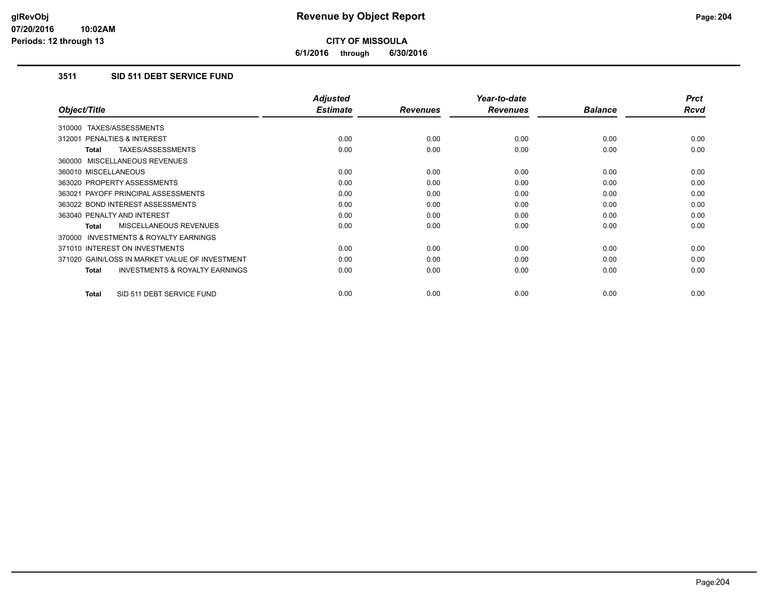**6/1/2016 through 6/30/2016**

# **3511 SID 511 DEBT SERVICE FUND**

|                                                           | <b>Adjusted</b> |                 | Year-to-date    |                | <b>Prct</b> |
|-----------------------------------------------------------|-----------------|-----------------|-----------------|----------------|-------------|
| Object/Title                                              | <b>Estimate</b> | <b>Revenues</b> | <b>Revenues</b> | <b>Balance</b> | <b>Rcvd</b> |
| 310000 TAXES/ASSESSMENTS                                  |                 |                 |                 |                |             |
| 312001 PENALTIES & INTEREST                               | 0.00            | 0.00            | 0.00            | 0.00           | 0.00        |
| TAXES/ASSESSMENTS<br><b>Total</b>                         | 0.00            | 0.00            | 0.00            | 0.00           | 0.00        |
| 360000 MISCELLANEOUS REVENUES                             |                 |                 |                 |                |             |
| 360010 MISCELLANEOUS                                      | 0.00            | 0.00            | 0.00            | 0.00           | 0.00        |
| 363020 PROPERTY ASSESSMENTS                               | 0.00            | 0.00            | 0.00            | 0.00           | 0.00        |
| 363021 PAYOFF PRINCIPAL ASSESSMENTS                       | 0.00            | 0.00            | 0.00            | 0.00           | 0.00        |
| 363022 BOND INTEREST ASSESSMENTS                          | 0.00            | 0.00            | 0.00            | 0.00           | 0.00        |
| 363040 PENALTY AND INTEREST                               | 0.00            | 0.00            | 0.00            | 0.00           | 0.00        |
| MISCELLANEOUS REVENUES<br>Total                           | 0.00            | 0.00            | 0.00            | 0.00           | 0.00        |
| <b>INVESTMENTS &amp; ROYALTY EARNINGS</b><br>370000       |                 |                 |                 |                |             |
| 371010 INTEREST ON INVESTMENTS                            | 0.00            | 0.00            | 0.00            | 0.00           | 0.00        |
| 371020 GAIN/LOSS IN MARKET VALUE OF INVESTMENT            | 0.00            | 0.00            | 0.00            | 0.00           | 0.00        |
| <b>INVESTMENTS &amp; ROYALTY EARNINGS</b><br><b>Total</b> | 0.00            | 0.00            | 0.00            | 0.00           | 0.00        |
| SID 511 DEBT SERVICE FUND<br><b>Total</b>                 | 0.00            | 0.00            | 0.00            | 0.00           | 0.00        |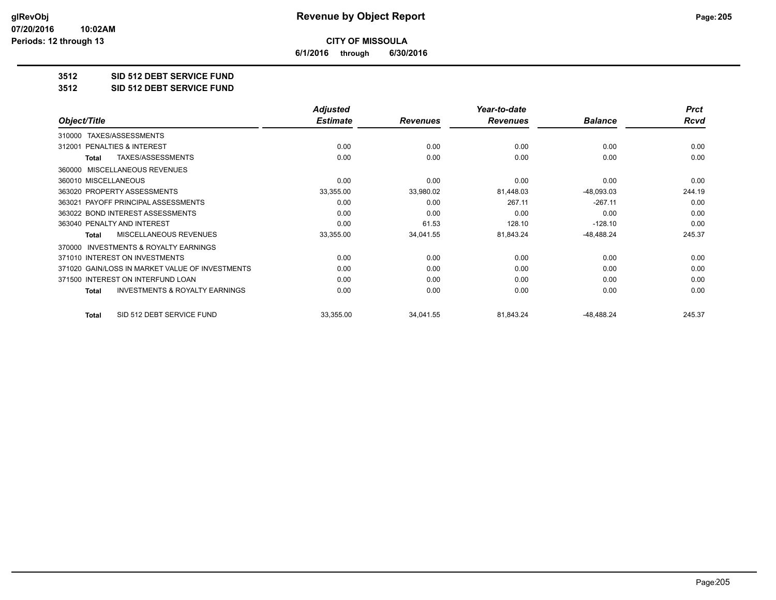**6/1/2016 through 6/30/2016**

#### **3512 SID 512 DEBT SERVICE FUND**

**3512 SID 512 DEBT SERVICE FUND**

|                                                           | <b>Adjusted</b> |                 | Year-to-date    |                | <b>Prct</b> |
|-----------------------------------------------------------|-----------------|-----------------|-----------------|----------------|-------------|
| Object/Title                                              | <b>Estimate</b> | <b>Revenues</b> | <b>Revenues</b> | <b>Balance</b> | <b>Rcvd</b> |
| TAXES/ASSESSMENTS<br>310000                               |                 |                 |                 |                |             |
| PENALTIES & INTEREST<br>312001                            | 0.00            | 0.00            | 0.00            | 0.00           | 0.00        |
| TAXES/ASSESSMENTS<br><b>Total</b>                         | 0.00            | 0.00            | 0.00            | 0.00           | 0.00        |
| <b>MISCELLANEOUS REVENUES</b><br>360000                   |                 |                 |                 |                |             |
| 360010 MISCELLANEOUS                                      | 0.00            | 0.00            | 0.00            | 0.00           | 0.00        |
| 363020 PROPERTY ASSESSMENTS                               | 33,355.00       | 33,980.02       | 81,448.03       | $-48,093.03$   | 244.19      |
| 363021 PAYOFF PRINCIPAL ASSESSMENTS                       | 0.00            | 0.00            | 267.11          | $-267.11$      | 0.00        |
| 363022 BOND INTEREST ASSESSMENTS                          | 0.00            | 0.00            | 0.00            | 0.00           | 0.00        |
| 363040 PENALTY AND INTEREST                               | 0.00            | 61.53           | 128.10          | $-128.10$      | 0.00        |
| MISCELLANEOUS REVENUES<br><b>Total</b>                    | 33,355.00       | 34,041.55       | 81,843.24       | $-48,488.24$   | 245.37      |
| INVESTMENTS & ROYALTY EARNINGS<br>370000                  |                 |                 |                 |                |             |
| 371010 INTEREST ON INVESTMENTS                            | 0.00            | 0.00            | 0.00            | 0.00           | 0.00        |
| 371020 GAIN/LOSS IN MARKET VALUE OF INVESTMENTS           | 0.00            | 0.00            | 0.00            | 0.00           | 0.00        |
| 371500 INTEREST ON INTERFUND LOAN                         | 0.00            | 0.00            | 0.00            | 0.00           | 0.00        |
| <b>INVESTMENTS &amp; ROYALTY EARNINGS</b><br><b>Total</b> | 0.00            | 0.00            | 0.00            | 0.00           | 0.00        |
| SID 512 DEBT SERVICE FUND<br><b>Total</b>                 | 33,355.00       | 34,041.55       | 81,843.24       | $-48,488.24$   | 245.37      |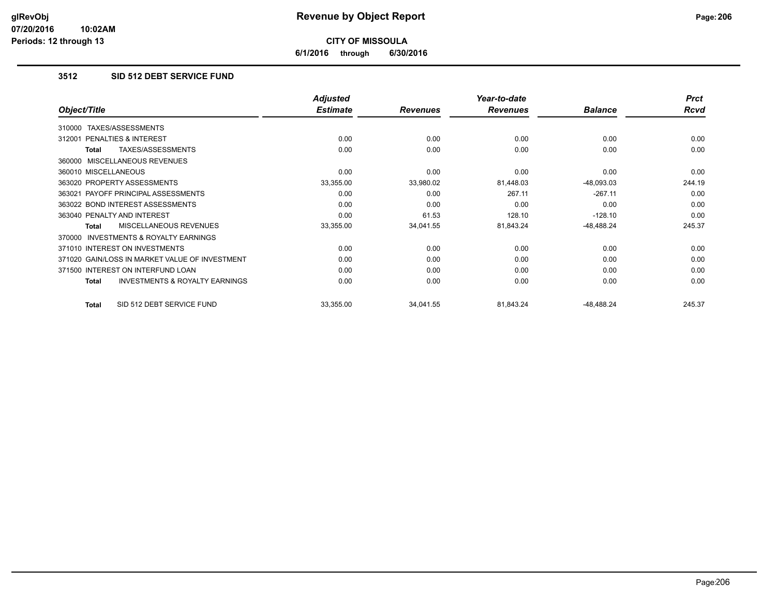**6/1/2016 through 6/30/2016**

# **3512 SID 512 DEBT SERVICE FUND**

|                                                           | <b>Adjusted</b> |                 | Year-to-date    |                | <b>Prct</b> |
|-----------------------------------------------------------|-----------------|-----------------|-----------------|----------------|-------------|
| Object/Title                                              | <b>Estimate</b> | <b>Revenues</b> | <b>Revenues</b> | <b>Balance</b> | <b>Rcvd</b> |
| TAXES/ASSESSMENTS<br>310000                               |                 |                 |                 |                |             |
| PENALTIES & INTEREST<br>312001                            | 0.00            | 0.00            | 0.00            | 0.00           | 0.00        |
| TAXES/ASSESSMENTS<br>Total                                | 0.00            | 0.00            | 0.00            | 0.00           | 0.00        |
| 360000 MISCELLANEOUS REVENUES                             |                 |                 |                 |                |             |
| 360010 MISCELLANEOUS                                      | 0.00            | 0.00            | 0.00            | 0.00           | 0.00        |
| 363020 PROPERTY ASSESSMENTS                               | 33,355.00       | 33,980.02       | 81,448.03       | $-48,093.03$   | 244.19      |
| 363021 PAYOFF PRINCIPAL ASSESSMENTS                       | 0.00            | 0.00            | 267.11          | $-267.11$      | 0.00        |
| 363022 BOND INTEREST ASSESSMENTS                          | 0.00            | 0.00            | 0.00            | 0.00           | 0.00        |
| 363040 PENALTY AND INTEREST                               | 0.00            | 61.53           | 128.10          | $-128.10$      | 0.00        |
| MISCELLANEOUS REVENUES<br>Total                           | 33,355.00       | 34,041.55       | 81,843.24       | $-48,488.24$   | 245.37      |
| 370000 INVESTMENTS & ROYALTY EARNINGS                     |                 |                 |                 |                |             |
| 371010 INTEREST ON INVESTMENTS                            | 0.00            | 0.00            | 0.00            | 0.00           | 0.00        |
| 371020 GAIN/LOSS IN MARKET VALUE OF INVESTMENT            | 0.00            | 0.00            | 0.00            | 0.00           | 0.00        |
| 371500 INTEREST ON INTERFUND LOAN                         | 0.00            | 0.00            | 0.00            | 0.00           | 0.00        |
| <b>INVESTMENTS &amp; ROYALTY EARNINGS</b><br><b>Total</b> | 0.00            | 0.00            | 0.00            | 0.00           | 0.00        |
| SID 512 DEBT SERVICE FUND<br><b>Total</b>                 | 33,355.00       | 34,041.55       | 81,843.24       | $-48,488.24$   | 245.37      |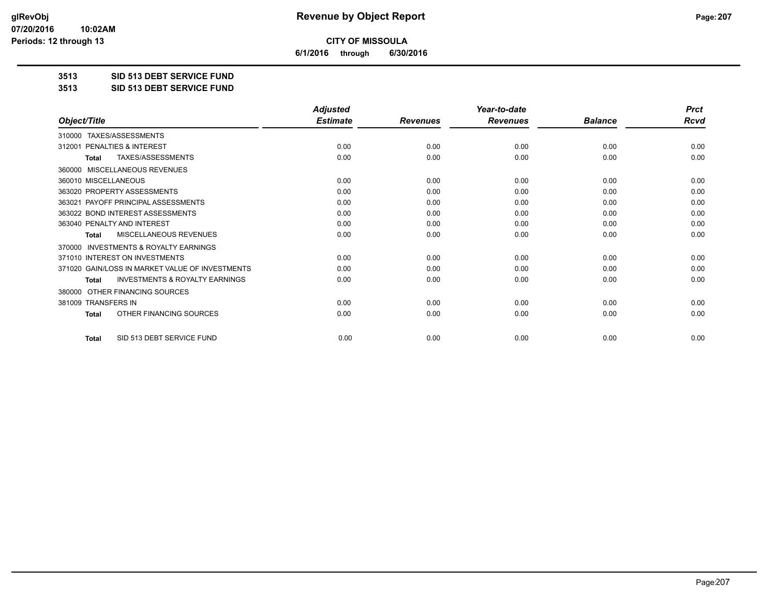**6/1/2016 through 6/30/2016**

**3513 SID 513 DEBT SERVICE FUND**

**3513 SID 513 DEBT SERVICE FUND**

|                                                           | <b>Adjusted</b> |                 | Year-to-date    |                | <b>Prct</b> |
|-----------------------------------------------------------|-----------------|-----------------|-----------------|----------------|-------------|
| Object/Title                                              | <b>Estimate</b> | <b>Revenues</b> | <b>Revenues</b> | <b>Balance</b> | <b>Rcvd</b> |
| TAXES/ASSESSMENTS<br>310000                               |                 |                 |                 |                |             |
| 312001 PENALTIES & INTEREST                               | 0.00            | 0.00            | 0.00            | 0.00           | 0.00        |
| TAXES/ASSESSMENTS<br><b>Total</b>                         | 0.00            | 0.00            | 0.00            | 0.00           | 0.00        |
| <b>MISCELLANEOUS REVENUES</b><br>360000                   |                 |                 |                 |                |             |
| 360010 MISCELLANEOUS                                      | 0.00            | 0.00            | 0.00            | 0.00           | 0.00        |
| 363020 PROPERTY ASSESSMENTS                               | 0.00            | 0.00            | 0.00            | 0.00           | 0.00        |
| 363021 PAYOFF PRINCIPAL ASSESSMENTS                       | 0.00            | 0.00            | 0.00            | 0.00           | 0.00        |
| 363022 BOND INTEREST ASSESSMENTS                          | 0.00            | 0.00            | 0.00            | 0.00           | 0.00        |
| 363040 PENALTY AND INTEREST                               | 0.00            | 0.00            | 0.00            | 0.00           | 0.00        |
| MISCELLANEOUS REVENUES<br><b>Total</b>                    | 0.00            | 0.00            | 0.00            | 0.00           | 0.00        |
| <b>INVESTMENTS &amp; ROYALTY EARNINGS</b><br>370000       |                 |                 |                 |                |             |
| 371010 INTEREST ON INVESTMENTS                            | 0.00            | 0.00            | 0.00            | 0.00           | 0.00        |
| 371020 GAIN/LOSS IN MARKET VALUE OF INVESTMENTS           | 0.00            | 0.00            | 0.00            | 0.00           | 0.00        |
| <b>INVESTMENTS &amp; ROYALTY EARNINGS</b><br><b>Total</b> | 0.00            | 0.00            | 0.00            | 0.00           | 0.00        |
| OTHER FINANCING SOURCES<br>380000                         |                 |                 |                 |                |             |
| 381009 TRANSFERS IN                                       | 0.00            | 0.00            | 0.00            | 0.00           | 0.00        |
| OTHER FINANCING SOURCES<br><b>Total</b>                   | 0.00            | 0.00            | 0.00            | 0.00           | 0.00        |
| SID 513 DEBT SERVICE FUND<br><b>Total</b>                 | 0.00            | 0.00            | 0.00            | 0.00           | 0.00        |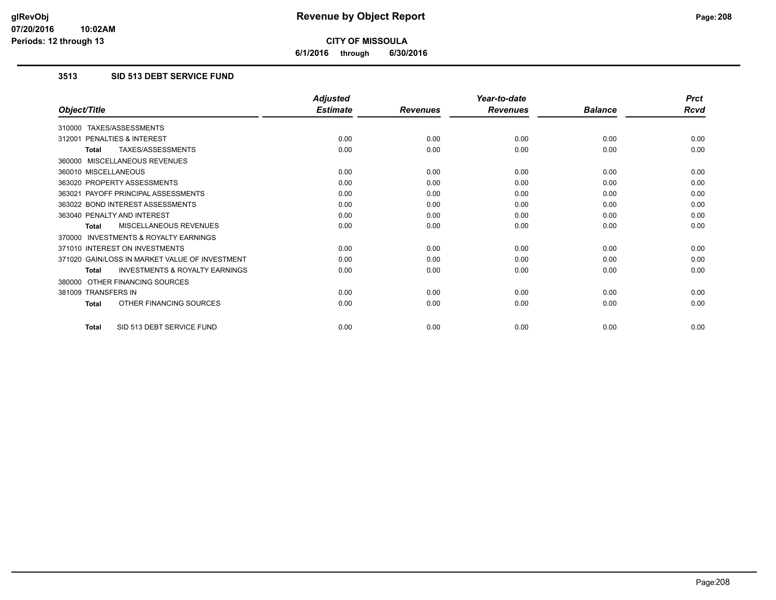**6/1/2016 through 6/30/2016**

# **3513 SID 513 DEBT SERVICE FUND**

|                                                           | <b>Adjusted</b> |                 | Year-to-date    |                | <b>Prct</b> |
|-----------------------------------------------------------|-----------------|-----------------|-----------------|----------------|-------------|
| Object/Title                                              | <b>Estimate</b> | <b>Revenues</b> | <b>Revenues</b> | <b>Balance</b> | <b>Rcvd</b> |
| 310000 TAXES/ASSESSMENTS                                  |                 |                 |                 |                |             |
| 312001 PENALTIES & INTEREST                               | 0.00            | 0.00            | 0.00            | 0.00           | 0.00        |
| TAXES/ASSESSMENTS<br><b>Total</b>                         | 0.00            | 0.00            | 0.00            | 0.00           | 0.00        |
| 360000 MISCELLANEOUS REVENUES                             |                 |                 |                 |                |             |
| 360010 MISCELLANEOUS                                      | 0.00            | 0.00            | 0.00            | 0.00           | 0.00        |
| 363020 PROPERTY ASSESSMENTS                               | 0.00            | 0.00            | 0.00            | 0.00           | 0.00        |
| 363021 PAYOFF PRINCIPAL ASSESSMENTS                       | 0.00            | 0.00            | 0.00            | 0.00           | 0.00        |
| 363022 BOND INTEREST ASSESSMENTS                          | 0.00            | 0.00            | 0.00            | 0.00           | 0.00        |
| 363040 PENALTY AND INTEREST                               | 0.00            | 0.00            | 0.00            | 0.00           | 0.00        |
| MISCELLANEOUS REVENUES<br><b>Total</b>                    | 0.00            | 0.00            | 0.00            | 0.00           | 0.00        |
| <b>INVESTMENTS &amp; ROYALTY EARNINGS</b><br>370000       |                 |                 |                 |                |             |
| 371010 INTEREST ON INVESTMENTS                            | 0.00            | 0.00            | 0.00            | 0.00           | 0.00        |
| 371020 GAIN/LOSS IN MARKET VALUE OF INVESTMENT            | 0.00            | 0.00            | 0.00            | 0.00           | 0.00        |
| <b>INVESTMENTS &amp; ROYALTY EARNINGS</b><br><b>Total</b> | 0.00            | 0.00            | 0.00            | 0.00           | 0.00        |
| 380000 OTHER FINANCING SOURCES                            |                 |                 |                 |                |             |
| 381009 TRANSFERS IN                                       | 0.00            | 0.00            | 0.00            | 0.00           | 0.00        |
| OTHER FINANCING SOURCES<br><b>Total</b>                   | 0.00            | 0.00            | 0.00            | 0.00           | 0.00        |
| SID 513 DEBT SERVICE FUND<br>Total                        | 0.00            | 0.00            | 0.00            | 0.00           | 0.00        |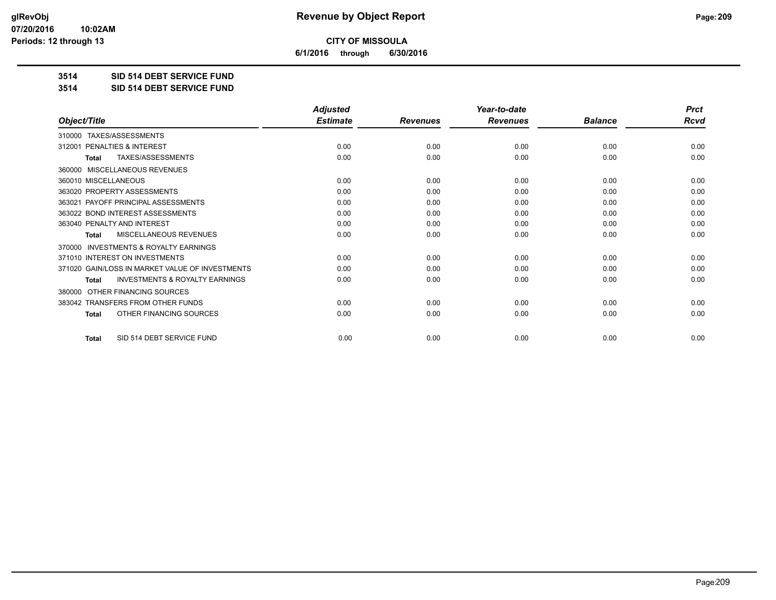**6/1/2016 through 6/30/2016**

**3514 SID 514 DEBT SERVICE FUND**

**3514 SID 514 DEBT SERVICE FUND**

|                                                           | <b>Adjusted</b> |                 | Year-to-date    |                | <b>Prct</b> |
|-----------------------------------------------------------|-----------------|-----------------|-----------------|----------------|-------------|
| Object/Title                                              | <b>Estimate</b> | <b>Revenues</b> | <b>Revenues</b> | <b>Balance</b> | <b>Rcvd</b> |
| TAXES/ASSESSMENTS<br>310000                               |                 |                 |                 |                |             |
| 312001 PENALTIES & INTEREST                               | 0.00            | 0.00            | 0.00            | 0.00           | 0.00        |
| <b>TAXES/ASSESSMENTS</b><br><b>Total</b>                  | 0.00            | 0.00            | 0.00            | 0.00           | 0.00        |
| <b>MISCELLANEOUS REVENUES</b><br>360000                   |                 |                 |                 |                |             |
| 360010 MISCELLANEOUS                                      | 0.00            | 0.00            | 0.00            | 0.00           | 0.00        |
| 363020 PROPERTY ASSESSMENTS                               | 0.00            | 0.00            | 0.00            | 0.00           | 0.00        |
| 363021 PAYOFF PRINCIPAL ASSESSMENTS                       | 0.00            | 0.00            | 0.00            | 0.00           | 0.00        |
| 363022 BOND INTEREST ASSESSMENTS                          | 0.00            | 0.00            | 0.00            | 0.00           | 0.00        |
| 363040 PENALTY AND INTEREST                               | 0.00            | 0.00            | 0.00            | 0.00           | 0.00        |
| <b>MISCELLANEOUS REVENUES</b><br><b>Total</b>             | 0.00            | 0.00            | 0.00            | 0.00           | 0.00        |
| <b>INVESTMENTS &amp; ROYALTY EARNINGS</b><br>370000       |                 |                 |                 |                |             |
| 371010 INTEREST ON INVESTMENTS                            | 0.00            | 0.00            | 0.00            | 0.00           | 0.00        |
| 371020 GAIN/LOSS IN MARKET VALUE OF INVESTMENTS           | 0.00            | 0.00            | 0.00            | 0.00           | 0.00        |
| <b>INVESTMENTS &amp; ROYALTY EARNINGS</b><br><b>Total</b> | 0.00            | 0.00            | 0.00            | 0.00           | 0.00        |
| OTHER FINANCING SOURCES<br>380000                         |                 |                 |                 |                |             |
| 383042 TRANSFERS FROM OTHER FUNDS                         | 0.00            | 0.00            | 0.00            | 0.00           | 0.00        |
| OTHER FINANCING SOURCES<br><b>Total</b>                   | 0.00            | 0.00            | 0.00            | 0.00           | 0.00        |
| SID 514 DEBT SERVICE FUND<br><b>Total</b>                 | 0.00            | 0.00            | 0.00            | 0.00           | 0.00        |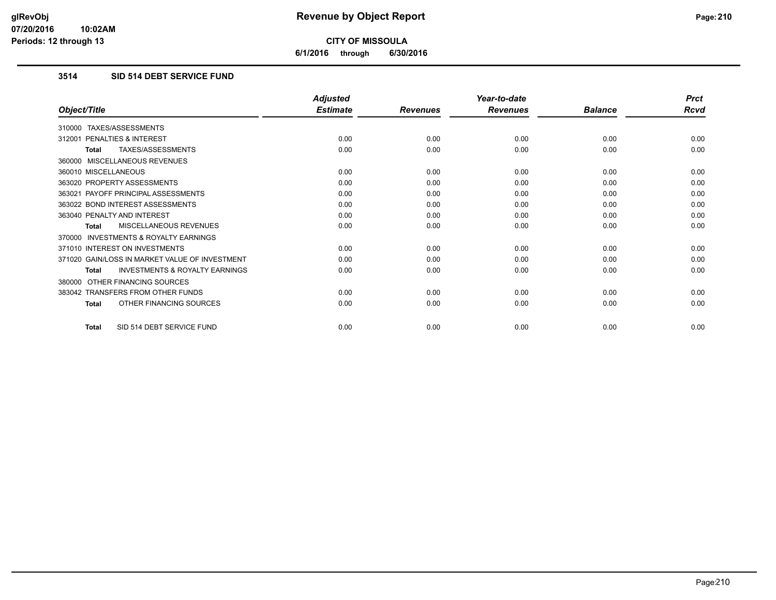**6/1/2016 through 6/30/2016**

# **3514 SID 514 DEBT SERVICE FUND**

|                                                           | <b>Adjusted</b> |                 | Year-to-date    |                | <b>Prct</b> |
|-----------------------------------------------------------|-----------------|-----------------|-----------------|----------------|-------------|
| Object/Title                                              | <b>Estimate</b> | <b>Revenues</b> | <b>Revenues</b> | <b>Balance</b> | <b>Rcvd</b> |
| 310000 TAXES/ASSESSMENTS                                  |                 |                 |                 |                |             |
| PENALTIES & INTEREST<br>312001                            | 0.00            | 0.00            | 0.00            | 0.00           | 0.00        |
| TAXES/ASSESSMENTS<br><b>Total</b>                         | 0.00            | 0.00            | 0.00            | 0.00           | 0.00        |
| 360000 MISCELLANEOUS REVENUES                             |                 |                 |                 |                |             |
| 360010 MISCELLANEOUS                                      | 0.00            | 0.00            | 0.00            | 0.00           | 0.00        |
| 363020 PROPERTY ASSESSMENTS                               | 0.00            | 0.00            | 0.00            | 0.00           | 0.00        |
| 363021 PAYOFF PRINCIPAL ASSESSMENTS                       | 0.00            | 0.00            | 0.00            | 0.00           | 0.00        |
| 363022 BOND INTEREST ASSESSMENTS                          | 0.00            | 0.00            | 0.00            | 0.00           | 0.00        |
| 363040 PENALTY AND INTEREST                               | 0.00            | 0.00            | 0.00            | 0.00           | 0.00        |
| <b>MISCELLANEOUS REVENUES</b><br><b>Total</b>             | 0.00            | 0.00            | 0.00            | 0.00           | 0.00        |
| 370000 INVESTMENTS & ROYALTY EARNINGS                     |                 |                 |                 |                |             |
| 371010 INTEREST ON INVESTMENTS                            | 0.00            | 0.00            | 0.00            | 0.00           | 0.00        |
| 371020 GAIN/LOSS IN MARKET VALUE OF INVESTMENT            | 0.00            | 0.00            | 0.00            | 0.00           | 0.00        |
| <b>INVESTMENTS &amp; ROYALTY EARNINGS</b><br><b>Total</b> | 0.00            | 0.00            | 0.00            | 0.00           | 0.00        |
| 380000 OTHER FINANCING SOURCES                            |                 |                 |                 |                |             |
| 383042 TRANSFERS FROM OTHER FUNDS                         | 0.00            | 0.00            | 0.00            | 0.00           | 0.00        |
| OTHER FINANCING SOURCES<br><b>Total</b>                   | 0.00            | 0.00            | 0.00            | 0.00           | 0.00        |
| SID 514 DEBT SERVICE FUND<br><b>Total</b>                 | 0.00            | 0.00            | 0.00            | 0.00           | 0.00        |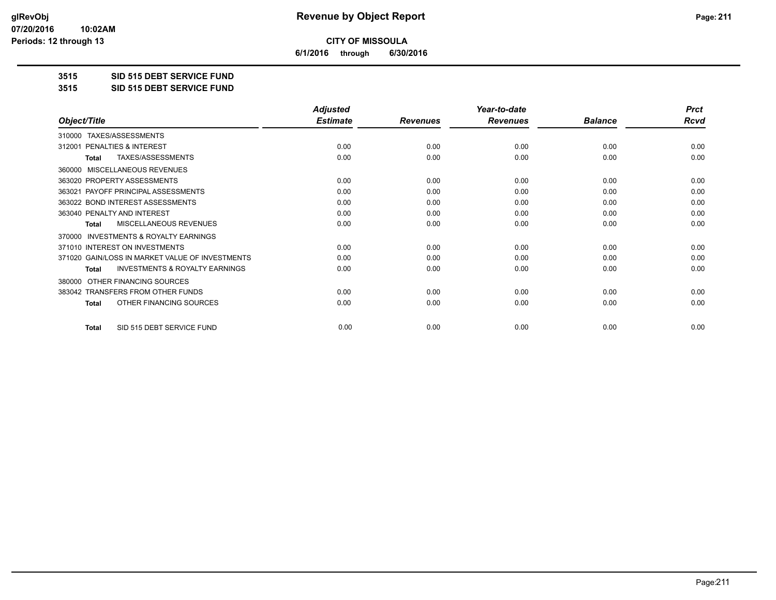**6/1/2016 through 6/30/2016**

**3515 SID 515 DEBT SERVICE FUND**

**3515 SID 515 DEBT SERVICE FUND**

|                                                           | <b>Adjusted</b> |                 | Year-to-date    |                | <b>Prct</b> |
|-----------------------------------------------------------|-----------------|-----------------|-----------------|----------------|-------------|
| Object/Title                                              | <b>Estimate</b> | <b>Revenues</b> | <b>Revenues</b> | <b>Balance</b> | <b>Rcvd</b> |
| TAXES/ASSESSMENTS<br>310000                               |                 |                 |                 |                |             |
| PENALTIES & INTEREST<br>312001                            | 0.00            | 0.00            | 0.00            | 0.00           | 0.00        |
| TAXES/ASSESSMENTS<br><b>Total</b>                         | 0.00            | 0.00            | 0.00            | 0.00           | 0.00        |
| MISCELLANEOUS REVENUES<br>360000                          |                 |                 |                 |                |             |
| 363020 PROPERTY ASSESSMENTS                               | 0.00            | 0.00            | 0.00            | 0.00           | 0.00        |
| PAYOFF PRINCIPAL ASSESSMENTS<br>363021                    | 0.00            | 0.00            | 0.00            | 0.00           | 0.00        |
| 363022 BOND INTEREST ASSESSMENTS                          | 0.00            | 0.00            | 0.00            | 0.00           | 0.00        |
| 363040 PENALTY AND INTEREST                               | 0.00            | 0.00            | 0.00            | 0.00           | 0.00        |
| MISCELLANEOUS REVENUES<br><b>Total</b>                    | 0.00            | 0.00            | 0.00            | 0.00           | 0.00        |
| <b>INVESTMENTS &amp; ROYALTY EARNINGS</b><br>370000       |                 |                 |                 |                |             |
| 371010 INTEREST ON INVESTMENTS                            | 0.00            | 0.00            | 0.00            | 0.00           | 0.00        |
| 371020 GAIN/LOSS IN MARKET VALUE OF INVESTMENTS           | 0.00            | 0.00            | 0.00            | 0.00           | 0.00        |
| <b>INVESTMENTS &amp; ROYALTY EARNINGS</b><br><b>Total</b> | 0.00            | 0.00            | 0.00            | 0.00           | 0.00        |
| OTHER FINANCING SOURCES<br>380000                         |                 |                 |                 |                |             |
| 383042 TRANSFERS FROM OTHER FUNDS                         | 0.00            | 0.00            | 0.00            | 0.00           | 0.00        |
| OTHER FINANCING SOURCES<br><b>Total</b>                   | 0.00            | 0.00            | 0.00            | 0.00           | 0.00        |
|                                                           |                 |                 |                 |                |             |
| SID 515 DEBT SERVICE FUND<br><b>Total</b>                 | 0.00            | 0.00            | 0.00            | 0.00           | 0.00        |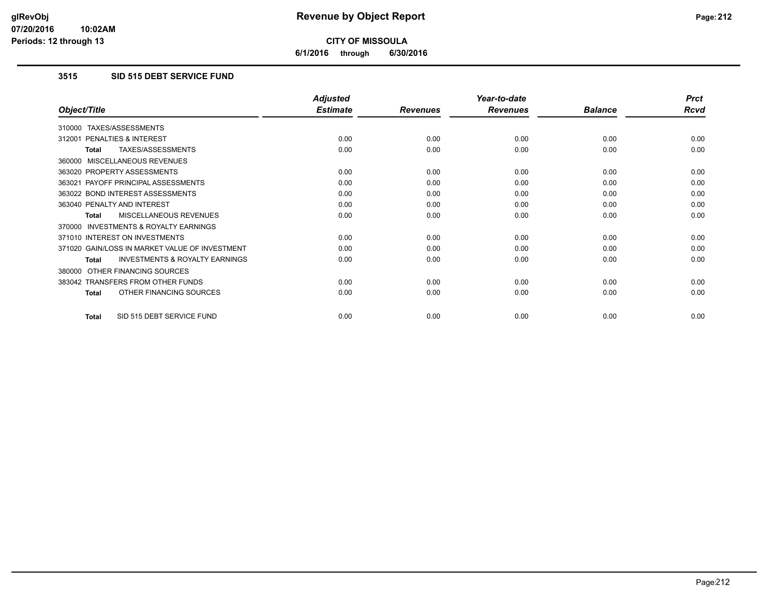**6/1/2016 through 6/30/2016**

# **3515 SID 515 DEBT SERVICE FUND**

|                                                           | <b>Adjusted</b> |                 | Year-to-date    |                | <b>Prct</b> |
|-----------------------------------------------------------|-----------------|-----------------|-----------------|----------------|-------------|
| Object/Title                                              | <b>Estimate</b> | <b>Revenues</b> | <b>Revenues</b> | <b>Balance</b> | <b>Rcvd</b> |
| TAXES/ASSESSMENTS<br>310000                               |                 |                 |                 |                |             |
| 312001 PENALTIES & INTEREST                               | 0.00            | 0.00            | 0.00            | 0.00           | 0.00        |
| TAXES/ASSESSMENTS<br><b>Total</b>                         | 0.00            | 0.00            | 0.00            | 0.00           | 0.00        |
| MISCELLANEOUS REVENUES<br>360000                          |                 |                 |                 |                |             |
| 363020 PROPERTY ASSESSMENTS                               | 0.00            | 0.00            | 0.00            | 0.00           | 0.00        |
| 363021 PAYOFF PRINCIPAL ASSESSMENTS                       | 0.00            | 0.00            | 0.00            | 0.00           | 0.00        |
| 363022 BOND INTEREST ASSESSMENTS                          | 0.00            | 0.00            | 0.00            | 0.00           | 0.00        |
| 363040 PENALTY AND INTEREST                               | 0.00            | 0.00            | 0.00            | 0.00           | 0.00        |
| MISCELLANEOUS REVENUES<br><b>Total</b>                    | 0.00            | 0.00            | 0.00            | 0.00           | 0.00        |
| <b>INVESTMENTS &amp; ROYALTY EARNINGS</b><br>370000       |                 |                 |                 |                |             |
| 371010 INTEREST ON INVESTMENTS                            | 0.00            | 0.00            | 0.00            | 0.00           | 0.00        |
| 371020 GAIN/LOSS IN MARKET VALUE OF INVESTMENT            | 0.00            | 0.00            | 0.00            | 0.00           | 0.00        |
| <b>INVESTMENTS &amp; ROYALTY EARNINGS</b><br><b>Total</b> | 0.00            | 0.00            | 0.00            | 0.00           | 0.00        |
| OTHER FINANCING SOURCES<br>380000                         |                 |                 |                 |                |             |
| 383042 TRANSFERS FROM OTHER FUNDS                         | 0.00            | 0.00            | 0.00            | 0.00           | 0.00        |
| OTHER FINANCING SOURCES<br><b>Total</b>                   | 0.00            | 0.00            | 0.00            | 0.00           | 0.00        |
| SID 515 DEBT SERVICE FUND<br>Total                        | 0.00            | 0.00            | 0.00            | 0.00           | 0.00        |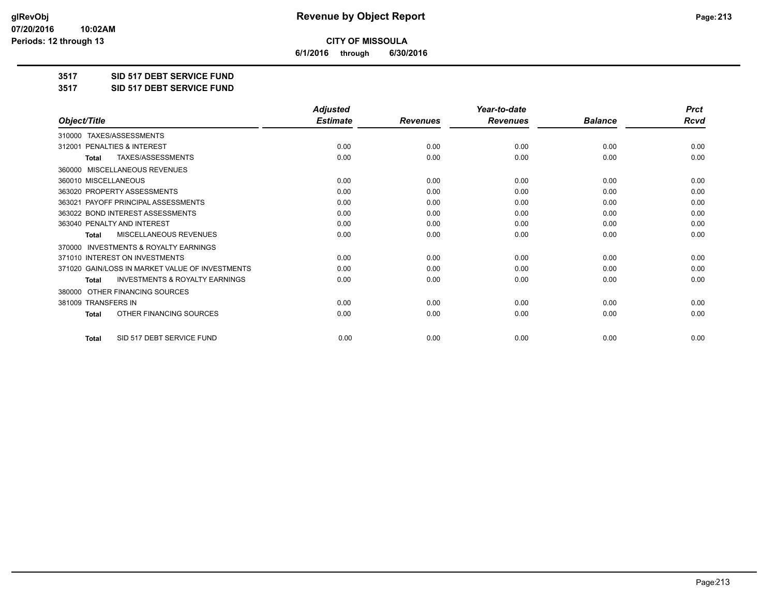**6/1/2016 through 6/30/2016**

**3517 SID 517 DEBT SERVICE FUND**

**3517 SID 517 DEBT SERVICE FUND**

|                                                           | <b>Adjusted</b> |                 | Year-to-date    |                | <b>Prct</b> |
|-----------------------------------------------------------|-----------------|-----------------|-----------------|----------------|-------------|
| Object/Title                                              | <b>Estimate</b> | <b>Revenues</b> | <b>Revenues</b> | <b>Balance</b> | <b>Rcvd</b> |
| 310000 TAXES/ASSESSMENTS                                  |                 |                 |                 |                |             |
| PENALTIES & INTEREST<br>312001                            | 0.00            | 0.00            | 0.00            | 0.00           | 0.00        |
| TAXES/ASSESSMENTS<br><b>Total</b>                         | 0.00            | 0.00            | 0.00            | 0.00           | 0.00        |
| MISCELLANEOUS REVENUES<br>360000                          |                 |                 |                 |                |             |
| 360010 MISCELLANEOUS                                      | 0.00            | 0.00            | 0.00            | 0.00           | 0.00        |
| 363020 PROPERTY ASSESSMENTS                               | 0.00            | 0.00            | 0.00            | 0.00           | 0.00        |
| PAYOFF PRINCIPAL ASSESSMENTS<br>363021                    | 0.00            | 0.00            | 0.00            | 0.00           | 0.00        |
| 363022 BOND INTEREST ASSESSMENTS                          | 0.00            | 0.00            | 0.00            | 0.00           | 0.00        |
| 363040 PENALTY AND INTEREST                               | 0.00            | 0.00            | 0.00            | 0.00           | 0.00        |
| <b>MISCELLANEOUS REVENUES</b><br><b>Total</b>             | 0.00            | 0.00            | 0.00            | 0.00           | 0.00        |
| <b>INVESTMENTS &amp; ROYALTY EARNINGS</b><br>370000       |                 |                 |                 |                |             |
| 371010 INTEREST ON INVESTMENTS                            | 0.00            | 0.00            | 0.00            | 0.00           | 0.00        |
| 371020 GAIN/LOSS IN MARKET VALUE OF INVESTMENTS           | 0.00            | 0.00            | 0.00            | 0.00           | 0.00        |
| <b>INVESTMENTS &amp; ROYALTY EARNINGS</b><br><b>Total</b> | 0.00            | 0.00            | 0.00            | 0.00           | 0.00        |
| OTHER FINANCING SOURCES<br>380000                         |                 |                 |                 |                |             |
| 381009 TRANSFERS IN                                       | 0.00            | 0.00            | 0.00            | 0.00           | 0.00        |
| OTHER FINANCING SOURCES<br><b>Total</b>                   | 0.00            | 0.00            | 0.00            | 0.00           | 0.00        |
| SID 517 DEBT SERVICE FUND<br><b>Total</b>                 | 0.00            | 0.00            | 0.00            | 0.00           | 0.00        |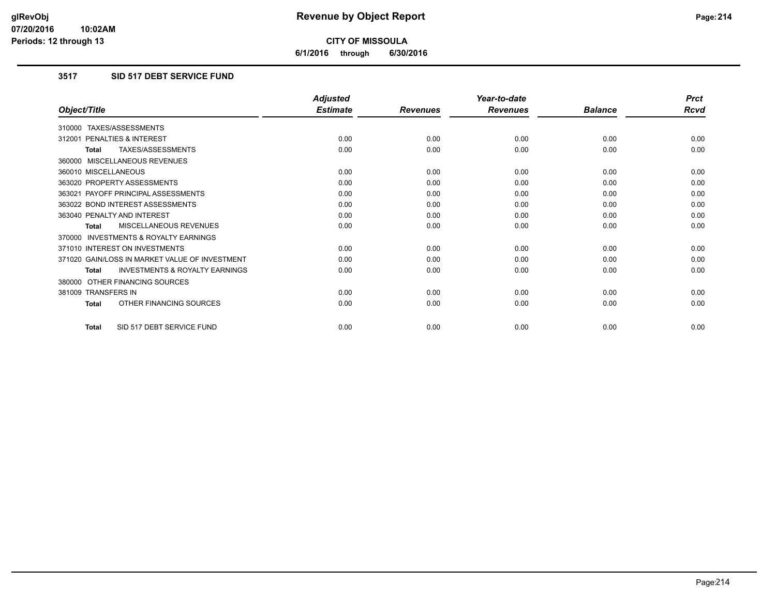**6/1/2016 through 6/30/2016**

# **3517 SID 517 DEBT SERVICE FUND**

|                                                           | <b>Adjusted</b> |                 | Year-to-date    |                | <b>Prct</b> |
|-----------------------------------------------------------|-----------------|-----------------|-----------------|----------------|-------------|
| Object/Title                                              | <b>Estimate</b> | <b>Revenues</b> | <b>Revenues</b> | <b>Balance</b> | <b>Rcvd</b> |
| 310000 TAXES/ASSESSMENTS                                  |                 |                 |                 |                |             |
| PENALTIES & INTEREST<br>312001                            | 0.00            | 0.00            | 0.00            | 0.00           | 0.00        |
| TAXES/ASSESSMENTS<br><b>Total</b>                         | 0.00            | 0.00            | 0.00            | 0.00           | 0.00        |
| 360000 MISCELLANEOUS REVENUES                             |                 |                 |                 |                |             |
| 360010 MISCELLANEOUS                                      | 0.00            | 0.00            | 0.00            | 0.00           | 0.00        |
| 363020 PROPERTY ASSESSMENTS                               | 0.00            | 0.00            | 0.00            | 0.00           | 0.00        |
| 363021 PAYOFF PRINCIPAL ASSESSMENTS                       | 0.00            | 0.00            | 0.00            | 0.00           | 0.00        |
| 363022 BOND INTEREST ASSESSMENTS                          | 0.00            | 0.00            | 0.00            | 0.00           | 0.00        |
| 363040 PENALTY AND INTEREST                               | 0.00            | 0.00            | 0.00            | 0.00           | 0.00        |
| <b>MISCELLANEOUS REVENUES</b><br><b>Total</b>             | 0.00            | 0.00            | 0.00            | 0.00           | 0.00        |
| 370000 INVESTMENTS & ROYALTY EARNINGS                     |                 |                 |                 |                |             |
| 371010 INTEREST ON INVESTMENTS                            | 0.00            | 0.00            | 0.00            | 0.00           | 0.00        |
| 371020 GAIN/LOSS IN MARKET VALUE OF INVESTMENT            | 0.00            | 0.00            | 0.00            | 0.00           | 0.00        |
| <b>INVESTMENTS &amp; ROYALTY EARNINGS</b><br><b>Total</b> | 0.00            | 0.00            | 0.00            | 0.00           | 0.00        |
| 380000 OTHER FINANCING SOURCES                            |                 |                 |                 |                |             |
| 381009 TRANSFERS IN                                       | 0.00            | 0.00            | 0.00            | 0.00           | 0.00        |
| OTHER FINANCING SOURCES<br><b>Total</b>                   | 0.00            | 0.00            | 0.00            | 0.00           | 0.00        |
| SID 517 DEBT SERVICE FUND<br><b>Total</b>                 | 0.00            | 0.00            | 0.00            | 0.00           | 0.00        |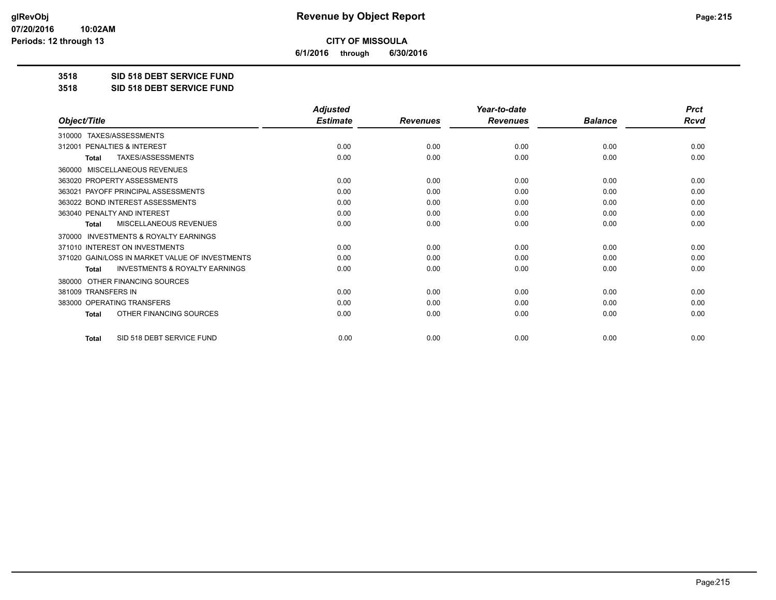**6/1/2016 through 6/30/2016**

**3518 SID 518 DEBT SERVICE FUND**

**3518 SID 518 DEBT SERVICE FUND**

|                                                           | <b>Adjusted</b> |                 | Year-to-date    |                | <b>Prct</b> |
|-----------------------------------------------------------|-----------------|-----------------|-----------------|----------------|-------------|
| Object/Title                                              | <b>Estimate</b> | <b>Revenues</b> | <b>Revenues</b> | <b>Balance</b> | <b>Rcvd</b> |
| 310000 TAXES/ASSESSMENTS                                  |                 |                 |                 |                |             |
| PENALTIES & INTEREST<br>312001                            | 0.00            | 0.00            | 0.00            | 0.00           | 0.00        |
| <b>TAXES/ASSESSMENTS</b><br><b>Total</b>                  | 0.00            | 0.00            | 0.00            | 0.00           | 0.00        |
| <b>MISCELLANEOUS REVENUES</b><br>360000                   |                 |                 |                 |                |             |
| 363020 PROPERTY ASSESSMENTS                               | 0.00            | 0.00            | 0.00            | 0.00           | 0.00        |
| 363021 PAYOFF PRINCIPAL ASSESSMENTS                       | 0.00            | 0.00            | 0.00            | 0.00           | 0.00        |
| 363022 BOND INTEREST ASSESSMENTS                          | 0.00            | 0.00            | 0.00            | 0.00           | 0.00        |
| 363040 PENALTY AND INTEREST                               | 0.00            | 0.00            | 0.00            | 0.00           | 0.00        |
| <b>MISCELLANEOUS REVENUES</b><br><b>Total</b>             | 0.00            | 0.00            | 0.00            | 0.00           | 0.00        |
| <b>INVESTMENTS &amp; ROYALTY EARNINGS</b><br>370000       |                 |                 |                 |                |             |
| 371010 INTEREST ON INVESTMENTS                            | 0.00            | 0.00            | 0.00            | 0.00           | 0.00        |
| 371020 GAIN/LOSS IN MARKET VALUE OF INVESTMENTS           | 0.00            | 0.00            | 0.00            | 0.00           | 0.00        |
| <b>INVESTMENTS &amp; ROYALTY EARNINGS</b><br><b>Total</b> | 0.00            | 0.00            | 0.00            | 0.00           | 0.00        |
| OTHER FINANCING SOURCES<br>380000                         |                 |                 |                 |                |             |
| 381009 TRANSFERS IN                                       | 0.00            | 0.00            | 0.00            | 0.00           | 0.00        |
| 383000 OPERATING TRANSFERS                                | 0.00            | 0.00            | 0.00            | 0.00           | 0.00        |
| OTHER FINANCING SOURCES<br><b>Total</b>                   | 0.00            | 0.00            | 0.00            | 0.00           | 0.00        |
| SID 518 DEBT SERVICE FUND<br><b>Total</b>                 | 0.00            | 0.00            | 0.00            | 0.00           | 0.00        |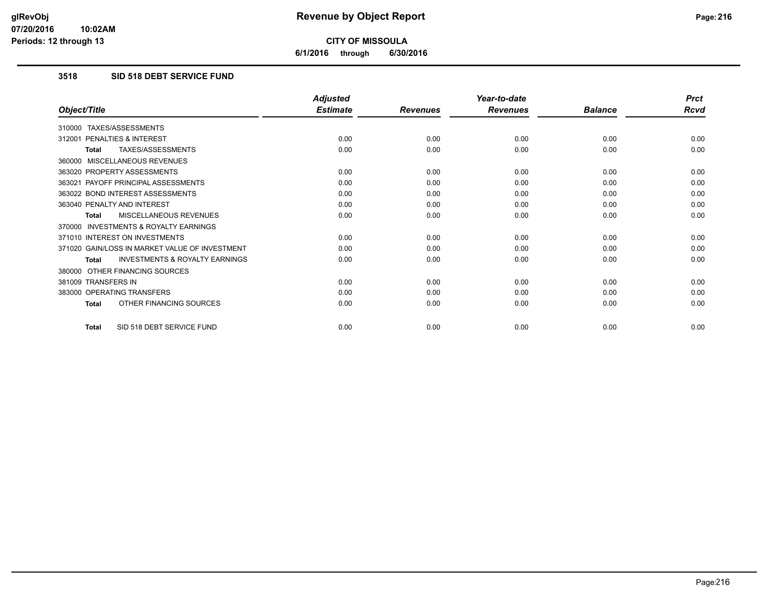**6/1/2016 through 6/30/2016**

# **3518 SID 518 DEBT SERVICE FUND**

|                                                           | <b>Adjusted</b> |                 | Year-to-date    |                | <b>Prct</b> |
|-----------------------------------------------------------|-----------------|-----------------|-----------------|----------------|-------------|
| Object/Title                                              | <b>Estimate</b> | <b>Revenues</b> | <b>Revenues</b> | <b>Balance</b> | <b>Rcvd</b> |
| 310000 TAXES/ASSESSMENTS                                  |                 |                 |                 |                |             |
| 312001 PENALTIES & INTEREST                               | 0.00            | 0.00            | 0.00            | 0.00           | 0.00        |
| <b>TAXES/ASSESSMENTS</b><br><b>Total</b>                  | 0.00            | 0.00            | 0.00            | 0.00           | 0.00        |
| 360000 MISCELLANEOUS REVENUES                             |                 |                 |                 |                |             |
| 363020 PROPERTY ASSESSMENTS                               | 0.00            | 0.00            | 0.00            | 0.00           | 0.00        |
| 363021 PAYOFF PRINCIPAL ASSESSMENTS                       | 0.00            | 0.00            | 0.00            | 0.00           | 0.00        |
| 363022 BOND INTEREST ASSESSMENTS                          | 0.00            | 0.00            | 0.00            | 0.00           | 0.00        |
| 363040 PENALTY AND INTEREST                               | 0.00            | 0.00            | 0.00            | 0.00           | 0.00        |
| MISCELLANEOUS REVENUES<br>Total                           | 0.00            | 0.00            | 0.00            | 0.00           | 0.00        |
| <b>INVESTMENTS &amp; ROYALTY EARNINGS</b><br>370000       |                 |                 |                 |                |             |
| 371010 INTEREST ON INVESTMENTS                            | 0.00            | 0.00            | 0.00            | 0.00           | 0.00        |
| 371020 GAIN/LOSS IN MARKET VALUE OF INVESTMENT            | 0.00            | 0.00            | 0.00            | 0.00           | 0.00        |
| <b>INVESTMENTS &amp; ROYALTY EARNINGS</b><br><b>Total</b> | 0.00            | 0.00            | 0.00            | 0.00           | 0.00        |
| 380000 OTHER FINANCING SOURCES                            |                 |                 |                 |                |             |
| 381009 TRANSFERS IN                                       | 0.00            | 0.00            | 0.00            | 0.00           | 0.00        |
| 383000 OPERATING TRANSFERS                                | 0.00            | 0.00            | 0.00            | 0.00           | 0.00        |
| OTHER FINANCING SOURCES<br><b>Total</b>                   | 0.00            | 0.00            | 0.00            | 0.00           | 0.00        |
| SID 518 DEBT SERVICE FUND<br><b>Total</b>                 | 0.00            | 0.00            | 0.00            | 0.00           | 0.00        |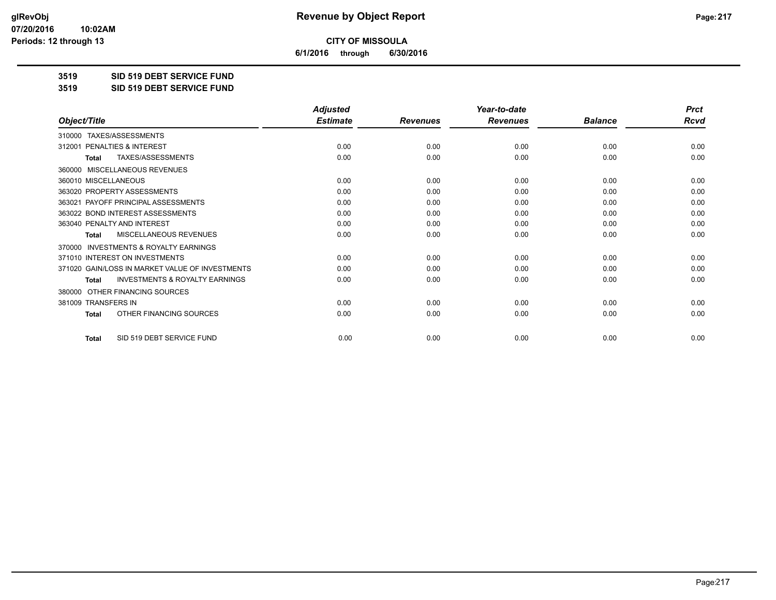**6/1/2016 through 6/30/2016**

**3519 SID 519 DEBT SERVICE FUND**

**3519 SID 519 DEBT SERVICE FUND**

|                                                           | <b>Adjusted</b> |                 | Year-to-date    |                | <b>Prct</b> |
|-----------------------------------------------------------|-----------------|-----------------|-----------------|----------------|-------------|
| Object/Title                                              | <b>Estimate</b> | <b>Revenues</b> | <b>Revenues</b> | <b>Balance</b> | <b>Rcvd</b> |
| 310000 TAXES/ASSESSMENTS                                  |                 |                 |                 |                |             |
| 312001 PENALTIES & INTEREST                               | 0.00            | 0.00            | 0.00            | 0.00           | 0.00        |
| <b>TAXES/ASSESSMENTS</b><br><b>Total</b>                  | 0.00            | 0.00            | 0.00            | 0.00           | 0.00        |
| MISCELLANEOUS REVENUES<br>360000                          |                 |                 |                 |                |             |
| 360010 MISCELLANEOUS                                      | 0.00            | 0.00            | 0.00            | 0.00           | 0.00        |
| 363020 PROPERTY ASSESSMENTS                               | 0.00            | 0.00            | 0.00            | 0.00           | 0.00        |
| 363021 PAYOFF PRINCIPAL ASSESSMENTS                       | 0.00            | 0.00            | 0.00            | 0.00           | 0.00        |
| 363022 BOND INTEREST ASSESSMENTS                          | 0.00            | 0.00            | 0.00            | 0.00           | 0.00        |
| 363040 PENALTY AND INTEREST                               | 0.00            | 0.00            | 0.00            | 0.00           | 0.00        |
| <b>MISCELLANEOUS REVENUES</b><br><b>Total</b>             | 0.00            | 0.00            | 0.00            | 0.00           | 0.00        |
| <b>INVESTMENTS &amp; ROYALTY EARNINGS</b><br>370000       |                 |                 |                 |                |             |
| 371010 INTEREST ON INVESTMENTS                            | 0.00            | 0.00            | 0.00            | 0.00           | 0.00        |
| 371020 GAIN/LOSS IN MARKET VALUE OF INVESTMENTS           | 0.00            | 0.00            | 0.00            | 0.00           | 0.00        |
| <b>INVESTMENTS &amp; ROYALTY EARNINGS</b><br><b>Total</b> | 0.00            | 0.00            | 0.00            | 0.00           | 0.00        |
| OTHER FINANCING SOURCES<br>380000                         |                 |                 |                 |                |             |
| 381009 TRANSFERS IN                                       | 0.00            | 0.00            | 0.00            | 0.00           | 0.00        |
| OTHER FINANCING SOURCES<br><b>Total</b>                   | 0.00            | 0.00            | 0.00            | 0.00           | 0.00        |
| SID 519 DEBT SERVICE FUND<br><b>Total</b>                 | 0.00            | 0.00            | 0.00            | 0.00           | 0.00        |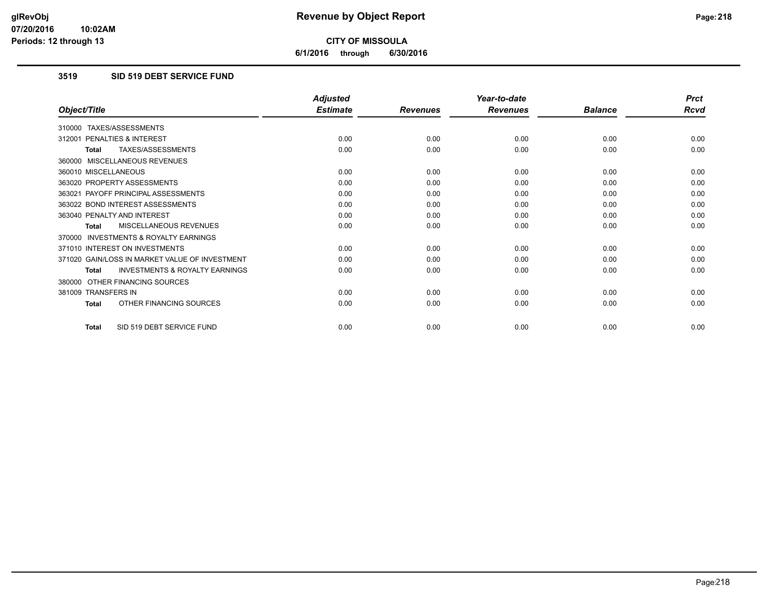**6/1/2016 through 6/30/2016**

## **3519 SID 519 DEBT SERVICE FUND**

|                                                           | <b>Adjusted</b> |                 | Year-to-date    |                | <b>Prct</b> |
|-----------------------------------------------------------|-----------------|-----------------|-----------------|----------------|-------------|
| Object/Title                                              | <b>Estimate</b> | <b>Revenues</b> | <b>Revenues</b> | <b>Balance</b> | <b>Rcvd</b> |
| 310000 TAXES/ASSESSMENTS                                  |                 |                 |                 |                |             |
| 312001 PENALTIES & INTEREST                               | 0.00            | 0.00            | 0.00            | 0.00           | 0.00        |
| <b>TAXES/ASSESSMENTS</b><br><b>Total</b>                  | 0.00            | 0.00            | 0.00            | 0.00           | 0.00        |
| 360000 MISCELLANEOUS REVENUES                             |                 |                 |                 |                |             |
| 360010 MISCELLANEOUS                                      | 0.00            | 0.00            | 0.00            | 0.00           | 0.00        |
| 363020 PROPERTY ASSESSMENTS                               | 0.00            | 0.00            | 0.00            | 0.00           | 0.00        |
| 363021 PAYOFF PRINCIPAL ASSESSMENTS                       | 0.00            | 0.00            | 0.00            | 0.00           | 0.00        |
| 363022 BOND INTEREST ASSESSMENTS                          | 0.00            | 0.00            | 0.00            | 0.00           | 0.00        |
| 363040 PENALTY AND INTEREST                               | 0.00            | 0.00            | 0.00            | 0.00           | 0.00        |
| MISCELLANEOUS REVENUES<br><b>Total</b>                    | 0.00            | 0.00            | 0.00            | 0.00           | 0.00        |
| <b>INVESTMENTS &amp; ROYALTY EARNINGS</b><br>370000       |                 |                 |                 |                |             |
| 371010 INTEREST ON INVESTMENTS                            | 0.00            | 0.00            | 0.00            | 0.00           | 0.00        |
| 371020 GAIN/LOSS IN MARKET VALUE OF INVESTMENT            | 0.00            | 0.00            | 0.00            | 0.00           | 0.00        |
| <b>INVESTMENTS &amp; ROYALTY EARNINGS</b><br><b>Total</b> | 0.00            | 0.00            | 0.00            | 0.00           | 0.00        |
| 380000 OTHER FINANCING SOURCES                            |                 |                 |                 |                |             |
| 381009 TRANSFERS IN                                       | 0.00            | 0.00            | 0.00            | 0.00           | 0.00        |
| OTHER FINANCING SOURCES<br><b>Total</b>                   | 0.00            | 0.00            | 0.00            | 0.00           | 0.00        |
| SID 519 DEBT SERVICE FUND<br>Total                        | 0.00            | 0.00            | 0.00            | 0.00           | 0.00        |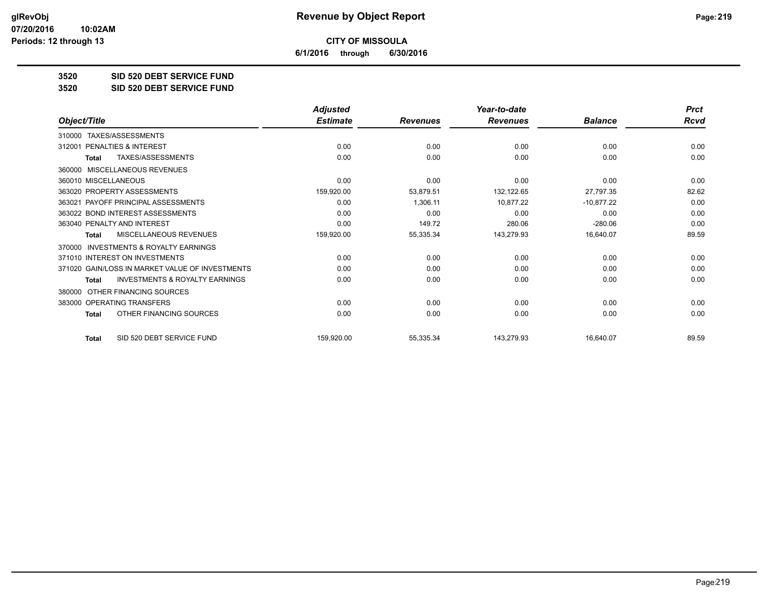**6/1/2016 through 6/30/2016**

**3520 SID 520 DEBT SERVICE FUND**

**3520 SID 520 DEBT SERVICE FUND**

|                                                           | <b>Adjusted</b> |                 | Year-to-date    |                | <b>Prct</b> |
|-----------------------------------------------------------|-----------------|-----------------|-----------------|----------------|-------------|
| Object/Title                                              | <b>Estimate</b> | <b>Revenues</b> | <b>Revenues</b> | <b>Balance</b> | <b>Rcvd</b> |
| TAXES/ASSESSMENTS<br>310000                               |                 |                 |                 |                |             |
| 312001 PENALTIES & INTEREST                               | 0.00            | 0.00            | 0.00            | 0.00           | 0.00        |
| TAXES/ASSESSMENTS<br><b>Total</b>                         | 0.00            | 0.00            | 0.00            | 0.00           | 0.00        |
| MISCELLANEOUS REVENUES<br>360000                          |                 |                 |                 |                |             |
| 360010 MISCELLANEOUS                                      | 0.00            | 0.00            | 0.00            | 0.00           | 0.00        |
| 363020 PROPERTY ASSESSMENTS                               | 159,920.00      | 53,879.51       | 132,122.65      | 27,797.35      | 82.62       |
| 363021 PAYOFF PRINCIPAL ASSESSMENTS                       | 0.00            | 1,306.11        | 10,877.22       | $-10,877.22$   | 0.00        |
| 363022 BOND INTEREST ASSESSMENTS                          | 0.00            | 0.00            | 0.00            | 0.00           | 0.00        |
| 363040 PENALTY AND INTEREST                               | 0.00            | 149.72          | 280.06          | $-280.06$      | 0.00        |
| <b>MISCELLANEOUS REVENUES</b><br><b>Total</b>             | 159,920.00      | 55,335.34       | 143,279.93      | 16,640.07      | 89.59       |
| <b>INVESTMENTS &amp; ROYALTY EARNINGS</b><br>370000       |                 |                 |                 |                |             |
| 371010 INTEREST ON INVESTMENTS                            | 0.00            | 0.00            | 0.00            | 0.00           | 0.00        |
| 371020 GAIN/LOSS IN MARKET VALUE OF INVESTMENTS           | 0.00            | 0.00            | 0.00            | 0.00           | 0.00        |
| <b>INVESTMENTS &amp; ROYALTY EARNINGS</b><br><b>Total</b> | 0.00            | 0.00            | 0.00            | 0.00           | 0.00        |
| OTHER FINANCING SOURCES<br>380000                         |                 |                 |                 |                |             |
| 383000 OPERATING TRANSFERS                                | 0.00            | 0.00            | 0.00            | 0.00           | 0.00        |
| OTHER FINANCING SOURCES<br><b>Total</b>                   | 0.00            | 0.00            | 0.00            | 0.00           | 0.00        |
| SID 520 DEBT SERVICE FUND<br><b>Total</b>                 | 159,920.00      | 55,335.34       | 143,279.93      | 16,640.07      | 89.59       |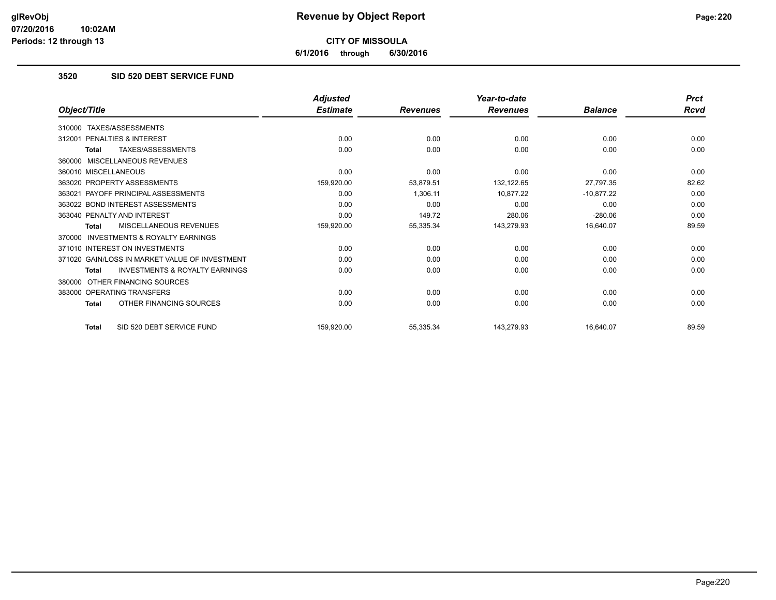**6/1/2016 through 6/30/2016**

## **3520 SID 520 DEBT SERVICE FUND**

|                                                           | <b>Adjusted</b> |                 | Year-to-date    |                | <b>Prct</b> |
|-----------------------------------------------------------|-----------------|-----------------|-----------------|----------------|-------------|
| Object/Title                                              | <b>Estimate</b> | <b>Revenues</b> | <b>Revenues</b> | <b>Balance</b> | <b>Rcvd</b> |
| TAXES/ASSESSMENTS<br>310000                               |                 |                 |                 |                |             |
| PENALTIES & INTEREST<br>312001                            | 0.00            | 0.00            | 0.00            | 0.00           | 0.00        |
| <b>TAXES/ASSESSMENTS</b><br><b>Total</b>                  | 0.00            | 0.00            | 0.00            | 0.00           | 0.00        |
| MISCELLANEOUS REVENUES<br>360000                          |                 |                 |                 |                |             |
| 360010 MISCELLANEOUS                                      | 0.00            | 0.00            | 0.00            | 0.00           | 0.00        |
| 363020 PROPERTY ASSESSMENTS                               | 159,920.00      | 53,879.51       | 132,122.65      | 27,797.35      | 82.62       |
| PAYOFF PRINCIPAL ASSESSMENTS<br>363021                    | 0.00            | 1,306.11        | 10,877.22       | $-10,877.22$   | 0.00        |
| 363022 BOND INTEREST ASSESSMENTS                          | 0.00            | 0.00            | 0.00            | 0.00           | 0.00        |
| 363040 PENALTY AND INTEREST                               | 0.00            | 149.72          | 280.06          | $-280.06$      | 0.00        |
| MISCELLANEOUS REVENUES<br>Total                           | 159,920.00      | 55,335.34       | 143,279.93      | 16,640.07      | 89.59       |
| <b>INVESTMENTS &amp; ROYALTY EARNINGS</b><br>370000       |                 |                 |                 |                |             |
| 371010 INTEREST ON INVESTMENTS                            | 0.00            | 0.00            | 0.00            | 0.00           | 0.00        |
| 371020 GAIN/LOSS IN MARKET VALUE OF INVESTMENT            | 0.00            | 0.00            | 0.00            | 0.00           | 0.00        |
| <b>INVESTMENTS &amp; ROYALTY EARNINGS</b><br><b>Total</b> | 0.00            | 0.00            | 0.00            | 0.00           | 0.00        |
| OTHER FINANCING SOURCES<br>380000                         |                 |                 |                 |                |             |
| 383000 OPERATING TRANSFERS                                | 0.00            | 0.00            | 0.00            | 0.00           | 0.00        |
| OTHER FINANCING SOURCES<br><b>Total</b>                   | 0.00            | 0.00            | 0.00            | 0.00           | 0.00        |
| SID 520 DEBT SERVICE FUND<br><b>Total</b>                 | 159,920.00      | 55,335.34       | 143,279.93      | 16,640.07      | 89.59       |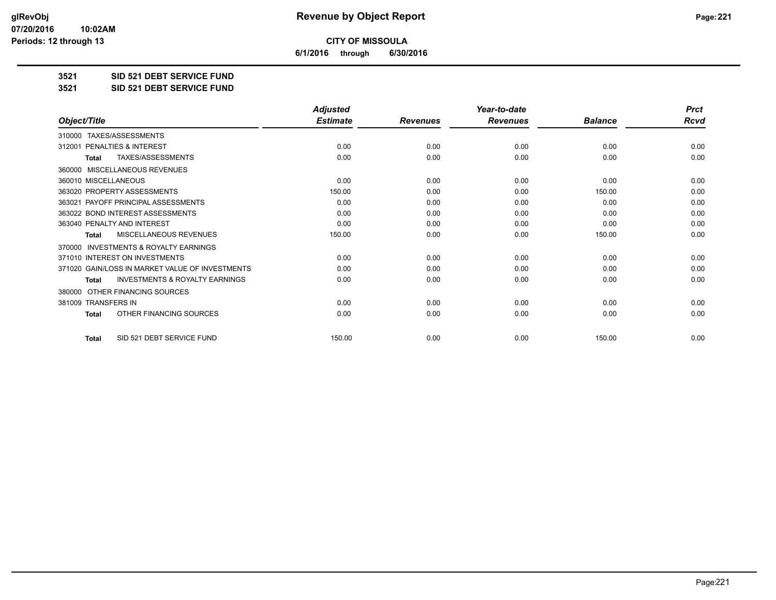**6/1/2016 through 6/30/2016**

**3521 SID 521 DEBT SERVICE FUND**

**3521 SID 521 DEBT SERVICE FUND**

|                                                           | <b>Adjusted</b> |                 | Year-to-date    |                | <b>Prct</b> |
|-----------------------------------------------------------|-----------------|-----------------|-----------------|----------------|-------------|
| Object/Title                                              | <b>Estimate</b> | <b>Revenues</b> | <b>Revenues</b> | <b>Balance</b> | <b>Rcvd</b> |
| TAXES/ASSESSMENTS<br>310000                               |                 |                 |                 |                |             |
| 312001 PENALTIES & INTEREST                               | 0.00            | 0.00            | 0.00            | 0.00           | 0.00        |
| TAXES/ASSESSMENTS<br><b>Total</b>                         | 0.00            | 0.00            | 0.00            | 0.00           | 0.00        |
| MISCELLANEOUS REVENUES<br>360000                          |                 |                 |                 |                |             |
| 360010 MISCELLANEOUS                                      | 0.00            | 0.00            | 0.00            | 0.00           | 0.00        |
| 363020 PROPERTY ASSESSMENTS                               | 150.00          | 0.00            | 0.00            | 150.00         | 0.00        |
| 363021 PAYOFF PRINCIPAL ASSESSMENTS                       | 0.00            | 0.00            | 0.00            | 0.00           | 0.00        |
| 363022 BOND INTEREST ASSESSMENTS                          | 0.00            | 0.00            | 0.00            | 0.00           | 0.00        |
| 363040 PENALTY AND INTEREST                               | 0.00            | 0.00            | 0.00            | 0.00           | 0.00        |
| <b>MISCELLANEOUS REVENUES</b><br><b>Total</b>             | 150.00          | 0.00            | 0.00            | 150.00         | 0.00        |
| <b>INVESTMENTS &amp; ROYALTY EARNINGS</b><br>370000       |                 |                 |                 |                |             |
| 371010 INTEREST ON INVESTMENTS                            | 0.00            | 0.00            | 0.00            | 0.00           | 0.00        |
| 371020 GAIN/LOSS IN MARKET VALUE OF INVESTMENTS           | 0.00            | 0.00            | 0.00            | 0.00           | 0.00        |
| <b>INVESTMENTS &amp; ROYALTY EARNINGS</b><br><b>Total</b> | 0.00            | 0.00            | 0.00            | 0.00           | 0.00        |
| OTHER FINANCING SOURCES<br>380000                         |                 |                 |                 |                |             |
| 381009 TRANSFERS IN                                       | 0.00            | 0.00            | 0.00            | 0.00           | 0.00        |
| OTHER FINANCING SOURCES<br>Total                          | 0.00            | 0.00            | 0.00            | 0.00           | 0.00        |
| SID 521 DEBT SERVICE FUND<br><b>Total</b>                 | 150.00          | 0.00            | 0.00            | 150.00         | 0.00        |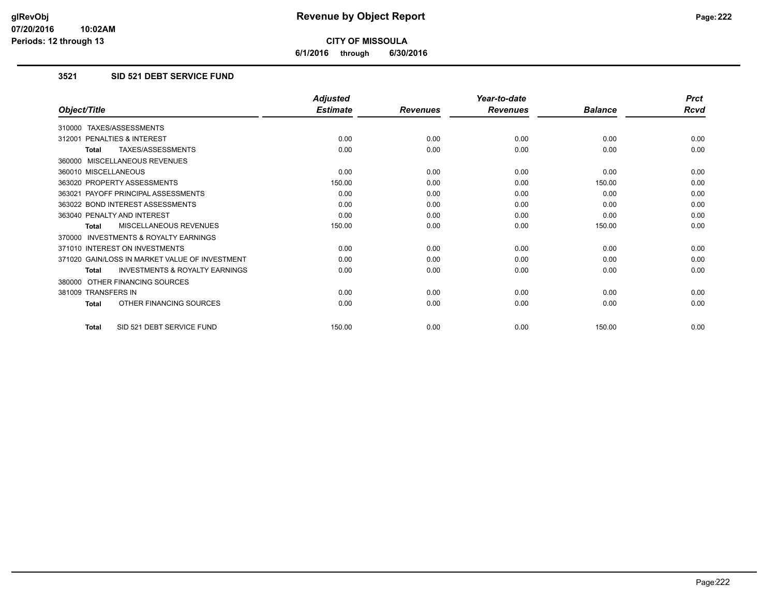**6/1/2016 through 6/30/2016**

## **3521 SID 521 DEBT SERVICE FUND**

|                                                           | <b>Adjusted</b> |                 | Year-to-date    |                | <b>Prct</b> |
|-----------------------------------------------------------|-----------------|-----------------|-----------------|----------------|-------------|
| Object/Title                                              | <b>Estimate</b> | <b>Revenues</b> | <b>Revenues</b> | <b>Balance</b> | <b>Rcvd</b> |
| 310000 TAXES/ASSESSMENTS                                  |                 |                 |                 |                |             |
| PENALTIES & INTEREST<br>312001                            | 0.00            | 0.00            | 0.00            | 0.00           | 0.00        |
| TAXES/ASSESSMENTS<br><b>Total</b>                         | 0.00            | 0.00            | 0.00            | 0.00           | 0.00        |
| 360000 MISCELLANEOUS REVENUES                             |                 |                 |                 |                |             |
| 360010 MISCELLANEOUS                                      | 0.00            | 0.00            | 0.00            | 0.00           | 0.00        |
| 363020 PROPERTY ASSESSMENTS                               | 150.00          | 0.00            | 0.00            | 150.00         | 0.00        |
| 363021 PAYOFF PRINCIPAL ASSESSMENTS                       | 0.00            | 0.00            | 0.00            | 0.00           | 0.00        |
| 363022 BOND INTEREST ASSESSMENTS                          | 0.00            | 0.00            | 0.00            | 0.00           | 0.00        |
| 363040 PENALTY AND INTEREST                               | 0.00            | 0.00            | 0.00            | 0.00           | 0.00        |
| <b>MISCELLANEOUS REVENUES</b><br><b>Total</b>             | 150.00          | 0.00            | 0.00            | 150.00         | 0.00        |
| 370000 INVESTMENTS & ROYALTY EARNINGS                     |                 |                 |                 |                |             |
| 371010 INTEREST ON INVESTMENTS                            | 0.00            | 0.00            | 0.00            | 0.00           | 0.00        |
| 371020 GAIN/LOSS IN MARKET VALUE OF INVESTMENT            | 0.00            | 0.00            | 0.00            | 0.00           | 0.00        |
| <b>INVESTMENTS &amp; ROYALTY EARNINGS</b><br><b>Total</b> | 0.00            | 0.00            | 0.00            | 0.00           | 0.00        |
| 380000 OTHER FINANCING SOURCES                            |                 |                 |                 |                |             |
| 381009 TRANSFERS IN                                       | 0.00            | 0.00            | 0.00            | 0.00           | 0.00        |
| OTHER FINANCING SOURCES<br>Total                          | 0.00            | 0.00            | 0.00            | 0.00           | 0.00        |
| SID 521 DEBT SERVICE FUND<br><b>Total</b>                 | 150.00          | 0.00            | 0.00            | 150.00         | 0.00        |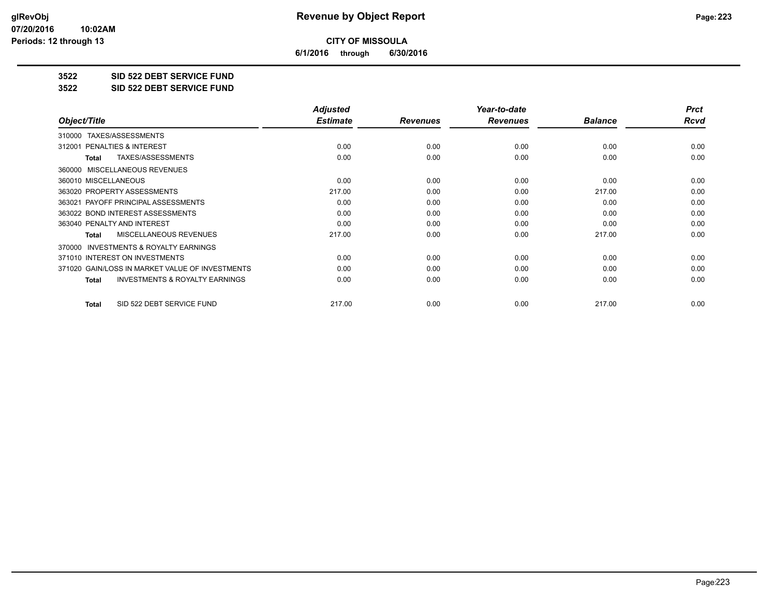**6/1/2016 through 6/30/2016**

**3522 SID 522 DEBT SERVICE FUND**

**3522 SID 522 DEBT SERVICE FUND**

|                                                    | <b>Adjusted</b> |                 | Year-to-date    |                | <b>Prct</b> |
|----------------------------------------------------|-----------------|-----------------|-----------------|----------------|-------------|
| Object/Title                                       | <b>Estimate</b> | <b>Revenues</b> | <b>Revenues</b> | <b>Balance</b> | Rcvd        |
| TAXES/ASSESSMENTS<br>310000                        |                 |                 |                 |                |             |
| <b>PENALTIES &amp; INTEREST</b><br>312001          | 0.00            | 0.00            | 0.00            | 0.00           | 0.00        |
| TAXES/ASSESSMENTS<br>Total                         | 0.00            | 0.00            | 0.00            | 0.00           | 0.00        |
| 360000 MISCELLANEOUS REVENUES                      |                 |                 |                 |                |             |
| 360010 MISCELLANEOUS                               | 0.00            | 0.00            | 0.00            | 0.00           | 0.00        |
| 363020 PROPERTY ASSESSMENTS                        | 217.00          | 0.00            | 0.00            | 217.00         | 0.00        |
| 363021 PAYOFF PRINCIPAL ASSESSMENTS                | 0.00            | 0.00            | 0.00            | 0.00           | 0.00        |
| 363022 BOND INTEREST ASSESSMENTS                   | 0.00            | 0.00            | 0.00            | 0.00           | 0.00        |
| 363040 PENALTY AND INTEREST                        | 0.00            | 0.00            | 0.00            | 0.00           | 0.00        |
| MISCELLANEOUS REVENUES<br>Total                    | 217.00          | 0.00            | 0.00            | 217.00         | 0.00        |
| 370000 INVESTMENTS & ROYALTY EARNINGS              |                 |                 |                 |                |             |
| 371010 INTEREST ON INVESTMENTS                     | 0.00            | 0.00            | 0.00            | 0.00           | 0.00        |
| 371020 GAIN/LOSS IN MARKET VALUE OF INVESTMENTS    | 0.00            | 0.00            | 0.00            | 0.00           | 0.00        |
| <b>INVESTMENTS &amp; ROYALTY EARNINGS</b><br>Total | 0.00            | 0.00            | 0.00            | 0.00           | 0.00        |
| SID 522 DEBT SERVICE FUND<br>Total                 | 217.00          | 0.00            | 0.00            | 217.00         | 0.00        |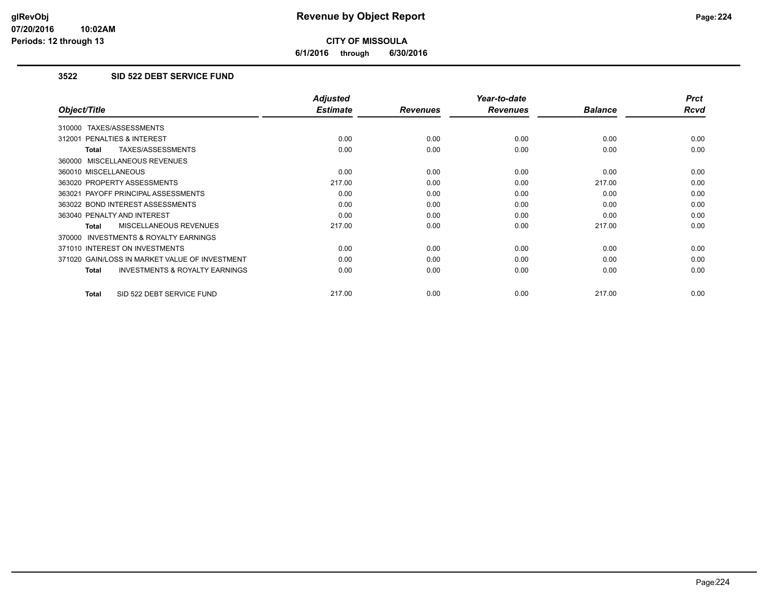**6/1/2016 through 6/30/2016**

## **3522 SID 522 DEBT SERVICE FUND**

|                                                           | <b>Adjusted</b> |                 | Year-to-date    |                | <b>Prct</b> |
|-----------------------------------------------------------|-----------------|-----------------|-----------------|----------------|-------------|
| Object/Title                                              | <b>Estimate</b> | <b>Revenues</b> | <b>Revenues</b> | <b>Balance</b> | <b>Rcvd</b> |
| 310000 TAXES/ASSESSMENTS                                  |                 |                 |                 |                |             |
| 312001 PENALTIES & INTEREST                               | 0.00            | 0.00            | 0.00            | 0.00           | 0.00        |
| TAXES/ASSESSMENTS<br><b>Total</b>                         | 0.00            | 0.00            | 0.00            | 0.00           | 0.00        |
| 360000 MISCELLANEOUS REVENUES                             |                 |                 |                 |                |             |
| 360010 MISCELLANEOUS                                      | 0.00            | 0.00            | 0.00            | 0.00           | 0.00        |
| 363020 PROPERTY ASSESSMENTS                               | 217.00          | 0.00            | 0.00            | 217.00         | 0.00        |
| 363021 PAYOFF PRINCIPAL ASSESSMENTS                       | 0.00            | 0.00            | 0.00            | 0.00           | 0.00        |
| 363022 BOND INTEREST ASSESSMENTS                          | 0.00            | 0.00            | 0.00            | 0.00           | 0.00        |
| 363040 PENALTY AND INTEREST                               | 0.00            | 0.00            | 0.00            | 0.00           | 0.00        |
| MISCELLANEOUS REVENUES<br><b>Total</b>                    | 217.00          | 0.00            | 0.00            | 217.00         | 0.00        |
| INVESTMENTS & ROYALTY EARNINGS<br>370000                  |                 |                 |                 |                |             |
| 371010 INTEREST ON INVESTMENTS                            | 0.00            | 0.00            | 0.00            | 0.00           | 0.00        |
| 371020 GAIN/LOSS IN MARKET VALUE OF INVESTMENT            | 0.00            | 0.00            | 0.00            | 0.00           | 0.00        |
| <b>INVESTMENTS &amp; ROYALTY EARNINGS</b><br><b>Total</b> | 0.00            | 0.00            | 0.00            | 0.00           | 0.00        |
| SID 522 DEBT SERVICE FUND<br><b>Total</b>                 | 217.00          | 0.00            | 0.00            | 217.00         | 0.00        |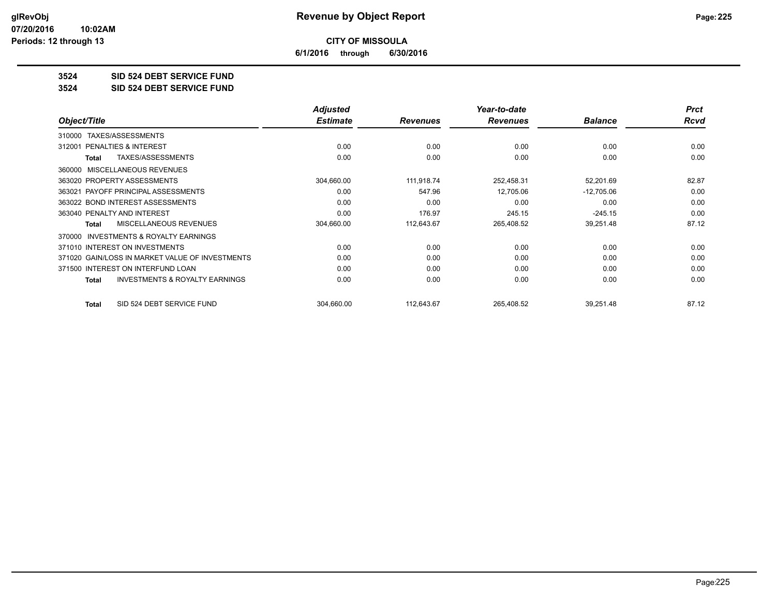**6/1/2016 through 6/30/2016**

#### **3524 SID 524 DEBT SERVICE FUND**

**3524 SID 524 DEBT SERVICE FUND**

|                                                           | <b>Adjusted</b> |                 | Year-to-date    |                | <b>Prct</b> |
|-----------------------------------------------------------|-----------------|-----------------|-----------------|----------------|-------------|
| Object/Title                                              | <b>Estimate</b> | <b>Revenues</b> | <b>Revenues</b> | <b>Balance</b> | <b>Rcvd</b> |
| TAXES/ASSESSMENTS<br>310000                               |                 |                 |                 |                |             |
| PENALTIES & INTEREST<br>312001                            | 0.00            | 0.00            | 0.00            | 0.00           | 0.00        |
| TAXES/ASSESSMENTS<br><b>Total</b>                         | 0.00            | 0.00            | 0.00            | 0.00           | 0.00        |
| MISCELLANEOUS REVENUES<br>360000                          |                 |                 |                 |                |             |
| 363020 PROPERTY ASSESSMENTS                               | 304,660.00      | 111,918.74      | 252,458.31      | 52,201.69      | 82.87       |
| 363021 PAYOFF PRINCIPAL ASSESSMENTS                       | 0.00            | 547.96          | 12,705.06       | $-12,705.06$   | 0.00        |
| 363022 BOND INTEREST ASSESSMENTS                          | 0.00            | 0.00            | 0.00            | 0.00           | 0.00        |
| 363040 PENALTY AND INTEREST                               | 0.00            | 176.97          | 245.15          | $-245.15$      | 0.00        |
| <b>MISCELLANEOUS REVENUES</b><br><b>Total</b>             | 304,660.00      | 112,643.67      | 265,408.52      | 39,251.48      | 87.12       |
| <b>INVESTMENTS &amp; ROYALTY EARNINGS</b><br>370000       |                 |                 |                 |                |             |
| 371010 INTEREST ON INVESTMENTS                            | 0.00            | 0.00            | 0.00            | 0.00           | 0.00        |
| 371020 GAIN/LOSS IN MARKET VALUE OF INVESTMENTS           | 0.00            | 0.00            | 0.00            | 0.00           | 0.00        |
| 371500 INTEREST ON INTERFUND LOAN                         | 0.00            | 0.00            | 0.00            | 0.00           | 0.00        |
| <b>INVESTMENTS &amp; ROYALTY EARNINGS</b><br><b>Total</b> | 0.00            | 0.00            | 0.00            | 0.00           | 0.00        |
| SID 524 DEBT SERVICE FUND<br><b>Total</b>                 | 304,660.00      | 112,643.67      | 265,408.52      | 39,251.48      | 87.12       |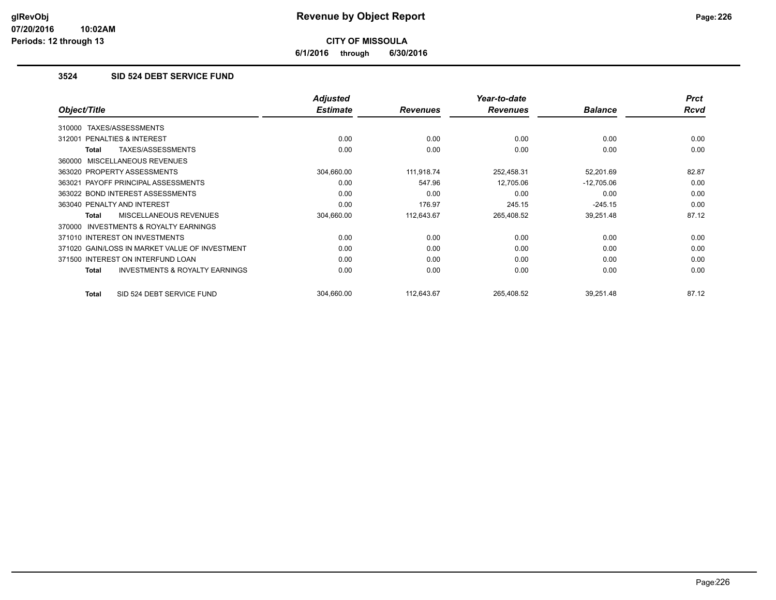**6/1/2016 through 6/30/2016**

## **3524 SID 524 DEBT SERVICE FUND**

|                                                           | <b>Adjusted</b> |                 | Year-to-date    |                | <b>Prct</b> |
|-----------------------------------------------------------|-----------------|-----------------|-----------------|----------------|-------------|
| Object/Title                                              | <b>Estimate</b> | <b>Revenues</b> | <b>Revenues</b> | <b>Balance</b> | Rcvd        |
| 310000 TAXES/ASSESSMENTS                                  |                 |                 |                 |                |             |
| 312001 PENALTIES & INTEREST                               | 0.00            | 0.00            | 0.00            | 0.00           | 0.00        |
| TAXES/ASSESSMENTS<br>Total                                | 0.00            | 0.00            | 0.00            | 0.00           | 0.00        |
| 360000 MISCELLANEOUS REVENUES                             |                 |                 |                 |                |             |
| 363020 PROPERTY ASSESSMENTS                               | 304,660.00      | 111,918.74      | 252,458.31      | 52,201.69      | 82.87       |
| 363021 PAYOFF PRINCIPAL ASSESSMENTS                       | 0.00            | 547.96          | 12,705.06       | $-12,705.06$   | 0.00        |
| 363022 BOND INTEREST ASSESSMENTS                          | 0.00            | 0.00            | 0.00            | 0.00           | 0.00        |
| 363040 PENALTY AND INTEREST                               | 0.00            | 176.97          | 245.15          | $-245.15$      | 0.00        |
| <b>MISCELLANEOUS REVENUES</b><br><b>Total</b>             | 304,660.00      | 112,643.67      | 265,408.52      | 39,251.48      | 87.12       |
| INVESTMENTS & ROYALTY EARNINGS<br>370000                  |                 |                 |                 |                |             |
| 371010 INTEREST ON INVESTMENTS                            | 0.00            | 0.00            | 0.00            | 0.00           | 0.00        |
| 371020 GAIN/LOSS IN MARKET VALUE OF INVESTMENT            | 0.00            | 0.00            | 0.00            | 0.00           | 0.00        |
| 371500 INTEREST ON INTERFUND LOAN                         | 0.00            | 0.00            | 0.00            | 0.00           | 0.00        |
| <b>INVESTMENTS &amp; ROYALTY EARNINGS</b><br><b>Total</b> | 0.00            | 0.00            | 0.00            | 0.00           | 0.00        |
| SID 524 DEBT SERVICE FUND<br><b>Total</b>                 | 304,660.00      | 112.643.67      | 265,408.52      | 39,251.48      | 87.12       |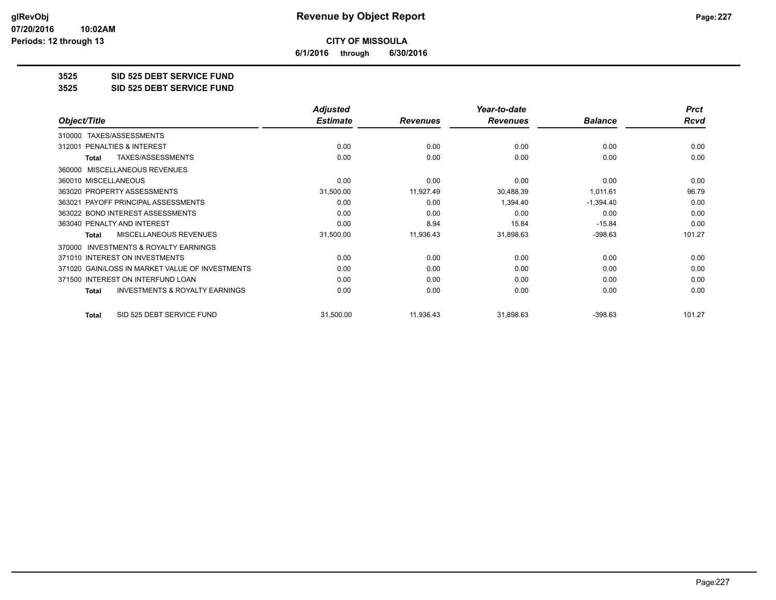**6/1/2016 through 6/30/2016**

#### **3525 SID 525 DEBT SERVICE FUND**

**3525 SID 525 DEBT SERVICE FUND**

|                                                           | <b>Adjusted</b> |                 | Year-to-date    |                | <b>Prct</b> |
|-----------------------------------------------------------|-----------------|-----------------|-----------------|----------------|-------------|
| Object/Title                                              | <b>Estimate</b> | <b>Revenues</b> | <b>Revenues</b> | <b>Balance</b> | <b>Rcvd</b> |
| TAXES/ASSESSMENTS<br>310000                               |                 |                 |                 |                |             |
| <b>PENALTIES &amp; INTEREST</b><br>312001                 | 0.00            | 0.00            | 0.00            | 0.00           | 0.00        |
| TAXES/ASSESSMENTS<br>Total                                | 0.00            | 0.00            | 0.00            | 0.00           | 0.00        |
| MISCELLANEOUS REVENUES<br>360000                          |                 |                 |                 |                |             |
| 360010 MISCELLANEOUS                                      | 0.00            | 0.00            | 0.00            | 0.00           | 0.00        |
| 363020 PROPERTY ASSESSMENTS                               | 31,500.00       | 11,927.49       | 30,488.39       | 1,011.61       | 96.79       |
| 363021 PAYOFF PRINCIPAL ASSESSMENTS                       | 0.00            | 0.00            | 1,394.40        | $-1,394.40$    | 0.00        |
| 363022 BOND INTEREST ASSESSMENTS                          | 0.00            | 0.00            | 0.00            | 0.00           | 0.00        |
| 363040 PENALTY AND INTEREST                               | 0.00            | 8.94            | 15.84           | $-15.84$       | 0.00        |
| <b>MISCELLANEOUS REVENUES</b><br><b>Total</b>             | 31,500.00       | 11,936.43       | 31,898.63       | $-398.63$      | 101.27      |
| <b>INVESTMENTS &amp; ROYALTY EARNINGS</b><br>370000       |                 |                 |                 |                |             |
| 371010 INTEREST ON INVESTMENTS                            | 0.00            | 0.00            | 0.00            | 0.00           | 0.00        |
| 371020 GAIN/LOSS IN MARKET VALUE OF INVESTMENTS           | 0.00            | 0.00            | 0.00            | 0.00           | 0.00        |
| 371500 INTEREST ON INTERFUND LOAN                         | 0.00            | 0.00            | 0.00            | 0.00           | 0.00        |
| <b>INVESTMENTS &amp; ROYALTY EARNINGS</b><br><b>Total</b> | 0.00            | 0.00            | 0.00            | 0.00           | 0.00        |
| SID 525 DEBT SERVICE FUND<br><b>Total</b>                 | 31,500.00       | 11,936.43       | 31,898.63       | $-398.63$      | 101.27      |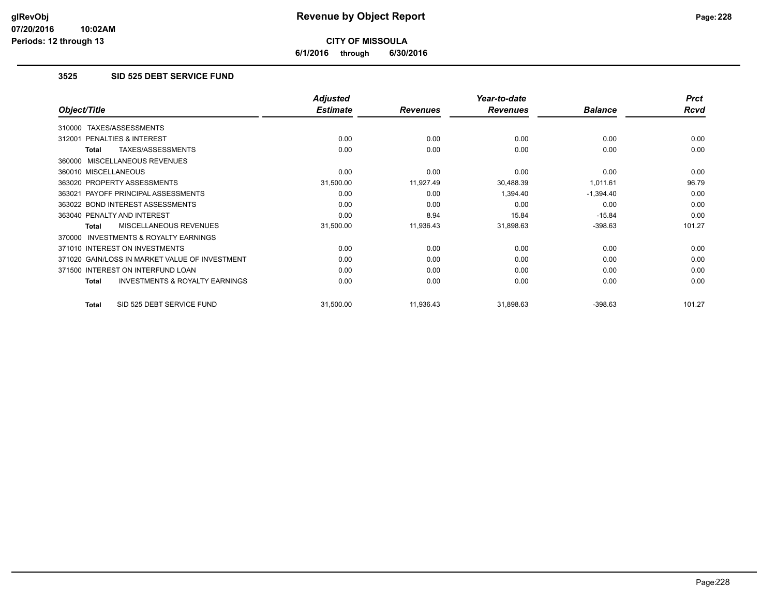**6/1/2016 through 6/30/2016**

## **3525 SID 525 DEBT SERVICE FUND**

| Object/Title                                              | <b>Adjusted</b><br><b>Estimate</b> | <b>Revenues</b> | Year-to-date<br><b>Revenues</b> | <b>Balance</b> | <b>Prct</b><br>Rcvd |
|-----------------------------------------------------------|------------------------------------|-----------------|---------------------------------|----------------|---------------------|
|                                                           |                                    |                 |                                 |                |                     |
| TAXES/ASSESSMENTS<br>310000                               |                                    |                 |                                 |                |                     |
| 312001 PENALTIES & INTEREST                               | 0.00                               | 0.00            | 0.00                            | 0.00           | 0.00                |
| TAXES/ASSESSMENTS<br>Total                                | 0.00                               | 0.00            | 0.00                            | 0.00           | 0.00                |
| 360000 MISCELLANEOUS REVENUES                             |                                    |                 |                                 |                |                     |
| 360010 MISCELLANEOUS                                      | 0.00                               | 0.00            | 0.00                            | 0.00           | 0.00                |
| 363020 PROPERTY ASSESSMENTS                               | 31,500.00                          | 11,927.49       | 30,488.39                       | 1.011.61       | 96.79               |
| 363021 PAYOFF PRINCIPAL ASSESSMENTS                       | 0.00                               | 0.00            | 1,394.40                        | $-1,394.40$    | 0.00                |
| 363022 BOND INTEREST ASSESSMENTS                          | 0.00                               | 0.00            | 0.00                            | 0.00           | 0.00                |
| 363040 PENALTY AND INTEREST                               | 0.00                               | 8.94            | 15.84                           | $-15.84$       | 0.00                |
| <b>MISCELLANEOUS REVENUES</b><br>Total                    | 31,500.00                          | 11,936.43       | 31,898.63                       | $-398.63$      | 101.27              |
| 370000 INVESTMENTS & ROYALTY EARNINGS                     |                                    |                 |                                 |                |                     |
| 371010 INTEREST ON INVESTMENTS                            | 0.00                               | 0.00            | 0.00                            | 0.00           | 0.00                |
| 371020 GAIN/LOSS IN MARKET VALUE OF INVESTMENT            | 0.00                               | 0.00            | 0.00                            | 0.00           | 0.00                |
| 371500 INTEREST ON INTERFUND LOAN                         | 0.00                               | 0.00            | 0.00                            | 0.00           | 0.00                |
| <b>INVESTMENTS &amp; ROYALTY EARNINGS</b><br><b>Total</b> | 0.00                               | 0.00            | 0.00                            | 0.00           | 0.00                |
| SID 525 DEBT SERVICE FUND<br><b>Total</b>                 | 31,500.00                          | 11,936.43       | 31,898.63                       | $-398.63$      | 101.27              |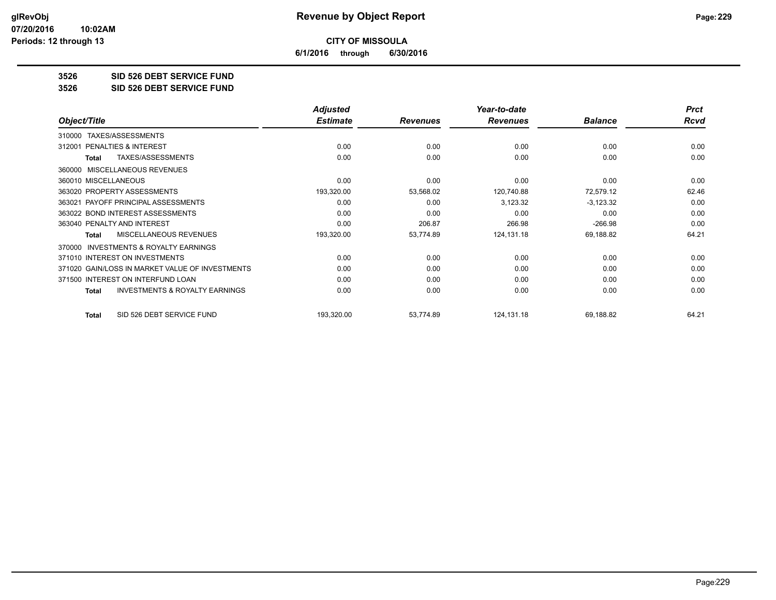**6/1/2016 through 6/30/2016**

#### **3526 SID 526 DEBT SERVICE FUND**

**3526 SID 526 DEBT SERVICE FUND**

|                                                           | <b>Adjusted</b> |                 | Year-to-date    |                | <b>Prct</b> |
|-----------------------------------------------------------|-----------------|-----------------|-----------------|----------------|-------------|
| Object/Title                                              | <b>Estimate</b> | <b>Revenues</b> | <b>Revenues</b> | <b>Balance</b> | Rcvd        |
| TAXES/ASSESSMENTS<br>310000                               |                 |                 |                 |                |             |
| <b>PENALTIES &amp; INTEREST</b><br>312001                 | 0.00            | 0.00            | 0.00            | 0.00           | 0.00        |
| TAXES/ASSESSMENTS<br><b>Total</b>                         | 0.00            | 0.00            | 0.00            | 0.00           | 0.00        |
| <b>MISCELLANEOUS REVENUES</b><br>360000                   |                 |                 |                 |                |             |
| 360010 MISCELLANEOUS                                      | 0.00            | 0.00            | 0.00            | 0.00           | 0.00        |
| 363020 PROPERTY ASSESSMENTS                               | 193,320.00      | 53,568.02       | 120,740.88      | 72,579.12      | 62.46       |
| 363021 PAYOFF PRINCIPAL ASSESSMENTS                       | 0.00            | 0.00            | 3,123.32        | $-3,123.32$    | 0.00        |
| 363022 BOND INTEREST ASSESSMENTS                          | 0.00            | 0.00            | 0.00            | 0.00           | 0.00        |
| 363040 PENALTY AND INTEREST                               | 0.00            | 206.87          | 266.98          | $-266.98$      | 0.00        |
| <b>MISCELLANEOUS REVENUES</b><br><b>Total</b>             | 193,320.00      | 53,774.89       | 124,131.18      | 69,188.82      | 64.21       |
| INVESTMENTS & ROYALTY EARNINGS<br>370000                  |                 |                 |                 |                |             |
| 371010 INTEREST ON INVESTMENTS                            | 0.00            | 0.00            | 0.00            | 0.00           | 0.00        |
| 371020 GAIN/LOSS IN MARKET VALUE OF INVESTMENTS           | 0.00            | 0.00            | 0.00            | 0.00           | 0.00        |
| 371500 INTEREST ON INTERFUND LOAN                         | 0.00            | 0.00            | 0.00            | 0.00           | 0.00        |
| <b>INVESTMENTS &amp; ROYALTY EARNINGS</b><br><b>Total</b> | 0.00            | 0.00            | 0.00            | 0.00           | 0.00        |
| SID 526 DEBT SERVICE FUND<br><b>Total</b>                 | 193,320.00      | 53,774.89       | 124,131.18      | 69,188.82      | 64.21       |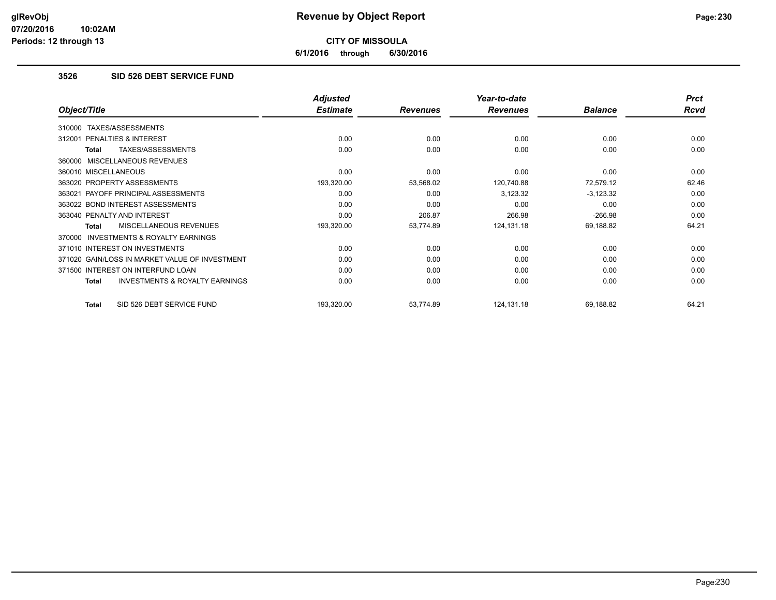**6/1/2016 through 6/30/2016**

## **3526 SID 526 DEBT SERVICE FUND**

|                                                           | <b>Adjusted</b> |                 | Year-to-date    |                | <b>Prct</b> |
|-----------------------------------------------------------|-----------------|-----------------|-----------------|----------------|-------------|
| Object/Title                                              | <b>Estimate</b> | <b>Revenues</b> | <b>Revenues</b> | <b>Balance</b> | Rcvd        |
| TAXES/ASSESSMENTS<br>310000                               |                 |                 |                 |                |             |
| <b>PENALTIES &amp; INTEREST</b><br>312001                 | 0.00            | 0.00            | 0.00            | 0.00           | 0.00        |
| TAXES/ASSESSMENTS<br><b>Total</b>                         | 0.00            | 0.00            | 0.00            | 0.00           | 0.00        |
| 360000 MISCELLANEOUS REVENUES                             |                 |                 |                 |                |             |
| 360010 MISCELLANEOUS                                      | 0.00            | 0.00            | 0.00            | 0.00           | 0.00        |
| 363020 PROPERTY ASSESSMENTS                               | 193,320.00      | 53,568.02       | 120,740.88      | 72,579.12      | 62.46       |
| 363021 PAYOFF PRINCIPAL ASSESSMENTS                       | 0.00            | 0.00            | 3,123.32        | $-3,123.32$    | 0.00        |
| 363022 BOND INTEREST ASSESSMENTS                          | 0.00            | 0.00            | 0.00            | 0.00           | 0.00        |
| 363040 PENALTY AND INTEREST                               | 0.00            | 206.87          | 266.98          | $-266.98$      | 0.00        |
| <b>MISCELLANEOUS REVENUES</b><br><b>Total</b>             | 193,320.00      | 53,774.89       | 124,131.18      | 69,188.82      | 64.21       |
| <b>INVESTMENTS &amp; ROYALTY EARNINGS</b><br>370000       |                 |                 |                 |                |             |
| 371010 INTEREST ON INVESTMENTS                            | 0.00            | 0.00            | 0.00            | 0.00           | 0.00        |
| 371020 GAIN/LOSS IN MARKET VALUE OF INVESTMENT            | 0.00            | 0.00            | 0.00            | 0.00           | 0.00        |
| 371500 INTEREST ON INTERFUND LOAN                         | 0.00            | 0.00            | 0.00            | 0.00           | 0.00        |
| <b>INVESTMENTS &amp; ROYALTY EARNINGS</b><br><b>Total</b> | 0.00            | 0.00            | 0.00            | 0.00           | 0.00        |
| SID 526 DEBT SERVICE FUND<br><b>Total</b>                 | 193,320.00      | 53,774.89       | 124,131.18      | 69,188.82      | 64.21       |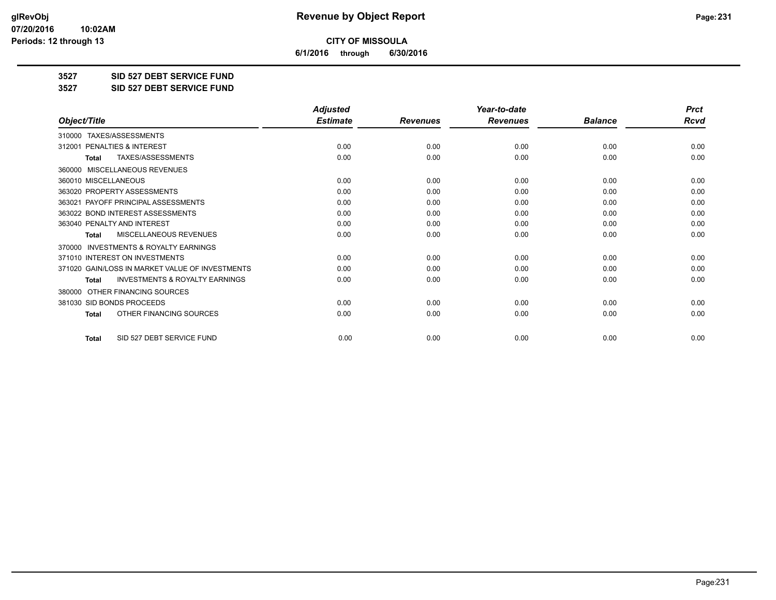**6/1/2016 through 6/30/2016**

**3527 SID 527 DEBT SERVICE FUND**

**3527 SID 527 DEBT SERVICE FUND**

|                                                           | <b>Adjusted</b> |                 | Year-to-date    |                | <b>Prct</b> |
|-----------------------------------------------------------|-----------------|-----------------|-----------------|----------------|-------------|
| Object/Title                                              | <b>Estimate</b> | <b>Revenues</b> | <b>Revenues</b> | <b>Balance</b> | <b>Rcvd</b> |
| TAXES/ASSESSMENTS<br>310000                               |                 |                 |                 |                |             |
| 312001 PENALTIES & INTEREST                               | 0.00            | 0.00            | 0.00            | 0.00           | 0.00        |
| TAXES/ASSESSMENTS<br><b>Total</b>                         | 0.00            | 0.00            | 0.00            | 0.00           | 0.00        |
| MISCELLANEOUS REVENUES<br>360000                          |                 |                 |                 |                |             |
| 360010 MISCELLANEOUS                                      | 0.00            | 0.00            | 0.00            | 0.00           | 0.00        |
| 363020 PROPERTY ASSESSMENTS                               | 0.00            | 0.00            | 0.00            | 0.00           | 0.00        |
| 363021 PAYOFF PRINCIPAL ASSESSMENTS                       | 0.00            | 0.00            | 0.00            | 0.00           | 0.00        |
| 363022 BOND INTEREST ASSESSMENTS                          | 0.00            | 0.00            | 0.00            | 0.00           | 0.00        |
| 363040 PENALTY AND INTEREST                               | 0.00            | 0.00            | 0.00            | 0.00           | 0.00        |
| <b>MISCELLANEOUS REVENUES</b><br><b>Total</b>             | 0.00            | 0.00            | 0.00            | 0.00           | 0.00        |
| <b>INVESTMENTS &amp; ROYALTY EARNINGS</b><br>370000       |                 |                 |                 |                |             |
| 371010 INTEREST ON INVESTMENTS                            | 0.00            | 0.00            | 0.00            | 0.00           | 0.00        |
| 371020 GAIN/LOSS IN MARKET VALUE OF INVESTMENTS           | 0.00            | 0.00            | 0.00            | 0.00           | 0.00        |
| <b>INVESTMENTS &amp; ROYALTY EARNINGS</b><br><b>Total</b> | 0.00            | 0.00            | 0.00            | 0.00           | 0.00        |
| OTHER FINANCING SOURCES<br>380000                         |                 |                 |                 |                |             |
| 381030 SID BONDS PROCEEDS                                 | 0.00            | 0.00            | 0.00            | 0.00           | 0.00        |
| OTHER FINANCING SOURCES<br>Total                          | 0.00            | 0.00            | 0.00            | 0.00           | 0.00        |
| SID 527 DEBT SERVICE FUND<br><b>Total</b>                 | 0.00            | 0.00            | 0.00            | 0.00           | 0.00        |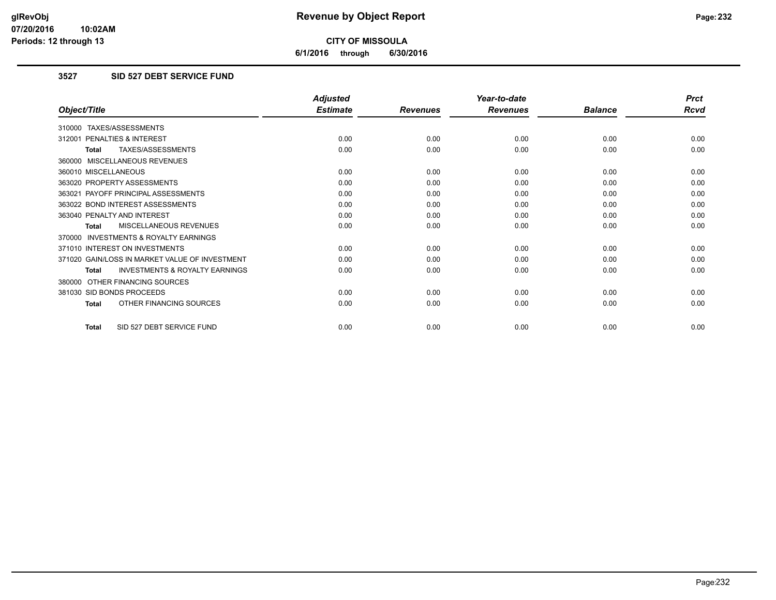**6/1/2016 through 6/30/2016**

## **3527 SID 527 DEBT SERVICE FUND**

|                                                           | <b>Adjusted</b> |                 | Year-to-date    |                | <b>Prct</b> |
|-----------------------------------------------------------|-----------------|-----------------|-----------------|----------------|-------------|
| Object/Title                                              | <b>Estimate</b> | <b>Revenues</b> | <b>Revenues</b> | <b>Balance</b> | Rcvd        |
| 310000 TAXES/ASSESSMENTS                                  |                 |                 |                 |                |             |
| PENALTIES & INTEREST<br>312001                            | 0.00            | 0.00            | 0.00            | 0.00           | 0.00        |
| TAXES/ASSESSMENTS<br>Total                                | 0.00            | 0.00            | 0.00            | 0.00           | 0.00        |
| 360000 MISCELLANEOUS REVENUES                             |                 |                 |                 |                |             |
| 360010 MISCELLANEOUS                                      | 0.00            | 0.00            | 0.00            | 0.00           | 0.00        |
| 363020 PROPERTY ASSESSMENTS                               | 0.00            | 0.00            | 0.00            | 0.00           | 0.00        |
| 363021 PAYOFF PRINCIPAL ASSESSMENTS                       | 0.00            | 0.00            | 0.00            | 0.00           | 0.00        |
| 363022 BOND INTEREST ASSESSMENTS                          | 0.00            | 0.00            | 0.00            | 0.00           | 0.00        |
| 363040 PENALTY AND INTEREST                               | 0.00            | 0.00            | 0.00            | 0.00           | 0.00        |
| <b>MISCELLANEOUS REVENUES</b><br><b>Total</b>             | 0.00            | 0.00            | 0.00            | 0.00           | 0.00        |
| 370000 INVESTMENTS & ROYALTY EARNINGS                     |                 |                 |                 |                |             |
| 371010 INTEREST ON INVESTMENTS                            | 0.00            | 0.00            | 0.00            | 0.00           | 0.00        |
| 371020 GAIN/LOSS IN MARKET VALUE OF INVESTMENT            | 0.00            | 0.00            | 0.00            | 0.00           | 0.00        |
| <b>INVESTMENTS &amp; ROYALTY EARNINGS</b><br><b>Total</b> | 0.00            | 0.00            | 0.00            | 0.00           | 0.00        |
| 380000 OTHER FINANCING SOURCES                            |                 |                 |                 |                |             |
| 381030 SID BONDS PROCEEDS                                 | 0.00            | 0.00            | 0.00            | 0.00           | 0.00        |
| OTHER FINANCING SOURCES<br>Total                          | 0.00            | 0.00            | 0.00            | 0.00           | 0.00        |
| SID 527 DEBT SERVICE FUND<br><b>Total</b>                 | 0.00            | 0.00            | 0.00            | 0.00           | 0.00        |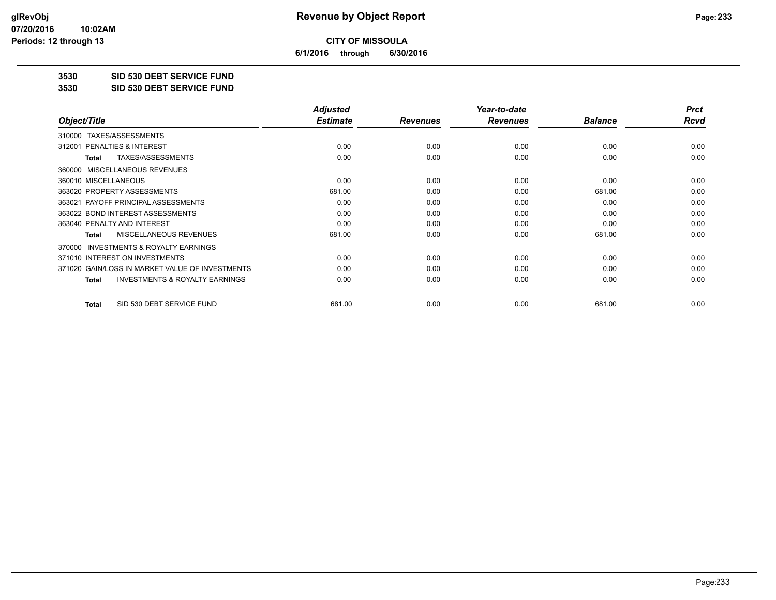**6/1/2016 through 6/30/2016**

**3530 SID 530 DEBT SERVICE FUND**

**3530 SID 530 DEBT SERVICE FUND**

|                                                           | <b>Adjusted</b> |                 | Year-to-date    |                | <b>Prct</b> |
|-----------------------------------------------------------|-----------------|-----------------|-----------------|----------------|-------------|
| Object/Title                                              | <b>Estimate</b> | <b>Revenues</b> | <b>Revenues</b> | <b>Balance</b> | Rcvd        |
| TAXES/ASSESSMENTS<br>310000                               |                 |                 |                 |                |             |
| 312001 PENALTIES & INTEREST                               | 0.00            | 0.00            | 0.00            | 0.00           | 0.00        |
| TAXES/ASSESSMENTS<br>Total                                | 0.00            | 0.00            | 0.00            | 0.00           | 0.00        |
| 360000 MISCELLANEOUS REVENUES                             |                 |                 |                 |                |             |
| 360010 MISCELLANEOUS                                      | 0.00            | 0.00            | 0.00            | 0.00           | 0.00        |
| 363020 PROPERTY ASSESSMENTS                               | 681.00          | 0.00            | 0.00            | 681.00         | 0.00        |
| 363021 PAYOFF PRINCIPAL ASSESSMENTS                       | 0.00            | 0.00            | 0.00            | 0.00           | 0.00        |
| 363022 BOND INTEREST ASSESSMENTS                          | 0.00            | 0.00            | 0.00            | 0.00           | 0.00        |
| 363040 PENALTY AND INTEREST                               | 0.00            | 0.00            | 0.00            | 0.00           | 0.00        |
| <b>MISCELLANEOUS REVENUES</b><br>Total                    | 681.00          | 0.00            | 0.00            | 681.00         | 0.00        |
| 370000 INVESTMENTS & ROYALTY EARNINGS                     |                 |                 |                 |                |             |
| 371010 INTEREST ON INVESTMENTS                            | 0.00            | 0.00            | 0.00            | 0.00           | 0.00        |
| 371020 GAIN/LOSS IN MARKET VALUE OF INVESTMENTS           | 0.00            | 0.00            | 0.00            | 0.00           | 0.00        |
| <b>INVESTMENTS &amp; ROYALTY EARNINGS</b><br><b>Total</b> | 0.00            | 0.00            | 0.00            | 0.00           | 0.00        |
| SID 530 DEBT SERVICE FUND<br><b>Total</b>                 | 681.00          | 0.00            | 0.00            | 681.00         | 0.00        |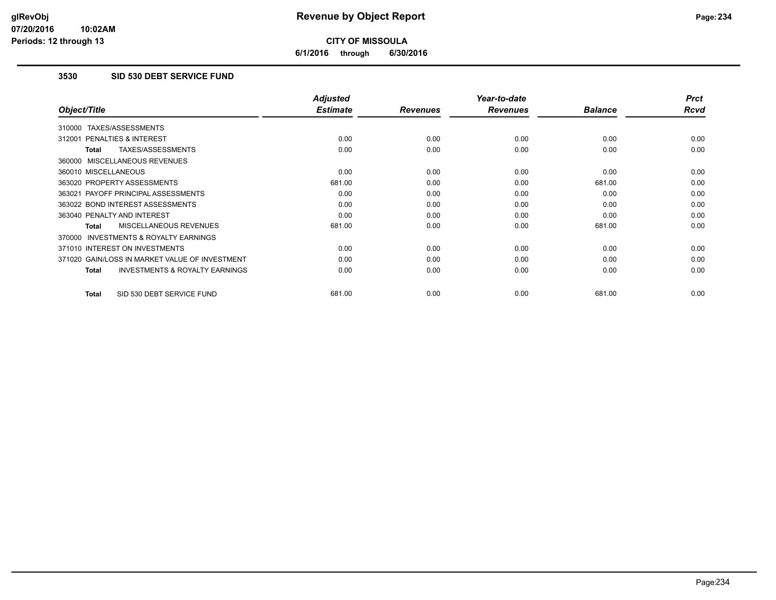**6/1/2016 through 6/30/2016**

## **3530 SID 530 DEBT SERVICE FUND**

|                                                           | <b>Adjusted</b> |                 | Year-to-date    |                | <b>Prct</b> |
|-----------------------------------------------------------|-----------------|-----------------|-----------------|----------------|-------------|
| Object/Title                                              | <b>Estimate</b> | <b>Revenues</b> | <b>Revenues</b> | <b>Balance</b> | <b>Rcvd</b> |
| 310000 TAXES/ASSESSMENTS                                  |                 |                 |                 |                |             |
| 312001 PENALTIES & INTEREST                               | 0.00            | 0.00            | 0.00            | 0.00           | 0.00        |
| TAXES/ASSESSMENTS<br>Total                                | 0.00            | 0.00            | 0.00            | 0.00           | 0.00        |
| 360000 MISCELLANEOUS REVENUES                             |                 |                 |                 |                |             |
| 360010 MISCELLANEOUS                                      | 0.00            | 0.00            | 0.00            | 0.00           | 0.00        |
| 363020 PROPERTY ASSESSMENTS                               | 681.00          | 0.00            | 0.00            | 681.00         | 0.00        |
| 363021 PAYOFF PRINCIPAL ASSESSMENTS                       | 0.00            | 0.00            | 0.00            | 0.00           | 0.00        |
| 363022 BOND INTEREST ASSESSMENTS                          | 0.00            | 0.00            | 0.00            | 0.00           | 0.00        |
| 363040 PENALTY AND INTEREST                               | 0.00            | 0.00            | 0.00            | 0.00           | 0.00        |
| MISCELLANEOUS REVENUES<br><b>Total</b>                    | 681.00          | 0.00            | 0.00            | 681.00         | 0.00        |
| <b>INVESTMENTS &amp; ROYALTY EARNINGS</b><br>370000       |                 |                 |                 |                |             |
| 371010 INTEREST ON INVESTMENTS                            | 0.00            | 0.00            | 0.00            | 0.00           | 0.00        |
| 371020 GAIN/LOSS IN MARKET VALUE OF INVESTMENT            | 0.00            | 0.00            | 0.00            | 0.00           | 0.00        |
| <b>INVESTMENTS &amp; ROYALTY EARNINGS</b><br><b>Total</b> | 0.00            | 0.00            | 0.00            | 0.00           | 0.00        |
| SID 530 DEBT SERVICE FUND<br><b>Total</b>                 | 681.00          | 0.00            | 0.00            | 681.00         | 0.00        |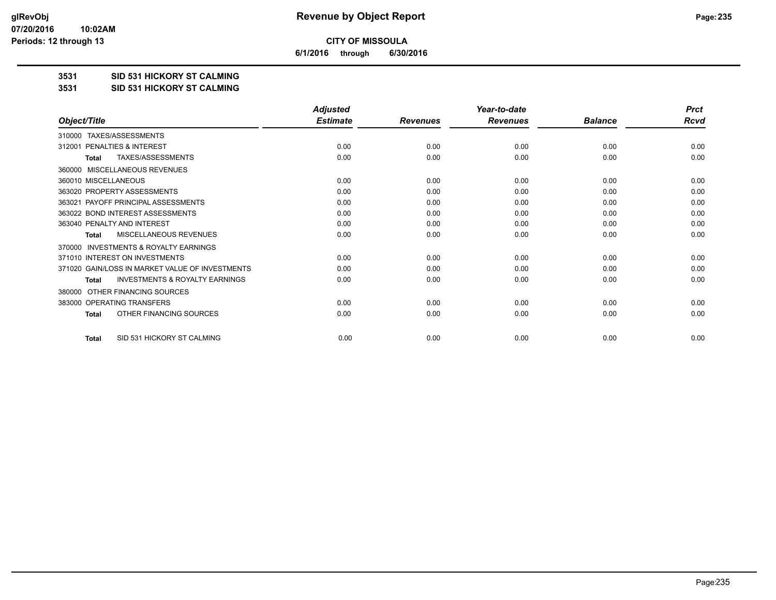**6/1/2016 through 6/30/2016**

#### **3531 SID 531 HICKORY ST CALMING**

#### **3531 SID 531 HICKORY ST CALMING**

|                                                           | <b>Adjusted</b> |                 | Year-to-date    |                | <b>Prct</b> |
|-----------------------------------------------------------|-----------------|-----------------|-----------------|----------------|-------------|
| Object/Title                                              | <b>Estimate</b> | <b>Revenues</b> | <b>Revenues</b> | <b>Balance</b> | <b>Rcvd</b> |
| 310000 TAXES/ASSESSMENTS                                  |                 |                 |                 |                |             |
| PENALTIES & INTEREST<br>312001                            | 0.00            | 0.00            | 0.00            | 0.00           | 0.00        |
| TAXES/ASSESSMENTS<br>Total                                | 0.00            | 0.00            | 0.00            | 0.00           | 0.00        |
| MISCELLANEOUS REVENUES<br>360000                          |                 |                 |                 |                |             |
| 360010 MISCELLANEOUS                                      | 0.00            | 0.00            | 0.00            | 0.00           | 0.00        |
| 363020 PROPERTY ASSESSMENTS                               | 0.00            | 0.00            | 0.00            | 0.00           | 0.00        |
| 363021 PAYOFF PRINCIPAL ASSESSMENTS                       | 0.00            | 0.00            | 0.00            | 0.00           | 0.00        |
| 363022 BOND INTEREST ASSESSMENTS                          | 0.00            | 0.00            | 0.00            | 0.00           | 0.00        |
| 363040 PENALTY AND INTEREST                               | 0.00            | 0.00            | 0.00            | 0.00           | 0.00        |
| MISCELLANEOUS REVENUES<br>Total                           | 0.00            | 0.00            | 0.00            | 0.00           | 0.00        |
| INVESTMENTS & ROYALTY EARNINGS<br>370000                  |                 |                 |                 |                |             |
| 371010 INTEREST ON INVESTMENTS                            | 0.00            | 0.00            | 0.00            | 0.00           | 0.00        |
| 371020 GAIN/LOSS IN MARKET VALUE OF INVESTMENTS           | 0.00            | 0.00            | 0.00            | 0.00           | 0.00        |
| <b>INVESTMENTS &amp; ROYALTY EARNINGS</b><br><b>Total</b> | 0.00            | 0.00            | 0.00            | 0.00           | 0.00        |
| OTHER FINANCING SOURCES<br>380000                         |                 |                 |                 |                |             |
| 383000 OPERATING TRANSFERS                                | 0.00            | 0.00            | 0.00            | 0.00           | 0.00        |
| OTHER FINANCING SOURCES<br><b>Total</b>                   | 0.00            | 0.00            | 0.00            | 0.00           | 0.00        |
| SID 531 HICKORY ST CALMING<br><b>Total</b>                | 0.00            | 0.00            | 0.00            | 0.00           | 0.00        |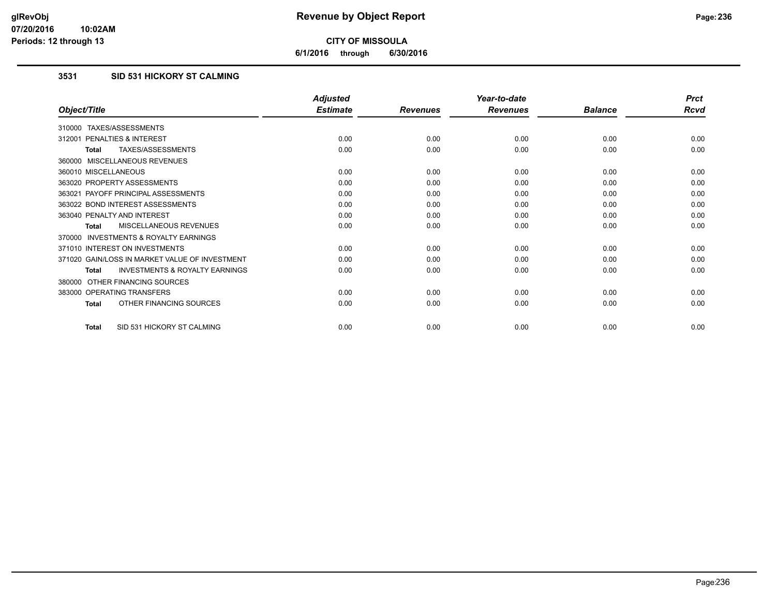**6/1/2016 through 6/30/2016**

## **3531 SID 531 HICKORY ST CALMING**

|                                                           | <b>Adjusted</b> |                 | Year-to-date    |                | <b>Prct</b> |
|-----------------------------------------------------------|-----------------|-----------------|-----------------|----------------|-------------|
| Object/Title                                              | <b>Estimate</b> | <b>Revenues</b> | <b>Revenues</b> | <b>Balance</b> | <b>Rcvd</b> |
| 310000 TAXES/ASSESSMENTS                                  |                 |                 |                 |                |             |
| 312001 PENALTIES & INTEREST                               | 0.00            | 0.00            | 0.00            | 0.00           | 0.00        |
| TAXES/ASSESSMENTS<br><b>Total</b>                         | 0.00            | 0.00            | 0.00            | 0.00           | 0.00        |
| 360000 MISCELLANEOUS REVENUES                             |                 |                 |                 |                |             |
| 360010 MISCELLANEOUS                                      | 0.00            | 0.00            | 0.00            | 0.00           | 0.00        |
| 363020 PROPERTY ASSESSMENTS                               | 0.00            | 0.00            | 0.00            | 0.00           | 0.00        |
| 363021 PAYOFF PRINCIPAL ASSESSMENTS                       | 0.00            | 0.00            | 0.00            | 0.00           | 0.00        |
| 363022 BOND INTEREST ASSESSMENTS                          | 0.00            | 0.00            | 0.00            | 0.00           | 0.00        |
| 363040 PENALTY AND INTEREST                               | 0.00            | 0.00            | 0.00            | 0.00           | 0.00        |
| MISCELLANEOUS REVENUES<br><b>Total</b>                    | 0.00            | 0.00            | 0.00            | 0.00           | 0.00        |
| <b>INVESTMENTS &amp; ROYALTY EARNINGS</b><br>370000       |                 |                 |                 |                |             |
| 371010 INTEREST ON INVESTMENTS                            | 0.00            | 0.00            | 0.00            | 0.00           | 0.00        |
| 371020 GAIN/LOSS IN MARKET VALUE OF INVESTMENT            | 0.00            | 0.00            | 0.00            | 0.00           | 0.00        |
| <b>INVESTMENTS &amp; ROYALTY EARNINGS</b><br><b>Total</b> | 0.00            | 0.00            | 0.00            | 0.00           | 0.00        |
| OTHER FINANCING SOURCES<br>380000                         |                 |                 |                 |                |             |
| 383000 OPERATING TRANSFERS                                | 0.00            | 0.00            | 0.00            | 0.00           | 0.00        |
| OTHER FINANCING SOURCES<br>Total                          | 0.00            | 0.00            | 0.00            | 0.00           | 0.00        |
| SID 531 HICKORY ST CALMING<br><b>Total</b>                | 0.00            | 0.00            | 0.00            | 0.00           | 0.00        |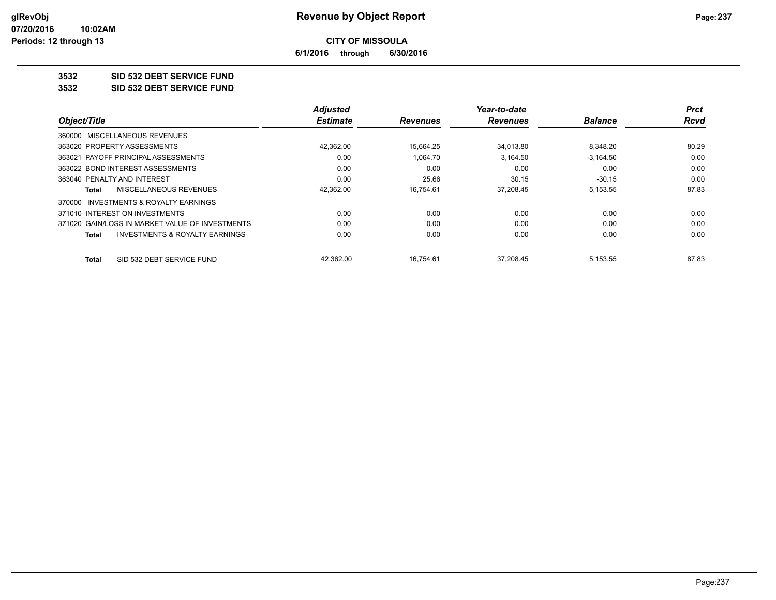**6/1/2016 through 6/30/2016**

**3532 SID 532 DEBT SERVICE FUND**

**3532 SID 532 DEBT SERVICE FUND**

|                                                           | <b>Adjusted</b> |                 | Year-to-date    |                | <b>Prct</b> |
|-----------------------------------------------------------|-----------------|-----------------|-----------------|----------------|-------------|
| Object/Title                                              | <b>Estimate</b> | <b>Revenues</b> | <b>Revenues</b> | <b>Balance</b> | <b>Rcvd</b> |
| 360000 MISCELLANEOUS REVENUES                             |                 |                 |                 |                |             |
| 363020 PROPERTY ASSESSMENTS                               | 42,362.00       | 15.664.25       | 34.013.80       | 8,348.20       | 80.29       |
| PAYOFF PRINCIPAL ASSESSMENTS<br>363021                    | 0.00            | 1.064.70        | 3.164.50        | $-3.164.50$    | 0.00        |
| 363022 BOND INTEREST ASSESSMENTS                          | 0.00            | 0.00            | 0.00            | 0.00           | 0.00        |
| 363040 PENALTY AND INTEREST                               | 0.00            | 25.66           | 30.15           | $-30.15$       | 0.00        |
| MISCELLANEOUS REVENUES<br>Total                           | 42,362.00       | 16.754.61       | 37,208.45       | 5,153.55       | 87.83       |
| 370000 INVESTMENTS & ROYALTY EARNINGS                     |                 |                 |                 |                |             |
| 371010 INTEREST ON INVESTMENTS                            | 0.00            | 0.00            | 0.00            | 0.00           | 0.00        |
| 371020 GAIN/LOSS IN MARKET VALUE OF INVESTMENTS           | 0.00            | 0.00            | 0.00            | 0.00           | 0.00        |
| <b>INVESTMENTS &amp; ROYALTY EARNINGS</b><br><b>Total</b> | 0.00            | 0.00            | 0.00            | 0.00           | 0.00        |
| SID 532 DEBT SERVICE FUND<br><b>Total</b>                 | 42.362.00       | 16.754.61       | 37.208.45       | 5.153.55       | 87.83       |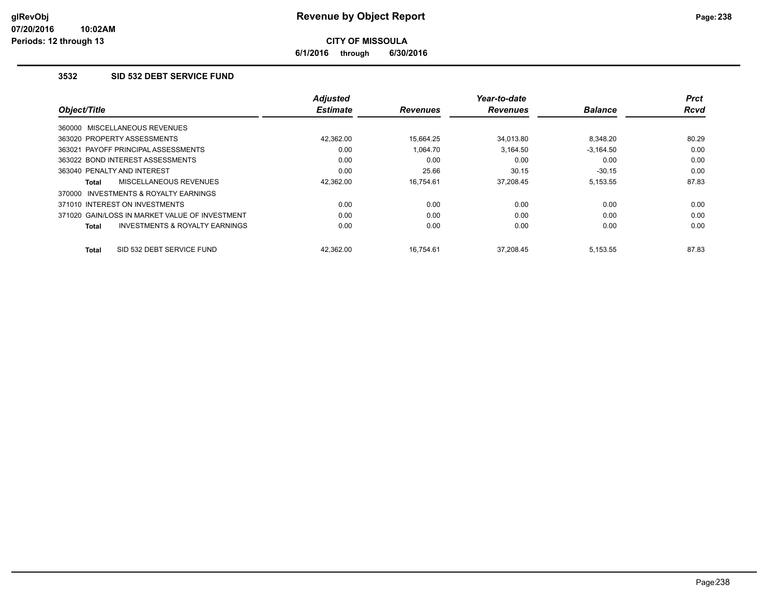**6/1/2016 through 6/30/2016**

### **3532 SID 532 DEBT SERVICE FUND**

|                                                           | <b>Adjusted</b> |                 | Year-to-date    |                | <b>Prct</b> |
|-----------------------------------------------------------|-----------------|-----------------|-----------------|----------------|-------------|
| Object/Title                                              | <b>Estimate</b> | <b>Revenues</b> | <b>Revenues</b> | <b>Balance</b> | <b>Rcvd</b> |
| 360000 MISCELLANEOUS REVENUES                             |                 |                 |                 |                |             |
| 363020 PROPERTY ASSESSMENTS                               | 42.362.00       | 15.664.25       | 34.013.80       | 8.348.20       | 80.29       |
| 363021 PAYOFF PRINCIPAL ASSESSMENTS                       | 0.00            | 1.064.70        | 3.164.50        | $-3,164.50$    | 0.00        |
| 363022 BOND INTEREST ASSESSMENTS                          | 0.00            | 0.00            | 0.00            | 0.00           | 0.00        |
| 363040 PENALTY AND INTEREST                               | 0.00            | 25.66           | 30.15           | $-30.15$       | 0.00        |
| MISCELLANEOUS REVENUES<br>Total                           | 42,362.00       | 16,754.61       | 37,208.45       | 5,153.55       | 87.83       |
| 370000 INVESTMENTS & ROYALTY EARNINGS                     |                 |                 |                 |                |             |
| 371010 INTEREST ON INVESTMENTS                            | 0.00            | 0.00            | 0.00            | 0.00           | 0.00        |
| 371020 GAIN/LOSS IN MARKET VALUE OF INVESTMENT            | 0.00            | 0.00            | 0.00            | 0.00           | 0.00        |
| <b>INVESTMENTS &amp; ROYALTY EARNINGS</b><br><b>Total</b> | 0.00            | 0.00            | 0.00            | 0.00           | 0.00        |
| SID 532 DEBT SERVICE FUND<br><b>Total</b>                 | 42.362.00       | 16.754.61       | 37.208.45       | 5.153.55       | 87.83       |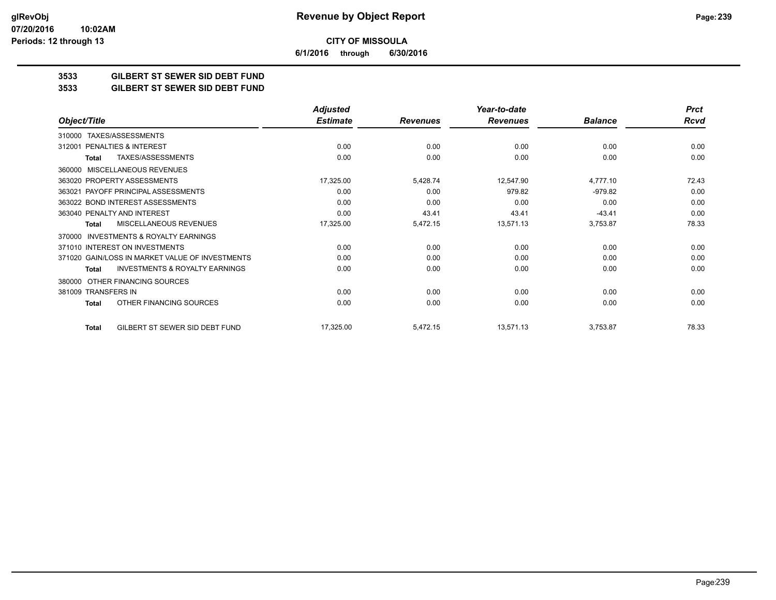**6/1/2016 through 6/30/2016**

## **3533 GILBERT ST SEWER SID DEBT FUND**

#### **3533 GILBERT ST SEWER SID DEBT FUND**

|                                                           | <b>Adjusted</b> |                 | Year-to-date    |                | <b>Prct</b> |
|-----------------------------------------------------------|-----------------|-----------------|-----------------|----------------|-------------|
| Object/Title                                              | <b>Estimate</b> | <b>Revenues</b> | <b>Revenues</b> | <b>Balance</b> | <b>Rcvd</b> |
| TAXES/ASSESSMENTS<br>310000                               |                 |                 |                 |                |             |
| <b>PENALTIES &amp; INTEREST</b><br>312001                 | 0.00            | 0.00            | 0.00            | 0.00           | 0.00        |
| <b>TAXES/ASSESSMENTS</b><br><b>Total</b>                  | 0.00            | 0.00            | 0.00            | 0.00           | 0.00        |
| <b>MISCELLANEOUS REVENUES</b><br>360000                   |                 |                 |                 |                |             |
| 363020 PROPERTY ASSESSMENTS                               | 17,325.00       | 5,428.74        | 12,547.90       | 4,777.10       | 72.43       |
| PAYOFF PRINCIPAL ASSESSMENTS<br>363021                    | 0.00            | 0.00            | 979.82          | $-979.82$      | 0.00        |
| 363022 BOND INTEREST ASSESSMENTS                          | 0.00            | 0.00            | 0.00            | 0.00           | 0.00        |
| 363040 PENALTY AND INTEREST                               | 0.00            | 43.41           | 43.41           | $-43.41$       | 0.00        |
| MISCELLANEOUS REVENUES<br><b>Total</b>                    | 17,325.00       | 5,472.15        | 13,571.13       | 3,753.87       | 78.33       |
| <b>INVESTMENTS &amp; ROYALTY EARNINGS</b><br>370000       |                 |                 |                 |                |             |
| 371010 INTEREST ON INVESTMENTS                            | 0.00            | 0.00            | 0.00            | 0.00           | 0.00        |
| 371020 GAIN/LOSS IN MARKET VALUE OF INVESTMENTS           | 0.00            | 0.00            | 0.00            | 0.00           | 0.00        |
| <b>INVESTMENTS &amp; ROYALTY EARNINGS</b><br><b>Total</b> | 0.00            | 0.00            | 0.00            | 0.00           | 0.00        |
| OTHER FINANCING SOURCES<br>380000                         |                 |                 |                 |                |             |
| 381009 TRANSFERS IN                                       | 0.00            | 0.00            | 0.00            | 0.00           | 0.00        |
| OTHER FINANCING SOURCES<br><b>Total</b>                   | 0.00            | 0.00            | 0.00            | 0.00           | 0.00        |
| GILBERT ST SEWER SID DEBT FUND<br><b>Total</b>            | 17,325.00       | 5,472.15        | 13,571.13       | 3,753.87       | 78.33       |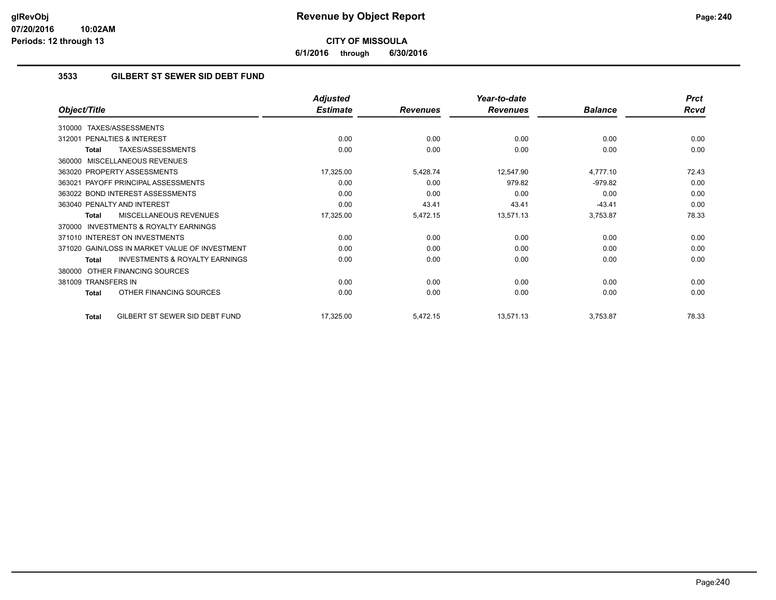**6/1/2016 through 6/30/2016**

## **3533 GILBERT ST SEWER SID DEBT FUND**

|                                                           | <b>Adjusted</b> |                 | Year-to-date    |                | <b>Prct</b> |
|-----------------------------------------------------------|-----------------|-----------------|-----------------|----------------|-------------|
| Object/Title                                              | <b>Estimate</b> | <b>Revenues</b> | <b>Revenues</b> | <b>Balance</b> | <b>Rcvd</b> |
| TAXES/ASSESSMENTS<br>310000                               |                 |                 |                 |                |             |
| 312001 PENALTIES & INTEREST                               | 0.00            | 0.00            | 0.00            | 0.00           | 0.00        |
| TAXES/ASSESSMENTS<br>Total                                | 0.00            | 0.00            | 0.00            | 0.00           | 0.00        |
| MISCELLANEOUS REVENUES<br>360000                          |                 |                 |                 |                |             |
| 363020 PROPERTY ASSESSMENTS                               | 17,325.00       | 5,428.74        | 12,547.90       | 4,777.10       | 72.43       |
| 363021 PAYOFF PRINCIPAL ASSESSMENTS                       | 0.00            | 0.00            | 979.82          | $-979.82$      | 0.00        |
| 363022 BOND INTEREST ASSESSMENTS                          | 0.00            | 0.00            | 0.00            | 0.00           | 0.00        |
| 363040 PENALTY AND INTEREST                               | 0.00            | 43.41           | 43.41           | $-43.41$       | 0.00        |
| MISCELLANEOUS REVENUES<br><b>Total</b>                    | 17,325.00       | 5,472.15        | 13,571.13       | 3,753.87       | 78.33       |
| <b>INVESTMENTS &amp; ROYALTY EARNINGS</b><br>370000       |                 |                 |                 |                |             |
| 371010 INTEREST ON INVESTMENTS                            | 0.00            | 0.00            | 0.00            | 0.00           | 0.00        |
| 371020 GAIN/LOSS IN MARKET VALUE OF INVESTMENT            | 0.00            | 0.00            | 0.00            | 0.00           | 0.00        |
| <b>INVESTMENTS &amp; ROYALTY EARNINGS</b><br><b>Total</b> | 0.00            | 0.00            | 0.00            | 0.00           | 0.00        |
| OTHER FINANCING SOURCES<br>380000                         |                 |                 |                 |                |             |
| 381009 TRANSFERS IN                                       | 0.00            | 0.00            | 0.00            | 0.00           | 0.00        |
| OTHER FINANCING SOURCES<br><b>Total</b>                   | 0.00            | 0.00            | 0.00            | 0.00           | 0.00        |
| GILBERT ST SEWER SID DEBT FUND<br><b>Total</b>            | 17,325.00       | 5,472.15        | 13,571.13       | 3,753.87       | 78.33       |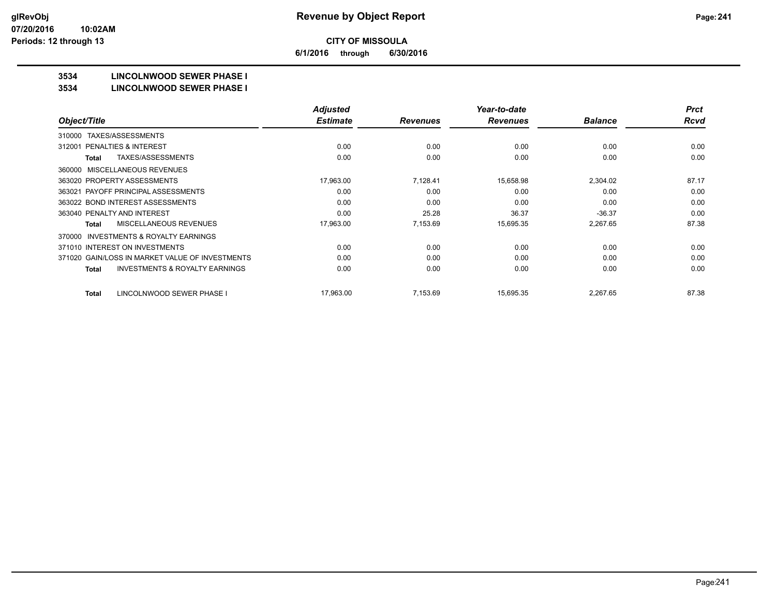**6/1/2016 through 6/30/2016**

## **3534 LINCOLNWOOD SEWER PHASE I**

#### **3534 LINCOLNWOOD SEWER PHASE I**

|                                                           | <b>Adjusted</b> |                 | Year-to-date    |                | <b>Prct</b> |
|-----------------------------------------------------------|-----------------|-----------------|-----------------|----------------|-------------|
| Object/Title                                              | <b>Estimate</b> | <b>Revenues</b> | <b>Revenues</b> | <b>Balance</b> | <b>Rcvd</b> |
| TAXES/ASSESSMENTS<br>310000                               |                 |                 |                 |                |             |
| <b>PENALTIES &amp; INTEREST</b><br>312001                 | 0.00            | 0.00            | 0.00            | 0.00           | 0.00        |
| TAXES/ASSESSMENTS<br><b>Total</b>                         | 0.00            | 0.00            | 0.00            | 0.00           | 0.00        |
| MISCELLANEOUS REVENUES<br>360000                          |                 |                 |                 |                |             |
| 363020 PROPERTY ASSESSMENTS                               | 17,963.00       | 7,128.41        | 15,658.98       | 2,304.02       | 87.17       |
| 363021 PAYOFF PRINCIPAL ASSESSMENTS                       | 0.00            | 0.00            | 0.00            | 0.00           | 0.00        |
| 363022 BOND INTEREST ASSESSMENTS                          | 0.00            | 0.00            | 0.00            | 0.00           | 0.00        |
| 363040 PENALTY AND INTEREST                               | 0.00            | 25.28           | 36.37           | $-36.37$       | 0.00        |
| <b>MISCELLANEOUS REVENUES</b><br><b>Total</b>             | 17,963.00       | 7,153.69        | 15,695.35       | 2,267.65       | 87.38       |
| <b>INVESTMENTS &amp; ROYALTY EARNINGS</b><br>370000       |                 |                 |                 |                |             |
| 371010 INTEREST ON INVESTMENTS                            | 0.00            | 0.00            | 0.00            | 0.00           | 0.00        |
| 371020 GAIN/LOSS IN MARKET VALUE OF INVESTMENTS           | 0.00            | 0.00            | 0.00            | 0.00           | 0.00        |
| <b>INVESTMENTS &amp; ROYALTY EARNINGS</b><br><b>Total</b> | 0.00            | 0.00            | 0.00            | 0.00           | 0.00        |
| LINCOLNWOOD SEWER PHASE I<br><b>Total</b>                 | 17,963.00       | 7,153.69        | 15,695.35       | 2,267.65       | 87.38       |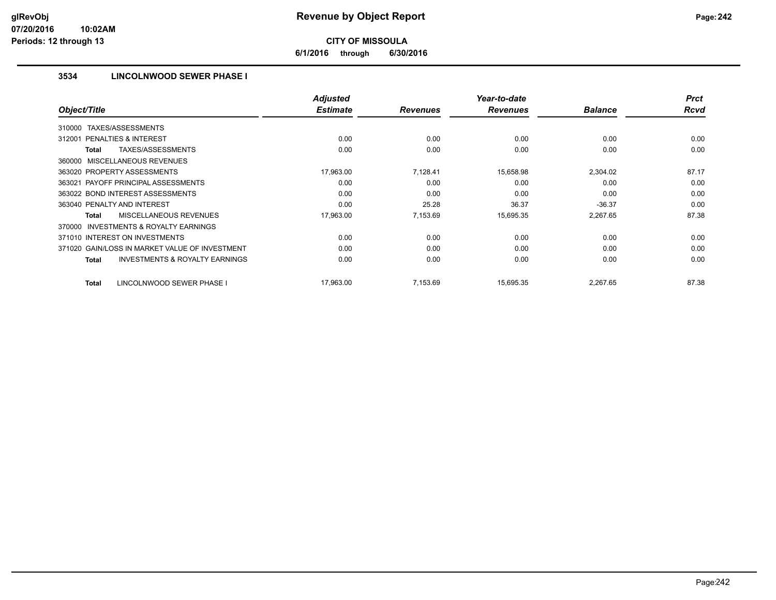**6/1/2016 through 6/30/2016**

## **3534 LINCOLNWOOD SEWER PHASE I**

| Object/Title                                              | <b>Adjusted</b><br><b>Estimate</b> | <b>Revenues</b> | Year-to-date<br><b>Revenues</b> | <b>Balance</b> | <b>Prct</b><br><b>Rcvd</b> |
|-----------------------------------------------------------|------------------------------------|-----------------|---------------------------------|----------------|----------------------------|
|                                                           |                                    |                 |                                 |                |                            |
| TAXES/ASSESSMENTS<br>310000                               |                                    |                 |                                 |                |                            |
| 312001 PENALTIES & INTEREST                               | 0.00                               | 0.00            | 0.00                            | 0.00           | 0.00                       |
| <b>TAXES/ASSESSMENTS</b><br><b>Total</b>                  | 0.00                               | 0.00            | 0.00                            | 0.00           | 0.00                       |
| 360000 MISCELLANEOUS REVENUES                             |                                    |                 |                                 |                |                            |
| 363020 PROPERTY ASSESSMENTS                               | 17,963.00                          | 7,128.41        | 15,658.98                       | 2,304.02       | 87.17                      |
| 363021 PAYOFF PRINCIPAL ASSESSMENTS                       | 0.00                               | 0.00            | 0.00                            | 0.00           | 0.00                       |
| 363022 BOND INTEREST ASSESSMENTS                          | 0.00                               | 0.00            | 0.00                            | 0.00           | 0.00                       |
| 363040 PENALTY AND INTEREST                               | 0.00                               | 25.28           | 36.37                           | $-36.37$       | 0.00                       |
| MISCELLANEOUS REVENUES<br><b>Total</b>                    | 17,963.00                          | 7,153.69        | 15,695.35                       | 2,267.65       | 87.38                      |
| <b>INVESTMENTS &amp; ROYALTY EARNINGS</b><br>370000       |                                    |                 |                                 |                |                            |
| 371010 INTEREST ON INVESTMENTS                            | 0.00                               | 0.00            | 0.00                            | 0.00           | 0.00                       |
| 371020 GAIN/LOSS IN MARKET VALUE OF INVESTMENT            | 0.00                               | 0.00            | 0.00                            | 0.00           | 0.00                       |
| <b>INVESTMENTS &amp; ROYALTY EARNINGS</b><br><b>Total</b> | 0.00                               | 0.00            | 0.00                            | 0.00           | 0.00                       |
| LINCOLNWOOD SEWER PHASE I<br><b>Total</b>                 | 17,963.00                          | 7,153.69        | 15,695.35                       | 2,267.65       | 87.38                      |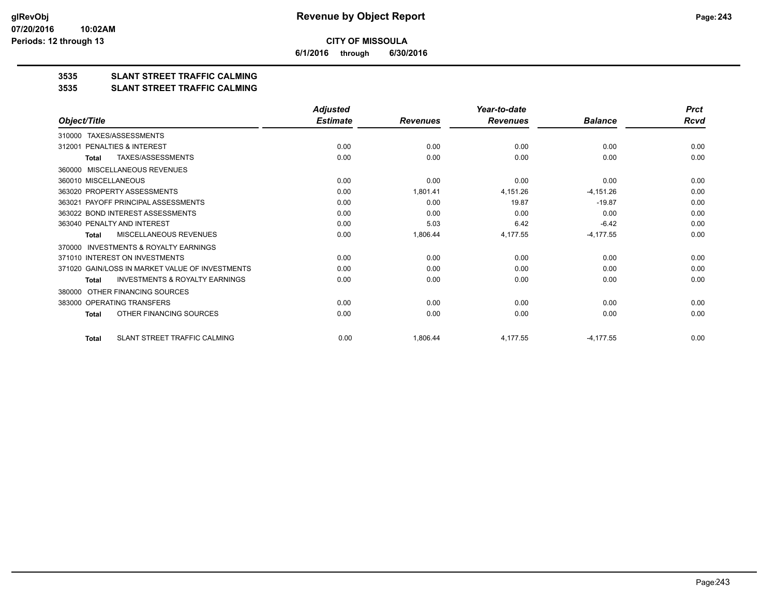**6/1/2016 through 6/30/2016**

## **3535 SLANT STREET TRAFFIC CALMING**

#### **3535 SLANT STREET TRAFFIC CALMING**

|                                                           | <b>Adjusted</b> |                 | Year-to-date    |                | <b>Prct</b> |
|-----------------------------------------------------------|-----------------|-----------------|-----------------|----------------|-------------|
| Object/Title                                              | <b>Estimate</b> | <b>Revenues</b> | <b>Revenues</b> | <b>Balance</b> | Rcvd        |
| TAXES/ASSESSMENTS<br>310000                               |                 |                 |                 |                |             |
| PENALTIES & INTEREST<br>312001                            | 0.00            | 0.00            | 0.00            | 0.00           | 0.00        |
| <b>TAXES/ASSESSMENTS</b><br><b>Total</b>                  | 0.00            | 0.00            | 0.00            | 0.00           | 0.00        |
| <b>MISCELLANEOUS REVENUES</b><br>360000                   |                 |                 |                 |                |             |
| 360010 MISCELLANEOUS                                      | 0.00            | 0.00            | 0.00            | 0.00           | 0.00        |
| 363020 PROPERTY ASSESSMENTS                               | 0.00            | 1,801.41        | 4,151.26        | $-4,151.26$    | 0.00        |
| 363021 PAYOFF PRINCIPAL ASSESSMENTS                       | 0.00            | 0.00            | 19.87           | $-19.87$       | 0.00        |
| 363022 BOND INTEREST ASSESSMENTS                          | 0.00            | 0.00            | 0.00            | 0.00           | 0.00        |
| 363040 PENALTY AND INTEREST                               | 0.00            | 5.03            | 6.42            | $-6.42$        | 0.00        |
| <b>MISCELLANEOUS REVENUES</b><br><b>Total</b>             | 0.00            | 1,806.44        | 4,177.55        | $-4,177.55$    | 0.00        |
| INVESTMENTS & ROYALTY EARNINGS<br>370000                  |                 |                 |                 |                |             |
| 371010 INTEREST ON INVESTMENTS                            | 0.00            | 0.00            | 0.00            | 0.00           | 0.00        |
| 371020 GAIN/LOSS IN MARKET VALUE OF INVESTMENTS           | 0.00            | 0.00            | 0.00            | 0.00           | 0.00        |
| <b>INVESTMENTS &amp; ROYALTY EARNINGS</b><br><b>Total</b> | 0.00            | 0.00            | 0.00            | 0.00           | 0.00        |
| OTHER FINANCING SOURCES<br>380000                         |                 |                 |                 |                |             |
| 383000 OPERATING TRANSFERS                                | 0.00            | 0.00            | 0.00            | 0.00           | 0.00        |
| OTHER FINANCING SOURCES<br><b>Total</b>                   | 0.00            | 0.00            | 0.00            | 0.00           | 0.00        |
| SLANT STREET TRAFFIC CALMING<br><b>Total</b>              | 0.00            | 1,806.44        | 4,177.55        | $-4, 177.55$   | 0.00        |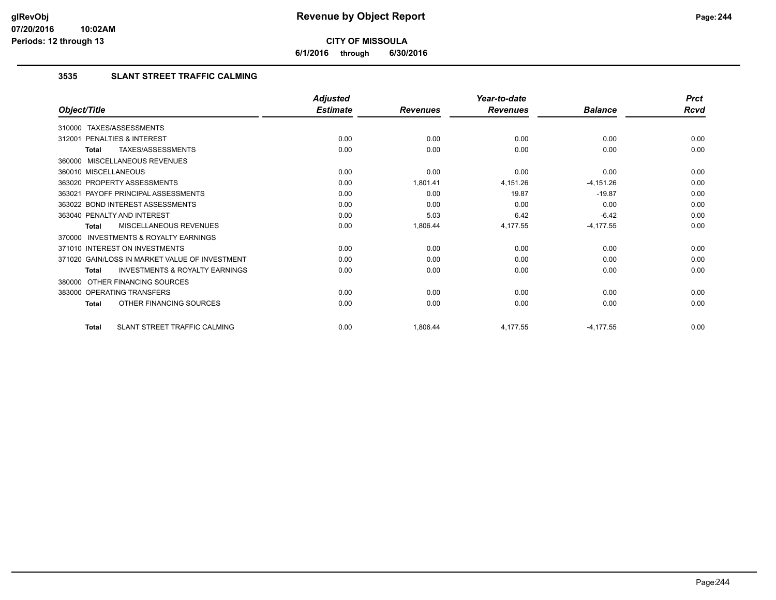**6/1/2016 through 6/30/2016**

## **3535 SLANT STREET TRAFFIC CALMING**

|                                                    | <b>Adjusted</b> |                 | Year-to-date    |                | <b>Prct</b> |
|----------------------------------------------------|-----------------|-----------------|-----------------|----------------|-------------|
| Object/Title                                       | <b>Estimate</b> | <b>Revenues</b> | <b>Revenues</b> | <b>Balance</b> | Rcvd        |
| 310000 TAXES/ASSESSMENTS                           |                 |                 |                 |                |             |
| PENALTIES & INTEREST<br>312001                     | 0.00            | 0.00            | 0.00            | 0.00           | 0.00        |
| <b>TAXES/ASSESSMENTS</b><br><b>Total</b>           | 0.00            | 0.00            | 0.00            | 0.00           | 0.00        |
| 360000 MISCELLANEOUS REVENUES                      |                 |                 |                 |                |             |
| 360010 MISCELLANEOUS                               | 0.00            | 0.00            | 0.00            | 0.00           | 0.00        |
| 363020 PROPERTY ASSESSMENTS                        | 0.00            | 1,801.41        | 4,151.26        | $-4,151.26$    | 0.00        |
| 363021 PAYOFF PRINCIPAL ASSESSMENTS                | 0.00            | 0.00            | 19.87           | $-19.87$       | 0.00        |
| 363022 BOND INTEREST ASSESSMENTS                   | 0.00            | 0.00            | 0.00            | 0.00           | 0.00        |
| 363040 PENALTY AND INTEREST                        | 0.00            | 5.03            | 6.42            | $-6.42$        | 0.00        |
| MISCELLANEOUS REVENUES<br><b>Total</b>             | 0.00            | 1,806.44        | 4,177.55        | $-4,177.55$    | 0.00        |
| 370000 INVESTMENTS & ROYALTY EARNINGS              |                 |                 |                 |                |             |
| 371010 INTEREST ON INVESTMENTS                     | 0.00            | 0.00            | 0.00            | 0.00           | 0.00        |
| 371020 GAIN/LOSS IN MARKET VALUE OF INVESTMENT     | 0.00            | 0.00            | 0.00            | 0.00           | 0.00        |
| <b>INVESTMENTS &amp; ROYALTY EARNINGS</b><br>Total | 0.00            | 0.00            | 0.00            | 0.00           | 0.00        |
| 380000 OTHER FINANCING SOURCES                     |                 |                 |                 |                |             |
| 383000 OPERATING TRANSFERS                         | 0.00            | 0.00            | 0.00            | 0.00           | 0.00        |
| OTHER FINANCING SOURCES<br>Total                   | 0.00            | 0.00            | 0.00            | 0.00           | 0.00        |
| SLANT STREET TRAFFIC CALMING<br><b>Total</b>       | 0.00            | 1,806.44        | 4,177.55        | $-4, 177.55$   | 0.00        |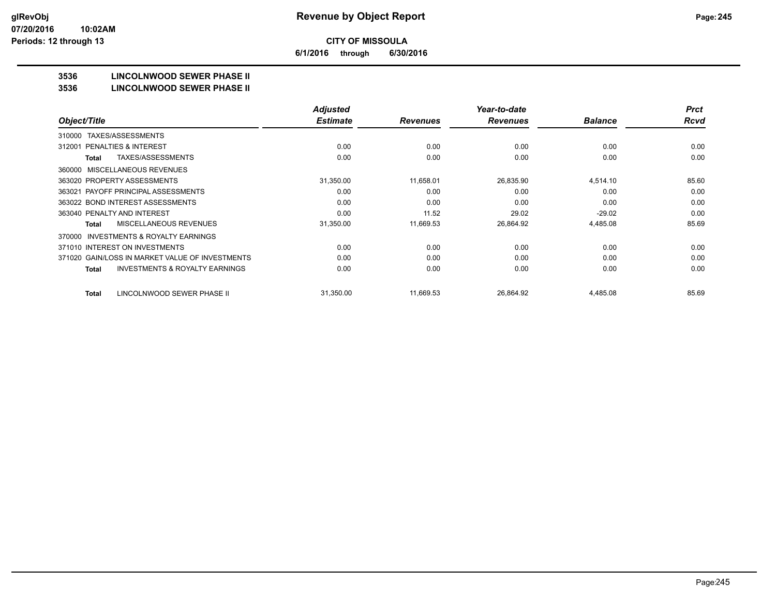**6/1/2016 through 6/30/2016**

## **3536 LINCOLNWOOD SEWER PHASE II**

#### **3536 LINCOLNWOOD SEWER PHASE II**

|                                                    | <b>Adjusted</b> |                 | Year-to-date    |                | <b>Prct</b> |
|----------------------------------------------------|-----------------|-----------------|-----------------|----------------|-------------|
| Object/Title                                       | <b>Estimate</b> | <b>Revenues</b> | <b>Revenues</b> | <b>Balance</b> | <b>Rcvd</b> |
| TAXES/ASSESSMENTS<br>310000                        |                 |                 |                 |                |             |
| PENALTIES & INTEREST<br>312001                     | 0.00            | 0.00            | 0.00            | 0.00           | 0.00        |
| TAXES/ASSESSMENTS<br>Total                         | 0.00            | 0.00            | 0.00            | 0.00           | 0.00        |
| MISCELLANEOUS REVENUES<br>360000                   |                 |                 |                 |                |             |
| 363020 PROPERTY ASSESSMENTS                        | 31,350.00       | 11,658.01       | 26,835.90       | 4,514.10       | 85.60       |
| 363021 PAYOFF PRINCIPAL ASSESSMENTS                | 0.00            | 0.00            | 0.00            | 0.00           | 0.00        |
| 363022 BOND INTEREST ASSESSMENTS                   | 0.00            | 0.00            | 0.00            | 0.00           | 0.00        |
| 363040 PENALTY AND INTEREST                        | 0.00            | 11.52           | 29.02           | $-29.02$       | 0.00        |
| MISCELLANEOUS REVENUES<br>Total                    | 31,350.00       | 11,669.53       | 26,864.92       | 4,485.08       | 85.69       |
| INVESTMENTS & ROYALTY EARNINGS<br>370000           |                 |                 |                 |                |             |
| 371010 INTEREST ON INVESTMENTS                     | 0.00            | 0.00            | 0.00            | 0.00           | 0.00        |
| 371020 GAIN/LOSS IN MARKET VALUE OF INVESTMENTS    | 0.00            | 0.00            | 0.00            | 0.00           | 0.00        |
| <b>INVESTMENTS &amp; ROYALTY EARNINGS</b><br>Total | 0.00            | 0.00            | 0.00            | 0.00           | 0.00        |
| LINCOLNWOOD SEWER PHASE II<br><b>Total</b>         | 31,350.00       | 11,669.53       | 26,864.92       | 4,485.08       | 85.69       |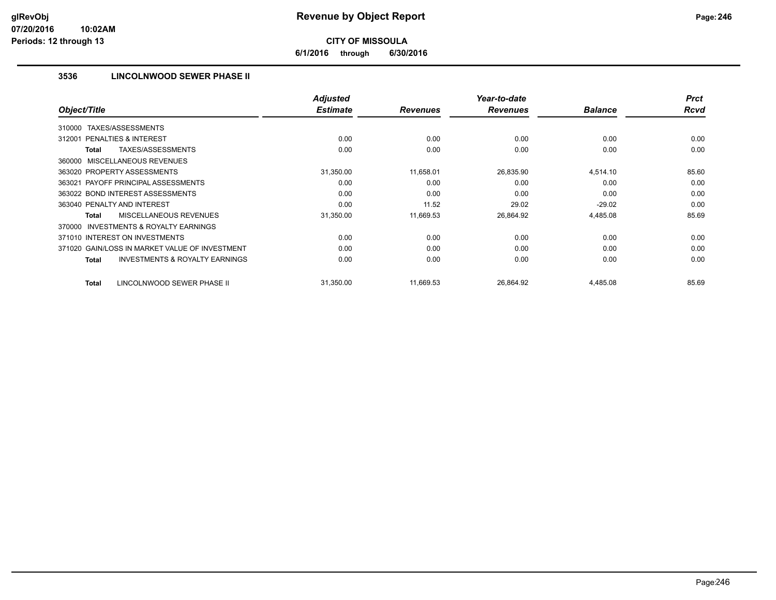**6/1/2016 through 6/30/2016**

## **3536 LINCOLNWOOD SEWER PHASE II**

|                                                           | <b>Adjusted</b> |                 | Year-to-date    |                | <b>Prct</b> |
|-----------------------------------------------------------|-----------------|-----------------|-----------------|----------------|-------------|
| Object/Title                                              | <b>Estimate</b> | <b>Revenues</b> | <b>Revenues</b> | <b>Balance</b> | <b>Rcvd</b> |
| TAXES/ASSESSMENTS<br>310000                               |                 |                 |                 |                |             |
| 312001 PENALTIES & INTEREST                               | 0.00            | 0.00            | 0.00            | 0.00           | 0.00        |
| <b>TAXES/ASSESSMENTS</b><br><b>Total</b>                  | 0.00            | 0.00            | 0.00            | 0.00           | 0.00        |
| 360000 MISCELLANEOUS REVENUES                             |                 |                 |                 |                |             |
| 363020 PROPERTY ASSESSMENTS                               | 31,350.00       | 11,658.01       | 26,835.90       | 4,514.10       | 85.60       |
| 363021 PAYOFF PRINCIPAL ASSESSMENTS                       | 0.00            | 0.00            | 0.00            | 0.00           | 0.00        |
| 363022 BOND INTEREST ASSESSMENTS                          | 0.00            | 0.00            | 0.00            | 0.00           | 0.00        |
| 363040 PENALTY AND INTEREST                               | 0.00            | 11.52           | 29.02           | $-29.02$       | 0.00        |
| MISCELLANEOUS REVENUES<br><b>Total</b>                    | 31,350.00       | 11,669.53       | 26,864.92       | 4,485.08       | 85.69       |
| <b>INVESTMENTS &amp; ROYALTY EARNINGS</b><br>370000       |                 |                 |                 |                |             |
| 371010 INTEREST ON INVESTMENTS                            | 0.00            | 0.00            | 0.00            | 0.00           | 0.00        |
| 371020 GAIN/LOSS IN MARKET VALUE OF INVESTMENT            | 0.00            | 0.00            | 0.00            | 0.00           | 0.00        |
| <b>INVESTMENTS &amp; ROYALTY EARNINGS</b><br><b>Total</b> | 0.00            | 0.00            | 0.00            | 0.00           | 0.00        |
| LINCOLNWOOD SEWER PHASE II<br><b>Total</b>                | 31,350.00       | 11,669.53       | 26,864.92       | 4,485.08       | 85.69       |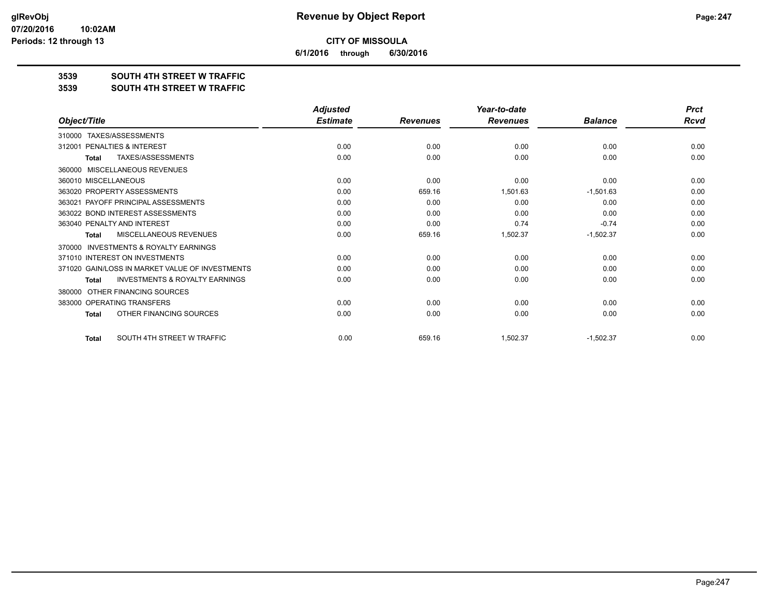**6/1/2016 through 6/30/2016**

#### **3539 SOUTH 4TH STREET W TRAFFIC**

#### **3539 SOUTH 4TH STREET W TRAFFIC**

|                                                     | <b>Adjusted</b> |                 | Year-to-date    |                | <b>Prct</b> |
|-----------------------------------------------------|-----------------|-----------------|-----------------|----------------|-------------|
| Object/Title                                        | <b>Estimate</b> | <b>Revenues</b> | <b>Revenues</b> | <b>Balance</b> | Rcvd        |
| TAXES/ASSESSMENTS<br>310000                         |                 |                 |                 |                |             |
| PENALTIES & INTEREST<br>312001                      | 0.00            | 0.00            | 0.00            | 0.00           | 0.00        |
| TAXES/ASSESSMENTS<br><b>Total</b>                   | 0.00            | 0.00            | 0.00            | 0.00           | 0.00        |
| MISCELLANEOUS REVENUES<br>360000                    |                 |                 |                 |                |             |
| 360010 MISCELLANEOUS                                | 0.00            | 0.00            | 0.00            | 0.00           | 0.00        |
| 363020 PROPERTY ASSESSMENTS                         | 0.00            | 659.16          | 1,501.63        | $-1,501.63$    | 0.00        |
| PAYOFF PRINCIPAL ASSESSMENTS<br>363021              | 0.00            | 0.00            | 0.00            | 0.00           | 0.00        |
| 363022 BOND INTEREST ASSESSMENTS                    | 0.00            | 0.00            | 0.00            | 0.00           | 0.00        |
| 363040 PENALTY AND INTEREST                         | 0.00            | 0.00            | 0.74            | $-0.74$        | 0.00        |
| MISCELLANEOUS REVENUES<br>Total                     | 0.00            | 659.16          | 1,502.37        | $-1,502.37$    | 0.00        |
| <b>INVESTMENTS &amp; ROYALTY EARNINGS</b><br>370000 |                 |                 |                 |                |             |
| 371010 INTEREST ON INVESTMENTS                      | 0.00            | 0.00            | 0.00            | 0.00           | 0.00        |
| 371020 GAIN/LOSS IN MARKET VALUE OF INVESTMENTS     | 0.00            | 0.00            | 0.00            | 0.00           | 0.00        |
| <b>INVESTMENTS &amp; ROYALTY EARNINGS</b><br>Total  | 0.00            | 0.00            | 0.00            | 0.00           | 0.00        |
| OTHER FINANCING SOURCES<br>380000                   |                 |                 |                 |                |             |
| 383000 OPERATING TRANSFERS                          | 0.00            | 0.00            | 0.00            | 0.00           | 0.00        |
| OTHER FINANCING SOURCES<br><b>Total</b>             | 0.00            | 0.00            | 0.00            | 0.00           | 0.00        |
| SOUTH 4TH STREET W TRAFFIC<br><b>Total</b>          | 0.00            | 659.16          | 1,502.37        | $-1,502.37$    | 0.00        |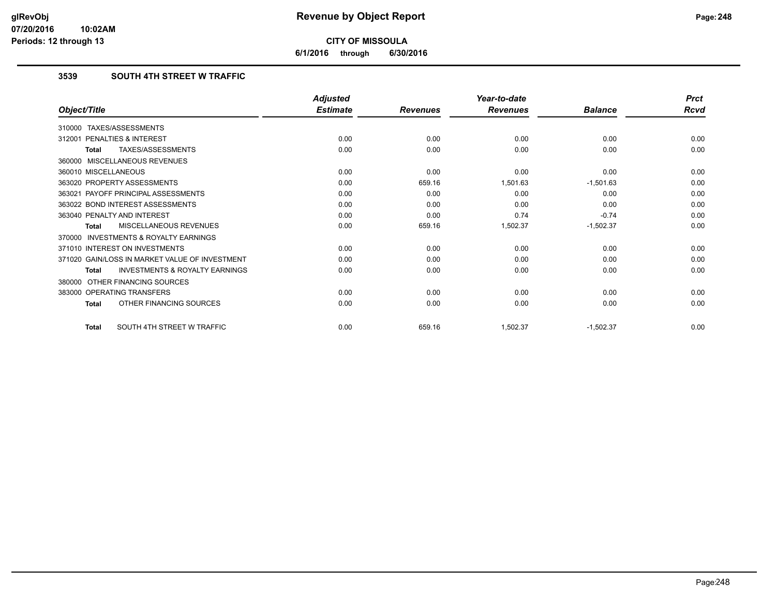**6/1/2016 through 6/30/2016**

## **3539 SOUTH 4TH STREET W TRAFFIC**

|                                                           | <b>Adjusted</b> |                 | Year-to-date    |                | <b>Prct</b> |
|-----------------------------------------------------------|-----------------|-----------------|-----------------|----------------|-------------|
| Object/Title                                              | <b>Estimate</b> | <b>Revenues</b> | <b>Revenues</b> | <b>Balance</b> | Rcvd        |
| 310000 TAXES/ASSESSMENTS                                  |                 |                 |                 |                |             |
| 312001 PENALTIES & INTEREST                               | 0.00            | 0.00            | 0.00            | 0.00           | 0.00        |
| <b>TAXES/ASSESSMENTS</b><br><b>Total</b>                  | 0.00            | 0.00            | 0.00            | 0.00           | 0.00        |
| 360000 MISCELLANEOUS REVENUES                             |                 |                 |                 |                |             |
| 360010 MISCELLANEOUS                                      | 0.00            | 0.00            | 0.00            | 0.00           | 0.00        |
| 363020 PROPERTY ASSESSMENTS                               | 0.00            | 659.16          | 1,501.63        | $-1,501.63$    | 0.00        |
| 363021 PAYOFF PRINCIPAL ASSESSMENTS                       | 0.00            | 0.00            | 0.00            | 0.00           | 0.00        |
| 363022 BOND INTEREST ASSESSMENTS                          | 0.00            | 0.00            | 0.00            | 0.00           | 0.00        |
| 363040 PENALTY AND INTEREST                               | 0.00            | 0.00            | 0.74            | $-0.74$        | 0.00        |
| <b>MISCELLANEOUS REVENUES</b><br><b>Total</b>             | 0.00            | 659.16          | 1,502.37        | $-1,502.37$    | 0.00        |
| <b>INVESTMENTS &amp; ROYALTY EARNINGS</b><br>370000       |                 |                 |                 |                |             |
| 371010 INTEREST ON INVESTMENTS                            | 0.00            | 0.00            | 0.00            | 0.00           | 0.00        |
| 371020 GAIN/LOSS IN MARKET VALUE OF INVESTMENT            | 0.00            | 0.00            | 0.00            | 0.00           | 0.00        |
| <b>INVESTMENTS &amp; ROYALTY EARNINGS</b><br><b>Total</b> | 0.00            | 0.00            | 0.00            | 0.00           | 0.00        |
| OTHER FINANCING SOURCES<br>380000                         |                 |                 |                 |                |             |
| 383000 OPERATING TRANSFERS                                | 0.00            | 0.00            | 0.00            | 0.00           | 0.00        |
| OTHER FINANCING SOURCES<br><b>Total</b>                   | 0.00            | 0.00            | 0.00            | 0.00           | 0.00        |
| SOUTH 4TH STREET W TRAFFIC<br>Total                       | 0.00            | 659.16          | 1,502.37        | $-1,502.37$    | 0.00        |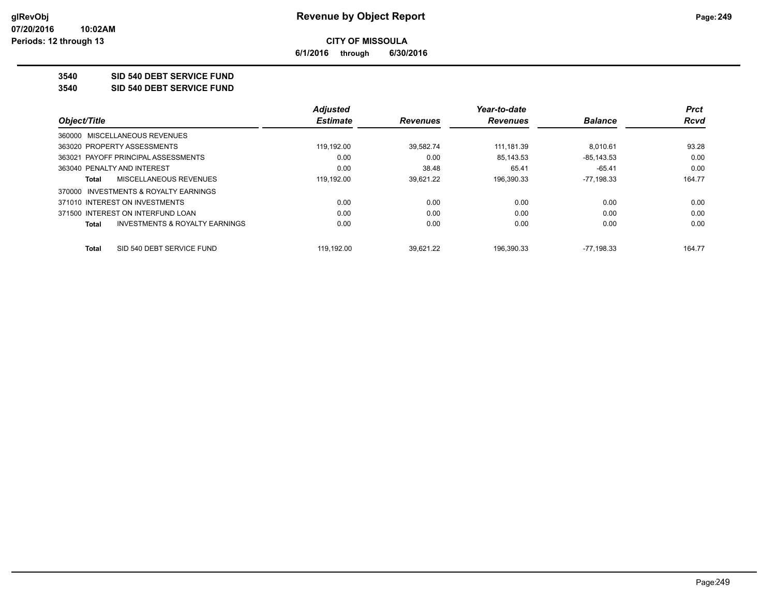**6/1/2016 through 6/30/2016**

**3540 SID 540 DEBT SERVICE FUND**

**3540 SID 540 DEBT SERVICE FUND**

|                                                    | <b>Adjusted</b> |                 | Year-to-date    |                | <b>Prct</b> |
|----------------------------------------------------|-----------------|-----------------|-----------------|----------------|-------------|
| Object/Title                                       | <b>Estimate</b> | <b>Revenues</b> | <b>Revenues</b> | <b>Balance</b> | Rcvd        |
| 360000 MISCELLANEOUS REVENUES                      |                 |                 |                 |                |             |
| 363020 PROPERTY ASSESSMENTS                        | 119.192.00      | 39.582.74       | 111.181.39      | 8.010.61       | 93.28       |
| 363021 PAYOFF PRINCIPAL ASSESSMENTS                | 0.00            | 0.00            | 85.143.53       | $-85.143.53$   | 0.00        |
| 363040 PENALTY AND INTEREST                        | 0.00            | 38.48           | 65.41           | $-65.41$       | 0.00        |
| MISCELLANEOUS REVENUES<br>Total                    | 119.192.00      | 39.621.22       | 196.390.33      | -77.198.33     | 164.77      |
| 370000 INVESTMENTS & ROYALTY EARNINGS              |                 |                 |                 |                |             |
| 371010 INTEREST ON INVESTMENTS                     | 0.00            | 0.00            | 0.00            | 0.00           | 0.00        |
| 371500 INTEREST ON INTERFUND LOAN                  | 0.00            | 0.00            | 0.00            | 0.00           | 0.00        |
| <b>INVESTMENTS &amp; ROYALTY EARNINGS</b><br>Total | 0.00            | 0.00            | 0.00            | 0.00           | 0.00        |
| SID 540 DEBT SERVICE FUND<br>Total                 | 119.192.00      | 39.621.22       | 196.390.33      | -77.198.33     | 164.77      |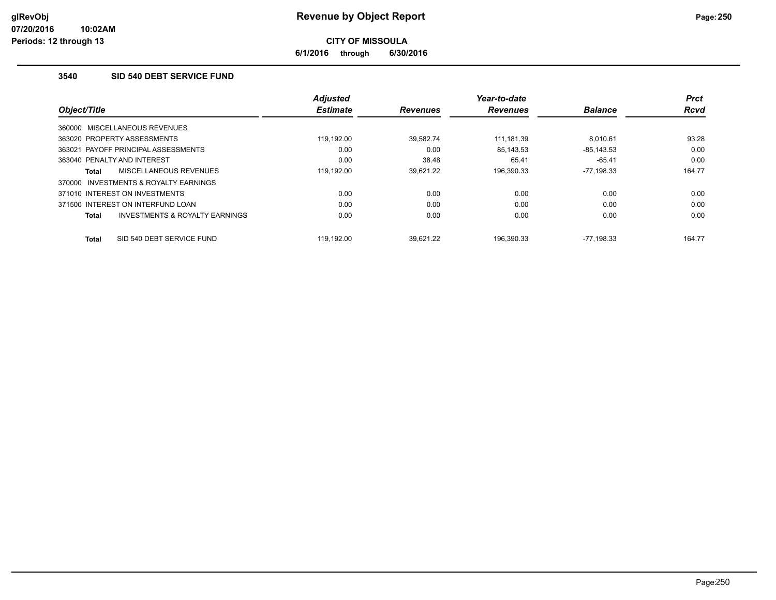**6/1/2016 through 6/30/2016**

## **3540 SID 540 DEBT SERVICE FUND**

| Object/Title                                              | <b>Adjusted</b><br><b>Estimate</b> | <b>Revenues</b> | Year-to-date<br><b>Revenues</b> | <b>Balance</b> | <b>Prct</b><br><b>Rcvd</b> |
|-----------------------------------------------------------|------------------------------------|-----------------|---------------------------------|----------------|----------------------------|
| 360000 MISCELLANEOUS REVENUES                             |                                    |                 |                                 |                |                            |
| 363020 PROPERTY ASSESSMENTS                               | 119.192.00                         | 39.582.74       | 111.181.39                      | 8.010.61       | 93.28                      |
| 363021 PAYOFF PRINCIPAL ASSESSMENTS                       | 0.00                               | 0.00            | 85.143.53                       | $-85.143.53$   | 0.00                       |
| 363040 PENALTY AND INTEREST                               | 0.00                               | 38.48           | 65.41                           | $-65.41$       | 0.00                       |
| <b>MISCELLANEOUS REVENUES</b><br><b>Total</b>             | 119.192.00                         | 39.621.22       | 196.390.33                      | $-77.198.33$   | 164.77                     |
| INVESTMENTS & ROYALTY EARNINGS<br>370000                  |                                    |                 |                                 |                |                            |
| 371010 INTEREST ON INVESTMENTS                            | 0.00                               | 0.00            | 0.00                            | 0.00           | 0.00                       |
| 371500 INTEREST ON INTERFUND LOAN                         | 0.00                               | 0.00            | 0.00                            | 0.00           | 0.00                       |
| <b>INVESTMENTS &amp; ROYALTY EARNINGS</b><br><b>Total</b> | 0.00                               | 0.00            | 0.00                            | 0.00           | 0.00                       |
| SID 540 DEBT SERVICE FUND<br><b>Total</b>                 | 119.192.00                         | 39.621.22       | 196.390.33                      | $-77.198.33$   | 164.77                     |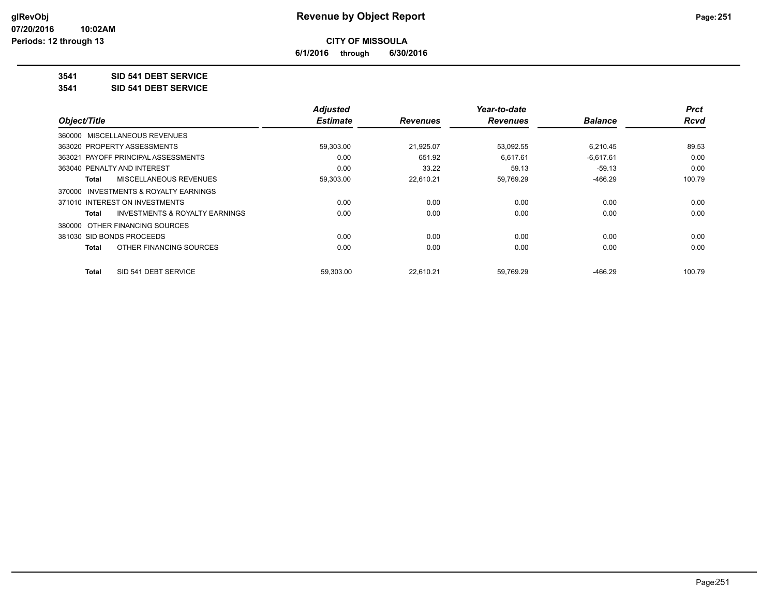**6/1/2016 through 6/30/2016**

**3541 SID 541 DEBT SERVICE**

**3541 SID 541 DEBT SERVICE**

|                                         | <b>Adjusted</b> |                 | Year-to-date    |                | <b>Prct</b> |
|-----------------------------------------|-----------------|-----------------|-----------------|----------------|-------------|
| Object/Title                            | <b>Estimate</b> | <b>Revenues</b> | <b>Revenues</b> | <b>Balance</b> | <b>Rcvd</b> |
| 360000 MISCELLANEOUS REVENUES           |                 |                 |                 |                |             |
| 363020 PROPERTY ASSESSMENTS             | 59,303.00       | 21,925.07       | 53,092.55       | 6,210.45       | 89.53       |
| 363021 PAYOFF PRINCIPAL ASSESSMENTS     | 0.00            | 651.92          | 6,617.61        | $-6.617.61$    | 0.00        |
| 363040 PENALTY AND INTEREST             | 0.00            | 33.22           | 59.13           | $-59.13$       | 0.00        |
| MISCELLANEOUS REVENUES<br>Total         | 59,303.00       | 22,610.21       | 59,769.29       | $-466.29$      | 100.79      |
| 370000 INVESTMENTS & ROYALTY EARNINGS   |                 |                 |                 |                |             |
| 371010 INTEREST ON INVESTMENTS          | 0.00            | 0.00            | 0.00            | 0.00           | 0.00        |
| INVESTMENTS & ROYALTY EARNINGS<br>Total | 0.00            | 0.00            | 0.00            | 0.00           | 0.00        |
| 380000 OTHER FINANCING SOURCES          |                 |                 |                 |                |             |
| 381030 SID BONDS PROCEEDS               | 0.00            | 0.00            | 0.00            | 0.00           | 0.00        |
| OTHER FINANCING SOURCES<br>Total        | 0.00            | 0.00            | 0.00            | 0.00           | 0.00        |
| SID 541 DEBT SERVICE<br>Total           | 59.303.00       | 22.610.21       | 59.769.29       | $-466.29$      | 100.79      |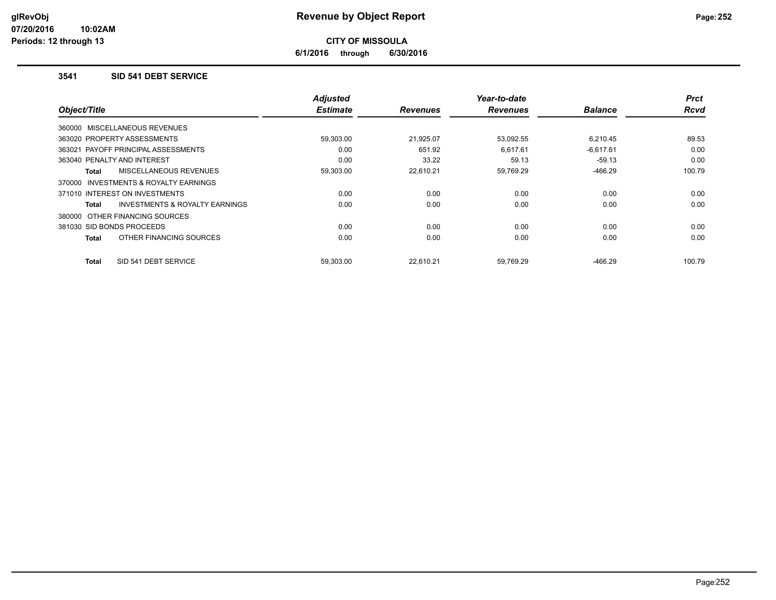**6/1/2016 through 6/30/2016**

#### **3541 SID 541 DEBT SERVICE**

| Object/Title                                              | <b>Adjusted</b><br><b>Estimate</b> | <b>Revenues</b> | Year-to-date<br><b>Revenues</b> | <b>Balance</b> | <b>Prct</b><br><b>Rcvd</b> |
|-----------------------------------------------------------|------------------------------------|-----------------|---------------------------------|----------------|----------------------------|
|                                                           |                                    |                 |                                 |                |                            |
| 360000 MISCELLANEOUS REVENUES                             |                                    |                 |                                 |                |                            |
| 363020 PROPERTY ASSESSMENTS                               | 59,303.00                          | 21,925.07       | 53,092.55                       | 6.210.45       | 89.53                      |
| 363021 PAYOFF PRINCIPAL ASSESSMENTS                       | 0.00                               | 651.92          | 6,617.61                        | $-6,617.61$    | 0.00                       |
| 363040 PENALTY AND INTEREST                               | 0.00                               | 33.22           | 59.13                           | $-59.13$       | 0.00                       |
| MISCELLANEOUS REVENUES<br>Total                           | 59,303.00                          | 22.610.21       | 59.769.29                       | $-466.29$      | 100.79                     |
| 370000 INVESTMENTS & ROYALTY EARNINGS                     |                                    |                 |                                 |                |                            |
| 371010 INTEREST ON INVESTMENTS                            | 0.00                               | 0.00            | 0.00                            | 0.00           | 0.00                       |
| <b>INVESTMENTS &amp; ROYALTY EARNINGS</b><br><b>Total</b> | 0.00                               | 0.00            | 0.00                            | 0.00           | 0.00                       |
| 380000 OTHER FINANCING SOURCES                            |                                    |                 |                                 |                |                            |
| 381030 SID BONDS PROCEEDS                                 | 0.00                               | 0.00            | 0.00                            | 0.00           | 0.00                       |
| OTHER FINANCING SOURCES<br><b>Total</b>                   | 0.00                               | 0.00            | 0.00                            | 0.00           | 0.00                       |
| SID 541 DEBT SERVICE<br><b>Total</b>                      | 59,303.00                          | 22.610.21       | 59,769.29                       | $-466.29$      | 100.79                     |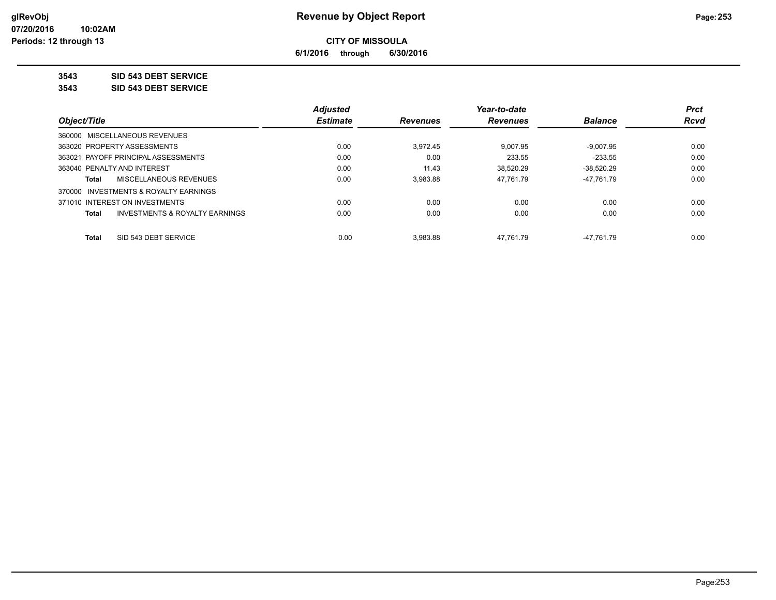**6/1/2016 through 6/30/2016**

**3543 SID 543 DEBT SERVICE**

**3543 SID 543 DEBT SERVICE**

|                                                    | <b>Adjusted</b> |                 | Year-to-date    |                | <b>Prct</b> |
|----------------------------------------------------|-----------------|-----------------|-----------------|----------------|-------------|
| Object/Title                                       | <b>Estimate</b> | <b>Revenues</b> | <b>Revenues</b> | <b>Balance</b> | <b>Rcvd</b> |
| 360000 MISCELLANEOUS REVENUES                      |                 |                 |                 |                |             |
| 363020 PROPERTY ASSESSMENTS                        | 0.00            | 3,972.45        | 9.007.95        | $-9,007.95$    | 0.00        |
| 363021 PAYOFF PRINCIPAL ASSESSMENTS                | 0.00            | 0.00            | 233.55          | $-233.55$      | 0.00        |
| 363040 PENALTY AND INTEREST                        | 0.00            | 11.43           | 38.520.29       | $-38.520.29$   | 0.00        |
| MISCELLANEOUS REVENUES<br>Total                    | 0.00            | 3.983.88        | 47.761.79       | -47.761.79     | 0.00        |
| 370000 INVESTMENTS & ROYALTY EARNINGS              |                 |                 |                 |                |             |
| 371010 INTEREST ON INVESTMENTS                     | 0.00            | 0.00            | 0.00            | 0.00           | 0.00        |
| <b>INVESTMENTS &amp; ROYALTY EARNINGS</b><br>Total | 0.00            | 0.00            | 0.00            | 0.00           | 0.00        |
| SID 543 DEBT SERVICE<br>Total                      | 0.00            | 3.983.88        | 47.761.79       | -47.761.79     | 0.00        |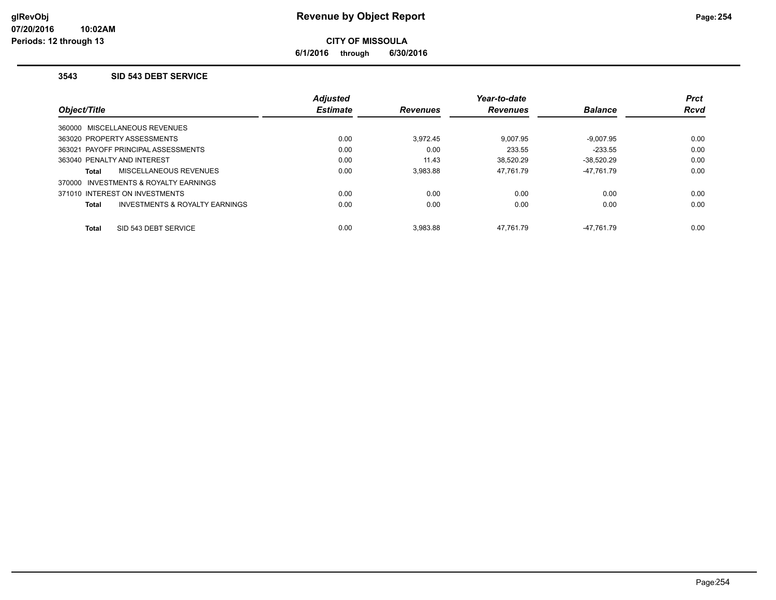**6/1/2016 through 6/30/2016**

## **3543 SID 543 DEBT SERVICE**

|                                     |                                | <b>Adjusted</b> |                 | Year-to-date    |                | <b>Prct</b> |
|-------------------------------------|--------------------------------|-----------------|-----------------|-----------------|----------------|-------------|
| Object/Title                        |                                | <b>Estimate</b> | <b>Revenues</b> | <b>Revenues</b> | <b>Balance</b> | <b>Rcvd</b> |
| 360000 MISCELLANEOUS REVENUES       |                                |                 |                 |                 |                |             |
| 363020 PROPERTY ASSESSMENTS         |                                | 0.00            | 3.972.45        | 9.007.95        | $-9.007.95$    | 0.00        |
| 363021 PAYOFF PRINCIPAL ASSESSMENTS |                                | 0.00            | 0.00            | 233.55          | $-233.55$      | 0.00        |
| 363040 PENALTY AND INTEREST         |                                | 0.00            | 11.43           | 38.520.29       | $-38.520.29$   | 0.00        |
| Total                               | MISCELLANEOUS REVENUES         | 0.00            | 3.983.88        | 47.761.79       | $-47.761.79$   | 0.00        |
| 370000                              | INVESTMENTS & ROYALTY EARNINGS |                 |                 |                 |                |             |
| 371010 INTEREST ON INVESTMENTS      |                                | 0.00            | 0.00            | 0.00            | 0.00           | 0.00        |
| Total                               | INVESTMENTS & ROYALTY EARNINGS | 0.00            | 0.00            | 0.00            | 0.00           | 0.00        |
| <b>Total</b>                        | SID 543 DEBT SERVICE           | 0.00            | 3.983.88        | 47.761.79       | $-47.761.79$   | 0.00        |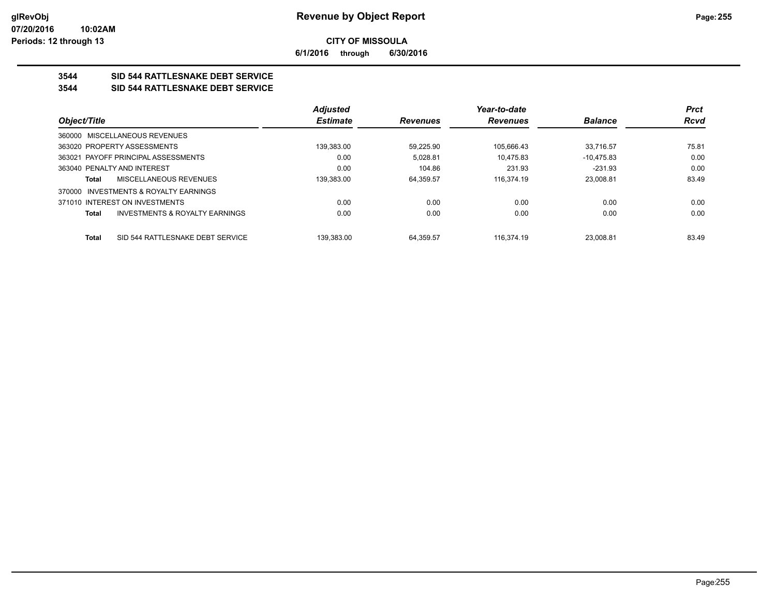**6/1/2016 through 6/30/2016**

# **3544 SID 544 RATTLESNAKE DEBT SERVICE**

## **3544 SID 544 RATTLESNAKE DEBT SERVICE**

|                                                    | <b>Adjusted</b> |                 | Year-to-date    |                | <b>Prct</b> |
|----------------------------------------------------|-----------------|-----------------|-----------------|----------------|-------------|
| Object/Title                                       | <b>Estimate</b> | <b>Revenues</b> | <b>Revenues</b> | <b>Balance</b> | <b>Rcvd</b> |
| 360000 MISCELLANEOUS REVENUES                      |                 |                 |                 |                |             |
| 363020 PROPERTY ASSESSMENTS                        | 139,383.00      | 59.225.90       | 105,666.43      | 33.716.57      | 75.81       |
| 363021 PAYOFF PRINCIPAL ASSESSMENTS                | 0.00            | 5.028.81        | 10.475.83       | $-10.475.83$   | 0.00        |
| 363040 PENALTY AND INTEREST                        | 0.00            | 104.86          | 231.93          | $-231.93$      | 0.00        |
| MISCELLANEOUS REVENUES<br>Total                    | 139.383.00      | 64.359.57       | 116.374.19      | 23.008.81      | 83.49       |
| 370000 INVESTMENTS & ROYALTY EARNINGS              |                 |                 |                 |                |             |
| 371010 INTEREST ON INVESTMENTS                     | 0.00            | 0.00            | 0.00            | 0.00           | 0.00        |
| <b>INVESTMENTS &amp; ROYALTY EARNINGS</b><br>Total | 0.00            | 0.00            | 0.00            | 0.00           | 0.00        |
|                                                    |                 |                 |                 |                |             |
| SID 544 RATTLESNAKE DEBT SERVICE<br>Total          | 139.383.00      | 64.359.57       | 116.374.19      | 23.008.81      | 83.49       |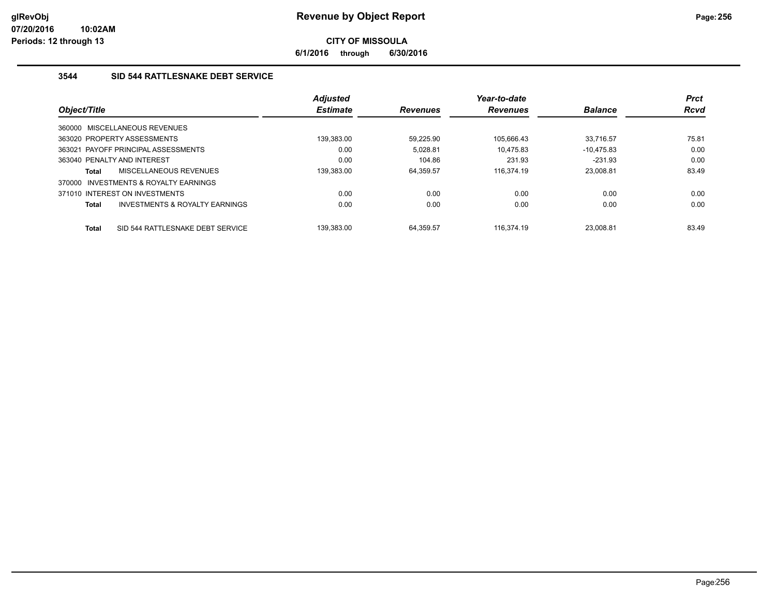**6/1/2016 through 6/30/2016**

## **3544 SID 544 RATTLESNAKE DEBT SERVICE**

|              |                                     | <b>Adjusted</b> |                 | Year-to-date    |                | <b>Prct</b> |
|--------------|-------------------------------------|-----------------|-----------------|-----------------|----------------|-------------|
| Object/Title |                                     | <b>Estimate</b> | <b>Revenues</b> | <b>Revenues</b> | <b>Balance</b> | <b>Rcvd</b> |
|              | 360000 MISCELLANEOUS REVENUES       |                 |                 |                 |                |             |
|              | 363020 PROPERTY ASSESSMENTS         | 139,383.00      | 59.225.90       | 105,666.43      | 33.716.57      | 75.81       |
|              | 363021 PAYOFF PRINCIPAL ASSESSMENTS | 0.00            | 5.028.81        | 10.475.83       | $-10.475.83$   | 0.00        |
|              | 363040 PENALTY AND INTEREST         | 0.00            | 104.86          | 231.93          | $-231.93$      | 0.00        |
| <b>Total</b> | MISCELLANEOUS REVENUES              | 139.383.00      | 64.359.57       | 116.374.19      | 23.008.81      | 83.49       |
| 370000       | INVESTMENTS & ROYALTY EARNINGS      |                 |                 |                 |                |             |
|              | 371010 INTEREST ON INVESTMENTS      | 0.00            | 0.00            | 0.00            | 0.00           | 0.00        |
| <b>Total</b> | INVESTMENTS & ROYALTY EARNINGS      | 0.00            | 0.00            | 0.00            | 0.00           | 0.00        |
| <b>Total</b> | SID 544 RATTLESNAKE DEBT SERVICE    | 139.383.00      | 64.359.57       | 116.374.19      | 23.008.81      | 83.49       |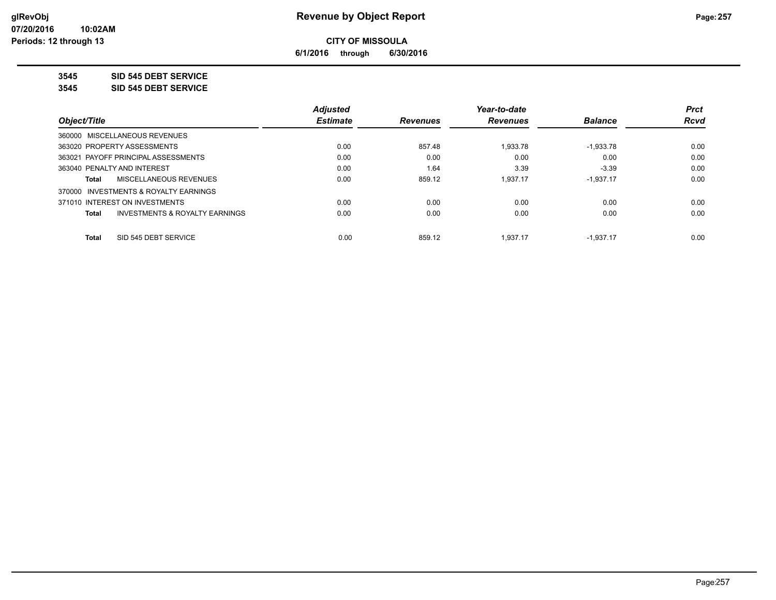**6/1/2016 through 6/30/2016**

**3545 SID 545 DEBT SERVICE**

**3545 SID 545 DEBT SERVICE**

|                                                    | <b>Adjusted</b> |                 | Year-to-date    |                | <b>Prct</b> |
|----------------------------------------------------|-----------------|-----------------|-----------------|----------------|-------------|
| Object/Title                                       | <b>Estimate</b> | <b>Revenues</b> | <b>Revenues</b> | <b>Balance</b> | <b>Rcvd</b> |
| 360000 MISCELLANEOUS REVENUES                      |                 |                 |                 |                |             |
| 363020 PROPERTY ASSESSMENTS                        | 0.00            | 857.48          | 1.933.78        | $-1.933.78$    | 0.00        |
| 363021 PAYOFF PRINCIPAL ASSESSMENTS                | 0.00            | 0.00            | 0.00            | 0.00           | 0.00        |
| 363040 PENALTY AND INTEREST                        | 0.00            | 1.64            | 3.39            | $-3.39$        | 0.00        |
| MISCELLANEOUS REVENUES<br>Total                    | 0.00            | 859.12          | 1.937.17        | $-1.937.17$    | 0.00        |
| 370000 INVESTMENTS & ROYALTY EARNINGS              |                 |                 |                 |                |             |
| 371010 INTEREST ON INVESTMENTS                     | 0.00            | 0.00            | 0.00            | 0.00           | 0.00        |
| <b>INVESTMENTS &amp; ROYALTY EARNINGS</b><br>Total | 0.00            | 0.00            | 0.00            | 0.00           | 0.00        |
| SID 545 DEBT SERVICE<br><b>Total</b>               | 0.00            | 859.12          | 1.937.17        | $-1.937.17$    | 0.00        |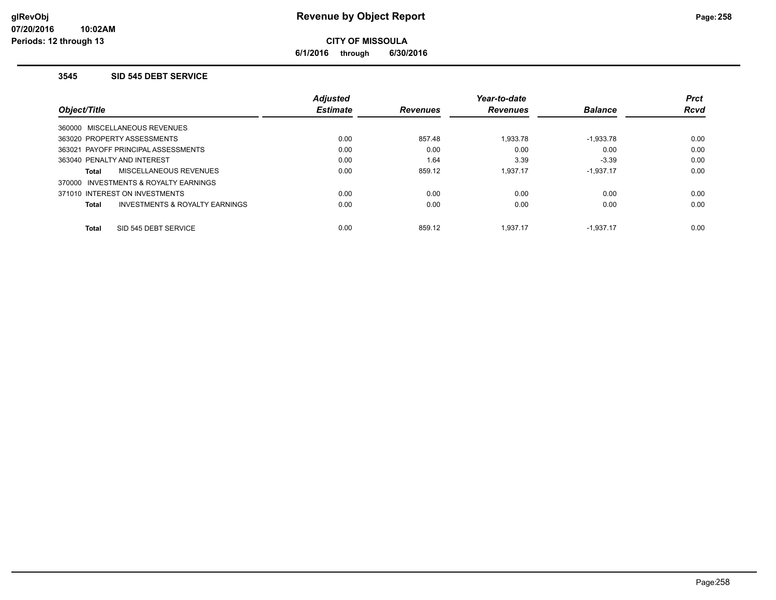**6/1/2016 through 6/30/2016**

### **3545 SID 545 DEBT SERVICE**

|                                                    | <b>Adjusted</b> |                 | Year-to-date    |                | <b>Prct</b> |
|----------------------------------------------------|-----------------|-----------------|-----------------|----------------|-------------|
| <b>Object/Title</b>                                | <b>Estimate</b> | <b>Revenues</b> | <b>Revenues</b> | <b>Balance</b> | <b>Rcvd</b> |
| 360000 MISCELLANEOUS REVENUES                      |                 |                 |                 |                |             |
| 363020 PROPERTY ASSESSMENTS                        | 0.00            | 857.48          | 1.933.78        | $-1,933.78$    | 0.00        |
| 363021 PAYOFF PRINCIPAL ASSESSMENTS                | 0.00            | 0.00            | 0.00            | 0.00           | 0.00        |
| 363040 PENALTY AND INTEREST                        | 0.00            | 1.64            | 3.39            | $-3.39$        | 0.00        |
| MISCELLANEOUS REVENUES<br>Total                    | 0.00            | 859.12          | 1.937.17        | $-1.937.17$    | 0.00        |
| INVESTMENTS & ROYALTY EARNINGS<br>370000           |                 |                 |                 |                |             |
| 371010 INTEREST ON INVESTMENTS                     | 0.00            | 0.00            | 0.00            | 0.00           | 0.00        |
| <b>INVESTMENTS &amp; ROYALTY EARNINGS</b><br>Total | 0.00            | 0.00            | 0.00            | 0.00           | 0.00        |
| SID 545 DEBT SERVICE<br><b>Total</b>               | 0.00            | 859.12          | 1.937.17        | $-1.937.17$    | 0.00        |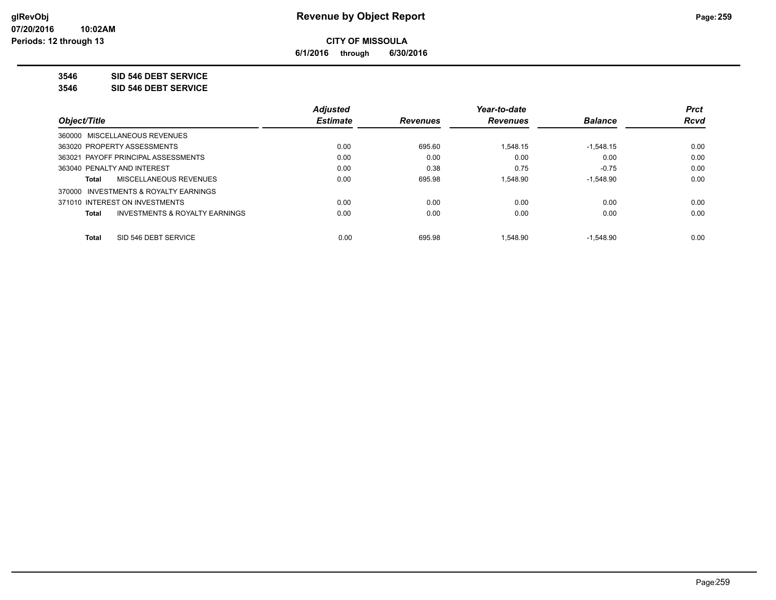**6/1/2016 through 6/30/2016**

**3546 SID 546 DEBT SERVICE**

**3546 SID 546 DEBT SERVICE**

|                                                           | <b>Adjusted</b> |                 | Year-to-date    |                | <b>Prct</b> |
|-----------------------------------------------------------|-----------------|-----------------|-----------------|----------------|-------------|
| Object/Title                                              | <b>Estimate</b> | <b>Revenues</b> | <b>Revenues</b> | <b>Balance</b> | Rcvd        |
| 360000 MISCELLANEOUS REVENUES                             |                 |                 |                 |                |             |
| 363020 PROPERTY ASSESSMENTS                               | 0.00            | 695.60          | 1,548.15        | $-1,548.15$    | 0.00        |
| 363021 PAYOFF PRINCIPAL ASSESSMENTS                       | 0.00            | 0.00            | 0.00            | 0.00           | 0.00        |
| 363040 PENALTY AND INTEREST                               | 0.00            | 0.38            | 0.75            | $-0.75$        | 0.00        |
| MISCELLANEOUS REVENUES<br>Total                           | 0.00            | 695.98          | 1.548.90        | $-1.548.90$    | 0.00        |
| 370000 INVESTMENTS & ROYALTY EARNINGS                     |                 |                 |                 |                |             |
| 371010 INTEREST ON INVESTMENTS                            | 0.00            | 0.00            | 0.00            | 0.00           | 0.00        |
| <b>INVESTMENTS &amp; ROYALTY EARNINGS</b><br><b>Total</b> | 0.00            | 0.00            | 0.00            | 0.00           | 0.00        |
| SID 546 DEBT SERVICE<br>Total                             | 0.00            | 695.98          | 1.548.90        | $-1.548.90$    | 0.00        |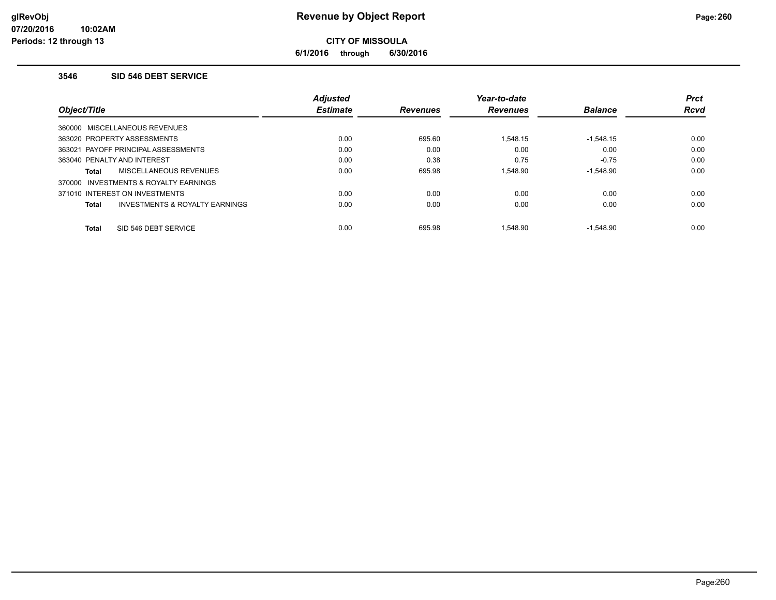**6/1/2016 through 6/30/2016**

## **3546 SID 546 DEBT SERVICE**

|                                                    | <b>Adjusted</b> |                 | Year-to-date    |                | <b>Prct</b> |
|----------------------------------------------------|-----------------|-----------------|-----------------|----------------|-------------|
| <i><b>Object/Title</b></i>                         | <b>Estimate</b> | <b>Revenues</b> | <b>Revenues</b> | <b>Balance</b> | <b>Rcvd</b> |
| 360000 MISCELLANEOUS REVENUES                      |                 |                 |                 |                |             |
| 363020 PROPERTY ASSESSMENTS                        |                 | 0.00<br>695.60  | 1.548.15        | $-1.548.15$    | 0.00        |
| 363021 PAYOFF PRINCIPAL ASSESSMENTS                |                 | 0.00<br>0.00    | 0.00            | 0.00           | 0.00        |
| 363040 PENALTY AND INTEREST                        |                 | 0.00<br>0.38    | 0.75            | $-0.75$        | 0.00        |
| MISCELLANEOUS REVENUES<br>Total                    |                 | 0.00<br>695.98  | 1.548.90        | $-1.548.90$    | 0.00        |
| INVESTMENTS & ROYALTY EARNINGS<br>370000           |                 |                 |                 |                |             |
| 371010 INTEREST ON INVESTMENTS                     |                 | 0.00<br>0.00    | 0.00            | 0.00           | 0.00        |
| <b>INVESTMENTS &amp; ROYALTY EARNINGS</b><br>Total |                 | 0.00<br>0.00    | 0.00            | 0.00           | 0.00        |
| SID 546 DEBT SERVICE<br><b>Total</b>               |                 | 0.00<br>695.98  | 1.548.90        | $-1.548.90$    | 0.00        |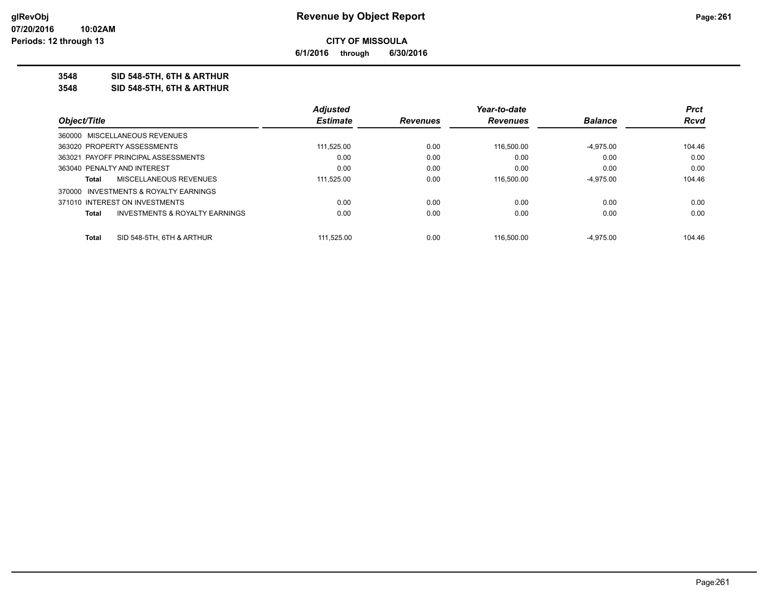**6/1/2016 through 6/30/2016**

**3548 SID 548-5TH, 6TH & ARTHUR**

**3548 SID 548-5TH, 6TH & ARTHUR**

|                                                    | <b>Adjusted</b> |                 | Year-to-date    |                | <b>Prct</b> |
|----------------------------------------------------|-----------------|-----------------|-----------------|----------------|-------------|
| Object/Title                                       | <b>Estimate</b> | <b>Revenues</b> | <b>Revenues</b> | <b>Balance</b> | Rcvd        |
| 360000 MISCELLANEOUS REVENUES                      |                 |                 |                 |                |             |
| 363020 PROPERTY ASSESSMENTS                        | 111,525.00      | 0.00            | 116.500.00      | $-4,975.00$    | 104.46      |
| 363021 PAYOFF PRINCIPAL ASSESSMENTS                | 0.00            | 0.00            | 0.00            | 0.00           | 0.00        |
| 363040 PENALTY AND INTEREST                        | 0.00            | 0.00            | 0.00            | 0.00           | 0.00        |
| MISCELLANEOUS REVENUES<br>Total                    | 111,525.00      | 0.00            | 116,500.00      | $-4.975.00$    | 104.46      |
| 370000 INVESTMENTS & ROYALTY EARNINGS              |                 |                 |                 |                |             |
| 371010 INTEREST ON INVESTMENTS                     | 0.00            | 0.00            | 0.00            | 0.00           | 0.00        |
| <b>INVESTMENTS &amp; ROYALTY EARNINGS</b><br>Total | 0.00            | 0.00            | 0.00            | 0.00           | 0.00        |
| SID 548-5TH, 6TH & ARTHUR<br>Total                 | 111.525.00      | 0.00            | 116.500.00      | -4.975.00      | 104.46      |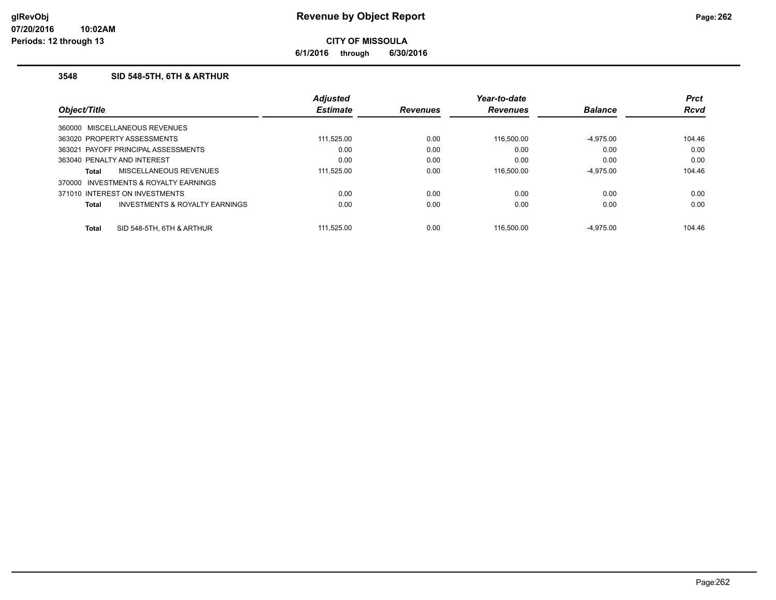**6/1/2016 through 6/30/2016**

## **3548 SID 548-5TH, 6TH & ARTHUR**

|              |                                           | <b>Adjusted</b> |                 | Year-to-date    |                | <b>Prct</b> |
|--------------|-------------------------------------------|-----------------|-----------------|-----------------|----------------|-------------|
| Object/Title |                                           | <b>Estimate</b> | <b>Revenues</b> | <b>Revenues</b> | <b>Balance</b> | <b>Rcvd</b> |
|              | 360000 MISCELLANEOUS REVENUES             |                 |                 |                 |                |             |
|              | 363020 PROPERTY ASSESSMENTS               | 111.525.00      | 0.00            | 116.500.00      | $-4,975.00$    | 104.46      |
|              | 363021 PAYOFF PRINCIPAL ASSESSMENTS       | 0.00            | 0.00            | 0.00            | 0.00           | 0.00        |
|              | 363040 PENALTY AND INTEREST               | 0.00            | 0.00            | 0.00            | 0.00           | 0.00        |
| Total        | <b>MISCELLANEOUS REVENUES</b>             | 111.525.00      | 0.00            | 116.500.00      | $-4.975.00$    | 104.46      |
| 370000       | INVESTMENTS & ROYALTY EARNINGS            |                 |                 |                 |                |             |
|              | 371010 INTEREST ON INVESTMENTS            | 0.00            | 0.00            | 0.00            | 0.00           | 0.00        |
| Total        | <b>INVESTMENTS &amp; ROYALTY EARNINGS</b> | 0.00            | 0.00            | 0.00            | 0.00           | 0.00        |
| <b>Total</b> | SID 548-5TH, 6TH & ARTHUR                 | 111.525.00      | 0.00            | 116.500.00      | $-4.975.00$    | 104.46      |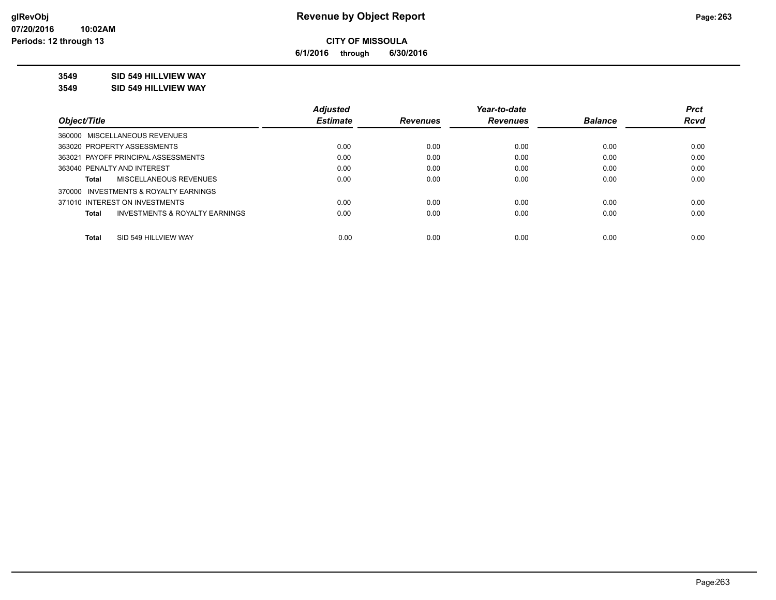**6/1/2016 through 6/30/2016**

## **3549 SID 549 HILLVIEW WAY**

**3549 SID 549 HILLVIEW WAY**

|                                                    | <b>Adjusted</b> |                 | Year-to-date    |                | <b>Prct</b> |
|----------------------------------------------------|-----------------|-----------------|-----------------|----------------|-------------|
| Object/Title                                       | <b>Estimate</b> | <b>Revenues</b> | <b>Revenues</b> | <b>Balance</b> | Rcvd        |
| 360000 MISCELLANEOUS REVENUES                      |                 |                 |                 |                |             |
| 363020 PROPERTY ASSESSMENTS                        | 0.00            | 0.00            | 0.00            | 0.00           | 0.00        |
| 363021 PAYOFF PRINCIPAL ASSESSMENTS                | 0.00            | 0.00            | 0.00            | 0.00           | 0.00        |
| 363040 PENALTY AND INTEREST                        | 0.00            | 0.00            | 0.00            | 0.00           | 0.00        |
| MISCELLANEOUS REVENUES<br>Total                    | 0.00            | 0.00            | 0.00            | 0.00           | 0.00        |
| 370000 INVESTMENTS & ROYALTY EARNINGS              |                 |                 |                 |                |             |
| 371010 INTEREST ON INVESTMENTS                     | 0.00            | 0.00            | 0.00            | 0.00           | 0.00        |
| <b>INVESTMENTS &amp; ROYALTY EARNINGS</b><br>Total | 0.00            | 0.00            | 0.00            | 0.00           | 0.00        |
| SID 549 HILLVIEW WAY<br>Total                      | 0.00            | 0.00            | 0.00            | 0.00           | 0.00        |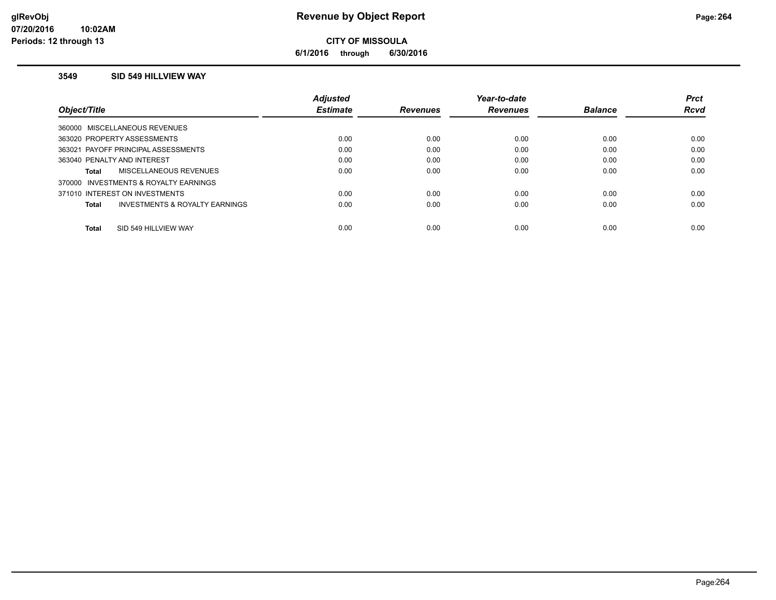**6/1/2016 through 6/30/2016**

## **3549 SID 549 HILLVIEW WAY**

|                                                | <b>Adiusted</b> |                 | Year-to-date    |                | <b>Prct</b> |
|------------------------------------------------|-----------------|-----------------|-----------------|----------------|-------------|
| Obiect/Title                                   | <b>Estimate</b> | <b>Revenues</b> | <b>Revenues</b> | <b>Balance</b> | <b>Rcvd</b> |
| 360000 MISCELLANEOUS REVENUES                  |                 |                 |                 |                |             |
| 363020 PROPERTY ASSESSMENTS                    | 0.00            | 0.00            | 0.00            | 0.00           | 0.00        |
| 363021 PAYOFF PRINCIPAL ASSESSMENTS            | 0.00            | 0.00            | 0.00            | 0.00           | 0.00        |
| 363040 PENALTY AND INTEREST                    | 0.00            | 0.00            | 0.00            | 0.00           | 0.00        |
| MISCELLANEOUS REVENUES<br><b>Total</b>         | 0.00            | 0.00            | 0.00            | 0.00           | 0.00        |
| 370000 INVESTMENTS & ROYALTY EARNINGS          |                 |                 |                 |                |             |
| 371010 INTEREST ON INVESTMENTS                 | 0.00            | 0.00            | 0.00            | 0.00           | 0.00        |
| INVESTMENTS & ROYALTY EARNINGS<br><b>Total</b> | 0.00            | 0.00            | 0.00            | 0.00           | 0.00        |
| SID 549 HILLVIEW WAY<br><b>Total</b>           | 0.00            | 0.00            | 0.00            | 0.00           | 0.00        |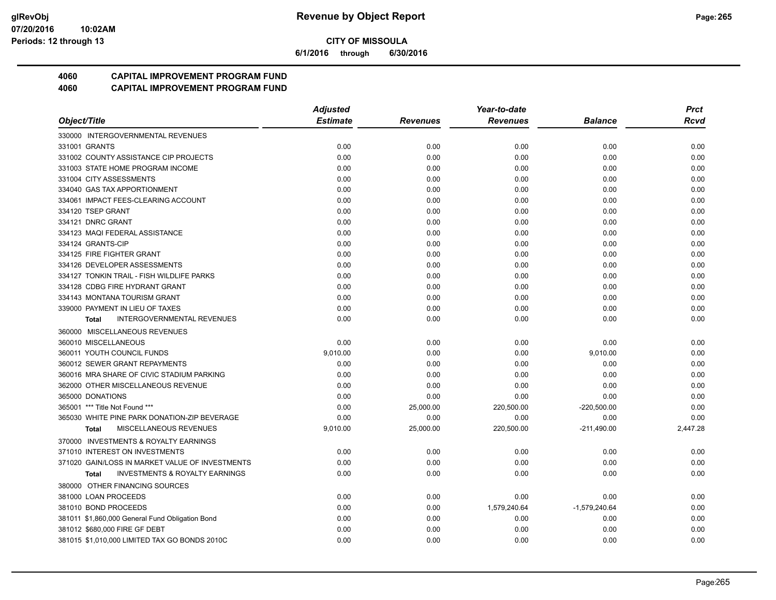**6/1/2016 through 6/30/2016**

## **4060 CAPITAL IMPROVEMENT PROGRAM FUND**

|                                                           | <b>Adjusted</b> |                 | Year-to-date    |                 | <b>Prct</b> |
|-----------------------------------------------------------|-----------------|-----------------|-----------------|-----------------|-------------|
| Object/Title                                              | <b>Estimate</b> | <b>Revenues</b> | <b>Revenues</b> | Balance         | Rcvd        |
| 330000 INTERGOVERNMENTAL REVENUES                         |                 |                 |                 |                 |             |
| 331001 GRANTS                                             | 0.00            | 0.00            | 0.00            | 0.00            | 0.00        |
| 331002 COUNTY ASSISTANCE CIP PROJECTS                     | 0.00            | 0.00            | 0.00            | 0.00            | 0.00        |
| 331003 STATE HOME PROGRAM INCOME                          | 0.00            | 0.00            | 0.00            | 0.00            | 0.00        |
| 331004 CITY ASSESSMENTS                                   | 0.00            | 0.00            | 0.00            | 0.00            | 0.00        |
| 334040 GAS TAX APPORTIONMENT                              | 0.00            | 0.00            | 0.00            | 0.00            | 0.00        |
| 334061 IMPACT FEES-CLEARING ACCOUNT                       | 0.00            | 0.00            | 0.00            | 0.00            | 0.00        |
| 334120 TSEP GRANT                                         | 0.00            | 0.00            | 0.00            | 0.00            | 0.00        |
| 334121 DNRC GRANT                                         | 0.00            | 0.00            | 0.00            | 0.00            | 0.00        |
| 334123 MAQI FEDERAL ASSISTANCE                            | 0.00            | 0.00            | 0.00            | 0.00            | 0.00        |
| 334124 GRANTS-CIP                                         | 0.00            | 0.00            | 0.00            | 0.00            | 0.00        |
| 334125 FIRE FIGHTER GRANT                                 | 0.00            | 0.00            | 0.00            | 0.00            | 0.00        |
| 334126 DEVELOPER ASSESSMENTS                              | 0.00            | 0.00            | 0.00            | 0.00            | 0.00        |
| 334127 TONKIN TRAIL - FISH WILDLIFE PARKS                 | 0.00            | 0.00            | 0.00            | 0.00            | 0.00        |
| 334128 CDBG FIRE HYDRANT GRANT                            | 0.00            | 0.00            | 0.00            | 0.00            | 0.00        |
| 334143 MONTANA TOURISM GRANT                              | 0.00            | 0.00            | 0.00            | 0.00            | 0.00        |
| 339000 PAYMENT IN LIEU OF TAXES                           | 0.00            | 0.00            | 0.00            | 0.00            | 0.00        |
| <b>INTERGOVERNMENTAL REVENUES</b><br><b>Total</b>         | 0.00            | 0.00            | 0.00            | 0.00            | 0.00        |
| 360000 MISCELLANEOUS REVENUES                             |                 |                 |                 |                 |             |
| 360010 MISCELLANEOUS                                      | 0.00            | 0.00            | 0.00            | 0.00            | 0.00        |
| 360011 YOUTH COUNCIL FUNDS                                | 9,010.00        | 0.00            | 0.00            | 9,010.00        | 0.00        |
| 360012 SEWER GRANT REPAYMENTS                             | 0.00            | 0.00            | 0.00            | 0.00            | 0.00        |
| 360016 MRA SHARE OF CIVIC STADIUM PARKING                 | 0.00            | 0.00            | 0.00            | 0.00            | 0.00        |
| 362000 OTHER MISCELLANEOUS REVENUE                        | 0.00            | 0.00            | 0.00            | 0.00            | 0.00        |
| 365000 DONATIONS                                          | 0.00            | 0.00            | 0.00            | 0.00            | 0.00        |
| 365001 *** Title Not Found ***                            | 0.00            | 25,000.00       | 220,500.00      | $-220,500.00$   | 0.00        |
| 365030 WHITE PINE PARK DONATION-ZIP BEVERAGE              | 0.00            | 0.00            | 0.00            | 0.00            | 0.00        |
| MISCELLANEOUS REVENUES<br><b>Total</b>                    | 9,010.00        | 25,000.00       | 220,500.00      | $-211,490.00$   | 2,447.28    |
| 370000 INVESTMENTS & ROYALTY EARNINGS                     |                 |                 |                 |                 |             |
| 371010 INTEREST ON INVESTMENTS                            | 0.00            | 0.00            | 0.00            | 0.00            | 0.00        |
| 371020 GAIN/LOSS IN MARKET VALUE OF INVESTMENTS           | 0.00            | 0.00            | 0.00            | 0.00            | 0.00        |
| <b>INVESTMENTS &amp; ROYALTY EARNINGS</b><br><b>Total</b> | 0.00            | 0.00            | 0.00            | 0.00            | 0.00        |
| 380000 OTHER FINANCING SOURCES                            |                 |                 |                 |                 |             |
| 381000 LOAN PROCEEDS                                      | 0.00            | 0.00            | 0.00            | 0.00            | 0.00        |
| 381010 BOND PROCEEDS                                      | 0.00            | 0.00            | 1,579,240.64    | $-1,579,240.64$ | 0.00        |
| 381011 \$1,860,000 General Fund Obligation Bond           | 0.00            | 0.00            | 0.00            | 0.00            | 0.00        |
| 381012 \$680,000 FIRE GF DEBT                             | 0.00            | 0.00            | 0.00            | 0.00            | 0.00        |
| 381015 \$1,010,000 LIMITED TAX GO BONDS 2010C             | 0.00            | 0.00            | 0.00            | 0.00            | 0.00        |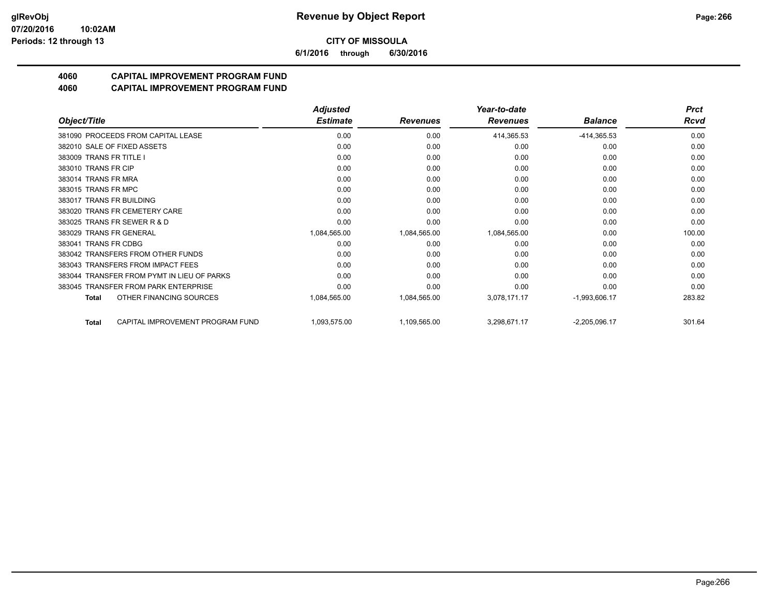**6/1/2016 through 6/30/2016**

# **4060 CAPITAL IMPROVEMENT PROGRAM FUND**

|                                                  | <b>Adjusted</b> |                 | Year-to-date    |                 |        |
|--------------------------------------------------|-----------------|-----------------|-----------------|-----------------|--------|
| Object/Title                                     | <b>Estimate</b> | <b>Revenues</b> | <b>Revenues</b> | <b>Balance</b>  | Rcvd   |
| 381090 PROCEEDS FROM CAPITAL LEASE               | 0.00            | 0.00            | 414,365.53      | $-414,365.53$   | 0.00   |
| 382010 SALE OF FIXED ASSETS                      | 0.00            | 0.00            | 0.00            | 0.00            | 0.00   |
| 383009 TRANS FR TITLE I                          | 0.00            | 0.00            | 0.00            | 0.00            | 0.00   |
| 383010 TRANS FR CIP                              | 0.00            | 0.00            | 0.00            | 0.00            | 0.00   |
| 383014 TRANS FR MRA                              | 0.00            | 0.00            | 0.00            | 0.00            | 0.00   |
| 383015 TRANS FR MPC                              | 0.00            | 0.00            | 0.00            | 0.00            | 0.00   |
| 383017 TRANS FR BUILDING                         | 0.00            | 0.00            | 0.00            | 0.00            | 0.00   |
| 383020 TRANS FR CEMETERY CARE                    | 0.00            | 0.00            | 0.00            | 0.00            | 0.00   |
| 383025 TRANS FR SEWER R & D                      | 0.00            | 0.00            | 0.00            | 0.00            | 0.00   |
| 383029 TRANS FR GENERAL                          | 1,084,565.00    | 1,084,565.00    | 1,084,565.00    | 0.00            | 100.00 |
| 383041 TRANS FR CDBG                             | 0.00            | 0.00            | 0.00            | 0.00            | 0.00   |
| 383042 TRANSFERS FROM OTHER FUNDS                | 0.00            | 0.00            | 0.00            | 0.00            | 0.00   |
| 383043 TRANSFERS FROM IMPACT FEES                | 0.00            | 0.00            | 0.00            | 0.00            | 0.00   |
| 383044 TRANSFER FROM PYMT IN LIEU OF PARKS       | 0.00            | 0.00            | 0.00            | 0.00            | 0.00   |
| 383045 TRANSFER FROM PARK ENTERPRISE             | 0.00            | 0.00            | 0.00            | 0.00            | 0.00   |
| OTHER FINANCING SOURCES<br>Total                 | 1,084,565.00    | 1,084,565.00    | 3,078,171.17    | $-1,993,606.17$ | 283.82 |
| CAPITAL IMPROVEMENT PROGRAM FUND<br><b>Total</b> | 1,093,575.00    | 1,109,565.00    | 3,298,671.17    | $-2,205,096.17$ | 301.64 |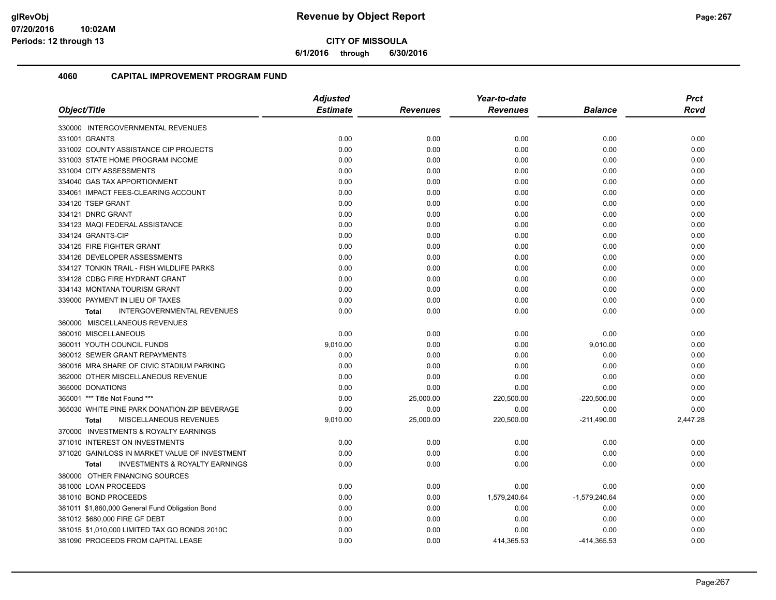**6/1/2016 through 6/30/2016**

| Object/Title                                       | <b>Adjusted</b> |                 | Year-to-date    |                 | <b>Prct</b> |
|----------------------------------------------------|-----------------|-----------------|-----------------|-----------------|-------------|
|                                                    | <b>Estimate</b> | <b>Revenues</b> | <b>Revenues</b> | <b>Balance</b>  | Rcvd        |
| 330000 INTERGOVERNMENTAL REVENUES                  |                 |                 |                 |                 |             |
| 331001 GRANTS                                      | 0.00            | 0.00            | 0.00            | 0.00            | 0.00        |
| 331002 COUNTY ASSISTANCE CIP PROJECTS              | 0.00            | 0.00            | 0.00            | 0.00            | 0.00        |
| 331003 STATE HOME PROGRAM INCOME                   | 0.00            | 0.00            | 0.00            | 0.00            | 0.00        |
| 331004 CITY ASSESSMENTS                            | 0.00            | 0.00            | 0.00            | 0.00            | 0.00        |
| 334040 GAS TAX APPORTIONMENT                       | 0.00            | 0.00            | 0.00            | 0.00            | 0.00        |
| 334061 IMPACT FEES-CLEARING ACCOUNT                | 0.00            | 0.00            | 0.00            | 0.00            | 0.00        |
| 334120 TSEP GRANT                                  | 0.00            | 0.00            | 0.00            | 0.00            | 0.00        |
| 334121 DNRC GRANT                                  | 0.00            | 0.00            | 0.00            | 0.00            | 0.00        |
| 334123 MAQI FEDERAL ASSISTANCE                     | 0.00            | 0.00            | 0.00            | 0.00            | 0.00        |
| 334124 GRANTS-CIP                                  | 0.00            | 0.00            | 0.00            | 0.00            | 0.00        |
| 334125 FIRE FIGHTER GRANT                          | 0.00            | 0.00            | 0.00            | 0.00            | 0.00        |
| 334126 DEVELOPER ASSESSMENTS                       | 0.00            | 0.00            | 0.00            | 0.00            | 0.00        |
| 334127 TONKIN TRAIL - FISH WILDLIFE PARKS          | 0.00            | 0.00            | 0.00            | 0.00            | 0.00        |
| 334128 CDBG FIRE HYDRANT GRANT                     | 0.00            | 0.00            | 0.00            | 0.00            | 0.00        |
| 334143 MONTANA TOURISM GRANT                       | 0.00            | 0.00            | 0.00            | 0.00            | 0.00        |
| 339000 PAYMENT IN LIEU OF TAXES                    | 0.00            | 0.00            | 0.00            | 0.00            | 0.00        |
| <b>INTERGOVERNMENTAL REVENUES</b><br><b>Total</b>  | 0.00            | 0.00            | 0.00            | 0.00            | 0.00        |
| 360000 MISCELLANEOUS REVENUES                      |                 |                 |                 |                 |             |
| 360010 MISCELLANEOUS                               | 0.00            | 0.00            | 0.00            | 0.00            | 0.00        |
| 360011 YOUTH COUNCIL FUNDS                         | 9,010.00        | 0.00            | 0.00            | 9,010.00        | 0.00        |
| 360012 SEWER GRANT REPAYMENTS                      | 0.00            | 0.00            | 0.00            | 0.00            | 0.00        |
| 360016 MRA SHARE OF CIVIC STADIUM PARKING          | 0.00            | 0.00            | 0.00            | 0.00            | 0.00        |
| 362000 OTHER MISCELLANEOUS REVENUE                 | 0.00            | 0.00            | 0.00            | 0.00            | 0.00        |
| 365000 DONATIONS                                   | 0.00            | 0.00            | 0.00            | 0.00            | 0.00        |
| 365001 *** Title Not Found ***                     | 0.00            | 25,000.00       | 220,500.00      | $-220,500.00$   | 0.00        |
| 365030 WHITE PINE PARK DONATION-ZIP BEVERAGE       | 0.00            | 0.00            | 0.00            | 0.00            | 0.00        |
| MISCELLANEOUS REVENUES<br>Total                    | 9,010.00        | 25,000.00       | 220,500.00      | $-211,490.00$   | 2,447.28    |
| 370000 INVESTMENTS & ROYALTY EARNINGS              |                 |                 |                 |                 |             |
| 371010 INTEREST ON INVESTMENTS                     | 0.00            | 0.00            | 0.00            | 0.00            | 0.00        |
| 371020 GAIN/LOSS IN MARKET VALUE OF INVESTMENT     | 0.00            | 0.00            | 0.00            | 0.00            | 0.00        |
| <b>INVESTMENTS &amp; ROYALTY EARNINGS</b><br>Total | 0.00            | 0.00            | 0.00            | 0.00            | 0.00        |
| 380000 OTHER FINANCING SOURCES                     |                 |                 |                 |                 |             |
| 381000 LOAN PROCEEDS                               | 0.00            | 0.00            | 0.00            | 0.00            | 0.00        |
| 381010 BOND PROCEEDS                               | 0.00            | 0.00            | 1,579,240.64    | $-1,579,240.64$ | 0.00        |
| 381011 \$1,860,000 General Fund Obligation Bond    | 0.00            | 0.00            | 0.00            | 0.00            | 0.00        |
| 381012 \$680,000 FIRE GF DEBT                      | 0.00            | 0.00            | 0.00            | 0.00            | 0.00        |
| 381015 \$1,010,000 LIMITED TAX GO BONDS 2010C      | 0.00            | 0.00            | 0.00            | 0.00            | 0.00        |
| 381090 PROCEEDS FROM CAPITAL LEASE                 | 0.00            | 0.00            | 414,365.53      | $-414,365.53$   | 0.00        |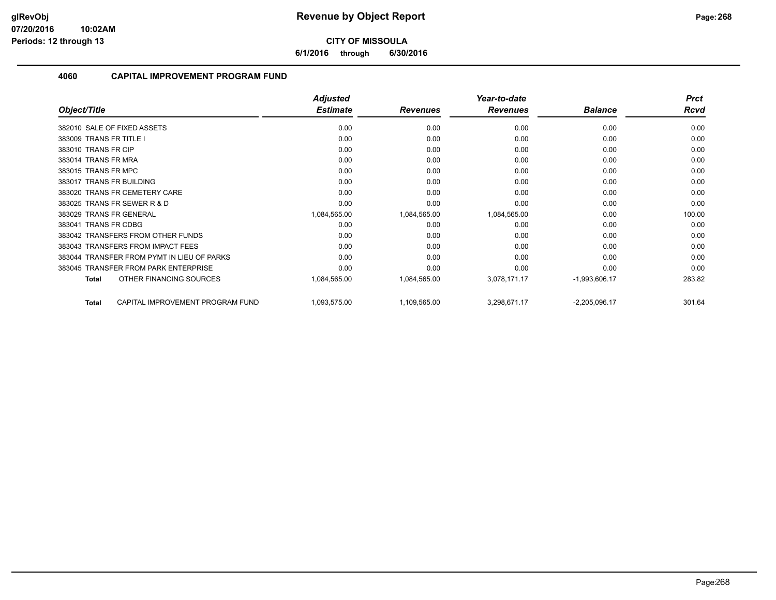**6/1/2016 through 6/30/2016**

| Object/Title                               | <b>Adjusted</b><br><b>Estimate</b> | <b>Revenues</b> | Year-to-date<br><b>Revenues</b> | <b>Balance</b>  | <b>Prct</b><br><b>Rcvd</b> |
|--------------------------------------------|------------------------------------|-----------------|---------------------------------|-----------------|----------------------------|
|                                            |                                    |                 |                                 |                 |                            |
| 382010 SALE OF FIXED ASSETS                | 0.00                               | 0.00            | 0.00                            | 0.00            | 0.00                       |
| 383009 TRANS FR TITLE I                    | 0.00                               | 0.00            | 0.00                            | 0.00            | 0.00                       |
| 383010 TRANS FR CIP                        | 0.00                               | 0.00            | 0.00                            | 0.00            | 0.00                       |
| 383014 TRANS FR MRA                        | 0.00                               | 0.00            | 0.00                            | 0.00            | 0.00                       |
| 383015 TRANS FR MPC                        | 0.00                               | 0.00            | 0.00                            | 0.00            | 0.00                       |
| 383017 TRANS FR BUILDING                   | 0.00                               | 0.00            | 0.00                            | 0.00            | 0.00                       |
| 383020 TRANS FR CEMETERY CARE              | 0.00                               | 0.00            | 0.00                            | 0.00            | 0.00                       |
| 383025 TRANS FR SEWER R & D                | 0.00                               | 0.00            | 0.00                            | 0.00            | 0.00                       |
| 383029 TRANS FR GENERAL                    | 1,084,565.00                       | 1,084,565.00    | 1,084,565.00                    | 0.00            | 100.00                     |
| 383041 TRANS FR CDBG                       | 0.00                               | 0.00            | 0.00                            | 0.00            | 0.00                       |
| 383042 TRANSFERS FROM OTHER FUNDS          | 0.00                               | 0.00            | 0.00                            | 0.00            | 0.00                       |
| 383043 TRANSFERS FROM IMPACT FEES          | 0.00                               | 0.00            | 0.00                            | 0.00            | 0.00                       |
| 383044 TRANSFER FROM PYMT IN LIEU OF PARKS | 0.00                               | 0.00            | 0.00                            | 0.00            | 0.00                       |
| 383045 TRANSFER FROM PARK ENTERPRISE       | 0.00                               | 0.00            | 0.00                            | 0.00            | 0.00                       |
| OTHER FINANCING SOURCES<br><b>Total</b>    | 1,084,565.00                       | 1,084,565.00    | 3,078,171.17                    | $-1,993,606.17$ | 283.82                     |
| CAPITAL IMPROVEMENT PROGRAM FUND<br>Total  | 1,093,575.00                       | 1,109,565.00    | 3,298,671.17                    | $-2,205,096.17$ | 301.64                     |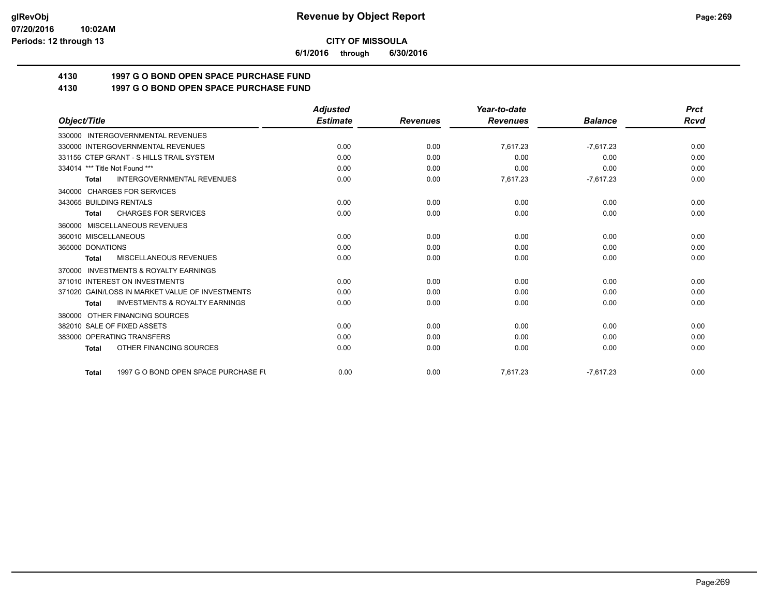**6/1/2016 through 6/30/2016**

# **4130 1997 G O BOND OPEN SPACE PURCHASE FUND**

## **4130 1997 G O BOND OPEN SPACE PURCHASE FUND**

|                                                      | <b>Adjusted</b> |                 | Year-to-date    |                | <b>Prct</b> |
|------------------------------------------------------|-----------------|-----------------|-----------------|----------------|-------------|
| Object/Title                                         | <b>Estimate</b> | <b>Revenues</b> | <b>Revenues</b> | <b>Balance</b> | Rcvd        |
| 330000 INTERGOVERNMENTAL REVENUES                    |                 |                 |                 |                |             |
| 330000 INTERGOVERNMENTAL REVENUES                    | 0.00            | 0.00            | 7,617.23        | $-7,617.23$    | 0.00        |
| 331156 CTEP GRANT - S HILLS TRAIL SYSTEM             | 0.00            | 0.00            | 0.00            | 0.00           | 0.00        |
| 334014 *** Title Not Found ***                       | 0.00            | 0.00            | 0.00            | 0.00           | 0.00        |
| <b>INTERGOVERNMENTAL REVENUES</b><br><b>Total</b>    | 0.00            | 0.00            | 7,617.23        | $-7,617.23$    | 0.00        |
| <b>CHARGES FOR SERVICES</b><br>340000                |                 |                 |                 |                |             |
| 343065 BUILDING RENTALS                              | 0.00            | 0.00            | 0.00            | 0.00           | 0.00        |
| <b>CHARGES FOR SERVICES</b><br><b>Total</b>          | 0.00            | 0.00            | 0.00            | 0.00           | 0.00        |
| 360000 MISCELLANEOUS REVENUES                        |                 |                 |                 |                |             |
| 360010 MISCELLANEOUS                                 | 0.00            | 0.00            | 0.00            | 0.00           | 0.00        |
| 365000 DONATIONS                                     | 0.00            | 0.00            | 0.00            | 0.00           | 0.00        |
| MISCELLANEOUS REVENUES<br><b>Total</b>               | 0.00            | 0.00            | 0.00            | 0.00           | 0.00        |
| <b>INVESTMENTS &amp; ROYALTY EARNINGS</b><br>370000  |                 |                 |                 |                |             |
| 371010 INTEREST ON INVESTMENTS                       | 0.00            | 0.00            | 0.00            | 0.00           | 0.00        |
| 371020 GAIN/LOSS IN MARKET VALUE OF INVESTMENTS      | 0.00            | 0.00            | 0.00            | 0.00           | 0.00        |
| <b>INVESTMENTS &amp; ROYALTY EARNINGS</b><br>Total   | 0.00            | 0.00            | 0.00            | 0.00           | 0.00        |
| OTHER FINANCING SOURCES<br>380000                    |                 |                 |                 |                |             |
| 382010 SALE OF FIXED ASSETS                          | 0.00            | 0.00            | 0.00            | 0.00           | 0.00        |
| 383000 OPERATING TRANSFERS                           | 0.00            | 0.00            | 0.00            | 0.00           | 0.00        |
| OTHER FINANCING SOURCES<br><b>Total</b>              | 0.00            | 0.00            | 0.00            | 0.00           | 0.00        |
| 1997 G O BOND OPEN SPACE PURCHASE FU<br><b>Total</b> | 0.00            | 0.00            | 7,617.23        | $-7,617.23$    | 0.00        |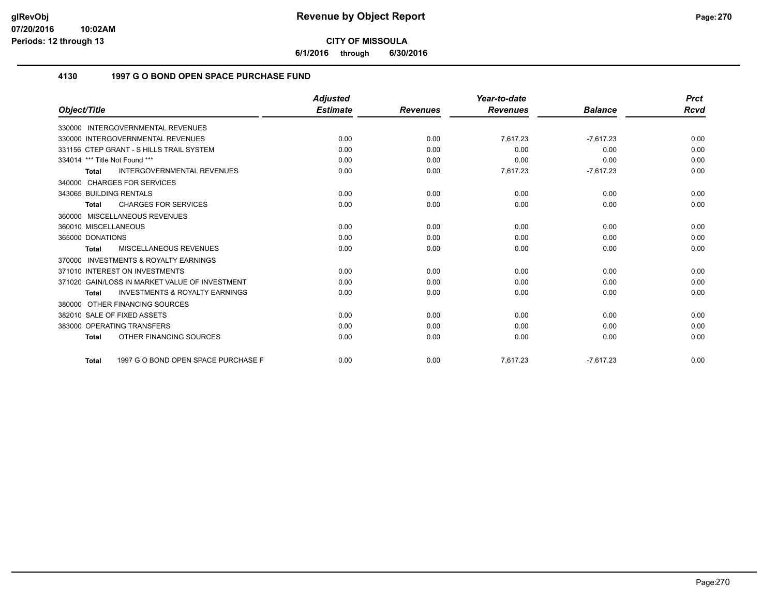**6/1/2016 through 6/30/2016**

## **4130 1997 G O BOND OPEN SPACE PURCHASE FUND**

|                                                           | <b>Adjusted</b> |                 | Year-to-date    |                | <b>Prct</b> |
|-----------------------------------------------------------|-----------------|-----------------|-----------------|----------------|-------------|
| Object/Title                                              | <b>Estimate</b> | <b>Revenues</b> | <b>Revenues</b> | <b>Balance</b> | Rcvd        |
| 330000 INTERGOVERNMENTAL REVENUES                         |                 |                 |                 |                |             |
| 330000 INTERGOVERNMENTAL REVENUES                         | 0.00            | 0.00            | 7.617.23        | $-7.617.23$    | 0.00        |
| 331156 CTEP GRANT - S HILLS TRAIL SYSTEM                  | 0.00            | 0.00            | 0.00            | 0.00           | 0.00        |
| 334014 *** Title Not Found ***                            | 0.00            | 0.00            | 0.00            | 0.00           | 0.00        |
| <b>INTERGOVERNMENTAL REVENUES</b><br><b>Total</b>         | 0.00            | 0.00            | 7,617.23        | $-7,617.23$    | 0.00        |
| 340000 CHARGES FOR SERVICES                               |                 |                 |                 |                |             |
| 343065 BUILDING RENTALS                                   | 0.00            | 0.00            | 0.00            | 0.00           | 0.00        |
| <b>CHARGES FOR SERVICES</b><br><b>Total</b>               | 0.00            | 0.00            | 0.00            | 0.00           | 0.00        |
| 360000 MISCELLANEOUS REVENUES                             |                 |                 |                 |                |             |
| 360010 MISCELLANEOUS                                      | 0.00            | 0.00            | 0.00            | 0.00           | 0.00        |
| 365000 DONATIONS                                          | 0.00            | 0.00            | 0.00            | 0.00           | 0.00        |
| MISCELLANEOUS REVENUES<br><b>Total</b>                    | 0.00            | 0.00            | 0.00            | 0.00           | 0.00        |
| <b>INVESTMENTS &amp; ROYALTY EARNINGS</b><br>370000       |                 |                 |                 |                |             |
| 371010 INTEREST ON INVESTMENTS                            | 0.00            | 0.00            | 0.00            | 0.00           | 0.00        |
| 371020 GAIN/LOSS IN MARKET VALUE OF INVESTMENT            | 0.00            | 0.00            | 0.00            | 0.00           | 0.00        |
| <b>INVESTMENTS &amp; ROYALTY EARNINGS</b><br><b>Total</b> | 0.00            | 0.00            | 0.00            | 0.00           | 0.00        |
| 380000 OTHER FINANCING SOURCES                            |                 |                 |                 |                |             |
| 382010 SALE OF FIXED ASSETS                               | 0.00            | 0.00            | 0.00            | 0.00           | 0.00        |
| 383000 OPERATING TRANSFERS                                | 0.00            | 0.00            | 0.00            | 0.00           | 0.00        |
| OTHER FINANCING SOURCES<br><b>Total</b>                   | 0.00            | 0.00            | 0.00            | 0.00           | 0.00        |
| 1997 G O BOND OPEN SPACE PURCHASE F<br><b>Total</b>       | 0.00            | 0.00            | 7.617.23        | $-7.617.23$    | 0.00        |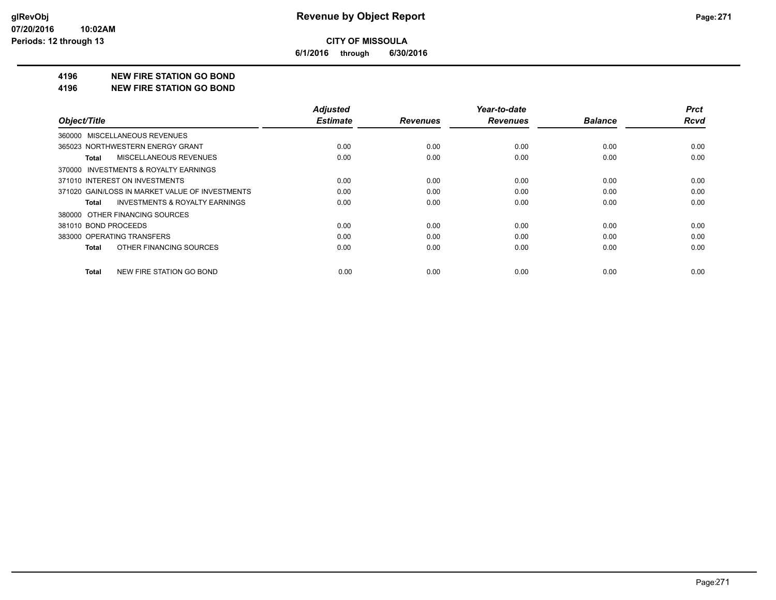**6/1/2016 through 6/30/2016**

### **4196 NEW FIRE STATION GO BOND**

#### **4196 NEW FIRE STATION GO BOND**

| Object/Title                                       | <b>Adjusted</b><br><b>Estimate</b> | <b>Revenues</b> | Year-to-date<br><b>Revenues</b> | <b>Balance</b> | <b>Prct</b><br><b>Rcvd</b> |
|----------------------------------------------------|------------------------------------|-----------------|---------------------------------|----------------|----------------------------|
|                                                    |                                    |                 |                                 |                |                            |
| 360000 MISCELLANEOUS REVENUES                      |                                    |                 |                                 |                |                            |
| 365023 NORTHWESTERN ENERGY GRANT                   | 0.00                               | 0.00            | 0.00                            | 0.00           | 0.00                       |
| MISCELLANEOUS REVENUES<br>Total                    | 0.00                               | 0.00            | 0.00                            | 0.00           | 0.00                       |
| 370000 INVESTMENTS & ROYALTY EARNINGS              |                                    |                 |                                 |                |                            |
| 371010 INTEREST ON INVESTMENTS                     | 0.00                               | 0.00            | 0.00                            | 0.00           | 0.00                       |
| 371020 GAIN/LOSS IN MARKET VALUE OF INVESTMENTS    | 0.00                               | 0.00            | 0.00                            | 0.00           | 0.00                       |
| <b>INVESTMENTS &amp; ROYALTY EARNINGS</b><br>Total | 0.00                               | 0.00            | 0.00                            | 0.00           | 0.00                       |
| 380000 OTHER FINANCING SOURCES                     |                                    |                 |                                 |                |                            |
| 381010 BOND PROCEEDS                               | 0.00                               | 0.00            | 0.00                            | 0.00           | 0.00                       |
| 383000 OPERATING TRANSFERS                         | 0.00                               | 0.00            | 0.00                            | 0.00           | 0.00                       |
| OTHER FINANCING SOURCES<br>Total                   | 0.00                               | 0.00            | 0.00                            | 0.00           | 0.00                       |
| NEW FIRE STATION GO BOND<br>Total                  | 0.00                               | 0.00            | 0.00                            | 0.00           | 0.00                       |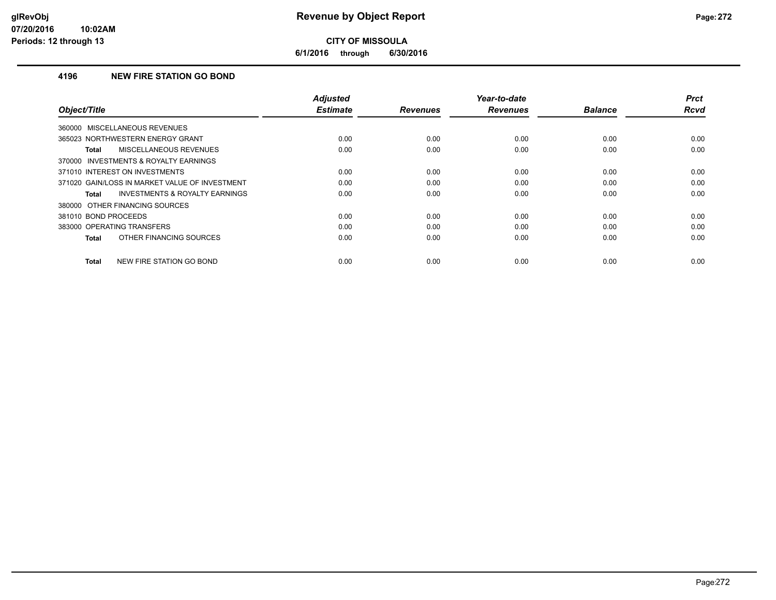**6/1/2016 through 6/30/2016**

## **4196 NEW FIRE STATION GO BOND**

| Object/Title                                       | <b>Adjusted</b><br><b>Estimate</b> | <b>Revenues</b> | Year-to-date<br><b>Revenues</b> | <b>Balance</b> | <b>Prct</b><br>Rcvd |
|----------------------------------------------------|------------------------------------|-----------------|---------------------------------|----------------|---------------------|
| 360000 MISCELLANEOUS REVENUES                      |                                    |                 |                                 |                |                     |
| 365023 NORTHWESTERN ENERGY GRANT                   | 0.00                               | 0.00            | 0.00                            | 0.00           | 0.00                |
| MISCELLANEOUS REVENUES<br>Total                    | 0.00                               | 0.00            | 0.00                            | 0.00           | 0.00                |
| 370000 INVESTMENTS & ROYALTY EARNINGS              |                                    |                 |                                 |                |                     |
| 371010 INTEREST ON INVESTMENTS                     | 0.00                               | 0.00            | 0.00                            | 0.00           | 0.00                |
| 371020 GAIN/LOSS IN MARKET VALUE OF INVESTMENT     | 0.00                               | 0.00            | 0.00                            | 0.00           | 0.00                |
| <b>INVESTMENTS &amp; ROYALTY EARNINGS</b><br>Total | 0.00                               | 0.00            | 0.00                            | 0.00           | 0.00                |
| 380000 OTHER FINANCING SOURCES                     |                                    |                 |                                 |                |                     |
| 381010 BOND PROCEEDS                               | 0.00                               | 0.00            | 0.00                            | 0.00           | 0.00                |
| 383000 OPERATING TRANSFERS                         | 0.00                               | 0.00            | 0.00                            | 0.00           | 0.00                |
| OTHER FINANCING SOURCES<br>Total                   | 0.00                               | 0.00            | 0.00                            | 0.00           | 0.00                |
| <b>Total</b><br>NEW FIRE STATION GO BOND           | 0.00                               | 0.00            | 0.00                            | 0.00           | 0.00                |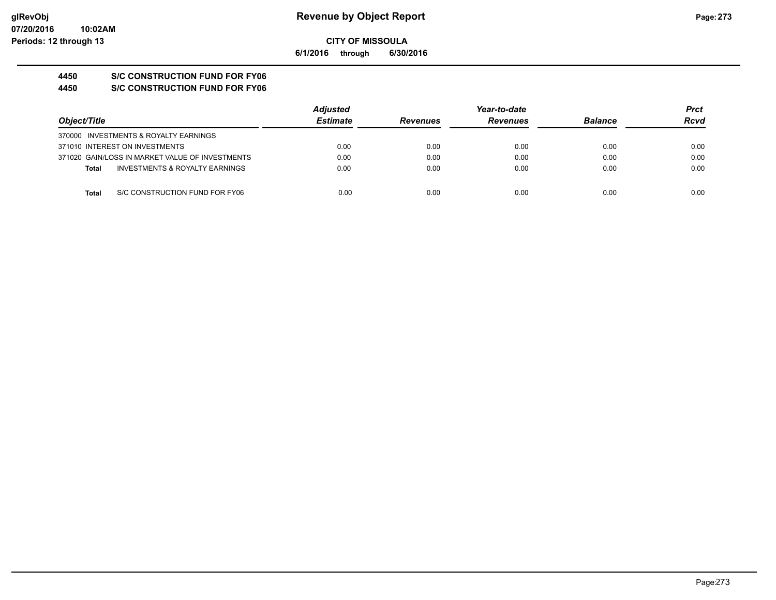**6/1/2016 through 6/30/2016**

# **4450 S/C CONSTRUCTION FUND FOR FY06**

**4450 S/C CONSTRUCTION FUND FOR FY06**

|                                                 | <b>Adjusted</b> |                 | Year-to-date    |                | <b>Prct</b> |
|-------------------------------------------------|-----------------|-----------------|-----------------|----------------|-------------|
| Object/Title                                    | <b>Estimate</b> | <b>Revenues</b> | <b>Revenues</b> | <b>Balance</b> | Rcvd        |
| 370000 INVESTMENTS & ROYALTY EARNINGS           |                 |                 |                 |                |             |
| 371010 INTEREST ON INVESTMENTS                  | 0.00            | 0.00            | 0.00            | 0.00           | 0.00        |
| 371020 GAIN/LOSS IN MARKET VALUE OF INVESTMENTS | 0.00            | 0.00            | 0.00            | 0.00           | 0.00        |
| INVESTMENTS & ROYALTY EARNINGS<br><b>Total</b>  | 0.00            | 0.00            | 0.00            | 0.00           | 0.00        |
| S/C CONSTRUCTION FUND FOR FY06<br><b>Total</b>  | 0.00            | 0.00            | 0.00            | 0.00           | 0.00        |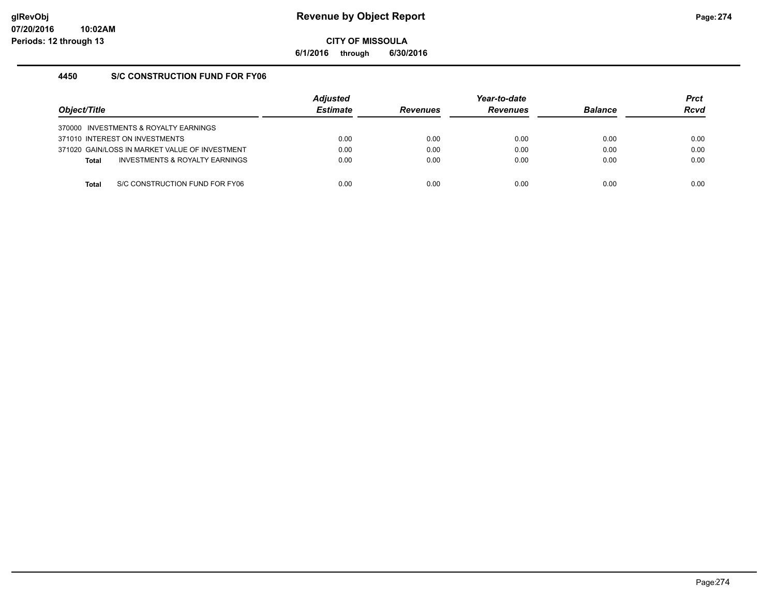**6/1/2016 through 6/30/2016**

## **4450 S/C CONSTRUCTION FUND FOR FY06**

| Object/Title |                                                | <b>Adjusted</b><br><b>Estimate</b> | <b>Revenues</b> | Year-to-date<br><b>Revenues</b> | <b>Balance</b> | <b>Prct</b><br><b>Rcvd</b> |
|--------------|------------------------------------------------|------------------------------------|-----------------|---------------------------------|----------------|----------------------------|
|              | 370000 INVESTMENTS & ROYALTY EARNINGS          |                                    |                 |                                 |                |                            |
|              | 371010 INTEREST ON INVESTMENTS                 | 0.00                               | 0.00            | 0.00                            | 0.00           | 0.00                       |
|              | 371020 GAIN/LOSS IN MARKET VALUE OF INVESTMENT | 0.00                               | 0.00            | 0.00                            | 0.00           | 0.00                       |
| <b>Total</b> | INVESTMENTS & ROYALTY EARNINGS                 | 0.00                               | 0.00            | 0.00                            | 0.00           | 0.00                       |
|              |                                                |                                    |                 |                                 |                |                            |
| Total        | S/C CONSTRUCTION FUND FOR FY06                 | 0.00                               | 0.00            | 0.00                            | 0.00           | 0.00                       |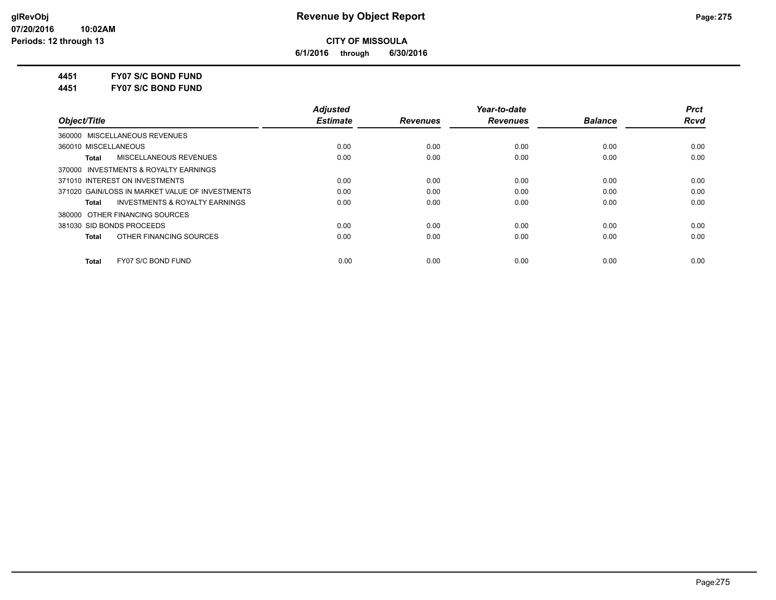**6/1/2016 through 6/30/2016**

**4451 FY07 S/C BOND FUND**

**4451 FY07 S/C BOND FUND**

|                                                    | <b>Adjusted</b> |                 | Year-to-date    |                | <b>Prct</b> |
|----------------------------------------------------|-----------------|-----------------|-----------------|----------------|-------------|
| Object/Title                                       | <b>Estimate</b> | <b>Revenues</b> | <b>Revenues</b> | <b>Balance</b> | Rcvd        |
| 360000 MISCELLANEOUS REVENUES                      |                 |                 |                 |                |             |
| 360010 MISCELLANEOUS                               | 0.00            | 0.00            | 0.00            | 0.00           | 0.00        |
| MISCELLANEOUS REVENUES<br>Total                    | 0.00            | 0.00            | 0.00            | 0.00           | 0.00        |
| 370000 INVESTMENTS & ROYALTY EARNINGS              |                 |                 |                 |                |             |
| 371010 INTEREST ON INVESTMENTS                     | 0.00            | 0.00            | 0.00            | 0.00           | 0.00        |
| 371020 GAIN/LOSS IN MARKET VALUE OF INVESTMENTS    | 0.00            | 0.00            | 0.00            | 0.00           | 0.00        |
| <b>INVESTMENTS &amp; ROYALTY EARNINGS</b><br>Total | 0.00            | 0.00            | 0.00            | 0.00           | 0.00        |
| 380000 OTHER FINANCING SOURCES                     |                 |                 |                 |                |             |
| 381030 SID BONDS PROCEEDS                          | 0.00            | 0.00            | 0.00            | 0.00           | 0.00        |
| OTHER FINANCING SOURCES<br><b>Total</b>            | 0.00            | 0.00            | 0.00            | 0.00           | 0.00        |
| FY07 S/C BOND FUND<br><b>Total</b>                 | 0.00            | 0.00            | 0.00            | 0.00           | 0.00        |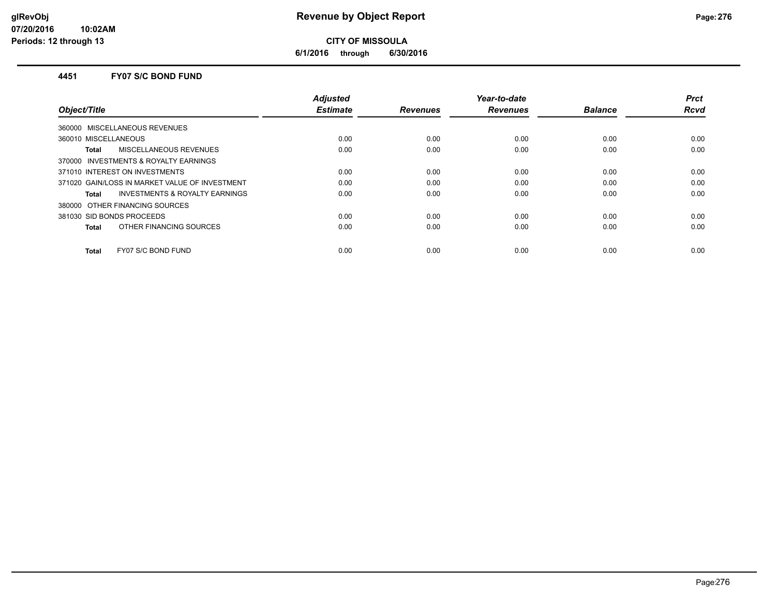**6/1/2016 through 6/30/2016**

#### **4451 FY07 S/C BOND FUND**

| Object/Title                                   | <b>Adjusted</b><br><b>Estimate</b> | <b>Revenues</b> | Year-to-date<br><b>Revenues</b> | <b>Balance</b> | <b>Prct</b><br><b>Rcvd</b> |
|------------------------------------------------|------------------------------------|-----------------|---------------------------------|----------------|----------------------------|
| MISCELLANEOUS REVENUES<br>360000               |                                    |                 |                                 |                |                            |
| 360010 MISCELLANEOUS                           | 0.00                               | 0.00            | 0.00                            | 0.00           | 0.00                       |
| MISCELLANEOUS REVENUES<br>Total                | 0.00                               | 0.00            | 0.00                            | 0.00           | 0.00                       |
| 370000 INVESTMENTS & ROYALTY EARNINGS          |                                    |                 |                                 |                |                            |
| 371010 INTEREST ON INVESTMENTS                 | 0.00                               | 0.00            | 0.00                            | 0.00           | 0.00                       |
| 371020 GAIN/LOSS IN MARKET VALUE OF INVESTMENT | 0.00                               | 0.00            | 0.00                            | 0.00           | 0.00                       |
| INVESTMENTS & ROYALTY EARNINGS<br>Total        | 0.00                               | 0.00            | 0.00                            | 0.00           | 0.00                       |
| 380000 OTHER FINANCING SOURCES                 |                                    |                 |                                 |                |                            |
| 381030 SID BONDS PROCEEDS                      | 0.00                               | 0.00            | 0.00                            | 0.00           | 0.00                       |
| OTHER FINANCING SOURCES<br><b>Total</b>        | 0.00                               | 0.00            | 0.00                            | 0.00           | 0.00                       |
| FY07 S/C BOND FUND<br><b>Total</b>             | 0.00                               | 0.00            | 0.00                            | 0.00           | 0.00                       |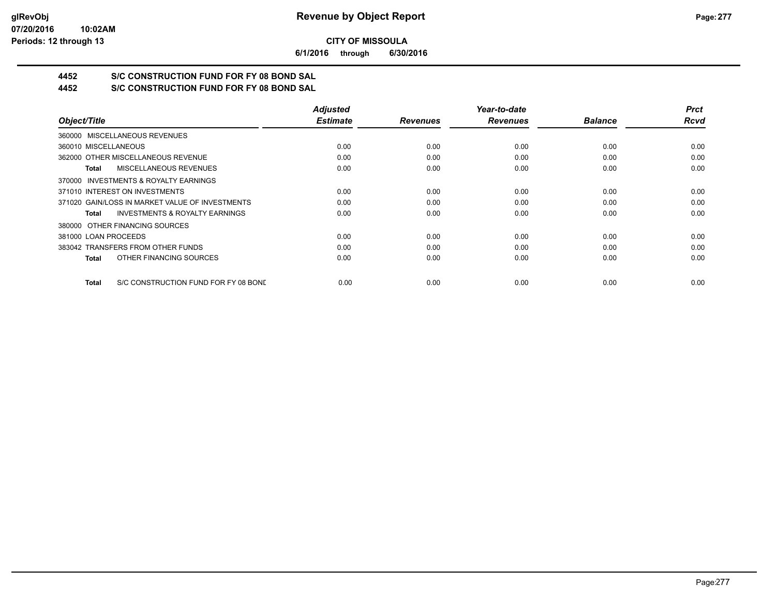**6/1/2016 through 6/30/2016**

# **4452 S/C CONSTRUCTION FUND FOR FY 08 BOND SAL**

**4452 S/C CONSTRUCTION FUND FOR FY 08 BOND SAL**

|                                                           | <b>Adjusted</b> |                 | Year-to-date    |                | <b>Prct</b> |
|-----------------------------------------------------------|-----------------|-----------------|-----------------|----------------|-------------|
| Object/Title                                              | <b>Estimate</b> | <b>Revenues</b> | <b>Revenues</b> | <b>Balance</b> | <b>Rcvd</b> |
| 360000 MISCELLANEOUS REVENUES                             |                 |                 |                 |                |             |
| 360010 MISCELLANEOUS                                      | 0.00            | 0.00            | 0.00            | 0.00           | 0.00        |
| 362000 OTHER MISCELLANEOUS REVENUE                        | 0.00            | 0.00            | 0.00            | 0.00           | 0.00        |
| <b>MISCELLANEOUS REVENUES</b><br>Total                    | 0.00            | 0.00            | 0.00            | 0.00           | 0.00        |
| 370000 INVESTMENTS & ROYALTY EARNINGS                     |                 |                 |                 |                |             |
| 371010 INTEREST ON INVESTMENTS                            | 0.00            | 0.00            | 0.00            | 0.00           | 0.00        |
| 371020 GAIN/LOSS IN MARKET VALUE OF INVESTMENTS           | 0.00            | 0.00            | 0.00            | 0.00           | 0.00        |
| <b>INVESTMENTS &amp; ROYALTY EARNINGS</b><br><b>Total</b> | 0.00            | 0.00            | 0.00            | 0.00           | 0.00        |
| 380000 OTHER FINANCING SOURCES                            |                 |                 |                 |                |             |
| 381000 LOAN PROCEEDS                                      | 0.00            | 0.00            | 0.00            | 0.00           | 0.00        |
| 383042 TRANSFERS FROM OTHER FUNDS                         | 0.00            | 0.00            | 0.00            | 0.00           | 0.00        |
| OTHER FINANCING SOURCES<br>Total                          | 0.00            | 0.00            | 0.00            | 0.00           | 0.00        |
| S/C CONSTRUCTION FUND FOR FY 08 BOND<br><b>Total</b>      | 0.00            | 0.00            | 0.00            | 0.00           | 0.00        |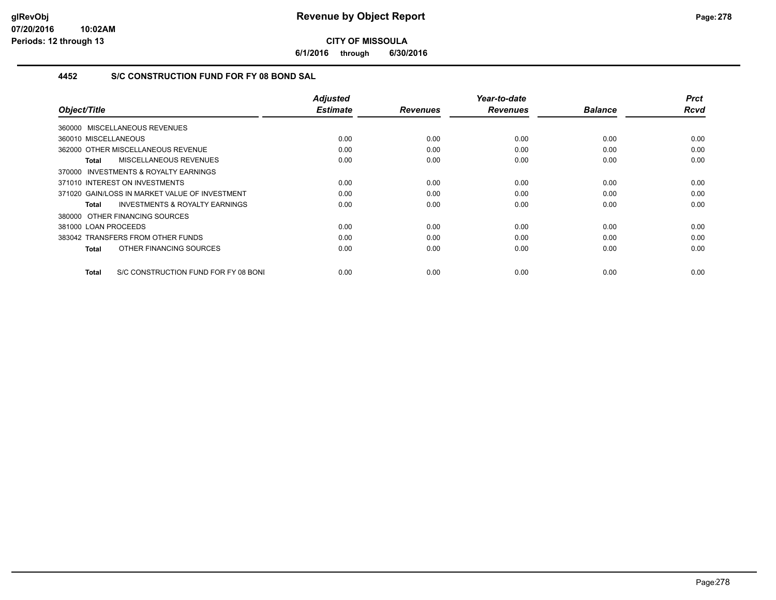**6/1/2016 through 6/30/2016**

## **4452 S/C CONSTRUCTION FUND FOR FY 08 BOND SAL**

|                                                      | <b>Adjusted</b><br><b>Estimate</b> | <b>Revenues</b> | Year-to-date<br><b>Revenues</b> | <b>Balance</b> | <b>Prct</b><br><b>Rcvd</b> |
|------------------------------------------------------|------------------------------------|-----------------|---------------------------------|----------------|----------------------------|
| Object/Title                                         |                                    |                 |                                 |                |                            |
| 360000 MISCELLANEOUS REVENUES                        |                                    |                 |                                 |                |                            |
| 360010 MISCELLANEOUS                                 | 0.00                               | 0.00            | 0.00                            | 0.00           | 0.00                       |
| 362000 OTHER MISCELLANEOUS REVENUE                   | 0.00                               | 0.00            | 0.00                            | 0.00           | 0.00                       |
| MISCELLANEOUS REVENUES<br>Total                      | 0.00                               | 0.00            | 0.00                            | 0.00           | 0.00                       |
| <b>INVESTMENTS &amp; ROYALTY EARNINGS</b><br>370000  |                                    |                 |                                 |                |                            |
| 371010 INTEREST ON INVESTMENTS                       | 0.00                               | 0.00            | 0.00                            | 0.00           | 0.00                       |
| 371020 GAIN/LOSS IN MARKET VALUE OF INVESTMENT       | 0.00                               | 0.00            | 0.00                            | 0.00           | 0.00                       |
| <b>INVESTMENTS &amp; ROYALTY EARNINGS</b><br>Total   | 0.00                               | 0.00            | 0.00                            | 0.00           | 0.00                       |
| 380000 OTHER FINANCING SOURCES                       |                                    |                 |                                 |                |                            |
| 381000 LOAN PROCEEDS                                 | 0.00                               | 0.00            | 0.00                            | 0.00           | 0.00                       |
| 383042 TRANSFERS FROM OTHER FUNDS                    | 0.00                               | 0.00            | 0.00                            | 0.00           | 0.00                       |
| OTHER FINANCING SOURCES<br>Total                     | 0.00                               | 0.00            | 0.00                            | 0.00           | 0.00                       |
|                                                      |                                    |                 |                                 |                |                            |
| S/C CONSTRUCTION FUND FOR FY 08 BONI<br><b>Total</b> | 0.00                               | 0.00            | 0.00                            | 0.00           | 0.00                       |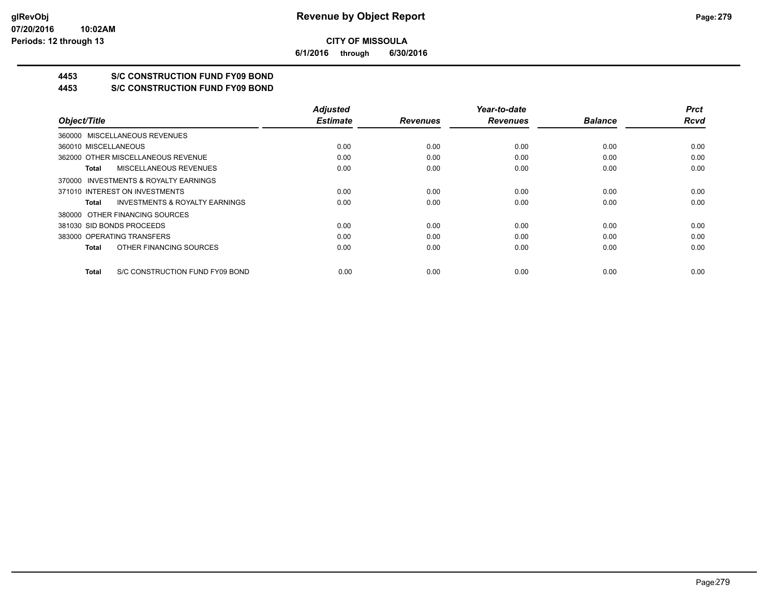**6/1/2016 through 6/30/2016**

# **4453 S/C CONSTRUCTION FUND FY09 BOND**

**4453 S/C CONSTRUCTION FUND FY09 BOND**

|                                                    | <b>Adjusted</b> |                 | Year-to-date    |                | <b>Prct</b> |
|----------------------------------------------------|-----------------|-----------------|-----------------|----------------|-------------|
| Object/Title                                       | <b>Estimate</b> | <b>Revenues</b> | <b>Revenues</b> | <b>Balance</b> | <b>Rcvd</b> |
| 360000 MISCELLANEOUS REVENUES                      |                 |                 |                 |                |             |
| 360010 MISCELLANEOUS                               | 0.00            | 0.00            | 0.00            | 0.00           | 0.00        |
| 362000 OTHER MISCELLANEOUS REVENUE                 | 0.00            | 0.00            | 0.00            | 0.00           | 0.00        |
| MISCELLANEOUS REVENUES<br>Total                    | 0.00            | 0.00            | 0.00            | 0.00           | 0.00        |
| 370000 INVESTMENTS & ROYALTY EARNINGS              |                 |                 |                 |                |             |
| 371010 INTEREST ON INVESTMENTS                     | 0.00            | 0.00            | 0.00            | 0.00           | 0.00        |
| <b>INVESTMENTS &amp; ROYALTY EARNINGS</b><br>Total | 0.00            | 0.00            | 0.00            | 0.00           | 0.00        |
| 380000 OTHER FINANCING SOURCES                     |                 |                 |                 |                |             |
| 381030 SID BONDS PROCEEDS                          | 0.00            | 0.00            | 0.00            | 0.00           | 0.00        |
| 383000 OPERATING TRANSFERS                         | 0.00            | 0.00            | 0.00            | 0.00           | 0.00        |
| OTHER FINANCING SOURCES<br>Total                   | 0.00            | 0.00            | 0.00            | 0.00           | 0.00        |
| S/C CONSTRUCTION FUND FY09 BOND<br>Total           | 0.00            | 0.00            | 0.00            | 0.00           | 0.00        |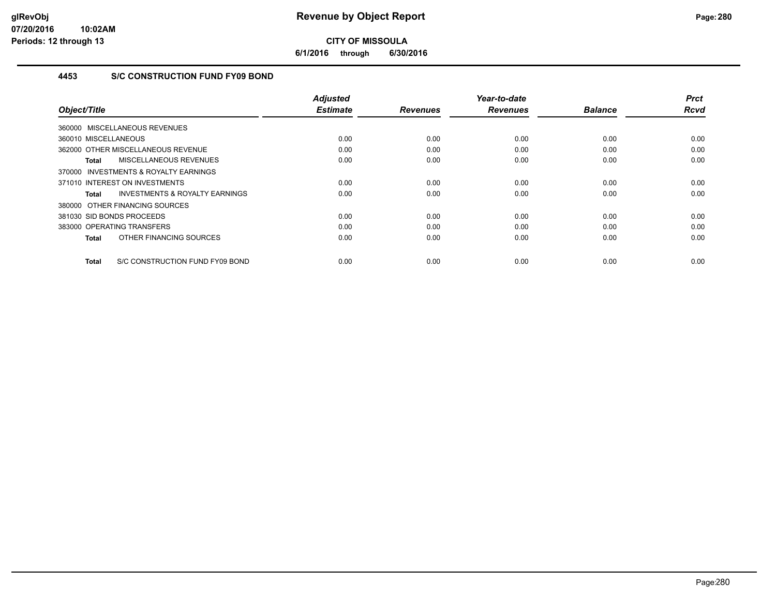**6/1/2016 through 6/30/2016**

## **4453 S/C CONSTRUCTION FUND FY09 BOND**

|                                                    | <b>Adjusted</b><br><b>Estimate</b> |                 | Year-to-date    |                | <b>Prct</b><br><b>Rcvd</b> |
|----------------------------------------------------|------------------------------------|-----------------|-----------------|----------------|----------------------------|
| Object/Title                                       |                                    | <b>Revenues</b> | <b>Revenues</b> | <b>Balance</b> |                            |
| 360000 MISCELLANEOUS REVENUES                      |                                    |                 |                 |                |                            |
| 360010 MISCELLANEOUS                               | 0.00                               | 0.00            | 0.00            | 0.00           | 0.00                       |
| 362000 OTHER MISCELLANEOUS REVENUE                 | 0.00                               | 0.00            | 0.00            | 0.00           | 0.00                       |
| MISCELLANEOUS REVENUES<br>Total                    | 0.00                               | 0.00            | 0.00            | 0.00           | 0.00                       |
| 370000 INVESTMENTS & ROYALTY EARNINGS              |                                    |                 |                 |                |                            |
| 371010 INTEREST ON INVESTMENTS                     | 0.00                               | 0.00            | 0.00            | 0.00           | 0.00                       |
| <b>INVESTMENTS &amp; ROYALTY EARNINGS</b><br>Total | 0.00                               | 0.00            | 0.00            | 0.00           | 0.00                       |
| 380000 OTHER FINANCING SOURCES                     |                                    |                 |                 |                |                            |
| 381030 SID BONDS PROCEEDS                          | 0.00                               | 0.00            | 0.00            | 0.00           | 0.00                       |
| 383000 OPERATING TRANSFERS                         | 0.00                               | 0.00            | 0.00            | 0.00           | 0.00                       |
| OTHER FINANCING SOURCES<br>Total                   | 0.00                               | 0.00            | 0.00            | 0.00           | 0.00                       |
| S/C CONSTRUCTION FUND FY09 BOND<br><b>Total</b>    | 0.00                               | 0.00            | 0.00            | 0.00           | 0.00                       |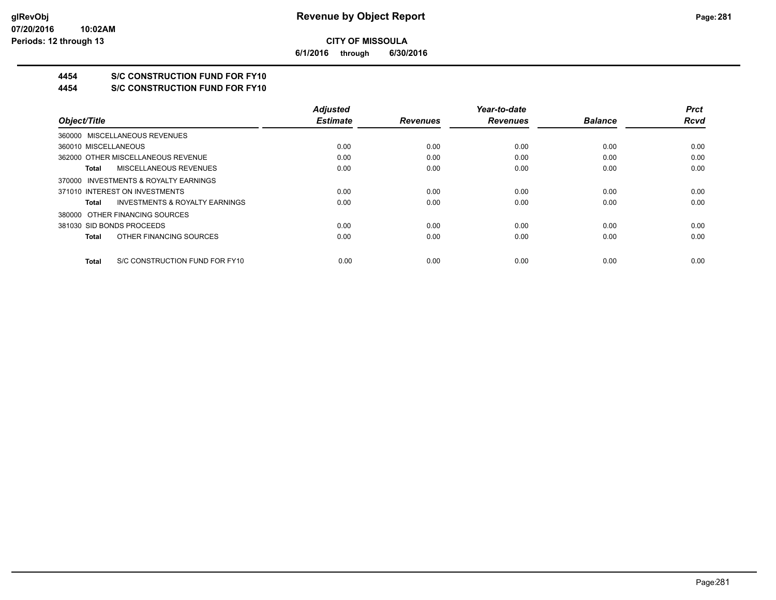**6/1/2016 through 6/30/2016**

# **4454 S/C CONSTRUCTION FUND FOR FY10**

**4454 S/C CONSTRUCTION FUND FOR FY10**

|                                                    | <b>Adjusted</b> |                 | Year-to-date    |                | <b>Prct</b> |
|----------------------------------------------------|-----------------|-----------------|-----------------|----------------|-------------|
| Object/Title                                       | <b>Estimate</b> | <b>Revenues</b> | <b>Revenues</b> | <b>Balance</b> | <b>Rcvd</b> |
| 360000 MISCELLANEOUS REVENUES                      |                 |                 |                 |                |             |
| 360010 MISCELLANEOUS                               | 0.00            | 0.00            | 0.00            | 0.00           | 0.00        |
| 362000 OTHER MISCELLANEOUS REVENUE                 | 0.00            | 0.00            | 0.00            | 0.00           | 0.00        |
| MISCELLANEOUS REVENUES<br>Total                    | 0.00            | 0.00            | 0.00            | 0.00           | 0.00        |
| 370000 INVESTMENTS & ROYALTY EARNINGS              |                 |                 |                 |                |             |
| 371010 INTEREST ON INVESTMENTS                     | 0.00            | 0.00            | 0.00            | 0.00           | 0.00        |
| <b>INVESTMENTS &amp; ROYALTY EARNINGS</b><br>Total | 0.00            | 0.00            | 0.00            | 0.00           | 0.00        |
| 380000 OTHER FINANCING SOURCES                     |                 |                 |                 |                |             |
| 381030 SID BONDS PROCEEDS                          | 0.00            | 0.00            | 0.00            | 0.00           | 0.00        |
| OTHER FINANCING SOURCES<br>Total                   | 0.00            | 0.00            | 0.00            | 0.00           | 0.00        |
| S/C CONSTRUCTION FUND FOR FY10<br>Total            | 0.00            | 0.00            | 0.00            | 0.00           | 0.00        |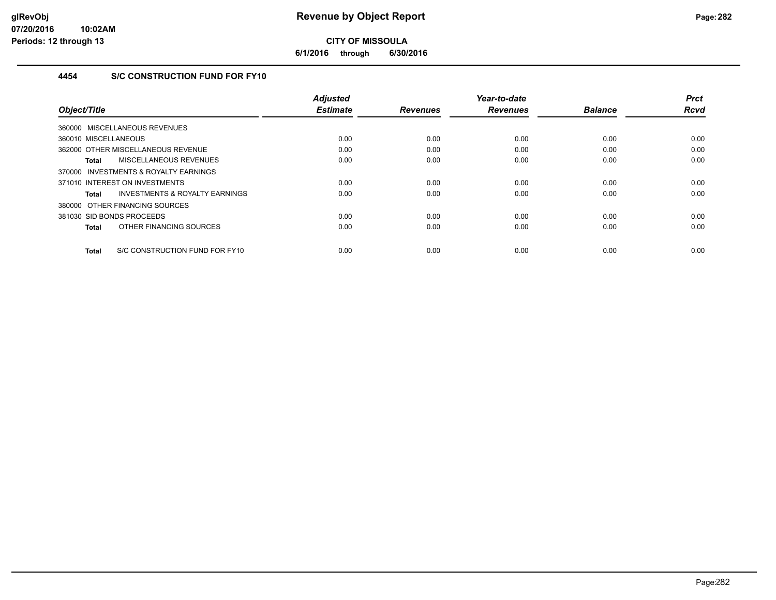**6/1/2016 through 6/30/2016**

## **4454 S/C CONSTRUCTION FUND FOR FY10**

|                                                    | <b>Adjusted</b> |                 | Year-to-date    |                | <b>Prct</b> |
|----------------------------------------------------|-----------------|-----------------|-----------------|----------------|-------------|
| Object/Title                                       | <b>Estimate</b> | <b>Revenues</b> | <b>Revenues</b> | <b>Balance</b> | <b>Rcvd</b> |
| 360000 MISCELLANEOUS REVENUES                      |                 |                 |                 |                |             |
| 360010 MISCELLANEOUS                               | 0.00            | 0.00            | 0.00            | 0.00           | 0.00        |
| 362000 OTHER MISCELLANEOUS REVENUE                 | 0.00            | 0.00            | 0.00            | 0.00           | 0.00        |
| <b>MISCELLANEOUS REVENUES</b><br>Total             | 0.00            | 0.00            | 0.00            | 0.00           | 0.00        |
| INVESTMENTS & ROYALTY EARNINGS<br>370000           |                 |                 |                 |                |             |
| 371010 INTEREST ON INVESTMENTS                     | 0.00            | 0.00            | 0.00            | 0.00           | 0.00        |
| <b>INVESTMENTS &amp; ROYALTY EARNINGS</b><br>Total | 0.00            | 0.00            | 0.00            | 0.00           | 0.00        |
| 380000 OTHER FINANCING SOURCES                     |                 |                 |                 |                |             |
| 381030 SID BONDS PROCEEDS                          | 0.00            | 0.00            | 0.00            | 0.00           | 0.00        |
| OTHER FINANCING SOURCES<br>Total                   | 0.00            | 0.00            | 0.00            | 0.00           | 0.00        |
| S/C CONSTRUCTION FUND FOR FY10<br>Total            | 0.00            | 0.00            | 0.00            | 0.00           | 0.00        |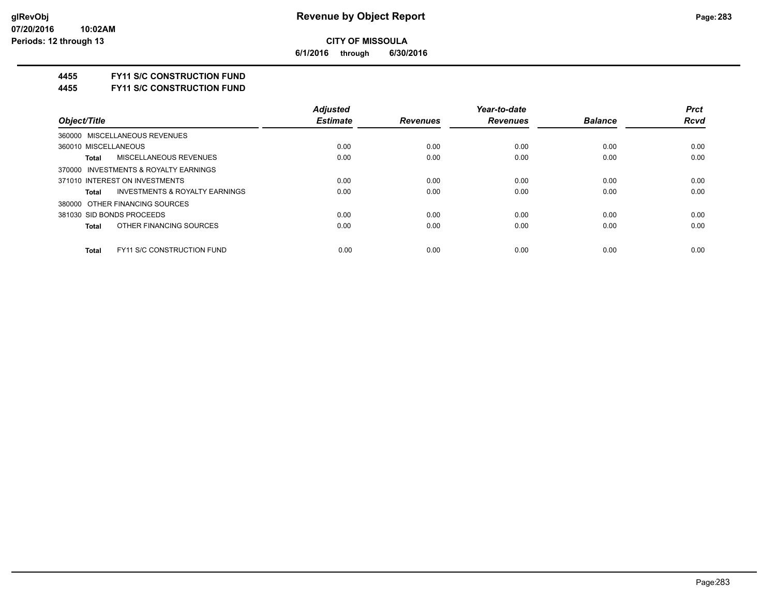**6/1/2016 through 6/30/2016**

## **4455 FY11 S/C CONSTRUCTION FUND**

**4455 FY11 S/C CONSTRUCTION FUND**

|                                                    | <b>Adjusted</b> |                 | Year-to-date    |                | <b>Prct</b> |
|----------------------------------------------------|-----------------|-----------------|-----------------|----------------|-------------|
| Object/Title                                       | <b>Estimate</b> | <b>Revenues</b> | <b>Revenues</b> | <b>Balance</b> | <b>Rcvd</b> |
| 360000 MISCELLANEOUS REVENUES                      |                 |                 |                 |                |             |
| 360010 MISCELLANEOUS                               | 0.00            | 0.00            | 0.00            | 0.00           | 0.00        |
| MISCELLANEOUS REVENUES<br>Total                    | 0.00            | 0.00            | 0.00            | 0.00           | 0.00        |
| 370000 INVESTMENTS & ROYALTY EARNINGS              |                 |                 |                 |                |             |
| 371010 INTEREST ON INVESTMENTS                     | 0.00            | 0.00            | 0.00            | 0.00           | 0.00        |
| <b>INVESTMENTS &amp; ROYALTY EARNINGS</b><br>Total | 0.00            | 0.00            | 0.00            | 0.00           | 0.00        |
| 380000 OTHER FINANCING SOURCES                     |                 |                 |                 |                |             |
| 381030 SID BONDS PROCEEDS                          | 0.00            | 0.00            | 0.00            | 0.00           | 0.00        |
| OTHER FINANCING SOURCES<br>Total                   | 0.00            | 0.00            | 0.00            | 0.00           | 0.00        |
| <b>FY11 S/C CONSTRUCTION FUND</b><br><b>Total</b>  | 0.00            | 0.00            | 0.00            | 0.00           | 0.00        |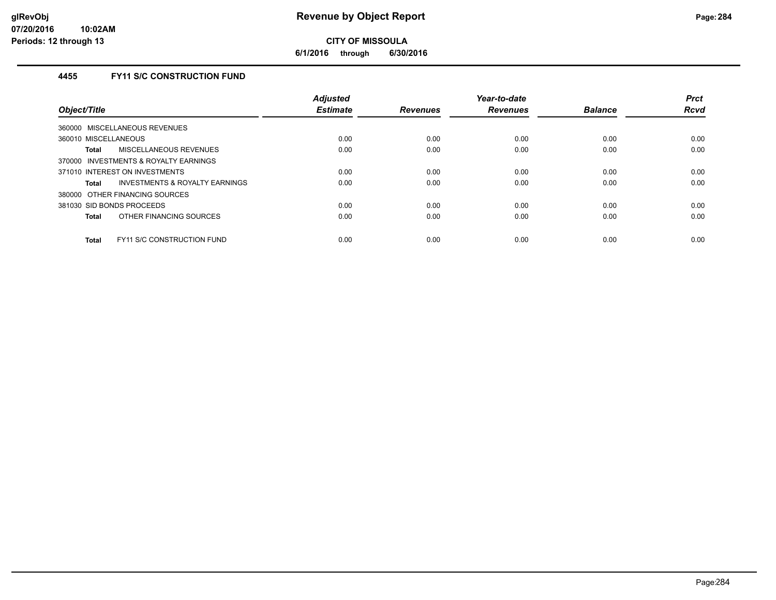**6/1/2016 through 6/30/2016**

## **4455 FY11 S/C CONSTRUCTION FUND**

| Object/Title                                        | <b>Adjusted</b><br><b>Estimate</b> | <b>Revenues</b> | Year-to-date<br><b>Revenues</b> | <b>Balance</b> | <b>Prct</b><br><b>Rcvd</b> |
|-----------------------------------------------------|------------------------------------|-----------------|---------------------------------|----------------|----------------------------|
| MISCELLANEOUS REVENUES<br>360000                    |                                    |                 |                                 |                |                            |
| 360010 MISCELLANEOUS                                | 0.00                               | 0.00            | 0.00                            | 0.00           | 0.00                       |
|                                                     |                                    |                 |                                 |                |                            |
| MISCELLANEOUS REVENUES<br>Total                     | 0.00                               | 0.00            | 0.00                            | 0.00           | 0.00                       |
| <b>INVESTMENTS &amp; ROYALTY EARNINGS</b><br>370000 |                                    |                 |                                 |                |                            |
| 371010 INTEREST ON INVESTMENTS                      | 0.00                               | 0.00            | 0.00                            | 0.00           | 0.00                       |
| INVESTMENTS & ROYALTY EARNINGS<br><b>Total</b>      | 0.00                               | 0.00            | 0.00                            | 0.00           | 0.00                       |
| OTHER FINANCING SOURCES<br>380000                   |                                    |                 |                                 |                |                            |
| 381030 SID BONDS PROCEEDS                           | 0.00                               | 0.00            | 0.00                            | 0.00           | 0.00                       |
| OTHER FINANCING SOURCES<br><b>Total</b>             | 0.00                               | 0.00            | 0.00                            | 0.00           | 0.00                       |
| <b>FY11 S/C CONSTRUCTION FUND</b><br><b>Total</b>   | 0.00                               | 0.00            | 0.00                            | 0.00           | 0.00                       |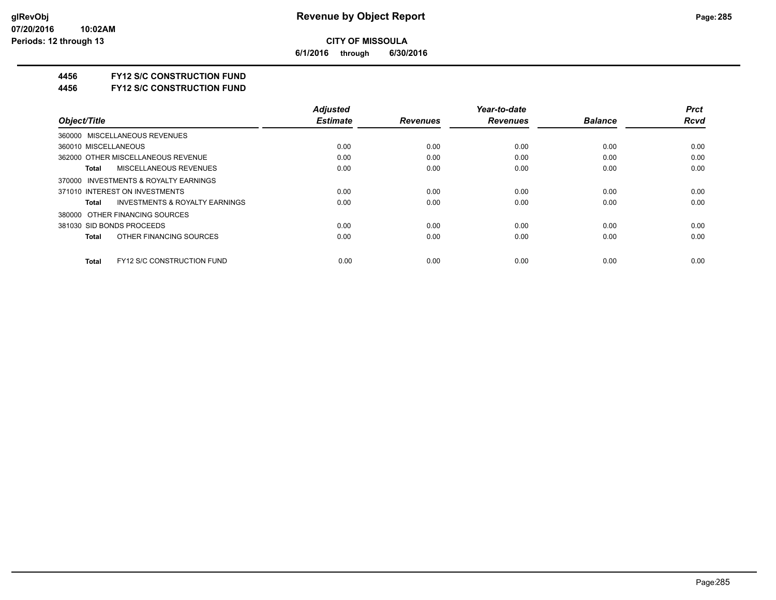**6/1/2016 through 6/30/2016**

## **4456 FY12 S/C CONSTRUCTION FUND**

**4456 FY12 S/C CONSTRUCTION FUND**

|                                                   | <b>Adjusted</b> |                 | Year-to-date    |                | <b>Prct</b> |
|---------------------------------------------------|-----------------|-----------------|-----------------|----------------|-------------|
| Object/Title                                      | <b>Estimate</b> | <b>Revenues</b> | <b>Revenues</b> | <b>Balance</b> | <b>Rcvd</b> |
| 360000 MISCELLANEOUS REVENUES                     |                 |                 |                 |                |             |
| 360010 MISCELLANEOUS                              | 0.00            | 0.00            | 0.00            | 0.00           | 0.00        |
| 362000 OTHER MISCELLANEOUS REVENUE                | 0.00            | 0.00            | 0.00            | 0.00           | 0.00        |
| MISCELLANEOUS REVENUES<br>Total                   | 0.00            | 0.00            | 0.00            | 0.00           | 0.00        |
| 370000 INVESTMENTS & ROYALTY EARNINGS             |                 |                 |                 |                |             |
| 371010 INTEREST ON INVESTMENTS                    | 0.00            | 0.00            | 0.00            | 0.00           | 0.00        |
| INVESTMENTS & ROYALTY EARNINGS<br>Total           | 0.00            | 0.00            | 0.00            | 0.00           | 0.00        |
| 380000 OTHER FINANCING SOURCES                    |                 |                 |                 |                |             |
| 381030 SID BONDS PROCEEDS                         | 0.00            | 0.00            | 0.00            | 0.00           | 0.00        |
| OTHER FINANCING SOURCES<br>Total                  | 0.00            | 0.00            | 0.00            | 0.00           | 0.00        |
| <b>FY12 S/C CONSTRUCTION FUND</b><br><b>Total</b> | 0.00            | 0.00            | 0.00            | 0.00           | 0.00        |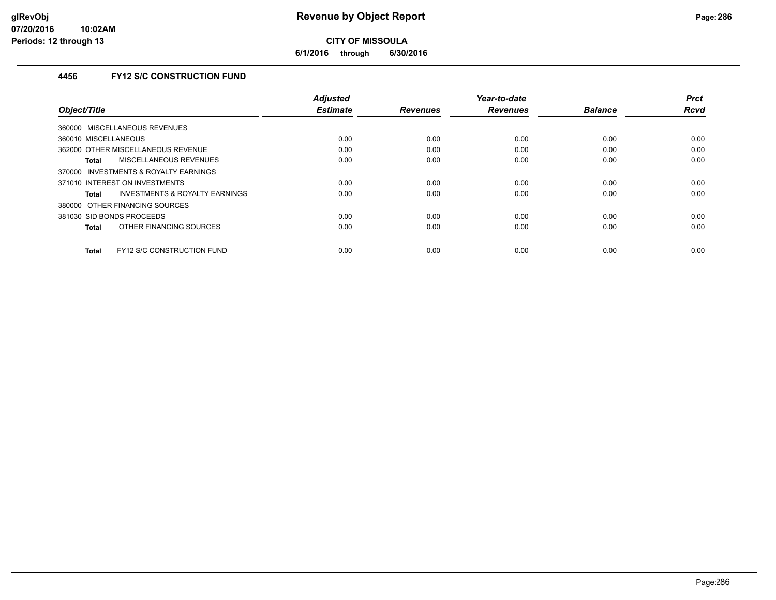**6/1/2016 through 6/30/2016**

## **4456 FY12 S/C CONSTRUCTION FUND**

|                                                    | <b>Adjusted</b> |                 | Year-to-date    |                | <b>Prct</b> |
|----------------------------------------------------|-----------------|-----------------|-----------------|----------------|-------------|
| Object/Title                                       | <b>Estimate</b> | <b>Revenues</b> | <b>Revenues</b> | <b>Balance</b> | <b>Rcvd</b> |
| 360000 MISCELLANEOUS REVENUES                      |                 |                 |                 |                |             |
| 360010 MISCELLANEOUS                               | 0.00            | 0.00            | 0.00            | 0.00           | 0.00        |
| 362000 OTHER MISCELLANEOUS REVENUE                 | 0.00            | 0.00            | 0.00            | 0.00           | 0.00        |
| <b>MISCELLANEOUS REVENUES</b><br>Total             | 0.00            | 0.00            | 0.00            | 0.00           | 0.00        |
| INVESTMENTS & ROYALTY EARNINGS<br>370000           |                 |                 |                 |                |             |
| 371010 INTEREST ON INVESTMENTS                     | 0.00            | 0.00            | 0.00            | 0.00           | 0.00        |
| <b>INVESTMENTS &amp; ROYALTY EARNINGS</b><br>Total | 0.00            | 0.00            | 0.00            | 0.00           | 0.00        |
| 380000 OTHER FINANCING SOURCES                     |                 |                 |                 |                |             |
| 381030 SID BONDS PROCEEDS                          | 0.00            | 0.00            | 0.00            | 0.00           | 0.00        |
| OTHER FINANCING SOURCES<br>Total                   | 0.00            | 0.00            | 0.00            | 0.00           | 0.00        |
|                                                    |                 |                 |                 |                |             |
| <b>FY12 S/C CONSTRUCTION FUND</b><br><b>Total</b>  | 0.00            | 0.00            | 0.00            | 0.00           | 0.00        |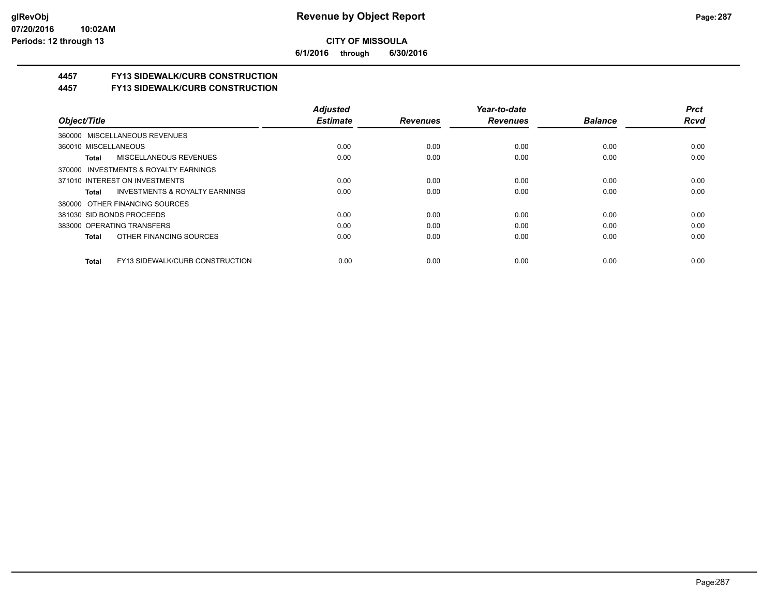**6/1/2016 through 6/30/2016**

## **4457 FY13 SIDEWALK/CURB CONSTRUCTION**

**4457 FY13 SIDEWALK/CURB CONSTRUCTION**

|                                                    | <b>Adiusted</b> |                 | Year-to-date    |                | <b>Prct</b> |
|----------------------------------------------------|-----------------|-----------------|-----------------|----------------|-------------|
| Object/Title                                       | <b>Estimate</b> | <b>Revenues</b> | <b>Revenues</b> | <b>Balance</b> | <b>Rcvd</b> |
| 360000 MISCELLANEOUS REVENUES                      |                 |                 |                 |                |             |
| 360010 MISCELLANEOUS                               | 0.00            | 0.00            | 0.00            | 0.00           | 0.00        |
| <b>MISCELLANEOUS REVENUES</b><br>Total             | 0.00            | 0.00            | 0.00            | 0.00           | 0.00        |
| 370000 INVESTMENTS & ROYALTY EARNINGS              |                 |                 |                 |                |             |
| 371010 INTEREST ON INVESTMENTS                     | 0.00            | 0.00            | 0.00            | 0.00           | 0.00        |
| <b>INVESTMENTS &amp; ROYALTY EARNINGS</b><br>Total | 0.00            | 0.00            | 0.00            | 0.00           | 0.00        |
| 380000 OTHER FINANCING SOURCES                     |                 |                 |                 |                |             |
| 381030 SID BONDS PROCEEDS                          | 0.00            | 0.00            | 0.00            | 0.00           | 0.00        |
| 383000 OPERATING TRANSFERS                         | 0.00            | 0.00            | 0.00            | 0.00           | 0.00        |
| OTHER FINANCING SOURCES<br>Total                   | 0.00            | 0.00            | 0.00            | 0.00           | 0.00        |
| FY13 SIDEWALK/CURB CONSTRUCTION<br>Total           | 0.00            | 0.00            | 0.00            | 0.00           | 0.00        |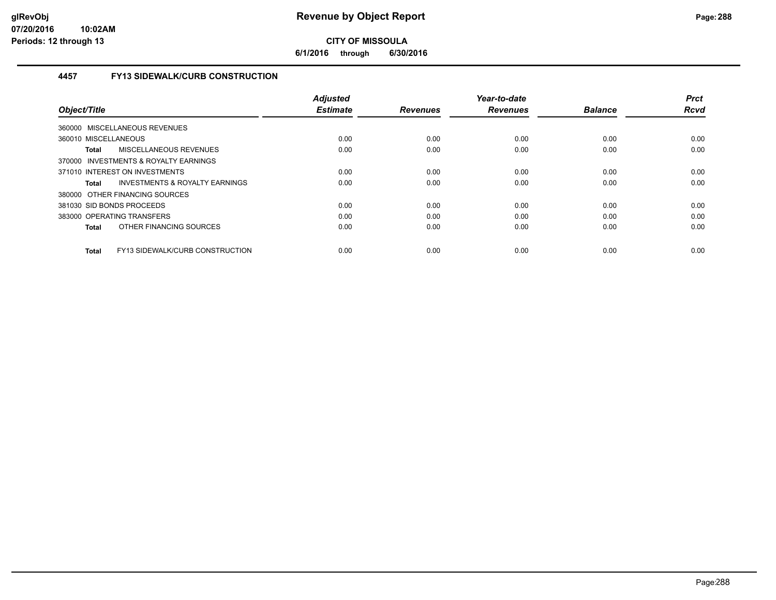**6/1/2016 through 6/30/2016**

## **4457 FY13 SIDEWALK/CURB CONSTRUCTION**

| Object/Title                             | <b>Adjusted</b><br><b>Estimate</b> | <b>Revenues</b> | Year-to-date<br><b>Revenues</b> | <b>Balance</b> | <b>Prct</b><br><b>Rcvd</b> |
|------------------------------------------|------------------------------------|-----------------|---------------------------------|----------------|----------------------------|
|                                          |                                    |                 |                                 |                |                            |
| 360000 MISCELLANEOUS REVENUES            |                                    |                 |                                 |                |                            |
| 360010 MISCELLANEOUS                     | 0.00                               | 0.00            | 0.00                            | 0.00           | 0.00                       |
| MISCELLANEOUS REVENUES<br>Total          | 0.00                               | 0.00            | 0.00                            | 0.00           | 0.00                       |
| 370000 INVESTMENTS & ROYALTY EARNINGS    |                                    |                 |                                 |                |                            |
| 371010 INTEREST ON INVESTMENTS           | 0.00                               | 0.00            | 0.00                            | 0.00           | 0.00                       |
| INVESTMENTS & ROYALTY EARNINGS<br>Total  | 0.00                               | 0.00            | 0.00                            | 0.00           | 0.00                       |
| 380000 OTHER FINANCING SOURCES           |                                    |                 |                                 |                |                            |
| 381030 SID BONDS PROCEEDS                | 0.00                               | 0.00            | 0.00                            | 0.00           | 0.00                       |
| 383000 OPERATING TRANSFERS               | 0.00                               | 0.00            | 0.00                            | 0.00           | 0.00                       |
| OTHER FINANCING SOURCES<br>Total         | 0.00                               | 0.00            | 0.00                            | 0.00           | 0.00                       |
| FY13 SIDEWALK/CURB CONSTRUCTION<br>Total | 0.00                               | 0.00            | 0.00                            | 0.00           | 0.00                       |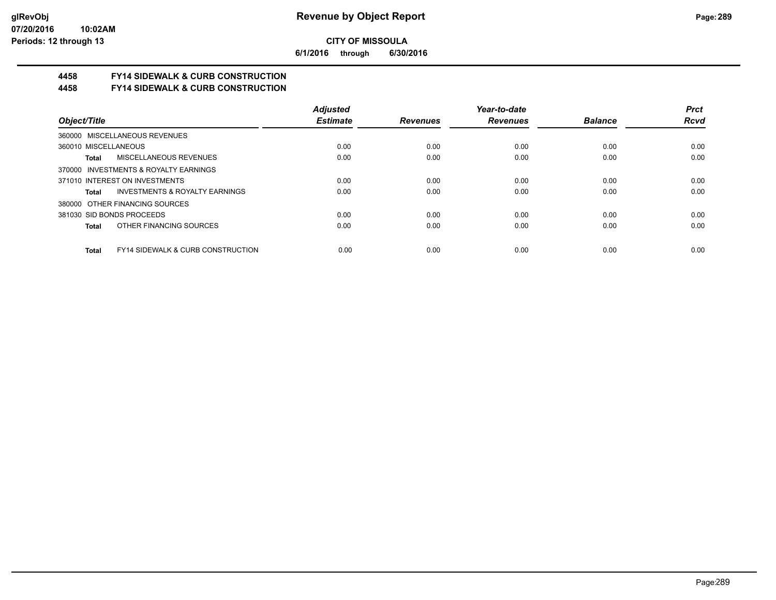**6/1/2016 through 6/30/2016**

# **4458 FY14 SIDEWALK & CURB CONSTRUCTION**

**4458 FY14 SIDEWALK & CURB CONSTRUCTION**

|                                                              | <b>Adjusted</b> |                 | Year-to-date    |                | <b>Prct</b> |
|--------------------------------------------------------------|-----------------|-----------------|-----------------|----------------|-------------|
| Object/Title                                                 | <b>Estimate</b> | <b>Revenues</b> | <b>Revenues</b> | <b>Balance</b> | <b>Rcvd</b> |
| 360000 MISCELLANEOUS REVENUES                                |                 |                 |                 |                |             |
| 360010 MISCELLANEOUS                                         | 0.00            | 0.00            | 0.00            | 0.00           | 0.00        |
| MISCELLANEOUS REVENUES<br>Total                              | 0.00            | 0.00            | 0.00            | 0.00           | 0.00        |
| 370000 INVESTMENTS & ROYALTY EARNINGS                        |                 |                 |                 |                |             |
| 371010 INTEREST ON INVESTMENTS                               | 0.00            | 0.00            | 0.00            | 0.00           | 0.00        |
| INVESTMENTS & ROYALTY EARNINGS<br>Total                      | 0.00            | 0.00            | 0.00            | 0.00           | 0.00        |
| 380000 OTHER FINANCING SOURCES                               |                 |                 |                 |                |             |
| 381030 SID BONDS PROCEEDS                                    | 0.00            | 0.00            | 0.00            | 0.00           | 0.00        |
| OTHER FINANCING SOURCES<br><b>Total</b>                      | 0.00            | 0.00            | 0.00            | 0.00           | 0.00        |
|                                                              |                 |                 |                 |                |             |
| <b>FY14 SIDEWALK &amp; CURB CONSTRUCTION</b><br><b>Total</b> | 0.00            | 0.00            | 0.00            | 0.00           | 0.00        |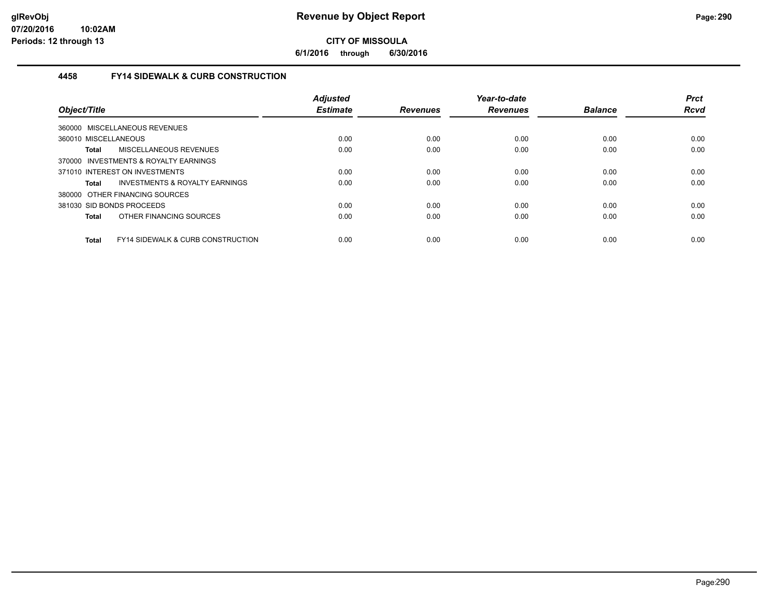**6/1/2016 through 6/30/2016**

# **4458 FY14 SIDEWALK & CURB CONSTRUCTION**

| Object/Title         |                                              | <b>Adjusted</b><br><b>Estimate</b> | <b>Revenues</b> | Year-to-date<br><b>Revenues</b> | <b>Balance</b> | <b>Prct</b><br><b>Rcvd</b> |
|----------------------|----------------------------------------------|------------------------------------|-----------------|---------------------------------|----------------|----------------------------|
|                      | 360000 MISCELLANEOUS REVENUES                |                                    |                 |                                 |                |                            |
| 360010 MISCELLANEOUS |                                              | 0.00                               | 0.00            | 0.00                            | 0.00           | 0.00                       |
| Total                | MISCELLANEOUS REVENUES                       | 0.00                               | 0.00            | 0.00                            | 0.00           | 0.00                       |
|                      | 370000 INVESTMENTS & ROYALTY EARNINGS        |                                    |                 |                                 |                |                            |
|                      | 371010 INTEREST ON INVESTMENTS               | 0.00                               | 0.00            | 0.00                            | 0.00           | 0.00                       |
| <b>Total</b>         | INVESTMENTS & ROYALTY EARNINGS               | 0.00                               | 0.00            | 0.00                            | 0.00           | 0.00                       |
|                      | 380000 OTHER FINANCING SOURCES               |                                    |                 |                                 |                |                            |
|                      | 381030 SID BONDS PROCEEDS                    | 0.00                               | 0.00            | 0.00                            | 0.00           | 0.00                       |
| Total                | OTHER FINANCING SOURCES                      | 0.00                               | 0.00            | 0.00                            | 0.00           | 0.00                       |
| <b>Total</b>         | <b>FY14 SIDEWALK &amp; CURB CONSTRUCTION</b> | 0.00                               | 0.00            | 0.00                            | 0.00           | 0.00                       |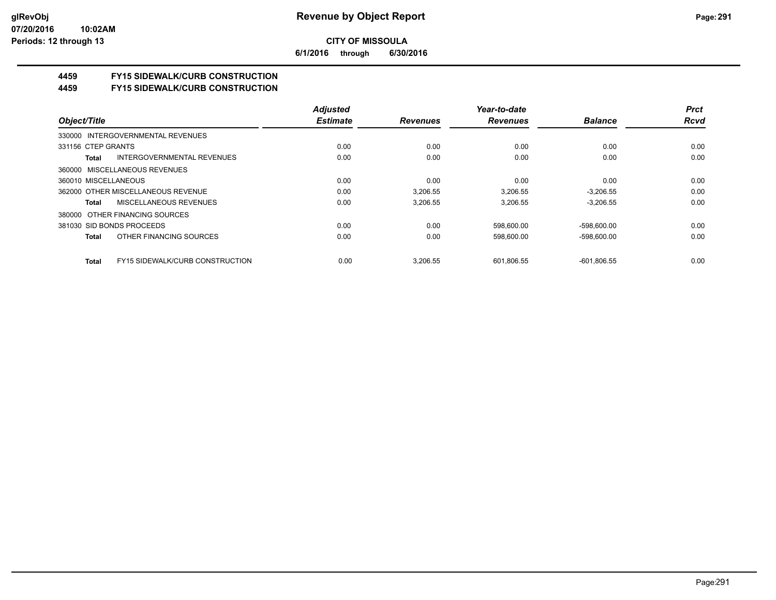**6/1/2016 through 6/30/2016**

# **4459 FY15 SIDEWALK/CURB CONSTRUCTION**

**4459 FY15 SIDEWALK/CURB CONSTRUCTION**

|                                                 | <b>Adjusted</b> |                 | Year-to-date    |                | <b>Prct</b> |
|-------------------------------------------------|-----------------|-----------------|-----------------|----------------|-------------|
| Object/Title                                    | <b>Estimate</b> | <b>Revenues</b> | <b>Revenues</b> | <b>Balance</b> | <b>Rcvd</b> |
| 330000 INTERGOVERNMENTAL REVENUES               |                 |                 |                 |                |             |
| 331156 CTEP GRANTS                              | 0.00            | 0.00            | 0.00            | 0.00           | 0.00        |
| INTERGOVERNMENTAL REVENUES<br>Total             | 0.00            | 0.00            | 0.00            | 0.00           | 0.00        |
| 360000 MISCELLANEOUS REVENUES                   |                 |                 |                 |                |             |
| 360010 MISCELLANEOUS                            | 0.00            | 0.00            | 0.00            | 0.00           | 0.00        |
| 362000 OTHER MISCELLANEOUS REVENUE              | 0.00            | 3.206.55        | 3.206.55        | $-3.206.55$    | 0.00        |
| MISCELLANEOUS REVENUES<br>Total                 | 0.00            | 3,206.55        | 3,206.55        | $-3,206.55$    | 0.00        |
| 380000 OTHER FINANCING SOURCES                  |                 |                 |                 |                |             |
| 381030 SID BONDS PROCEEDS                       | 0.00            | 0.00            | 598.600.00      | -598.600.00    | 0.00        |
| OTHER FINANCING SOURCES<br>Total                | 0.00            | 0.00            | 598,600.00      | $-598,600.00$  | 0.00        |
| <b>FY15 SIDEWALK/CURB CONSTRUCTION</b><br>Total | 0.00            | 3,206.55        | 601.806.55      | -601.806.55    | 0.00        |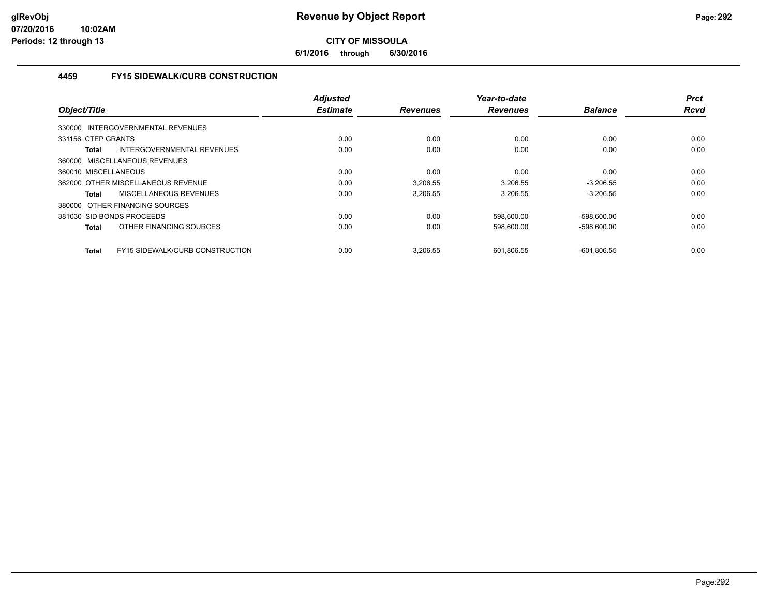**6/1/2016 through 6/30/2016**

# **4459 FY15 SIDEWALK/CURB CONSTRUCTION**

|                                                        | <b>Adjusted</b> |                 | Year-to-date    |                | <b>Prct</b> |
|--------------------------------------------------------|-----------------|-----------------|-----------------|----------------|-------------|
| Object/Title                                           | <b>Estimate</b> | <b>Revenues</b> | <b>Revenues</b> | <b>Balance</b> | <b>Rcvd</b> |
| 330000 INTERGOVERNMENTAL REVENUES                      |                 |                 |                 |                |             |
| 331156 CTEP GRANTS                                     | 0.00            | 0.00            | 0.00            | 0.00           | 0.00        |
| INTERGOVERNMENTAL REVENUES<br><b>Total</b>             | 0.00            | 0.00            | 0.00            | 0.00           | 0.00        |
| 360000 MISCELLANEOUS REVENUES                          |                 |                 |                 |                |             |
| 360010 MISCELLANEOUS                                   | 0.00            | 0.00            | 0.00            | 0.00           | 0.00        |
| 362000 OTHER MISCELLANEOUS REVENUE                     | 0.00            | 3.206.55        | 3.206.55        | $-3,206.55$    | 0.00        |
| MISCELLANEOUS REVENUES<br><b>Total</b>                 | 0.00            | 3.206.55        | 3.206.55        | $-3.206.55$    | 0.00        |
| 380000 OTHER FINANCING SOURCES                         |                 |                 |                 |                |             |
| 381030 SID BONDS PROCEEDS                              | 0.00            | 0.00            | 598.600.00      | $-598.600.00$  | 0.00        |
| OTHER FINANCING SOURCES<br><b>Total</b>                | 0.00            | 0.00            | 598,600.00      | $-598,600.00$  | 0.00        |
| <b>FY15 SIDEWALK/CURB CONSTRUCTION</b><br><b>Total</b> | 0.00            | 3.206.55        | 601.806.55      | $-601.806.55$  | 0.00        |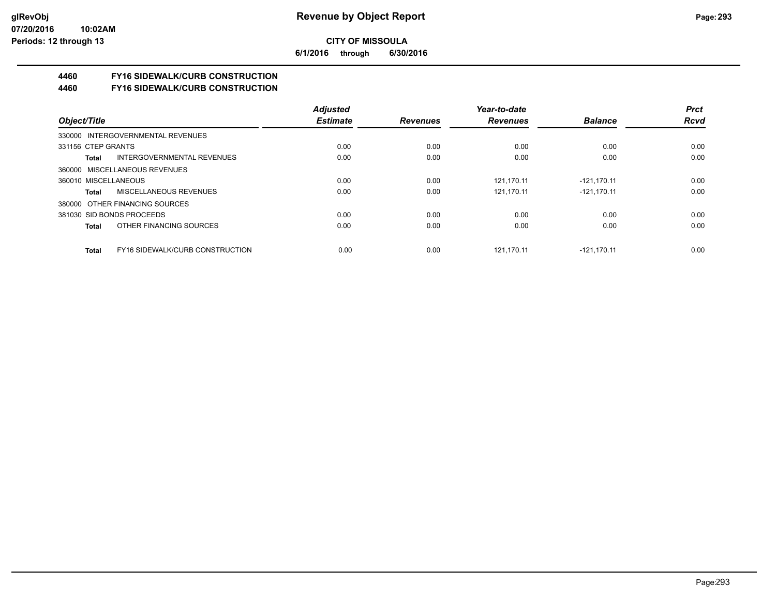**6/1/2016 through 6/30/2016**

# **4460 FY16 SIDEWALK/CURB CONSTRUCTION**

**4460 FY16 SIDEWALK/CURB CONSTRUCTION**

|                                                 | <b>Adjusted</b> |                 | Year-to-date    |                | <b>Prct</b> |
|-------------------------------------------------|-----------------|-----------------|-----------------|----------------|-------------|
| Object/Title                                    | <b>Estimate</b> | <b>Revenues</b> | <b>Revenues</b> | <b>Balance</b> | <b>Rcvd</b> |
| 330000 INTERGOVERNMENTAL REVENUES               |                 |                 |                 |                |             |
| 331156 CTEP GRANTS                              | 0.00            | 0.00            | 0.00            | 0.00           | 0.00        |
| INTERGOVERNMENTAL REVENUES<br>Total             | 0.00            | 0.00            | 0.00            | 0.00           | 0.00        |
| 360000 MISCELLANEOUS REVENUES                   |                 |                 |                 |                |             |
| 360010 MISCELLANEOUS                            | 0.00            | 0.00            | 121.170.11      | $-121.170.11$  | 0.00        |
| MISCELLANEOUS REVENUES<br>Total                 | 0.00            | 0.00            | 121.170.11      | $-121.170.11$  | 0.00        |
| 380000 OTHER FINANCING SOURCES                  |                 |                 |                 |                |             |
| 381030 SID BONDS PROCEEDS                       | 0.00            | 0.00            | 0.00            | 0.00           | 0.00        |
| OTHER FINANCING SOURCES<br>Total                | 0.00            | 0.00            | 0.00            | 0.00           | 0.00        |
| FY16 SIDEWALK/CURB CONSTRUCTION<br><b>Total</b> | 0.00            | 0.00            | 121.170.11      | $-121.170.11$  | 0.00        |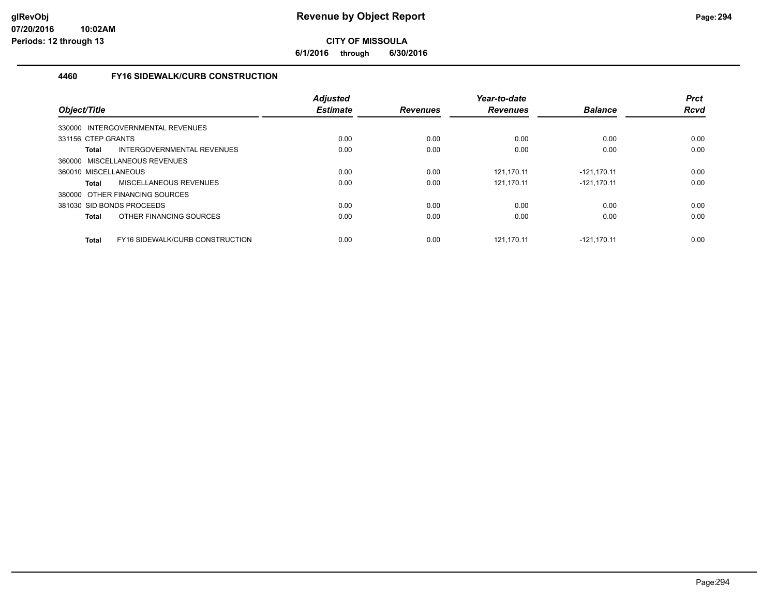**6/1/2016 through 6/30/2016**

# **4460 FY16 SIDEWALK/CURB CONSTRUCTION**

| Object/Title              |                                        | <b>Adjusted</b><br><b>Estimate</b> | <b>Revenues</b> | Year-to-date<br><b>Revenues</b> | <b>Balance</b> | <b>Prct</b><br><b>Rcvd</b> |
|---------------------------|----------------------------------------|------------------------------------|-----------------|---------------------------------|----------------|----------------------------|
|                           | 330000 INTERGOVERNMENTAL REVENUES      |                                    |                 |                                 |                |                            |
| 331156 CTEP GRANTS        |                                        | 0.00                               | 0.00            | 0.00                            | 0.00           | 0.00                       |
| <b>Total</b>              | INTERGOVERNMENTAL REVENUES             | 0.00                               | 0.00            | 0.00                            | 0.00           | 0.00                       |
|                           | 360000 MISCELLANEOUS REVENUES          |                                    |                 |                                 |                |                            |
| 360010 MISCELLANEOUS      |                                        | 0.00                               | 0.00            | 121.170.11                      | $-121,170.11$  | 0.00                       |
| <b>Total</b>              | MISCELLANEOUS REVENUES                 | 0.00                               | 0.00            | 121.170.11                      | $-121.170.11$  | 0.00                       |
|                           | 380000 OTHER FINANCING SOURCES         |                                    |                 |                                 |                |                            |
| 381030 SID BONDS PROCEEDS |                                        | 0.00                               | 0.00            | 0.00                            | 0.00           | 0.00                       |
| <b>Total</b>              | OTHER FINANCING SOURCES                | 0.00                               | 0.00            | 0.00                            | 0.00           | 0.00                       |
| <b>Total</b>              | <b>FY16 SIDEWALK/CURB CONSTRUCTION</b> | 0.00                               | 0.00            | 121.170.11                      | $-121.170.11$  | 0.00                       |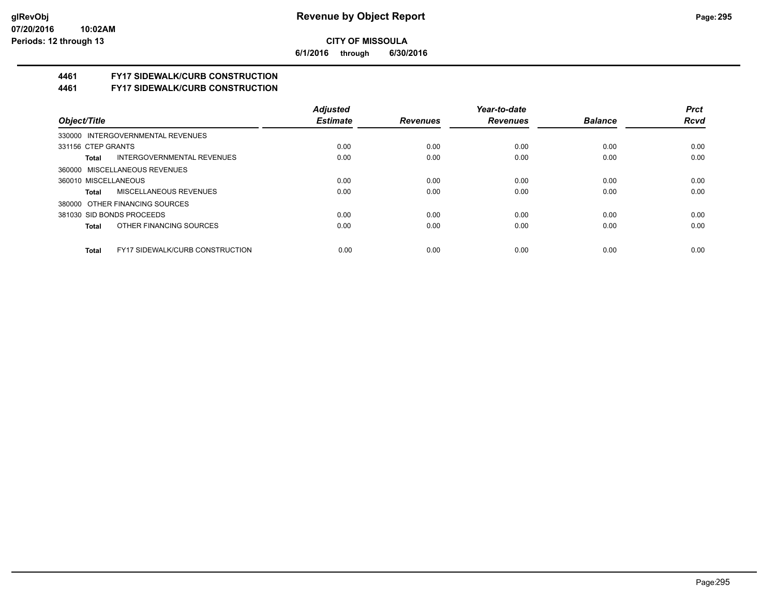**6/1/2016 through 6/30/2016**

# **4461 FY17 SIDEWALK/CURB CONSTRUCTION**

**4461 FY17 SIDEWALK/CURB CONSTRUCTION**

|                                                        | <b>Adjusted</b> |                 | Year-to-date    |                | <b>Prct</b> |
|--------------------------------------------------------|-----------------|-----------------|-----------------|----------------|-------------|
| Object/Title                                           | <b>Estimate</b> | <b>Revenues</b> | <b>Revenues</b> | <b>Balance</b> | <b>Rcvd</b> |
| 330000 INTERGOVERNMENTAL REVENUES                      |                 |                 |                 |                |             |
| 331156 CTEP GRANTS                                     | 0.00            | 0.00            | 0.00            | 0.00           | 0.00        |
| INTERGOVERNMENTAL REVENUES<br>Total                    | 0.00            | 0.00            | 0.00            | 0.00           | 0.00        |
| 360000 MISCELLANEOUS REVENUES                          |                 |                 |                 |                |             |
| 360010 MISCELLANEOUS                                   | 0.00            | 0.00            | 0.00            | 0.00           | 0.00        |
| MISCELLANEOUS REVENUES<br>Total                        | 0.00            | 0.00            | 0.00            | 0.00           | 0.00        |
| 380000 OTHER FINANCING SOURCES                         |                 |                 |                 |                |             |
| 381030 SID BONDS PROCEEDS                              | 0.00            | 0.00            | 0.00            | 0.00           | 0.00        |
| OTHER FINANCING SOURCES<br>Total                       | 0.00            | 0.00            | 0.00            | 0.00           | 0.00        |
|                                                        |                 |                 |                 |                |             |
| <b>FY17 SIDEWALK/CURB CONSTRUCTION</b><br><b>Total</b> | 0.00            | 0.00            | 0.00            | 0.00           | 0.00        |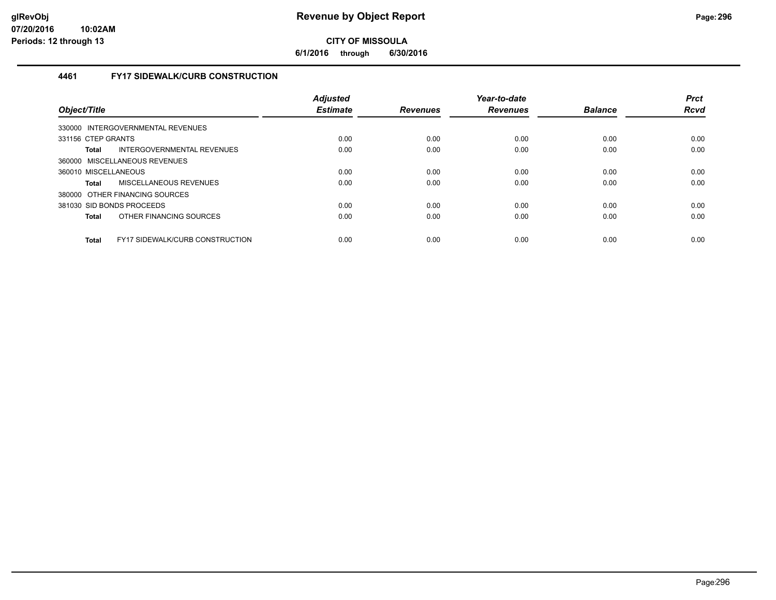**6/1/2016 through 6/30/2016**

# **4461 FY17 SIDEWALK/CURB CONSTRUCTION**

| Object/Title       |       |                                        | <b>Adjusted</b><br><b>Estimate</b> | <b>Revenues</b> | Year-to-date<br><b>Revenues</b> | <b>Balance</b> | <b>Prct</b><br><b>Rcvd</b> |
|--------------------|-------|----------------------------------------|------------------------------------|-----------------|---------------------------------|----------------|----------------------------|
|                    |       | 330000 INTERGOVERNMENTAL REVENUES      |                                    |                 |                                 |                |                            |
| 331156 CTEP GRANTS |       |                                        | 0.00                               | 0.00            | 0.00                            | 0.00           | 0.00                       |
|                    | Total | <b>INTERGOVERNMENTAL REVENUES</b>      | 0.00                               | 0.00            | 0.00                            | 0.00           | 0.00                       |
|                    |       | 360000 MISCELLANEOUS REVENUES          |                                    |                 |                                 |                |                            |
|                    |       | 360010 MISCELLANEOUS                   | 0.00                               | 0.00            | 0.00                            | 0.00           | 0.00                       |
|                    | Total | MISCELLANEOUS REVENUES                 | 0.00                               | 0.00            | 0.00                            | 0.00           | 0.00                       |
|                    |       | 380000 OTHER FINANCING SOURCES         |                                    |                 |                                 |                |                            |
|                    |       | 381030 SID BONDS PROCEEDS              | 0.00                               | 0.00            | 0.00                            | 0.00           | 0.00                       |
|                    | Total | OTHER FINANCING SOURCES                | 0.00                               | 0.00            | 0.00                            | 0.00           | 0.00                       |
|                    | Total | <b>FY17 SIDEWALK/CURB CONSTRUCTION</b> | 0.00                               | 0.00            | 0.00                            | 0.00           | 0.00                       |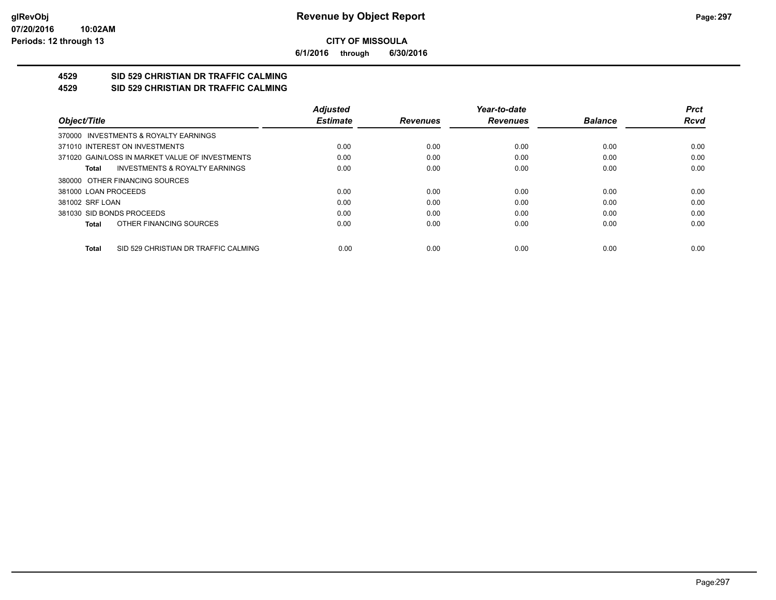**6/1/2016 through 6/30/2016**

# **4529 SID 529 CHRISTIAN DR TRAFFIC CALMING**

# **4529 SID 529 CHRISTIAN DR TRAFFIC CALMING**

|                                                      | <b>Adjusted</b> |                 | Year-to-date    |                | <b>Prct</b> |
|------------------------------------------------------|-----------------|-----------------|-----------------|----------------|-------------|
| Object/Title                                         | <b>Estimate</b> | <b>Revenues</b> | <b>Revenues</b> | <b>Balance</b> | <b>Rcvd</b> |
| 370000 INVESTMENTS & ROYALTY EARNINGS                |                 |                 |                 |                |             |
| 371010 INTEREST ON INVESTMENTS                       | 0.00            | 0.00            | 0.00            | 0.00           | 0.00        |
| 371020 GAIN/LOSS IN MARKET VALUE OF INVESTMENTS      | 0.00            | 0.00            | 0.00            | 0.00           | 0.00        |
| <b>INVESTMENTS &amp; ROYALTY EARNINGS</b><br>Total   | 0.00            | 0.00            | 0.00            | 0.00           | 0.00        |
| 380000 OTHER FINANCING SOURCES                       |                 |                 |                 |                |             |
| 381000 LOAN PROCEEDS                                 | 0.00            | 0.00            | 0.00            | 0.00           | 0.00        |
| 381002 SRF LOAN                                      | 0.00            | 0.00            | 0.00            | 0.00           | 0.00        |
| 381030 SID BONDS PROCEEDS                            | 0.00            | 0.00            | 0.00            | 0.00           | 0.00        |
| OTHER FINANCING SOURCES<br>Total                     | 0.00            | 0.00            | 0.00            | 0.00           | 0.00        |
|                                                      |                 |                 |                 |                |             |
| SID 529 CHRISTIAN DR TRAFFIC CALMING<br><b>Total</b> | 0.00            | 0.00            | 0.00            | 0.00           | 0.00        |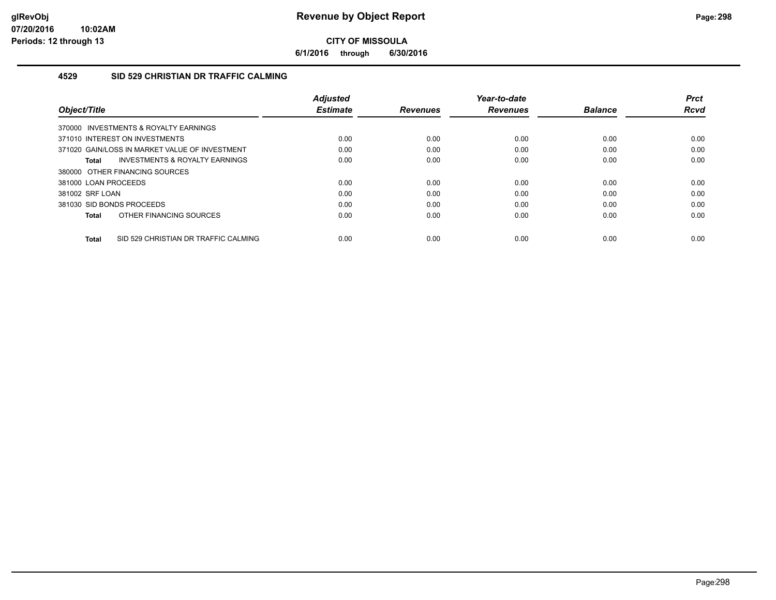**6/1/2016 through 6/30/2016**

# **4529 SID 529 CHRISTIAN DR TRAFFIC CALMING**

| Object/Title                                         | <b>Adjusted</b><br><b>Estimate</b> | <b>Revenues</b> | Year-to-date<br><b>Revenues</b> | <b>Balance</b> | <b>Prct</b><br>Rcvd |
|------------------------------------------------------|------------------------------------|-----------------|---------------------------------|----------------|---------------------|
| 370000 INVESTMENTS & ROYALTY EARNINGS                |                                    |                 |                                 |                |                     |
| 371010 INTEREST ON INVESTMENTS                       | 0.00                               | 0.00            | 0.00                            | 0.00           | 0.00                |
| 371020 GAIN/LOSS IN MARKET VALUE OF INVESTMENT       | 0.00                               | 0.00            | 0.00                            | 0.00           | 0.00                |
| INVESTMENTS & ROYALTY EARNINGS<br>Total              | 0.00                               | 0.00            | 0.00                            | 0.00           | 0.00                |
| 380000 OTHER FINANCING SOURCES                       |                                    |                 |                                 |                |                     |
| 381000 LOAN PROCEEDS                                 | 0.00                               | 0.00            | 0.00                            | 0.00           | 0.00                |
| 381002 SRF LOAN                                      | 0.00                               | 0.00            | 0.00                            | 0.00           | 0.00                |
| 381030 SID BONDS PROCEEDS                            | 0.00                               | 0.00            | 0.00                            | 0.00           | 0.00                |
| OTHER FINANCING SOURCES<br>Total                     | 0.00                               | 0.00            | 0.00                            | 0.00           | 0.00                |
| SID 529 CHRISTIAN DR TRAFFIC CALMING<br><b>Total</b> | 0.00                               | 0.00            | 0.00                            | 0.00           | 0.00                |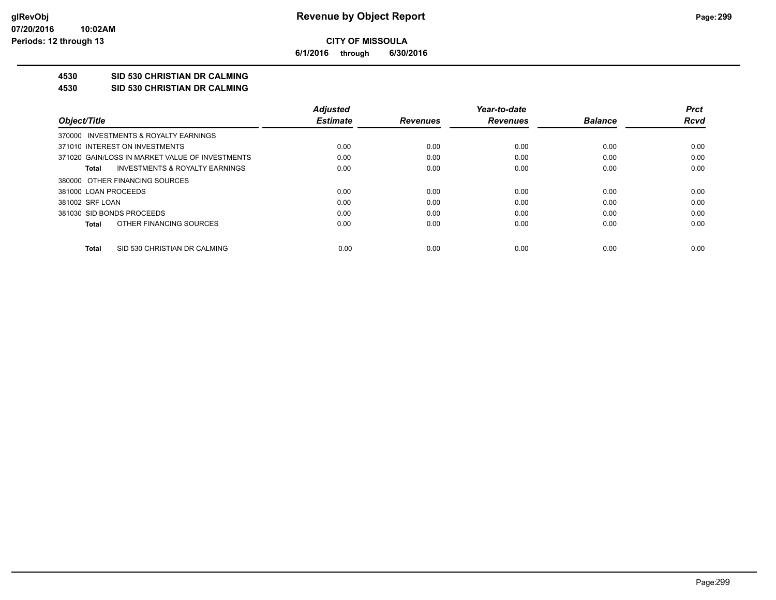**6/1/2016 through 6/30/2016**

# **4530 SID 530 CHRISTIAN DR CALMING**

**4530 SID 530 CHRISTIAN DR CALMING**

|                                                 | <b>Adjusted</b> |                 | Year-to-date    |                | <b>Prct</b> |
|-------------------------------------------------|-----------------|-----------------|-----------------|----------------|-------------|
| Object/Title                                    | <b>Estimate</b> | <b>Revenues</b> | <b>Revenues</b> | <b>Balance</b> | Rcvd        |
| 370000 INVESTMENTS & ROYALTY EARNINGS           |                 |                 |                 |                |             |
| 371010 INTEREST ON INVESTMENTS                  | 0.00            | 0.00            | 0.00            | 0.00           | 0.00        |
| 371020 GAIN/LOSS IN MARKET VALUE OF INVESTMENTS | 0.00            | 0.00            | 0.00            | 0.00           | 0.00        |
| INVESTMENTS & ROYALTY EARNINGS<br>Total         | 0.00            | 0.00            | 0.00            | 0.00           | 0.00        |
| 380000 OTHER FINANCING SOURCES                  |                 |                 |                 |                |             |
| 381000 LOAN PROCEEDS                            | 0.00            | 0.00            | 0.00            | 0.00           | 0.00        |
| 381002 SRF LOAN                                 | 0.00            | 0.00            | 0.00            | 0.00           | 0.00        |
| 381030 SID BONDS PROCEEDS                       | 0.00            | 0.00            | 0.00            | 0.00           | 0.00        |
| OTHER FINANCING SOURCES<br>Total                | 0.00            | 0.00            | 0.00            | 0.00           | 0.00        |
| SID 530 CHRISTIAN DR CALMING<br>Total           | 0.00            | 0.00            | 0.00            | 0.00           | 0.00        |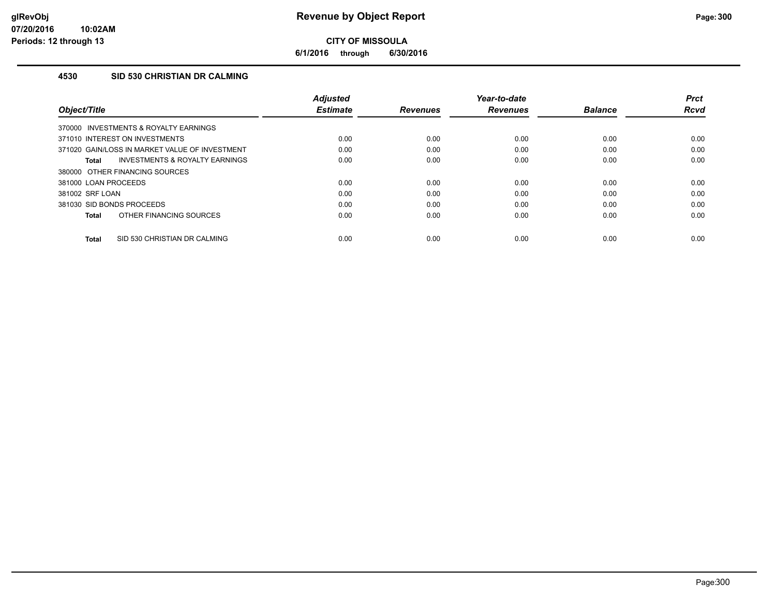**6/1/2016 through 6/30/2016**

# **4530 SID 530 CHRISTIAN DR CALMING**

| Object/Title                                   | <b>Adjusted</b><br><b>Estimate</b> | <b>Revenues</b> | Year-to-date<br><b>Revenues</b> | <b>Balance</b> | <b>Prct</b><br>Rcvd |
|------------------------------------------------|------------------------------------|-----------------|---------------------------------|----------------|---------------------|
| 370000 INVESTMENTS & ROYALTY EARNINGS          |                                    |                 |                                 |                |                     |
| 371010 INTEREST ON INVESTMENTS                 | 0.00                               | 0.00            | 0.00                            | 0.00           | 0.00                |
| 371020 GAIN/LOSS IN MARKET VALUE OF INVESTMENT | 0.00                               | 0.00            | 0.00                            | 0.00           | 0.00                |
| INVESTMENTS & ROYALTY EARNINGS<br>Total        | 0.00                               | 0.00            | 0.00                            | 0.00           | 0.00                |
| 380000 OTHER FINANCING SOURCES                 |                                    |                 |                                 |                |                     |
| 381000 LOAN PROCEEDS                           | 0.00                               | 0.00            | 0.00                            | 0.00           | 0.00                |
| 381002 SRF LOAN                                | 0.00                               | 0.00            | 0.00                            | 0.00           | 0.00                |
| 381030 SID BONDS PROCEEDS                      | 0.00                               | 0.00            | 0.00                            | 0.00           | 0.00                |
| OTHER FINANCING SOURCES<br><b>Total</b>        | 0.00                               | 0.00            | 0.00                            | 0.00           | 0.00                |
| SID 530 CHRISTIAN DR CALMING<br><b>Total</b>   | 0.00                               | 0.00            | 0.00                            | 0.00           | 0.00                |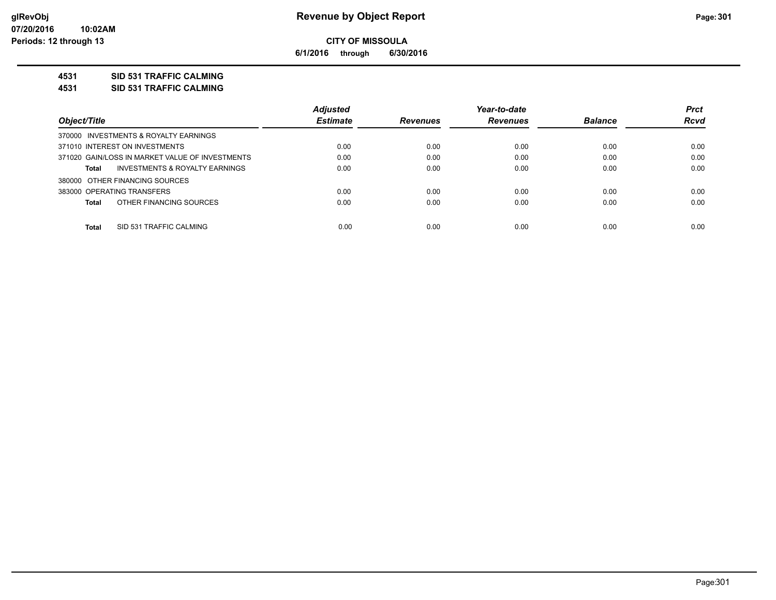**6/1/2016 through 6/30/2016**

# **4531 SID 531 TRAFFIC CALMING**

**4531 SID 531 TRAFFIC CALMING**

|                                                 | <b>Adjusted</b> |                 | Year-to-date    |                | <b>Prct</b> |
|-------------------------------------------------|-----------------|-----------------|-----------------|----------------|-------------|
| Object/Title                                    | <b>Estimate</b> | <b>Revenues</b> | <b>Revenues</b> | <b>Balance</b> | <b>Rcvd</b> |
| 370000 INVESTMENTS & ROYALTY EARNINGS           |                 |                 |                 |                |             |
| 371010 INTEREST ON INVESTMENTS                  | 0.00            | 0.00            | 0.00            | 0.00           | 0.00        |
| 371020 GAIN/LOSS IN MARKET VALUE OF INVESTMENTS | 0.00            | 0.00            | 0.00            | 0.00           | 0.00        |
| INVESTMENTS & ROYALTY EARNINGS<br>Total         | 0.00            | 0.00            | 0.00            | 0.00           | 0.00        |
| 380000 OTHER FINANCING SOURCES                  |                 |                 |                 |                |             |
| 383000 OPERATING TRANSFERS                      | 0.00            | 0.00            | 0.00            | 0.00           | 0.00        |
| OTHER FINANCING SOURCES<br><b>Total</b>         | 0.00            | 0.00            | 0.00            | 0.00           | 0.00        |
| <b>Total</b><br>SID 531 TRAFFIC CALMING         | 0.00            | 0.00            | 0.00            | 0.00           | 0.00        |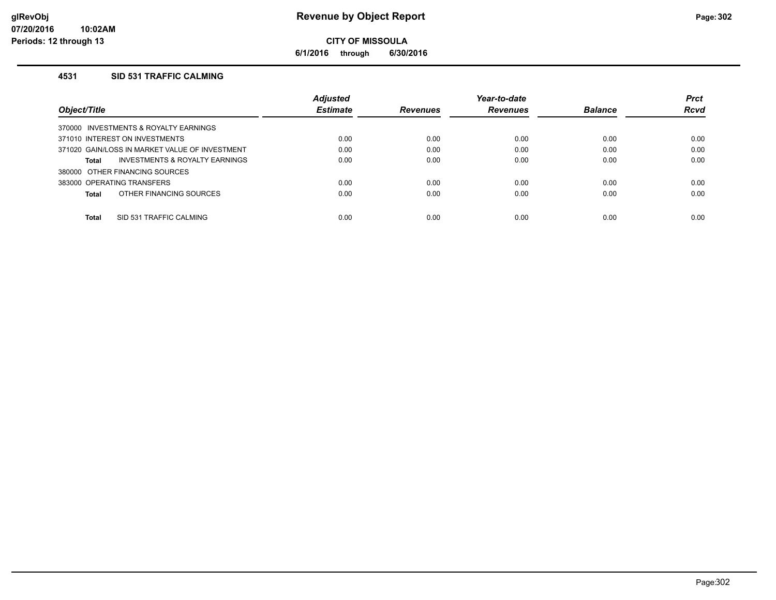**6/1/2016 through 6/30/2016**

# **4531 SID 531 TRAFFIC CALMING**

|                                                |                                | Adjusted        |                 | Year-to-date    |                | <b>Prct</b> |
|------------------------------------------------|--------------------------------|-----------------|-----------------|-----------------|----------------|-------------|
| Object/Title                                   |                                | <b>Estimate</b> | <b>Revenues</b> | <b>Revenues</b> | <b>Balance</b> | <b>Rcvd</b> |
| 370000 INVESTMENTS & ROYALTY EARNINGS          |                                |                 |                 |                 |                |             |
| 371010 INTEREST ON INVESTMENTS                 |                                | 0.00            | 0.00            | 0.00            | 0.00           | 0.00        |
| 371020 GAIN/LOSS IN MARKET VALUE OF INVESTMENT |                                | 0.00            | 0.00            | 0.00            | 0.00           | 0.00        |
| Total                                          | INVESTMENTS & ROYALTY EARNINGS | 0.00            | 0.00            | 0.00            | 0.00           | 0.00        |
| 380000 OTHER FINANCING SOURCES                 |                                |                 |                 |                 |                |             |
| 383000 OPERATING TRANSFERS                     |                                | 0.00            | 0.00            | 0.00            | 0.00           | 0.00        |
| Total                                          | OTHER FINANCING SOURCES        | 0.00            | 0.00            | 0.00            | 0.00           | 0.00        |
| <b>Total</b>                                   | SID 531 TRAFFIC CALMING        | 0.00            | 0.00            | 0.00            | 0.00           | 0.00        |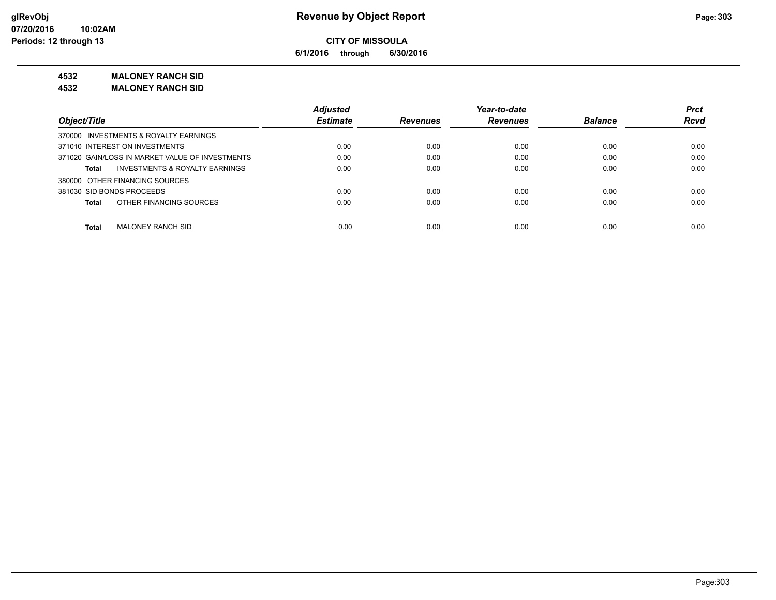**6/1/2016 through 6/30/2016**

**4532 MALONEY RANCH SID**

**4532 MALONEY RANCH SID**

|                                                 | <b>Adjusted</b> |                 | Year-to-date    |                | <b>Prct</b> |
|-------------------------------------------------|-----------------|-----------------|-----------------|----------------|-------------|
| Object/Title                                    | <b>Estimate</b> | <b>Revenues</b> | <b>Revenues</b> | <b>Balance</b> | <b>Rcvd</b> |
| 370000 INVESTMENTS & ROYALTY EARNINGS           |                 |                 |                 |                |             |
| 371010 INTEREST ON INVESTMENTS                  | 0.00            | 0.00            | 0.00            | 0.00           | 0.00        |
| 371020 GAIN/LOSS IN MARKET VALUE OF INVESTMENTS | 0.00            | 0.00            | 0.00            | 0.00           | 0.00        |
| INVESTMENTS & ROYALTY EARNINGS<br>Total         | 0.00            | 0.00            | 0.00            | 0.00           | 0.00        |
| 380000 OTHER FINANCING SOURCES                  |                 |                 |                 |                |             |
| 381030 SID BONDS PROCEEDS                       | 0.00            | 0.00            | 0.00            | 0.00           | 0.00        |
| OTHER FINANCING SOURCES<br>Total                | 0.00            | 0.00            | 0.00            | 0.00           | 0.00        |
|                                                 |                 |                 |                 |                |             |
| <b>Total</b><br>MALONEY RANCH SID               | 0.00            | 0.00            | 0.00            | 0.00           | 0.00        |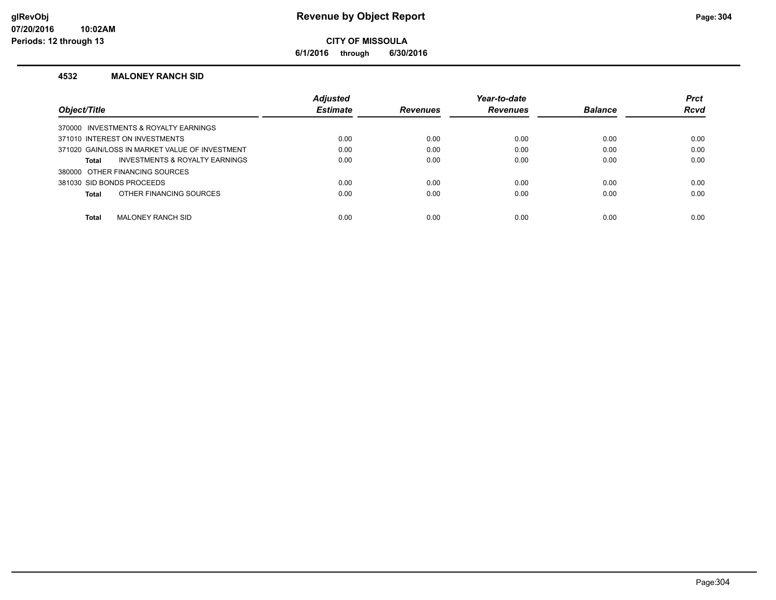# **glRevObj Revenue by Object Report Page:304**

**CITY OF MISSOULA**

**6/1/2016 through 6/30/2016**

### **4532 MALONEY RANCH SID**

|                                                | <b>Adjusted</b> |                 | Year-to-date    |                | <b>Prct</b> |
|------------------------------------------------|-----------------|-----------------|-----------------|----------------|-------------|
| Object/Title                                   | <b>Estimate</b> | <b>Revenues</b> | <b>Revenues</b> | <b>Balance</b> | <b>Rcvd</b> |
| 370000 INVESTMENTS & ROYALTY EARNINGS          |                 |                 |                 |                |             |
| 371010 INTEREST ON INVESTMENTS                 | 0.00            | 0.00            | 0.00            | 0.00           | 0.00        |
| 371020 GAIN/LOSS IN MARKET VALUE OF INVESTMENT | 0.00            | 0.00            | 0.00            | 0.00           | 0.00        |
| INVESTMENTS & ROYALTY EARNINGS<br>Total        | 0.00            | 0.00            | 0.00            | 0.00           | 0.00        |
| 380000 OTHER FINANCING SOURCES                 |                 |                 |                 |                |             |
| 381030 SID BONDS PROCEEDS                      | 0.00            | 0.00            | 0.00            | 0.00           | 0.00        |
| OTHER FINANCING SOURCES<br>Total               | 0.00            | 0.00            | 0.00            | 0.00           | 0.00        |
|                                                |                 |                 |                 |                |             |
| Total<br>MALONEY RANCH SID                     | 0.00            | 0.00            | 0.00            | 0.00           | 0.00        |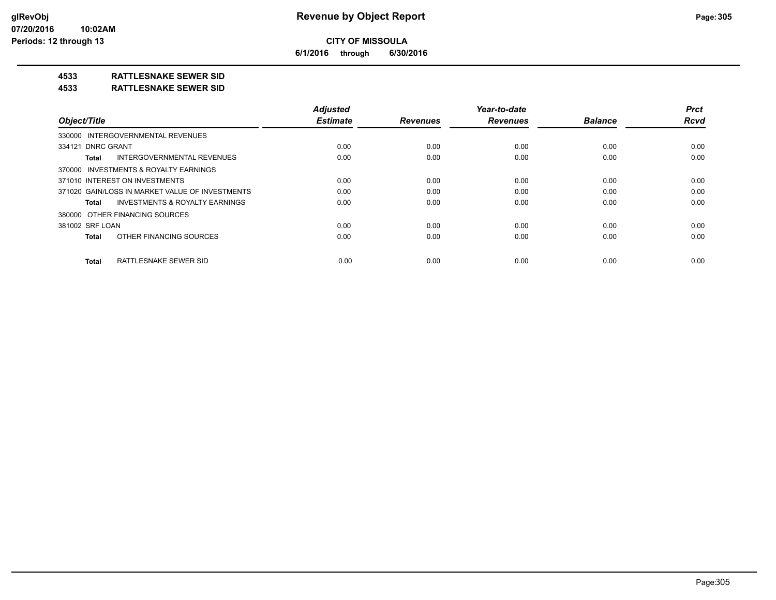**6/1/2016 through 6/30/2016**

# **4533 RATTLESNAKE SEWER SID**

#### **4533 RATTLESNAKE SEWER SID**

| Object/Title                                       | <b>Adjusted</b><br><b>Estimate</b> | <b>Revenues</b> | Year-to-date<br><b>Revenues</b> | <b>Balance</b> | <b>Prct</b><br><b>Rcvd</b> |
|----------------------------------------------------|------------------------------------|-----------------|---------------------------------|----------------|----------------------------|
|                                                    |                                    |                 |                                 |                |                            |
| 330000 INTERGOVERNMENTAL REVENUES                  |                                    |                 |                                 |                |                            |
| 334121 DNRC GRANT                                  | 0.00                               | 0.00            | 0.00                            | 0.00           | 0.00                       |
| INTERGOVERNMENTAL REVENUES<br><b>Total</b>         | 0.00                               | 0.00            | 0.00                            | 0.00           | 0.00                       |
| 370000 INVESTMENTS & ROYALTY EARNINGS              |                                    |                 |                                 |                |                            |
| 371010 INTEREST ON INVESTMENTS                     | 0.00                               | 0.00            | 0.00                            | 0.00           | 0.00                       |
| 371020 GAIN/LOSS IN MARKET VALUE OF INVESTMENTS    | 0.00                               | 0.00            | 0.00                            | 0.00           | 0.00                       |
| <b>INVESTMENTS &amp; ROYALTY EARNINGS</b><br>Total | 0.00                               | 0.00            | 0.00                            | 0.00           | 0.00                       |
| 380000 OTHER FINANCING SOURCES                     |                                    |                 |                                 |                |                            |
| 381002 SRF LOAN                                    | 0.00                               | 0.00            | 0.00                            | 0.00           | 0.00                       |
| OTHER FINANCING SOURCES<br><b>Total</b>            | 0.00                               | 0.00            | 0.00                            | 0.00           | 0.00                       |
| RATTLESNAKE SEWER SID<br><b>Total</b>              | 0.00                               | 0.00            | 0.00                            | 0.00           | 0.00                       |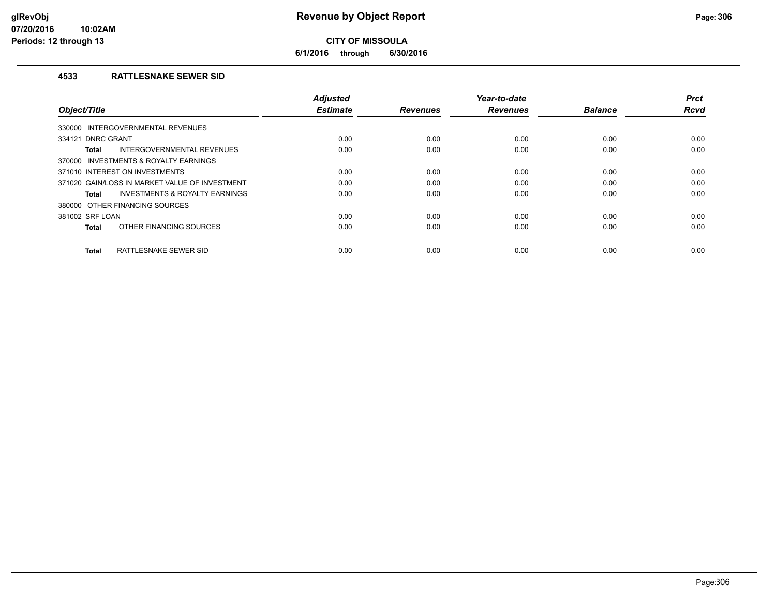**6/1/2016 through 6/30/2016**

# **4533 RATTLESNAKE SEWER SID**

|                                                    | <b>Adjusted</b> |                 | Year-to-date    |                | <b>Prct</b> |
|----------------------------------------------------|-----------------|-----------------|-----------------|----------------|-------------|
| Object/Title                                       | <b>Estimate</b> | <b>Revenues</b> | <b>Revenues</b> | <b>Balance</b> | <b>Rcvd</b> |
| 330000 INTERGOVERNMENTAL REVENUES                  |                 |                 |                 |                |             |
| 334121 DNRC GRANT                                  | 0.00            | 0.00            | 0.00            | 0.00           | 0.00        |
| INTERGOVERNMENTAL REVENUES<br>Total                | 0.00            | 0.00            | 0.00            | 0.00           | 0.00        |
| 370000 INVESTMENTS & ROYALTY EARNINGS              |                 |                 |                 |                |             |
| 371010 INTEREST ON INVESTMENTS                     | 0.00            | 0.00            | 0.00            | 0.00           | 0.00        |
| 371020 GAIN/LOSS IN MARKET VALUE OF INVESTMENT     | 0.00            | 0.00            | 0.00            | 0.00           | 0.00        |
| <b>INVESTMENTS &amp; ROYALTY EARNINGS</b><br>Total | 0.00            | 0.00            | 0.00            | 0.00           | 0.00        |
| 380000 OTHER FINANCING SOURCES                     |                 |                 |                 |                |             |
| 381002 SRF LOAN                                    | 0.00            | 0.00            | 0.00            | 0.00           | 0.00        |
| OTHER FINANCING SOURCES<br>Total                   | 0.00            | 0.00            | 0.00            | 0.00           | 0.00        |
|                                                    |                 |                 |                 |                |             |
| <b>RATTLESNAKE SEWER SID</b><br>Total              | 0.00            | 0.00            | 0.00            | 0.00           | 0.00        |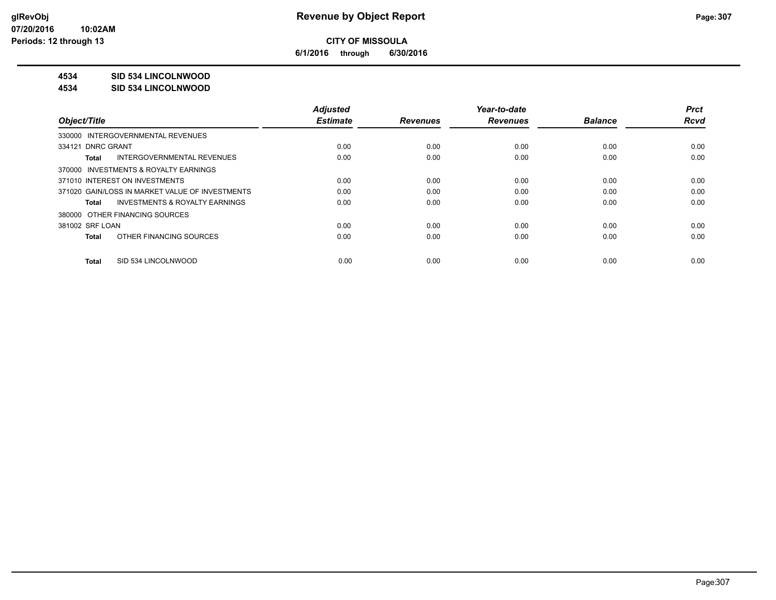**6/1/2016 through 6/30/2016**

# **4534 SID 534 LINCOLNWOOD**

#### **4534 SID 534 LINCOLNWOOD**

|                                                    | <b>Adjusted</b> |                 | Year-to-date    |                | <b>Prct</b> |
|----------------------------------------------------|-----------------|-----------------|-----------------|----------------|-------------|
| Object/Title                                       | <b>Estimate</b> | <b>Revenues</b> | <b>Revenues</b> | <b>Balance</b> | <b>Rcvd</b> |
| 330000 INTERGOVERNMENTAL REVENUES                  |                 |                 |                 |                |             |
| 334121 DNRC GRANT                                  | 0.00            | 0.00            | 0.00            | 0.00           | 0.00        |
| INTERGOVERNMENTAL REVENUES<br>Total                | 0.00            | 0.00            | 0.00            | 0.00           | 0.00        |
| 370000 INVESTMENTS & ROYALTY EARNINGS              |                 |                 |                 |                |             |
| 371010 INTEREST ON INVESTMENTS                     | 0.00            | 0.00            | 0.00            | 0.00           | 0.00        |
| 371020 GAIN/LOSS IN MARKET VALUE OF INVESTMENTS    | 0.00            | 0.00            | 0.00            | 0.00           | 0.00        |
| <b>INVESTMENTS &amp; ROYALTY EARNINGS</b><br>Total | 0.00            | 0.00            | 0.00            | 0.00           | 0.00        |
| 380000 OTHER FINANCING SOURCES                     |                 |                 |                 |                |             |
| 381002 SRF LOAN                                    | 0.00            | 0.00            | 0.00            | 0.00           | 0.00        |
| OTHER FINANCING SOURCES<br>Total                   | 0.00            | 0.00            | 0.00            | 0.00           | 0.00        |
| SID 534 LINCOLNWOOD<br>Total                       | 0.00            | 0.00            | 0.00            | 0.00           | 0.00        |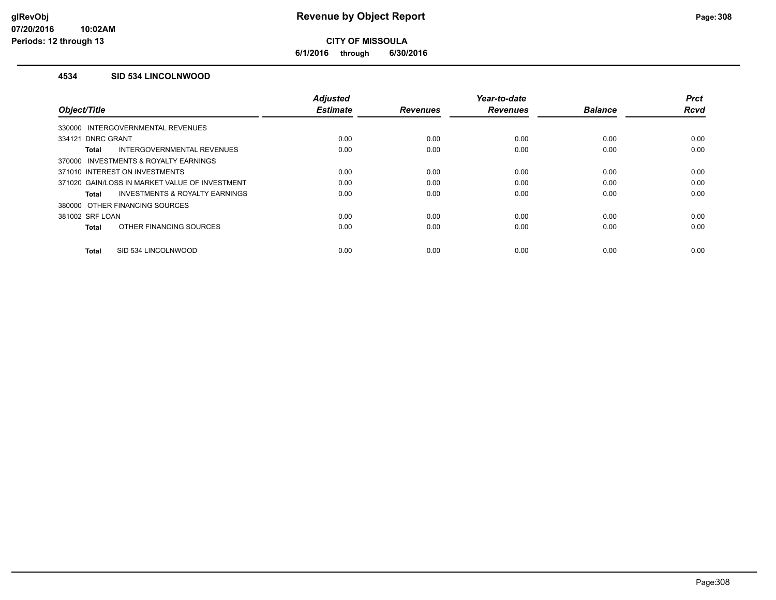**6/1/2016 through 6/30/2016**

### **4534 SID 534 LINCOLNWOOD**

| Object/Title                                   | <b>Adjusted</b><br><b>Estimate</b> | <b>Revenues</b> | Year-to-date<br><b>Revenues</b> | <b>Balance</b> | <b>Prct</b><br><b>Rcvd</b> |
|------------------------------------------------|------------------------------------|-----------------|---------------------------------|----------------|----------------------------|
|                                                |                                    |                 |                                 |                |                            |
| 330000 INTERGOVERNMENTAL REVENUES              |                                    |                 |                                 |                |                            |
| 334121 DNRC GRANT                              | 0.00                               | 0.00            | 0.00                            | 0.00           | 0.00                       |
| INTERGOVERNMENTAL REVENUES<br><b>Total</b>     | 0.00                               | 0.00            | 0.00                            | 0.00           | 0.00                       |
| 370000 INVESTMENTS & ROYALTY EARNINGS          |                                    |                 |                                 |                |                            |
| 371010 INTEREST ON INVESTMENTS                 | 0.00                               | 0.00            | 0.00                            | 0.00           | 0.00                       |
| 371020 GAIN/LOSS IN MARKET VALUE OF INVESTMENT | 0.00                               | 0.00            | 0.00                            | 0.00           | 0.00                       |
| INVESTMENTS & ROYALTY EARNINGS<br><b>Total</b> | 0.00                               | 0.00            | 0.00                            | 0.00           | 0.00                       |
| 380000 OTHER FINANCING SOURCES                 |                                    |                 |                                 |                |                            |
| 381002 SRF LOAN                                | 0.00                               | 0.00            | 0.00                            | 0.00           | 0.00                       |
| OTHER FINANCING SOURCES<br><b>Total</b>        | 0.00                               | 0.00            | 0.00                            | 0.00           | 0.00                       |
| SID 534 LINCOLNWOOD<br><b>Total</b>            | 0.00                               | 0.00            | 0.00                            | 0.00           | 0.00                       |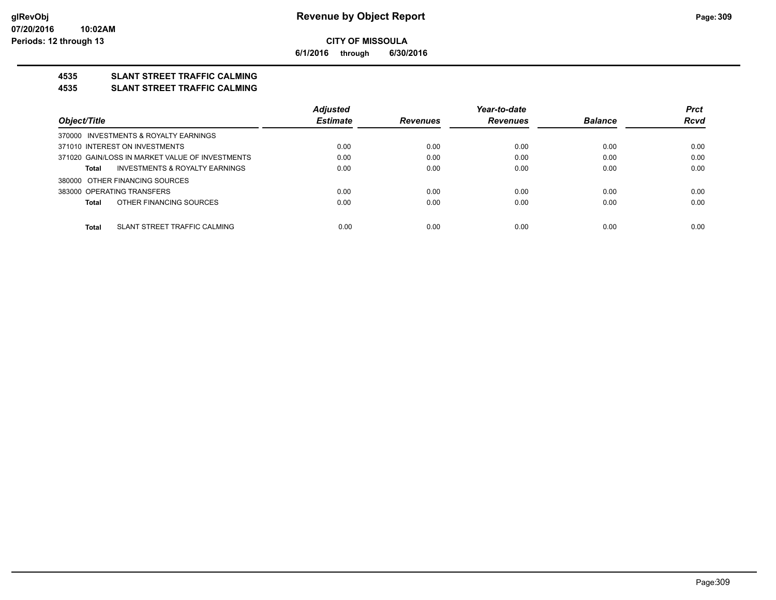**6/1/2016 through 6/30/2016**

# **4535 SLANT STREET TRAFFIC CALMING**

### **4535 SLANT STREET TRAFFIC CALMING**

| <b>Adjusted</b> |                 | Year-to-date    |                | <b>Prct</b> |
|-----------------|-----------------|-----------------|----------------|-------------|
| <b>Estimate</b> | <b>Revenues</b> | <b>Revenues</b> | <b>Balance</b> | <b>Rcvd</b> |
|                 |                 |                 |                |             |
| 0.00            | 0.00            | 0.00            | 0.00           | 0.00        |
| 0.00            | 0.00            | 0.00            | 0.00           | 0.00        |
| 0.00            | 0.00            | 0.00            | 0.00           | 0.00        |
|                 |                 |                 |                |             |
| 0.00            | 0.00            | 0.00            | 0.00           | 0.00        |
| 0.00            | 0.00            | 0.00            | 0.00           | 0.00        |
|                 |                 |                 |                | 0.00        |
|                 | 0.00            | 0.00            | 0.00           | 0.00        |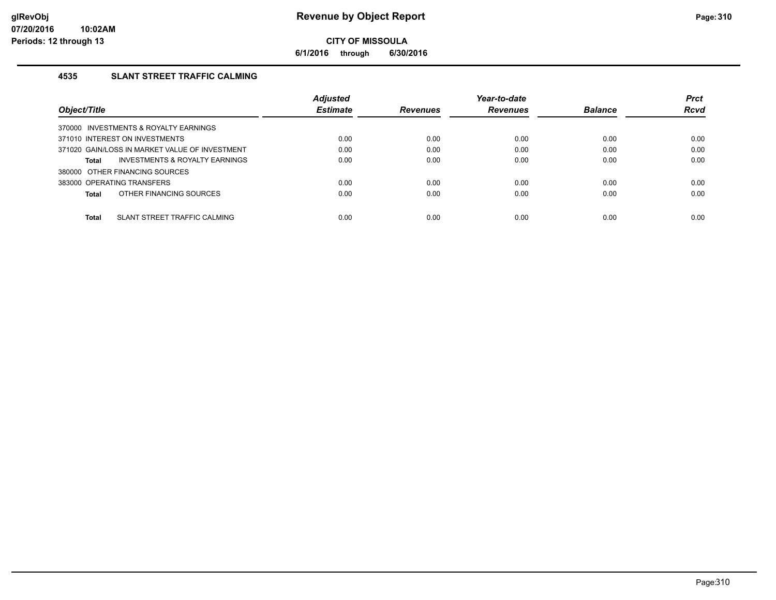**6/1/2016 through 6/30/2016**

# **4535 SLANT STREET TRAFFIC CALMING**

|                                                | <b>Adjusted</b> |                 | Year-to-date    |                | <b>Prct</b> |
|------------------------------------------------|-----------------|-----------------|-----------------|----------------|-------------|
| Object/Title                                   | <b>Estimate</b> | <b>Revenues</b> | <b>Revenues</b> | <b>Balance</b> | <b>Rcvd</b> |
| 370000 INVESTMENTS & ROYALTY EARNINGS          |                 |                 |                 |                |             |
| 371010 INTEREST ON INVESTMENTS                 | 0.00            | 0.00            | 0.00            | 0.00           | 0.00        |
| 371020 GAIN/LOSS IN MARKET VALUE OF INVESTMENT | 0.00            | 0.00            | 0.00            | 0.00           | 0.00        |
| INVESTMENTS & ROYALTY EARNINGS<br>Total        | 0.00            | 0.00            | 0.00            | 0.00           | 0.00        |
| 380000 OTHER FINANCING SOURCES                 |                 |                 |                 |                |             |
| 383000 OPERATING TRANSFERS                     | 0.00            | 0.00            | 0.00            | 0.00           | 0.00        |
| OTHER FINANCING SOURCES<br>Total               | 0.00            | 0.00            | 0.00            | 0.00           | 0.00        |
|                                                |                 |                 |                 |                |             |
| Total<br>SLANT STREET TRAFFIC CALMING          | 0.00            | 0.00            | 0.00            | 0.00           | 0.00        |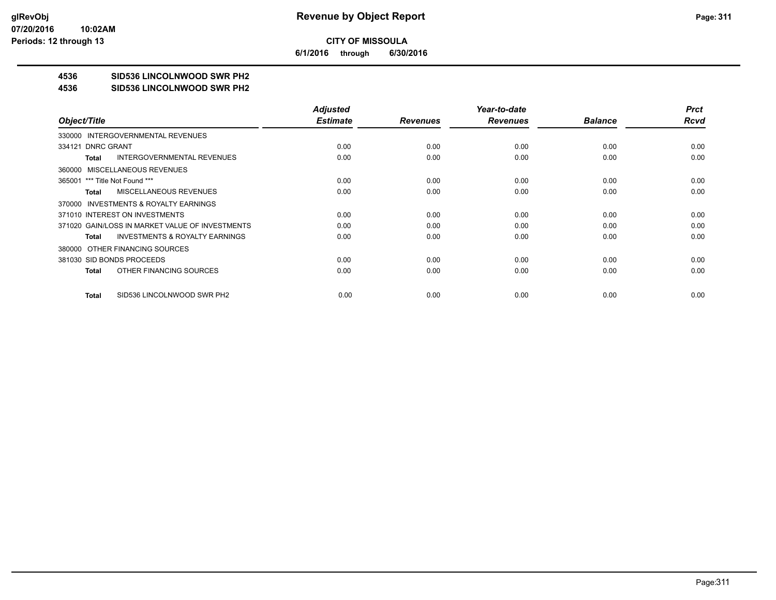**6/1/2016 through 6/30/2016**

# **4536 SID536 LINCOLNWOOD SWR PH2**

#### **4536 SID536 LINCOLNWOOD SWR PH2**

|                                                     | <b>Adjusted</b> |                 | Year-to-date    |                | <b>Prct</b> |
|-----------------------------------------------------|-----------------|-----------------|-----------------|----------------|-------------|
| Object/Title                                        | <b>Estimate</b> | <b>Revenues</b> | <b>Revenues</b> | <b>Balance</b> | Rcvd        |
| 330000 INTERGOVERNMENTAL REVENUES                   |                 |                 |                 |                |             |
| 334121 DNRC GRANT                                   | 0.00            | 0.00            | 0.00            | 0.00           | 0.00        |
| INTERGOVERNMENTAL REVENUES<br><b>Total</b>          | 0.00            | 0.00            | 0.00            | 0.00           | 0.00        |
| 360000 MISCELLANEOUS REVENUES                       |                 |                 |                 |                |             |
| 365001 *** Title Not Found ***                      | 0.00            | 0.00            | 0.00            | 0.00           | 0.00        |
| <b>MISCELLANEOUS REVENUES</b><br><b>Total</b>       | 0.00            | 0.00            | 0.00            | 0.00           | 0.00        |
| <b>INVESTMENTS &amp; ROYALTY EARNINGS</b><br>370000 |                 |                 |                 |                |             |
| 371010 INTEREST ON INVESTMENTS                      | 0.00            | 0.00            | 0.00            | 0.00           | 0.00        |
| 371020 GAIN/LOSS IN MARKET VALUE OF INVESTMENTS     | 0.00            | 0.00            | 0.00            | 0.00           | 0.00        |
| <b>INVESTMENTS &amp; ROYALTY EARNINGS</b><br>Total  | 0.00            | 0.00            | 0.00            | 0.00           | 0.00        |
| 380000 OTHER FINANCING SOURCES                      |                 |                 |                 |                |             |
| 381030 SID BONDS PROCEEDS                           | 0.00            | 0.00            | 0.00            | 0.00           | 0.00        |
| OTHER FINANCING SOURCES<br><b>Total</b>             | 0.00            | 0.00            | 0.00            | 0.00           | 0.00        |
| SID536 LINCOLNWOOD SWR PH2                          | 0.00            | 0.00            | 0.00            | 0.00           | 0.00        |
| <b>Total</b>                                        |                 |                 |                 |                |             |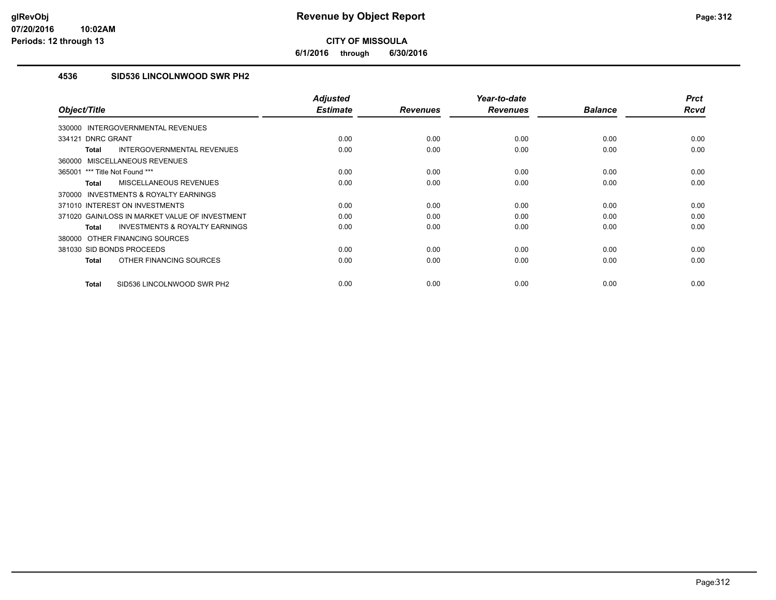**6/1/2016 through 6/30/2016**

# **4536 SID536 LINCOLNWOOD SWR PH2**

| Object/Title                                              | Adjusted<br><b>Estimate</b> | <b>Revenues</b> | Year-to-date<br><b>Revenues</b> | <b>Balance</b> | <b>Prct</b><br><b>Rcvd</b> |
|-----------------------------------------------------------|-----------------------------|-----------------|---------------------------------|----------------|----------------------------|
| 330000 INTERGOVERNMENTAL REVENUES                         |                             |                 |                                 |                |                            |
| 334121 DNRC GRANT                                         | 0.00                        | 0.00            | 0.00                            | 0.00           | 0.00                       |
| <b>INTERGOVERNMENTAL REVENUES</b><br><b>Total</b>         | 0.00                        | 0.00            | 0.00                            | 0.00           | 0.00                       |
| MISCELLANEOUS REVENUES<br>360000                          |                             |                 |                                 |                |                            |
| *** Title Not Found ***<br>365001                         | 0.00                        | 0.00            | 0.00                            | 0.00           | 0.00                       |
| MISCELLANEOUS REVENUES<br><b>Total</b>                    | 0.00                        | 0.00            | 0.00                            | 0.00           | 0.00                       |
| 370000 INVESTMENTS & ROYALTY EARNINGS                     |                             |                 |                                 |                |                            |
| 371010 INTEREST ON INVESTMENTS                            | 0.00                        | 0.00            | 0.00                            | 0.00           | 0.00                       |
| 371020 GAIN/LOSS IN MARKET VALUE OF INVESTMENT            | 0.00                        | 0.00            | 0.00                            | 0.00           | 0.00                       |
| <b>INVESTMENTS &amp; ROYALTY EARNINGS</b><br><b>Total</b> | 0.00                        | 0.00            | 0.00                            | 0.00           | 0.00                       |
| 380000 OTHER FINANCING SOURCES                            |                             |                 |                                 |                |                            |
| 381030 SID BONDS PROCEEDS                                 | 0.00                        | 0.00            | 0.00                            | 0.00           | 0.00                       |
| OTHER FINANCING SOURCES<br><b>Total</b>                   | 0.00                        | 0.00            | 0.00                            | 0.00           | 0.00                       |
| SID536 LINCOLNWOOD SWR PH2<br><b>Total</b>                | 0.00                        | 0.00            | 0.00                            | 0.00           | 0.00                       |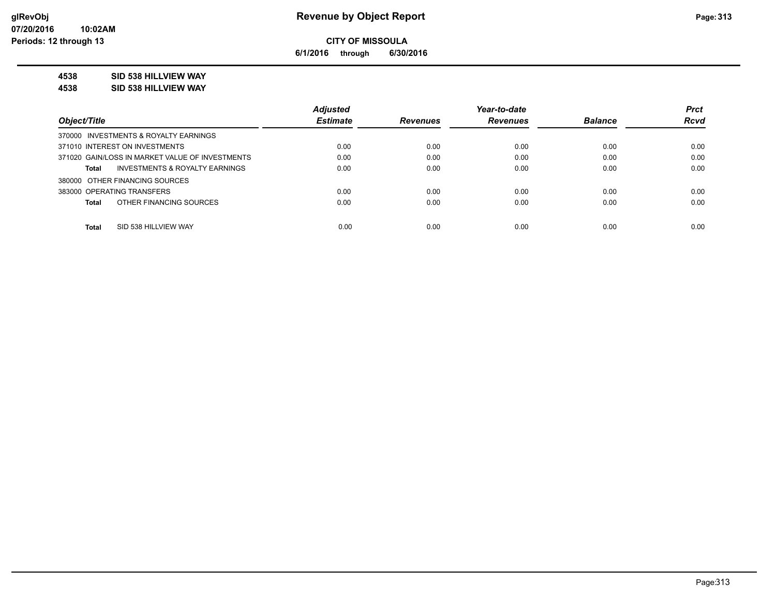**6/1/2016 through 6/30/2016**

# **4538 SID 538 HILLVIEW WAY**

**4538 SID 538 HILLVIEW WAY**

|                                                 | <b>Adjusted</b> |                 | Year-to-date    |                | <b>Prct</b> |
|-------------------------------------------------|-----------------|-----------------|-----------------|----------------|-------------|
| Object/Title                                    | <b>Estimate</b> | <b>Revenues</b> | <b>Revenues</b> | <b>Balance</b> | <b>Rcvd</b> |
| 370000 INVESTMENTS & ROYALTY EARNINGS           |                 |                 |                 |                |             |
| 371010 INTEREST ON INVESTMENTS                  | 0.00            | 0.00            | 0.00            | 0.00           | 0.00        |
| 371020 GAIN/LOSS IN MARKET VALUE OF INVESTMENTS | 0.00            | 0.00            | 0.00            | 0.00           | 0.00        |
| INVESTMENTS & ROYALTY EARNINGS<br>Total         | 0.00            | 0.00            | 0.00            | 0.00           | 0.00        |
| 380000 OTHER FINANCING SOURCES                  |                 |                 |                 |                |             |
| 383000 OPERATING TRANSFERS                      | 0.00            | 0.00            | 0.00            | 0.00           | 0.00        |
| OTHER FINANCING SOURCES<br><b>Total</b>         | 0.00            | 0.00            | 0.00            | 0.00           | 0.00        |
|                                                 |                 |                 |                 |                |             |
| <b>Total</b><br>SID 538 HILLVIEW WAY            | 0.00            | 0.00            | 0.00            | 0.00           | 0.00        |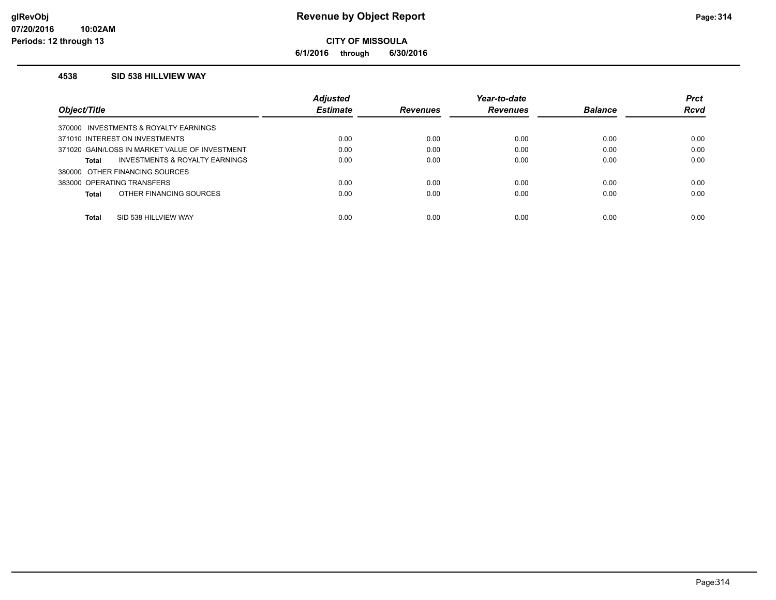**6/1/2016 through 6/30/2016**

### **4538 SID 538 HILLVIEW WAY**

|                                                | <b>Adjusted</b> |                 | Year-to-date    |                | <b>Prct</b> |
|------------------------------------------------|-----------------|-----------------|-----------------|----------------|-------------|
| Object/Title                                   | <b>Estimate</b> | <b>Revenues</b> | <b>Revenues</b> | <b>Balance</b> | <b>Rcvd</b> |
| 370000 INVESTMENTS & ROYALTY EARNINGS          |                 |                 |                 |                |             |
| 371010 INTEREST ON INVESTMENTS                 | 0.00            | 0.00            | 0.00            | 0.00           | 0.00        |
| 371020 GAIN/LOSS IN MARKET VALUE OF INVESTMENT | 0.00            | 0.00            | 0.00            | 0.00           | 0.00        |
| INVESTMENTS & ROYALTY EARNINGS<br>Total        | 0.00            | 0.00            | 0.00            | 0.00           | 0.00        |
| 380000 OTHER FINANCING SOURCES                 |                 |                 |                 |                |             |
| 383000 OPERATING TRANSFERS                     | 0.00            | 0.00            | 0.00            | 0.00           | 0.00        |
| OTHER FINANCING SOURCES<br>Total               | 0.00            | 0.00            | 0.00            | 0.00           | 0.00        |
|                                                |                 |                 |                 |                |             |
| <b>Total</b><br>SID 538 HILLVIEW WAY           | 0.00            | 0.00            | 0.00            | 0.00           | 0.00        |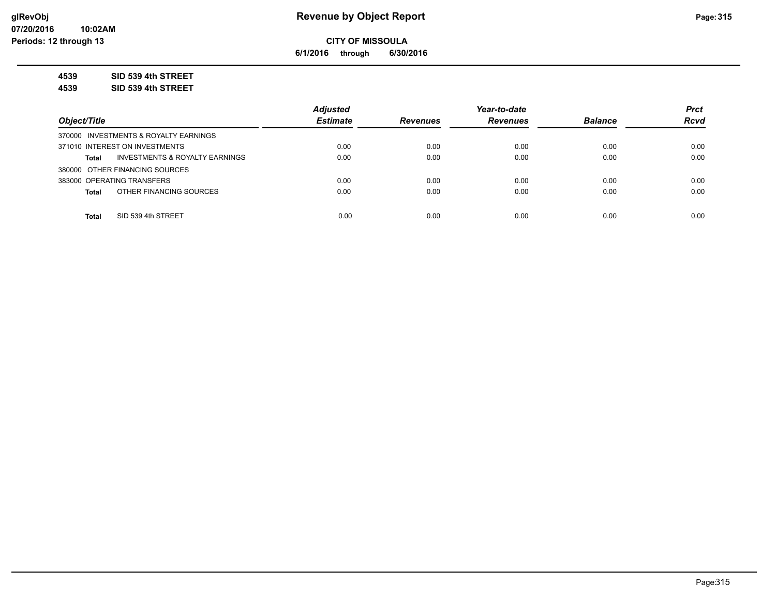**6/1/2016 through 6/30/2016**

**4539 SID 539 4th STREET**

**4539 SID 539 4th STREET**

|                                                    | <b>Adiusted</b> |                 | Year-to-date    |                | <b>Prct</b> |
|----------------------------------------------------|-----------------|-----------------|-----------------|----------------|-------------|
| Object/Title                                       | <b>Estimate</b> | <b>Revenues</b> | <b>Revenues</b> | <b>Balance</b> | <b>Rcvd</b> |
| 370000 INVESTMENTS & ROYALTY EARNINGS              |                 |                 |                 |                |             |
| 371010 INTEREST ON INVESTMENTS                     | 0.00            | 0.00            | 0.00            | 0.00           | 0.00        |
| <b>INVESTMENTS &amp; ROYALTY EARNINGS</b><br>Total | 0.00            | 0.00            | 0.00            | 0.00           | 0.00        |
| 380000 OTHER FINANCING SOURCES                     |                 |                 |                 |                |             |
| 383000 OPERATING TRANSFERS                         | 0.00            | 0.00            | 0.00            | 0.00           | 0.00        |
| OTHER FINANCING SOURCES<br><b>Total</b>            | 0.00            | 0.00            | 0.00            | 0.00           | 0.00        |
|                                                    |                 |                 |                 |                |             |
| SID 539 4th STREET<br>Total                        | 0.00            | 0.00            | 0.00            | 0.00           | 0.00        |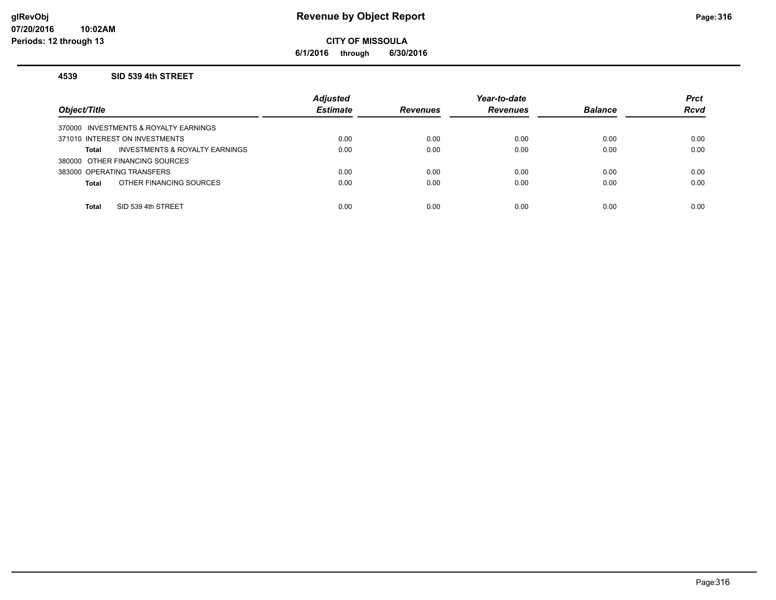# **glRevObj Revenue by Object Report Page:316**

**CITY OF MISSOULA**

**6/1/2016 through 6/30/2016**

### **4539 SID 539 4th STREET**

| Object/Title                                   | <b>Adjusted</b><br><b>Estimate</b> | <b>Revenues</b> | Year-to-date<br><b>Revenues</b> | <b>Balance</b> | <b>Prct</b><br><b>Rcvd</b> |
|------------------------------------------------|------------------------------------|-----------------|---------------------------------|----------------|----------------------------|
| 370000 INVESTMENTS & ROYALTY EARNINGS          |                                    |                 |                                 |                |                            |
| 371010 INTEREST ON INVESTMENTS                 | 0.00                               | 0.00            | 0.00                            | 0.00           | 0.00                       |
| INVESTMENTS & ROYALTY EARNINGS<br><b>Total</b> | 0.00                               | 0.00            | 0.00                            | 0.00           | 0.00                       |
| 380000 OTHER FINANCING SOURCES                 |                                    |                 |                                 |                |                            |
| 383000 OPERATING TRANSFERS                     | 0.00                               | 0.00            | 0.00                            | 0.00           | 0.00                       |
| OTHER FINANCING SOURCES<br><b>Total</b>        | 0.00                               | 0.00            | 0.00                            | 0.00           | 0.00                       |
|                                                |                                    |                 |                                 |                |                            |
| SID 539 4th STREET<br><b>Total</b>             | 0.00                               | 0.00            | 0.00                            | 0.00           | 0.00                       |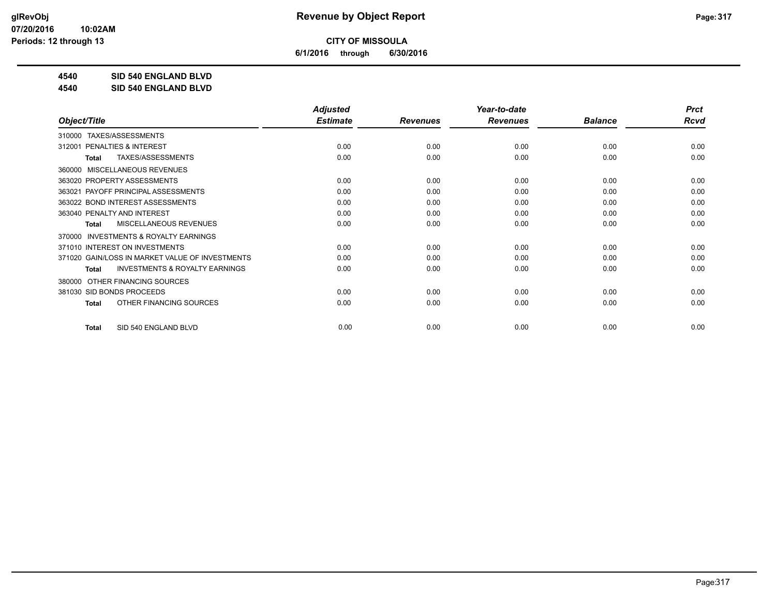**6/1/2016 through 6/30/2016**

**4540 SID 540 ENGLAND BLVD**

**4540 SID 540 ENGLAND BLVD**

|                                                           | <b>Adjusted</b> |                 | Year-to-date    |                |             |  |
|-----------------------------------------------------------|-----------------|-----------------|-----------------|----------------|-------------|--|
| Object/Title                                              | <b>Estimate</b> | <b>Revenues</b> | <b>Revenues</b> | <b>Balance</b> | <b>Rcvd</b> |  |
| TAXES/ASSESSMENTS<br>310000                               |                 |                 |                 |                |             |  |
| PENALTIES & INTEREST<br>312001                            | 0.00            | 0.00            | 0.00            | 0.00           | 0.00        |  |
| TAXES/ASSESSMENTS<br>Total                                | 0.00            | 0.00            | 0.00            | 0.00           | 0.00        |  |
| MISCELLANEOUS REVENUES<br>360000                          |                 |                 |                 |                |             |  |
| 363020 PROPERTY ASSESSMENTS                               | 0.00            | 0.00            | 0.00            | 0.00           | 0.00        |  |
| PAYOFF PRINCIPAL ASSESSMENTS<br>363021                    | 0.00            | 0.00            | 0.00            | 0.00           | 0.00        |  |
| 363022 BOND INTEREST ASSESSMENTS                          | 0.00            | 0.00            | 0.00            | 0.00           | 0.00        |  |
| 363040 PENALTY AND INTEREST                               | 0.00            | 0.00            | 0.00            | 0.00           | 0.00        |  |
| MISCELLANEOUS REVENUES<br><b>Total</b>                    | 0.00            | 0.00            | 0.00            | 0.00           | 0.00        |  |
| INVESTMENTS & ROYALTY EARNINGS<br>370000                  |                 |                 |                 |                |             |  |
| 371010 INTEREST ON INVESTMENTS                            | 0.00            | 0.00            | 0.00            | 0.00           | 0.00        |  |
| 371020 GAIN/LOSS IN MARKET VALUE OF INVESTMENTS           | 0.00            | 0.00            | 0.00            | 0.00           | 0.00        |  |
| <b>INVESTMENTS &amp; ROYALTY EARNINGS</b><br><b>Total</b> | 0.00            | 0.00            | 0.00            | 0.00           | 0.00        |  |
| OTHER FINANCING SOURCES<br>380000                         |                 |                 |                 |                |             |  |
| 381030 SID BONDS PROCEEDS                                 | 0.00            | 0.00            | 0.00            | 0.00           | 0.00        |  |
| OTHER FINANCING SOURCES<br><b>Total</b>                   | 0.00            | 0.00            | 0.00            | 0.00           | 0.00        |  |
| SID 540 ENGLAND BLVD<br><b>Total</b>                      | 0.00            | 0.00            | 0.00            | 0.00           | 0.00        |  |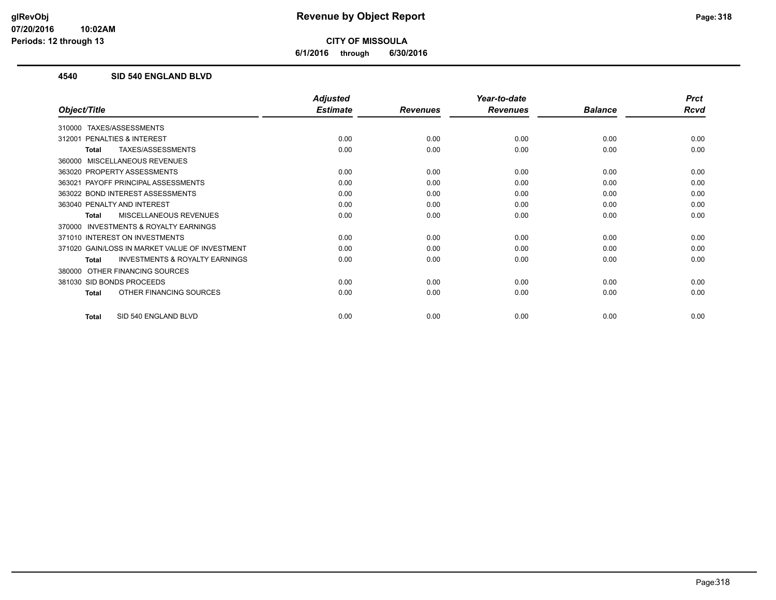**6/1/2016 through 6/30/2016**

# **4540 SID 540 ENGLAND BLVD**

|                                                           | <b>Adjusted</b> |                 | Year-to-date    |                | <b>Prct</b> |
|-----------------------------------------------------------|-----------------|-----------------|-----------------|----------------|-------------|
| Object/Title                                              | <b>Estimate</b> | <b>Revenues</b> | <b>Revenues</b> | <b>Balance</b> | <b>Rcvd</b> |
| TAXES/ASSESSMENTS<br>310000                               |                 |                 |                 |                |             |
| PENALTIES & INTEREST<br>312001                            | 0.00            | 0.00            | 0.00            | 0.00           | 0.00        |
| TAXES/ASSESSMENTS<br><b>Total</b>                         | 0.00            | 0.00            | 0.00            | 0.00           | 0.00        |
| MISCELLANEOUS REVENUES<br>360000                          |                 |                 |                 |                |             |
| 363020 PROPERTY ASSESSMENTS                               | 0.00            | 0.00            | 0.00            | 0.00           | 0.00        |
| PAYOFF PRINCIPAL ASSESSMENTS<br>363021                    | 0.00            | 0.00            | 0.00            | 0.00           | 0.00        |
| 363022 BOND INTEREST ASSESSMENTS                          | 0.00            | 0.00            | 0.00            | 0.00           | 0.00        |
| 363040 PENALTY AND INTEREST                               | 0.00            | 0.00            | 0.00            | 0.00           | 0.00        |
| <b>MISCELLANEOUS REVENUES</b><br>Total                    | 0.00            | 0.00            | 0.00            | 0.00           | 0.00        |
| <b>INVESTMENTS &amp; ROYALTY EARNINGS</b><br>370000       |                 |                 |                 |                |             |
| 371010 INTEREST ON INVESTMENTS                            | 0.00            | 0.00            | 0.00            | 0.00           | 0.00        |
| 371020 GAIN/LOSS IN MARKET VALUE OF INVESTMENT            | 0.00            | 0.00            | 0.00            | 0.00           | 0.00        |
| <b>INVESTMENTS &amp; ROYALTY EARNINGS</b><br><b>Total</b> | 0.00            | 0.00            | 0.00            | 0.00           | 0.00        |
| OTHER FINANCING SOURCES<br>380000                         |                 |                 |                 |                |             |
| 381030 SID BONDS PROCEEDS                                 | 0.00            | 0.00            | 0.00            | 0.00           | 0.00        |
| OTHER FINANCING SOURCES<br><b>Total</b>                   | 0.00            | 0.00            | 0.00            | 0.00           | 0.00        |
| SID 540 ENGLAND BLVD<br><b>Total</b>                      | 0.00            | 0.00            | 0.00            | 0.00           | 0.00        |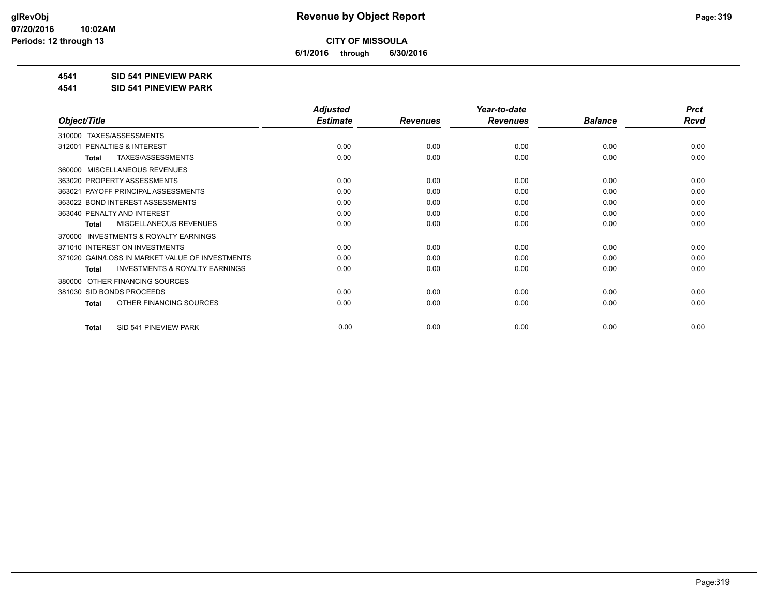**6/1/2016 through 6/30/2016**

### **4541 SID 541 PINEVIEW PARK**

**4541 SID 541 PINEVIEW PARK**

|                                                           | <b>Adjusted</b> |                 | Year-to-date    |                |             |  |
|-----------------------------------------------------------|-----------------|-----------------|-----------------|----------------|-------------|--|
| Object/Title                                              | <b>Estimate</b> | <b>Revenues</b> | <b>Revenues</b> | <b>Balance</b> | <b>Rcvd</b> |  |
| TAXES/ASSESSMENTS<br>310000                               |                 |                 |                 |                |             |  |
| PENALTIES & INTEREST<br>312001                            | 0.00            | 0.00            | 0.00            | 0.00           | 0.00        |  |
| TAXES/ASSESSMENTS<br>Total                                | 0.00            | 0.00            | 0.00            | 0.00           | 0.00        |  |
| MISCELLANEOUS REVENUES<br>360000                          |                 |                 |                 |                |             |  |
| 363020 PROPERTY ASSESSMENTS                               | 0.00            | 0.00            | 0.00            | 0.00           | 0.00        |  |
| PAYOFF PRINCIPAL ASSESSMENTS<br>363021                    | 0.00            | 0.00            | 0.00            | 0.00           | 0.00        |  |
| 363022 BOND INTEREST ASSESSMENTS                          | 0.00            | 0.00            | 0.00            | 0.00           | 0.00        |  |
| 363040 PENALTY AND INTEREST                               | 0.00            | 0.00            | 0.00            | 0.00           | 0.00        |  |
| MISCELLANEOUS REVENUES<br>Total                           | 0.00            | 0.00            | 0.00            | 0.00           | 0.00        |  |
| <b>INVESTMENTS &amp; ROYALTY EARNINGS</b><br>370000       |                 |                 |                 |                |             |  |
| 371010 INTEREST ON INVESTMENTS                            | 0.00            | 0.00            | 0.00            | 0.00           | 0.00        |  |
| 371020 GAIN/LOSS IN MARKET VALUE OF INVESTMENTS           | 0.00            | 0.00            | 0.00            | 0.00           | 0.00        |  |
| <b>INVESTMENTS &amp; ROYALTY EARNINGS</b><br><b>Total</b> | 0.00            | 0.00            | 0.00            | 0.00           | 0.00        |  |
| OTHER FINANCING SOURCES<br>380000                         |                 |                 |                 |                |             |  |
| 381030 SID BONDS PROCEEDS                                 | 0.00            | 0.00            | 0.00            | 0.00           | 0.00        |  |
| OTHER FINANCING SOURCES<br><b>Total</b>                   | 0.00            | 0.00            | 0.00            | 0.00           | 0.00        |  |
| SID 541 PINEVIEW PARK<br><b>Total</b>                     | 0.00            | 0.00            | 0.00            | 0.00           | 0.00        |  |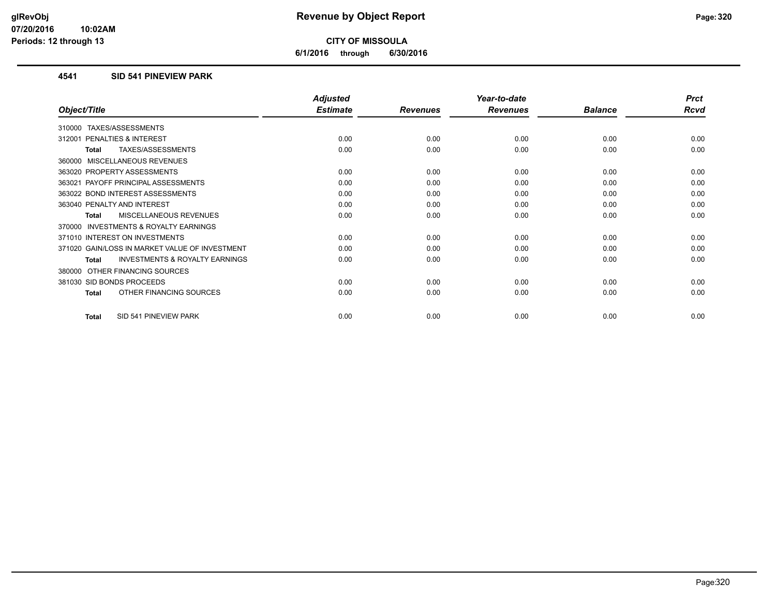**6/1/2016 through 6/30/2016**

### **4541 SID 541 PINEVIEW PARK**

|                                                           | <b>Adjusted</b> |                 | Year-to-date    |                | <b>Prct</b> |
|-----------------------------------------------------------|-----------------|-----------------|-----------------|----------------|-------------|
| Object/Title                                              | <b>Estimate</b> | <b>Revenues</b> | <b>Revenues</b> | <b>Balance</b> | <b>Rcvd</b> |
| 310000 TAXES/ASSESSMENTS                                  |                 |                 |                 |                |             |
| PENALTIES & INTEREST<br>312001                            | 0.00            | 0.00            | 0.00            | 0.00           | 0.00        |
| TAXES/ASSESSMENTS<br><b>Total</b>                         | 0.00            | 0.00            | 0.00            | 0.00           | 0.00        |
| 360000 MISCELLANEOUS REVENUES                             |                 |                 |                 |                |             |
| 363020 PROPERTY ASSESSMENTS                               | 0.00            | 0.00            | 0.00            | 0.00           | 0.00        |
| 363021 PAYOFF PRINCIPAL ASSESSMENTS                       | 0.00            | 0.00            | 0.00            | 0.00           | 0.00        |
| 363022 BOND INTEREST ASSESSMENTS                          | 0.00            | 0.00            | 0.00            | 0.00           | 0.00        |
| 363040 PENALTY AND INTEREST                               | 0.00            | 0.00            | 0.00            | 0.00           | 0.00        |
| MISCELLANEOUS REVENUES<br><b>Total</b>                    | 0.00            | 0.00            | 0.00            | 0.00           | 0.00        |
| 370000 INVESTMENTS & ROYALTY EARNINGS                     |                 |                 |                 |                |             |
| 371010 INTEREST ON INVESTMENTS                            | 0.00            | 0.00            | 0.00            | 0.00           | 0.00        |
| 371020 GAIN/LOSS IN MARKET VALUE OF INVESTMENT            | 0.00            | 0.00            | 0.00            | 0.00           | 0.00        |
| <b>INVESTMENTS &amp; ROYALTY EARNINGS</b><br><b>Total</b> | 0.00            | 0.00            | 0.00            | 0.00           | 0.00        |
| OTHER FINANCING SOURCES<br>380000                         |                 |                 |                 |                |             |
| 381030 SID BONDS PROCEEDS                                 | 0.00            | 0.00            | 0.00            | 0.00           | 0.00        |
| OTHER FINANCING SOURCES<br><b>Total</b>                   | 0.00            | 0.00            | 0.00            | 0.00           | 0.00        |
| SID 541 PINEVIEW PARK<br>Total                            | 0.00            | 0.00            | 0.00            | 0.00           | 0.00        |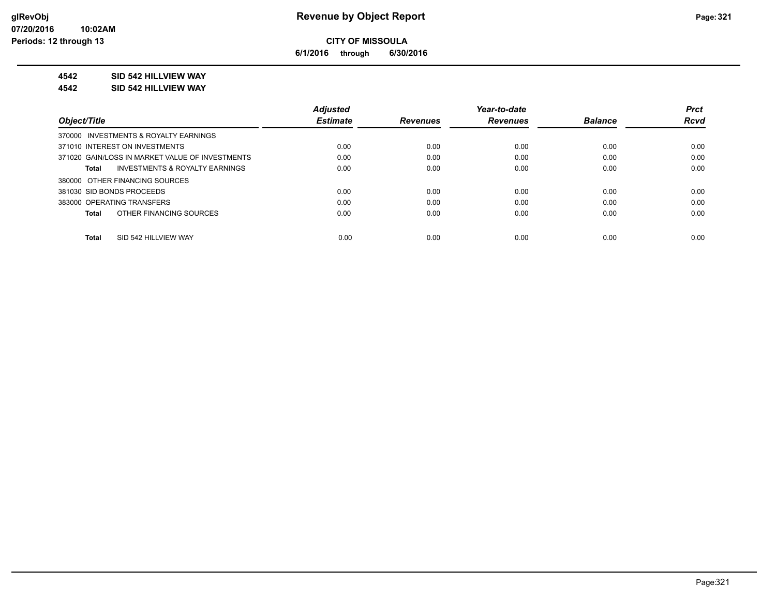**6/1/2016 through 6/30/2016**

### **4542 SID 542 HILLVIEW WAY**

**4542 SID 542 HILLVIEW WAY**

|                                                 | <b>Adjusted</b> |                 | Year-to-date    |                | <b>Prct</b> |
|-------------------------------------------------|-----------------|-----------------|-----------------|----------------|-------------|
| Object/Title                                    | <b>Estimate</b> | <b>Revenues</b> | <b>Revenues</b> | <b>Balance</b> | <b>Rcvd</b> |
| 370000 INVESTMENTS & ROYALTY EARNINGS           |                 |                 |                 |                |             |
| 371010 INTEREST ON INVESTMENTS                  | 0.00            | 0.00            | 0.00            | 0.00           | 0.00        |
| 371020 GAIN/LOSS IN MARKET VALUE OF INVESTMENTS | 0.00            | 0.00            | 0.00            | 0.00           | 0.00        |
| INVESTMENTS & ROYALTY EARNINGS<br>Total         | 0.00            | 0.00            | 0.00            | 0.00           | 0.00        |
| 380000 OTHER FINANCING SOURCES                  |                 |                 |                 |                |             |
| 381030 SID BONDS PROCEEDS                       | 0.00            | 0.00            | 0.00            | 0.00           | 0.00        |
| 383000 OPERATING TRANSFERS                      | 0.00            | 0.00            | 0.00            | 0.00           | 0.00        |
| OTHER FINANCING SOURCES<br>Total                | 0.00            | 0.00            | 0.00            | 0.00           | 0.00        |
|                                                 |                 |                 |                 |                |             |
| SID 542 HILLVIEW WAY<br>Total                   | 0.00            | 0.00            | 0.00            | 0.00           | 0.00        |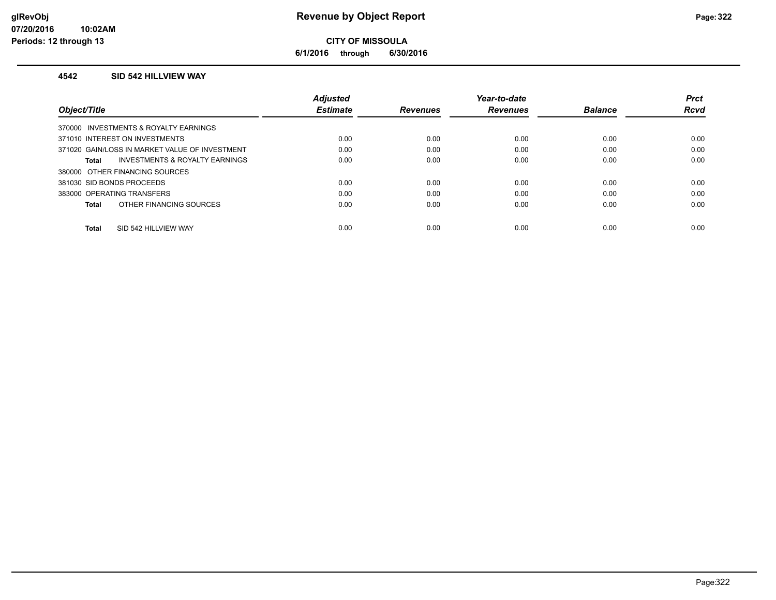**6/1/2016 through 6/30/2016**

### **4542 SID 542 HILLVIEW WAY**

|                                                    | <b>Adjusted</b> |                 | Year-to-date    |                | <b>Prct</b> |
|----------------------------------------------------|-----------------|-----------------|-----------------|----------------|-------------|
| Object/Title                                       | <b>Estimate</b> | <b>Revenues</b> | <b>Revenues</b> | <b>Balance</b> | <b>Rcvd</b> |
| 370000 INVESTMENTS & ROYALTY EARNINGS              |                 |                 |                 |                |             |
| 371010 INTEREST ON INVESTMENTS                     | 0.00            | 0.00            | 0.00            | 0.00           | 0.00        |
| 371020 GAIN/LOSS IN MARKET VALUE OF INVESTMENT     | 0.00            | 0.00            | 0.00            | 0.00           | 0.00        |
| <b>INVESTMENTS &amp; ROYALTY EARNINGS</b><br>Total | 0.00            | 0.00            | 0.00            | 0.00           | 0.00        |
| 380000 OTHER FINANCING SOURCES                     |                 |                 |                 |                |             |
| 381030 SID BONDS PROCEEDS                          | 0.00            | 0.00            | 0.00            | 0.00           | 0.00        |
| 383000 OPERATING TRANSFERS                         | 0.00            | 0.00            | 0.00            | 0.00           | 0.00        |
| OTHER FINANCING SOURCES<br>Total                   | 0.00            | 0.00            | 0.00            | 0.00           | 0.00        |
| SID 542 HILLVIEW WAY<br>Total                      | 0.00            | 0.00            | 0.00            | 0.00           | 0.00        |
|                                                    |                 |                 |                 |                |             |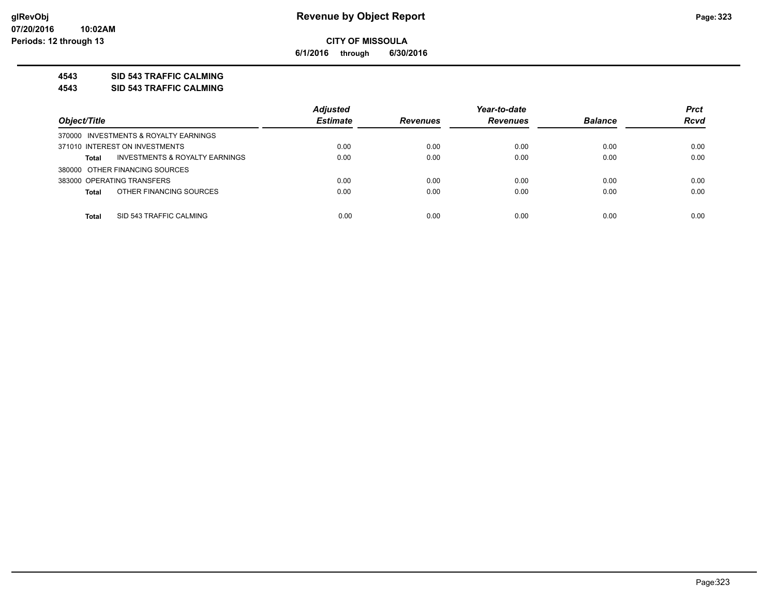**6/1/2016 through 6/30/2016**

# **4543 SID 543 TRAFFIC CALMING**

**4543 SID 543 TRAFFIC CALMING**

|                                                           | Adjusted        |                 | Year-to-date    |                | <b>Prct</b> |
|-----------------------------------------------------------|-----------------|-----------------|-----------------|----------------|-------------|
| Object/Title                                              | <b>Estimate</b> | <b>Revenues</b> | <b>Revenues</b> | <b>Balance</b> | <b>Rcvd</b> |
| 370000 INVESTMENTS & ROYALTY EARNINGS                     |                 |                 |                 |                |             |
| 371010 INTEREST ON INVESTMENTS                            | 0.00            | 0.00            | 0.00            | 0.00           | 0.00        |
| <b>INVESTMENTS &amp; ROYALTY EARNINGS</b><br><b>Total</b> | 0.00            | 0.00            | 0.00            | 0.00           | 0.00        |
| 380000 OTHER FINANCING SOURCES                            |                 |                 |                 |                |             |
| 383000 OPERATING TRANSFERS                                | 0.00            | 0.00            | 0.00            | 0.00           | 0.00        |
| OTHER FINANCING SOURCES<br><b>Total</b>                   | 0.00            | 0.00            | 0.00            | 0.00           | 0.00        |
|                                                           |                 |                 |                 |                |             |
| SID 543 TRAFFIC CALMING<br>Total                          | 0.00            | 0.00            | 0.00            | 0.00           | 0.00        |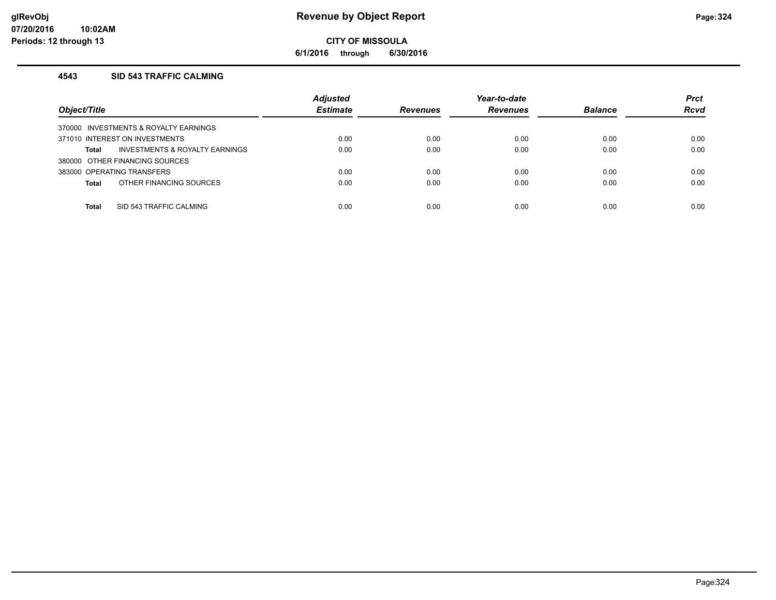**6/1/2016 through 6/30/2016**

# **4543 SID 543 TRAFFIC CALMING**

| Object/Title                                       | <b>Adjusted</b><br><b>Estimate</b> | <b>Revenues</b> | Year-to-date<br><b>Revenues</b> | <b>Balance</b> | <b>Prct</b><br><b>Rcvd</b> |
|----------------------------------------------------|------------------------------------|-----------------|---------------------------------|----------------|----------------------------|
| 370000 INVESTMENTS & ROYALTY EARNINGS              |                                    |                 |                                 |                |                            |
| 371010 INTEREST ON INVESTMENTS                     | 0.00                               | 0.00            | 0.00                            | 0.00           | 0.00                       |
| <b>INVESTMENTS &amp; ROYALTY EARNINGS</b><br>Total | 0.00                               | 0.00            | 0.00                            | 0.00           | 0.00                       |
| 380000 OTHER FINANCING SOURCES                     |                                    |                 |                                 |                |                            |
| 383000 OPERATING TRANSFERS                         | 0.00                               | 0.00            | 0.00                            | 0.00           | 0.00                       |
| OTHER FINANCING SOURCES<br>Total                   | 0.00                               | 0.00            | 0.00                            | 0.00           | 0.00                       |
|                                                    |                                    |                 |                                 |                |                            |
| SID 543 TRAFFIC CALMING<br><b>Total</b>            | 0.00                               | 0.00            | 0.00                            | 0.00           | 0.00                       |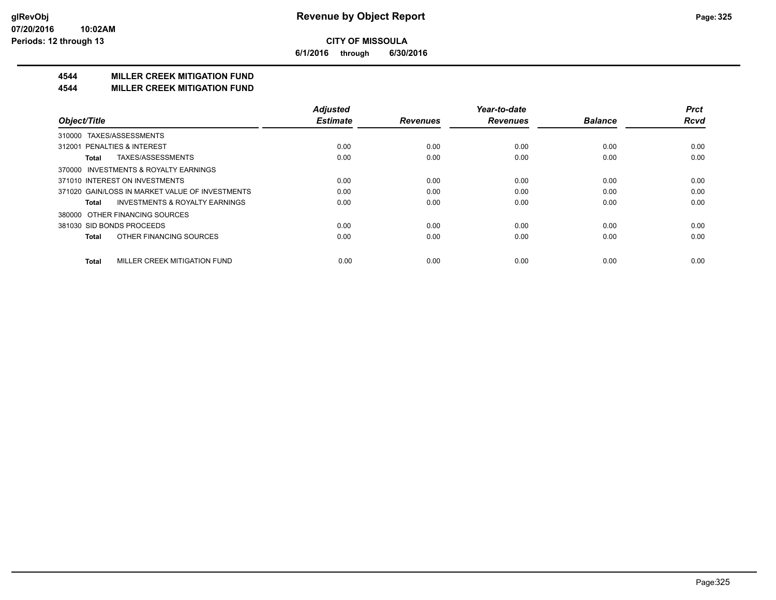**6/1/2016 through 6/30/2016**

# **4544 MILLER CREEK MITIGATION FUND**

#### **4544 MILLER CREEK MITIGATION FUND**

|                                                    | <b>Adjusted</b> |                 | Year-to-date    |                | <b>Prct</b> |
|----------------------------------------------------|-----------------|-----------------|-----------------|----------------|-------------|
| Object/Title                                       | <b>Estimate</b> | <b>Revenues</b> | <b>Revenues</b> | <b>Balance</b> | <b>Rcvd</b> |
| TAXES/ASSESSMENTS<br>310000                        |                 |                 |                 |                |             |
| 312001 PENALTIES & INTEREST                        | 0.00            | 0.00            | 0.00            | 0.00           | 0.00        |
| TAXES/ASSESSMENTS<br>Total                         | 0.00            | 0.00            | 0.00            | 0.00           | 0.00        |
| 370000 INVESTMENTS & ROYALTY EARNINGS              |                 |                 |                 |                |             |
| 371010 INTEREST ON INVESTMENTS                     | 0.00            | 0.00            | 0.00            | 0.00           | 0.00        |
| 371020 GAIN/LOSS IN MARKET VALUE OF INVESTMENTS    | 0.00            | 0.00            | 0.00            | 0.00           | 0.00        |
| <b>INVESTMENTS &amp; ROYALTY EARNINGS</b><br>Total | 0.00            | 0.00            | 0.00            | 0.00           | 0.00        |
| 380000 OTHER FINANCING SOURCES                     |                 |                 |                 |                |             |
| 381030 SID BONDS PROCEEDS                          | 0.00            | 0.00            | 0.00            | 0.00           | 0.00        |
| OTHER FINANCING SOURCES<br><b>Total</b>            | 0.00            | 0.00            | 0.00            | 0.00           | 0.00        |
| MILLER CREEK MITIGATION FUND<br><b>Total</b>       | 0.00            | 0.00            | 0.00            | 0.00           | 0.00        |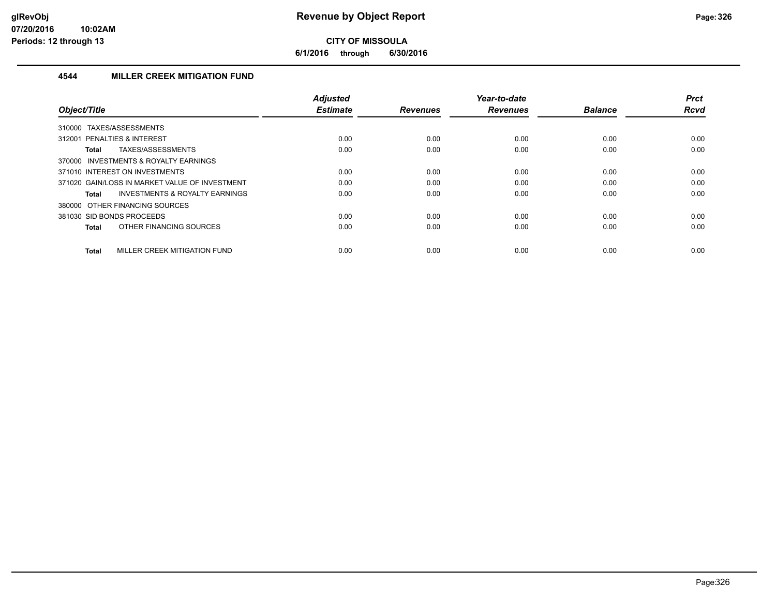**6/1/2016 through 6/30/2016**

#### **4544 MILLER CREEK MITIGATION FUND**

| Object/Title                                              | <b>Adjusted</b><br><b>Estimate</b> | <b>Revenues</b> | Year-to-date<br><b>Revenues</b> | <b>Balance</b> | <b>Prct</b><br>Rcvd |
|-----------------------------------------------------------|------------------------------------|-----------------|---------------------------------|----------------|---------------------|
| TAXES/ASSESSMENTS<br>310000                               |                                    |                 |                                 |                |                     |
| 312001 PENALTIES & INTEREST                               | 0.00                               | 0.00            | 0.00                            | 0.00           | 0.00                |
| TAXES/ASSESSMENTS<br><b>Total</b>                         | 0.00                               | 0.00            | 0.00                            | 0.00           | 0.00                |
| 370000 INVESTMENTS & ROYALTY EARNINGS                     |                                    |                 |                                 |                |                     |
| 371010 INTEREST ON INVESTMENTS                            | 0.00                               | 0.00            | 0.00                            | 0.00           | 0.00                |
| 371020 GAIN/LOSS IN MARKET VALUE OF INVESTMENT            | 0.00                               | 0.00            | 0.00                            | 0.00           | 0.00                |
| <b>INVESTMENTS &amp; ROYALTY EARNINGS</b><br><b>Total</b> | 0.00                               | 0.00            | 0.00                            | 0.00           | 0.00                |
| 380000 OTHER FINANCING SOURCES                            |                                    |                 |                                 |                |                     |
| 381030 SID BONDS PROCEEDS                                 | 0.00                               | 0.00            | 0.00                            | 0.00           | 0.00                |
| OTHER FINANCING SOURCES<br><b>Total</b>                   | 0.00                               | 0.00            | 0.00                            | 0.00           | 0.00                |
| MILLER CREEK MITIGATION FUND<br><b>Total</b>              | 0.00                               | 0.00            | 0.00                            | 0.00           | 0.00                |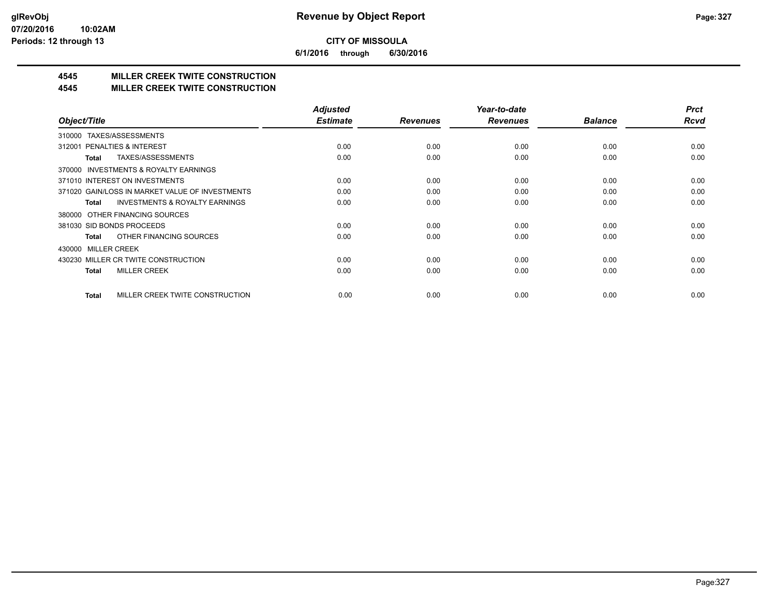**6/1/2016 through 6/30/2016**

# **4545 MILLER CREEK TWITE CONSTRUCTION**

#### **4545 MILLER CREEK TWITE CONSTRUCTION**

|                                                           | <b>Adjusted</b> |                 | Year-to-date    |                | <b>Prct</b> |
|-----------------------------------------------------------|-----------------|-----------------|-----------------|----------------|-------------|
| Object/Title                                              | <b>Estimate</b> | <b>Revenues</b> | <b>Revenues</b> | <b>Balance</b> | <b>Rcvd</b> |
| 310000 TAXES/ASSESSMENTS                                  |                 |                 |                 |                |             |
| <b>PENALTIES &amp; INTEREST</b><br>312001                 | 0.00            | 0.00            | 0.00            | 0.00           | 0.00        |
| TAXES/ASSESSMENTS<br><b>Total</b>                         | 0.00            | 0.00            | 0.00            | 0.00           | 0.00        |
| 370000 INVESTMENTS & ROYALTY EARNINGS                     |                 |                 |                 |                |             |
| 371010 INTEREST ON INVESTMENTS                            | 0.00            | 0.00            | 0.00            | 0.00           | 0.00        |
| 371020 GAIN/LOSS IN MARKET VALUE OF INVESTMENTS           | 0.00            | 0.00            | 0.00            | 0.00           | 0.00        |
| <b>INVESTMENTS &amp; ROYALTY EARNINGS</b><br><b>Total</b> | 0.00            | 0.00            | 0.00            | 0.00           | 0.00        |
| 380000 OTHER FINANCING SOURCES                            |                 |                 |                 |                |             |
| 381030 SID BONDS PROCEEDS                                 | 0.00            | 0.00            | 0.00            | 0.00           | 0.00        |
| OTHER FINANCING SOURCES<br>Total                          | 0.00            | 0.00            | 0.00            | 0.00           | 0.00        |
| 430000 MILLER CREEK                                       |                 |                 |                 |                |             |
| 430230 MILLER CR TWITE CONSTRUCTION                       | 0.00            | 0.00            | 0.00            | 0.00           | 0.00        |
| <b>MILLER CREEK</b><br><b>Total</b>                       | 0.00            | 0.00            | 0.00            | 0.00           | 0.00        |
|                                                           |                 |                 |                 |                |             |
| MILLER CREEK TWITE CONSTRUCTION<br><b>Total</b>           | 0.00            | 0.00            | 0.00            | 0.00           | 0.00        |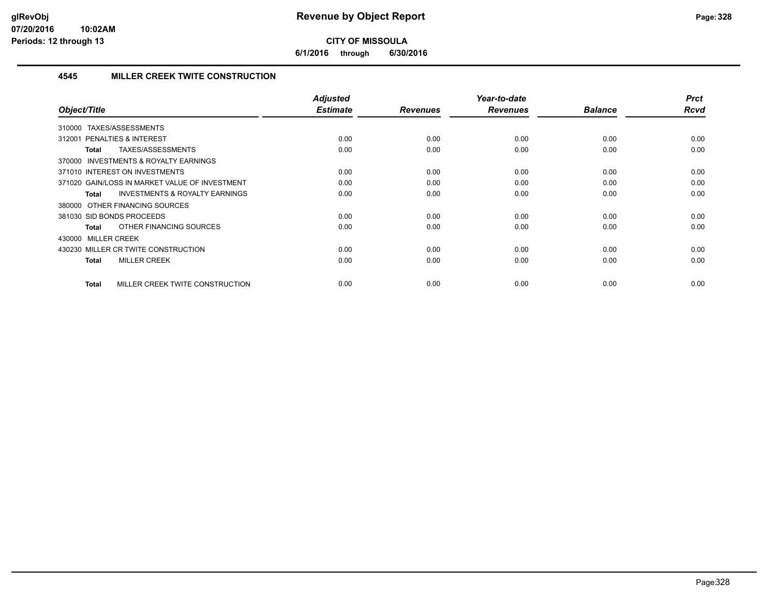**6/1/2016 through 6/30/2016**

#### **4545 MILLER CREEK TWITE CONSTRUCTION**

| Object/Title                                              | <b>Adjusted</b><br><b>Estimate</b> | <b>Revenues</b> | Year-to-date<br><b>Revenues</b> | <b>Balance</b> | <b>Prct</b><br><b>Rcvd</b> |
|-----------------------------------------------------------|------------------------------------|-----------------|---------------------------------|----------------|----------------------------|
| TAXES/ASSESSMENTS<br>310000                               |                                    |                 |                                 |                |                            |
| 312001 PENALTIES & INTEREST                               | 0.00                               | 0.00            | 0.00                            | 0.00           | 0.00                       |
| TAXES/ASSESSMENTS<br><b>Total</b>                         | 0.00                               | 0.00            | 0.00                            | 0.00           | 0.00                       |
| 370000 INVESTMENTS & ROYALTY EARNINGS                     |                                    |                 |                                 |                |                            |
| 371010 INTEREST ON INVESTMENTS                            | 0.00                               | 0.00            | 0.00                            | 0.00           | 0.00                       |
| 371020 GAIN/LOSS IN MARKET VALUE OF INVESTMENT            | 0.00                               | 0.00            | 0.00                            | 0.00           | 0.00                       |
| <b>INVESTMENTS &amp; ROYALTY EARNINGS</b><br><b>Total</b> | 0.00                               | 0.00            | 0.00                            | 0.00           | 0.00                       |
| 380000 OTHER FINANCING SOURCES                            |                                    |                 |                                 |                |                            |
| 381030 SID BONDS PROCEEDS                                 | 0.00                               | 0.00            | 0.00                            | 0.00           | 0.00                       |
| OTHER FINANCING SOURCES<br><b>Total</b>                   | 0.00                               | 0.00            | 0.00                            | 0.00           | 0.00                       |
| 430000 MILLER CREEK                                       |                                    |                 |                                 |                |                            |
| 430230 MILLER CR TWITE CONSTRUCTION                       | 0.00                               | 0.00            | 0.00                            | 0.00           | 0.00                       |
| <b>MILLER CREEK</b><br><b>Total</b>                       | 0.00                               | 0.00            | 0.00                            | 0.00           | 0.00                       |
| MILLER CREEK TWITE CONSTRUCTION<br><b>Total</b>           | 0.00                               | 0.00            | 0.00                            | 0.00           | 0.00                       |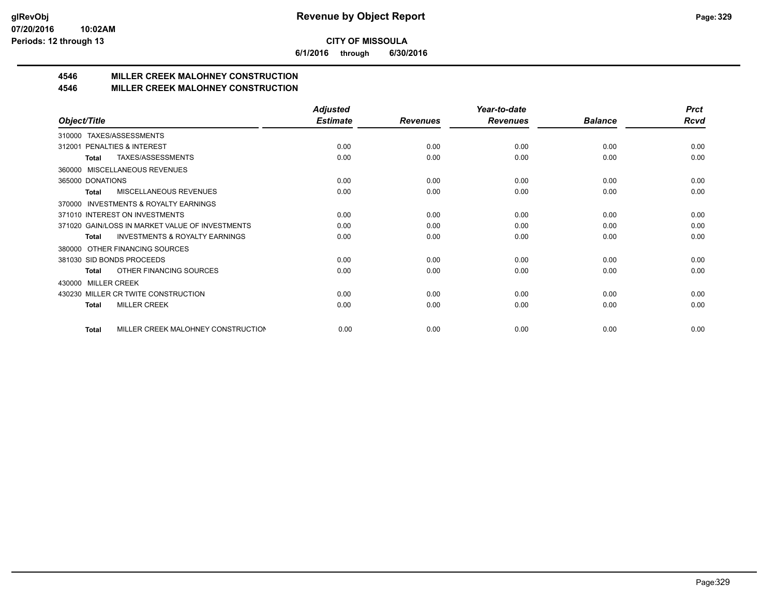**6/1/2016 through 6/30/2016**

# **4546 MILLER CREEK MALOHNEY CONSTRUCTION**

#### **4546 MILLER CREEK MALOHNEY CONSTRUCTION**

|                                                     | <b>Adjusted</b> |                 | Year-to-date    |                | <b>Prct</b> |
|-----------------------------------------------------|-----------------|-----------------|-----------------|----------------|-------------|
| Object/Title                                        | <b>Estimate</b> | <b>Revenues</b> | <b>Revenues</b> | <b>Balance</b> | <b>Rcvd</b> |
| TAXES/ASSESSMENTS<br>310000                         |                 |                 |                 |                |             |
| PENALTIES & INTEREST<br>312001                      | 0.00            | 0.00            | 0.00            | 0.00           | 0.00        |
| TAXES/ASSESSMENTS<br><b>Total</b>                   | 0.00            | 0.00            | 0.00            | 0.00           | 0.00        |
| 360000 MISCELLANEOUS REVENUES                       |                 |                 |                 |                |             |
| 365000 DONATIONS                                    | 0.00            | 0.00            | 0.00            | 0.00           | 0.00        |
| <b>MISCELLANEOUS REVENUES</b><br><b>Total</b>       | 0.00            | 0.00            | 0.00            | 0.00           | 0.00        |
| <b>INVESTMENTS &amp; ROYALTY EARNINGS</b><br>370000 |                 |                 |                 |                |             |
| 371010 INTEREST ON INVESTMENTS                      | 0.00            | 0.00            | 0.00            | 0.00           | 0.00        |
| 371020 GAIN/LOSS IN MARKET VALUE OF INVESTMENTS     | 0.00            | 0.00            | 0.00            | 0.00           | 0.00        |
| <b>INVESTMENTS &amp; ROYALTY EARNINGS</b><br>Total  | 0.00            | 0.00            | 0.00            | 0.00           | 0.00        |
| OTHER FINANCING SOURCES<br>380000                   |                 |                 |                 |                |             |
| 381030 SID BONDS PROCEEDS                           | 0.00            | 0.00            | 0.00            | 0.00           | 0.00        |
| OTHER FINANCING SOURCES<br><b>Total</b>             | 0.00            | 0.00            | 0.00            | 0.00           | 0.00        |
| 430000 MILLER CREEK                                 |                 |                 |                 |                |             |
| 430230 MILLER CR TWITE CONSTRUCTION                 | 0.00            | 0.00            | 0.00            | 0.00           | 0.00        |
| <b>MILLER CREEK</b><br><b>Total</b>                 | 0.00            | 0.00            | 0.00            | 0.00           | 0.00        |
|                                                     |                 |                 |                 |                |             |
| MILLER CREEK MALOHNEY CONSTRUCTION<br><b>Total</b>  | 0.00            | 0.00            | 0.00            | 0.00           | 0.00        |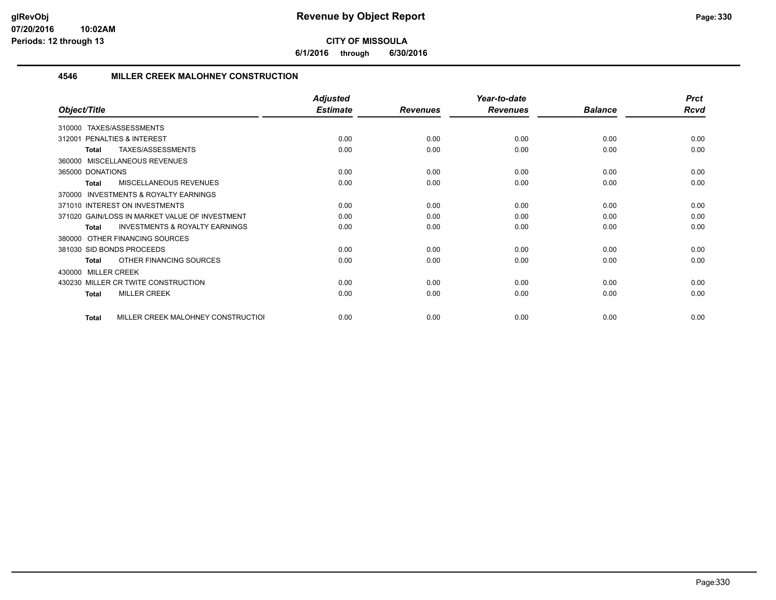**6/1/2016 through 6/30/2016**

#### **4546 MILLER CREEK MALOHNEY CONSTRUCTION**

|                                                           | <b>Adjusted</b> |                 | Year-to-date    |                | <b>Prct</b> |
|-----------------------------------------------------------|-----------------|-----------------|-----------------|----------------|-------------|
| Object/Title                                              | <b>Estimate</b> | <b>Revenues</b> | <b>Revenues</b> | <b>Balance</b> | <b>Rcvd</b> |
| 310000 TAXES/ASSESSMENTS                                  |                 |                 |                 |                |             |
| PENALTIES & INTEREST<br>312001                            | 0.00            | 0.00            | 0.00            | 0.00           | 0.00        |
| TAXES/ASSESSMENTS<br><b>Total</b>                         | 0.00            | 0.00            | 0.00            | 0.00           | 0.00        |
| 360000 MISCELLANEOUS REVENUES                             |                 |                 |                 |                |             |
| 365000 DONATIONS                                          | 0.00            | 0.00            | 0.00            | 0.00           | 0.00        |
| MISCELLANEOUS REVENUES<br>Total                           | 0.00            | 0.00            | 0.00            | 0.00           | 0.00        |
| INVESTMENTS & ROYALTY EARNINGS<br>370000                  |                 |                 |                 |                |             |
| 371010 INTEREST ON INVESTMENTS                            | 0.00            | 0.00            | 0.00            | 0.00           | 0.00        |
| 371020 GAIN/LOSS IN MARKET VALUE OF INVESTMENT            | 0.00            | 0.00            | 0.00            | 0.00           | 0.00        |
| <b>INVESTMENTS &amp; ROYALTY EARNINGS</b><br><b>Total</b> | 0.00            | 0.00            | 0.00            | 0.00           | 0.00        |
| 380000 OTHER FINANCING SOURCES                            |                 |                 |                 |                |             |
| 381030 SID BONDS PROCEEDS                                 | 0.00            | 0.00            | 0.00            | 0.00           | 0.00        |
| OTHER FINANCING SOURCES<br>Total                          | 0.00            | 0.00            | 0.00            | 0.00           | 0.00        |
| 430000 MILLER CREEK                                       |                 |                 |                 |                |             |
| 430230 MILLER CR TWITE CONSTRUCTION                       | 0.00            | 0.00            | 0.00            | 0.00           | 0.00        |
| <b>MILLER CREEK</b><br><b>Total</b>                       | 0.00            | 0.00            | 0.00            | 0.00           | 0.00        |
| MILLER CREEK MALOHNEY CONSTRUCTIOI<br>Total               | 0.00            | 0.00            | 0.00            | 0.00           | 0.00        |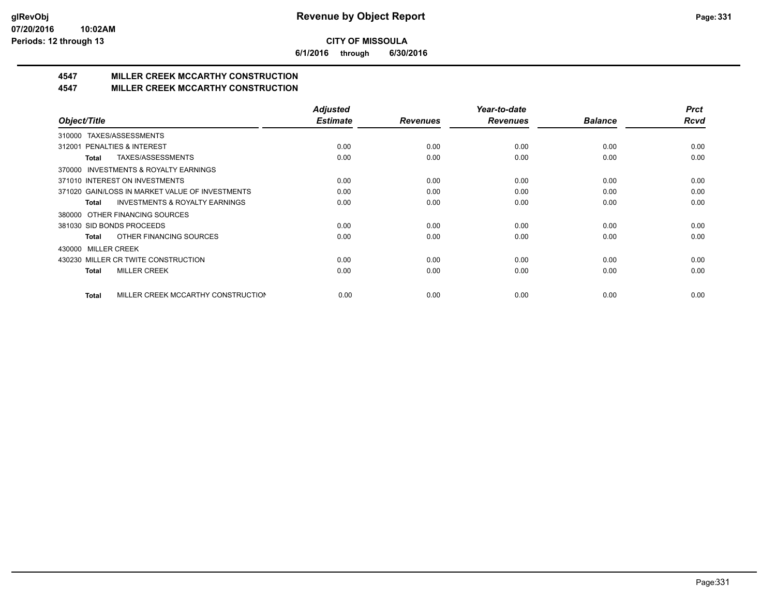**6/1/2016 through 6/30/2016**

# **4547 MILLER CREEK MCCARTHY CONSTRUCTION**

**4547 MILLER CREEK MCCARTHY CONSTRUCTION**

|                                                    | <b>Adjusted</b> |                 | Year-to-date    |                | <b>Prct</b> |
|----------------------------------------------------|-----------------|-----------------|-----------------|----------------|-------------|
| Object/Title                                       | <b>Estimate</b> | <b>Revenues</b> | <b>Revenues</b> | <b>Balance</b> | <b>Rcvd</b> |
| TAXES/ASSESSMENTS<br>310000                        |                 |                 |                 |                |             |
| 312001 PENALTIES & INTEREST                        | 0.00            | 0.00            | 0.00            | 0.00           | 0.00        |
| TAXES/ASSESSMENTS<br><b>Total</b>                  | 0.00            | 0.00            | 0.00            | 0.00           | 0.00        |
| INVESTMENTS & ROYALTY EARNINGS<br>370000           |                 |                 |                 |                |             |
| 371010 INTEREST ON INVESTMENTS                     | 0.00            | 0.00            | 0.00            | 0.00           | 0.00        |
| 371020 GAIN/LOSS IN MARKET VALUE OF INVESTMENTS    | 0.00            | 0.00            | 0.00            | 0.00           | 0.00        |
| <b>INVESTMENTS &amp; ROYALTY EARNINGS</b><br>Total | 0.00            | 0.00            | 0.00            | 0.00           | 0.00        |
| OTHER FINANCING SOURCES<br>380000                  |                 |                 |                 |                |             |
| 381030 SID BONDS PROCEEDS                          | 0.00            | 0.00            | 0.00            | 0.00           | 0.00        |
| OTHER FINANCING SOURCES<br><b>Total</b>            | 0.00            | 0.00            | 0.00            | 0.00           | 0.00        |
| <b>MILLER CREEK</b><br>430000                      |                 |                 |                 |                |             |
| 430230 MILLER CR TWITE CONSTRUCTION                | 0.00            | 0.00            | 0.00            | 0.00           | 0.00        |
| <b>MILLER CREEK</b><br><b>Total</b>                | 0.00            | 0.00            | 0.00            | 0.00           | 0.00        |
|                                                    |                 |                 |                 |                |             |
| MILLER CREEK MCCARTHY CONSTRUCTION<br><b>Total</b> | 0.00            | 0.00            | 0.00            | 0.00           | 0.00        |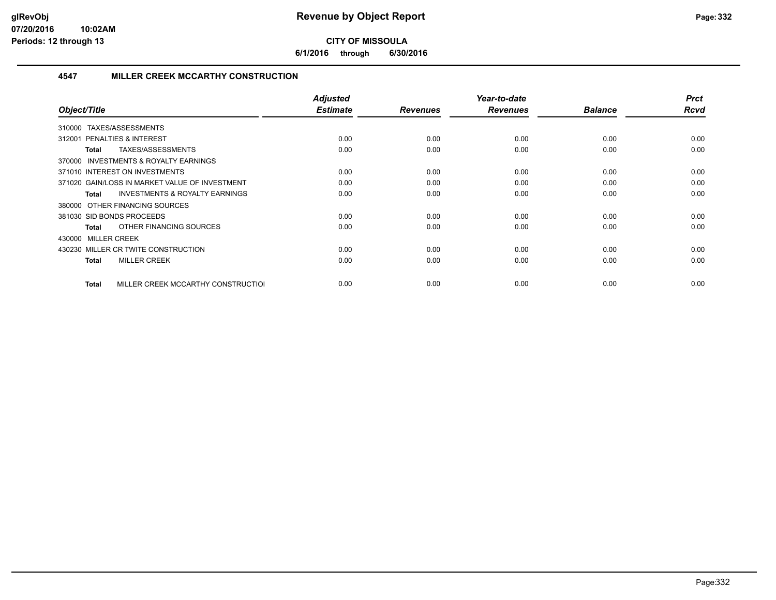**6/1/2016 through 6/30/2016**

#### **4547 MILLER CREEK MCCARTHY CONSTRUCTION**

| Object/Title                                              | <b>Adjusted</b><br><b>Estimate</b> | <b>Revenues</b> | Year-to-date<br><b>Revenues</b> | <b>Balance</b> | <b>Prct</b><br>Rcvd |
|-----------------------------------------------------------|------------------------------------|-----------------|---------------------------------|----------------|---------------------|
| TAXES/ASSESSMENTS<br>310000                               |                                    |                 |                                 |                |                     |
| 312001 PENALTIES & INTEREST                               | 0.00                               | 0.00            | 0.00                            | 0.00           | 0.00                |
| TAXES/ASSESSMENTS<br>Total                                | 0.00                               | 0.00            | 0.00                            | 0.00           | 0.00                |
| <b>INVESTMENTS &amp; ROYALTY EARNINGS</b><br>370000       |                                    |                 |                                 |                |                     |
| 371010 INTEREST ON INVESTMENTS                            | 0.00                               | 0.00            | 0.00                            | 0.00           | 0.00                |
| 371020 GAIN/LOSS IN MARKET VALUE OF INVESTMENT            | 0.00                               | 0.00            | 0.00                            | 0.00           | 0.00                |
| <b>INVESTMENTS &amp; ROYALTY EARNINGS</b><br><b>Total</b> | 0.00                               | 0.00            | 0.00                            | 0.00           | 0.00                |
| 380000 OTHER FINANCING SOURCES                            |                                    |                 |                                 |                |                     |
| 381030 SID BONDS PROCEEDS                                 | 0.00                               | 0.00            | 0.00                            | 0.00           | 0.00                |
| OTHER FINANCING SOURCES<br><b>Total</b>                   | 0.00                               | 0.00            | 0.00                            | 0.00           | 0.00                |
| 430000 MILLER CREEK                                       |                                    |                 |                                 |                |                     |
| 430230 MILLER CR TWITE CONSTRUCTION                       | 0.00                               | 0.00            | 0.00                            | 0.00           | 0.00                |
| <b>MILLER CREEK</b><br><b>Total</b>                       | 0.00                               | 0.00            | 0.00                            | 0.00           | 0.00                |
|                                                           |                                    |                 |                                 |                |                     |
| MILLER CREEK MCCARTHY CONSTRUCTION<br><b>Total</b>        | 0.00                               | 0.00            | 0.00                            | 0.00           | 0.00                |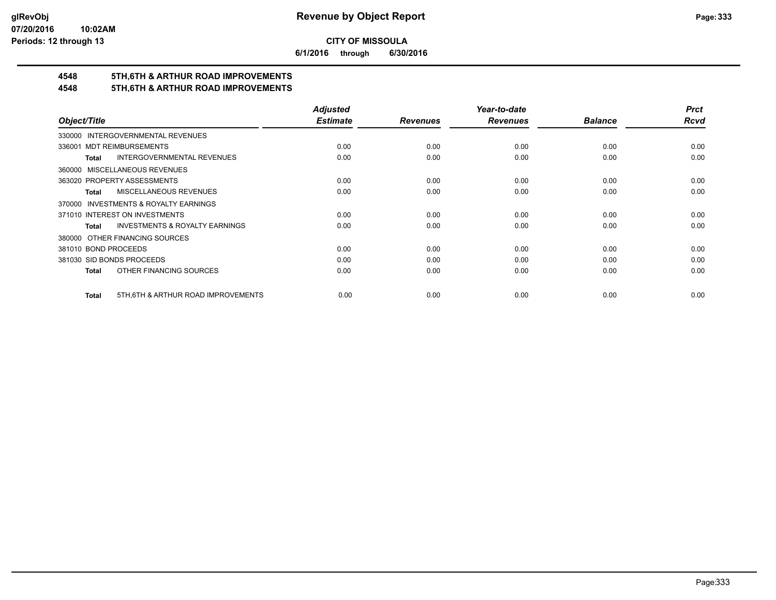**6/1/2016 through 6/30/2016**

# **4548 5TH,6TH & ARTHUR ROAD IMPROVEMENTS**

### **4548 5TH,6TH & ARTHUR ROAD IMPROVEMENTS**

|                                                    | <b>Adjusted</b> |                 | Year-to-date    |                | <b>Prct</b> |
|----------------------------------------------------|-----------------|-----------------|-----------------|----------------|-------------|
| Object/Title                                       | <b>Estimate</b> | <b>Revenues</b> | <b>Revenues</b> | <b>Balance</b> | <b>Rcvd</b> |
| 330000 INTERGOVERNMENTAL REVENUES                  |                 |                 |                 |                |             |
| 336001 MDT REIMBURSEMENTS                          | 0.00            | 0.00            | 0.00            | 0.00           | 0.00        |
| <b>INTERGOVERNMENTAL REVENUES</b><br>Total         | 0.00            | 0.00            | 0.00            | 0.00           | 0.00        |
| 360000 MISCELLANEOUS REVENUES                      |                 |                 |                 |                |             |
| 363020 PROPERTY ASSESSMENTS                        | 0.00            | 0.00            | 0.00            | 0.00           | 0.00        |
| MISCELLANEOUS REVENUES<br>Total                    | 0.00            | 0.00            | 0.00            | 0.00           | 0.00        |
| 370000 INVESTMENTS & ROYALTY EARNINGS              |                 |                 |                 |                |             |
| 371010 INTEREST ON INVESTMENTS                     | 0.00            | 0.00            | 0.00            | 0.00           | 0.00        |
| <b>INVESTMENTS &amp; ROYALTY EARNINGS</b><br>Total | 0.00            | 0.00            | 0.00            | 0.00           | 0.00        |
| 380000 OTHER FINANCING SOURCES                     |                 |                 |                 |                |             |
| 381010 BOND PROCEEDS                               | 0.00            | 0.00            | 0.00            | 0.00           | 0.00        |
| 381030 SID BONDS PROCEEDS                          | 0.00            | 0.00            | 0.00            | 0.00           | 0.00        |
| OTHER FINANCING SOURCES<br>Total                   | 0.00            | 0.00            | 0.00            | 0.00           | 0.00        |
|                                                    |                 |                 |                 |                |             |
| 5TH, 6TH & ARTHUR ROAD IMPROVEMENTS<br>Total       | 0.00            | 0.00            | 0.00            | 0.00           | 0.00        |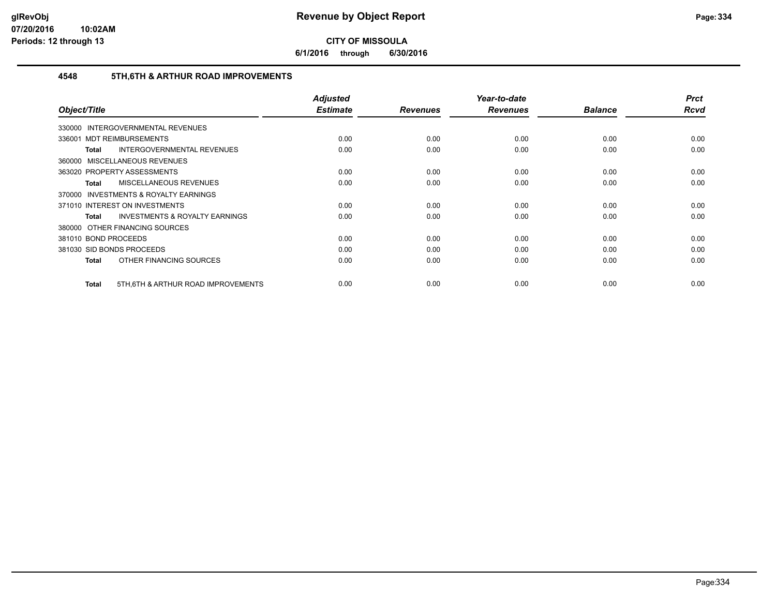**6/1/2016 through 6/30/2016**

#### **4548 5TH,6TH & ARTHUR ROAD IMPROVEMENTS**

| Object/Title                                              | <b>Adjusted</b><br><b>Estimate</b> | <b>Revenues</b> | Year-to-date<br><b>Revenues</b> | <b>Balance</b> | <b>Prct</b><br><b>Rcvd</b> |
|-----------------------------------------------------------|------------------------------------|-----------------|---------------------------------|----------------|----------------------------|
| <b>INTERGOVERNMENTAL REVENUES</b><br>330000               |                                    |                 |                                 |                |                            |
| 336001 MDT REIMBURSEMENTS                                 | 0.00                               | 0.00            | 0.00                            | 0.00           | 0.00                       |
| <b>INTERGOVERNMENTAL REVENUES</b><br>Total                | 0.00                               | 0.00            | 0.00                            | 0.00           | 0.00                       |
| MISCELLANEOUS REVENUES<br>360000                          |                                    |                 |                                 |                |                            |
| 363020 PROPERTY ASSESSMENTS                               | 0.00                               | 0.00            | 0.00                            | 0.00           | 0.00                       |
| MISCELLANEOUS REVENUES<br><b>Total</b>                    | 0.00                               | 0.00            | 0.00                            | 0.00           | 0.00                       |
| <b>INVESTMENTS &amp; ROYALTY EARNINGS</b><br>370000       |                                    |                 |                                 |                |                            |
| 371010 INTEREST ON INVESTMENTS                            | 0.00                               | 0.00            | 0.00                            | 0.00           | 0.00                       |
| <b>INVESTMENTS &amp; ROYALTY EARNINGS</b><br><b>Total</b> | 0.00                               | 0.00            | 0.00                            | 0.00           | 0.00                       |
| 380000 OTHER FINANCING SOURCES                            |                                    |                 |                                 |                |                            |
| 381010 BOND PROCEEDS                                      | 0.00                               | 0.00            | 0.00                            | 0.00           | 0.00                       |
| 381030 SID BONDS PROCEEDS                                 | 0.00                               | 0.00            | 0.00                            | 0.00           | 0.00                       |
| OTHER FINANCING SOURCES<br><b>Total</b>                   | 0.00                               | 0.00            | 0.00                            | 0.00           | 0.00                       |
| 5TH, 6TH & ARTHUR ROAD IMPROVEMENTS<br><b>Total</b>       | 0.00                               | 0.00            | 0.00                            | 0.00           | 0.00                       |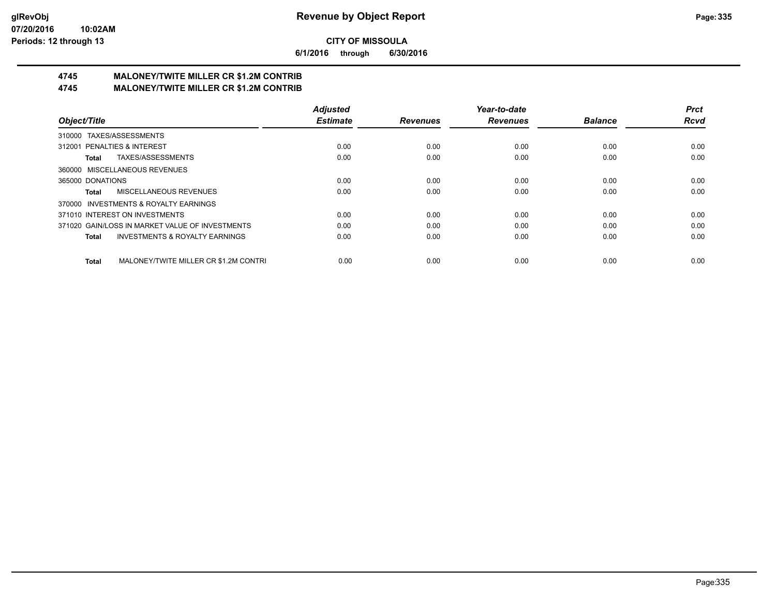**6/1/2016 through 6/30/2016**

# **4745 MALONEY/TWITE MILLER CR \$1.2M CONTRIB**

**4745 MALONEY/TWITE MILLER CR \$1.2M CONTRIB**

|                                                           | <b>Adjusted</b> |                 | Year-to-date    |                | <b>Prct</b> |
|-----------------------------------------------------------|-----------------|-----------------|-----------------|----------------|-------------|
| Object/Title                                              | <b>Estimate</b> | <b>Revenues</b> | <b>Revenues</b> | <b>Balance</b> | <b>Rcvd</b> |
| 310000 TAXES/ASSESSMENTS                                  |                 |                 |                 |                |             |
| 312001 PENALTIES & INTEREST                               | 0.00            | 0.00            | 0.00            | 0.00           | 0.00        |
| TAXES/ASSESSMENTS<br>Total                                | 0.00            | 0.00            | 0.00            | 0.00           | 0.00        |
| 360000 MISCELLANEOUS REVENUES                             |                 |                 |                 |                |             |
| 365000 DONATIONS                                          | 0.00            | 0.00            | 0.00            | 0.00           | 0.00        |
| MISCELLANEOUS REVENUES<br>Total                           | 0.00            | 0.00            | 0.00            | 0.00           | 0.00        |
| 370000 INVESTMENTS & ROYALTY EARNINGS                     |                 |                 |                 |                |             |
| 371010 INTEREST ON INVESTMENTS                            | 0.00            | 0.00            | 0.00            | 0.00           | 0.00        |
| 371020 GAIN/LOSS IN MARKET VALUE OF INVESTMENTS           | 0.00            | 0.00            | 0.00            | 0.00           | 0.00        |
| <b>INVESTMENTS &amp; ROYALTY EARNINGS</b><br><b>Total</b> | 0.00            | 0.00            | 0.00            | 0.00           | 0.00        |
| MALONEY/TWITE MILLER CR \$1.2M CONTRI<br><b>Total</b>     | 0.00            | 0.00            | 0.00            | 0.00           | 0.00        |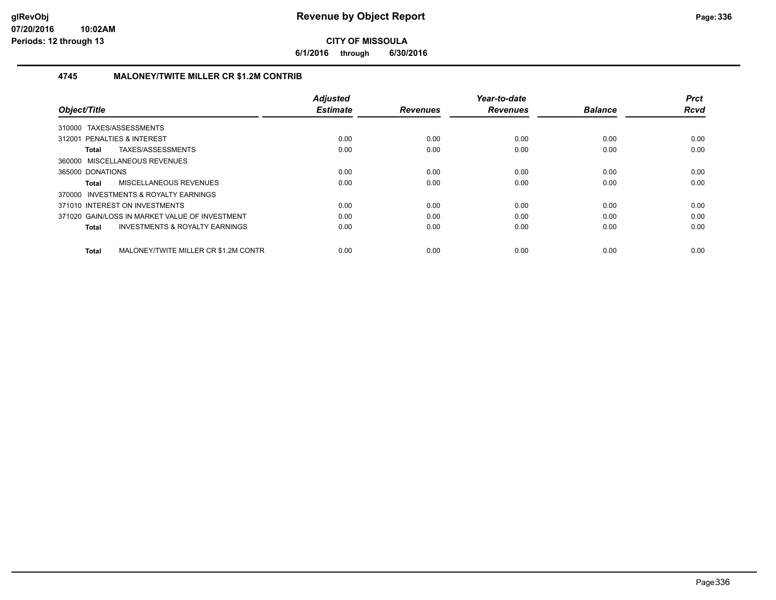**6/1/2016 through 6/30/2016**

#### **4745 MALONEY/TWITE MILLER CR \$1.2M CONTRIB**

| Object/Title                                       | <b>Adjusted</b><br><b>Estimate</b> | <b>Revenues</b> | Year-to-date<br><b>Revenues</b> | <b>Balance</b> | <b>Prct</b><br><b>Rcvd</b> |
|----------------------------------------------------|------------------------------------|-----------------|---------------------------------|----------------|----------------------------|
| 310000 TAXES/ASSESSMENTS                           |                                    |                 |                                 |                |                            |
|                                                    |                                    |                 |                                 |                |                            |
| 312001 PENALTIES & INTEREST                        | 0.00                               | 0.00            | 0.00                            | 0.00           | 0.00                       |
| TAXES/ASSESSMENTS<br>Total                         | 0.00                               | 0.00            | 0.00                            | 0.00           | 0.00                       |
| 360000 MISCELLANEOUS REVENUES                      |                                    |                 |                                 |                |                            |
| 365000 DONATIONS                                   | 0.00                               | 0.00            | 0.00                            | 0.00           | 0.00                       |
| MISCELLANEOUS REVENUES<br>Total                    | 0.00                               | 0.00            | 0.00                            | 0.00           | 0.00                       |
| 370000 INVESTMENTS & ROYALTY EARNINGS              |                                    |                 |                                 |                |                            |
| 371010 INTEREST ON INVESTMENTS                     | 0.00                               | 0.00            | 0.00                            | 0.00           | 0.00                       |
| 371020 GAIN/LOSS IN MARKET VALUE OF INVESTMENT     | 0.00                               | 0.00            | 0.00                            | 0.00           | 0.00                       |
| <b>INVESTMENTS &amp; ROYALTY EARNINGS</b><br>Total | 0.00                               | 0.00            | 0.00                            | 0.00           | 0.00                       |
| MALONEY/TWITE MILLER CR \$1.2M CONTR<br>Total      | 0.00                               | 0.00            | 0.00                            | 0.00           | 0.00                       |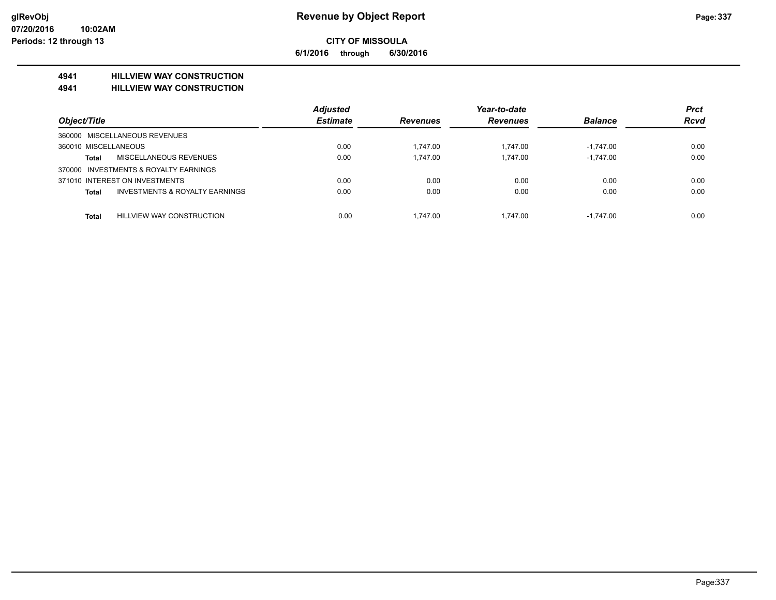**6/1/2016 through 6/30/2016**

### **4941 HILLVIEW WAY CONSTRUCTION**

#### **4941 HILLVIEW WAY CONSTRUCTION**

|                                                           | <b>Adjusted</b> |                 | Year-to-date    |                | <b>Prct</b> |
|-----------------------------------------------------------|-----------------|-----------------|-----------------|----------------|-------------|
| Object/Title                                              | <b>Estimate</b> | <b>Revenues</b> | <b>Revenues</b> | <b>Balance</b> | <b>Rcvd</b> |
| 360000 MISCELLANEOUS REVENUES                             |                 |                 |                 |                |             |
| 360010 MISCELLANEOUS                                      | 0.00            | 1.747.00        | 1.747.00        | $-1.747.00$    | 0.00        |
| <b>MISCELLANEOUS REVENUES</b><br><b>Total</b>             | 0.00            | 1.747.00        | 1.747.00        | $-1.747.00$    | 0.00        |
| 370000 INVESTMENTS & ROYALTY EARNINGS                     |                 |                 |                 |                |             |
| 371010 INTEREST ON INVESTMENTS                            | 0.00            | 0.00            | 0.00            | 0.00           | 0.00        |
| <b>INVESTMENTS &amp; ROYALTY EARNINGS</b><br><b>Total</b> | 0.00            | 0.00            | 0.00            | 0.00           | 0.00        |
| <b>HILLVIEW WAY CONSTRUCTION</b><br><b>Total</b>          | 0.00            | 1.747.00        | 1.747.00        | $-1.747.00$    | 0.00        |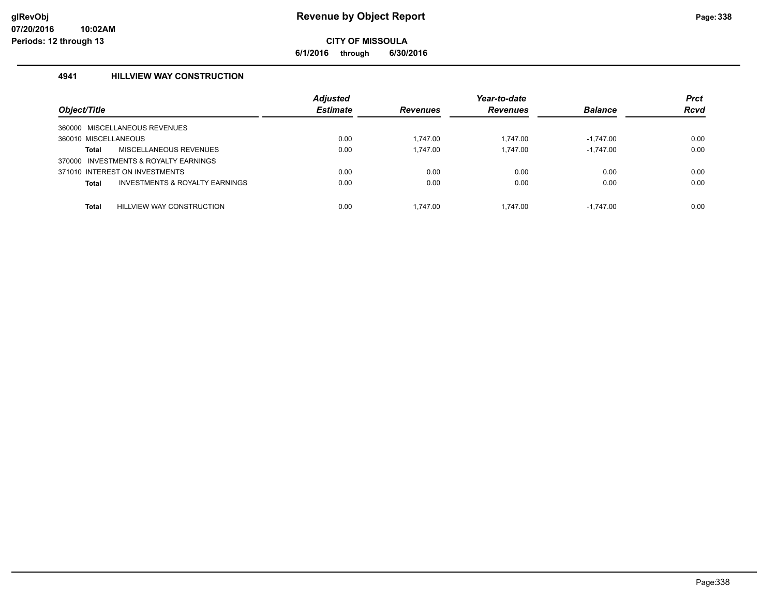**6/1/2016 through 6/30/2016**

#### **4941 HILLVIEW WAY CONSTRUCTION**

| Object/Title                                     | <b>Adjusted</b><br><b>Estimate</b> | <b>Revenues</b> | Year-to-date<br><b>Revenues</b> | <b>Balance</b> | <b>Prct</b><br><b>Rcvd</b> |
|--------------------------------------------------|------------------------------------|-----------------|---------------------------------|----------------|----------------------------|
| 360000 MISCELLANEOUS REVENUES                    |                                    |                 |                                 |                |                            |
| 360010 MISCELLANEOUS                             | 0.00                               | 1.747.00        | 1.747.00                        | $-1.747.00$    | 0.00                       |
| MISCELLANEOUS REVENUES<br><b>Total</b>           | 0.00                               | 1,747.00        | 1,747.00                        | $-1,747.00$    | 0.00                       |
| 370000 INVESTMENTS & ROYALTY EARNINGS            |                                    |                 |                                 |                |                            |
| 371010 INTEREST ON INVESTMENTS                   | 0.00                               | 0.00            | 0.00                            | 0.00           | 0.00                       |
| INVESTMENTS & ROYALTY EARNINGS<br><b>Total</b>   | 0.00                               | 0.00            | 0.00                            | 0.00           | 0.00                       |
| <b>HILLVIEW WAY CONSTRUCTION</b><br><b>Total</b> | 0.00                               | 1.747.00        | 1.747.00                        | $-1.747.00$    | 0.00                       |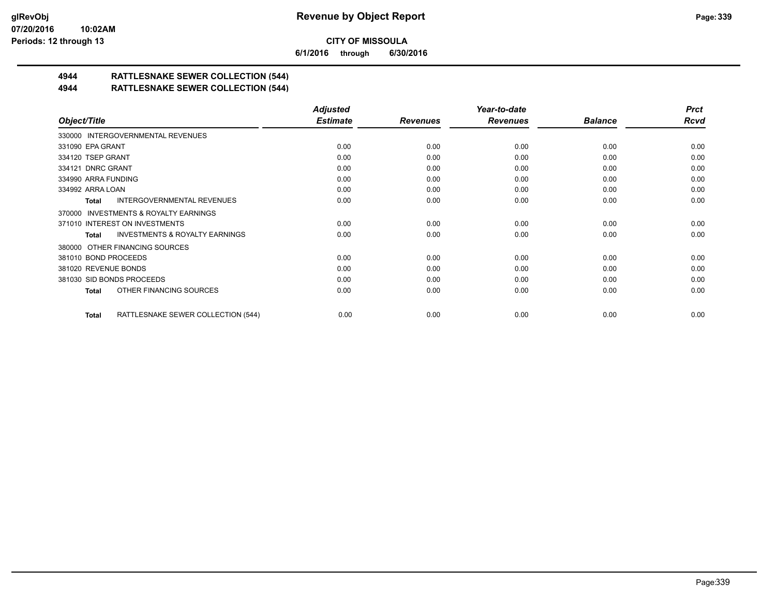**6/1/2016 through 6/30/2016**

# **4944 RATTLESNAKE SEWER COLLECTION (544)**

#### **4944 RATTLESNAKE SEWER COLLECTION (544)**

|                                                    | <b>Adjusted</b> |                 | Year-to-date    |                | <b>Prct</b> |
|----------------------------------------------------|-----------------|-----------------|-----------------|----------------|-------------|
| Object/Title                                       | <b>Estimate</b> | <b>Revenues</b> | <b>Revenues</b> | <b>Balance</b> | <b>Rcvd</b> |
| 330000 INTERGOVERNMENTAL REVENUES                  |                 |                 |                 |                |             |
| 331090 EPA GRANT                                   | 0.00            | 0.00            | 0.00            | 0.00           | 0.00        |
| 334120 TSEP GRANT                                  | 0.00            | 0.00            | 0.00            | 0.00           | 0.00        |
| 334121 DNRC GRANT                                  | 0.00            | 0.00            | 0.00            | 0.00           | 0.00        |
| 334990 ARRA FUNDING                                | 0.00            | 0.00            | 0.00            | 0.00           | 0.00        |
| 334992 ARRA LOAN                                   | 0.00            | 0.00            | 0.00            | 0.00           | 0.00        |
| INTERGOVERNMENTAL REVENUES<br>Total                | 0.00            | 0.00            | 0.00            | 0.00           | 0.00        |
| 370000 INVESTMENTS & ROYALTY EARNINGS              |                 |                 |                 |                |             |
| 371010 INTEREST ON INVESTMENTS                     | 0.00            | 0.00            | 0.00            | 0.00           | 0.00        |
| <b>INVESTMENTS &amp; ROYALTY EARNINGS</b><br>Total | 0.00            | 0.00            | 0.00            | 0.00           | 0.00        |
| 380000 OTHER FINANCING SOURCES                     |                 |                 |                 |                |             |
| 381010 BOND PROCEEDS                               | 0.00            | 0.00            | 0.00            | 0.00           | 0.00        |
| 381020 REVENUE BONDS                               | 0.00            | 0.00            | 0.00            | 0.00           | 0.00        |
| 381030 SID BONDS PROCEEDS                          | 0.00            | 0.00            | 0.00            | 0.00           | 0.00        |
| OTHER FINANCING SOURCES<br>Total                   | 0.00            | 0.00            | 0.00            | 0.00           | 0.00        |
| RATTLESNAKE SEWER COLLECTION (544)<br>Total        | 0.00            | 0.00            | 0.00            | 0.00           | 0.00        |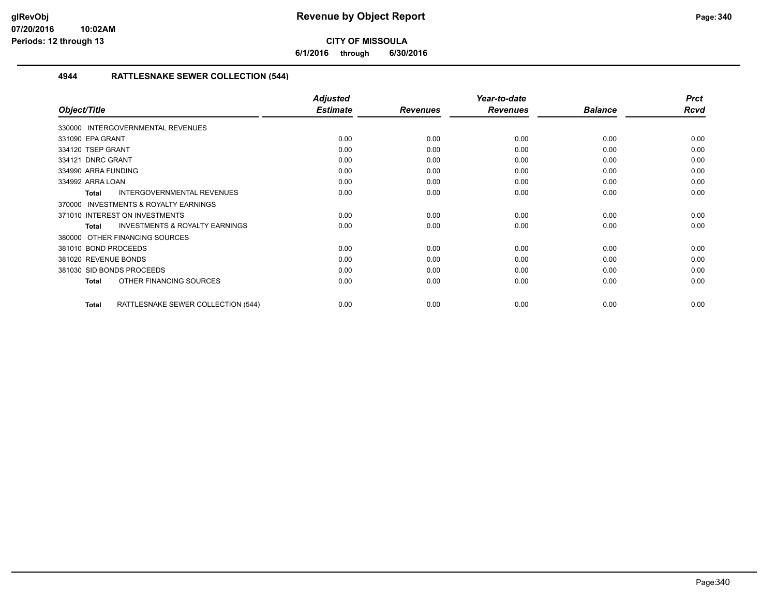**6/1/2016 through 6/30/2016**

#### **4944 RATTLESNAKE SEWER COLLECTION (544)**

|                                                           | <b>Adjusted</b> |                 | Year-to-date    |                | <b>Prct</b> |
|-----------------------------------------------------------|-----------------|-----------------|-----------------|----------------|-------------|
| Object/Title                                              | <b>Estimate</b> | <b>Revenues</b> | <b>Revenues</b> | <b>Balance</b> | <b>Rcvd</b> |
| 330000 INTERGOVERNMENTAL REVENUES                         |                 |                 |                 |                |             |
| 331090 EPA GRANT                                          | 0.00            | 0.00            | 0.00            | 0.00           | 0.00        |
| 334120 TSEP GRANT                                         | 0.00            | 0.00            | 0.00            | 0.00           | 0.00        |
| 334121 DNRC GRANT                                         | 0.00            | 0.00            | 0.00            | 0.00           | 0.00        |
| 334990 ARRA FUNDING                                       | 0.00            | 0.00            | 0.00            | 0.00           | 0.00        |
| 334992 ARRA LOAN                                          | 0.00            | 0.00            | 0.00            | 0.00           | 0.00        |
| INTERGOVERNMENTAL REVENUES<br><b>Total</b>                | 0.00            | 0.00            | 0.00            | 0.00           | 0.00        |
| INVESTMENTS & ROYALTY EARNINGS<br>370000                  |                 |                 |                 |                |             |
| 371010 INTEREST ON INVESTMENTS                            | 0.00            | 0.00            | 0.00            | 0.00           | 0.00        |
| <b>INVESTMENTS &amp; ROYALTY EARNINGS</b><br><b>Total</b> | 0.00            | 0.00            | 0.00            | 0.00           | 0.00        |
| OTHER FINANCING SOURCES<br>380000                         |                 |                 |                 |                |             |
| 381010 BOND PROCEEDS                                      | 0.00            | 0.00            | 0.00            | 0.00           | 0.00        |
| 381020 REVENUE BONDS                                      | 0.00            | 0.00            | 0.00            | 0.00           | 0.00        |
| 381030 SID BONDS PROCEEDS                                 | 0.00            | 0.00            | 0.00            | 0.00           | 0.00        |
| OTHER FINANCING SOURCES<br><b>Total</b>                   | 0.00            | 0.00            | 0.00            | 0.00           | 0.00        |
| RATTLESNAKE SEWER COLLECTION (544)<br><b>Total</b>        | 0.00            | 0.00            | 0.00            | 0.00           | 0.00        |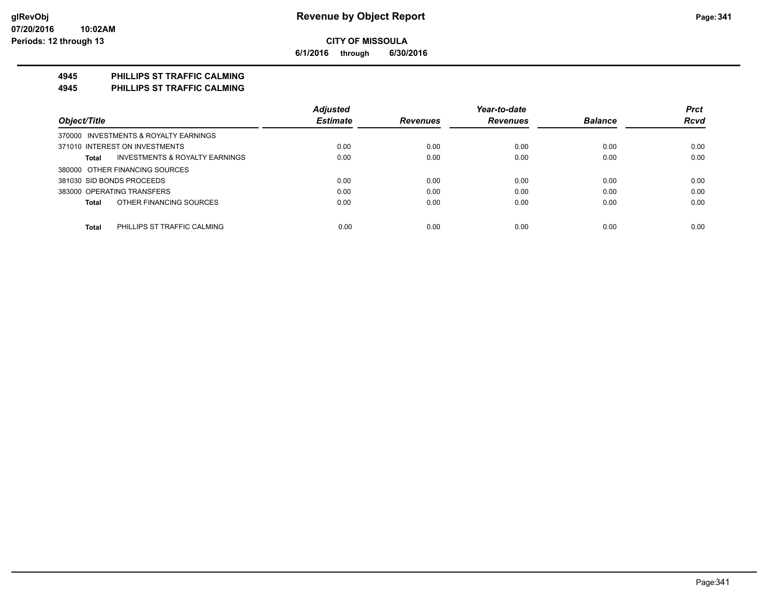**6/1/2016 through 6/30/2016**

#### **4945 PHILLIPS ST TRAFFIC CALMING**

**4945 PHILLIPS ST TRAFFIC CALMING**

|                                                    | <b>Adjusted</b> |                 | Year-to-date    |                | <b>Prct</b> |
|----------------------------------------------------|-----------------|-----------------|-----------------|----------------|-------------|
| Object/Title                                       | <b>Estimate</b> | <b>Revenues</b> | <b>Revenues</b> | <b>Balance</b> | <b>Rcvd</b> |
| 370000 INVESTMENTS & ROYALTY EARNINGS              |                 |                 |                 |                |             |
| 371010 INTEREST ON INVESTMENTS                     | 0.00            | 0.00            | 0.00            | 0.00           | 0.00        |
| <b>INVESTMENTS &amp; ROYALTY EARNINGS</b><br>Total | 0.00            | 0.00            | 0.00            | 0.00           | 0.00        |
| 380000 OTHER FINANCING SOURCES                     |                 |                 |                 |                |             |
| 381030 SID BONDS PROCEEDS                          | 0.00            | 0.00            | 0.00            | 0.00           | 0.00        |
| 383000 OPERATING TRANSFERS                         | 0.00            | 0.00            | 0.00            | 0.00           | 0.00        |
| OTHER FINANCING SOURCES<br><b>Total</b>            | 0.00            | 0.00            | 0.00            | 0.00           | 0.00        |
|                                                    |                 |                 |                 |                |             |
| <b>Total</b><br>PHILLIPS ST TRAFFIC CALMING        | 0.00            | 0.00            | 0.00            | 0.00           | 0.00        |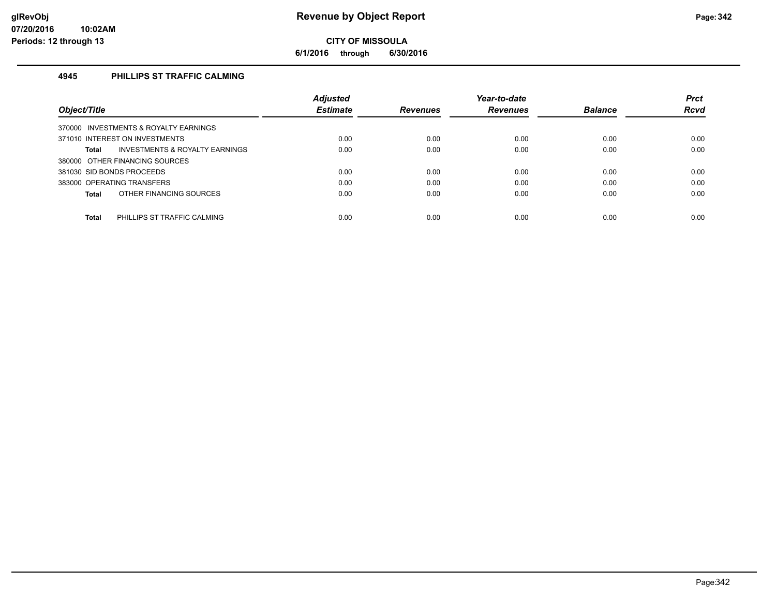**6/1/2016 through 6/30/2016**

#### **4945 PHILLIPS ST TRAFFIC CALMING**

|                                                    | <b>Adjusted</b> |                 | Year-to-date    |                | <b>Prct</b> |
|----------------------------------------------------|-----------------|-----------------|-----------------|----------------|-------------|
| Object/Title                                       | <b>Estimate</b> | <b>Revenues</b> | <b>Revenues</b> | <b>Balance</b> | <b>Rcvd</b> |
| 370000 INVESTMENTS & ROYALTY EARNINGS              |                 |                 |                 |                |             |
| 371010 INTEREST ON INVESTMENTS                     | 0.00            | 0.00            | 0.00            | 0.00           | 0.00        |
| <b>INVESTMENTS &amp; ROYALTY EARNINGS</b><br>Total | 0.00            | 0.00            | 0.00            | 0.00           | 0.00        |
| 380000 OTHER FINANCING SOURCES                     |                 |                 |                 |                |             |
| 381030 SID BONDS PROCEEDS                          | 0.00            | 0.00            | 0.00            | 0.00           | 0.00        |
| 383000 OPERATING TRANSFERS                         | 0.00            | 0.00            | 0.00            | 0.00           | 0.00        |
| OTHER FINANCING SOURCES<br>Total                   | 0.00            | 0.00            | 0.00            | 0.00           | 0.00        |
|                                                    |                 |                 |                 |                |             |
| <b>Total</b><br>PHILLIPS ST TRAFFIC CALMING        | 0.00            | 0.00            | 0.00            | 0.00           | 0.00        |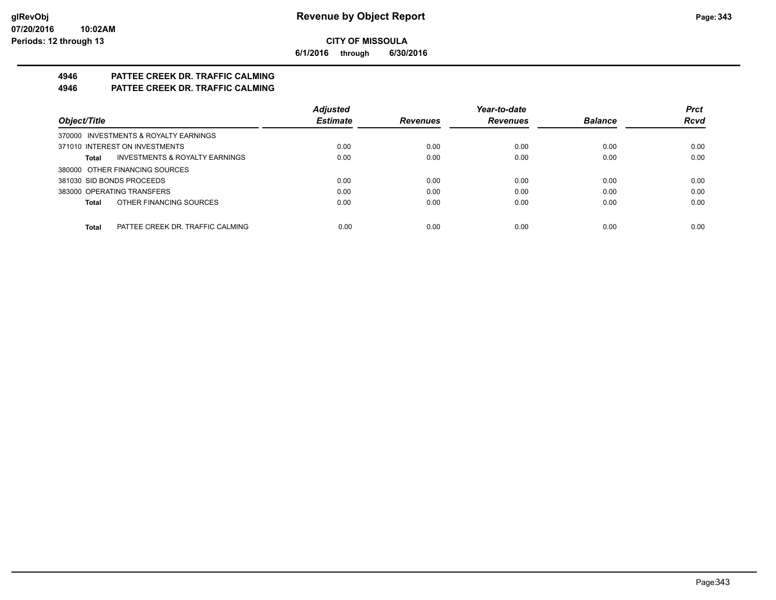**6/1/2016 through 6/30/2016**

# **4946 PATTEE CREEK DR. TRAFFIC CALMING**

# **4946 PATTEE CREEK DR. TRAFFIC CALMING**

|                                           | <b>Adjusted</b> |                 | Year-to-date    |                | <b>Prct</b> |
|-------------------------------------------|-----------------|-----------------|-----------------|----------------|-------------|
| Object/Title                              | <b>Estimate</b> | <b>Revenues</b> | <b>Revenues</b> | <b>Balance</b> | <b>Rcvd</b> |
| 370000 INVESTMENTS & ROYALTY EARNINGS     |                 |                 |                 |                |             |
| 371010 INTEREST ON INVESTMENTS            | 0.00            | 0.00            | 0.00            | 0.00           | 0.00        |
| INVESTMENTS & ROYALTY EARNINGS<br>Total   | 0.00            | 0.00            | 0.00            | 0.00           | 0.00        |
| 380000 OTHER FINANCING SOURCES            |                 |                 |                 |                |             |
| 381030 SID BONDS PROCEEDS                 | 0.00            | 0.00            | 0.00            | 0.00           | 0.00        |
| 383000 OPERATING TRANSFERS                | 0.00            | 0.00            | 0.00            | 0.00           | 0.00        |
| OTHER FINANCING SOURCES<br>Total          | 0.00            | 0.00            | 0.00            | 0.00           | 0.00        |
|                                           |                 |                 |                 |                |             |
| Total<br>PATTEE CREEK DR. TRAFFIC CALMING | 0.00            | 0.00            | 0.00            | 0.00           | 0.00        |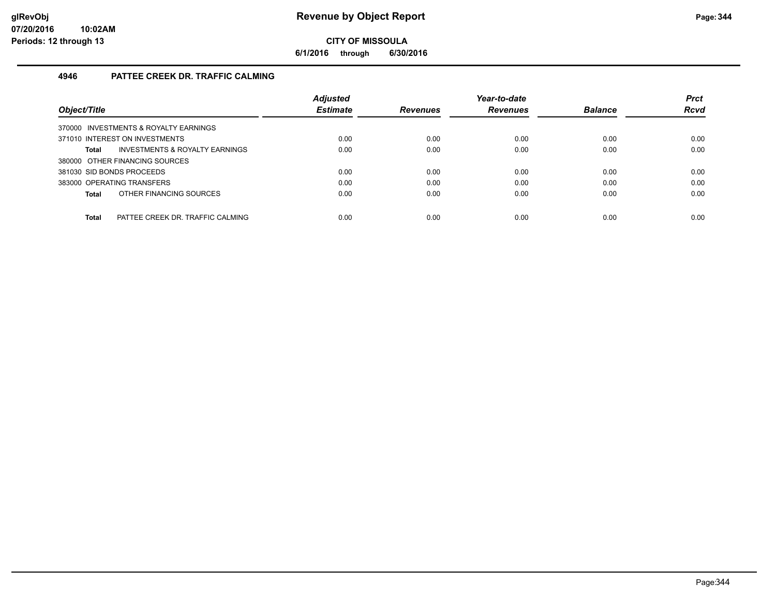**6/1/2016 through 6/30/2016**

#### **4946 PATTEE CREEK DR. TRAFFIC CALMING**

| Object/Title                                     | <b>Adjusted</b><br><b>Estimate</b> | <b>Revenues</b> | Year-to-date<br><b>Revenues</b> | <b>Balance</b> | <b>Prct</b><br><b>Rcvd</b> |
|--------------------------------------------------|------------------------------------|-----------------|---------------------------------|----------------|----------------------------|
| 370000 INVESTMENTS & ROYALTY EARNINGS            |                                    |                 |                                 |                |                            |
| 371010 INTEREST ON INVESTMENTS                   | 0.00                               | 0.00            | 0.00                            | 0.00           | 0.00                       |
| INVESTMENTS & ROYALTY EARNINGS<br><b>Total</b>   | 0.00                               | 0.00            | 0.00                            | 0.00           | 0.00                       |
| 380000 OTHER FINANCING SOURCES                   |                                    |                 |                                 |                |                            |
| 381030 SID BONDS PROCEEDS                        | 0.00                               | 0.00            | 0.00                            | 0.00           | 0.00                       |
| 383000 OPERATING TRANSFERS                       | 0.00                               | 0.00            | 0.00                            | 0.00           | 0.00                       |
| OTHER FINANCING SOURCES<br><b>Total</b>          | 0.00                               | 0.00            | 0.00                            | 0.00           | 0.00                       |
|                                                  |                                    |                 |                                 |                |                            |
| <b>Total</b><br>PATTEE CREEK DR. TRAFFIC CALMING | 0.00                               | 0.00            | 0.00                            | 0.00           | 0.00                       |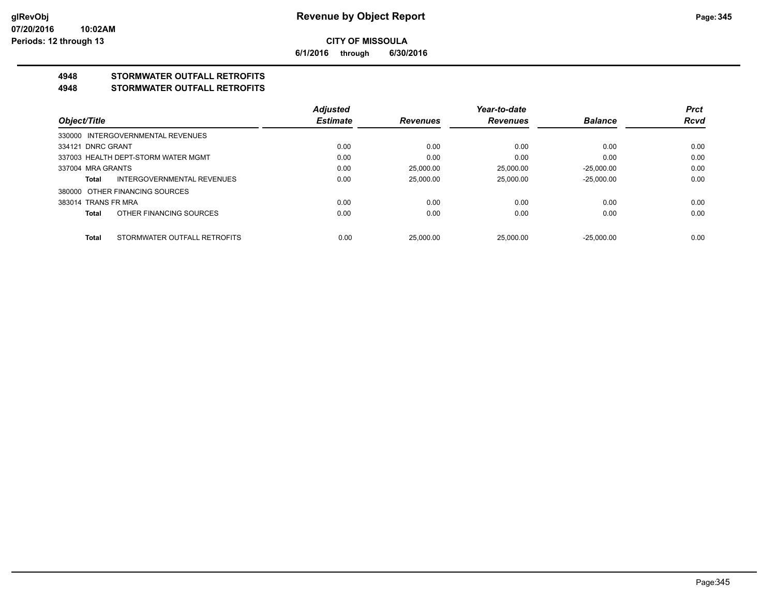**6/1/2016 through 6/30/2016**

# **4948 STORMWATER OUTFALL RETROFITS**

#### **4948 STORMWATER OUTFALL RETROFITS**

|                     |                                     | <b>Adjusted</b> |                 | Year-to-date    |                | <b>Prct</b> |
|---------------------|-------------------------------------|-----------------|-----------------|-----------------|----------------|-------------|
| Object/Title        |                                     | <b>Estimate</b> | <b>Revenues</b> | <b>Revenues</b> | <b>Balance</b> | <b>Rcvd</b> |
|                     | 330000 INTERGOVERNMENTAL REVENUES   |                 |                 |                 |                |             |
| 334121 DNRC GRANT   |                                     | 0.00            | 0.00            | 0.00            | 0.00           | 0.00        |
|                     | 337003 HEALTH DEPT-STORM WATER MGMT | 0.00            | 0.00            | 0.00            | 0.00           | 0.00        |
| 337004 MRA GRANTS   |                                     | 0.00            | 25,000.00       | 25.000.00       | $-25.000.00$   | 0.00        |
| Total               | INTERGOVERNMENTAL REVENUES          | 0.00            | 25.000.00       | 25.000.00       | $-25.000.00$   | 0.00        |
|                     | 380000 OTHER FINANCING SOURCES      |                 |                 |                 |                |             |
| 383014 TRANS FR MRA |                                     | 0.00            | 0.00            | 0.00            | 0.00           | 0.00        |
| Total               | OTHER FINANCING SOURCES             | 0.00            | 0.00            | 0.00            | 0.00           | 0.00        |
|                     |                                     |                 |                 |                 |                |             |
| <b>Total</b>        | STORMWATER OUTFALL RETROFITS        | 0.00            | 25.000.00       | 25.000.00       | $-25.000.00$   | 0.00        |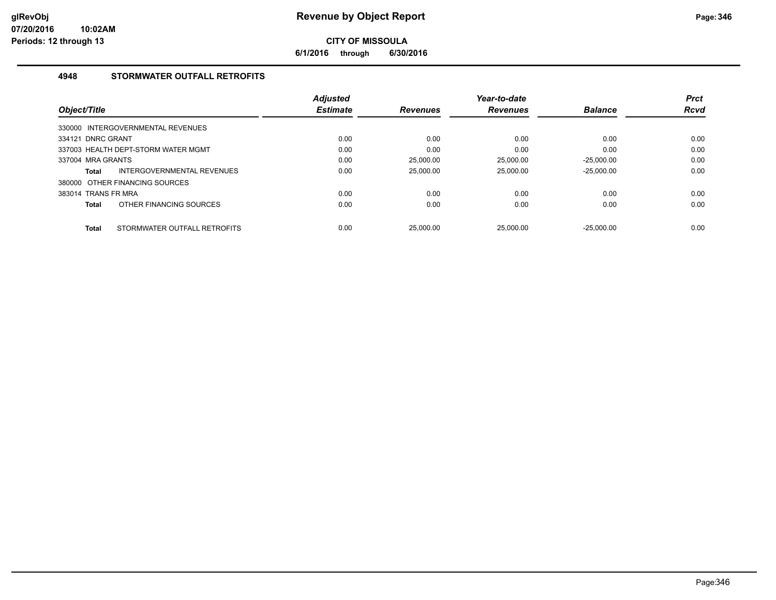**6/1/2016 through 6/30/2016**

### **4948 STORMWATER OUTFALL RETROFITS**

|                     |                                     | <b>Adjusted</b> |                 | Year-to-date    |                | <b>Prct</b> |
|---------------------|-------------------------------------|-----------------|-----------------|-----------------|----------------|-------------|
| Object/Title        |                                     | <b>Estimate</b> | <b>Revenues</b> | <b>Revenues</b> | <b>Balance</b> | <b>Rcvd</b> |
|                     | 330000 INTERGOVERNMENTAL REVENUES   |                 |                 |                 |                |             |
| 334121 DNRC GRANT   |                                     | 0.00            | 0.00            | 0.00            | 0.00           | 0.00        |
|                     | 337003 HEALTH DEPT-STORM WATER MGMT | 0.00            | 0.00            | 0.00            | 0.00           | 0.00        |
| 337004 MRA GRANTS   |                                     | 0.00            | 25.000.00       | 25.000.00       | $-25.000.00$   | 0.00        |
| Total               | INTERGOVERNMENTAL REVENUES          | 0.00            | 25,000.00       | 25.000.00       | $-25.000.00$   | 0.00        |
|                     | 380000 OTHER FINANCING SOURCES      |                 |                 |                 |                |             |
| 383014 TRANS FR MRA |                                     | 0.00            | 0.00            | 0.00            | 0.00           | 0.00        |
| Total               | OTHER FINANCING SOURCES             | 0.00            | 0.00            | 0.00            | 0.00           | 0.00        |
| <b>Total</b>        | STORMWATER OUTFALL RETROFITS        | 0.00            | 25.000.00       | 25.000.00       | $-25.000.00$   | 0.00        |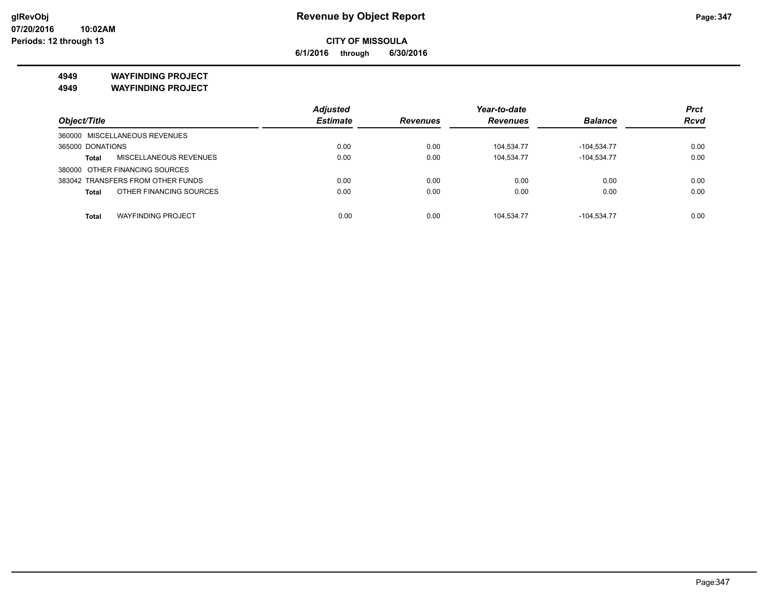**6/1/2016 through 6/30/2016**

**4949 WAYFINDING PROJECT**

| <b>WAYFINDING PROJECT</b><br>4949 |
|-----------------------------------|
|-----------------------------------|

|                                           | <b>Adjusted</b> |                 | Year-to-date    |                | <b>Prct</b> |
|-------------------------------------------|-----------------|-----------------|-----------------|----------------|-------------|
| Object/Title                              | <b>Estimate</b> | <b>Revenues</b> | <b>Revenues</b> | <b>Balance</b> | <b>Rcvd</b> |
| MISCELLANEOUS REVENUES<br>360000          |                 |                 |                 |                |             |
| 365000 DONATIONS                          | 0.00            | 0.00            | 104,534.77      | $-104,534.77$  | 0.00        |
| MISCELLANEOUS REVENUES<br>Total           | 0.00            | 0.00            | 104.534.77      | $-104.534.77$  | 0.00        |
| 380000 OTHER FINANCING SOURCES            |                 |                 |                 |                |             |
| 383042 TRANSFERS FROM OTHER FUNDS         | 0.00            | 0.00            | 0.00            | 0.00           | 0.00        |
| OTHER FINANCING SOURCES<br><b>Total</b>   | 0.00            | 0.00            | 0.00            | 0.00           | 0.00        |
| <b>WAYFINDING PROJECT</b><br><b>Total</b> | 0.00            | 0.00            | 104.534.77      | $-104.534.77$  | 0.00        |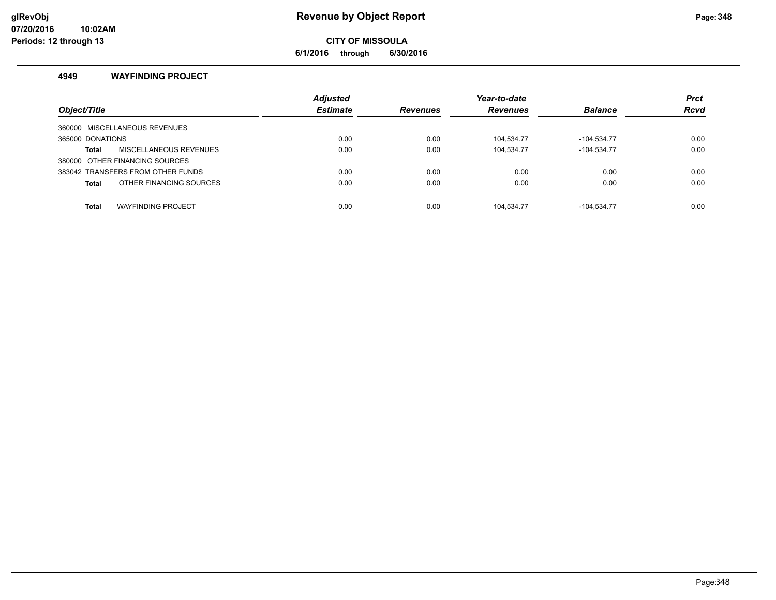#### **glRevObj Revenue by Object Report Page:348**

**CITY OF MISSOULA**

**6/1/2016 through 6/30/2016**

#### **4949 WAYFINDING PROJECT**

| Object/Title                              | <b>Adjusted</b><br><b>Estimate</b> | <b>Revenues</b> | Year-to-date<br><b>Revenues</b> | <b>Balance</b> | <b>Prct</b><br><b>Rcvd</b> |
|-------------------------------------------|------------------------------------|-----------------|---------------------------------|----------------|----------------------------|
| 360000 MISCELLANEOUS REVENUES             |                                    |                 |                                 |                |                            |
| 365000 DONATIONS                          | 0.00                               | 0.00            | 104.534.77                      | -104.534.77    | 0.00                       |
| MISCELLANEOUS REVENUES<br>Total           | 0.00                               | 0.00            | 104,534.77                      | $-104.534.77$  | 0.00                       |
| 380000 OTHER FINANCING SOURCES            |                                    |                 |                                 |                |                            |
| 383042 TRANSFERS FROM OTHER FUNDS         | 0.00                               | 0.00            | 0.00                            | 0.00           | 0.00                       |
| OTHER FINANCING SOURCES<br><b>Total</b>   | 0.00                               | 0.00            | 0.00                            | 0.00           | 0.00                       |
|                                           |                                    |                 |                                 |                |                            |
| <b>WAYFINDING PROJECT</b><br><b>Total</b> | 0.00                               | 0.00            | 104.534.77                      | $-104.534.77$  | 0.00                       |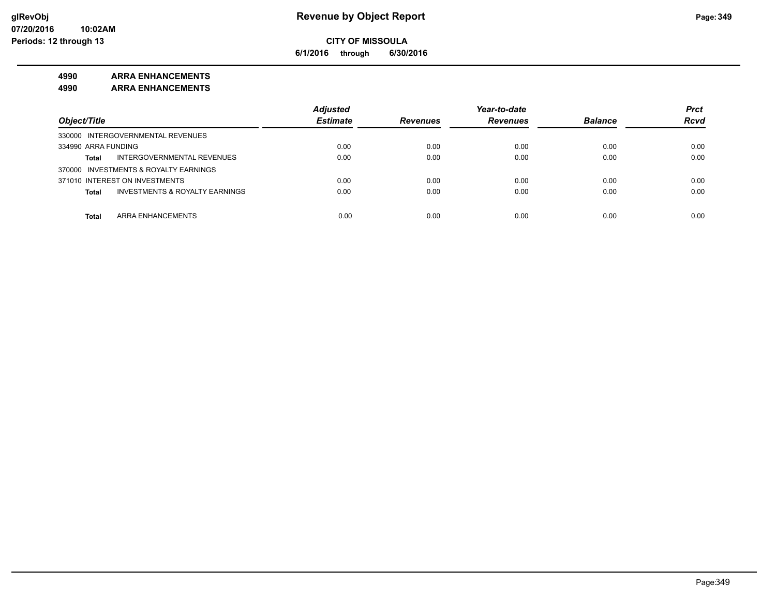**6/1/2016 through 6/30/2016**

#### **4990 ARRA ENHANCEMENTS**

**4990 ARRA ENHANCEMENTS**

|                                                           | <b>Adjusted</b> |                 | Year-to-date    |                | <b>Prct</b> |
|-----------------------------------------------------------|-----------------|-----------------|-----------------|----------------|-------------|
| Object/Title                                              | <b>Estimate</b> | <b>Revenues</b> | <b>Revenues</b> | <b>Balance</b> | <b>Rcvd</b> |
| 330000 INTERGOVERNMENTAL REVENUES                         |                 |                 |                 |                |             |
| 334990 ARRA FUNDING                                       | 0.00            | 0.00            | 0.00            | 0.00           | 0.00        |
| INTERGOVERNMENTAL REVENUES<br><b>Total</b>                | 0.00            | 0.00            | 0.00            | 0.00           | 0.00        |
| 370000 INVESTMENTS & ROYALTY EARNINGS                     |                 |                 |                 |                |             |
| 371010 INTEREST ON INVESTMENTS                            | 0.00            | 0.00            | 0.00            | 0.00           | 0.00        |
| <b>INVESTMENTS &amp; ROYALTY EARNINGS</b><br><b>Total</b> | 0.00            | 0.00            | 0.00            | 0.00           | 0.00        |
|                                                           |                 |                 |                 |                |             |
| ARRA ENHANCEMENTS<br><b>Total</b>                         | 0.00            | 0.00            | 0.00            | 0.00           | 0.00        |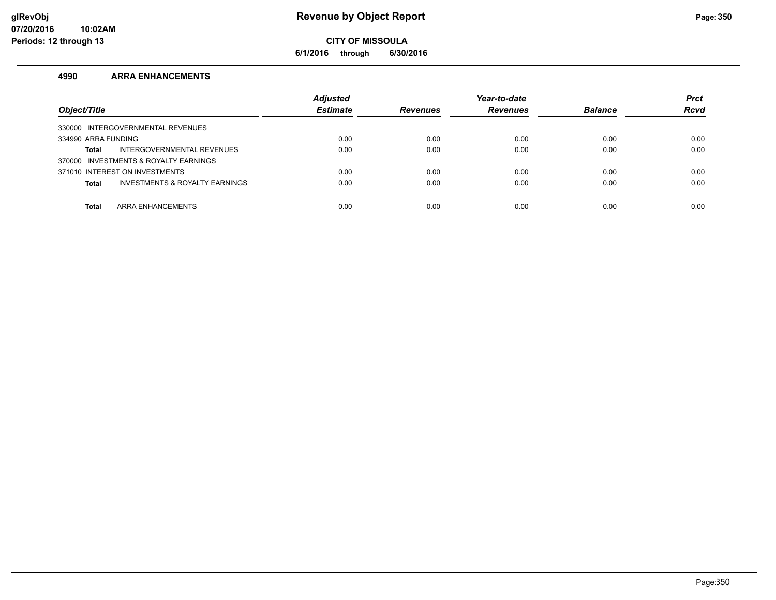**6/1/2016 through 6/30/2016**

#### **4990 ARRA ENHANCEMENTS**

| Object/Title                                   | <b>Adjusted</b><br><b>Estimate</b> | <b>Revenues</b> | Year-to-date<br><b>Revenues</b> | <b>Balance</b> | <b>Prct</b><br><b>Rcvd</b> |
|------------------------------------------------|------------------------------------|-----------------|---------------------------------|----------------|----------------------------|
| 330000 INTERGOVERNMENTAL REVENUES              |                                    |                 |                                 |                |                            |
| 334990 ARRA FUNDING                            | 0.00                               | 0.00            | 0.00                            | 0.00           | 0.00                       |
| INTERGOVERNMENTAL REVENUES<br>Total            | 0.00                               | 0.00            | 0.00                            | 0.00           | 0.00                       |
| 370000 INVESTMENTS & ROYALTY EARNINGS          |                                    |                 |                                 |                |                            |
| 371010 INTEREST ON INVESTMENTS                 | 0.00                               | 0.00            | 0.00                            | 0.00           | 0.00                       |
| INVESTMENTS & ROYALTY EARNINGS<br><b>Total</b> | 0.00                               | 0.00            | 0.00                            | 0.00           | 0.00                       |
|                                                |                                    |                 |                                 |                |                            |
| ARRA ENHANCEMENTS<br><b>Total</b>              | 0.00                               | 0.00            | 0.00                            | 0.00           | 0.00                       |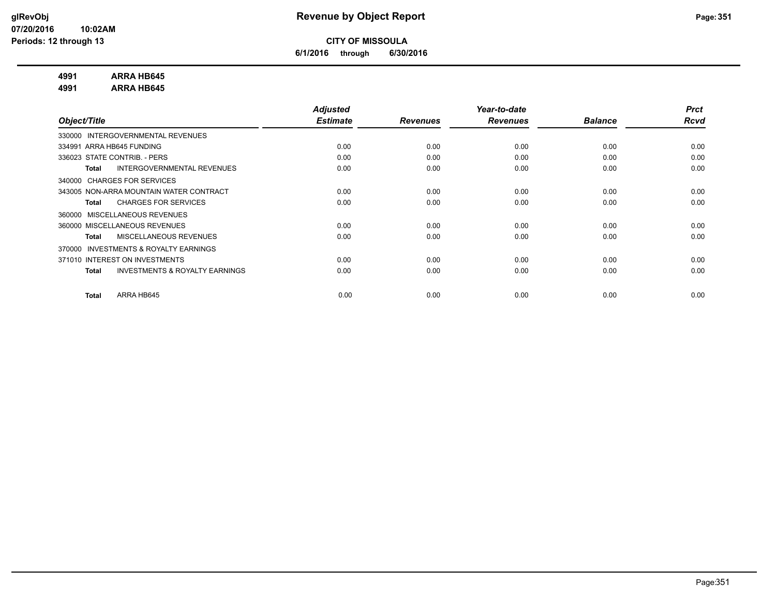**6/1/2016 through 6/30/2016**

#### **4991 ARRA HB645**

**4991 ARRA HB645**

|                                                           | <b>Adjusted</b> |                 | Year-to-date    |                | <b>Prct</b> |
|-----------------------------------------------------------|-----------------|-----------------|-----------------|----------------|-------------|
| Object/Title                                              | <b>Estimate</b> | <b>Revenues</b> | <b>Revenues</b> | <b>Balance</b> | Rcvd        |
| INTERGOVERNMENTAL REVENUES<br>330000                      |                 |                 |                 |                |             |
| 334991 ARRA HB645 FUNDING                                 | 0.00            | 0.00            | 0.00            | 0.00           | 0.00        |
| 336023 STATE CONTRIB. - PERS                              | 0.00            | 0.00            | 0.00            | 0.00           | 0.00        |
| INTERGOVERNMENTAL REVENUES<br><b>Total</b>                | 0.00            | 0.00            | 0.00            | 0.00           | 0.00        |
| <b>CHARGES FOR SERVICES</b><br>340000                     |                 |                 |                 |                |             |
| 343005 NON-ARRA MOUNTAIN WATER CONTRACT                   | 0.00            | 0.00            | 0.00            | 0.00           | 0.00        |
| <b>CHARGES FOR SERVICES</b><br><b>Total</b>               | 0.00            | 0.00            | 0.00            | 0.00           | 0.00        |
| MISCELLANEOUS REVENUES<br>360000                          |                 |                 |                 |                |             |
| 360000 MISCELLANEOUS REVENUES                             | 0.00            | 0.00            | 0.00            | 0.00           | 0.00        |
| MISCELLANEOUS REVENUES<br><b>Total</b>                    | 0.00            | 0.00            | 0.00            | 0.00           | 0.00        |
| <b>INVESTMENTS &amp; ROYALTY EARNINGS</b><br>370000       |                 |                 |                 |                |             |
| 371010 INTEREST ON INVESTMENTS                            | 0.00            | 0.00            | 0.00            | 0.00           | 0.00        |
| <b>INVESTMENTS &amp; ROYALTY EARNINGS</b><br><b>Total</b> | 0.00            | 0.00            | 0.00            | 0.00           | 0.00        |
|                                                           |                 |                 |                 |                |             |
| ARRA HB645<br><b>Total</b>                                | 0.00            | 0.00            | 0.00            | 0.00           | 0.00        |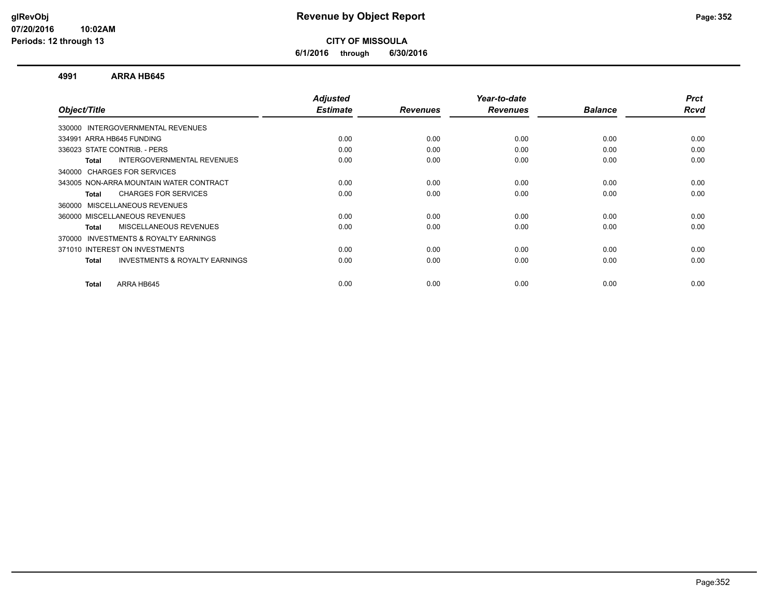**6/1/2016 through 6/30/2016**

#### **4991 ARRA HB645**

| Object/Title                                              | <b>Adjusted</b><br><b>Estimate</b> | <b>Revenues</b> | Year-to-date<br><b>Revenues</b> | <b>Balance</b> | <b>Prct</b><br><b>Rcvd</b> |
|-----------------------------------------------------------|------------------------------------|-----------------|---------------------------------|----------------|----------------------------|
| 330000 INTERGOVERNMENTAL REVENUES                         |                                    |                 |                                 |                |                            |
| 334991 ARRA HB645 FUNDING                                 | 0.00                               | 0.00            | 0.00                            | 0.00           | 0.00                       |
| 336023 STATE CONTRIB. - PERS                              | 0.00                               | 0.00            | 0.00                            | 0.00           | 0.00                       |
| <b>INTERGOVERNMENTAL REVENUES</b><br>Total                | 0.00                               | 0.00            | 0.00                            | 0.00           | 0.00                       |
| 340000 CHARGES FOR SERVICES                               |                                    |                 |                                 |                |                            |
| 343005 NON-ARRA MOUNTAIN WATER CONTRACT                   | 0.00                               | 0.00            | 0.00                            | 0.00           | 0.00                       |
| <b>CHARGES FOR SERVICES</b><br><b>Total</b>               | 0.00                               | 0.00            | 0.00                            | 0.00           | 0.00                       |
| 360000 MISCELLANEOUS REVENUES                             |                                    |                 |                                 |                |                            |
| 360000 MISCELLANEOUS REVENUES                             | 0.00                               | 0.00            | 0.00                            | 0.00           | 0.00                       |
| <b>MISCELLANEOUS REVENUES</b><br>Total                    | 0.00                               | 0.00            | 0.00                            | 0.00           | 0.00                       |
| 370000 INVESTMENTS & ROYALTY EARNINGS                     |                                    |                 |                                 |                |                            |
| 371010 INTEREST ON INVESTMENTS                            | 0.00                               | 0.00            | 0.00                            | 0.00           | 0.00                       |
| <b>INVESTMENTS &amp; ROYALTY EARNINGS</b><br><b>Total</b> | 0.00                               | 0.00            | 0.00                            | 0.00           | 0.00                       |
| ARRA HB645<br><b>Total</b>                                | 0.00                               | 0.00            | 0.00                            | 0.00           | 0.00                       |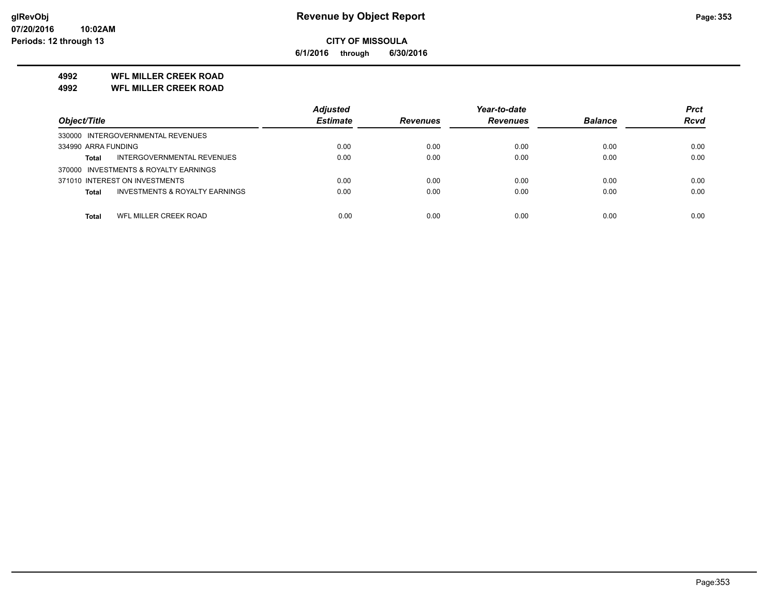**6/1/2016 through 6/30/2016**

### **4992 WFL MILLER CREEK ROAD**

**4992 WFL MILLER CREEK ROAD**

|                     |                                           | <b>Adjusted</b> |                 | Year-to-date    |                | <b>Prct</b> |
|---------------------|-------------------------------------------|-----------------|-----------------|-----------------|----------------|-------------|
| Object/Title        |                                           | <b>Estimate</b> | <b>Revenues</b> | <b>Revenues</b> | <b>Balance</b> | <b>Rcvd</b> |
|                     | 330000 INTERGOVERNMENTAL REVENUES         |                 |                 |                 |                |             |
| 334990 ARRA FUNDING |                                           | 0.00            | 0.00            | 0.00            | 0.00           | 0.00        |
| Total               | INTERGOVERNMENTAL REVENUES                | 0.00            | 0.00            | 0.00            | 0.00           | 0.00        |
|                     | 370000 INVESTMENTS & ROYALTY EARNINGS     |                 |                 |                 |                |             |
|                     | 371010 INTEREST ON INVESTMENTS            | 0.00            | 0.00            | 0.00            | 0.00           | 0.00        |
| Total               | <b>INVESTMENTS &amp; ROYALTY EARNINGS</b> | 0.00            | 0.00            | 0.00            | 0.00           | 0.00        |
| Total               | WFL MILLER CREEK ROAD                     | 0.00            | 0.00            | 0.00            | 0.00           | 0.00        |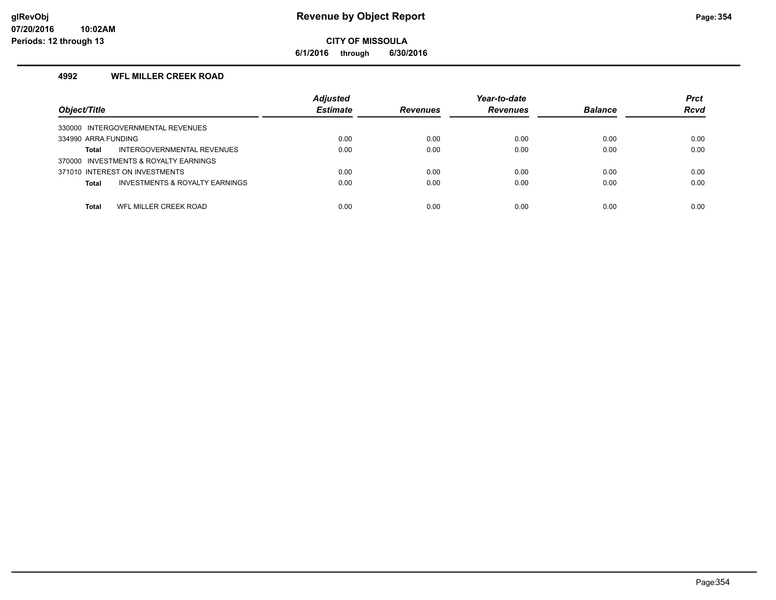**6/1/2016 through 6/30/2016**

#### **4992 WFL MILLER CREEK ROAD**

| Object/Title                                              | <b>Adjusted</b><br><b>Estimate</b> | <b>Revenues</b> | Year-to-date<br><b>Revenues</b> | <b>Balance</b> | <b>Prct</b><br><b>Rcvd</b> |
|-----------------------------------------------------------|------------------------------------|-----------------|---------------------------------|----------------|----------------------------|
| 330000 INTERGOVERNMENTAL REVENUES                         |                                    |                 |                                 |                |                            |
| 334990 ARRA FUNDING                                       | 0.00                               | 0.00            | 0.00                            | 0.00           | 0.00                       |
| INTERGOVERNMENTAL REVENUES<br>Total                       | 0.00                               | 0.00            | 0.00                            | 0.00           | 0.00                       |
| 370000 INVESTMENTS & ROYALTY EARNINGS                     |                                    |                 |                                 |                |                            |
| 371010 INTEREST ON INVESTMENTS                            | 0.00                               | 0.00            | 0.00                            | 0.00           | 0.00                       |
| <b>INVESTMENTS &amp; ROYALTY EARNINGS</b><br><b>Total</b> | 0.00                               | 0.00            | 0.00                            | 0.00           | 0.00                       |
|                                                           |                                    |                 |                                 |                |                            |
| WFL MILLER CREEK ROAD<br>Total                            | 0.00                               | 0.00            | 0.00                            | 0.00           | 0.00                       |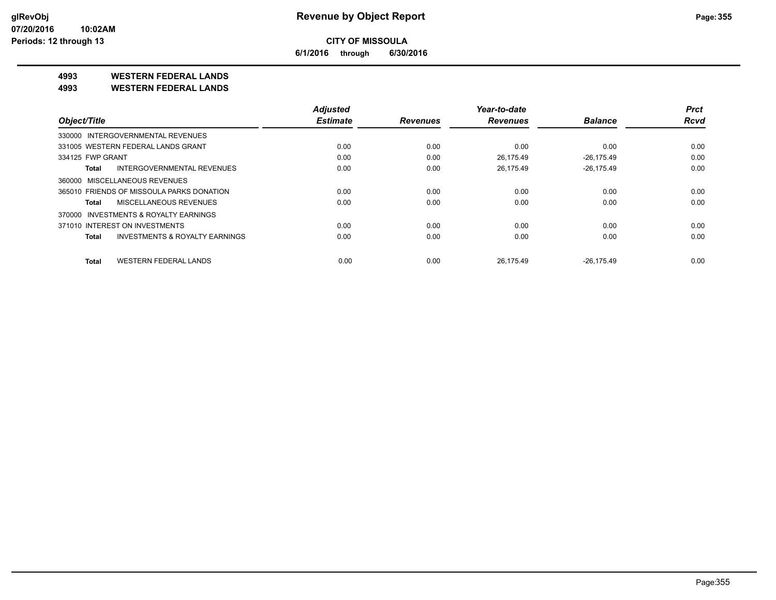**6/1/2016 through 6/30/2016**

**4993 WESTERN FEDERAL LANDS**

**4993 WESTERN FEDERAL LANDS**

|                                                           | <b>Adjusted</b> |                 | Year-to-date    |                | <b>Prct</b> |
|-----------------------------------------------------------|-----------------|-----------------|-----------------|----------------|-------------|
| Object/Title                                              | <b>Estimate</b> | <b>Revenues</b> | <b>Revenues</b> | <b>Balance</b> | <b>Rcvd</b> |
| 330000 INTERGOVERNMENTAL REVENUES                         |                 |                 |                 |                |             |
| 331005 WESTERN FEDERAL LANDS GRANT                        | 0.00            | 0.00            | 0.00            | 0.00           | 0.00        |
| 334125 FWP GRANT                                          | 0.00            | 0.00            | 26.175.49       | $-26.175.49$   | 0.00        |
| <b>INTERGOVERNMENTAL REVENUES</b><br>Total                | 0.00            | 0.00            | 26,175.49       | $-26,175.49$   | 0.00        |
| 360000 MISCELLANEOUS REVENUES                             |                 |                 |                 |                |             |
| 365010 FRIENDS OF MISSOULA PARKS DONATION                 | 0.00            | 0.00            | 0.00            | 0.00           | 0.00        |
| MISCELLANEOUS REVENUES<br>Total                           | 0.00            | 0.00            | 0.00            | 0.00           | 0.00        |
| 370000 INVESTMENTS & ROYALTY EARNINGS                     |                 |                 |                 |                |             |
| 371010 INTEREST ON INVESTMENTS                            | 0.00            | 0.00            | 0.00            | 0.00           | 0.00        |
| <b>INVESTMENTS &amp; ROYALTY EARNINGS</b><br><b>Total</b> | 0.00            | 0.00            | 0.00            | 0.00           | 0.00        |
| <b>WESTERN FEDERAL LANDS</b><br><b>Total</b>              | 0.00            | 0.00            | 26.175.49       | $-26.175.49$   | 0.00        |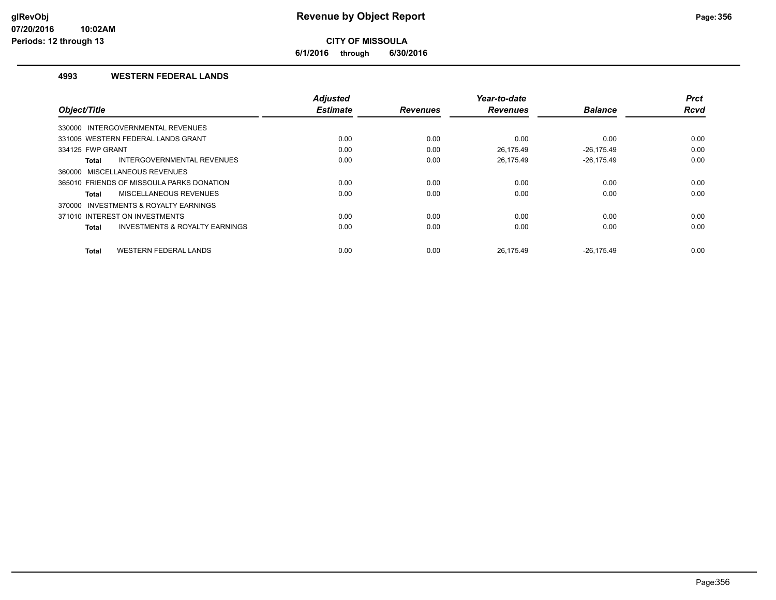**6/1/2016 through 6/30/2016**

#### **4993 WESTERN FEDERAL LANDS**

|                                                           | <b>Adjusted</b> |                 | Year-to-date    |                | <b>Prct</b> |
|-----------------------------------------------------------|-----------------|-----------------|-----------------|----------------|-------------|
| Object/Title                                              | <b>Estimate</b> | <b>Revenues</b> | <b>Revenues</b> | <b>Balance</b> | <b>Rcvd</b> |
| 330000 INTERGOVERNMENTAL REVENUES                         |                 |                 |                 |                |             |
| 331005 WESTERN FEDERAL LANDS GRANT                        | 0.00            | 0.00            | 0.00            | 0.00           | 0.00        |
| 334125 FWP GRANT                                          | 0.00            | 0.00            | 26.175.49       | $-26.175.49$   | 0.00        |
| INTERGOVERNMENTAL REVENUES<br><b>Total</b>                | 0.00            | 0.00            | 26,175.49       | $-26,175.49$   | 0.00        |
| MISCELLANEOUS REVENUES<br>360000                          |                 |                 |                 |                |             |
| 365010 FRIENDS OF MISSOULA PARKS DONATION                 | 0.00            | 0.00            | 0.00            | 0.00           | 0.00        |
| MISCELLANEOUS REVENUES<br>Total                           | 0.00            | 0.00            | 0.00            | 0.00           | 0.00        |
| 370000 INVESTMENTS & ROYALTY EARNINGS                     |                 |                 |                 |                |             |
| 371010 INTEREST ON INVESTMENTS                            | 0.00            | 0.00            | 0.00            | 0.00           | 0.00        |
| <b>INVESTMENTS &amp; ROYALTY EARNINGS</b><br><b>Total</b> | 0.00            | 0.00            | 0.00            | 0.00           | 0.00        |
|                                                           |                 |                 |                 |                |             |
| <b>WESTERN FEDERAL LANDS</b><br><b>Total</b>              | 0.00            | 0.00            | 26.175.49       | $-26.175.49$   | 0.00        |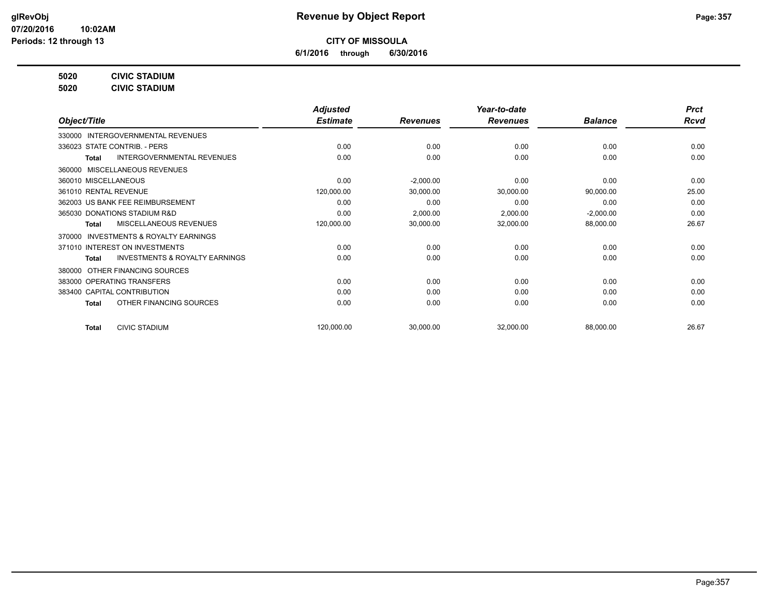**6/1/2016 through 6/30/2016**

**5020 CIVIC STADIUM**

**5020 CIVIC STADIUM**

|                                                           | <b>Adjusted</b> |                 | Year-to-date    |                | <b>Prct</b> |
|-----------------------------------------------------------|-----------------|-----------------|-----------------|----------------|-------------|
| Object/Title                                              | <b>Estimate</b> | <b>Revenues</b> | <b>Revenues</b> | <b>Balance</b> | <b>Rcvd</b> |
| INTERGOVERNMENTAL REVENUES<br>330000                      |                 |                 |                 |                |             |
| 336023 STATE CONTRIB. - PERS                              | 0.00            | 0.00            | 0.00            | 0.00           | 0.00        |
| <b>INTERGOVERNMENTAL REVENUES</b><br><b>Total</b>         | 0.00            | 0.00            | 0.00            | 0.00           | 0.00        |
| MISCELLANEOUS REVENUES<br>360000                          |                 |                 |                 |                |             |
| 360010 MISCELLANEOUS                                      | 0.00            | $-2,000.00$     | 0.00            | 0.00           | 0.00        |
| 361010 RENTAL REVENUE                                     | 120,000.00      | 30,000.00       | 30,000.00       | 90,000.00      | 25.00       |
| 362003 US BANK FEE REIMBURSEMENT                          | 0.00            | 0.00            | 0.00            | 0.00           | 0.00        |
| 365030 DONATIONS STADIUM R&D                              | 0.00            | 2,000.00        | 2,000.00        | $-2,000.00$    | 0.00        |
| MISCELLANEOUS REVENUES<br><b>Total</b>                    | 120,000.00      | 30,000.00       | 32,000.00       | 88,000.00      | 26.67       |
| <b>INVESTMENTS &amp; ROYALTY EARNINGS</b><br>370000       |                 |                 |                 |                |             |
| 371010 INTEREST ON INVESTMENTS                            | 0.00            | 0.00            | 0.00            | 0.00           | 0.00        |
| <b>INVESTMENTS &amp; ROYALTY EARNINGS</b><br><b>Total</b> | 0.00            | 0.00            | 0.00            | 0.00           | 0.00        |
| OTHER FINANCING SOURCES<br>380000                         |                 |                 |                 |                |             |
| 383000 OPERATING TRANSFERS                                | 0.00            | 0.00            | 0.00            | 0.00           | 0.00        |
| 383400 CAPITAL CONTRIBUTION                               | 0.00            | 0.00            | 0.00            | 0.00           | 0.00        |
| OTHER FINANCING SOURCES<br><b>Total</b>                   | 0.00            | 0.00            | 0.00            | 0.00           | 0.00        |
| <b>CIVIC STADIUM</b><br><b>Total</b>                      | 120,000.00      | 30,000.00       | 32,000.00       | 88,000.00      | 26.67       |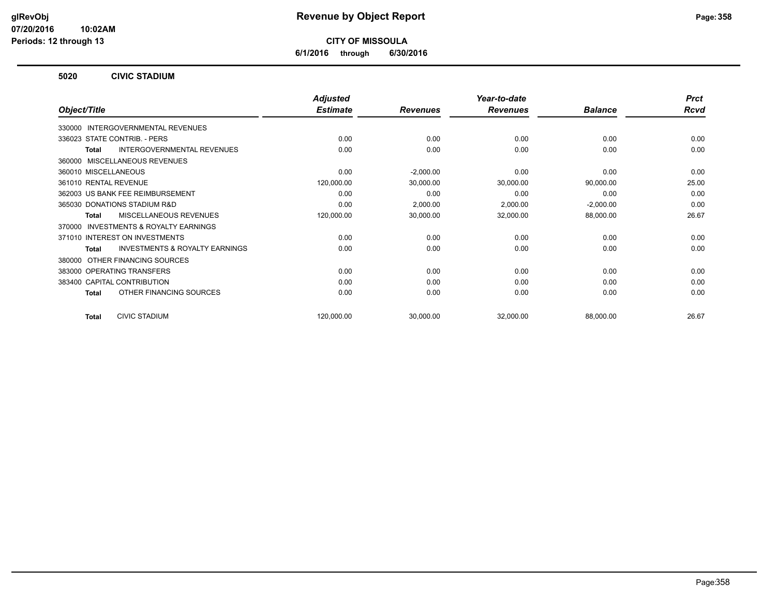**6/1/2016 through 6/30/2016**

#### **5020 CIVIC STADIUM**

|                                                           | <b>Adjusted</b> |                 | Year-to-date    |                | <b>Prct</b> |
|-----------------------------------------------------------|-----------------|-----------------|-----------------|----------------|-------------|
| Object/Title                                              | <b>Estimate</b> | <b>Revenues</b> | <b>Revenues</b> | <b>Balance</b> | <b>Rcvd</b> |
| INTERGOVERNMENTAL REVENUES<br>330000                      |                 |                 |                 |                |             |
| 336023 STATE CONTRIB. - PERS                              | 0.00            | 0.00            | 0.00            | 0.00           | 0.00        |
| <b>INTERGOVERNMENTAL REVENUES</b><br><b>Total</b>         | 0.00            | 0.00            | 0.00            | 0.00           | 0.00        |
| MISCELLANEOUS REVENUES<br>360000                          |                 |                 |                 |                |             |
| 360010 MISCELLANEOUS                                      | 0.00            | $-2,000.00$     | 0.00            | 0.00           | 0.00        |
| 361010 RENTAL REVENUE                                     | 120,000.00      | 30,000.00       | 30,000.00       | 90,000.00      | 25.00       |
| 362003 US BANK FEE REIMBURSEMENT                          | 0.00            | 0.00            | 0.00            | 0.00           | 0.00        |
| 365030 DONATIONS STADIUM R&D                              | 0.00            | 2,000.00        | 2,000.00        | $-2,000.00$    | 0.00        |
| MISCELLANEOUS REVENUES<br><b>Total</b>                    | 120,000.00      | 30,000.00       | 32,000.00       | 88,000.00      | 26.67       |
| <b>INVESTMENTS &amp; ROYALTY EARNINGS</b><br>370000       |                 |                 |                 |                |             |
| 371010 INTEREST ON INVESTMENTS                            | 0.00            | 0.00            | 0.00            | 0.00           | 0.00        |
| <b>INVESTMENTS &amp; ROYALTY EARNINGS</b><br><b>Total</b> | 0.00            | 0.00            | 0.00            | 0.00           | 0.00        |
| OTHER FINANCING SOURCES<br>380000                         |                 |                 |                 |                |             |
| 383000 OPERATING TRANSFERS                                | 0.00            | 0.00            | 0.00            | 0.00           | 0.00        |
| 383400 CAPITAL CONTRIBUTION                               | 0.00            | 0.00            | 0.00            | 0.00           | 0.00        |
| OTHER FINANCING SOURCES<br><b>Total</b>                   | 0.00            | 0.00            | 0.00            | 0.00           | 0.00        |
| <b>CIVIC STADIUM</b><br><b>Total</b>                      | 120,000.00      | 30,000.00       | 32,000.00       | 88,000.00      | 26.67       |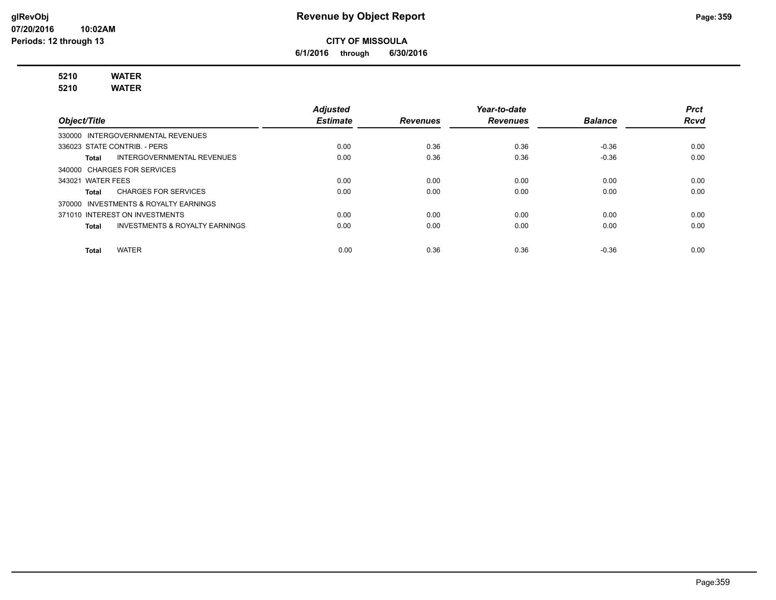**6/1/2016 through 6/30/2016**

# **5210 WATER**

**5210 WATER**

|                                                    | <b>Adjusted</b> |                 | Year-to-date    |                | <b>Prct</b> |
|----------------------------------------------------|-----------------|-----------------|-----------------|----------------|-------------|
| Object/Title                                       | <b>Estimate</b> | <b>Revenues</b> | <b>Revenues</b> | <b>Balance</b> | <b>Rcvd</b> |
| 330000 INTERGOVERNMENTAL REVENUES                  |                 |                 |                 |                |             |
| 336023 STATE CONTRIB. - PERS                       | 0.00            | 0.36            | 0.36            | $-0.36$        | 0.00        |
| <b>INTERGOVERNMENTAL REVENUES</b><br>Total         | 0.00            | 0.36            | 0.36            | $-0.36$        | 0.00        |
| 340000 CHARGES FOR SERVICES                        |                 |                 |                 |                |             |
| 343021 WATER FEES                                  | 0.00            | 0.00            | 0.00            | 0.00           | 0.00        |
| <b>CHARGES FOR SERVICES</b><br>Total               | 0.00            | 0.00            | 0.00            | 0.00           | 0.00        |
| 370000 INVESTMENTS & ROYALTY EARNINGS              |                 |                 |                 |                |             |
| 371010 INTEREST ON INVESTMENTS                     | 0.00            | 0.00            | 0.00            | 0.00           | 0.00        |
| <b>INVESTMENTS &amp; ROYALTY EARNINGS</b><br>Total | 0.00            | 0.00            | 0.00            | 0.00           | 0.00        |
|                                                    |                 |                 |                 |                |             |
| <b>WATER</b><br><b>Total</b>                       | 0.00            | 0.36            | 0.36            | $-0.36$        | 0.00        |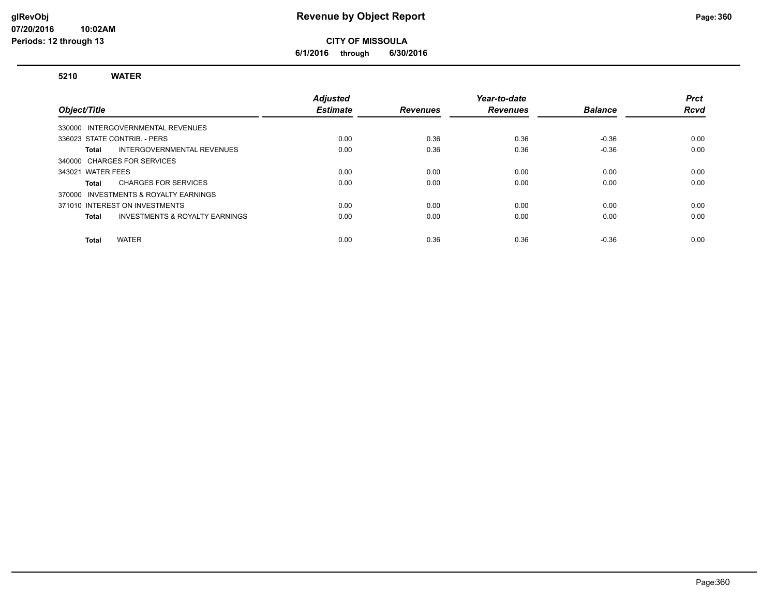# **glRevObj Revenue by Object Report Page:360**

### **CITY OF MISSOULA**

**6/1/2016 through 6/30/2016**

#### **5210 WATER**

| Object/Title                                       | Adjusted<br><b>Estimate</b> | <b>Revenues</b> | Year-to-date<br><b>Revenues</b> | <b>Balance</b> | <b>Prct</b><br><b>Rcvd</b> |
|----------------------------------------------------|-----------------------------|-----------------|---------------------------------|----------------|----------------------------|
| 330000 INTERGOVERNMENTAL REVENUES                  |                             |                 |                                 |                |                            |
| 336023 STATE CONTRIB. - PERS                       | 0.00                        | 0.36            | 0.36                            | $-0.36$        | 0.00                       |
| <b>INTERGOVERNMENTAL REVENUES</b><br>Total         | 0.00                        | 0.36            | 0.36                            | $-0.36$        | 0.00                       |
| 340000 CHARGES FOR SERVICES                        |                             |                 |                                 |                |                            |
| 343021 WATER FEES                                  | 0.00                        | 0.00            | 0.00                            | 0.00           | 0.00                       |
| <b>CHARGES FOR SERVICES</b><br>Total               | 0.00                        | 0.00            | 0.00                            | 0.00           | 0.00                       |
| 370000 INVESTMENTS & ROYALTY EARNINGS              |                             |                 |                                 |                |                            |
| 371010 INTEREST ON INVESTMENTS                     | 0.00                        | 0.00            | 0.00                            | 0.00           | 0.00                       |
| <b>INVESTMENTS &amp; ROYALTY EARNINGS</b><br>Total | 0.00                        | 0.00            | 0.00                            | 0.00           | 0.00                       |
|                                                    |                             |                 |                                 |                |                            |
| <b>WATER</b><br>Total                              | 0.00                        | 0.36            | 0.36                            | $-0.36$        | 0.00                       |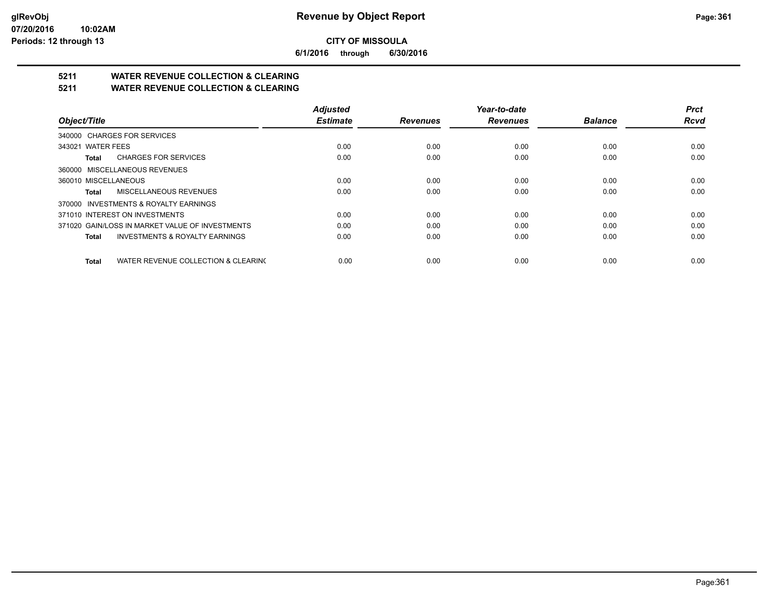**6/1/2016 through 6/30/2016**

## **5211 WATER REVENUE COLLECTION & CLEARING**

**5211 WATER REVENUE COLLECTION & CLEARING**

|                                                     | <b>Adjusted</b> |                 | Year-to-date    |                | <b>Prct</b> |
|-----------------------------------------------------|-----------------|-----------------|-----------------|----------------|-------------|
| Object/Title                                        | <b>Estimate</b> | <b>Revenues</b> | <b>Revenues</b> | <b>Balance</b> | Rcvd        |
| 340000 CHARGES FOR SERVICES                         |                 |                 |                 |                |             |
| 343021 WATER FEES                                   | 0.00            | 0.00            | 0.00            | 0.00           | 0.00        |
| <b>CHARGES FOR SERVICES</b><br>Total                | 0.00            | 0.00            | 0.00            | 0.00           | 0.00        |
| 360000 MISCELLANEOUS REVENUES                       |                 |                 |                 |                |             |
| 360010 MISCELLANEOUS                                | 0.00            | 0.00            | 0.00            | 0.00           | 0.00        |
| MISCELLANEOUS REVENUES<br>Total                     | 0.00            | 0.00            | 0.00            | 0.00           | 0.00        |
| 370000 INVESTMENTS & ROYALTY EARNINGS               |                 |                 |                 |                |             |
| 371010 INTEREST ON INVESTMENTS                      | 0.00            | 0.00            | 0.00            | 0.00           | 0.00        |
| 371020 GAIN/LOSS IN MARKET VALUE OF INVESTMENTS     | 0.00            | 0.00            | 0.00            | 0.00           | 0.00        |
| INVESTMENTS & ROYALTY EARNINGS<br>Total             | 0.00            | 0.00            | 0.00            | 0.00           | 0.00        |
| WATER REVENUE COLLECTION & CLEARING<br><b>Total</b> | 0.00            | 0.00            | 0.00            | 0.00           | 0.00        |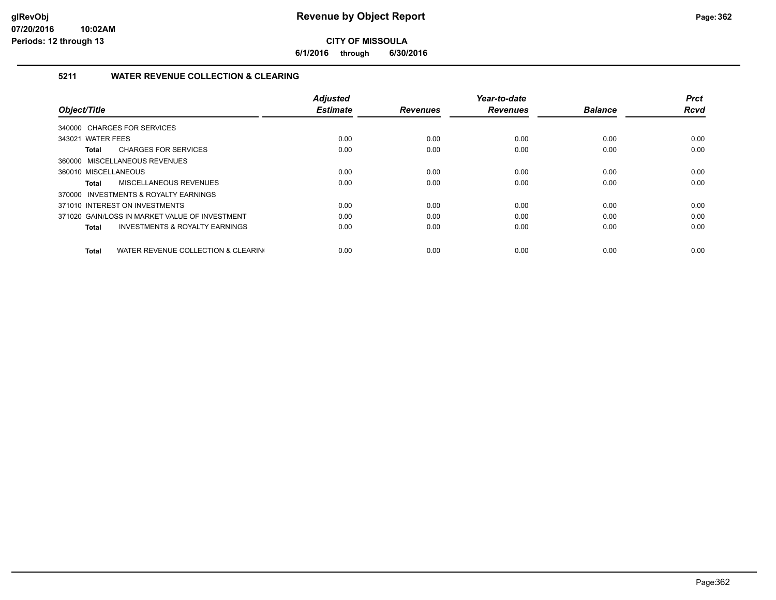**6/1/2016 through 6/30/2016**

## **5211 WATER REVENUE COLLECTION & CLEARING**

| Object/Title                                              | <b>Adjusted</b><br><b>Estimate</b> | <b>Revenues</b> | Year-to-date<br><b>Revenues</b> | <b>Balance</b> | <b>Prct</b><br><b>Rcvd</b> |
|-----------------------------------------------------------|------------------------------------|-----------------|---------------------------------|----------------|----------------------------|
| 340000 CHARGES FOR SERVICES                               |                                    |                 |                                 |                |                            |
| 343021 WATER FEES                                         | 0.00                               | 0.00            | 0.00                            | 0.00           | 0.00                       |
| <b>CHARGES FOR SERVICES</b><br>Total                      | 0.00                               | 0.00            | 0.00                            | 0.00           | 0.00                       |
| 360000 MISCELLANEOUS REVENUES                             |                                    |                 |                                 |                |                            |
| 360010 MISCELLANEOUS                                      | 0.00                               | 0.00            | 0.00                            | 0.00           | 0.00                       |
| MISCELLANEOUS REVENUES<br>Total                           | 0.00                               | 0.00            | 0.00                            | 0.00           | 0.00                       |
| 370000 INVESTMENTS & ROYALTY EARNINGS                     |                                    |                 |                                 |                |                            |
| 371010 INTEREST ON INVESTMENTS                            | 0.00                               | 0.00            | 0.00                            | 0.00           | 0.00                       |
| 371020 GAIN/LOSS IN MARKET VALUE OF INVESTMENT            | 0.00                               | 0.00            | 0.00                            | 0.00           | 0.00                       |
| <b>INVESTMENTS &amp; ROYALTY EARNINGS</b><br><b>Total</b> | 0.00                               | 0.00            | 0.00                            | 0.00           | 0.00                       |
| WATER REVENUE COLLECTION & CLEARING<br><b>Total</b>       | 0.00                               | 0.00            | 0.00                            | 0.00           | 0.00                       |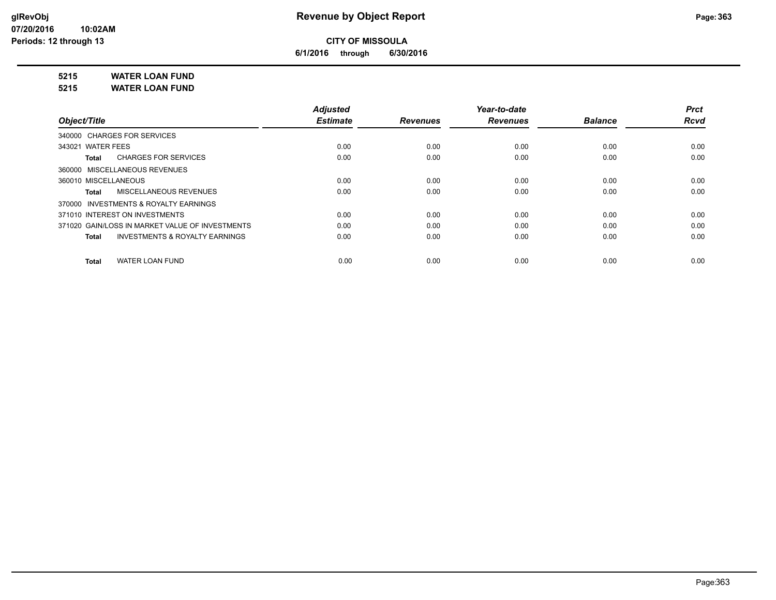**6/1/2016 through 6/30/2016**

**5215 WATER LOAN FUND**

**5215 WATER LOAN FUND**

|                                                    | <b>Adjusted</b> |                 | Year-to-date    |                | <b>Prct</b> |
|----------------------------------------------------|-----------------|-----------------|-----------------|----------------|-------------|
| Object/Title                                       | <b>Estimate</b> | <b>Revenues</b> | <b>Revenues</b> | <b>Balance</b> | <b>Rcvd</b> |
| 340000 CHARGES FOR SERVICES                        |                 |                 |                 |                |             |
| 343021 WATER FEES                                  | 0.00            | 0.00            | 0.00            | 0.00           | 0.00        |
| <b>CHARGES FOR SERVICES</b><br>Total               | 0.00            | 0.00            | 0.00            | 0.00           | 0.00        |
| 360000 MISCELLANEOUS REVENUES                      |                 |                 |                 |                |             |
| 360010 MISCELLANEOUS                               | 0.00            | 0.00            | 0.00            | 0.00           | 0.00        |
| <b>MISCELLANEOUS REVENUES</b><br>Total             | 0.00            | 0.00            | 0.00            | 0.00           | 0.00        |
| 370000 INVESTMENTS & ROYALTY EARNINGS              |                 |                 |                 |                |             |
| 371010 INTEREST ON INVESTMENTS                     | 0.00            | 0.00            | 0.00            | 0.00           | 0.00        |
| 371020 GAIN/LOSS IN MARKET VALUE OF INVESTMENTS    | 0.00            | 0.00            | 0.00            | 0.00           | 0.00        |
| <b>INVESTMENTS &amp; ROYALTY EARNINGS</b><br>Total | 0.00            | 0.00            | 0.00            | 0.00           | 0.00        |
|                                                    |                 |                 |                 |                |             |
| <b>WATER LOAN FUND</b><br>Total                    | 0.00            | 0.00            | 0.00            | 0.00           | 0.00        |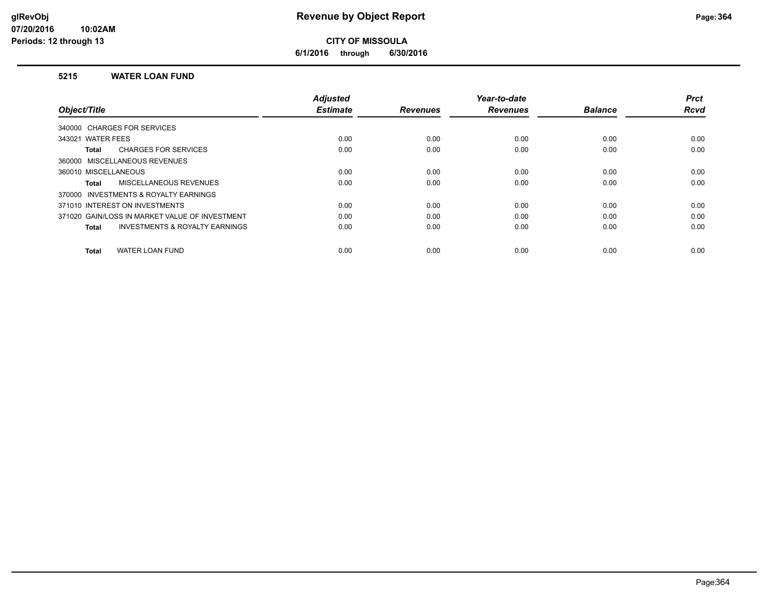**6/1/2016 through 6/30/2016**

### **5215 WATER LOAN FUND**

|                                                    | <b>Adjusted</b> |                 | Year-to-date    |                | <b>Prct</b> |
|----------------------------------------------------|-----------------|-----------------|-----------------|----------------|-------------|
| Object/Title                                       | <b>Estimate</b> | <b>Revenues</b> | <b>Revenues</b> | <b>Balance</b> | <b>Rcvd</b> |
| 340000 CHARGES FOR SERVICES                        |                 |                 |                 |                |             |
| 343021 WATER FEES                                  | 0.00            | 0.00            | 0.00            | 0.00           | 0.00        |
| <b>CHARGES FOR SERVICES</b><br>Total               | 0.00            | 0.00            | 0.00            | 0.00           | 0.00        |
| 360000 MISCELLANEOUS REVENUES                      |                 |                 |                 |                |             |
| 360010 MISCELLANEOUS                               | 0.00            | 0.00            | 0.00            | 0.00           | 0.00        |
| MISCELLANEOUS REVENUES<br>Total                    | 0.00            | 0.00            | 0.00            | 0.00           | 0.00        |
| 370000 INVESTMENTS & ROYALTY EARNINGS              |                 |                 |                 |                |             |
| 371010 INTEREST ON INVESTMENTS                     | 0.00            | 0.00            | 0.00            | 0.00           | 0.00        |
| 371020 GAIN/LOSS IN MARKET VALUE OF INVESTMENT     | 0.00            | 0.00            | 0.00            | 0.00           | 0.00        |
| <b>INVESTMENTS &amp; ROYALTY EARNINGS</b><br>Total | 0.00            | 0.00            | 0.00            | 0.00           | 0.00        |
|                                                    |                 |                 |                 |                |             |
| WATER LOAN FUND<br><b>Total</b>                    | 0.00            | 0.00            | 0.00            | 0.00           | 0.00        |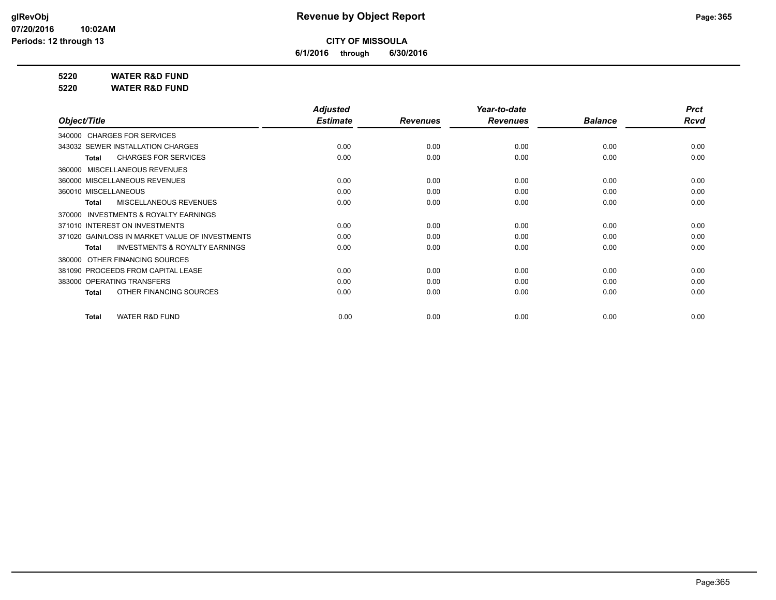**6/1/2016 through 6/30/2016**

**5220 WATER R&D FUND**

**5220 WATER R&D FUND**

|                                                     | <b>Adjusted</b> |                 | Year-to-date    |                | <b>Prct</b> |
|-----------------------------------------------------|-----------------|-----------------|-----------------|----------------|-------------|
| Object/Title                                        | <b>Estimate</b> | <b>Revenues</b> | <b>Revenues</b> | <b>Balance</b> | Rcvd        |
| 340000 CHARGES FOR SERVICES                         |                 |                 |                 |                |             |
| 343032 SEWER INSTALLATION CHARGES                   | 0.00            | 0.00            | 0.00            | 0.00           | 0.00        |
| <b>CHARGES FOR SERVICES</b><br>Total                | 0.00            | 0.00            | 0.00            | 0.00           | 0.00        |
| <b>MISCELLANEOUS REVENUES</b><br>360000             |                 |                 |                 |                |             |
| 360000 MISCELLANEOUS REVENUES                       | 0.00            | 0.00            | 0.00            | 0.00           | 0.00        |
| 360010 MISCELLANEOUS                                | 0.00            | 0.00            | 0.00            | 0.00           | 0.00        |
| <b>MISCELLANEOUS REVENUES</b><br>Total              | 0.00            | 0.00            | 0.00            | 0.00           | 0.00        |
| <b>INVESTMENTS &amp; ROYALTY EARNINGS</b><br>370000 |                 |                 |                 |                |             |
| 371010 INTEREST ON INVESTMENTS                      | 0.00            | 0.00            | 0.00            | 0.00           | 0.00        |
| 371020 GAIN/LOSS IN MARKET VALUE OF INVESTMENTS     | 0.00            | 0.00            | 0.00            | 0.00           | 0.00        |
| <b>INVESTMENTS &amp; ROYALTY EARNINGS</b><br>Total  | 0.00            | 0.00            | 0.00            | 0.00           | 0.00        |
| OTHER FINANCING SOURCES<br>380000                   |                 |                 |                 |                |             |
| 381090 PROCEEDS FROM CAPITAL LEASE                  | 0.00            | 0.00            | 0.00            | 0.00           | 0.00        |
| 383000 OPERATING TRANSFERS                          | 0.00            | 0.00            | 0.00            | 0.00           | 0.00        |
| OTHER FINANCING SOURCES<br><b>Total</b>             | 0.00            | 0.00            | 0.00            | 0.00           | 0.00        |
| <b>WATER R&amp;D FUND</b><br>Total                  | 0.00            | 0.00            | 0.00            | 0.00           | 0.00        |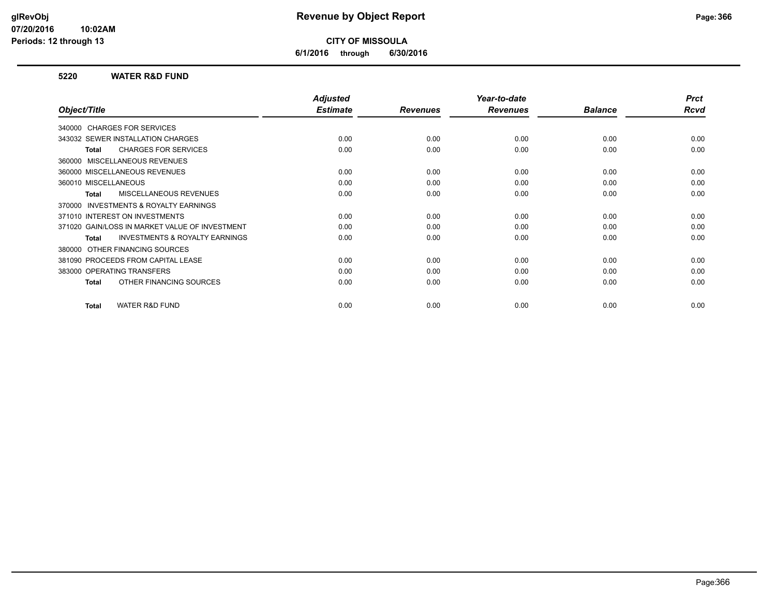**6/1/2016 through 6/30/2016**

### **5220 WATER R&D FUND**

|                                                    | <b>Adjusted</b> |                 | Year-to-date    |                | <b>Prct</b> |
|----------------------------------------------------|-----------------|-----------------|-----------------|----------------|-------------|
| Object/Title                                       | <b>Estimate</b> | <b>Revenues</b> | <b>Revenues</b> | <b>Balance</b> | Rcvd        |
| 340000 CHARGES FOR SERVICES                        |                 |                 |                 |                |             |
| 343032 SEWER INSTALLATION CHARGES                  | 0.00            | 0.00            | 0.00            | 0.00           | 0.00        |
| <b>CHARGES FOR SERVICES</b><br><b>Total</b>        | 0.00            | 0.00            | 0.00            | 0.00           | 0.00        |
| 360000 MISCELLANEOUS REVENUES                      |                 |                 |                 |                |             |
| 360000 MISCELLANEOUS REVENUES                      | 0.00            | 0.00            | 0.00            | 0.00           | 0.00        |
| 360010 MISCELLANEOUS                               | 0.00            | 0.00            | 0.00            | 0.00           | 0.00        |
| <b>MISCELLANEOUS REVENUES</b><br>Total             | 0.00            | 0.00            | 0.00            | 0.00           | 0.00        |
| INVESTMENTS & ROYALTY EARNINGS<br>370000           |                 |                 |                 |                |             |
| 371010 INTEREST ON INVESTMENTS                     | 0.00            | 0.00            | 0.00            | 0.00           | 0.00        |
| 371020 GAIN/LOSS IN MARKET VALUE OF INVESTMENT     | 0.00            | 0.00            | 0.00            | 0.00           | 0.00        |
| <b>INVESTMENTS &amp; ROYALTY EARNINGS</b><br>Total | 0.00            | 0.00            | 0.00            | 0.00           | 0.00        |
| OTHER FINANCING SOURCES<br>380000                  |                 |                 |                 |                |             |
| 381090 PROCEEDS FROM CAPITAL LEASE                 | 0.00            | 0.00            | 0.00            | 0.00           | 0.00        |
| 383000 OPERATING TRANSFERS                         | 0.00            | 0.00            | 0.00            | 0.00           | 0.00        |
| OTHER FINANCING SOURCES<br><b>Total</b>            | 0.00            | 0.00            | 0.00            | 0.00           | 0.00        |
|                                                    |                 |                 |                 |                |             |
| <b>WATER R&amp;D FUND</b><br><b>Total</b>          | 0.00            | 0.00            | 0.00            | 0.00           | 0.00        |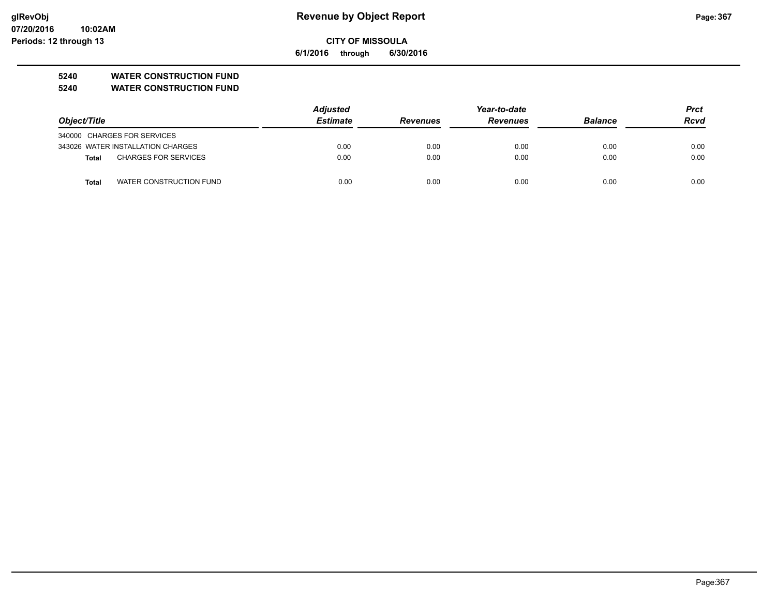**07/20/2016 10:02AM Periods: 12 through 13**

**CITY OF MISSOULA**

**6/1/2016 through 6/30/2016**

## **5240 WATER CONSTRUCTION FUND**

**5240 WATER CONSTRUCTION FUND**

|                                         | <b>Adjusted</b> |                 | Year-to-date    |                |      |  |
|-----------------------------------------|-----------------|-----------------|-----------------|----------------|------|--|
| Object/Title                            | <b>Estimate</b> | <b>Revenues</b> | <b>Revenues</b> | <b>Balance</b> | Rcvd |  |
| 340000 CHARGES FOR SERVICES             |                 |                 |                 |                |      |  |
| 343026 WATER INSTALLATION CHARGES       | 0.00            | 0.00            | 0.00            | 0.00           | 0.00 |  |
| <b>CHARGES FOR SERVICES</b><br>Total    | 0.00            | 0.00            | 0.00            | 0.00           | 0.00 |  |
| WATER CONSTRUCTION FUND<br><b>Total</b> | 0.00            | 0.00            | 0.00            | 0.00           | 0.00 |  |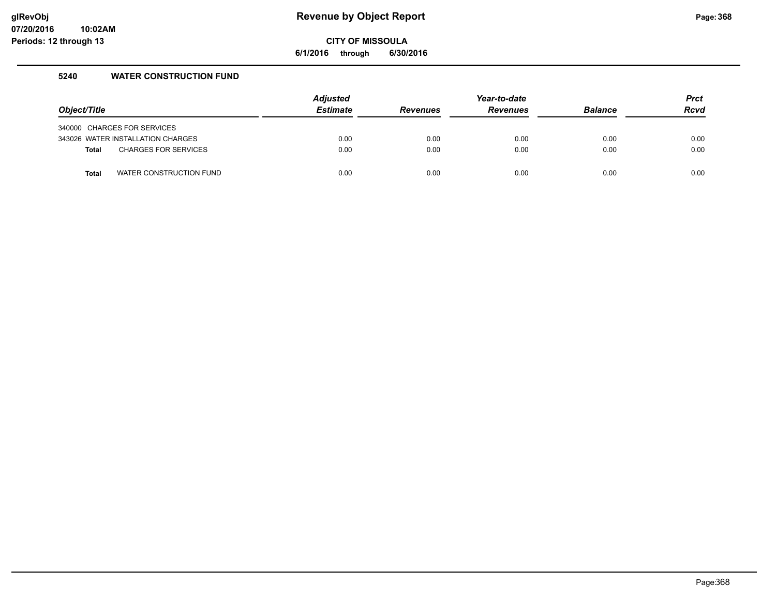**6/1/2016 through 6/30/2016**

## **5240 WATER CONSTRUCTION FUND**

| Object/Title |                                   | <b>Adjusted</b><br><b>Estimate</b> | <b>Revenues</b> | Year-to-date<br><b>Revenues</b> | <b>Balance</b> | <b>Prct</b><br><b>Rcvd</b> |
|--------------|-----------------------------------|------------------------------------|-----------------|---------------------------------|----------------|----------------------------|
|              | 340000 CHARGES FOR SERVICES       |                                    |                 |                                 |                |                            |
|              | 343026 WATER INSTALLATION CHARGES | 0.00                               | 0.00            | 0.00                            | 0.00           | 0.00                       |
| <b>Total</b> | <b>CHARGES FOR SERVICES</b>       | 0.00                               | 0.00            | 0.00                            | 0.00           | 0.00                       |
|              |                                   |                                    |                 |                                 |                |                            |
| Total        | WATER CONSTRUCTION FUND           | 0.00                               | 0.00            | 0.00                            | 0.00           | 0.00                       |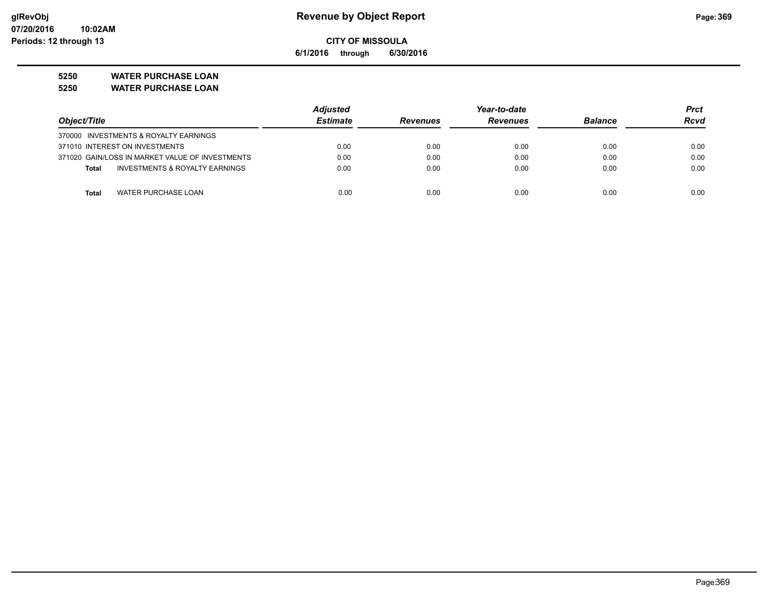**6/1/2016 through 6/30/2016**

**5250 WATER PURCHASE LOAN**

| 5250 | <b>WATER PURCHASE LOAN</b> |
|------|----------------------------|
|      |                            |

|                                                 | Adjusted        | Year-to-date    |                 |                | <b>Prct</b> |
|-------------------------------------------------|-----------------|-----------------|-----------------|----------------|-------------|
| Object/Title                                    | <b>Estimate</b> | <b>Revenues</b> | <b>Revenues</b> | <b>Balance</b> | <b>Rcvd</b> |
| 370000 INVESTMENTS & ROYALTY EARNINGS           |                 |                 |                 |                |             |
| 371010 INTEREST ON INVESTMENTS                  | 0.00            | 0.00            | 0.00            | 0.00           | 0.00        |
| 371020 GAIN/LOSS IN MARKET VALUE OF INVESTMENTS | 0.00            | 0.00            | 0.00            | 0.00           | 0.00        |
| INVESTMENTS & ROYALTY EARNINGS<br><b>Total</b>  | 0.00            | 0.00            | 0.00            | 0.00           | 0.00        |
| <b>WATER PURCHASE LOAN</b><br><b>Total</b>      | 0.00            | 0.00            | 0.00            | 0.00           | 0.00        |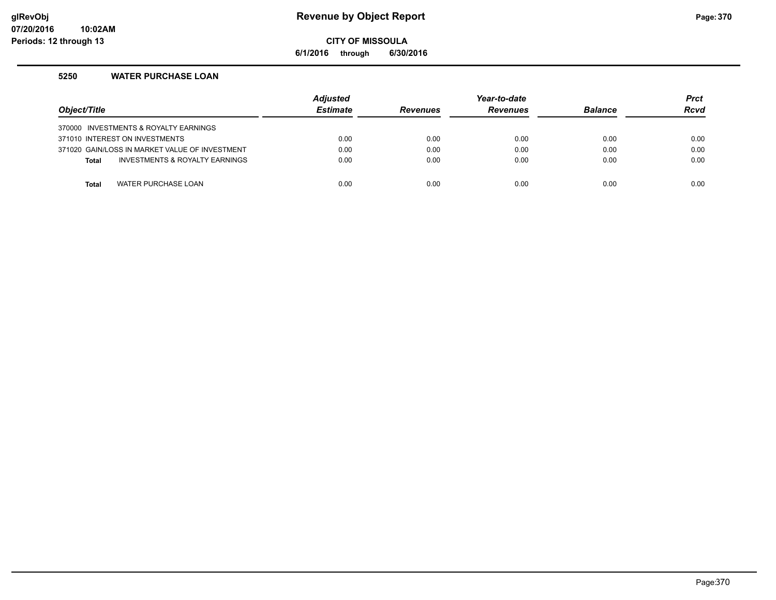## **glRevObj Revenue by Object Report Page:370**

**CITY OF MISSOULA**

**6/1/2016 through 6/30/2016**

## **5250 WATER PURCHASE LOAN**

| Object/Title                                              | <b>Adjusted</b><br><b>Estimate</b> | <b>Revenues</b> | Year-to-date<br><b>Revenues</b> | <b>Balance</b> | <b>Prct</b><br><b>Rcvd</b> |
|-----------------------------------------------------------|------------------------------------|-----------------|---------------------------------|----------------|----------------------------|
| 370000 INVESTMENTS & ROYALTY EARNINGS                     |                                    |                 |                                 |                |                            |
| 371010 INTEREST ON INVESTMENTS                            | 0.00                               | 0.00            | 0.00                            | 0.00           | 0.00                       |
| 371020 GAIN/LOSS IN MARKET VALUE OF INVESTMENT            | 0.00                               | 0.00            | 0.00                            | 0.00           | 0.00                       |
| <b>INVESTMENTS &amp; ROYALTY EARNINGS</b><br><b>Total</b> | 0.00                               | 0.00            | 0.00                            | 0.00           | 0.00                       |
|                                                           |                                    |                 |                                 |                |                            |
| WATER PURCHASE LOAN<br><b>Total</b>                       | 0.00                               | 0.00            | 0.00                            | 0.00           | 0.00                       |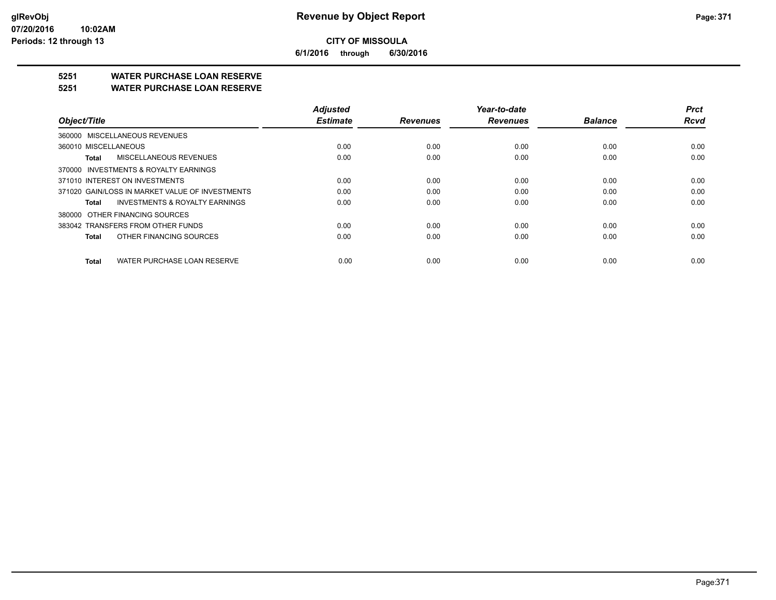**6/1/2016 through 6/30/2016**

## **5251 WATER PURCHASE LOAN RESERVE**

#### **5251 WATER PURCHASE LOAN RESERVE**

|                                                    | <b>Adjusted</b> |                 | Year-to-date    |                | <b>Prct</b> |
|----------------------------------------------------|-----------------|-----------------|-----------------|----------------|-------------|
| Object/Title                                       | <b>Estimate</b> | <b>Revenues</b> | <b>Revenues</b> | <b>Balance</b> | <b>Rcvd</b> |
| 360000 MISCELLANEOUS REVENUES                      |                 |                 |                 |                |             |
| 360010 MISCELLANEOUS                               | 0.00            | 0.00            | 0.00            | 0.00           | 0.00        |
| MISCELLANEOUS REVENUES<br>Total                    | 0.00            | 0.00            | 0.00            | 0.00           | 0.00        |
| 370000 INVESTMENTS & ROYALTY EARNINGS              |                 |                 |                 |                |             |
| 371010 INTEREST ON INVESTMENTS                     | 0.00            | 0.00            | 0.00            | 0.00           | 0.00        |
| 371020 GAIN/LOSS IN MARKET VALUE OF INVESTMENTS    | 0.00            | 0.00            | 0.00            | 0.00           | 0.00        |
| <b>INVESTMENTS &amp; ROYALTY EARNINGS</b><br>Total | 0.00            | 0.00            | 0.00            | 0.00           | 0.00        |
| 380000 OTHER FINANCING SOURCES                     |                 |                 |                 |                |             |
| 383042 TRANSFERS FROM OTHER FUNDS                  | 0.00            | 0.00            | 0.00            | 0.00           | 0.00        |
| OTHER FINANCING SOURCES<br>Total                   | 0.00            | 0.00            | 0.00            | 0.00           | 0.00        |
| WATER PURCHASE LOAN RESERVE<br>Total               | 0.00            | 0.00            | 0.00            | 0.00           | 0.00        |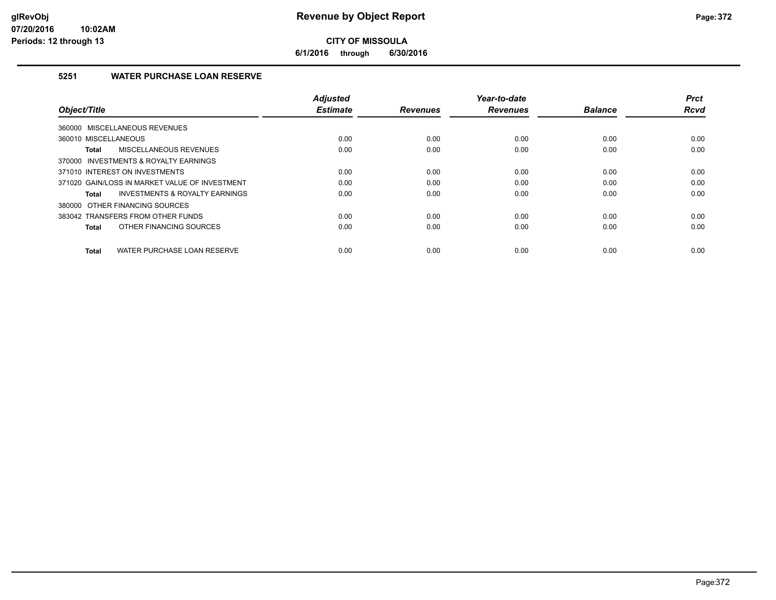**6/1/2016 through 6/30/2016**

## **5251 WATER PURCHASE LOAN RESERVE**

|                                                     | <b>Adjusted</b> |                 | Year-to-date    |                | <b>Prct</b> |
|-----------------------------------------------------|-----------------|-----------------|-----------------|----------------|-------------|
| Object/Title                                        | <b>Estimate</b> | <b>Revenues</b> | <b>Revenues</b> | <b>Balance</b> | <b>Rcvd</b> |
| MISCELLANEOUS REVENUES<br>360000                    |                 |                 |                 |                |             |
| 360010 MISCELLANEOUS                                | 0.00            | 0.00            | 0.00            | 0.00           | 0.00        |
| MISCELLANEOUS REVENUES<br>Total                     | 0.00            | 0.00            | 0.00            | 0.00           | 0.00        |
| <b>INVESTMENTS &amp; ROYALTY EARNINGS</b><br>370000 |                 |                 |                 |                |             |
| 371010 INTEREST ON INVESTMENTS                      | 0.00            | 0.00            | 0.00            | 0.00           | 0.00        |
| 371020 GAIN/LOSS IN MARKET VALUE OF INVESTMENT      | 0.00            | 0.00            | 0.00            | 0.00           | 0.00        |
| INVESTMENTS & ROYALTY EARNINGS<br>Total             | 0.00            | 0.00            | 0.00            | 0.00           | 0.00        |
| 380000 OTHER FINANCING SOURCES                      |                 |                 |                 |                |             |
| 383042 TRANSFERS FROM OTHER FUNDS                   | 0.00            | 0.00            | 0.00            | 0.00           | 0.00        |
| OTHER FINANCING SOURCES<br>Total                    | 0.00            | 0.00            | 0.00            | 0.00           | 0.00        |
| WATER PURCHASE LOAN RESERVE<br><b>Total</b>         | 0.00            | 0.00            | 0.00            | 0.00           | 0.00        |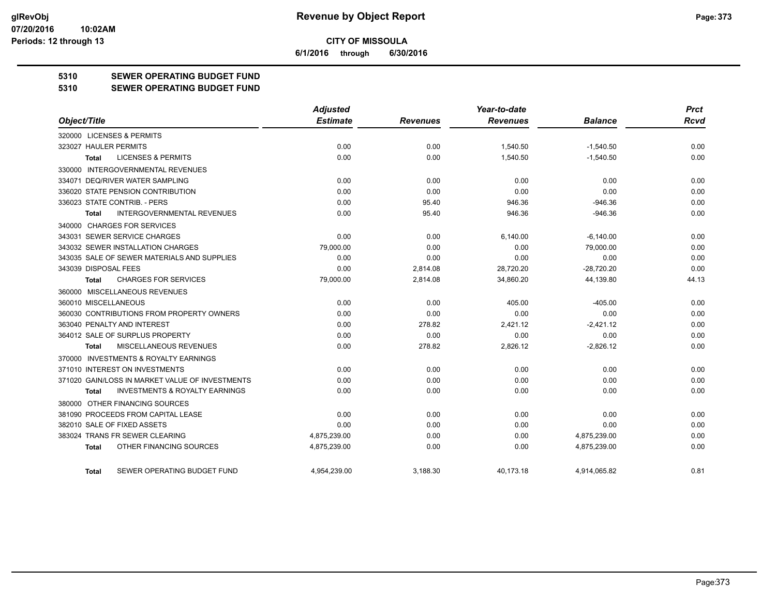**6/1/2016 through 6/30/2016**

## **5310 SEWER OPERATING BUDGET FUND**

#### **5310 SEWER OPERATING BUDGET FUND**

|                                                           | <b>Adjusted</b> |                 | Year-to-date    |                | <b>Prct</b> |
|-----------------------------------------------------------|-----------------|-----------------|-----------------|----------------|-------------|
| Object/Title                                              | <b>Estimate</b> | <b>Revenues</b> | <b>Revenues</b> | <b>Balance</b> | Rcvd        |
| 320000 LICENSES & PERMITS                                 |                 |                 |                 |                |             |
| 323027 HAULER PERMITS                                     | 0.00            | 0.00            | 1,540.50        | $-1,540.50$    | 0.00        |
| <b>LICENSES &amp; PERMITS</b><br><b>Total</b>             | 0.00            | 0.00            | 1,540.50        | $-1,540.50$    | 0.00        |
| 330000 INTERGOVERNMENTAL REVENUES                         |                 |                 |                 |                |             |
| 334071 DEQ/RIVER WATER SAMPLING                           | 0.00            | 0.00            | 0.00            | 0.00           | 0.00        |
| 336020 STATE PENSION CONTRIBUTION                         | 0.00            | 0.00            | 0.00            | 0.00           | 0.00        |
| 336023 STATE CONTRIB. - PERS                              | 0.00            | 95.40           | 946.36          | $-946.36$      | 0.00        |
| <b>INTERGOVERNMENTAL REVENUES</b><br>Total                | 0.00            | 95.40           | 946.36          | $-946.36$      | 0.00        |
| 340000 CHARGES FOR SERVICES                               |                 |                 |                 |                |             |
| 343031 SEWER SERVICE CHARGES                              | 0.00            | 0.00            | 6,140.00        | $-6,140.00$    | 0.00        |
| 343032 SEWER INSTALLATION CHARGES                         | 79,000.00       | 0.00            | 0.00            | 79,000.00      | 0.00        |
| 343035 SALE OF SEWER MATERIALS AND SUPPLIES               | 0.00            | 0.00            | 0.00            | 0.00           | 0.00        |
| 343039 DISPOSAL FEES                                      | 0.00            | 2,814.08        | 28,720.20       | $-28,720.20$   | 0.00        |
| <b>CHARGES FOR SERVICES</b><br><b>Total</b>               | 79,000.00       | 2,814.08        | 34,860.20       | 44,139.80      | 44.13       |
| 360000 MISCELLANEOUS REVENUES                             |                 |                 |                 |                |             |
| 360010 MISCELLANEOUS                                      | 0.00            | 0.00            | 405.00          | $-405.00$      | 0.00        |
| 360030 CONTRIBUTIONS FROM PROPERTY OWNERS                 | 0.00            | 0.00            | 0.00            | 0.00           | 0.00        |
| 363040 PENALTY AND INTEREST                               | 0.00            | 278.82          | 2,421.12        | $-2,421.12$    | 0.00        |
| 364012 SALE OF SURPLUS PROPERTY                           | 0.00            | 0.00            | 0.00            | 0.00           | 0.00        |
| MISCELLANEOUS REVENUES<br><b>Total</b>                    | 0.00            | 278.82          | 2,826.12        | $-2,826.12$    | 0.00        |
| 370000 INVESTMENTS & ROYALTY EARNINGS                     |                 |                 |                 |                |             |
| 371010 INTEREST ON INVESTMENTS                            | 0.00            | 0.00            | 0.00            | 0.00           | 0.00        |
| 371020 GAIN/LOSS IN MARKET VALUE OF INVESTMENTS           | 0.00            | 0.00            | 0.00            | 0.00           | 0.00        |
| <b>INVESTMENTS &amp; ROYALTY EARNINGS</b><br><b>Total</b> | 0.00            | 0.00            | 0.00            | 0.00           | 0.00        |
| 380000 OTHER FINANCING SOURCES                            |                 |                 |                 |                |             |
| 381090 PROCEEDS FROM CAPITAL LEASE                        | 0.00            | 0.00            | 0.00            | 0.00           | 0.00        |
| 382010 SALE OF FIXED ASSETS                               | 0.00            | 0.00            | 0.00            | 0.00           | 0.00        |
| 383024 TRANS FR SEWER CLEARING                            | 4,875,239.00    | 0.00            | 0.00            | 4,875,239.00   | 0.00        |
| OTHER FINANCING SOURCES<br><b>Total</b>                   | 4,875,239.00    | 0.00            | 0.00            | 4,875,239.00   | 0.00        |
| SEWER OPERATING BUDGET FUND<br>Total                      | 4.954.239.00    | 3.188.30        | 40.173.18       | 4.914.065.82   | 0.81        |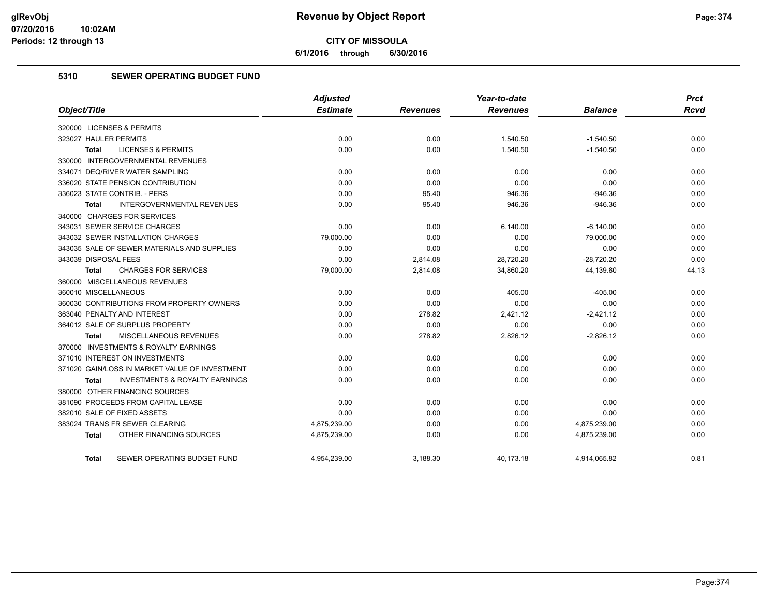**6/1/2016 through 6/30/2016**

## **5310 SEWER OPERATING BUDGET FUND**

|                                                           | <b>Adjusted</b> |                 | Year-to-date    |                | <b>Prct</b> |
|-----------------------------------------------------------|-----------------|-----------------|-----------------|----------------|-------------|
| Object/Title                                              | <b>Estimate</b> | <b>Revenues</b> | <b>Revenues</b> | <b>Balance</b> | <b>Rcvd</b> |
| 320000 LICENSES & PERMITS                                 |                 |                 |                 |                |             |
| 323027 HAULER PERMITS                                     | 0.00            | 0.00            | 1,540.50        | $-1,540.50$    | 0.00        |
| <b>LICENSES &amp; PERMITS</b><br><b>Total</b>             | 0.00            | 0.00            | 1,540.50        | $-1,540.50$    | 0.00        |
| 330000 INTERGOVERNMENTAL REVENUES                         |                 |                 |                 |                |             |
| 334071 DEQ/RIVER WATER SAMPLING                           | 0.00            | 0.00            | 0.00            | 0.00           | 0.00        |
| 336020 STATE PENSION CONTRIBUTION                         | 0.00            | 0.00            | 0.00            | 0.00           | 0.00        |
| 336023 STATE CONTRIB. - PERS                              | 0.00            | 95.40           | 946.36          | $-946.36$      | 0.00        |
| <b>INTERGOVERNMENTAL REVENUES</b><br><b>Total</b>         | 0.00            | 95.40           | 946.36          | $-946.36$      | 0.00        |
| 340000 CHARGES FOR SERVICES                               |                 |                 |                 |                |             |
| 343031 SEWER SERVICE CHARGES                              | 0.00            | 0.00            | 6,140.00        | $-6,140.00$    | 0.00        |
| 343032 SEWER INSTALLATION CHARGES                         | 79,000.00       | 0.00            | 0.00            | 79,000.00      | 0.00        |
| 343035 SALE OF SEWER MATERIALS AND SUPPLIES               | 0.00            | 0.00            | 0.00            | 0.00           | 0.00        |
| 343039 DISPOSAL FEES                                      | 0.00            | 2,814.08        | 28,720.20       | $-28,720.20$   | 0.00        |
| <b>CHARGES FOR SERVICES</b><br><b>Total</b>               | 79,000.00       | 2,814.08        | 34,860.20       | 44,139.80      | 44.13       |
| 360000 MISCELLANEOUS REVENUES                             |                 |                 |                 |                |             |
| 360010 MISCELLANEOUS                                      | 0.00            | 0.00            | 405.00          | $-405.00$      | 0.00        |
| 360030 CONTRIBUTIONS FROM PROPERTY OWNERS                 | 0.00            | 0.00            | 0.00            | 0.00           | 0.00        |
| 363040 PENALTY AND INTEREST                               | 0.00            | 278.82          | 2.421.12        | $-2.421.12$    | 0.00        |
| 364012 SALE OF SURPLUS PROPERTY                           | 0.00            | 0.00            | 0.00            | 0.00           | 0.00        |
| MISCELLANEOUS REVENUES<br>Total                           | 0.00            | 278.82          | 2,826.12        | $-2,826.12$    | 0.00        |
| 370000 INVESTMENTS & ROYALTY EARNINGS                     |                 |                 |                 |                |             |
| 371010 INTEREST ON INVESTMENTS                            | 0.00            | 0.00            | 0.00            | 0.00           | 0.00        |
| 371020 GAIN/LOSS IN MARKET VALUE OF INVESTMENT            | 0.00            | 0.00            | 0.00            | 0.00           | 0.00        |
| <b>INVESTMENTS &amp; ROYALTY EARNINGS</b><br><b>Total</b> | 0.00            | 0.00            | 0.00            | 0.00           | 0.00        |
| 380000 OTHER FINANCING SOURCES                            |                 |                 |                 |                |             |
| 381090 PROCEEDS FROM CAPITAL LEASE                        | 0.00            | 0.00            | 0.00            | 0.00           | 0.00        |
| 382010 SALE OF FIXED ASSETS                               | 0.00            | 0.00            | 0.00            | 0.00           | 0.00        |
| 383024 TRANS FR SEWER CLEARING                            | 4,875,239.00    | 0.00            | 0.00            | 4,875,239.00   | 0.00        |
| OTHER FINANCING SOURCES<br>Total                          | 4,875,239.00    | 0.00            | 0.00            | 4,875,239.00   | 0.00        |
| SEWER OPERATING BUDGET FUND<br>Total                      | 4,954,239.00    | 3,188.30        | 40,173.18       | 4,914,065.82   | 0.81        |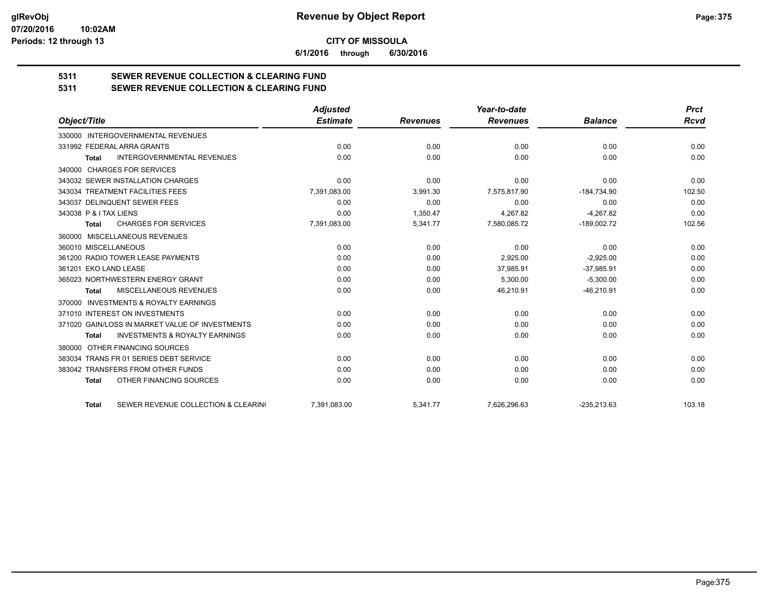**6/1/2016 through 6/30/2016**

# **5311 SEWER REVENUE COLLECTION & CLEARING FUND**

**5311 SEWER REVENUE COLLECTION & CLEARING FUND**

|                                                           | <b>Adjusted</b> |                 | Year-to-date    |                | <b>Prct</b> |
|-----------------------------------------------------------|-----------------|-----------------|-----------------|----------------|-------------|
| Object/Title                                              | <b>Estimate</b> | <b>Revenues</b> | <b>Revenues</b> | <b>Balance</b> | <b>Rcvd</b> |
| 330000 INTERGOVERNMENTAL REVENUES                         |                 |                 |                 |                |             |
| 331992 FEDERAL ARRA GRANTS                                | 0.00            | 0.00            | 0.00            | 0.00           | 0.00        |
| <b>INTERGOVERNMENTAL REVENUES</b><br><b>Total</b>         | 0.00            | 0.00            | 0.00            | 0.00           | 0.00        |
| 340000 CHARGES FOR SERVICES                               |                 |                 |                 |                |             |
| 343032 SEWER INSTALLATION CHARGES                         | 0.00            | 0.00            | 0.00            | 0.00           | 0.00        |
| 343034 TREATMENT FACILITIES FEES                          | 7,391,083.00    | 3.991.30        | 7,575,817.90    | $-184.734.90$  | 102.50      |
| 343037 DELINQUENT SEWER FEES                              | 0.00            | 0.00            | 0.00            | 0.00           | 0.00        |
| 343038 P & I TAX LIENS                                    | 0.00            | 1,350.47        | 4,267.82        | $-4,267.82$    | 0.00        |
| <b>CHARGES FOR SERVICES</b><br><b>Total</b>               | 7,391,083.00    | 5,341.77        | 7,580,085.72    | $-189,002.72$  | 102.56      |
| MISCELLANEOUS REVENUES<br>360000                          |                 |                 |                 |                |             |
| 360010 MISCELLANEOUS                                      | 0.00            | 0.00            | 0.00            | 0.00           | 0.00        |
| 361200 RADIO TOWER LEASE PAYMENTS                         | 0.00            | 0.00            | 2,925.00        | $-2,925.00$    | 0.00        |
| 361201 EKO LAND LEASE                                     | 0.00            | 0.00            | 37,985.91       | $-37,985.91$   | 0.00        |
| 365023 NORTHWESTERN ENERGY GRANT                          | 0.00            | 0.00            | 5,300.00        | $-5,300.00$    | 0.00        |
| <b>MISCELLANEOUS REVENUES</b><br><b>Total</b>             | 0.00            | 0.00            | 46,210.91       | $-46,210.91$   | 0.00        |
| 370000 INVESTMENTS & ROYALTY EARNINGS                     |                 |                 |                 |                |             |
| 371010 INTEREST ON INVESTMENTS                            | 0.00            | 0.00            | 0.00            | 0.00           | 0.00        |
| 371020 GAIN/LOSS IN MARKET VALUE OF INVESTMENTS           | 0.00            | 0.00            | 0.00            | 0.00           | 0.00        |
| <b>INVESTMENTS &amp; ROYALTY EARNINGS</b><br><b>Total</b> | 0.00            | 0.00            | 0.00            | 0.00           | 0.00        |
| OTHER FINANCING SOURCES<br>380000                         |                 |                 |                 |                |             |
| 383034 TRANS FR 01 SERIES DEBT SERVICE                    | 0.00            | 0.00            | 0.00            | 0.00           | 0.00        |
| 383042 TRANSFERS FROM OTHER FUNDS                         | 0.00            | 0.00            | 0.00            | 0.00           | 0.00        |
| OTHER FINANCING SOURCES<br><b>Total</b>                   | 0.00            | 0.00            | 0.00            | 0.00           | 0.00        |
| SEWER REVENUE COLLECTION & CLEARING<br><b>Total</b>       | 7,391,083.00    | 5,341.77        | 7,626,296.63    | $-235,213.63$  | 103.18      |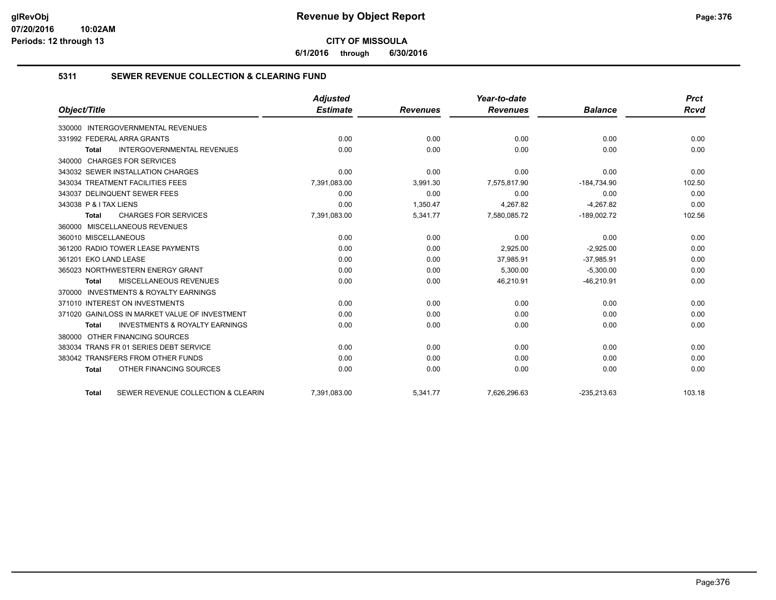**6/1/2016 through 6/30/2016**

## **5311 SEWER REVENUE COLLECTION & CLEARING FUND**

|                                                           | <b>Adjusted</b> |                 | Year-to-date    |                | <b>Prct</b> |
|-----------------------------------------------------------|-----------------|-----------------|-----------------|----------------|-------------|
| Object/Title                                              | <b>Estimate</b> | <b>Revenues</b> | <b>Revenues</b> | <b>Balance</b> | <b>Rcvd</b> |
| <b>INTERGOVERNMENTAL REVENUES</b><br>330000               |                 |                 |                 |                |             |
| 331992 FEDERAL ARRA GRANTS                                | 0.00            | 0.00            | 0.00            | 0.00           | 0.00        |
| <b>INTERGOVERNMENTAL REVENUES</b><br><b>Total</b>         | 0.00            | 0.00            | 0.00            | 0.00           | 0.00        |
| 340000 CHARGES FOR SERVICES                               |                 |                 |                 |                |             |
| 343032 SEWER INSTALLATION CHARGES                         | 0.00            | 0.00            | 0.00            | 0.00           | 0.00        |
| 343034 TREATMENT FACILITIES FEES                          | 7,391,083.00    | 3,991.30        | 7,575,817.90    | $-184,734.90$  | 102.50      |
| 343037 DELINQUENT SEWER FEES                              | 0.00            | 0.00            | 0.00            | 0.00           | 0.00        |
| 343038 P & I TAX LIENS                                    | 0.00            | 1.350.47        | 4.267.82        | $-4.267.82$    | 0.00        |
| <b>CHARGES FOR SERVICES</b><br><b>Total</b>               | 7,391,083.00    | 5,341.77        | 7,580,085.72    | $-189,002.72$  | 102.56      |
| 360000 MISCELLANEOUS REVENUES                             |                 |                 |                 |                |             |
| 360010 MISCELLANEOUS                                      | 0.00            | 0.00            | 0.00            | 0.00           | 0.00        |
| 361200 RADIO TOWER LEASE PAYMENTS                         | 0.00            | 0.00            | 2,925.00        | $-2,925.00$    | 0.00        |
| 361201 EKO LAND LEASE                                     | 0.00            | 0.00            | 37,985.91       | $-37,985.91$   | 0.00        |
| 365023 NORTHWESTERN ENERGY GRANT                          | 0.00            | 0.00            | 5,300.00        | $-5,300.00$    | 0.00        |
| <b>MISCELLANEOUS REVENUES</b><br><b>Total</b>             | 0.00            | 0.00            | 46,210.91       | $-46,210.91$   | 0.00        |
| 370000 INVESTMENTS & ROYALTY EARNINGS                     |                 |                 |                 |                |             |
| 371010 INTEREST ON INVESTMENTS                            | 0.00            | 0.00            | 0.00            | 0.00           | 0.00        |
| 371020 GAIN/LOSS IN MARKET VALUE OF INVESTMENT            | 0.00            | 0.00            | 0.00            | 0.00           | 0.00        |
| <b>INVESTMENTS &amp; ROYALTY EARNINGS</b><br><b>Total</b> | 0.00            | 0.00            | 0.00            | 0.00           | 0.00        |
| OTHER FINANCING SOURCES<br>380000                         |                 |                 |                 |                |             |
| 383034 TRANS FR 01 SERIES DEBT SERVICE                    | 0.00            | 0.00            | 0.00            | 0.00           | 0.00        |
| 383042 TRANSFERS FROM OTHER FUNDS                         | 0.00            | 0.00            | 0.00            | 0.00           | 0.00        |
| OTHER FINANCING SOURCES<br><b>Total</b>                   | 0.00            | 0.00            | 0.00            | 0.00           | 0.00        |
| SEWER REVENUE COLLECTION & CLEARIN<br><b>Total</b>        | 7,391,083.00    | 5,341.77        | 7,626,296.63    | $-235,213.63$  | 103.18      |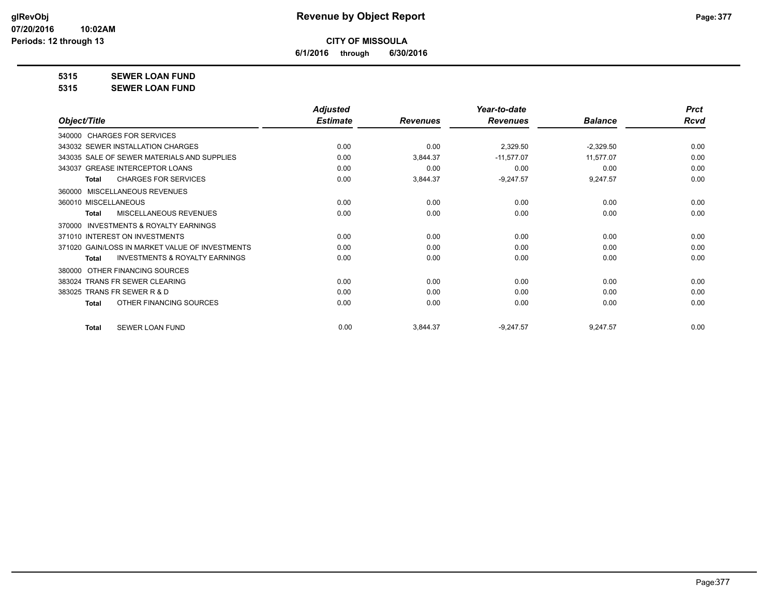**6/1/2016 through 6/30/2016**

**5315 SEWER LOAN FUND**

**5315 SEWER LOAN FUND**

|                                                           | <b>Adjusted</b> |                 | Year-to-date    |                | <b>Prct</b> |
|-----------------------------------------------------------|-----------------|-----------------|-----------------|----------------|-------------|
| Object/Title                                              | <b>Estimate</b> | <b>Revenues</b> | <b>Revenues</b> | <b>Balance</b> | Rcvd        |
| 340000 CHARGES FOR SERVICES                               |                 |                 |                 |                |             |
| 343032 SEWER INSTALLATION CHARGES                         | 0.00            | 0.00            | 2,329.50        | $-2,329.50$    | 0.00        |
| 343035 SALE OF SEWER MATERIALS AND SUPPLIES               | 0.00            | 3,844.37        | $-11,577.07$    | 11,577.07      | 0.00        |
| 343037 GREASE INTERCEPTOR LOANS                           | 0.00            | 0.00            | 0.00            | 0.00           | 0.00        |
| <b>CHARGES FOR SERVICES</b><br><b>Total</b>               | 0.00            | 3,844.37        | $-9,247.57$     | 9,247.57       | 0.00        |
| MISCELLANEOUS REVENUES<br>360000                          |                 |                 |                 |                |             |
| 360010 MISCELLANEOUS                                      | 0.00            | 0.00            | 0.00            | 0.00           | 0.00        |
| <b>MISCELLANEOUS REVENUES</b><br><b>Total</b>             | 0.00            | 0.00            | 0.00            | 0.00           | 0.00        |
| <b>INVESTMENTS &amp; ROYALTY EARNINGS</b><br>370000       |                 |                 |                 |                |             |
| 371010 INTEREST ON INVESTMENTS                            | 0.00            | 0.00            | 0.00            | 0.00           | 0.00        |
| 371020 GAIN/LOSS IN MARKET VALUE OF INVESTMENTS           | 0.00            | 0.00            | 0.00            | 0.00           | 0.00        |
| <b>INVESTMENTS &amp; ROYALTY EARNINGS</b><br><b>Total</b> | 0.00            | 0.00            | 0.00            | 0.00           | 0.00        |
| OTHER FINANCING SOURCES<br>380000                         |                 |                 |                 |                |             |
| 383024 TRANS FR SEWER CLEARING                            | 0.00            | 0.00            | 0.00            | 0.00           | 0.00        |
| 383025 TRANS FR SEWER R & D                               | 0.00            | 0.00            | 0.00            | 0.00           | 0.00        |
| OTHER FINANCING SOURCES<br><b>Total</b>                   | 0.00            | 0.00            | 0.00            | 0.00           | 0.00        |
| <b>SEWER LOAN FUND</b><br><b>Total</b>                    | 0.00            | 3,844.37        | $-9,247.57$     | 9,247.57       | 0.00        |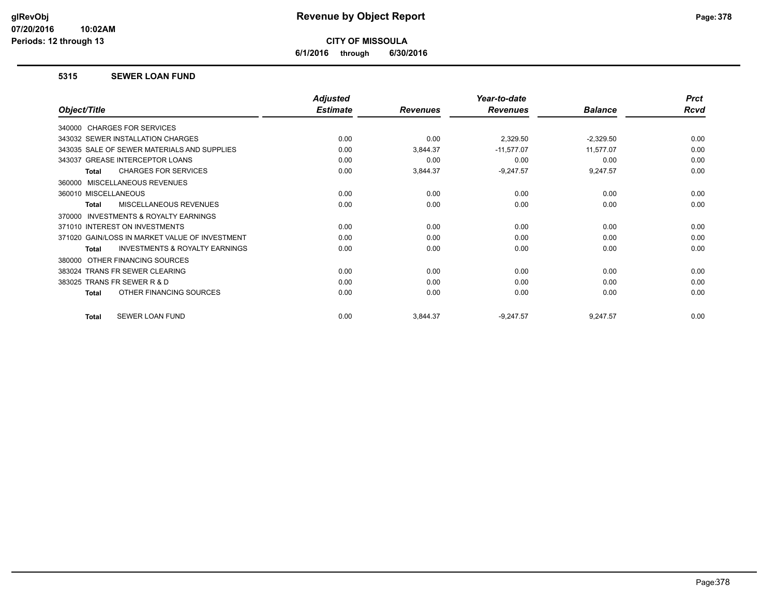**6/1/2016 through 6/30/2016**

### **5315 SEWER LOAN FUND**

|                                                           | <b>Adjusted</b> |                 | Year-to-date    |                | <b>Prct</b> |
|-----------------------------------------------------------|-----------------|-----------------|-----------------|----------------|-------------|
| Object/Title                                              | <b>Estimate</b> | <b>Revenues</b> | <b>Revenues</b> | <b>Balance</b> | <b>Rcvd</b> |
| 340000 CHARGES FOR SERVICES                               |                 |                 |                 |                |             |
| 343032 SEWER INSTALLATION CHARGES                         | 0.00            | 0.00            | 2,329.50        | $-2,329.50$    | 0.00        |
| 343035 SALE OF SEWER MATERIALS AND SUPPLIES               | 0.00            | 3,844.37        | $-11,577.07$    | 11,577.07      | 0.00        |
| 343037 GREASE INTERCEPTOR LOANS                           | 0.00            | 0.00            | 0.00            | 0.00           | 0.00        |
| <b>CHARGES FOR SERVICES</b><br><b>Total</b>               | 0.00            | 3,844.37        | $-9,247.57$     | 9,247.57       | 0.00        |
| 360000 MISCELLANEOUS REVENUES                             |                 |                 |                 |                |             |
| 360010 MISCELLANEOUS                                      | 0.00            | 0.00            | 0.00            | 0.00           | 0.00        |
| <b>MISCELLANEOUS REVENUES</b><br><b>Total</b>             | 0.00            | 0.00            | 0.00            | 0.00           | 0.00        |
| INVESTMENTS & ROYALTY EARNINGS<br>370000                  |                 |                 |                 |                |             |
| 371010 INTEREST ON INVESTMENTS                            | 0.00            | 0.00            | 0.00            | 0.00           | 0.00        |
| 371020 GAIN/LOSS IN MARKET VALUE OF INVESTMENT            | 0.00            | 0.00            | 0.00            | 0.00           | 0.00        |
| <b>INVESTMENTS &amp; ROYALTY EARNINGS</b><br><b>Total</b> | 0.00            | 0.00            | 0.00            | 0.00           | 0.00        |
| OTHER FINANCING SOURCES<br>380000                         |                 |                 |                 |                |             |
| 383024 TRANS FR SEWER CLEARING                            | 0.00            | 0.00            | 0.00            | 0.00           | 0.00        |
| 383025 TRANS FR SEWER R & D                               | 0.00            | 0.00            | 0.00            | 0.00           | 0.00        |
| OTHER FINANCING SOURCES<br><b>Total</b>                   | 0.00            | 0.00            | 0.00            | 0.00           | 0.00        |
| SEWER LOAN FUND<br><b>Total</b>                           | 0.00            | 3,844.37        | $-9,247.57$     | 9,247.57       | 0.00        |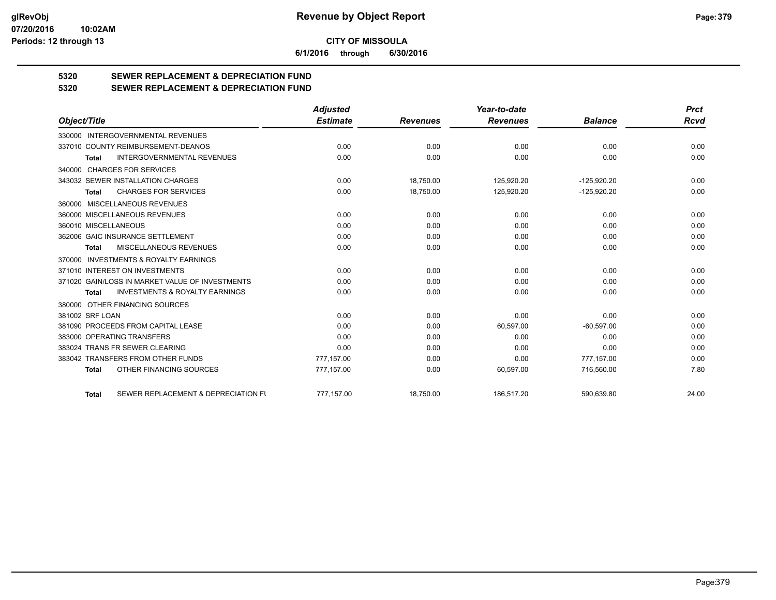**6/1/2016 through 6/30/2016**

# **5320 SEWER REPLACEMENT & DEPRECIATION FUND**

**5320 SEWER REPLACEMENT & DEPRECIATION FUND**

|                                                           | <b>Adjusted</b> |                 | Year-to-date    |                | <b>Prct</b> |
|-----------------------------------------------------------|-----------------|-----------------|-----------------|----------------|-------------|
| Object/Title                                              | <b>Estimate</b> | <b>Revenues</b> | <b>Revenues</b> | <b>Balance</b> | <b>Rcvd</b> |
| 330000 INTERGOVERNMENTAL REVENUES                         |                 |                 |                 |                |             |
| 337010 COUNTY REIMBURSEMENT-DEANOS                        | 0.00            | 0.00            | 0.00            | 0.00           | 0.00        |
| <b>INTERGOVERNMENTAL REVENUES</b><br><b>Total</b>         | 0.00            | 0.00            | 0.00            | 0.00           | 0.00        |
| 340000 CHARGES FOR SERVICES                               |                 |                 |                 |                |             |
| 343032 SEWER INSTALLATION CHARGES                         | 0.00            | 18,750.00       | 125,920.20      | $-125,920.20$  | 0.00        |
| <b>CHARGES FOR SERVICES</b><br><b>Total</b>               | 0.00            | 18,750.00       | 125,920.20      | $-125,920.20$  | 0.00        |
| 360000 MISCELLANEOUS REVENUES                             |                 |                 |                 |                |             |
| 360000 MISCELLANEOUS REVENUES                             | 0.00            | 0.00            | 0.00            | 0.00           | 0.00        |
| 360010 MISCELLANEOUS                                      | 0.00            | 0.00            | 0.00            | 0.00           | 0.00        |
| 362006 GAIC INSURANCE SETTLEMENT                          | 0.00            | 0.00            | 0.00            | 0.00           | 0.00        |
| <b>MISCELLANEOUS REVENUES</b><br><b>Total</b>             | 0.00            | 0.00            | 0.00            | 0.00           | 0.00        |
| 370000 INVESTMENTS & ROYALTY EARNINGS                     |                 |                 |                 |                |             |
| 371010 INTEREST ON INVESTMENTS                            | 0.00            | 0.00            | 0.00            | 0.00           | 0.00        |
| 371020 GAIN/LOSS IN MARKET VALUE OF INVESTMENTS           | 0.00            | 0.00            | 0.00            | 0.00           | 0.00        |
| <b>INVESTMENTS &amp; ROYALTY EARNINGS</b><br><b>Total</b> | 0.00            | 0.00            | 0.00            | 0.00           | 0.00        |
| 380000 OTHER FINANCING SOURCES                            |                 |                 |                 |                |             |
| 381002 SRF LOAN                                           | 0.00            | 0.00            | 0.00            | 0.00           | 0.00        |
| 381090 PROCEEDS FROM CAPITAL LEASE                        | 0.00            | 0.00            | 60,597.00       | $-60,597.00$   | 0.00        |
| 383000 OPERATING TRANSFERS                                | 0.00            | 0.00            | 0.00            | 0.00           | 0.00        |
| 383024 TRANS FR SEWER CLEARING                            | 0.00            | 0.00            | 0.00            | 0.00           | 0.00        |
| 383042 TRANSFERS FROM OTHER FUNDS                         | 777.157.00      | 0.00            | 0.00            | 777,157.00     | 0.00        |
| OTHER FINANCING SOURCES<br><b>Total</b>                   | 777,157.00      | 0.00            | 60,597.00       | 716,560.00     | 7.80        |
| SEWER REPLACEMENT & DEPRECIATION FU<br><b>Total</b>       | 777,157.00      | 18,750.00       | 186,517.20      | 590,639.80     | 24.00       |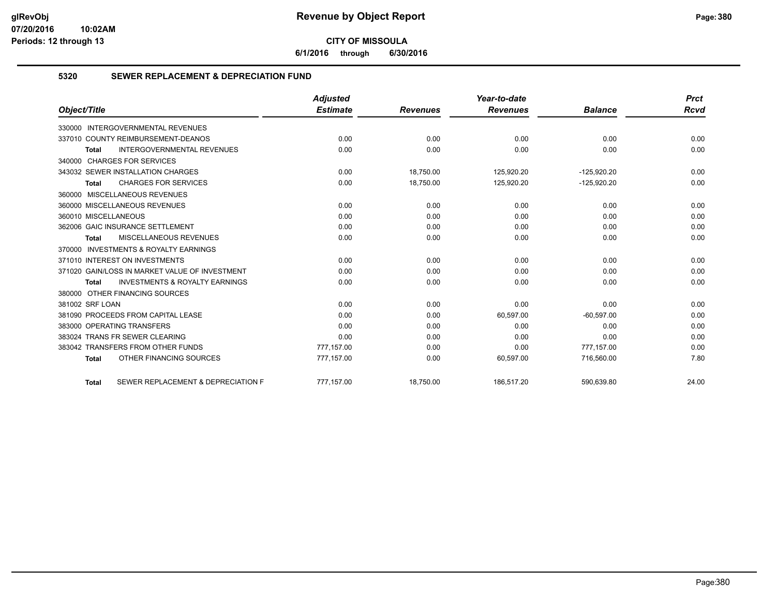**6/1/2016 through 6/30/2016**

## **5320 SEWER REPLACEMENT & DEPRECIATION FUND**

|                                                           | <b>Adjusted</b> |                 | Year-to-date    |                | <b>Prct</b> |
|-----------------------------------------------------------|-----------------|-----------------|-----------------|----------------|-------------|
| Object/Title                                              | <b>Estimate</b> | <b>Revenues</b> | <b>Revenues</b> | <b>Balance</b> | Rcvd        |
| 330000 INTERGOVERNMENTAL REVENUES                         |                 |                 |                 |                |             |
| 337010 COUNTY REIMBURSEMENT-DEANOS                        | 0.00            | 0.00            | 0.00            | 0.00           | 0.00        |
| INTERGOVERNMENTAL REVENUES<br><b>Total</b>                | 0.00            | 0.00            | 0.00            | 0.00           | 0.00        |
| 340000 CHARGES FOR SERVICES                               |                 |                 |                 |                |             |
| 343032 SEWER INSTALLATION CHARGES                         | 0.00            | 18,750.00       | 125,920.20      | $-125,920.20$  | 0.00        |
| <b>CHARGES FOR SERVICES</b><br><b>Total</b>               | 0.00            | 18,750.00       | 125,920.20      | $-125,920.20$  | 0.00        |
| 360000 MISCELLANEOUS REVENUES                             |                 |                 |                 |                |             |
| 360000 MISCELLANEOUS REVENUES                             | 0.00            | 0.00            | 0.00            | 0.00           | 0.00        |
| 360010 MISCELLANEOUS                                      | 0.00            | 0.00            | 0.00            | 0.00           | 0.00        |
| 362006 GAIC INSURANCE SETTLEMENT                          | 0.00            | 0.00            | 0.00            | 0.00           | 0.00        |
| <b>MISCELLANEOUS REVENUES</b><br><b>Total</b>             | 0.00            | 0.00            | 0.00            | 0.00           | 0.00        |
| 370000 INVESTMENTS & ROYALTY EARNINGS                     |                 |                 |                 |                |             |
| 371010 INTEREST ON INVESTMENTS                            | 0.00            | 0.00            | 0.00            | 0.00           | 0.00        |
| 371020 GAIN/LOSS IN MARKET VALUE OF INVESTMENT            | 0.00            | 0.00            | 0.00            | 0.00           | 0.00        |
| <b>INVESTMENTS &amp; ROYALTY EARNINGS</b><br><b>Total</b> | 0.00            | 0.00            | 0.00            | 0.00           | 0.00        |
| 380000 OTHER FINANCING SOURCES                            |                 |                 |                 |                |             |
| 381002 SRF LOAN                                           | 0.00            | 0.00            | 0.00            | 0.00           | 0.00        |
| 381090 PROCEEDS FROM CAPITAL LEASE                        | 0.00            | 0.00            | 60,597.00       | $-60,597.00$   | 0.00        |
| 383000 OPERATING TRANSFERS                                | 0.00            | 0.00            | 0.00            | 0.00           | 0.00        |
| 383024 TRANS FR SEWER CLEARING                            | 0.00            | 0.00            | 0.00            | 0.00           | 0.00        |
| 383042 TRANSFERS FROM OTHER FUNDS                         | 777.157.00      | 0.00            | 0.00            | 777.157.00     | 0.00        |
| OTHER FINANCING SOURCES<br><b>Total</b>                   | 777,157.00      | 0.00            | 60,597.00       | 716,560.00     | 7.80        |
| SEWER REPLACEMENT & DEPRECIATION F<br><b>Total</b>        | 777.157.00      | 18,750.00       | 186.517.20      | 590.639.80     | 24.00       |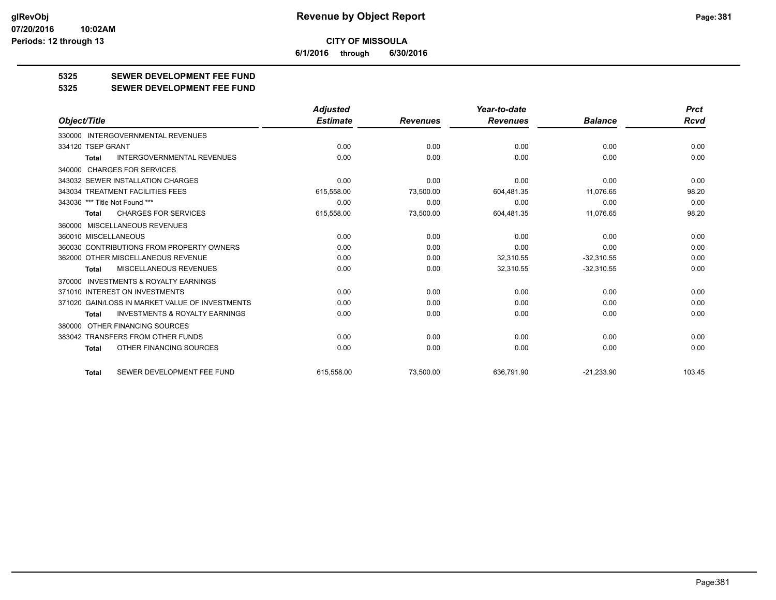**6/1/2016 through 6/30/2016**

## **5325 SEWER DEVELOPMENT FEE FUND**

#### **5325 SEWER DEVELOPMENT FEE FUND**

|                                                    | <b>Adjusted</b> |                 | Year-to-date    |                | <b>Prct</b> |
|----------------------------------------------------|-----------------|-----------------|-----------------|----------------|-------------|
| Object/Title                                       | <b>Estimate</b> | <b>Revenues</b> | <b>Revenues</b> | <b>Balance</b> | <b>Rcvd</b> |
| 330000 INTERGOVERNMENTAL REVENUES                  |                 |                 |                 |                |             |
| 334120 TSEP GRANT                                  | 0.00            | 0.00            | 0.00            | 0.00           | 0.00        |
| <b>INTERGOVERNMENTAL REVENUES</b><br><b>Total</b>  | 0.00            | 0.00            | 0.00            | 0.00           | 0.00        |
| 340000 CHARGES FOR SERVICES                        |                 |                 |                 |                |             |
| 343032 SEWER INSTALLATION CHARGES                  | 0.00            | 0.00            | 0.00            | 0.00           | 0.00        |
| 343034 TREATMENT FACILITIES FEES                   | 615,558.00      | 73,500.00       | 604,481.35      | 11.076.65      | 98.20       |
| 343036 *** Title Not Found ***                     | 0.00            | 0.00            | 0.00            | 0.00           | 0.00        |
| <b>CHARGES FOR SERVICES</b><br>Total               | 615,558.00      | 73,500.00       | 604,481.35      | 11,076.65      | 98.20       |
| 360000 MISCELLANEOUS REVENUES                      |                 |                 |                 |                |             |
| 360010 MISCELLANEOUS                               | 0.00            | 0.00            | 0.00            | 0.00           | 0.00        |
| 360030 CONTRIBUTIONS FROM PROPERTY OWNERS          | 0.00            | 0.00            | 0.00            | 0.00           | 0.00        |
| 362000 OTHER MISCELLANEOUS REVENUE                 | 0.00            | 0.00            | 32,310.55       | $-32,310.55$   | 0.00        |
| MISCELLANEOUS REVENUES<br><b>Total</b>             | 0.00            | 0.00            | 32,310.55       | $-32,310.55$   | 0.00        |
| INVESTMENTS & ROYALTY EARNINGS<br>370000           |                 |                 |                 |                |             |
| 371010 INTEREST ON INVESTMENTS                     | 0.00            | 0.00            | 0.00            | 0.00           | 0.00        |
| 371020 GAIN/LOSS IN MARKET VALUE OF INVESTMENTS    | 0.00            | 0.00            | 0.00            | 0.00           | 0.00        |
| <b>INVESTMENTS &amp; ROYALTY EARNINGS</b><br>Total | 0.00            | 0.00            | 0.00            | 0.00           | 0.00        |
| 380000 OTHER FINANCING SOURCES                     |                 |                 |                 |                |             |
| 383042 TRANSFERS FROM OTHER FUNDS                  | 0.00            | 0.00            | 0.00            | 0.00           | 0.00        |
| OTHER FINANCING SOURCES<br>Total                   | 0.00            | 0.00            | 0.00            | 0.00           | 0.00        |
| SEWER DEVELOPMENT FEE FUND<br><b>Total</b>         | 615.558.00      | 73,500.00       | 636.791.90      | $-21.233.90$   | 103.45      |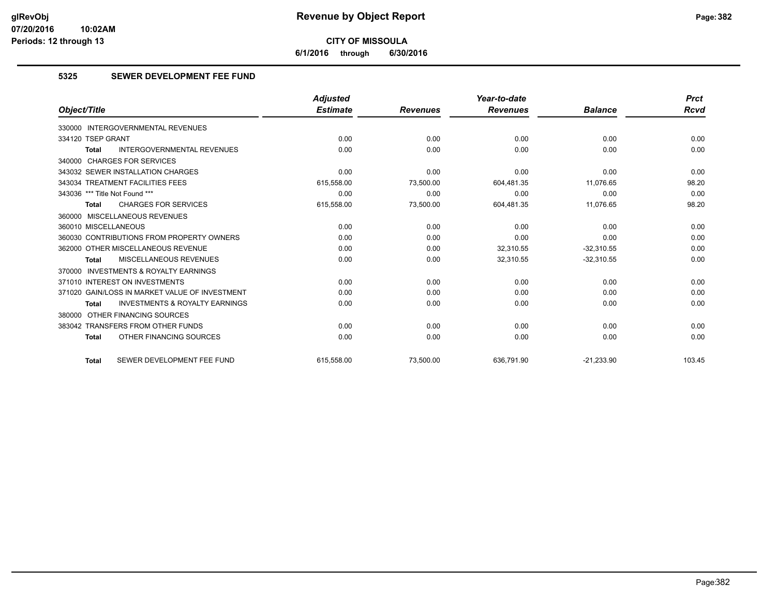**6/1/2016 through 6/30/2016**

## **5325 SEWER DEVELOPMENT FEE FUND**

|                                                           | <b>Adjusted</b> |                 | Year-to-date    |                | <b>Prct</b> |
|-----------------------------------------------------------|-----------------|-----------------|-----------------|----------------|-------------|
| Object/Title                                              | <b>Estimate</b> | <b>Revenues</b> | <b>Revenues</b> | <b>Balance</b> | <b>Rcvd</b> |
| 330000 INTERGOVERNMENTAL REVENUES                         |                 |                 |                 |                |             |
| 334120 TSEP GRANT                                         | 0.00            | 0.00            | 0.00            | 0.00           | 0.00        |
| <b>INTERGOVERNMENTAL REVENUES</b><br><b>Total</b>         | 0.00            | 0.00            | 0.00            | 0.00           | 0.00        |
| 340000 CHARGES FOR SERVICES                               |                 |                 |                 |                |             |
| 343032 SEWER INSTALLATION CHARGES                         | 0.00            | 0.00            | 0.00            | 0.00           | 0.00        |
| 343034 TREATMENT FACILITIES FEES                          | 615,558.00      | 73,500.00       | 604,481.35      | 11.076.65      | 98.20       |
| 343036 *** Title Not Found ***                            | 0.00            | 0.00            | 0.00            | 0.00           | 0.00        |
| <b>CHARGES FOR SERVICES</b><br><b>Total</b>               | 615,558.00      | 73,500.00       | 604,481.35      | 11,076.65      | 98.20       |
| 360000 MISCELLANEOUS REVENUES                             |                 |                 |                 |                |             |
| 360010 MISCELLANEOUS                                      | 0.00            | 0.00            | 0.00            | 0.00           | 0.00        |
| 360030 CONTRIBUTIONS FROM PROPERTY OWNERS                 | 0.00            | 0.00            | 0.00            | 0.00           | 0.00        |
| 362000 OTHER MISCELLANEOUS REVENUE                        | 0.00            | 0.00            | 32.310.55       | $-32.310.55$   | 0.00        |
| MISCELLANEOUS REVENUES<br><b>Total</b>                    | 0.00            | 0.00            | 32,310.55       | $-32,310.55$   | 0.00        |
| 370000 INVESTMENTS & ROYALTY EARNINGS                     |                 |                 |                 |                |             |
| 371010 INTEREST ON INVESTMENTS                            | 0.00            | 0.00            | 0.00            | 0.00           | 0.00        |
| 371020 GAIN/LOSS IN MARKET VALUE OF INVESTMENT            | 0.00            | 0.00            | 0.00            | 0.00           | 0.00        |
| <b>INVESTMENTS &amp; ROYALTY EARNINGS</b><br><b>Total</b> | 0.00            | 0.00            | 0.00            | 0.00           | 0.00        |
| 380000 OTHER FINANCING SOURCES                            |                 |                 |                 |                |             |
| 383042 TRANSFERS FROM OTHER FUNDS                         | 0.00            | 0.00            | 0.00            | 0.00           | 0.00        |
| OTHER FINANCING SOURCES<br><b>Total</b>                   | 0.00            | 0.00            | 0.00            | 0.00           | 0.00        |
| SEWER DEVELOPMENT FEE FUND<br><b>Total</b>                | 615.558.00      | 73,500.00       | 636.791.90      | $-21,233.90$   | 103.45      |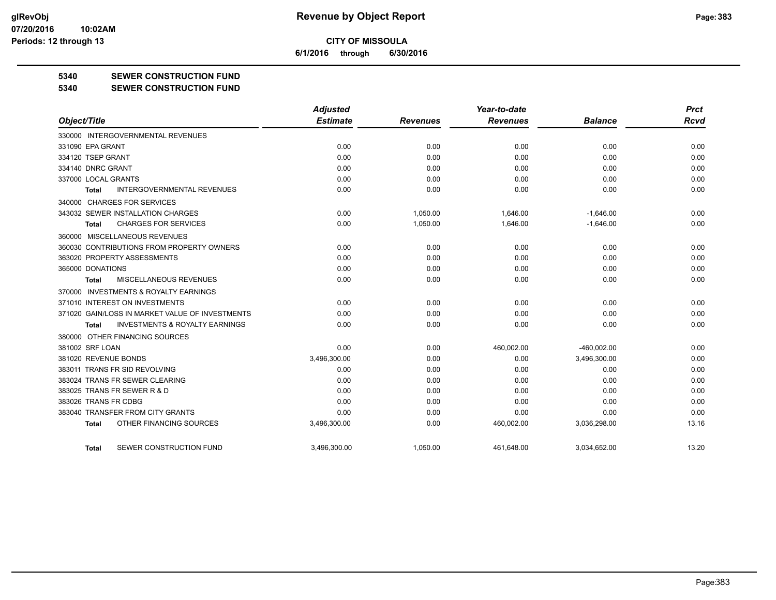**6/1/2016 through 6/30/2016**

## **5340 SEWER CONSTRUCTION FUND**

**5340 SEWER CONSTRUCTION FUND**

|                                                     | <b>Adjusted</b> |                 | Year-to-date    |                | <b>Prct</b> |
|-----------------------------------------------------|-----------------|-----------------|-----------------|----------------|-------------|
| Object/Title                                        | <b>Estimate</b> | <b>Revenues</b> | <b>Revenues</b> | <b>Balance</b> | Rcvd        |
| 330000 INTERGOVERNMENTAL REVENUES                   |                 |                 |                 |                |             |
| 331090 EPA GRANT                                    | 0.00            | 0.00            | 0.00            | 0.00           | 0.00        |
| 334120 TSEP GRANT                                   | 0.00            | 0.00            | 0.00            | 0.00           | 0.00        |
| 334140 DNRC GRANT                                   | 0.00            | 0.00            | 0.00            | 0.00           | 0.00        |
| 337000 LOCAL GRANTS                                 | 0.00            | 0.00            | 0.00            | 0.00           | 0.00        |
| <b>INTERGOVERNMENTAL REVENUES</b><br>Total          | 0.00            | 0.00            | 0.00            | 0.00           | 0.00        |
| 340000 CHARGES FOR SERVICES                         |                 |                 |                 |                |             |
| 343032 SEWER INSTALLATION CHARGES                   | 0.00            | 1,050.00        | 1,646.00        | $-1,646.00$    | 0.00        |
| <b>CHARGES FOR SERVICES</b><br>Total                | 0.00            | 1,050.00        | 1,646.00        | $-1,646.00$    | 0.00        |
| 360000 MISCELLANEOUS REVENUES                       |                 |                 |                 |                |             |
| 360030 CONTRIBUTIONS FROM PROPERTY OWNERS           | 0.00            | 0.00            | 0.00            | 0.00           | 0.00        |
| 363020 PROPERTY ASSESSMENTS                         | 0.00            | 0.00            | 0.00            | 0.00           | 0.00        |
| 365000 DONATIONS                                    | 0.00            | 0.00            | 0.00            | 0.00           | 0.00        |
| MISCELLANEOUS REVENUES<br><b>Total</b>              | 0.00            | 0.00            | 0.00            | 0.00           | 0.00        |
| <b>INVESTMENTS &amp; ROYALTY EARNINGS</b><br>370000 |                 |                 |                 |                |             |
| 371010 INTEREST ON INVESTMENTS                      | 0.00            | 0.00            | 0.00            | 0.00           | 0.00        |
| 371020 GAIN/LOSS IN MARKET VALUE OF INVESTMENTS     | 0.00            | 0.00            | 0.00            | 0.00           | 0.00        |
| <b>INVESTMENTS &amp; ROYALTY EARNINGS</b><br>Total  | 0.00            | 0.00            | 0.00            | 0.00           | 0.00        |
| 380000 OTHER FINANCING SOURCES                      |                 |                 |                 |                |             |
| 381002 SRF LOAN                                     | 0.00            | 0.00            | 460,002.00      | $-460,002.00$  | 0.00        |
| 381020 REVENUE BONDS                                | 3,496,300.00    | 0.00            | 0.00            | 3,496,300.00   | 0.00        |
| 383011 TRANS FR SID REVOLVING                       | 0.00            | 0.00            | 0.00            | 0.00           | 0.00        |
| 383024 TRANS FR SEWER CLEARING                      | 0.00            | 0.00            | 0.00            | 0.00           | 0.00        |
| 383025 TRANS FR SEWER R & D                         | 0.00            | 0.00            | 0.00            | 0.00           | 0.00        |
| 383026 TRANS FR CDBG                                | 0.00            | 0.00            | 0.00            | 0.00           | 0.00        |
| 383040 TRANSFER FROM CITY GRANTS                    | 0.00            | 0.00            | 0.00            | 0.00           | 0.00        |
| OTHER FINANCING SOURCES<br><b>Total</b>             | 3,496,300.00    | 0.00            | 460,002.00      | 3,036,298.00   | 13.16       |
| SEWER CONSTRUCTION FUND<br>Total                    | 3.496.300.00    | 1.050.00        | 461,648.00      | 3,034,652.00   | 13.20       |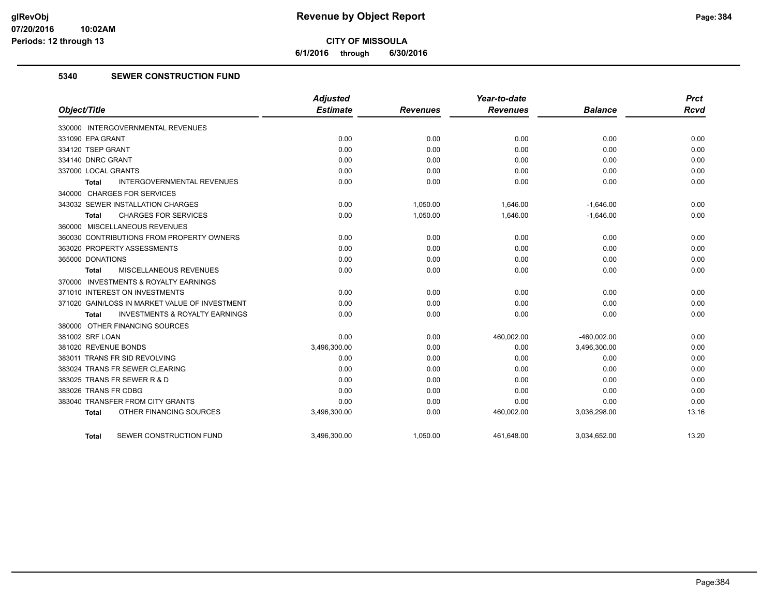**6/1/2016 through 6/30/2016**

## **5340 SEWER CONSTRUCTION FUND**

|                                                           | <b>Adjusted</b> |                 | Year-to-date    |                | <b>Prct</b> |
|-----------------------------------------------------------|-----------------|-----------------|-----------------|----------------|-------------|
| Object/Title                                              | <b>Estimate</b> | <b>Revenues</b> | <b>Revenues</b> | <b>Balance</b> | <b>Rcvd</b> |
| 330000 INTERGOVERNMENTAL REVENUES                         |                 |                 |                 |                |             |
| 331090 EPA GRANT                                          | 0.00            | 0.00            | 0.00            | 0.00           | 0.00        |
| 334120 TSEP GRANT                                         | 0.00            | 0.00            | 0.00            | 0.00           | 0.00        |
| 334140 DNRC GRANT                                         | 0.00            | 0.00            | 0.00            | 0.00           | 0.00        |
| 337000 LOCAL GRANTS                                       | 0.00            | 0.00            | 0.00            | 0.00           | 0.00        |
| <b>INTERGOVERNMENTAL REVENUES</b><br><b>Total</b>         | 0.00            | 0.00            | 0.00            | 0.00           | 0.00        |
| 340000 CHARGES FOR SERVICES                               |                 |                 |                 |                |             |
| 343032 SEWER INSTALLATION CHARGES                         | 0.00            | 1,050.00        | 1,646.00        | $-1,646.00$    | 0.00        |
| <b>CHARGES FOR SERVICES</b><br><b>Total</b>               | 0.00            | 1,050.00        | 1,646.00        | $-1,646.00$    | 0.00        |
| 360000 MISCELLANEOUS REVENUES                             |                 |                 |                 |                |             |
| 360030 CONTRIBUTIONS FROM PROPERTY OWNERS                 | 0.00            | 0.00            | 0.00            | 0.00           | 0.00        |
| 363020 PROPERTY ASSESSMENTS                               | 0.00            | 0.00            | 0.00            | 0.00           | 0.00        |
| 365000 DONATIONS                                          | 0.00            | 0.00            | 0.00            | 0.00           | 0.00        |
| MISCELLANEOUS REVENUES<br><b>Total</b>                    | 0.00            | 0.00            | 0.00            | 0.00           | 0.00        |
| 370000 INVESTMENTS & ROYALTY EARNINGS                     |                 |                 |                 |                |             |
| 371010 INTEREST ON INVESTMENTS                            | 0.00            | 0.00            | 0.00            | 0.00           | 0.00        |
| 371020 GAIN/LOSS IN MARKET VALUE OF INVESTMENT            | 0.00            | 0.00            | 0.00            | 0.00           | 0.00        |
| <b>INVESTMENTS &amp; ROYALTY EARNINGS</b><br><b>Total</b> | 0.00            | 0.00            | 0.00            | 0.00           | 0.00        |
| 380000 OTHER FINANCING SOURCES                            |                 |                 |                 |                |             |
| 381002 SRF LOAN                                           | 0.00            | 0.00            | 460,002.00      | $-460,002.00$  | 0.00        |
| 381020 REVENUE BONDS                                      | 3,496,300.00    | 0.00            | 0.00            | 3,496,300.00   | 0.00        |
| 383011 TRANS FR SID REVOLVING                             | 0.00            | 0.00            | 0.00            | 0.00           | 0.00        |
| 383024 TRANS FR SEWER CLEARING                            | 0.00            | 0.00            | 0.00            | 0.00           | 0.00        |
| 383025 TRANS FR SEWER R & D                               | 0.00            | 0.00            | 0.00            | 0.00           | 0.00        |
| 383026 TRANS FR CDBG                                      | 0.00            | 0.00            | 0.00            | 0.00           | 0.00        |
| 383040 TRANSFER FROM CITY GRANTS                          | 0.00            | 0.00            | 0.00            | 0.00           | 0.00        |
| OTHER FINANCING SOURCES<br><b>Total</b>                   | 3,496,300.00    | 0.00            | 460,002.00      | 3,036,298.00   | 13.16       |
| SEWER CONSTRUCTION FUND<br><b>Total</b>                   | 3,496,300.00    | 1,050.00        | 461,648.00      | 3,034,652.00   | 13.20       |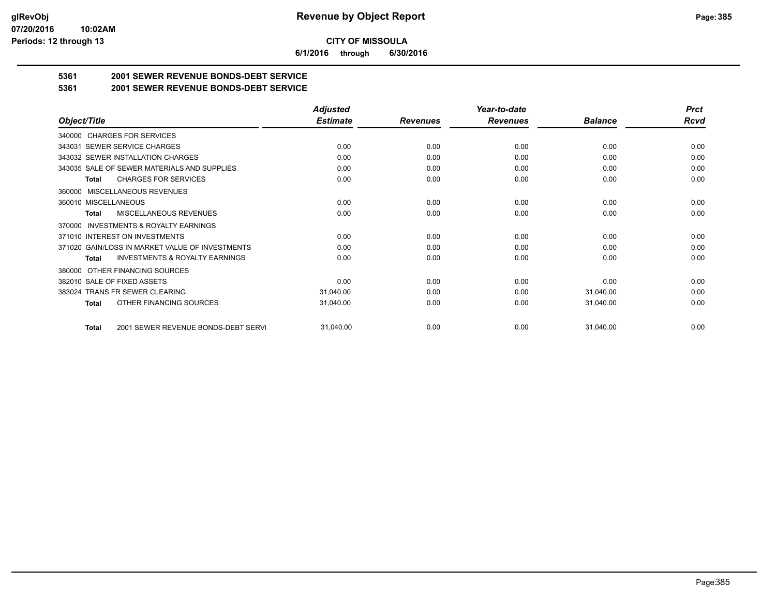**6/1/2016 through 6/30/2016**

## **5361 2001 SEWER REVENUE BONDS-DEBT SERVICE**

**5361 2001 SEWER REVENUE BONDS-DEBT SERVICE**

|                                                           | <b>Adjusted</b> |                 | Year-to-date    |                | <b>Prct</b> |
|-----------------------------------------------------------|-----------------|-----------------|-----------------|----------------|-------------|
| Object/Title                                              | <b>Estimate</b> | <b>Revenues</b> | <b>Revenues</b> | <b>Balance</b> | <b>Rcvd</b> |
| 340000 CHARGES FOR SERVICES                               |                 |                 |                 |                |             |
| 343031 SEWER SERVICE CHARGES                              | 0.00            | 0.00            | 0.00            | 0.00           | 0.00        |
| 343032 SEWER INSTALLATION CHARGES                         | 0.00            | 0.00            | 0.00            | 0.00           | 0.00        |
| 343035 SALE OF SEWER MATERIALS AND SUPPLIES               | 0.00            | 0.00            | 0.00            | 0.00           | 0.00        |
| <b>CHARGES FOR SERVICES</b><br><b>Total</b>               | 0.00            | 0.00            | 0.00            | 0.00           | 0.00        |
| MISCELLANEOUS REVENUES<br>360000                          |                 |                 |                 |                |             |
| 360010 MISCELLANEOUS                                      | 0.00            | 0.00            | 0.00            | 0.00           | 0.00        |
| MISCELLANEOUS REVENUES<br><b>Total</b>                    | 0.00            | 0.00            | 0.00            | 0.00           | 0.00        |
| <b>INVESTMENTS &amp; ROYALTY EARNINGS</b><br>370000       |                 |                 |                 |                |             |
| 371010 INTEREST ON INVESTMENTS                            | 0.00            | 0.00            | 0.00            | 0.00           | 0.00        |
| 371020 GAIN/LOSS IN MARKET VALUE OF INVESTMENTS           | 0.00            | 0.00            | 0.00            | 0.00           | 0.00        |
| <b>INVESTMENTS &amp; ROYALTY EARNINGS</b><br><b>Total</b> | 0.00            | 0.00            | 0.00            | 0.00           | 0.00        |
| OTHER FINANCING SOURCES<br>380000                         |                 |                 |                 |                |             |
| 382010 SALE OF FIXED ASSETS                               | 0.00            | 0.00            | 0.00            | 0.00           | 0.00        |
| 383024 TRANS FR SEWER CLEARING                            | 31,040.00       | 0.00            | 0.00            | 31,040.00      | 0.00        |
| OTHER FINANCING SOURCES<br><b>Total</b>                   | 31,040.00       | 0.00            | 0.00            | 31,040.00      | 0.00        |
| 2001 SEWER REVENUE BONDS-DEBT SERVI<br><b>Total</b>       | 31,040.00       | 0.00            | 0.00            | 31,040.00      | 0.00        |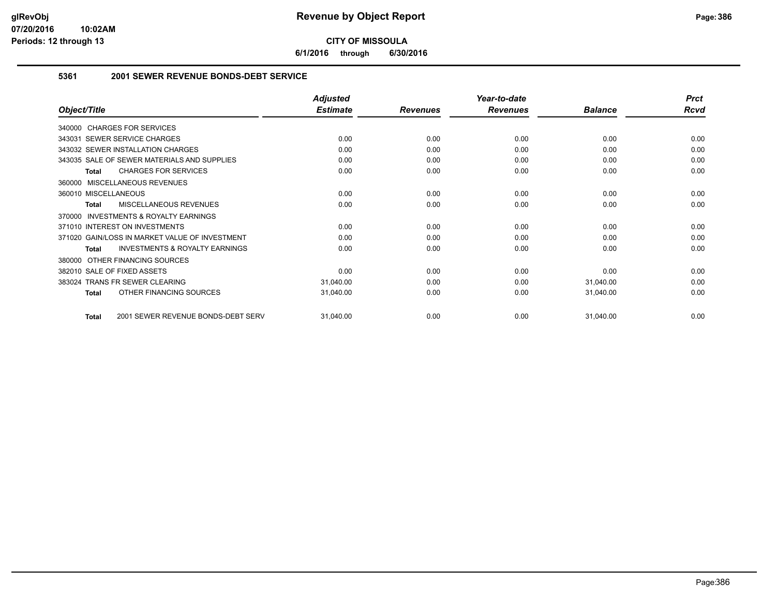**6/1/2016 through 6/30/2016**

## **5361 2001 SEWER REVENUE BONDS-DEBT SERVICE**

|                                                    | <b>Adjusted</b> |                 | Year-to-date    |                | <b>Prct</b> |
|----------------------------------------------------|-----------------|-----------------|-----------------|----------------|-------------|
| Object/Title                                       | <b>Estimate</b> | <b>Revenues</b> | <b>Revenues</b> | <b>Balance</b> | <b>Rcvd</b> |
| 340000 CHARGES FOR SERVICES                        |                 |                 |                 |                |             |
| 343031 SEWER SERVICE CHARGES                       | 0.00            | 0.00            | 0.00            | 0.00           | 0.00        |
| 343032 SEWER INSTALLATION CHARGES                  | 0.00            | 0.00            | 0.00            | 0.00           | 0.00        |
| 343035 SALE OF SEWER MATERIALS AND SUPPLIES        | 0.00            | 0.00            | 0.00            | 0.00           | 0.00        |
| <b>CHARGES FOR SERVICES</b><br>Total               | 0.00            | 0.00            | 0.00            | 0.00           | 0.00        |
| 360000 MISCELLANEOUS REVENUES                      |                 |                 |                 |                |             |
| 360010 MISCELLANEOUS                               | 0.00            | 0.00            | 0.00            | 0.00           | 0.00        |
| <b>MISCELLANEOUS REVENUES</b><br>Total             | 0.00            | 0.00            | 0.00            | 0.00           | 0.00        |
| INVESTMENTS & ROYALTY EARNINGS<br>370000           |                 |                 |                 |                |             |
| 371010 INTEREST ON INVESTMENTS                     | 0.00            | 0.00            | 0.00            | 0.00           | 0.00        |
| 371020 GAIN/LOSS IN MARKET VALUE OF INVESTMENT     | 0.00            | 0.00            | 0.00            | 0.00           | 0.00        |
| <b>INVESTMENTS &amp; ROYALTY EARNINGS</b><br>Total | 0.00            | 0.00            | 0.00            | 0.00           | 0.00        |
| 380000 OTHER FINANCING SOURCES                     |                 |                 |                 |                |             |
| 382010 SALE OF FIXED ASSETS                        | 0.00            | 0.00            | 0.00            | 0.00           | 0.00        |
| 383024 TRANS FR SEWER CLEARING                     | 31,040.00       | 0.00            | 0.00            | 31,040.00      | 0.00        |
| OTHER FINANCING SOURCES<br><b>Total</b>            | 31,040.00       | 0.00            | 0.00            | 31,040.00      | 0.00        |
| 2001 SEWER REVENUE BONDS-DEBT SERV<br>Total        | 31,040.00       | 0.00            | 0.00            | 31,040.00      | 0.00        |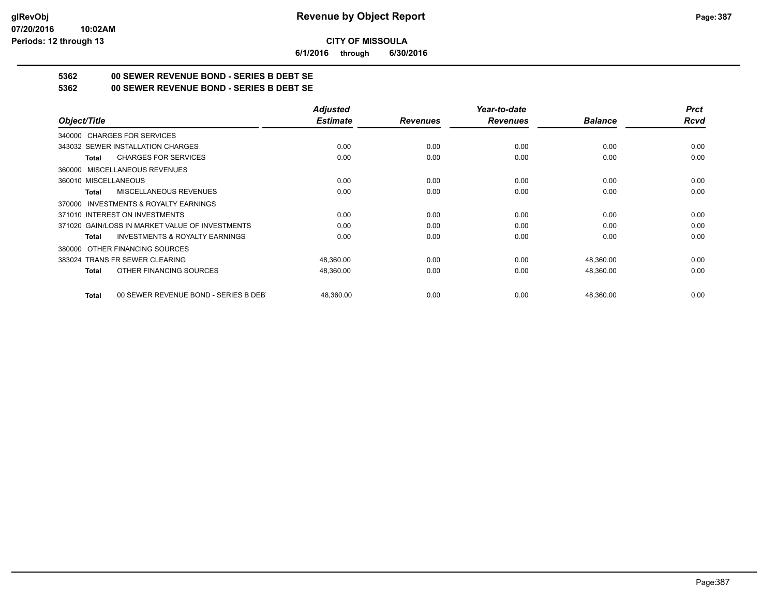**6/1/2016 through 6/30/2016**

## **5362 00 SEWER REVENUE BOND - SERIES B DEBT SE**

**5362 00 SEWER REVENUE BOND - SERIES B DEBT SE**

|                                                           | <b>Adjusted</b> |                 | Year-to-date    |                | <b>Prct</b> |
|-----------------------------------------------------------|-----------------|-----------------|-----------------|----------------|-------------|
| Object/Title                                              | <b>Estimate</b> | <b>Revenues</b> | <b>Revenues</b> | <b>Balance</b> | Rcvd        |
| 340000 CHARGES FOR SERVICES                               |                 |                 |                 |                |             |
| 343032 SEWER INSTALLATION CHARGES                         | 0.00            | 0.00            | 0.00            | 0.00           | 0.00        |
| <b>CHARGES FOR SERVICES</b><br>Total                      | 0.00            | 0.00            | 0.00            | 0.00           | 0.00        |
| 360000 MISCELLANEOUS REVENUES                             |                 |                 |                 |                |             |
| 360010 MISCELLANEOUS                                      | 0.00            | 0.00            | 0.00            | 0.00           | 0.00        |
| MISCELLANEOUS REVENUES<br>Total                           | 0.00            | 0.00            | 0.00            | 0.00           | 0.00        |
| 370000 INVESTMENTS & ROYALTY EARNINGS                     |                 |                 |                 |                |             |
| 371010 INTEREST ON INVESTMENTS                            | 0.00            | 0.00            | 0.00            | 0.00           | 0.00        |
| 371020 GAIN/LOSS IN MARKET VALUE OF INVESTMENTS           | 0.00            | 0.00            | 0.00            | 0.00           | 0.00        |
| <b>INVESTMENTS &amp; ROYALTY EARNINGS</b><br><b>Total</b> | 0.00            | 0.00            | 0.00            | 0.00           | 0.00        |
| 380000 OTHER FINANCING SOURCES                            |                 |                 |                 |                |             |
| 383024 TRANS FR SEWER CLEARING                            | 48,360.00       | 0.00            | 0.00            | 48,360.00      | 0.00        |
| OTHER FINANCING SOURCES<br><b>Total</b>                   | 48,360.00       | 0.00            | 0.00            | 48,360.00      | 0.00        |
| 00 SEWER REVENUE BOND - SERIES B DEB<br><b>Total</b>      | 48.360.00       | 0.00            | 0.00            | 48,360.00      | 0.00        |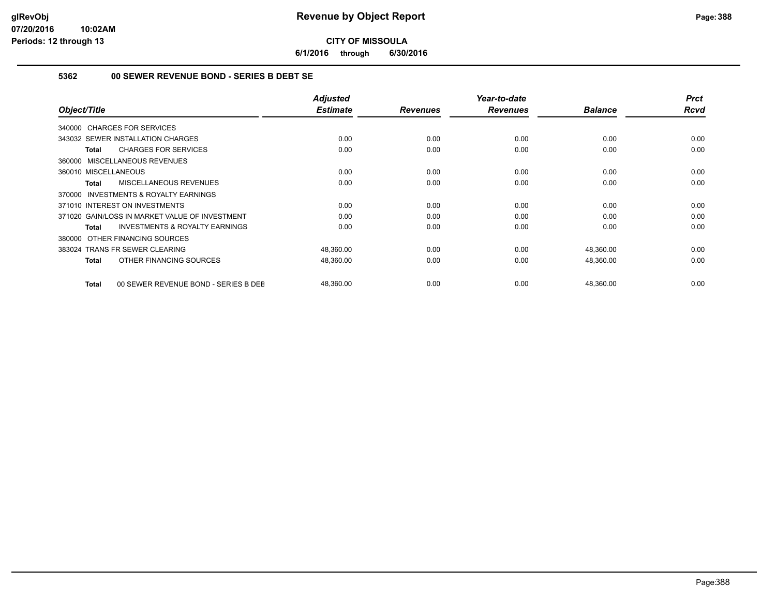**6/1/2016 through 6/30/2016**

## **5362 00 SEWER REVENUE BOND - SERIES B DEBT SE**

| Object/Title                                              | <b>Adjusted</b><br><b>Estimate</b> | <b>Revenues</b> | Year-to-date<br><b>Revenues</b> | <b>Balance</b> | <b>Prct</b><br><b>Rcvd</b> |
|-----------------------------------------------------------|------------------------------------|-----------------|---------------------------------|----------------|----------------------------|
| 340000 CHARGES FOR SERVICES                               |                                    |                 |                                 |                |                            |
| 343032 SEWER INSTALLATION CHARGES                         | 0.00                               | 0.00            | 0.00                            | 0.00           | 0.00                       |
| <b>CHARGES FOR SERVICES</b><br>Total                      | 0.00                               | 0.00            | 0.00                            | 0.00           | 0.00                       |
| 360000 MISCELLANEOUS REVENUES                             |                                    |                 |                                 |                |                            |
| 360010 MISCELLANEOUS                                      | 0.00                               | 0.00            | 0.00                            | 0.00           | 0.00                       |
| MISCELLANEOUS REVENUES<br><b>Total</b>                    | 0.00                               | 0.00            | 0.00                            | 0.00           | 0.00                       |
| <b>INVESTMENTS &amp; ROYALTY EARNINGS</b><br>370000       |                                    |                 |                                 |                |                            |
| 371010 INTEREST ON INVESTMENTS                            | 0.00                               | 0.00            | 0.00                            | 0.00           | 0.00                       |
| 371020 GAIN/LOSS IN MARKET VALUE OF INVESTMENT            | 0.00                               | 0.00            | 0.00                            | 0.00           | 0.00                       |
| <b>INVESTMENTS &amp; ROYALTY EARNINGS</b><br><b>Total</b> | 0.00                               | 0.00            | 0.00                            | 0.00           | 0.00                       |
| OTHER FINANCING SOURCES<br>380000                         |                                    |                 |                                 |                |                            |
| 383024 TRANS FR SEWER CLEARING                            | 48,360.00                          | 0.00            | 0.00                            | 48,360.00      | 0.00                       |
| OTHER FINANCING SOURCES<br><b>Total</b>                   | 48,360.00                          | 0.00            | 0.00                            | 48,360.00      | 0.00                       |
| 00 SEWER REVENUE BOND - SERIES B DEE<br><b>Total</b>      | 48,360.00                          | 0.00            | 0.00                            | 48,360.00      | 0.00                       |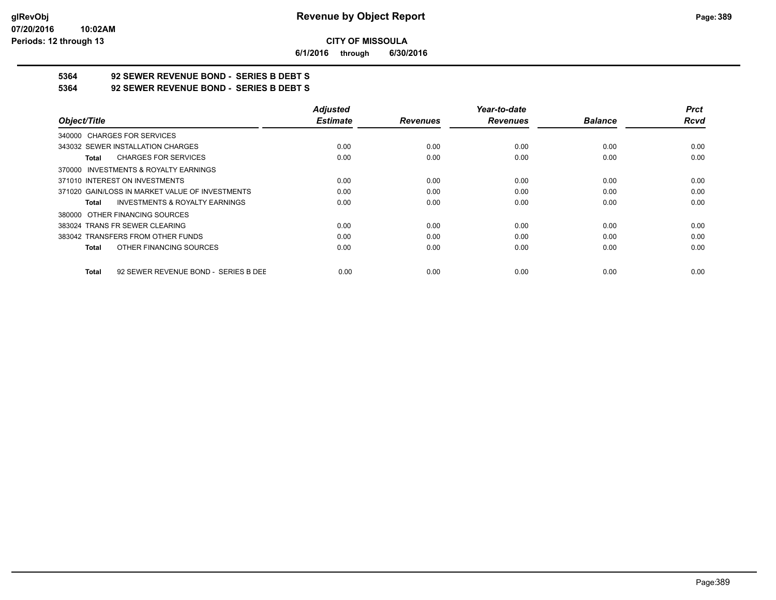**6/1/2016 through 6/30/2016**

## **5364 92 SEWER REVENUE BOND - SERIES B DEBT S**

**5364 92 SEWER REVENUE BOND - SERIES B DEBT S**

|                                                      | <b>Adjusted</b> |                 | Year-to-date    |                | <b>Prct</b> |
|------------------------------------------------------|-----------------|-----------------|-----------------|----------------|-------------|
| Object/Title                                         | <b>Estimate</b> | <b>Revenues</b> | <b>Revenues</b> | <b>Balance</b> | <b>Rcvd</b> |
| 340000 CHARGES FOR SERVICES                          |                 |                 |                 |                |             |
| 343032 SEWER INSTALLATION CHARGES                    | 0.00            | 0.00            | 0.00            | 0.00           | 0.00        |
| <b>CHARGES FOR SERVICES</b><br>Total                 | 0.00            | 0.00            | 0.00            | 0.00           | 0.00        |
| 370000 INVESTMENTS & ROYALTY EARNINGS                |                 |                 |                 |                |             |
| 371010 INTEREST ON INVESTMENTS                       | 0.00            | 0.00            | 0.00            | 0.00           | 0.00        |
| 371020 GAIN/LOSS IN MARKET VALUE OF INVESTMENTS      | 0.00            | 0.00            | 0.00            | 0.00           | 0.00        |
| <b>INVESTMENTS &amp; ROYALTY EARNINGS</b><br>Total   | 0.00            | 0.00            | 0.00            | 0.00           | 0.00        |
| 380000 OTHER FINANCING SOURCES                       |                 |                 |                 |                |             |
| 383024 TRANS FR SEWER CLEARING                       | 0.00            | 0.00            | 0.00            | 0.00           | 0.00        |
| 383042 TRANSFERS FROM OTHER FUNDS                    | 0.00            | 0.00            | 0.00            | 0.00           | 0.00        |
| OTHER FINANCING SOURCES<br><b>Total</b>              | 0.00            | 0.00            | 0.00            | 0.00           | 0.00        |
| 92 SEWER REVENUE BOND - SERIES B DEE<br><b>Total</b> | 0.00            | 0.00            | 0.00            | 0.00           | 0.00        |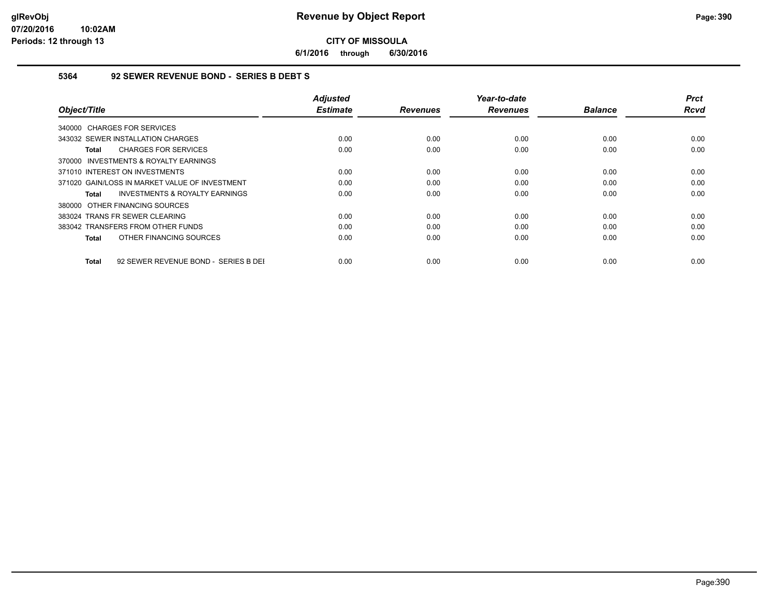**6/1/2016 through 6/30/2016**

## **5364 92 SEWER REVENUE BOND - SERIES B DEBT S**

| Object/Title                                         | <b>Adjusted</b><br><b>Estimate</b> | <b>Revenues</b> | Year-to-date<br><b>Revenues</b> | <b>Balance</b> | <b>Prct</b><br>Rcvd |
|------------------------------------------------------|------------------------------------|-----------------|---------------------------------|----------------|---------------------|
| 340000 CHARGES FOR SERVICES                          |                                    |                 |                                 |                |                     |
| 343032 SEWER INSTALLATION CHARGES                    | 0.00                               | 0.00            | 0.00                            | 0.00           | 0.00                |
| <b>CHARGES FOR SERVICES</b><br>Total                 | 0.00                               | 0.00            | 0.00                            | 0.00           | 0.00                |
| INVESTMENTS & ROYALTY EARNINGS<br>370000             |                                    |                 |                                 |                |                     |
| 371010 INTEREST ON INVESTMENTS                       | 0.00                               | 0.00            | 0.00                            | 0.00           | 0.00                |
| 371020 GAIN/LOSS IN MARKET VALUE OF INVESTMENT       | 0.00                               | 0.00            | 0.00                            | 0.00           | 0.00                |
| INVESTMENTS & ROYALTY EARNINGS<br>Total              | 0.00                               | 0.00            | 0.00                            | 0.00           | 0.00                |
| 380000 OTHER FINANCING SOURCES                       |                                    |                 |                                 |                |                     |
| 383024 TRANS FR SEWER CLEARING                       | 0.00                               | 0.00            | 0.00                            | 0.00           | 0.00                |
| 383042 TRANSFERS FROM OTHER FUNDS                    | 0.00                               | 0.00            | 0.00                            | 0.00           | 0.00                |
| OTHER FINANCING SOURCES<br><b>Total</b>              | 0.00                               | 0.00            | 0.00                            | 0.00           | 0.00                |
| 92 SEWER REVENUE BOND - SERIES B DEI<br><b>Total</b> | 0.00                               | 0.00            | 0.00                            | 0.00           | 0.00                |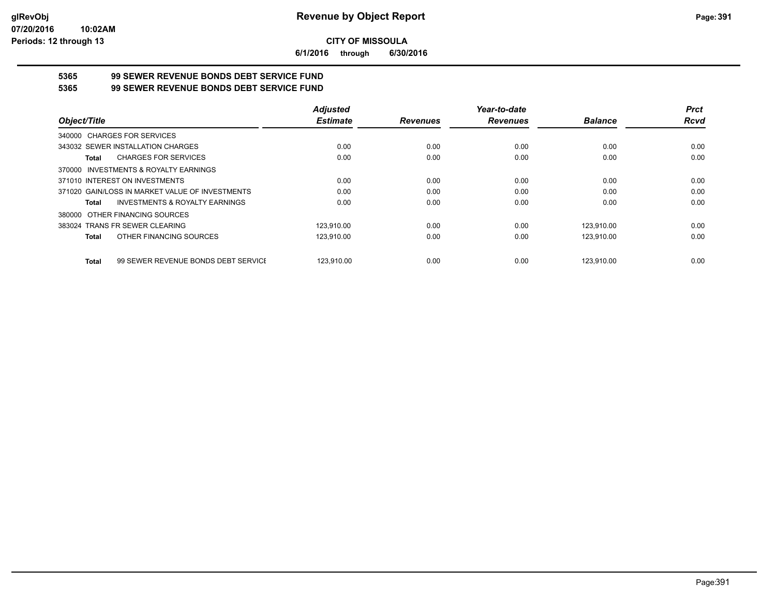**6/1/2016 through 6/30/2016**

# **5365 99 SEWER REVENUE BONDS DEBT SERVICE FUND**

**5365 99 SEWER REVENUE BONDS DEBT SERVICE FUND**

|                                                     | <b>Adjusted</b> |                 | Year-to-date    |                | <b>Prct</b> |
|-----------------------------------------------------|-----------------|-----------------|-----------------|----------------|-------------|
| Object/Title                                        | <b>Estimate</b> | <b>Revenues</b> | <b>Revenues</b> | <b>Balance</b> | <b>Rcvd</b> |
| 340000 CHARGES FOR SERVICES                         |                 |                 |                 |                |             |
| 343032 SEWER INSTALLATION CHARGES                   | 0.00            | 0.00            | 0.00            | 0.00           | 0.00        |
| <b>CHARGES FOR SERVICES</b><br>Total                | 0.00            | 0.00            | 0.00            | 0.00           | 0.00        |
| 370000 INVESTMENTS & ROYALTY EARNINGS               |                 |                 |                 |                |             |
| 371010 INTEREST ON INVESTMENTS                      | 0.00            | 0.00            | 0.00            | 0.00           | 0.00        |
| 371020 GAIN/LOSS IN MARKET VALUE OF INVESTMENTS     | 0.00            | 0.00            | 0.00            | 0.00           | 0.00        |
| <b>INVESTMENTS &amp; ROYALTY EARNINGS</b><br>Total  | 0.00            | 0.00            | 0.00            | 0.00           | 0.00        |
| 380000 OTHER FINANCING SOURCES                      |                 |                 |                 |                |             |
| 383024 TRANS FR SEWER CLEARING                      | 123.910.00      | 0.00            | 0.00            | 123.910.00     | 0.00        |
| OTHER FINANCING SOURCES<br><b>Total</b>             | 123.910.00      | 0.00            | 0.00            | 123.910.00     | 0.00        |
| 99 SEWER REVENUE BONDS DEBT SERVICE<br><b>Total</b> | 123.910.00      | 0.00            | 0.00            | 123.910.00     | 0.00        |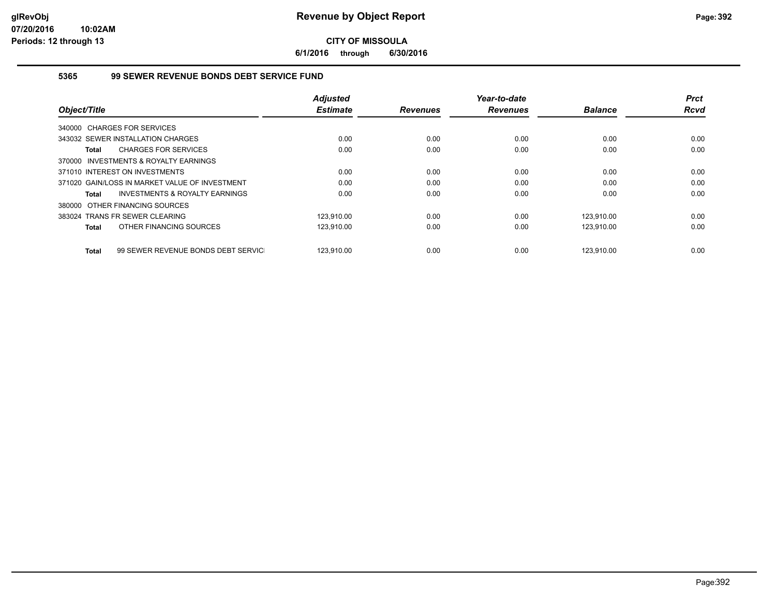**6/1/2016 through 6/30/2016**

#### **5365 99 SEWER REVENUE BONDS DEBT SERVICE FUND**

| Object/Title                                       | <b>Adjusted</b><br><b>Estimate</b> | <b>Revenues</b> | Year-to-date<br><b>Revenues</b> | <b>Balance</b> | <b>Prct</b><br><b>Rcvd</b> |
|----------------------------------------------------|------------------------------------|-----------------|---------------------------------|----------------|----------------------------|
| 340000 CHARGES FOR SERVICES                        |                                    |                 |                                 |                |                            |
| 343032 SEWER INSTALLATION CHARGES                  | 0.00                               | 0.00            | 0.00                            | 0.00           | 0.00                       |
| <b>CHARGES FOR SERVICES</b><br><b>Total</b>        | 0.00                               | 0.00            | 0.00                            | 0.00           | 0.00                       |
| 370000 INVESTMENTS & ROYALTY EARNINGS              |                                    |                 |                                 |                |                            |
| 371010 INTEREST ON INVESTMENTS                     | 0.00                               | 0.00            | 0.00                            | 0.00           | 0.00                       |
| 371020 GAIN/LOSS IN MARKET VALUE OF INVESTMENT     | 0.00                               | 0.00            | 0.00                            | 0.00           | 0.00                       |
| INVESTMENTS & ROYALTY EARNINGS<br>Total            | 0.00                               | 0.00            | 0.00                            | 0.00           | 0.00                       |
| 380000 OTHER FINANCING SOURCES                     |                                    |                 |                                 |                |                            |
| 383024 TRANS FR SEWER CLEARING                     | 123.910.00                         | 0.00            | 0.00                            | 123.910.00     | 0.00                       |
| OTHER FINANCING SOURCES<br><b>Total</b>            | 123,910.00                         | 0.00            | 0.00                            | 123,910.00     | 0.00                       |
|                                                    |                                    |                 |                                 |                |                            |
| 99 SEWER REVENUE BONDS DEBT SERVIC<br><b>Total</b> | 123.910.00                         | 0.00            | 0.00                            | 123.910.00     | 0.00                       |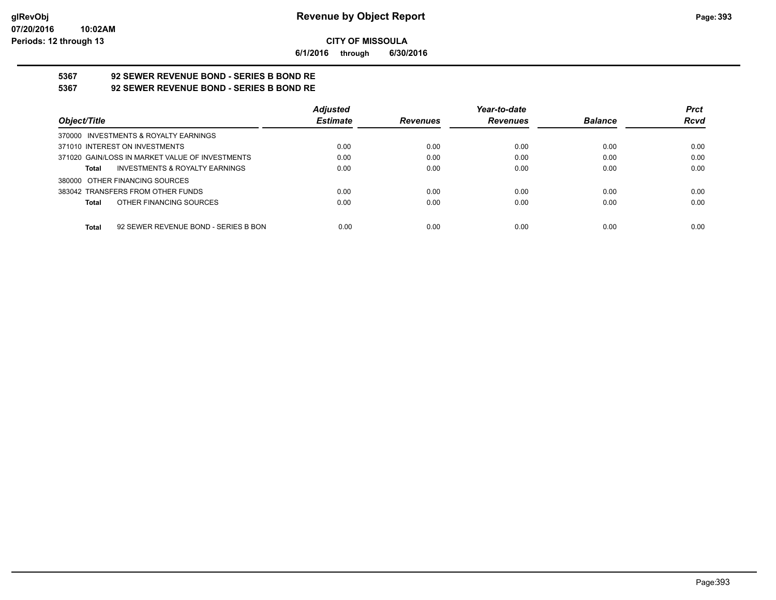**6/1/2016 through 6/30/2016**

# **5367 92 SEWER REVENUE BOND - SERIES B BOND RE**

**5367 92 SEWER REVENUE BOND - SERIES B BOND RE**

|                                                    | <b>Adjusted</b> |                 | Year-to-date    |                | <b>Prct</b> |
|----------------------------------------------------|-----------------|-----------------|-----------------|----------------|-------------|
| Object/Title                                       | <b>Estimate</b> | <b>Revenues</b> | <b>Revenues</b> | <b>Balance</b> | <b>Rcvd</b> |
| 370000 INVESTMENTS & ROYALTY EARNINGS              |                 |                 |                 |                |             |
| 371010 INTEREST ON INVESTMENTS                     | 0.00            | 0.00            | 0.00            | 0.00           | 0.00        |
| 371020 GAIN/LOSS IN MARKET VALUE OF INVESTMENTS    | 0.00            | 0.00            | 0.00            | 0.00           | 0.00        |
| <b>INVESTMENTS &amp; ROYALTY EARNINGS</b><br>Total | 0.00            | 0.00            | 0.00            | 0.00           | 0.00        |
| 380000 OTHER FINANCING SOURCES                     |                 |                 |                 |                |             |
| 383042 TRANSFERS FROM OTHER FUNDS                  | 0.00            | 0.00            | 0.00            | 0.00           | 0.00        |
| OTHER FINANCING SOURCES<br>Total                   | 0.00            | 0.00            | 0.00            | 0.00           | 0.00        |
|                                                    |                 |                 |                 |                |             |
| 92 SEWER REVENUE BOND - SERIES B BON<br>Total      | 0.00            | 0.00            | 0.00            | 0.00           | 0.00        |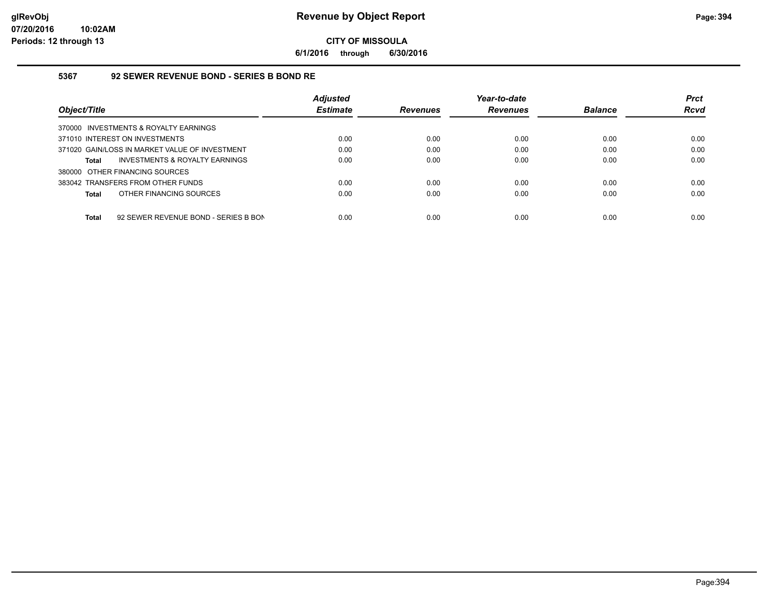**6/1/2016 through 6/30/2016**

#### **5367 92 SEWER REVENUE BOND - SERIES B BOND RE**

|                                                    | <b>Adjusted</b> |                 | Year-to-date    |                | <b>Prct</b> |
|----------------------------------------------------|-----------------|-----------------|-----------------|----------------|-------------|
| Object/Title                                       | <b>Estimate</b> | <b>Revenues</b> | <b>Revenues</b> | <b>Balance</b> | <b>Rcvd</b> |
| 370000 INVESTMENTS & ROYALTY EARNINGS              |                 |                 |                 |                |             |
| 371010 INTEREST ON INVESTMENTS                     | 0.00            | 0.00            | 0.00            | 0.00           | 0.00        |
| 371020 GAIN/LOSS IN MARKET VALUE OF INVESTMENT     | 0.00            | 0.00            | 0.00            | 0.00           | 0.00        |
| <b>INVESTMENTS &amp; ROYALTY EARNINGS</b><br>Total | 0.00            | 0.00            | 0.00            | 0.00           | 0.00        |
| 380000 OTHER FINANCING SOURCES                     |                 |                 |                 |                |             |
| 383042 TRANSFERS FROM OTHER FUNDS                  | 0.00            | 0.00            | 0.00            | 0.00           | 0.00        |
| OTHER FINANCING SOURCES<br>Total                   | 0.00            | 0.00            | 0.00            | 0.00           | 0.00        |
| Total<br>92 SEWER REVENUE BOND - SERIES B BON      | 0.00            | 0.00            | 0.00            | 0.00           | 0.00        |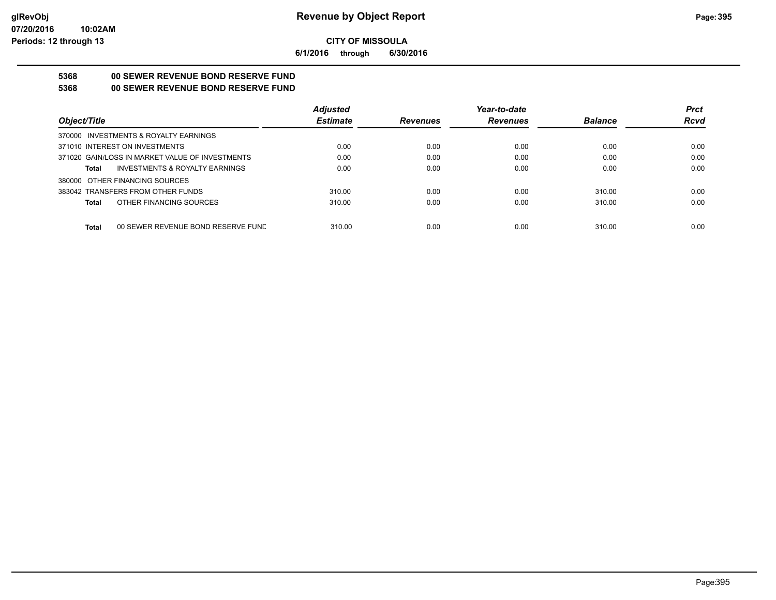**6/1/2016 through 6/30/2016**

## **5368 00 SEWER REVENUE BOND RESERVE FUND**

**5368 00 SEWER REVENUE BOND RESERVE FUND**

|                                                    | <b>Adjusted</b> |                 | Year-to-date    |                | <b>Prct</b> |
|----------------------------------------------------|-----------------|-----------------|-----------------|----------------|-------------|
| Object/Title                                       | <b>Estimate</b> | <b>Revenues</b> | <b>Revenues</b> | <b>Balance</b> | <b>Rcvd</b> |
| 370000 INVESTMENTS & ROYALTY EARNINGS              |                 |                 |                 |                |             |
| 371010 INTEREST ON INVESTMENTS                     | 0.00            | 0.00            | 0.00            | 0.00           | 0.00        |
| 371020 GAIN/LOSS IN MARKET VALUE OF INVESTMENTS    | 0.00            | 0.00            | 0.00            | 0.00           | 0.00        |
| <b>INVESTMENTS &amp; ROYALTY EARNINGS</b><br>Total | 0.00            | 0.00            | 0.00            | 0.00           | 0.00        |
| 380000 OTHER FINANCING SOURCES                     |                 |                 |                 |                |             |
| 383042 TRANSFERS FROM OTHER FUNDS                  | 310.00          | 0.00            | 0.00            | 310.00         | 0.00        |
| OTHER FINANCING SOURCES<br>Total                   | 310.00          | 0.00            | 0.00            | 310.00         | 0.00        |
|                                                    |                 |                 |                 |                |             |
| 00 SEWER REVENUE BOND RESERVE FUND<br>Total        | 310.00          | 0.00            | 0.00            | 310.00         | 0.00        |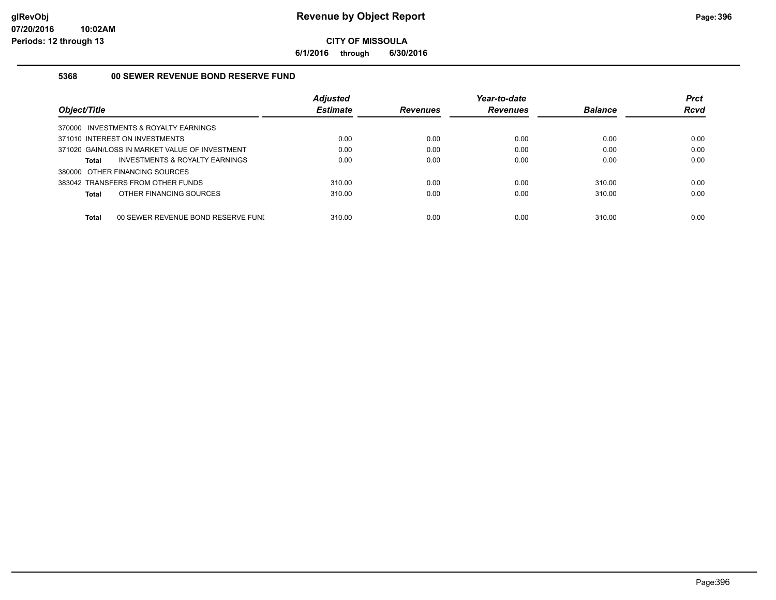**6/1/2016 through 6/30/2016**

## **5368 00 SEWER REVENUE BOND RESERVE FUND**

| Object/Title                                       | <b>Adjusted</b> |                 | Year-to-date    |                | <b>Prct</b> |
|----------------------------------------------------|-----------------|-----------------|-----------------|----------------|-------------|
|                                                    | <b>Estimate</b> | <b>Revenues</b> | <b>Revenues</b> | <b>Balance</b> | <b>Rcvd</b> |
| 370000 INVESTMENTS & ROYALTY EARNINGS              |                 |                 |                 |                |             |
| 371010 INTEREST ON INVESTMENTS                     | 0.00            | 0.00            | 0.00            | 0.00           | 0.00        |
| 371020 GAIN/LOSS IN MARKET VALUE OF INVESTMENT     | 0.00            | 0.00            | 0.00            | 0.00           | 0.00        |
| INVESTMENTS & ROYALTY EARNINGS<br><b>Total</b>     | 0.00            | 0.00            | 0.00            | 0.00           | 0.00        |
| 380000 OTHER FINANCING SOURCES                     |                 |                 |                 |                |             |
| 383042 TRANSFERS FROM OTHER FUNDS                  | 310.00          | 0.00            | 0.00            | 310.00         | 0.00        |
| OTHER FINANCING SOURCES<br><b>Total</b>            | 310.00          | 0.00            | 0.00            | 310.00         | 0.00        |
| 00 SEWER REVENUE BOND RESERVE FUNI<br><b>Total</b> | 310.00          | 0.00            | 0.00            | 310.00         | 0.00        |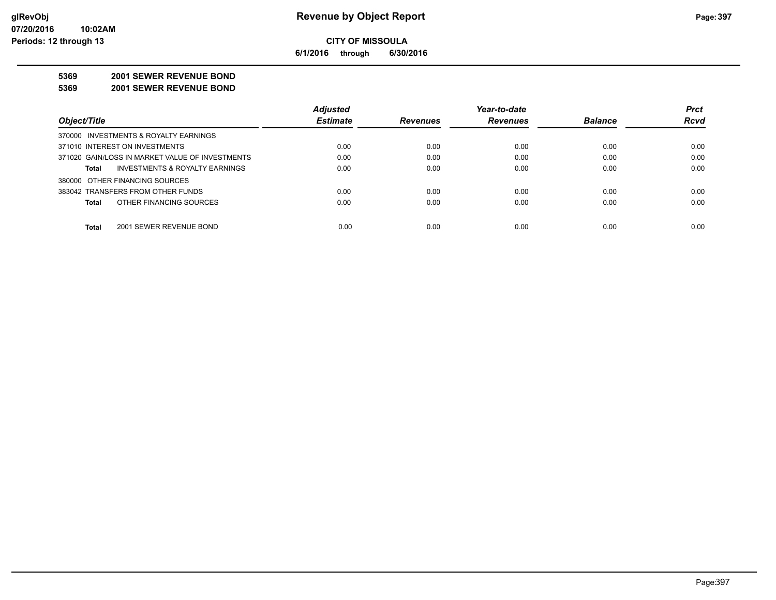**6/1/2016 through 6/30/2016**

#### **5369 2001 SEWER REVENUE BOND**

**5369 2001 SEWER REVENUE BOND**

|                                                 | <b>Adjusted</b> |                 | Year-to-date    |                | <b>Prct</b> |
|-------------------------------------------------|-----------------|-----------------|-----------------|----------------|-------------|
| Object/Title                                    | <b>Estimate</b> | <b>Revenues</b> | <b>Revenues</b> | <b>Balance</b> | <b>Rcvd</b> |
| 370000 INVESTMENTS & ROYALTY EARNINGS           |                 |                 |                 |                |             |
| 371010 INTEREST ON INVESTMENTS                  | 0.00            | 0.00            | 0.00            | 0.00           | 0.00        |
| 371020 GAIN/LOSS IN MARKET VALUE OF INVESTMENTS | 0.00            | 0.00            | 0.00            | 0.00           | 0.00        |
| INVESTMENTS & ROYALTY EARNINGS<br>Total         | 0.00            | 0.00            | 0.00            | 0.00           | 0.00        |
| 380000 OTHER FINANCING SOURCES                  |                 |                 |                 |                |             |
| 383042 TRANSFERS FROM OTHER FUNDS               | 0.00            | 0.00            | 0.00            | 0.00           | 0.00        |
| OTHER FINANCING SOURCES<br><b>Total</b>         | 0.00            | 0.00            | 0.00            | 0.00           | 0.00        |
| <b>Total</b><br>2001 SEWER REVENUE BOND         | 0.00            | 0.00            | 0.00            | 0.00           | 0.00        |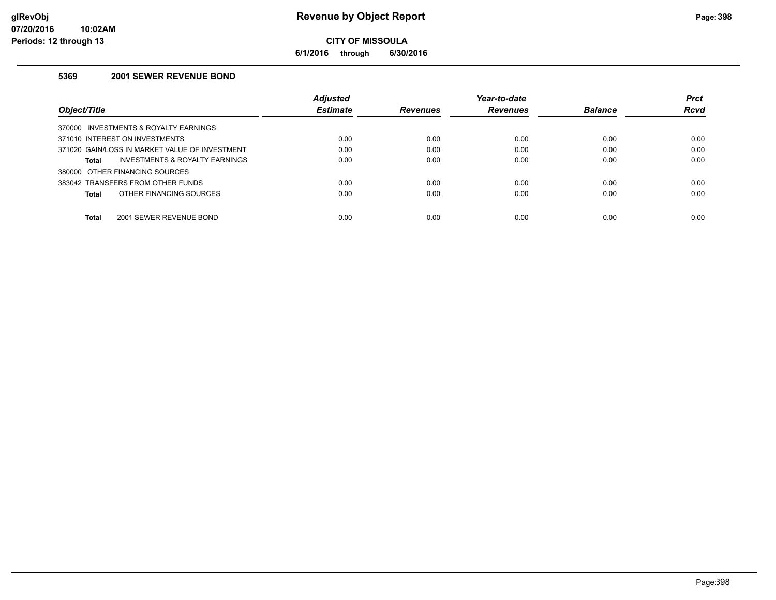**6/1/2016 through 6/30/2016**

### **5369 2001 SEWER REVENUE BOND**

|                                                | <b>Adjusted</b> |                 | Year-to-date    |                | <b>Prct</b> |
|------------------------------------------------|-----------------|-----------------|-----------------|----------------|-------------|
| Object/Title                                   | <b>Estimate</b> | <b>Revenues</b> | <b>Revenues</b> | <b>Balance</b> | <b>Rcvd</b> |
| 370000 INVESTMENTS & ROYALTY EARNINGS          |                 |                 |                 |                |             |
| 371010 INTEREST ON INVESTMENTS                 | 0.00            | 0.00            | 0.00            | 0.00           | 0.00        |
| 371020 GAIN/LOSS IN MARKET VALUE OF INVESTMENT | 0.00            | 0.00            | 0.00            | 0.00           | 0.00        |
| INVESTMENTS & ROYALTY EARNINGS<br>Total        | 0.00            | 0.00            | 0.00            | 0.00           | 0.00        |
| 380000 OTHER FINANCING SOURCES                 |                 |                 |                 |                |             |
| 383042 TRANSFERS FROM OTHER FUNDS              | 0.00            | 0.00            | 0.00            | 0.00           | 0.00        |
| OTHER FINANCING SOURCES<br>Total               | 0.00            | 0.00            | 0.00            | 0.00           | 0.00        |
| <b>Total</b><br>2001 SEWER REVENUE BOND        | 0.00            | 0.00            | 0.00            | 0.00           | 0.00        |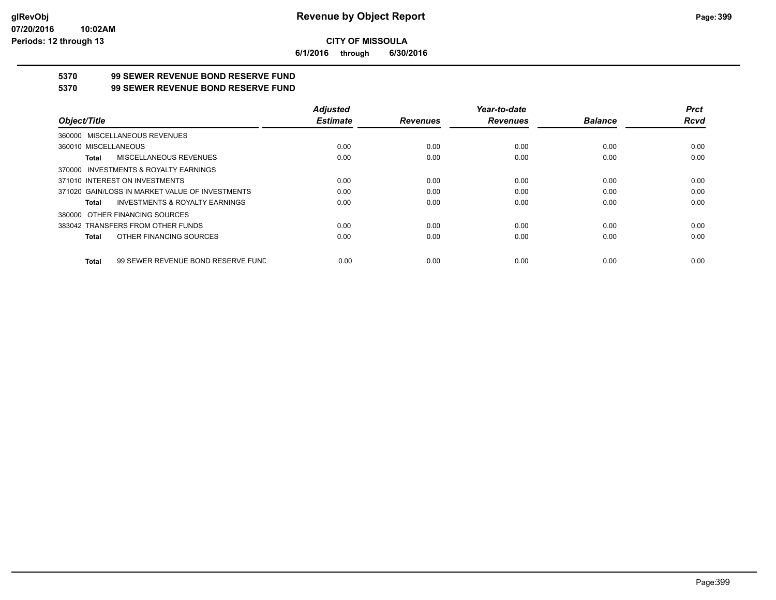**6/1/2016 through 6/30/2016**

## **5370 99 SEWER REVENUE BOND RESERVE FUND**

### **5370 99 SEWER REVENUE BOND RESERVE FUND**

|                                                    | <b>Adjusted</b> |                 | Year-to-date    |                | <b>Prct</b> |
|----------------------------------------------------|-----------------|-----------------|-----------------|----------------|-------------|
| Object/Title                                       | <b>Estimate</b> | <b>Revenues</b> | <b>Revenues</b> | <b>Balance</b> | <b>Rcvd</b> |
| 360000 MISCELLANEOUS REVENUES                      |                 |                 |                 |                |             |
| 360010 MISCELLANEOUS                               | 0.00            | 0.00            | 0.00            | 0.00           | 0.00        |
| MISCELLANEOUS REVENUES<br>Total                    | 0.00            | 0.00            | 0.00            | 0.00           | 0.00        |
| 370000 INVESTMENTS & ROYALTY EARNINGS              |                 |                 |                 |                |             |
| 371010 INTEREST ON INVESTMENTS                     | 0.00            | 0.00            | 0.00            | 0.00           | 0.00        |
| 371020 GAIN/LOSS IN MARKET VALUE OF INVESTMENTS    | 0.00            | 0.00            | 0.00            | 0.00           | 0.00        |
| <b>INVESTMENTS &amp; ROYALTY EARNINGS</b><br>Total | 0.00            | 0.00            | 0.00            | 0.00           | 0.00        |
| 380000 OTHER FINANCING SOURCES                     |                 |                 |                 |                |             |
| 383042 TRANSFERS FROM OTHER FUNDS                  | 0.00            | 0.00            | 0.00            | 0.00           | 0.00        |
| OTHER FINANCING SOURCES<br>Total                   | 0.00            | 0.00            | 0.00            | 0.00           | 0.00        |
| 99 SEWER REVENUE BOND RESERVE FUND<br><b>Total</b> | 0.00            | 0.00            | 0.00            | 0.00           | 0.00        |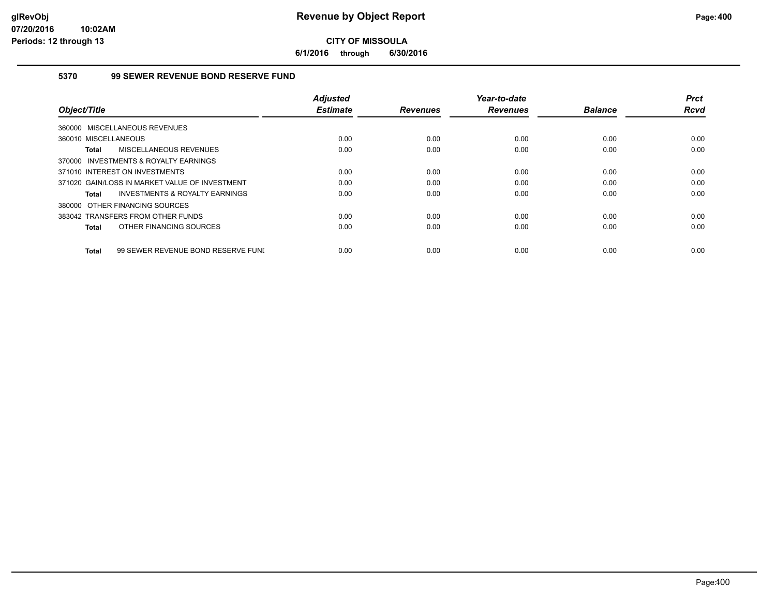**6/1/2016 through 6/30/2016**

### **5370 99 SEWER REVENUE BOND RESERVE FUND**

| Object/Title                                       | <b>Adjusted</b><br><b>Estimate</b> | <b>Revenues</b> | Year-to-date<br><b>Revenues</b> | <b>Balance</b> | <b>Prct</b><br><b>Rcvd</b> |
|----------------------------------------------------|------------------------------------|-----------------|---------------------------------|----------------|----------------------------|
| 360000 MISCELLANEOUS REVENUES                      |                                    |                 |                                 |                |                            |
| 360010 MISCELLANEOUS                               | 0.00                               | 0.00            | 0.00                            | 0.00           | 0.00                       |
| MISCELLANEOUS REVENUES<br><b>Total</b>             | 0.00                               | 0.00            | 0.00                            | 0.00           | 0.00                       |
| 370000 INVESTMENTS & ROYALTY EARNINGS              |                                    |                 |                                 |                |                            |
| 371010 INTEREST ON INVESTMENTS                     | 0.00                               | 0.00            | 0.00                            | 0.00           | 0.00                       |
| 371020 GAIN/LOSS IN MARKET VALUE OF INVESTMENT     | 0.00                               | 0.00            | 0.00                            | 0.00           | 0.00                       |
| INVESTMENTS & ROYALTY EARNINGS<br><b>Total</b>     | 0.00                               | 0.00            | 0.00                            | 0.00           | 0.00                       |
| 380000 OTHER FINANCING SOURCES                     |                                    |                 |                                 |                |                            |
| 383042 TRANSFERS FROM OTHER FUNDS                  | 0.00                               | 0.00            | 0.00                            | 0.00           | 0.00                       |
| OTHER FINANCING SOURCES<br><b>Total</b>            | 0.00                               | 0.00            | 0.00                            | 0.00           | 0.00                       |
| 99 SEWER REVENUE BOND RESERVE FUNI<br><b>Total</b> | 0.00                               | 0.00            | 0.00                            | 0.00           | 0.00                       |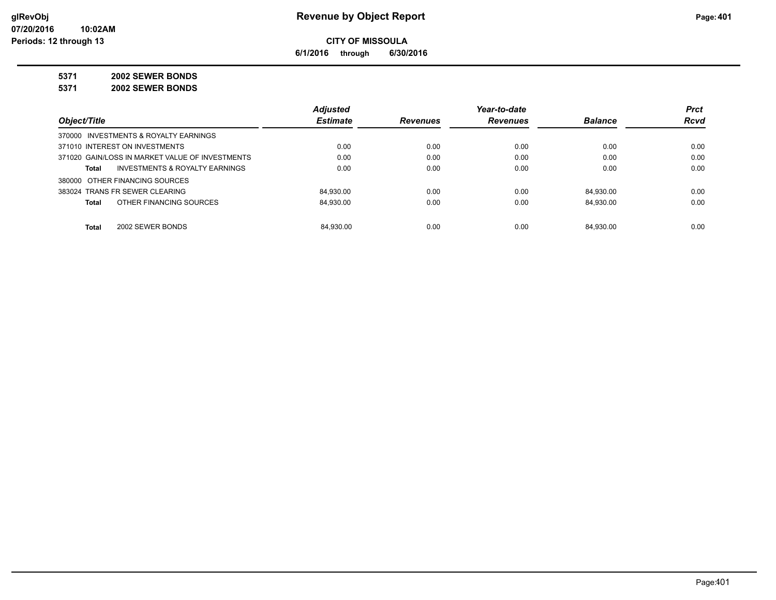**6/1/2016 through 6/30/2016**

**5371 2002 SEWER BONDS**

**5371 2002 SEWER BONDS**

|                                                    | <b>Adjusted</b> |                 | Year-to-date    |                | <b>Prct</b> |
|----------------------------------------------------|-----------------|-----------------|-----------------|----------------|-------------|
| Object/Title                                       | <b>Estimate</b> | <b>Revenues</b> | <b>Revenues</b> | <b>Balance</b> | <b>Rcvd</b> |
| 370000 INVESTMENTS & ROYALTY EARNINGS              |                 |                 |                 |                |             |
| 371010 INTEREST ON INVESTMENTS                     | 0.00            | 0.00            | 0.00            | 0.00           | 0.00        |
| 371020 GAIN/LOSS IN MARKET VALUE OF INVESTMENTS    | 0.00            | 0.00            | 0.00            | 0.00           | 0.00        |
| <b>INVESTMENTS &amp; ROYALTY EARNINGS</b><br>Total | 0.00            | 0.00            | 0.00            | 0.00           | 0.00        |
| 380000 OTHER FINANCING SOURCES                     |                 |                 |                 |                |             |
| 383024 TRANS FR SEWER CLEARING                     | 84.930.00       | 0.00            | 0.00            | 84.930.00      | 0.00        |
| OTHER FINANCING SOURCES<br>Total                   | 84.930.00       | 0.00            | 0.00            | 84.930.00      | 0.00        |
|                                                    |                 |                 |                 |                |             |
| 2002 SEWER BONDS<br>Total                          | 84.930.00       | 0.00            | 0.00            | 84.930.00      | 0.00        |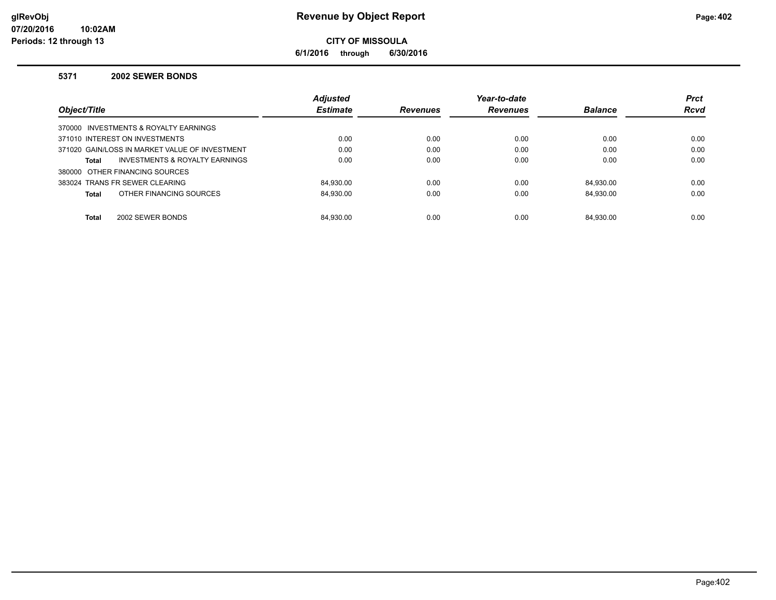**6/1/2016 through 6/30/2016**

#### **5371 2002 SEWER BONDS**

|                                                | <b>Adjusted</b> |                 | Year-to-date    |                | <b>Prct</b> |
|------------------------------------------------|-----------------|-----------------|-----------------|----------------|-------------|
| Object/Title                                   | <b>Estimate</b> | <b>Revenues</b> | <b>Revenues</b> | <b>Balance</b> | <b>Rcvd</b> |
| 370000 INVESTMENTS & ROYALTY EARNINGS          |                 |                 |                 |                |             |
| 371010 INTEREST ON INVESTMENTS                 | 0.00            | 0.00            | 0.00            | 0.00           | 0.00        |
| 371020 GAIN/LOSS IN MARKET VALUE OF INVESTMENT | 0.00            | 0.00            | 0.00            | 0.00           | 0.00        |
| INVESTMENTS & ROYALTY EARNINGS<br>Total        | 0.00            | 0.00            | 0.00            | 0.00           | 0.00        |
| 380000 OTHER FINANCING SOURCES                 |                 |                 |                 |                |             |
| 383024 TRANS FR SEWER CLEARING                 | 84.930.00       | 0.00            | 0.00            | 84.930.00      | 0.00        |
| OTHER FINANCING SOURCES<br>Total               | 84.930.00       | 0.00            | 0.00            | 84.930.00      | 0.00        |
|                                                |                 |                 |                 |                |             |
| <b>Total</b><br>2002 SEWER BONDS               | 84.930.00       | 0.00            | 0.00            | 84.930.00      | 0.00        |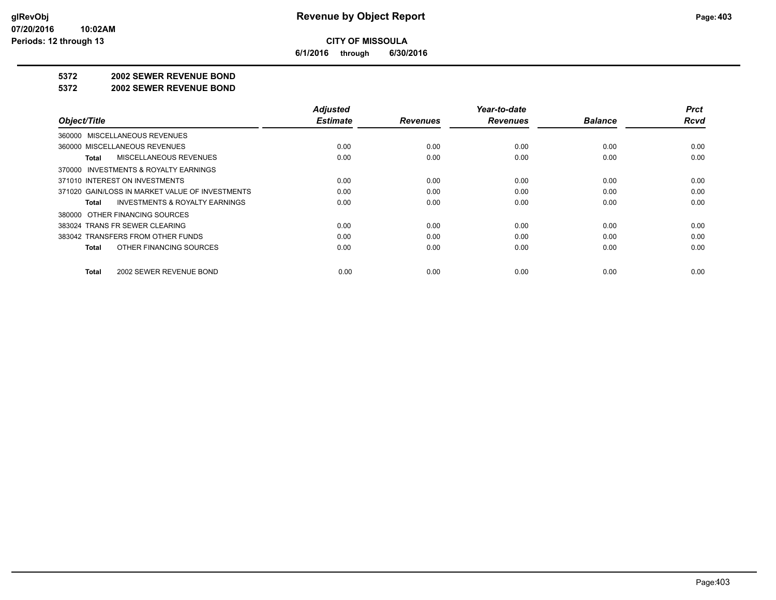**6/1/2016 through 6/30/2016**

#### **5372 2002 SEWER REVENUE BOND**

#### **5372 2002 SEWER REVENUE BOND**

| Object/Title                                       | <b>Adjusted</b><br><b>Estimate</b> | <b>Revenues</b> | Year-to-date<br><b>Revenues</b> | <b>Balance</b> | <b>Prct</b><br><b>Rcvd</b> |
|----------------------------------------------------|------------------------------------|-----------------|---------------------------------|----------------|----------------------------|
| 360000 MISCELLANEOUS REVENUES                      |                                    |                 |                                 |                |                            |
| 360000 MISCELLANEOUS REVENUES                      | 0.00                               | 0.00            | 0.00                            | 0.00           | 0.00                       |
| MISCELLANEOUS REVENUES<br>Total                    | 0.00                               | 0.00            | 0.00                            | 0.00           | 0.00                       |
| INVESTMENTS & ROYALTY EARNINGS<br>370000           |                                    |                 |                                 |                |                            |
| 371010 INTEREST ON INVESTMENTS                     | 0.00                               | 0.00            | 0.00                            | 0.00           | 0.00                       |
| 371020 GAIN/LOSS IN MARKET VALUE OF INVESTMENTS    | 0.00                               | 0.00            | 0.00                            | 0.00           | 0.00                       |
| <b>INVESTMENTS &amp; ROYALTY EARNINGS</b><br>Total | 0.00                               | 0.00            | 0.00                            | 0.00           | 0.00                       |
| 380000 OTHER FINANCING SOURCES                     |                                    |                 |                                 |                |                            |
| 383024 TRANS FR SEWER CLEARING                     | 0.00                               | 0.00            | 0.00                            | 0.00           | 0.00                       |
| 383042 TRANSFERS FROM OTHER FUNDS                  | 0.00                               | 0.00            | 0.00                            | 0.00           | 0.00                       |
| OTHER FINANCING SOURCES<br><b>Total</b>            | 0.00                               | 0.00            | 0.00                            | 0.00           | 0.00                       |
|                                                    |                                    |                 |                                 |                |                            |
| 2002 SEWER REVENUE BOND<br><b>Total</b>            | 0.00                               | 0.00            | 0.00                            | 0.00           | 0.00                       |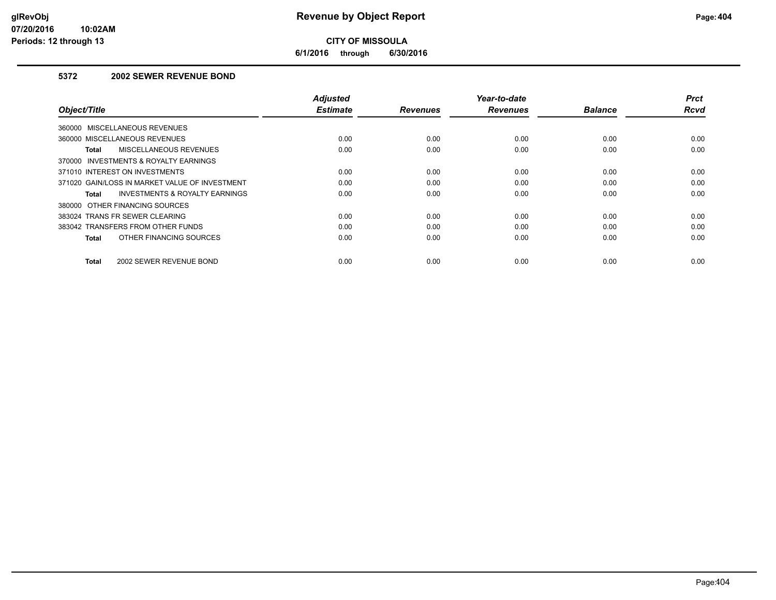**6/1/2016 through 6/30/2016**

## **5372 2002 SEWER REVENUE BOND**

| Object/Title                                       | Adjusted<br><b>Estimate</b> | <b>Revenues</b> | Year-to-date<br><b>Revenues</b> | <b>Balance</b> | <b>Prct</b><br><b>Rcvd</b> |
|----------------------------------------------------|-----------------------------|-----------------|---------------------------------|----------------|----------------------------|
| 360000 MISCELLANEOUS REVENUES                      |                             |                 |                                 |                |                            |
| 360000 MISCELLANEOUS REVENUES                      | 0.00                        | 0.00            | 0.00                            | 0.00           | 0.00                       |
| MISCELLANEOUS REVENUES<br>Total                    | 0.00                        | 0.00            | 0.00                            | 0.00           | 0.00                       |
| 370000 INVESTMENTS & ROYALTY EARNINGS              |                             |                 |                                 |                |                            |
| 371010 INTEREST ON INVESTMENTS                     | 0.00                        | 0.00            | 0.00                            | 0.00           | 0.00                       |
| 371020 GAIN/LOSS IN MARKET VALUE OF INVESTMENT     | 0.00                        | 0.00            | 0.00                            | 0.00           | 0.00                       |
| <b>INVESTMENTS &amp; ROYALTY EARNINGS</b><br>Total | 0.00                        | 0.00            | 0.00                            | 0.00           | 0.00                       |
| 380000 OTHER FINANCING SOURCES                     |                             |                 |                                 |                |                            |
| 383024 TRANS FR SEWER CLEARING                     | 0.00                        | 0.00            | 0.00                            | 0.00           | 0.00                       |
| 383042 TRANSFERS FROM OTHER FUNDS                  | 0.00                        | 0.00            | 0.00                            | 0.00           | 0.00                       |
| OTHER FINANCING SOURCES<br>Total                   | 0.00                        | 0.00            | 0.00                            | 0.00           | 0.00                       |
| 2002 SEWER REVENUE BOND<br>Total                   | 0.00                        | 0.00            | 0.00                            | 0.00           | 0.00                       |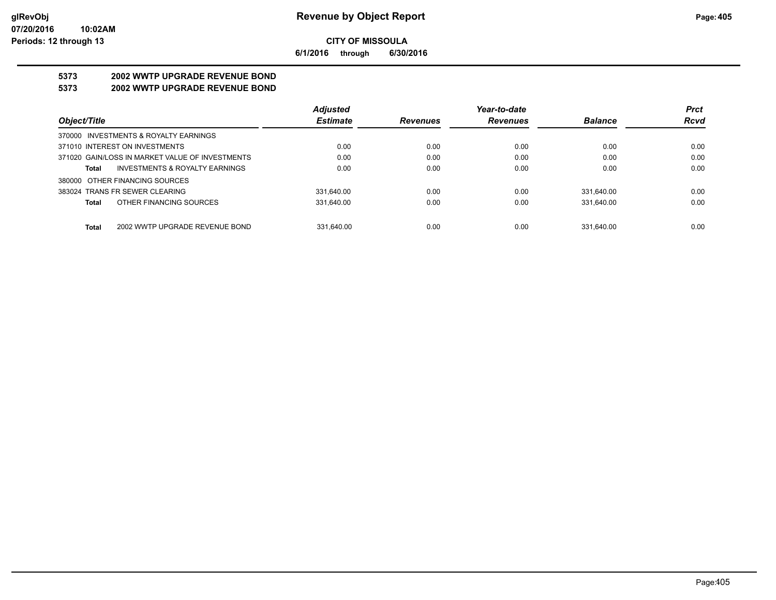**6/1/2016 through 6/30/2016**

# **5373 2002 WWTP UPGRADE REVENUE BOND**

## **5373 2002 WWTP UPGRADE REVENUE BOND**

|                                                 | <b>Adjusted</b> |                 | Year-to-date    |                | <b>Prct</b> |
|-------------------------------------------------|-----------------|-----------------|-----------------|----------------|-------------|
| Object/Title                                    | <b>Estimate</b> | <b>Revenues</b> | <b>Revenues</b> | <b>Balance</b> | <b>Rcvd</b> |
| 370000 INVESTMENTS & ROYALTY EARNINGS           |                 |                 |                 |                |             |
| 371010 INTEREST ON INVESTMENTS                  | 0.00            | 0.00            | 0.00            | 0.00           | 0.00        |
| 371020 GAIN/LOSS IN MARKET VALUE OF INVESTMENTS | 0.00            | 0.00            | 0.00            | 0.00           | 0.00        |
| INVESTMENTS & ROYALTY EARNINGS<br>Total         | 0.00            | 0.00            | 0.00            | 0.00           | 0.00        |
| 380000 OTHER FINANCING SOURCES                  |                 |                 |                 |                |             |
| 383024 TRANS FR SEWER CLEARING                  | 331.640.00      | 0.00            | 0.00            | 331.640.00     | 0.00        |
| OTHER FINANCING SOURCES<br>Total                | 331.640.00      | 0.00            | 0.00            | 331.640.00     | 0.00        |
|                                                 |                 |                 |                 |                |             |
| 2002 WWTP UPGRADE REVENUE BOND<br><b>Total</b>  | 331.640.00      | 0.00            | 0.00            | 331.640.00     | 0.00        |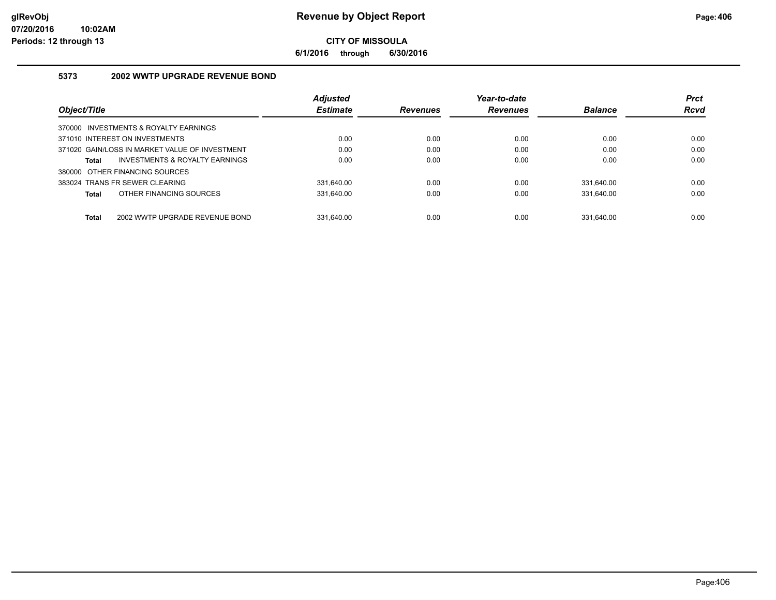**6/1/2016 through 6/30/2016**

## **5373 2002 WWTP UPGRADE REVENUE BOND**

|                                                | <b>Adjusted</b> |                 | Year-to-date    |                | <b>Prct</b> |
|------------------------------------------------|-----------------|-----------------|-----------------|----------------|-------------|
| Object/Title                                   | <b>Estimate</b> | <b>Revenues</b> | <b>Revenues</b> | <b>Balance</b> | <b>Rcvd</b> |
| 370000 INVESTMENTS & ROYALTY EARNINGS          |                 |                 |                 |                |             |
| 371010 INTEREST ON INVESTMENTS                 | 0.00            | 0.00            | 0.00            | 0.00           | 0.00        |
| 371020 GAIN/LOSS IN MARKET VALUE OF INVESTMENT | 0.00            | 0.00            | 0.00            | 0.00           | 0.00        |
| INVESTMENTS & ROYALTY EARNINGS<br>Total        | 0.00            | 0.00            | 0.00            | 0.00           | 0.00        |
| 380000 OTHER FINANCING SOURCES                 |                 |                 |                 |                |             |
| 383024 TRANS FR SEWER CLEARING                 | 331.640.00      | 0.00            | 0.00            | 331.640.00     | 0.00        |
| OTHER FINANCING SOURCES<br>Total               | 331.640.00      | 0.00            | 0.00            | 331.640.00     | 0.00        |
| <b>Total</b><br>2002 WWTP UPGRADE REVENUE BOND | 331.640.00      | 0.00            | 0.00            | 331.640.00     | 0.00        |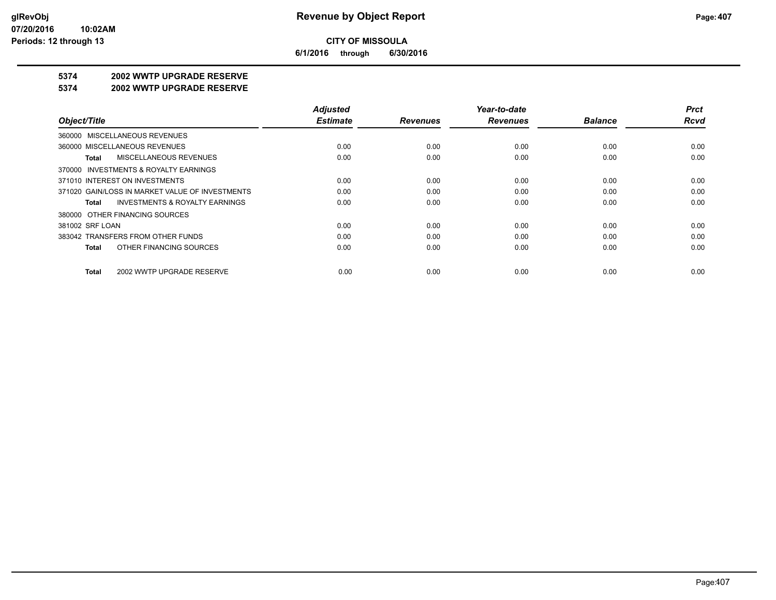**6/1/2016 through 6/30/2016**

## **5374 2002 WWTP UPGRADE RESERVE**

#### **5374 2002 WWTP UPGRADE RESERVE**

|                                                    | <b>Adjusted</b> |                 | Year-to-date    |                | <b>Prct</b> |
|----------------------------------------------------|-----------------|-----------------|-----------------|----------------|-------------|
| Object/Title                                       | <b>Estimate</b> | <b>Revenues</b> | <b>Revenues</b> | <b>Balance</b> | <b>Rcvd</b> |
| 360000 MISCELLANEOUS REVENUES                      |                 |                 |                 |                |             |
| 360000 MISCELLANEOUS REVENUES                      | 0.00            | 0.00            | 0.00            | 0.00           | 0.00        |
| <b>MISCELLANEOUS REVENUES</b><br>Total             | 0.00            | 0.00            | 0.00            | 0.00           | 0.00        |
| 370000 INVESTMENTS & ROYALTY EARNINGS              |                 |                 |                 |                |             |
| 371010 INTEREST ON INVESTMENTS                     | 0.00            | 0.00            | 0.00            | 0.00           | 0.00        |
| 371020 GAIN/LOSS IN MARKET VALUE OF INVESTMENTS    | 0.00            | 0.00            | 0.00            | 0.00           | 0.00        |
| <b>INVESTMENTS &amp; ROYALTY EARNINGS</b><br>Total | 0.00            | 0.00            | 0.00            | 0.00           | 0.00        |
| 380000 OTHER FINANCING SOURCES                     |                 |                 |                 |                |             |
| 381002 SRF LOAN                                    | 0.00            | 0.00            | 0.00            | 0.00           | 0.00        |
| 383042 TRANSFERS FROM OTHER FUNDS                  | 0.00            | 0.00            | 0.00            | 0.00           | 0.00        |
| OTHER FINANCING SOURCES<br>Total                   | 0.00            | 0.00            | 0.00            | 0.00           | 0.00        |
| 2002 WWTP UPGRADE RESERVE<br>Total                 | 0.00            | 0.00            | 0.00            | 0.00           | 0.00        |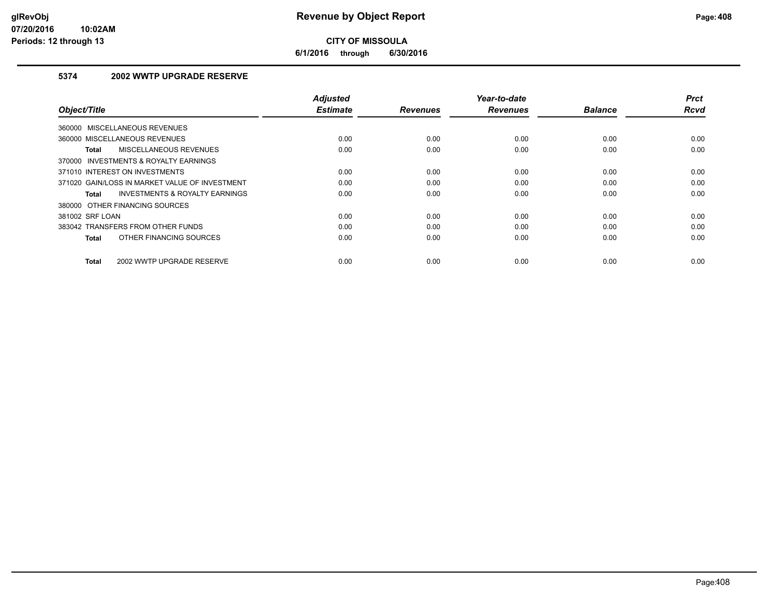**6/1/2016 through 6/30/2016**

## **5374 2002 WWTP UPGRADE RESERVE**

| Object/Title                                       | Adjusted<br><b>Estimate</b> | <b>Revenues</b> | Year-to-date<br><b>Revenues</b> | <b>Balance</b> | <b>Prct</b><br>Rcvd |
|----------------------------------------------------|-----------------------------|-----------------|---------------------------------|----------------|---------------------|
| 360000 MISCELLANEOUS REVENUES                      |                             |                 |                                 |                |                     |
| 360000 MISCELLANEOUS REVENUES                      | 0.00                        | 0.00            | 0.00                            | 0.00           | 0.00                |
| <b>MISCELLANEOUS REVENUES</b><br>Total             | 0.00                        | 0.00            | 0.00                            | 0.00           | 0.00                |
| 370000 INVESTMENTS & ROYALTY EARNINGS              |                             |                 |                                 |                |                     |
| 371010 INTEREST ON INVESTMENTS                     | 0.00                        | 0.00            | 0.00                            | 0.00           | 0.00                |
| 371020 GAIN/LOSS IN MARKET VALUE OF INVESTMENT     | 0.00                        | 0.00            | 0.00                            | 0.00           | 0.00                |
| <b>INVESTMENTS &amp; ROYALTY EARNINGS</b><br>Total | 0.00                        | 0.00            | 0.00                            | 0.00           | 0.00                |
| 380000 OTHER FINANCING SOURCES                     |                             |                 |                                 |                |                     |
| 381002 SRF LOAN                                    | 0.00                        | 0.00            | 0.00                            | 0.00           | 0.00                |
| 383042 TRANSFERS FROM OTHER FUNDS                  | 0.00                        | 0.00            | 0.00                            | 0.00           | 0.00                |
| OTHER FINANCING SOURCES<br>Total                   | 0.00                        | 0.00            | 0.00                            | 0.00           | 0.00                |
| 2002 WWTP UPGRADE RESERVE<br>Total                 | 0.00                        | 0.00            | 0.00                            | 0.00           | 0.00                |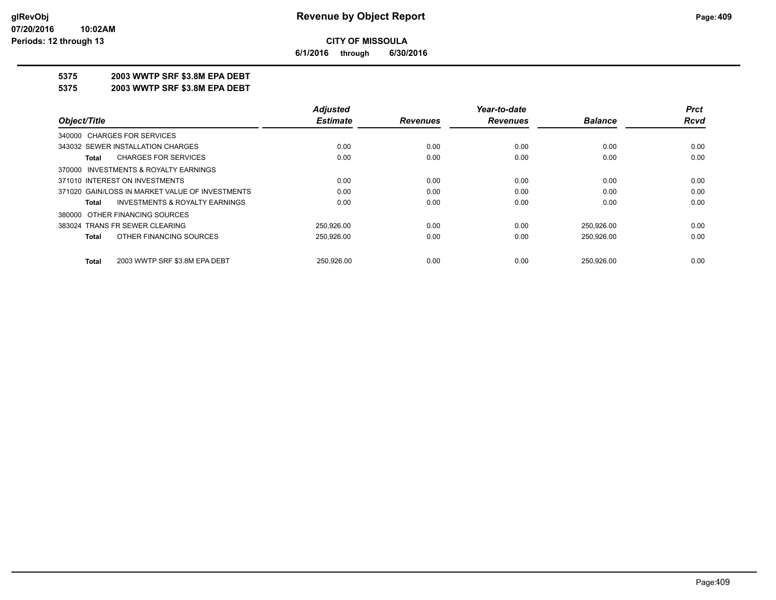**6/1/2016 through 6/30/2016**

## **5375 2003 WWTP SRF \$3.8M EPA DEBT**

**5375 2003 WWTP SRF \$3.8M EPA DEBT**

|                                                 | <b>Adjusted</b> |                 | Year-to-date    |                | <b>Prct</b> |
|-------------------------------------------------|-----------------|-----------------|-----------------|----------------|-------------|
| Object/Title                                    | <b>Estimate</b> | <b>Revenues</b> | <b>Revenues</b> | <b>Balance</b> | <b>Rcvd</b> |
| 340000 CHARGES FOR SERVICES                     |                 |                 |                 |                |             |
| 343032 SEWER INSTALLATION CHARGES               | 0.00            | 0.00            | 0.00            | 0.00           | 0.00        |
| <b>CHARGES FOR SERVICES</b><br>Total            | 0.00            | 0.00            | 0.00            | 0.00           | 0.00        |
| 370000 INVESTMENTS & ROYALTY EARNINGS           |                 |                 |                 |                |             |
| 371010 INTEREST ON INVESTMENTS                  | 0.00            | 0.00            | 0.00            | 0.00           | 0.00        |
| 371020 GAIN/LOSS IN MARKET VALUE OF INVESTMENTS | 0.00            | 0.00            | 0.00            | 0.00           | 0.00        |
| INVESTMENTS & ROYALTY EARNINGS<br>Total         | 0.00            | 0.00            | 0.00            | 0.00           | 0.00        |
| 380000 OTHER FINANCING SOURCES                  |                 |                 |                 |                |             |
| 383024 TRANS FR SEWER CLEARING                  | 250.926.00      | 0.00            | 0.00            | 250.926.00     | 0.00        |
| OTHER FINANCING SOURCES<br><b>Total</b>         | 250.926.00      | 0.00            | 0.00            | 250,926.00     | 0.00        |
| 2003 WWTP SRF \$3.8M EPA DEBT<br><b>Total</b>   | 250.926.00      | 0.00            | 0.00            | 250.926.00     | 0.00        |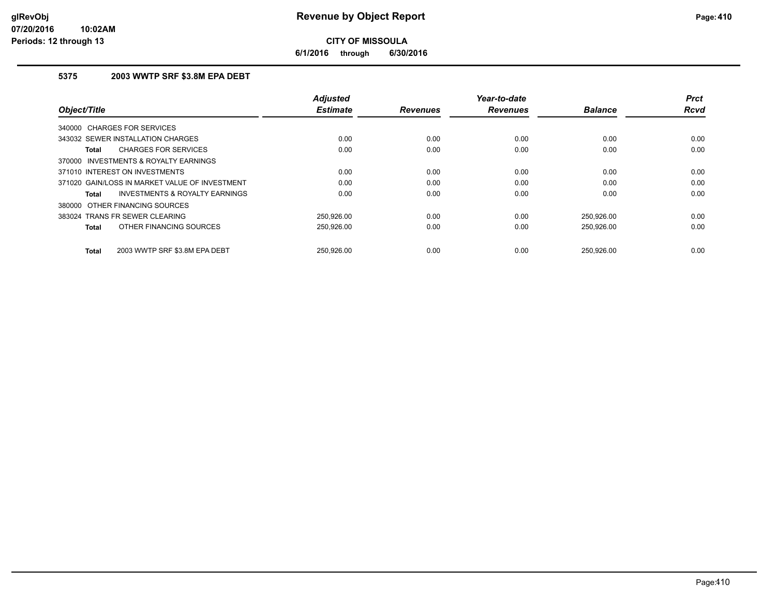**6/1/2016 through 6/30/2016**

## **5375 2003 WWTP SRF \$3.8M EPA DEBT**

| Object/Title                                        | <b>Adjusted</b><br><b>Estimate</b> | <b>Revenues</b> | Year-to-date<br><b>Revenues</b> | <b>Balance</b> | <b>Prct</b><br><b>Rcvd</b> |
|-----------------------------------------------------|------------------------------------|-----------------|---------------------------------|----------------|----------------------------|
| <b>CHARGES FOR SERVICES</b><br>340000               |                                    |                 |                                 |                |                            |
| 343032 SEWER INSTALLATION CHARGES                   | 0.00                               | 0.00            | 0.00                            | 0.00           | 0.00                       |
| <b>CHARGES FOR SERVICES</b><br>Total                | 0.00                               | 0.00            | 0.00                            | 0.00           | 0.00                       |
| <b>INVESTMENTS &amp; ROYALTY EARNINGS</b><br>370000 |                                    |                 |                                 |                |                            |
| 371010 INTEREST ON INVESTMENTS                      | 0.00                               | 0.00            | 0.00                            | 0.00           | 0.00                       |
| 371020 GAIN/LOSS IN MARKET VALUE OF INVESTMENT      | 0.00                               | 0.00            | 0.00                            | 0.00           | 0.00                       |
| INVESTMENTS & ROYALTY EARNINGS<br>Total             | 0.00                               | 0.00            | 0.00                            | 0.00           | 0.00                       |
| OTHER FINANCING SOURCES<br>380000                   |                                    |                 |                                 |                |                            |
| 383024 TRANS FR SEWER CLEARING                      | 250.926.00                         | 0.00            | 0.00                            | 250,926.00     | 0.00                       |
| OTHER FINANCING SOURCES<br><b>Total</b>             | 250,926.00                         | 0.00            | 0.00                            | 250,926.00     | 0.00                       |
| 2003 WWTP SRF \$3.8M EPA DEBT<br>Total              | 250.926.00                         | 0.00            | 0.00                            | 250.926.00     | 0.00                       |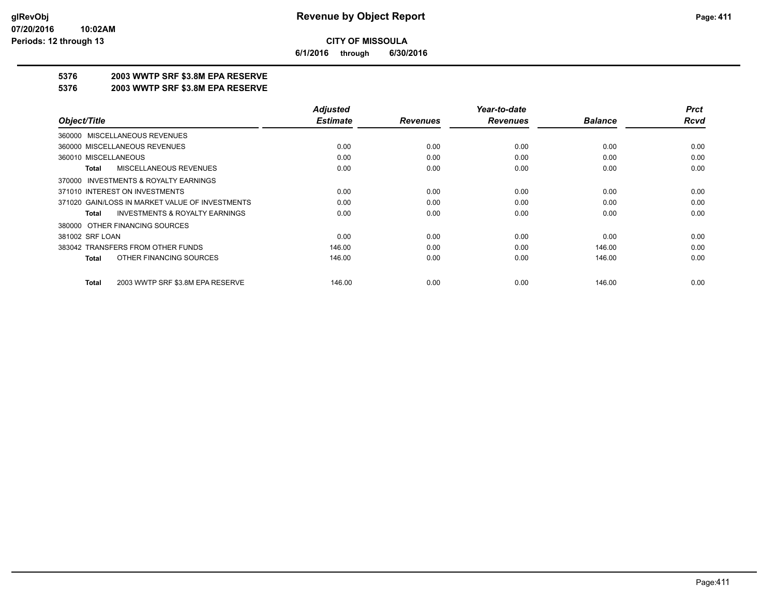**6/1/2016 through 6/30/2016**

## **5376 2003 WWTP SRF \$3.8M EPA RESERVE**

#### **5376 2003 WWTP SRF \$3.8M EPA RESERVE**

|                                                           | <b>Adjusted</b> |                 | Year-to-date    |                | <b>Prct</b> |
|-----------------------------------------------------------|-----------------|-----------------|-----------------|----------------|-------------|
| Object/Title                                              | <b>Estimate</b> | <b>Revenues</b> | <b>Revenues</b> | <b>Balance</b> | <b>Rcvd</b> |
| 360000 MISCELLANEOUS REVENUES                             |                 |                 |                 |                |             |
| 360000 MISCELLANEOUS REVENUES                             | 0.00            | 0.00            | 0.00            | 0.00           | 0.00        |
| 360010 MISCELLANEOUS                                      | 0.00            | 0.00            | 0.00            | 0.00           | 0.00        |
| MISCELLANEOUS REVENUES<br><b>Total</b>                    | 0.00            | 0.00            | 0.00            | 0.00           | 0.00        |
| 370000 INVESTMENTS & ROYALTY EARNINGS                     |                 |                 |                 |                |             |
| 371010 INTEREST ON INVESTMENTS                            | 0.00            | 0.00            | 0.00            | 0.00           | 0.00        |
| 371020 GAIN/LOSS IN MARKET VALUE OF INVESTMENTS           | 0.00            | 0.00            | 0.00            | 0.00           | 0.00        |
| <b>INVESTMENTS &amp; ROYALTY EARNINGS</b><br><b>Total</b> | 0.00            | 0.00            | 0.00            | 0.00           | 0.00        |
| 380000 OTHER FINANCING SOURCES                            |                 |                 |                 |                |             |
| 381002 SRF LOAN                                           | 0.00            | 0.00            | 0.00            | 0.00           | 0.00        |
| 383042 TRANSFERS FROM OTHER FUNDS                         | 146.00          | 0.00            | 0.00            | 146.00         | 0.00        |
| OTHER FINANCING SOURCES<br><b>Total</b>                   | 146.00          | 0.00            | 0.00            | 146.00         | 0.00        |
| 2003 WWTP SRF \$3.8M EPA RESERVE<br><b>Total</b>          | 146.00          | 0.00            | 0.00            | 146.00         | 0.00        |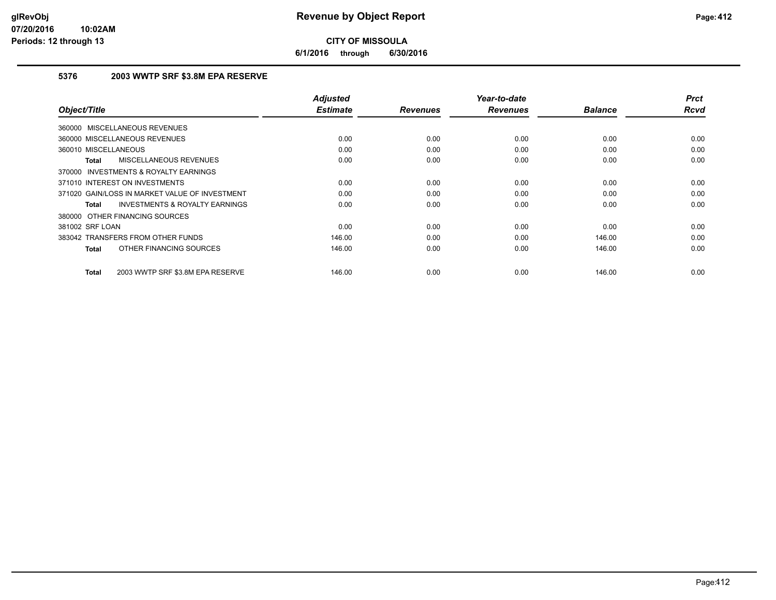**6/1/2016 through 6/30/2016**

## **5376 2003 WWTP SRF \$3.8M EPA RESERVE**

| Object/Title                                       | <b>Adjusted</b><br><b>Estimate</b> | <b>Revenues</b> | Year-to-date<br><b>Revenues</b> | <b>Balance</b> | <b>Prct</b><br><b>Rcvd</b> |
|----------------------------------------------------|------------------------------------|-----------------|---------------------------------|----------------|----------------------------|
|                                                    |                                    |                 |                                 |                |                            |
| 360000 MISCELLANEOUS REVENUES                      |                                    |                 |                                 |                |                            |
| 360000 MISCELLANEOUS REVENUES                      | 0.00                               | 0.00            | 0.00                            | 0.00           | 0.00                       |
| 360010 MISCELLANEOUS                               | 0.00                               | 0.00            | 0.00                            | 0.00           | 0.00                       |
| <b>MISCELLANEOUS REVENUES</b><br><b>Total</b>      | 0.00                               | 0.00            | 0.00                            | 0.00           | 0.00                       |
| 370000 INVESTMENTS & ROYALTY EARNINGS              |                                    |                 |                                 |                |                            |
| 371010 INTEREST ON INVESTMENTS                     | 0.00                               | 0.00            | 0.00                            | 0.00           | 0.00                       |
| 371020 GAIN/LOSS IN MARKET VALUE OF INVESTMENT     | 0.00                               | 0.00            | 0.00                            | 0.00           | 0.00                       |
| <b>INVESTMENTS &amp; ROYALTY EARNINGS</b><br>Total | 0.00                               | 0.00            | 0.00                            | 0.00           | 0.00                       |
| 380000 OTHER FINANCING SOURCES                     |                                    |                 |                                 |                |                            |
| 381002 SRF LOAN                                    | 0.00                               | 0.00            | 0.00                            | 0.00           | 0.00                       |
| 383042 TRANSFERS FROM OTHER FUNDS                  | 146.00                             | 0.00            | 0.00                            | 146.00         | 0.00                       |
| OTHER FINANCING SOURCES<br><b>Total</b>            | 146.00                             | 0.00            | 0.00                            | 146.00         | 0.00                       |
|                                                    |                                    |                 |                                 |                |                            |
| 2003 WWTP SRF \$3.8M EPA RESERVE<br><b>Total</b>   | 146.00                             | 0.00            | 0.00                            | 146.00         | 0.00                       |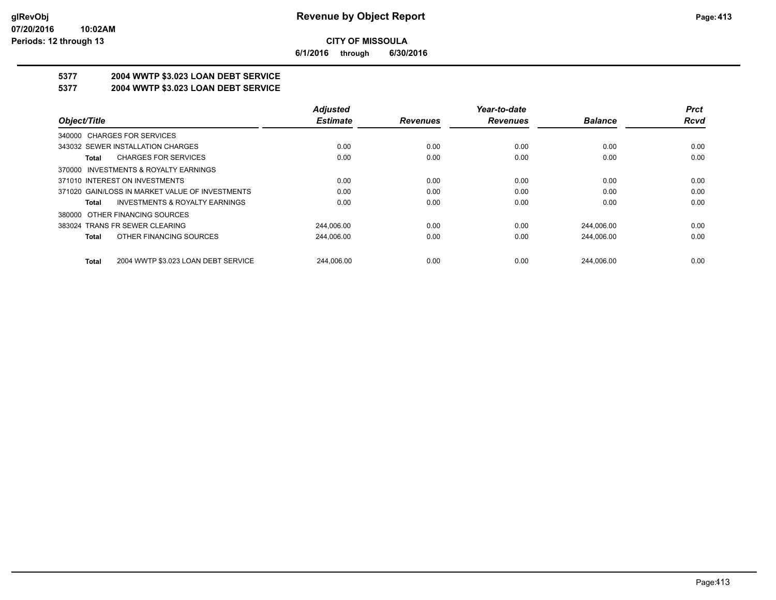**6/1/2016 through 6/30/2016**

# **5377 2004 WWTP \$3.023 LOAN DEBT SERVICE**

## **5377 2004 WWTP \$3.023 LOAN DEBT SERVICE**

|                                                     | <b>Adjusted</b> |                 | Year-to-date    |                | <b>Prct</b> |
|-----------------------------------------------------|-----------------|-----------------|-----------------|----------------|-------------|
| Object/Title                                        | <b>Estimate</b> | <b>Revenues</b> | <b>Revenues</b> | <b>Balance</b> | Rcvd        |
| 340000 CHARGES FOR SERVICES                         |                 |                 |                 |                |             |
| 343032 SEWER INSTALLATION CHARGES                   | 0.00            | 0.00            | 0.00            | 0.00           | 0.00        |
| <b>CHARGES FOR SERVICES</b><br>Total                | 0.00            | 0.00            | 0.00            | 0.00           | 0.00        |
| 370000 INVESTMENTS & ROYALTY EARNINGS               |                 |                 |                 |                |             |
| 371010 INTEREST ON INVESTMENTS                      | 0.00            | 0.00            | 0.00            | 0.00           | 0.00        |
| 371020 GAIN/LOSS IN MARKET VALUE OF INVESTMENTS     | 0.00            | 0.00            | 0.00            | 0.00           | 0.00        |
| <b>INVESTMENTS &amp; ROYALTY EARNINGS</b><br>Total  | 0.00            | 0.00            | 0.00            | 0.00           | 0.00        |
| 380000 OTHER FINANCING SOURCES                      |                 |                 |                 |                |             |
| 383024 TRANS FR SEWER CLEARING                      | 244.006.00      | 0.00            | 0.00            | 244,006.00     | 0.00        |
| OTHER FINANCING SOURCES<br><b>Total</b>             | 244,006.00      | 0.00            | 0.00            | 244,006.00     | 0.00        |
| 2004 WWTP \$3.023 LOAN DEBT SERVICE<br><b>Total</b> | 244.006.00      | 0.00            | 0.00            | 244.006.00     | 0.00        |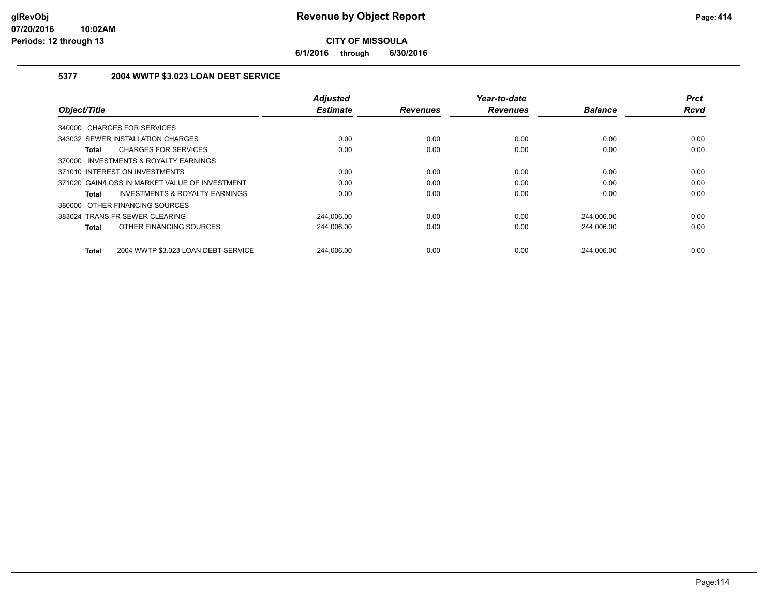**6/1/2016 through 6/30/2016**

#### **5377 2004 WWTP \$3.023 LOAN DEBT SERVICE**

| Object/Title                                              | <b>Adjusted</b><br><b>Estimate</b> | <b>Revenues</b> | Year-to-date<br><b>Revenues</b> | <b>Balance</b> | <b>Prct</b><br><b>Rcvd</b> |
|-----------------------------------------------------------|------------------------------------|-----------------|---------------------------------|----------------|----------------------------|
| 340000 CHARGES FOR SERVICES                               |                                    |                 |                                 |                |                            |
| 343032 SEWER INSTALLATION CHARGES                         | 0.00                               | 0.00            | 0.00                            | 0.00           | 0.00                       |
| <b>CHARGES FOR SERVICES</b><br><b>Total</b>               | 0.00                               | 0.00            | 0.00                            | 0.00           | 0.00                       |
| 370000 INVESTMENTS & ROYALTY EARNINGS                     |                                    |                 |                                 |                |                            |
| 371010 INTEREST ON INVESTMENTS                            | 0.00                               | 0.00            | 0.00                            | 0.00           | 0.00                       |
| 371020 GAIN/LOSS IN MARKET VALUE OF INVESTMENT            | 0.00                               | 0.00            | 0.00                            | 0.00           | 0.00                       |
| <b>INVESTMENTS &amp; ROYALTY EARNINGS</b><br><b>Total</b> | 0.00                               | 0.00            | 0.00                            | 0.00           | 0.00                       |
| 380000 OTHER FINANCING SOURCES                            |                                    |                 |                                 |                |                            |
| 383024 TRANS FR SEWER CLEARING                            | 244,006.00                         | 0.00            | 0.00                            | 244,006.00     | 0.00                       |
| OTHER FINANCING SOURCES<br><b>Total</b>                   | 244,006.00                         | 0.00            | 0.00                            | 244,006.00     | 0.00                       |
| 2004 WWTP \$3.023 LOAN DEBT SERVICE<br><b>Total</b>       | 244.006.00                         | 0.00            | 0.00                            | 244.006.00     | 0.00                       |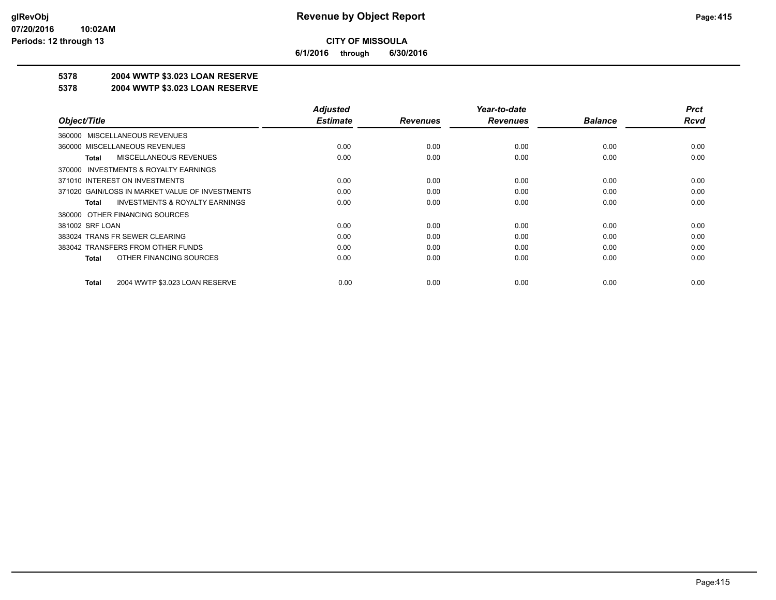**6/1/2016 through 6/30/2016**

## **5378 2004 WWTP \$3.023 LOAN RESERVE**

#### **5378 2004 WWTP \$3.023 LOAN RESERVE**

|                                                    | <b>Adjusted</b> |                 | Year-to-date    |                | <b>Prct</b> |
|----------------------------------------------------|-----------------|-----------------|-----------------|----------------|-------------|
| Object/Title                                       | <b>Estimate</b> | <b>Revenues</b> | <b>Revenues</b> | <b>Balance</b> | <b>Rcvd</b> |
| 360000 MISCELLANEOUS REVENUES                      |                 |                 |                 |                |             |
| 360000 MISCELLANEOUS REVENUES                      | 0.00            | 0.00            | 0.00            | 0.00           | 0.00        |
| <b>MISCELLANEOUS REVENUES</b><br>Total             | 0.00            | 0.00            | 0.00            | 0.00           | 0.00        |
| 370000 INVESTMENTS & ROYALTY EARNINGS              |                 |                 |                 |                |             |
| 371010 INTEREST ON INVESTMENTS                     | 0.00            | 0.00            | 0.00            | 0.00           | 0.00        |
| 371020 GAIN/LOSS IN MARKET VALUE OF INVESTMENTS    | 0.00            | 0.00            | 0.00            | 0.00           | 0.00        |
| <b>INVESTMENTS &amp; ROYALTY EARNINGS</b><br>Total | 0.00            | 0.00            | 0.00            | 0.00           | 0.00        |
| 380000 OTHER FINANCING SOURCES                     |                 |                 |                 |                |             |
| 381002 SRF LOAN                                    | 0.00            | 0.00            | 0.00            | 0.00           | 0.00        |
| 383024 TRANS FR SEWER CLEARING                     | 0.00            | 0.00            | 0.00            | 0.00           | 0.00        |
| 383042 TRANSFERS FROM OTHER FUNDS                  | 0.00            | 0.00            | 0.00            | 0.00           | 0.00        |
| OTHER FINANCING SOURCES<br>Total                   | 0.00            | 0.00            | 0.00            | 0.00           | 0.00        |
| 2004 WWTP \$3.023 LOAN RESERVE<br>Total            | 0.00            | 0.00            | 0.00            | 0.00           | 0.00        |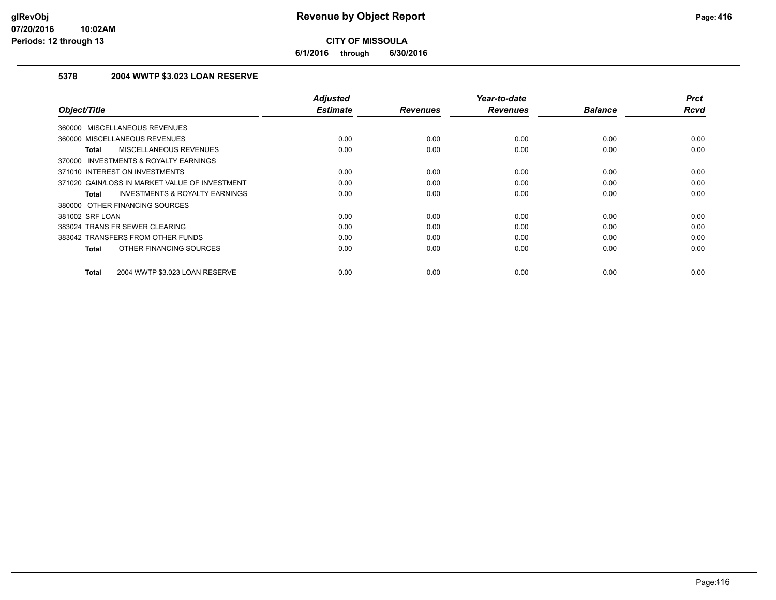**6/1/2016 through 6/30/2016**

## **5378 2004 WWTP \$3.023 LOAN RESERVE**

| Object/Title                                       | <b>Adjusted</b><br><b>Estimate</b> | <b>Revenues</b> | Year-to-date<br><b>Revenues</b> | <b>Balance</b> | <b>Prct</b><br><b>Rcvd</b> |
|----------------------------------------------------|------------------------------------|-----------------|---------------------------------|----------------|----------------------------|
|                                                    |                                    |                 |                                 |                |                            |
| 360000 MISCELLANEOUS REVENUES                      |                                    |                 |                                 |                |                            |
| 360000 MISCELLANEOUS REVENUES                      | 0.00                               | 0.00            | 0.00                            | 0.00           | 0.00                       |
| <b>MISCELLANEOUS REVENUES</b><br>Total             | 0.00                               | 0.00            | 0.00                            | 0.00           | 0.00                       |
| 370000 INVESTMENTS & ROYALTY EARNINGS              |                                    |                 |                                 |                |                            |
| 371010 INTEREST ON INVESTMENTS                     | 0.00                               | 0.00            | 0.00                            | 0.00           | 0.00                       |
| 371020 GAIN/LOSS IN MARKET VALUE OF INVESTMENT     | 0.00                               | 0.00            | 0.00                            | 0.00           | 0.00                       |
| <b>INVESTMENTS &amp; ROYALTY EARNINGS</b><br>Total | 0.00                               | 0.00            | 0.00                            | 0.00           | 0.00                       |
| 380000 OTHER FINANCING SOURCES                     |                                    |                 |                                 |                |                            |
| 381002 SRF LOAN                                    | 0.00                               | 0.00            | 0.00                            | 0.00           | 0.00                       |
| 383024 TRANS FR SEWER CLEARING                     | 0.00                               | 0.00            | 0.00                            | 0.00           | 0.00                       |
| 383042 TRANSFERS FROM OTHER FUNDS                  | 0.00                               | 0.00            | 0.00                            | 0.00           | 0.00                       |
| OTHER FINANCING SOURCES<br>Total                   | 0.00                               | 0.00            | 0.00                            | 0.00           | 0.00                       |
| 2004 WWTP \$3.023 LOAN RESERVE<br><b>Total</b>     | 0.00                               | 0.00            | 0.00                            | 0.00           | 0.00                       |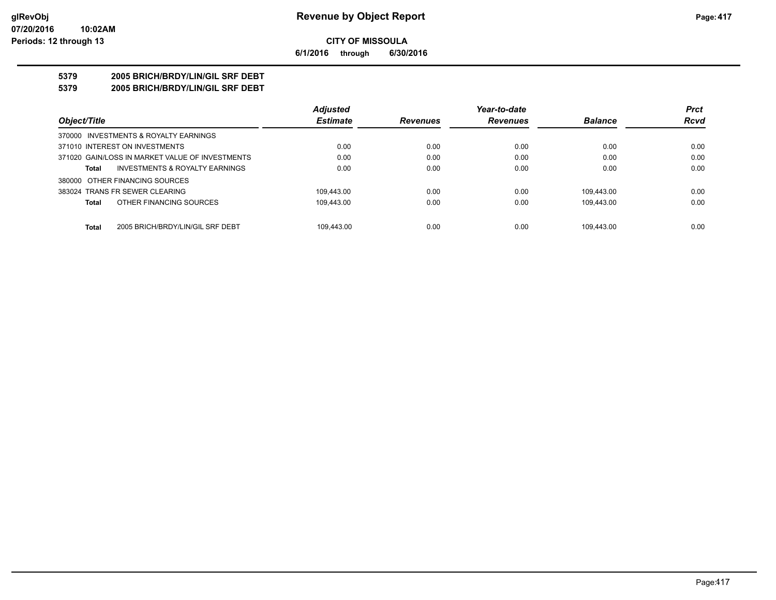**6/1/2016 through 6/30/2016**

## **5379 2005 BRICH/BRDY/LIN/GIL SRF DEBT**

**5379 2005 BRICH/BRDY/LIN/GIL SRF DEBT**

|                                                  | <b>Adjusted</b> |                 | Year-to-date    |                | <b>Prct</b> |
|--------------------------------------------------|-----------------|-----------------|-----------------|----------------|-------------|
| Object/Title                                     | <b>Estimate</b> | <b>Revenues</b> | <b>Revenues</b> | <b>Balance</b> | <b>Rcvd</b> |
| 370000 INVESTMENTS & ROYALTY EARNINGS            |                 |                 |                 |                |             |
| 371010 INTEREST ON INVESTMENTS                   | 0.00            | 0.00            | 0.00            | 0.00           | 0.00        |
| 371020 GAIN/LOSS IN MARKET VALUE OF INVESTMENTS  | 0.00            | 0.00            | 0.00            | 0.00           | 0.00        |
| INVESTMENTS & ROYALTY EARNINGS<br>Total          | 0.00            | 0.00            | 0.00            | 0.00           | 0.00        |
| 380000 OTHER FINANCING SOURCES                   |                 |                 |                 |                |             |
| 383024 TRANS FR SEWER CLEARING                   | 109.443.00      | 0.00            | 0.00            | 109.443.00     | 0.00        |
| OTHER FINANCING SOURCES<br>Total                 | 109.443.00      | 0.00            | 0.00            | 109.443.00     | 0.00        |
|                                                  |                 |                 |                 |                |             |
| <b>Total</b><br>2005 BRICH/BRDY/LIN/GIL SRF DEBT | 109.443.00      | 0.00            | 0.00            | 109.443.00     | 0.00        |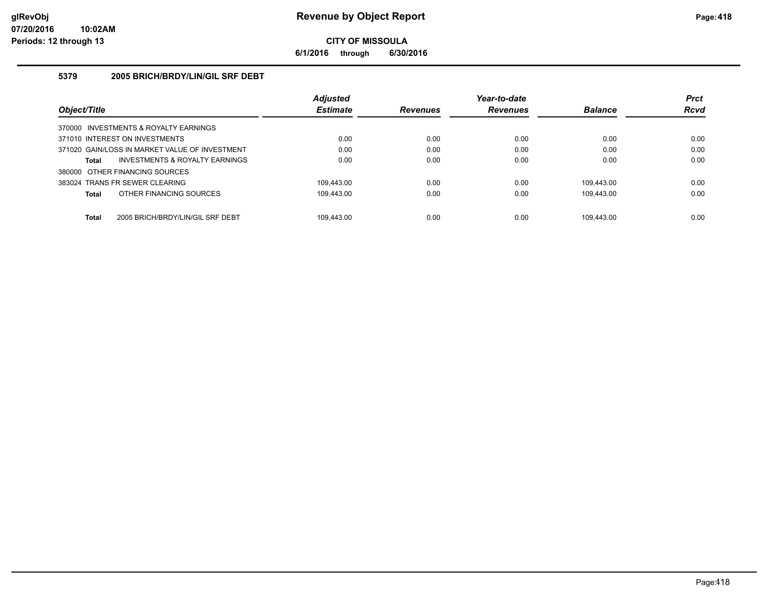**6/1/2016 through 6/30/2016**

### **5379 2005 BRICH/BRDY/LIN/GIL SRF DEBT**

|              |                                                | <b>Adjusted</b> |                 | Year-to-date    |                | <b>Prct</b> |
|--------------|------------------------------------------------|-----------------|-----------------|-----------------|----------------|-------------|
| Object/Title |                                                | <b>Estimate</b> | <b>Revenues</b> | <b>Revenues</b> | <b>Balance</b> | <b>Rcvd</b> |
|              | 370000 INVESTMENTS & ROYALTY EARNINGS          |                 |                 |                 |                |             |
|              | 371010 INTEREST ON INVESTMENTS                 | 0.00            | 0.00            | 0.00            | 0.00           | 0.00        |
|              | 371020 GAIN/LOSS IN MARKET VALUE OF INVESTMENT | 0.00            | 0.00            | 0.00            | 0.00           | 0.00        |
| Total        | INVESTMENTS & ROYALTY EARNINGS                 | 0.00            | 0.00            | 0.00            | 0.00           | 0.00        |
|              | 380000 OTHER FINANCING SOURCES                 |                 |                 |                 |                |             |
|              | 383024 TRANS FR SEWER CLEARING                 | 109.443.00      | 0.00            | 0.00            | 109.443.00     | 0.00        |
| Total        | OTHER FINANCING SOURCES                        | 109.443.00      | 0.00            | 0.00            | 109.443.00     | 0.00        |
|              |                                                |                 |                 |                 |                |             |
| <b>Total</b> | 2005 BRICH/BRDY/LIN/GIL SRF DEBT               | 109.443.00      | 0.00            | 0.00            | 109.443.00     | 0.00        |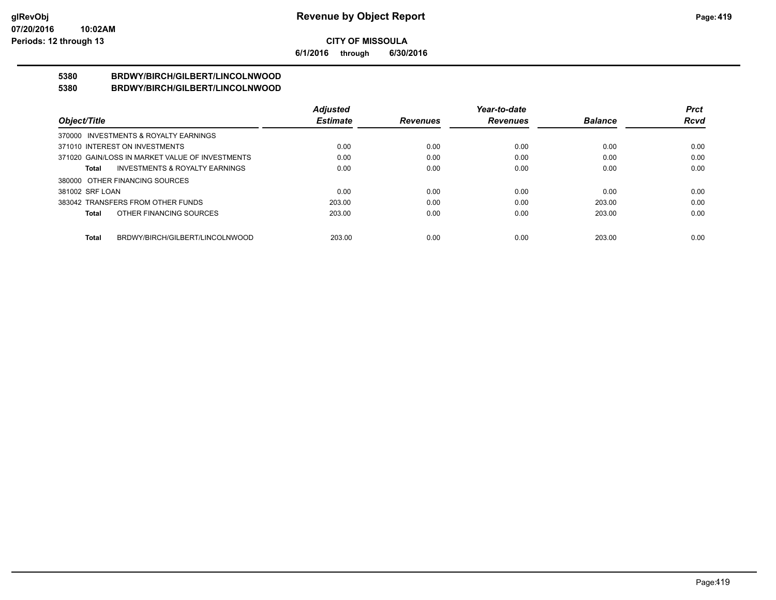**6/1/2016 through 6/30/2016**

#### **5380 BRDWY/BIRCH/GILBERT/LINCOLNWOOD 5380 BRDWY/BIRCH/GILBERT/LINCOLNWOOD**

|                                |                                                 | <b>Adjusted</b> |                 | Year-to-date    |                | Prct        |
|--------------------------------|-------------------------------------------------|-----------------|-----------------|-----------------|----------------|-------------|
| Object/Title                   |                                                 | <b>Estimate</b> | <b>Revenues</b> | <b>Revenues</b> | <b>Balance</b> | <b>Rcvd</b> |
|                                | 370000 INVESTMENTS & ROYALTY EARNINGS           |                 |                 |                 |                |             |
| 371010 INTEREST ON INVESTMENTS |                                                 | 0.00            | 0.00            | 0.00            | 0.00           | 0.00        |
|                                | 371020 GAIN/LOSS IN MARKET VALUE OF INVESTMENTS | 0.00            | 0.00            | 0.00            | 0.00           | 0.00        |
| Total                          | <b>INVESTMENTS &amp; ROYALTY EARNINGS</b>       | 0.00            | 0.00            | 0.00            | 0.00           | 0.00        |
| 380000 OTHER FINANCING SOURCES |                                                 |                 |                 |                 |                |             |
| 381002 SRF LOAN                |                                                 | 0.00            | 0.00            | 0.00            | 0.00           | 0.00        |
|                                | 383042 TRANSFERS FROM OTHER FUNDS               | 203.00          | 0.00            | 0.00            | 203.00         | 0.00        |
| Total                          | OTHER FINANCING SOURCES                         | 203.00          | 0.00            | 0.00            | 203.00         | 0.00        |
|                                |                                                 |                 |                 |                 |                |             |
| Total                          | BRDWY/BIRCH/GILBERT/LINCOLNWOOD                 | 203.00          | 0.00            | 0.00            | 203.00         | 0.00        |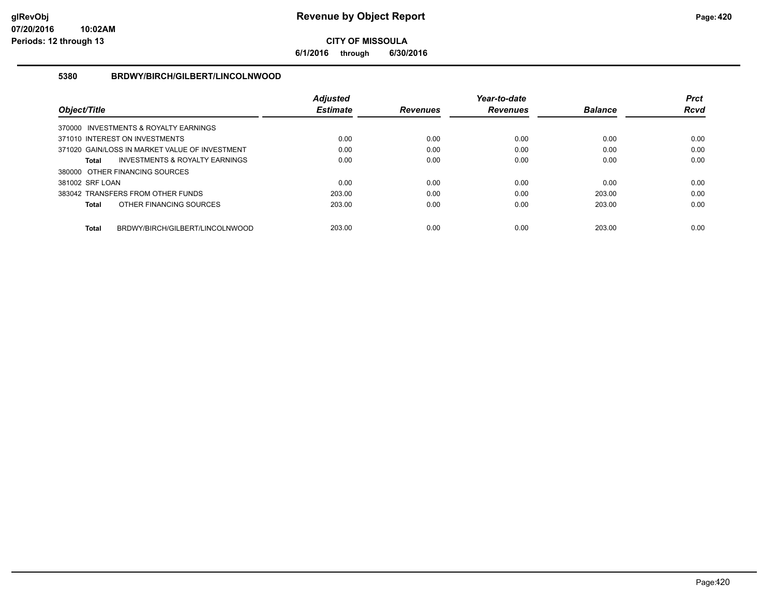**6/1/2016 through 6/30/2016**

### **5380 BRDWY/BIRCH/GILBERT/LINCOLNWOOD**

|                                                 | <b>Adiusted</b> |                 | Year-to-date    |                | <b>Prct</b> |
|-------------------------------------------------|-----------------|-----------------|-----------------|----------------|-------------|
| Object/Title                                    | <b>Estimate</b> | <b>Revenues</b> | <b>Revenues</b> | <b>Balance</b> | <b>Rcvd</b> |
| 370000 INVESTMENTS & ROYALTY EARNINGS           |                 |                 |                 |                |             |
| 371010 INTEREST ON INVESTMENTS                  | 0.00            | 0.00            | 0.00            | 0.00           | 0.00        |
| 371020 GAIN/LOSS IN MARKET VALUE OF INVESTMENT  | 0.00            | 0.00            | 0.00            | 0.00           | 0.00        |
| INVESTMENTS & ROYALTY EARNINGS<br><b>Total</b>  | 0.00            | 0.00            | 0.00            | 0.00           | 0.00        |
| 380000 OTHER FINANCING SOURCES                  |                 |                 |                 |                |             |
| 381002 SRF LOAN                                 | 0.00            | 0.00            | 0.00            | 0.00           | 0.00        |
| 383042 TRANSFERS FROM OTHER FUNDS               | 203.00          | 0.00            | 0.00            | 203.00         | 0.00        |
| OTHER FINANCING SOURCES<br><b>Total</b>         | 203.00          | 0.00            | 0.00            | 203.00         | 0.00        |
|                                                 |                 |                 |                 |                |             |
| BRDWY/BIRCH/GILBERT/LINCOLNWOOD<br><b>Total</b> | 203.00          | 0.00            | 0.00            | 203.00         | 0.00        |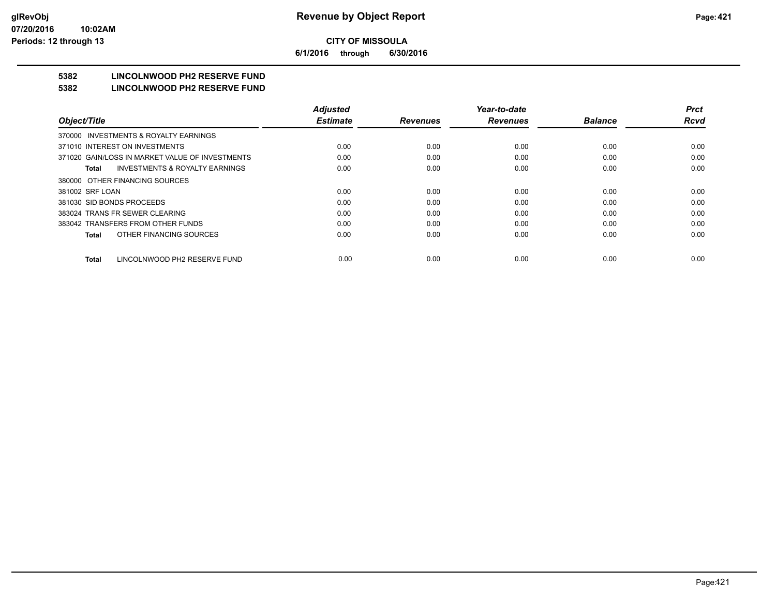**6/1/2016 through 6/30/2016**

## **5382 LINCOLNWOOD PH2 RESERVE FUND**

#### **5382 LINCOLNWOOD PH2 RESERVE FUND**

|                                                    | <b>Adjusted</b> |                 | Year-to-date    |                | <b>Prct</b> |
|----------------------------------------------------|-----------------|-----------------|-----------------|----------------|-------------|
| Object/Title                                       | <b>Estimate</b> | <b>Revenues</b> | <b>Revenues</b> | <b>Balance</b> | <b>Rcvd</b> |
| 370000 INVESTMENTS & ROYALTY EARNINGS              |                 |                 |                 |                |             |
| 371010 INTEREST ON INVESTMENTS                     | 0.00            | 0.00            | 0.00            | 0.00           | 0.00        |
| 371020 GAIN/LOSS IN MARKET VALUE OF INVESTMENTS    | 0.00            | 0.00            | 0.00            | 0.00           | 0.00        |
| <b>INVESTMENTS &amp; ROYALTY EARNINGS</b><br>Total | 0.00            | 0.00            | 0.00            | 0.00           | 0.00        |
| 380000 OTHER FINANCING SOURCES                     |                 |                 |                 |                |             |
| 381002 SRF LOAN                                    | 0.00            | 0.00            | 0.00            | 0.00           | 0.00        |
| 381030 SID BONDS PROCEEDS                          | 0.00            | 0.00            | 0.00            | 0.00           | 0.00        |
| 383024 TRANS FR SEWER CLEARING                     | 0.00            | 0.00            | 0.00            | 0.00           | 0.00        |
| 383042 TRANSFERS FROM OTHER FUNDS                  | 0.00            | 0.00            | 0.00            | 0.00           | 0.00        |
| OTHER FINANCING SOURCES<br><b>Total</b>            | 0.00            | 0.00            | 0.00            | 0.00           | 0.00        |
| LINCOLNWOOD PH2 RESERVE FUND<br><b>Total</b>       | 0.00            | 0.00            | 0.00            | 0.00           | 0.00        |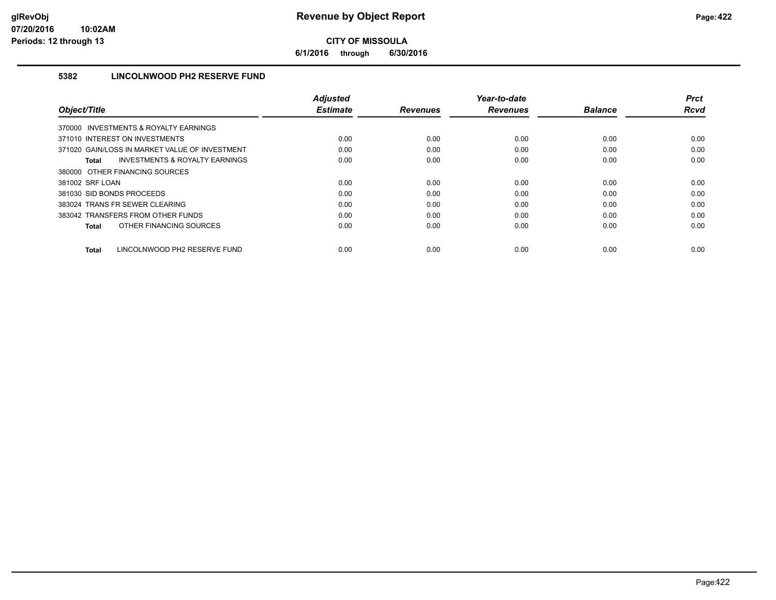**6/1/2016 through 6/30/2016**

## **5382 LINCOLNWOOD PH2 RESERVE FUND**

|                                                           | <b>Adjusted</b> |                 | Year-to-date    |                | Prct        |
|-----------------------------------------------------------|-----------------|-----------------|-----------------|----------------|-------------|
| Object/Title                                              | <b>Estimate</b> | <b>Revenues</b> | <b>Revenues</b> | <b>Balance</b> | <b>Rcvd</b> |
| 370000 INVESTMENTS & ROYALTY EARNINGS                     |                 |                 |                 |                |             |
| 371010 INTEREST ON INVESTMENTS                            | 0.00            | 0.00            | 0.00            | 0.00           | 0.00        |
| 371020 GAIN/LOSS IN MARKET VALUE OF INVESTMENT            | 0.00            | 0.00            | 0.00            | 0.00           | 0.00        |
| <b>INVESTMENTS &amp; ROYALTY EARNINGS</b><br><b>Total</b> | 0.00            | 0.00            | 0.00            | 0.00           | 0.00        |
| 380000 OTHER FINANCING SOURCES                            |                 |                 |                 |                |             |
| 381002 SRF LOAN                                           | 0.00            | 0.00            | 0.00            | 0.00           | 0.00        |
| 381030 SID BONDS PROCEEDS                                 | 0.00            | 0.00            | 0.00            | 0.00           | 0.00        |
| 383024 TRANS FR SEWER CLEARING                            | 0.00            | 0.00            | 0.00            | 0.00           | 0.00        |
| 383042 TRANSFERS FROM OTHER FUNDS                         | 0.00            | 0.00            | 0.00            | 0.00           | 0.00        |
| OTHER FINANCING SOURCES<br><b>Total</b>                   | 0.00            | 0.00            | 0.00            | 0.00           | 0.00        |
| LINCOLNWOOD PH2 RESERVE FUND<br><b>Total</b>              | 0.00            | 0.00            | 0.00            | 0.00           | 0.00        |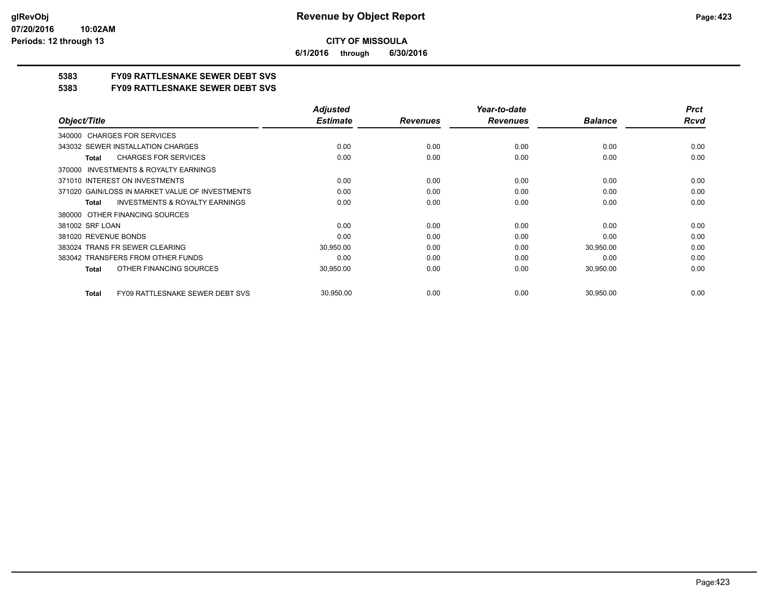**6/1/2016 through 6/30/2016**

## **5383 FY09 RATTLESNAKE SEWER DEBT SVS**

**5383 FY09 RATTLESNAKE SEWER DEBT SVS**

|                                                           | <b>Adjusted</b> |                 | Year-to-date    |                | <b>Prct</b> |
|-----------------------------------------------------------|-----------------|-----------------|-----------------|----------------|-------------|
| Object/Title                                              | <b>Estimate</b> | <b>Revenues</b> | <b>Revenues</b> | <b>Balance</b> | <b>Rcvd</b> |
| <b>CHARGES FOR SERVICES</b><br>340000                     |                 |                 |                 |                |             |
| 343032 SEWER INSTALLATION CHARGES                         | 0.00            | 0.00            | 0.00            | 0.00           | 0.00        |
| <b>CHARGES FOR SERVICES</b><br><b>Total</b>               | 0.00            | 0.00            | 0.00            | 0.00           | 0.00        |
| INVESTMENTS & ROYALTY EARNINGS<br>370000                  |                 |                 |                 |                |             |
| 371010 INTEREST ON INVESTMENTS                            | 0.00            | 0.00            | 0.00            | 0.00           | 0.00        |
| 371020 GAIN/LOSS IN MARKET VALUE OF INVESTMENTS           | 0.00            | 0.00            | 0.00            | 0.00           | 0.00        |
| <b>INVESTMENTS &amp; ROYALTY EARNINGS</b><br><b>Total</b> | 0.00            | 0.00            | 0.00            | 0.00           | 0.00        |
| OTHER FINANCING SOURCES<br>380000                         |                 |                 |                 |                |             |
| 381002 SRF LOAN                                           | 0.00            | 0.00            | 0.00            | 0.00           | 0.00        |
| 381020 REVENUE BONDS                                      | 0.00            | 0.00            | 0.00            | 0.00           | 0.00        |
| 383024 TRANS FR SEWER CLEARING                            | 30,950.00       | 0.00            | 0.00            | 30,950.00      | 0.00        |
| 383042 TRANSFERS FROM OTHER FUNDS                         | 0.00            | 0.00            | 0.00            | 0.00           | 0.00        |
| OTHER FINANCING SOURCES<br><b>Total</b>                   | 30,950.00       | 0.00            | 0.00            | 30,950.00      | 0.00        |
| <b>FY09 RATTLESNAKE SEWER DEBT SVS</b><br><b>Total</b>    | 30,950.00       | 0.00            | 0.00            | 30,950.00      | 0.00        |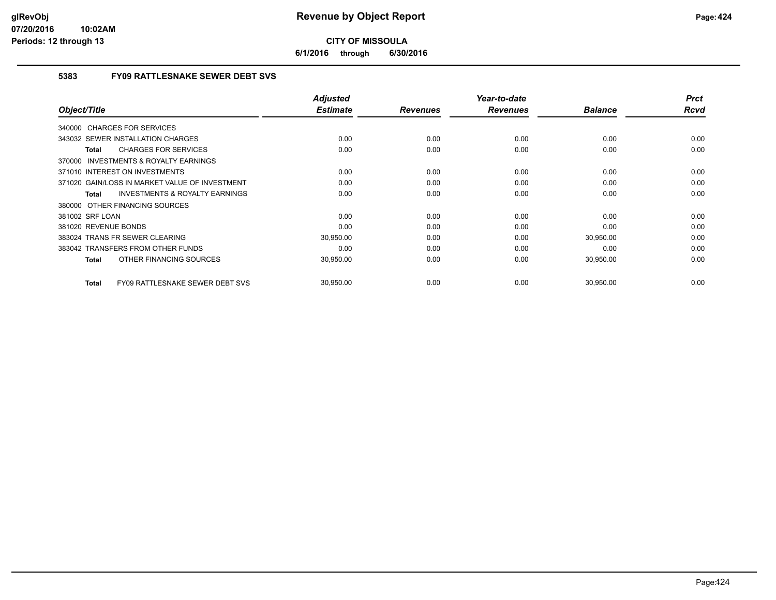**6/1/2016 through 6/30/2016**

## **5383 FY09 RATTLESNAKE SEWER DEBT SVS**

| Object/Title                                              | <b>Adjusted</b><br><b>Estimate</b> | <b>Revenues</b> | Year-to-date<br><b>Revenues</b> | <b>Balance</b> | <b>Prct</b><br><b>Rcvd</b> |
|-----------------------------------------------------------|------------------------------------|-----------------|---------------------------------|----------------|----------------------------|
| 340000 CHARGES FOR SERVICES                               |                                    |                 |                                 |                |                            |
| 343032 SEWER INSTALLATION CHARGES                         | 0.00                               | 0.00            | 0.00                            | 0.00           | 0.00                       |
| <b>CHARGES FOR SERVICES</b><br>Total                      | 0.00                               | 0.00            | 0.00                            | 0.00           | 0.00                       |
| INVESTMENTS & ROYALTY EARNINGS<br>370000                  |                                    |                 |                                 |                |                            |
| 371010 INTEREST ON INVESTMENTS                            | 0.00                               | 0.00            | 0.00                            | 0.00           | 0.00                       |
| 371020 GAIN/LOSS IN MARKET VALUE OF INVESTMENT            | 0.00                               | 0.00            | 0.00                            | 0.00           | 0.00                       |
| <b>INVESTMENTS &amp; ROYALTY EARNINGS</b><br><b>Total</b> | 0.00                               | 0.00            | 0.00                            | 0.00           | 0.00                       |
| 380000 OTHER FINANCING SOURCES                            |                                    |                 |                                 |                |                            |
| 381002 SRF LOAN                                           | 0.00                               | 0.00            | 0.00                            | 0.00           | 0.00                       |
| 381020 REVENUE BONDS                                      | 0.00                               | 0.00            | 0.00                            | 0.00           | 0.00                       |
| 383024 TRANS FR SEWER CLEARING                            | 30,950.00                          | 0.00            | 0.00                            | 30,950.00      | 0.00                       |
| 383042 TRANSFERS FROM OTHER FUNDS                         | 0.00                               | 0.00            | 0.00                            | 0.00           | 0.00                       |
| OTHER FINANCING SOURCES<br><b>Total</b>                   | 30,950.00                          | 0.00            | 0.00                            | 30,950.00      | 0.00                       |
|                                                           |                                    |                 |                                 |                |                            |
| FY09 RATTLESNAKE SEWER DEBT SVS<br><b>Total</b>           | 30,950.00                          | 0.00            | 0.00                            | 30,950.00      | 0.00                       |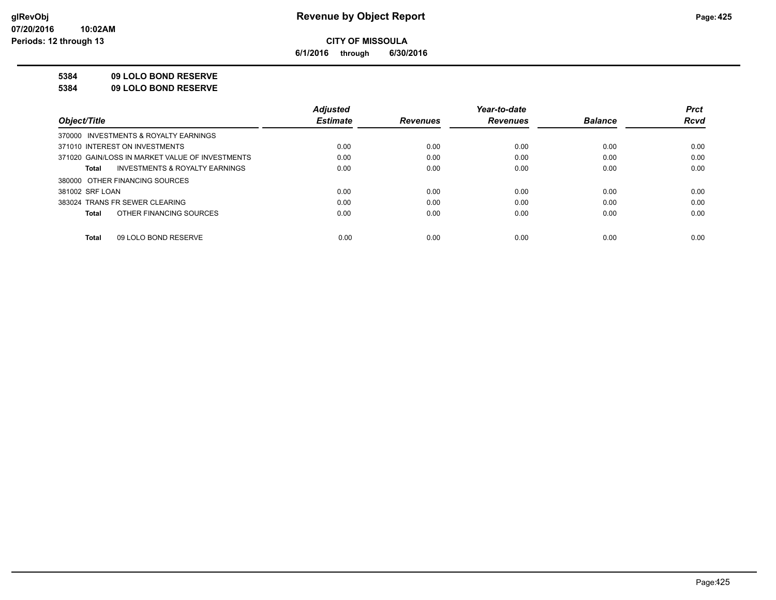**6/1/2016 through 6/30/2016**

**5384 09 LOLO BOND RESERVE**

**5384 09 LOLO BOND RESERVE**

|                                                 | <b>Adiusted</b> |                 | Year-to-date    |                | <b>Prct</b> |
|-------------------------------------------------|-----------------|-----------------|-----------------|----------------|-------------|
| Object/Title                                    | <b>Estimate</b> | <b>Revenues</b> | <b>Revenues</b> | <b>Balance</b> | <b>Rcvd</b> |
| 370000 INVESTMENTS & ROYALTY EARNINGS           |                 |                 |                 |                |             |
| 371010 INTEREST ON INVESTMENTS                  | 0.00            | 0.00            | 0.00            | 0.00           | 0.00        |
| 371020 GAIN/LOSS IN MARKET VALUE OF INVESTMENTS | 0.00            | 0.00            | 0.00            | 0.00           | 0.00        |
| INVESTMENTS & ROYALTY EARNINGS<br>Total         | 0.00            | 0.00            | 0.00            | 0.00           | 0.00        |
| 380000 OTHER FINANCING SOURCES                  |                 |                 |                 |                |             |
| 381002 SRF LOAN                                 | 0.00            | 0.00            | 0.00            | 0.00           | 0.00        |
| 383024 TRANS FR SEWER CLEARING                  | 0.00            | 0.00            | 0.00            | 0.00           | 0.00        |
| OTHER FINANCING SOURCES<br>Total                | 0.00            | 0.00            | 0.00            | 0.00           | 0.00        |
|                                                 |                 |                 |                 |                |             |
| 09 LOLO BOND RESERVE<br>Total                   | 0.00            | 0.00            | 0.00            | 0.00           | 0.00        |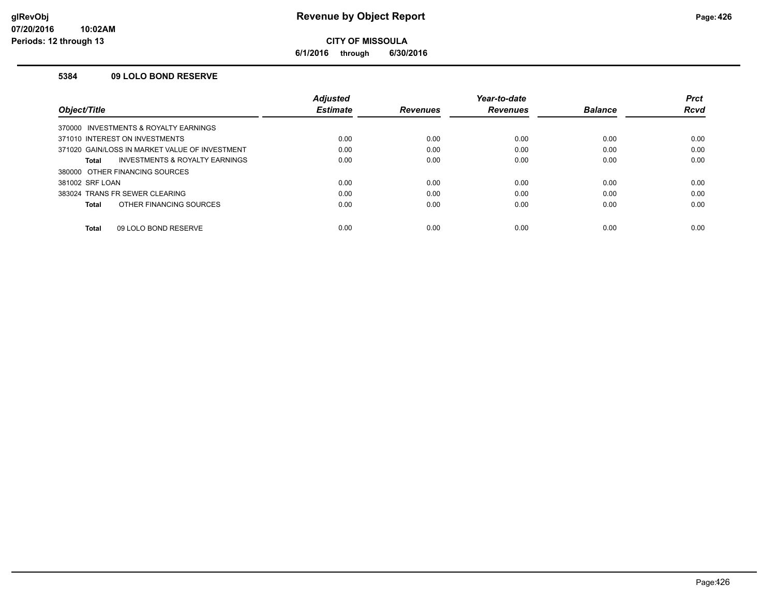**6/1/2016 through 6/30/2016**

### **5384 09 LOLO BOND RESERVE**

|                                                | <b>Adjusted</b> |                 | Year-to-date    |                | <b>Prct</b> |
|------------------------------------------------|-----------------|-----------------|-----------------|----------------|-------------|
| Object/Title                                   | <b>Estimate</b> | <b>Revenues</b> | <b>Revenues</b> | <b>Balance</b> | <b>Rcvd</b> |
| 370000 INVESTMENTS & ROYALTY EARNINGS          |                 |                 |                 |                |             |
| 371010 INTEREST ON INVESTMENTS                 | 0.00            | 0.00            | 0.00            | 0.00           | 0.00        |
| 371020 GAIN/LOSS IN MARKET VALUE OF INVESTMENT | 0.00            | 0.00            | 0.00            | 0.00           | 0.00        |
| INVESTMENTS & ROYALTY EARNINGS<br>Total        | 0.00            | 0.00            | 0.00            | 0.00           | 0.00        |
| 380000 OTHER FINANCING SOURCES                 |                 |                 |                 |                |             |
| 381002 SRF LOAN                                | 0.00            | 0.00            | 0.00            | 0.00           | 0.00        |
| 383024 TRANS FR SEWER CLEARING                 | 0.00            | 0.00            | 0.00            | 0.00           | 0.00        |
| OTHER FINANCING SOURCES<br>Total               | 0.00            | 0.00            | 0.00            | 0.00           | 0.00        |
| 09 LOLO BOND RESERVE<br>Total                  | 0.00            | 0.00            | 0.00            | 0.00           | 0.00        |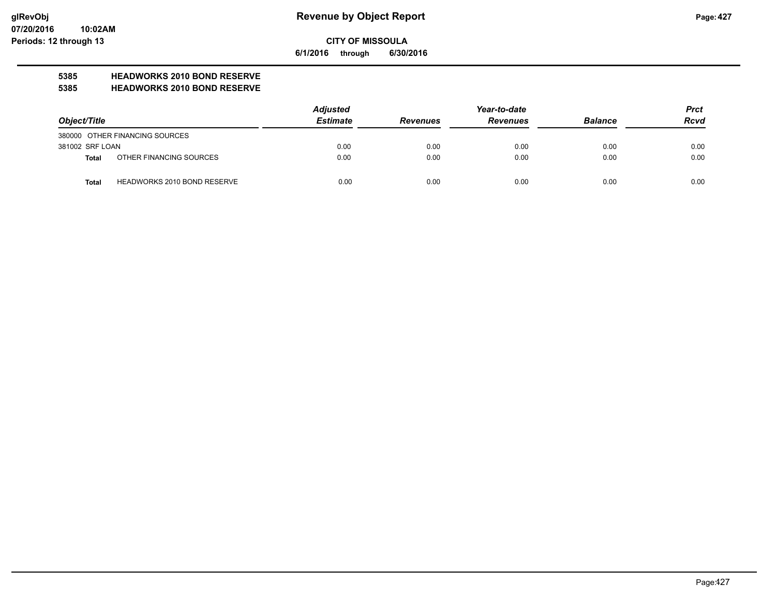**6/1/2016 through 6/30/2016**

## **5385 HEADWORKS 2010 BOND RESERVE**

#### **5385 HEADWORKS 2010 BOND RESERVE**

|                 |                                    | <b>Adjusted</b> |                 | Year-to-date    |                |             |
|-----------------|------------------------------------|-----------------|-----------------|-----------------|----------------|-------------|
| Object/Title    |                                    | <b>Estimate</b> | <b>Revenues</b> | <b>Revenues</b> | <b>Balance</b> | <b>Rcvd</b> |
|                 | 380000 OTHER FINANCING SOURCES     |                 |                 |                 |                |             |
| 381002 SRF LOAN |                                    | 0.00            | 0.00            | 0.00            | 0.00           | 0.00        |
| Total           | OTHER FINANCING SOURCES            | 0.00            | 0.00            | 0.00            | 0.00           | 0.00        |
| <b>Total</b>    | <b>HEADWORKS 2010 BOND RESERVE</b> | 0.00            | 0.00            | 0.00            | 0.00           | 0.00        |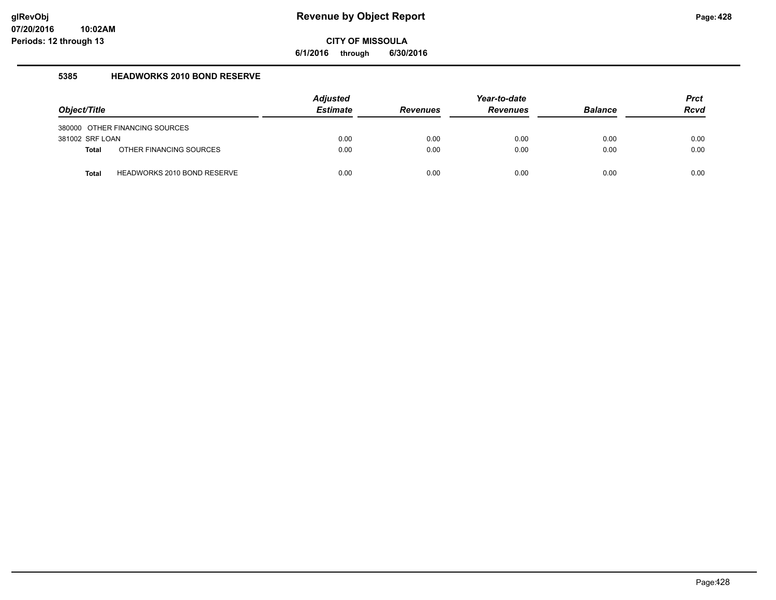**6/1/2016 through 6/30/2016**

### **5385 HEADWORKS 2010 BOND RESERVE**

| Object/Title    |                                    | <b>Adjusted</b><br><b>Estimate</b> | <b>Revenues</b> | Year-to-date<br><b>Revenues</b> | <b>Balance</b> | <b>Prct</b><br><b>Rcvd</b> |
|-----------------|------------------------------------|------------------------------------|-----------------|---------------------------------|----------------|----------------------------|
|                 | 380000 OTHER FINANCING SOURCES     |                                    |                 |                                 |                |                            |
| 381002 SRF LOAN |                                    | 0.00                               | 0.00            | 0.00                            | 0.00           | 0.00                       |
| <b>Total</b>    | OTHER FINANCING SOURCES            | 0.00                               | 0.00            | 0.00                            | 0.00           | 0.00                       |
| Total           | <b>HEADWORKS 2010 BOND RESERVE</b> | 0.00                               | 0.00            | 0.00                            | 0.00           | 0.00                       |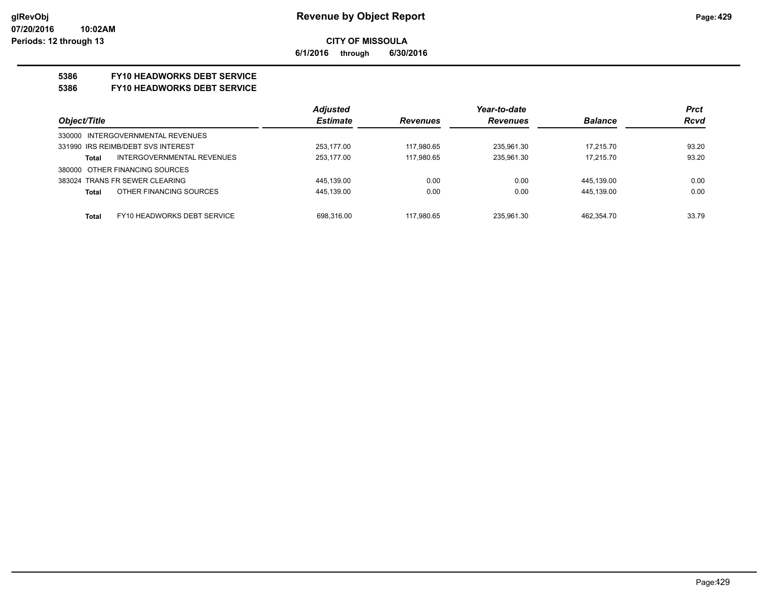**6/1/2016 through 6/30/2016**

## **5386 FY10 HEADWORKS DEBT SERVICE**

#### **5386 FY10 HEADWORKS DEBT SERVICE**

|                                                    | <b>Adjusted</b> |                 | Year-to-date    |                | <b>Prct</b> |
|----------------------------------------------------|-----------------|-----------------|-----------------|----------------|-------------|
| Object/Title                                       | <b>Estimate</b> | <b>Revenues</b> | <b>Revenues</b> | <b>Balance</b> | <b>Rcvd</b> |
| 330000 INTERGOVERNMENTAL REVENUES                  |                 |                 |                 |                |             |
| 331990 IRS REIMB/DEBT SVS INTEREST                 | 253.177.00      | 117.980.65      | 235.961.30      | 17.215.70      | 93.20       |
| <b>INTERGOVERNMENTAL REVENUES</b><br><b>Total</b>  | 253.177.00      | 117.980.65      | 235.961.30      | 17.215.70      | 93.20       |
| 380000 OTHER FINANCING SOURCES                     |                 |                 |                 |                |             |
| 383024 TRANS FR SEWER CLEARING                     | 445.139.00      | 0.00            | 0.00            | 445,139.00     | 0.00        |
| OTHER FINANCING SOURCES<br><b>Total</b>            | 445,139.00      | 0.00            | 0.00            | 445,139.00     | 0.00        |
|                                                    |                 |                 |                 |                |             |
| <b>FY10 HEADWORKS DEBT SERVICE</b><br><b>Total</b> | 698.316.00      | 117.980.65      | 235.961.30      | 462.354.70     | 33.79       |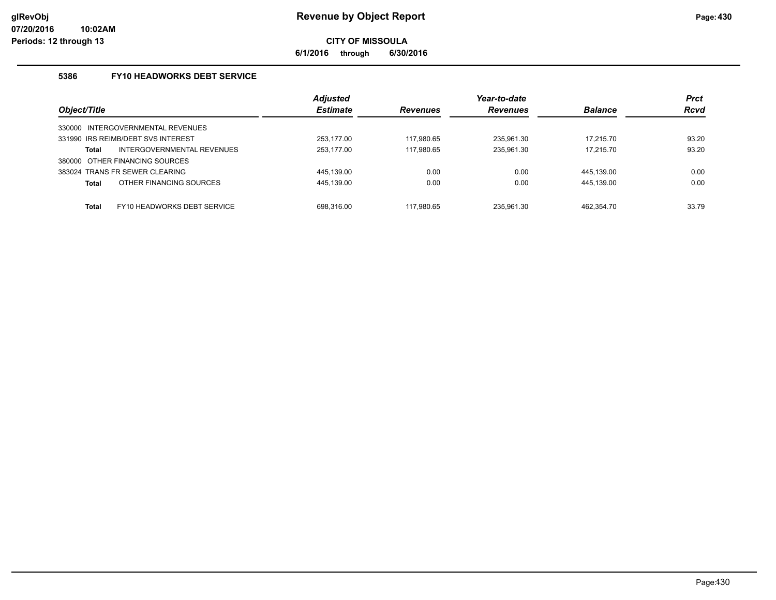**6/1/2016 through 6/30/2016**

## **5386 FY10 HEADWORKS DEBT SERVICE**

|              |                                    | <b>Adjusted</b> |                 | Year-to-date    |                | <b>Prct</b> |
|--------------|------------------------------------|-----------------|-----------------|-----------------|----------------|-------------|
| Object/Title |                                    | <b>Estimate</b> | <b>Revenues</b> | <b>Revenues</b> | <b>Balance</b> | <b>Rcvd</b> |
|              | 330000 INTERGOVERNMENTAL REVENUES  |                 |                 |                 |                |             |
|              | 331990 IRS REIMB/DEBT SVS INTEREST | 253.177.00      | 117.980.65      | 235.961.30      | 17.215.70      | 93.20       |
| <b>Total</b> | INTERGOVERNMENTAL REVENUES         | 253.177.00      | 117,980.65      | 235,961.30      | 17.215.70      | 93.20       |
|              | 380000 OTHER FINANCING SOURCES     |                 |                 |                 |                |             |
|              | 383024 TRANS FR SEWER CLEARING     | 445.139.00      | 0.00            | 0.00            | 445.139.00     | 0.00        |
| <b>Total</b> | OTHER FINANCING SOURCES            | 445,139.00      | 0.00            | 0.00            | 445,139.00     | 0.00        |
| <b>Total</b> | <b>FY10 HEADWORKS DEBT SERVICE</b> | 698.316.00      | 117.980.65      | 235.961.30      | 462.354.70     | 33.79       |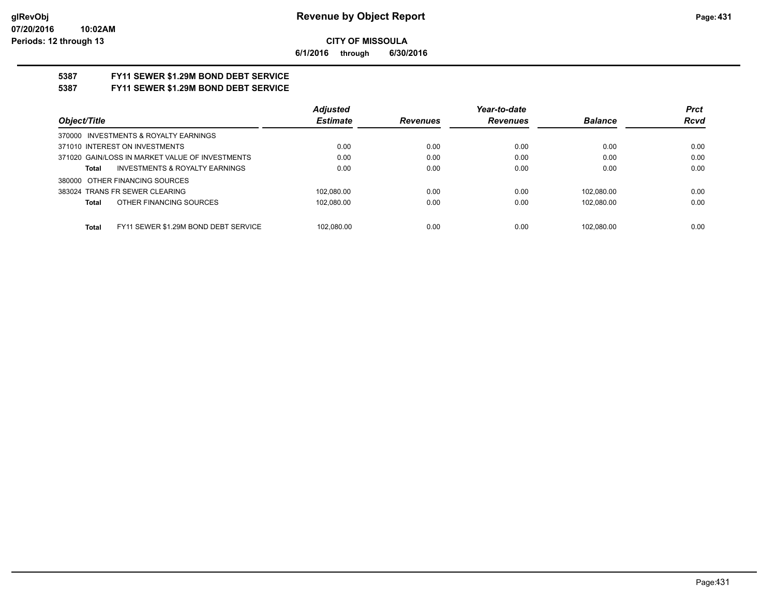**6/1/2016 through 6/30/2016**

# **5387 FY11 SEWER \$1.29M BOND DEBT SERVICE**

## **5387 FY11 SEWER \$1.29M BOND DEBT SERVICE**

|                                                      | <b>Adjusted</b> |                 | Year-to-date    |                | <b>Prct</b> |
|------------------------------------------------------|-----------------|-----------------|-----------------|----------------|-------------|
| Object/Title                                         | <b>Estimate</b> | <b>Revenues</b> | <b>Revenues</b> | <b>Balance</b> | <b>Rcvd</b> |
| 370000 INVESTMENTS & ROYALTY EARNINGS                |                 |                 |                 |                |             |
| 371010 INTEREST ON INVESTMENTS                       | 0.00            | 0.00            | 0.00            | 0.00           | 0.00        |
| 371020 GAIN/LOSS IN MARKET VALUE OF INVESTMENTS      | 0.00            | 0.00            | 0.00            | 0.00           | 0.00        |
| <b>INVESTMENTS &amp; ROYALTY EARNINGS</b><br>Total   | 0.00            | 0.00            | 0.00            | 0.00           | 0.00        |
| 380000 OTHER FINANCING SOURCES                       |                 |                 |                 |                |             |
| 383024 TRANS FR SEWER CLEARING                       | 102.080.00      | 0.00            | 0.00            | 102.080.00     | 0.00        |
| OTHER FINANCING SOURCES<br>Total                     | 102,080.00      | 0.00            | 0.00            | 102.080.00     | 0.00        |
|                                                      |                 |                 |                 |                |             |
| FY11 SEWER \$1.29M BOND DEBT SERVICE<br><b>Total</b> | 102.080.00      | 0.00            | 0.00            | 102.080.00     | 0.00        |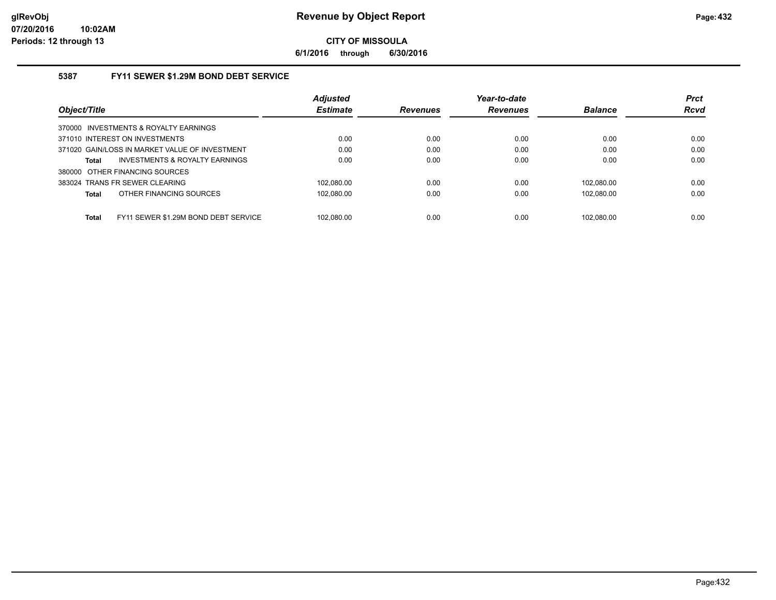**6/1/2016 through 6/30/2016**

### **5387 FY11 SEWER \$1.29M BOND DEBT SERVICE**

|              |                                                | <b>Adjusted</b> |                 | Year-to-date    |                | <b>Prct</b> |
|--------------|------------------------------------------------|-----------------|-----------------|-----------------|----------------|-------------|
| Object/Title |                                                | <b>Estimate</b> | <b>Revenues</b> | <b>Revenues</b> | <b>Balance</b> | <b>Rcvd</b> |
|              | 370000 INVESTMENTS & ROYALTY EARNINGS          |                 |                 |                 |                |             |
|              | 371010 INTEREST ON INVESTMENTS                 | 0.00            | 0.00            | 0.00            | 0.00           | 0.00        |
|              | 371020 GAIN/LOSS IN MARKET VALUE OF INVESTMENT | 0.00            | 0.00            | 0.00            | 0.00           | 0.00        |
| Total        | INVESTMENTS & ROYALTY EARNINGS                 | 0.00            | 0.00            | 0.00            | 0.00           | 0.00        |
|              | 380000 OTHER FINANCING SOURCES                 |                 |                 |                 |                |             |
|              | 383024 TRANS FR SEWER CLEARING                 | 102.080.00      | 0.00            | 0.00            | 102.080.00     | 0.00        |
| Total        | OTHER FINANCING SOURCES                        | 102.080.00      | 0.00            | 0.00            | 102.080.00     | 0.00        |
| <b>Total</b> | FY11 SEWER \$1.29M BOND DEBT SERVICE           | 102.080.00      | 0.00            | 0.00            | 102.080.00     | 0.00        |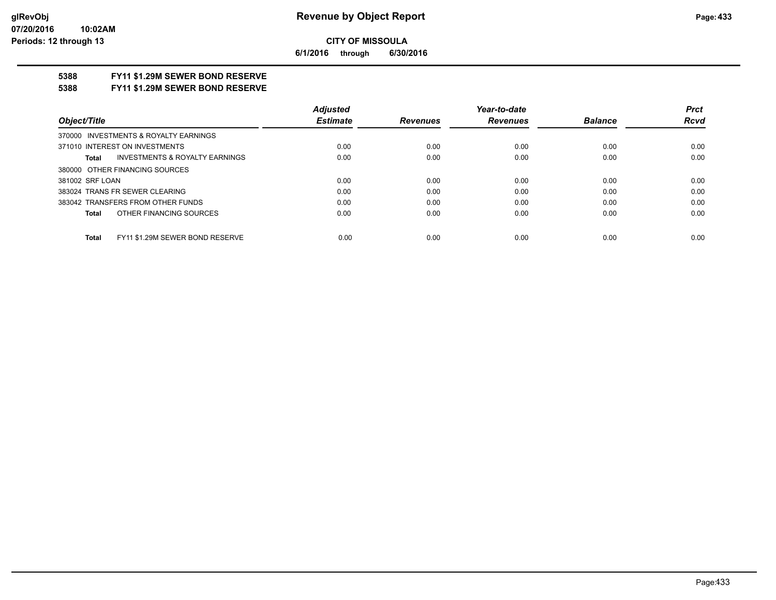**6/1/2016 through 6/30/2016**

# **5388 FY11 \$1.29M SEWER BOND RESERVE**

**5388 FY11 \$1.29M SEWER BOND RESERVE**

|                                          | <b>Adjusted</b> |                 | Year-to-date    |                | <b>Prct</b> |
|------------------------------------------|-----------------|-----------------|-----------------|----------------|-------------|
| Object/Title                             | <b>Estimate</b> | <b>Revenues</b> | <b>Revenues</b> | <b>Balance</b> | Rcvd        |
| 370000 INVESTMENTS & ROYALTY EARNINGS    |                 |                 |                 |                |             |
| 371010 INTEREST ON INVESTMENTS           | 0.00            | 0.00            | 0.00            | 0.00           | 0.00        |
| INVESTMENTS & ROYALTY EARNINGS<br>Total  | 0.00            | 0.00            | 0.00            | 0.00           | 0.00        |
| 380000 OTHER FINANCING SOURCES           |                 |                 |                 |                |             |
| 381002 SRF LOAN                          | 0.00            | 0.00            | 0.00            | 0.00           | 0.00        |
| 383024 TRANS FR SEWER CLEARING           | 0.00            | 0.00            | 0.00            | 0.00           | 0.00        |
| 383042 TRANSFERS FROM OTHER FUNDS        | 0.00            | 0.00            | 0.00            | 0.00           | 0.00        |
| OTHER FINANCING SOURCES<br>Total         | 0.00            | 0.00            | 0.00            | 0.00           | 0.00        |
| FY11 \$1.29M SEWER BOND RESERVE<br>Total | 0.00            | 0.00            | 0.00            | 0.00           | 0.00        |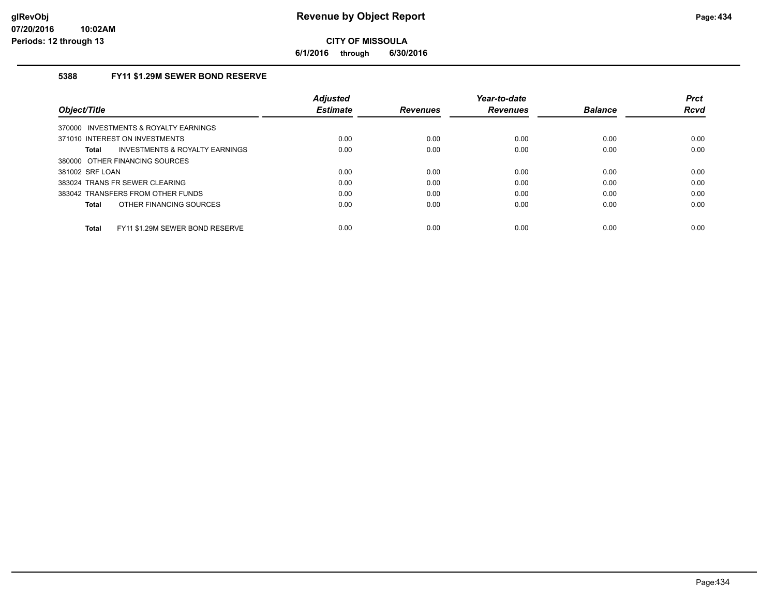**6/1/2016 through 6/30/2016**

## **5388 FY11 \$1.29M SEWER BOND RESERVE**

|                                                    | <b>Adjusted</b> |                 | Year-to-date    |                | <b>Prct</b> |
|----------------------------------------------------|-----------------|-----------------|-----------------|----------------|-------------|
| Object/Title                                       | <b>Estimate</b> | <b>Revenues</b> | <b>Revenues</b> | <b>Balance</b> | <b>Rcvd</b> |
| 370000 INVESTMENTS & ROYALTY EARNINGS              |                 |                 |                 |                |             |
| 371010 INTEREST ON INVESTMENTS                     | 0.00            | 0.00            | 0.00            | 0.00           | 0.00        |
| <b>INVESTMENTS &amp; ROYALTY EARNINGS</b><br>Total | 0.00            | 0.00            | 0.00            | 0.00           | 0.00        |
| 380000 OTHER FINANCING SOURCES                     |                 |                 |                 |                |             |
| 381002 SRF LOAN                                    | 0.00            | 0.00            | 0.00            | 0.00           | 0.00        |
| 383024 TRANS FR SEWER CLEARING                     | 0.00            | 0.00            | 0.00            | 0.00           | 0.00        |
| 383042 TRANSFERS FROM OTHER FUNDS                  | 0.00            | 0.00            | 0.00            | 0.00           | 0.00        |
| OTHER FINANCING SOURCES<br>Total                   | 0.00            | 0.00            | 0.00            | 0.00           | 0.00        |
| FY11 \$1.29M SEWER BOND RESERVE<br>Total           | 0.00            | 0.00            | 0.00            | 0.00           | 0.00        |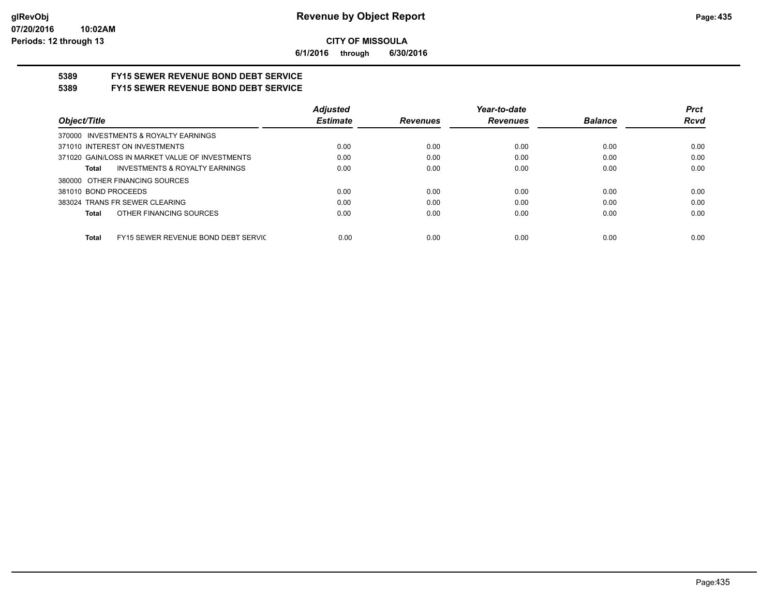**6/1/2016 through 6/30/2016**

# **5389 FY15 SEWER REVENUE BOND DEBT SERVICE**

**5389 FY15 SEWER REVENUE BOND DEBT SERVICE**

|                                                    | <b>Adjusted</b> |                 | Year-to-date    |                | <b>Prct</b> |
|----------------------------------------------------|-----------------|-----------------|-----------------|----------------|-------------|
| Object/Title                                       | <b>Estimate</b> | <b>Revenues</b> | <b>Revenues</b> | <b>Balance</b> | <b>Rcvd</b> |
| 370000 INVESTMENTS & ROYALTY EARNINGS              |                 |                 |                 |                |             |
| 371010 INTEREST ON INVESTMENTS                     | 0.00            | 0.00            | 0.00            | 0.00           | 0.00        |
| 371020 GAIN/LOSS IN MARKET VALUE OF INVESTMENTS    | 0.00            | 0.00            | 0.00            | 0.00           | 0.00        |
| <b>INVESTMENTS &amp; ROYALTY EARNINGS</b><br>Total | 0.00            | 0.00            | 0.00            | 0.00           | 0.00        |
| 380000 OTHER FINANCING SOURCES                     |                 |                 |                 |                |             |
| 381010 BOND PROCEEDS                               | 0.00            | 0.00            | 0.00            | 0.00           | 0.00        |
| 383024 TRANS FR SEWER CLEARING                     | 0.00            | 0.00            | 0.00            | 0.00           | 0.00        |
| OTHER FINANCING SOURCES<br><b>Total</b>            | 0.00            | 0.00            | 0.00            | 0.00           | 0.00        |
| FY15 SEWER REVENUE BOND DEBT SERVIC<br>Total       | 0.00            | 0.00            | 0.00            | 0.00           | 0.00        |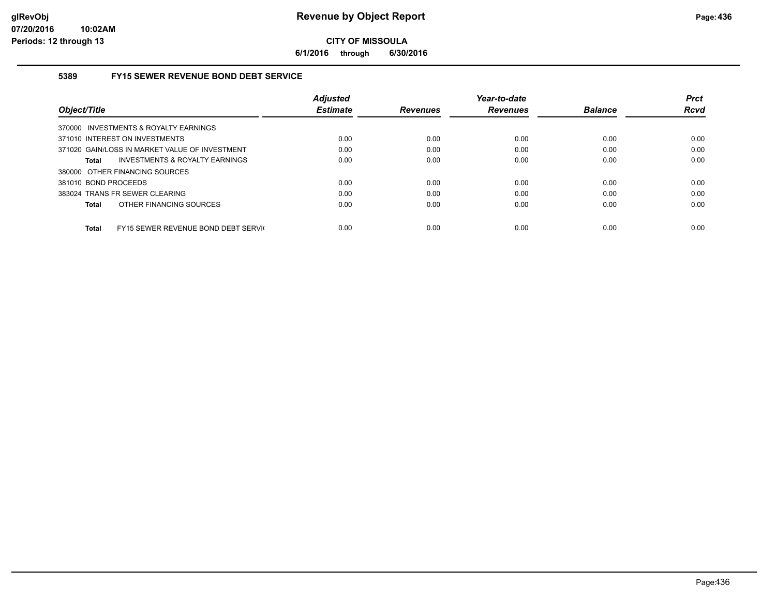**6/1/2016 through 6/30/2016**

#### **5389 FY15 SEWER REVENUE BOND DEBT SERVICE**

|                                                     | <b>Adiusted</b> |                 | Year-to-date    |                | <b>Prct</b> |
|-----------------------------------------------------|-----------------|-----------------|-----------------|----------------|-------------|
| Object/Title                                        | <b>Estimate</b> | <b>Revenues</b> | <b>Revenues</b> | <b>Balance</b> | <b>Rcvd</b> |
| 370000 INVESTMENTS & ROYALTY EARNINGS               |                 |                 |                 |                |             |
| 371010 INTEREST ON INVESTMENTS                      | 0.00            | 0.00            | 0.00            | 0.00           | 0.00        |
| 371020 GAIN/LOSS IN MARKET VALUE OF INVESTMENT      | 0.00            | 0.00            | 0.00            | 0.00           | 0.00        |
| INVESTMENTS & ROYALTY EARNINGS<br>Total             | 0.00            | 0.00            | 0.00            | 0.00           | 0.00        |
| 380000 OTHER FINANCING SOURCES                      |                 |                 |                 |                |             |
| 381010 BOND PROCEEDS                                | 0.00            | 0.00            | 0.00            | 0.00           | 0.00        |
| 383024 TRANS FR SEWER CLEARING                      | 0.00            | 0.00            | 0.00            | 0.00           | 0.00        |
| OTHER FINANCING SOURCES<br><b>Total</b>             | 0.00            | 0.00            | 0.00            | 0.00           | 0.00        |
|                                                     |                 |                 |                 |                |             |
| FY15 SEWER REVENUE BOND DEBT SERVIC<br><b>Total</b> | 0.00            | 0.00            | 0.00            | 0.00           | 0.00        |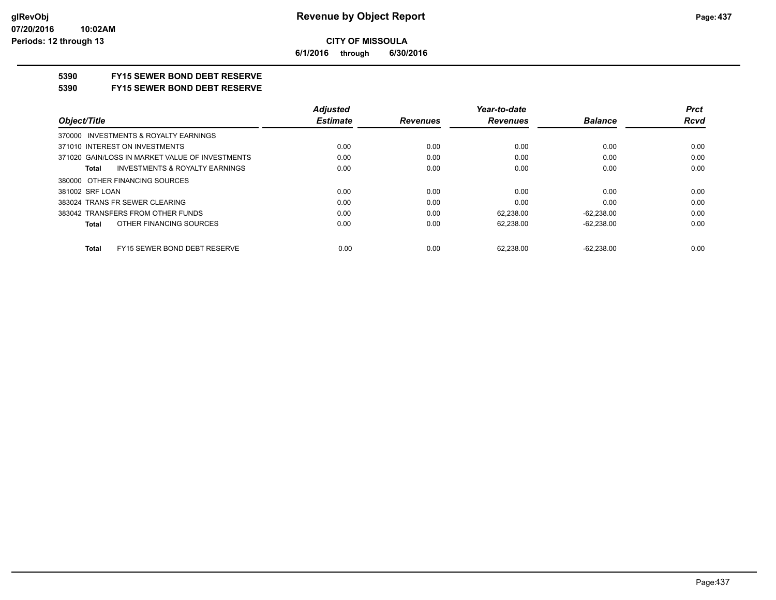**6/1/2016 through 6/30/2016**

## **5390 FY15 SEWER BOND DEBT RESERVE**

#### **5390 FY15 SEWER BOND DEBT RESERVE**

|                                                     | <b>Adjusted</b> |                 | Year-to-date    |                | <b>Prct</b> |
|-----------------------------------------------------|-----------------|-----------------|-----------------|----------------|-------------|
| Object/Title                                        | <b>Estimate</b> | <b>Revenues</b> | <b>Revenues</b> | <b>Balance</b> | <b>Rcvd</b> |
| 370000 INVESTMENTS & ROYALTY EARNINGS               |                 |                 |                 |                |             |
| 371010 INTEREST ON INVESTMENTS                      | 0.00            | 0.00            | 0.00            | 0.00           | 0.00        |
| 371020 GAIN/LOSS IN MARKET VALUE OF INVESTMENTS     | 0.00            | 0.00            | 0.00            | 0.00           | 0.00        |
| INVESTMENTS & ROYALTY EARNINGS<br>Total             | 0.00            | 0.00            | 0.00            | 0.00           | 0.00        |
| 380000 OTHER FINANCING SOURCES                      |                 |                 |                 |                |             |
| 381002 SRF LOAN                                     | 0.00            | 0.00            | 0.00            | 0.00           | 0.00        |
| 383024 TRANS FR SEWER CLEARING                      | 0.00            | 0.00            | 0.00            | 0.00           | 0.00        |
| 383042 TRANSFERS FROM OTHER FUNDS                   | 0.00            | 0.00            | 62,238.00       | $-62,238.00$   | 0.00        |
| OTHER FINANCING SOURCES<br>Total                    | 0.00            | 0.00            | 62.238.00       | $-62.238.00$   | 0.00        |
| <b>FY15 SEWER BOND DEBT RESERVE</b><br><b>Total</b> | 0.00            | 0.00            | 62.238.00       | $-62.238.00$   | 0.00        |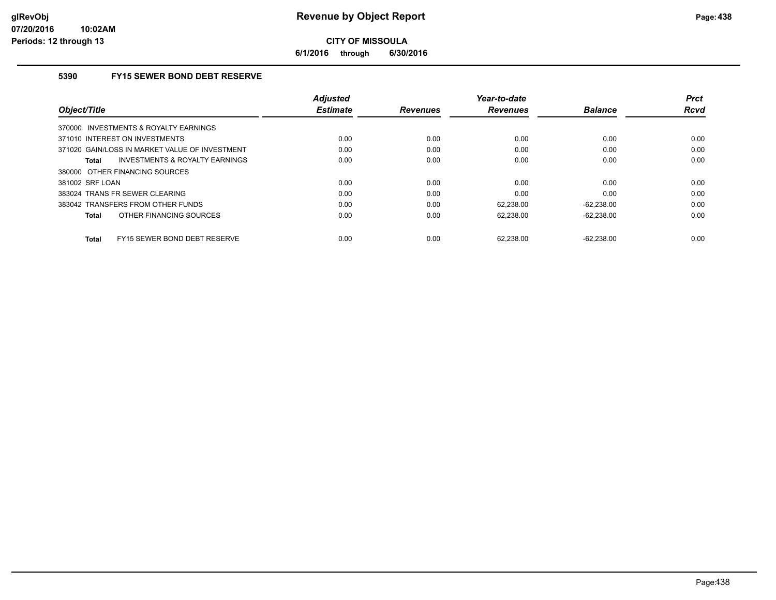**6/1/2016 through 6/30/2016**

## **5390 FY15 SEWER BOND DEBT RESERVE**

| Object/Title                                   | <b>Adjusted</b><br><b>Estimate</b> | <b>Revenues</b> | Year-to-date<br><b>Revenues</b> | <b>Balance</b> | <b>Prct</b><br>Rcvd |
|------------------------------------------------|------------------------------------|-----------------|---------------------------------|----------------|---------------------|
| 370000 INVESTMENTS & ROYALTY EARNINGS          |                                    |                 |                                 |                |                     |
| 371010 INTEREST ON INVESTMENTS                 | 0.00                               | 0.00            | 0.00                            | 0.00           | 0.00                |
| 371020 GAIN/LOSS IN MARKET VALUE OF INVESTMENT | 0.00                               | 0.00            | 0.00                            | 0.00           | 0.00                |
| INVESTMENTS & ROYALTY EARNINGS<br>Total        | 0.00                               | 0.00            | 0.00                            | 0.00           | 0.00                |
| 380000 OTHER FINANCING SOURCES                 |                                    |                 |                                 |                |                     |
| 381002 SRF LOAN                                | 0.00                               | 0.00            | 0.00                            | 0.00           | 0.00                |
| 383024 TRANS FR SEWER CLEARING                 | 0.00                               | 0.00            | 0.00                            | 0.00           | 0.00                |
| 383042 TRANSFERS FROM OTHER FUNDS              | 0.00                               | 0.00            | 62.238.00                       | $-62.238.00$   | 0.00                |
| OTHER FINANCING SOURCES<br><b>Total</b>        | 0.00                               | 0.00            | 62.238.00                       | $-62,238.00$   | 0.00                |
| FY15 SEWER BOND DEBT RESERVE<br><b>Total</b>   | 0.00                               | 0.00            | 62.238.00                       | $-62.238.00$   | 0.00                |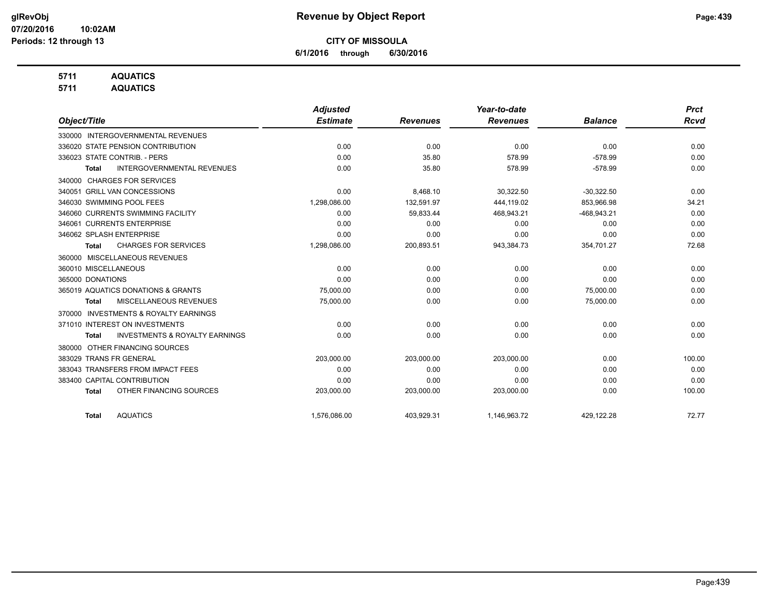**6/1/2016 through 6/30/2016**

# **5711 AQUATICS**

**5711 AQUATICS**

|                                                           | <b>Adjusted</b> |                 | Year-to-date    |                | <b>Prct</b> |
|-----------------------------------------------------------|-----------------|-----------------|-----------------|----------------|-------------|
| Object/Title                                              | <b>Estimate</b> | <b>Revenues</b> | <b>Revenues</b> | <b>Balance</b> | <b>Rcvd</b> |
| 330000 INTERGOVERNMENTAL REVENUES                         |                 |                 |                 |                |             |
| 336020 STATE PENSION CONTRIBUTION                         | 0.00            | 0.00            | 0.00            | 0.00           | 0.00        |
| 336023 STATE CONTRIB. - PERS                              | 0.00            | 35.80           | 578.99          | $-578.99$      | 0.00        |
| <b>INTERGOVERNMENTAL REVENUES</b><br>Total                | 0.00            | 35.80           | 578.99          | $-578.99$      | 0.00        |
| <b>CHARGES FOR SERVICES</b><br>340000                     |                 |                 |                 |                |             |
| 340051 GRILL VAN CONCESSIONS                              | 0.00            | 8.468.10        | 30,322.50       | $-30,322.50$   | 0.00        |
| 346030 SWIMMING POOL FEES                                 | 1,298,086.00    | 132,591.97      | 444.119.02      | 853,966.98     | 34.21       |
| 346060 CURRENTS SWIMMING FACILITY                         | 0.00            | 59,833.44       | 468,943.21      | -468,943.21    | 0.00        |
| 346061 CURRENTS ENTERPRISE                                | 0.00            | 0.00            | 0.00            | 0.00           | 0.00        |
| 346062 SPLASH ENTERPRISE                                  | 0.00            | 0.00            | 0.00            | 0.00           | 0.00        |
| <b>CHARGES FOR SERVICES</b><br>Total                      | 1,298,086.00    | 200,893.51      | 943,384.73      | 354,701.27     | 72.68       |
| 360000 MISCELLANEOUS REVENUES                             |                 |                 |                 |                |             |
| 360010 MISCELLANEOUS                                      | 0.00            | 0.00            | 0.00            | 0.00           | 0.00        |
| 365000 DONATIONS                                          | 0.00            | 0.00            | 0.00            | 0.00           | 0.00        |
| 365019 AQUATICS DONATIONS & GRANTS                        | 75,000.00       | 0.00            | 0.00            | 75,000.00      | 0.00        |
| MISCELLANEOUS REVENUES<br>Total                           | 75,000.00       | 0.00            | 0.00            | 75,000.00      | 0.00        |
| <b>INVESTMENTS &amp; ROYALTY EARNINGS</b><br>370000       |                 |                 |                 |                |             |
| 371010 INTEREST ON INVESTMENTS                            | 0.00            | 0.00            | 0.00            | 0.00           | 0.00        |
| <b>INVESTMENTS &amp; ROYALTY EARNINGS</b><br><b>Total</b> | 0.00            | 0.00            | 0.00            | 0.00           | 0.00        |
| OTHER FINANCING SOURCES<br>380000                         |                 |                 |                 |                |             |
| 383029 TRANS FR GENERAL                                   | 203,000.00      | 203,000.00      | 203,000.00      | 0.00           | 100.00      |
| 383043 TRANSFERS FROM IMPACT FEES                         | 0.00            | 0.00            | 0.00            | 0.00           | 0.00        |
| 383400 CAPITAL CONTRIBUTION                               | 0.00            | 0.00            | 0.00            | 0.00           | 0.00        |
| OTHER FINANCING SOURCES<br><b>Total</b>                   | 203,000.00      | 203,000.00      | 203,000.00      | 0.00           | 100.00      |
| <b>AQUATICS</b><br><b>Total</b>                           | 1,576,086.00    | 403.929.31      | 1,146,963.72    | 429.122.28     | 72.77       |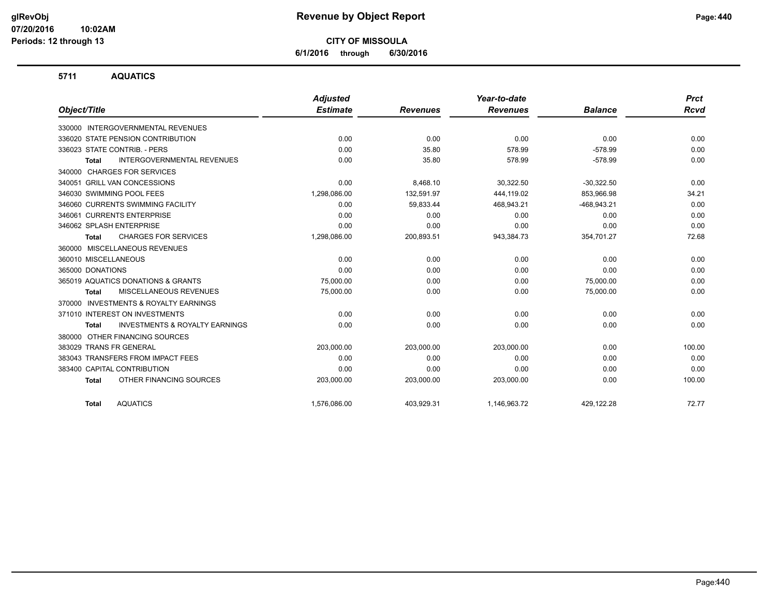**6/1/2016 through 6/30/2016**

#### **5711 AQUATICS**

|                                                     | <b>Adjusted</b> |                 | Year-to-date    |                | <b>Prct</b> |
|-----------------------------------------------------|-----------------|-----------------|-----------------|----------------|-------------|
| Object/Title                                        | <b>Estimate</b> | <b>Revenues</b> | <b>Revenues</b> | <b>Balance</b> | <b>Rcvd</b> |
| 330000 INTERGOVERNMENTAL REVENUES                   |                 |                 |                 |                |             |
| 336020 STATE PENSION CONTRIBUTION                   | 0.00            | 0.00            | 0.00            | 0.00           | 0.00        |
| 336023 STATE CONTRIB. - PERS                        | 0.00            | 35.80           | 578.99          | $-578.99$      | 0.00        |
| <b>INTERGOVERNMENTAL REVENUES</b><br><b>Total</b>   | 0.00            | 35.80           | 578.99          | $-578.99$      | 0.00        |
| 340000 CHARGES FOR SERVICES                         |                 |                 |                 |                |             |
| 340051 GRILL VAN CONCESSIONS                        | 0.00            | 8.468.10        | 30,322.50       | $-30,322.50$   | 0.00        |
| 346030 SWIMMING POOL FEES                           | 1,298,086.00    | 132,591.97      | 444,119.02      | 853,966.98     | 34.21       |
| 346060 CURRENTS SWIMMING FACILITY                   | 0.00            | 59,833.44       | 468,943.21      | -468,943.21    | 0.00        |
| 346061 CURRENTS ENTERPRISE                          | 0.00            | 0.00            | 0.00            | 0.00           | 0.00        |
| 346062 SPLASH ENTERPRISE                            | 0.00            | 0.00            | 0.00            | 0.00           | 0.00        |
| <b>CHARGES FOR SERVICES</b><br><b>Total</b>         | 1,298,086.00    | 200,893.51      | 943,384.73      | 354,701.27     | 72.68       |
| 360000 MISCELLANEOUS REVENUES                       |                 |                 |                 |                |             |
| 360010 MISCELLANEOUS                                | 0.00            | 0.00            | 0.00            | 0.00           | 0.00        |
| 365000 DONATIONS                                    | 0.00            | 0.00            | 0.00            | 0.00           | 0.00        |
| 365019 AQUATICS DONATIONS & GRANTS                  | 75.000.00       | 0.00            | 0.00            | 75,000.00      | 0.00        |
| MISCELLANEOUS REVENUES<br>Total                     | 75,000.00       | 0.00            | 0.00            | 75,000.00      | 0.00        |
| <b>INVESTMENTS &amp; ROYALTY EARNINGS</b><br>370000 |                 |                 |                 |                |             |
| 371010 INTEREST ON INVESTMENTS                      | 0.00            | 0.00            | 0.00            | 0.00           | 0.00        |
| <b>INVESTMENTS &amp; ROYALTY EARNINGS</b><br>Total  | 0.00            | 0.00            | 0.00            | 0.00           | 0.00        |
| 380000 OTHER FINANCING SOURCES                      |                 |                 |                 |                |             |
| 383029 TRANS FR GENERAL                             | 203,000.00      | 203,000.00      | 203,000.00      | 0.00           | 100.00      |
| 383043 TRANSFERS FROM IMPACT FEES                   | 0.00            | 0.00            | 0.00            | 0.00           | 0.00        |
| 383400 CAPITAL CONTRIBUTION                         | 0.00            | 0.00            | 0.00            | 0.00           | 0.00        |
| OTHER FINANCING SOURCES<br><b>Total</b>             | 203,000.00      | 203,000.00      | 203,000.00      | 0.00           | 100.00      |
| <b>AQUATICS</b><br><b>Total</b>                     | 1,576,086.00    | 403,929.31      | 1,146,963.72    | 429,122.28     | 72.77       |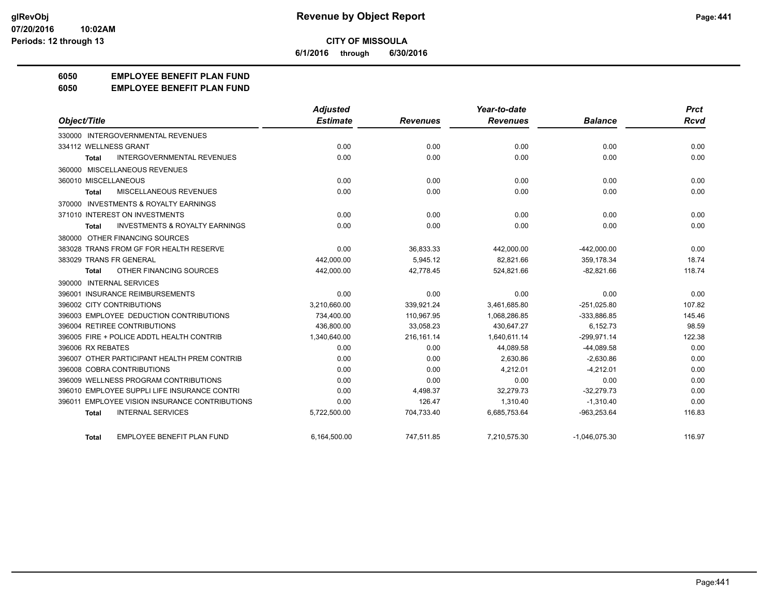**6/1/2016 through 6/30/2016**

# **6050 EMPLOYEE BENEFIT PLAN FUND**

#### **6050 EMPLOYEE BENEFIT PLAN FUND**

|                                                           | <b>Adjusted</b> |                 | Year-to-date    |                 | <b>Prct</b> |
|-----------------------------------------------------------|-----------------|-----------------|-----------------|-----------------|-------------|
| Object/Title                                              | <b>Estimate</b> | <b>Revenues</b> | <b>Revenues</b> | <b>Balance</b>  | Rcvd        |
| 330000 INTERGOVERNMENTAL REVENUES                         |                 |                 |                 |                 |             |
| 334112 WELLNESS GRANT                                     | 0.00            | 0.00            | 0.00            | 0.00            | 0.00        |
| <b>INTERGOVERNMENTAL REVENUES</b><br><b>Total</b>         | 0.00            | 0.00            | 0.00            | 0.00            | 0.00        |
| 360000 MISCELLANEOUS REVENUES                             |                 |                 |                 |                 |             |
| 360010 MISCELLANEOUS                                      | 0.00            | 0.00            | 0.00            | 0.00            | 0.00        |
| MISCELLANEOUS REVENUES<br><b>Total</b>                    | 0.00            | 0.00            | 0.00            | 0.00            | 0.00        |
| 370000 INVESTMENTS & ROYALTY EARNINGS                     |                 |                 |                 |                 |             |
| 371010 INTEREST ON INVESTMENTS                            | 0.00            | 0.00            | 0.00            | 0.00            | 0.00        |
| <b>INVESTMENTS &amp; ROYALTY EARNINGS</b><br><b>Total</b> | 0.00            | 0.00            | 0.00            | 0.00            | 0.00        |
| 380000 OTHER FINANCING SOURCES                            |                 |                 |                 |                 |             |
| 383028 TRANS FROM GF FOR HEALTH RESERVE                   | 0.00            | 36,833.33       | 442,000.00      | $-442,000.00$   | 0.00        |
| 383029 TRANS FR GENERAL                                   | 442,000.00      | 5,945.12        | 82,821.66       | 359,178.34      | 18.74       |
| OTHER FINANCING SOURCES<br><b>Total</b>                   | 442,000.00      | 42,778.45       | 524,821.66      | $-82,821.66$    | 118.74      |
| 390000 INTERNAL SERVICES                                  |                 |                 |                 |                 |             |
| 396001 INSURANCE REIMBURSEMENTS                           | 0.00            | 0.00            | 0.00            | 0.00            | 0.00        |
| 396002 CITY CONTRIBUTIONS                                 | 3,210,660.00    | 339,921.24      | 3,461,685.80    | $-251,025.80$   | 107.82      |
| 396003 EMPLOYEE DEDUCTION CONTRIBUTIONS                   | 734,400.00      | 110.967.95      | 1.068.286.85    | -333.886.85     | 145.46      |
| 396004 RETIREE CONTRIBUTIONS                              | 436,800.00      | 33,058.23       | 430,647.27      | 6,152.73        | 98.59       |
| 396005 FIRE + POLICE ADDTL HEALTH CONTRIB                 | 1,340,640.00    | 216,161.14      | 1,640,611.14    | $-299,971.14$   | 122.38      |
| 396006 RX REBATES                                         | 0.00            | 0.00            | 44,089.58       | $-44,089.58$    | 0.00        |
| 396007 OTHER PARTICIPANT HEALTH PREM CONTRIB              | 0.00            | 0.00            | 2,630.86        | $-2,630.86$     | 0.00        |
| 396008 COBRA CONTRIBUTIONS                                | 0.00            | 0.00            | 4.212.01        | $-4.212.01$     | 0.00        |
| 396009 WELLNESS PROGRAM CONTRIBUTIONS                     | 0.00            | 0.00            | 0.00            | 0.00            | 0.00        |
| 396010 EMPLOYEE SUPPLI LIFE INSURANCE CONTRI              | 0.00            | 4,498.37        | 32,279.73       | $-32,279.73$    | 0.00        |
| <b>EMPLOYEE VISION INSURANCE CONTRIBUTIONS</b><br>396011  | 0.00            | 126.47          | 1.310.40        | $-1,310.40$     | 0.00        |
| <b>INTERNAL SERVICES</b><br><b>Total</b>                  | 5,722,500.00    | 704,733.40      | 6,685,753.64    | $-963,253.64$   | 116.83      |
| <b>EMPLOYEE BENEFIT PLAN FUND</b><br>Total                | 6,164,500.00    | 747,511.85      | 7,210,575.30    | $-1,046,075.30$ | 116.97      |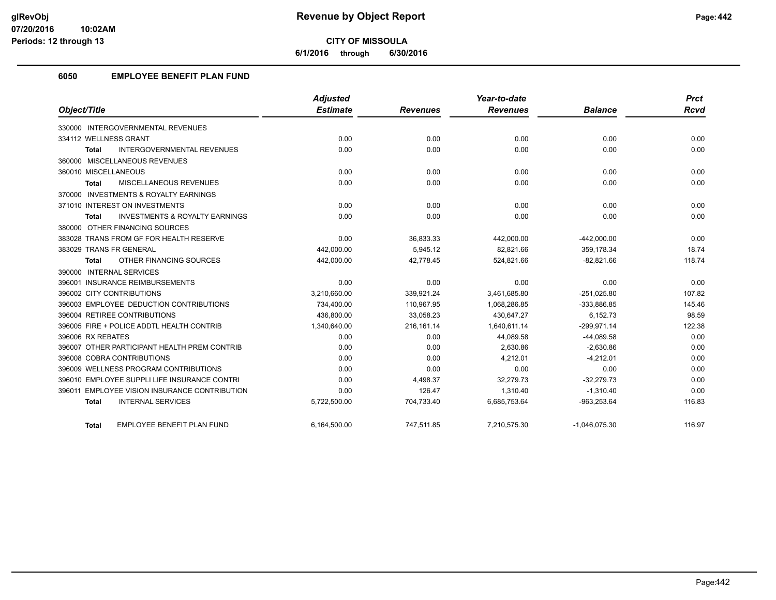**6/1/2016 through 6/30/2016**

# **6050 EMPLOYEE BENEFIT PLAN FUND**

|                                                           | <b>Adjusted</b> |                 | Year-to-date    |                 | <b>Prct</b> |
|-----------------------------------------------------------|-----------------|-----------------|-----------------|-----------------|-------------|
| Object/Title                                              | <b>Estimate</b> | <b>Revenues</b> | <b>Revenues</b> | <b>Balance</b>  | <b>Rcvd</b> |
| 330000 INTERGOVERNMENTAL REVENUES                         |                 |                 |                 |                 |             |
| 334112 WELLNESS GRANT                                     | 0.00            | 0.00            | 0.00            | 0.00            | 0.00        |
| INTERGOVERNMENTAL REVENUES<br>Total                       | 0.00            | 0.00            | 0.00            | 0.00            | 0.00        |
| 360000 MISCELLANEOUS REVENUES                             |                 |                 |                 |                 |             |
| 360010 MISCELLANEOUS                                      | 0.00            | 0.00            | 0.00            | 0.00            | 0.00        |
| MISCELLANEOUS REVENUES<br>Total                           | 0.00            | 0.00            | 0.00            | 0.00            | 0.00        |
| 370000 INVESTMENTS & ROYALTY EARNINGS                     |                 |                 |                 |                 |             |
| 371010 INTEREST ON INVESTMENTS                            | 0.00            | 0.00            | 0.00            | 0.00            | 0.00        |
| <b>INVESTMENTS &amp; ROYALTY EARNINGS</b><br><b>Total</b> | 0.00            | 0.00            | 0.00            | 0.00            | 0.00        |
| 380000 OTHER FINANCING SOURCES                            |                 |                 |                 |                 |             |
| 383028 TRANS FROM GF FOR HEALTH RESERVE                   | 0.00            | 36.833.33       | 442,000.00      | $-442,000.00$   | 0.00        |
| 383029 TRANS FR GENERAL                                   | 442,000.00      | 5,945.12        | 82,821.66       | 359,178.34      | 18.74       |
| OTHER FINANCING SOURCES<br><b>Total</b>                   | 442,000.00      | 42,778.45       | 524,821.66      | $-82,821.66$    | 118.74      |
| 390000 INTERNAL SERVICES                                  |                 |                 |                 |                 |             |
| 396001 INSURANCE REIMBURSEMENTS                           | 0.00            | 0.00            | 0.00            | 0.00            | 0.00        |
| 396002 CITY CONTRIBUTIONS                                 | 3,210,660.00    | 339,921.24      | 3,461,685.80    | $-251,025.80$   | 107.82      |
| 396003 EMPLOYEE DEDUCTION CONTRIBUTIONS                   | 734,400.00      | 110,967.95      | 1,068,286.85    | $-333,886.85$   | 145.46      |
| 396004 RETIREE CONTRIBUTIONS                              | 436,800.00      | 33,058.23       | 430,647.27      | 6,152.73        | 98.59       |
| 396005 FIRE + POLICE ADDTL HEALTH CONTRIB                 | 1,340,640.00    | 216.161.14      | 1.640.611.14    | $-299,971.14$   | 122.38      |
| 396006 RX REBATES                                         | 0.00            | 0.00            | 44,089.58       | $-44,089.58$    | 0.00        |
| 396007 OTHER PARTICIPANT HEALTH PREM CONTRIB              | 0.00            | 0.00            | 2,630.86        | $-2,630.86$     | 0.00        |
| 396008 COBRA CONTRIBUTIONS                                | 0.00            | 0.00            | 4,212.01        | $-4,212.01$     | 0.00        |
| 396009 WELLNESS PROGRAM CONTRIBUTIONS                     | 0.00            | 0.00            | 0.00            | 0.00            | 0.00        |
| 396010 EMPLOYEE SUPPLI LIFE INSURANCE CONTRI              | 0.00            | 4,498.37        | 32,279.73       | $-32,279.73$    | 0.00        |
| 396011 EMPLOYEE VISION INSURANCE CONTRIBUTION             | 0.00            | 126.47          | 1,310.40        | $-1,310.40$     | 0.00        |
| <b>INTERNAL SERVICES</b><br><b>Total</b>                  | 5,722,500.00    | 704,733.40      | 6,685,753.64    | $-963,253.64$   | 116.83      |
| <b>EMPLOYEE BENEFIT PLAN FUND</b><br>Total                | 6,164,500.00    | 747,511.85      | 7,210,575.30    | $-1,046,075.30$ | 116.97      |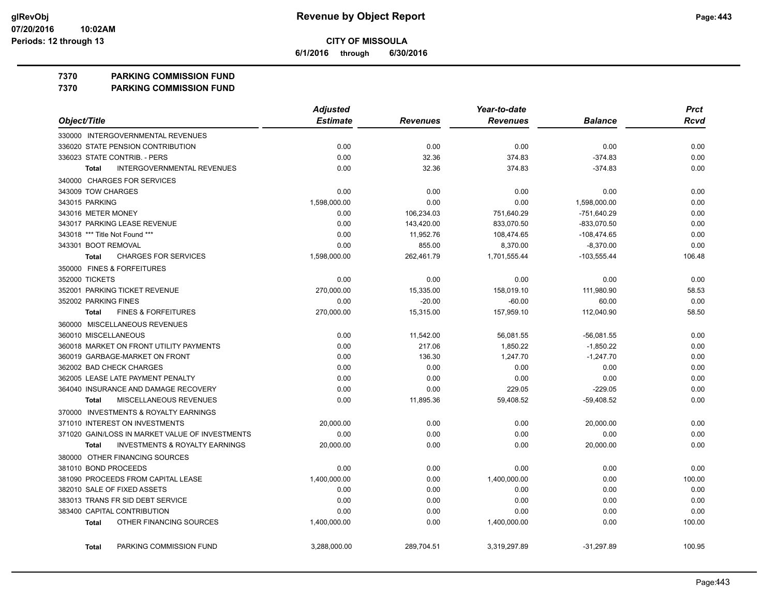**6/1/2016 through 6/30/2016**

**7370 PARKING COMMISSION FUND**

**7370 PARKING COMMISSION FUND**

|                                                    | <b>Adjusted</b> |                 | Year-to-date    |                | <b>Prct</b> |
|----------------------------------------------------|-----------------|-----------------|-----------------|----------------|-------------|
| Object/Title                                       | <b>Estimate</b> | <b>Revenues</b> | <b>Revenues</b> | <b>Balance</b> | <b>Rcvd</b> |
| 330000 INTERGOVERNMENTAL REVENUES                  |                 |                 |                 |                |             |
| 336020 STATE PENSION CONTRIBUTION                  | 0.00            | 0.00            | 0.00            | 0.00           | 0.00        |
| 336023 STATE CONTRIB. - PERS                       | 0.00            | 32.36           | 374.83          | $-374.83$      | 0.00        |
| <b>INTERGOVERNMENTAL REVENUES</b><br><b>Total</b>  | 0.00            | 32.36           | 374.83          | $-374.83$      | 0.00        |
| 340000 CHARGES FOR SERVICES                        |                 |                 |                 |                |             |
| 343009 TOW CHARGES                                 | 0.00            | 0.00            | 0.00            | 0.00           | 0.00        |
| 343015 PARKING                                     | 1,598,000.00    | 0.00            | 0.00            | 1,598,000.00   | 0.00        |
| 343016 METER MONEY                                 | 0.00            | 106,234.03      | 751,640.29      | -751,640.29    | 0.00        |
| 343017 PARKING LEASE REVENUE                       | 0.00            | 143,420.00      | 833,070.50      | $-833,070.50$  | 0.00        |
| 343018 *** Title Not Found ***                     | 0.00            | 11,952.76       | 108,474.65      | $-108,474.65$  | 0.00        |
| 343301 BOOT REMOVAL                                | 0.00            | 855.00          | 8,370.00        | $-8,370.00$    | 0.00        |
| <b>CHARGES FOR SERVICES</b><br><b>Total</b>        | 1,598,000.00    | 262,461.79      | 1,701,555.44    | $-103,555.44$  | 106.48      |
| 350000 FINES & FORFEITURES                         |                 |                 |                 |                |             |
| 352000 TICKETS                                     | 0.00            | 0.00            | 0.00            | 0.00           | 0.00        |
| 352001 PARKING TICKET REVENUE                      | 270,000.00      | 15,335.00       | 158,019.10      | 111,980.90     | 58.53       |
| 352002 PARKING FINES                               | 0.00            | $-20.00$        | $-60.00$        | 60.00          | 0.00        |
| <b>FINES &amp; FORFEITURES</b><br><b>Total</b>     | 270,000.00      | 15.315.00       | 157.959.10      | 112,040.90     | 58.50       |
| 360000 MISCELLANEOUS REVENUES                      |                 |                 |                 |                |             |
| 360010 MISCELLANEOUS                               | 0.00            | 11,542.00       | 56.081.55       | $-56.081.55$   | 0.00        |
| 360018 MARKET ON FRONT UTILITY PAYMENTS            | 0.00            | 217.06          | 1,850.22        | $-1,850.22$    | 0.00        |
| 360019 GARBAGE-MARKET ON FRONT                     | 0.00            | 136.30          | 1,247.70        | $-1,247.70$    | 0.00        |
| 362002 BAD CHECK CHARGES                           | 0.00            | 0.00            | 0.00            | 0.00           | 0.00        |
| 362005 LEASE LATE PAYMENT PENALTY                  | 0.00            | 0.00            | 0.00            | 0.00           | 0.00        |
| 364040 INSURANCE AND DAMAGE RECOVERY               | 0.00            | 0.00            | 229.05          | $-229.05$      | 0.00        |
| MISCELLANEOUS REVENUES<br><b>Total</b>             | 0.00            | 11,895.36       | 59,408.52       | $-59,408.52$   | 0.00        |
| 370000 INVESTMENTS & ROYALTY EARNINGS              |                 |                 |                 |                |             |
| 371010 INTEREST ON INVESTMENTS                     | 20,000.00       | 0.00            | 0.00            | 20,000.00      | 0.00        |
| 371020 GAIN/LOSS IN MARKET VALUE OF INVESTMENTS    | 0.00            | 0.00            | 0.00            | 0.00           | 0.00        |
| <b>INVESTMENTS &amp; ROYALTY EARNINGS</b><br>Total | 20,000.00       | 0.00            | 0.00            | 20,000.00      | 0.00        |
| 380000 OTHER FINANCING SOURCES                     |                 |                 |                 |                |             |
| 381010 BOND PROCEEDS                               | 0.00            | 0.00            | 0.00            | 0.00           | 0.00        |
| 381090 PROCEEDS FROM CAPITAL LEASE                 | 1,400,000.00    | 0.00            | 1,400,000.00    | 0.00           | 100.00      |
| 382010 SALE OF FIXED ASSETS                        | 0.00            | 0.00            | 0.00            | 0.00           | 0.00        |
| 383013 TRANS FR SID DEBT SERVICE                   | 0.00            | 0.00            | 0.00            | 0.00           | 0.00        |
| 383400 CAPITAL CONTRIBUTION                        | 0.00            | 0.00            | 0.00            | 0.00           | 0.00        |
| OTHER FINANCING SOURCES<br>Total                   | 1,400,000.00    | 0.00            | 1,400,000.00    | 0.00           | 100.00      |
| PARKING COMMISSION FUND<br><b>Total</b>            | 3,288,000.00    | 289.704.51      | 3,319,297.89    | $-31,297.89$   | 100.95      |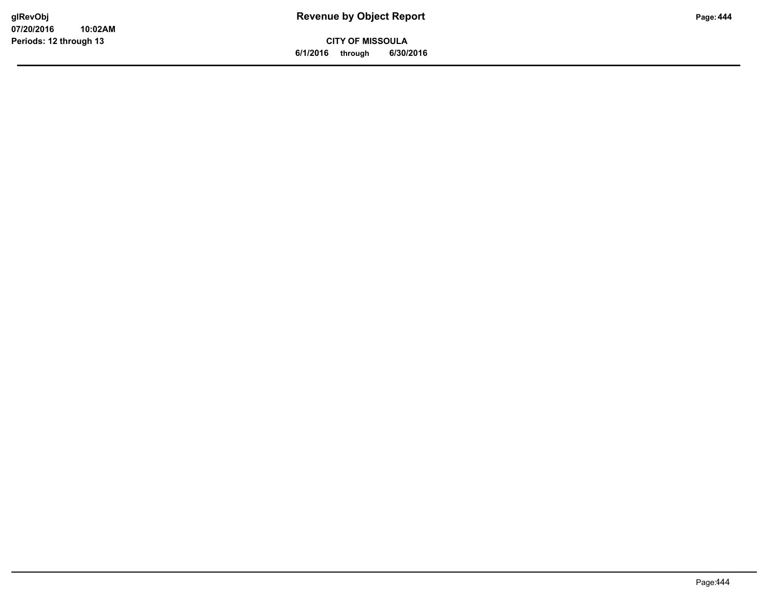**CITY OF MISSOULA 6/1/2016 through 6/30/2016**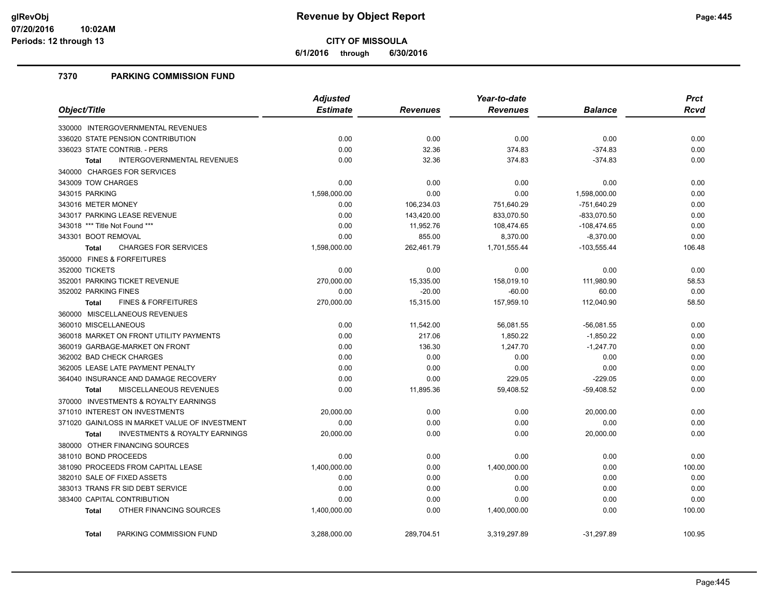**6/1/2016 through 6/30/2016**

## **7370 PARKING COMMISSION FUND**

|                                                           | <b>Adjusted</b> |                 | Year-to-date    |                | <b>Prct</b> |
|-----------------------------------------------------------|-----------------|-----------------|-----------------|----------------|-------------|
| Object/Title                                              | <b>Estimate</b> | <b>Revenues</b> | <b>Revenues</b> | <b>Balance</b> | Rcvd        |
| 330000 INTERGOVERNMENTAL REVENUES                         |                 |                 |                 |                |             |
| 336020 STATE PENSION CONTRIBUTION                         | 0.00            | 0.00            | 0.00            | 0.00           | 0.00        |
| 336023 STATE CONTRIB. - PERS                              | 0.00            | 32.36           | 374.83          | $-374.83$      | 0.00        |
| INTERGOVERNMENTAL REVENUES<br><b>Total</b>                | 0.00            | 32.36           | 374.83          | $-374.83$      | 0.00        |
| 340000 CHARGES FOR SERVICES                               |                 |                 |                 |                |             |
| 343009 TOW CHARGES                                        | 0.00            | 0.00            | 0.00            | 0.00           | 0.00        |
| 343015 PARKING                                            | 1,598,000.00    | 0.00            | 0.00            | 1,598,000.00   | 0.00        |
| 343016 METER MONEY                                        | 0.00            | 106,234.03      | 751,640.29      | $-751,640.29$  | 0.00        |
| 343017 PARKING LEASE REVENUE                              | 0.00            | 143,420.00      | 833,070.50      | $-833,070.50$  | 0.00        |
| 343018 *** Title Not Found ***                            | 0.00            | 11,952.76       | 108,474.65      | $-108,474.65$  | 0.00        |
| 343301 BOOT REMOVAL                                       | 0.00            | 855.00          | 8,370.00        | $-8,370.00$    | 0.00        |
| <b>CHARGES FOR SERVICES</b><br><b>Total</b>               | 1,598,000.00    | 262,461.79      | 1,701,555.44    | $-103,555.44$  | 106.48      |
| 350000 FINES & FORFEITURES                                |                 |                 |                 |                |             |
| 352000 TICKETS                                            | 0.00            | 0.00            | 0.00            | 0.00           | 0.00        |
| 352001 PARKING TICKET REVENUE                             | 270,000.00      | 15,335.00       | 158,019.10      | 111,980.90     | 58.53       |
| 352002 PARKING FINES                                      | 0.00            | $-20.00$        | $-60.00$        | 60.00          | 0.00        |
| <b>FINES &amp; FORFEITURES</b><br><b>Total</b>            | 270,000.00      | 15,315.00       | 157,959.10      | 112,040.90     | 58.50       |
| 360000 MISCELLANEOUS REVENUES                             |                 |                 |                 |                |             |
| 360010 MISCELLANEOUS                                      | 0.00            | 11,542.00       | 56,081.55       | $-56,081.55$   | 0.00        |
| 360018 MARKET ON FRONT UTILITY PAYMENTS                   | 0.00            | 217.06          | 1,850.22        | $-1,850.22$    | 0.00        |
| 360019 GARBAGE-MARKET ON FRONT                            | 0.00            | 136.30          | 1,247.70        | $-1,247.70$    | 0.00        |
| 362002 BAD CHECK CHARGES                                  | 0.00            | 0.00            | 0.00            | 0.00           | 0.00        |
| 362005 LEASE LATE PAYMENT PENALTY                         | 0.00            | 0.00            | 0.00            | 0.00           | 0.00        |
| 364040 INSURANCE AND DAMAGE RECOVERY                      | 0.00            | 0.00            | 229.05          | $-229.05$      | 0.00        |
| MISCELLANEOUS REVENUES<br>Total                           | 0.00            | 11,895.36       | 59,408.52       | $-59,408.52$   | 0.00        |
| 370000 INVESTMENTS & ROYALTY EARNINGS                     |                 |                 |                 |                |             |
| 371010 INTEREST ON INVESTMENTS                            | 20,000.00       | 0.00            | 0.00            | 20,000.00      | 0.00        |
| 371020 GAIN/LOSS IN MARKET VALUE OF INVESTMENT            | 0.00            | 0.00            | 0.00            | 0.00           | 0.00        |
| <b>INVESTMENTS &amp; ROYALTY EARNINGS</b><br><b>Total</b> | 20,000.00       | 0.00            | 0.00            | 20,000.00      | 0.00        |
| 380000 OTHER FINANCING SOURCES                            |                 |                 |                 |                |             |
| 381010 BOND PROCEEDS                                      | 0.00            | 0.00            | 0.00            | 0.00           | 0.00        |
| 381090 PROCEEDS FROM CAPITAL LEASE                        | 1,400,000.00    | 0.00            | 1,400,000.00    | 0.00           | 100.00      |
| 382010 SALE OF FIXED ASSETS                               | 0.00            | 0.00            | 0.00            | 0.00           | 0.00        |
| 383013 TRANS FR SID DEBT SERVICE                          | 0.00            | 0.00            | 0.00            | 0.00           | 0.00        |
| 383400 CAPITAL CONTRIBUTION                               | 0.00            | 0.00            | 0.00            | 0.00           | 0.00        |
| OTHER FINANCING SOURCES<br><b>Total</b>                   | 1,400,000.00    | 0.00            | 1,400,000.00    | 0.00           | 100.00      |
| PARKING COMMISSION FUND<br><b>Total</b>                   | 3.288.000.00    | 289.704.51      | 3,319,297.89    | -31.297.89     | 100.95      |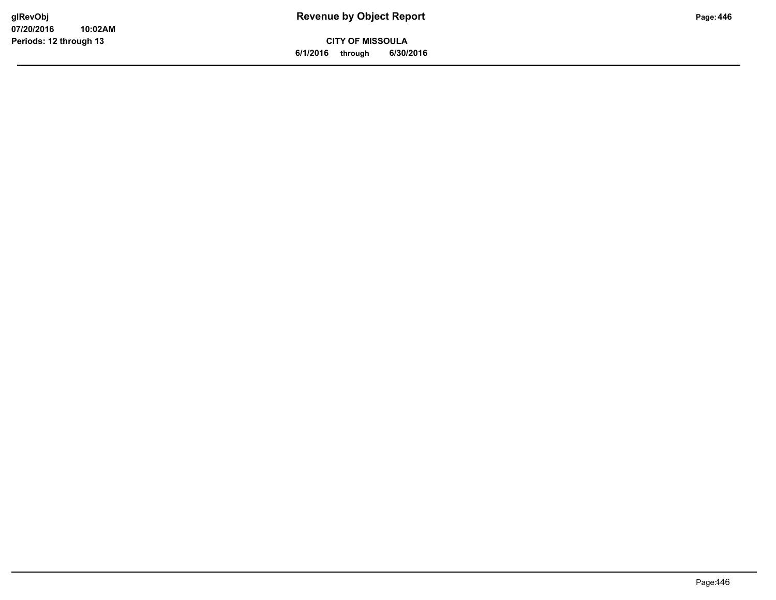**CITY OF MISSOULA 6/1/2016 through 6/30/2016**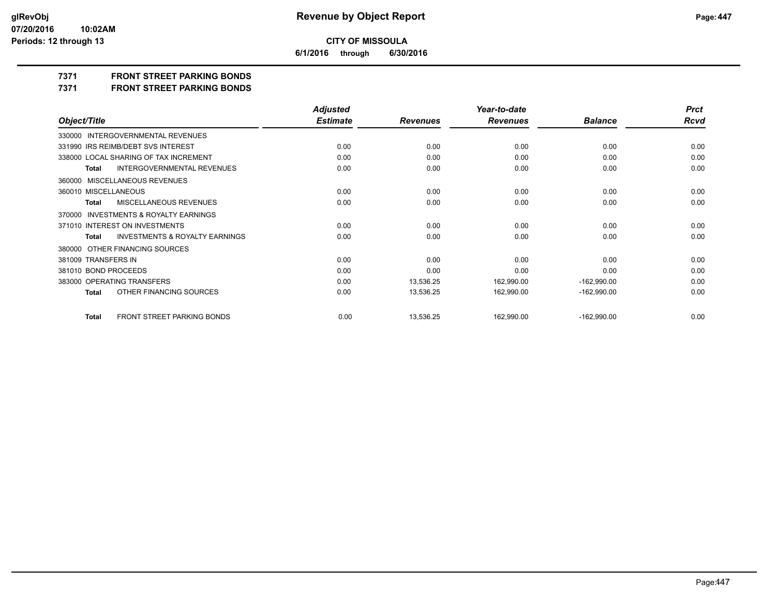**6/1/2016 through 6/30/2016**

## **7371 FRONT STREET PARKING BONDS**

**7371 FRONT STREET PARKING BONDS**

|                                                           | <b>Adjusted</b> |                 | Year-to-date    |                | <b>Prct</b> |
|-----------------------------------------------------------|-----------------|-----------------|-----------------|----------------|-------------|
| Object/Title                                              | <b>Estimate</b> | <b>Revenues</b> | <b>Revenues</b> | <b>Balance</b> | Rcvd        |
| 330000 INTERGOVERNMENTAL REVENUES                         |                 |                 |                 |                |             |
| 331990 IRS REIMB/DEBT SVS INTEREST                        | 0.00            | 0.00            | 0.00            | 0.00           | 0.00        |
| 338000 LOCAL SHARING OF TAX INCREMENT                     | 0.00            | 0.00            | 0.00            | 0.00           | 0.00        |
| <b>INTERGOVERNMENTAL REVENUES</b><br>Total                | 0.00            | 0.00            | 0.00            | 0.00           | 0.00        |
| 360000 MISCELLANEOUS REVENUES                             |                 |                 |                 |                |             |
| 360010 MISCELLANEOUS                                      | 0.00            | 0.00            | 0.00            | 0.00           | 0.00        |
| MISCELLANEOUS REVENUES<br>Total                           | 0.00            | 0.00            | 0.00            | 0.00           | 0.00        |
| <b>INVESTMENTS &amp; ROYALTY EARNINGS</b><br>370000       |                 |                 |                 |                |             |
| 371010 INTEREST ON INVESTMENTS                            | 0.00            | 0.00            | 0.00            | 0.00           | 0.00        |
| <b>INVESTMENTS &amp; ROYALTY EARNINGS</b><br><b>Total</b> | 0.00            | 0.00            | 0.00            | 0.00           | 0.00        |
| 380000 OTHER FINANCING SOURCES                            |                 |                 |                 |                |             |
| 381009 TRANSFERS IN                                       | 0.00            | 0.00            | 0.00            | 0.00           | 0.00        |
| 381010 BOND PROCEEDS                                      | 0.00            | 0.00            | 0.00            | 0.00           | 0.00        |
| 383000 OPERATING TRANSFERS                                | 0.00            | 13,536.25       | 162,990.00      | $-162,990.00$  | 0.00        |
| OTHER FINANCING SOURCES<br>Total                          | 0.00            | 13,536.25       | 162,990.00      | $-162,990.00$  | 0.00        |
| <b>FRONT STREET PARKING BONDS</b><br><b>Total</b>         | 0.00            | 13,536.25       | 162,990.00      | $-162,990.00$  | 0.00        |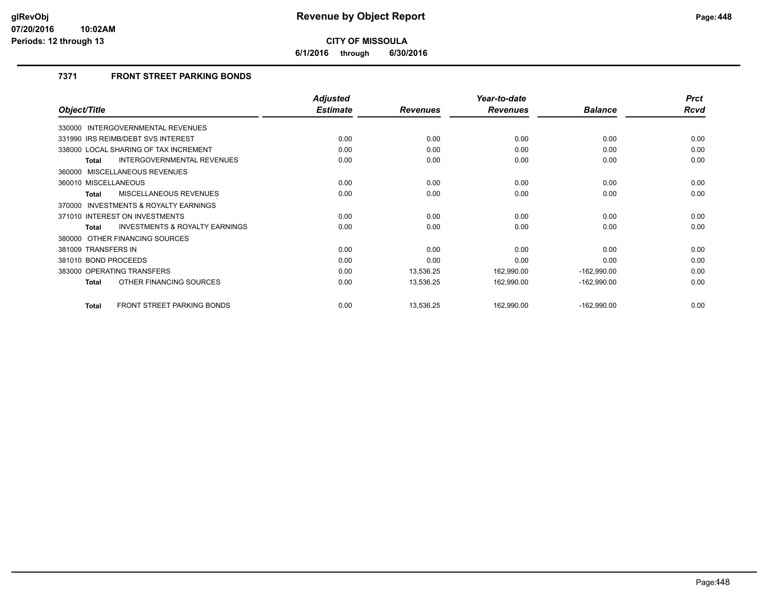**6/1/2016 through 6/30/2016**

## **7371 FRONT STREET PARKING BONDS**

|                                                           | <b>Adjusted</b> |                 | Year-to-date    |                | <b>Prct</b> |
|-----------------------------------------------------------|-----------------|-----------------|-----------------|----------------|-------------|
| Object/Title                                              | <b>Estimate</b> | <b>Revenues</b> | <b>Revenues</b> | <b>Balance</b> | <b>Rcvd</b> |
| INTERGOVERNMENTAL REVENUES<br>330000                      |                 |                 |                 |                |             |
| 331990 IRS REIMB/DEBT SVS INTEREST                        | 0.00            | 0.00            | 0.00            | 0.00           | 0.00        |
| 338000 LOCAL SHARING OF TAX INCREMENT                     | 0.00            | 0.00            | 0.00            | 0.00           | 0.00        |
| INTERGOVERNMENTAL REVENUES<br>Total                       | 0.00            | 0.00            | 0.00            | 0.00           | 0.00        |
| 360000 MISCELLANEOUS REVENUES                             |                 |                 |                 |                |             |
| 360010 MISCELLANEOUS                                      | 0.00            | 0.00            | 0.00            | 0.00           | 0.00        |
| MISCELLANEOUS REVENUES<br><b>Total</b>                    | 0.00            | 0.00            | 0.00            | 0.00           | 0.00        |
| <b>INVESTMENTS &amp; ROYALTY EARNINGS</b><br>370000       |                 |                 |                 |                |             |
| 371010 INTEREST ON INVESTMENTS                            | 0.00            | 0.00            | 0.00            | 0.00           | 0.00        |
| <b>INVESTMENTS &amp; ROYALTY EARNINGS</b><br><b>Total</b> | 0.00            | 0.00            | 0.00            | 0.00           | 0.00        |
| 380000 OTHER FINANCING SOURCES                            |                 |                 |                 |                |             |
| 381009 TRANSFERS IN                                       | 0.00            | 0.00            | 0.00            | 0.00           | 0.00        |
| 381010 BOND PROCEEDS                                      | 0.00            | 0.00            | 0.00            | 0.00           | 0.00        |
| 383000 OPERATING TRANSFERS                                | 0.00            | 13,536.25       | 162,990.00      | $-162,990.00$  | 0.00        |
| OTHER FINANCING SOURCES<br><b>Total</b>                   | 0.00            | 13,536.25       | 162,990.00      | $-162,990.00$  | 0.00        |
| FRONT STREET PARKING BONDS<br><b>Total</b>                | 0.00            | 13,536.25       | 162,990.00      | $-162,990.00$  | 0.00        |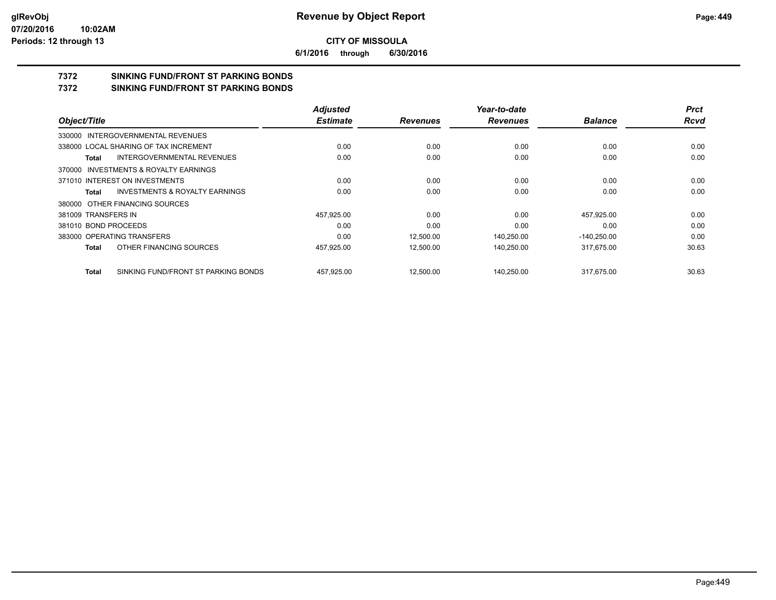**6/1/2016 through 6/30/2016**

# **7372 SINKING FUND/FRONT ST PARKING BONDS**

**7372 SINKING FUND/FRONT ST PARKING BONDS**

|                      |                                           | <b>Adjusted</b> |                 | Year-to-date    |                | <b>Prct</b> |
|----------------------|-------------------------------------------|-----------------|-----------------|-----------------|----------------|-------------|
| Object/Title         |                                           | <b>Estimate</b> | <b>Revenues</b> | <b>Revenues</b> | <b>Balance</b> | <b>Rcvd</b> |
|                      | 330000 INTERGOVERNMENTAL REVENUES         |                 |                 |                 |                |             |
|                      | 338000 LOCAL SHARING OF TAX INCREMENT     | 0.00            | 0.00            | 0.00            | 0.00           | 0.00        |
| Total                | INTERGOVERNMENTAL REVENUES                | 0.00            | 0.00            | 0.00            | 0.00           | 0.00        |
|                      | 370000 INVESTMENTS & ROYALTY EARNINGS     |                 |                 |                 |                |             |
|                      | 371010 INTEREST ON INVESTMENTS            | 0.00            | 0.00            | 0.00            | 0.00           | 0.00        |
| Total                | <b>INVESTMENTS &amp; ROYALTY EARNINGS</b> | 0.00            | 0.00            | 0.00            | 0.00           | 0.00        |
|                      | 380000 OTHER FINANCING SOURCES            |                 |                 |                 |                |             |
| 381009 TRANSFERS IN  |                                           | 457,925.00      | 0.00            | 0.00            | 457,925.00     | 0.00        |
| 381010 BOND PROCEEDS |                                           | 0.00            | 0.00            | 0.00            | 0.00           | 0.00        |
|                      | 383000 OPERATING TRANSFERS                | 0.00            | 12,500.00       | 140,250.00      | $-140,250.00$  | 0.00        |
| Total                | OTHER FINANCING SOURCES                   | 457,925.00      | 12,500.00       | 140,250.00      | 317,675.00     | 30.63       |
| Total                | SINKING FUND/FRONT ST PARKING BONDS       | 457.925.00      | 12,500.00       | 140.250.00      | 317.675.00     | 30.63       |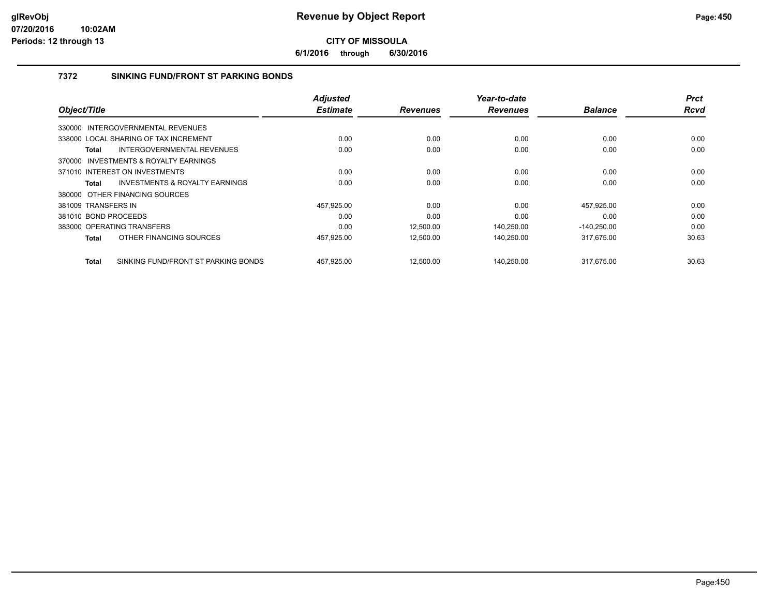**6/1/2016 through 6/30/2016**

#### **7372 SINKING FUND/FRONT ST PARKING BONDS**

|                                                     | <b>Adjusted</b> |                 | Year-to-date    |                | <b>Prct</b> |
|-----------------------------------------------------|-----------------|-----------------|-----------------|----------------|-------------|
| Object/Title                                        | <b>Estimate</b> | <b>Revenues</b> | <b>Revenues</b> | <b>Balance</b> | Rcvd        |
| INTERGOVERNMENTAL REVENUES<br>330000                |                 |                 |                 |                |             |
| 338000 LOCAL SHARING OF TAX INCREMENT               | 0.00            | 0.00            | 0.00            | 0.00           | 0.00        |
| INTERGOVERNMENTAL REVENUES<br>Total                 | 0.00            | 0.00            | 0.00            | 0.00           | 0.00        |
| <b>INVESTMENTS &amp; ROYALTY EARNINGS</b><br>370000 |                 |                 |                 |                |             |
| 371010 INTEREST ON INVESTMENTS                      | 0.00            | 0.00            | 0.00            | 0.00           | 0.00        |
| INVESTMENTS & ROYALTY EARNINGS<br>Total             | 0.00            | 0.00            | 0.00            | 0.00           | 0.00        |
| 380000 OTHER FINANCING SOURCES                      |                 |                 |                 |                |             |
| 381009 TRANSFERS IN                                 | 457,925.00      | 0.00            | 0.00            | 457,925.00     | 0.00        |
| 381010 BOND PROCEEDS                                | 0.00            | 0.00            | 0.00            | 0.00           | 0.00        |
| 383000 OPERATING TRANSFERS                          | 0.00            | 12.500.00       | 140,250.00      | $-140,250.00$  | 0.00        |
| OTHER FINANCING SOURCES<br><b>Total</b>             | 457,925.00      | 12,500.00       | 140,250.00      | 317.675.00     | 30.63       |
| <b>Total</b><br>SINKING FUND/FRONT ST PARKING BONDS | 457,925.00      | 12,500.00       | 140,250.00      | 317,675.00     | 30.63       |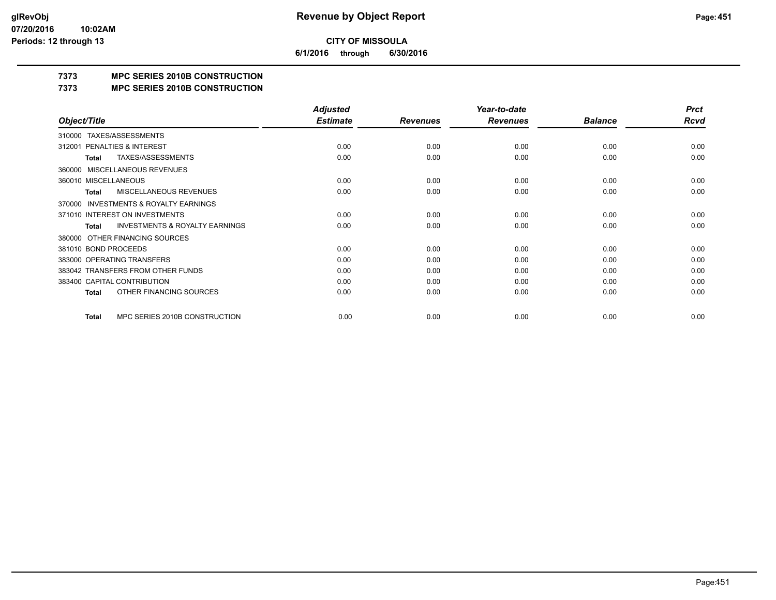**6/1/2016 through 6/30/2016**

# **7373 MPC SERIES 2010B CONSTRUCTION**

#### **7373 MPC SERIES 2010B CONSTRUCTION**

|                                                           | <b>Adjusted</b> |                 | Year-to-date    |                | <b>Prct</b> |
|-----------------------------------------------------------|-----------------|-----------------|-----------------|----------------|-------------|
| Object/Title                                              | <b>Estimate</b> | <b>Revenues</b> | <b>Revenues</b> | <b>Balance</b> | Rcvd        |
| TAXES/ASSESSMENTS<br>310000                               |                 |                 |                 |                |             |
| <b>PENALTIES &amp; INTEREST</b><br>312001                 | 0.00            | 0.00            | 0.00            | 0.00           | 0.00        |
| TAXES/ASSESSMENTS<br><b>Total</b>                         | 0.00            | 0.00            | 0.00            | 0.00           | 0.00        |
| MISCELLANEOUS REVENUES<br>360000                          |                 |                 |                 |                |             |
| 360010 MISCELLANEOUS                                      | 0.00            | 0.00            | 0.00            | 0.00           | 0.00        |
| <b>MISCELLANEOUS REVENUES</b><br>Total                    | 0.00            | 0.00            | 0.00            | 0.00           | 0.00        |
| <b>INVESTMENTS &amp; ROYALTY EARNINGS</b><br>370000       |                 |                 |                 |                |             |
| 371010 INTEREST ON INVESTMENTS                            | 0.00            | 0.00            | 0.00            | 0.00           | 0.00        |
| <b>INVESTMENTS &amp; ROYALTY EARNINGS</b><br><b>Total</b> | 0.00            | 0.00            | 0.00            | 0.00           | 0.00        |
| OTHER FINANCING SOURCES<br>380000                         |                 |                 |                 |                |             |
| 381010 BOND PROCEEDS                                      | 0.00            | 0.00            | 0.00            | 0.00           | 0.00        |
| 383000 OPERATING TRANSFERS                                | 0.00            | 0.00            | 0.00            | 0.00           | 0.00        |
| 383042 TRANSFERS FROM OTHER FUNDS                         | 0.00            | 0.00            | 0.00            | 0.00           | 0.00        |
| 383400 CAPITAL CONTRIBUTION                               | 0.00            | 0.00            | 0.00            | 0.00           | 0.00        |
| OTHER FINANCING SOURCES<br><b>Total</b>                   | 0.00            | 0.00            | 0.00            | 0.00           | 0.00        |
| MPC SERIES 2010B CONSTRUCTION<br><b>Total</b>             | 0.00            | 0.00            | 0.00            | 0.00           | 0.00        |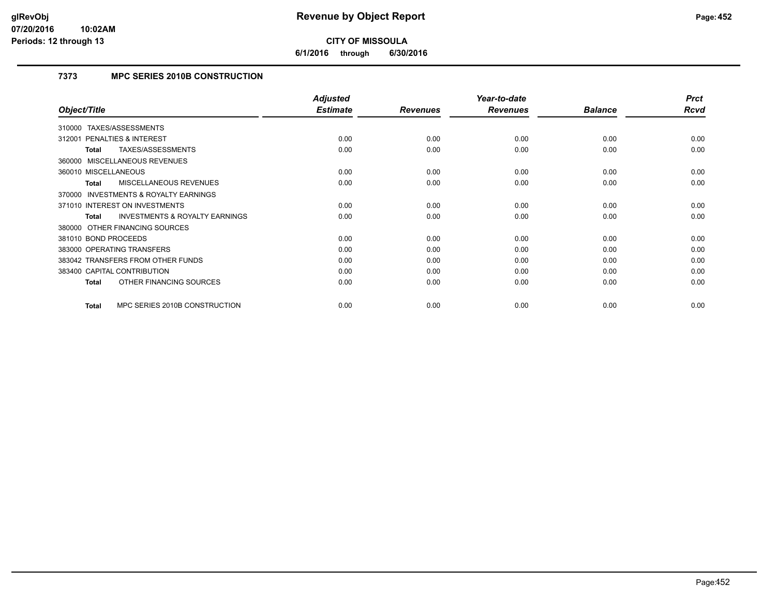**6/1/2016 through 6/30/2016**

## **7373 MPC SERIES 2010B CONSTRUCTION**

|                                                           | <b>Adjusted</b> |                 | Year-to-date    |                | <b>Prct</b> |
|-----------------------------------------------------------|-----------------|-----------------|-----------------|----------------|-------------|
| Object/Title                                              | <b>Estimate</b> | <b>Revenues</b> | <b>Revenues</b> | <b>Balance</b> | Rcvd        |
| TAXES/ASSESSMENTS<br>310000                               |                 |                 |                 |                |             |
| <b>PENALTIES &amp; INTEREST</b><br>312001                 | 0.00            | 0.00            | 0.00            | 0.00           | 0.00        |
| TAXES/ASSESSMENTS<br>Total                                | 0.00            | 0.00            | 0.00            | 0.00           | 0.00        |
| 360000 MISCELLANEOUS REVENUES                             |                 |                 |                 |                |             |
| 360010 MISCELLANEOUS                                      | 0.00            | 0.00            | 0.00            | 0.00           | 0.00        |
| <b>MISCELLANEOUS REVENUES</b><br><b>Total</b>             | 0.00            | 0.00            | 0.00            | 0.00           | 0.00        |
| 370000 INVESTMENTS & ROYALTY EARNINGS                     |                 |                 |                 |                |             |
| 371010 INTEREST ON INVESTMENTS                            | 0.00            | 0.00            | 0.00            | 0.00           | 0.00        |
| <b>INVESTMENTS &amp; ROYALTY EARNINGS</b><br><b>Total</b> | 0.00            | 0.00            | 0.00            | 0.00           | 0.00        |
| 380000 OTHER FINANCING SOURCES                            |                 |                 |                 |                |             |
| 381010 BOND PROCEEDS                                      | 0.00            | 0.00            | 0.00            | 0.00           | 0.00        |
| 383000 OPERATING TRANSFERS                                | 0.00            | 0.00            | 0.00            | 0.00           | 0.00        |
| 383042 TRANSFERS FROM OTHER FUNDS                         | 0.00            | 0.00            | 0.00            | 0.00           | 0.00        |
| 383400 CAPITAL CONTRIBUTION                               | 0.00            | 0.00            | 0.00            | 0.00           | 0.00        |
| OTHER FINANCING SOURCES<br><b>Total</b>                   | 0.00            | 0.00            | 0.00            | 0.00           | 0.00        |
|                                                           |                 |                 |                 |                |             |
| MPC SERIES 2010B CONSTRUCTION<br><b>Total</b>             | 0.00            | 0.00            | 0.00            | 0.00           | 0.00        |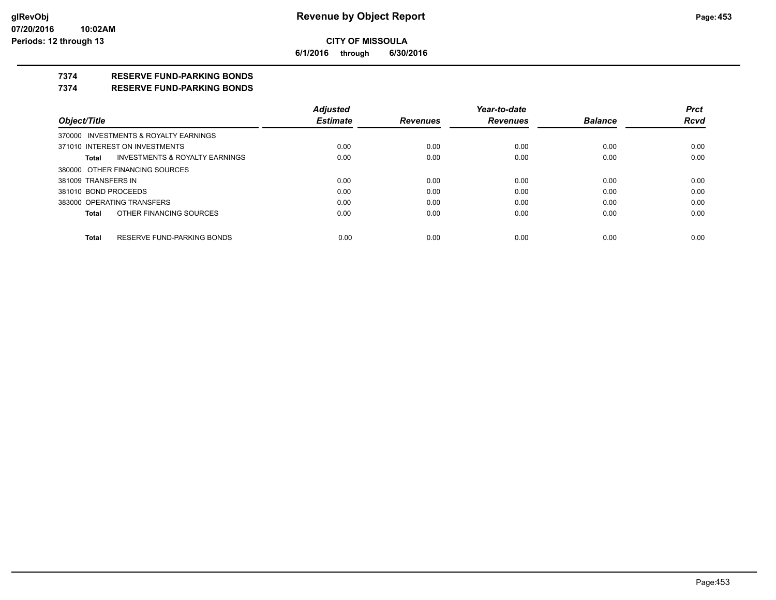**6/1/2016 through 6/30/2016**

## **7374 RESERVE FUND-PARKING BONDS**

#### **7374 RESERVE FUND-PARKING BONDS**

|                      |                                           | <b>Adjusted</b> |                 | Year-to-date    |                | <b>Prct</b> |
|----------------------|-------------------------------------------|-----------------|-----------------|-----------------|----------------|-------------|
| Object/Title         |                                           | <b>Estimate</b> | <b>Revenues</b> | <b>Revenues</b> | <b>Balance</b> | <b>Rcvd</b> |
|                      | 370000 INVESTMENTS & ROYALTY EARNINGS     |                 |                 |                 |                |             |
|                      | 371010 INTEREST ON INVESTMENTS            | 0.00            | 0.00            | 0.00            | 0.00           | 0.00        |
| Total                | <b>INVESTMENTS &amp; ROYALTY EARNINGS</b> | 0.00            | 0.00            | 0.00            | 0.00           | 0.00        |
|                      | 380000 OTHER FINANCING SOURCES            |                 |                 |                 |                |             |
| 381009 TRANSFERS IN  |                                           | 0.00            | 0.00            | 0.00            | 0.00           | 0.00        |
| 381010 BOND PROCEEDS |                                           | 0.00            | 0.00            | 0.00            | 0.00           | 0.00        |
|                      | 383000 OPERATING TRANSFERS                | 0.00            | 0.00            | 0.00            | 0.00           | 0.00        |
| <b>Total</b>         | OTHER FINANCING SOURCES                   | 0.00            | 0.00            | 0.00            | 0.00           | 0.00        |
|                      |                                           |                 |                 |                 |                |             |
| <b>Total</b>         | RESERVE FUND-PARKING BONDS                | 0.00            | 0.00            | 0.00            | 0.00           | 0.00        |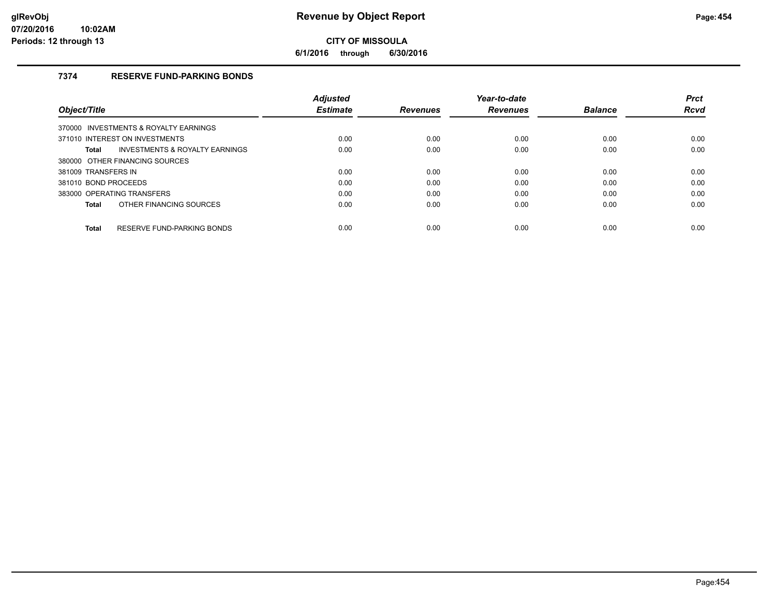**6/1/2016 through 6/30/2016**

## **7374 RESERVE FUND-PARKING BONDS**

|                                                    | <b>Adjusted</b> |                 | Year-to-date    |                | <b>Prct</b> |
|----------------------------------------------------|-----------------|-----------------|-----------------|----------------|-------------|
| <b>Object/Title</b>                                | <b>Estimate</b> | <b>Revenues</b> | <b>Revenues</b> | <b>Balance</b> | <b>Rcvd</b> |
| 370000 INVESTMENTS & ROYALTY EARNINGS              |                 |                 |                 |                |             |
| 371010 INTEREST ON INVESTMENTS                     | 0.00            | 0.00            | 0.00            | 0.00           | 0.00        |
| <b>INVESTMENTS &amp; ROYALTY EARNINGS</b><br>Total | 0.00            | 0.00            | 0.00            | 0.00           | 0.00        |
| 380000 OTHER FINANCING SOURCES                     |                 |                 |                 |                |             |
| 381009 TRANSFERS IN                                | 0.00            | 0.00            | 0.00            | 0.00           | 0.00        |
| 381010 BOND PROCEEDS                               | 0.00            | 0.00            | 0.00            | 0.00           | 0.00        |
| 383000 OPERATING TRANSFERS                         | 0.00            | 0.00            | 0.00            | 0.00           | 0.00        |
| OTHER FINANCING SOURCES<br>Total                   | 0.00            | 0.00            | 0.00            | 0.00           | 0.00        |
| RESERVE FUND-PARKING BONDS<br>Total                | 0.00            | 0.00            | 0.00            | 0.00           | 0.00        |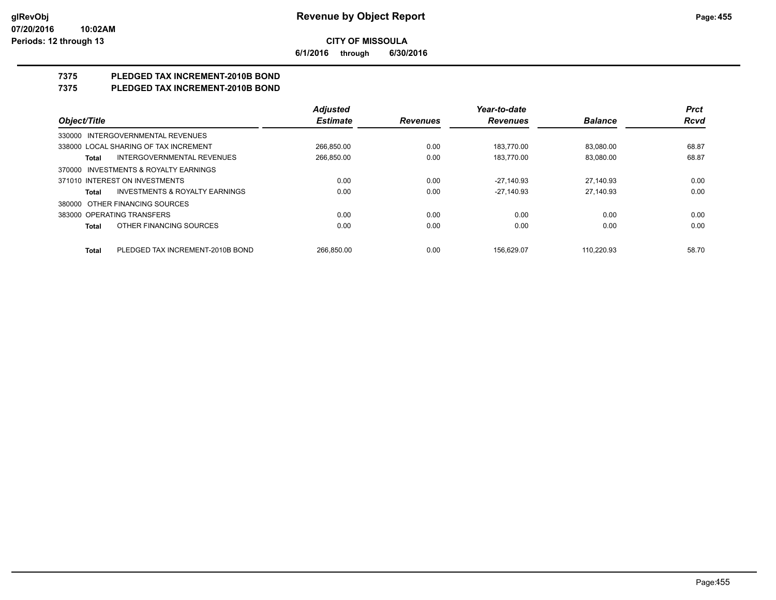**6/1/2016 through 6/30/2016**

# **7375 PLEDGED TAX INCREMENT-2010B BOND**

# **7375 PLEDGED TAX INCREMENT-2010B BOND**

|                                                           | <b>Adjusted</b> |                 | Year-to-date    |                | <b>Prct</b> |
|-----------------------------------------------------------|-----------------|-----------------|-----------------|----------------|-------------|
| Object/Title                                              | <b>Estimate</b> | <b>Revenues</b> | <b>Revenues</b> | <b>Balance</b> | <b>Rcvd</b> |
| 330000 INTERGOVERNMENTAL REVENUES                         |                 |                 |                 |                |             |
| 338000 LOCAL SHARING OF TAX INCREMENT                     | 266,850.00      | 0.00            | 183,770.00      | 83,080.00      | 68.87       |
| <b>INTERGOVERNMENTAL REVENUES</b><br>Total                | 266,850.00      | 0.00            | 183.770.00      | 83,080.00      | 68.87       |
| 370000 INVESTMENTS & ROYALTY EARNINGS                     |                 |                 |                 |                |             |
| 371010 INTEREST ON INVESTMENTS                            | 0.00            | 0.00            | $-27.140.93$    | 27.140.93      | 0.00        |
| <b>INVESTMENTS &amp; ROYALTY EARNINGS</b><br><b>Total</b> | 0.00            | 0.00            | $-27.140.93$    | 27.140.93      | 0.00        |
| 380000 OTHER FINANCING SOURCES                            |                 |                 |                 |                |             |
| 383000 OPERATING TRANSFERS                                | 0.00            | 0.00            | 0.00            | 0.00           | 0.00        |
| OTHER FINANCING SOURCES<br><b>Total</b>                   | 0.00            | 0.00            | 0.00            | 0.00           | 0.00        |
| PLEDGED TAX INCREMENT-2010B BOND<br><b>Total</b>          | 266.850.00      | 0.00            | 156.629.07      | 110.220.93     | 58.70       |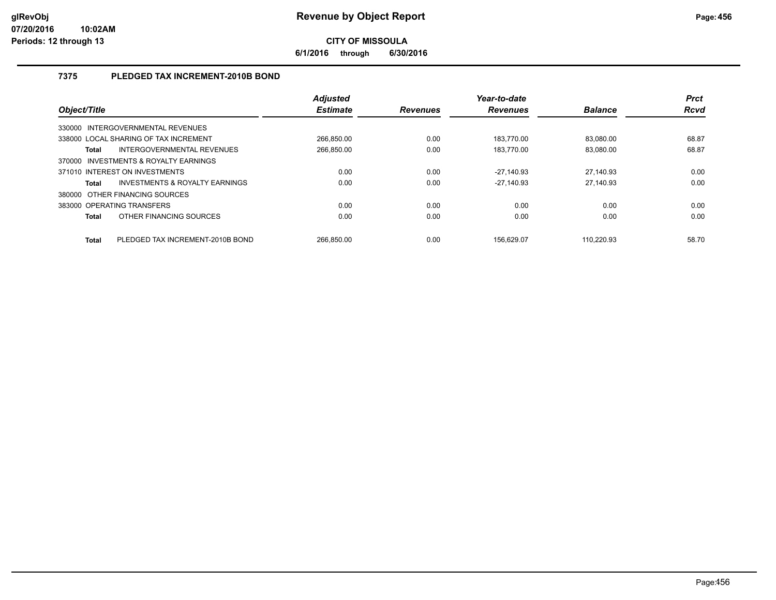**6/1/2016 through 6/30/2016**

## **7375 PLEDGED TAX INCREMENT-2010B BOND**

| Object/Title |                                       | <b>Adjusted</b><br><b>Estimate</b> | <b>Revenues</b> | Year-to-date<br><b>Revenues</b> | <b>Balance</b> | <b>Prct</b><br><b>Rcvd</b> |
|--------------|---------------------------------------|------------------------------------|-----------------|---------------------------------|----------------|----------------------------|
|              | 330000 INTERGOVERNMENTAL REVENUES     |                                    |                 |                                 |                |                            |
|              | 338000 LOCAL SHARING OF TAX INCREMENT | 266.850.00                         | 0.00            | 183.770.00                      | 83.080.00      | 68.87                      |
| Total        | INTERGOVERNMENTAL REVENUES            | 266,850.00                         | 0.00            | 183.770.00                      | 83.080.00      | 68.87                      |
|              | 370000 INVESTMENTS & ROYALTY EARNINGS |                                    |                 |                                 |                |                            |
|              | 371010 INTEREST ON INVESTMENTS        | 0.00                               | 0.00            | $-27.140.93$                    | 27.140.93      | 0.00                       |
| <b>Total</b> | INVESTMENTS & ROYALTY EARNINGS        | 0.00                               | 0.00            | $-27.140.93$                    | 27.140.93      | 0.00                       |
|              | 380000 OTHER FINANCING SOURCES        |                                    |                 |                                 |                |                            |
|              | 383000 OPERATING TRANSFERS            | 0.00                               | 0.00            | 0.00                            | 0.00           | 0.00                       |
| <b>Total</b> | OTHER FINANCING SOURCES               | 0.00                               | 0.00            | 0.00                            | 0.00           | 0.00                       |
| <b>Total</b> | PLEDGED TAX INCREMENT-2010B BOND      | 266.850.00                         | 0.00            | 156.629.07                      | 110.220.93     | 58.70                      |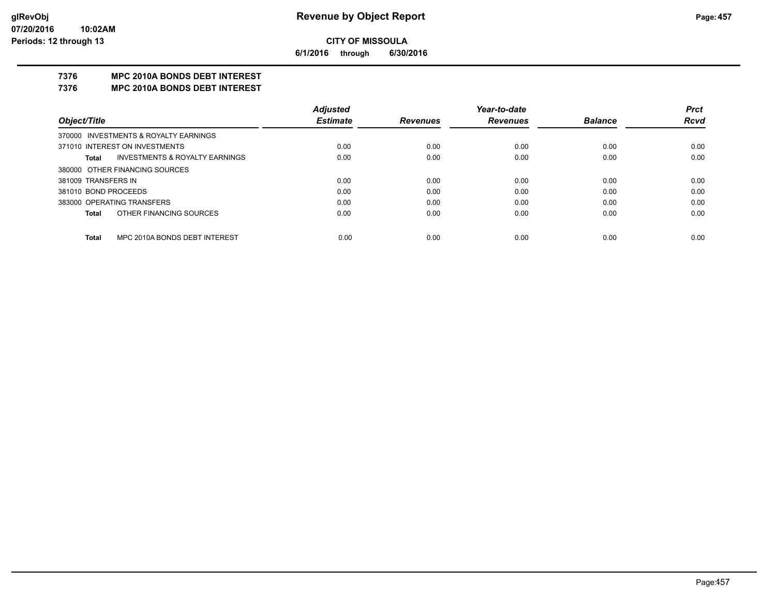**6/1/2016 through 6/30/2016**

## **7376 MPC 2010A BONDS DEBT INTEREST**

#### **7376 MPC 2010A BONDS DEBT INTEREST**

|                      |                                           | <b>Adjusted</b> |                 | Year-to-date    |                | <b>Prct</b> |
|----------------------|-------------------------------------------|-----------------|-----------------|-----------------|----------------|-------------|
| Object/Title         |                                           | <b>Estimate</b> | <b>Revenues</b> | <b>Revenues</b> | <b>Balance</b> | <b>Rcvd</b> |
|                      | 370000 INVESTMENTS & ROYALTY EARNINGS     |                 |                 |                 |                |             |
|                      | 371010 INTEREST ON INVESTMENTS            | 0.00            | 0.00            | 0.00            | 0.00           | 0.00        |
| Total                | <b>INVESTMENTS &amp; ROYALTY EARNINGS</b> | 0.00            | 0.00            | 0.00            | 0.00           | 0.00        |
|                      | 380000 OTHER FINANCING SOURCES            |                 |                 |                 |                |             |
| 381009 TRANSFERS IN  |                                           | 0.00            | 0.00            | 0.00            | 0.00           | 0.00        |
| 381010 BOND PROCEEDS |                                           | 0.00            | 0.00            | 0.00            | 0.00           | 0.00        |
|                      | 383000 OPERATING TRANSFERS                | 0.00            | 0.00            | 0.00            | 0.00           | 0.00        |
| Total                | OTHER FINANCING SOURCES                   | 0.00            | 0.00            | 0.00            | 0.00           | 0.00        |
|                      |                                           |                 |                 |                 |                |             |
| Total                | MPC 2010A BONDS DEBT INTEREST             | 0.00            | 0.00            | 0.00            | 0.00           | 0.00        |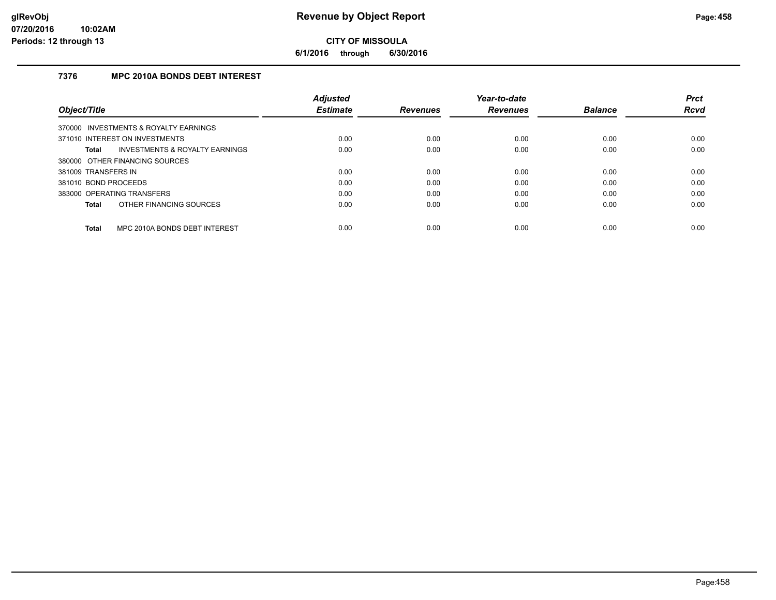**6/1/2016 through 6/30/2016**

## **7376 MPC 2010A BONDS DEBT INTEREST**

|                      |                                           | <b>Adjusted</b> |                 | Year-to-date    |                | <b>Prct</b> |
|----------------------|-------------------------------------------|-----------------|-----------------|-----------------|----------------|-------------|
| Object/Title         |                                           | <b>Estimate</b> | <b>Revenues</b> | <b>Revenues</b> | <b>Balance</b> | <b>Rcvd</b> |
|                      | 370000 INVESTMENTS & ROYALTY EARNINGS     |                 |                 |                 |                |             |
|                      | 371010 INTEREST ON INVESTMENTS            | 0.00            | 0.00            | 0.00            | 0.00           | 0.00        |
| Total                | <b>INVESTMENTS &amp; ROYALTY EARNINGS</b> | 0.00            | 0.00            | 0.00            | 0.00           | 0.00        |
|                      | 380000 OTHER FINANCING SOURCES            |                 |                 |                 |                |             |
| 381009 TRANSFERS IN  |                                           | 0.00            | 0.00            | 0.00            | 0.00           | 0.00        |
| 381010 BOND PROCEEDS |                                           | 0.00            | 0.00            | 0.00            | 0.00           | 0.00        |
|                      | 383000 OPERATING TRANSFERS                | 0.00            | 0.00            | 0.00            | 0.00           | 0.00        |
| Total                | OTHER FINANCING SOURCES                   | 0.00            | 0.00            | 0.00            | 0.00           | 0.00        |
| <b>Total</b>         | MPC 2010A BONDS DEBT INTEREST             | 0.00            | 0.00            | 0.00            | 0.00           | 0.00        |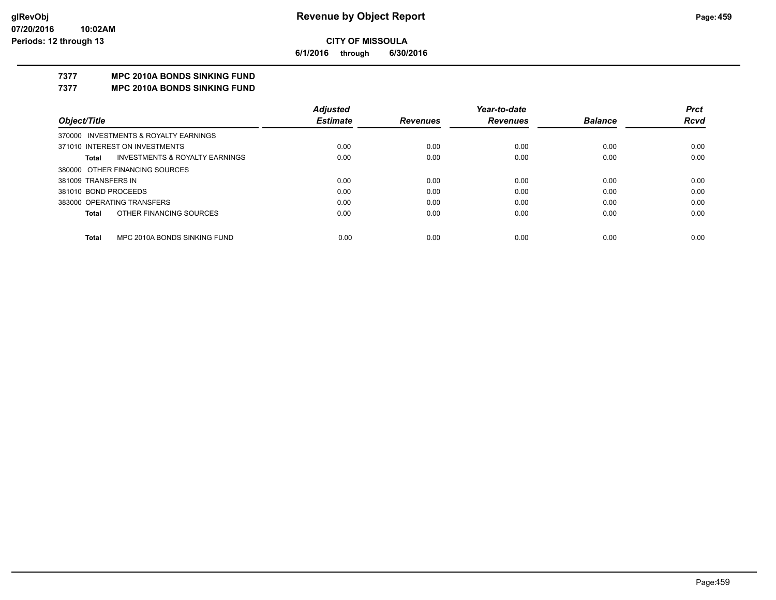**6/1/2016 through 6/30/2016**

# **7377 MPC 2010A BONDS SINKING FUND**

**7377 MPC 2010A BONDS SINKING FUND**

|                      |                                           | <b>Adjusted</b> |                 | Year-to-date    |                | <b>Prct</b> |
|----------------------|-------------------------------------------|-----------------|-----------------|-----------------|----------------|-------------|
| Object/Title         |                                           | <b>Estimate</b> | <b>Revenues</b> | <b>Revenues</b> | <b>Balance</b> | Rcvd        |
|                      | 370000 INVESTMENTS & ROYALTY EARNINGS     |                 |                 |                 |                |             |
|                      | 371010 INTEREST ON INVESTMENTS            | 0.00            | 0.00            | 0.00            | 0.00           | 0.00        |
| Total                | <b>INVESTMENTS &amp; ROYALTY EARNINGS</b> | 0.00            | 0.00            | 0.00            | 0.00           | 0.00        |
|                      | 380000 OTHER FINANCING SOURCES            |                 |                 |                 |                |             |
| 381009 TRANSFERS IN  |                                           | 0.00            | 0.00            | 0.00            | 0.00           | 0.00        |
| 381010 BOND PROCEEDS |                                           | 0.00            | 0.00            | 0.00            | 0.00           | 0.00        |
|                      | 383000 OPERATING TRANSFERS                | 0.00            | 0.00            | 0.00            | 0.00           | 0.00        |
| Total                | OTHER FINANCING SOURCES                   | 0.00            | 0.00            | 0.00            | 0.00           | 0.00        |
| <b>Total</b>         | MPC 2010A BONDS SINKING FUND              | 0.00            | 0.00            | 0.00            | 0.00           | 0.00        |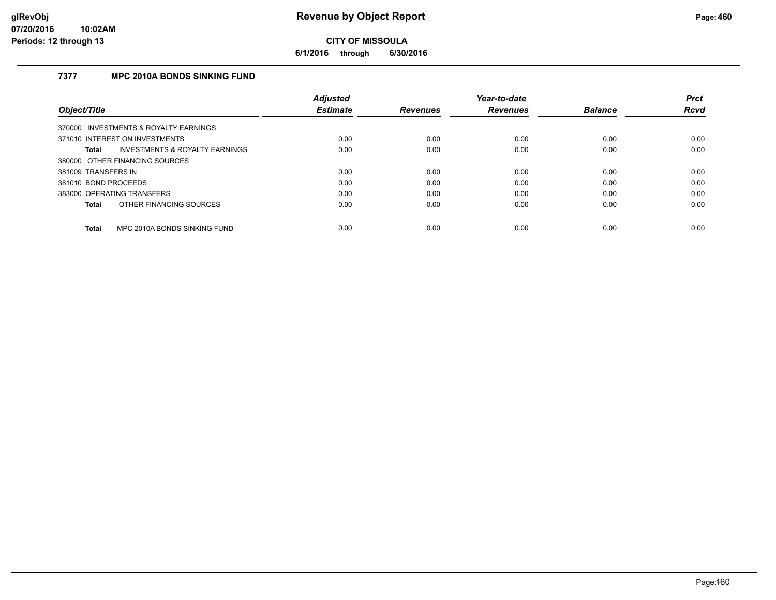**6/1/2016 through 6/30/2016**

## **7377 MPC 2010A BONDS SINKING FUND**

|                                                    | <b>Adjusted</b> |                 | Year-to-date    |                | <b>Prct</b> |
|----------------------------------------------------|-----------------|-----------------|-----------------|----------------|-------------|
| Object/Title                                       | <b>Estimate</b> | <b>Revenues</b> | <b>Revenues</b> | <b>Balance</b> | <b>Rcvd</b> |
| 370000 INVESTMENTS & ROYALTY EARNINGS              |                 |                 |                 |                |             |
| 371010 INTEREST ON INVESTMENTS                     | 0.00            | 0.00            | 0.00            | 0.00           | 0.00        |
| <b>INVESTMENTS &amp; ROYALTY EARNINGS</b><br>Total | 0.00            | 0.00            | 0.00            | 0.00           | 0.00        |
| 380000 OTHER FINANCING SOURCES                     |                 |                 |                 |                |             |
| 381009 TRANSFERS IN                                | 0.00            | 0.00            | 0.00            | 0.00           | 0.00        |
| 381010 BOND PROCEEDS                               | 0.00            | 0.00            | 0.00            | 0.00           | 0.00        |
| 383000 OPERATING TRANSFERS                         | 0.00            | 0.00            | 0.00            | 0.00           | 0.00        |
| OTHER FINANCING SOURCES<br>Total                   | 0.00            | 0.00            | 0.00            | 0.00           | 0.00        |
| MPC 2010A BONDS SINKING FUND<br>Total              | 0.00            | 0.00            | 0.00            | 0.00           | 0.00        |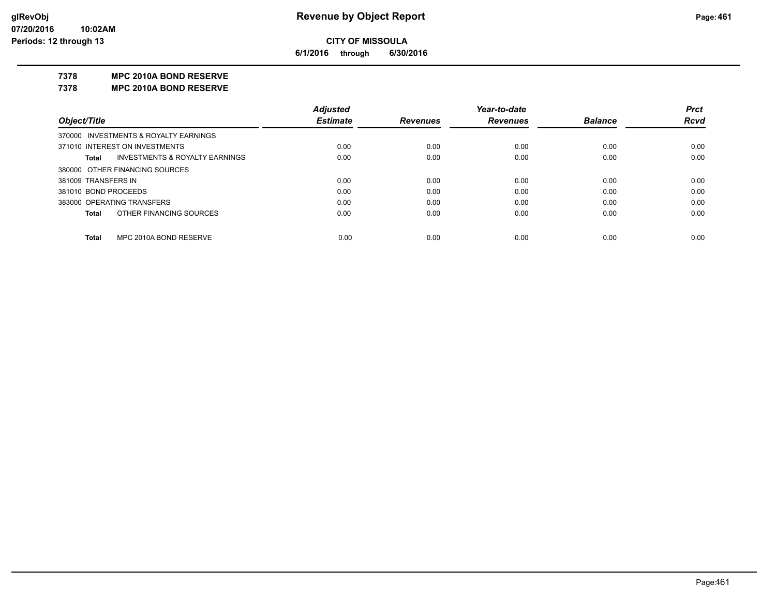**6/1/2016 through 6/30/2016**

#### **7378 MPC 2010A BOND RESERVE**

**7378 MPC 2010A BOND RESERVE**

|                                                           | <b>Adjusted</b> |                 | Year-to-date    |                | <b>Prct</b> |
|-----------------------------------------------------------|-----------------|-----------------|-----------------|----------------|-------------|
| Object/Title                                              | <b>Estimate</b> | <b>Revenues</b> | <b>Revenues</b> | <b>Balance</b> | <b>Rcvd</b> |
| 370000 INVESTMENTS & ROYALTY EARNINGS                     |                 |                 |                 |                |             |
| 371010 INTEREST ON INVESTMENTS                            | 0.00            | 0.00            | 0.00            | 0.00           | 0.00        |
| <b>INVESTMENTS &amp; ROYALTY EARNINGS</b><br><b>Total</b> | 0.00            | 0.00            | 0.00            | 0.00           | 0.00        |
| 380000 OTHER FINANCING SOURCES                            |                 |                 |                 |                |             |
| 381009 TRANSFERS IN                                       | 0.00            | 0.00            | 0.00            | 0.00           | 0.00        |
| 381010 BOND PROCEEDS                                      | 0.00            | 0.00            | 0.00            | 0.00           | 0.00        |
| 383000 OPERATING TRANSFERS                                | 0.00            | 0.00            | 0.00            | 0.00           | 0.00        |
| OTHER FINANCING SOURCES<br><b>Total</b>                   | 0.00            | 0.00            | 0.00            | 0.00           | 0.00        |
|                                                           |                 |                 |                 |                |             |
| MPC 2010A BOND RESERVE<br><b>Total</b>                    | 0.00            | 0.00            | 0.00            | 0.00           | 0.00        |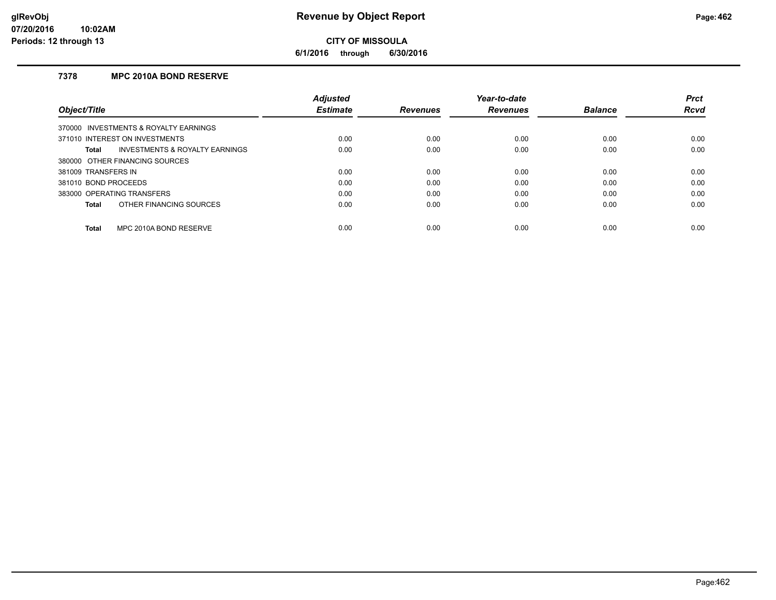**6/1/2016 through 6/30/2016**

## **7378 MPC 2010A BOND RESERVE**

|                                                | <b>Adjusted</b> |                 | Year-to-date    |                | <b>Prct</b> |
|------------------------------------------------|-----------------|-----------------|-----------------|----------------|-------------|
| Object/Title                                   | <b>Estimate</b> | <b>Revenues</b> | <b>Revenues</b> | <b>Balance</b> | <b>Rcvd</b> |
| 370000 INVESTMENTS & ROYALTY EARNINGS          |                 |                 |                 |                |             |
| 371010 INTEREST ON INVESTMENTS                 | 0.00            | 0.00            | 0.00            | 0.00           | 0.00        |
| INVESTMENTS & ROYALTY EARNINGS<br><b>Total</b> | 0.00            | 0.00            | 0.00            | 0.00           | 0.00        |
| 380000 OTHER FINANCING SOURCES                 |                 |                 |                 |                |             |
| 381009 TRANSFERS IN                            | 0.00            | 0.00            | 0.00            | 0.00           | 0.00        |
| 381010 BOND PROCEEDS                           | 0.00            | 0.00            | 0.00            | 0.00           | 0.00        |
| 383000 OPERATING TRANSFERS                     | 0.00            | 0.00            | 0.00            | 0.00           | 0.00        |
| OTHER FINANCING SOURCES<br><b>Total</b>        | 0.00            | 0.00            | 0.00            | 0.00           | 0.00        |
|                                                |                 |                 |                 |                |             |
| MPC 2010A BOND RESERVE<br><b>Total</b>         | 0.00            | 0.00            | 0.00            | 0.00           | 0.00        |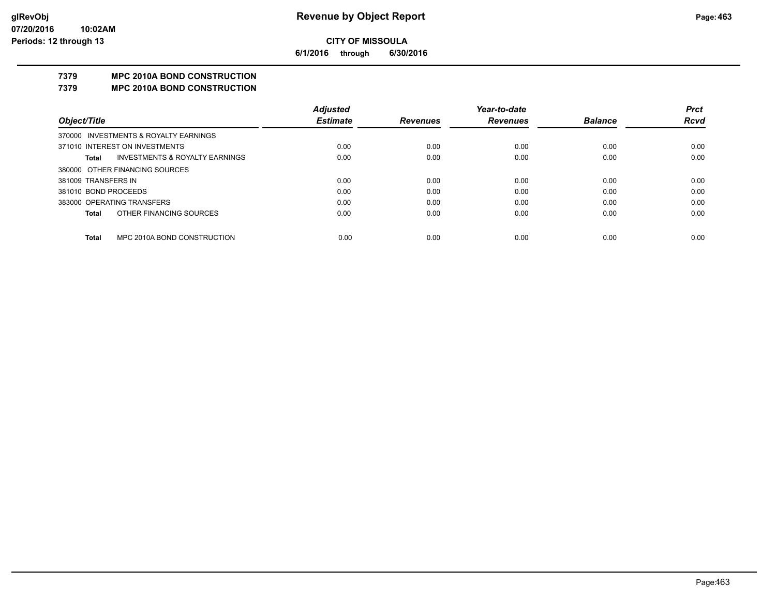**6/1/2016 through 6/30/2016**

## **7379 MPC 2010A BOND CONSTRUCTION**

#### **7379 MPC 2010A BOND CONSTRUCTION**

|                      |                                           | <b>Adjusted</b> |                 | Year-to-date    |                | <b>Prct</b> |
|----------------------|-------------------------------------------|-----------------|-----------------|-----------------|----------------|-------------|
| Object/Title         |                                           | <b>Estimate</b> | <b>Revenues</b> | <b>Revenues</b> | <b>Balance</b> | <b>Rcvd</b> |
|                      | 370000 INVESTMENTS & ROYALTY EARNINGS     |                 |                 |                 |                |             |
|                      | 371010 INTEREST ON INVESTMENTS            | 0.00            | 0.00            | 0.00            | 0.00           | 0.00        |
| Total                | <b>INVESTMENTS &amp; ROYALTY EARNINGS</b> | 0.00            | 0.00            | 0.00            | 0.00           | 0.00        |
|                      | 380000 OTHER FINANCING SOURCES            |                 |                 |                 |                |             |
| 381009 TRANSFERS IN  |                                           | 0.00            | 0.00            | 0.00            | 0.00           | 0.00        |
| 381010 BOND PROCEEDS |                                           | 0.00            | 0.00            | 0.00            | 0.00           | 0.00        |
|                      | 383000 OPERATING TRANSFERS                | 0.00            | 0.00            | 0.00            | 0.00           | 0.00        |
| <b>Total</b>         | OTHER FINANCING SOURCES                   | 0.00            | 0.00            | 0.00            | 0.00           | 0.00        |
|                      |                                           |                 |                 |                 |                |             |
| <b>Total</b>         | MPC 2010A BOND CONSTRUCTION               | 0.00            | 0.00            | 0.00            | 0.00           | 0.00        |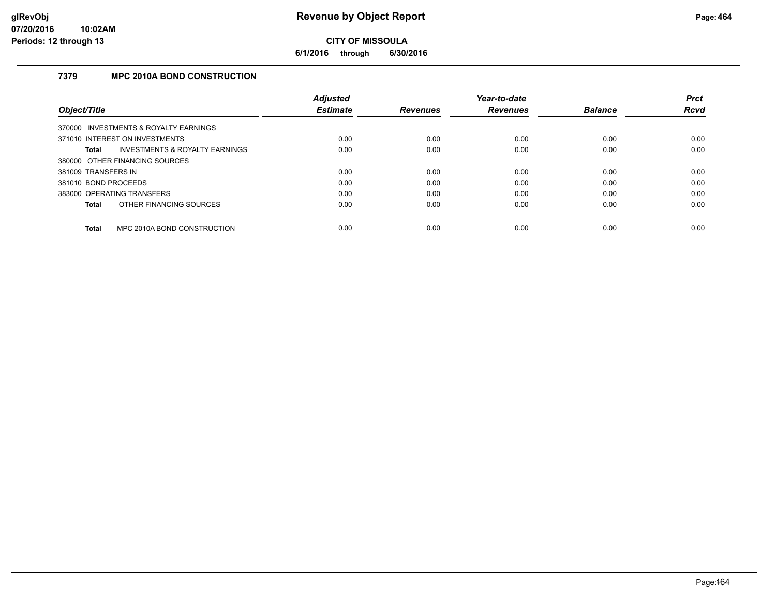**6/1/2016 through 6/30/2016**

## **7379 MPC 2010A BOND CONSTRUCTION**

|                      |                                           | <b>Adjusted</b> |                 | Year-to-date    |                | <b>Prct</b> |
|----------------------|-------------------------------------------|-----------------|-----------------|-----------------|----------------|-------------|
| Object/Title         |                                           | <b>Estimate</b> | <b>Revenues</b> | <b>Revenues</b> | <b>Balance</b> | <b>Rcvd</b> |
|                      | 370000 INVESTMENTS & ROYALTY EARNINGS     |                 |                 |                 |                |             |
|                      | 371010 INTEREST ON INVESTMENTS            | 0.00            | 0.00            | 0.00            | 0.00           | 0.00        |
| Total                | <b>INVESTMENTS &amp; ROYALTY EARNINGS</b> | 0.00            | 0.00            | 0.00            | 0.00           | 0.00        |
|                      | 380000 OTHER FINANCING SOURCES            |                 |                 |                 |                |             |
| 381009 TRANSFERS IN  |                                           | 0.00            | 0.00            | 0.00            | 0.00           | 0.00        |
| 381010 BOND PROCEEDS |                                           | 0.00            | 0.00            | 0.00            | 0.00           | 0.00        |
|                      | 383000 OPERATING TRANSFERS                | 0.00            | 0.00            | 0.00            | 0.00           | 0.00        |
| Total                | OTHER FINANCING SOURCES                   | 0.00            | 0.00            | 0.00            | 0.00           | 0.00        |
| <b>Total</b>         | MPC 2010A BOND CONSTRUCTION               | 0.00            | 0.00            | 0.00            | 0.00           | 0.00        |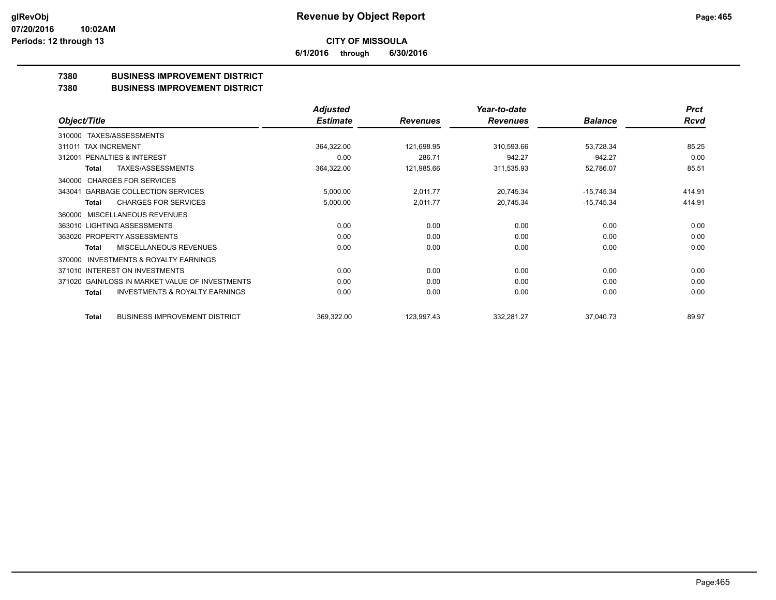**6/1/2016 through 6/30/2016**

## **7380 BUSINESS IMPROVEMENT DISTRICT**

**7380 BUSINESS IMPROVEMENT DISTRICT**

|                                                     | <b>Adjusted</b> |                 | Year-to-date    |                | <b>Prct</b> |
|-----------------------------------------------------|-----------------|-----------------|-----------------|----------------|-------------|
| Object/Title                                        | <b>Estimate</b> | <b>Revenues</b> | <b>Revenues</b> | <b>Balance</b> | Rcvd        |
| TAXES/ASSESSMENTS<br>310000                         |                 |                 |                 |                |             |
| 311011 TAX INCREMENT                                | 364,322.00      | 121,698.95      | 310,593.66      | 53,728.34      | 85.25       |
| <b>PENALTIES &amp; INTEREST</b><br>312001           | 0.00            | 286.71          | 942.27          | $-942.27$      | 0.00        |
| <b>TAXES/ASSESSMENTS</b><br>Total                   | 364,322.00      | 121,985.66      | 311,535.93      | 52,786.07      | 85.51       |
| <b>CHARGES FOR SERVICES</b><br>340000               |                 |                 |                 |                |             |
| <b>GARBAGE COLLECTION SERVICES</b><br>343041        | 5,000.00        | 2,011.77        | 20,745.34       | $-15,745.34$   | 414.91      |
| <b>CHARGES FOR SERVICES</b><br><b>Total</b>         | 5,000.00        | 2,011.77        | 20,745.34       | $-15,745.34$   | 414.91      |
| <b>MISCELLANEOUS REVENUES</b><br>360000             |                 |                 |                 |                |             |
| 363010 LIGHTING ASSESSMENTS                         | 0.00            | 0.00            | 0.00            | 0.00           | 0.00        |
| 363020 PROPERTY ASSESSMENTS                         | 0.00            | 0.00            | 0.00            | 0.00           | 0.00        |
| MISCELLANEOUS REVENUES<br>Total                     | 0.00            | 0.00            | 0.00            | 0.00           | 0.00        |
| <b>INVESTMENTS &amp; ROYALTY EARNINGS</b><br>370000 |                 |                 |                 |                |             |
| 371010 INTEREST ON INVESTMENTS                      | 0.00            | 0.00            | 0.00            | 0.00           | 0.00        |
| 371020 GAIN/LOSS IN MARKET VALUE OF INVESTMENTS     | 0.00            | 0.00            | 0.00            | 0.00           | 0.00        |
| <b>INVESTMENTS &amp; ROYALTY EARNINGS</b><br>Total  | 0.00            | 0.00            | 0.00            | 0.00           | 0.00        |
| <b>BUSINESS IMPROVEMENT DISTRICT</b><br>Total       | 369,322.00      | 123,997.43      | 332,281.27      | 37,040.73      | 89.97       |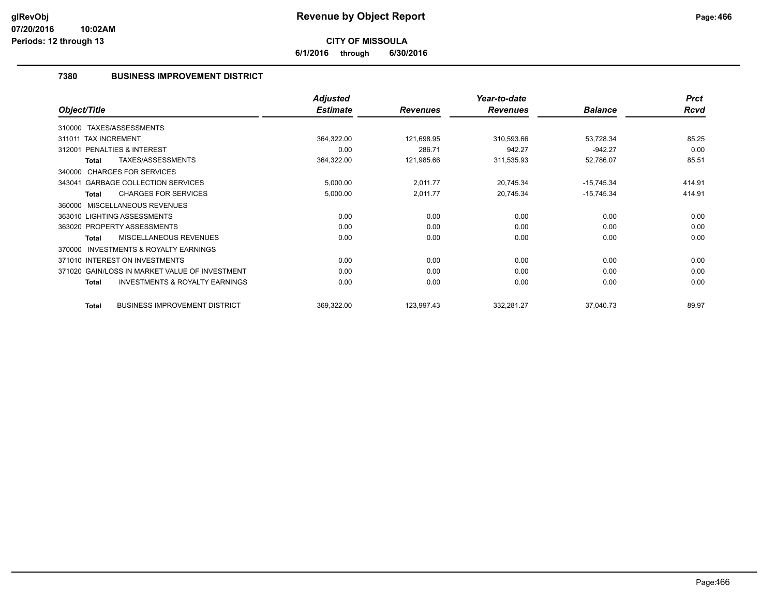**6/1/2016 through 6/30/2016**

## **7380 BUSINESS IMPROVEMENT DISTRICT**

|                                                           | <b>Adjusted</b> |                 | Year-to-date    |                | <b>Prct</b> |
|-----------------------------------------------------------|-----------------|-----------------|-----------------|----------------|-------------|
| Object/Title                                              | <b>Estimate</b> | <b>Revenues</b> | <b>Revenues</b> | <b>Balance</b> | Rcvd        |
| 310000 TAXES/ASSESSMENTS                                  |                 |                 |                 |                |             |
| 311011 TAX INCREMENT                                      | 364,322.00      | 121,698.95      | 310,593.66      | 53,728.34      | 85.25       |
| 312001 PENALTIES & INTEREST                               | 0.00            | 286.71          | 942.27          | $-942.27$      | 0.00        |
| TAXES/ASSESSMENTS<br><b>Total</b>                         | 364,322.00      | 121,985.66      | 311,535.93      | 52,786.07      | 85.51       |
| 340000 CHARGES FOR SERVICES                               |                 |                 |                 |                |             |
| 343041 GARBAGE COLLECTION SERVICES                        | 5,000.00        | 2,011.77        | 20,745.34       | $-15,745.34$   | 414.91      |
| <b>CHARGES FOR SERVICES</b><br><b>Total</b>               | 5,000.00        | 2,011.77        | 20,745.34       | $-15,745.34$   | 414.91      |
| 360000 MISCELLANEOUS REVENUES                             |                 |                 |                 |                |             |
| 363010 LIGHTING ASSESSMENTS                               | 0.00            | 0.00            | 0.00            | 0.00           | 0.00        |
| 363020 PROPERTY ASSESSMENTS                               | 0.00            | 0.00            | 0.00            | 0.00           | 0.00        |
| <b>MISCELLANEOUS REVENUES</b><br><b>Total</b>             | 0.00            | 0.00            | 0.00            | 0.00           | 0.00        |
| <b>INVESTMENTS &amp; ROYALTY EARNINGS</b><br>370000       |                 |                 |                 |                |             |
| 371010 INTEREST ON INVESTMENTS                            | 0.00            | 0.00            | 0.00            | 0.00           | 0.00        |
| 371020 GAIN/LOSS IN MARKET VALUE OF INVESTMENT            | 0.00            | 0.00            | 0.00            | 0.00           | 0.00        |
| <b>INVESTMENTS &amp; ROYALTY EARNINGS</b><br><b>Total</b> | 0.00            | 0.00            | 0.00            | 0.00           | 0.00        |
| <b>BUSINESS IMPROVEMENT DISTRICT</b><br>Total             | 369,322.00      | 123,997.43      | 332,281.27      | 37,040.73      | 89.97       |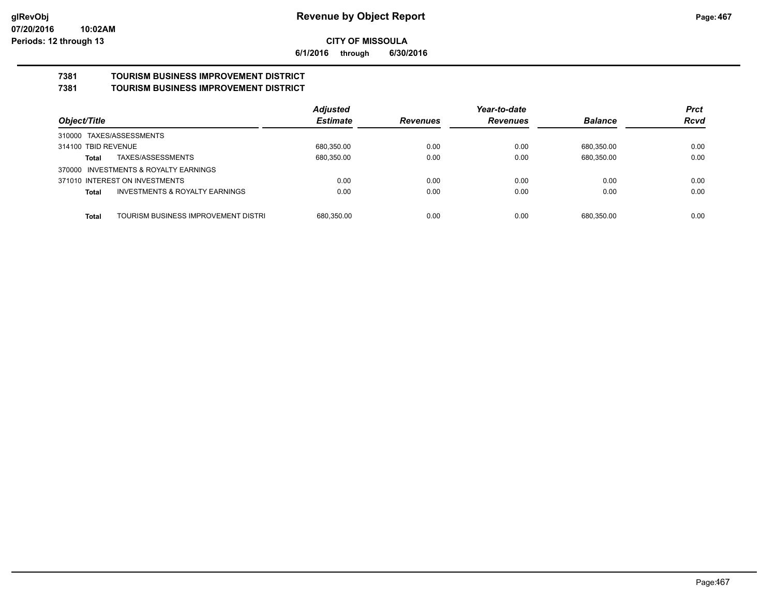**6/1/2016 through 6/30/2016**

#### **7381 TOURISM BUSINESS IMPROVEMENT DISTRICT 7381 TOURISM BUSINESS IMPROVEMENT DISTRICT**

|                                                     | <b>Adjusted</b> |                 | Year-to-date    |                | <b>Prct</b> |
|-----------------------------------------------------|-----------------|-----------------|-----------------|----------------|-------------|
| Object/Title                                        | <b>Estimate</b> | <b>Revenues</b> | <b>Revenues</b> | <b>Balance</b> | <b>Rcvd</b> |
| 310000 TAXES/ASSESSMENTS                            |                 |                 |                 |                |             |
| 314100 TBID REVENUE                                 | 680,350.00      | 0.00            | 0.00            | 680,350.00     | 0.00        |
| TAXES/ASSESSMENTS<br>Total                          | 680,350.00      | 0.00            | 0.00            | 680.350.00     | 0.00        |
| 370000 INVESTMENTS & ROYALTY EARNINGS               |                 |                 |                 |                |             |
| 371010 INTEREST ON INVESTMENTS                      | 0.00            | 0.00            | 0.00            | 0.00           | 0.00        |
| <b>INVESTMENTS &amp; ROYALTY EARNINGS</b><br>Total  | 0.00            | 0.00            | 0.00            | 0.00           | 0.00        |
|                                                     |                 |                 |                 |                |             |
| TOURISM BUSINESS IMPROVEMENT DISTRI<br><b>Total</b> | 680.350.00      | 0.00            | 0.00            | 680.350.00     | 0.00        |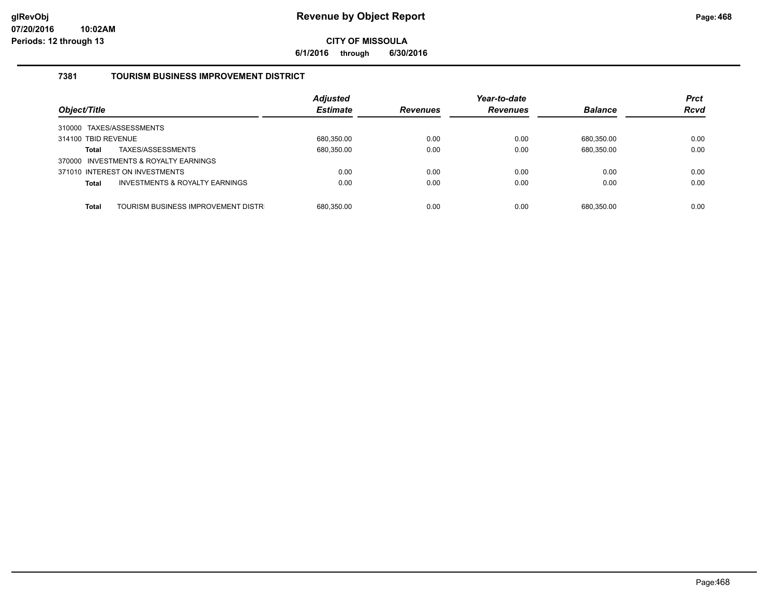**6/1/2016 through 6/30/2016**

#### **7381 TOURISM BUSINESS IMPROVEMENT DISTRICT**

| Object/Title                                              | <b>Adjusted</b><br><b>Estimate</b> | <b>Revenues</b> | Year-to-date<br><b>Revenues</b> | <b>Balance</b> | <b>Prct</b><br><b>Rcvd</b> |
|-----------------------------------------------------------|------------------------------------|-----------------|---------------------------------|----------------|----------------------------|
| 310000 TAXES/ASSESSMENTS                                  |                                    |                 |                                 |                |                            |
| 314100 TBID REVENUE                                       | 680.350.00                         | 0.00            | 0.00                            | 680.350.00     | 0.00                       |
| TAXES/ASSESSMENTS<br><b>Total</b>                         | 680,350.00                         | 0.00            | 0.00                            | 680,350.00     | 0.00                       |
| 370000 INVESTMENTS & ROYALTY EARNINGS                     |                                    |                 |                                 |                |                            |
| 371010 INTEREST ON INVESTMENTS                            | 0.00                               | 0.00            | 0.00                            | 0.00           | 0.00                       |
| <b>INVESTMENTS &amp; ROYALTY EARNINGS</b><br><b>Total</b> | 0.00                               | 0.00            | 0.00                            | 0.00           | 0.00                       |
|                                                           |                                    |                 |                                 |                |                            |
| TOURISM BUSINESS IMPROVEMENT DISTR<br><b>Total</b>        | 680.350.00                         | 0.00            | 0.00                            | 680.350.00     | 0.00                       |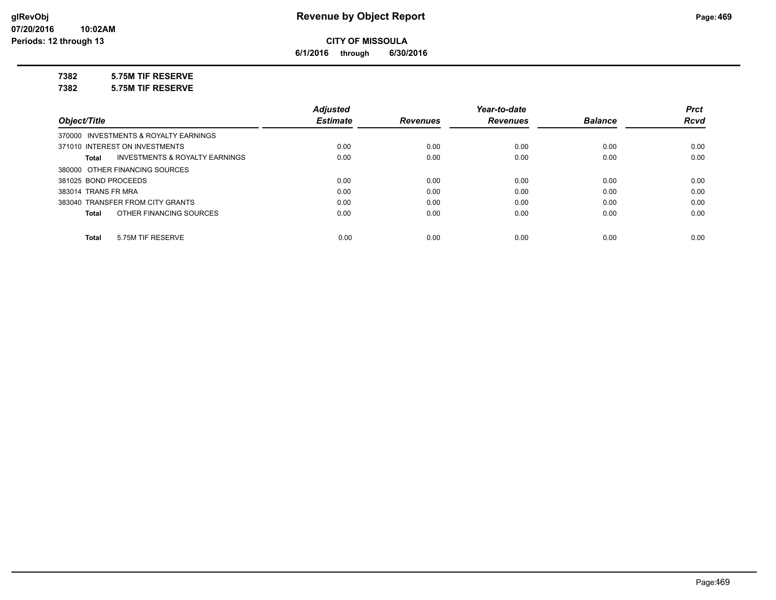**6/1/2016 through 6/30/2016**

### **7382 5.75M TIF RESERVE**

**7382 5.75M TIF RESERVE**

|                                                    | <b>Adjusted</b> |                 | Year-to-date    |                | <b>Prct</b> |
|----------------------------------------------------|-----------------|-----------------|-----------------|----------------|-------------|
| Object/Title                                       | <b>Estimate</b> | <b>Revenues</b> | <b>Revenues</b> | <b>Balance</b> | <b>Rcvd</b> |
| 370000 INVESTMENTS & ROYALTY EARNINGS              |                 |                 |                 |                |             |
| 371010 INTEREST ON INVESTMENTS                     | 0.00            | 0.00            | 0.00            | 0.00           | 0.00        |
| <b>INVESTMENTS &amp; ROYALTY EARNINGS</b><br>Total | 0.00            | 0.00            | 0.00            | 0.00           | 0.00        |
| 380000 OTHER FINANCING SOURCES                     |                 |                 |                 |                |             |
| 381025 BOND PROCEEDS                               | 0.00            | 0.00            | 0.00            | 0.00           | 0.00        |
| 383014 TRANS FR MRA                                | 0.00            | 0.00            | 0.00            | 0.00           | 0.00        |
| 383040 TRANSFER FROM CITY GRANTS                   | 0.00            | 0.00            | 0.00            | 0.00           | 0.00        |
| OTHER FINANCING SOURCES<br>Total                   | 0.00            | 0.00            | 0.00            | 0.00           | 0.00        |
|                                                    |                 |                 |                 |                |             |
| 5.75M TIF RESERVE<br>Total                         | 0.00            | 0.00            | 0.00            | 0.00           | 0.00        |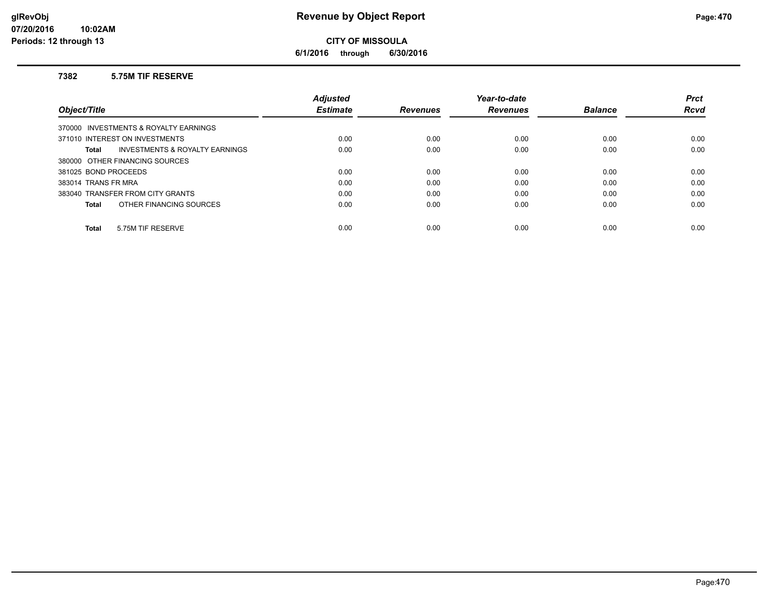**6/1/2016 through 6/30/2016**

#### **7382 5.75M TIF RESERVE**

|                                                    | <b>Adjusted</b> |                 | Year-to-date    |                | <b>Prct</b> |
|----------------------------------------------------|-----------------|-----------------|-----------------|----------------|-------------|
| Object/Title                                       | <b>Estimate</b> | <b>Revenues</b> | <b>Revenues</b> | <b>Balance</b> | <b>Rcvd</b> |
| 370000 INVESTMENTS & ROYALTY EARNINGS              |                 |                 |                 |                |             |
| 371010 INTEREST ON INVESTMENTS                     | 0.00            | 0.00            | 0.00            | 0.00           | 0.00        |
| <b>INVESTMENTS &amp; ROYALTY EARNINGS</b><br>Total | 0.00            | 0.00            | 0.00            | 0.00           | 0.00        |
| 380000 OTHER FINANCING SOURCES                     |                 |                 |                 |                |             |
| 381025 BOND PROCEEDS                               | 0.00            | 0.00            | 0.00            | 0.00           | 0.00        |
| 383014 TRANS FR MRA                                | 0.00            | 0.00            | 0.00            | 0.00           | 0.00        |
| 383040 TRANSFER FROM CITY GRANTS                   | 0.00            | 0.00            | 0.00            | 0.00           | 0.00        |
| OTHER FINANCING SOURCES<br>Total                   | 0.00            | 0.00            | 0.00            | 0.00           | 0.00        |
|                                                    |                 |                 |                 |                |             |
| 5.75M TIF RESERVE<br><b>Total</b>                  | 0.00            | 0.00            | 0.00            | 0.00           | 0.00        |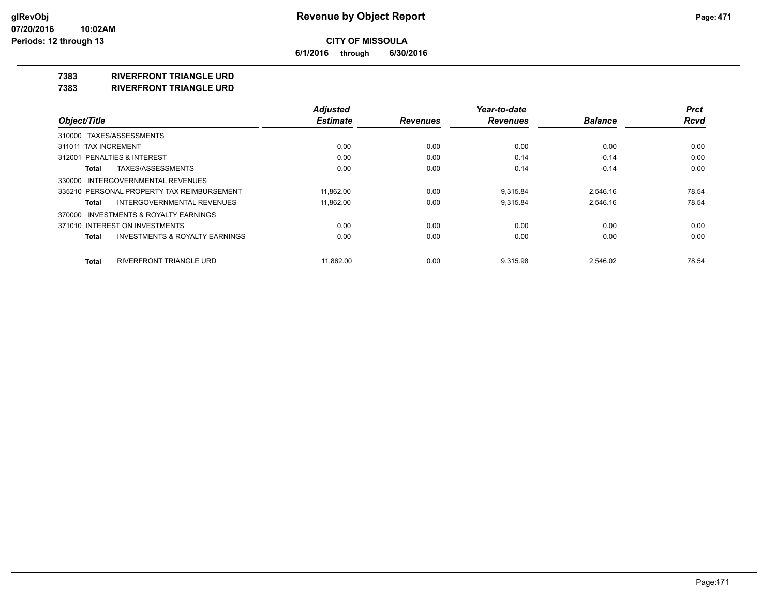**6/1/2016 through 6/30/2016**

**7383 RIVERFRONT TRIANGLE URD**

**7383 RIVERFRONT TRIANGLE URD**

|                                                    | <b>Adjusted</b> |                 | Year-to-date    |                | <b>Prct</b> |
|----------------------------------------------------|-----------------|-----------------|-----------------|----------------|-------------|
| Object/Title                                       | <b>Estimate</b> | <b>Revenues</b> | <b>Revenues</b> | <b>Balance</b> | <b>Rcvd</b> |
| 310000 TAXES/ASSESSMENTS                           |                 |                 |                 |                |             |
| 311011 TAX INCREMENT                               | 0.00            | 0.00            | 0.00            | 0.00           | 0.00        |
| 312001 PENALTIES & INTEREST                        | 0.00            | 0.00            | 0.14            | $-0.14$        | 0.00        |
| TAXES/ASSESSMENTS<br>Total                         | 0.00            | 0.00            | 0.14            | $-0.14$        | 0.00        |
| 330000 INTERGOVERNMENTAL REVENUES                  |                 |                 |                 |                |             |
| 335210 PERSONAL PROPERTY TAX REIMBURSEMENT         | 11.862.00       | 0.00            | 9.315.84        | 2.546.16       | 78.54       |
| <b>INTERGOVERNMENTAL REVENUES</b><br>Total         | 11,862.00       | 0.00            | 9,315.84        | 2,546.16       | 78.54       |
| 370000 INVESTMENTS & ROYALTY EARNINGS              |                 |                 |                 |                |             |
| 371010 INTEREST ON INVESTMENTS                     | 0.00            | 0.00            | 0.00            | 0.00           | 0.00        |
| <b>INVESTMENTS &amp; ROYALTY EARNINGS</b><br>Total | 0.00            | 0.00            | 0.00            | 0.00           | 0.00        |
| RIVERFRONT TRIANGLE URD<br><b>Total</b>            | 11.862.00       | 0.00            | 9.315.98        | 2.546.02       | 78.54       |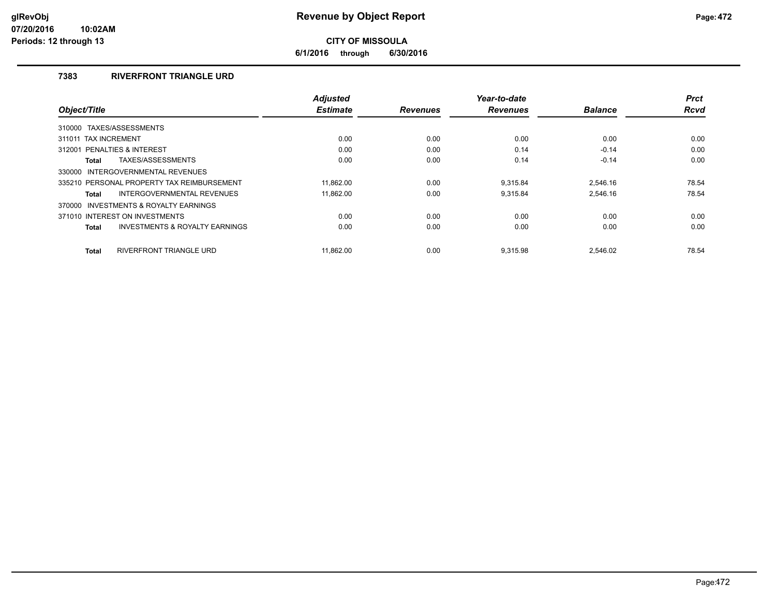**6/1/2016 through 6/30/2016**

## **7383 RIVERFRONT TRIANGLE URD**

|                                                | <b>Adjusted</b><br><b>Estimate</b> |                 | Year-to-date    |                | <b>Prct</b><br><b>Rcvd</b> |
|------------------------------------------------|------------------------------------|-----------------|-----------------|----------------|----------------------------|
| Object/Title                                   |                                    | <b>Revenues</b> | <b>Revenues</b> | <b>Balance</b> |                            |
| TAXES/ASSESSMENTS<br>310000                    |                                    |                 |                 |                |                            |
| 311011 TAX INCREMENT                           | 0.00                               | 0.00            | 0.00            | 0.00           | 0.00                       |
| PENALTIES & INTEREST<br>312001                 | 0.00                               | 0.00            | 0.14            | $-0.14$        | 0.00                       |
| TAXES/ASSESSMENTS<br><b>Total</b>              | 0.00                               | 0.00            | 0.14            | $-0.14$        | 0.00                       |
| INTERGOVERNMENTAL REVENUES<br>330000           |                                    |                 |                 |                |                            |
| 335210 PERSONAL PROPERTY TAX REIMBURSEMENT     | 11.862.00                          | 0.00            | 9.315.84        | 2,546.16       | 78.54                      |
| INTERGOVERNMENTAL REVENUES<br>Total            | 11.862.00                          | 0.00            | 9.315.84        | 2.546.16       | 78.54                      |
| 370000 INVESTMENTS & ROYALTY EARNINGS          |                                    |                 |                 |                |                            |
| 371010 INTEREST ON INVESTMENTS                 | 0.00                               | 0.00            | 0.00            | 0.00           | 0.00                       |
| INVESTMENTS & ROYALTY EARNINGS<br>Total        | 0.00                               | 0.00            | 0.00            | 0.00           | 0.00                       |
| <b>RIVERFRONT TRIANGLE URD</b><br><b>Total</b> | 11.862.00                          | 0.00            | 9.315.98        | 2.546.02       | 78.54                      |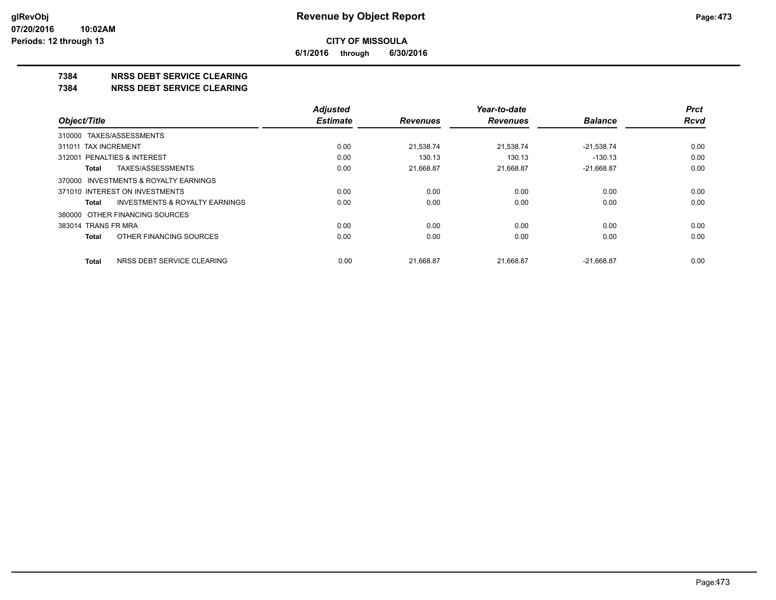**6/1/2016 through 6/30/2016**

## **7384 NRSS DEBT SERVICE CLEARING**

**7384 NRSS DEBT SERVICE CLEARING**

|                                                    | <b>Adjusted</b> |                 | Year-to-date    |                | <b>Prct</b> |
|----------------------------------------------------|-----------------|-----------------|-----------------|----------------|-------------|
| Object/Title                                       | <b>Estimate</b> | <b>Revenues</b> | <b>Revenues</b> | <b>Balance</b> | <b>Rcvd</b> |
| 310000 TAXES/ASSESSMENTS                           |                 |                 |                 |                |             |
| 311011 TAX INCREMENT                               | 0.00            | 21,538.74       | 21.538.74       | $-21,538.74$   | 0.00        |
| 312001 PENALTIES & INTEREST                        | 0.00            | 130.13          | 130.13          | $-130.13$      | 0.00        |
| TAXES/ASSESSMENTS<br>Total                         | 0.00            | 21,668.87       | 21,668.87       | $-21,668.87$   | 0.00        |
| 370000 INVESTMENTS & ROYALTY EARNINGS              |                 |                 |                 |                |             |
| 371010 INTEREST ON INVESTMENTS                     | 0.00            | 0.00            | 0.00            | 0.00           | 0.00        |
| <b>INVESTMENTS &amp; ROYALTY EARNINGS</b><br>Total | 0.00            | 0.00            | 0.00            | 0.00           | 0.00        |
| 380000 OTHER FINANCING SOURCES                     |                 |                 |                 |                |             |
| 383014 TRANS FR MRA                                | 0.00            | 0.00            | 0.00            | 0.00           | 0.00        |
| OTHER FINANCING SOURCES<br>Total                   | 0.00            | 0.00            | 0.00            | 0.00           | 0.00        |
| NRSS DEBT SERVICE CLEARING<br><b>Total</b>         | 0.00            | 21.668.87       | 21.668.87       | $-21.668.87$   | 0.00        |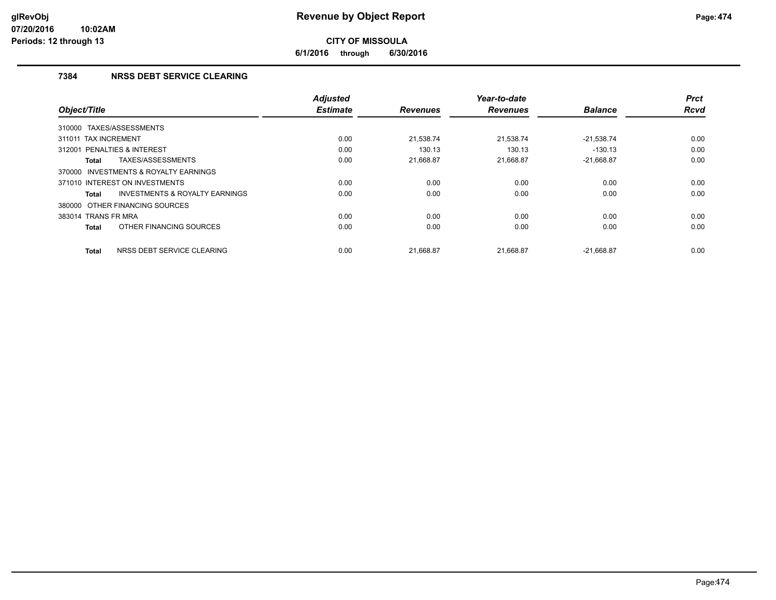**6/1/2016 through 6/30/2016**

## **7384 NRSS DEBT SERVICE CLEARING**

| Object/Title                                       | <b>Adjusted</b><br><b>Estimate</b> | <b>Revenues</b> | Year-to-date<br><b>Revenues</b> | <b>Balance</b> | <b>Prct</b><br>Rcvd |
|----------------------------------------------------|------------------------------------|-----------------|---------------------------------|----------------|---------------------|
| 310000 TAXES/ASSESSMENTS                           |                                    |                 |                                 |                |                     |
|                                                    |                                    |                 |                                 |                |                     |
| 311011 TAX INCREMENT                               | 0.00                               | 21.538.74       | 21.538.74                       | $-21,538.74$   | 0.00                |
| 312001 PENALTIES & INTEREST                        | 0.00                               | 130.13          | 130.13                          | $-130.13$      | 0.00                |
| TAXES/ASSESSMENTS<br><b>Total</b>                  | 0.00                               | 21,668.87       | 21,668.87                       | $-21,668.87$   | 0.00                |
| 370000 INVESTMENTS & ROYALTY EARNINGS              |                                    |                 |                                 |                |                     |
| 371010 INTEREST ON INVESTMENTS                     | 0.00                               | 0.00            | 0.00                            | 0.00           | 0.00                |
| <b>INVESTMENTS &amp; ROYALTY EARNINGS</b><br>Total | 0.00                               | 0.00            | 0.00                            | 0.00           | 0.00                |
| 380000 OTHER FINANCING SOURCES                     |                                    |                 |                                 |                |                     |
| 383014 TRANS FR MRA                                | 0.00                               | 0.00            | 0.00                            | 0.00           | 0.00                |
| OTHER FINANCING SOURCES<br><b>Total</b>            | 0.00                               | 0.00            | 0.00                            | 0.00           | 0.00                |
| NRSS DEBT SERVICE CLEARING<br><b>Total</b>         | 0.00                               | 21.668.87       | 21.668.87                       | $-21,668.87$   | 0.00                |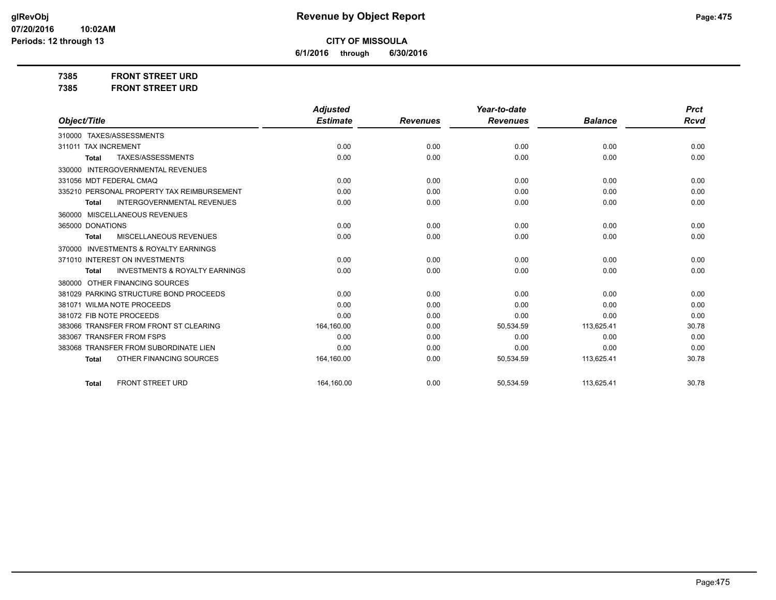**6/1/2016 through 6/30/2016**

**7385 FRONT STREET URD**

|                                                           | <b>Adjusted</b> |                 | Year-to-date    |                | <b>Prct</b> |
|-----------------------------------------------------------|-----------------|-----------------|-----------------|----------------|-------------|
| Object/Title                                              | <b>Estimate</b> | <b>Revenues</b> | <b>Revenues</b> | <b>Balance</b> | <b>Rcvd</b> |
| 310000 TAXES/ASSESSMENTS                                  |                 |                 |                 |                |             |
| 311011 TAX INCREMENT                                      | 0.00            | 0.00            | 0.00            | 0.00           | 0.00        |
| TAXES/ASSESSMENTS<br><b>Total</b>                         | 0.00            | 0.00            | 0.00            | 0.00           | 0.00        |
| 330000 INTERGOVERNMENTAL REVENUES                         |                 |                 |                 |                |             |
| 331056 MDT FEDERAL CMAQ                                   | 0.00            | 0.00            | 0.00            | 0.00           | 0.00        |
| 335210 PERSONAL PROPERTY TAX REIMBURSEMENT                | 0.00            | 0.00            | 0.00            | 0.00           | 0.00        |
| <b>INTERGOVERNMENTAL REVENUES</b><br><b>Total</b>         | 0.00            | 0.00            | 0.00            | 0.00           | 0.00        |
| 360000 MISCELLANEOUS REVENUES                             |                 |                 |                 |                |             |
| 365000 DONATIONS                                          | 0.00            | 0.00            | 0.00            | 0.00           | 0.00        |
| <b>MISCELLANEOUS REVENUES</b><br><b>Total</b>             | 0.00            | 0.00            | 0.00            | 0.00           | 0.00        |
| INVESTMENTS & ROYALTY EARNINGS<br>370000                  |                 |                 |                 |                |             |
| 371010 INTEREST ON INVESTMENTS                            | 0.00            | 0.00            | 0.00            | 0.00           | 0.00        |
| <b>INVESTMENTS &amp; ROYALTY EARNINGS</b><br><b>Total</b> | 0.00            | 0.00            | 0.00            | 0.00           | 0.00        |
| OTHER FINANCING SOURCES<br>380000                         |                 |                 |                 |                |             |
| 381029 PARKING STRUCTURE BOND PROCEEDS                    | 0.00            | 0.00            | 0.00            | 0.00           | 0.00        |
| 381071 WILMA NOTE PROCEEDS                                | 0.00            | 0.00            | 0.00            | 0.00           | 0.00        |
| 381072 FIB NOTE PROCEEDS                                  | 0.00            | 0.00            | 0.00            | 0.00           | 0.00        |
| 383066 TRANSFER FROM FRONT ST CLEARING                    | 164,160.00      | 0.00            | 50,534.59       | 113,625.41     | 30.78       |
| 383067 TRANSFER FROM FSPS                                 | 0.00            | 0.00            | 0.00            | 0.00           | 0.00        |
| 383068 TRANSFER FROM SUBORDINATE LIEN                     | 0.00            | 0.00            | 0.00            | 0.00           | 0.00        |
| OTHER FINANCING SOURCES<br><b>Total</b>                   | 164,160.00      | 0.00            | 50,534.59       | 113,625.41     | 30.78       |
| FRONT STREET URD<br><b>Total</b>                          | 164,160.00      | 0.00            | 50,534.59       | 113,625.41     | 30.78       |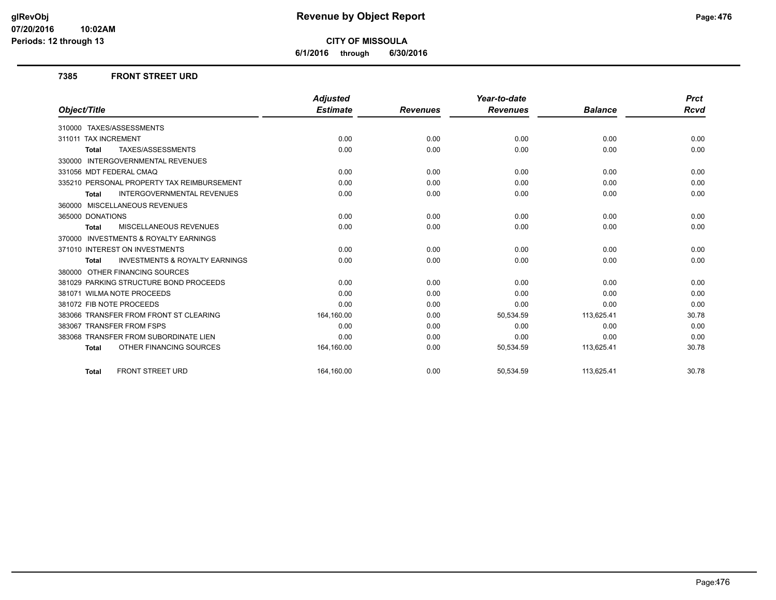**6/1/2016 through 6/30/2016**

#### **7385 FRONT STREET URD**

|                                                    | <b>Adjusted</b> |                 | Year-to-date    |                | <b>Prct</b> |
|----------------------------------------------------|-----------------|-----------------|-----------------|----------------|-------------|
| Object/Title                                       | <b>Estimate</b> | <b>Revenues</b> | <b>Revenues</b> | <b>Balance</b> | Rcvd        |
| 310000 TAXES/ASSESSMENTS                           |                 |                 |                 |                |             |
| 311011 TAX INCREMENT                               | 0.00            | 0.00            | 0.00            | 0.00           | 0.00        |
| TAXES/ASSESSMENTS<br><b>Total</b>                  | 0.00            | 0.00            | 0.00            | 0.00           | 0.00        |
| 330000 INTERGOVERNMENTAL REVENUES                  |                 |                 |                 |                |             |
| 331056 MDT FEDERAL CMAQ                            | 0.00            | 0.00            | 0.00            | 0.00           | 0.00        |
| 335210 PERSONAL PROPERTY TAX REIMBURSEMENT         | 0.00            | 0.00            | 0.00            | 0.00           | 0.00        |
| <b>INTERGOVERNMENTAL REVENUES</b><br><b>Total</b>  | 0.00            | 0.00            | 0.00            | 0.00           | 0.00        |
| 360000 MISCELLANEOUS REVENUES                      |                 |                 |                 |                |             |
| 365000 DONATIONS                                   | 0.00            | 0.00            | 0.00            | 0.00           | 0.00        |
| <b>MISCELLANEOUS REVENUES</b><br><b>Total</b>      | 0.00            | 0.00            | 0.00            | 0.00           | 0.00        |
| 370000 INVESTMENTS & ROYALTY EARNINGS              |                 |                 |                 |                |             |
| 371010 INTEREST ON INVESTMENTS                     | 0.00            | 0.00            | 0.00            | 0.00           | 0.00        |
| <b>INVESTMENTS &amp; ROYALTY EARNINGS</b><br>Total | 0.00            | 0.00            | 0.00            | 0.00           | 0.00        |
| 380000 OTHER FINANCING SOURCES                     |                 |                 |                 |                |             |
| 381029 PARKING STRUCTURE BOND PROCEEDS             | 0.00            | 0.00            | 0.00            | 0.00           | 0.00        |
| 381071 WILMA NOTE PROCEEDS                         | 0.00            | 0.00            | 0.00            | 0.00           | 0.00        |
| 381072 FIB NOTE PROCEEDS                           | 0.00            | 0.00            | 0.00            | 0.00           | 0.00        |
| 383066 TRANSFER FROM FRONT ST CLEARING             | 164,160.00      | 0.00            | 50,534.59       | 113,625.41     | 30.78       |
| 383067 TRANSFER FROM FSPS                          | 0.00            | 0.00            | 0.00            | 0.00           | 0.00        |
| 383068 TRANSFER FROM SUBORDINATE LIEN              | 0.00            | 0.00            | 0.00            | 0.00           | 0.00        |
| OTHER FINANCING SOURCES<br><b>Total</b>            | 164,160.00      | 0.00            | 50,534.59       | 113,625.41     | 30.78       |
| <b>FRONT STREET URD</b><br><b>Total</b>            | 164,160.00      | 0.00            | 50,534.59       | 113,625.41     | 30.78       |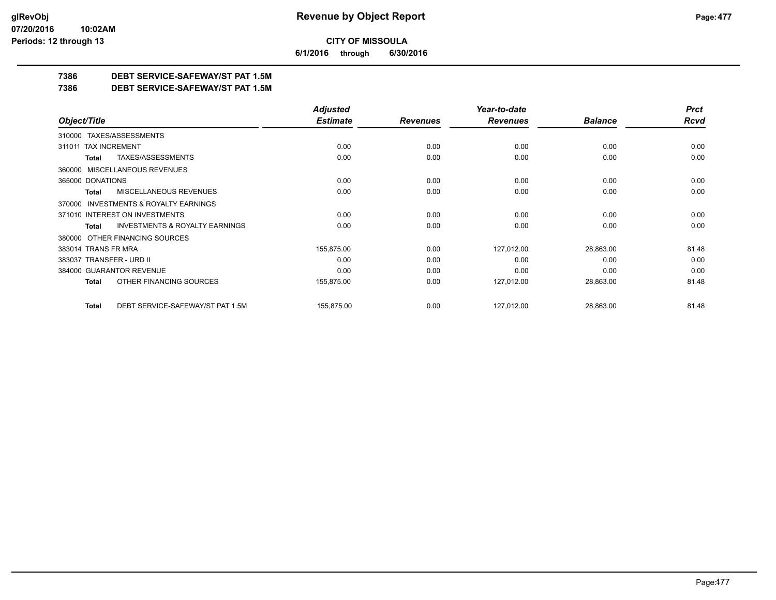**6/1/2016 through 6/30/2016**

## **7386 DEBT SERVICE-SAFEWAY/ST PAT 1.5M**

**7386 DEBT SERVICE-SAFEWAY/ST PAT 1.5M**

|                                                           | <b>Adjusted</b> |                 | Year-to-date    |                | <b>Prct</b> |
|-----------------------------------------------------------|-----------------|-----------------|-----------------|----------------|-------------|
| Object/Title                                              | <b>Estimate</b> | <b>Revenues</b> | <b>Revenues</b> | <b>Balance</b> | <b>Rcvd</b> |
| 310000 TAXES/ASSESSMENTS                                  |                 |                 |                 |                |             |
| 311011 TAX INCREMENT                                      | 0.00            | 0.00            | 0.00            | 0.00           | 0.00        |
| TAXES/ASSESSMENTS<br>Total                                | 0.00            | 0.00            | 0.00            | 0.00           | 0.00        |
| MISCELLANEOUS REVENUES<br>360000                          |                 |                 |                 |                |             |
| 365000 DONATIONS                                          | 0.00            | 0.00            | 0.00            | 0.00           | 0.00        |
| MISCELLANEOUS REVENUES<br>Total                           | 0.00            | 0.00            | 0.00            | 0.00           | 0.00        |
| <b>INVESTMENTS &amp; ROYALTY EARNINGS</b><br>370000       |                 |                 |                 |                |             |
| 371010 INTEREST ON INVESTMENTS                            | 0.00            | 0.00            | 0.00            | 0.00           | 0.00        |
| <b>INVESTMENTS &amp; ROYALTY EARNINGS</b><br><b>Total</b> | 0.00            | 0.00            | 0.00            | 0.00           | 0.00        |
| OTHER FINANCING SOURCES<br>380000                         |                 |                 |                 |                |             |
| 383014 TRANS FR MRA                                       | 155,875.00      | 0.00            | 127,012.00      | 28,863.00      | 81.48       |
| 383037 TRANSFER - URD II                                  | 0.00            | 0.00            | 0.00            | 0.00           | 0.00        |
| 384000 GUARANTOR REVENUE                                  | 0.00            | 0.00            | 0.00            | 0.00           | 0.00        |
| OTHER FINANCING SOURCES<br>Total                          | 155,875.00      | 0.00            | 127,012.00      | 28,863.00      | 81.48       |
| DEBT SERVICE-SAFEWAY/ST PAT 1.5M<br>Total                 | 155,875.00      | 0.00            | 127,012.00      | 28,863.00      | 81.48       |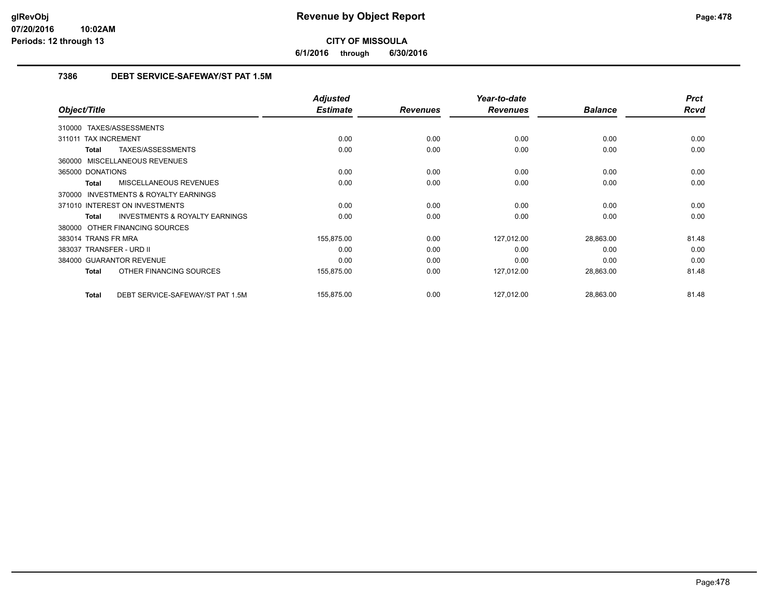**6/1/2016 through 6/30/2016**

## **7386 DEBT SERVICE-SAFEWAY/ST PAT 1.5M**

|                                                    | <b>Adjusted</b> |                 | Year-to-date    |                | <b>Prct</b> |
|----------------------------------------------------|-----------------|-----------------|-----------------|----------------|-------------|
| Object/Title                                       | <b>Estimate</b> | <b>Revenues</b> | <b>Revenues</b> | <b>Balance</b> | <b>Rcvd</b> |
| 310000 TAXES/ASSESSMENTS                           |                 |                 |                 |                |             |
| 311011 TAX INCREMENT                               | 0.00            | 0.00            | 0.00            | 0.00           | 0.00        |
| TAXES/ASSESSMENTS<br><b>Total</b>                  | 0.00            | 0.00            | 0.00            | 0.00           | 0.00        |
| 360000 MISCELLANEOUS REVENUES                      |                 |                 |                 |                |             |
| 365000 DONATIONS                                   | 0.00            | 0.00            | 0.00            | 0.00           | 0.00        |
| MISCELLANEOUS REVENUES<br>Total                    | 0.00            | 0.00            | 0.00            | 0.00           | 0.00        |
| 370000 INVESTMENTS & ROYALTY EARNINGS              |                 |                 |                 |                |             |
| 371010 INTEREST ON INVESTMENTS                     | 0.00            | 0.00            | 0.00            | 0.00           | 0.00        |
| <b>INVESTMENTS &amp; ROYALTY EARNINGS</b><br>Total | 0.00            | 0.00            | 0.00            | 0.00           | 0.00        |
| 380000 OTHER FINANCING SOURCES                     |                 |                 |                 |                |             |
| 383014 TRANS FR MRA                                | 155,875.00      | 0.00            | 127,012.00      | 28,863.00      | 81.48       |
| 383037 TRANSFER - URD II                           | 0.00            | 0.00            | 0.00            | 0.00           | 0.00        |
| 384000 GUARANTOR REVENUE                           | 0.00            | 0.00            | 0.00            | 0.00           | 0.00        |
| OTHER FINANCING SOURCES<br>Total                   | 155,875.00      | 0.00            | 127,012.00      | 28,863.00      | 81.48       |
| DEBT SERVICE-SAFEWAY/ST PAT 1.5M<br>Total          | 155,875.00      | 0.00            | 127,012.00      | 28,863.00      | 81.48       |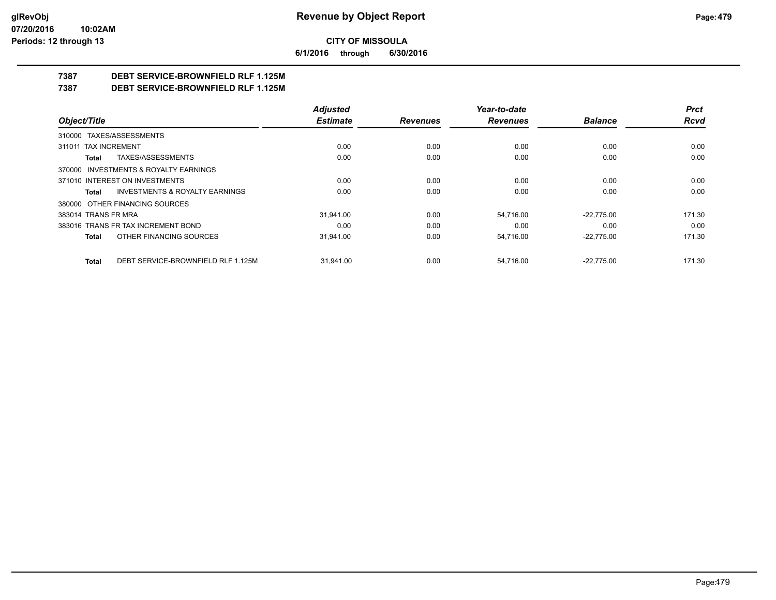**6/1/2016 through 6/30/2016**

## **7387 DEBT SERVICE-BROWNFIELD RLF 1.125M**

**7387 DEBT SERVICE-BROWNFIELD RLF 1.125M**

|                                                    | <b>Adjusted</b> |                 | Year-to-date    |                | <b>Prct</b> |
|----------------------------------------------------|-----------------|-----------------|-----------------|----------------|-------------|
| Object/Title                                       | <b>Estimate</b> | <b>Revenues</b> | <b>Revenues</b> | <b>Balance</b> | Rcvd        |
| 310000 TAXES/ASSESSMENTS                           |                 |                 |                 |                |             |
| 311011 TAX INCREMENT                               | 0.00            | 0.00            | 0.00            | 0.00           | 0.00        |
| TAXES/ASSESSMENTS<br>Total                         | 0.00            | 0.00            | 0.00            | 0.00           | 0.00        |
| 370000 INVESTMENTS & ROYALTY EARNINGS              |                 |                 |                 |                |             |
| 371010 INTEREST ON INVESTMENTS                     | 0.00            | 0.00            | 0.00            | 0.00           | 0.00        |
| <b>INVESTMENTS &amp; ROYALTY EARNINGS</b><br>Total | 0.00            | 0.00            | 0.00            | 0.00           | 0.00        |
| 380000 OTHER FINANCING SOURCES                     |                 |                 |                 |                |             |
| 383014 TRANS FR MRA                                | 31.941.00       | 0.00            | 54.716.00       | $-22.775.00$   | 171.30      |
| 383016 TRANS FR TAX INCREMENT BOND                 | 0.00            | 0.00            | 0.00            | 0.00           | 0.00        |
| OTHER FINANCING SOURCES<br>Total                   | 31.941.00       | 0.00            | 54.716.00       | $-22.775.00$   | 171.30      |
| DEBT SERVICE-BROWNFIELD RLF 1.125M<br>Total        | 31.941.00       | 0.00            | 54.716.00       | $-22.775.00$   | 171.30      |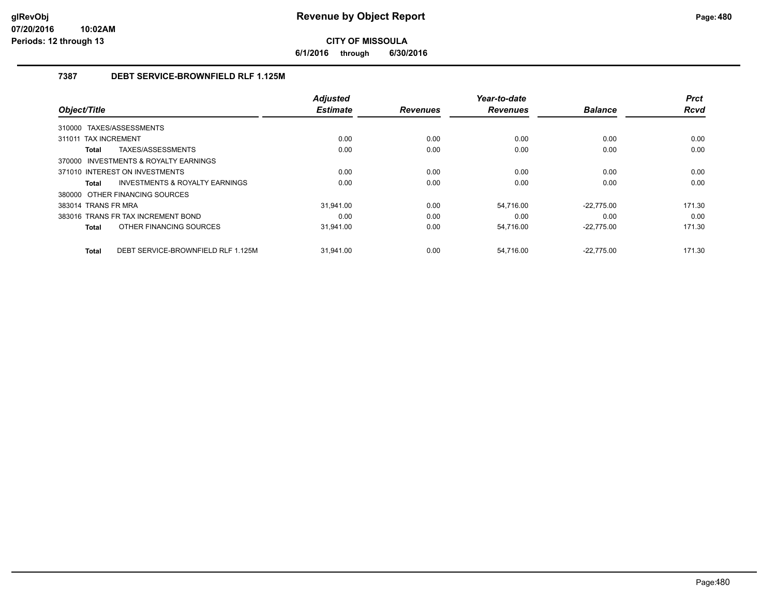**6/1/2016 through 6/30/2016**

### **7387 DEBT SERVICE-BROWNFIELD RLF 1.125M**

|                                                           | <b>Adjusted</b> |                 | Year-to-date    |                | <b>Prct</b> |
|-----------------------------------------------------------|-----------------|-----------------|-----------------|----------------|-------------|
| Object/Title                                              | <b>Estimate</b> | <b>Revenues</b> | <b>Revenues</b> | <b>Balance</b> | <b>Rcvd</b> |
| TAXES/ASSESSMENTS<br>310000                               |                 |                 |                 |                |             |
| 311011 TAX INCREMENT                                      | 0.00            | 0.00            | 0.00            | 0.00           | 0.00        |
| TAXES/ASSESSMENTS<br><b>Total</b>                         | 0.00            | 0.00            | 0.00            | 0.00           | 0.00        |
| 370000 INVESTMENTS & ROYALTY EARNINGS                     |                 |                 |                 |                |             |
| 371010 INTEREST ON INVESTMENTS                            | 0.00            | 0.00            | 0.00            | 0.00           | 0.00        |
| <b>INVESTMENTS &amp; ROYALTY EARNINGS</b><br><b>Total</b> | 0.00            | 0.00            | 0.00            | 0.00           | 0.00        |
| 380000 OTHER FINANCING SOURCES                            |                 |                 |                 |                |             |
| 383014 TRANS FR MRA                                       | 31.941.00       | 0.00            | 54.716.00       | $-22.775.00$   | 171.30      |
| 383016 TRANS FR TAX INCREMENT BOND                        | 0.00            | 0.00            | 0.00            | 0.00           | 0.00        |
| OTHER FINANCING SOURCES<br><b>Total</b>                   | 31.941.00       | 0.00            | 54,716.00       | $-22,775.00$   | 171.30      |
| DEBT SERVICE-BROWNFIELD RLF 1.125M<br><b>Total</b>        | 31.941.00       | 0.00            | 54.716.00       | $-22.775.00$   | 171.30      |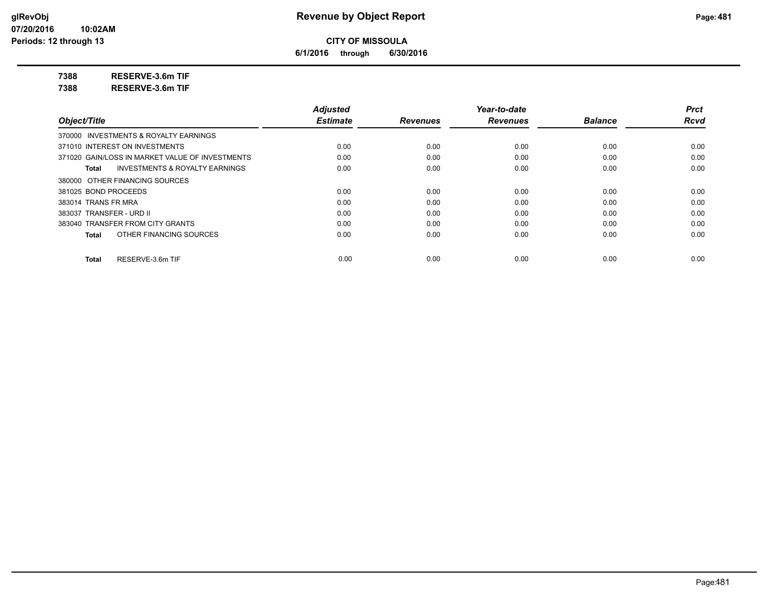**6/1/2016 through 6/30/2016**

**7388 RESERVE-3.6m TIF**

**7388 RESERVE-3.6m TIF**

|                                                    | <b>Adiusted</b> |                 | Year-to-date    |                | <b>Prct</b> |
|----------------------------------------------------|-----------------|-----------------|-----------------|----------------|-------------|
| Object/Title                                       | <b>Estimate</b> | <b>Revenues</b> | <b>Revenues</b> | <b>Balance</b> | <b>Rcvd</b> |
| 370000 INVESTMENTS & ROYALTY EARNINGS              |                 |                 |                 |                |             |
| 371010 INTEREST ON INVESTMENTS                     | 0.00            | 0.00            | 0.00            | 0.00           | 0.00        |
| 371020 GAIN/LOSS IN MARKET VALUE OF INVESTMENTS    | 0.00            | 0.00            | 0.00            | 0.00           | 0.00        |
| <b>INVESTMENTS &amp; ROYALTY EARNINGS</b><br>Total | 0.00            | 0.00            | 0.00            | 0.00           | 0.00        |
| 380000 OTHER FINANCING SOURCES                     |                 |                 |                 |                |             |
| 381025 BOND PROCEEDS                               | 0.00            | 0.00            | 0.00            | 0.00           | 0.00        |
| 383014 TRANS FR MRA                                | 0.00            | 0.00            | 0.00            | 0.00           | 0.00        |
| 383037 TRANSFER - URD II                           | 0.00            | 0.00            | 0.00            | 0.00           | 0.00        |
| 383040 TRANSFER FROM CITY GRANTS                   | 0.00            | 0.00            | 0.00            | 0.00           | 0.00        |
| OTHER FINANCING SOURCES<br>Total                   | 0.00            | 0.00            | 0.00            | 0.00           | 0.00        |
| RESERVE-3.6m TIF<br>Total                          | 0.00            | 0.00            | 0.00            | 0.00           | 0.00        |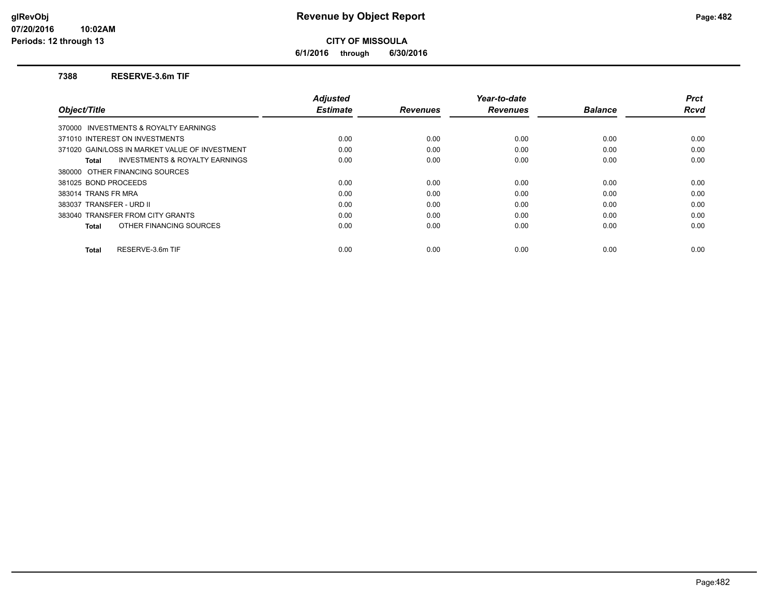**6/1/2016 through 6/30/2016**

#### **7388 RESERVE-3.6m TIF**

|                                                    | <b>Adjusted</b> |                 | Year-to-date    |                | <b>Prct</b> |
|----------------------------------------------------|-----------------|-----------------|-----------------|----------------|-------------|
| Object/Title                                       | <b>Estimate</b> | <b>Revenues</b> | <b>Revenues</b> | <b>Balance</b> | <b>Rcvd</b> |
| 370000 INVESTMENTS & ROYALTY EARNINGS              |                 |                 |                 |                |             |
| 371010 INTEREST ON INVESTMENTS                     | 0.00            | 0.00            | 0.00            | 0.00           | 0.00        |
| 371020 GAIN/LOSS IN MARKET VALUE OF INVESTMENT     | 0.00            | 0.00            | 0.00            | 0.00           | 0.00        |
| <b>INVESTMENTS &amp; ROYALTY EARNINGS</b><br>Total | 0.00            | 0.00            | 0.00            | 0.00           | 0.00        |
| 380000 OTHER FINANCING SOURCES                     |                 |                 |                 |                |             |
| 381025 BOND PROCEEDS                               | 0.00            | 0.00            | 0.00            | 0.00           | 0.00        |
| 383014 TRANS FR MRA                                | 0.00            | 0.00            | 0.00            | 0.00           | 0.00        |
| 383037 TRANSFER - URD II                           | 0.00            | 0.00            | 0.00            | 0.00           | 0.00        |
| 383040 TRANSFER FROM CITY GRANTS                   | 0.00            | 0.00            | 0.00            | 0.00           | 0.00        |
| OTHER FINANCING SOURCES<br>Total                   | 0.00            | 0.00            | 0.00            | 0.00           | 0.00        |
| RESERVE-3.6m TIF<br>Total                          | 0.00            | 0.00            | 0.00            | 0.00           | 0.00        |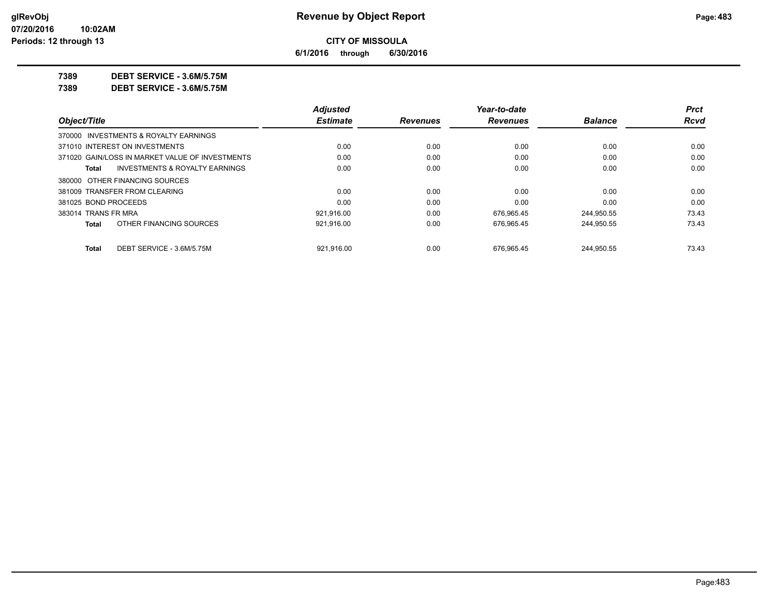**6/1/2016 through 6/30/2016**

**7389 DEBT SERVICE - 3.6M/5.75M**

**7389 DEBT SERVICE - 3.6M/5.75M**

|                                |                                                 | <b>Adjusted</b> |                 | Year-to-date    |                | <b>Prct</b> |
|--------------------------------|-------------------------------------------------|-----------------|-----------------|-----------------|----------------|-------------|
| Object/Title                   |                                                 | <b>Estimate</b> | <b>Revenues</b> | <b>Revenues</b> | <b>Balance</b> | Rcvd        |
|                                | 370000 INVESTMENTS & ROYALTY EARNINGS           |                 |                 |                 |                |             |
| 371010 INTEREST ON INVESTMENTS |                                                 | 0.00            | 0.00            | 0.00            | 0.00           | 0.00        |
|                                | 371020 GAIN/LOSS IN MARKET VALUE OF INVESTMENTS | 0.00            | 0.00            | 0.00            | 0.00           | 0.00        |
| Total                          | <b>INVESTMENTS &amp; ROYALTY EARNINGS</b>       | 0.00            | 0.00            | 0.00            | 0.00           | 0.00        |
| 380000 OTHER FINANCING SOURCES |                                                 |                 |                 |                 |                |             |
| 381009 TRANSFER FROM CLEARING  |                                                 | 0.00            | 0.00            | 0.00            | 0.00           | 0.00        |
| 381025 BOND PROCEEDS           |                                                 | 0.00            | 0.00            | 0.00            | 0.00           | 0.00        |
| 383014 TRANS FR MRA            |                                                 | 921.916.00      | 0.00            | 676.965.45      | 244.950.55     | 73.43       |
| <b>Total</b>                   | OTHER FINANCING SOURCES                         | 921,916.00      | 0.00            | 676.965.45      | 244,950.55     | 73.43       |
| <b>Total</b>                   | DEBT SERVICE - 3.6M/5.75M                       | 921.916.00      | 0.00            | 676.965.45      | 244.950.55     | 73.43       |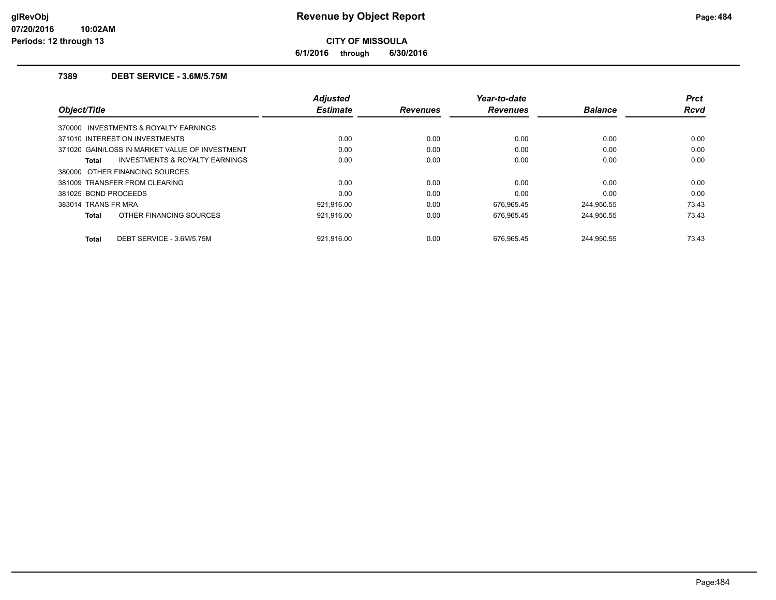**6/1/2016 through 6/30/2016**

## **7389 DEBT SERVICE - 3.6M/5.75M**

| Object/Title                                       | <b>Adjusted</b><br><b>Estimate</b> | <b>Revenues</b> | Year-to-date<br><b>Revenues</b> | <b>Balance</b> | <b>Prct</b><br><b>Rcvd</b> |
|----------------------------------------------------|------------------------------------|-----------------|---------------------------------|----------------|----------------------------|
| 370000 INVESTMENTS & ROYALTY EARNINGS              |                                    |                 |                                 |                |                            |
| 371010 INTEREST ON INVESTMENTS                     | 0.00                               | 0.00            | 0.00                            | 0.00           | 0.00                       |
| 371020 GAIN/LOSS IN MARKET VALUE OF INVESTMENT     | 0.00                               | 0.00            | 0.00                            | 0.00           | 0.00                       |
| <b>INVESTMENTS &amp; ROYALTY EARNINGS</b><br>Total | 0.00                               | 0.00            | 0.00                            | 0.00           | 0.00                       |
| 380000 OTHER FINANCING SOURCES                     |                                    |                 |                                 |                |                            |
| 381009 TRANSFER FROM CLEARING                      | 0.00                               | 0.00            | 0.00                            | 0.00           | 0.00                       |
| 381025 BOND PROCEEDS                               | 0.00                               | 0.00            | 0.00                            | 0.00           | 0.00                       |
| 383014 TRANS FR MRA                                | 921,916.00                         | 0.00            | 676.965.45                      | 244,950.55     | 73.43                      |
| OTHER FINANCING SOURCES<br><b>Total</b>            | 921,916.00                         | 0.00            | 676,965.45                      | 244,950.55     | 73.43                      |
| DEBT SERVICE - 3.6M/5.75M<br><b>Total</b>          | 921.916.00                         | 0.00            | 676.965.45                      | 244.950.55     | 73.43                      |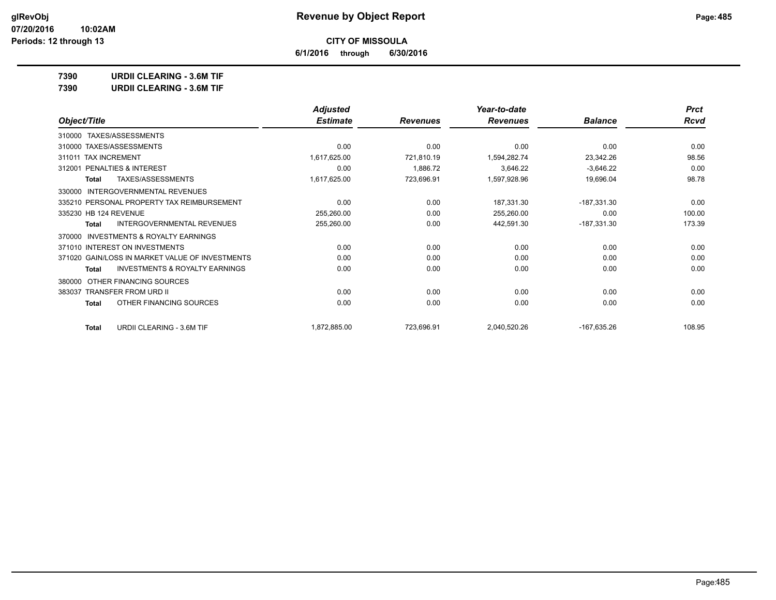**6/1/2016 through 6/30/2016**

**7390 URDII CLEARING - 3.6M TIF**

**7390 URDII CLEARING - 3.6M TIF**

|                                                           | <b>Adjusted</b> |                 | Year-to-date    |                | <b>Prct</b> |
|-----------------------------------------------------------|-----------------|-----------------|-----------------|----------------|-------------|
| Object/Title                                              | <b>Estimate</b> | <b>Revenues</b> | <b>Revenues</b> | <b>Balance</b> | Rcvd        |
| TAXES/ASSESSMENTS<br>310000                               |                 |                 |                 |                |             |
| 310000 TAXES/ASSESSMENTS                                  | 0.00            | 0.00            | 0.00            | 0.00           | 0.00        |
| 311011 TAX INCREMENT                                      | 1,617,625.00    | 721,810.19      | 1,594,282.74    | 23,342.26      | 98.56       |
| PENALTIES & INTEREST<br>312001                            | 0.00            | 1,886.72        | 3,646.22        | $-3,646.22$    | 0.00        |
| TAXES/ASSESSMENTS<br><b>Total</b>                         | 1,617,625.00    | 723,696.91      | 1,597,928.96    | 19,696.04      | 98.78       |
| <b>INTERGOVERNMENTAL REVENUES</b><br>330000               |                 |                 |                 |                |             |
| 335210 PERSONAL PROPERTY TAX REIMBURSEMENT                | 0.00            | 0.00            | 187,331.30      | $-187,331.30$  | 0.00        |
| 335230 HB 124 REVENUE                                     | 255,260.00      | 0.00            | 255,260.00      | 0.00           | 100.00      |
| <b>INTERGOVERNMENTAL REVENUES</b><br>Total                | 255,260.00      | 0.00            | 442,591.30      | $-187,331.30$  | 173.39      |
| <b>INVESTMENTS &amp; ROYALTY EARNINGS</b><br>370000       |                 |                 |                 |                |             |
| 371010 INTEREST ON INVESTMENTS                            | 0.00            | 0.00            | 0.00            | 0.00           | 0.00        |
| 371020 GAIN/LOSS IN MARKET VALUE OF INVESTMENTS           | 0.00            | 0.00            | 0.00            | 0.00           | 0.00        |
| <b>INVESTMENTS &amp; ROYALTY EARNINGS</b><br><b>Total</b> | 0.00            | 0.00            | 0.00            | 0.00           | 0.00        |
| OTHER FINANCING SOURCES<br>380000                         |                 |                 |                 |                |             |
| 383037 TRANSFER FROM URD II                               | 0.00            | 0.00            | 0.00            | 0.00           | 0.00        |
| OTHER FINANCING SOURCES<br><b>Total</b>                   | 0.00            | 0.00            | 0.00            | 0.00           | 0.00        |
| <b>URDII CLEARING - 3.6M TIF</b><br><b>Total</b>          | 1,872,885.00    | 723,696.91      | 2,040,520.26    | $-167,635.26$  | 108.95      |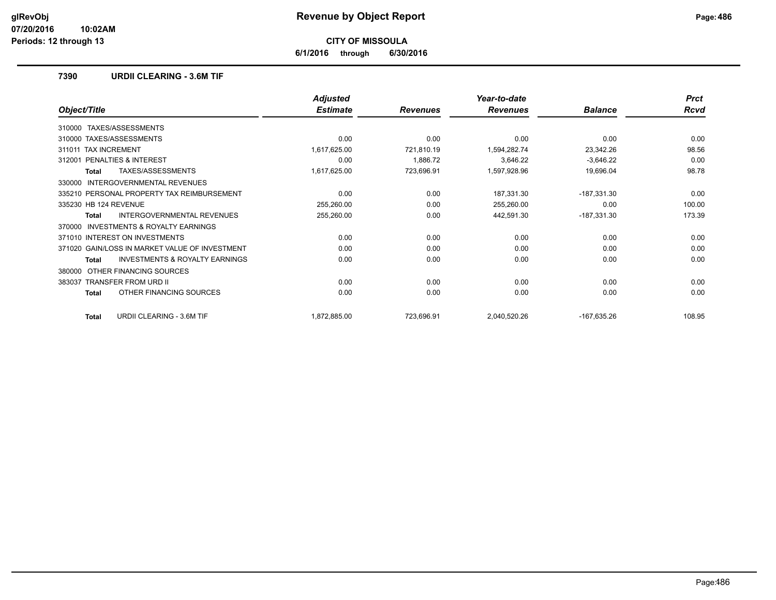**6/1/2016 through 6/30/2016**

### **7390 URDII CLEARING - 3.6M TIF**

|                                                    | <b>Adjusted</b> |                 | Year-to-date    |                | <b>Prct</b> |
|----------------------------------------------------|-----------------|-----------------|-----------------|----------------|-------------|
| Object/Title                                       | <b>Estimate</b> | <b>Revenues</b> | <b>Revenues</b> | <b>Balance</b> | <b>Rcvd</b> |
| TAXES/ASSESSMENTS<br>310000                        |                 |                 |                 |                |             |
| 310000 TAXES/ASSESSMENTS                           | 0.00            | 0.00            | 0.00            | 0.00           | 0.00        |
| <b>TAX INCREMENT</b><br>311011                     | 1,617,625.00    | 721,810.19      | 1,594,282.74    | 23,342.26      | 98.56       |
| PENALTIES & INTEREST<br>312001                     | 0.00            | 1,886.72        | 3,646.22        | $-3,646.22$    | 0.00        |
| <b>TAXES/ASSESSMENTS</b><br><b>Total</b>           | 1,617,625.00    | 723,696.91      | 1,597,928.96    | 19,696.04      | 98.78       |
| INTERGOVERNMENTAL REVENUES<br>330000               |                 |                 |                 |                |             |
| 335210 PERSONAL PROPERTY TAX REIMBURSEMENT         | 0.00            | 0.00            | 187,331.30      | $-187,331.30$  | 0.00        |
| 335230 HB 124 REVENUE                              | 255,260.00      | 0.00            | 255,260.00      | 0.00           | 100.00      |
| INTERGOVERNMENTAL REVENUES<br>Total                | 255,260.00      | 0.00            | 442,591.30      | $-187,331.30$  | 173.39      |
| INVESTMENTS & ROYALTY EARNINGS<br>370000           |                 |                 |                 |                |             |
| 371010 INTEREST ON INVESTMENTS                     | 0.00            | 0.00            | 0.00            | 0.00           | 0.00        |
| 371020 GAIN/LOSS IN MARKET VALUE OF INVESTMENT     | 0.00            | 0.00            | 0.00            | 0.00           | 0.00        |
| <b>INVESTMENTS &amp; ROYALTY EARNINGS</b><br>Total | 0.00            | 0.00            | 0.00            | 0.00           | 0.00        |
| OTHER FINANCING SOURCES<br>380000                  |                 |                 |                 |                |             |
| <b>TRANSFER FROM URD II</b><br>383037              | 0.00            | 0.00            | 0.00            | 0.00           | 0.00        |
| OTHER FINANCING SOURCES<br>Total                   | 0.00            | 0.00            | 0.00            | 0.00           | 0.00        |
| <b>URDII CLEARING - 3.6M TIF</b><br><b>Total</b>   | 1,872,885.00    | 723,696.91      | 2,040,520.26    | $-167,635.26$  | 108.95      |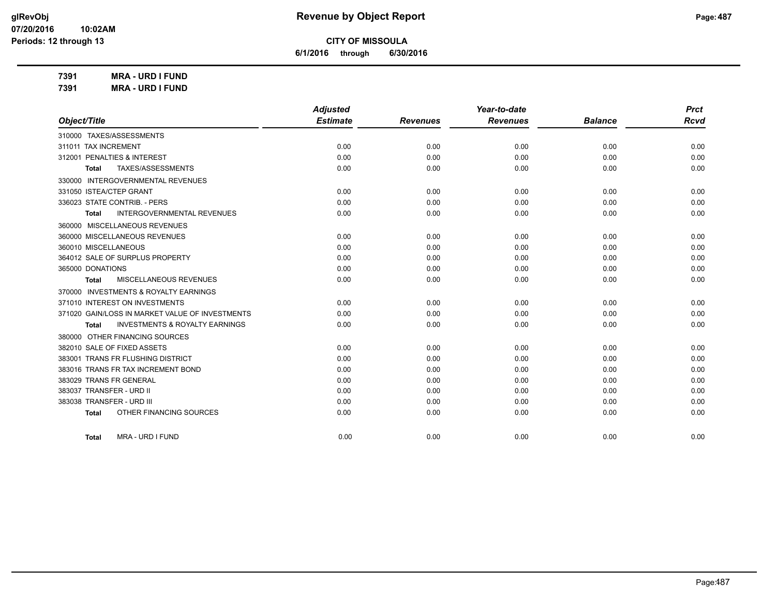**6/1/2016 through 6/30/2016**

**7391 MRA - URD I FUND**

| 7391 | <b>MRA-URDIFUND</b> |
|------|---------------------|
|      |                     |

|                                                    | <b>Adjusted</b> |                 | Year-to-date    |                | <b>Prct</b> |
|----------------------------------------------------|-----------------|-----------------|-----------------|----------------|-------------|
| Object/Title                                       | <b>Estimate</b> | <b>Revenues</b> | <b>Revenues</b> | <b>Balance</b> | <b>Rcvd</b> |
| 310000 TAXES/ASSESSMENTS                           |                 |                 |                 |                |             |
| 311011 TAX INCREMENT                               | 0.00            | 0.00            | 0.00            | 0.00           | 0.00        |
| 312001 PENALTIES & INTEREST                        | 0.00            | 0.00            | 0.00            | 0.00           | 0.00        |
| TAXES/ASSESSMENTS<br><b>Total</b>                  | 0.00            | 0.00            | 0.00            | 0.00           | 0.00        |
| 330000 INTERGOVERNMENTAL REVENUES                  |                 |                 |                 |                |             |
| 331050 ISTEA/CTEP GRANT                            | 0.00            | 0.00            | 0.00            | 0.00           | 0.00        |
| 336023 STATE CONTRIB. - PERS                       | 0.00            | 0.00            | 0.00            | 0.00           | 0.00        |
| <b>INTERGOVERNMENTAL REVENUES</b><br><b>Total</b>  | 0.00            | 0.00            | 0.00            | 0.00           | 0.00        |
| 360000 MISCELLANEOUS REVENUES                      |                 |                 |                 |                |             |
| 360000 MISCELLANEOUS REVENUES                      | 0.00            | 0.00            | 0.00            | 0.00           | 0.00        |
| 360010 MISCELLANEOUS                               | 0.00            | 0.00            | 0.00            | 0.00           | 0.00        |
| 364012 SALE OF SURPLUS PROPERTY                    | 0.00            | 0.00            | 0.00            | 0.00           | 0.00        |
| 365000 DONATIONS                                   | 0.00            | 0.00            | 0.00            | 0.00           | 0.00        |
| MISCELLANEOUS REVENUES<br>Total                    | 0.00            | 0.00            | 0.00            | 0.00           | 0.00        |
| 370000 INVESTMENTS & ROYALTY EARNINGS              |                 |                 |                 |                |             |
| 371010 INTEREST ON INVESTMENTS                     | 0.00            | 0.00            | 0.00            | 0.00           | 0.00        |
| 371020 GAIN/LOSS IN MARKET VALUE OF INVESTMENTS    | 0.00            | 0.00            | 0.00            | 0.00           | 0.00        |
| <b>INVESTMENTS &amp; ROYALTY EARNINGS</b><br>Total | 0.00            | 0.00            | 0.00            | 0.00           | 0.00        |
| 380000 OTHER FINANCING SOURCES                     |                 |                 |                 |                |             |
| 382010 SALE OF FIXED ASSETS                        | 0.00            | 0.00            | 0.00            | 0.00           | 0.00        |
| 383001 TRANS FR FLUSHING DISTRICT                  | 0.00            | 0.00            | 0.00            | 0.00           | 0.00        |
| 383016 TRANS FR TAX INCREMENT BOND                 | 0.00            | 0.00            | 0.00            | 0.00           | 0.00        |
| 383029 TRANS FR GENERAL                            | 0.00            | 0.00            | 0.00            | 0.00           | 0.00        |
| 383037 TRANSFER - URD II                           | 0.00            | 0.00            | 0.00            | 0.00           | 0.00        |
| 383038 TRANSFER - URD III                          | 0.00            | 0.00            | 0.00            | 0.00           | 0.00        |
| OTHER FINANCING SOURCES<br><b>Total</b>            | 0.00            | 0.00            | 0.00            | 0.00           | 0.00        |
|                                                    |                 |                 |                 |                |             |
| <b>MRA - URD I FUND</b><br>Total                   | 0.00            | 0.00            | 0.00            | 0.00           | 0.00        |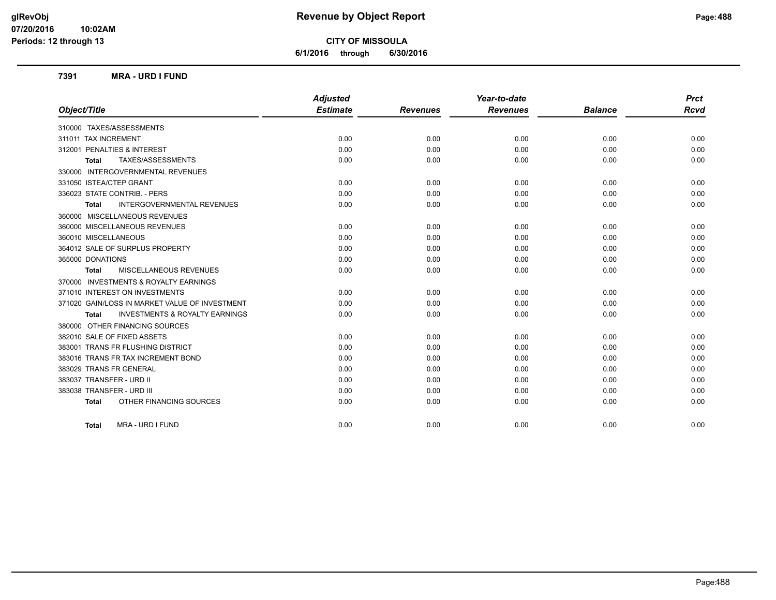**6/1/2016 through 6/30/2016**

#### **7391 MRA - URD I FUND**

|                                                    | <b>Adjusted</b> |                 | Year-to-date    |                | <b>Prct</b> |
|----------------------------------------------------|-----------------|-----------------|-----------------|----------------|-------------|
| Object/Title                                       | <b>Estimate</b> | <b>Revenues</b> | <b>Revenues</b> | <b>Balance</b> | <b>Rcvd</b> |
| 310000 TAXES/ASSESSMENTS                           |                 |                 |                 |                |             |
| 311011 TAX INCREMENT                               | 0.00            | 0.00            | 0.00            | 0.00           | 0.00        |
| 312001 PENALTIES & INTEREST                        | 0.00            | 0.00            | 0.00            | 0.00           | 0.00        |
| <b>TAXES/ASSESSMENTS</b><br><b>Total</b>           | 0.00            | 0.00            | 0.00            | 0.00           | 0.00        |
| 330000 INTERGOVERNMENTAL REVENUES                  |                 |                 |                 |                |             |
| 331050 ISTEA/CTEP GRANT                            | 0.00            | 0.00            | 0.00            | 0.00           | 0.00        |
| 336023 STATE CONTRIB. - PERS                       | 0.00            | 0.00            | 0.00            | 0.00           | 0.00        |
| <b>INTERGOVERNMENTAL REVENUES</b><br>Total         | 0.00            | 0.00            | 0.00            | 0.00           | 0.00        |
| 360000 MISCELLANEOUS REVENUES                      |                 |                 |                 |                |             |
| 360000 MISCELLANEOUS REVENUES                      | 0.00            | 0.00            | 0.00            | 0.00           | 0.00        |
| 360010 MISCELLANEOUS                               | 0.00            | 0.00            | 0.00            | 0.00           | 0.00        |
| 364012 SALE OF SURPLUS PROPERTY                    | 0.00            | 0.00            | 0.00            | 0.00           | 0.00        |
| 365000 DONATIONS                                   | 0.00            | 0.00            | 0.00            | 0.00           | 0.00        |
| MISCELLANEOUS REVENUES<br><b>Total</b>             | 0.00            | 0.00            | 0.00            | 0.00           | 0.00        |
| 370000 INVESTMENTS & ROYALTY EARNINGS              |                 |                 |                 |                |             |
| 371010 INTEREST ON INVESTMENTS                     | 0.00            | 0.00            | 0.00            | 0.00           | 0.00        |
| 371020 GAIN/LOSS IN MARKET VALUE OF INVESTMENT     | 0.00            | 0.00            | 0.00            | 0.00           | 0.00        |
| <b>INVESTMENTS &amp; ROYALTY EARNINGS</b><br>Total | 0.00            | 0.00            | 0.00            | 0.00           | 0.00        |
| 380000 OTHER FINANCING SOURCES                     |                 |                 |                 |                |             |
| 382010 SALE OF FIXED ASSETS                        | 0.00            | 0.00            | 0.00            | 0.00           | 0.00        |
| 383001 TRANS FR FLUSHING DISTRICT                  | 0.00            | 0.00            | 0.00            | 0.00           | 0.00        |
| 383016 TRANS FR TAX INCREMENT BOND                 | 0.00            | 0.00            | 0.00            | 0.00           | 0.00        |
| 383029 TRANS FR GENERAL                            | 0.00            | 0.00            | 0.00            | 0.00           | 0.00        |
| 383037 TRANSFER - URD II                           | 0.00            | 0.00            | 0.00            | 0.00           | 0.00        |
| 383038 TRANSFER - URD III                          | 0.00            | 0.00            | 0.00            | 0.00           | 0.00        |
| OTHER FINANCING SOURCES<br><b>Total</b>            | 0.00            | 0.00            | 0.00            | 0.00           | 0.00        |
| MRA - URD I FUND<br>Total                          | 0.00            | 0.00            | 0.00            | 0.00           | 0.00        |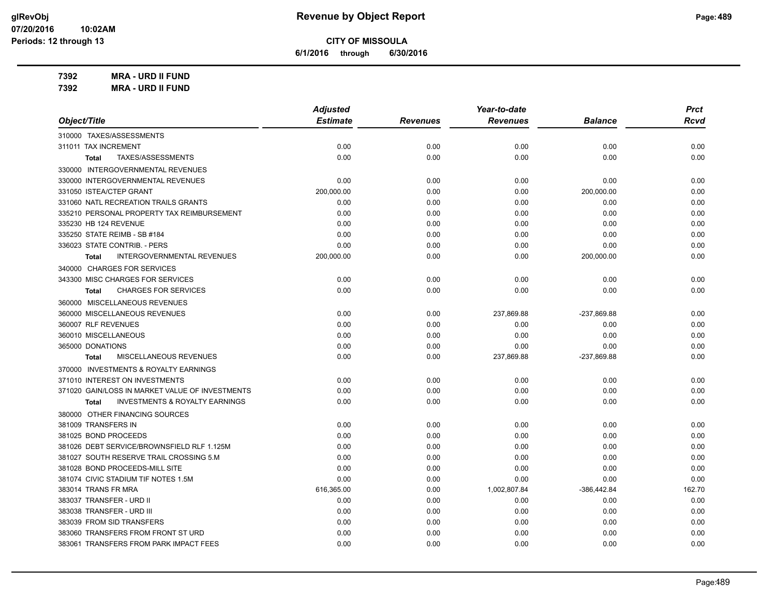**6/1/2016 through 6/30/2016**

**7392 MRA - URD II FUND 7392 MRA - URD II FUND**

|                                                           | <b>Adjusted</b> |                 | Year-to-date    |                | <b>Prct</b> |
|-----------------------------------------------------------|-----------------|-----------------|-----------------|----------------|-------------|
| Object/Title                                              | <b>Estimate</b> | <b>Revenues</b> | <b>Revenues</b> | <b>Balance</b> | <b>Rcvd</b> |
| 310000 TAXES/ASSESSMENTS                                  |                 |                 |                 |                |             |
| 311011 TAX INCREMENT                                      | 0.00            | 0.00            | 0.00            | 0.00           | 0.00        |
| TAXES/ASSESSMENTS<br><b>Total</b>                         | 0.00            | 0.00            | 0.00            | 0.00           | 0.00        |
| 330000 INTERGOVERNMENTAL REVENUES                         |                 |                 |                 |                |             |
| 330000 INTERGOVERNMENTAL REVENUES                         | 0.00            | 0.00            | 0.00            | 0.00           | 0.00        |
| 331050 ISTEA/CTEP GRANT                                   | 200,000.00      | 0.00            | 0.00            | 200,000.00     | 0.00        |
| 331060 NATL RECREATION TRAILS GRANTS                      | 0.00            | 0.00            | 0.00            | 0.00           | 0.00        |
| 335210 PERSONAL PROPERTY TAX REIMBURSEMENT                | 0.00            | 0.00            | 0.00            | 0.00           | 0.00        |
| 335230 HB 124 REVENUE                                     | 0.00            | 0.00            | 0.00            | 0.00           | 0.00        |
| 335250 STATE REIMB - SB #184                              | 0.00            | 0.00            | 0.00            | 0.00           | 0.00        |
| 336023 STATE CONTRIB. - PERS                              | 0.00            | 0.00            | 0.00            | 0.00           | 0.00        |
| <b>INTERGOVERNMENTAL REVENUES</b><br>Total                | 200,000.00      | 0.00            | 0.00            | 200,000.00     | 0.00        |
| 340000 CHARGES FOR SERVICES                               |                 |                 |                 |                |             |
| 343300 MISC CHARGES FOR SERVICES                          | 0.00            | 0.00            | 0.00            | 0.00           | 0.00        |
| <b>CHARGES FOR SERVICES</b><br><b>Total</b>               | 0.00            | 0.00            | 0.00            | 0.00           | 0.00        |
| 360000 MISCELLANEOUS REVENUES                             |                 |                 |                 |                |             |
| 360000 MISCELLANEOUS REVENUES                             | 0.00            | 0.00            | 237,869.88      | -237,869.88    | 0.00        |
| 360007 RLF REVENUES                                       | 0.00            | 0.00            | 0.00            | 0.00           | 0.00        |
| 360010 MISCELLANEOUS                                      | 0.00            | 0.00            | 0.00            | 0.00           | 0.00        |
| 365000 DONATIONS                                          | 0.00            | 0.00            | 0.00            | 0.00           | 0.00        |
| MISCELLANEOUS REVENUES<br><b>Total</b>                    | 0.00            | 0.00            | 237,869.88      | -237,869.88    | 0.00        |
| 370000 INVESTMENTS & ROYALTY EARNINGS                     |                 |                 |                 |                |             |
| 371010 INTEREST ON INVESTMENTS                            | 0.00            | 0.00            | 0.00            | 0.00           | 0.00        |
| 371020 GAIN/LOSS IN MARKET VALUE OF INVESTMENTS           | 0.00            | 0.00            | 0.00            | 0.00           | 0.00        |
| <b>INVESTMENTS &amp; ROYALTY EARNINGS</b><br><b>Total</b> | 0.00            | 0.00            | 0.00            | 0.00           | 0.00        |
| 380000 OTHER FINANCING SOURCES                            |                 |                 |                 |                |             |
| 381009 TRANSFERS IN                                       | 0.00            | 0.00            | 0.00            | 0.00           | 0.00        |
| 381025 BOND PROCEEDS                                      | 0.00            | 0.00            | 0.00            | 0.00           | 0.00        |
| 381026 DEBT SERVICE/BROWNSFIELD RLF 1.125M                | 0.00            | 0.00            | 0.00            | 0.00           | 0.00        |
| 381027 SOUTH RESERVE TRAIL CROSSING 5.M                   | 0.00            | 0.00            | 0.00            | 0.00           | 0.00        |
| 381028 BOND PROCEEDS-MILL SITE                            | 0.00            | 0.00            | 0.00            | 0.00           | 0.00        |
| 381074 CIVIC STADIUM TIF NOTES 1.5M                       | 0.00            | 0.00            | 0.00            | 0.00           | 0.00        |
| 383014 TRANS FR MRA                                       | 616,365.00      | 0.00            | 1,002,807.84    | -386,442.84    | 162.70      |
| 383037 TRANSFER - URD II                                  | 0.00            | 0.00            | 0.00            | 0.00           | 0.00        |
| 383038 TRANSFER - URD III                                 | 0.00            | 0.00            | 0.00            | 0.00           | 0.00        |
| 383039 FROM SID TRANSFERS                                 | 0.00            | 0.00            | 0.00            | 0.00           | 0.00        |
| 383060 TRANSFERS FROM FRONT ST URD                        | 0.00            | 0.00            | 0.00            | 0.00           | 0.00        |
| 383061 TRANSFERS FROM PARK IMPACT FEES                    | 0.00            | 0.00            | 0.00            | 0.00           | 0.00        |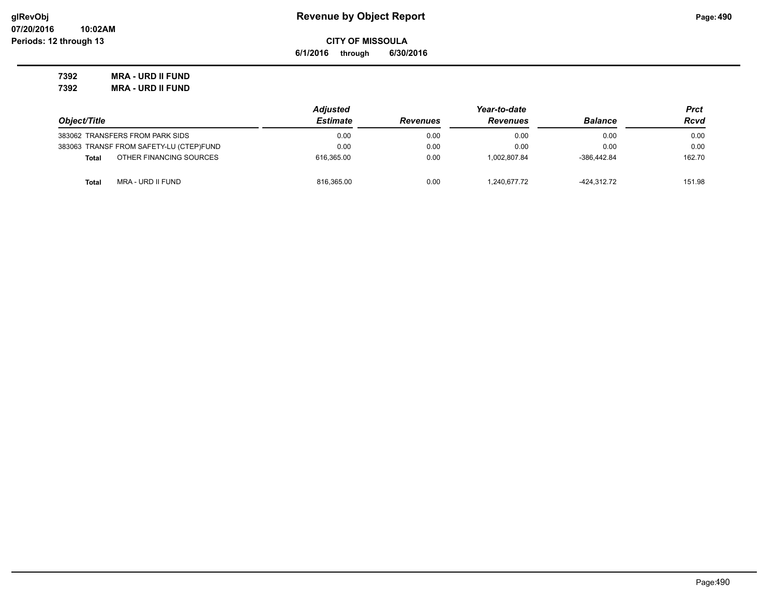**6/1/2016 through 6/30/2016**

**7392 MRA - URD II FUND 7392 MRA - URD II FUND**

|                                         | <b>Adjusted</b> |                 | Prct            |                |             |
|-----------------------------------------|-----------------|-----------------|-----------------|----------------|-------------|
| Object/Title                            | <b>Estimate</b> | <b>Revenues</b> | <b>Revenues</b> | <b>Balance</b> | <b>Rcvd</b> |
| 383062 TRANSFERS FROM PARK SIDS         | 0.00            | 0.00            | 0.00            | 0.00           | 0.00        |
| 383063 TRANSF FROM SAFETY-LU (CTEP)FUND | 0.00            | 0.00            | 0.00            | 0.00           | 0.00        |
| OTHER FINANCING SOURCES<br><b>Total</b> | 616.365.00      | 0.00            | 1.002.807.84    | -386.442.84    | 162.70      |
| MRA - URD II FUND<br><b>Total</b>       | 816,365.00      | 0.00            | 1.240.677.72    | -424.312.72    | 151.98      |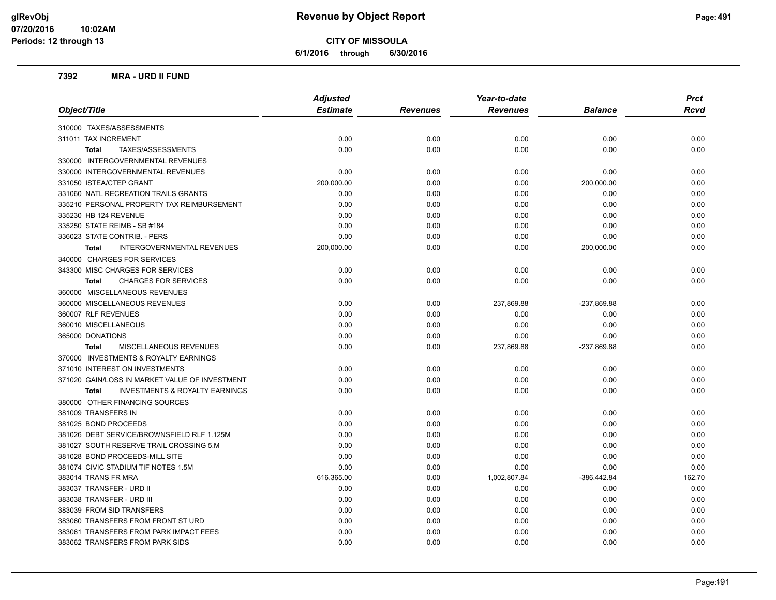**6/1/2016 through 6/30/2016**

#### **7392 MRA - URD II FUND**

| <b>Adjusted</b>                                                         | Year-to-date    |                | <b>Prct</b> |
|-------------------------------------------------------------------------|-----------------|----------------|-------------|
| Object/Title<br><b>Estimate</b><br><b>Revenues</b>                      | <b>Revenues</b> | <b>Balance</b> | <b>Rcvd</b> |
| 310000 TAXES/ASSESSMENTS                                                |                 |                |             |
| 311011 TAX INCREMENT<br>0.00<br>0.00                                    | 0.00            | 0.00           | 0.00        |
| 0.00<br>0.00<br>TAXES/ASSESSMENTS<br><b>Total</b>                       | 0.00            | 0.00           | 0.00        |
| 330000 INTERGOVERNMENTAL REVENUES                                       |                 |                |             |
| 330000 INTERGOVERNMENTAL REVENUES<br>0.00<br>0.00                       | 0.00            | 0.00           | 0.00        |
| 331050 ISTEA/CTEP GRANT<br>0.00<br>200,000.00                           | 0.00            | 200,000.00     | 0.00        |
| 331060 NATL RECREATION TRAILS GRANTS<br>0.00<br>0.00                    | 0.00            | 0.00           | 0.00        |
| 335210 PERSONAL PROPERTY TAX REIMBURSEMENT<br>0.00<br>0.00              | 0.00            | 0.00           | 0.00        |
| 335230 HB 124 REVENUE<br>0.00<br>0.00                                   | 0.00            | 0.00           | 0.00        |
| 335250 STATE REIMB - SB #184<br>0.00<br>0.00                            | 0.00            | 0.00           | 0.00        |
| 336023 STATE CONTRIB. - PERS<br>0.00<br>0.00                            | 0.00            | 0.00           | 0.00        |
| <b>INTERGOVERNMENTAL REVENUES</b><br>200,000.00<br>0.00<br><b>Total</b> | 0.00            | 200,000.00     | 0.00        |
| 340000 CHARGES FOR SERVICES                                             |                 |                |             |
| 343300 MISC CHARGES FOR SERVICES<br>0.00<br>0.00                        | 0.00            | 0.00           | 0.00        |
| 0.00<br>0.00<br><b>CHARGES FOR SERVICES</b><br><b>Total</b>             | 0.00            | 0.00           | 0.00        |
| 360000 MISCELLANEOUS REVENUES                                           |                 |                |             |
| 360000 MISCELLANEOUS REVENUES<br>0.00<br>0.00                           | 237,869.88      | -237,869.88    | 0.00        |
| 360007 RLF REVENUES<br>0.00<br>0.00                                     | 0.00            | 0.00           | 0.00        |
| 360010 MISCELLANEOUS<br>0.00<br>0.00                                    | 0.00            | 0.00           | 0.00        |
| 365000 DONATIONS<br>0.00<br>0.00                                        | 0.00            | 0.00           | 0.00        |
| MISCELLANEOUS REVENUES<br>0.00<br>0.00<br><b>Total</b>                  | 237,869.88      | -237,869.88    | 0.00        |
| 370000 INVESTMENTS & ROYALTY EARNINGS                                   |                 |                |             |
| 371010 INTEREST ON INVESTMENTS<br>0.00<br>0.00                          | 0.00            | 0.00           | 0.00        |
| 371020 GAIN/LOSS IN MARKET VALUE OF INVESTMENT<br>0.00<br>0.00          | 0.00            | 0.00           | 0.00        |
| <b>INVESTMENTS &amp; ROYALTY EARNINGS</b><br>0.00<br>0.00<br>Total      | 0.00            | 0.00           | 0.00        |
| 380000 OTHER FINANCING SOURCES                                          |                 |                |             |
| 381009 TRANSFERS IN<br>0.00<br>0.00                                     | 0.00            | 0.00           | 0.00        |
| 381025 BOND PROCEEDS<br>0.00<br>0.00                                    | 0.00            | 0.00           | 0.00        |
| 381026 DEBT SERVICE/BROWNSFIELD RLF 1.125M<br>0.00<br>0.00              | 0.00            | 0.00           | 0.00        |
| 381027 SOUTH RESERVE TRAIL CROSSING 5.M<br>0.00<br>0.00                 | 0.00            | 0.00           | 0.00        |
| 381028 BOND PROCEEDS-MILL SITE<br>0.00<br>0.00                          | 0.00            | 0.00           | 0.00        |
| 381074 CIVIC STADIUM TIF NOTES 1.5M<br>0.00<br>0.00                     | 0.00            | 0.00           | 0.00        |
| 383014 TRANS FR MRA<br>616,365.00<br>0.00                               | 1,002,807.84    | $-386,442.84$  | 162.70      |
| 383037 TRANSFER - URD II<br>0.00<br>0.00                                | 0.00            | 0.00           | 0.00        |
| 383038 TRANSFER - URD III<br>0.00<br>0.00                               | 0.00            | 0.00           | 0.00        |
| 383039 FROM SID TRANSFERS<br>0.00<br>0.00                               | 0.00            | 0.00           | 0.00        |
| 383060 TRANSFERS FROM FRONT ST URD<br>0.00<br>0.00                      | 0.00            | 0.00           | 0.00        |
| 383061 TRANSFERS FROM PARK IMPACT FEES<br>0.00<br>0.00                  | 0.00            | 0.00           | 0.00        |
| 383062 TRANSFERS FROM PARK SIDS<br>0.00<br>0.00                         | 0.00            | 0.00           | 0.00        |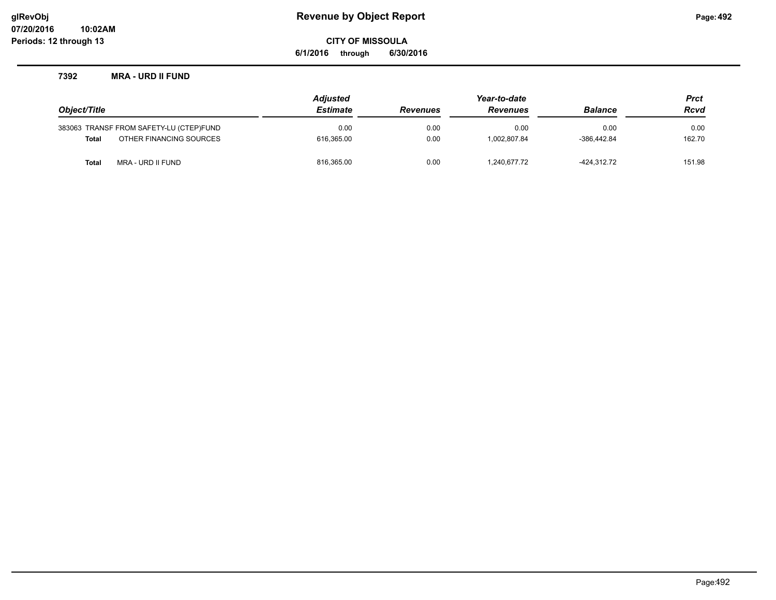**6/1/2016 through 6/30/2016**

#### **7392 MRA - URD II FUND**

|                                         | <b>Adjusted</b> | Year-to-date    |                 |                | <b>Prct</b> |
|-----------------------------------------|-----------------|-----------------|-----------------|----------------|-------------|
| Object/Title                            | <b>Estimate</b> | <b>Revenues</b> | <b>Revenues</b> | <b>Balance</b> | <b>Rcvd</b> |
| 383063 TRANSF FROM SAFETY-LU (CTEP)FUND | 0.00            | 0.00            | 0.00            | 0.00           | 0.00        |
| OTHER FINANCING SOURCES<br><b>Total</b> | 616.365.00      | 0.00            | 1.002.807.84    | $-386.442.84$  | 162.70      |
| MRA - URD II FUND<br><b>Total</b>       | 816,365.00      | 0.00            | 1,240,677.72    | -424.312.72    | 151.98      |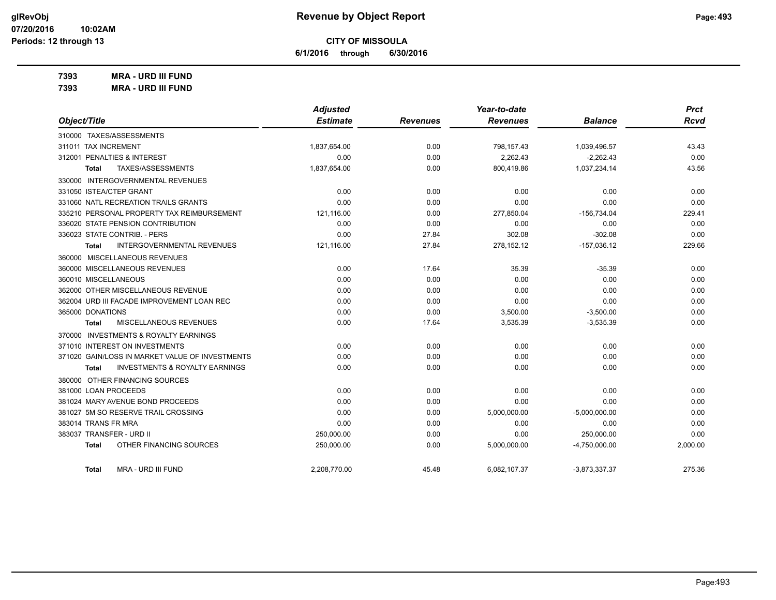**6/1/2016 through 6/30/2016**

**7393 MRA - URD III FUND**

|  | 7393 | <b>MRA - URD III FUND</b> |  |
|--|------|---------------------------|--|
|--|------|---------------------------|--|

|                                                    | <b>Adjusted</b> |                 | Year-to-date    |                 | <b>Prct</b> |
|----------------------------------------------------|-----------------|-----------------|-----------------|-----------------|-------------|
| Object/Title                                       | <b>Estimate</b> | <b>Revenues</b> | <b>Revenues</b> | <b>Balance</b>  | <b>Rcvd</b> |
| 310000 TAXES/ASSESSMENTS                           |                 |                 |                 |                 |             |
| 311011 TAX INCREMENT                               | 1,837,654.00    | 0.00            | 798,157.43      | 1,039,496.57    | 43.43       |
| 312001 PENALTIES & INTEREST                        | 0.00            | 0.00            | 2,262.43        | $-2,262.43$     | 0.00        |
| TAXES/ASSESSMENTS<br><b>Total</b>                  | 1.837.654.00    | 0.00            | 800,419.86      | 1,037,234.14    | 43.56       |
| 330000 INTERGOVERNMENTAL REVENUES                  |                 |                 |                 |                 |             |
| 331050 ISTEA/CTEP GRANT                            | 0.00            | 0.00            | 0.00            | 0.00            | 0.00        |
| 331060 NATL RECREATION TRAILS GRANTS               | 0.00            | 0.00            | 0.00            | 0.00            | 0.00        |
| 335210 PERSONAL PROPERTY TAX REIMBURSEMENT         | 121,116.00      | 0.00            | 277,850.04      | $-156,734.04$   | 229.41      |
| 336020 STATE PENSION CONTRIBUTION                  | 0.00            | 0.00            | 0.00            | 0.00            | 0.00        |
| 336023 STATE CONTRIB. - PERS                       | 0.00            | 27.84           | 302.08          | $-302.08$       | 0.00        |
| <b>INTERGOVERNMENTAL REVENUES</b><br><b>Total</b>  | 121,116.00      | 27.84           | 278,152.12      | $-157,036.12$   | 229.66      |
| 360000 MISCELLANEOUS REVENUES                      |                 |                 |                 |                 |             |
| 360000 MISCELLANEOUS REVENUES                      | 0.00            | 17.64           | 35.39           | $-35.39$        | 0.00        |
| 360010 MISCELLANEOUS                               | 0.00            | 0.00            | 0.00            | 0.00            | 0.00        |
| 362000 OTHER MISCELLANEOUS REVENUE                 | 0.00            | 0.00            | 0.00            | 0.00            | 0.00        |
| 362004 URD III FACADE IMPROVEMENT LOAN REC         | 0.00            | 0.00            | 0.00            | 0.00            | 0.00        |
| 365000 DONATIONS                                   | 0.00            | 0.00            | 3,500.00        | $-3,500.00$     | 0.00        |
| MISCELLANEOUS REVENUES<br><b>Total</b>             | 0.00            | 17.64           | 3,535.39        | $-3,535.39$     | 0.00        |
| 370000 INVESTMENTS & ROYALTY EARNINGS              |                 |                 |                 |                 |             |
| 371010 INTEREST ON INVESTMENTS                     | 0.00            | 0.00            | 0.00            | 0.00            | 0.00        |
| 371020 GAIN/LOSS IN MARKET VALUE OF INVESTMENTS    | 0.00            | 0.00            | 0.00            | 0.00            | 0.00        |
| <b>INVESTMENTS &amp; ROYALTY EARNINGS</b><br>Total | 0.00            | 0.00            | 0.00            | 0.00            | 0.00        |
| 380000 OTHER FINANCING SOURCES                     |                 |                 |                 |                 |             |
| 381000 LOAN PROCEEDS                               | 0.00            | 0.00            | 0.00            | 0.00            | 0.00        |
| 381024 MARY AVENUE BOND PROCEEDS                   | 0.00            | 0.00            | 0.00            | 0.00            | 0.00        |
| 381027 5M SO RESERVE TRAIL CROSSING                | 0.00            | 0.00            | 5,000,000.00    | $-5,000,000.00$ | 0.00        |
| 383014 TRANS FR MRA                                | 0.00            | 0.00            | 0.00            | 0.00            | 0.00        |
| 383037 TRANSFER - URD II                           | 250,000.00      | 0.00            | 0.00            | 250,000.00      | 0.00        |
| OTHER FINANCING SOURCES<br><b>Total</b>            | 250,000.00      | 0.00            | 5,000,000.00    | $-4,750,000.00$ | 2,000.00    |
| MRA - URD III FUND<br><b>Total</b>                 | 2.208.770.00    | 45.48           | 6.082.107.37    | $-3.873.337.37$ | 275.36      |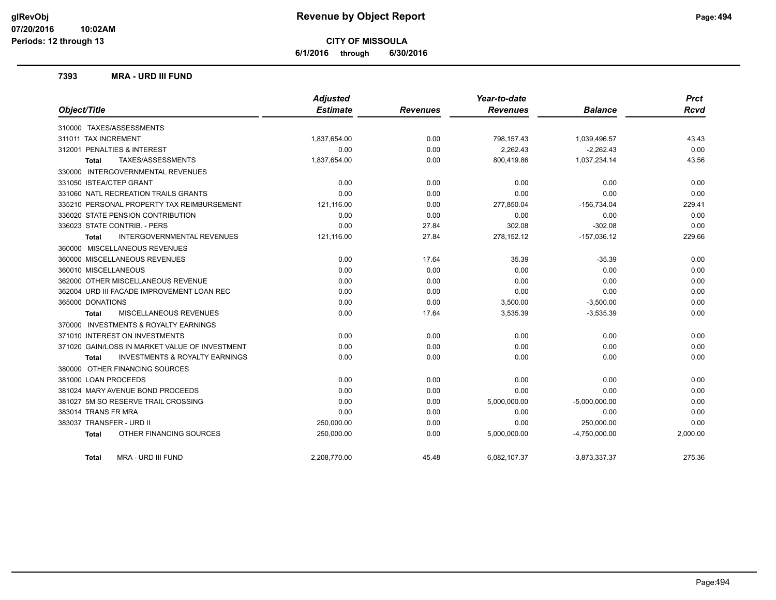**6/1/2016 through 6/30/2016**

#### **7393 MRA - URD III FUND**

|                                                    | <b>Adjusted</b> |                 | Year-to-date    | <b>Prct</b>     |             |
|----------------------------------------------------|-----------------|-----------------|-----------------|-----------------|-------------|
| Object/Title                                       | <b>Estimate</b> | <b>Revenues</b> | <b>Revenues</b> | <b>Balance</b>  | <b>Rcvd</b> |
| 310000 TAXES/ASSESSMENTS                           |                 |                 |                 |                 |             |
| 311011 TAX INCREMENT                               | 1,837,654.00    | 0.00            | 798.157.43      | 1,039,496.57    | 43.43       |
| 312001 PENALTIES & INTEREST                        | 0.00            | 0.00            | 2,262.43        | $-2.262.43$     | 0.00        |
| TAXES/ASSESSMENTS<br>Total                         | 1,837,654.00    | 0.00            | 800,419.86      | 1,037,234.14    | 43.56       |
| 330000 INTERGOVERNMENTAL REVENUES                  |                 |                 |                 |                 |             |
| 331050 ISTEA/CTEP GRANT                            | 0.00            | 0.00            | 0.00            | 0.00            | 0.00        |
| 331060 NATL RECREATION TRAILS GRANTS               | 0.00            | 0.00            | 0.00            | 0.00            | 0.00        |
| 335210 PERSONAL PROPERTY TAX REIMBURSEMENT         | 121,116.00      | 0.00            | 277,850.04      | $-156,734.04$   | 229.41      |
| 336020 STATE PENSION CONTRIBUTION                  | 0.00            | 0.00            | 0.00            | 0.00            | 0.00        |
| 336023 STATE CONTRIB. - PERS                       | 0.00            | 27.84           | 302.08          | $-302.08$       | 0.00        |
| <b>INTERGOVERNMENTAL REVENUES</b><br>Total         | 121,116.00      | 27.84           | 278,152.12      | $-157,036.12$   | 229.66      |
| 360000 MISCELLANEOUS REVENUES                      |                 |                 |                 |                 |             |
| 360000 MISCELLANEOUS REVENUES                      | 0.00            | 17.64           | 35.39           | $-35.39$        | 0.00        |
| 360010 MISCELLANEOUS                               | 0.00            | 0.00            | 0.00            | 0.00            | 0.00        |
| 362000 OTHER MISCELLANEOUS REVENUE                 | 0.00            | 0.00            | 0.00            | 0.00            | 0.00        |
| 362004 URD III FACADE IMPROVEMENT LOAN REC         | 0.00            | 0.00            | 0.00            | 0.00            | 0.00        |
| 365000 DONATIONS                                   | 0.00            | 0.00            | 3,500.00        | $-3,500.00$     | 0.00        |
| MISCELLANEOUS REVENUES<br><b>Total</b>             | 0.00            | 17.64           | 3,535.39        | $-3,535.39$     | 0.00        |
| 370000 INVESTMENTS & ROYALTY EARNINGS              |                 |                 |                 |                 |             |
| 371010 INTEREST ON INVESTMENTS                     | 0.00            | 0.00            | 0.00            | 0.00            | 0.00        |
| 371020 GAIN/LOSS IN MARKET VALUE OF INVESTMENT     | 0.00            | 0.00            | 0.00            | 0.00            | 0.00        |
| <b>INVESTMENTS &amp; ROYALTY EARNINGS</b><br>Total | 0.00            | 0.00            | 0.00            | 0.00            | 0.00        |
| 380000 OTHER FINANCING SOURCES                     |                 |                 |                 |                 |             |
| 381000 LOAN PROCEEDS                               | 0.00            | 0.00            | 0.00            | 0.00            | 0.00        |
| 381024 MARY AVENUE BOND PROCEEDS                   | 0.00            | 0.00            | 0.00            | 0.00            | 0.00        |
| 381027 5M SO RESERVE TRAIL CROSSING                | 0.00            | 0.00            | 5,000,000.00    | $-5,000,000.00$ | 0.00        |
| 383014 TRANS FR MRA                                | 0.00            | 0.00            | 0.00            | 0.00            | 0.00        |
| 383037 TRANSFER - URD II                           | 250,000.00      | 0.00            | 0.00            | 250,000.00      | 0.00        |
| OTHER FINANCING SOURCES<br><b>Total</b>            | 250,000.00      | 0.00            | 5,000,000.00    | $-4,750,000.00$ | 2,000.00    |
| MRA - URD III FUND<br><b>Total</b>                 | 2.208.770.00    | 45.48           | 6.082.107.37    | $-3.873.337.37$ | 275.36      |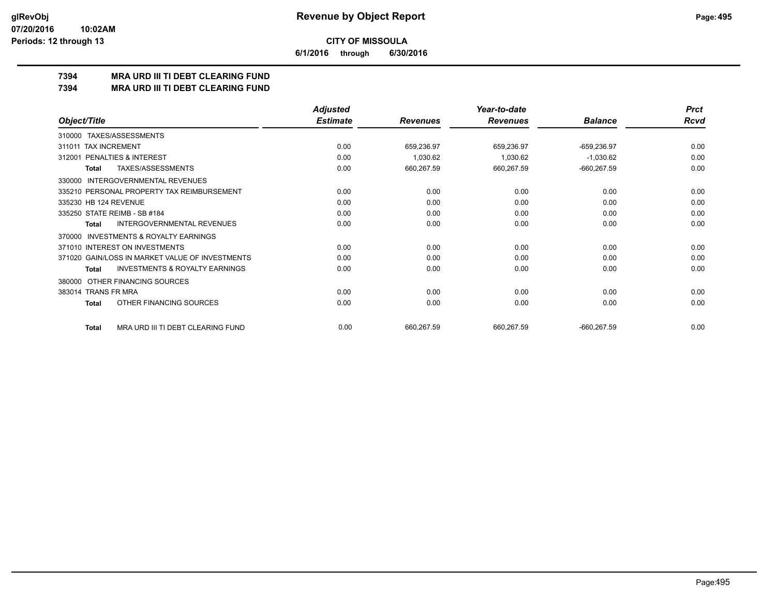**6/1/2016 through 6/30/2016**

## **7394 MRA URD III TI DEBT CLEARING FUND**

**7394 MRA URD III TI DEBT CLEARING FUND**

|                                                           | <b>Adjusted</b> |                 | Year-to-date    |                | <b>Prct</b> |
|-----------------------------------------------------------|-----------------|-----------------|-----------------|----------------|-------------|
| Object/Title                                              | <b>Estimate</b> | <b>Revenues</b> | <b>Revenues</b> | <b>Balance</b> | Rcvd        |
| TAXES/ASSESSMENTS<br>310000                               |                 |                 |                 |                |             |
| <b>TAX INCREMENT</b><br>311011                            | 0.00            | 659,236.97      | 659,236.97      | $-659,236.97$  | 0.00        |
| 312001 PENALTIES & INTEREST                               | 0.00            | 1,030.62        | 1,030.62        | $-1,030.62$    | 0.00        |
| TAXES/ASSESSMENTS<br><b>Total</b>                         | 0.00            | 660,267.59      | 660,267.59      | $-660,267.59$  | 0.00        |
| <b>INTERGOVERNMENTAL REVENUES</b><br>330000               |                 |                 |                 |                |             |
| 335210 PERSONAL PROPERTY TAX REIMBURSEMENT                | 0.00            | 0.00            | 0.00            | 0.00           | 0.00        |
| 335230 HB 124 REVENUE                                     | 0.00            | 0.00            | 0.00            | 0.00           | 0.00        |
| 335250 STATE REIMB - SB #184                              | 0.00            | 0.00            | 0.00            | 0.00           | 0.00        |
| <b>INTERGOVERNMENTAL REVENUES</b><br>Total                | 0.00            | 0.00            | 0.00            | 0.00           | 0.00        |
| <b>INVESTMENTS &amp; ROYALTY EARNINGS</b><br>370000       |                 |                 |                 |                |             |
| 371010 INTEREST ON INVESTMENTS                            | 0.00            | 0.00            | 0.00            | 0.00           | 0.00        |
| 371020 GAIN/LOSS IN MARKET VALUE OF INVESTMENTS           | 0.00            | 0.00            | 0.00            | 0.00           | 0.00        |
| <b>INVESTMENTS &amp; ROYALTY EARNINGS</b><br><b>Total</b> | 0.00            | 0.00            | 0.00            | 0.00           | 0.00        |
| OTHER FINANCING SOURCES<br>380000                         |                 |                 |                 |                |             |
| 383014 TRANS FR MRA                                       | 0.00            | 0.00            | 0.00            | 0.00           | 0.00        |
| OTHER FINANCING SOURCES<br><b>Total</b>                   | 0.00            | 0.00            | 0.00            | 0.00           | 0.00        |
| MRA URD III TI DEBT CLEARING FUND<br><b>Total</b>         | 0.00            | 660,267.59      | 660,267.59      | $-660,267.59$  | 0.00        |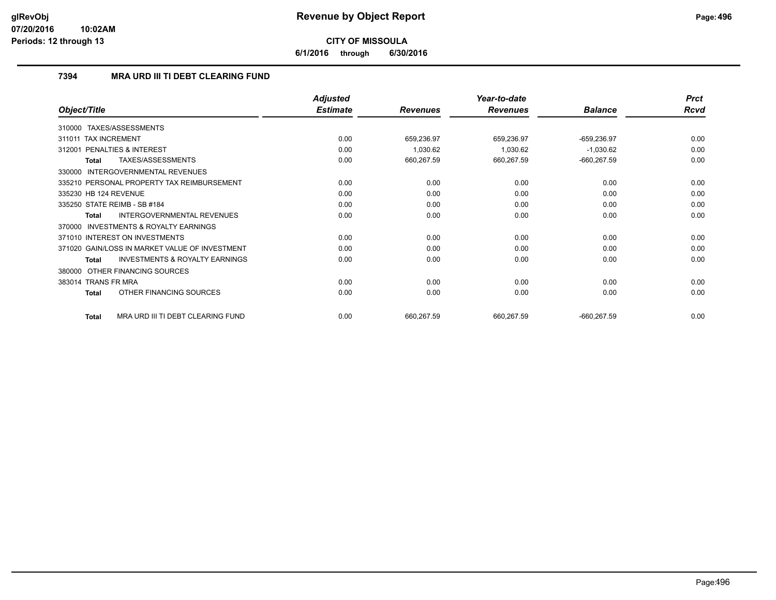**6/1/2016 through 6/30/2016**

## **7394 MRA URD III TI DEBT CLEARING FUND**

|                                                           | <b>Adjusted</b> |                 | Year-to-date    |                | <b>Prct</b> |
|-----------------------------------------------------------|-----------------|-----------------|-----------------|----------------|-------------|
| Object/Title                                              | <b>Estimate</b> | <b>Revenues</b> | <b>Revenues</b> | <b>Balance</b> | <b>Rcvd</b> |
| 310000 TAXES/ASSESSMENTS                                  |                 |                 |                 |                |             |
| 311011 TAX INCREMENT                                      | 0.00            | 659,236.97      | 659,236.97      | $-659,236.97$  | 0.00        |
| 312001 PENALTIES & INTEREST                               | 0.00            | 1,030.62        | 1,030.62        | $-1,030.62$    | 0.00        |
| TAXES/ASSESSMENTS<br>Total                                | 0.00            | 660,267.59      | 660,267.59      | $-660,267.59$  | 0.00        |
| 330000 INTERGOVERNMENTAL REVENUES                         |                 |                 |                 |                |             |
| 335210 PERSONAL PROPERTY TAX REIMBURSEMENT                | 0.00            | 0.00            | 0.00            | 0.00           | 0.00        |
| 335230 HB 124 REVENUE                                     | 0.00            | 0.00            | 0.00            | 0.00           | 0.00        |
| 335250 STATE REIMB - SB #184                              | 0.00            | 0.00            | 0.00            | 0.00           | 0.00        |
| <b>INTERGOVERNMENTAL REVENUES</b><br>Total                | 0.00            | 0.00            | 0.00            | 0.00           | 0.00        |
| 370000 INVESTMENTS & ROYALTY EARNINGS                     |                 |                 |                 |                |             |
| 371010 INTEREST ON INVESTMENTS                            | 0.00            | 0.00            | 0.00            | 0.00           | 0.00        |
| 371020 GAIN/LOSS IN MARKET VALUE OF INVESTMENT            | 0.00            | 0.00            | 0.00            | 0.00           | 0.00        |
| <b>INVESTMENTS &amp; ROYALTY EARNINGS</b><br><b>Total</b> | 0.00            | 0.00            | 0.00            | 0.00           | 0.00        |
| 380000 OTHER FINANCING SOURCES                            |                 |                 |                 |                |             |
| 383014 TRANS FR MRA                                       | 0.00            | 0.00            | 0.00            | 0.00           | 0.00        |
| OTHER FINANCING SOURCES<br><b>Total</b>                   | 0.00            | 0.00            | 0.00            | 0.00           | 0.00        |
| MRA URD III TI DEBT CLEARING FUND<br><b>Total</b>         | 0.00            | 660,267.59      | 660,267.59      | $-660, 267.59$ | 0.00        |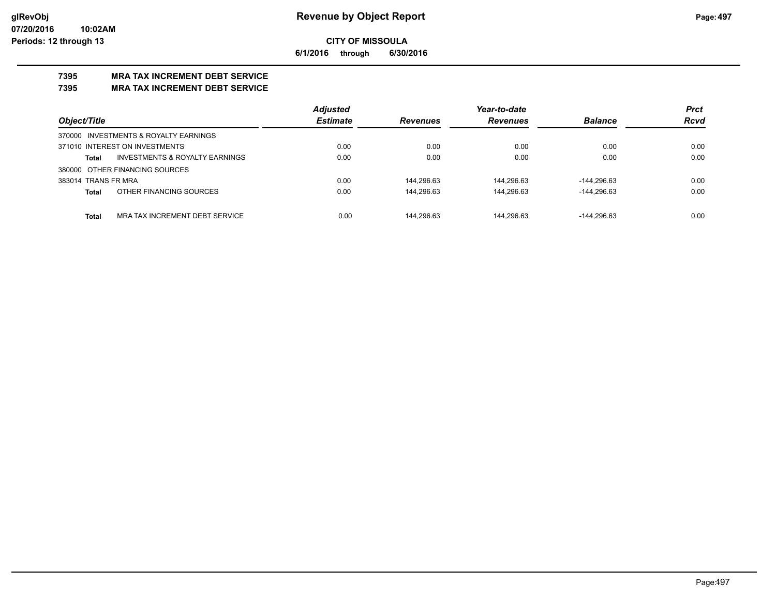**6/1/2016 through 6/30/2016**

## **7395 MRA TAX INCREMENT DEBT SERVICE**

#### **7395 MRA TAX INCREMENT DEBT SERVICE**

|                                                | <b>Adjusted</b> | Year-to-date    |                 |                | <b>Prct</b> |
|------------------------------------------------|-----------------|-----------------|-----------------|----------------|-------------|
| Object/Title                                   | <b>Estimate</b> | <b>Revenues</b> | <b>Revenues</b> | <b>Balance</b> | <b>Rcvd</b> |
| 370000 INVESTMENTS & ROYALTY EARNINGS          |                 |                 |                 |                |             |
| 371010 INTEREST ON INVESTMENTS                 | 0.00            | 0.00            | 0.00            | 0.00           | 0.00        |
| INVESTMENTS & ROYALTY EARNINGS<br>Total        | 0.00            | 0.00            | 0.00            | 0.00           | 0.00        |
| 380000 OTHER FINANCING SOURCES                 |                 |                 |                 |                |             |
| 383014 TRANS FR MRA                            | 0.00            | 144.296.63      | 144.296.63      | -144.296.63    | 0.00        |
| OTHER FINANCING SOURCES<br><b>Total</b>        | 0.00            | 144.296.63      | 144,296.63      | $-144.296.63$  | 0.00        |
| MRA TAX INCREMENT DEBT SERVICE<br><b>Total</b> | 0.00            | 144.296.63      | 144.296.63      | $-144.296.63$  | 0.00        |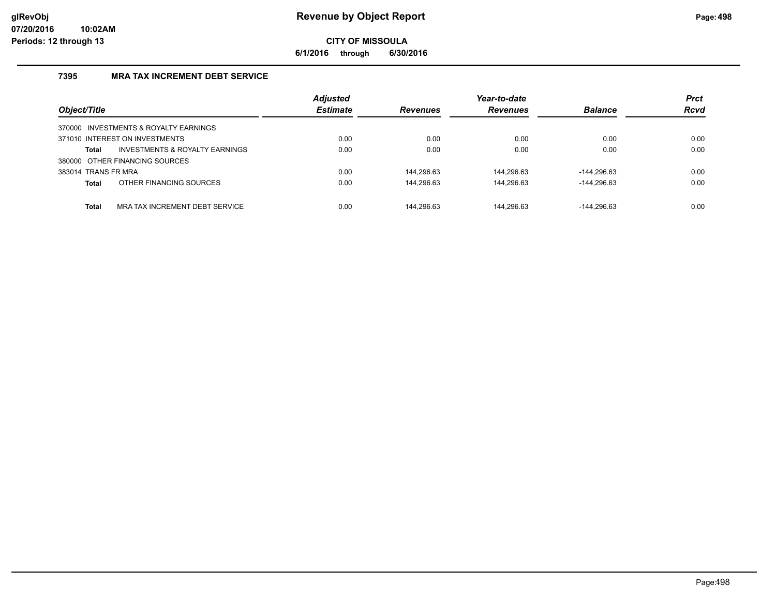**6/1/2016 through 6/30/2016**

## **7395 MRA TAX INCREMENT DEBT SERVICE**

| Object/Title                                       | <b>Adjusted</b><br><b>Estimate</b> | <b>Revenues</b> | Year-to-date<br><b>Revenues</b> | <b>Balance</b> | <b>Prct</b><br><b>Rcvd</b> |
|----------------------------------------------------|------------------------------------|-----------------|---------------------------------|----------------|----------------------------|
| 370000 INVESTMENTS & ROYALTY EARNINGS              |                                    |                 |                                 |                |                            |
| 371010 INTEREST ON INVESTMENTS                     | 0.00                               | 0.00            | 0.00                            | 0.00           | 0.00                       |
| <b>INVESTMENTS &amp; ROYALTY EARNINGS</b><br>Total | 0.00                               | 0.00            | 0.00                            | 0.00           | 0.00                       |
| 380000 OTHER FINANCING SOURCES                     |                                    |                 |                                 |                |                            |
| 383014 TRANS FR MRA                                | 0.00                               | 144.296.63      | 144.296.63                      | $-144.296.63$  | 0.00                       |
| OTHER FINANCING SOURCES<br><b>Total</b>            | 0.00                               | 144,296.63      | 144,296.63                      | $-144,296.63$  | 0.00                       |
|                                                    |                                    |                 |                                 |                |                            |
| MRA TAX INCREMENT DEBT SERVICE<br><b>Total</b>     | 0.00                               | 144.296.63      | 144.296.63                      | $-144.296.63$  | 0.00                       |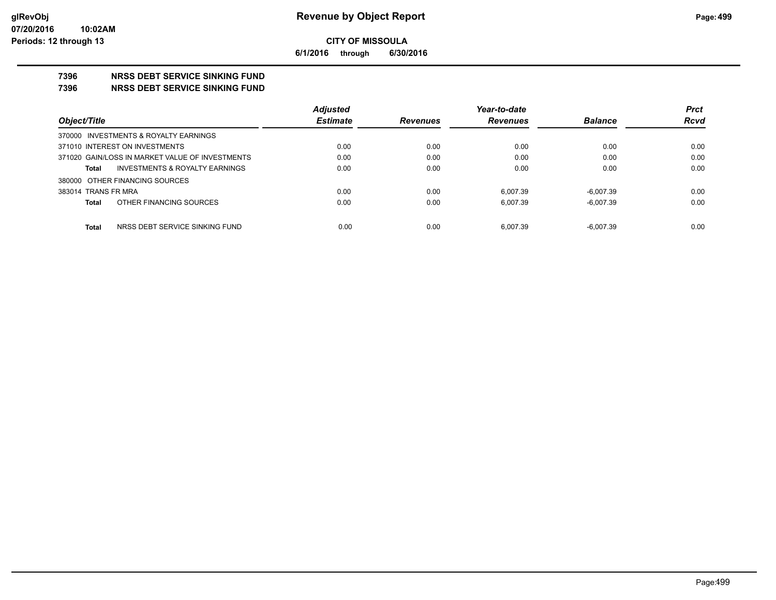**6/1/2016 through 6/30/2016**

## **7396 NRSS DEBT SERVICE SINKING FUND**

**7396 NRSS DEBT SERVICE SINKING FUND**

|                                                 | Adjusted        |                 | Year-to-date    |                | <b>Prct</b> |
|-------------------------------------------------|-----------------|-----------------|-----------------|----------------|-------------|
| Object/Title                                    | <b>Estimate</b> | <b>Revenues</b> | <b>Revenues</b> | <b>Balance</b> | <b>Rcvd</b> |
| 370000 INVESTMENTS & ROYALTY EARNINGS           |                 |                 |                 |                |             |
| 371010 INTEREST ON INVESTMENTS                  | 0.00            | 0.00            | 0.00            | 0.00           | 0.00        |
| 371020 GAIN/LOSS IN MARKET VALUE OF INVESTMENTS | 0.00            | 0.00            | 0.00            | 0.00           | 0.00        |
| INVESTMENTS & ROYALTY EARNINGS<br>Total         | 0.00            | 0.00            | 0.00            | 0.00           | 0.00        |
| 380000 OTHER FINANCING SOURCES                  |                 |                 |                 |                |             |
| 383014 TRANS FR MRA                             | 0.00            | 0.00            | 6.007.39        | $-6.007.39$    | 0.00        |
| OTHER FINANCING SOURCES<br><b>Total</b>         | 0.00            | 0.00            | 6.007.39        | $-6.007.39$    | 0.00        |
|                                                 |                 |                 |                 |                |             |
| <b>Total</b><br>NRSS DEBT SERVICE SINKING FUND  | 0.00            | 0.00            | 6.007.39        | $-6.007.39$    | 0.00        |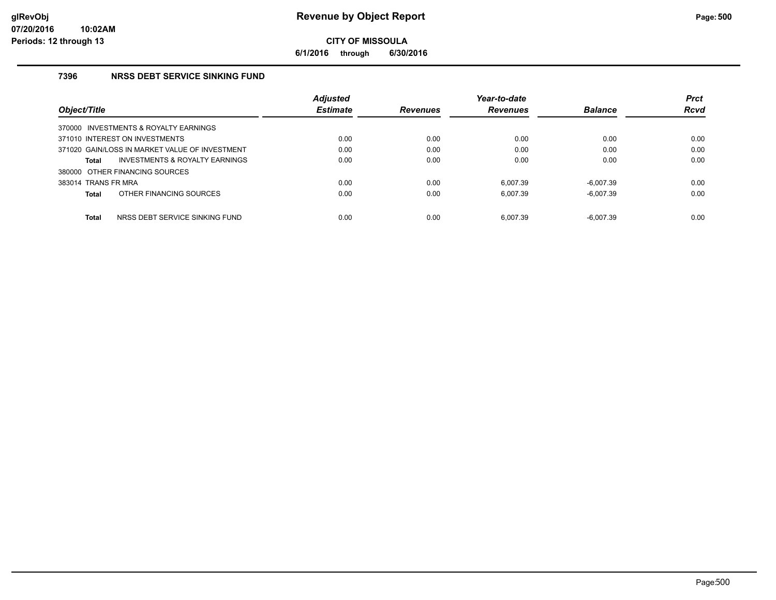**6/1/2016 through 6/30/2016**

## **7396 NRSS DEBT SERVICE SINKING FUND**

|                     |                                                | <b>Adjusted</b> |                 | Year-to-date    |                | <b>Prct</b> |
|---------------------|------------------------------------------------|-----------------|-----------------|-----------------|----------------|-------------|
| Object/Title        |                                                | <b>Estimate</b> | <b>Revenues</b> | <b>Revenues</b> | <b>Balance</b> | <b>Rcvd</b> |
|                     | 370000 INVESTMENTS & ROYALTY EARNINGS          |                 |                 |                 |                |             |
|                     | 371010 INTEREST ON INVESTMENTS                 | 0.00            | 0.00            | 0.00            | 0.00           | 0.00        |
|                     | 371020 GAIN/LOSS IN MARKET VALUE OF INVESTMENT | 0.00            | 0.00            | 0.00            | 0.00           | 0.00        |
| Total               | INVESTMENTS & ROYALTY EARNINGS                 | 0.00            | 0.00            | 0.00            | 0.00           | 0.00        |
|                     | 380000 OTHER FINANCING SOURCES                 |                 |                 |                 |                |             |
| 383014 TRANS FR MRA |                                                | 0.00            | 0.00            | 6.007.39        | $-6.007.39$    | 0.00        |
| <b>Total</b>        | OTHER FINANCING SOURCES                        | 0.00            | 0.00            | 6.007.39        | $-6.007.39$    | 0.00        |
| <b>Total</b>        | NRSS DEBT SERVICE SINKING FUND                 | 0.00            | 0.00            | 6.007.39        | $-6.007.39$    | 0.00        |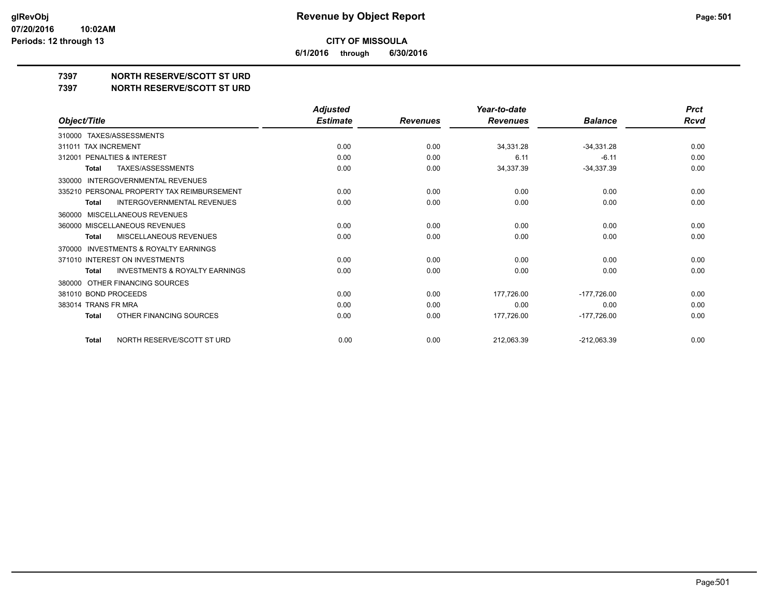**6/1/2016 through 6/30/2016**

**7397 NORTH RESERVE/SCOTT ST URD**

**7397 NORTH RESERVE/SCOTT ST URD**

|                                                           | <b>Adjusted</b> |                 | Year-to-date    |                | <b>Prct</b> |
|-----------------------------------------------------------|-----------------|-----------------|-----------------|----------------|-------------|
| Object/Title                                              | <b>Estimate</b> | <b>Revenues</b> | <b>Revenues</b> | <b>Balance</b> | <b>Rcvd</b> |
| <b>TAXES/ASSESSMENTS</b><br>310000                        |                 |                 |                 |                |             |
| 311011 TAX INCREMENT                                      | 0.00            | 0.00            | 34,331.28       | $-34,331.28$   | 0.00        |
| 312001 PENALTIES & INTEREST                               | 0.00            | 0.00            | 6.11            | $-6.11$        | 0.00        |
| <b>TAXES/ASSESSMENTS</b><br><b>Total</b>                  | 0.00            | 0.00            | 34,337.39       | $-34,337.39$   | 0.00        |
| <b>INTERGOVERNMENTAL REVENUES</b><br>330000               |                 |                 |                 |                |             |
| 335210 PERSONAL PROPERTY TAX REIMBURSEMENT                | 0.00            | 0.00            | 0.00            | 0.00           | 0.00        |
| <b>INTERGOVERNMENTAL REVENUES</b><br><b>Total</b>         | 0.00            | 0.00            | 0.00            | 0.00           | 0.00        |
| MISCELLANEOUS REVENUES<br>360000                          |                 |                 |                 |                |             |
| 360000 MISCELLANEOUS REVENUES                             | 0.00            | 0.00            | 0.00            | 0.00           | 0.00        |
| MISCELLANEOUS REVENUES<br><b>Total</b>                    | 0.00            | 0.00            | 0.00            | 0.00           | 0.00        |
| <b>INVESTMENTS &amp; ROYALTY EARNINGS</b><br>370000       |                 |                 |                 |                |             |
| 371010 INTEREST ON INVESTMENTS                            | 0.00            | 0.00            | 0.00            | 0.00           | 0.00        |
| <b>INVESTMENTS &amp; ROYALTY EARNINGS</b><br><b>Total</b> | 0.00            | 0.00            | 0.00            | 0.00           | 0.00        |
| OTHER FINANCING SOURCES<br>380000                         |                 |                 |                 |                |             |
| 381010 BOND PROCEEDS                                      | 0.00            | 0.00            | 177,726.00      | $-177,726.00$  | 0.00        |
| 383014 TRANS FR MRA                                       | 0.00            | 0.00            | 0.00            | 0.00           | 0.00        |
| OTHER FINANCING SOURCES<br><b>Total</b>                   | 0.00            | 0.00            | 177,726.00      | $-177,726.00$  | 0.00        |
| NORTH RESERVE/SCOTT ST URD<br><b>Total</b>                | 0.00            | 0.00            | 212,063.39      | $-212,063.39$  | 0.00        |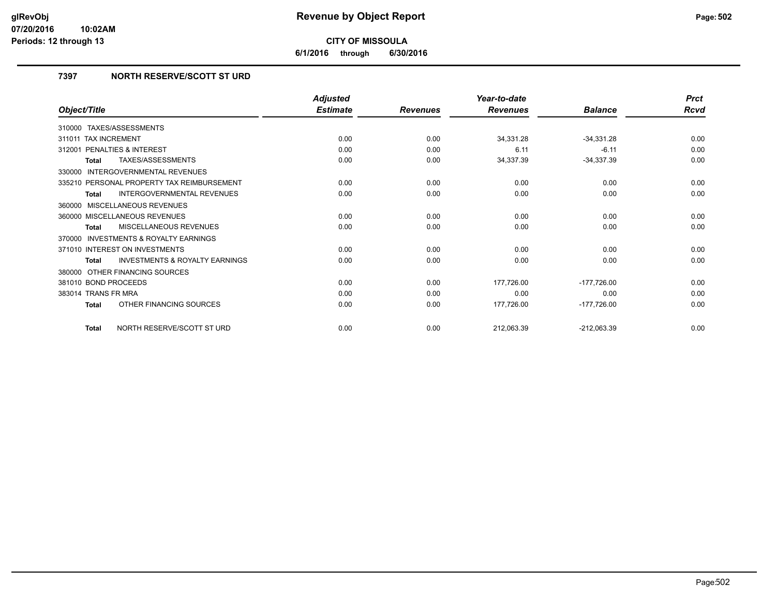**6/1/2016 through 6/30/2016**

## **7397 NORTH RESERVE/SCOTT ST URD**

|                                                           | <b>Adjusted</b> |                 | Year-to-date    |                | <b>Prct</b> |
|-----------------------------------------------------------|-----------------|-----------------|-----------------|----------------|-------------|
| Object/Title                                              | <b>Estimate</b> | <b>Revenues</b> | <b>Revenues</b> | <b>Balance</b> | Rcvd        |
| 310000 TAXES/ASSESSMENTS                                  |                 |                 |                 |                |             |
| 311011 TAX INCREMENT                                      | 0.00            | 0.00            | 34,331.28       | $-34,331.28$   | 0.00        |
| PENALTIES & INTEREST<br>312001                            | 0.00            | 0.00            | 6.11            | $-6.11$        | 0.00        |
| TAXES/ASSESSMENTS<br><b>Total</b>                         | 0.00            | 0.00            | 34,337.39       | $-34,337.39$   | 0.00        |
| <b>INTERGOVERNMENTAL REVENUES</b><br>330000               |                 |                 |                 |                |             |
| 335210 PERSONAL PROPERTY TAX REIMBURSEMENT                | 0.00            | 0.00            | 0.00            | 0.00           | 0.00        |
| <b>INTERGOVERNMENTAL REVENUES</b><br><b>Total</b>         | 0.00            | 0.00            | 0.00            | 0.00           | 0.00        |
| 360000 MISCELLANEOUS REVENUES                             |                 |                 |                 |                |             |
| 360000 MISCELLANEOUS REVENUES                             | 0.00            | 0.00            | 0.00            | 0.00           | 0.00        |
| MISCELLANEOUS REVENUES<br><b>Total</b>                    | 0.00            | 0.00            | 0.00            | 0.00           | 0.00        |
| 370000 INVESTMENTS & ROYALTY EARNINGS                     |                 |                 |                 |                |             |
| 371010 INTEREST ON INVESTMENTS                            | 0.00            | 0.00            | 0.00            | 0.00           | 0.00        |
| <b>INVESTMENTS &amp; ROYALTY EARNINGS</b><br><b>Total</b> | 0.00            | 0.00            | 0.00            | 0.00           | 0.00        |
| 380000 OTHER FINANCING SOURCES                            |                 |                 |                 |                |             |
| 381010 BOND PROCEEDS                                      | 0.00            | 0.00            | 177,726.00      | $-177,726.00$  | 0.00        |
| 383014 TRANS FR MRA                                       | 0.00            | 0.00            | 0.00            | 0.00           | 0.00        |
| OTHER FINANCING SOURCES<br><b>Total</b>                   | 0.00            | 0.00            | 177,726.00      | $-177,726.00$  | 0.00        |
| NORTH RESERVE/SCOTT ST URD<br><b>Total</b>                | 0.00            | 0.00            | 212,063.39      | $-212,063.39$  | 0.00        |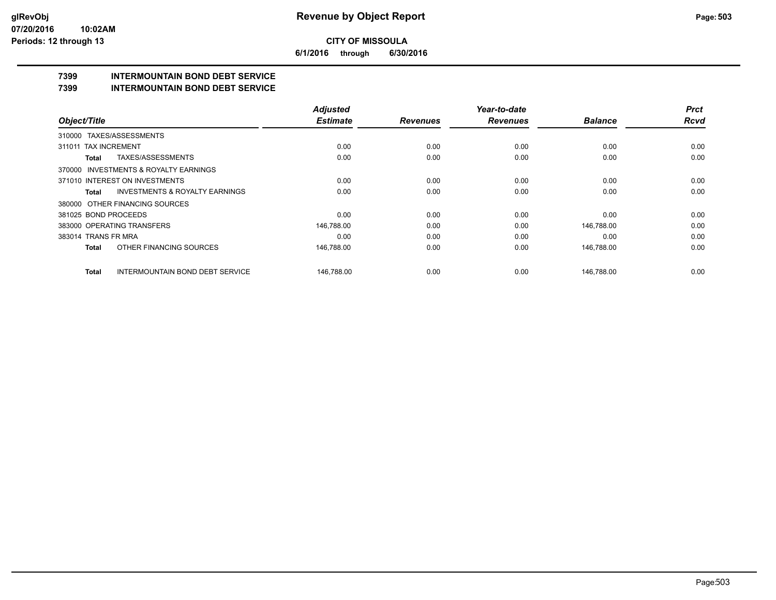**6/1/2016 through 6/30/2016**

## **7399 INTERMOUNTAIN BOND DEBT SERVICE**

**7399 INTERMOUNTAIN BOND DEBT SERVICE**

|                      |                                           | <b>Adjusted</b> |                 | Year-to-date   |             | <b>Prct</b> |
|----------------------|-------------------------------------------|-----------------|-----------------|----------------|-------------|-------------|
| Object/Title         | <b>Estimate</b>                           | <b>Revenues</b> | <b>Revenues</b> | <b>Balance</b> | <b>Rcvd</b> |             |
|                      | 310000 TAXES/ASSESSMENTS                  |                 |                 |                |             |             |
| 311011               | <b>TAX INCREMENT</b>                      | 0.00            | 0.00            | 0.00           | 0.00        | 0.00        |
| Total                | TAXES/ASSESSMENTS                         | 0.00            | 0.00            | 0.00           | 0.00        | 0.00        |
|                      | 370000 INVESTMENTS & ROYALTY EARNINGS     |                 |                 |                |             |             |
|                      | 371010 INTEREST ON INVESTMENTS            | 0.00            | 0.00            | 0.00           | 0.00        | 0.00        |
| Total                | <b>INVESTMENTS &amp; ROYALTY EARNINGS</b> | 0.00            | 0.00            | 0.00           | 0.00        | 0.00        |
|                      | 380000 OTHER FINANCING SOURCES            |                 |                 |                |             |             |
| 381025 BOND PROCEEDS |                                           | 0.00            | 0.00            | 0.00           | 0.00        | 0.00        |
|                      | 383000 OPERATING TRANSFERS                | 146,788.00      | 0.00            | 0.00           | 146,788.00  | 0.00        |
| 383014 TRANS FR MRA  |                                           | 0.00            | 0.00            | 0.00           | 0.00        | 0.00        |
| <b>Total</b>         | OTHER FINANCING SOURCES                   | 146,788.00      | 0.00            | 0.00           | 146,788.00  | 0.00        |
| Total                | <b>INTERMOUNTAIN BOND DEBT SERVICE</b>    | 146.788.00      | 0.00            | 0.00           | 146.788.00  | 0.00        |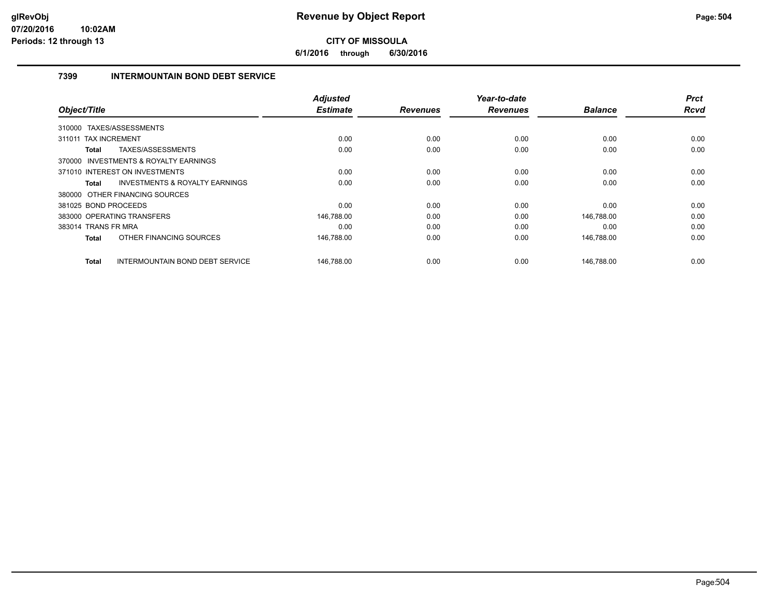**6/1/2016 through 6/30/2016**

## **7399 INTERMOUNTAIN BOND DEBT SERVICE**

|                                                        | <b>Adjusted</b> |                 | Year-to-date    |                | <b>Prct</b> |
|--------------------------------------------------------|-----------------|-----------------|-----------------|----------------|-------------|
| Object/Title                                           | <b>Estimate</b> | <b>Revenues</b> | <b>Revenues</b> | <b>Balance</b> | <b>Rcvd</b> |
| 310000 TAXES/ASSESSMENTS                               |                 |                 |                 |                |             |
| 311011 TAX INCREMENT                                   | 0.00            | 0.00            | 0.00            | 0.00           | 0.00        |
| TAXES/ASSESSMENTS<br><b>Total</b>                      | 0.00            | 0.00            | 0.00            | 0.00           | 0.00        |
| 370000 INVESTMENTS & ROYALTY EARNINGS                  |                 |                 |                 |                |             |
| 371010 INTEREST ON INVESTMENTS                         | 0.00            | 0.00            | 0.00            | 0.00           | 0.00        |
| <b>INVESTMENTS &amp; ROYALTY EARNINGS</b><br>Total     | 0.00            | 0.00            | 0.00            | 0.00           | 0.00        |
| 380000 OTHER FINANCING SOURCES                         |                 |                 |                 |                |             |
| 381025 BOND PROCEEDS                                   | 0.00            | 0.00            | 0.00            | 0.00           | 0.00        |
| 383000 OPERATING TRANSFERS                             | 146,788.00      | 0.00            | 0.00            | 146,788.00     | 0.00        |
| 383014 TRANS FR MRA                                    | 0.00            | 0.00            | 0.00            | 0.00           | 0.00        |
| OTHER FINANCING SOURCES<br><b>Total</b>                | 146,788.00      | 0.00            | 0.00            | 146,788.00     | 0.00        |
| <b>Total</b><br><b>INTERMOUNTAIN BOND DEBT SERVICE</b> | 146,788.00      | 0.00            | 0.00            | 146,788.00     | 0.00        |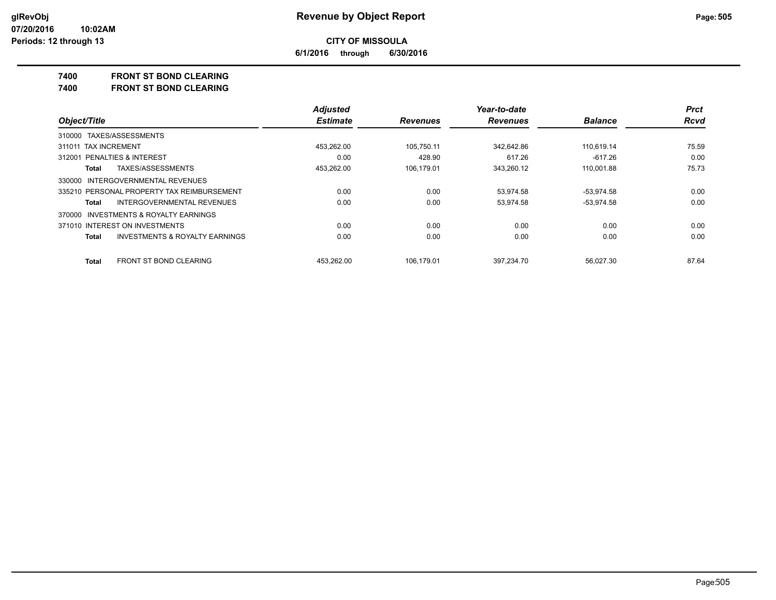**6/1/2016 through 6/30/2016**

#### **7400 FRONT ST BOND CLEARING**

**7400 FRONT ST BOND CLEARING**

|                                                    | <b>Adjusted</b> |                 | Year-to-date    |                | <b>Prct</b> |
|----------------------------------------------------|-----------------|-----------------|-----------------|----------------|-------------|
| Object/Title                                       | <b>Estimate</b> | <b>Revenues</b> | <b>Revenues</b> | <b>Balance</b> | <b>Rcvd</b> |
| 310000 TAXES/ASSESSMENTS                           |                 |                 |                 |                |             |
| 311011 TAX INCREMENT                               | 453.262.00      | 105.750.11      | 342.642.86      | 110.619.14     | 75.59       |
| 312001 PENALTIES & INTEREST                        | 0.00            | 428.90          | 617.26          | -617.26        | 0.00        |
| TAXES/ASSESSMENTS<br>Total                         | 453,262.00      | 106,179.01      | 343,260.12      | 110,001.88     | 75.73       |
| 330000 INTERGOVERNMENTAL REVENUES                  |                 |                 |                 |                |             |
| 335210 PERSONAL PROPERTY TAX REIMBURSEMENT         | 0.00            | 0.00            | 53.974.58       | $-53.974.58$   | 0.00        |
| INTERGOVERNMENTAL REVENUES<br>Total                | 0.00            | 0.00            | 53,974.58       | $-53,974.58$   | 0.00        |
| 370000 INVESTMENTS & ROYALTY EARNINGS              |                 |                 |                 |                |             |
| 371010 INTEREST ON INVESTMENTS                     | 0.00            | 0.00            | 0.00            | 0.00           | 0.00        |
| <b>INVESTMENTS &amp; ROYALTY EARNINGS</b><br>Total | 0.00            | 0.00            | 0.00            | 0.00           | 0.00        |
| FRONT ST BOND CLEARING<br>Total                    | 453.262.00      | 106.179.01      | 397.234.70      | 56.027.30      | 87.64       |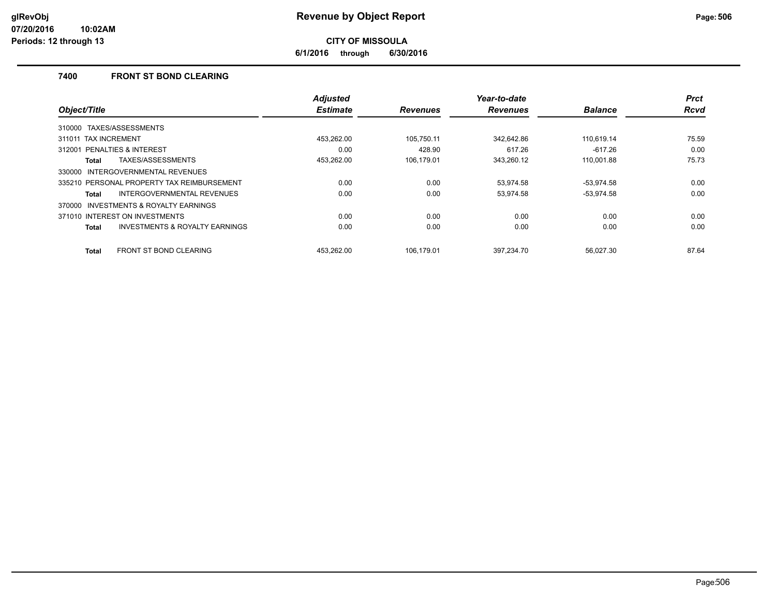**6/1/2016 through 6/30/2016**

#### **7400 FRONT ST BOND CLEARING**

|                                               | <b>Adjusted</b> |                 | Year-to-date    |                | <b>Prct</b> |
|-----------------------------------------------|-----------------|-----------------|-----------------|----------------|-------------|
| Object/Title                                  | <b>Estimate</b> | <b>Revenues</b> | <b>Revenues</b> | <b>Balance</b> | Rcvd        |
| 310000 TAXES/ASSESSMENTS                      |                 |                 |                 |                |             |
| 311011 TAX INCREMENT                          | 453,262.00      | 105,750.11      | 342.642.86      | 110.619.14     | 75.59       |
| 312001 PENALTIES & INTEREST                   | 0.00            | 428.90          | 617.26          | $-617.26$      | 0.00        |
| TAXES/ASSESSMENTS<br>Total                    | 453,262.00      | 106.179.01      | 343,260.12      | 110,001.88     | 75.73       |
| INTERGOVERNMENTAL REVENUES<br>330000          |                 |                 |                 |                |             |
| 335210 PERSONAL PROPERTY TAX REIMBURSEMENT    | 0.00            | 0.00            | 53,974.58       | $-53,974.58$   | 0.00        |
| INTERGOVERNMENTAL REVENUES<br>Total           | 0.00            | 0.00            | 53,974.58       | $-53,974.58$   | 0.00        |
| INVESTMENTS & ROYALTY EARNINGS<br>370000      |                 |                 |                 |                |             |
| 371010 INTEREST ON INVESTMENTS                | 0.00            | 0.00            | 0.00            | 0.00           | 0.00        |
| INVESTMENTS & ROYALTY EARNINGS<br>Total       | 0.00            | 0.00            | 0.00            | 0.00           | 0.00        |
| <b>FRONT ST BOND CLEARING</b><br><b>Total</b> | 453.262.00      | 106.179.01      | 397.234.70      | 56.027.30      | 87.64       |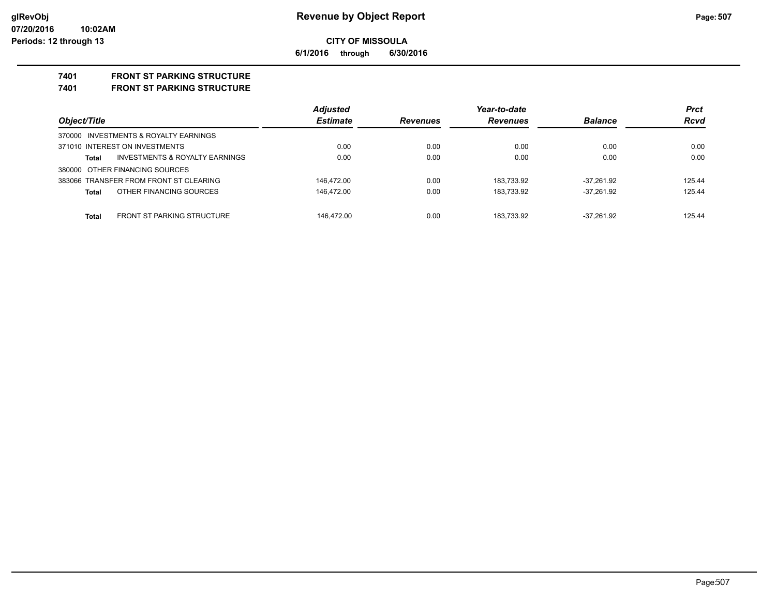**6/1/2016 through 6/30/2016**

# **7401 FRONT ST PARKING STRUCTURE**

**7401 FRONT ST PARKING STRUCTURE**

|                                            | <b>Adjusted</b> |                 | Year-to-date    |                | <b>Prct</b> |
|--------------------------------------------|-----------------|-----------------|-----------------|----------------|-------------|
| Object/Title                               | <b>Estimate</b> | <b>Revenues</b> | <b>Revenues</b> | <b>Balance</b> | <b>Rcvd</b> |
| 370000 INVESTMENTS & ROYALTY EARNINGS      |                 |                 |                 |                |             |
| 371010 INTEREST ON INVESTMENTS             | 0.00            | 0.00            | 0.00            | 0.00           | 0.00        |
| INVESTMENTS & ROYALTY EARNINGS<br>Total    | 0.00            | 0.00            | 0.00            | 0.00           | 0.00        |
| 380000 OTHER FINANCING SOURCES             |                 |                 |                 |                |             |
| 383066 TRANSFER FROM FRONT ST CLEARING     | 146.472.00      | 0.00            | 183.733.92      | $-37.261.92$   | 125.44      |
| OTHER FINANCING SOURCES<br>Total           | 146.472.00      | 0.00            | 183.733.92      | $-37.261.92$   | 125.44      |
|                                            |                 |                 |                 |                |             |
| <b>FRONT ST PARKING STRUCTURE</b><br>Total | 146.472.00      | 0.00            | 183.733.92      | $-37.261.92$   | 125.44      |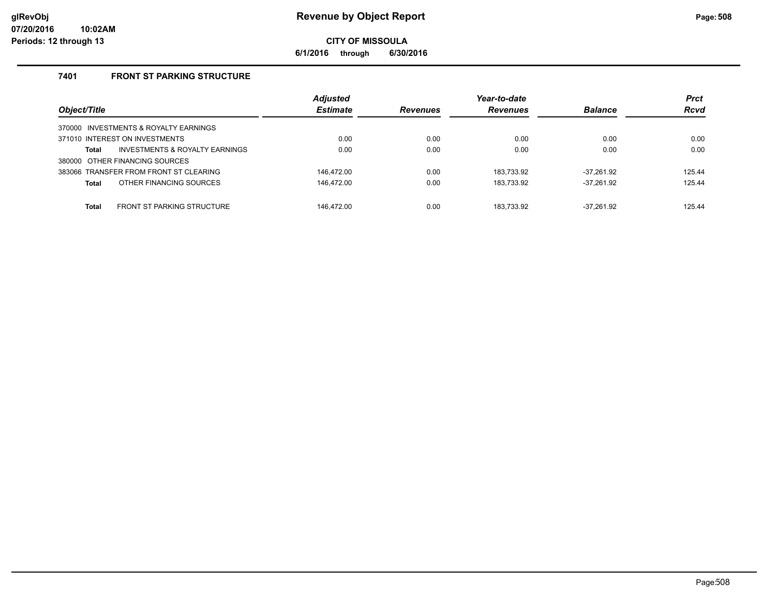**6/1/2016 through 6/30/2016**

#### **7401 FRONT ST PARKING STRUCTURE**

| Object/Title                                       | <b>Adjusted</b><br><b>Estimate</b> | <b>Revenues</b> | Year-to-date<br><b>Revenues</b> | <b>Balance</b> | <b>Prct</b><br><b>Rcvd</b> |
|----------------------------------------------------|------------------------------------|-----------------|---------------------------------|----------------|----------------------------|
| 370000 INVESTMENTS & ROYALTY EARNINGS              |                                    |                 |                                 |                |                            |
| 371010 INTEREST ON INVESTMENTS                     | 0.00                               | 0.00            | 0.00                            | 0.00           | 0.00                       |
| <b>INVESTMENTS &amp; ROYALTY EARNINGS</b><br>Total | 0.00                               | 0.00            | 0.00                            | 0.00           | 0.00                       |
| 380000 OTHER FINANCING SOURCES                     |                                    |                 |                                 |                |                            |
| 383066 TRANSFER FROM FRONT ST CLEARING             | 146.472.00                         | 0.00            | 183.733.92                      | $-37.261.92$   | 125.44                     |
| OTHER FINANCING SOURCES<br>Total                   | 146,472.00                         | 0.00            | 183,733.92                      | $-37,261.92$   | 125.44                     |
| FRONT ST PARKING STRUCTURE<br><b>Total</b>         | 146.472.00                         | 0.00            | 183.733.92                      | $-37.261.92$   | 125.44                     |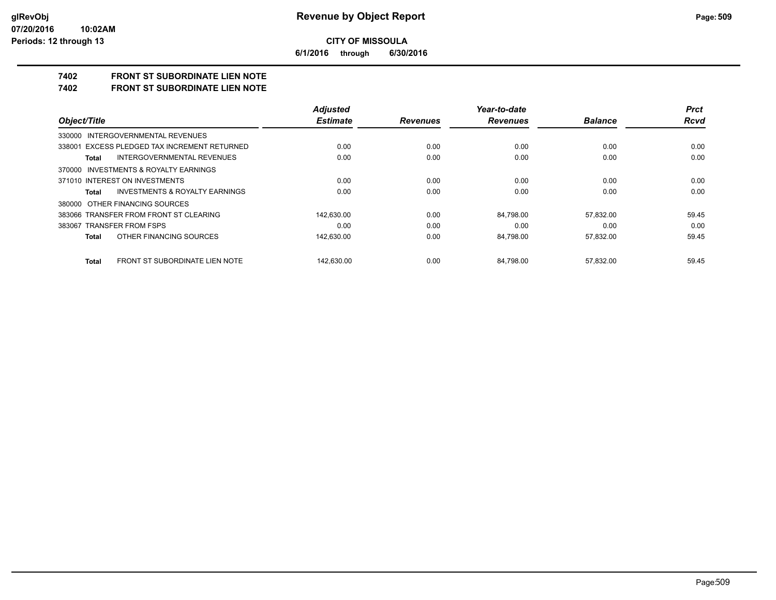**6/1/2016 through 6/30/2016**

# **7402 FRONT ST SUBORDINATE LIEN NOTE**

**7402 FRONT ST SUBORDINATE LIEN NOTE**

|                                                    | <b>Adjusted</b> |                 | Year-to-date    |                | <b>Prct</b> |
|----------------------------------------------------|-----------------|-----------------|-----------------|----------------|-------------|
| Object/Title                                       | <b>Estimate</b> | <b>Revenues</b> | <b>Revenues</b> | <b>Balance</b> | <b>Rcvd</b> |
| 330000 INTERGOVERNMENTAL REVENUES                  |                 |                 |                 |                |             |
| 338001 EXCESS PLEDGED TAX INCREMENT RETURNED       | 0.00            | 0.00            | 0.00            | 0.00           | 0.00        |
| <b>INTERGOVERNMENTAL REVENUES</b><br>Total         | 0.00            | 0.00            | 0.00            | 0.00           | 0.00        |
| 370000 INVESTMENTS & ROYALTY EARNINGS              |                 |                 |                 |                |             |
| 371010 INTEREST ON INVESTMENTS                     | 0.00            | 0.00            | 0.00            | 0.00           | 0.00        |
| <b>INVESTMENTS &amp; ROYALTY EARNINGS</b><br>Total | 0.00            | 0.00            | 0.00            | 0.00           | 0.00        |
| 380000 OTHER FINANCING SOURCES                     |                 |                 |                 |                |             |
| 383066 TRANSFER FROM FRONT ST CLEARING             | 142.630.00      | 0.00            | 84.798.00       | 57.832.00      | 59.45       |
| 383067 TRANSFER FROM FSPS                          | 0.00            | 0.00            | 0.00            | 0.00           | 0.00        |
| OTHER FINANCING SOURCES<br>Total                   | 142,630.00      | 0.00            | 84,798.00       | 57,832.00      | 59.45       |
| FRONT ST SUBORDINATE LIEN NOTE<br>Total            | 142.630.00      | 0.00            | 84.798.00       | 57.832.00      | 59.45       |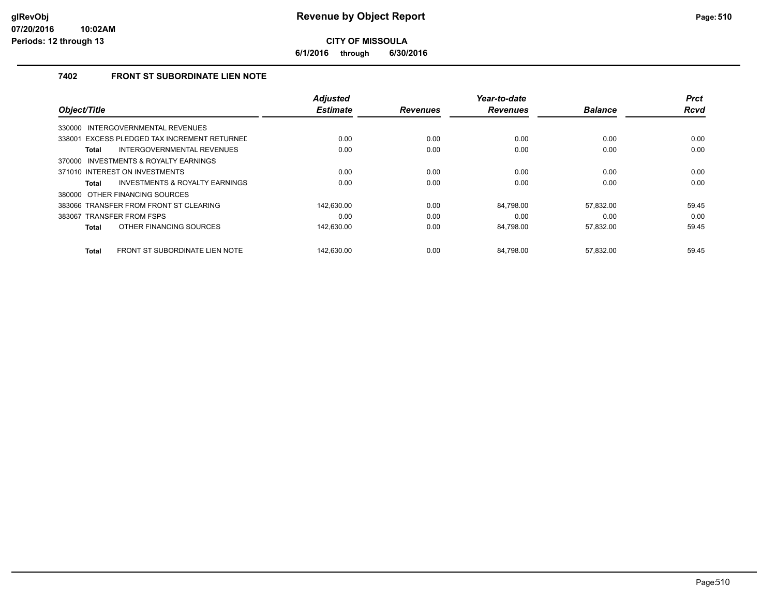**6/1/2016 through 6/30/2016**

### **7402 FRONT ST SUBORDINATE LIEN NOTE**

|                                                 | <b>Adjusted</b> |                 | Year-to-date    |                | <b>Prct</b> |
|-------------------------------------------------|-----------------|-----------------|-----------------|----------------|-------------|
| Object/Title                                    | <b>Estimate</b> | <b>Revenues</b> | <b>Revenues</b> | <b>Balance</b> | Rcvd        |
| INTERGOVERNMENTAL REVENUES<br>330000            |                 |                 |                 |                |             |
| EXCESS PLEDGED TAX INCREMENT RETURNED<br>338001 | 0.00            | 0.00            | 0.00            | 0.00           | 0.00        |
| INTERGOVERNMENTAL REVENUES<br>Total             | 0.00            | 0.00            | 0.00            | 0.00           | 0.00        |
| 370000 INVESTMENTS & ROYALTY EARNINGS           |                 |                 |                 |                |             |
| 371010 INTEREST ON INVESTMENTS                  | 0.00            | 0.00            | 0.00            | 0.00           | 0.00        |
| INVESTMENTS & ROYALTY EARNINGS<br>Total         | 0.00            | 0.00            | 0.00            | 0.00           | 0.00        |
| 380000 OTHER FINANCING SOURCES                  |                 |                 |                 |                |             |
| 383066 TRANSFER FROM FRONT ST CLEARING          | 142.630.00      | 0.00            | 84.798.00       | 57.832.00      | 59.45       |
| 383067 TRANSFER FROM FSPS                       | 0.00            | 0.00            | 0.00            | 0.00           | 0.00        |
| OTHER FINANCING SOURCES<br>Total                | 142,630.00      | 0.00            | 84.798.00       | 57,832.00      | 59.45       |
|                                                 |                 |                 |                 |                |             |
| FRONT ST SUBORDINATE LIEN NOTE<br><b>Total</b>  | 142.630.00      | 0.00            | 84.798.00       | 57.832.00      | 59.45       |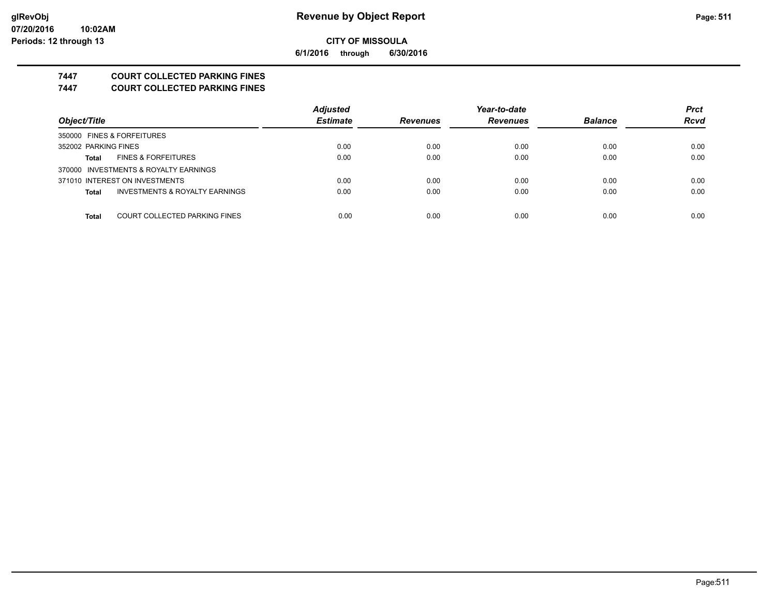**6/1/2016 through 6/30/2016**

### **7447 COURT COLLECTED PARKING FINES**

**7447 COURT COLLECTED PARKING FINES**

|                                                           | <b>Adjusted</b> |                 | Year-to-date    |                | <b>Prct</b> |
|-----------------------------------------------------------|-----------------|-----------------|-----------------|----------------|-------------|
| Object/Title                                              | <b>Estimate</b> | <b>Revenues</b> | <b>Revenues</b> | <b>Balance</b> | <b>Rcvd</b> |
| 350000 FINES & FORFEITURES                                |                 |                 |                 |                |             |
| 352002 PARKING FINES                                      | 0.00            | 0.00            | 0.00            | 0.00           | 0.00        |
| <b>FINES &amp; FORFEITURES</b><br><b>Total</b>            | 0.00            | 0.00            | 0.00            | 0.00           | 0.00        |
| 370000 INVESTMENTS & ROYALTY EARNINGS                     |                 |                 |                 |                |             |
| 371010 INTEREST ON INVESTMENTS                            | 0.00            | 0.00            | 0.00            | 0.00           | 0.00        |
| <b>INVESTMENTS &amp; ROYALTY EARNINGS</b><br><b>Total</b> | 0.00            | 0.00            | 0.00            | 0.00           | 0.00        |
|                                                           |                 |                 |                 |                |             |
| COURT COLLECTED PARKING FINES<br><b>Total</b>             | 0.00            | 0.00            | 0.00            | 0.00           | 0.00        |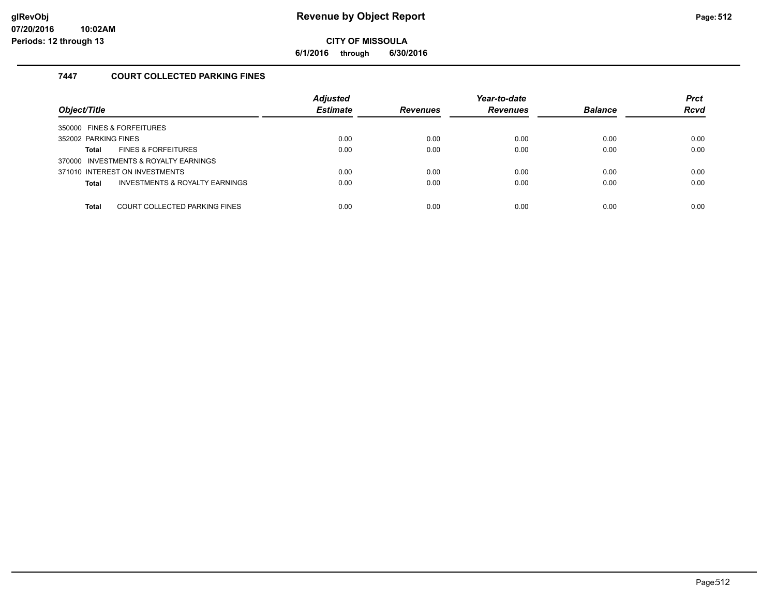**6/1/2016 through 6/30/2016**

#### **7447 COURT COLLECTED PARKING FINES**

| Object/Title                                         | <b>Adjusted</b><br><b>Estimate</b> | <b>Revenues</b> | Year-to-date<br><b>Revenues</b> | <b>Balance</b> | <b>Prct</b><br><b>Rcvd</b> |
|------------------------------------------------------|------------------------------------|-----------------|---------------------------------|----------------|----------------------------|
| 350000 FINES & FORFEITURES                           |                                    |                 |                                 |                |                            |
| 352002 PARKING FINES                                 | 0.00                               | 0.00            | 0.00                            | 0.00           | 0.00                       |
| <b>FINES &amp; FORFEITURES</b><br>Total              | 0.00                               | 0.00            | 0.00                            | 0.00           | 0.00                       |
| 370000 INVESTMENTS & ROYALTY EARNINGS                |                                    |                 |                                 |                |                            |
| 371010 INTEREST ON INVESTMENTS                       | 0.00                               | 0.00            | 0.00                            | 0.00           | 0.00                       |
| INVESTMENTS & ROYALTY EARNINGS<br><b>Total</b>       | 0.00                               | 0.00            | 0.00                            | 0.00           | 0.00                       |
|                                                      |                                    |                 |                                 |                |                            |
| <b>COURT COLLECTED PARKING FINES</b><br><b>Total</b> | 0.00                               | 0.00            | 0.00                            | 0.00           | 0.00                       |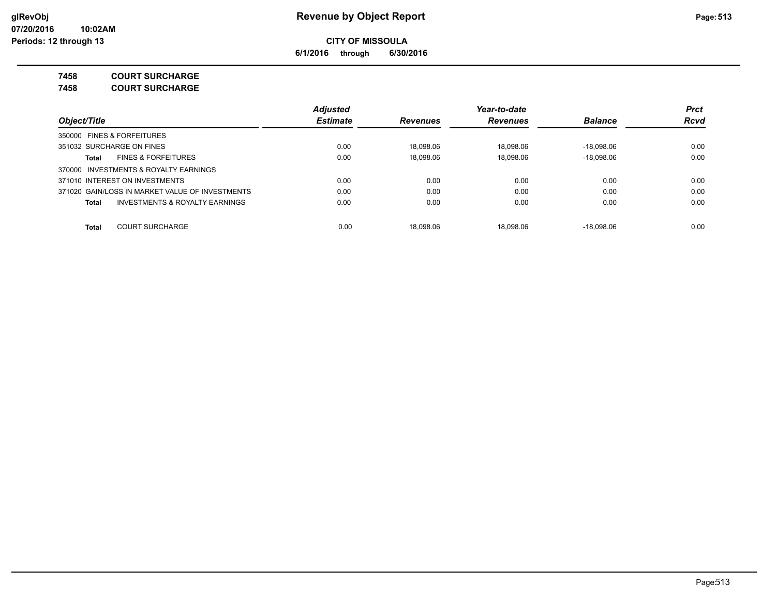**6/1/2016 through 6/30/2016**

**7458 COURT SURCHARGE**

**7458 COURT SURCHARGE**

|                                                    | <b>Adjusted</b> |                 | Year-to-date    |                | <b>Prct</b> |
|----------------------------------------------------|-----------------|-----------------|-----------------|----------------|-------------|
| Object/Title                                       | <b>Estimate</b> | <b>Revenues</b> | <b>Revenues</b> | <b>Balance</b> | <b>Rcvd</b> |
| 350000 FINES & FORFEITURES                         |                 |                 |                 |                |             |
| 351032 SURCHARGE ON FINES                          | 0.00            | 18.098.06       | 18.098.06       | $-18,098.06$   | 0.00        |
| <b>FINES &amp; FORFEITURES</b><br>Total            | 0.00            | 18.098.06       | 18.098.06       | $-18.098.06$   | 0.00        |
| 370000 INVESTMENTS & ROYALTY EARNINGS              |                 |                 |                 |                |             |
| 371010 INTEREST ON INVESTMENTS                     | 0.00            | 0.00            | 0.00            | 0.00           | 0.00        |
| 371020 GAIN/LOSS IN MARKET VALUE OF INVESTMENTS    | 0.00            | 0.00            | 0.00            | 0.00           | 0.00        |
| <b>INVESTMENTS &amp; ROYALTY EARNINGS</b><br>Total | 0.00            | 0.00            | 0.00            | 0.00           | 0.00        |
| <b>COURT SURCHARGE</b><br><b>Total</b>             | 0.00            | 18.098.06       | 18.098.06       | $-18.098.06$   | 0.00        |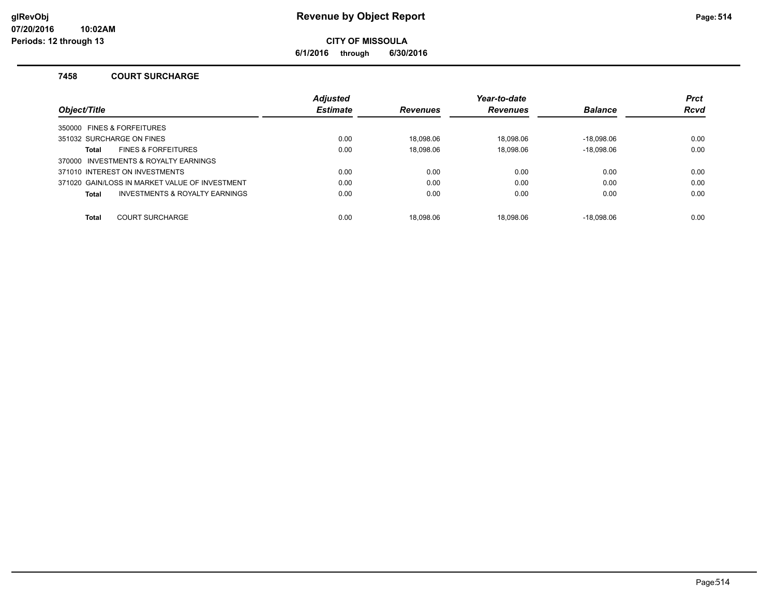**6/1/2016 through 6/30/2016**

#### **7458 COURT SURCHARGE**

|                                                | <b>Adjusted</b> |                 | Year-to-date    |                | <b>Prct</b> |
|------------------------------------------------|-----------------|-----------------|-----------------|----------------|-------------|
| Object/Title                                   | <b>Estimate</b> | <b>Revenues</b> | <b>Revenues</b> | <b>Balance</b> | <b>Rcvd</b> |
| 350000 FINES & FORFEITURES                     |                 |                 |                 |                |             |
| 351032 SURCHARGE ON FINES                      | 0.00            | 18.098.06       | 18.098.06       | $-18.098.06$   | 0.00        |
| <b>FINES &amp; FORFEITURES</b><br>Total        | 0.00            | 18.098.06       | 18.098.06       | $-18.098.06$   | 0.00        |
| 370000 INVESTMENTS & ROYALTY EARNINGS          |                 |                 |                 |                |             |
| 371010 INTEREST ON INVESTMENTS                 | 0.00            | 0.00            | 0.00            | 0.00           | 0.00        |
| 371020 GAIN/LOSS IN MARKET VALUE OF INVESTMENT | 0.00            | 0.00            | 0.00            | 0.00           | 0.00        |
| INVESTMENTS & ROYALTY EARNINGS<br>Total        | 0.00            | 0.00            | 0.00            | 0.00           | 0.00        |
| <b>Total</b><br><b>COURT SURCHARGE</b>         | 0.00            | 18.098.06       | 18.098.06       | $-18.098.06$   | 0.00        |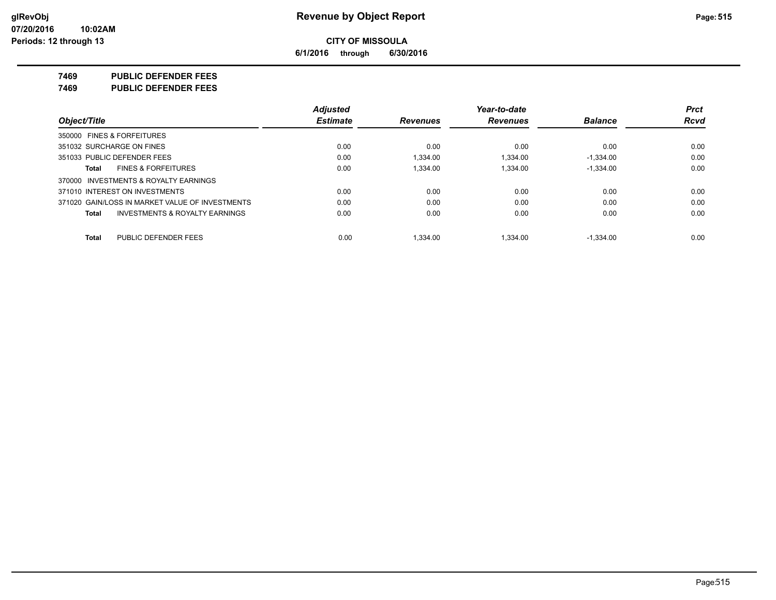**6/1/2016 through 6/30/2016**

**7469 PUBLIC DEFENDER FEES**

**7469 PUBLIC DEFENDER FEES**

|                                                    | <b>Adjusted</b> |                 | Year-to-date    |                | <b>Prct</b> |
|----------------------------------------------------|-----------------|-----------------|-----------------|----------------|-------------|
| Object/Title                                       | <b>Estimate</b> | <b>Revenues</b> | <b>Revenues</b> | <b>Balance</b> | <b>Rcvd</b> |
| 350000 FINES & FORFEITURES                         |                 |                 |                 |                |             |
| 351032 SURCHARGE ON FINES                          | 0.00            | 0.00            | 0.00            | 0.00           | 0.00        |
| 351033 PUBLIC DEFENDER FEES                        | 0.00            | 1.334.00        | 1.334.00        | $-1.334.00$    | 0.00        |
| <b>FINES &amp; FORFEITURES</b><br>Total            | 0.00            | 1.334.00        | 1.334.00        | $-1.334.00$    | 0.00        |
| 370000 INVESTMENTS & ROYALTY EARNINGS              |                 |                 |                 |                |             |
| 371010 INTEREST ON INVESTMENTS                     | 0.00            | 0.00            | 0.00            | 0.00           | 0.00        |
| 371020 GAIN/LOSS IN MARKET VALUE OF INVESTMENTS    | 0.00            | 0.00            | 0.00            | 0.00           | 0.00        |
| <b>INVESTMENTS &amp; ROYALTY EARNINGS</b><br>Total | 0.00            | 0.00            | 0.00            | 0.00           | 0.00        |
| PUBLIC DEFENDER FEES<br>Total                      | 0.00            | 1.334.00        | 1.334.00        | $-1.334.00$    | 0.00        |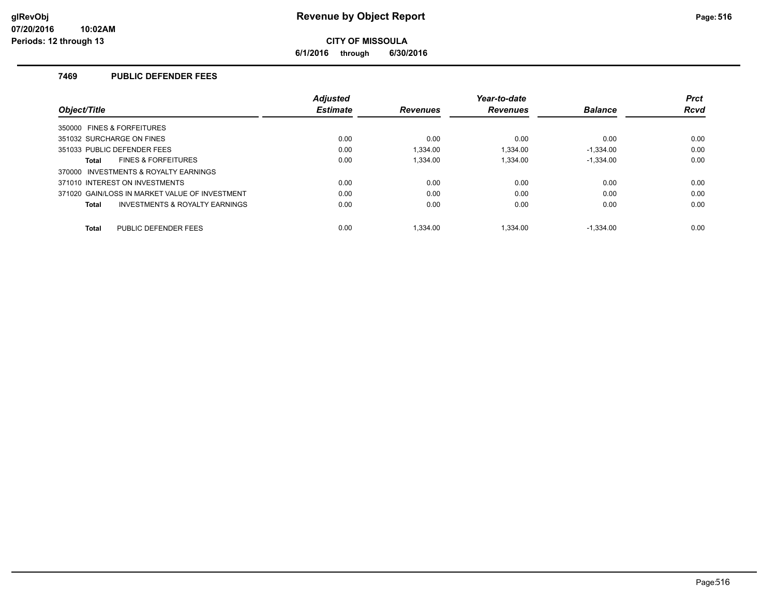**6/1/2016 through 6/30/2016**

#### **7469 PUBLIC DEFENDER FEES**

|                                                           | <b>Adjusted</b> |                 | Year-to-date    |                | <b>Prct</b> |
|-----------------------------------------------------------|-----------------|-----------------|-----------------|----------------|-------------|
| Object/Title                                              | <b>Estimate</b> | <b>Revenues</b> | <b>Revenues</b> | <b>Balance</b> | <b>Rcvd</b> |
| 350000 FINES & FORFEITURES                                |                 |                 |                 |                |             |
| 351032 SURCHARGE ON FINES                                 | 0.00            | 0.00            | 0.00            | 0.00           | 0.00        |
| 351033 PUBLIC DEFENDER FEES                               | 0.00            | 1.334.00        | 1.334.00        | $-1.334.00$    | 0.00        |
| <b>FINES &amp; FORFEITURES</b><br><b>Total</b>            | 0.00            | 1.334.00        | 1.334.00        | $-1.334.00$    | 0.00        |
| 370000 INVESTMENTS & ROYALTY EARNINGS                     |                 |                 |                 |                |             |
| 371010 INTEREST ON INVESTMENTS                            | 0.00            | 0.00            | 0.00            | 0.00           | 0.00        |
| 371020 GAIN/LOSS IN MARKET VALUE OF INVESTMENT            | 0.00            | 0.00            | 0.00            | 0.00           | 0.00        |
| <b>INVESTMENTS &amp; ROYALTY EARNINGS</b><br><b>Total</b> | 0.00            | 0.00            | 0.00            | 0.00           | 0.00        |
| PUBLIC DEFENDER FEES<br><b>Total</b>                      | 0.00            | 1.334.00        | 1.334.00        | $-1.334.00$    | 0.00        |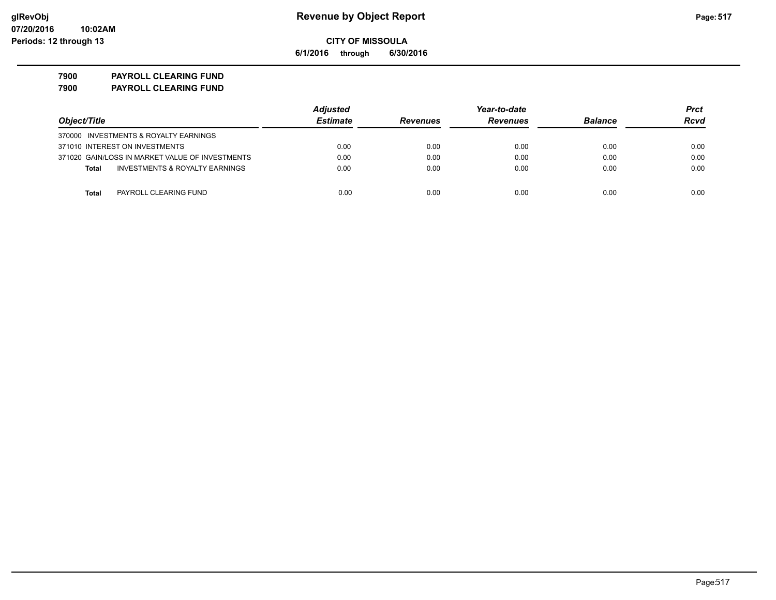**6/1/2016 through 6/30/2016**

**7900 PAYROLL CLEARING FUND 7900 PAYROLL CLEARING FUND**

|                                                 | <b>Adjusted</b> |                 | Year-to-date    |                | <b>Prct</b> |
|-------------------------------------------------|-----------------|-----------------|-----------------|----------------|-------------|
| Object/Title                                    | <b>Estimate</b> | <b>Revenues</b> | <b>Revenues</b> | <b>Balance</b> | <b>Rcvd</b> |
| 370000 INVESTMENTS & ROYALTY EARNINGS           |                 |                 |                 |                |             |
| 371010 INTEREST ON INVESTMENTS                  | 0.00            | 0.00            | 0.00            | 0.00           | 0.00        |
| 371020 GAIN/LOSS IN MARKET VALUE OF INVESTMENTS | 0.00            | 0.00            | 0.00            | 0.00           | 0.00        |
| INVESTMENTS & ROYALTY EARNINGS<br><b>Total</b>  | 0.00            | 0.00            | 0.00            | 0.00           | 0.00        |
|                                                 |                 |                 |                 |                |             |
| <b>Total</b><br>PAYROLL CLEARING FUND           | 0.00            | 0.00            | 0.00            | 0.00           | 0.00        |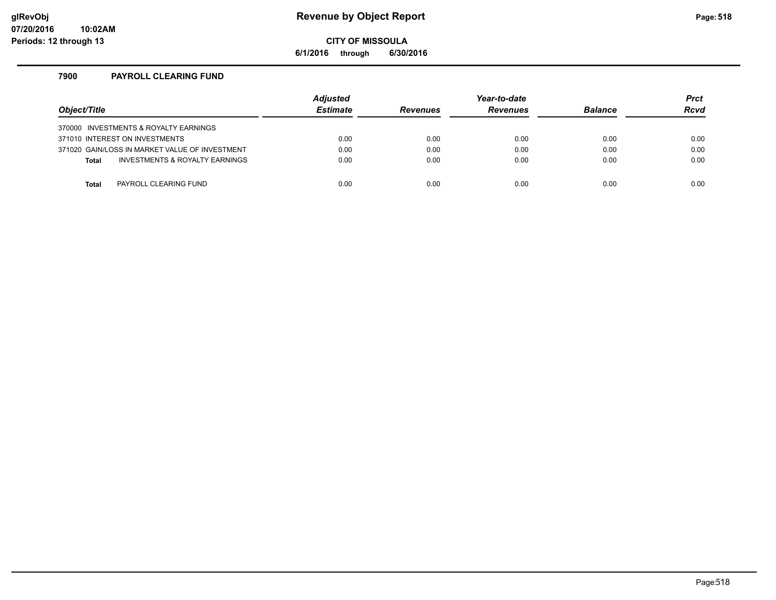### **glRevObj Revenue by Object Report Page:518**

**CITY OF MISSOULA**

**6/1/2016 through 6/30/2016**

#### **7900 PAYROLL CLEARING FUND**

| Object/Title |                                                | <b>Adjusted</b><br><b>Estimate</b> | <b>Revenues</b> | Year-to-date<br><b>Revenues</b> | <b>Balance</b> | <b>Prct</b><br><b>Rcvd</b> |
|--------------|------------------------------------------------|------------------------------------|-----------------|---------------------------------|----------------|----------------------------|
|              | 370000 INVESTMENTS & ROYALTY EARNINGS          |                                    |                 |                                 |                |                            |
|              | 371010 INTEREST ON INVESTMENTS                 | 0.00                               | 0.00            | 0.00                            | 0.00           | 0.00                       |
|              | 371020 GAIN/LOSS IN MARKET VALUE OF INVESTMENT | 0.00                               | 0.00            | 0.00                            | 0.00           | 0.00                       |
| <b>Total</b> | INVESTMENTS & ROYALTY EARNINGS                 | 0.00                               | 0.00            | 0.00                            | 0.00           | 0.00                       |
|              |                                                |                                    |                 |                                 |                |                            |
| Total        | PAYROLL CLEARING FUND                          | 0.00                               | 0.00            | 0.00                            | 0.00           | 0.00                       |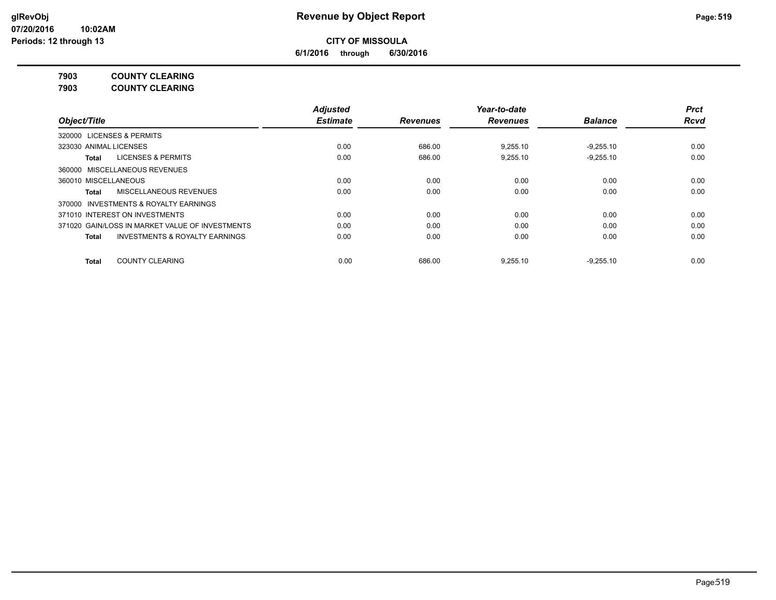**6/1/2016 through 6/30/2016**

**7903 COUNTY CLEARING**

**7903 COUNTY CLEARING**

|                                                    | <b>Adjusted</b> |                 | Year-to-date    |                | <b>Prct</b> |
|----------------------------------------------------|-----------------|-----------------|-----------------|----------------|-------------|
| Object/Title                                       | <b>Estimate</b> | <b>Revenues</b> | <b>Revenues</b> | <b>Balance</b> | <b>Rcvd</b> |
| 320000 LICENSES & PERMITS                          |                 |                 |                 |                |             |
| 323030 ANIMAL LICENSES                             | 0.00            | 686.00          | 9.255.10        | $-9,255.10$    | 0.00        |
| <b>LICENSES &amp; PERMITS</b><br>Total             | 0.00            | 686.00          | 9,255.10        | $-9,255.10$    | 0.00        |
| 360000 MISCELLANEOUS REVENUES                      |                 |                 |                 |                |             |
| 360010 MISCELLANEOUS                               | 0.00            | 0.00            | 0.00            | 0.00           | 0.00        |
| MISCELLANEOUS REVENUES<br>Total                    | 0.00            | 0.00            | 0.00            | 0.00           | 0.00        |
| 370000 INVESTMENTS & ROYALTY EARNINGS              |                 |                 |                 |                |             |
| 371010 INTEREST ON INVESTMENTS                     | 0.00            | 0.00            | 0.00            | 0.00           | 0.00        |
| 371020 GAIN/LOSS IN MARKET VALUE OF INVESTMENTS    | 0.00            | 0.00            | 0.00            | 0.00           | 0.00        |
| <b>INVESTMENTS &amp; ROYALTY EARNINGS</b><br>Total | 0.00            | 0.00            | 0.00            | 0.00           | 0.00        |
| <b>COUNTY CLEARING</b><br>Total                    | 0.00            | 686.00          | 9,255.10        | $-9,255.10$    | 0.00        |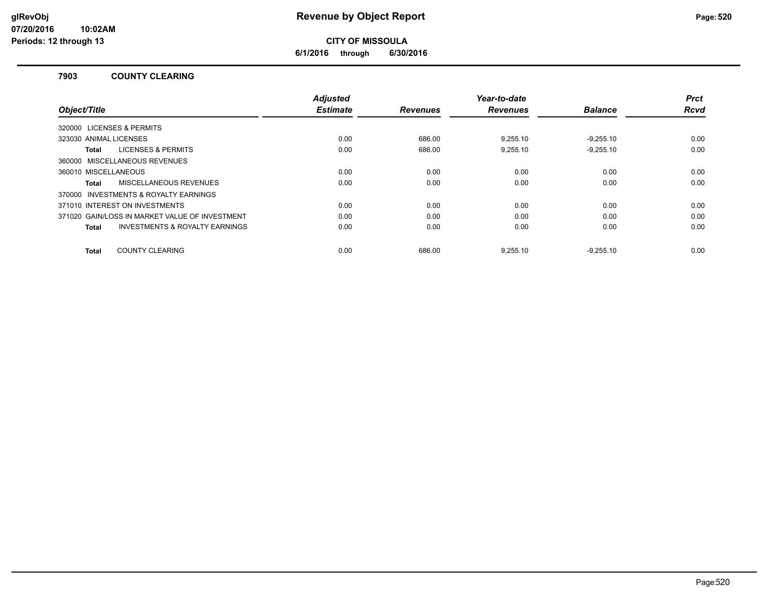**6/1/2016 through 6/30/2016**

#### **7903 COUNTY CLEARING**

|                                                           | <b>Adjusted</b> |                 | Year-to-date    |                | <b>Prct</b> |
|-----------------------------------------------------------|-----------------|-----------------|-----------------|----------------|-------------|
| Object/Title                                              | <b>Estimate</b> | <b>Revenues</b> | <b>Revenues</b> | <b>Balance</b> | <b>Rcvd</b> |
| 320000 LICENSES & PERMITS                                 |                 |                 |                 |                |             |
| 323030 ANIMAL LICENSES                                    | 0.00            | 686.00          | 9.255.10        | $-9.255.10$    | 0.00        |
| <b>LICENSES &amp; PERMITS</b><br>Total                    | 0.00            | 686.00          | 9.255.10        | $-9.255.10$    | 0.00        |
| 360000 MISCELLANEOUS REVENUES                             |                 |                 |                 |                |             |
| 360010 MISCELLANEOUS                                      | 0.00            | 0.00            | 0.00            | 0.00           | 0.00        |
| MISCELLANEOUS REVENUES<br>Total                           | 0.00            | 0.00            | 0.00            | 0.00           | 0.00        |
| <b>INVESTMENTS &amp; ROYALTY EARNINGS</b><br>370000       |                 |                 |                 |                |             |
| 371010 INTEREST ON INVESTMENTS                            | 0.00            | 0.00            | 0.00            | 0.00           | 0.00        |
| 371020 GAIN/LOSS IN MARKET VALUE OF INVESTMENT            | 0.00            | 0.00            | 0.00            | 0.00           | 0.00        |
| <b>INVESTMENTS &amp; ROYALTY EARNINGS</b><br><b>Total</b> | 0.00            | 0.00            | 0.00            | 0.00           | 0.00        |
| <b>COUNTY CLEARING</b><br><b>Total</b>                    | 0.00            | 686.00          | 9.255.10        | $-9.255.10$    | 0.00        |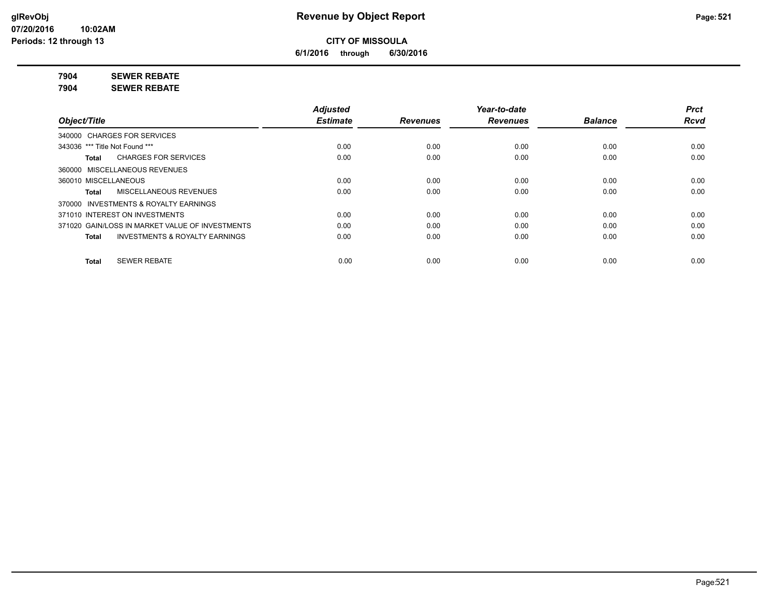**6/1/2016 through 6/30/2016**

**7904 SEWER REBATE**

**7904 SEWER REBATE**

|                                                    | <b>Adjusted</b> |                 | Year-to-date    |                | <b>Prct</b> |
|----------------------------------------------------|-----------------|-----------------|-----------------|----------------|-------------|
| Object/Title                                       | <b>Estimate</b> | <b>Revenues</b> | <b>Revenues</b> | <b>Balance</b> | <b>Rcvd</b> |
| 340000 CHARGES FOR SERVICES                        |                 |                 |                 |                |             |
| 343036 *** Title Not Found ***                     | 0.00            | 0.00            | 0.00            | 0.00           | 0.00        |
| <b>CHARGES FOR SERVICES</b><br>Total               | 0.00            | 0.00            | 0.00            | 0.00           | 0.00        |
| 360000 MISCELLANEOUS REVENUES                      |                 |                 |                 |                |             |
| 360010 MISCELLANEOUS                               | 0.00            | 0.00            | 0.00            | 0.00           | 0.00        |
| MISCELLANEOUS REVENUES<br>Total                    | 0.00            | 0.00            | 0.00            | 0.00           | 0.00        |
| 370000 INVESTMENTS & ROYALTY EARNINGS              |                 |                 |                 |                |             |
| 371010 INTEREST ON INVESTMENTS                     | 0.00            | 0.00            | 0.00            | 0.00           | 0.00        |
| 371020 GAIN/LOSS IN MARKET VALUE OF INVESTMENTS    | 0.00            | 0.00            | 0.00            | 0.00           | 0.00        |
| <b>INVESTMENTS &amp; ROYALTY EARNINGS</b><br>Total | 0.00            | 0.00            | 0.00            | 0.00           | 0.00        |
| <b>SEWER REBATE</b><br><b>Total</b>                | 0.00            | 0.00            | 0.00            | 0.00           | 0.00        |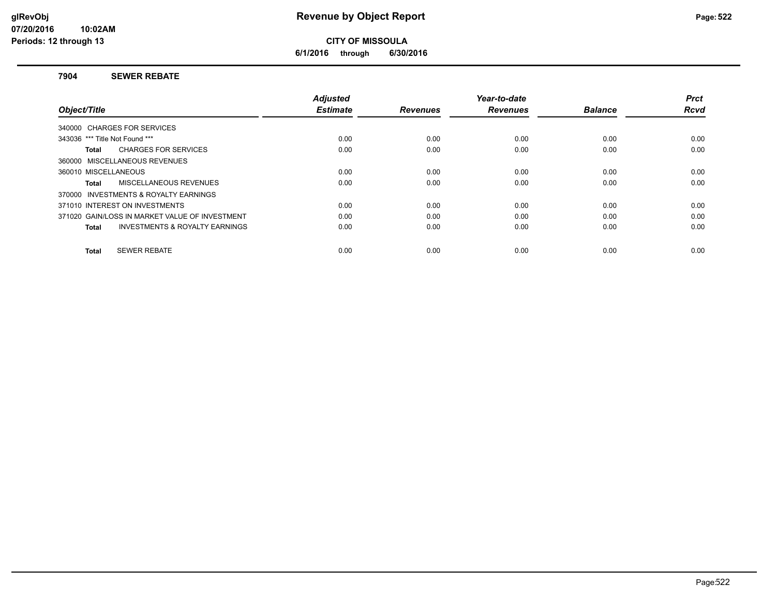**6/1/2016 through 6/30/2016**

#### **7904 SEWER REBATE**

|                                                    | <b>Adjusted</b> |                 | Year-to-date    |                | <b>Prct</b> |
|----------------------------------------------------|-----------------|-----------------|-----------------|----------------|-------------|
| Object/Title                                       | <b>Estimate</b> | <b>Revenues</b> | <b>Revenues</b> | <b>Balance</b> | <b>Rcvd</b> |
| 340000 CHARGES FOR SERVICES                        |                 |                 |                 |                |             |
| 343036 *** Title Not Found ***                     | 0.00            | 0.00            | 0.00            | 0.00           | 0.00        |
| <b>CHARGES FOR SERVICES</b><br>Total               | 0.00            | 0.00            | 0.00            | 0.00           | 0.00        |
| 360000 MISCELLANEOUS REVENUES                      |                 |                 |                 |                |             |
| 360010 MISCELLANEOUS                               | 0.00            | 0.00            | 0.00            | 0.00           | 0.00        |
| MISCELLANEOUS REVENUES<br>Total                    | 0.00            | 0.00            | 0.00            | 0.00           | 0.00        |
| 370000 INVESTMENTS & ROYALTY EARNINGS              |                 |                 |                 |                |             |
| 371010 INTEREST ON INVESTMENTS                     | 0.00            | 0.00            | 0.00            | 0.00           | 0.00        |
| 371020 GAIN/LOSS IN MARKET VALUE OF INVESTMENT     | 0.00            | 0.00            | 0.00            | 0.00           | 0.00        |
| <b>INVESTMENTS &amp; ROYALTY EARNINGS</b><br>Total | 0.00            | 0.00            | 0.00            | 0.00           | 0.00        |
|                                                    |                 |                 |                 |                |             |
| <b>SEWER REBATE</b><br>Total                       | 0.00            | 0.00            | 0.00            | 0.00           | 0.00        |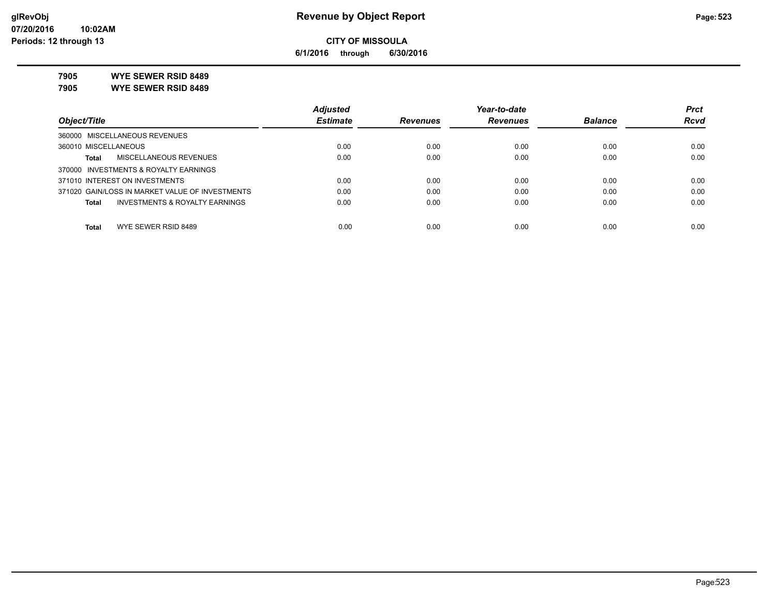**6/1/2016 through 6/30/2016**

**7905 WYE SEWER RSID 8489**

**7905 WYE SEWER RSID 8489**

|                                                 | <b>Adjusted</b> |                 | Year-to-date    |                | <b>Prct</b> |
|-------------------------------------------------|-----------------|-----------------|-----------------|----------------|-------------|
| Object/Title                                    | <b>Estimate</b> | <b>Revenues</b> | <b>Revenues</b> | <b>Balance</b> | <b>Rcvd</b> |
| 360000 MISCELLANEOUS REVENUES                   |                 |                 |                 |                |             |
| 360010 MISCELLANEOUS                            | 0.00            | 0.00            | 0.00            | 0.00           | 0.00        |
| MISCELLANEOUS REVENUES<br>Total                 | 0.00            | 0.00            | 0.00            | 0.00           | 0.00        |
| 370000 INVESTMENTS & ROYALTY EARNINGS           |                 |                 |                 |                |             |
| 371010 INTEREST ON INVESTMENTS                  | 0.00            | 0.00            | 0.00            | 0.00           | 0.00        |
| 371020 GAIN/LOSS IN MARKET VALUE OF INVESTMENTS | 0.00            | 0.00            | 0.00            | 0.00           | 0.00        |
| INVESTMENTS & ROYALTY EARNINGS<br><b>Total</b>  | 0.00            | 0.00            | 0.00            | 0.00           | 0.00        |
|                                                 |                 |                 |                 |                |             |
| WYE SEWER RSID 8489<br><b>Total</b>             | 0.00            | 0.00            | 0.00            | 0.00           | 0.00        |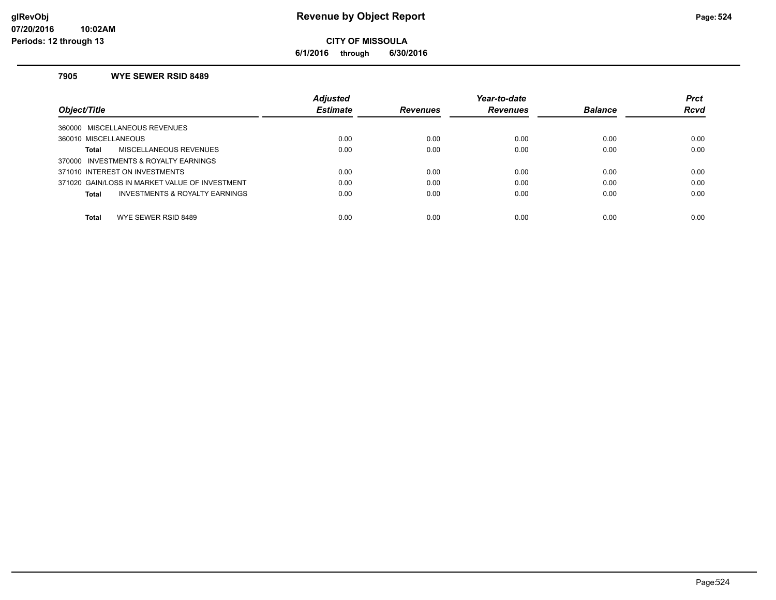**6/1/2016 through 6/30/2016**

#### **7905 WYE SEWER RSID 8489**

|                                                | <b>Adjusted</b> |                 | Year-to-date    |                | <b>Prct</b> |
|------------------------------------------------|-----------------|-----------------|-----------------|----------------|-------------|
| Object/Title                                   | <b>Estimate</b> | <b>Revenues</b> | <b>Revenues</b> | <b>Balance</b> | <b>Rcvd</b> |
| 360000 MISCELLANEOUS REVENUES                  |                 |                 |                 |                |             |
| 360010 MISCELLANEOUS                           | 0.00            | 0.00            | 0.00            | 0.00           | 0.00        |
| MISCELLANEOUS REVENUES<br>Total                | 0.00            | 0.00            | 0.00            | 0.00           | 0.00        |
| 370000 INVESTMENTS & ROYALTY EARNINGS          |                 |                 |                 |                |             |
| 371010 INTEREST ON INVESTMENTS                 | 0.00            | 0.00            | 0.00            | 0.00           | 0.00        |
| 371020 GAIN/LOSS IN MARKET VALUE OF INVESTMENT | 0.00            | 0.00            | 0.00            | 0.00           | 0.00        |
| INVESTMENTS & ROYALTY EARNINGS<br>Total        | 0.00            | 0.00            | 0.00            | 0.00           | 0.00        |
|                                                |                 |                 |                 |                |             |
| Total<br>WYE SEWER RSID 8489                   | 0.00            | 0.00            | 0.00            | 0.00           | 0.00        |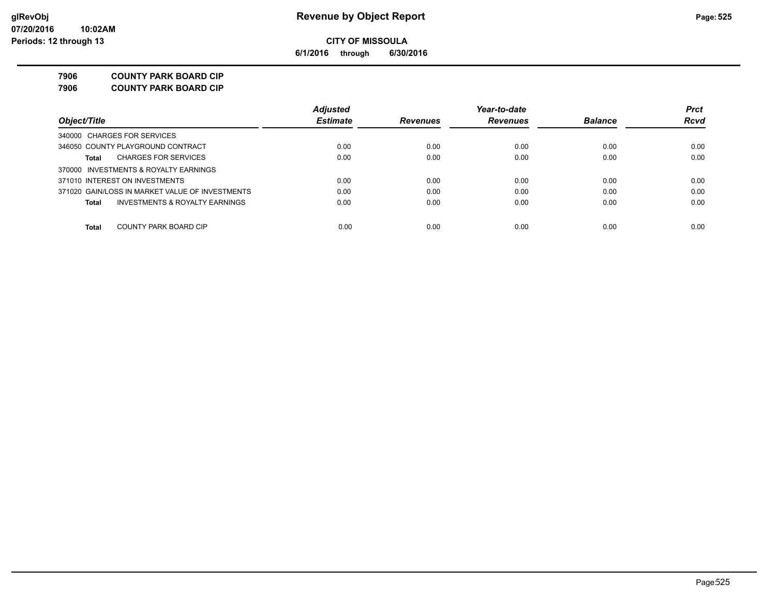**6/1/2016 through 6/30/2016**

**7906 COUNTY PARK BOARD CIP**

**7906 COUNTY PARK BOARD CIP**

|                                                           | <b>Adjusted</b> |                 | Year-to-date    |                | <b>Prct</b> |
|-----------------------------------------------------------|-----------------|-----------------|-----------------|----------------|-------------|
| Object/Title                                              | <b>Estimate</b> | <b>Revenues</b> | <b>Revenues</b> | <b>Balance</b> | <b>Rcvd</b> |
| 340000 CHARGES FOR SERVICES                               |                 |                 |                 |                |             |
| 346050 COUNTY PLAYGROUND CONTRACT                         | 0.00            | 0.00            | 0.00            | 0.00           | 0.00        |
| <b>CHARGES FOR SERVICES</b><br><b>Total</b>               | 0.00            | 0.00            | 0.00            | 0.00           | 0.00        |
| 370000 INVESTMENTS & ROYALTY EARNINGS                     |                 |                 |                 |                |             |
| 371010 INTEREST ON INVESTMENTS                            | 0.00            | 0.00            | 0.00            | 0.00           | 0.00        |
| 371020 GAIN/LOSS IN MARKET VALUE OF INVESTMENTS           | 0.00            | 0.00            | 0.00            | 0.00           | 0.00        |
| <b>INVESTMENTS &amp; ROYALTY EARNINGS</b><br><b>Total</b> | 0.00            | 0.00            | 0.00            | 0.00           | 0.00        |
|                                                           |                 |                 |                 |                |             |
| <b>Total</b><br>COUNTY PARK BOARD CIP                     | 0.00            | 0.00            | 0.00            | 0.00           | 0.00        |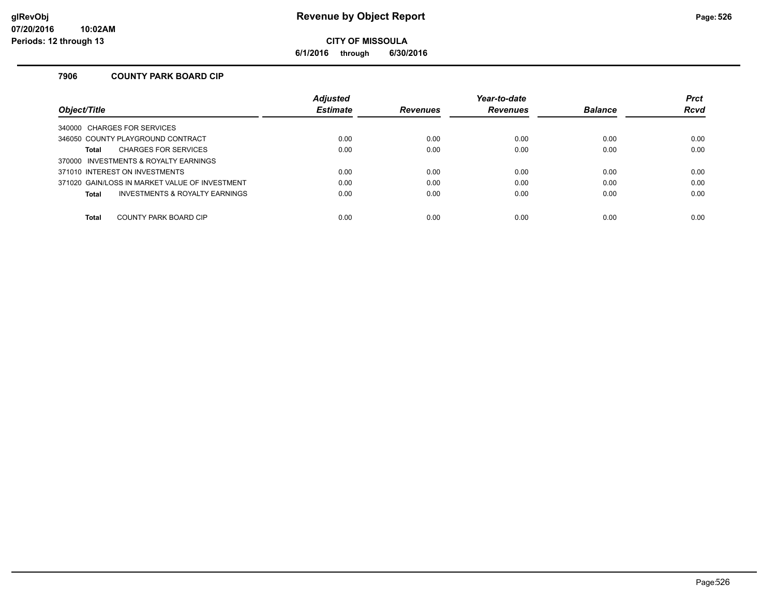**6/1/2016 through 6/30/2016**

#### **7906 COUNTY PARK BOARD CIP**

|                                                | <b>Adjusted</b> |                 | Year-to-date    |                | <b>Prct</b> |
|------------------------------------------------|-----------------|-----------------|-----------------|----------------|-------------|
| Object/Title                                   | <b>Estimate</b> | <b>Revenues</b> | <b>Revenues</b> | <b>Balance</b> | <b>Rcvd</b> |
| 340000 CHARGES FOR SERVICES                    |                 |                 |                 |                |             |
| 346050 COUNTY PLAYGROUND CONTRACT              | 0.00            | 0.00            | 0.00            | 0.00           | 0.00        |
| <b>CHARGES FOR SERVICES</b><br>Total           | 0.00            | 0.00            | 0.00            | 0.00           | 0.00        |
| 370000 INVESTMENTS & ROYALTY EARNINGS          |                 |                 |                 |                |             |
| 371010 INTEREST ON INVESTMENTS                 | 0.00            | 0.00            | 0.00            | 0.00           | 0.00        |
| 371020 GAIN/LOSS IN MARKET VALUE OF INVESTMENT | 0.00            | 0.00            | 0.00            | 0.00           | 0.00        |
| INVESTMENTS & ROYALTY EARNINGS<br>Total        | 0.00            | 0.00            | 0.00            | 0.00           | 0.00        |
|                                                |                 |                 |                 |                |             |
| <b>Total</b><br>COUNTY PARK BOARD CIP          | 0.00            | 0.00            | 0.00            | 0.00           | 0.00        |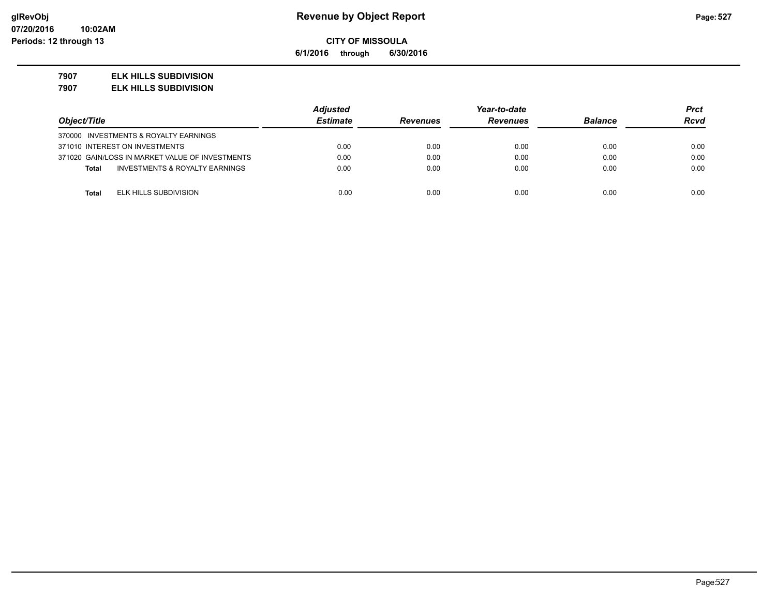**6/1/2016 through 6/30/2016**

#### **7907 ELK HILLS SUBDIVISION**

**7907 ELK HILLS SUBDIVISION**

|                                                 | <b>Adjusted</b> |                 | Year-to-date    |                | Prct |
|-------------------------------------------------|-----------------|-----------------|-----------------|----------------|------|
| Object/Title                                    | <b>Estimate</b> | <b>Revenues</b> | <b>Revenues</b> | <b>Balance</b> | Rcvd |
| 370000 INVESTMENTS & ROYALTY EARNINGS           |                 |                 |                 |                |      |
| 371010 INTEREST ON INVESTMENTS                  | 0.00            | 0.00            | 0.00            | 0.00           | 0.00 |
| 371020 GAIN/LOSS IN MARKET VALUE OF INVESTMENTS | 0.00            | 0.00            | 0.00            | 0.00           | 0.00 |
| INVESTMENTS & ROYALTY EARNINGS<br><b>Total</b>  | 0.00            | 0.00            | 0.00            | 0.00           | 0.00 |
|                                                 |                 |                 |                 |                |      |
| ELK HILLS SUBDIVISION<br>Total                  | 0.00            | 0.00            | 0.00            | 0.00           | 0.00 |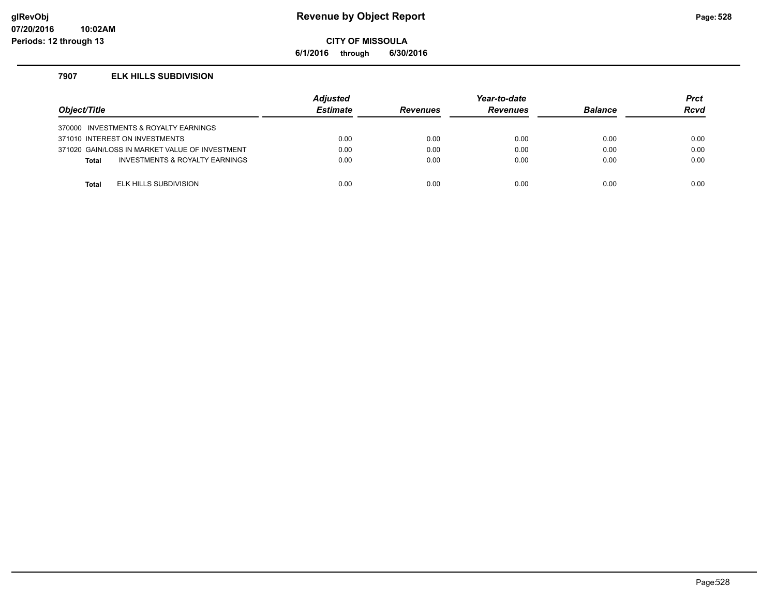#### **glRevObj Revenue by Object Report Page:528**

**CITY OF MISSOULA**

**6/1/2016 through 6/30/2016**

#### **7907 ELK HILLS SUBDIVISION**

| Object/Title |                                                | <b>Adjusted</b><br><b>Estimate</b> | <b>Revenues</b> | Year-to-date<br><b>Revenues</b> | <b>Balance</b> | <b>Prct</b><br><b>Rcvd</b> |
|--------------|------------------------------------------------|------------------------------------|-----------------|---------------------------------|----------------|----------------------------|
|              | 370000 INVESTMENTS & ROYALTY EARNINGS          |                                    |                 |                                 |                |                            |
|              | 371010 INTEREST ON INVESTMENTS                 | 0.00                               | 0.00            | 0.00                            | 0.00           | 0.00                       |
|              | 371020 GAIN/LOSS IN MARKET VALUE OF INVESTMENT | 0.00                               | 0.00            | 0.00                            | 0.00           | 0.00                       |
| <b>Total</b> | <b>INVESTMENTS &amp; ROYALTY EARNINGS</b>      | 0.00                               | 0.00            | 0.00                            | 0.00           | 0.00                       |
|              |                                                |                                    |                 |                                 |                |                            |
| Total        | ELK HILLS SUBDIVISION                          | 0.00                               | 0.00            | 0.00                            | 0.00           | 0.00                       |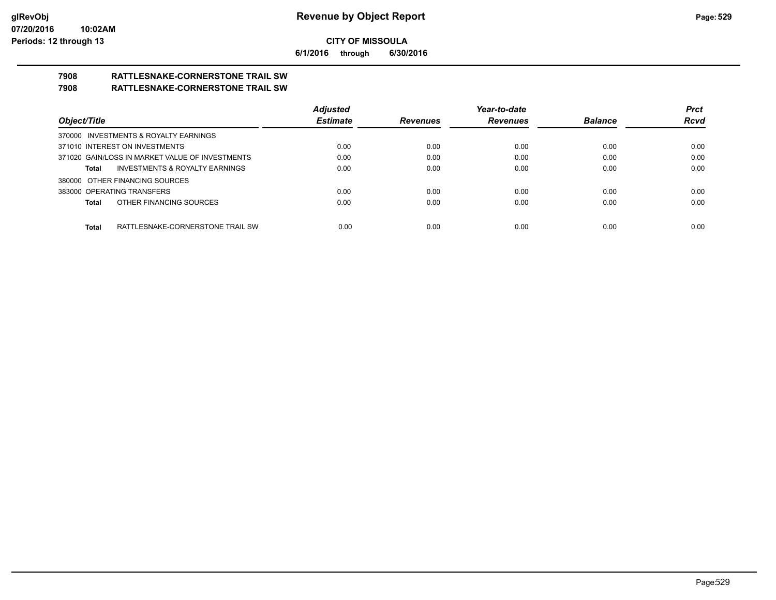**6/1/2016 through 6/30/2016**

# **7908 RATTLESNAKE-CORNERSTONE TRAIL SW**

### **7908 RATTLESNAKE-CORNERSTONE TRAIL SW**

|                                                    | <b>Adjusted</b> |                 | Year-to-date    |                | <b>Prct</b> |
|----------------------------------------------------|-----------------|-----------------|-----------------|----------------|-------------|
| Object/Title                                       | <b>Estimate</b> | <b>Revenues</b> | <b>Revenues</b> | <b>Balance</b> | <b>Rcvd</b> |
| 370000 INVESTMENTS & ROYALTY EARNINGS              |                 |                 |                 |                |             |
| 371010 INTEREST ON INVESTMENTS                     | 0.00            | 0.00            | 0.00            | 0.00           | 0.00        |
| 371020 GAIN/LOSS IN MARKET VALUE OF INVESTMENTS    | 0.00            | 0.00            | 0.00            | 0.00           | 0.00        |
| <b>INVESTMENTS &amp; ROYALTY EARNINGS</b><br>Total | 0.00            | 0.00            | 0.00            | 0.00           | 0.00        |
| 380000 OTHER FINANCING SOURCES                     |                 |                 |                 |                |             |
| 383000 OPERATING TRANSFERS                         | 0.00            | 0.00            | 0.00            | 0.00           | 0.00        |
| OTHER FINANCING SOURCES<br>Total                   | 0.00            | 0.00            | 0.00            | 0.00           | 0.00        |
|                                                    |                 |                 |                 |                |             |
| RATTLESNAKE-CORNERSTONE TRAIL SW<br>Total          | 0.00            | 0.00            | 0.00            | 0.00           | 0.00        |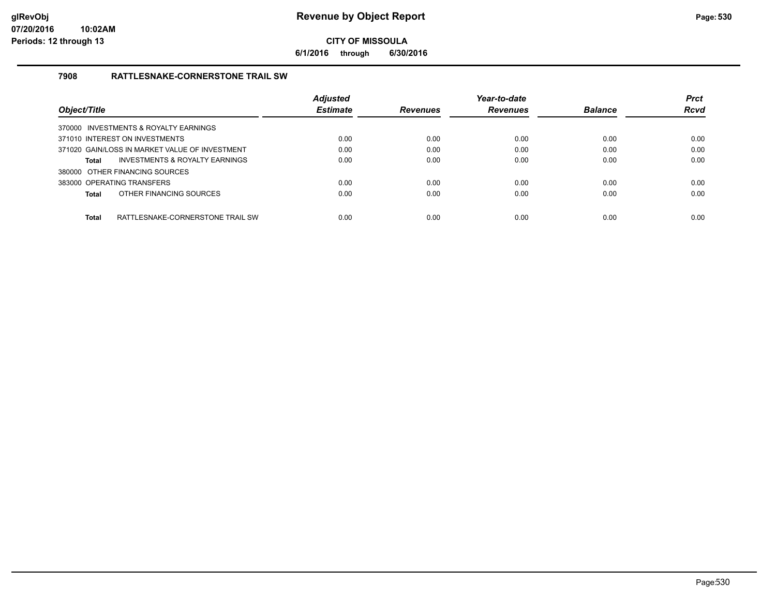**6/1/2016 through 6/30/2016**

#### **7908 RATTLESNAKE-CORNERSTONE TRAIL SW**

|              |                                                | <b>Adjusted</b> |                 | Year-to-date    |                | <b>Prct</b> |
|--------------|------------------------------------------------|-----------------|-----------------|-----------------|----------------|-------------|
| Object/Title |                                                | <b>Estimate</b> | <b>Revenues</b> | <b>Revenues</b> | <b>Balance</b> | <b>Rcvd</b> |
|              | 370000 INVESTMENTS & ROYALTY EARNINGS          |                 |                 |                 |                |             |
|              | 371010 INTEREST ON INVESTMENTS                 | 0.00            | 0.00            | 0.00            | 0.00           | 0.00        |
|              | 371020 GAIN/LOSS IN MARKET VALUE OF INVESTMENT | 0.00            | 0.00            | 0.00            | 0.00           | 0.00        |
| Total        | INVESTMENTS & ROYALTY EARNINGS                 | 0.00            | 0.00            | 0.00            | 0.00           | 0.00        |
|              | 380000 OTHER FINANCING SOURCES                 |                 |                 |                 |                |             |
|              | 383000 OPERATING TRANSFERS                     | 0.00            | 0.00            | 0.00            | 0.00           | 0.00        |
| Total        | OTHER FINANCING SOURCES                        | 0.00            | 0.00            | 0.00            | 0.00           | 0.00        |
| Total        | RATTLESNAKE-CORNERSTONE TRAIL SW               | 0.00            | 0.00            | 0.00            | 0.00           | 0.00        |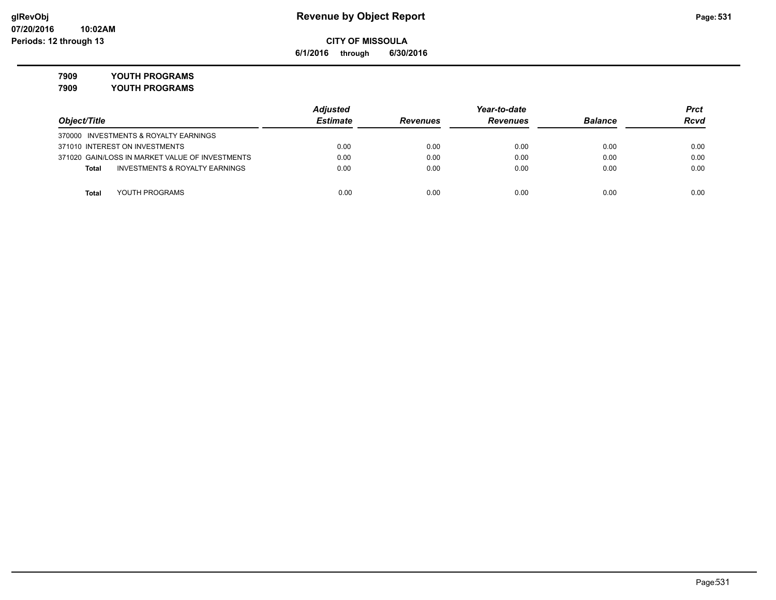**6/1/2016 through 6/30/2016**

**7909 YOUTH PROGRAMS**

**7909 YOUTH PROGRAMS**

|                                                 | <b>Adjusted</b> |                 | Year-to-date    |                | Prct        |
|-------------------------------------------------|-----------------|-----------------|-----------------|----------------|-------------|
| Object/Title                                    | <b>Estimate</b> | <b>Revenues</b> | <b>Revenues</b> | <b>Balance</b> | <b>Rcvd</b> |
| 370000 INVESTMENTS & ROYALTY EARNINGS           |                 |                 |                 |                |             |
| 371010 INTEREST ON INVESTMENTS                  | 0.00            | 0.00            | 0.00            | 0.00           | 0.00        |
| 371020 GAIN/LOSS IN MARKET VALUE OF INVESTMENTS | 0.00            | 0.00            | 0.00            | 0.00           | 0.00        |
| INVESTMENTS & ROYALTY EARNINGS<br><b>Total</b>  | 0.00            | 0.00            | 0.00            | 0.00           | 0.00        |
|                                                 |                 |                 |                 |                |             |
| YOUTH PROGRAMS<br><b>Total</b>                  | 0.00            | 0.00            | 0.00            | 0.00           | 0.00        |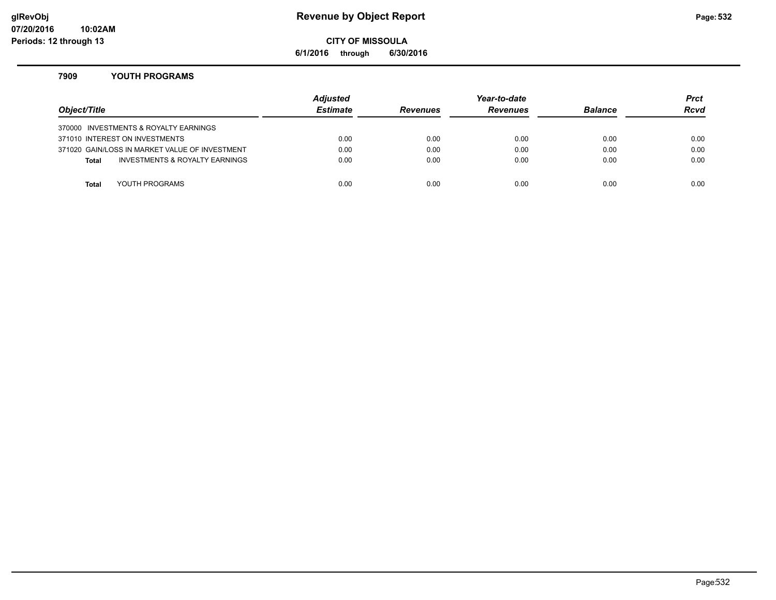#### **glRevObj Revenue by Object Report Page:532**

**CITY OF MISSOULA**

**6/1/2016 through 6/30/2016**

#### **7909 YOUTH PROGRAMS**

| Object/Title                                   | <b>Adjusted</b><br><b>Estimate</b> | <b>Revenues</b> | Year-to-date<br><b>Revenues</b> | <b>Balance</b> | <b>Prct</b><br>Rcvd |
|------------------------------------------------|------------------------------------|-----------------|---------------------------------|----------------|---------------------|
| 370000 INVESTMENTS & ROYALTY EARNINGS          |                                    |                 |                                 |                |                     |
| 371010 INTEREST ON INVESTMENTS                 | 0.00                               | 0.00            | 0.00                            | 0.00           | 0.00                |
| 371020 GAIN/LOSS IN MARKET VALUE OF INVESTMENT | 0.00                               | 0.00            | 0.00                            | 0.00           | 0.00                |
| INVESTMENTS & ROYALTY EARNINGS<br><b>Total</b> | 0.00                               | 0.00            | 0.00                            | 0.00           | 0.00                |
|                                                |                                    |                 |                                 |                |                     |
| YOUTH PROGRAMS<br>Total                        | 0.00                               | 0.00            | 0.00                            | 0.00           | 0.00                |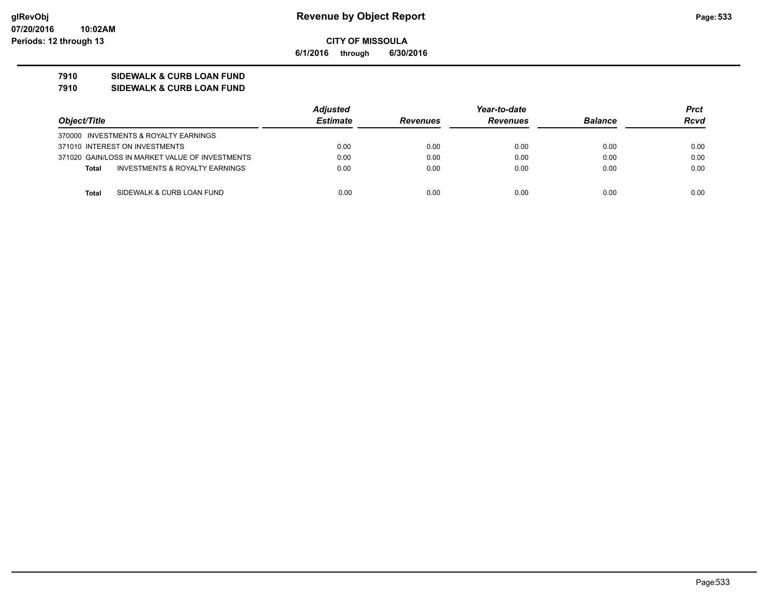**6/1/2016 through 6/30/2016**

### **7910 SIDEWALK & CURB LOAN FUND**

**7910 SIDEWALK & CURB LOAN FUND**

|                                                           | <b>Adjusted</b> |                 | Year-to-date    |                |             |
|-----------------------------------------------------------|-----------------|-----------------|-----------------|----------------|-------------|
| Object/Title                                              | <b>Estimate</b> | <b>Revenues</b> | <b>Revenues</b> | <b>Balance</b> | <b>Rcvd</b> |
| 370000 INVESTMENTS & ROYALTY EARNINGS                     |                 |                 |                 |                |             |
| 371010 INTEREST ON INVESTMENTS                            | 0.00            | 0.00            | 0.00            | 0.00           | 0.00        |
| 371020 GAIN/LOSS IN MARKET VALUE OF INVESTMENTS           | 0.00            | 0.00            | 0.00            | 0.00           | 0.00        |
| <b>INVESTMENTS &amp; ROYALTY EARNINGS</b><br><b>Total</b> | 0.00            | 0.00            | 0.00            | 0.00           | 0.00        |
|                                                           |                 |                 |                 |                |             |
| SIDEWALK & CURB LOAN FUND<br><b>Total</b>                 | 0.00            | 0.00            | 0.00            | 0.00           | 0.00        |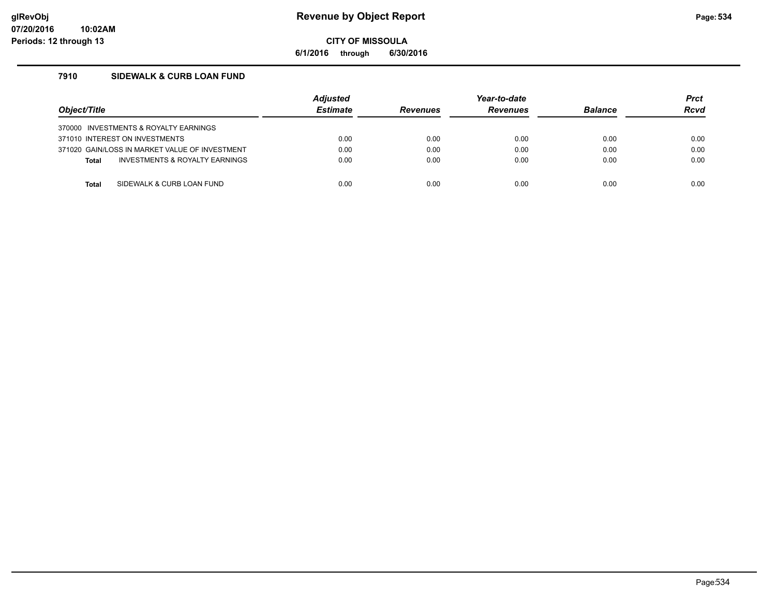**6/1/2016 through 6/30/2016**

#### **7910 SIDEWALK & CURB LOAN FUND**

| Object/Title |                                                | <b>Adjusted</b><br><b>Estimate</b> | <b>Revenues</b> | Year-to-date<br><b>Revenues</b> | <b>Balance</b> | <b>Prct</b><br><b>Rcvd</b> |
|--------------|------------------------------------------------|------------------------------------|-----------------|---------------------------------|----------------|----------------------------|
|              | 370000 INVESTMENTS & ROYALTY EARNINGS          |                                    |                 |                                 |                |                            |
|              | 371010 INTEREST ON INVESTMENTS                 | 0.00                               | 0.00            | 0.00                            | 0.00           | 0.00                       |
|              | 371020 GAIN/LOSS IN MARKET VALUE OF INVESTMENT | 0.00                               | 0.00            | 0.00                            | 0.00           | 0.00                       |
| <b>Total</b> | INVESTMENTS & ROYALTY EARNINGS                 | 0.00                               | 0.00            | 0.00                            | 0.00           | 0.00                       |
|              |                                                |                                    |                 |                                 |                |                            |
| <b>Total</b> | SIDEWALK & CURB LOAN FUND                      | 0.00                               | 0.00            | 0.00                            | 0.00           | 0.00                       |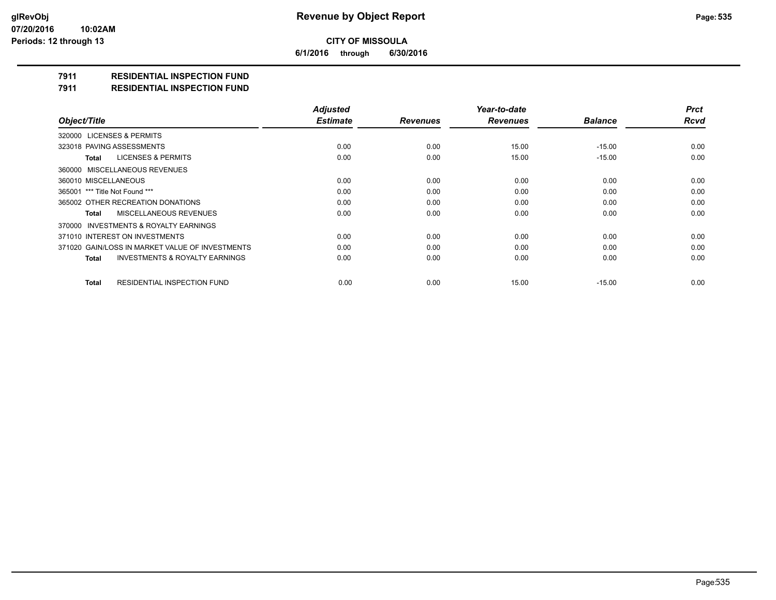**6/1/2016 through 6/30/2016**

**7911 RESIDENTIAL INSPECTION FUND**

**7911 RESIDENTIAL INSPECTION FUND**

|                                                    | <b>Adjusted</b> |                 | Year-to-date    |                | <b>Prct</b> |
|----------------------------------------------------|-----------------|-----------------|-----------------|----------------|-------------|
| Object/Title                                       | <b>Estimate</b> | <b>Revenues</b> | <b>Revenues</b> | <b>Balance</b> | <b>Rcvd</b> |
| 320000 LICENSES & PERMITS                          |                 |                 |                 |                |             |
| 323018 PAVING ASSESSMENTS                          | 0.00            | 0.00            | 15.00           | $-15.00$       | 0.00        |
| LICENSES & PERMITS<br>Total                        | 0.00            | 0.00            | 15.00           | $-15.00$       | 0.00        |
| 360000 MISCELLANEOUS REVENUES                      |                 |                 |                 |                |             |
| 360010 MISCELLANEOUS                               | 0.00            | 0.00            | 0.00            | 0.00           | 0.00        |
| 365001 *** Title Not Found ***                     | 0.00            | 0.00            | 0.00            | 0.00           | 0.00        |
| 365002 OTHER RECREATION DONATIONS                  | 0.00            | 0.00            | 0.00            | 0.00           | 0.00        |
| MISCELLANEOUS REVENUES<br>Total                    | 0.00            | 0.00            | 0.00            | 0.00           | 0.00        |
| 370000 INVESTMENTS & ROYALTY EARNINGS              |                 |                 |                 |                |             |
| 371010 INTEREST ON INVESTMENTS                     | 0.00            | 0.00            | 0.00            | 0.00           | 0.00        |
| 371020 GAIN/LOSS IN MARKET VALUE OF INVESTMENTS    | 0.00            | 0.00            | 0.00            | 0.00           | 0.00        |
| <b>INVESTMENTS &amp; ROYALTY EARNINGS</b><br>Total | 0.00            | 0.00            | 0.00            | 0.00           | 0.00        |
|                                                    |                 |                 |                 |                |             |
| RESIDENTIAL INSPECTION FUND<br>Total               | 0.00            | 0.00            | 15.00           | $-15.00$       | 0.00        |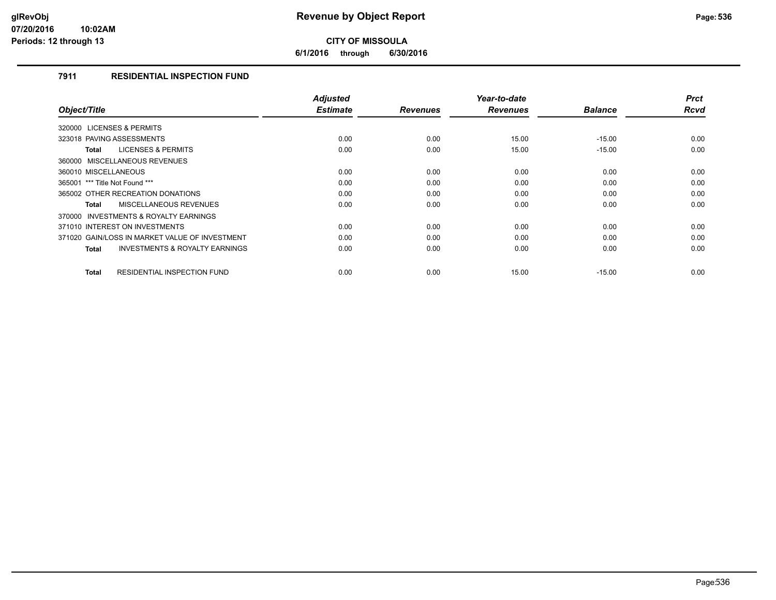**6/1/2016 through 6/30/2016**

### **7911 RESIDENTIAL INSPECTION FUND**

| Object/Title                                       | <b>Adjusted</b><br><b>Estimate</b> | <b>Revenues</b> | Year-to-date<br><b>Revenues</b> | <b>Balance</b> | <b>Prct</b><br>Rcvd |
|----------------------------------------------------|------------------------------------|-----------------|---------------------------------|----------------|---------------------|
| 320000 LICENSES & PERMITS                          |                                    |                 |                                 |                |                     |
| 323018 PAVING ASSESSMENTS                          | 0.00                               | 0.00            | 15.00                           | $-15.00$       | 0.00                |
| <b>LICENSES &amp; PERMITS</b><br>Total             | 0.00                               | 0.00            | 15.00                           | $-15.00$       | 0.00                |
| 360000 MISCELLANEOUS REVENUES                      |                                    |                 |                                 |                |                     |
| 360010 MISCELLANEOUS                               | 0.00                               | 0.00            | 0.00                            | 0.00           | 0.00                |
| 365001 *** Title Not Found ***                     | 0.00                               | 0.00            | 0.00                            | 0.00           | 0.00                |
| 365002 OTHER RECREATION DONATIONS                  | 0.00                               | 0.00            | 0.00                            | 0.00           | 0.00                |
| <b>MISCELLANEOUS REVENUES</b><br><b>Total</b>      | 0.00                               | 0.00            | 0.00                            | 0.00           | 0.00                |
| INVESTMENTS & ROYALTY EARNINGS<br>370000           |                                    |                 |                                 |                |                     |
| 371010 INTEREST ON INVESTMENTS                     | 0.00                               | 0.00            | 0.00                            | 0.00           | 0.00                |
| 371020 GAIN/LOSS IN MARKET VALUE OF INVESTMENT     | 0.00                               | 0.00            | 0.00                            | 0.00           | 0.00                |
| <b>INVESTMENTS &amp; ROYALTY EARNINGS</b><br>Total | 0.00                               | 0.00            | 0.00                            | 0.00           | 0.00                |
|                                                    |                                    |                 |                                 |                |                     |
| RESIDENTIAL INSPECTION FUND<br><b>Total</b>        | 0.00                               | 0.00            | 15.00                           | $-15.00$       | 0.00                |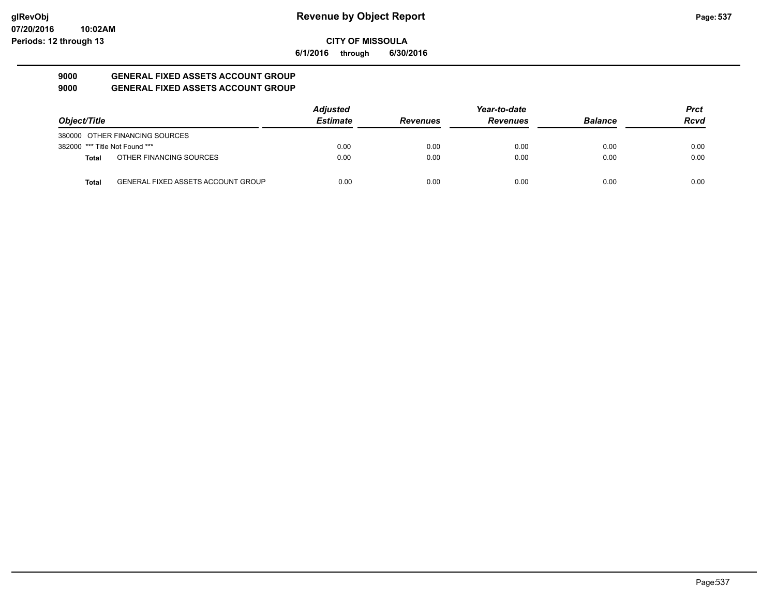**6/1/2016 through 6/30/2016**

#### **9000 GENERAL FIXED ASSETS ACCOUNT GROUP 9000 GENERAL FIXED ASSETS ACCOUNT GROUP**

|                                |                                           | <b>Adjusted</b> |                 | Year-to-date    |                | Prct |
|--------------------------------|-------------------------------------------|-----------------|-----------------|-----------------|----------------|------|
| Object/Title                   |                                           | <b>Estimate</b> | <b>Revenues</b> | <b>Revenues</b> | <b>Balance</b> | Rcvd |
|                                | 380000 OTHER FINANCING SOURCES            |                 |                 |                 |                |      |
| 382000 *** Title Not Found *** |                                           | 0.00            | 0.00            | 0.00            | 0.00           | 0.00 |
| <b>Total</b>                   | OTHER FINANCING SOURCES                   | 0.00            | 0.00            | 0.00            | 0.00           | 0.00 |
| <b>Total</b>                   | <b>GENERAL FIXED ASSETS ACCOUNT GROUP</b> | 0.00            | 0.00            | 0.00            | 0.00           | 0.00 |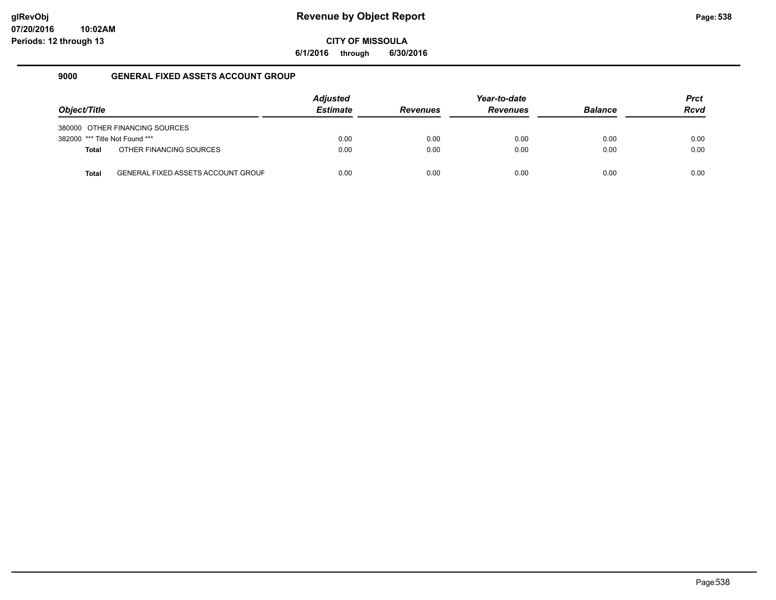**6/1/2016 through 6/30/2016**

#### **9000 GENERAL FIXED ASSETS ACCOUNT GROUP**

|                                |                                           | <b>Adjusted</b> |                 | Year-to-date    |                | <b>Prct</b> |
|--------------------------------|-------------------------------------------|-----------------|-----------------|-----------------|----------------|-------------|
| Object/Title                   |                                           | <b>Estimate</b> | <b>Revenues</b> | <b>Revenues</b> | <b>Balance</b> | <b>Rcvd</b> |
|                                | 380000 OTHER FINANCING SOURCES            |                 |                 |                 |                |             |
| 382000 *** Title Not Found *** |                                           | 0.00            | 0.00            | 0.00            | 0.00           | 0.00        |
| Total                          | OTHER FINANCING SOURCES                   | 0.00            | 0.00            | 0.00            | 0.00           | 0.00        |
| Total                          | <b>GENERAL FIXED ASSETS ACCOUNT GROUF</b> | 0.00            | 0.00            | 0.00            | 0.00           | 0.00        |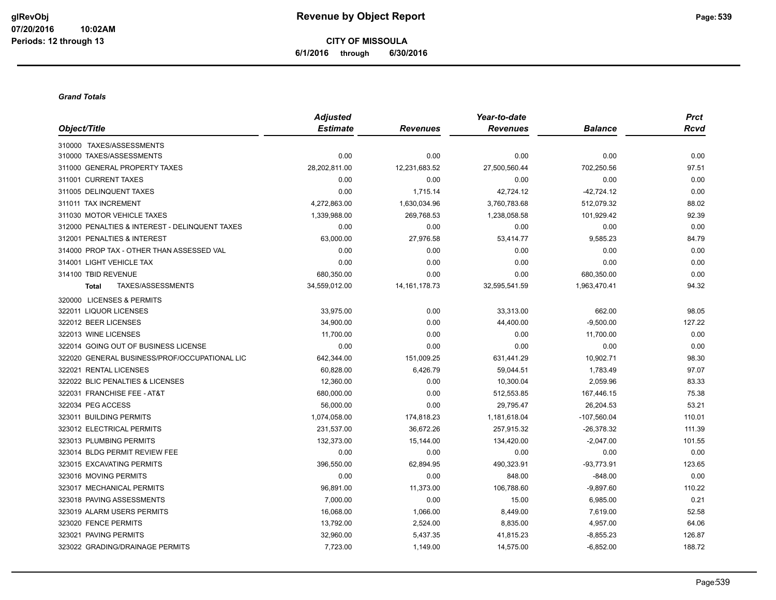**CITY OF MISSOULA 6/1/2016 through 6/30/2016**

#### *Grand Totals*

|                                                | <b>Adjusted</b> |                  | Year-to-date    |                | <b>Prct</b> |
|------------------------------------------------|-----------------|------------------|-----------------|----------------|-------------|
| Object/Title                                   | <b>Estimate</b> | <b>Revenues</b>  | <b>Revenues</b> | <b>Balance</b> | <b>Rcvd</b> |
| 310000 TAXES/ASSESSMENTS                       |                 |                  |                 |                |             |
| 310000 TAXES/ASSESSMENTS                       | 0.00            | 0.00             | 0.00            | 0.00           | 0.00        |
| 311000 GENERAL PROPERTY TAXES                  | 28,202,811.00   | 12,231,683.52    | 27,500,560.44   | 702,250.56     | 97.51       |
| 311001 CURRENT TAXES                           | 0.00            | 0.00             | 0.00            | 0.00           | 0.00        |
| 311005 DELINQUENT TAXES                        | 0.00            | 1,715.14         | 42,724.12       | $-42,724.12$   | 0.00        |
| 311011 TAX INCREMENT                           | 4,272,863.00    | 1,630,034.96     | 3,760,783.68    | 512,079.32     | 88.02       |
| 311030 MOTOR VEHICLE TAXES                     | 1,339,988.00    | 269,768.53       | 1,238,058.58    | 101,929.42     | 92.39       |
| 312000 PENALTIES & INTEREST - DELINQUENT TAXES | 0.00            | 0.00             | 0.00            | 0.00           | 0.00        |
| 312001 PENALTIES & INTEREST                    | 63,000.00       | 27,976.58        | 53,414.77       | 9,585.23       | 84.79       |
| 314000 PROP TAX - OTHER THAN ASSESSED VAL      | 0.00            | 0.00             | 0.00            | 0.00           | 0.00        |
| 314001 LIGHT VEHICLE TAX                       | 0.00            | 0.00             | 0.00            | 0.00           | 0.00        |
| 314100 TBID REVENUE                            | 680,350.00      | 0.00             | 0.00            | 680,350.00     | 0.00        |
| TAXES/ASSESSMENTS<br><b>Total</b>              | 34,559,012.00   | 14, 161, 178. 73 | 32,595,541.59   | 1,963,470.41   | 94.32       |
| 320000 LICENSES & PERMITS                      |                 |                  |                 |                |             |
| 322011 LIQUOR LICENSES                         | 33,975.00       | 0.00             | 33,313.00       | 662.00         | 98.05       |
| 322012 BEER LICENSES                           | 34,900.00       | 0.00             | 44,400.00       | $-9,500.00$    | 127.22      |
| 322013 WINE LICENSES                           | 11,700.00       | 0.00             | 0.00            | 11,700.00      | 0.00        |
| 322014 GOING OUT OF BUSINESS LICENSE           | 0.00            | 0.00             | 0.00            | 0.00           | 0.00        |
| 322020 GENERAL BUSINESS/PROF/OCCUPATIONAL LIC  | 642,344.00      | 151,009.25       | 631,441.29      | 10,902.71      | 98.30       |
| 322021 RENTAL LICENSES                         | 60,828.00       | 6,426.79         | 59,044.51       | 1,783.49       | 97.07       |
| 322022 BLIC PENALTIES & LICENSES               | 12,360.00       | 0.00             | 10,300.04       | 2,059.96       | 83.33       |
| 322031 FRANCHISE FEE - AT&T                    | 680,000.00      | 0.00             | 512,553.85      | 167,446.15     | 75.38       |
| 322034 PEG ACCESS                              | 56,000.00       | 0.00             | 29,795.47       | 26,204.53      | 53.21       |
| 323011 BUILDING PERMITS                        | 1,074,058.00    | 174,818.23       | 1,181,618.04    | $-107,560.04$  | 110.01      |
| 323012 ELECTRICAL PERMITS                      | 231,537.00      | 36,672.26        | 257,915.32      | $-26,378.32$   | 111.39      |
| 323013 PLUMBING PERMITS                        | 132,373.00      | 15,144.00        | 134,420.00      | $-2,047.00$    | 101.55      |
| 323014 BLDG PERMIT REVIEW FEE                  | 0.00            | 0.00             | 0.00            | 0.00           | 0.00        |
| 323015 EXCAVATING PERMITS                      | 396,550.00      | 62,894.95        | 490,323.91      | $-93,773.91$   | 123.65      |
| 323016 MOVING PERMITS                          | 0.00            | 0.00             | 848.00          | $-848.00$      | 0.00        |
| 323017 MECHANICAL PERMITS                      | 96,891.00       | 11,373.00        | 106,788.60      | $-9,897.60$    | 110.22      |
| 323018 PAVING ASSESSMENTS                      | 7,000.00        | 0.00             | 15.00           | 6,985.00       | 0.21        |
| 323019 ALARM USERS PERMITS                     | 16,068.00       | 1,066.00         | 8,449.00        | 7,619.00       | 52.58       |
| 323020 FENCE PERMITS                           | 13,792.00       | 2,524.00         | 8,835.00        | 4,957.00       | 64.06       |
| 323021 PAVING PERMITS                          | 32,960.00       | 5,437.35         | 41,815.23       | $-8,855.23$    | 126.87      |
| 323022 GRADING/DRAINAGE PERMITS                | 7,723.00        | 1,149.00         | 14,575.00       | $-6,852.00$    | 188.72      |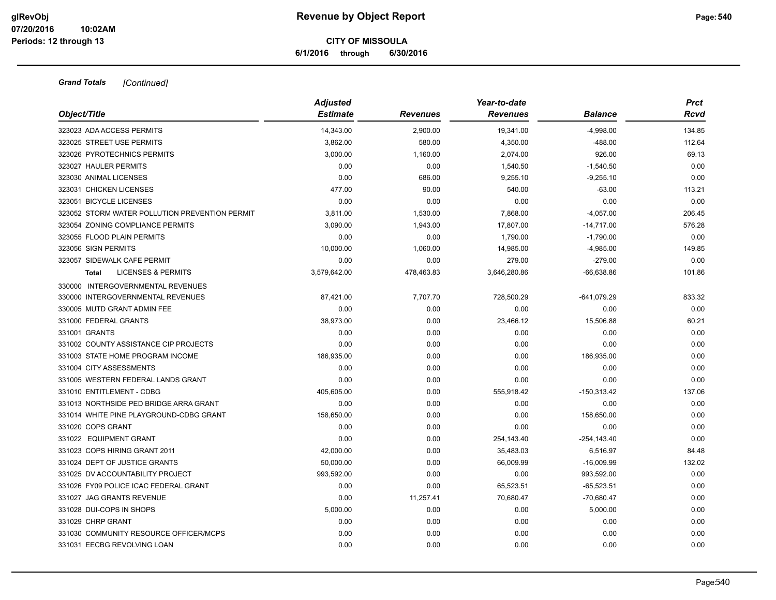**6/1/2016 through 6/30/2016**

#### *Grand Totals [Continued]*

| Object/Title                                   | <b>Adjusted</b><br><b>Estimate</b> | <b>Revenues</b> | Year-to-date<br><b>Revenues</b> | <b>Balance</b> | <b>Prct</b><br>Rcvd |
|------------------------------------------------|------------------------------------|-----------------|---------------------------------|----------------|---------------------|
| 323023 ADA ACCESS PERMITS                      | 14,343.00                          | 2,900.00        | 19,341.00                       | $-4,998.00$    | 134.85              |
| 323025 STREET USE PERMITS                      | 3,862.00                           | 580.00          | 4,350.00                        | $-488.00$      | 112.64              |
| 323026 PYROTECHNICS PERMITS                    | 3.000.00                           | 1,160.00        | 2,074.00                        | 926.00         | 69.13               |
| 323027 HAULER PERMITS                          | 0.00                               | 0.00            | 1,540.50                        | $-1,540.50$    | 0.00                |
| 323030 ANIMAL LICENSES                         | 0.00                               | 686.00          | 9,255.10                        | $-9,255.10$    | 0.00                |
| 323031 CHICKEN LICENSES                        | 477.00                             | 90.00           | 540.00                          | $-63.00$       | 113.21              |
| 323051 BICYCLE LICENSES                        | 0.00                               | 0.00            | 0.00                            | 0.00           | 0.00                |
| 323052 STORM WATER POLLUTION PREVENTION PERMIT | 3,811.00                           | 1,530.00        | 7,868.00                        | $-4,057.00$    | 206.45              |
| 323054 ZONING COMPLIANCE PERMITS               | 3,090.00                           | 1,943.00        | 17,807.00                       | $-14,717.00$   | 576.28              |
| 323055 FLOOD PLAIN PERMITS                     | 0.00                               | 0.00            | 1,790.00                        | $-1,790.00$    | 0.00                |
| 323056 SIGN PERMITS                            | 10,000.00                          | 1,060.00        | 14,985.00                       | $-4,985.00$    | 149.85              |
| 323057 SIDEWALK CAFE PERMIT                    | 0.00                               | 0.00            | 279.00                          | $-279.00$      | 0.00                |
| <b>LICENSES &amp; PERMITS</b><br><b>Total</b>  | 3,579,642.00                       | 478,463.83      | 3,646,280.86                    | $-66,638.86$   | 101.86              |
| 330000 INTERGOVERNMENTAL REVENUES              |                                    |                 |                                 |                |                     |
| 330000 INTERGOVERNMENTAL REVENUES              | 87,421.00                          | 7,707.70        | 728,500.29                      | $-641,079.29$  | 833.32              |
| 330005 MUTD GRANT ADMIN FEE                    | 0.00                               | 0.00            | 0.00                            | 0.00           | 0.00                |
| 331000 FEDERAL GRANTS                          | 38,973.00                          | 0.00            | 23,466.12                       | 15,506.88      | 60.21               |
| 331001 GRANTS                                  | 0.00                               | 0.00            | 0.00                            | 0.00           | 0.00                |
| 331002 COUNTY ASSISTANCE CIP PROJECTS          | 0.00                               | 0.00            | 0.00                            | 0.00           | 0.00                |
| 331003 STATE HOME PROGRAM INCOME               | 186,935.00                         | 0.00            | 0.00                            | 186,935.00     | 0.00                |
| 331004 CITY ASSESSMENTS                        | 0.00                               | 0.00            | 0.00                            | 0.00           | 0.00                |
| 331005 WESTERN FEDERAL LANDS GRANT             | 0.00                               | 0.00            | 0.00                            | 0.00           | 0.00                |
| 331010 ENTITLEMENT - CDBG                      | 405,605.00                         | 0.00            | 555,918.42                      | $-150,313.42$  | 137.06              |
| 331013 NORTHSIDE PED BRIDGE ARRA GRANT         | 0.00                               | 0.00            | 0.00                            | 0.00           | 0.00                |
| 331014 WHITE PINE PLAYGROUND-CDBG GRANT        | 158,650.00                         | 0.00            | 0.00                            | 158,650.00     | 0.00                |
| 331020 COPS GRANT                              | 0.00                               | 0.00            | 0.00                            | 0.00           | 0.00                |
| 331022 EQUIPMENT GRANT                         | 0.00                               | 0.00            | 254,143.40                      | $-254, 143.40$ | 0.00                |
| 331023 COPS HIRING GRANT 2011                  | 42,000.00                          | 0.00            | 35,483.03                       | 6,516.97       | 84.48               |
| 331024 DEPT OF JUSTICE GRANTS                  | 50,000.00                          | 0.00            | 66,009.99                       | $-16,009.99$   | 132.02              |
| 331025 DV ACCOUNTABILITY PROJECT               | 993,592.00                         | 0.00            | 0.00                            | 993,592.00     | 0.00                |
| 331026 FY09 POLICE ICAC FEDERAL GRANT          | 0.00                               | 0.00            | 65,523.51                       | $-65,523.51$   | 0.00                |
| 331027 JAG GRANTS REVENUE                      | 0.00                               | 11,257.41       | 70,680.47                       | $-70,680.47$   | 0.00                |
| 331028 DUI-COPS IN SHOPS                       | 5,000.00                           | 0.00            | 0.00                            | 5,000.00       | 0.00                |
| 331029 CHRP GRANT                              | 0.00                               | 0.00            | 0.00                            | 0.00           | 0.00                |
| 331030 COMMUNITY RESOURCE OFFICER/MCPS         | 0.00                               | 0.00            | 0.00                            | 0.00           | 0.00                |
| 331031 EECBG REVOLVING LOAN                    | 0.00                               | 0.00            | 0.00                            | 0.00           | 0.00                |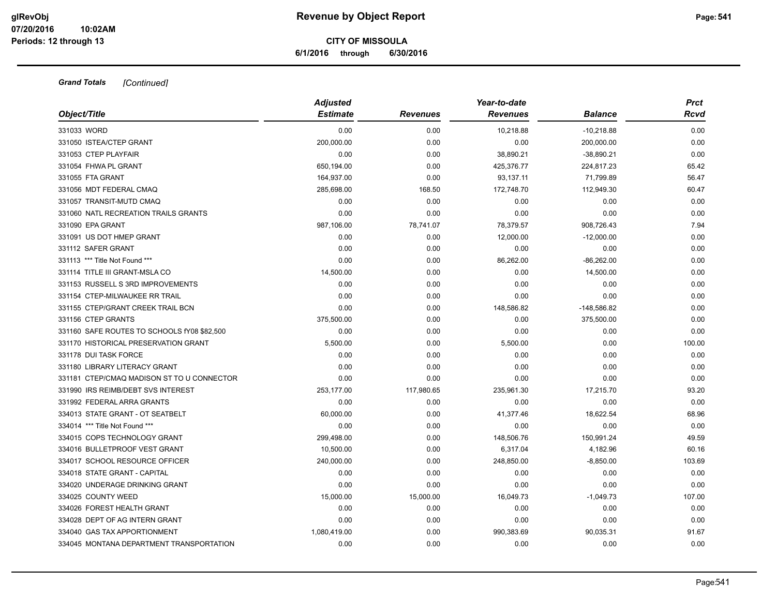**6/1/2016 through 6/30/2016**

| Object/Title                                | <b>Adjusted</b> |                 | Year-to-date    |                | <b>Prct</b> |
|---------------------------------------------|-----------------|-----------------|-----------------|----------------|-------------|
|                                             | <b>Estimate</b> | <b>Revenues</b> | <b>Revenues</b> | <b>Balance</b> | Rcvd        |
| 331033 WORD                                 | 0.00            | 0.00            | 10,218.88       | $-10,218.88$   | 0.00        |
| 331050 ISTEA/CTEP GRANT                     | 200,000.00      | 0.00            | 0.00            | 200,000.00     | 0.00        |
| 331053 CTEP PLAYFAIR                        | 0.00            | 0.00            | 38,890.21       | $-38,890.21$   | 0.00        |
| 331054 FHWA PL GRANT                        | 650,194.00      | 0.00            | 425,376.77      | 224,817.23     | 65.42       |
| 331055 FTA GRANT                            | 164,937.00      | 0.00            | 93,137.11       | 71,799.89      | 56.47       |
| 331056 MDT FEDERAL CMAQ                     | 285,698.00      | 168.50          | 172,748.70      | 112,949.30     | 60.47       |
| 331057 TRANSIT-MUTD CMAQ                    | 0.00            | 0.00            | 0.00            | 0.00           | 0.00        |
| 331060 NATL RECREATION TRAILS GRANTS        | 0.00            | 0.00            | 0.00            | 0.00           | 0.00        |
| 331090 EPA GRANT                            | 987,106.00      | 78,741.07       | 78,379.57       | 908,726.43     | 7.94        |
| 331091 US DOT HMEP GRANT                    | 0.00            | 0.00            | 12,000.00       | $-12,000.00$   | 0.00        |
| 331112 SAFER GRANT                          | 0.00            | 0.00            | 0.00            | 0.00           | 0.00        |
| 331113 *** Title Not Found ***              | 0.00            | 0.00            | 86,262.00       | $-86,262.00$   | 0.00        |
| 331114 TITLE III GRANT-MSLA CO              | 14,500.00       | 0.00            | 0.00            | 14,500.00      | 0.00        |
| 331153 RUSSELL S 3RD IMPROVEMENTS           | 0.00            | 0.00            | 0.00            | 0.00           | 0.00        |
| 331154 CTEP-MILWAUKEE RR TRAIL              | 0.00            | 0.00            | 0.00            | 0.00           | 0.00        |
| 331155 CTEP/GRANT CREEK TRAIL BCN           | 0.00            | 0.00            | 148,586.82      | $-148,586.82$  | 0.00        |
| 331156 CTEP GRANTS                          | 375,500.00      | 0.00            | 0.00            | 375,500.00     | 0.00        |
| 331160 SAFE ROUTES TO SCHOOLS fY08 \$82,500 | 0.00            | 0.00            | 0.00            | 0.00           | 0.00        |
| 331170 HISTORICAL PRESERVATION GRANT        | 5,500.00        | 0.00            | 5,500.00        | 0.00           | 100.00      |
| 331178 DUI TASK FORCE                       | 0.00            | 0.00            | 0.00            | 0.00           | 0.00        |
| 331180 LIBRARY LITERACY GRANT               | 0.00            | 0.00            | 0.00            | 0.00           | 0.00        |
| 331181 CTEP/CMAQ MADISON ST TO U CONNECTOR  | 0.00            | 0.00            | 0.00            | 0.00           | 0.00        |
| 331990 IRS REIMB/DEBT SVS INTEREST          | 253,177.00      | 117,980.65      | 235,961.30      | 17,215.70      | 93.20       |
| 331992 FEDERAL ARRA GRANTS                  | 0.00            | 0.00            | 0.00            | 0.00           | 0.00        |
| 334013 STATE GRANT - OT SEATBELT            | 60,000.00       | 0.00            | 41,377.46       | 18,622.54      | 68.96       |
| 334014 *** Title Not Found ***              | 0.00            | 0.00            | 0.00            | 0.00           | 0.00        |
| 334015 COPS TECHNOLOGY GRANT                | 299,498.00      | 0.00            | 148,506.76      | 150,991.24     | 49.59       |
| 334016 BULLETPROOF VEST GRANT               | 10,500.00       | 0.00            | 6,317.04        | 4,182.96       | 60.16       |
| 334017 SCHOOL RESOURCE OFFICER              | 240,000.00      | 0.00            | 248,850.00      | $-8,850.00$    | 103.69      |
| 334018 STATE GRANT - CAPITAL                | 0.00            | 0.00            | 0.00            | 0.00           | 0.00        |
| 334020 UNDERAGE DRINKING GRANT              | 0.00            | 0.00            | 0.00            | 0.00           | 0.00        |
| 334025 COUNTY WEED                          | 15,000.00       | 15,000.00       | 16,049.73       | $-1,049.73$    | 107.00      |
| 334026 FOREST HEALTH GRANT                  | 0.00            | 0.00            | 0.00            | 0.00           | 0.00        |
| 334028 DEPT OF AG INTERN GRANT              | 0.00            | 0.00            | 0.00            | 0.00           | 0.00        |
| 334040 GAS TAX APPORTIONMENT                | 1,080,419.00    | 0.00            | 990,383.69      | 90,035.31      | 91.67       |
| 334045 MONTANA DEPARTMENT TRANSPORTATION    | 0.00            | 0.00            | 0.00            | 0.00           | 0.00        |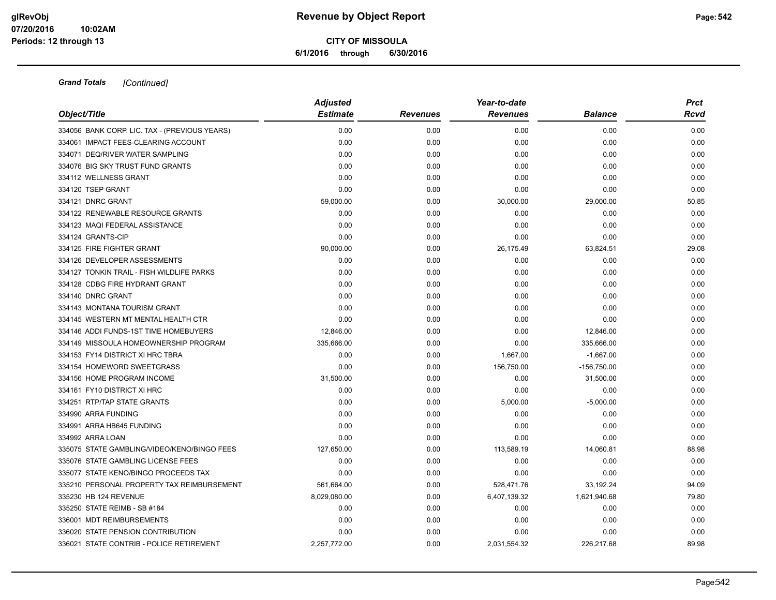**6/1/2016 through 6/30/2016**

| Object/Title                                  | <b>Adjusted</b> |                 | Year-to-date    | <b>Prct</b>    |       |
|-----------------------------------------------|-----------------|-----------------|-----------------|----------------|-------|
|                                               | <b>Estimate</b> | <b>Revenues</b> | <b>Revenues</b> | <b>Balance</b> | Rcvd  |
| 334056 BANK CORP. LIC. TAX - (PREVIOUS YEARS) | 0.00            | 0.00            | 0.00            | 0.00           | 0.00  |
| 334061 IMPACT FEES-CLEARING ACCOUNT           | 0.00            | 0.00            | 0.00            | 0.00           | 0.00  |
| 334071 DEQ/RIVER WATER SAMPLING               | 0.00            | 0.00            | 0.00            | 0.00           | 0.00  |
| 334076 BIG SKY TRUST FUND GRANTS              | 0.00            | 0.00            | 0.00            | 0.00           | 0.00  |
| 334112 WELLNESS GRANT                         | 0.00            | 0.00            | 0.00            | 0.00           | 0.00  |
| 334120 TSEP GRANT                             | 0.00            | 0.00            | 0.00            | 0.00           | 0.00  |
| 334121 DNRC GRANT                             | 59,000.00       | 0.00            | 30,000.00       | 29,000.00      | 50.85 |
| 334122 RENEWABLE RESOURCE GRANTS              | 0.00            | 0.00            | 0.00            | 0.00           | 0.00  |
| 334123 MAQI FEDERAL ASSISTANCE                | 0.00            | 0.00            | 0.00            | 0.00           | 0.00  |
| 334124 GRANTS-CIP                             | 0.00            | 0.00            | 0.00            | 0.00           | 0.00  |
| 334125 FIRE FIGHTER GRANT                     | 90,000.00       | 0.00            | 26,175.49       | 63,824.51      | 29.08 |
| 334126 DEVELOPER ASSESSMENTS                  | 0.00            | 0.00            | 0.00            | 0.00           | 0.00  |
| 334127 TONKIN TRAIL - FISH WILDLIFE PARKS     | 0.00            | 0.00            | 0.00            | 0.00           | 0.00  |
| 334128 CDBG FIRE HYDRANT GRANT                | 0.00            | 0.00            | 0.00            | 0.00           | 0.00  |
| 334140 DNRC GRANT                             | 0.00            | 0.00            | 0.00            | 0.00           | 0.00  |
| 334143 MONTANA TOURISM GRANT                  | 0.00            | 0.00            | 0.00            | 0.00           | 0.00  |
| 334145 WESTERN MT MENTAL HEALTH CTR           | 0.00            | 0.00            | 0.00            | 0.00           | 0.00  |
| 334146 ADDI FUNDS-1ST TIME HOMEBUYERS         | 12,846.00       | 0.00            | 0.00            | 12,846.00      | 0.00  |
| 334149 MISSOULA HOMEOWNERSHIP PROGRAM         | 335,666.00      | 0.00            | 0.00            | 335,666.00     | 0.00  |
| 334153 FY14 DISTRICT XI HRC TBRA              | 0.00            | 0.00            | 1,667.00        | $-1,667.00$    | 0.00  |
| 334154 HOMEWORD SWEETGRASS                    | 0.00            | 0.00            | 156,750.00      | $-156,750.00$  | 0.00  |
| 334156 HOME PROGRAM INCOME                    | 31,500.00       | 0.00            | 0.00            | 31,500.00      | 0.00  |
| 334161 FY10 DISTRICT XI HRC                   | 0.00            | 0.00            | 0.00            | 0.00           | 0.00  |
| 334251 RTP/TAP STATE GRANTS                   | 0.00            | 0.00            | 5,000.00        | $-5,000.00$    | 0.00  |
| 334990 ARRA FUNDING                           | 0.00            | 0.00            | 0.00            | 0.00           | 0.00  |
| 334991 ARRA HB645 FUNDING                     | 0.00            | 0.00            | 0.00            | 0.00           | 0.00  |
| 334992 ARRA LOAN                              | 0.00            | 0.00            | 0.00            | 0.00           | 0.00  |
| 335075 STATE GAMBLING/VIDEO/KENO/BINGO FEES   | 127,650.00      | 0.00            | 113,589.19      | 14,060.81      | 88.98 |
| 335076 STATE GAMBLING LICENSE FEES            | 0.00            | 0.00            | 0.00            | 0.00           | 0.00  |
| 335077 STATE KENO/BINGO PROCEEDS TAX          | 0.00            | 0.00            | 0.00            | 0.00           | 0.00  |
| 335210 PERSONAL PROPERTY TAX REIMBURSEMENT    | 561,664.00      | 0.00            | 528,471.76      | 33,192.24      | 94.09 |
| 335230 HB 124 REVENUE                         | 8,029,080.00    | 0.00            | 6,407,139.32    | 1,621,940.68   | 79.80 |
| 335250 STATE REIMB - SB #184                  | 0.00            | 0.00            | 0.00            | 0.00           | 0.00  |
| 336001 MDT REIMBURSEMENTS                     | 0.00            | 0.00            | 0.00            | 0.00           | 0.00  |
| 336020 STATE PENSION CONTRIBUTION             | 0.00            | 0.00            | 0.00            | 0.00           | 0.00  |
| 336021 STATE CONTRIB - POLICE RETIREMENT      | 2.257.772.00    | 0.00            | 2,031,554.32    | 226.217.68     | 89.98 |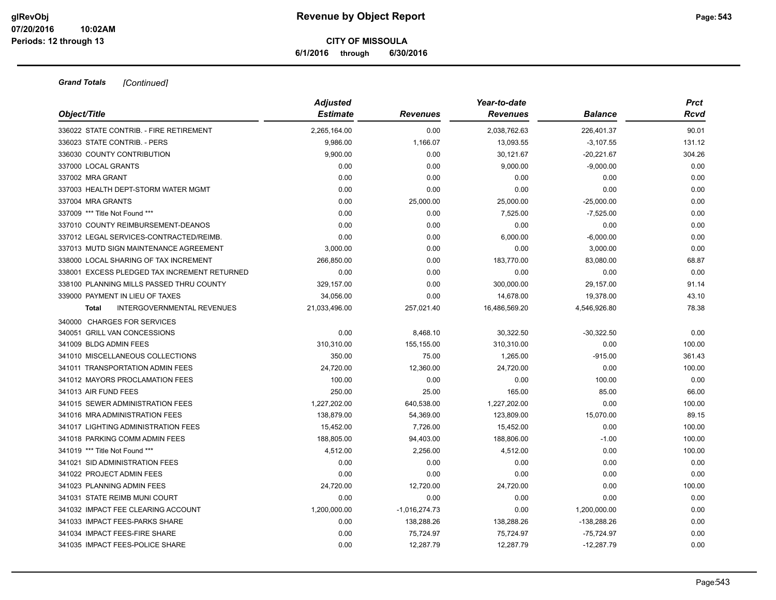**6/1/2016 through 6/30/2016**

| Object/Title                                      | <b>Adjusted</b><br><b>Estimate</b> | <b>Revenues</b> | Year-to-date<br><b>Revenues</b> | <b>Balance</b> | <b>Prct</b><br>Rcvd |
|---------------------------------------------------|------------------------------------|-----------------|---------------------------------|----------------|---------------------|
| 336022 STATE CONTRIB. - FIRE RETIREMENT           | 2,265,164.00                       | 0.00            | 2,038,762.63                    | 226,401.37     | 90.01               |
| 336023 STATE CONTRIB. - PERS                      | 9,986.00                           | 1,166.07        | 13,093.55                       | $-3,107.55$    | 131.12              |
| 336030 COUNTY CONTRIBUTION                        | 9,900.00                           | 0.00            | 30,121.67                       | $-20,221.67$   | 304.26              |
| 337000 LOCAL GRANTS                               | 0.00                               | 0.00            | 9,000.00                        | $-9,000.00$    | 0.00                |
| 337002 MRA GRANT                                  | 0.00                               | 0.00            | 0.00                            | 0.00           | 0.00                |
| 337003 HEALTH DEPT-STORM WATER MGMT               | 0.00                               | 0.00            | 0.00                            | 0.00           | 0.00                |
| 337004 MRA GRANTS                                 | 0.00                               | 25,000.00       | 25,000.00                       | $-25,000.00$   | 0.00                |
| 337009 *** Title Not Found ***                    | 0.00                               | 0.00            | 7,525.00                        | $-7,525.00$    | 0.00                |
| 337010 COUNTY REIMBURSEMENT-DEANOS                | 0.00                               | 0.00            | 0.00                            | 0.00           | 0.00                |
| 337012 LEGAL SERVICES-CONTRACTED/REIMB.           | 0.00                               | 0.00            | 6,000.00                        | $-6,000.00$    | 0.00                |
| 337013 MUTD SIGN MAINTENANCE AGREEMENT            | 3,000.00                           | 0.00            | 0.00                            | 3,000.00       | 0.00                |
| 338000 LOCAL SHARING OF TAX INCREMENT             | 266,850.00                         | 0.00            | 183,770.00                      | 83,080.00      | 68.87               |
| 338001 EXCESS PLEDGED TAX INCREMENT RETURNED      | 0.00                               | 0.00            | 0.00                            | 0.00           | 0.00                |
| 338100 PLANNING MILLS PASSED THRU COUNTY          | 329,157.00                         | 0.00            | 300,000.00                      | 29,157.00      | 91.14               |
| 339000 PAYMENT IN LIEU OF TAXES                   | 34,056.00                          | 0.00            | 14,678.00                       | 19,378.00      | 43.10               |
| <b>INTERGOVERNMENTAL REVENUES</b><br><b>Total</b> | 21,033,496.00                      | 257,021.40      | 16,486,569.20                   | 4,546,926.80   | 78.38               |
| 340000 CHARGES FOR SERVICES                       |                                    |                 |                                 |                |                     |
| 340051 GRILL VAN CONCESSIONS                      | 0.00                               | 8,468.10        | 30,322.50                       | $-30,322.50$   | 0.00                |
| 341009 BLDG ADMIN FEES                            | 310,310.00                         | 155,155.00      | 310,310.00                      | 0.00           | 100.00              |
| 341010 MISCELLANEOUS COLLECTIONS                  | 350.00                             | 75.00           | 1,265.00                        | $-915.00$      | 361.43              |
| 341011 TRANSPORTATION ADMIN FEES                  | 24,720.00                          | 12,360.00       | 24,720.00                       | 0.00           | 100.00              |
| 341012 MAYORS PROCLAMATION FEES                   | 100.00                             | 0.00            | 0.00                            | 100.00         | 0.00                |
| 341013 AIR FUND FEES                              | 250.00                             | 25.00           | 165.00                          | 85.00          | 66.00               |
| 341015 SEWER ADMINISTRATION FEES                  | 1,227,202.00                       | 640,538.00      | 1,227,202.00                    | 0.00           | 100.00              |
| 341016 MRA ADMINISTRATION FEES                    | 138,879.00                         | 54,369.00       | 123,809.00                      | 15,070.00      | 89.15               |
| 341017 LIGHTING ADMINISTRATION FEES               | 15,452.00                          | 7,726.00        | 15.452.00                       | 0.00           | 100.00              |
| 341018 PARKING COMM ADMIN FEES                    | 188,805.00                         | 94,403.00       | 188,806.00                      | $-1.00$        | 100.00              |
| 341019 *** Title Not Found ***                    | 4,512.00                           | 2,256.00        | 4,512.00                        | 0.00           | 100.00              |
| 341021 SID ADMINISTRATION FEES                    | 0.00                               | 0.00            | 0.00                            | 0.00           | 0.00                |
| 341022 PROJECT ADMIN FEES                         | 0.00                               | 0.00            | 0.00                            | 0.00           | 0.00                |
| 341023 PLANNING ADMIN FEES                        | 24,720.00                          | 12,720.00       | 24,720.00                       | 0.00           | 100.00              |
| 341031 STATE REIMB MUNI COURT                     | 0.00                               | 0.00            | 0.00                            | 0.00           | 0.00                |
| 341032 IMPACT FEE CLEARING ACCOUNT                | 1,200,000.00                       | $-1,016,274.73$ | 0.00                            | 1,200,000.00   | 0.00                |
| 341033 IMPACT FEES-PARKS SHARE                    | 0.00                               | 138,288.26      | 138,288.26                      | -138,288.26    | 0.00                |
| 341034 IMPACT FEES-FIRE SHARE                     | 0.00                               | 75,724.97       | 75,724.97                       | $-75,724.97$   | 0.00                |
| 341035 IMPACT FEES-POLICE SHARE                   | 0.00                               | 12,287.79       | 12.287.79                       | $-12.287.79$   | 0.00                |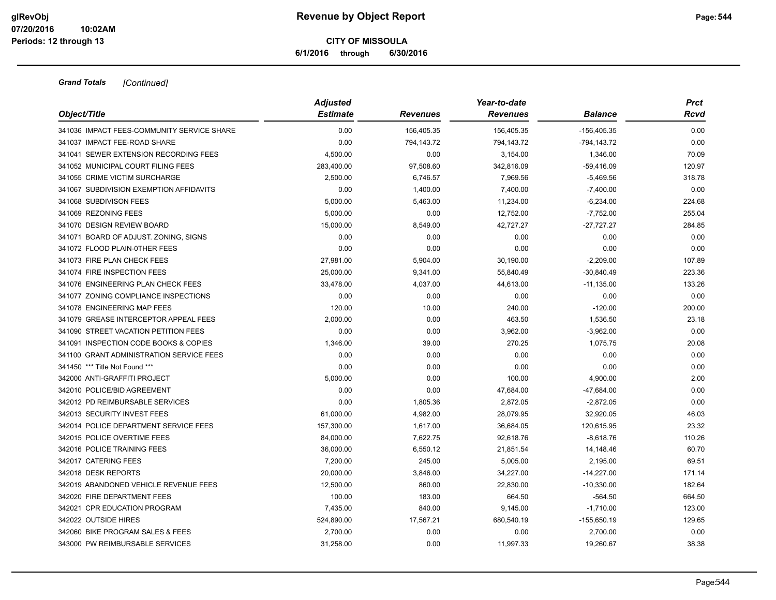**6/1/2016 through 6/30/2016**

| Object/Title                               | <b>Adjusted</b><br><b>Estimate</b> | <b>Revenues</b> | Year-to-date<br><b>Revenues</b> | <b>Balance</b> | <b>Prct</b><br>Rcvd |
|--------------------------------------------|------------------------------------|-----------------|---------------------------------|----------------|---------------------|
| 341036 IMPACT FEES-COMMUNITY SERVICE SHARE | 0.00                               | 156,405.35      | 156,405.35                      | $-156,405.35$  | 0.00                |
| 341037 IMPACT FEE-ROAD SHARE               | 0.00                               | 794,143.72      | 794,143.72                      | -794,143.72    | 0.00                |
| 341041 SEWER EXTENSION RECORDING FEES      | 4,500.00                           | 0.00            | 3,154.00                        | 1,346.00       | 70.09               |
| 341052 MUNICIPAL COURT FILING FEES         | 283,400.00                         | 97,508.60       | 342,816.09                      | $-59,416.09$   | 120.97              |
| 341055 CRIME VICTIM SURCHARGE              | 2,500.00                           | 6,746.57        | 7,969.56                        | $-5,469.56$    | 318.78              |
| 341067 SUBDIVISION EXEMPTION AFFIDAVITS    | 0.00                               | 1,400.00        | 7,400.00                        | $-7,400.00$    | 0.00                |
| 341068 SUBDIVISON FEES                     | 5,000.00                           | 5,463.00        | 11,234.00                       | $-6,234.00$    | 224.68              |
| 341069 REZONING FEES                       | 5,000.00                           | 0.00            | 12,752.00                       | $-7,752.00$    | 255.04              |
| 341070 DESIGN REVIEW BOARD                 | 15,000.00                          | 8,549.00        | 42,727.27                       | $-27,727.27$   | 284.85              |
| 341071 BOARD OF ADJUST. ZONING, SIGNS      | 0.00                               | 0.00            | 0.00                            | 0.00           | 0.00                |
| 341072 FLOOD PLAIN-0THER FEES              | 0.00                               | 0.00            | 0.00                            | 0.00           | 0.00                |
| 341073 FIRE PLAN CHECK FEES                | 27,981.00                          | 5,904.00        | 30,190.00                       | $-2,209.00$    | 107.89              |
| 341074 FIRE INSPECTION FEES                | 25,000.00                          | 9,341.00        | 55,840.49                       | $-30,840.49$   | 223.36              |
| 341076 ENGINEERING PLAN CHECK FEES         | 33,478.00                          | 4,037.00        | 44,613.00                       | $-11,135.00$   | 133.26              |
| 341077 ZONING COMPLIANCE INSPECTIONS       | 0.00                               | 0.00            | 0.00                            | 0.00           | 0.00                |
| 341078 ENGINEERING MAP FEES                | 120.00                             | 10.00           | 240.00                          | $-120.00$      | 200.00              |
| 341079 GREASE INTERCEPTOR APPEAL FEES      | 2,000.00                           | 0.00            | 463.50                          | 1,536.50       | 23.18               |
| 341090 STREET VACATION PETITION FEES       | 0.00                               | 0.00            | 3,962.00                        | $-3,962.00$    | 0.00                |
| 341091 INSPECTION CODE BOOKS & COPIES      | 1,346.00                           | 39.00           | 270.25                          | 1,075.75       | 20.08               |
| 341100 GRANT ADMINISTRATION SERVICE FEES   | 0.00                               | 0.00            | 0.00                            | 0.00           | 0.00                |
| 341450 *** Title Not Found ***             | 0.00                               | 0.00            | 0.00                            | 0.00           | 0.00                |
| 342000 ANTI-GRAFFITI PROJECT               | 5,000.00                           | 0.00            | 100.00                          | 4,900.00       | 2.00                |
| 342010 POLICE/BID AGREEMENT                | 0.00                               | 0.00            | 47,684.00                       | $-47,684.00$   | 0.00                |
| 342012 PD REIMBURSABLE SERVICES            | 0.00                               | 1,805.36        | 2,872.05                        | $-2,872.05$    | 0.00                |
| 342013 SECURITY INVEST FEES                | 61,000.00                          | 4,982.00        | 28,079.95                       | 32,920.05      | 46.03               |
| 342014 POLICE DEPARTMENT SERVICE FEES      | 157,300.00                         | 1,617.00        | 36,684.05                       | 120,615.95     | 23.32               |
| 342015 POLICE OVERTIME FEES                | 84,000.00                          | 7,622.75        | 92,618.76                       | $-8,618.76$    | 110.26              |
| 342016 POLICE TRAINING FEES                | 36,000.00                          | 6,550.12        | 21,851.54                       | 14,148.46      | 60.70               |
| 342017 CATERING FEES                       | 7,200.00                           | 245.00          | 5,005.00                        | 2,195.00       | 69.51               |
| 342018 DESK REPORTS                        | 20,000.00                          | 3,846.00        | 34,227.00                       | $-14,227.00$   | 171.14              |
| 342019 ABANDONED VEHICLE REVENUE FEES      | 12,500.00                          | 860.00          | 22,830.00                       | $-10,330.00$   | 182.64              |
| 342020 FIRE DEPARTMENT FEES                | 100.00                             | 183.00          | 664.50                          | -564.50        | 664.50              |
| 342021 CPR EDUCATION PROGRAM               | 7,435.00                           | 840.00          | 9,145.00                        | $-1,710.00$    | 123.00              |
| 342022 OUTSIDE HIRES                       | 524,890.00                         | 17,567.21       | 680,540.19                      | $-155,650.19$  | 129.65              |
| 342060 BIKE PROGRAM SALES & FEES           | 2,700.00                           | 0.00            | 0.00                            | 2,700.00       | 0.00                |
| 343000 PW REIMBURSABLE SERVICES            | 31,258.00                          | 0.00            | 11,997.33                       | 19,260.67      | 38.38               |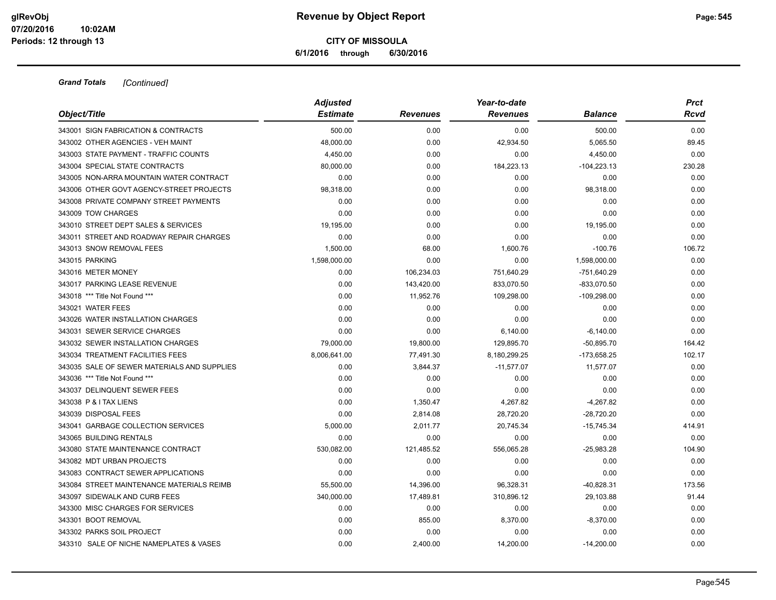**6/1/2016 through 6/30/2016**

|                                             | <b>Adjusted</b> |                 | Year-to-date    |                | <b>Prct</b> |
|---------------------------------------------|-----------------|-----------------|-----------------|----------------|-------------|
| Object/Title                                | <b>Estimate</b> | <b>Revenues</b> | <b>Revenues</b> | <b>Balance</b> | Rcvd        |
| 343001 SIGN FABRICATION & CONTRACTS         | 500.00          | 0.00            | 0.00            | 500.00         | 0.00        |
| 343002 OTHER AGENCIES - VEH MAINT           | 48,000.00       | 0.00            | 42,934.50       | 5,065.50       | 89.45       |
| 343003 STATE PAYMENT - TRAFFIC COUNTS       | 4,450.00        | 0.00            | 0.00            | 4,450.00       | 0.00        |
| 343004 SPECIAL STATE CONTRACTS              | 80.000.00       | 0.00            | 184,223.13      | $-104,223.13$  | 230.28      |
| 343005 NON-ARRA MOUNTAIN WATER CONTRACT     | 0.00            | 0.00            | 0.00            | 0.00           | 0.00        |
| 343006 OTHER GOVT AGENCY-STREET PROJECTS    | 98,318.00       | 0.00            | 0.00            | 98,318.00      | 0.00        |
| 343008 PRIVATE COMPANY STREET PAYMENTS      | 0.00            | 0.00            | 0.00            | 0.00           | 0.00        |
| 343009 TOW CHARGES                          | 0.00            | 0.00            | 0.00            | 0.00           | 0.00        |
| 343010 STREET DEPT SALES & SERVICES         | 19,195.00       | 0.00            | 0.00            | 19,195.00      | 0.00        |
| 343011 STREET AND ROADWAY REPAIR CHARGES    | 0.00            | 0.00            | 0.00            | 0.00           | 0.00        |
| 343013 SNOW REMOVAL FEES                    | 1,500.00        | 68.00           | 1,600.76        | $-100.76$      | 106.72      |
| 343015 PARKING                              | 1,598,000.00    | 0.00            | 0.00            | 1,598,000.00   | 0.00        |
| 343016 METER MONEY                          | 0.00            | 106,234.03      | 751,640.29      | -751,640.29    | 0.00        |
| 343017 PARKING LEASE REVENUE                | 0.00            | 143,420.00      | 833,070.50      | $-833,070.50$  | 0.00        |
| 343018 *** Title Not Found ***              | 0.00            | 11,952.76       | 109,298.00      | $-109,298.00$  | 0.00        |
| 343021 WATER FEES                           | 0.00            | 0.00            | 0.00            | 0.00           | 0.00        |
| 343026 WATER INSTALLATION CHARGES           | 0.00            | 0.00            | 0.00            | 0.00           | 0.00        |
| 343031 SEWER SERVICE CHARGES                | 0.00            | 0.00            | 6,140.00        | $-6,140.00$    | 0.00        |
| 343032 SEWER INSTALLATION CHARGES           | 79,000.00       | 19,800.00       | 129,895.70      | $-50,895.70$   | 164.42      |
| 343034 TREATMENT FACILITIES FEES            | 8,006,641.00    | 77,491.30       | 8,180,299.25    | $-173,658.25$  | 102.17      |
| 343035 SALE OF SEWER MATERIALS AND SUPPLIES | 0.00            | 3,844.37        | $-11,577.07$    | 11,577.07      | 0.00        |
| 343036 *** Title Not Found ***              | 0.00            | 0.00            | 0.00            | 0.00           | 0.00        |
| 343037 DELINQUENT SEWER FEES                | 0.00            | 0.00            | 0.00            | 0.00           | 0.00        |
| 343038 P & I TAX LIENS                      | 0.00            | 1,350.47        | 4,267.82        | $-4,267.82$    | 0.00        |
| 343039 DISPOSAL FEES                        | 0.00            | 2,814.08        | 28,720.20       | $-28,720.20$   | 0.00        |
| 343041 GARBAGE COLLECTION SERVICES          | 5,000.00        | 2,011.77        | 20,745.34       | $-15,745.34$   | 414.91      |
| 343065 BUILDING RENTALS                     | 0.00            | 0.00            | 0.00            | 0.00           | 0.00        |
| 343080 STATE MAINTENANCE CONTRACT           | 530,082.00      | 121,485.52      | 556,065.28      | $-25,983.28$   | 104.90      |
| 343082 MDT URBAN PROJECTS                   | 0.00            | 0.00            | 0.00            | 0.00           | 0.00        |
| 343083 CONTRACT SEWER APPLICATIONS          | 0.00            | 0.00            | 0.00            | 0.00           | 0.00        |
| 343084 STREET MAINTENANCE MATERIALS REIMB   | 55,500.00       | 14,396.00       | 96,328.31       | $-40,828.31$   | 173.56      |
| 343097 SIDEWALK AND CURB FEES               | 340,000.00      | 17,489.81       | 310,896.12      | 29,103.88      | 91.44       |
| 343300 MISC CHARGES FOR SERVICES            | 0.00            | 0.00            | 0.00            | 0.00           | 0.00        |
| 343301 BOOT REMOVAL                         | 0.00            | 855.00          | 8,370.00        | $-8,370.00$    | 0.00        |
| 343302 PARKS SOIL PROJECT                   | 0.00            | 0.00            | 0.00            | 0.00           | 0.00        |
| 343310 SALE OF NICHE NAMEPLATES & VASES     | 0.00            | 2,400.00        | 14,200.00       | $-14,200.00$   | 0.00        |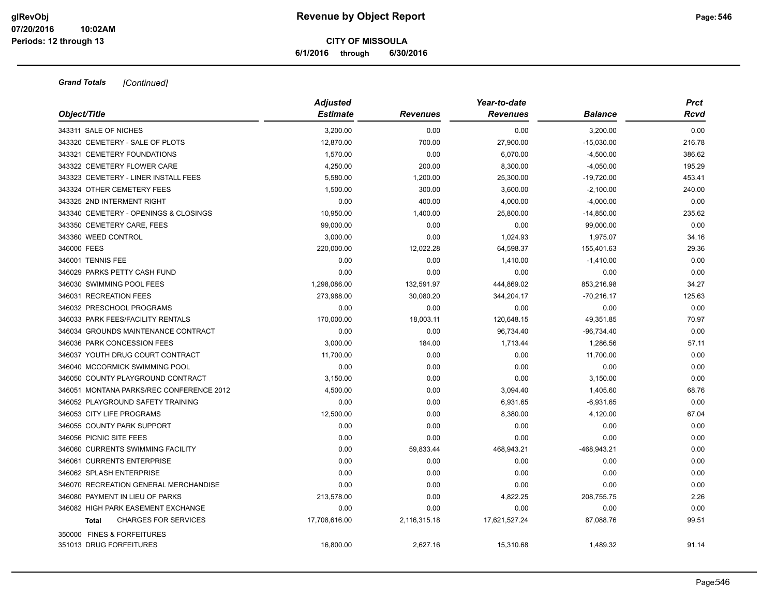**6/1/2016 through 6/30/2016**

| Object/Title                             | <b>Adjusted</b><br><b>Estimate</b> | <b>Revenues</b> | Year-to-date<br><b>Revenues</b> | <b>Balance</b> | <b>Prct</b><br><b>Rcvd</b> |
|------------------------------------------|------------------------------------|-----------------|---------------------------------|----------------|----------------------------|
|                                          |                                    |                 |                                 |                |                            |
| 343311 SALE OF NICHES                    | 3,200.00                           | 0.00            | 0.00                            | 3,200.00       | 0.00                       |
| 343320 CEMETERY - SALE OF PLOTS          | 12,870.00                          | 700.00          | 27,900.00                       | $-15,030.00$   | 216.78                     |
| 343321 CEMETERY FOUNDATIONS              | 1,570.00                           | 0.00            | 6,070.00                        | $-4,500.00$    | 386.62                     |
| 343322 CEMETERY FLOWER CARE              | 4,250.00                           | 200.00          | 8,300.00                        | $-4,050.00$    | 195.29                     |
| 343323 CEMETERY - LINER INSTALL FEES     | 5,580.00                           | 1,200.00        | 25,300.00                       | $-19,720.00$   | 453.41                     |
| 343324 OTHER CEMETERY FEES               | 1,500.00                           | 300.00          | 3,600.00                        | $-2,100.00$    | 240.00                     |
| 343325 2ND INTERMENT RIGHT               | 0.00                               | 400.00          | 4,000.00                        | $-4,000.00$    | 0.00                       |
| 343340 CEMETERY - OPENINGS & CLOSINGS    | 10,950.00                          | 1,400.00        | 25,800.00                       | $-14,850.00$   | 235.62                     |
| 343350 CEMETERY CARE, FEES               | 99,000.00                          | 0.00            | 0.00                            | 99,000.00      | 0.00                       |
| 343360 WEED CONTROL                      | 3,000.00                           | 0.00            | 1,024.93                        | 1,975.07       | 34.16                      |
| 346000 FEES                              | 220,000.00                         | 12,022.28       | 64,598.37                       | 155,401.63     | 29.36                      |
| 346001 TENNIS FEE                        | 0.00                               | 0.00            | 1,410.00                        | $-1,410.00$    | 0.00                       |
| 346029 PARKS PETTY CASH FUND             | 0.00                               | 0.00            | 0.00                            | 0.00           | 0.00                       |
| 346030 SWIMMING POOL FEES                | 1,298,086.00                       | 132,591.97      | 444,869.02                      | 853,216.98     | 34.27                      |
| 346031 RECREATION FEES                   | 273,988.00                         | 30,080.20       | 344,204.17                      | $-70,216.17$   | 125.63                     |
| 346032 PRESCHOOL PROGRAMS                | 0.00                               | 0.00            | 0.00                            | 0.00           | 0.00                       |
| 346033 PARK FEES/FACILITY RENTALS        | 170,000.00                         | 18,003.11       | 120,648.15                      | 49,351.85      | 70.97                      |
| 346034 GROUNDS MAINTENANCE CONTRACT      | 0.00                               | 0.00            | 96,734.40                       | $-96,734.40$   | 0.00                       |
| 346036 PARK CONCESSION FEES              | 3,000.00                           | 184.00          | 1,713.44                        | 1,286.56       | 57.11                      |
| 346037 YOUTH DRUG COURT CONTRACT         | 11,700.00                          | 0.00            | 0.00                            | 11,700.00      | 0.00                       |
| 346040 MCCORMICK SWIMMING POOL           | 0.00                               | 0.00            | 0.00                            | 0.00           | 0.00                       |
| 346050 COUNTY PLAYGROUND CONTRACT        | 3,150.00                           | 0.00            | 0.00                            | 3,150.00       | 0.00                       |
| 346051 MONTANA PARKS/REC CONFERENCE 2012 | 4,500.00                           | 0.00            | 3,094.40                        | 1,405.60       | 68.76                      |
| 346052 PLAYGROUND SAFETY TRAINING        | 0.00                               | 0.00            | 6,931.65                        | $-6,931.65$    | 0.00                       |
| 346053 CITY LIFE PROGRAMS                | 12,500.00                          | 0.00            | 8,380.00                        | 4,120.00       | 67.04                      |
| 346055 COUNTY PARK SUPPORT               | 0.00                               | 0.00            | 0.00                            | 0.00           | 0.00                       |
| 346056 PICNIC SITE FEES                  | 0.00                               | 0.00            | 0.00                            | 0.00           | 0.00                       |
| 346060 CURRENTS SWIMMING FACILITY        | 0.00                               | 59,833.44       | 468,943.21                      | -468,943.21    | 0.00                       |
| 346061 CURRENTS ENTERPRISE               | 0.00                               | 0.00            | 0.00                            | 0.00           | 0.00                       |
| 346062 SPLASH ENTERPRISE                 | 0.00                               | 0.00            | 0.00                            | 0.00           | 0.00                       |
| 346070 RECREATION GENERAL MERCHANDISE    | 0.00                               | 0.00            | 0.00                            | 0.00           | 0.00                       |
| 346080 PAYMENT IN LIEU OF PARKS          | 213,578.00                         | 0.00            | 4,822.25                        | 208,755.75     | 2.26                       |
| 346082 HIGH PARK EASEMENT EXCHANGE       | 0.00                               | 0.00            | 0.00                            | 0.00           | 0.00                       |
| <b>CHARGES FOR SERVICES</b><br>Total     | 17,708,616.00                      | 2,116,315.18    | 17,621,527.24                   | 87,088.76      | 99.51                      |
| 350000 FINES & FORFEITURES               |                                    |                 |                                 |                |                            |
| 351013 DRUG FORFEITURES                  | 16,800.00                          | 2,627.16        | 15,310.68                       | 1,489.32       | 91.14                      |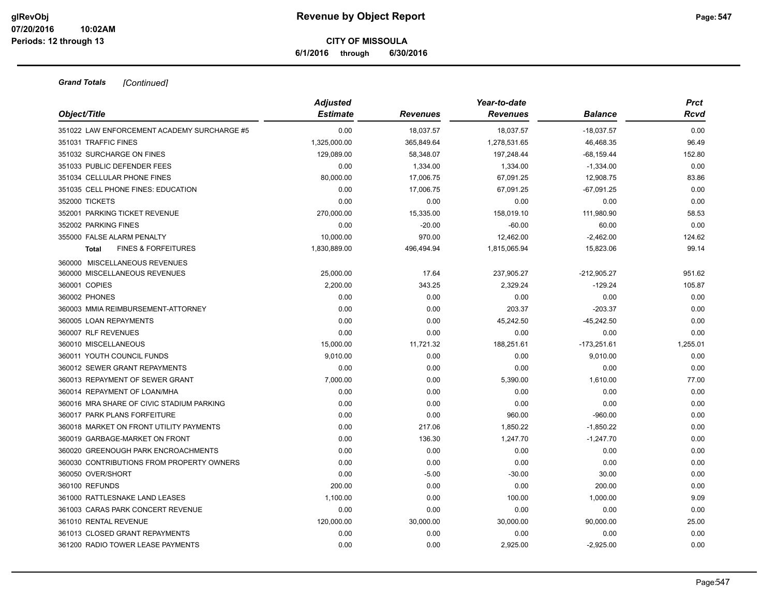**6/1/2016 through 6/30/2016**

| Object/Title                                   | <b>Adjusted</b><br><b>Estimate</b> | <b>Revenues</b> | Year-to-date<br><b>Revenues</b> | <b>Balance</b> | <b>Prct</b><br>Rcvd |
|------------------------------------------------|------------------------------------|-----------------|---------------------------------|----------------|---------------------|
| 351022 LAW ENFORCEMENT ACADEMY SURCHARGE #5    | 0.00                               | 18,037.57       | 18,037.57                       | $-18,037.57$   | 0.00                |
| 351031 TRAFFIC FINES                           | 1,325,000.00                       | 365,849.64      | 1,278,531.65                    | 46,468.35      | 96.49               |
| 351032 SURCHARGE ON FINES                      | 129,089.00                         | 58,348.07       | 197,248.44                      | $-68, 159.44$  | 152.80              |
| 351033 PUBLIC DEFENDER FEES                    | 0.00                               | 1,334.00        | 1,334.00                        | $-1,334.00$    | 0.00                |
| 351034 CELLULAR PHONE FINES                    | 80,000.00                          | 17,006.75       | 67,091.25                       | 12,908.75      | 83.86               |
| 351035 CELL PHONE FINES: EDUCATION             | 0.00                               | 17,006.75       | 67,091.25                       | $-67,091.25$   | 0.00                |
| 352000 TICKETS                                 | 0.00                               | 0.00            | 0.00                            | 0.00           | 0.00                |
| 352001 PARKING TICKET REVENUE                  | 270,000.00                         | 15,335.00       | 158,019.10                      | 111,980.90     | 58.53               |
| 352002 PARKING FINES                           | 0.00                               | $-20.00$        | $-60.00$                        | 60.00          | 0.00                |
| 355000 FALSE ALARM PENALTY                     | 10,000.00                          | 970.00          | 12,462.00                       | $-2,462.00$    | 124.62              |
| <b>FINES &amp; FORFEITURES</b><br><b>Total</b> | 1,830,889.00                       | 496,494.94      | 1,815,065.94                    | 15,823.06      | 99.14               |
| 360000 MISCELLANEOUS REVENUES                  |                                    |                 |                                 |                |                     |
| 360000 MISCELLANEOUS REVENUES                  | 25,000.00                          | 17.64           | 237,905.27                      | $-212,905.27$  | 951.62              |
| 360001 COPIES                                  | 2,200.00                           | 343.25          | 2,329.24                        | $-129.24$      | 105.87              |
| 360002 PHONES                                  | 0.00                               | 0.00            | 0.00                            | 0.00           | 0.00                |
| 360003 MMIA REIMBURSEMENT-ATTORNEY             | 0.00                               | 0.00            | 203.37                          | $-203.37$      | 0.00                |
| 360005 LOAN REPAYMENTS                         | 0.00                               | 0.00            | 45,242.50                       | $-45,242.50$   | 0.00                |
| 360007 RLF REVENUES                            | 0.00                               | 0.00            | 0.00                            | 0.00           | 0.00                |
| 360010 MISCELLANEOUS                           | 15,000.00                          | 11,721.32       | 188,251.61                      | $-173,251.61$  | 1,255.01            |
| 360011 YOUTH COUNCIL FUNDS                     | 9,010.00                           | 0.00            | 0.00                            | 9,010.00       | 0.00                |
| 360012 SEWER GRANT REPAYMENTS                  | 0.00                               | 0.00            | 0.00                            | 0.00           | 0.00                |
| 360013 REPAYMENT OF SEWER GRANT                | 7,000.00                           | 0.00            | 5,390.00                        | 1,610.00       | 77.00               |
| 360014 REPAYMENT OF LOAN/MHA                   | 0.00                               | 0.00            | 0.00                            | 0.00           | 0.00                |
| 360016 MRA SHARE OF CIVIC STADIUM PARKING      | 0.00                               | 0.00            | 0.00                            | 0.00           | 0.00                |
| 360017 PARK PLANS FORFEITURE                   | 0.00                               | 0.00            | 960.00                          | $-960.00$      | 0.00                |
| 360018 MARKET ON FRONT UTILITY PAYMENTS        | 0.00                               | 217.06          | 1,850.22                        | $-1,850.22$    | 0.00                |
| 360019 GARBAGE-MARKET ON FRONT                 | 0.00                               | 136.30          | 1,247.70                        | $-1,247.70$    | 0.00                |
| 360020 GREENOUGH PARK ENCROACHMENTS            | 0.00                               | 0.00            | 0.00                            | 0.00           | 0.00                |
| 360030 CONTRIBUTIONS FROM PROPERTY OWNERS      | 0.00                               | 0.00            | 0.00                            | 0.00           | 0.00                |
| 360050 OVER/SHORT                              | 0.00                               | $-5.00$         | $-30.00$                        | 30.00          | 0.00                |
| 360100 REFUNDS                                 | 200.00                             | 0.00            | 0.00                            | 200.00         | 0.00                |
| 361000 RATTLESNAKE LAND LEASES                 | 1,100.00                           | 0.00            | 100.00                          | 1,000.00       | 9.09                |
| 361003 CARAS PARK CONCERT REVENUE              | 0.00                               | 0.00            | 0.00                            | 0.00           | 0.00                |
| 361010 RENTAL REVENUE                          | 120,000.00                         | 30,000.00       | 30,000.00                       | 90,000.00      | 25.00               |
| 361013 CLOSED GRANT REPAYMENTS                 | 0.00                               | 0.00            | 0.00                            | 0.00           | 0.00                |
| 361200 RADIO TOWER LEASE PAYMENTS              | 0.00                               | 0.00            | 2.925.00                        | $-2.925.00$    | 0.00                |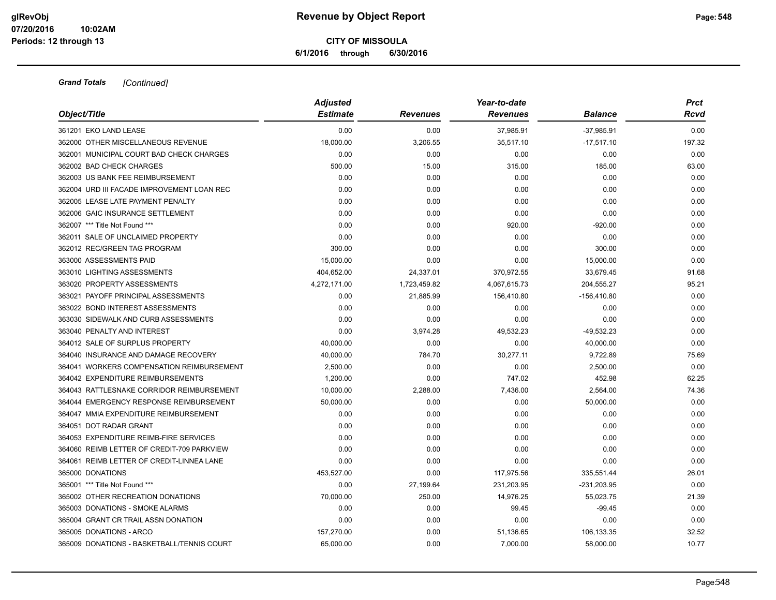**6/1/2016 through 6/30/2016**

| Object/Title                               | <b>Adjusted</b> |                 | Year-to-date<br><b>Revenues</b> |                | <b>Prct</b> |
|--------------------------------------------|-----------------|-----------------|---------------------------------|----------------|-------------|
|                                            | <b>Estimate</b> | <b>Revenues</b> |                                 | <b>Balance</b> | Rcvd        |
| 361201 EKO LAND LEASE                      | 0.00            | 0.00            | 37,985.91                       | $-37,985.91$   | 0.00        |
| 362000 OTHER MISCELLANEOUS REVENUE         | 18,000.00       | 3,206.55        | 35,517.10                       | $-17,517.10$   | 197.32      |
| 362001 MUNICIPAL COURT BAD CHECK CHARGES   | 0.00            | 0.00            | 0.00                            | 0.00           | 0.00        |
| 362002 BAD CHECK CHARGES                   | 500.00          | 15.00           | 315.00                          | 185.00         | 63.00       |
| 362003 US BANK FEE REIMBURSEMENT           | 0.00            | 0.00            | 0.00                            | 0.00           | 0.00        |
| 362004 URD III FACADE IMPROVEMENT LOAN REC | 0.00            | 0.00            | 0.00                            | 0.00           | 0.00        |
| 362005 LEASE LATE PAYMENT PENALTY          | 0.00            | 0.00            | 0.00                            | 0.00           | 0.00        |
| 362006 GAIC INSURANCE SETTLEMENT           | 0.00            | 0.00            | 0.00                            | 0.00           | 0.00        |
| 362007 *** Title Not Found ***             | 0.00            | 0.00            | 920.00                          | $-920.00$      | 0.00        |
| 362011 SALE OF UNCLAIMED PROPERTY          | 0.00            | 0.00            | 0.00                            | 0.00           | 0.00        |
| 362012 REC/GREEN TAG PROGRAM               | 300.00          | 0.00            | 0.00                            | 300.00         | 0.00        |
| 363000 ASSESSMENTS PAID                    | 15,000.00       | 0.00            | 0.00                            | 15,000.00      | 0.00        |
| 363010 LIGHTING ASSESSMENTS                | 404,652.00      | 24,337.01       | 370,972.55                      | 33,679.45      | 91.68       |
| 363020 PROPERTY ASSESSMENTS                | 4,272,171.00    | 1,723,459.82    | 4,067,615.73                    | 204,555.27     | 95.21       |
| 363021 PAYOFF PRINCIPAL ASSESSMENTS        | 0.00            | 21,885.99       | 156,410.80                      | $-156,410.80$  | 0.00        |
| 363022 BOND INTEREST ASSESSMENTS           | 0.00            | 0.00            | 0.00                            | 0.00           | 0.00        |
| 363030 SIDEWALK AND CURB ASSESSMENTS       | 0.00            | 0.00            | 0.00                            | 0.00           | 0.00        |
| 363040 PENALTY AND INTEREST                | 0.00            | 3,974.28        | 49,532.23                       | $-49,532.23$   | 0.00        |
| 364012 SALE OF SURPLUS PROPERTY            | 40,000.00       | 0.00            | 0.00                            | 40,000.00      | 0.00        |
| 364040 INSURANCE AND DAMAGE RECOVERY       | 40,000.00       | 784.70          | 30,277.11                       | 9,722.89       | 75.69       |
| 364041 WORKERS COMPENSATION REIMBURSEMENT  | 2,500.00        | 0.00            | 0.00                            | 2,500.00       | 0.00        |
| 364042 EXPENDITURE REIMBURSEMENTS          | 1,200.00        | 0.00            | 747.02                          | 452.98         | 62.25       |
| 364043 RATTLESNAKE CORRIDOR REIMBURSEMENT  | 10,000.00       | 2,288.00        | 7,436.00                        | 2,564.00       | 74.36       |
| 364044 EMERGENCY RESPONSE REIMBURSEMENT    | 50,000.00       | 0.00            | 0.00                            | 50,000.00      | 0.00        |
| 364047 MMIA EXPENDITURE REIMBURSEMENT      | 0.00            | 0.00            | 0.00                            | 0.00           | 0.00        |
| 364051 DOT RADAR GRANT                     | 0.00            | 0.00            | 0.00                            | 0.00           | 0.00        |
| 364053 EXPENDITURE REIMB-FIRE SERVICES     | 0.00            | 0.00            | 0.00                            | 0.00           | 0.00        |
| 364060 REIMB LETTER OF CREDIT-709 PARKVIEW | 0.00            | 0.00            | 0.00                            | 0.00           | 0.00        |
| 364061 REIMB LETTER OF CREDIT-LINNEA LANE  | 0.00            | 0.00            | 0.00                            | 0.00           | 0.00        |
| 365000 DONATIONS                           | 453,527.00      | 0.00            | 117,975.56                      | 335,551.44     | 26.01       |
| 365001 *** Title Not Found ***             | 0.00            | 27,199.64       | 231,203.95                      | -231,203.95    | 0.00        |
| 365002 OTHER RECREATION DONATIONS          | 70,000.00       | 250.00          | 14,976.25                       | 55,023.75      | 21.39       |
| 365003 DONATIONS - SMOKE ALARMS            | 0.00            | 0.00            | 99.45                           | $-99.45$       | 0.00        |
| 365004 GRANT CR TRAIL ASSN DONATION        | 0.00            | 0.00            | 0.00                            | 0.00           | 0.00        |
| 365005 DONATIONS - ARCO                    | 157,270.00      | 0.00            | 51,136.65                       | 106,133.35     | 32.52       |
| 365009 DONATIONS - BASKETBALL/TENNIS COURT | 65,000.00       | 0.00            | 7,000.00                        | 58,000.00      | 10.77       |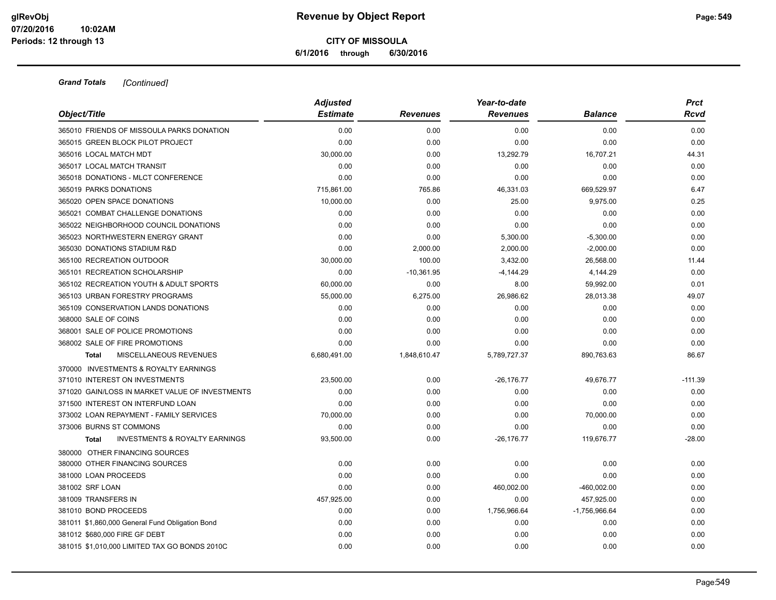**6/1/2016 through 6/30/2016**

|                                                           | <b>Adjusted</b> |                 | Year-to-date    |                 | <b>Prct</b> |
|-----------------------------------------------------------|-----------------|-----------------|-----------------|-----------------|-------------|
| Object/Title                                              | <b>Estimate</b> | <b>Revenues</b> | <b>Revenues</b> | <b>Balance</b>  | Rcvd        |
| 365010 FRIENDS OF MISSOULA PARKS DONATION                 | 0.00            | 0.00            | 0.00            | 0.00            | 0.00        |
| 365015 GREEN BLOCK PILOT PROJECT                          | 0.00            | 0.00            | 0.00            | 0.00            | 0.00        |
| 365016 LOCAL MATCH MDT                                    | 30,000.00       | 0.00            | 13,292.79       | 16,707.21       | 44.31       |
| 365017 LOCAL MATCH TRANSIT                                | 0.00            | 0.00            | 0.00            | 0.00            | 0.00        |
| 365018 DONATIONS - MLCT CONFERENCE                        | 0.00            | 0.00            | 0.00            | 0.00            | 0.00        |
| 365019 PARKS DONATIONS                                    | 715,861.00      | 765.86          | 46,331.03       | 669,529.97      | 6.47        |
| 365020 OPEN SPACE DONATIONS                               | 10,000.00       | 0.00            | 25.00           | 9,975.00        | 0.25        |
| 365021 COMBAT CHALLENGE DONATIONS                         | 0.00            | 0.00            | 0.00            | 0.00            | 0.00        |
| 365022 NEIGHBORHOOD COUNCIL DONATIONS                     | 0.00            | 0.00            | 0.00            | 0.00            | 0.00        |
| 365023 NORTHWESTERN ENERGY GRANT                          | 0.00            | 0.00            | 5,300.00        | $-5,300.00$     | 0.00        |
| 365030 DONATIONS STADIUM R&D                              | 0.00            | 2,000.00        | 2,000.00        | $-2,000.00$     | 0.00        |
| 365100 RECREATION OUTDOOR                                 | 30,000.00       | 100.00          | 3,432.00        | 26,568.00       | 11.44       |
| 365101 RECREATION SCHOLARSHIP                             | 0.00            | $-10,361.95$    | -4,144.29       | 4,144.29        | 0.00        |
| 365102 RECREATION YOUTH & ADULT SPORTS                    | 60,000.00       | 0.00            | 8.00            | 59,992.00       | 0.01        |
| 365103 URBAN FORESTRY PROGRAMS                            | 55,000.00       | 6,275.00        | 26,986.62       | 28,013.38       | 49.07       |
| 365109 CONSERVATION LANDS DONATIONS                       | 0.00            | 0.00            | 0.00            | 0.00            | 0.00        |
| 368000 SALE OF COINS                                      | 0.00            | 0.00            | 0.00            | 0.00            | 0.00        |
| 368001 SALE OF POLICE PROMOTIONS                          | 0.00            | 0.00            | 0.00            | 0.00            | 0.00        |
| 368002 SALE OF FIRE PROMOTIONS                            | 0.00            | 0.00            | 0.00            | 0.00            | 0.00        |
| MISCELLANEOUS REVENUES<br><b>Total</b>                    | 6,680,491.00    | 1,848,610.47    | 5,789,727.37    | 890,763.63      | 86.67       |
| 370000 INVESTMENTS & ROYALTY EARNINGS                     |                 |                 |                 |                 |             |
| 371010 INTEREST ON INVESTMENTS                            | 23,500.00       | 0.00            | $-26, 176.77$   | 49,676.77       | $-111.39$   |
| 371020 GAIN/LOSS IN MARKET VALUE OF INVESTMENTS           | 0.00            | 0.00            | 0.00            | 0.00            | 0.00        |
| 371500 INTEREST ON INTERFUND LOAN                         | 0.00            | 0.00            | 0.00            | 0.00            | 0.00        |
| 373002 LOAN REPAYMENT - FAMILY SERVICES                   | 70,000.00       | 0.00            | 0.00            | 70,000.00       | 0.00        |
| 373006 BURNS ST COMMONS                                   | 0.00            | 0.00            | 0.00            | 0.00            | 0.00        |
| <b>INVESTMENTS &amp; ROYALTY EARNINGS</b><br><b>Total</b> | 93,500.00       | 0.00            | $-26, 176.77$   | 119,676.77      | $-28.00$    |
| 380000 OTHER FINANCING SOURCES                            |                 |                 |                 |                 |             |
| 380000 OTHER FINANCING SOURCES                            | 0.00            | 0.00            | 0.00            | 0.00            | 0.00        |
| 381000 LOAN PROCEEDS                                      | 0.00            | 0.00            | 0.00            | 0.00            | 0.00        |
| 381002 SRF LOAN                                           | 0.00            | 0.00            | 460,002.00      | -460,002.00     | 0.00        |
| 381009 TRANSFERS IN                                       | 457,925.00      | 0.00            | 0.00            | 457,925.00      | 0.00        |
| 381010 BOND PROCEEDS                                      | 0.00            | 0.00            | 1,756,966.64    | $-1,756,966.64$ | 0.00        |
| 381011 \$1,860,000 General Fund Obligation Bond           | 0.00            | 0.00            | 0.00            | 0.00            | 0.00        |
| 381012 \$680,000 FIRE GF DEBT                             | 0.00            | 0.00            | 0.00            | 0.00            | 0.00        |
| 381015 \$1,010,000 LIMITED TAX GO BONDS 2010C             | 0.00            | 0.00            | 0.00            | 0.00            | 0.00        |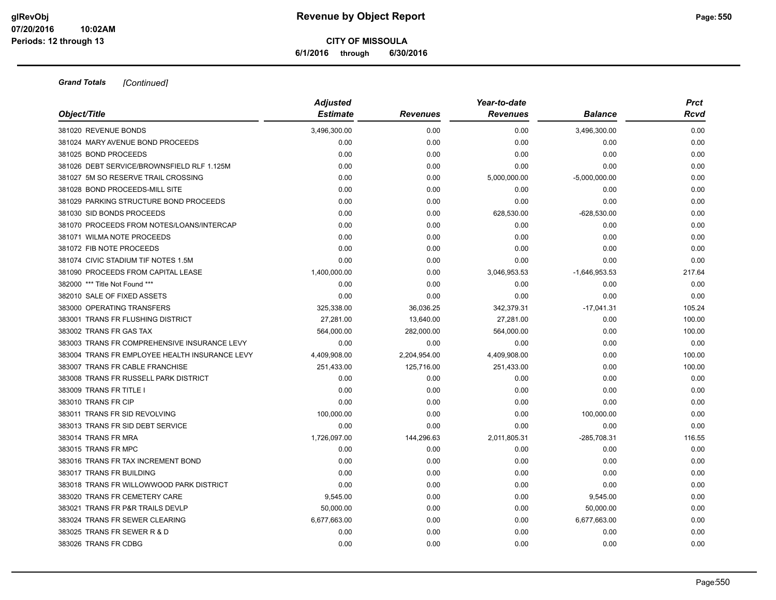**6/1/2016 through 6/30/2016**

| Object/Title                                   | <b>Adjusted</b> |                 | Year-to-date    |                 | <b>Prct</b> |  |
|------------------------------------------------|-----------------|-----------------|-----------------|-----------------|-------------|--|
|                                                | <b>Estimate</b> | <b>Revenues</b> | <b>Revenues</b> | <b>Balance</b>  | <b>Rcvd</b> |  |
| 381020 REVENUE BONDS                           | 3.496.300.00    | 0.00            | 0.00            | 3,496,300.00    | 0.00        |  |
| 381024 MARY AVENUE BOND PROCEEDS               | 0.00            | 0.00            | 0.00            | 0.00            | 0.00        |  |
| 381025 BOND PROCEEDS                           | 0.00            | 0.00            | 0.00            | 0.00            | 0.00        |  |
| 381026 DEBT SERVICE/BROWNSFIELD RLF 1.125M     | 0.00            | 0.00            | 0.00            | 0.00            | 0.00        |  |
| 381027 5M SO RESERVE TRAIL CROSSING            | 0.00            | 0.00            | 5,000,000.00    | $-5,000,000.00$ | 0.00        |  |
| 381028 BOND PROCEEDS-MILL SITE                 | 0.00            | 0.00            | 0.00            | 0.00            | 0.00        |  |
| 381029 PARKING STRUCTURE BOND PROCEEDS         | 0.00            | 0.00            | 0.00            | 0.00            | 0.00        |  |
| 381030 SID BONDS PROCEEDS                      | 0.00            | 0.00            | 628,530.00      | $-628,530.00$   | 0.00        |  |
| 381070 PROCEEDS FROM NOTES/LOANS/INTERCAP      | 0.00            | 0.00            | 0.00            | 0.00            | 0.00        |  |
| 381071 WILMA NOTE PROCEEDS                     | 0.00            | 0.00            | 0.00            | 0.00            | 0.00        |  |
| 381072 FIB NOTE PROCEEDS                       | 0.00            | 0.00            | 0.00            | 0.00            | 0.00        |  |
| 381074 CIVIC STADIUM TIF NOTES 1.5M            | 0.00            | 0.00            | 0.00            | 0.00            | 0.00        |  |
| 381090 PROCEEDS FROM CAPITAL LEASE             | 1,400,000.00    | 0.00            | 3,046,953.53    | $-1,646,953.53$ | 217.64      |  |
| 382000 *** Title Not Found ***                 | 0.00            | 0.00            | 0.00            | 0.00            | 0.00        |  |
| 382010 SALE OF FIXED ASSETS                    | 0.00            | 0.00            | 0.00            | 0.00            | 0.00        |  |
| 383000 OPERATING TRANSFERS                     | 325,338.00      | 36,036.25       | 342,379.31      | $-17,041.31$    | 105.24      |  |
| 383001 TRANS FR FLUSHING DISTRICT              | 27,281.00       | 13,640.00       | 27,281.00       | 0.00            | 100.00      |  |
| 383002 TRANS FR GAS TAX                        | 564,000.00      | 282,000.00      | 564,000.00      | 0.00            | 100.00      |  |
| 383003 TRANS FR COMPREHENSIVE INSURANCE LEVY   | 0.00            | 0.00            | 0.00            | 0.00            | 0.00        |  |
| 383004 TRANS FR EMPLOYEE HEALTH INSURANCE LEVY | 4,409,908.00    | 2,204,954.00    | 4,409,908.00    | 0.00            | 100.00      |  |
| 383007 TRANS FR CABLE FRANCHISE                | 251,433.00      | 125,716.00      | 251,433.00      | 0.00            | 100.00      |  |
| 383008 TRANS FR RUSSELL PARK DISTRICT          | 0.00            | 0.00            | 0.00            | 0.00            | 0.00        |  |
| 383009 TRANS FR TITLE I                        | 0.00            | 0.00            | 0.00            | 0.00            | 0.00        |  |
| 383010 TRANS FR CIP                            | 0.00            | 0.00            | 0.00            | 0.00            | 0.00        |  |
| 383011 TRANS FR SID REVOLVING                  | 100,000.00      | 0.00            | 0.00            | 100,000.00      | 0.00        |  |
| 383013 TRANS FR SID DEBT SERVICE               | 0.00            | 0.00            | 0.00            | 0.00            | 0.00        |  |
| 383014 TRANS FR MRA                            | 1,726,097.00    | 144,296.63      | 2,011,805.31    | -285,708.31     | 116.55      |  |
| 383015 TRANS FR MPC                            | 0.00            | 0.00            | 0.00            | 0.00            | 0.00        |  |
| 383016 TRANS FR TAX INCREMENT BOND             | 0.00            | 0.00            | 0.00            | 0.00            | 0.00        |  |
| 383017 TRANS FR BUILDING                       | 0.00            | 0.00            | 0.00            | 0.00            | 0.00        |  |
| 383018 TRANS FR WILLOWWOOD PARK DISTRICT       | 0.00            | 0.00            | 0.00            | 0.00            | 0.00        |  |
| 383020 TRANS FR CEMETERY CARE                  | 9,545.00        | 0.00            | 0.00            | 9,545.00        | 0.00        |  |
| 383021 TRANS FR P&R TRAILS DEVLP               | 50,000.00       | 0.00            | 0.00            | 50,000.00       | 0.00        |  |
| 383024 TRANS FR SEWER CLEARING                 | 6,677,663.00    | 0.00            | 0.00            | 6,677,663.00    | 0.00        |  |
| 383025 TRANS FR SEWER R & D                    | 0.00            | 0.00            | 0.00            | 0.00            | 0.00        |  |
| 383026 TRANS FR CDBG                           | 0.00            | 0.00            | 0.00            | 0.00            | 0.00        |  |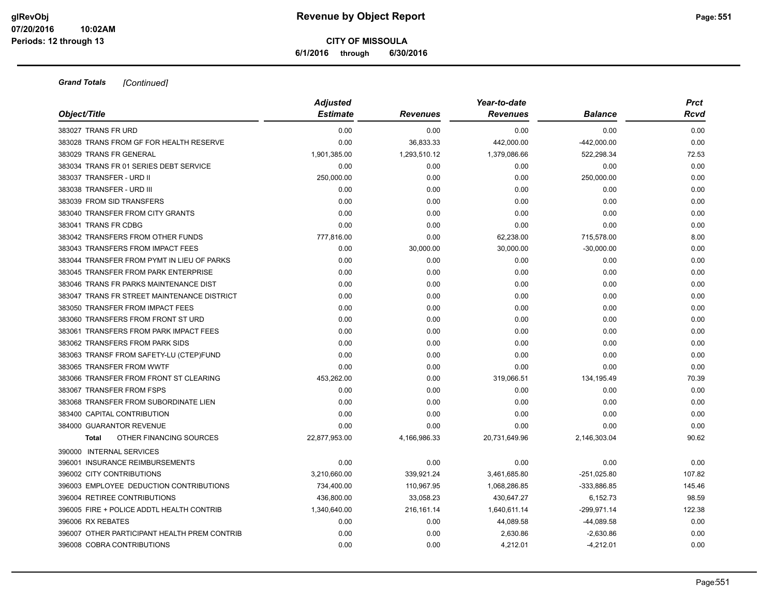**6/1/2016 through 6/30/2016**

| Object/Title                                                                    | <b>Adjusted</b><br><b>Estimate</b> | <b>Revenues</b> | Year-to-date<br><b>Revenues</b> | <b>Balance</b> | <b>Prct</b><br>Rcvd |
|---------------------------------------------------------------------------------|------------------------------------|-----------------|---------------------------------|----------------|---------------------|
| 383027 TRANS FR URD                                                             | 0.00                               | 0.00            | 0.00                            | 0.00           | 0.00                |
| 383028 TRANS FROM GF FOR HEALTH RESERVE                                         | 0.00                               | 36,833.33       | 442,000.00                      | $-442,000.00$  | 0.00                |
| 383029 TRANS FR GENERAL                                                         | 1,901,385.00                       | 1,293,510.12    | 1,379,086.66                    | 522,298.34     | 72.53               |
| 383034 TRANS FR 01 SERIES DEBT SERVICE                                          | 0.00                               | 0.00            | 0.00                            | 0.00           | 0.00                |
| 383037 TRANSFER - URD II                                                        | 250,000.00                         | 0.00            | 0.00                            | 250,000.00     | 0.00                |
| 383038 TRANSFER - URD III                                                       | 0.00                               | 0.00            | 0.00                            | 0.00           | 0.00                |
|                                                                                 |                                    |                 |                                 |                |                     |
| 383039 FROM SID TRANSFERS<br>383040 TRANSFER FROM CITY GRANTS                   | 0.00                               | 0.00            | 0.00                            | 0.00           | 0.00                |
| 383041 TRANS FR CDBG                                                            | 0.00<br>0.00                       | 0.00<br>0.00    | 0.00<br>0.00                    | 0.00<br>0.00   | 0.00<br>0.00        |
| 383042 TRANSFERS FROM OTHER FUNDS                                               |                                    | 0.00            | 62,238.00                       |                | 8.00                |
|                                                                                 | 777,816.00                         |                 |                                 | 715,578.00     | 0.00                |
| 383043 TRANSFERS FROM IMPACT FEES<br>383044 TRANSFER FROM PYMT IN LIEU OF PARKS | 0.00                               | 30,000.00       | 30,000.00                       | $-30,000.00$   |                     |
| 383045 TRANSFER FROM PARK ENTERPRISE                                            | 0.00                               | 0.00            | 0.00                            | 0.00           | 0.00                |
|                                                                                 | 0.00                               | 0.00            | 0.00                            | 0.00           | 0.00                |
| 383046 TRANS FR PARKS MAINTENANCE DIST                                          | 0.00                               | 0.00            | 0.00                            | 0.00           | 0.00                |
| 383047 TRANS FR STREET MAINTENANCE DISTRICT                                     | 0.00                               | 0.00            | 0.00                            | 0.00           | 0.00                |
| 383050 TRANSFER FROM IMPACT FEES                                                | 0.00                               | 0.00            | 0.00                            | 0.00           | 0.00                |
| 383060 TRANSFERS FROM FRONT ST URD                                              | 0.00                               | 0.00            | 0.00                            | 0.00           | 0.00                |
| 383061 TRANSFERS FROM PARK IMPACT FEES                                          | 0.00                               | 0.00            | 0.00                            | 0.00           | 0.00                |
| 383062 TRANSFERS FROM PARK SIDS                                                 | 0.00                               | 0.00            | 0.00                            | 0.00           | 0.00                |
| 383063 TRANSF FROM SAFETY-LU (CTEP)FUND                                         | 0.00                               | 0.00            | 0.00                            | 0.00           | 0.00                |
| 383065 TRANSFER FROM WWTF                                                       | 0.00                               | 0.00            | 0.00                            | 0.00           | 0.00                |
| 383066 TRANSFER FROM FRONT ST CLEARING                                          | 453,262.00                         | 0.00            | 319,066.51                      | 134,195.49     | 70.39               |
| 383067 TRANSFER FROM FSPS                                                       | 0.00                               | 0.00            | 0.00                            | 0.00           | 0.00                |
| 383068 TRANSFER FROM SUBORDINATE LIEN                                           | 0.00                               | 0.00            | 0.00                            | 0.00           | 0.00                |
| 383400 CAPITAL CONTRIBUTION                                                     | 0.00                               | 0.00            | 0.00                            | 0.00           | 0.00                |
| 384000 GUARANTOR REVENUE                                                        | 0.00                               | 0.00            | 0.00                            | 0.00           | 0.00                |
| OTHER FINANCING SOURCES<br><b>Total</b>                                         | 22,877,953.00                      | 4,166,986.33    | 20,731,649.96                   | 2,146,303.04   | 90.62               |
| 390000 INTERNAL SERVICES                                                        |                                    |                 |                                 |                |                     |
| 396001 INSURANCE REIMBURSEMENTS                                                 | 0.00                               | 0.00            | 0.00                            | 0.00           | 0.00                |
| 396002 CITY CONTRIBUTIONS                                                       | 3,210,660.00                       | 339,921.24      | 3,461,685.80                    | $-251,025.80$  | 107.82              |
| 396003 EMPLOYEE DEDUCTION CONTRIBUTIONS                                         | 734,400.00                         | 110,967.95      | 1,068,286.85                    | -333,886.85    | 145.46              |
| 396004 RETIREE CONTRIBUTIONS                                                    | 436,800.00                         | 33,058.23       | 430,647.27                      | 6,152.73       | 98.59               |
| 396005 FIRE + POLICE ADDTL HEALTH CONTRIB                                       | 1,340,640.00                       | 216,161.14      | 1,640,611.14                    | $-299,971.14$  | 122.38              |
| 396006 RX REBATES                                                               | 0.00                               | 0.00            | 44,089.58                       | $-44,089.58$   | 0.00                |
| 396007 OTHER PARTICIPANT HEALTH PREM CONTRIB                                    | 0.00                               | 0.00            | 2,630.86                        | $-2,630.86$    | 0.00                |
| 396008 COBRA CONTRIBUTIONS                                                      | 0.00                               | 0.00            | 4,212.01                        | $-4,212.01$    | 0.00                |